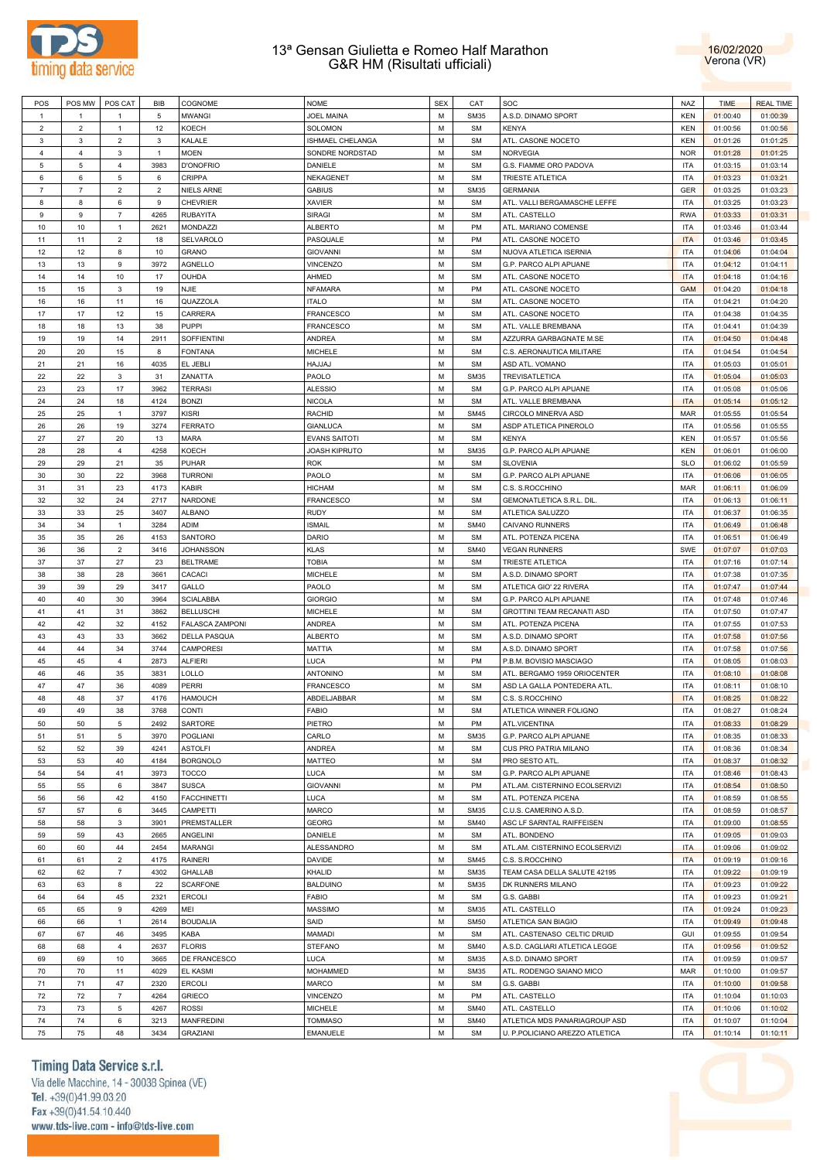



| POS            | POS MW         | POS CAT        | <b>BIB</b>     | COGNOME                | <b>NOME</b>          | <b>SEX</b> | CAT         | SOC                            | <b>NAZ</b> | <b>TIME</b> | <b>REAL TIME</b> |
|----------------|----------------|----------------|----------------|------------------------|----------------------|------------|-------------|--------------------------------|------------|-------------|------------------|
| $\overline{1}$ | $\mathbf{1}$   | $\overline{1}$ | 5              | <b>MWANGI</b>          | <b>JOEL MAINA</b>    | M          | <b>SM35</b> | A.S.D. DINAMO SPORT            | <b>KEN</b> | 01:00:40    | 01:00:39         |
| 2              | $\overline{2}$ | $\mathbf{1}$   | 12             | KOECH                  | <b>SOLOMON</b>       | M          | <b>SM</b>   | <b>KENYA</b>                   | <b>KEN</b> | 01:00:56    | 01:00:56         |
| 3              | 3              | $\overline{2}$ | 3              | KALALE                 | ISHMAEL CHELANGA     | M          | <b>SM</b>   | ATL. CASONE NOCETO             | <b>KEN</b> | 01:01:26    | 01:01:25         |
| $\overline{4}$ | $\overline{4}$ | 3              | $\mathbf{1}$   | <b>MOEN</b>            | SONDRE NORDSTAD      | M          | <b>SM</b>   | <b>NORVEGIA</b>                | <b>NOR</b> | 01:01:28    | 01:01:25         |
| 5              | 5              | $\overline{4}$ | 3983           | D'ONOFRIO              | DANIELE              | M          | <b>SM</b>   | G.S. FIAMME ORO PADOVA         | <b>ITA</b> | 01:03:15    | 01:03:14         |
| 6              | 6              | 5              | 6              | CRIPPA                 | NEKAGENET            | M          | <b>SM</b>   | <b>TRIESTE ATLETICA</b>        | ITA        | 01:03:23    | 01:03:21         |
| $\overline{7}$ | $\overline{7}$ | $\overline{2}$ | $\overline{2}$ | <b>NIELS ARNE</b>      | <b>GABIUS</b>        | M          | <b>SM35</b> | <b>GERMANIA</b>                | <b>GER</b> | 01:03:25    | 01:03:23         |
| 8              | 8              | 6              | 9              | <b>CHEVRIER</b>        | <b>XAVIER</b>        | M          | <b>SM</b>   | ATL. VALLI BERGAMASCHE LEFFE   | ITA        | 01:03:25    | 01:03:23         |
| 9              | 9              | $\overline{7}$ | 4265           | <b>RUBAYITA</b>        | <b>SIRAGI</b>        | М          | <b>SM</b>   | ATL. CASTELLO                  | <b>RWA</b> | 01:03:33    | 01:03:31         |
| 10             | 10             | $\mathbf{1}$   | 2621           | <b>MONDAZZI</b>        | <b>ALBERTO</b>       | М          | PM          | ATL. MARIANO COMENSE           | ITA        | 01:03:46    | 01:03:44         |
| 11             | 11             | $\overline{2}$ | 18             | SELVAROLO              | PASQUALE             | М          | PM          | ATL. CASONE NOCETO             | <b>ITA</b> | 01:03:46    | 01:03:45         |
| 12             | 12             | 8              | 10             | <b>GRANO</b>           | <b>GIOVANNI</b>      | М          | <b>SM</b>   | NUOVA ATLETICA ISERNIA         | <b>ITA</b> | 01:04:06    | 01:04:04         |
| 13             | 13             | 9              | 3972           | <b>AGNELLO</b>         | VINCENZO             | М          | <b>SM</b>   | G.P. PARCO ALPI APUANE         | ITA        | 01:04:12    | 01:04:11         |
| 14             | 14             | 10             | 17             | OUHDA                  | AHMED                | М          | <b>SM</b>   |                                | <b>ITA</b> |             |                  |
|                |                |                |                |                        |                      |            |             | ATL. CASONE NOCETO             |            | 01:04:18    | 01:04:16         |
| 15             | 15             | 3              | 19             | <b>NJIE</b>            | <b>NFAMARA</b>       | М          | PM          | ATL. CASONE NOCETO             | <b>GAM</b> | 01:04:20    | 01:04:18         |
| 16             | 16             | 11             | 16             | QUAZZOLA               | <b>ITALO</b>         | М          | <b>SM</b>   | ATL. CASONE NOCETO             | ITA        | 01:04:21    | 01:04:20         |
| 17             | 17             | 12             | 15             | CARRERA                | <b>FRANCESCO</b>     | М          | <b>SM</b>   | ATL. CASONE NOCETO             | <b>ITA</b> | 01:04:38    | 01:04:35         |
| 18             | 18             | 13             | 38             | <b>PUPPI</b>           | <b>FRANCESCO</b>     | M          | <b>SM</b>   | ATL. VALLE BREMBANA            | ITA        | 01:04:41    | 01:04:39         |
| 19             | 19             | 14             | 2911           | SOFFIENTINI            | <b>ANDREA</b>        | М          | <b>SM</b>   | AZZURRA GARBAGNATE M.SE        | <b>ITA</b> | 01:04:50    | 01:04:48         |
| 20             | 20             | 15             | 8              | <b>FONTANA</b>         | <b>MICHELE</b>       | M          | <b>SM</b>   | C.S. AERONAUTICA MILITARE      | ITA        | 01:04:54    | 01:04:54         |
| 21             | 21             | 16             | 4035           | EL JEBLI               | HAJJAJ               | М          | <b>SM</b>   | ASD ATL. VOMANO                | <b>ITA</b> | 01:05:03    | 01:05:01         |
| 22             | 22             | $\mathbf{3}$   | 31             | ZANATTA                | PAOLO                | M          | <b>SM35</b> | TREVISATLETICA                 | ITA        | 01:05:04    | 01:05:03         |
| 23             | 23             | 17             | 3962           | <b>TERRASI</b>         | <b>ALESSIO</b>       | М          | <b>SM</b>   | G.P. PARCO ALPI APUANE         | <b>ITA</b> | 01:05:08    | 01:05:06         |
| 24             | 24             | 18             | 4124           | <b>BONZI</b>           | <b>NICOLA</b>        | M          | <b>SM</b>   | ATL. VALLE BREMBANA            | <b>ITA</b> | 01:05:14    | 01:05:12         |
| 25             | 25             | $\mathbf{1}$   | 3797           | <b>KISRI</b>           | <b>RACHID</b>        | M          | <b>SM45</b> | CIRCOLO MINERVA ASD            | <b>MAR</b> | 01:05:55    | 01:05:54         |
| 26             | 26             | 19             | 3274           | <b>FERRATO</b>         | <b>GIANLUCA</b>      | M          | <b>SM</b>   | ASDP ATLETICA PINEROLO         | ITA        | 01:05:56    | 01:05:55         |
| 27             | 27             | 20             | 13             | <b>MARA</b>            | <b>EVANS SAITOTI</b> | M          | <b>SM</b>   | <b>KENYA</b>                   | <b>KEN</b> | 01:05:57    | 01:05:56         |
| 28             | 28             | $\overline{4}$ | 4258           | KOECH                  | <b>JOASH KIPRUTO</b> | M          | <b>SM35</b> | G.P. PARCO ALPI APUANE         | <b>KEN</b> | 01:06:01    | 01:06:00         |
| 29             | 29             | 21             | 35             | PUHAR                  | <b>ROK</b>           | M          | <b>SM</b>   | <b>SLOVENIA</b>                | <b>SLO</b> | 01:06:02    | 01:05:59         |
| 30             | 30             | 22             | 3968           | <b>TURRONI</b>         | PAOLO                | M          | <b>SM</b>   | G.P. PARCO ALPI APUANE         | ITA        | 01:06:06    | 01:06:05         |
| 31             | 31             | 23             | 4173           | <b>KABIR</b>           | <b>HICHAM</b>        | M          | <b>SM</b>   | C.S. S.ROCCHINO                | <b>MAR</b> | 01:06:11    | 01:06:09         |
| 32             | 32             | 24             | 2717           | <b>NARDONE</b>         | <b>FRANCESCO</b>     | M          | <b>SM</b>   | GEMONATLETICA S.R.L. DIL       | ITA        | 01:06:13    | 01:06:11         |
| 33             | 33             | 25             | 3407           | <b>ALBANO</b>          | <b>RUDY</b>          | M          | <b>SM</b>   | ATLETICA SALUZZO               | <b>ITA</b> | 01:06:37    | 01:06:35         |
| 34             | 34             | $\mathbf{1}$   | 3284           | <b>ADIM</b>            | <b>ISMAIL</b>        | М          | <b>SM40</b> | CAIVANO RUNNERS                | ITA        | 01:06:49    | 01:06:48         |
| 35             | 35             | 26             | 4153           | SANTORO                | DARIO                | M          | <b>SM</b>   | ATL. POTENZA PICENA            | ITA        | 01:06:51    | 01:06:49         |
| 36             | 36             | $\overline{2}$ | 3416           | <b>JOHANSSON</b>       | <b>KLAS</b>          | М          | <b>SM40</b> | <b>VEGAN RUNNERS</b>           | SWE        | 01:07:07    | 01:07:03         |
| 37             | 37             | 27             | 23             | <b>BELTRAME</b>        | <b>TOBIA</b>         | М          | <b>SM</b>   | <b>TRIESTE ATLETICA</b>        | <b>ITA</b> | 01:07:16    | 01:07:14         |
| 38             | 38             | 28             | 3661           | CACACI                 | <b>MICHELE</b>       | М          | <b>SM</b>   | A.S.D. DINAMO SPORT            | ITA        | 01:07:38    | 01:07:35         |
| 39             | 39             | 29             | 3417           | GALLO                  | PAOLO                | М          | <b>SM</b>   | ATLETICA GIO' 22 RIVERA        | <b>ITA</b> | 01:07:47    | 01:07:44         |
| 40             | 40             | 30             | 3964           | <b>SCIALABBA</b>       | <b>GIORGIO</b>       | М          | <b>SM</b>   | G.P. PARCO ALPI APUANE         | ITA        | 01:07:48    | 01:07:46         |
| 41             | 41             | 31             | 3862           | <b>BELLUSCHI</b>       | <b>MICHELE</b>       | М          | <b>SM</b>   | GROTTINI TEAM RECANATI ASD     | <b>ITA</b> | 01:07:50    | 01:07:47         |
| 42             | 42             |                | 4152           |                        |                      | М          | <b>SM</b>   |                                | ITA        |             |                  |
|                |                | 32             |                | <b>FALASCA ZAMPONI</b> | <b>ANDREA</b>        |            |             | ATL. POTENZA PICENA            |            | 01:07:55    | 01:07:53         |
| 43             | 43             | 33             | 3662           | <b>DELLA PASQUA</b>    | <b>ALBERTO</b>       | М          | <b>SM</b>   | A.S.D. DINAMO SPORT            | <b>ITA</b> | 01:07:58    | 01:07:56         |
| 44             | 44             | 34             | 3744           | CAMPORESI              | <b>MATTIA</b>        | М          | <b>SM</b>   | A.S.D. DINAMO SPORT            | ITA        | 01:07:58    | 01:07:56         |
| 45             | 45             | $\overline{4}$ | 2873           | <b>ALFIERI</b>         | <b>LUCA</b>          | М          | PM          | P.B.M. BOVISIO MASCIAGO        | <b>ITA</b> | 01:08:05    | 01:08:03         |
| 46             | 46             | 35             | 3831           | <b>LOLLO</b>           | <b>ANTONINO</b>      | М          | <b>SM</b>   | ATL. BERGAMO 1959 ORIOCENTER   | <b>ITA</b> | 01:08:10    | 01:08:08         |
| 47             | 47             | 36             | 4089           | <b>PERRI</b>           | <b>FRANCESCO</b>     | М          | <b>SM</b>   | ASD LA GALLA PONTEDERA ATL     | <b>ITA</b> | 01:08:11    | 01:08:10         |
| 48             | 48             | 37             | 4176           | <b>HAMOUCH</b>         | ABDELJABBAR          | М          | <b>SM</b>   | C.S. S.ROCCHINO                | <b>ITA</b> | 01:08:25    | 01:08:22         |
| 49             | 49             | 38             | 3768           | <b>CONTI</b>           | <b>FABIO</b>         | M          | <b>SM</b>   | ATLETICA WINNER FOLIGNO        | <b>ITA</b> | 01:08:27    | 01:08:24         |
| 50             | 50             | $\,$ 5 $\,$    | 2492           | SARTORE                | PIETRO               | М          | PM          | ATL.VICENTINA                  | <b>ITA</b> | 01:08:33    | 01:08:29         |
| 51             | 51             | 5              | 3970           | <b>POGLIANI</b>        | CARLO                | M          | <b>SM35</b> | G.P. PARCO ALPI APUANE         | <b>ITA</b> | 01:08:35    | 01:08:33         |
| 52             | 52             | 39             | 4241           | <b>ASTOLFI</b>         | ANDREA               | M          | <b>SM</b>   | CUS PRO PATRIA MILANO          | <b>ITA</b> | 01:08:36    | 01:08:34         |
| 53             | 53             | 40             | 4184           | <b>BORGNOLO</b>        | MATTEO               | M          | <b>SM</b>   | PRO SESTO ATL.                 | <b>ITA</b> | 01:08:37    | 01:08:32         |
| 54             | 54             | 41             | 3973           | <b>TOCCO</b>           | <b>LUCA</b>          | M          | <b>SM</b>   | G.P. PARCO ALPI APUANE         | <b>ITA</b> | 01:08:46    | 01:08:43         |
| 55             | 55             | 6              | 3847           | <b>SUSCA</b>           | <b>GIOVANNI</b>      | M          | PM          | ATL.AM. CISTERNINO ECOLSERVIZI | <b>ITA</b> | 01:08:54    | 01:08:50         |
| 56             | 56             | 42             | 4150           | <b>FACCHINETTI</b>     | <b>LUCA</b>          | M          | <b>SM</b>   | ATL. POTENZA PICENA            | <b>ITA</b> | 01:08:59    | 01:08:55         |
| 57             | 57             | $\,6\,$        | 3445           | CAMPETTI               | <b>MARCO</b>         | M          | <b>SM35</b> | C.U.S. CAMERINO A.S.D.         | <b>ITA</b> | 01:08:59    | 01:08:57         |
| 58             | 58             | $\mathbf 3$    | 3901           | PREMSTALLER            | <b>GEORG</b>         | M          | <b>SM40</b> | ASC LF SARNTAL RAIFFEISEN      | <b>ITA</b> | 01:09:00    | 01:08:55         |
| 59             | 59             | 43             | 2665           | ANGELINI               | DANIELE              | M          | <b>SM</b>   | ATL. BONDENO                   | <b>ITA</b> | 01:09:05    | 01:09:03         |
| 60             | 60             | $44\,$         | 2454           | <b>MARANGI</b>         | ALESSANDRO           | M          | <b>SM</b>   | ATL.AM. CISTERNINO ECOLSERVIZI | <b>ITA</b> | 01:09:06    | 01:09:02         |
| 61             | 61             | $\overline{2}$ | 4175           | RAINERI                | DAVIDE               | M          | <b>SM45</b> | C.S. S.ROCCHINO                | <b>ITA</b> | 01:09:19    | 01:09:16         |
| 62             | 62             | $\overline{7}$ | 4302           | <b>GHALLAB</b>         | KHALID               | M          | <b>SM35</b> | TEAM CASA DELLA SALUTE 42195   | <b>ITA</b> | 01:09:22    | 01:09:19         |
|                | 63             | $\bf8$         | 22             |                        |                      | M          |             | DK RUNNERS MILANO              | <b>ITA</b> |             |                  |
| 63             |                |                |                | <b>SCARFONE</b>        | <b>BALDUINO</b>      | M          | <b>SM35</b> |                                |            | 01:09:23    | 01:09:22         |
| 64             | 64             | 45             | 2321           | <b>ERCOLI</b>          | <b>FABIO</b>         |            | <b>SM</b>   | G.S. GABBI                     | <b>ITA</b> | 01:09:23    | 01:09:21         |
| 65             | 65             | $\mathsf g$    | 4269           | MEI                    | <b>MASSIMO</b>       | M          | <b>SM35</b> | ATL. CASTELLO                  | <b>ITA</b> | 01:09:24    | 01:09:23         |
| 66             | 66             | $\mathbf{1}$   | 2614           | <b>BOUDALIA</b>        | SAID                 | М          | <b>SM50</b> | ATLETICA SAN BIAGIO            | <b>ITA</b> | 01:09:49    | 01:09:48         |
| 67             | 67             | 46             | 3495           | KABA                   | <b>MAMADI</b>        | M          | <b>SM</b>   | ATL. CASTENASO CELTIC DRUID    | GUI        | 01:09:55    | 01:09:54         |
| 68             | 68             | $\overline{4}$ | 2637           | <b>FLORIS</b>          | <b>STEFANO</b>       | M          | <b>SM40</b> | A.S.D. CAGLIARI ATLETICA LEGGE | <b>ITA</b> | 01:09:56    | 01:09:52         |
| 69             | 69             | $10$           | 3665           | DE FRANCESCO           | LUCA                 | M          | <b>SM35</b> | A.S.D. DINAMO SPORT            | <b>ITA</b> | 01:09:59    | 01:09:57         |
| 70             | 70             | 11             | 4029           | EL KASMI               | MOHAMMED             | M          | <b>SM35</b> | ATL. RODENGO SAIANO MICO       | <b>MAR</b> | 01:10:00    | 01:09:57         |
| 71             | 71             | 47             | 2320           | <b>ERCOLI</b>          | <b>MARCO</b>         | M          | <b>SM</b>   | G.S. GABBI                     | <b>ITA</b> | 01:10:00    | 01:09:58         |
| 72             | 72             | $\overline{7}$ | 4264           | <b>GRIECO</b>          | VINCENZO             | M          | PM          | ATL. CASTELLO                  | <b>ITA</b> | 01:10:04    | 01:10:03         |
| 73             | 73             | 5              | 4267           | <b>ROSSI</b>           | <b>MICHELE</b>       | M          | <b>SM40</b> | ATL. CASTELLO                  | <b>ITA</b> | 01:10:06    | 01:10:02         |
| 74             | 74             | 6              | 3213           | <b>MANFREDINI</b>      | <b>TOMMASO</b>       | М          | <b>SM40</b> | ATLETICA MDS PANARIAGROUP ASD  | <b>ITA</b> | 01:10:07    | 01:10:04         |
| 75             | 75             | 48             | 3434           | <b>GRAZIANI</b>        | <b>EMANUELE</b>      | М          | SM          | U. P.POLICIANO AREZZO ATLETICA | <b>ITA</b> | 01:10:14    | 01:10:11         |

# Timing Data Service s.r.l.

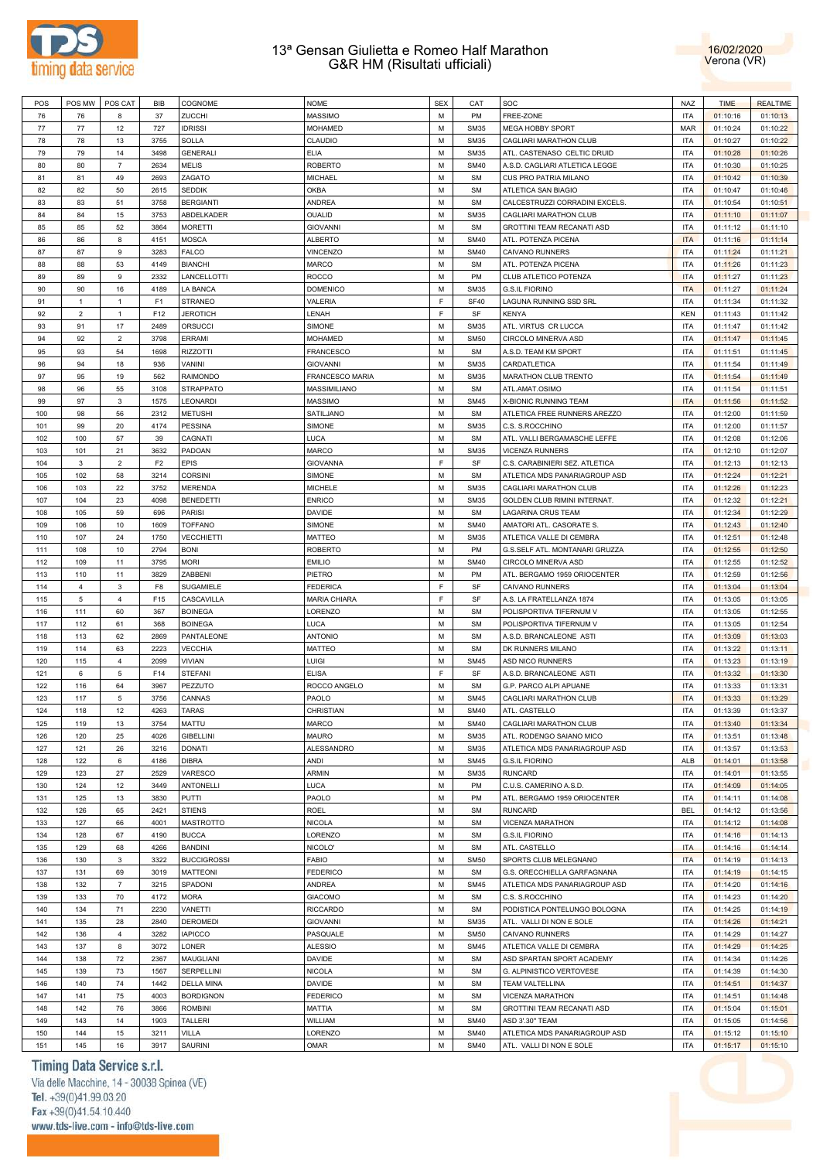



| POS | POS MW         | POS CAT        | BIB            | COGNOME            | NOME                | <b>SEX</b> | CAT         | SOC                            | <b>NAZ</b> | <b>TIME</b> | <b>REALTIME</b> |
|-----|----------------|----------------|----------------|--------------------|---------------------|------------|-------------|--------------------------------|------------|-------------|-----------------|
| 76  | 76             | 8              | 37             | ZUCCHI             | <b>MASSIMO</b>      | M          | PM          | FREE-ZONE                      | <b>ITA</b> | 01:10:16    | 01:10:13        |
| 77  | 77             | 12             | 727            | <b>IDRISSI</b>     | <b>MOHAMED</b>      | M          | <b>SM35</b> |                                | <b>MAR</b> |             | 01:10:22        |
|     |                |                |                |                    |                     |            |             | MEGA HOBBY SPORT               |            | 01:10:24    |                 |
| 78  | 78             | 13             | 3755           | SOLLA              | CLAUDIO             | M          | <b>SM35</b> | CAGLIARI MARATHON CLUB         | <b>ITA</b> | 01:10:27    | 01:10:22        |
| 79  | 79             | 14             | 3498           | <b>GENERALI</b>    | ELIA                | М          | <b>SM35</b> | ATL. CASTENASO CELTIC DRUID    | <b>ITA</b> | 01:10:28    | 01:10:26        |
| 80  | 80             | $\overline{7}$ | 2634           | <b>MELIS</b>       | <b>ROBERTO</b>      | М          | <b>SM40</b> | A.S.D. CAGLIARI ATLETICA LEGGE | <b>ITA</b> | 01:10:30    | 01:10:25        |
| 81  | 81             | 49             | 2693           | ZAGATO             | MICHAEL             | M          | <b>SM</b>   | CUS PRO PATRIA MILANO          | <b>ITA</b> | 01:10:42    | 01:10:39        |
|     |                |                |                |                    |                     | M          |             |                                |            |             |                 |
| 82  | 82             | 50             | 2615           | <b>SEDDIK</b>      | OKBA                |            | <b>SM</b>   | ATLETICA SAN BIAGIO            | <b>ITA</b> | 01:10:47    | 01:10:46        |
| 83  | 83             | 51             | 3758           | <b>BERGIANTI</b>   | ANDREA              | M          | <b>SM</b>   | CALCESTRUZZI CORRADINI EXCELS. | <b>ITA</b> | 01:10:54    | 01:10:51        |
| 84  | 84             | 15             | 3753           | ABDELKADER         | OUALID              | M          | <b>SM35</b> | CAGLIARI MARATHON CLUB         | <b>ITA</b> | 01:11:10    | 01:11:07        |
| 85  | 85             | 52             | 3864           | <b>MORETTI</b>     | <b>GIOVANNI</b>     | M          | <b>SM</b>   | GROTTINI TEAM RECANATI ASD     | <b>ITA</b> | 01:11:12    | 01:11:10        |
| 86  | 86             | 8              | 4151           | <b>MOSCA</b>       | <b>ALBERTO</b>      | M          | <b>SM40</b> | ATL. POTENZA PICENA            | <b>ITA</b> | 01:11:16    | 01:11:14        |
|     |                |                |                |                    |                     |            |             |                                |            |             |                 |
| 87  | 87             | 9              | 3283           | <b>FALCO</b>       | <b>VINCENZO</b>     | M          | <b>SM40</b> | CAIVANO RUNNERS                | <b>ITA</b> | 01:11:24    | 01:11:21        |
| 88  | 88             | 53             | 4149           | <b>BIANCHI</b>     | MARCO               | M          | <b>SM</b>   | ATL. POTENZA PICENA            | <b>ITA</b> | 01:11:26    | 01:11:23        |
| 89  | 89             | 9              | 2332           | LANCELLOTTI        | <b>ROCCO</b>        | M          | PM          | CLUB ATLETICO POTENZA          | <b>ITA</b> | 01:11:27    | 01:11:23        |
| 90  | 90             | 16             | 4189           | <b>LA BANCA</b>    | <b>DOMENICO</b>     | М          | <b>SM35</b> | <b>G.S.IL FIORINO</b>          | <b>ITA</b> | 01:11:27    | 01:11:24        |
| 91  | $\mathbf{1}$   | $\mathbf{1}$   | F <sub>1</sub> | <b>STRANEO</b>     | VALERIA             | F          | <b>SF40</b> | LAGUNA RUNNING SSD SRL         | <b>ITA</b> | 01:11:34    | 01:11:32        |
| 92  | $\overline{c}$ | $\overline{1}$ | F12            | <b>JEROTICH</b>    | LENAH               | F          | SF          | <b>KENYA</b>                   | <b>KEN</b> | 01:11:43    | 01:11:42        |
|     |                |                |                |                    |                     |            |             |                                |            |             |                 |
| 93  | 91             | 17             | 2489           | ORSUCCI            | SIMONE              | M          | <b>SM35</b> | ATL. VIRTUS CR LUCCA           | <b>ITA</b> | 01:11:47    | 01:11:42        |
| 94  | 92             | $\overline{2}$ | 3798           | ERRAMI             | MOHAMED             | М          | <b>SM50</b> | CIRCOLO MINERVA ASD            | <b>ITA</b> | 01:11:47    | 01:11:45        |
| 95  | 93             | 54             | 1698           | <b>RIZZOTTI</b>    | <b>FRANCESCO</b>    | M          | <b>SM</b>   | A.S.D. TEAM KM SPORT           | <b>ITA</b> | 01:11:51    | 01:11:45        |
| 96  | 94             | 18             | 936            | VANINI             | <b>GIOVANNI</b>     | M          | <b>SM35</b> | CARDATLETICA                   | <b>ITA</b> | 01:11:54    | 01:11:49        |
|     |                |                |                |                    |                     |            |             |                                |            |             |                 |
| 97  | 95             | 19             | 562            | <b>RAIMONDO</b>    | FRANCESCO MARIA     | M          | <b>SM35</b> | MARATHON CLUB TRENTO           | <b>ITA</b> | 01:11:54    | 01:11:49        |
| 98  | 96             | 55             | 3108           | <b>STRAPPATO</b>   | MASSIMILIANO        | M          | <b>SM</b>   | ATL.AMAT.OSIMO                 | <b>ITA</b> | 01:11:54    | 01:11:51        |
| 99  | 97             | $\mathbf{3}$   | 1575           | LEONARDI           | <b>MASSIMO</b>      | M          | <b>SM45</b> | X-BIONIC RUNNING TEAM          | <b>ITA</b> | 01:11:56    | 01:11:52        |
| 100 | 98             | 56             | 2312           | <b>METUSHI</b>     | SATILJANO           | M          | <b>SM</b>   | ATLETICA FREE RUNNERS AREZZO   | <b>ITA</b> | 01:12:00    | 01:11:59        |
| 101 | 99             | 20             | 4174           | <b>PESSINA</b>     | SIMONE              | M          | <b>SM35</b> | C.S. S.ROCCHINO                | <b>ITA</b> | 01:12:00    | 01:11:57        |
|     |                |                |                |                    |                     |            |             |                                |            |             |                 |
| 102 | 100            | 57             | 39             | CAGNATI            | LUCA                | М          | <b>SM</b>   | ATL. VALLI BERGAMASCHE LEFFE   | <b>ITA</b> | 01:12:08    | 01:12:06        |
| 103 | 101            | 21             | 3632           | PADOAN             | <b>MARCO</b>        | М          | <b>SM35</b> | <b>VICENZA RUNNERS</b>         | <b>ITA</b> | 01:12:10    | 01:12:07        |
| 104 | 3              | $\overline{2}$ | F <sub>2</sub> | EPIS               | <b>GIOVANNA</b>     | F          | SF          | C.S. CARABINIERI SEZ. ATLETICA | <b>ITA</b> | 01:12:13    | 01:12:13        |
| 105 | 102            | 58             | 3214           | <b>CORSINI</b>     | SIMONE              | M          | <b>SM</b>   | ATLETICA MDS PANARIAGROUP ASD  | <b>ITA</b> | 01:12:24    | 01:12:21        |
| 106 | 103            | 22             | 3752           | <b>MERENDA</b>     | <b>MICHELE</b>      | M          | <b>SM35</b> | CAGLIARI MARATHON CLUB         | <b>ITA</b> | 01:12:26    | 01:12:23        |
|     |                |                |                |                    |                     |            |             |                                |            |             |                 |
| 107 | 104            | 23             | 4098           | <b>BENEDETTI</b>   | <b>ENRICO</b>       | M          | <b>SM35</b> | GOLDEN CLUB RIMINI INTERNAT.   | <b>ITA</b> | 01:12:32    | 01:12:21        |
| 108 | 105            | 59             | 696            | <b>PARISI</b>      | <b>DAVIDE</b>       | M          | <b>SM</b>   | LAGARINA CRUS TEAM             | <b>ITA</b> | 01:12:34    | 01:12:29        |
| 109 | 106            | 10             | 1609           | <b>TOFFANO</b>     | SIMONE              | M          | <b>SM40</b> | AMATORI ATL. CASORATE S.       | <b>ITA</b> | 01:12:43    | 01:12:40        |
| 110 | 107            | 24             | 1750           | <b>VECCHIETTI</b>  | MATTEO              | M          | <b>SM35</b> | ATLETICA VALLE DI CEMBRA       | <b>ITA</b> | 01:12:51    | 01:12:48        |
| 111 | 108            | 10             | 2794           | <b>BONI</b>        | <b>ROBERTO</b>      | M          | PM          | G.S.SELF ATL. MONTANARI GRUZZA | <b>ITA</b> | 01:12:55    | 01:12:50        |
|     |                |                |                |                    |                     |            |             |                                |            |             |                 |
| 112 | 109            | 11             | 3795           | <b>MORI</b>        | <b>EMILIO</b>       | M          | <b>SM40</b> | CIRCOLO MINERVA ASD            | <b>ITA</b> | 01:12:55    | 01:12:52        |
| 113 | 110            | 11             | 3829           | ZABBENI            | PIETRO              | M          | PM          | ATL. BERGAMO 1959 ORIOCENTER   | <b>ITA</b> | 01:12:59    | 01:12:56        |
| 114 | 4              | 3              | F <sub>8</sub> | SUGAMIELE          | <b>FEDERICA</b>     | F          | SF          | CAIVANO RUNNERS                | <b>ITA</b> | 01:13:04    | 01:13:04        |
| 115 | $\,$ 5 $\,$    | $\overline{4}$ | F15            | CASCAVILLA         | <b>MARIA CHIARA</b> | F          | SF          | A.S. LA FRATELLANZA 1874       | <b>ITA</b> | 01:13:05    | 01:13:05        |
| 116 | 111            | 60             | 367            | <b>BOINEGA</b>     | LORENZO             | М          | <b>SM</b>   | POLISPORTIVA TIFERNUM V        | <b>ITA</b> | 01:13:05    | 01:12:55        |
|     |                |                |                |                    |                     |            |             |                                |            |             |                 |
| 117 | 112            | 61             | 368            | <b>BOINEGA</b>     | LUCA                | M          | <b>SM</b>   | POLISPORTIVA TIFERNUM V        | <b>ITA</b> | 01:13:05    | 01:12:54        |
| 118 | 113            | 62             | 2869           | PANTALEONE         | <b>ANTONIO</b>      | М          | <b>SM</b>   | A.S.D. BRANCALEONE ASTI        | <b>ITA</b> | 01:13:09    | 01:13:03        |
| 119 | 114            | 63             | 2223           | <b>VECCHIA</b>     | MATTEO              | M          | <b>SM</b>   | DK RUNNERS MILANO              | <b>ITA</b> | 01:13:22    | 01:13:11        |
| 120 | 115            | $\overline{4}$ | 2099           | <b>VIVIAN</b>      | LUIGI               | М          | <b>SM45</b> | ASD NICO RUNNERS               | <b>ITA</b> | 01:13:23    | 01:13:19        |
| 121 | 6              | $\overline{5}$ | F14            | <b>STEFANI</b>     | <b>ELISA</b>        | F          | SF          | A.S.D. BRANCALEONE ASTI        | <b>ITA</b> | 01:13:32    | 01:13:30        |
|     |                |                |                |                    |                     |            |             |                                |            |             |                 |
| 122 | 116            | 64             | 3967           | PEZZUTO            | ROCCO ANGELO        | M          | <b>SM</b>   | G.P. PARCO ALPI APUANE         | <b>ITA</b> | 01:13:33    | 01:13:31        |
| 123 | 117            | 5              | 3756           | CANNAS             | PAOLO               | M          | <b>SM45</b> | CAGLIARI MARATHON CLUB         | <b>ITA</b> | 01:13:33    | 01:13:29        |
| 124 | 118            | 12             | 4263           | <b>TARAS</b>       | CHRISTIAN           | M          | <b>SM40</b> | ATL. CASTELLO                  | <b>ITA</b> | 01:13:39    | 01:13:37        |
| 125 | 119            | 13             | 3754           | MATTU              | <b>MARCO</b>        | M          | <b>SM40</b> | CAGLIARI MARATHON CLUB         | <b>ITA</b> | 01:13:40    | 01:13:34        |
| 126 | 120            | 25             | 4026           | <b>GIBELLINI</b>   | <b>MAURO</b>        | M          | <b>SM35</b> | ATL. RODENGO SAIANO MICO       | <b>ITA</b> | 01:13:51    | 01:13:48        |
|     |                |                |                |                    |                     |            |             |                                |            |             |                 |
| 127 | 121            | 26             | 3216           | <b>DONATI</b>      | ALESSANDRO          | M          | <b>SM35</b> | ATLETICA MDS PANARIAGROUP ASD  | <b>ITA</b> | 01:13:57    | 01:13:53        |
| 128 | 122            | 6              | 4186           | <b>DIBRA</b>       | ANDI                | М          | <b>SM45</b> | <b>G.S.IL FIORINO</b>          | ALB        | 01:14:01    | 01:13:58        |
| 129 | 123            | 27             | 2529           | VARESCO            | ARMIN               | М          | <b>SM35</b> | <b>RUNCARD</b>                 | <b>ITA</b> | 01:14:01    | 01:13:55        |
| 130 | 124            | 12             | 3449           | <b>ANTONELLI</b>   | LUCA                | М          | PM          | C.U.S. CAMERINO A.S.D.         | <b>ITA</b> | 01:14:09    | 01:14:05        |
| 131 | 125            | 13             | 3830           | <b>PUTTI</b>       | PAOLO               | M          | PM          | ATL. BERGAMO 1959 ORIOCENTER   | <b>ITA</b> | 01:14:11    | 01:14:08        |
|     |                |                |                |                    |                     |            |             | <b>RUNCARD</b>                 |            |             |                 |
| 132 | 126            | 65             | 2421           | <b>STIENS</b>      | <b>ROEL</b>         | M          | <b>SM</b>   |                                | <b>BEL</b> | 01:14:12    | 01:13:56        |
| 133 | 127            | 66             | 4001           | MASTROTTO          | <b>NICOLA</b>       | M          | <b>SM</b>   | VICENZA MARATHON               | <b>ITA</b> | 01:14:12    | 01:14:08        |
| 134 | 128            | 67             | 4190           | <b>BUCCA</b>       | LORENZO             | M          | <b>SM</b>   | <b>G.S.IL FIORINO</b>          | <b>ITA</b> | 01:14:16    | 01:14:13        |
| 135 | 129            | 68             | 4266           | <b>BANDINI</b>     | NICOLO'             | M          | <b>SM</b>   | ATL. CASTELLO                  | <b>ITA</b> | 01:14:16    | 01:14:14        |
| 136 | 130            | 3              | 3322           | <b>BUCCIGROSSI</b> | <b>FABIO</b>        | M          | <b>SM50</b> | SPORTS CLUB MELEGNANO          | <b>ITA</b> | 01:14:19    | 01:14:13        |
|     |                |                |                |                    |                     |            |             |                                |            |             |                 |
| 137 | 131            | 69             | 3019           | <b>MATTEONI</b>    | <b>FEDERICO</b>     | M          | <b>SM</b>   | G.S. ORECCHIELLA GARFAGNANA    | <b>ITA</b> | 01:14:19    | 01:14:15        |
| 138 | 132            | $\overline{7}$ | 3215           | SPADONI            | ANDREA              | M          | <b>SM45</b> | ATLETICA MDS PANARIAGROUP ASD  | <b>ITA</b> | 01:14:20    | 01:14:16        |
| 139 | 133            | 70             | 4172           | <b>MORA</b>        | <b>GIACOMO</b>      | M          | <b>SM</b>   | C.S. S.ROCCHINO                | <b>ITA</b> | 01:14:23    | 01:14:20        |
| 140 | 134            | 71             | 2230           | VANETTI            | <b>RICCARDO</b>     | M          | <b>SM</b>   | PODISTICA PONTELUNGO BOLOGNA   | <b>ITA</b> | 01:14:25    | 01:14:19        |
|     |                |                |                |                    |                     |            |             |                                |            |             |                 |
| 141 | 135            | 28             | 2840           | <b>DEROMEDI</b>    | <b>GIOVANNI</b>     | M          | <b>SM35</b> | ATL. VALLI DI NON E SOLE       | <b>ITA</b> | 01:14:26    | 01:14:21        |
| 142 | 136            | $\overline{4}$ | 3282           | <b>IAPICCO</b>     | PASQUALE            | M          | <b>SM50</b> | CAIVANO RUNNERS                | <b>ITA</b> | 01:14:29    | 01:14:27        |
| 143 | 137            | 8              | 3072           | LONER              | <b>ALESSIO</b>      | M          | <b>SM45</b> | ATLETICA VALLE DI CEMBRA       | <b>ITA</b> | 01:14:29    | 01:14:25        |
| 144 | 138            | $72\,$         | 2367           | MAUGLIANI          | DAVIDE              | M          | <b>SM</b>   | ASD SPARTAN SPORT ACADEMY      | <b>ITA</b> | 01:14:34    | 01:14:26        |
| 145 | 139            | 73             | 1567           | SERPELLINI         | <b>NICOLA</b>       | M          | <b>SM</b>   | G. ALPINISTICO VERTOVESE       | <b>ITA</b> | 01:14:39    | 01:14:30        |
|     |                |                |                |                    |                     |            |             |                                |            |             |                 |
| 146 | 140            | 74             | 1442           | <b>DELLA MINA</b>  | DAVIDE              | M          | <b>SM</b>   | TEAM VALTELLINA                | <b>ITA</b> | 01:14:51    | 01:14:37        |
| 147 | 141            | 75             | 4003           | <b>BORDIGNON</b>   | <b>FEDERICO</b>     | M          | <b>SM</b>   | VICENZA MARATHON               | <b>ITA</b> | 01:14:51    | 01:14:48        |
| 148 | 142            | 76             | 3866           | <b>ROMBINI</b>     | <b>MATTIA</b>       | M          | <b>SM</b>   | GROTTINI TEAM RECANATI ASD     | <b>ITA</b> | 01:15:04    | 01:15:01        |
| 149 | 143            | 14             | 1903           | <b>TALLERI</b>     | WILLIAM             | M          | <b>SM40</b> | ASD 3'.30" TEAM                | <b>ITA</b> | 01:15:05    | 01:14:56        |
| 150 | 144            | 15             | 3211           | VILLA              | LORENZO             | М          | <b>SM40</b> | ATLETICA MDS PANARIAGROUP ASD  | <b>ITA</b> | 01:15:12    | 01:15:10        |
|     |                |                |                |                    |                     |            |             |                                |            |             |                 |
| 151 | 145            | 16             | 3917           | SAURINI            | OMAR                | М          | <b>SM40</b> | ATL. VALLI DI NON E SOLE       | <b>ITA</b> | 01:15:17    | 01:15:10        |

# Timing Data Service s.r.l.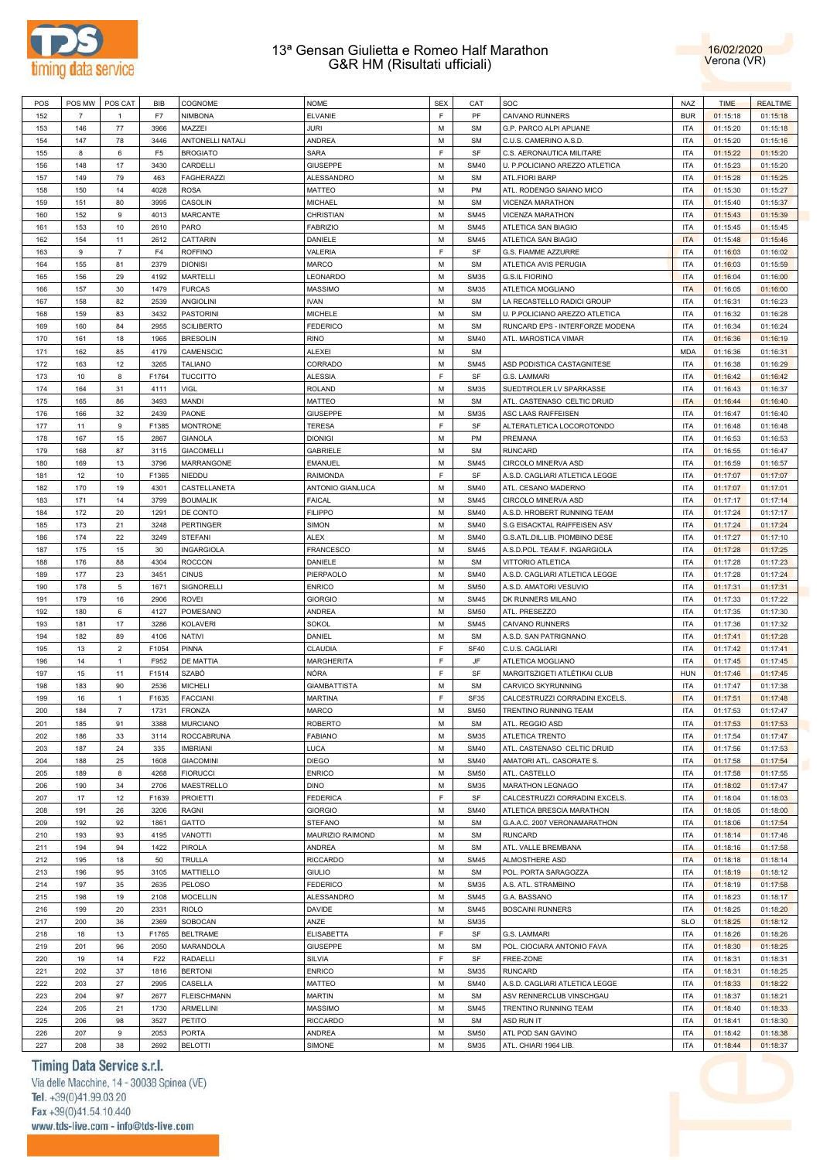



| POS | POS MW         | POS CAT        | BIB            | COGNOME            | <b>NOME</b>         | <b>SEX</b> | CAT         | SOC                             | <b>NAZ</b> | <b>TIME</b> | <b>REALTIME</b> |
|-----|----------------|----------------|----------------|--------------------|---------------------|------------|-------------|---------------------------------|------------|-------------|-----------------|
| 152 | $\overline{7}$ | $\overline{1}$ | F7             | <b>NIMBONA</b>     | <b>ELVANIE</b>      | F.         | PF          | CAIVANO RUNNERS                 | <b>BUR</b> | 01:15:18    | 01:15:18        |
| 153 | 146            | 77             | 3966           | MAZZEI             | JURI                | M          | <b>SM</b>   | G.P. PARCO ALPI APUANE          | <b>ITA</b> | 01:15:20    | 01:15:18        |
| 154 | 147            | 78             | 3446           | ANTONELLI NATALI   | <b>ANDREA</b>       | М          | <b>SM</b>   | C.U.S. CAMERINO A.S.D.          | <b>ITA</b> | 01:15:20    | 01:15:16        |
| 155 | 8              | 6              | F <sub>5</sub> | <b>BROGIATO</b>    | <b>SARA</b>         | F.         | SF          | C.S. AERONAUTICA MILITARE       | <b>ITA</b> | 01:15:22    | 01:15:20        |
|     |                |                |                |                    |                     |            |             |                                 |            |             |                 |
| 156 | 148            | 17             | 3430           | CARDELLI           | <b>GIUSEPPE</b>     | M          | <b>SM40</b> | U. P.POLICIANO AREZZO ATLETICA  | <b>ITA</b> | 01:15:23    | 01:15:20        |
| 157 | 149            | 79             | 463            | <b>FAGHERAZZI</b>  | <b>ALESSANDRO</b>   | М          | <b>SM</b>   | <b>ATL.FIORI BARP</b>           | <b>ITA</b> | 01:15:28    | 01:15:25        |
| 158 | 150            | 14             | 4028           | <b>ROSA</b>        | <b>MATTEO</b>       | М          | PM          | ATL. RODENGO SAIANO MICO        | <b>ITA</b> | 01:15:30    | 01:15:27        |
| 159 | 151            | 80             | 3995           | CASOLIN            | <b>MICHAEL</b>      | M          | <b>SM</b>   | VICENZA MARATHON                | <b>ITA</b> | 01:15:40    | 01:15:37        |
| 160 | 152            | 9              | 4013           | <b>MARCANTE</b>    | CHRISTIAN           | М          | <b>SM45</b> | VICENZA MARATHON                | <b>ITA</b> | 01:15:43    | 01:15:39        |
| 161 | 153            | 10             | 2610           | PARO               | <b>FABRIZIO</b>     | M          | <b>SM45</b> | ATLETICA SAN BIAGIO             | <b>ITA</b> | 01:15:45    | 01:15:45        |
| 162 | 154            | 11             | 2612           | CATTARIN           | DANIELE             | М          | <b>SM45</b> | ATLETICA SAN BIAGIO             | <b>ITA</b> | 01:15:48    | 01:15:46        |
| 163 | 9              | $\overline{7}$ | F <sub>4</sub> | <b>ROFFINO</b>     | VALERIA             | F.         | SF          | G.S. FIAMME AZZURRE             | <b>ITA</b> | 01:16:03    | 01:16:02        |
| 164 | 155            | 81             | 2379           | <b>DIONISI</b>     | <b>MARCO</b>        | М          | <b>SM</b>   | ATLETICA AVIS PERUGIA           | <b>ITA</b> | 01:16:03    | 01:15:59        |
|     |                |                |                |                    |                     |            |             |                                 |            |             |                 |
| 165 | 156            | 29             | 4192           | MARTELLI           | LEONARDO            | M          | <b>SM35</b> | <b>G.S.IL FIORINO</b>           | <b>ITA</b> | 01:16:04    | 01:16:00        |
| 166 | 157            | 30             | 1479           | <b>FURCAS</b>      | <b>MASSIMO</b>      | М          | <b>SM35</b> | ATLETICA MOGLIANO               | <b>ITA</b> | 01:16:05    | 01:16:00        |
| 167 | 158            | 82             | 2539           | <b>ANGIOLINI</b>   | <b>IVAN</b>         | M          | <b>SM</b>   | LA RECASTELLO RADICI GROUP      | <b>ITA</b> | 01:16:31    | 01:16:23        |
| 168 | 159            | 83             | 3432           | <b>PASTORINI</b>   | <b>MICHELE</b>      | M          | <b>SM</b>   | U. P.POLICIANO AREZZO ATLETICA  | <b>ITA</b> | 01:16:32    | 01:16:28        |
| 169 | 160            | 84             | 2955           | <b>SCILIBERTO</b>  | <b>FEDERICO</b>     | M          | <b>SM</b>   | RUNCARD EPS - INTERFORZE MODENA | <b>ITA</b> | 01:16:34    | 01:16:24        |
| 170 | 161            | 18             | 1965           | <b>BRESOLIN</b>    | <b>RINO</b>         | M          | <b>SM40</b> | ATL. MAROSTICA VIMAR            | <b>ITA</b> | 01:16:36    | 01:16:19        |
| 171 | 162            | 85             | 4179           | CAMENSCIC          | <b>ALEXEI</b>       | M          | <b>SM</b>   |                                 | <b>MDA</b> | 01:16:36    | 01:16:31        |
| 172 | 163            | 12             | 3265           | <b>TALIANO</b>     | CORRADO             | М          | <b>SM45</b> | ASD PODISTICA CASTAGNITESE      | <b>ITA</b> | 01:16:38    | 01:16:29        |
| 173 |                | 8              | F1764          |                    | <b>ALESSIA</b>      | F.         | SF          | G.S. LAMMARI                    | <b>ITA</b> |             |                 |
|     | 10             |                |                | <b>TUCCITTO</b>    |                     |            |             |                                 |            | 01:16:42    | 01:16:42        |
| 174 | 164            | 31             | 4111           | VIGL               | <b>ROLAND</b>       | М          | <b>SM35</b> | SUEDTIROLER LV SPARKASSE        | <b>ITA</b> | 01:16:43    | 01:16:37        |
| 175 | 165            | 86             | 3493           | MANDI              | <b>MATTEO</b>       | M          | <b>SM</b>   | ATL. CASTENASO CELTIC DRUID     | <b>ITA</b> | 01:16:44    | 01:16:40        |
| 176 | 166            | 32             | 2439           | <b>PAONE</b>       | <b>GIUSEPPE</b>     | М          | <b>SM35</b> | ASC LAAS RAIFFEISEN             | <b>ITA</b> | 01:16:47    | 01:16:40        |
| 177 | 11             | $\mathsf g$    | F1385          | <b>MONTRONE</b>    | <b>TERESA</b>       | F.         | SF          | ALTERATLETICA LOCOROTONDO       | <b>ITA</b> | 01:16:48    | 01:16:48        |
| 178 | 167            | 15             | 2867           | <b>GIANOLA</b>     | <b>DIONIGI</b>      | М          | PM          | PREMANA                         | <b>ITA</b> | 01:16:53    | 01:16:53        |
| 179 | 168            | 87             | 3115           | <b>GIACOMELLI</b>  | <b>GABRIELE</b>     | M          | <b>SM</b>   | <b>RUNCARD</b>                  | <b>ITA</b> | 01:16:55    | 01:16:47        |
| 180 | 169            | 13             | 3796           | MARRANGONE         | <b>EMANUEL</b>      | М          | <b>SM45</b> | CIRCOLO MINERVA ASD             | <b>ITA</b> | 01:16:59    | 01:16:57        |
| 181 | 12             | 10             | F1365          | <b>NIEDDU</b>      | <b>RAIMONDA</b>     | F.         | SF          | A.S.D. CAGLIARI ATLETICA LEGGE  | <b>ITA</b> | 01:17:07    | 01:17:07        |
| 182 | 170            | 19             | 4301           | CASTELLANETA       | ANTONIO GIANLUCA    | М          | <b>SM40</b> | ATL. CESANO MADERNO             | <b>ITA</b> | 01:17:07    | 01:17:01        |
|     |                |                |                |                    |                     |            |             |                                 |            |             |                 |
| 183 | 171            | 14             | 3799           | <b>BOUMALIK</b>    | <b>FAICAL</b>       | M          | <b>SM45</b> | CIRCOLO MINERVA ASD             | <b>ITA</b> | 01:17:17    | 01:17:14        |
| 184 | 172            | 20             | 1291           | DE CONTO           | <b>FILIPPO</b>      | М          | <b>SM40</b> | A.S.D. HROBERT RUNNING TEAM     | <b>ITA</b> | 01:17:24    | 01:17:17        |
| 185 | 173            | 21             | 3248           | <b>PERTINGER</b>   | <b>SIMON</b>        | M          | <b>SM40</b> | S.G EISACKTAL RAIFFEISEN ASV    | <b>ITA</b> | 01:17:24    | 01:17:24        |
| 186 | 174            | 22             | 3249           | <b>STEFANI</b>     | <b>ALEX</b>         | M          | <b>SM40</b> | G.S.ATL.DIL.LIB. PIOMBINO DESE  | <b>ITA</b> | 01:17:27    | 01:17:10        |
| 187 | 175            | 15             | 30             | <b>INGARGIOLA</b>  | <b>FRANCESCO</b>    | M          | <b>SM45</b> | A.S.D.POL. TEAM F. INGARGIOLA   | <b>ITA</b> | 01:17:28    | 01:17:25        |
| 188 | 176            | 88             | 4304           | <b>ROCCON</b>      | DANIELE             | M          | <b>SM</b>   | VITTORIO ATLETICA               | <b>ITA</b> | 01:17:28    | 01:17:23        |
| 189 | 177            | 23             | 3451           | <b>CINUS</b>       | PIERPAOLO           | M          | <b>SM40</b> | A.S.D. CAGLIARI ATLETICA LEGGE  | <b>ITA</b> | 01:17:28    | 01:17:24        |
| 190 | 178            | 5              | 1671           | SIGNORELLI         | <b>ENRICO</b>       | М          | <b>SM50</b> | A.S.D. AMATORI VESUVIO          | <b>ITA</b> | 01:17:31    | 01:17:31        |
| 191 | 179            | 16             | 2906           | <b>ROVEI</b>       | <b>GIORGIO</b>      | М          | <b>SM45</b> | DK RUNNERS MILANO               | <b>ITA</b> | 01:17:33    | 01:17:22        |
| 192 | 180            | 6              | 4127           |                    |                     | М          | <b>SM50</b> |                                 | <b>ITA</b> |             |                 |
|     |                |                |                | POMESANO           | <b>ANDREA</b>       |            |             | ATL. PRESEZZO                   |            | 01:17:35    | 01:17:30        |
| 193 | 181            | 17             | 3286           | <b>KOLAVERI</b>    | <b>SOKOL</b>        | М          | <b>SM45</b> | CAIVANO RUNNERS                 | <b>ITA</b> | 01:17:36    | 01:17:32        |
| 194 | 182            | 89             | 4106           | NATIVI             | DANIEL              | М          | <b>SM</b>   | A.S.D. SAN PATRIGNANO           | <b>ITA</b> | 01:17:41    | 01:17:28        |
| 195 | 13             | $\overline{2}$ | F1054          | PINNA              | CLAUDIA             | F.         | <b>SF40</b> | C.U.S. CAGLIARI                 | <b>ITA</b> | 01:17:42    | 01:17:41        |
| 196 | 14             | $\mathbf{1}$   | F952           | DE MATTIA          | <b>MARGHERITA</b>   | F          | JF          | ATLETICA MOGLIANO               | <b>ITA</b> | 01:17:45    | 01:17:45        |
| 197 | 15             | 11             | F1514          | <b>SZABÓ</b>       | NÓRA                | F.         | SF          | MARGITSZIGETI ATLÉTIKAI CLUB    | <b>HUN</b> | 01:17:46    | 01:17:45        |
| 198 | 183            | 90             | 2536           | <b>MICHELI</b>     | <b>GIAMBATTISTA</b> | М          | <b>SM</b>   | CARVICO SKYRUNNING              | <b>ITA</b> | 01:17:47    | 01:17:38        |
| 199 | 16             | $\mathbf{1}$   | F1635          | <b>FACCIANI</b>    | <b>MARTINA</b>      | F          | <b>SF35</b> | CALCESTRUZZI CORRADINI EXCELS.  | <b>ITA</b> | 01:17:51    | 01:17:48        |
| 200 | 184            | $\overline{7}$ | 1731           | <b>FRONZA</b>      | <b>MARCO</b>        | M          | <b>SM50</b> | TRENTINO RUNNING TEAM           | <b>ITA</b> | 01:17:53    | 01:17:47        |
|     |                |                |                | <b>MURCIANO</b>    | <b>ROBERTO</b>      | М          |             | ATL. REGGIO ASD                 | <b>ITA</b> | 01:17:53    | 01:17:53        |
| 201 | 185            | 91             | 3388           |                    |                     |            | SM          |                                 |            |             |                 |
| 202 | 186            | 33             | 3114           | <b>ROCCABRUNA</b>  | <b>FABIANO</b>      | M          | <b>SM35</b> | ATLETICA TRENTO                 | <b>ITA</b> | 01:17:54    | 01:17:47        |
| 203 | 187            | 24             | 335            | <b>IMBRIANI</b>    | LUCA                | M          | <b>SM40</b> | ATL. CASTENASO CELTIC DRUID     | <b>ITA</b> | 01:17:56    | 01:17:53        |
| 204 | 188            | 25             | 1608           | <b>GIACOMINI</b>   | <b>DIEGO</b>        | M          | <b>SM40</b> | AMATORI ATL. CASORATE S.        | <b>ITA</b> | 01:17:58    | 01:17:54        |
| 205 | 189            | 8              | 4268           | <b>FIORUCCI</b>    | <b>ENRICO</b>       | M          | <b>SM50</b> | ATL. CASTELLO                   | <b>ITA</b> | 01:17:58    | 01:17:55        |
| 206 | 190            | 34             | 2706           | MAESTRELLO         | <b>DINO</b>         | M          | <b>SM35</b> | MARATHON LEGNAGO                | <b>ITA</b> | 01:18:02    | 01:17:47        |
| 207 | 17             | 12             | F1639          | <b>PROIETTI</b>    | <b>FEDERICA</b>     | F.         | SF          | CALCESTRUZZI CORRADINI EXCELS.  | <b>ITA</b> | 01:18:04    | 01:18:03        |
| 208 | 191            | 26             | 3206           | RAGNI              | <b>GIORGIO</b>      | M          | <b>SM40</b> | ATLETICA BRESCIA MARATHON       | <b>ITA</b> | 01:18:05    | 01:18:00        |
| 209 | 192            | 92             | 1861           | GATTO              | <b>STEFANO</b>      | М          | <b>SM</b>   | G.A.A.C. 2007 VERONAMARATHON    | <b>ITA</b> | 01:18:06    | 01:17:54        |
|     |                |                |                |                    |                     | М          |             | <b>RUNCARD</b>                  |            |             |                 |
| 210 | 193            | 93             | 4195           | <b>VANOTTI</b>     | MAURIZIO RAIMOND    |            | SM          |                                 | <b>ITA</b> | 01:18:14    | 01:17:46        |
| 211 | 194            | 94             | 1422           | PIROLA             | ANDREA              | M          | <b>SM</b>   | ATL. VALLE BREMBANA             | <b>ITA</b> | 01:18:16    | 01:17:58        |
| 212 | 195            | 18             | 50             | TRULLA             | <b>RICCARDO</b>     | M          | <b>SM45</b> | ALMOSTHERE ASD                  | <b>ITA</b> | 01:18:18    | 01:18:14        |
| 213 | 196            | 95             | 3105           | MATTIELLO          | <b>GIULIO</b>       | M          | <b>SM</b>   | POL. PORTA SARAGOZZA            | <b>ITA</b> | 01:18:19    | 01:18:12        |
| 214 | 197            | 35             | 2635           | <b>PELOSO</b>      | <b>FEDERICO</b>     | M          | <b>SM35</b> | A.S. ATL. STRAMBINO             | <b>ITA</b> | 01:18:19    | 01:17:58        |
| 215 | 198            | 19             | 2108           | <b>MOCELLIN</b>    | ALESSANDRO          | M          | <b>SM45</b> | G.A. BASSANO                    | <b>ITA</b> | 01:18:23    | 01:18:17        |
| 216 | 199            | 20             | 2331           | <b>RIOLO</b>       | DAVIDE              | M          | <b>SM45</b> | <b>BOSCAINI RUNNERS</b>         | <b>ITA</b> | 01:18:25    | 01:18:20        |
| 217 | 200            | 36             | 2369           | SOBOCAN            | ANZE                | M          | <b>SM35</b> |                                 | <b>SLO</b> | 01:18:25    | 01:18:12        |
| 218 | 18             | 13             | F1765          | <b>BELTRAME</b>    | <b>ELISABETTA</b>   | E          | SF          | G.S. LAMMARI                    | <b>ITA</b> | 01:18:26    | 01:18:26        |
| 219 | 201            | 96             | 2050           | MARANDOLA          | <b>GIUSEPPE</b>     | M          | <b>SM</b>   | POL. CIOCIARA ANTONIO FAVA      | <b>ITA</b> | 01:18:30    | 01:18:25        |
|     |                |                |                |                    |                     |            |             |                                 |            |             |                 |
| 220 | 19             | 14             | F22            | RADAELLI           | SILVIA              | E          | SF          | FREE-ZONE                       | <b>ITA</b> | 01:18:31    | 01:18:31        |
| 221 | 202            | 37             | 1816           | <b>BERTONI</b>     | <b>ENRICO</b>       | M          | <b>SM35</b> | <b>RUNCARD</b>                  | <b>ITA</b> | 01:18:31    | 01:18:25        |
| 222 | 203            | 27             | 2995           | CASELLA            | MATTEO              | M          | <b>SM40</b> | A.S.D. CAGLIARI ATLETICA LEGGE  | <b>ITA</b> | 01:18:33    | 01:18:22        |
| 223 | 204            | 97             | 2677           | <b>FLEISCHMANN</b> | <b>MARTIN</b>       | M          | <b>SM</b>   | ASV RENNERCLUB VINSCHGAU        | <b>ITA</b> | 01:18:37    | 01:18:21        |
| 224 | 205            | 21             | 1730           | ARMELLINI          | <b>MASSIMO</b>      | M          | <b>SM45</b> | TRENTINO RUNNING TEAM           | <b>ITA</b> | 01:18:40    | 01:18:33        |
| 225 | 206            | 98             | 3527           | PETITO             | <b>RICCARDO</b>     | M          | <b>SM</b>   | ASD RUN IT                      | <b>ITA</b> | 01:18:41    | 01:18:30        |
| 226 | 207            | 9              | 2053           | <b>PORTA</b>       | ANDREA              | M          | <b>SM50</b> | ATL POD SAN GAVINO              | <b>ITA</b> | 01:18:42    | 01:18:38        |
| 227 | 208            | 38             | 2692           | <b>BELOTTI</b>     | SIMONE              | М          | <b>SM35</b> | ATL. CHIARI 1964 LIB.           | <b>ITA</b> | 01:18:44    | 01:18:37        |
|     |                |                |                |                    |                     |            |             |                                 |            |             |                 |

Timing Data Service s.r.l.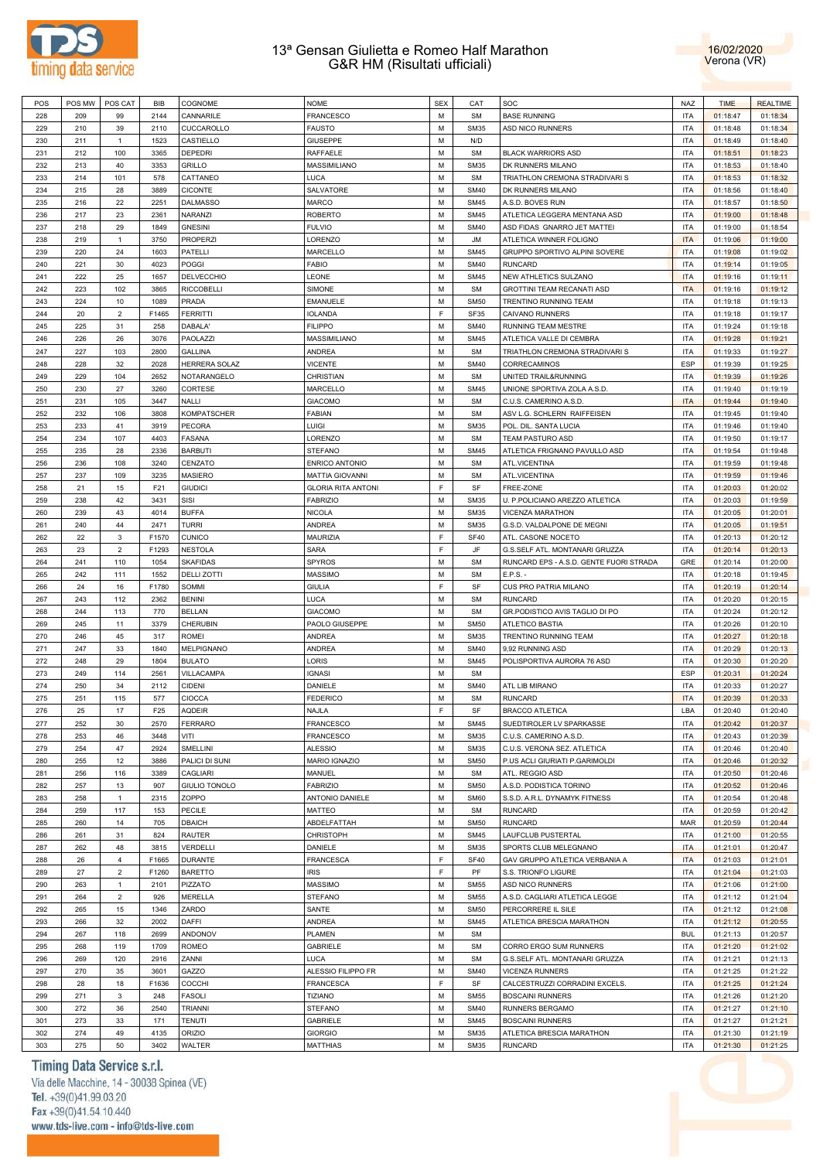



| POS | POS MW | POS CAT        | BIB             | COGNOME              | <b>NOME</b>               | <b>SEX</b>  | CAT         | SOC                                     | NAZ        | <b>TIME</b> | <b>REALTIME</b> |
|-----|--------|----------------|-----------------|----------------------|---------------------------|-------------|-------------|-----------------------------------------|------------|-------------|-----------------|
| 228 | 209    | 99             | 2144            | CANNARILE            | <b>FRANCESCO</b>          | M           | <b>SM</b>   | <b>BASE RUNNING</b>                     | <b>ITA</b> | 01:18:47    | 01:18:34        |
| 229 | 210    | 39             | 2110            | CUCCAROLLO           | <b>FAUSTO</b>             | M           | <b>SM35</b> | ASD NICO RUNNERS                        | <b>ITA</b> | 01:18:48    | 01:18:34        |
| 230 | 211    | $\mathbf{1}$   | 1523            | CASTIELLO            | <b>GIUSEPPE</b>           | M           | N/D         |                                         | <b>ITA</b> | 01:18:49    | 01:18:40        |
| 231 | 212    | 100            | 3365            | DEPEDRI              | RAFFAELE                  | M           | <b>SM</b>   | <b>BLACK WARRIORS ASD</b>               | <b>ITA</b> | 01:18:51    | 01:18:23        |
| 232 | 213    | 40             | 3353            | <b>GRILLO</b>        | MASSIMILIANO              | M           | <b>SM35</b> | DK RUNNERS MILANO                       | <b>ITA</b> | 01:18:53    | 01:18:40        |
|     |        |                |                 |                      |                           |             |             |                                         |            |             |                 |
| 233 | 214    | 101            | 578             | CATTANEO             | LUCA                      | M           | <b>SM</b>   | TRIATHLON CREMONA STRADIVARI S          | <b>ITA</b> | 01:18:53    | 01:18:32        |
| 234 | 215    | 28             | 3889            | <b>CICONTE</b>       | SALVATORE                 | M           | <b>SM40</b> | DK RUNNERS MILANO                       | <b>ITA</b> | 01:18:56    | 01:18:40        |
| 235 | 216    | 22             | 2251            | <b>DALMASSO</b>      | <b>MARCO</b>              | M           | <b>SM45</b> | A.S.D. BOVES RUN                        | <b>ITA</b> | 01:18:57    | 01:18:50        |
| 236 | 217    | 23             | 2361            | <b>NARANZI</b>       | <b>ROBERTO</b>            | M           | <b>SM45</b> | ATLETICA LEGGERA MENTANA ASD            | <b>ITA</b> | 01:19:00    | 01:18:48        |
| 237 | 218    | 29             | 1849            | <b>GNESINI</b>       | <b>FULVIO</b>             | M           | <b>SM40</b> | ASD FIDAS GNARRO JET MATTEI             | <b>ITA</b> | 01:19:00    | 01:18:54        |
| 238 | 219    | $\mathbf{1}$   | 3750            | <b>PROPERZI</b>      | LORENZO                   | M           | JM          | ATLETICA WINNER FOLIGNO                 | <b>ITA</b> | 01:19:06    | 01:19:00        |
| 239 | 220    | 24             | 1603            | PATELLI              | MARCELLO                  | M           | <b>SM45</b> | GRUPPO SPORTIVO ALPINI SOVERE           | <b>ITA</b> | 01:19:08    | 01:19:02        |
| 240 | 221    | 30             | 4023            | POGGI                | <b>FABIO</b>              | M           | <b>SM40</b> | <b>RUNCARD</b>                          | <b>ITA</b> | 01:19:14    | 01:19:05        |
| 241 | 222    | 25             | 1657            | <b>DELVECCHIO</b>    | LEONE                     | M           | <b>SM45</b> | NEW ATHLETICS SULZANO                   | <b>ITA</b> | 01:19:16    | 01:19:11        |
|     |        |                |                 |                      |                           |             |             |                                         |            |             |                 |
| 242 | 223    | 102            | 3865            | <b>RICCOBELLI</b>    | SIMONE                    | M           | <b>SM</b>   | GROTTINI TEAM RECANATI ASD              | <b>ITA</b> | 01:19:16    | 01:19:12        |
| 243 | 224    | 10             | 1089            | PRADA                | <b>EMANUELE</b>           | M           | <b>SM50</b> | TRENTINO RUNNING TEAM                   | <b>ITA</b> | 01:19:18    | 01:19:13        |
| 244 | 20     | $\overline{2}$ | F1465           | <b>FERRITTI</b>      | <b>IOLANDA</b>            | F           | SF35        | CAIVANO RUNNERS                         | <b>ITA</b> | 01:19:18    | 01:19:17        |
| 245 | 225    | 31             | 258             | DABALA'              | <b>FILIPPO</b>            | M           | <b>SM40</b> | RUNNING TEAM MESTRE                     | <b>ITA</b> | 01:19:24    | 01:19:18        |
| 246 | 226    | 26             | 3076            | PAOLAZZI             | MASSIMILIANO              | M           | <b>SM45</b> | ATLETICA VALLE DI CEMBRA                | <b>ITA</b> | 01:19:28    | 01:19:21        |
| 247 | 227    | 103            | 2800            | <b>GALLINA</b>       | ANDREA                    | M           | <b>SM</b>   | TRIATHLON CREMONA STRADIVARI S          | <b>ITA</b> | 01:19:33    | 01:19:27        |
| 248 | 228    | 32             | 2028            | HERRERA SOLAZ        | <b>VICENTE</b>            | M           | <b>SM40</b> | CORRECAMINOS                            | ESP        | 01:19:39    | 01:19:25        |
| 249 | 229    | 104            | 2652            | NOTARANGELO          | CHRISTIAN                 | M           | <b>SM</b>   | UNITED TRAIL&RUNNING                    | <b>ITA</b> | 01:19:39    | 01:19:26        |
| 250 | 230    | 27             | 3260            | CORTESE              | MARCELLO                  | M           | <b>SM45</b> | UNIONE SPORTIVA ZOLA A.S.D.             | <b>ITA</b> | 01:19:40    | 01:19:19        |
|     |        |                |                 |                      |                           |             |             |                                         |            |             |                 |
| 251 | 231    | 105            | 3447            | NALLI                | <b>GIACOMO</b>            | M           | <b>SM</b>   | C.U.S. CAMERINO A.S.D.                  | <b>ITA</b> | 01:19:44    | 01:19:40        |
| 252 | 232    | 106            | 3808            | <b>KOMPATSCHER</b>   | <b>FABIAN</b>             | M           | <b>SM</b>   | ASV L.G. SCHLERN RAIFFEISEN             | <b>ITA</b> | 01:19:45    | 01:19:40        |
| 253 | 233    | 41             | 3919            | PECORA               | LUIGI                     | M           | <b>SM35</b> | POL. DIL. SANTA LUCIA                   | <b>ITA</b> | 01:19:46    | 01:19:40        |
| 254 | 234    | 107            | 4403            | FASANA               | LORENZO                   | M           | <b>SM</b>   | TEAM PASTURO ASD                        | <b>ITA</b> | 01:19:50    | 01:19:17        |
| 255 | 235    | 28             | 2336            | <b>BARBUTI</b>       | <b>STEFANO</b>            | M           | <b>SM45</b> | ATLETICA FRIGNANO PAVULLO ASD           | <b>ITA</b> | 01:19:54    | 01:19:48        |
| 256 | 236    | 108            | 3240            | CENZATO              | <b>ENRICO ANTONIO</b>     | M           | <b>SM</b>   | ATL.VICENTINA                           | <b>ITA</b> | 01:19:59    | 01:19:48        |
| 257 | 237    | 109            | 3235            | <b>MASIERO</b>       | <b>MATTIA GIOVANNI</b>    | M           | <b>SM</b>   | ATL.VICENTINA                           | <b>ITA</b> | 01:19:59    | 01:19:46        |
| 258 | 21     | 15             | F21             | <b>GIUDICI</b>       | <b>GLORIA RITA ANTONI</b> | F           | SF          | FREE-ZONE                               | <b>ITA</b> | 01:20:03    | 01:20:02        |
| 259 | 238    | 42             | 3431            | SISI                 | <b>FABRIZIO</b>           | M           | <b>SM35</b> | U. P.POLICIANO AREZZO ATLETICA          | <b>ITA</b> | 01:20:03    | 01:19:59        |
|     |        |                |                 |                      |                           | M           |             |                                         |            |             |                 |
| 260 | 239    | 43             | 4014            | <b>BUFFA</b>         | <b>NICOLA</b>             |             | <b>SM35</b> | VICENZA MARATHON                        | <b>ITA</b> | 01:20:05    | 01:20:01        |
| 261 | 240    | 44             | 2471            | <b>TURRI</b>         | ANDREA                    | M           | <b>SM35</b> | G.S.D. VALDALPONE DE MEGNI              | <b>ITA</b> | 01:20:05    | 01:19:51        |
| 262 | 22     | 3              | F1570           | <b>CUNICO</b>        | MAURIZIA                  | F           | <b>SF40</b> | ATL. CASONE NOCETO                      | <b>ITA</b> | 01:20:13    | 01:20:12        |
| 263 | 23     | $\overline{2}$ | F1293           | <b>NESTOLA</b>       | <b>SARA</b>               | $\mathsf F$ | JF          | G.S.SELF ATL. MONTANARI GRUZZA          | <b>ITA</b> | 01:20:14    | 01:20:13        |
| 264 | 241    | 110            | 1054            | <b>SKAFIDAS</b>      | SPYROS                    | M           | <b>SM</b>   | RUNCARD EPS - A.S.D. GENTE FUORI STRADA | GRE        | 01:20:14    | 01:20:00        |
| 265 | 242    | 111            | 1552            | <b>DELLI ZOTTI</b>   | <b>MASSIMO</b>            | M           | <b>SM</b>   | E.P.S. -                                | <b>ITA</b> | 01:20:18    | 01:19:45        |
| 266 | 24     | 16             | F1780           | SOMMI                | <b>GIULIA</b>             | F           | SF          | CUS PRO PATRIA MILANO                   | <b>ITA</b> | 01:20:19    | 01:20:14        |
| 267 | 243    | 112            | 2362            | <b>BENINI</b>        | LUCA                      | M           | <b>SM</b>   | <b>RUNCARD</b>                          | <b>ITA</b> | 01:20:20    | 01:20:15        |
| 268 | 244    | 113            | 770             | <b>BELLAN</b>        | <b>GIACOMO</b>            | M           | <b>SM</b>   | GR.PODISTICO AVIS TAGLIO DI PO          | <b>ITA</b> | 01:20:24    | 01:20:12        |
|     | 245    | 11             | 3379            |                      |                           | M           | <b>SM50</b> | ATLETICO BASTIA                         | <b>ITA</b> |             |                 |
| 269 |        |                |                 | CHERUBIN             | PAOLO GIUSEPPE            |             |             |                                         |            | 01:20:26    | 01:20:10        |
| 270 | 246    | 45             | 317             | ROMEI                | ANDREA                    | M           | <b>SM35</b> | TRENTINO RUNNING TEAM                   | <b>ITA</b> | 01:20:27    | 01:20:18        |
| 271 | 247    | 33             | 1840            | MELPIGNANO           | ANDREA                    | M           | <b>SM40</b> | 9,92 RUNNING ASD                        | <b>ITA</b> | 01:20:29    | 01:20:13        |
| 272 | 248    | 29             | 1804            | <b>BULATO</b>        | LORIS                     | M           | <b>SM45</b> | POLISPORTIVA AURORA 76 ASD              | <b>ITA</b> | 01:20:30    | 01:20:20        |
| 273 | 249    | 114            | 2561            | VILLACAMPA           | <b>IGNASI</b>             | M           | <b>SM</b>   |                                         | ESP        | 01:20:31    | 01:20:24        |
| 274 | 250    | 34             | 2112            | <b>CIDENI</b>        | DANIELE                   | M           | <b>SM40</b> | ATL LIB MIRANO                          | <b>ITA</b> | 01:20:33    | 01:20:27        |
| 275 | 251    | 115            | 577             | <b>CIOCCA</b>        | <b>FEDERICO</b>           | M           | <b>SM</b>   | <b>RUNCARD</b>                          | <b>ITA</b> | 01:20:39    | 01:20:33        |
| 276 | 25     | 17             | F <sub>25</sub> | <b>AQDEIR</b>        | NAJLA                     | E           | SF          | <b>BRACCO ATLETICA</b>                  | LBA        | 01:20:40    | 01:20:40        |
| 277 | 252    | 30             | 2570            | <b>FERRARO</b>       | FRANCESCO                 | M           | <b>SM45</b> | SUEDTIROLER LV SPARKASSE                | <b>ITA</b> | 01:20:42    | 01:20:37        |
| 278 | 253    | 46             | 3448            | VITI                 | FRANCESCO                 | M           | <b>SM35</b> | C.U.S. CAMERINO A.S.D.                  | <b>ITA</b> | 01:20:43    | 01:20:39        |
|     |        |                |                 |                      |                           |             |             |                                         |            |             |                 |
| 279 | 254    | 47             | 2924            | SMELLINI             | <b>ALESSIO</b>            | M           | <b>SM35</b> | C.U.S. VERONA SEZ. ATLETICA             | <b>ITA</b> | 01:20:46    | 01:20:40        |
| 280 | 255    | 12             | 3886            | PALICI DI SUNI       | MARIO IGNAZIO             | M           | <b>SM50</b> | P.US ACLI GIURIATI P.GARIMOLDI          | <b>ITA</b> | 01:20:46    | 01:20:32        |
| 281 | 256    | 116            | 3389            | CAGLIARI             | MANUEL                    | M           | <b>SM</b>   | ATL. REGGIO ASD                         | <b>ITA</b> | 01:20:50    | 01:20:46        |
| 282 | 257    | 13             | 907             | <b>GIULIO TONOLO</b> | <b>FABRIZIO</b>           | M           | <b>SM50</b> | A.S.D. PODISTICA TORINO                 | <b>ITA</b> | 01:20:52    | 01:20:46        |
| 283 | 258    | $\mathbf{1}$   | 2315            | ZOPPO                | ANTONIO DANIELE           | M           | <b>SM60</b> | S.S.D. A.R.L. DYNAMYK FITNESS           | <b>ITA</b> | 01:20:54    | 01:20:48        |
| 284 | 259    | 117            | 153             | PECILE               | MATTEO                    | M           | <b>SM</b>   | <b>RUNCARD</b>                          | <b>ITA</b> | 01:20:59    | 01:20:42        |
| 285 | 260    | 14             | 705             | DBAICH               | ABDELFATTAH               | M           | <b>SM50</b> | <b>RUNCARD</b>                          | <b>MAR</b> | 01:20:59    | 01:20:44        |
| 286 | 261    | 31             | 824             | RAUTER               | <b>CHRISTOPH</b>          | M           | <b>SM45</b> | LAUFCLUB PUSTERTAL                      | <b>ITA</b> | 01:21:00    | 01:20:55        |
| 287 | 262    | 48             | 3815            | VERDELLI             | DANIELE                   | M           | <b>SM35</b> | SPORTS CLUB MELEGNANO                   | <b>ITA</b> | 01:21:01    | 01:20:47        |
|     |        |                |                 |                      |                           |             |             |                                         |            |             |                 |
| 288 | 26     | $\overline{4}$ | F1665           | <b>DURANTE</b>       | <b>FRANCESCA</b>          | F           | <b>SF40</b> | GAV GRUPPO ATLETICA VERBANIA A          | <b>ITA</b> | 01:21:03    | 01:21:01        |
| 289 | 27     | $\overline{c}$ | F1260           | <b>BARETTO</b>       | <b>IRIS</b>               | $\mathsf F$ | PF          | S.S. TRIONFO LIGURE                     | <b>ITA</b> | 01:21:04    | 01:21:03        |
| 290 | 263    | $\mathbf{1}$   | 2101            | PIZZATO              | <b>MASSIMO</b>            | M           | <b>SM55</b> | ASD NICO RUNNERS                        | <b>ITA</b> | 01:21:06    | 01:21:00        |
| 291 |        |                | 926             | MERELLA              | <b>STEFANO</b>            | M           | <b>SM55</b> | A.S.D. CAGLIARI ATLETICA LEGGE          | <b>ITA</b> | 01:21:12    | 01:21:04        |
|     | 264    | $\overline{c}$ |                 |                      |                           | M           | <b>SM50</b> | PERCORRERE IL SILE                      | <b>ITA</b> |             |                 |
| 292 | 265    | 15             | 1346            | ZARDO                | SANTE                     |             |             |                                         |            | 01:21:12    | 01:21:08        |
| 293 | 266    | 32             | 2002            | DAFFI                | ANDREA                    | M           | <b>SM45</b> | ATLETICA BRESCIA MARATHON               | <b>ITA</b> | 01:21:12    | 01:20:55        |
|     |        |                | 2699            |                      |                           | M           | <b>SM</b>   |                                         | <b>BUL</b> |             |                 |
| 294 | 267    | 118            |                 | ANDONOV              | PLAMEN                    |             |             |                                         |            | 01:21:13    | 01:20:57        |
| 295 | 268    | 119            | 1709            | <b>ROMEO</b>         | <b>GABRIELE</b>           | M           | <b>SM</b>   | CORRO ERGO SUM RUNNERS                  | <b>ITA</b> | 01:21:20    | 01:21:02        |
| 296 | 269    | 120            | 2916            | ZANNI                | LUCA                      | M           | <b>SM</b>   | G.S.SELF ATL. MONTANARI GRUZZA          | <b>ITA</b> | 01:21:21    | 01:21:13        |
| 297 | 270    | 35             | 3601            | GAZZO                | ALESSIO FILIPPO FR        | M           | <b>SM40</b> | <b>VICENZA RUNNERS</b>                  | <b>ITA</b> | 01:21:25    | 01:21:22        |
| 298 | 28     | 18             | F1636           | COCCHI               | FRANCESCA                 | F           | SF          | CALCESTRUZZI CORRADINI EXCELS.          | <b>ITA</b> | 01:21:25    | 01:21:24        |
| 299 | 271    | $\mathbf{3}$   | 248             | FASOLI               | <b>TIZIANO</b>            | M           | <b>SM55</b> | <b>BOSCAINI RUNNERS</b>                 | <b>ITA</b> | 01:21:26    | 01:21:20        |
| 300 | 272    | 36             | 2540            | <b>TRIANNI</b>       | <b>STEFANO</b>            | M           | <b>SM40</b> | RUNNERS BERGAMO                         | <b>ITA</b> | 01:21:27    | 01:21:10        |
| 301 | 273    | 33             | 171             | <b>TENUTI</b>        | GABRIELE                  | M           | <b>SM45</b> | <b>BOSCAINI RUNNERS</b>                 | <b>ITA</b> | 01:21:27    | 01:21:21        |
| 302 | 274    | 49             | 4135            | ORIZIO               | <b>GIORGIO</b>            | M           | <b>SM35</b> | ATLETICA BRESCIA MARATHON               | <b>ITA</b> | 01:21:30    | 01:21:19        |

# Timing Data Service s.r.l.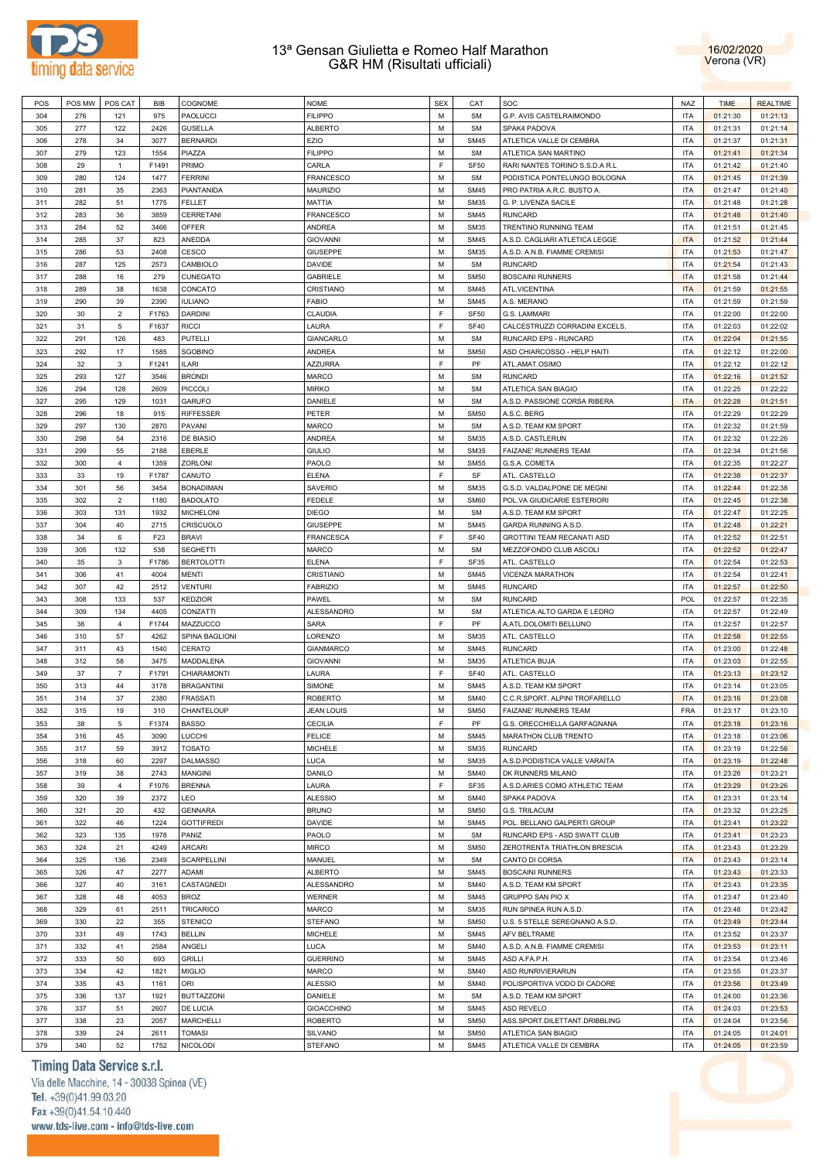



| POS | POS MW | POS CAT        | BIB             | COGNOME               | <b>NOME</b>       | <b>SEX</b> | CAT         | SOC                             | <b>NAZ</b> | <b>TIME</b> | <b>REALTIME</b> |
|-----|--------|----------------|-----------------|-----------------------|-------------------|------------|-------------|---------------------------------|------------|-------------|-----------------|
| 304 | 276    | 121            | 975             | PAOLUCCI              | <b>FILIPPO</b>    | M          | <b>SM</b>   | G.P. AVIS CASTELRAIMONDO        | ITA        | 01:21:30    | 01:21:13        |
|     |        |                |                 |                       |                   | M          |             |                                 | <b>ITA</b> |             |                 |
| 305 | 277    | 122            | 2426            | <b>GUSELLA</b>        | <b>ALBERTO</b>    |            | <b>SM</b>   | SPAK4 PADOVA                    |            | 01:21:31    | 01:21:14        |
| 306 | 278    | 34             | 3077            | <b>BERNARDI</b>       | EZIO              | M          | <b>SM45</b> | ATLETICA VALLE DI CEMBRA        | <b>ITA</b> | 01:21:37    | 01:21:31        |
| 307 | 279    | 123            | 1554            | PIAZZA                | <b>FILIPPO</b>    | M          | <b>SM</b>   | ATLETICA SAN MARTINO            | <b>ITA</b> | 01:21:41    | 01:21:34        |
| 308 | 29     | $\mathbf{1}$   | F1491           | PRIMO                 | CARLA             | E          | <b>SF50</b> | RARI NANTES TORINO S.S.D.A R.L. | <b>ITA</b> | 01:21:42    | 01:21:40        |
| 309 | 280    | 124            | 1477            | <b>FERRINI</b>        | <b>FRANCESCO</b>  | M          | <b>SM</b>   | PODISTICA PONTELUNGO BOLOGNA    | <b>ITA</b> | 01:21:45    | 01:21:39        |
| 310 | 281    | 35             |                 | PIANTANIDA            | <b>MAURIZIO</b>   | M          | <b>SM45</b> | PRO PATRIA A.R.C. BUSTO A.      | <b>ITA</b> | 01:21:47    | 01:21:40        |
|     |        |                | 2363            |                       |                   |            |             |                                 |            |             |                 |
| 311 | 282    | 51             | 1775            | FELLET                | MATTIA            | м          | <b>SM35</b> | G. P. LIVENZA SACILE            | ITA        | 01:21:48    | 01:21:28        |
| 312 | 283    | 36             | 3859            | <b>CERRETANI</b>      | <b>FRANCESCO</b>  | M          | <b>SM45</b> | <b>RUNCARD</b>                  | ITA        | 01:21:48    | 01:21:40        |
| 313 | 284    | 52             | 3466            | OFFER                 | <b>ANDREA</b>     | м          | <b>SM35</b> | TRENTINO RUNNING TEAM           | <b>ITA</b> | 01:21:51    | 01:21:45        |
| 314 | 285    | 37             | 823             | ANEDDA                | <b>GIOVANNI</b>   | M          | <b>SM45</b> | A.S.D. CAGLIARI ATLETICA LEGGE  | <b>ITA</b> | 01:21:52    | 01:21:44        |
|     |        |                |                 |                       |                   | м          |             |                                 |            |             |                 |
| 315 | 286    | 53             | 2408            | CESCO                 | <b>GIUSEPPE</b>   |            | <b>SM35</b> | A.S.D. A.N.B. FIAMME CREMISI    | <b>ITA</b> | 01:21:53    | 01:21:47        |
| 316 | 287    | 125            | 2573            | CAMBIOLO              | <b>DAVIDE</b>     | M          | <b>SM</b>   | <b>RUNCARD</b>                  | <b>ITA</b> | 01:21:54    | 01:21:43        |
| 317 | 288    | 16             | 279             | CUNEGATO              | <b>GABRIELE</b>   | M          | <b>SM50</b> | <b>BOSCAINI RUNNERS</b>         | <b>ITA</b> | 01:21:58    | 01:21:44        |
| 318 | 289    | 38             | 1638            | CONCATO               | CRISTIANO         | M          | <b>SM45</b> | ATL.VICENTINA                   | <b>ITA</b> | 01:21:59    | 01:21:55        |
| 319 | 290    | 39             | 2390            | <b>IULIANO</b>        | <b>FABIO</b>      | M          | <b>SM45</b> | A.S. MERANO                     | <b>ITA</b> | 01:21:59    | 01:21:59        |
|     |        |                |                 |                       |                   | E          |             |                                 |            |             |                 |
| 320 | 30     | $\overline{2}$ | F1763           | <b>DARDINI</b>        | <b>CLAUDIA</b>    |            | <b>SF50</b> | G.S. LAMMARI                    | <b>ITA</b> | 01:22:00    | 01:22:00        |
| 321 | 31     | 5              | F1637           | <b>RICCI</b>          | LAURA             | F          | <b>SF40</b> | CALCESTRUZZI CORRADINI EXCELS.  | <b>ITA</b> | 01:22:03    | 01:22:02        |
| 322 | 291    | 126            | 483             | PUTELLI               | <b>GIANCARLO</b>  | M          | <b>SM</b>   | RUNCARD EPS - RUNCARD           | <b>ITA</b> | 01:22:04    | 01:21:55        |
| 323 | 292    | 17             | 1585            | <b>SGOBINO</b>        | <b>ANDREA</b>     | М          | <b>SM50</b> | ASD CHIARCOSSO - HELP HAITI     | ITA        | 01:22:12    | 01:22:00        |
| 324 | 32     | 3              | F1241           | <b>ILARI</b>          | <b>AZZURRA</b>    | F          | PF          | ATL.AMAT.OSIMO                  | ITA        | 01:22:12    | 01:22:12        |
|     |        |                |                 |                       |                   |            |             |                                 |            |             |                 |
| 325 | 293    | 127            | 3546            | <b>BRONDI</b>         | <b>MARCO</b>      | м          | <b>SM</b>   | <b>RUNCARD</b>                  | <b>ITA</b> | 01:22:16    | 01:21:52        |
| 326 | 294    | 128            | 2609            | <b>PICCOLI</b>        | <b>MIRKO</b>      | М          | <b>SM</b>   | ATLETICA SAN BIAGIO             | <b>ITA</b> | 01:22:25    | 01:22:22        |
| 327 | 295    | 129            | 1031            | <b>GARUFO</b>         | DANIELE           | м          | <b>SM</b>   | A.S.D. PASSIONE CORSA RIBERA    | <b>ITA</b> | 01:22:28    | 01:21:51        |
| 328 | 296    | 18             | 915             | <b>RIFFESSER</b>      | PETER             | M          | <b>SM50</b> | A.S.C. BERG                     | <b>ITA</b> | 01:22:29    | 01:22:29        |
| 329 | 297    | 130            | 2870            | PAVANI                | <b>MARCO</b>      | M          | <b>SM</b>   | A.S.D. TEAM KM SPORT            | <b>ITA</b> | 01:22:32    | 01:21:59        |
|     |        |                |                 |                       |                   |            |             |                                 |            |             |                 |
| 330 | 298    | 54             | 2316            | DE BIASIO             | ANDREA            | M          | <b>SM35</b> | A.S.D. CASTLERUN                | <b>ITA</b> | 01:22:32    | 01:22:26        |
| 331 | 299    | 55             | 2188            | <b>EBERLE</b>         | <b>GIULIO</b>     | M          | <b>SM35</b> | FAIZANE' RUNNERS TEAM           | <b>ITA</b> | 01:22:34    | 01:21:56        |
| 332 | 300    | $\overline{4}$ | 1359            | <b>ZORLONI</b>        | PAOLO             | M          | <b>SM55</b> | G.S.A. COMETA                   | <b>ITA</b> | 01:22:35    | 01:22:27        |
| 333 | 33     | 19             | F1787           | CANUTO                | <b>ELENA</b>      | E          | SF          | ATL. CASTELLO                   | <b>ITA</b> | 01:22:38    | 01:22:37        |
| 334 | 301    | 56             | 3454            | <b>BONADIMAN</b>      | <b>SAVERIO</b>    | M          | <b>SM35</b> | G.S.D. VALDALPONE DE MEGNI      | <b>ITA</b> | 01:22:44    | 01:22:38        |
|     |        |                |                 |                       |                   |            |             |                                 |            |             |                 |
| 335 | 302    | $\overline{2}$ | 1180            | <b>BADOLATO</b>       | <b>FEDELE</b>     | м          | <b>SM60</b> | POL.VA GIUDICARIE ESTERIORI     | ITA        | 01:22:45    | 01:22:38        |
| 336 | 303    | 131            | 1932            | <b>MICHELONI</b>      | <b>DIEGO</b>      | M          | <b>SM</b>   | A.S.D. TEAM KM SPORT            | ITA        | 01:22:47    | 01:22:25        |
| 337 | 304    | 40             | 2715            | <b>CRISCUOLO</b>      | <b>GIUSEPPE</b>   | м          | <b>SM45</b> | GARDA RUNNING A.S.D.            | <b>ITA</b> | 01:22:48    | 01:22:21        |
| 338 | 34     | 6              | F <sub>23</sub> | <b>BRAVI</b>          | <b>FRANCESCA</b>  | E          | <b>SF40</b> | GROTTINI TEAM RECANATI ASD      | <b>ITA</b> | 01:22:52    | 01:22:51        |
| 339 | 305    | 132            | 538             | <b>SEGHETTI</b>       | <b>MARCO</b>      | M          | <b>SM</b>   | MEZZOFONDO CLUB ASCOLI          | ITA        | 01:22:52    | 01:22:47        |
|     |        |                |                 |                       |                   |            |             |                                 |            |             |                 |
| 340 | 35     | 3              | F1786           | <b>BERTOLOTTI</b>     | <b>ELENA</b>      | E          | <b>SF35</b> | ATL. CASTELLO                   | ITA        | 01:22:54    | 01:22:53        |
| 341 | 306    | 41             | 4004            | MENTI                 | CRISTIANO         | м          | <b>SM45</b> | VICENZA MARATHON                | <b>ITA</b> | 01:22:54    | 01:22:41        |
| 342 | 307    | 42             | 2512            | <b>VENTURI</b>        | <b>FABRIZIO</b>   | M          | <b>SM45</b> | <b>RUNCARD</b>                  | <b>ITA</b> | 01:22:57    | 01:22:50        |
| 343 | 308    | 133            | 537             | <b>KEDZIOR</b>        | PAWEL             | M          | <b>SM</b>   | <b>RUNCARD</b>                  | POL        | 01:22:57    | 01:22:35        |
| 344 | 309    | 134            | 4405            | CONZATTI              | <b>ALESSANDRO</b> | M          | <b>SM</b>   | ATLETICA ALTO GARDA E LEDRO     | <b>ITA</b> | 01:22:57    | 01:22:49        |
|     |        |                |                 |                       |                   |            |             |                                 |            |             |                 |
| 345 | 36     | $\overline{4}$ | F1744           | MAZZUCCO              | <b>SARA</b>       | E          | PF          | A.ATL.DOLOMITI BELLUNO          | <b>ITA</b> | 01:22:57    | 01:22:57        |
| 346 | 310    | 57             | 4262            | <b>SPINA BAGLIONI</b> | LORENZO           | M          | <b>SM35</b> | ATL. CASTELLO                   | <b>ITA</b> | 01:22:58    | 01:22:55        |
| 347 | 311    | 43             | 1540            | CERATO                | <b>GIANMARCO</b>  | M          | <b>SM45</b> | <b>RUNCARD</b>                  | ITA        | 01:23:00    | 01:22:48        |
| 348 | 312    | 58             | 3475            | MADDALENA             | <b>GIOVANNI</b>   | M          | <b>SM35</b> | ATLETICA BUJA                   | ITA        | 01:23:03    | 01:22:55        |
| 349 | 37     | $\overline{7}$ | F1791           | CHIARAMONTI           | LAURA             | F          | <b>SF40</b> | ATL. CASTELLO                   | ITA        | 01:23:13    | 01:23:12        |
|     |        |                |                 |                       |                   |            |             |                                 |            |             |                 |
| 350 | 313    | 44             | 3178            | <b>BRAGANTINI</b>     | SIMONE            | М          | <b>SM45</b> | A.S.D. TEAM KM SPORT            | <b>ITA</b> | 01:23:14    | 01:23:05        |
| 351 | 314    | 37             | 2380            | <b>FRASSATI</b>       | <b>ROBERTO</b>    | M          | <b>SM40</b> | C.C.R.SPORT. ALPINI TROFARELLO  | <b>ITA</b> | 01:23:16    | 01:23:08        |
| 352 | 315    | 19             | 310             | CHANTELOUP            | <b>JEAN LOUIS</b> | M          | <b>SM50</b> | FAIZANE' RUNNERS TEAM           | <b>FRA</b> | 01:23:17    | 01:23:10        |
| 353 | 38     | 5              | F1374           | <b>BASSO</b>          | <b>CECILIA</b>    | E          | PF          | G.S. ORECCHIELLA GARFAGNANA     | ITA        | 01:23:18    | 01:23:16        |
| 354 | 316    | 45             | 3090            | LUCCHI                | <b>FELICE</b>     | M          | <b>SM45</b> | MARATHON CLUB TRENTO            | ITA        | 01:23:18    | 01:23:06        |
|     |        |                |                 |                       |                   |            |             |                                 |            |             |                 |
| 355 | 317    | 59             | 3912            | <b>TOSATO</b>         | <b>MICHELE</b>    | M          | <b>SM35</b> | <b>RUNCARD</b>                  | <b>ITA</b> | 01:23:19    | 01:22:56        |
| 356 | 318    | 60             | 2297            | <b>DALMASSO</b>       | <b>LUCA</b>       | M          | <b>SM35</b> | A.S.D.PODISTICA VALLE VARAITA   | <b>ITA</b> | 01:23:19    | 01:22:48        |
| 357 | 319    | 38             | 2743            | <b>MANGINI</b>        | <b>DANILO</b>     | M          | <b>SM40</b> | DK RUNNERS MILANO               | <b>ITA</b> | 01:23:26    | 01:23:21        |
| 358 | 39     | $\overline{4}$ | F1076           | <b>BRENNA</b>         | LAURA             | E          | SF35        | A.S.D.ARIES COMO ATHLETIC TEAM  | ITA        | 01:23:29    | 01:23:26        |
|     | 320    |                |                 | LEO                   |                   | M          | <b>SM40</b> |                                 | ITA        |             | 01:23:14        |
| 359 |        | 39             | 2372            |                       | <b>ALESSIO</b>    |            |             | SPAK4 PADOVA                    |            | 01:23:31    |                 |
| 360 | 321    | 20             | 432             | <b>GENNARA</b>        | <b>BRUNO</b>      | M          | <b>SM50</b> | <b>G.S. TRILACUM</b>            | ITA        | 01:23:32    | 01:23:25        |
| 361 | 322    | 46             | 1224            | <b>GOTTIFREDI</b>     | DAVIDE            | M          | <b>SM45</b> | POL. BELLANO GALPERTI GROUP     | ITA        | 01:23:41    | 01:23:22        |
| 362 | 323    | 135            | 1978            | PANIZ                 | PAOLO             | M          | <b>SM</b>   | RUNCARD EPS - ASD SWATT CLUB    | ITA        | 01:23:41    | 01:23:23        |
| 363 | 324    | 21             | 4249            | <b>ARCARI</b>         | <b>MIRCO</b>      | M          | <b>SM50</b> | ZEROTRENTA TRIATHLON BRESCIA    | <b>ITA</b> | 01:23:43    | 01:23:29        |
|     |        |                |                 | <b>SCARPELLINI</b>    |                   |            |             |                                 |            |             |                 |
| 364 | 325    | 136            | 2349            |                       | MANUEL            | M          | <b>SM</b>   | CANTO DI CORSA                  | <b>ITA</b> | 01:23:43    | 01:23:14        |
| 365 | 326    | 47             | 2277            | ADAMI                 | <b>ALBERTO</b>    | M          | <b>SM45</b> | <b>BOSCAINI RUNNERS</b>         | ITA        | 01:23:43    | 01:23:33        |
| 366 | 327    | 40             | 3161            | CASTAGNEDI            | ALESSANDRO        | M          | <b>SM40</b> | A.S.D. TEAM KM SPORT            | ITA        | 01:23:43    | 01:23:35        |
| 367 | 328    | 48             | 4053            | <b>BROZ</b>           | <b>WERNER</b>     | M          | <b>SM45</b> | GRUPPO SAN PIO X                | <b>ITA</b> | 01:23:47    | 01:23:40        |
| 368 | 329    | 61             | 2511            | TRICARICO             | MARCO             | M          | <b>SM35</b> | RUN SPINEA RUN A.S.D.           | ITA        | 01:23:48    | 01:23:42        |
|     |        |                |                 |                       |                   |            |             |                                 |            |             |                 |
| 369 | 330    | 22             | 355             | <b>STENICO</b>        | <b>STEFANO</b>    | M          | <b>SM50</b> | U.S. 5 STELLE SEREGNANO A.S.D.  | <b>ITA</b> | 01:23:49    | 01:23:44        |
| 370 | 331    | 49             | 1743            | <b>BELLIN</b>         | <b>MICHELE</b>    | M          | <b>SM45</b> | AFV BELTRAME                    | ITA        | 01:23:52    | 01:23:37        |
| 371 | 332    | 41             | 2584            | ANGELI                | LUCA              | M          | <b>SM40</b> | A.S.D. A.N.B. FIAMME CREMISI    | ITA        | 01:23:53    | 01:23:11        |
| 372 | 333    | 50             | 693             | <b>GRILLI</b>         | <b>GUERRINO</b>   | M          | <b>SM45</b> | ASD A.FA.P.H.                   | ITA        | 01:23:54    | 01:23:46        |
| 373 | 334    | 42             | 1821            | <b>MIGLIO</b>         | <b>MARCO</b>      | M          | <b>SM40</b> | ASD RUNRIVIERARUN               | ITA        | 01:23:55    | 01:23:37        |
|     |        |                |                 |                       |                   |            |             |                                 |            |             |                 |
| 374 | 335    | 43             | 1161            | ORI                   | <b>ALESSIO</b>    | M          | <b>SM40</b> | POLISPORTIVA VODO DI CADORE     | ITA        | 01:23:56    | 01:23:49        |
| 375 | 336    | 137            | 1921            | <b>BUTTAZZONI</b>     | DANIELE           | M          | <b>SM</b>   | A.S.D. TEAM KM SPORT            | ITA        | 01:24:00    | 01:23:36        |
| 376 | 337    | 51             | 2607            | DE LUCIA              | <b>GIOACCHINO</b> | M          | <b>SM45</b> | ASD REVELO                      | ITA        | 01:24:03    | 01:23:53        |
| 377 | 338    | 23             | 2057            | MARCHELLI             | <b>ROBERTO</b>    | M          | <b>SM50</b> | ASS.SPORT.DILETTANT.DRIBBLING   | ITA        | 01:24:04    | 01:23:56        |
|     |        |                |                 |                       |                   |            |             |                                 |            |             |                 |
| 378 | 339    | 24             | 2611            | <b>TOMASI</b>         | SILVANO           | M          | <b>SM50</b> | ATLETICA SAN BIAGIO             | <b>ITA</b> | 01:24:05    | 01:24:01        |
| 379 | 340    | 52             | 1752            | <b>NICOLODI</b>       | <b>STEFANO</b>    | М          | <b>SM45</b> | ATLETICA VALLE DI CEMBRA        | <b>ITA</b> | 01:24:05    | 01:23:59        |

# Timing Data Service s.r.l.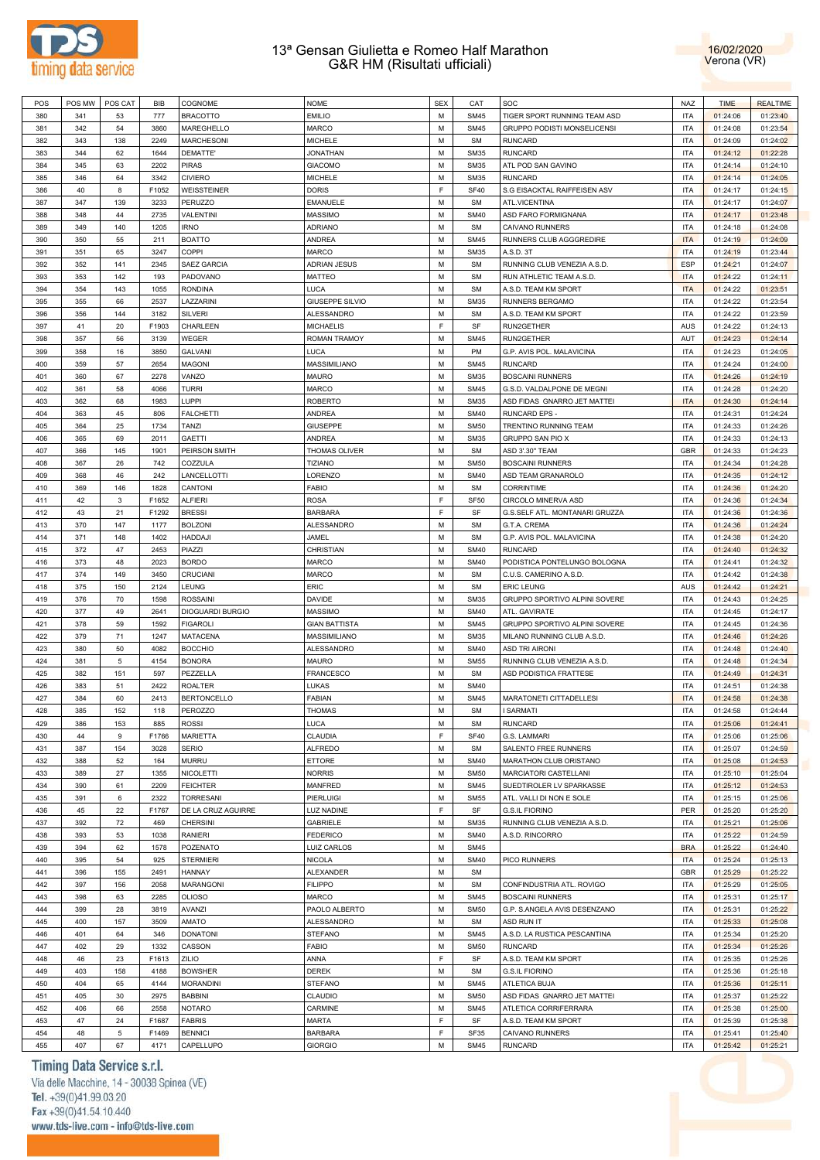



| POS | POS MW | POS CAT | <b>BIB</b> | COGNOME                 | <b>NOME</b>          | <b>SEX</b> | CAT         | SOC                            | NAZ        | <b>TIME</b> | <b>REALTIME</b> |
|-----|--------|---------|------------|-------------------------|----------------------|------------|-------------|--------------------------------|------------|-------------|-----------------|
| 380 | 341    | 53      | 777        | <b>BRACOTTO</b>         | <b>EMILIO</b>        | M          | <b>SM45</b> | TIGER SPORT RUNNING TEAM ASD   | <b>ITA</b> | 01:24:06    | 01:23:40        |
| 381 | 342    | 54      | 3860       | MAREGHELLO              | MARCO                | М          | <b>SM45</b> | GRUPPO PODISTI MONSELICENSI    | <b>ITA</b> | 01:24:08    | 01:23:54        |
|     |        |         |            |                         |                      |            |             |                                |            |             |                 |
| 382 | 343    | 138     | 2249       | <b>MARCHESONI</b>       | MICHELE              | M          | <b>SM</b>   | <b>RUNCARD</b>                 | <b>ITA</b> | 01:24:09    | 01:24:02        |
| 383 | 344    | 62      | 1644       | DEMATTE'                | <b>JONATHAN</b>      | М          | <b>SM35</b> | <b>RUNCARD</b>                 | <b>ITA</b> | 01:24:12    | 01:22:28        |
| 384 | 345    | 63      | 2202       | <b>PIRAS</b>            | <b>GIACOMO</b>       | M          | <b>SM35</b> | ATL POD SAN GAVINO             | <b>ITA</b> | 01:24:14    | 01:24:10        |
| 385 | 346    | 64      | 3342       | <b>CIVIERO</b>          | <b>MICHELE</b>       | M          | <b>SM35</b> | <b>RUNCARD</b>                 | <b>ITA</b> | 01:24:14    | 01:24:05        |
| 386 | 40     | 8       | F1052      | <b>WEISSTEINER</b>      | <b>DORIS</b>         | E          | <b>SF40</b> | S.G EISACKTAL RAIFFEISEN ASV   | <b>ITA</b> | 01:24:17    | 01:24:15        |
| 387 | 347    | 139     | 3233       | <b>PERUZZO</b>          | <b>EMANUELE</b>      | M          | <b>SM</b>   | ATL.VICENTINA                  | <b>ITA</b> | 01:24:17    | 01:24:07        |
|     |        |         |            |                         |                      |            |             |                                |            |             |                 |
| 388 | 348    | 44      | 2735       | <b>VALENTINI</b>        | MASSIMO              | M          | <b>SM40</b> | ASD FARO FORMIGNANA            | <b>ITA</b> | 01:24:17    | 01:23:48        |
| 389 | 349    | 140     | 1205       | <b>IRNO</b>             | <b>ADRIANO</b>       | M          | <b>SM</b>   | CAIVANO RUNNERS                | <b>ITA</b> | 01:24:18    | 01:24:08        |
| 390 | 350    | 55      | 211        | <b>BOATTO</b>           | ANDREA               | M          | <b>SM45</b> | RUNNERS CLUB AGGGREDIRE        | <b>ITA</b> | 01:24:19    | 01:24:09        |
| 391 | 351    | 65      | 3247       | COPPI                   | MARCO                | M          | <b>SM35</b> | A.S.D. 3T                      | <b>ITA</b> | 01:24:19    | 01:23:44        |
| 392 | 352    | 141     | 2345       | <b>SAEZ GARCIA</b>      | ADRIAN JESUS         | M          | <b>SM</b>   | RUNNING CLUB VENEZIA A.S.D.    | <b>ESP</b> | 01:24:21    | 01:24:07        |
|     |        | 142     | 193        |                         |                      | М          | <b>SM</b>   |                                | <b>ITA</b> |             |                 |
| 393 | 353    |         |            | PADOVANO                | MATTEO               |            |             | RUN ATHLETIC TEAM A.S.D.       |            | 01:24:22    | 01:24:11        |
| 394 | 354    | 143     | 1055       | <b>RONDINA</b>          | LUCA                 | M          | <b>SM</b>   | A.S.D. TEAM KM SPORT           | <b>ITA</b> | 01:24:22    | 01:23:51        |
| 395 | 355    | 66      | 2537       | LAZZARINI               | GIUSEPPE SILVIO      | М          | <b>SM35</b> | RUNNERS BERGAMO                | <b>ITA</b> | 01:24:22    | 01:23:54        |
| 396 | 356    | 144     | 3182       | <b>SILVERI</b>          | <b>ALESSANDRO</b>    | M          | <b>SM</b>   | A.S.D. TEAM KM SPORT           | <b>ITA</b> | 01:24:22    | 01:23:59        |
| 397 | 41     | 20      | F1903      | CHARLEEN                | <b>MICHAELIS</b>     | E          | SF          | RUN2GETHER                     | AUS        | 01:24:22    | 01:24:13        |
| 398 | 357    | 56      | 3139       | WEGER                   | <b>ROMAN TRAMOY</b>  | M          | <b>SM45</b> | RUN2GETHER                     | AUT        | 01:24:23    | 01:24:14        |
|     |        |         | 3850       |                         |                      | M          |             |                                |            |             |                 |
| 399 | 358    | 16      |            | <b>GALVANI</b>          | LUCA                 |            | PM          | G.P. AVIS POL. MALAVICINA      | <b>ITA</b> | 01:24:23    | 01:24:05        |
| 400 | 359    | 57      | 2654       | <b>MAGONI</b>           | MASSIMILIANO         | M          | <b>SM45</b> | <b>RUNCARD</b>                 | <b>ITA</b> | 01:24:24    | 01:24:00        |
| 401 | 360    | 67      | 2278       | VANZO                   | MAURO                | M          | <b>SM35</b> | <b>BOSCAINI RUNNERS</b>        | <b>ITA</b> | 01:24:26    | 01:24:19        |
| 402 | 361    | 58      | 4066       | <b>TURRI</b>            | MARCO                | M          | <b>SM45</b> | G.S.D. VALDALPONE DE MEGNI     | <b>ITA</b> | 01:24:28    | 01:24:20        |
| 403 | 362    | 68      | 1983       | LUPPI                   | <b>ROBERTO</b>       | M          | <b>SM35</b> | ASD FIDAS GNARRO JET MATTEI    | <b>ITA</b> | 01:24:30    | 01:24:14        |
| 404 | 363    | 45      | 806        | <b>FALCHETTI</b>        | ANDREA               | M          | <b>SM40</b> | RUNCARD EPS -                  | <b>ITA</b> | 01:24:31    | 01:24:24        |
|     |        |         |            |                         |                      |            |             |                                |            |             |                 |
| 405 | 364    | 25      | 1734       | <b>TANZI</b>            | <b>GIUSEPPE</b>      | M          | <b>SM50</b> | TRENTINO RUNNING TEAM          | <b>ITA</b> | 01:24:33    | 01:24:26        |
| 406 | 365    | 69      | 2011       | <b>GAETTI</b>           | ANDREA               | M          | <b>SM35</b> | GRUPPO SAN PIO X               | <b>ITA</b> | 01:24:33    | 01:24:13        |
| 407 | 366    | 145     | 1901       | PEIRSON SMITH           | THOMAS OLIVER        | M          | <b>SM</b>   | ASD 3'.30" TEAM                | <b>GBR</b> | 01:24:33    | 01:24:23        |
| 408 | 367    | 26      | 742        | COZZULA                 | <b>TIZIANO</b>       | M          | <b>SM50</b> | <b>BOSCAINI RUNNERS</b>        | <b>ITA</b> | 01:24:34    | 01:24:28        |
| 409 | 368    | 46      | 242        | LANCELLOTTI             | LORENZO              | M          | <b>SM40</b> | ASD TEAM GRANAROLO             | <b>ITA</b> | 01:24:35    | 01:24:12        |
|     |        |         |            |                         |                      |            |             |                                |            |             |                 |
| 410 | 369    | 146     | 1828       | CANTONI                 | <b>FABIO</b>         | M          | <b>SM</b>   | <b>CORRINTIME</b>              | <b>ITA</b> | 01:24:36    | 01:24:20        |
| 411 | 42     | 3       | F1652      | <b>ALFIERI</b>          | <b>ROSA</b>          | E          | <b>SF50</b> | CIRCOLO MINERVA ASD            | <b>ITA</b> | 01:24:36    | 01:24:34        |
| 412 | 43     | 21      | F1292      | <b>BRESSI</b>           | <b>BARBARA</b>       | E          | SF          | G.S.SELF ATL. MONTANARI GRUZZA | <b>ITA</b> | 01:24:36    | 01:24:36        |
| 413 | 370    | 147     | 1177       | <b>BOLZONI</b>          | ALESSANDRO           | M          | <b>SM</b>   | G.T.A. CREMA                   | <b>ITA</b> | 01:24:36    | 01:24:24        |
| 414 | 371    | 148     | 1402       | <b>HADDAJI</b>          | JAMEL                | M          | <b>SM</b>   | G.P. AVIS POL. MALAVICINA      | <b>ITA</b> | 01:24:38    | 01:24:20        |
|     |        |         |            |                         |                      |            |             |                                |            |             |                 |
| 415 | 372    | 47      | 2453       | PIAZZI                  | CHRISTIAN            | M          | <b>SM40</b> | <b>RUNCARD</b>                 | <b>ITA</b> | 01:24:40    | 01:24:32        |
| 416 | 373    | 48      | 2023       | <b>BORDO</b>            | MARCO                | M          | <b>SM40</b> | PODISTICA PONTELUNGO BOLOGNA   | <b>ITA</b> | 01:24:41    | 01:24:32        |
| 417 | 374    | 149     | 3450       | CRUCIANI                | MARCO                | M          | <b>SM</b>   | C.U.S. CAMERINO A.S.D.         | <b>ITA</b> | 01:24:42    | 01:24:38        |
| 418 | 375    | 150     | 2124       | LEUNG                   | ERIC                 | M          | <b>SM</b>   | <b>ERIC LEUNG</b>              | AUS        | 01:24:42    | 01:24:21        |
| 419 | 376    | 70      | 1598       | <b>ROSSAINI</b>         | DAVIDE               | M          | <b>SM35</b> | GRUPPO SPORTIVO ALPINI SOVERE  | <b>ITA</b> | 01:24:43    | 01:24:25        |
| 420 |        | 49      | 2641       | <b>DIOGUARDI BURGIO</b> | <b>MASSIMO</b>       | M          | <b>SM40</b> | ATL. GAVIRATE                  | <b>ITA</b> |             |                 |
|     | 377    |         |            |                         |                      |            |             |                                |            | 01:24:45    | 01:24:17        |
| 421 | 378    | 59      | 1592       | <b>FIGAROLI</b>         | <b>GIAN BATTISTA</b> | M          | <b>SM45</b> | GRUPPO SPORTIVO ALPINI SOVERE  | <b>ITA</b> | 01:24:45    | 01:24:36        |
| 422 | 379    | 71      | 1247       | <b>MATACENA</b>         | MASSIMILIANO         | M          | <b>SM35</b> | MILANO RUNNING CLUB A.S.D      | <b>ITA</b> | 01:24:46    | 01:24:26        |
| 423 | 380    | 50      | 4082       | <b>BOCCHIO</b>          | ALESSANDRO           | M          | <b>SM40</b> | <b>ASD TRI AIRONI</b>          | <b>ITA</b> | 01:24:48    | 01:24:40        |
| 424 | 381    | 5       | 4154       | <b>BONORA</b>           | <b>MAURO</b>         | M          | <b>SM55</b> | RUNNING CLUB VENEZIA A.S.D.    | <b>ITA</b> | 01:24:48    | 01:24:34        |
| 425 | 382    | 151     | 597        | PEZZELLA                | FRANCESCO            | М          | <b>SM</b>   | ASD PODISTICA FRATTESE         | <b>ITA</b> | 01:24:49    | 01:24:31        |
|     |        |         |            | <b>ROALTER</b>          |                      | M          |             |                                |            |             |                 |
| 426 | 383    | 51      | 2422       |                         | LUKAS                |            | <b>SM40</b> |                                | <b>ITA</b> | 01:24:51    | 01:24:38        |
| 427 | 384    | 60      | 2413       | <b>BERTONCELLO</b>      | FABIAN               | M          | <b>SM45</b> | MARATONETI CITTADELLESI        | <b>ITA</b> | 01:24:58    | 01:24:38        |
| 428 | 385    | 152     | 118        | PEROZZO                 | <b>THOMAS</b>        | M          | <b>SM</b>   | <b>I SARMATI</b>               | <b>ITA</b> | 01:24:58    | 01:24:44        |
| 429 | 386    | 153     | 885        | <b>ROSSI</b>            | LUCA                 | М          | <b>SM</b>   | <b>RUNCARD</b>                 | <b>ITA</b> | 01:25:06    | 01:24:41        |
| 430 | 44     | 9       | F1766      | MARIETTA                | CLAUDIA              | F          | <b>SF40</b> | G.S. LAMMARI                   | <b>ITA</b> | 01:25:06    | 01:25:06        |
| 431 | 387    | 154     | 3028       | <b>SERIO</b>            | <b>ALFREDO</b>       | М          | <b>SM</b>   | SALENTO FREE RUNNERS           | <b>ITA</b> | 01:25:07    | 01:24:59        |
|     |        |         |            |                         |                      |            |             |                                |            |             |                 |
| 432 | 388    | 52      | 164        | <b>MURRU</b>            | ETTORE               | M          | <b>SM40</b> | MARATHON CLUB ORISTANO         | <b>ITA</b> | 01:25:08    | 01:24:53        |
| 433 | 389    | 27      | 1355       | <b>NICOLETTI</b>        | <b>NORRIS</b>        | М          | <b>SM50</b> | MARCIATORI CASTELLANI          | <b>ITA</b> | 01:25:10    | 01:25:04        |
| 434 | 390    | 61      | 2209       | <b>FEICHTER</b>         | <b>MANFRED</b>       | M          | <b>SM45</b> | SUEDTIROLER LV SPARKASSE       | <b>ITA</b> | 01:25:12    | 01:24:53        |
| 435 | 391    | 6       | 2322       | <b>TORRESANI</b>        | <b>PIERLUIGI</b>     | M          | <b>SM55</b> | ATL. VALLI DI NON E SOLE       | <b>ITA</b> | 01:25:15    | 01:25:06        |
| 436 | 45     | 22      | F1767      | DE LA CRUZ AGUIRRE      | LUZ NADINE           | E          | SF          | <b>G.S.IL FIORINO</b>          | PER        | 01:25:20    | 01:25:20        |
| 437 | 392    | 72      | 469        | <b>CHERSINI</b>         | <b>GABRIELE</b>      | М          | <b>SM35</b> | RUNNING CLUB VENEZIA A.S.D.    | <b>ITA</b> | 01:25:21    | 01:25:06        |
|     |        |         |            |                         |                      |            |             |                                |            |             |                 |
| 438 | 393    | 53      | 1038       | <b>RANIERI</b>          | <b>FEDERICO</b>      | M          | <b>SM40</b> | A.S.D. RINCORRO                | <b>ITA</b> | 01:25:22    | 01:24:59        |
| 439 | 394    | 62      | 1578       | POZENATO                | LUIZ CARLOS          | М          | <b>SM45</b> |                                | <b>BRA</b> | 01:25:22    | 01:24:40        |
| 440 | 395    | 54      | 925        | <b>STERMIERI</b>        | <b>NICOLA</b>        | M          | <b>SM40</b> | PICO RUNNERS                   | <b>ITA</b> | 01:25:24    | 01:25:13        |
| 441 | 396    | 155     | 2491       | HANNAY                  | ALEXANDER            | М          | <b>SM</b>   |                                | GBR        | 01:25:29    | 01:25:22        |
| 442 | 397    | 156     | 2058       | <b>MARANGONI</b>        | <b>FILIPPO</b>       | M          | <b>SM</b>   | CONFINDUSTRIA ATL. ROVIGO      | <b>ITA</b> | 01:25:29    | 01:25:05        |
|     |        |         |            |                         |                      |            |             |                                |            |             |                 |
| 443 | 398    | 63      | 2285       | <b>OLIOSO</b>           | MARCO                | М          | <b>SM45</b> | <b>BOSCAINI RUNNERS</b>        | <b>ITA</b> | 01:25:31    | 01:25:17        |
| 444 | 399    | 28      | 3819       | AVANZI                  | PAOLO ALBERTO        | M          | <b>SM50</b> | G.P. S.ANGELA AVIS DESENZANO   | <b>ITA</b> | 01:25:31    | 01:25:22        |
| 445 | 400    | 157     | 3509       | AMATO                   | <b>ALESSANDRO</b>    | М          | <b>SM</b>   | ASD RUN IT                     | <b>ITA</b> | 01:25:33    | 01:25:08        |
| 446 | 401    | 64      | 346        | <b>DONATONI</b>         | <b>STEFANO</b>       | M          | <b>SM45</b> | A.S.D. LA RUSTICA PESCANTINA   | <b>ITA</b> | 01:25:34    | 01:25:20        |
| 447 | 402    | 29      | 1332       | CASSON                  | <b>FABIO</b>         | М          | <b>SM50</b> | <b>RUNCARD</b>                 | <b>ITA</b> | 01:25:34    | 01:25:26        |
| 448 | 46     | 23      | F1613      | ZILIO                   | ANNA                 | E          | SF          | A.S.D. TEAM KM SPORT           | <b>ITA</b> | 01:25:35    | 01:25:26        |
|     |        |         |            |                         |                      |            |             |                                |            |             |                 |
| 449 | 403    | 158     | 4188       | <b>BOWSHER</b>          | <b>DEREK</b>         | М          | <b>SM</b>   | <b>G.S.IL FIORINO</b>          | <b>ITA</b> | 01:25:36    | 01:25:18        |
| 450 | 404    | 65      | 4144       | <b>MORANDINI</b>        | <b>STEFANO</b>       | M          | <b>SM45</b> | ATLETICA BUJA                  | <b>ITA</b> | 01:25:36    | 01:25:11        |
| 451 | 405    | 30      | 2975       | <b>BABBINI</b>          | <b>CLAUDIO</b>       | М          | <b>SM50</b> | ASD FIDAS GNARRO JET MATTEI    | <b>ITA</b> | 01:25:37    | 01:25:22        |
| 452 | 406    | 66      | 2558       | <b>NOTARO</b>           | CARMINE              | M          | <b>SM45</b> | ATLETICA CORRIFERRARA          | <b>ITA</b> | 01:25:38    | 01:25:00        |
| 453 | 47     | 24      | F1687      | <b>FABRIS</b>           | MARTA                | E          | SF          | A.S.D. TEAM KM SPORT           | <b>ITA</b> | 01:25:39    | 01:25:38        |
|     |        |         |            |                         |                      | F          |             |                                |            |             |                 |
| 454 | 48     | 5       | F1469      | <b>BENNICI</b>          | <b>BARBARA</b>       |            | <b>SF35</b> | CAIVANO RUNNERS                | <b>ITA</b> | 01:25:41    | 01:25:40        |
| 455 | 407    | 67      | 4171       | CAPELLUPO               | <b>GIORGIO</b>       | M          | <b>SM45</b> | <b>RUNCARD</b>                 | <b>ITA</b> | 01:25:42    | 01:25:21        |

# Timing Data Service s.r.l.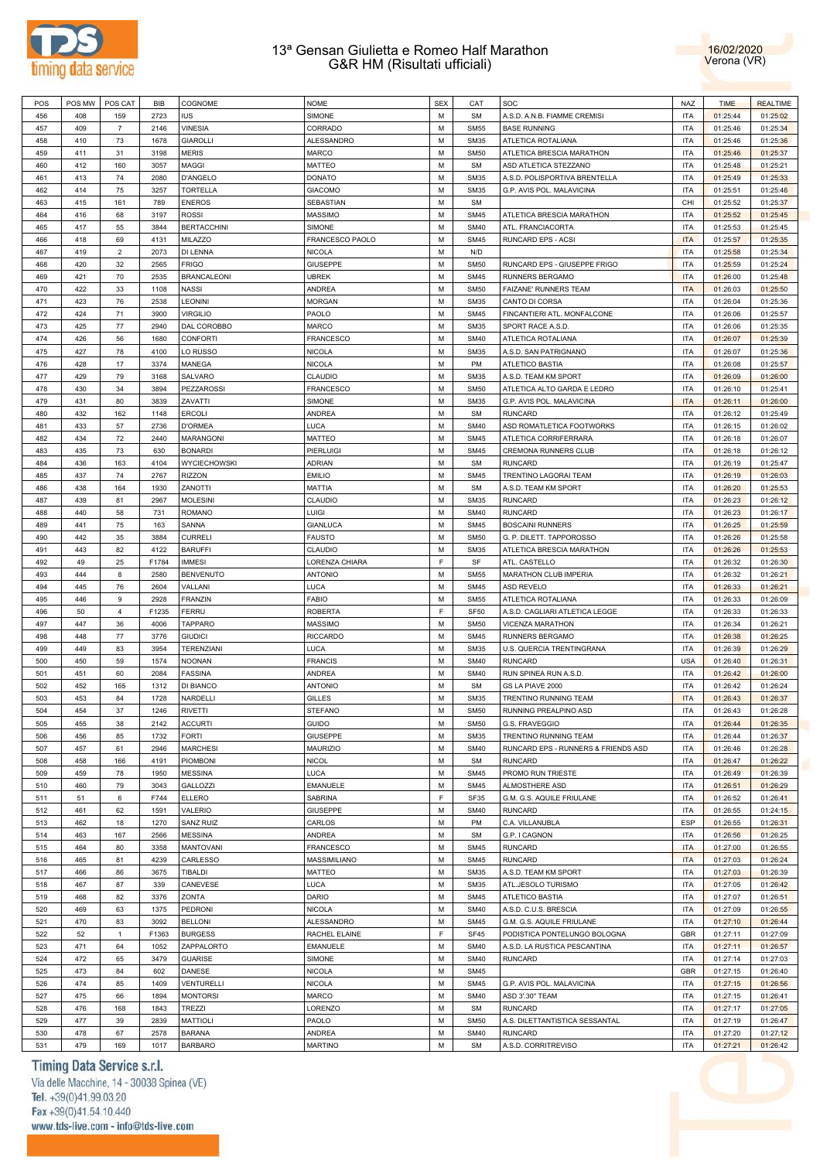



| 456<br>408<br>159<br>2723<br><b>IUS</b><br>$\overline{7}$<br><b>VINESIA</b><br>457<br>409<br>2146<br>458<br>410<br>73<br>1678<br><b>GIAROLLI</b><br>459<br>411<br>31<br>3198<br><b>MERIS</b><br>460<br>412<br>160<br>3057<br><b>MAGGI</b><br>74<br>2080<br>461<br>413<br>D'ANGELO | SIMONE           |   | CAT              | SOC                                       | NAZ        | <b>TIME</b> | <b>REALTIME</b> |
|-----------------------------------------------------------------------------------------------------------------------------------------------------------------------------------------------------------------------------------------------------------------------------------|------------------|---|------------------|-------------------------------------------|------------|-------------|-----------------|
|                                                                                                                                                                                                                                                                                   |                  | M | <b>SM</b>        | A.S.D. A.N.B. FIAMME CREMISI              | <b>ITA</b> | 01:25:44    | 01:25:02        |
|                                                                                                                                                                                                                                                                                   | CORRADO          | М | <b>SM55</b>      | <b>BASE RUNNING</b>                       | <b>ITA</b> | 01:25:46    | 01:25:34        |
|                                                                                                                                                                                                                                                                                   | ALESSANDRO       | М | <b>SM35</b>      | ATLETICA ROTALIANA                        | <b>ITA</b> | 01:25:46    | 01:25:36        |
|                                                                                                                                                                                                                                                                                   |                  |   |                  |                                           |            |             |                 |
|                                                                                                                                                                                                                                                                                   | <b>MARCO</b>     | М | <b>SM50</b>      | ATLETICA BRESCIA MARATHON                 | <b>ITA</b> | 01:25:46    | 01:25:37        |
|                                                                                                                                                                                                                                                                                   | <b>MATTEO</b>    | М | <b>SM</b>        | ASD ATLETICA STEZZANO                     | <b>ITA</b> | 01:25:48    | 01:25:21        |
|                                                                                                                                                                                                                                                                                   | <b>DONATO</b>    | M | <b>SM35</b>      | A.S.D. POLISPORTIVA BRENTELLA             | <b>ITA</b> | 01:25:49    | 01:25:33        |
| 462<br>414<br>75<br>3257<br><b>TORTELLA</b>                                                                                                                                                                                                                                       | <b>GIACOMO</b>   | M | <b>SM35</b>      | G.P. AVIS POL. MALAVICINA                 | <b>ITA</b> | 01:25:51    | 01:25:46        |
| 463<br>415<br>161<br>789<br><b>ENEROS</b>                                                                                                                                                                                                                                         | SEBASTIAN        | M | <b>SM</b>        |                                           | CHI        | 01:25:52    | 01:25:37        |
| 464<br>416<br>68<br>3197<br><b>ROSSI</b>                                                                                                                                                                                                                                          | <b>MASSIMO</b>   | M | <b>SM45</b>      | ATLETICA BRESCIA MARATHON                 | <b>ITA</b> | 01:25:52    | 01:25:45        |
| 3844<br>465<br>417<br>55<br><b>BERTACCHINI</b>                                                                                                                                                                                                                                    | SIMONE           | M | <b>SM40</b>      | ATL. FRANCIACORTA                         | <b>ITA</b> | 01:25:53    | 01:25:45        |
| 466<br>418<br>69<br>4131<br>MILAZZO                                                                                                                                                                                                                                               | FRANCESCO PAOLO  | М | <b>SM45</b>      | RUNCARD EPS - ACSI                        | <b>ITA</b> | 01:25:57    | 01:25:35        |
| 467<br>419<br>$\overline{2}$<br>2073<br>DI LENNA                                                                                                                                                                                                                                  | <b>NICOLA</b>    | М | N/D              |                                           | <b>ITA</b> | 01:25:58    | 01:25:34        |
|                                                                                                                                                                                                                                                                                   |                  |   |                  |                                           |            |             |                 |
| 468<br>420<br>32<br>2565<br><b>FRIGO</b>                                                                                                                                                                                                                                          | <b>GIUSEPPE</b>  | М | <b>SM50</b>      | RUNCARD EPS - GIUSEPPE FRIGO              | <b>ITA</b> | 01:25:59    | 01:25:24        |
| 70<br>2535<br>469<br>421<br><b>BRANCALEONI</b>                                                                                                                                                                                                                                    | <b>UBREK</b>     | М | <b>SM45</b>      | RUNNERS BERGAMO                           | <b>ITA</b> | 01:26:00    | 01:25:48        |
| 470<br>422<br>33<br>1108<br><b>NASSI</b>                                                                                                                                                                                                                                          | <b>ANDREA</b>    | М | <b>SM50</b>      | FAIZANE' RUNNERS TEAM                     | <b>ITA</b> | 01:26:03    | 01:25:50        |
| 471<br>423<br>76<br>2538<br><b>LEONINI</b>                                                                                                                                                                                                                                        | <b>MORGAN</b>    | М | <b>SM35</b>      | CANTO DI CORSA                            | <b>ITA</b> | 01:26:04    | 01:25:36        |
| 472<br>424<br>71<br>3900<br><b>VIRGILIO</b>                                                                                                                                                                                                                                       | PAOLO            | M | <b>SM45</b>      | FINCANTIERI ATL. MONFALCONE               | <b>ITA</b> | 01:26:06    | 01:25:57        |
| $77\,$<br>2940<br>DAL COROBBO<br>473<br>425                                                                                                                                                                                                                                       | <b>MARCO</b>     | M | <b>SM35</b>      | SPORT RACE A.S.D.                         | <b>ITA</b> | 01:26:06    | 01:25:35        |
| 474<br>426<br>56<br>1680<br>CONFORTI                                                                                                                                                                                                                                              | <b>FRANCESCO</b> | M | <b>SM40</b>      | ATLETICA ROTALIANA                        | <b>ITA</b> | 01:26:07    | 01:25:39        |
| 78<br>475<br>427<br>4100<br>LO RUSSO                                                                                                                                                                                                                                              | <b>NICOLA</b>    | M | <b>SM35</b>      | A.S.D. SAN PATRIGNANO                     | <b>ITA</b> | 01:26:07    | 01:25:36        |
| 476<br>3374                                                                                                                                                                                                                                                                       |                  |   |                  |                                           |            |             |                 |
| 428<br>17<br>MANEGA                                                                                                                                                                                                                                                               | <b>NICOLA</b>    | М | PM               | ATLETICO BASTIA                           | <b>ITA</b> | 01:26:08    | 01:25:57        |
| 79<br>477<br>429<br>3168<br>SALVARO                                                                                                                                                                                                                                               | CLAUDIO          | М | <b>SM35</b>      | A.S.D. TEAM KM SPORT                      | <b>ITA</b> | 01:26:09    | 01:26:00        |
| 478<br>430<br>34<br>3894<br>PEZZAROSSI                                                                                                                                                                                                                                            | <b>FRANCESCO</b> | М | <b>SM50</b>      | ATLETICA ALTO GARDA E LEDRO               | <b>ITA</b> | 01:26:10    | 01:25:41        |
| 479<br>431<br>80<br>3839<br>ZAVATTI                                                                                                                                                                                                                                               | SIMONE           | М | <b>SM35</b>      | G.P. AVIS POL. MALAVICINA                 | <b>ITA</b> | 01:26:11    | 01:26:00        |
| 480<br>432<br>162<br>1148<br><b>ERCOLI</b>                                                                                                                                                                                                                                        | <b>ANDREA</b>    | М | <b>SM</b>        | <b>RUNCARD</b>                            | <b>ITA</b> | 01:26:12    | 01:25:49        |
| 481<br>433<br>57<br>2736<br><b>D'ORMEA</b>                                                                                                                                                                                                                                        | LUCA             | М | <b>SM40</b>      | ASD ROMATLETICA FOOTWORKS                 | <b>ITA</b> | 01:26:15    | 01:26:02        |
| 482<br>434<br>72<br>2440<br>MARANGONI                                                                                                                                                                                                                                             | <b>MATTEO</b>    | M | <b>SM45</b>      | ATLETICA CORRIFERRARA                     | <b>ITA</b> | 01:26:18    | 01:26:07        |
| 73<br>483<br>435<br>630<br><b>BONARDI</b>                                                                                                                                                                                                                                         | PIERLUIGI        | M | <b>SM45</b>      | CREMONA RUNNERS CLUB                      | <b>ITA</b> | 01:26:18    | 01:26:12        |
| 484<br>436<br>163<br>4104<br><b>WYCIECHOWSKI</b>                                                                                                                                                                                                                                  | <b>ADRIAN</b>    | M | <b>SM</b>        | <b>RUNCARD</b>                            | <b>ITA</b> | 01:26:19    | 01:25:47        |
| 74<br>2767<br>485<br>437<br><b>RIZZON</b>                                                                                                                                                                                                                                         | <b>EMILIO</b>    | M | <b>SM45</b>      | TRENTINO LAGORAI TEAM                     | <b>ITA</b> | 01:26:19    | 01:26:03        |
|                                                                                                                                                                                                                                                                                   |                  |   |                  |                                           |            |             |                 |
| 486<br>438<br>164<br>1930<br>ZANOTTI                                                                                                                                                                                                                                              | <b>MATTIA</b>    | М | <b>SM</b>        | A.S.D. TEAM KM SPORT                      | <b>ITA</b> | 01:26:20    | 01:25:53        |
| 487<br>439<br>81<br>2967<br><b>MOLESINI</b>                                                                                                                                                                                                                                       | CLAUDIO          | М | <b>SM35</b>      | <b>RUNCARD</b>                            | <b>ITA</b> | 01:26:23    | 01:26:12        |
| 488<br>440<br>58<br>731<br><b>ROMANO</b>                                                                                                                                                                                                                                          | LUIGI            | М | <b>SM40</b>      | <b>RUNCARD</b>                            | <b>ITA</b> | 01:26:23    | 01:26:17        |
| 489<br>441<br>75<br>163<br>SANNA                                                                                                                                                                                                                                                  | <b>GIANLUCA</b>  | М | <b>SM45</b>      | <b>BOSCAINI RUNNERS</b>                   | <b>ITA</b> | 01:26:25    | 01:25:59        |
| 490<br>442<br>35<br>3884<br><b>CURRELI</b>                                                                                                                                                                                                                                        | <b>FAUSTO</b>    | М | <b>SM50</b>      | G. P. DILETT. TAPPOROSSO                  | <b>ITA</b> | 01:26:26    | 01:25:58        |
| 82<br>491<br>443<br>4122<br><b>BARUFFI</b>                                                                                                                                                                                                                                        | CLAUDIO          | М | <b>SM35</b>      | ATLETICA BRESCIA MARATHON                 | <b>ITA</b> | 01:26:26    | 01:25:53        |
| 492<br>49<br>25<br>F1784<br><b>IMMESI</b>                                                                                                                                                                                                                                         | LORENZA CHIARA   | F | SF               | ATL. CASTELLO                             | <b>ITA</b> | 01:26:32    | 01:26:30        |
| 2580<br>493<br>444<br>8<br><b>BENVENUTO</b>                                                                                                                                                                                                                                       | <b>ANTONIO</b>   | M | <b>SM55</b>      | MARATHON CLUB IMPERIA                     | <b>ITA</b> | 01:26:32    | 01:26:21        |
|                                                                                                                                                                                                                                                                                   | LUCA             | M | <b>SM45</b>      | ASD REVELO                                | <b>ITA</b> | 01:26:33    | 01:26:21        |
|                                                                                                                                                                                                                                                                                   | <b>FABIO</b>     |   |                  |                                           |            |             |                 |
| 494<br>445<br>76<br>2604<br>VALLANI                                                                                                                                                                                                                                               |                  |   |                  |                                           |            |             |                 |
| <b>FRANZIN</b><br>495<br>446<br>9<br>2928                                                                                                                                                                                                                                         |                  | M | <b>SM55</b>      | ATLETICA ROTALIANA                        | <b>ITA</b> | 01:26:33    | 01:26:09        |
| F1235<br>496<br>50<br>4<br><b>FERRU</b>                                                                                                                                                                                                                                           | <b>ROBERTA</b>   | F | SF <sub>50</sub> | A.S.D. CAGLIARI ATLETICA LEGGE            | <b>ITA</b> | 01:26:33    | 01:26:33        |
| 4006<br><b>TAPPARO</b><br>497<br>447<br>36                                                                                                                                                                                                                                        | <b>MASSIMO</b>   | M | <b>SM50</b>      | VICENZA MARATHON                          | <b>ITA</b> | 01:26:34    | 01:26:21        |
| 498<br>448<br>77<br>3776<br><b>GIUDICI</b>                                                                                                                                                                                                                                        | <b>RICCARDO</b>  | М | <b>SM45</b>      | RUNNERS BERGAMO                           | <b>ITA</b> | 01:26:38    | 01:26:25        |
| 499<br>449<br>83<br>3954<br><b>TERENZIANI</b>                                                                                                                                                                                                                                     | LUCA             | М | <b>SM35</b>      | U.S. QUERCIA TRENTINGRANA                 | <b>ITA</b> | 01:26:39    | 01:26:29        |
| 500<br>450<br>59<br>1574<br><b>NOONAN</b>                                                                                                                                                                                                                                         | <b>FRANCIS</b>   | М | <b>SM40</b>      | <b>RUNCARD</b>                            | <b>USA</b> | 01:26:40    | 01:26:31        |
| 2084<br>501<br>451<br>60<br><b>FASSINA</b>                                                                                                                                                                                                                                        | ANDREA           | М | <b>SM40</b>      |                                           | <b>ITA</b> | 01:26:42    | 01:26:00        |
|                                                                                                                                                                                                                                                                                   |                  |   |                  | RUN SPINEA RUN A.S.D.                     |            |             |                 |
| 502<br>452<br>165<br>1312<br>DI BIANCO                                                                                                                                                                                                                                            | <b>ANTONIO</b>   | М | SM               | GS LA PIAVE 2000                          | <b>ITA</b> | 01:26:42    | 01:26:24        |
| 503<br>453<br>84<br>1728<br>NARDELLI                                                                                                                                                                                                                                              | <b>GILLES</b>    | M | <b>SM35</b>      | TRENTINO RUNNING TEAM                     | <b>ITA</b> | 01:26:43    | 01:26:37        |
| 504<br>454<br>37<br>1246<br><b>RIVETTI</b>                                                                                                                                                                                                                                        | <b>STEFANO</b>   | M | <b>SM50</b>      | RUNNING PREALPINO ASD                     | <b>ITA</b> | 01:26:43    | 01:26:28        |
| 505<br>455<br>38<br>2142<br><b>ACCURTI</b>                                                                                                                                                                                                                                        | <b>GUIDO</b>     | M | <b>SM50</b>      | G.S. FRAVEGGIO                            | <b>ITA</b> | 01:26:44    | 01:26:35        |
| 1732<br><b>FORTI</b><br>506<br>456<br>85                                                                                                                                                                                                                                          | <b>GIUSEPPE</b>  | M | <b>SM35</b>      | TRENTINO RUNNING TEAM                     | <b>ITA</b> | 01:26:44    | 01:26:37        |
| 507<br>457<br>61<br>2946<br><b>MARCHESI</b>                                                                                                                                                                                                                                       | MAURIZIO         | M | <b>SM40</b>      | RUNCARD EPS - RUNNERS & FRIENDS ASD       | <b>ITA</b> | 01:26:46    | 01:26:28        |
| PIOMBONI<br>508<br>458<br>166<br>4191                                                                                                                                                                                                                                             | <b>NICOL</b>     | M | <b>SM</b>        | <b>RUNCARD</b>                            | <b>ITA</b> | 01:26:47    | 01:26:22        |
| 78<br>1950<br><b>MESSINA</b><br>509<br>459                                                                                                                                                                                                                                        | <b>LUCA</b>      | М | <b>SM45</b>      | PROMO RUN TRIESTE                         | <b>ITA</b> | 01:26:49    | 01:26:39        |
| 3043<br><b>GALLOZZI</b><br>510<br>460<br>79                                                                                                                                                                                                                                       | <b>EMANUELE</b>  | М | <b>SM45</b>      | ALMOSTHERE ASD                            | <b>ITA</b> | 01:26:51    | 01:26:29        |
|                                                                                                                                                                                                                                                                                   |                  | F |                  |                                           |            |             |                 |
| 6<br>F744<br><b>ELLERO</b><br>511<br>51                                                                                                                                                                                                                                           | SABRINA          |   | SF35             | G.M. G.S. AQUILE FRIULANE                 | <b>ITA</b> | 01:26:52    | 01:26:41        |
| 62<br>512<br>461<br>1591<br>VALERIO                                                                                                                                                                                                                                               | <b>GIUSEPPE</b>  | М | <b>SM40</b>      | <b>RUNCARD</b>                            | <b>ITA</b> | 01:26:55    | 01:24:15        |
| 462<br>18<br>1270<br>SANZ RUIZ<br>513                                                                                                                                                                                                                                             | CARLOS           | М | PM               | C.A. VILLANUBLA                           | ESP        | 01:26:55    | 01:26:31        |
| 167<br>2566<br><b>MESSINA</b><br>514<br>463                                                                                                                                                                                                                                       | ANDREA           | M | <b>SM</b>        | G.P. I CAGNON                             | <b>ITA</b> | 01:26:56    | 01:26:25        |
| 80<br>3358<br><b>MANTOVANI</b><br>515<br>464                                                                                                                                                                                                                                      | <b>FRANCESCO</b> | M | <b>SM45</b>      | <b>RUNCARD</b>                            | <b>ITA</b> | 01:27:00    | 01:26:55        |
| 4239<br>CARLESSO<br>516<br>465<br>81                                                                                                                                                                                                                                              | MASSIMILIANO     | M | <b>SM45</b>      | <b>RUNCARD</b>                            | <b>ITA</b> | 01:27:03    | 01:26:24        |
| 517<br>86<br>3675<br><b>TIBALDI</b><br>466                                                                                                                                                                                                                                        | MATTEO           | M | <b>SM35</b>      | A.S.D. TEAM KM SPORT                      | <b>ITA</b> | 01:27:03    | 01:26:39        |
| 339<br>518<br>467<br>87<br>CANEVESE                                                                                                                                                                                                                                               | LUCA             | М | <b>SM35</b>      | ATL.JESOLO TURISMO                        | <b>ITA</b> | 01:27:05    | 01:26:42        |
| 82<br>3376<br>ZONTA<br>519<br>468                                                                                                                                                                                                                                                 | DARIO            | M | <b>SM45</b>      | ATLETICO BASTIA                           | <b>ITA</b> | 01:27:07    | 01:26:51        |
| 520<br>1375<br>PEDRONI<br>469<br>63                                                                                                                                                                                                                                               | <b>NICOLA</b>    | M | <b>SM40</b>      | A.S.D. C.U.S. BRESCIA                     | <b>ITA</b> | 01:27:09    | 01:26:55        |
|                                                                                                                                                                                                                                                                                   |                  |   |                  |                                           |            |             |                 |
| 83<br>3092<br><b>BELLONI</b><br>521<br>470                                                                                                                                                                                                                                        | ALESSANDRO       | М | <b>SM45</b>      | G.M. G.S. AQUILE FRIULANE                 | <b>ITA</b> | 01:27:10    | 01:26:44        |
| 522<br>52<br>F1363<br><b>BURGESS</b><br>$\mathbf{1}$                                                                                                                                                                                                                              | RACHEL ELAINE    | F | SF45             | PODISTICA PONTELUNGO BOLOGNA              | GBR        | 01:27:11    | 01:27:09        |
| 523<br>471<br>64<br>1052<br>ZAPPALORTO                                                                                                                                                                                                                                            | <b>EMANUELE</b>  | M | <b>SM40</b>      | A.S.D. LA RUSTICA PESCANTINA              | <b>ITA</b> | 01:27:11    | 01:26:57        |
| 524<br>472<br>3479<br><b>GUARISE</b><br>65                                                                                                                                                                                                                                        | SIMONE           | M | <b>SM40</b>      | <b>RUNCARD</b>                            | <b>ITA</b> | 01:27:14    | 01:27:03        |
| 525<br>473<br>84<br>602<br>DANESE                                                                                                                                                                                                                                                 | <b>NICOLA</b>    | M | <b>SM45</b>      |                                           | <b>GBR</b> | 01:27:15    | 01:26:40        |
| 474<br>1409<br>VENTURELLI<br>526<br>85                                                                                                                                                                                                                                            | <b>NICOLA</b>    | M | <b>SM45</b>      | G.P. AVIS POL. MALAVICINA                 | <b>ITA</b> | 01:27:15    | 01:26:56        |
| 527<br>66<br>1894<br><b>MONTORSI</b><br>475                                                                                                                                                                                                                                       | <b>MARCO</b>     | M | <b>SM40</b>      | ASD 3'.30" TEAM                           | <b>ITA</b> | 01:27:15    | 01:26:41        |
| 528<br>476<br>168<br>1843<br><b>TREZZI</b>                                                                                                                                                                                                                                        | LORENZO          | M | <b>SM</b>        | <b>RUNCARD</b>                            | <b>ITA</b> | 01:27:17    | 01:27:05        |
| 529<br>39<br>2839<br><b>MATTIOLI</b><br>477                                                                                                                                                                                                                                       | PAOLO            | M | <b>SM50</b>      |                                           | <b>ITA</b> | 01:27:19    | 01:26:47        |
| 478<br>530<br>67<br>2578<br><b>BARANA</b>                                                                                                                                                                                                                                         | ANDREA           | М | <b>SM40</b>      | A.S. DILETTANTISTICA SESSANTAL<br>RUNCARD | <b>ITA</b> | 01:27:20    | 01:27:12        |

# Timing Data Service s.r.l.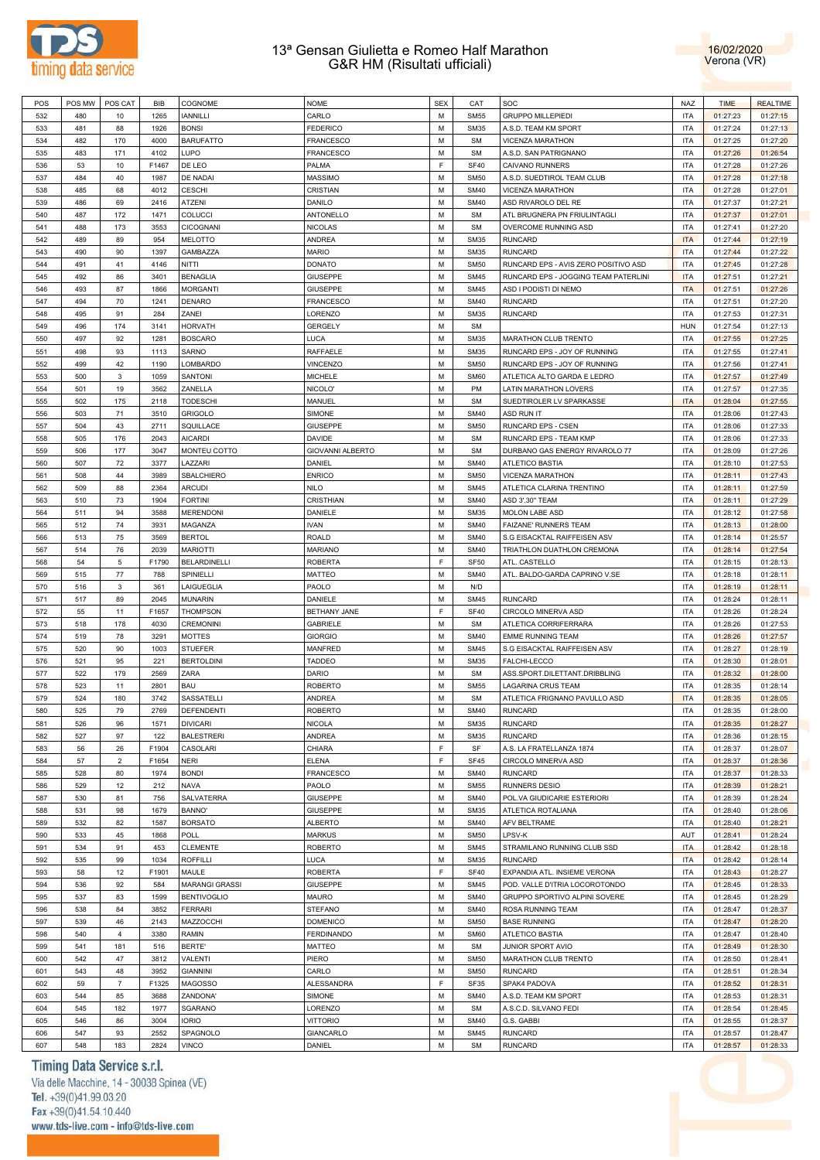



| POS | POS MW | POS CAT        | BIB   | COGNOME               | <b>NOME</b>             | <b>SEX</b> | CAT         | SOC                                  | <b>NAZ</b> | <b>TIME</b> | <b>REALTIME</b> |
|-----|--------|----------------|-------|-----------------------|-------------------------|------------|-------------|--------------------------------------|------------|-------------|-----------------|
| 532 | 480    | 10             | 1265  | <b>IANNILLI</b>       | CARLO                   | M          | <b>SM55</b> | <b>GRUPPO MILLEPIEDI</b>             | <b>ITA</b> | 01:27:23    | 01:27:15        |
| 533 | 481    | 88             | 1926  | <b>BONSI</b>          | <b>FEDERICO</b>         | M          | <b>SM35</b> | A.S.D. TEAM KM SPORT                 | <b>ITA</b> | 01:27:24    | 01:27:13        |
| 534 | 482    | 170            | 4000  | <b>BARUFATTO</b>      | <b>FRANCESCO</b>        | М          | <b>SM</b>   | VICENZA MARATHON                     | <b>ITA</b> | 01:27:25    | 01:27:20        |
| 535 | 483    | 171            | 4102  | LUPO                  | <b>FRANCESCO</b>        | M          | <b>SM</b>   | A.S.D. SAN PATRIGNANO                | <b>ITA</b> | 01:27:26    | 01:26:54        |
|     |        |                |       |                       |                         |            |             |                                      |            |             |                 |
| 536 | 53     | 10             | F1467 | DE LEO                | PALMA                   | F          | <b>SF40</b> | <b>CAIVANO RUNNERS</b>               | <b>ITA</b> | 01:27:28    | 01:27:26        |
| 537 | 484    | 40             | 1987  | DE NADAI              | <b>MASSIMO</b>          | М          | <b>SM50</b> | A.S.D. SUEDTIROL TEAM CLUB           | <b>ITA</b> | 01:27:28    | 01:27:18        |
| 538 | 485    | 68             | 4012  | <b>CESCHI</b>         | CRISTIAN                | М          | <b>SM40</b> | VICENZA MARATHON                     | <b>ITA</b> | 01:27:28    | 01:27:01        |
| 539 | 486    | 69             | 2416  | ATZENI                | DANILO                  | М          | <b>SM40</b> | ASD RIVAROLO DEL RE                  | <b>ITA</b> | 01:27:37    | 01:27:21        |
| 540 | 487    | 172            | 1471  | COLUCCI               | ANTONELLO               | М          | <b>SM</b>   | ATL BRUGNERA PN FRIULINTAGLI         | <b>ITA</b> | 01:27:37    | 01:27:01        |
| 541 | 488    | 173            | 3553  | <b>CICOGNANI</b>      | <b>NICOLAS</b>          | M          | <b>SM</b>   | OVERCOME RUNNING ASD                 | <b>ITA</b> | 01:27:41    | 01:27:20        |
| 542 | 489    | 89             | 954   | <b>MELOTTO</b>        | ANDREA                  | М          | <b>SM35</b> | <b>RUNCARD</b>                       | <b>ITA</b> | 01:27:44    | 01:27:19        |
|     | 490    |                |       | GAMBAZZA              | <b>MARIO</b>            | M          | <b>SM35</b> | <b>RUNCARD</b>                       | <b>ITA</b> |             | 01:27:22        |
| 543 |        | 90             | 1397  |                       |                         |            |             |                                      |            | 01:27:44    |                 |
| 544 | 491    | 41             | 4146  | <b>NITTI</b>          | <b>DONATO</b>           | М          | <b>SM50</b> | RUNCARD EPS - AVIS ZERO POSITIVO ASD | <b>ITA</b> | 01:27:45    | 01:27:28        |
| 545 | 492    | 86             | 3401  | <b>BENAGLIA</b>       | <b>GIUSEPPE</b>         | M          | <b>SM45</b> | RUNCARD EPS - JOGGING TEAM PATERLINI | <b>ITA</b> | 01:27:51    | 01:27:21        |
| 546 | 493    | 87             | 1866  | <b>MORGANTI</b>       | <b>GIUSEPPE</b>         | М          | <b>SM45</b> | ASD I PODISTI DI NEMO                | <b>ITA</b> | 01:27:51    | 01:27:26        |
| 547 | 494    | 70             | 1241  | <b>DENARO</b>         | <b>FRANCESCO</b>        | M          | <b>SM40</b> | <b>RUNCARD</b>                       | <b>ITA</b> | 01:27:51    | 01:27:20        |
| 548 | 495    | 91             | 284   | ZANEI                 | LORENZO                 | М          | <b>SM35</b> | <b>RUNCARD</b>                       | <b>ITA</b> | 01:27:53    | 01:27:31        |
| 549 | 496    | 174            | 3141  | <b>HORVATH</b>        | <b>GERGELY</b>          | М          | <b>SM</b>   |                                      | <b>HUN</b> | 01:27:54    | 01:27:13        |
| 550 | 497    | 92             | 1281  | <b>BOSCARO</b>        | <b>LUCA</b>             | М          | <b>SM35</b> | MARATHON CLUB TRENTO                 | <b>ITA</b> | 01:27:55    | 01:27:25        |
|     |        |                |       |                       |                         |            |             |                                      |            |             |                 |
| 551 | 498    | 93             | 1113  | SARNO                 | RAFFAELE                | М          | <b>SM35</b> | RUNCARD EPS - JOY OF RUNNING         | <b>ITA</b> | 01:27:55    | 01:27:41        |
| 552 | 499    | 42             | 1190  | LOMBARDO              | VINCENZO                | М          | <b>SM50</b> | RUNCARD EPS - JOY OF RUNNING         | <b>ITA</b> | 01:27:56    | 01:27:41        |
| 553 | 500    | $\mathbf{3}$   | 1059  | SANTONI               | <b>MICHELE</b>          | М          | <b>SM60</b> | ATLETICA ALTO GARDA E LEDRO          | <b>ITA</b> | 01:27:57    | 01:27:49        |
| 554 | 501    | 19             | 3562  | ZANELLA               | NICOLO'                 | М          | PM          | LATIN MARATHON LOVERS                | <b>ITA</b> | 01:27:57    | 01:27:35        |
| 555 | 502    | 175            | 2118  | <b>TODESCHI</b>       | MANUEL                  | M          | <b>SM</b>   | SUEDTIROLER LV SPARKASSE             | <b>ITA</b> | 01:28:04    | 01:27:55        |
| 556 | 503    | 71             | 3510  | <b>GRIGOLO</b>        | SIMONE                  | М          | <b>SM40</b> | <b>ASD RUN IT</b>                    | <b>ITA</b> | 01:28:06    | 01:27:43        |
|     |        |                |       | SQUILLACE             |                         | M          |             |                                      | <b>ITA</b> |             |                 |
| 557 | 504    | 43             | 2711  |                       | <b>GIUSEPPE</b>         |            | <b>SM50</b> | RUNCARD EPS - CSEN                   |            | 01:28:06    | 01:27:33        |
| 558 | 505    | 176            | 2043  | <b>AICARDI</b>        | <b>DAVIDE</b>           | М          | <b>SM</b>   | RUNCARD EPS - TEAM KMP               | <b>ITA</b> | 01:28:06    | 01:27:33        |
| 559 | 506    | 177            | 3047  | MONTEU COTTO          | <b>GIOVANNI ALBERTO</b> | M          | <b>SM</b>   | DURBANO GAS ENERGY RIVAROLO 77       | <b>ITA</b> | 01:28:09    | 01:27:26        |
| 560 | 507    | 72             | 3377  | LAZZARI               | DANIEL                  | М          | <b>SM40</b> | <b>ATLETICO BASTIA</b>               | <b>ITA</b> | 01:28:10    | 01:27:53        |
| 561 | 508    | 44             | 3989  | SBALCHIERO            | <b>ENRICO</b>           | М          | <b>SM50</b> | VICENZA MARATHON                     | <b>ITA</b> | 01:28:11    | 01:27:43        |
| 562 | 509    | 88             | 2364  | <b>ARCUDI</b>         | <b>NILO</b>             | М          | <b>SM45</b> | ATLETICA CLARINA TRENTINO            | <b>ITA</b> | 01:28:11    | 01:27:59        |
| 563 | 510    | 73             | 1904  | <b>FORTINI</b>        | CRISTHIAN               | M          | <b>SM40</b> | ASD 3'.30" TEAM                      | <b>ITA</b> | 01:28:11    | 01:27:29        |
|     |        |                |       |                       |                         |            |             |                                      |            |             |                 |
| 564 | 511    | 94             | 3588  | <b>MERENDONI</b>      | DANIELE                 | М          | <b>SM35</b> | <b>MOLON LABE ASD</b>                | <b>ITA</b> | 01:28:12    | 01:27:58        |
| 565 | 512    | 74             | 3931  | MAGANZA               | <b>IVAN</b>             | М          | <b>SM40</b> | FAIZANE' RUNNERS TEAM                | <b>ITA</b> | 01:28:13    | 01:28:00        |
| 566 | 513    | 75             | 3569  | <b>BERTOL</b>         | <b>ROALD</b>            | М          | <b>SM40</b> | S.G EISACKTAL RAIFFEISEN ASV         | <b>ITA</b> | 01:28:14    | 01:25:57        |
| 567 | 514    | 76             | 2039  | <b>MARIOTTI</b>       | <b>MARIANO</b>          | M          | <b>SM40</b> | TRIATHLON DUATHLON CREMONA           | <b>ITA</b> | 01:28:14    | 01:27:54        |
| 568 | 54     | 5              | F1790 | <b>BELARDINELLI</b>   | <b>ROBERTA</b>          | F          | <b>SF50</b> | ATL. CASTELLO                        | <b>ITA</b> | 01:28:15    | 01:28:13        |
| 569 | 515    | 77             | 788   | SPINIELLI             | <b>MATTEO</b>           | M          | <b>SM40</b> | ATL. BALDO-GARDA CAPRINO V.SE        | <b>ITA</b> | 01:28:18    | 01:28:11        |
|     | 516    | 3              | 361   |                       |                         | М          | N/D         |                                      | <b>ITA</b> |             |                 |
| 570 |        |                |       | LAIGUEGLIA            | PAOLO                   |            |             |                                      |            | 01:28:19    | 01:28:11        |
| 571 | 517    | 89             | 2045  | <b>MUNARIN</b>        | DANIELE                 | M          | <b>SM45</b> | <b>RUNCARD</b>                       | <b>ITA</b> | 01:28:24    | 01:28:11        |
| 572 | 55     | 11             | F1657 | <b>THOMPSON</b>       | BETHANY JANE            | F          | <b>SF40</b> | CIRCOLO MINERVA ASD                  | <b>ITA</b> | 01:28:26    | 01:28:24        |
| 573 | 518    | 178            | 4030  | <b>CREMONINI</b>      | <b>GABRIELE</b>         | М          | <b>SM</b>   | ATLETICA CORRIFERRARA                | <b>ITA</b> | 01:28:26    | 01:27:53        |
| 574 | 519    | 78             | 3291  | <b>MOTTES</b>         | <b>GIORGIO</b>          | М          | <b>SM40</b> | <b>EMME RUNNING TEAM</b>             | <b>ITA</b> | 01:28:26    | 01:27:57        |
| 575 | 520    | 90             | 1003  | <b>STUEFER</b>        | MANFRED                 | М          | <b>SM45</b> | S.G EISACKTAL RAIFFEISEN ASV         | <b>ITA</b> | 01:28:27    | 01:28:19        |
| 576 | 521    | 95             | 221   | <b>BERTOLDINI</b>     | <b>TADDEO</b>           | М          | <b>SM35</b> | FALCHI-LECCO                         | <b>ITA</b> | 01:28:30    | 01:28:01        |
|     |        |                |       | ZARA                  |                         | М          | <b>SM</b>   |                                      | <b>ITA</b> |             |                 |
| 577 | 522    | 179            | 2569  |                       | <b>DARIO</b>            |            |             | ASS.SPORT.DILETTANT.DRIBBLING        |            | 01:28:32    | 01:28:00        |
| 578 | 523    | 11             | 2801  | <b>BAU</b>            | <b>ROBERTO</b>          | М          | <b>SM55</b> | LAGARINA CRUS TEAM                   | <b>ITA</b> | 01:28:35    | 01:28:14        |
| 579 | 524    | 180            | 3742  | SASSATELLI            | ANDREA                  | М          | <b>SM</b>   | ATLETICA FRIGNANO PAVULLO ASD        | <b>ITA</b> | 01:28:35    | 01:28:05        |
| 580 | 525    | 79             | 2769  | <b>DEFENDENTI</b>     | <b>ROBERTO</b>          | M          | <b>SM40</b> | <b>RUNCARD</b>                       | <b>ITA</b> | 01:28:35    | 01:28:00        |
| 581 | 526    | 96             | 1571  | <b>DIVICARI</b>       | <b>NICOLA</b>           | М          | <b>SM35</b> | <b>RUNCARD</b>                       | <b>ITA</b> | 01:28:35    | 01:28:27        |
| 582 | 527    | 97             | 122   | <b>BALESTRERI</b>     | ANDREA                  | M          | <b>SM35</b> | <b>RUNCARD</b>                       | <b>ITA</b> | 01:28:36    | 01:28:15        |
| 583 | 56     | 26             | F1904 | CASOLARI              | CHIARA                  | E          | SF          | A.S. LA FRATELLANZA 1874             | <b>ITA</b> | 01:28:37    | 01:28:07        |
| 584 | 57     | $\overline{2}$ |       | <b>NERI</b>           |                         | F          | <b>SF45</b> | CIRCOLO MINERVA ASD                  | <b>ITA</b> |             |                 |
|     |        |                | F1654 |                       | <b>ELENA</b>            |            |             |                                      |            | 01:28:37    | 01:28:36        |
| 585 | 528    | 80             | 1974  | <b>BONDI</b>          | <b>FRANCESCO</b>        | M          | <b>SM40</b> | <b>RUNCARD</b>                       | <b>ITA</b> | 01:28:37    | 01:28:33        |
| 586 | 529    | 12             | 212   | NAVA                  | PAOLO                   | M          | <b>SM55</b> | RUNNERS DESIO                        | <b>ITA</b> | 01:28:39    | 01:28:21        |
| 587 | 530    | 81             | 756   | SALVATERRA            | <b>GIUSEPPE</b>         | M          | <b>SM40</b> | POL.VA GIUDICARIE ESTERIORI          | <b>ITA</b> | 01:28:39    | 01:28:24        |
| 588 | 531    | 98             | 1679  | <b>BANNO</b>          | <b>GIUSEPPE</b>         | M          | <b>SM35</b> | ATLETICA ROTALIANA                   | <b>ITA</b> | 01:28:40    | 01:28:06        |
| 589 | 532    | 82             | 1587  | <b>BORSATO</b>        | <b>ALBERTO</b>          | М          | <b>SM40</b> | AFV BELTRAME                         | <b>ITA</b> | 01:28:40    | 01:28:21        |
| 590 | 533    | 45             | 1868  | POLL                  | <b>MARKUS</b>           | M          | <b>SM50</b> | LPSV-K                               | AUT        | 01:28:41    | 01:28:24        |
|     |        |                |       |                       |                         | M          | <b>SM45</b> | STRAMILANO RUNNING CLUB SSD          |            |             |                 |
| 591 | 534    | 91             | 453   | CLEMENTE              | <b>ROBERTO</b>          |            |             |                                      | <b>ITA</b> | 01:28:42    | 01:28:18        |
| 592 | 535    | 99             | 1034  | <b>ROFFILLI</b>       | <b>LUCA</b>             | M          | <b>SM35</b> | <b>RUNCARD</b>                       | <b>ITA</b> | 01:28:42    | 01:28:14        |
| 593 | 58     | 12             | F1901 | MAULE                 | <b>ROBERTA</b>          | E          | <b>SF40</b> | EXPANDIA ATL. INSIEME VERONA         | <b>ITA</b> | 01:28:43    | 01:28:27        |
| 594 | 536    | 92             | 584   | <b>MARANGI GRASSI</b> | <b>GIUSEPPE</b>         | M          | <b>SM45</b> | POD. VALLE D'ITRIA LOCOROTONDO       | <b>ITA</b> | 01:28:45    | 01:28:33        |
| 595 | 537    | 83             | 1599  | <b>BENTIVOGLIO</b>    | <b>MAURO</b>            | M          | <b>SM40</b> | GRUPPO SPORTIVO ALPINI SOVERE        | <b>ITA</b> | 01:28:45    | 01:28:29        |
| 596 | 538    | 84             | 3852  | <b>FERRARI</b>        | STEFANO                 | M          | <b>SM40</b> | ROSA RUNNING TEAM                    | <b>ITA</b> | 01:28:47    | 01:28:37        |
| 597 | 539    | 46             | 2143  | MAZZOCCHI             | <b>DOMENICO</b>         | M          | <b>SM50</b> | <b>BASE RUNNING</b>                  | <b>ITA</b> | 01:28:47    | 01:28:20        |
|     |        |                |       |                       |                         |            |             |                                      |            |             |                 |
| 598 | 540    | $\overline{4}$ | 3380  | RAMIN                 | <b>FERDINANDO</b>       | M          | <b>SM60</b> | ATLETICO BASTIA                      | <b>ITA</b> | 01:28:47    | 01:28:40        |
| 599 | 541    | 181            | 516   | BERTE'                | <b>MATTEO</b>           | M          | <b>SM</b>   | JUNIOR SPORT AVIO                    | <b>ITA</b> | 01:28:49    | 01:28:30        |
| 600 | 542    | 47             | 3812  | VALENTI               | PIERO                   | M          | <b>SM50</b> | MARATHON CLUB TRENTO                 | <b>ITA</b> | 01:28:50    | 01:28:41        |
| 601 | 543    | 48             | 3952  | <b>GIANNINI</b>       | CARLO                   | М          | <b>SM50</b> | <b>RUNCARD</b>                       | <b>ITA</b> | 01:28:51    | 01:28:34        |
| 602 | 59     | $\overline{7}$ | F1325 | <b>MAGOSSO</b>        | ALESSANDRA              | F          | SF35        | SPAK4 PADOVA                         | <b>ITA</b> | 01:28:52    | 01:28:31        |
| 603 | 544    | 85             | 3688  | ZANDONA'              | SIMONE                  | M          | <b>SM40</b> | A.S.D. TEAM KM SPORT                 | <b>ITA</b> | 01:28:53    | 01:28:31        |
| 604 | 545    | 182            | 1977  | SGARANO               |                         | M          | <b>SM</b>   | A.S.C.D. SILVANO FEDI                | <b>ITA</b> | 01:28:54    | 01:28:45        |
|     |        |                |       |                       | LORENZO                 |            |             |                                      |            |             |                 |
| 605 | 546    | 86             | 3004  | <b>IORIO</b>          | <b>VITTORIO</b>         | M          | <b>SM40</b> | G.S. GABBI                           | <b>ITA</b> | 01:28:55    | 01:28:37        |
| 606 | 547    | 93             | 2552  | SPAGNOLO              | GIANCARLO               | M          | <b>SM45</b> | <b>RUNCARD</b>                       | <b>ITA</b> | 01:28:57    | 01:28:47        |
| 607 | 548    | 183            | 2824  | <b>VINCO</b>          | DANIEL                  | М          | SM          | <b>RUNCARD</b>                       | <b>ITA</b> | 01:28:57    | 01:28:33        |

# Timing Data Service s.r.l.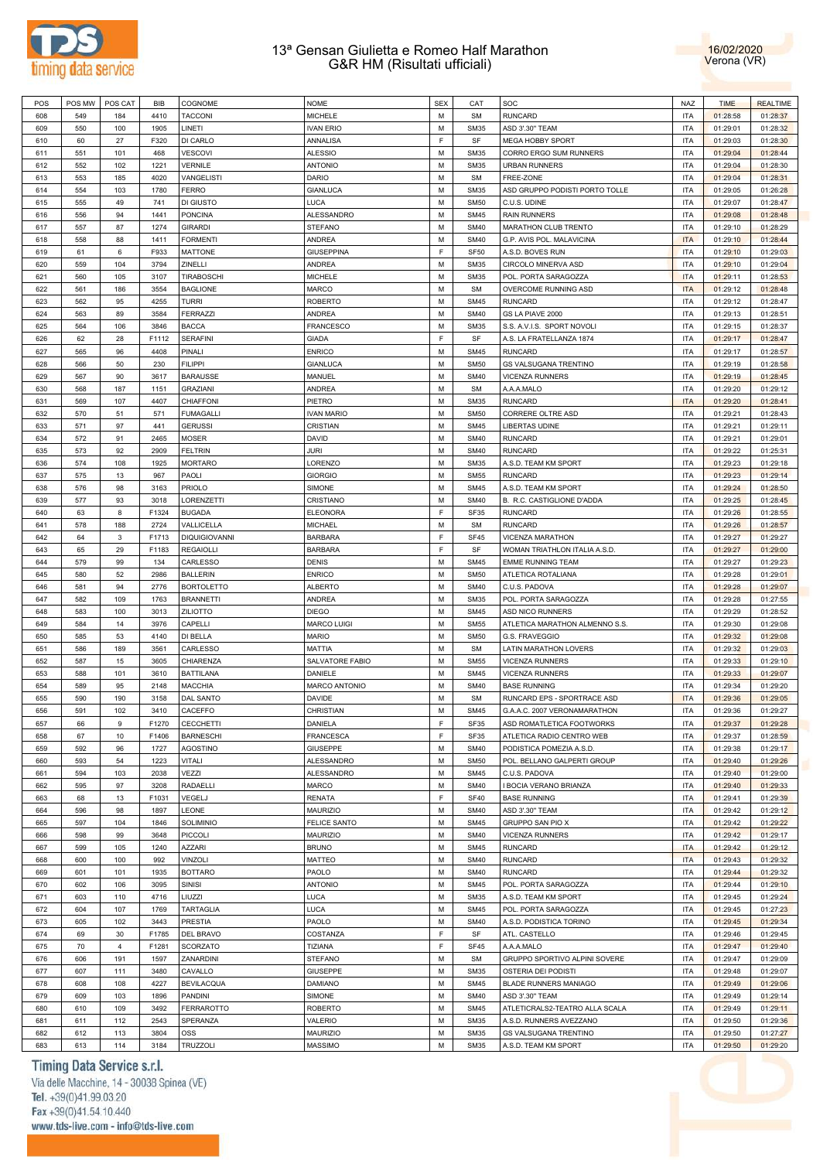



| POS | POS MW | POS CAT        | BIB   | COGNOME              | <b>NOME</b>         | <b>SEX</b>  | CAT         | SOC                            | <b>NAZ</b> | <b>TIME</b> | <b>REALTIME</b> |
|-----|--------|----------------|-------|----------------------|---------------------|-------------|-------------|--------------------------------|------------|-------------|-----------------|
| 608 | 549    | 184            | 4410  | <b>TACCONI</b>       | <b>MICHELE</b>      | M           | <b>SM</b>   | <b>RUNCARD</b>                 | <b>ITA</b> | 01:28:58    | 01:28:37        |
| 609 | 550    | 100            | 1905  | LINETI               | <b>IVAN ERIO</b>    | M           | <b>SM35</b> | ASD 3'.30" TEAM                | <b>ITA</b> | 01:29:01    | 01:28:32        |
| 610 | 60     | 27             | F320  | DI CARLO             | ANNALISA            | F           | SF          | <b>MEGA HOBBY SPORT</b>        | <b>ITA</b> | 01:29:03    | 01:28:30        |
| 611 | 551    | 101            | 468   | VESCOVI              | <b>ALESSIO</b>      | M           | <b>SM35</b> | CORRO ERGO SUM RUNNERS         | <b>ITA</b> | 01:29:04    | 01:28:44        |
| 612 | 552    | 102            | 1221  | <b>VERNILE</b>       | <b>ANTONIO</b>      | M           | <b>SM35</b> | <b>URBAN RUNNERS</b>           | <b>ITA</b> | 01:29:04    | 01:28:30        |
|     |        |                |       |                      |                     |             |             |                                |            |             |                 |
| 613 | 553    | 185            | 4020  | VANGELISTI           | <b>DARIO</b>        | M           | <b>SM</b>   | FREE-ZONE                      | <b>ITA</b> | 01:29:04    | 01:28:31        |
| 614 | 554    | 103            | 1780  | <b>FERRO</b>         | <b>GIANLUCA</b>     | M           | <b>SM35</b> | ASD GRUPPO PODISTI PORTO TOLLE | <b>ITA</b> | 01:29:05    | 01:26:28        |
| 615 | 555    | 49             | 741   | DI GIUSTO            | LUCA                | M           | <b>SM50</b> | C.U.S. UDINE                   | <b>ITA</b> | 01:29:07    | 01:28:47        |
| 616 | 556    | 94             | 1441  | <b>PONCINA</b>       | ALESSANDRO          | M           | <b>SM45</b> | <b>RAIN RUNNERS</b>            | <b>ITA</b> | 01:29:08    | 01:28:48        |
| 617 | 557    | 87             | 1274  | <b>GIRARDI</b>       | <b>STEFANO</b>      | M           | <b>SM40</b> | MARATHON CLUB TRENTO           | <b>ITA</b> | 01:29:10    | 01:28:29        |
| 618 | 558    | 88             | 1411  | <b>FORMENTI</b>      | ANDREA              | M           | <b>SM40</b> | G.P. AVIS POL. MALAVICINA      | <b>ITA</b> | 01:29:10    | 01:28:44        |
| 619 | 61     | 6              | F933  | <b>MATTONE</b>       | <b>GIUSEPPINA</b>   | F           | <b>SF50</b> | A.S.D. BOVES RUN               | <b>ITA</b> | 01:29:10    | 01:29:03        |
| 620 | 559    | 104            | 3794  | ZINELLI              | ANDREA              | M           | <b>SM35</b> | CIRCOLO MINERVA ASD            | <b>ITA</b> | 01:29:10    | 01:29:04        |
| 621 | 560    | 105            | 3107  | TIRABOSCHI           | <b>MICHELE</b>      | M           | <b>SM35</b> | POL. PORTA SARAGOZZA           | <b>ITA</b> | 01:29:11    | 01:28:53        |
|     |        |                |       |                      |                     |             |             |                                |            |             |                 |
| 622 | 561    | 186            | 3554  | <b>BAGLIONE</b>      | MARCO               | M           | <b>SM</b>   | OVERCOME RUNNING ASD           | <b>ITA</b> | 01:29:12    | 01:28:48        |
| 623 | 562    | 95             | 4255  | <b>TURRI</b>         | <b>ROBERTO</b>      | M           | <b>SM45</b> | <b>RUNCARD</b>                 | <b>ITA</b> | 01:29:12    | 01:28:47        |
| 624 | 563    | 89             | 3584  | <b>FERRAZZI</b>      | <b>ANDREA</b>       | M           | <b>SM40</b> | GS LA PIAVE 2000               | <b>ITA</b> | 01:29:13    | 01:28:51        |
| 625 | 564    | 106            | 3846  | <b>BACCA</b>         | <b>FRANCESCO</b>    | M           | <b>SM35</b> | S.S. A.V.I.S. SPORT NOVOLI     | <b>ITA</b> | 01:29:15    | 01:28:37        |
| 626 | 62     | 28             | F1112 | <b>SERAFINI</b>      | <b>GIADA</b>        | F           | SF          | A.S. LA FRATELLANZA 1874       | <b>ITA</b> | 01:29:17    | 01:28:47        |
| 627 | 565    | 96             | 4408  | PINALI               | <b>ENRICO</b>       | M           | <b>SM45</b> | <b>RUNCARD</b>                 | <b>ITA</b> | 01:29:17    | 01:28:57        |
| 628 | 566    | 50             | 230   | <b>FILIPPI</b>       | <b>GIANLUCA</b>     | M           | <b>SM50</b> | <b>GS VALSUGANA TRENTINO</b>   | <b>ITA</b> | 01:29:19    | 01:28:58        |
| 629 | 567    | 90             | 3617  | <b>BARAUSSE</b>      | MANUEL              | M           | <b>SM40</b> | VICENZA RUNNERS                | <b>ITA</b> | 01:29:19    | 01:28:45        |
| 630 | 568    | 187            | 1151  | <b>GRAZIANI</b>      | ANDREA              | M           | <b>SM</b>   | A.A.A.MALO                     | <b>ITA</b> | 01:29:20    | 01:29:12        |
| 631 | 569    | 107            | 4407  | CHIAFFONI            | PIETRO              | M           | <b>SM35</b> | <b>RUNCARD</b>                 | <b>ITA</b> | 01:29:20    | 01:28:41        |
|     |        |                |       |                      |                     |             |             |                                |            |             |                 |
| 632 | 570    | 51             | 571   | <b>FUMAGALLI</b>     | <b>IVAN MARIO</b>   | M           | <b>SM50</b> | CORRERE OLTRE ASD              | <b>ITA</b> | 01:29:21    | 01:28:43        |
| 633 | 571    | 97             | 441   | <b>GERUSSI</b>       | CRISTIAN            | M           | <b>SM45</b> | LIBERTAS UDINE                 | <b>ITA</b> | 01:29:21    | 01:29:11        |
| 634 | 572    | 91             | 2465  | <b>MOSER</b>         | DAVID               | M           | <b>SM40</b> | <b>RUNCARD</b>                 | <b>ITA</b> | 01:29:21    | 01:29:01        |
| 635 | 573    | 92             | 2909  | <b>FELTRIN</b>       | JURI                | M           | <b>SM40</b> | <b>RUNCARD</b>                 | <b>ITA</b> | 01:29:22    | 01:25:31        |
| 636 | 574    | 108            | 1925  | <b>MORTARO</b>       | LORENZO             | M           | <b>SM35</b> | A.S.D. TEAM KM SPORT           | <b>ITA</b> | 01:29:23    | 01:29:18        |
| 637 | 575    | 13             | 967   | PAOLI                | <b>GIORGIO</b>      | M           | <b>SM55</b> | <b>RUNCARD</b>                 | <b>ITA</b> | 01:29:23    | 01:29:14        |
| 638 | 576    | 98             | 3163  | <b>PRIOLO</b>        | SIMONE              | M           | <b>SM45</b> | A.S.D. TEAM KM SPORT           | <b>ITA</b> | 01:29:24    | 01:28:50        |
| 639 | 577    | 93             | 3018  | LORENZETTI           | CRISTIANO           | M           | <b>SM40</b> | B. R.C. CASTIGLIONE D'ADDA     | <b>ITA</b> | 01:29:25    | 01:28:45        |
| 640 | 63     | 8              | F1324 | <b>BUGADA</b>        | <b>ELEONORA</b>     | F           | SF35        | <b>RUNCARD</b>                 | <b>ITA</b> | 01:29:26    | 01:28:55        |
|     |        |                |       |                      |                     |             |             |                                | <b>ITA</b> |             |                 |
| 641 | 578    | 188            | 2724  | VALLICELLA           | MICHAEL             | M           | <b>SM</b>   | <b>RUNCARD</b>                 |            | 01:29:26    | 01:28:57        |
| 642 | 64     | 3              | F1713 | <b>DIQUIGIOVANNI</b> | <b>BARBARA</b>      | F           | SF45        | VICENZA MARATHON               | <b>ITA</b> | 01:29:27    | 01:29:27        |
| 643 | 65     | 29             | F1183 | <b>REGAIOLLI</b>     | <b>BARBARA</b>      | $\mathsf F$ | SF          | WOMAN TRIATHLON ITALIA A.S.D.  | <b>ITA</b> | 01:29:27    | 01:29:00        |
| 644 | 579    | 99             | 134   | CARLESSO             | DENIS               | M           | <b>SM45</b> | <b>EMME RUNNING TEAM</b>       | <b>ITA</b> | 01:29:27    | 01:29:23        |
| 645 | 580    | 52             | 2986  | <b>BALLERIN</b>      | <b>ENRICO</b>       | M           | <b>SM50</b> | ATLETICA ROTALIANA             | <b>ITA</b> | 01:29:28    | 01:29:01        |
| 646 | 581    | 94             | 2776  | <b>BORTOLETTO</b>    | <b>ALBERTO</b>      | M           | <b>SM40</b> | C.U.S. PADOVA                  | <b>ITA</b> | 01:29:28    | 01:29:07        |
| 647 | 582    | 109            | 1763  | <b>BRANNETTI</b>     | ANDREA              | M           | <b>SM35</b> | POL. PORTA SARAGOZZA           | <b>ITA</b> | 01:29:28    | 01:27:55        |
| 648 | 583    | 100            | 3013  | ZILIOTTO             | <b>DIEGO</b>        | M           | <b>SM45</b> | ASD NICO RUNNERS               | <b>ITA</b> | 01:29:29    | 01:28:52        |
| 649 | 584    | 14             | 3976  | CAPELLI              | <b>MARCO LUIGI</b>  | M           | <b>SM55</b> | ATLETICA MARATHON ALMENNO S.S. | <b>ITA</b> | 01:29:30    | 01:29:08        |
|     |        |                |       |                      |                     | M           |             |                                | <b>ITA</b> |             |                 |
| 650 | 585    | 53             | 4140  | DI BELLA             | <b>MARIO</b>        |             | <b>SM50</b> | G.S. FRAVEGGIO                 |            | 01:29:32    | 01:29:08        |
| 651 | 586    | 189            | 3561  | CARLESSO             | MATTIA              | M           | <b>SM</b>   | LATIN MARATHON LOVERS          | <b>ITA</b> | 01:29:32    | 01:29:03        |
| 652 | 587    | 15             | 3605  | CHIARENZA            | SALVATORE FABIO     | M           | <b>SM55</b> | <b>VICENZA RUNNERS</b>         | <b>ITA</b> | 01:29:33    | 01:29:10        |
| 653 | 588    | 101            | 3610  | <b>BATTILANA</b>     | DANIELE             | M           | <b>SM45</b> | VICENZA RUNNERS                | <b>ITA</b> | 01:29:33    | 01:29:07        |
| 654 | 589    | 95             | 2148  | <b>MACCHIA</b>       | MARCO ANTONIO       | M           | <b>SM40</b> | <b>BASE RUNNING</b>            | <b>ITA</b> | 01:29:34    | 01:29:20        |
| 655 | 590    | 190            | 3158  | DAL SANTO            | <b>DAVIDE</b>       | M           | <b>SM</b>   | RUNCARD EPS - SPORTRACE ASD    | <b>ITA</b> | 01:29:36    | 01:29:05        |
| 656 | 591    | 102            | 3410  | CACEFFO              | CHRISTIAN           | M           | <b>SM45</b> | G.A.A.C. 2007 VERONAMARATHON   | <b>ITA</b> | 01:29:36    | 01:29:27        |
| 657 | 66     | 9              | F1270 | <b>CECCHETTI</b>     | DANIELA             | F           | SF35        | ASD ROMATLETICA FOOTWORKS      | <b>ITA</b> | 01:29:37    | 01:29:28        |
| 658 | 67     | 10             | F1406 | <b>BARNESCHI</b>     | <b>FRANCESCA</b>    | $\mathsf F$ | SF35        | ATLETICA RADIO CENTRO WEB      | <b>ITA</b> | 01:29:37    | 01:28:59        |
|     |        |                |       |                      | <b>GIUSEPPE</b>     | M           | <b>SM40</b> | PODISTICA POMEZIA A.S.D.       | <b>ITA</b> | 01:29:38    | 01:29:17        |
| 659 | 592    | 96             | 1727  | <b>AGOSTINO</b>      |                     |             |             |                                |            |             |                 |
| 660 | 593    | 54             | 1223  | <b>VITALI</b>        | ALESSANDRO          | M           | <b>SM50</b> | POL. BELLANO GALPERTI GROUP    | <b>ITA</b> | 01:29:40    | 01:29:26        |
| 661 | 594    | 103            | 2038  | VEZZI                | ALESSANDRO          | M           | <b>SM45</b> | C.U.S. PADOVA                  | <b>ITA</b> | 01:29:40    | 01:29:00        |
| 662 | 595    | 97             | 3208  | RADAELLI             | <b>MARCO</b>        | M           | <b>SM40</b> | I BOCIA VERANO BRIANZA         | <b>ITA</b> | 01:29:40    | 01:29:33        |
| 663 | 68     | 13             | F1031 | VEGELJ               | RENATA              | F           | <b>SF40</b> | <b>BASE RUNNING</b>            | <b>ITA</b> | 01:29:41    | 01:29:39        |
| 664 | 596    | 98             | 1897  | LEONE                | MAURIZIO            | M           | <b>SM40</b> | ASD 3'.30" TEAM                | <b>ITA</b> | 01:29:42    | 01:29:12        |
| 665 | 597    | 104            | 1846  | SOLIMINIO            | <b>FELICE SANTO</b> | M           | <b>SM45</b> | GRUPPO SAN PIO X               | <b>ITA</b> | 01:29:42    | 01:29:22        |
| 666 | 598    | 99             | 3648  | PICCOLI              | <b>MAURIZIO</b>     | M           | <b>SM40</b> | <b>VICENZA RUNNERS</b>         | <b>ITA</b> | 01:29:42    | 01:29:17        |
| 667 | 599    | 105            | 1240  | <b>AZZARI</b>        | <b>BRUNO</b>        | M           | <b>SM45</b> | <b>RUNCARD</b>                 | <b>ITA</b> | 01:29:42    | 01:29:12        |
|     | 600    |                | 992   |                      |                     | M           | <b>SM40</b> | <b>RUNCARD</b>                 | <b>ITA</b> | 01:29:43    | 01:29:32        |
| 668 |        | 100            |       | <b>VINZOLI</b>       | MATTEO              |             |             |                                |            |             |                 |
| 669 | 601    | 101            | 1935  | <b>BOTTARO</b>       | PAOLO               | M           | <b>SM40</b> | <b>RUNCARD</b>                 | <b>ITA</b> | 01:29:44    | 01:29:32        |
| 670 | 602    | 106            | 3095  | <b>SINISI</b>        | <b>ANTONIO</b>      | M           | <b>SM45</b> | POL. PORTA SARAGOZZA           | <b>ITA</b> | 01:29:44    | 01:29:10        |
| 671 | 603    | 110            | 4716  | LIUZZI               | LUCA                | M           | <b>SM35</b> | A.S.D. TEAM KM SPORT           | <b>ITA</b> | 01:29:45    | 01:29:24        |
| 672 | 604    | 107            | 1769  | TARTAGLIA            | <b>LUCA</b>         | M           | <b>SM45</b> | POL. PORTA SARAGOZZA           | <b>ITA</b> | 01:29:45    | 01:27:23        |
| 673 | 605    | 102            | 3443  | PRESTIA              | PAOLO               | M           | <b>SM40</b> | A.S.D. PODISTICA TORINO        | <b>ITA</b> | 01:29:45    | 01:29:34        |
| 674 | 69     | 30             | F1785 | DEL BRAVO            | COSTANZA            | F           | SF          | ATL. CASTELLO                  | <b>ITA</b> | 01:29:46    | 01:29:45        |
| 675 | 70     | $\overline{4}$ | F1281 | SCORZATO             | TIZIANA             | $\mathsf F$ | <b>SF45</b> | A.A.A.MALO                     | <b>ITA</b> | 01:29:47    | 01:29:40        |
| 676 | 606    | 191            | 1597  | ZANARDINI            | <b>STEFANO</b>      | M           | <b>SM</b>   | GRUPPO SPORTIVO ALPINI SOVERE  | <b>ITA</b> | 01:29:47    | 01:29:09        |
| 677 | 607    | 111            | 3480  | CAVALLO              | <b>GIUSEPPE</b>     | M           | <b>SM35</b> | OSTERIA DEI PODISTI            | <b>ITA</b> | 01:29:48    | 01:29:07        |
|     |        |                |       |                      |                     |             |             |                                |            |             |                 |
| 678 | 608    | 108            | 4227  | <b>BEVILACQUA</b>    | <b>DAMIANO</b>      | M           | <b>SM45</b> | <b>BLADE RUNNERS MANIAGO</b>   | <b>ITA</b> | 01:29:49    | 01:29:06        |
| 679 | 609    | 103            | 1896  | PANDINI              | SIMONE              | M           | <b>SM40</b> | ASD 3'.30" TEAM                | <b>ITA</b> | 01:29:49    | 01:29:14        |
| 680 | 610    | 109            | 3492  | <b>FERRAROTTO</b>    | <b>ROBERTO</b>      | M           | <b>SM45</b> | ATLETICRALS2-TEATRO ALLA SCALA | <b>ITA</b> | 01:29:49    | 01:29:11        |
| 681 | 611    | 112            | 2543  | SPERANZA             | VALERIO             | M           | <b>SM35</b> | A.S.D. RUNNERS AVEZZANO        | <b>ITA</b> | 01:29:50    | 01:29:36        |
| 682 | 612    | 113            | 3804  | OSS                  | MAURIZIO            | M           | <b>SM35</b> | GS VALSUGANA TRENTINO          | <b>ITA</b> | 01:29:50    | 01:27:27        |
| 683 | 613    | 114            | 3184  | TRUZZOLI             | <b>MASSIMO</b>      | М           | <b>SM35</b> | A.S.D. TEAM KM SPORT           | <b>ITA</b> | 01:29:50    | 01:29:20        |

# Timing Data Service s.r.l.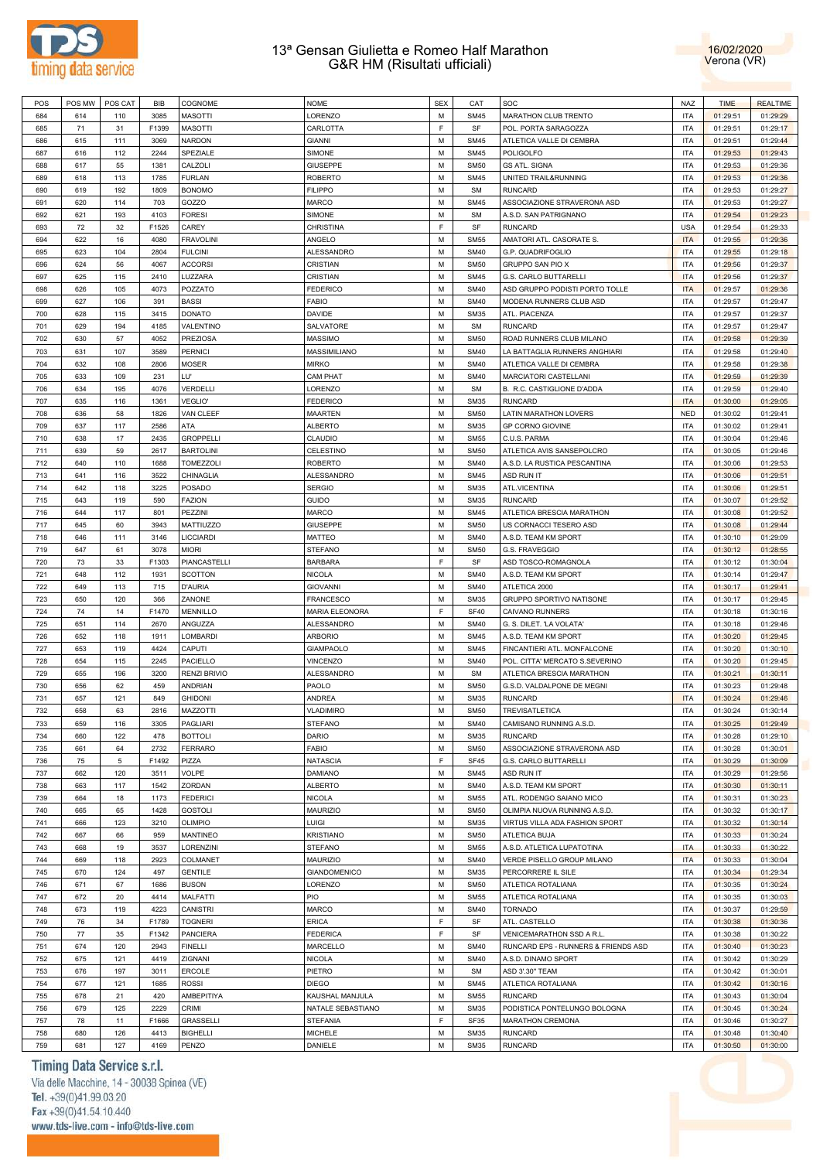



| POS | POS MW | POS CAT | BIB   | COGNOME             | <b>NOME</b>           | <b>SEX</b> | CAT         | SOC                                 | <b>NAZ</b> | <b>TIME</b> | <b>REALTIME</b> |
|-----|--------|---------|-------|---------------------|-----------------------|------------|-------------|-------------------------------------|------------|-------------|-----------------|
| 684 | 614    | 110     | 3085  | <b>MASOTTI</b>      | LORENZO               | M          | <b>SM45</b> | <b>MARATHON CLUB TRENTO</b>         | <b>ITA</b> | 01:29:51    | 01:29:29        |
|     |        |         |       |                     |                       | E          | SF          |                                     | <b>ITA</b> |             |                 |
| 685 | 71     | 31      | F1399 | <b>MASOTTI</b>      | CARLOTTA              |            |             | POL. PORTA SARAGOZZA                |            | 01:29:51    | 01:29:17        |
| 686 | 615    | 111     | 3069  | <b>NARDON</b>       | <b>GIANNI</b>         | M          | <b>SM45</b> | ATLETICA VALLE DI CEMBRA            | <b>ITA</b> | 01:29:51    | 01:29:44        |
| 687 | 616    | 112     | 2244  | SPEZIALE            | SIMONE                | M          | <b>SM45</b> | POLIGOLFO                           | <b>ITA</b> | 01:29:53    | 01:29:43        |
| 688 | 617    | 55      | 1381  | CALZOLI             | <b>GIUSEPPE</b>       | M          | <b>SM50</b> | <b>GS ATL. SIGNA</b>                | <b>ITA</b> | 01:29:53    | 01:29:36        |
| 689 | 618    | 113     | 1785  | <b>FURLAN</b>       | <b>ROBERTO</b>        | M          | <b>SM45</b> | UNITED TRAIL&RUNNING                | <b>ITA</b> | 01:29:53    | 01:29:36        |
| 690 | 619    | 192     | 1809  | <b>BONOMO</b>       | <b>FILIPPO</b>        | M          | <b>SM</b>   | <b>RUNCARD</b>                      | <b>ITA</b> | 01:29:53    | 01:29:27        |
|     |        |         |       |                     |                       |            |             |                                     |            |             |                 |
| 691 | 620    | 114     | 703   | GOZZO               | <b>MARCO</b>          | М          | <b>SM45</b> | ASSOCIAZIONE STRAVERONA ASD         | <b>ITA</b> | 01:29:53    | 01:29:27        |
| 692 | 621    | 193     | 4103  | <b>FORESI</b>       | SIMONE                | M          | <b>SM</b>   | A.S.D. SAN PATRIGNANO               | <b>ITA</b> | 01:29:54    | 01:29:23        |
| 693 | 72     | 32      | F1526 | CAREY               | CHRISTINA             | E          | SF          | <b>RUNCARD</b>                      | <b>USA</b> | 01:29:54    | 01:29:33        |
| 694 | 622    | 16      | 4080  | <b>FRAVOLINI</b>    | ANGELO                | M          | <b>SM55</b> | AMATORI ATL. CASORATE S.            | <b>ITA</b> | 01:29:55    | 01:29:36        |
|     |        |         |       |                     |                       | M          |             |                                     | <b>ITA</b> |             |                 |
| 695 | 623    | 104     | 2804  | <b>FULCINI</b>      | <b>ALESSANDRO</b>     |            | <b>SM40</b> | G.P. QUADRIFOGLIO                   |            | 01:29:55    | 01:29:18        |
| 696 | 624    | 56      | 4067  | <b>ACCORSI</b>      | CRISTIAN              | M          | <b>SM50</b> | GRUPPO SAN PIO X                    | <b>ITA</b> | 01:29:56    | 01:29:37        |
| 697 | 625    | 115     | 2410  | LUZZARA             | CRISTIAN              | M          | <b>SM45</b> | G.S. CARLO BUTTARELLI               | <b>ITA</b> | 01:29:56    | 01:29:37        |
| 698 | 626    | 105     | 4073  | POZZATO             | <b>FEDERICO</b>       | M          | <b>SM40</b> | ASD GRUPPO PODISTI PORTO TOLLE      | <b>ITA</b> | 01:29:57    | 01:29:36        |
| 699 | 627    | 106     | 391   | <b>BASSI</b>        | <b>FABIO</b>          | M          | <b>SM40</b> | MODENA RUNNERS CLUB ASD             | <b>ITA</b> | 01:29:57    | 01:29:47        |
|     |        |         |       |                     |                       | M          |             |                                     |            |             |                 |
| 700 | 628    | 115     | 3415  | <b>DONATO</b>       | <b>DAVIDE</b>         |            | <b>SM35</b> | ATL. PIACENZA                       | <b>ITA</b> | 01:29:57    | 01:29:37        |
| 701 | 629    | 194     | 4185  | VALENTINO           | SALVATORE             | M          | <b>SM</b>   | <b>RUNCARD</b>                      | <b>ITA</b> | 01:29:57    | 01:29:47        |
| 702 | 630    | 57      | 4052  | <b>PREZIOSA</b>     | <b>MASSIMO</b>        | M          | <b>SM50</b> | ROAD RUNNERS CLUB MILANO            | <b>ITA</b> | 01:29:58    | 01:29:39        |
| 703 | 631    | 107     | 3589  | <b>PERNICI</b>      | MASSIMILIANO          | M          | <b>SM40</b> | LA BATTAGLIA RUNNERS ANGHIARI       | <b>ITA</b> | 01:29:58    | 01:29:40        |
| 704 | 632    | 108     | 2806  | <b>MOSER</b>        | <b>MIRKO</b>          | M          | <b>SM40</b> | ATLETICA VALLE DI CEMBRA            | <b>ITA</b> | 01:29:58    | 01:29:38        |
|     |        |         |       |                     |                       |            |             |                                     |            |             |                 |
| 705 | 633    | 109     | 231   | LU'                 | <b>CAM PHAT</b>       | M          | <b>SM40</b> | MARCIATORI CASTELLANI               | <b>ITA</b> | 01:29:59    | 01:29:39        |
| 706 | 634    | 195     | 4076  | <b>VERDELLI</b>     | LORENZO               | M          | <b>SM</b>   | B. R.C. CASTIGLIONE D'ADDA          | <b>ITA</b> | 01:29:59    | 01:29:40        |
| 707 | 635    | 116     | 1361  | <b>VEGLIO'</b>      | <b>FEDERICO</b>       | M          | <b>SM35</b> | <b>RUNCARD</b>                      | <b>ITA</b> | 01:30:00    | 01:29:05        |
| 708 | 636    | 58      | 1826  | VAN CLEEF           | <b>MAARTEN</b>        | M          | <b>SM50</b> | <b>LATIN MARATHON LOVERS</b>        | <b>NED</b> | 01:30:02    | 01:29:41        |
| 709 | 637    | 117     | 2586  | ATA                 | <b>ALBERTO</b>        | M          | <b>SM35</b> | GP CORNO GIOVINE                    | <b>ITA</b> | 01:30:02    | 01:29:41        |
|     |        |         |       |                     |                       |            |             |                                     |            |             |                 |
| 710 | 638    | 17      | 2435  | <b>GROPPELLI</b>    | CLAUDIO               | M          | <b>SM55</b> | C.U.S. PARMA                        | <b>ITA</b> | 01:30:04    | 01:29:46        |
| 711 | 639    | 59      | 2617  | <b>BARTOLINI</b>    | CELESTINO             | M          | <b>SM50</b> | ATLETICA AVIS SANSEPOLCRO           | <b>ITA</b> | 01:30:05    | 01:29:46        |
| 712 | 640    | 110     | 1688  | TOMEZZOLI           | <b>ROBERTO</b>        | M          | <b>SM40</b> | A.S.D. LA RUSTICA PESCANTINA        | <b>ITA</b> | 01:30:06    | 01:29:53        |
| 713 | 641    | 116     | 3522  | CHINAGLIA           | <b>ALESSANDRO</b>     | M          | <b>SM45</b> | ASD RUN IT                          | <b>ITA</b> | 01:30:06    | 01:29:51        |
| 714 | 642    | 118     | 3225  | <b>POSADO</b>       | <b>SERGIO</b>         | M          | <b>SM35</b> | ATL.VICENTINA                       | <b>ITA</b> | 01:30:06    | 01:29:51        |
|     |        |         |       |                     |                       |            |             |                                     |            |             |                 |
| 715 | 643    | 119     | 590   | <b>FAZION</b>       | <b>GUIDO</b>          | M          | <b>SM35</b> | <b>RUNCARD</b>                      | <b>ITA</b> | 01:30:07    | 01:29:52        |
| 716 | 644    | 117     | 801   | PEZZINI             | <b>MARCO</b>          | M          | <b>SM45</b> | ATLETICA BRESCIA MARATHON           | ITA        | 01:30:08    | 01:29:52        |
| 717 | 645    | 60      | 3943  | MATTIUZZO           | <b>GIUSEPPE</b>       | м          | <b>SM50</b> | US CORNACCI TESERO ASD              | <b>ITA</b> | 01:30:08    | 01:29:44        |
| 718 | 646    | 111     | 3146  | LICCIARDI           | <b>MATTEO</b>         | M          | <b>SM40</b> | A.S.D. TEAM KM SPORT                | <b>ITA</b> | 01:30:10    | 01:29:09        |
| 719 | 647    | 61      | 3078  | <b>MIORI</b>        | <b>STEFANO</b>        | M          | <b>SM50</b> | G.S. FRAVEGGIO                      | <b>ITA</b> | 01:30:12    | 01:28:55        |
|     |        |         |       |                     |                       |            |             |                                     |            |             |                 |
| 720 | 73     | 33      | F1303 | PIANCASTELLI        | <b>BARBARA</b>        | E          | SF          | ASD TOSCO-ROMAGNOLA                 | <b>ITA</b> | 01:30:12    | 01:30:04        |
| 721 | 648    | 112     | 1931  | <b>SCOTTON</b>      | <b>NICOLA</b>         | M          | <b>SM40</b> | A.S.D. TEAM KM SPORT                | <b>ITA</b> | 01:30:14    | 01:29:47        |
| 722 | 649    | 113     | 715   | <b>D'AURIA</b>      | <b>GIOVANNI</b>       | M          | <b>SM40</b> | ATLETICA 2000                       | <b>ITA</b> | 01:30:17    | 01:29:41        |
| 723 | 650    | 120     | 366   | ZANONE              | <b>FRANCESCO</b>      | M          | <b>SM35</b> | GRUPPO SPORTIVO NATISONE            | <b>ITA</b> | 01:30:17    | 01:29:45        |
| 724 | 74     | 14      | F1470 | <b>MENNILLO</b>     | <b>MARIA ELEONORA</b> | F          | <b>SF40</b> | CAIVANO RUNNERS                     | <b>ITA</b> | 01:30:18    | 01:30:16        |
|     |        |         |       |                     |                       |            |             |                                     |            |             |                 |
| 725 | 651    | 114     | 2670  | ANGUZZA             | <b>ALESSANDRO</b>     | M          | <b>SM40</b> | G. S. DILET. 'LA VOLATA'            | <b>ITA</b> | 01:30:18    | 01:29:46        |
| 726 | 652    | 118     | 1911  | LOMBARDI            | <b>ARBORIO</b>        | M          | <b>SM45</b> | A.S.D. TEAM KM SPORT                | <b>ITA</b> | 01:30:20    | 01:29:45        |
| 727 | 653    | 119     | 4424  | CAPUTI              | <b>GIAMPAOLO</b>      | M          | <b>SM45</b> | FINCANTIERI ATL. MONFALCONE         | <b>ITA</b> | 01:30:20    | 01:30:10        |
| 728 | 654    | 115     | 2245  | PACIELLO            | <b>VINCENZO</b>       | M          | <b>SM40</b> | POL. CITTA' MERCATO S.SEVERINO      | ITA        | 01:30:20    | 01:29:45        |
| 729 | 655    | 196     | 3200  | <b>RENZI BRIVIO</b> | <b>ALESSANDRO</b>     | м          | <b>SM</b>   | ATLETICA BRESCIA MARATHON           | <b>ITA</b> | 01:30:21    | 01:30:11        |
|     |        |         |       |                     |                       |            |             |                                     |            |             |                 |
| 730 | 656    | 62      | 459   | <b>ANDRIAN</b>      | PAOLO                 | M          | <b>SM50</b> | G.S.D. VALDALPONE DE MEGNI          | <b>ITA</b> | 01:30:23    | 01:29:48        |
| 731 | 657    | 121     | 849   | <b>GHIDONI</b>      | <b>ANDREA</b>         | M          | <b>SM35</b> | <b>RUNCARD</b>                      | <b>ITA</b> | 01:30:24    | 01:29:46        |
| 732 | 658    | 63      | 2816  | <b>MAZZOTTI</b>     | <b>VLADIMIRO</b>      | M          | <b>SM50</b> | TREVISATLETICA                      | <b>ITA</b> | 01:30:24    | 01:30:14        |
| 733 | 659    | 116     | 3305  | PAGLIARI            | <b>STEFANO</b>        | M          | <b>SM40</b> | CAMISANO RUNNING A.S.D.             | ITA        | 01:30:25    | 01:29:49        |
| 734 | 660    | 122     | 478   | <b>BOTTOLI</b>      | <b>DARIO</b>          | M          | <b>SM35</b> | <b>RUNCARD</b>                      | ITA        | 01:30:28    | 01:29:10        |
|     |        |         |       |                     |                       |            |             |                                     |            |             |                 |
| 735 | 661    | 64      | 2732  | <b>FERRARO</b>      | <b>FABIO</b>          | M          | <b>SM50</b> | ASSOCIAZIONE STRAVERONA ASD         | <b>ITA</b> | 01:30:28    | 01:30:01        |
| 736 | 75     | 5       | F1492 | PIZZA               | <b>NATASCIA</b>       | F          | SF45        | G.S. CARLO BUTTARELLI               | ITA        | 01:30:29    | 01:30:09        |
| 737 | 662    | 120     | 3511  | <b>VOLPE</b>        | <b>DAMIANO</b>        | M          | <b>SM45</b> | ASD RUN IT                          | <b>ITA</b> | 01:30:29    | 01:29:56        |
| 738 | 663    | 117     | 1542  | ZORDAN              | <b>ALBERTO</b>        | M          | <b>SM40</b> | A.S.D. TEAM KM SPORT                | ITA        | 01:30:30    | 01:30:11        |
| 739 | 664    | 18      | 1173  | <b>FEDERICI</b>     | <b>NICOLA</b>         | M          | <b>SM55</b> | ATL. RODENGO SAIANO MICO            | ITA        | 01:30:31    | 01:30:23        |
|     |        |         |       |                     |                       |            |             |                                     |            |             |                 |
| 740 | 665    | 65      | 1428  | <b>GOSTOLI</b>      | <b>MAURIZIO</b>       | M          | <b>SM50</b> | OLIMPIA NUOVA RUNNING A.S.D.        | ITA        | 01:30:32    | 01:30:17        |
| 741 | 666    | 123     | 3210  | <b>OLIMPIO</b>      | <b>LUIGI</b>          | M          | <b>SM35</b> | VIRTUS VILLA ADA FASHION SPORT      | ITA        | 01:30:32    | 01:30:14        |
| 742 | 667    | 66      | 959   | MANTINEO            | <b>KRISTIANO</b>      | M          | <b>SM50</b> | ATLETICA BUJA                       | ITA        | 01:30:33    | 01:30:24        |
| 743 | 668    | 19      | 3537  | LORENZINI           | <b>STEFANO</b>        | M          | <b>SM55</b> | A.S.D. ATLETICA LUPATOTINA          | <b>ITA</b> | 01:30:33    | 01:30:22        |
| 744 | 669    | 118     | 2923  | COLMANET            | <b>MAURIZIO</b>       | M          | <b>SM40</b> | VERDE PISELLO GROUP MILANO          | <b>ITA</b> | 01:30:33    | 01:30:04        |
|     |        |         |       |                     |                       |            |             |                                     |            |             |                 |
| 745 | 670    | 124     | 497   | <b>GENTILE</b>      | GIANDOMENICO          | M          | <b>SM35</b> | PERCORRERE IL SILE                  | ITA        | 01:30:34    | 01:29:34        |
| 746 | 671    | 67      | 1686  | <b>BUSON</b>        | LORENZO               | M          | <b>SM50</b> | ATLETICA ROTALIANA                  | ITA        | 01:30:35    | 01:30:24        |
| 747 | 672    | 20      | 4414  | MALFATTI            | <b>PIO</b>            | M          | <b>SM55</b> | ATLETICA ROTALIANA                  | ITA        | 01:30:35    | 01:30:03        |
| 748 | 673    | 119     | 4223  | <b>CANISTRI</b>     | <b>MARCO</b>          | M          | <b>SM40</b> | <b>TORNADO</b>                      | ITA        | 01:30:37    | 01:29:59        |
| 749 | 76     |         | F1789 | <b>TOGNERI</b>      | <b>ERICA</b>          | F          | SF          |                                     | ITA        | 01:30:38    | 01:30:36        |
|     |        | 34      |       |                     |                       |            |             | ATL. CASTELLO                       |            |             |                 |
| 750 | 77     | 35      | F1342 | <b>PANCIERA</b>     | <b>FEDERICA</b>       | E          | SF          | VENICEMARATHON SSD A R.L.           | ITA        | 01:30:38    | 01:30:22        |
| 751 | 674    | 120     | 2943  | <b>FINELLI</b>      | MARCELLO              | M          | <b>SM40</b> | RUNCARD EPS - RUNNERS & FRIENDS ASD | ITA        | 01:30:40    | 01:30:23        |
| 752 | 675    | 121     | 4419  | ZIGNANI             | <b>NICOLA</b>         | M          | <b>SM40</b> | A.S.D. DINAMO SPORT                 | ITA        | 01:30:42    | 01:30:29        |
| 753 | 676    | 197     | 3011  | ERCOLE              | PIETRO                | M          | <b>SM</b>   | ASD 3'.30" TEAM                     | ITA        | 01:30:42    | 01:30:01        |
|     |        |         |       |                     |                       | M          |             |                                     |            |             |                 |
| 754 | 677    | 121     | 1685  | <b>ROSSI</b>        | <b>DIEGO</b>          |            | <b>SM45</b> | ATLETICA ROTALIANA                  | ITA        | 01:30:42    | 01:30:16        |
| 755 | 678    | 21      | 420   | AMBEPITIYA          | KAUSHAL MANJULA       | M          | <b>SM55</b> | <b>RUNCARD</b>                      | ITA        | 01:30:43    | 01:30:04        |
| 756 | 679    | 125     | 2229  | CRIMI               | NATALE SEBASTIANO     | M          | <b>SM35</b> | PODISTICA PONTELUNGO BOLOGNA        | ITA        | 01:30:45    | 01:30:24        |
| 757 | 78     | 11      | F1666 | <b>GRASSELLI</b>    | <b>STEFANIA</b>       | E          | <b>SF35</b> | <b>MARATHON CREMONA</b>             | ITA        | 01:30:46    | 01:30:27        |
| 758 | 680    | 126     | 4413  | <b>BIGHELLI</b>     | <b>MICHELE</b>        | M          | <b>SM35</b> | <b>RUNCARD</b>                      | ITA        | 01:30:48    | 01:30:40        |
|     |        |         |       |                     |                       |            |             |                                     |            |             |                 |
| 759 | 681    | 127     | 4169  | PENZO               | DANIELE               | М          | <b>SM35</b> | <b>RUNCARD</b>                      | ITA        | 01:30:50    | 01:30:00        |

# Timing Data Service s.r.l.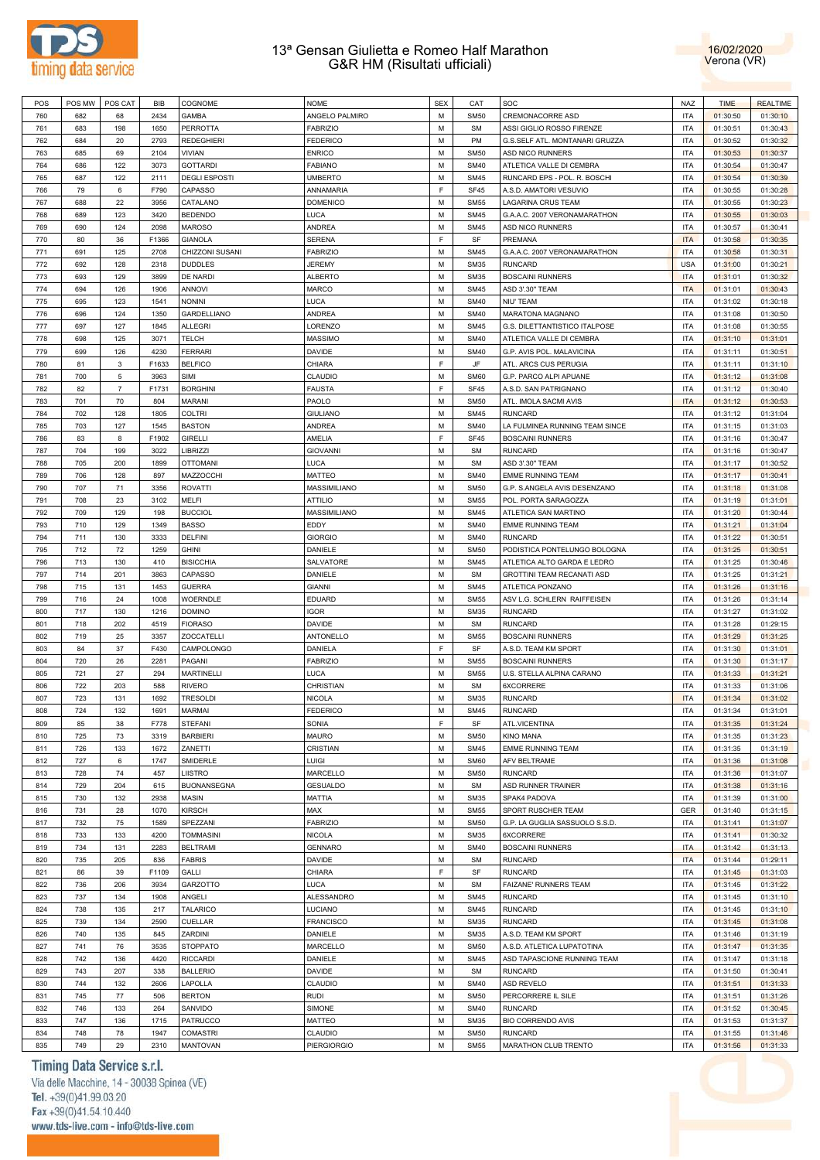



| POS        | POS MW     | POS CAT        | <b>BIB</b>   | COGNOME                            | <b>NOME</b>                   | <b>SEX</b> | CAT                        | SOC                                    | <b>NAZ</b>               | <b>TIME</b>          | <b>REALTIME</b>      |
|------------|------------|----------------|--------------|------------------------------------|-------------------------------|------------|----------------------------|----------------------------------------|--------------------------|----------------------|----------------------|
| 760        | 682        | 68             | 2434         | <b>GAMBA</b>                       | ANGELO PALMIRO                | M          | <b>SM50</b>                | <b>CREMONACORRE ASD</b>                | <b>ITA</b>               | 01:30:50             | 01:30:10             |
| 761        | 683        | 198            | 1650         | <b>PERROTTA</b>                    | <b>FABRIZIO</b>               | M          | <b>SM</b>                  | ASSI GIGLIO ROSSO FIRENZE              | <b>ITA</b>               | 01:30:51             | 01:30:43             |
| 762        | 684        | 20             | 2793         | <b>REDEGHIERI</b>                  | <b>FEDERICO</b>               | М          | PM                         | G.S.SELF ATL. MONTANARI GRUZZA         | <b>ITA</b>               | 01:30:52             | 01:30:32             |
| 763        | 685        | 69             | 2104         | VIVIAN                             | <b>ENRICO</b>                 | M          | <b>SM50</b>                | ASD NICO RUNNERS                       | <b>ITA</b>               | 01:30:53             | 01:30:37             |
| 764        | 686        | 122            | 3073         | <b>GOTTARDI</b>                    | <b>FABIANO</b>                | M          | <b>SM40</b>                | ATLETICA VALLE DI CEMBRA               | <b>ITA</b>               | 01:30:54             | 01:30:47             |
| 765        | 687        | 122            | 2111         | <b>DEGLI ESPOSTI</b>               | <b>UMBERTO</b>                | M          | <b>SM45</b>                | RUNCARD EPS - POL. R. BOSCHI           | <b>ITA</b>               | 01:30:54             | 01:30:39             |
| 766        | 79         | 6              | F790         | CAPASSO                            | ANNAMARIA                     | F          | <b>SF45</b>                | A.S.D. AMATORI VESUVIO                 | <b>ITA</b>               | 01:30:55             | 01:30:28             |
|            |            |                |              |                                    |                               |            |                            |                                        |                          |                      |                      |
| 767        | 688        | 22             | 3956         | CATALANO                           | <b>DOMENICO</b>               | M          | <b>SM55</b>                | LAGARINA CRUS TEAM                     | <b>ITA</b>               | 01:30:55             | 01:30:23             |
| 768        | 689        | 123            | 3420         | <b>BEDENDO</b>                     | LUCA                          | M          | <b>SM45</b>                | G.A.A.C. 2007 VERONAMARATHON           | <b>ITA</b>               | 01:30:55             | 01:30:03             |
| 769        | 690        | 124            | 2098         | <b>MAROSO</b>                      | ANDREA                        | M          | <b>SM45</b>                | ASD NICO RUNNERS                       | <b>ITA</b>               | 01:30:57             | 01:30:41             |
| 770        | 80         | 36             | F1366        | <b>GIANOLA</b>                     | <b>SERENA</b>                 | F          | SF                         | PREMANA                                | <b>ITA</b>               | 01:30:58             | 01:30:35             |
| 771        | 691        | 125            | 2708         | CHIZZONI SUSANI                    | <b>FABRIZIO</b>               | M          | <b>SM45</b>                | G.A.A.C. 2007 VERONAMARATHON           | <b>ITA</b>               | 01:30:58             | 01:30:31             |
| 772        | 692        | 128            | 2318         | <b>DUDDLES</b>                     | <b>JEREMY</b>                 | M          | <b>SM35</b>                | <b>RUNCARD</b>                         | <b>USA</b>               | 01:31:00             | 01:30:21             |
| 773        | 693        | 129            | 3899         | DE NARDI                           | <b>ALBERTO</b>                | M          | <b>SM35</b>                | <b>BOSCAINI RUNNERS</b>                | <b>ITA</b>               | 01:31:01             | 01:30:32             |
| 774        | 694        | 126            | 1906         | <b>ANNOVI</b>                      | MARCO                         | M          | <b>SM45</b>                | ASD 3'.30" TEAM                        | <b>ITA</b>               | 01:31:01             | 01:30:43             |
| 775        | 695        | 123            | 1541         | <b>NONINI</b>                      | LUCA                          | M          | <b>SM40</b>                | NIU' TEAM                              | <b>ITA</b>               | 01:31:02             | 01:30:18             |
| 776        | 696        | 124            | 1350         | <b>GARDELLIANO</b>                 | ANDREA                        | M          | <b>SM40</b>                | MARATONA MAGNANO                       | <b>ITA</b>               | 01:31:08             | 01:30:50             |
| 777        | 697        | 127            | 1845         | <b>ALLEGRI</b>                     | LORENZO                       | M          | <b>SM45</b>                | G.S. DILETTANTISTICO ITALPOSE          | <b>ITA</b>               | 01:31:08             | 01:30:55             |
| 778        | 698        | 125            | 3071         | <b>TELCH</b>                       | MASSIMO                       | M          | <b>SM40</b>                | ATLETICA VALLE DI CEMBRA               | <b>ITA</b>               | 01:31:10             | 01:31:01             |
| 779        | 699        | 126            | 4230         | <b>FERRARI</b>                     | DAVIDE                        | M          | <b>SM40</b>                | G.P. AVIS POL. MALAVICINA              | <b>ITA</b>               | 01:31:11             | 01:30:51             |
| 780        | 81         | 3              | F1633        | <b>BELFICO</b>                     | CHIARA                        | F          | JF                         | ATL. ARCS CUS PERUGIA                  | <b>ITA</b>               | 01:31:11             | 01:31:10             |
| 781        | 700        | 5              | 3963         | SIMI                               | CLAUDIO                       | M          | <b>SM60</b>                | G.P. PARCO ALPI APUANE                 | <b>ITA</b>               | 01:31:12             | 01:31:08             |
| 782        | 82         | $\overline{7}$ | F1731        | <b>BORGHINI</b>                    | <b>FAUSTA</b>                 | F          | <b>SF45</b>                | A.S.D. SAN PATRIGNANO                  | <b>ITA</b>               | 01:31:12             | 01:30:40             |
|            |            |                |              |                                    |                               |            |                            |                                        |                          |                      |                      |
| 783        | 701        | 70             | 804          | MARANI                             | PAOLO                         | M          | <b>SM50</b>                | ATL. IMOLA SACMI AVIS                  | <b>ITA</b>               | 01:31:12             | 01:30:53             |
| 784        | 702        | 128            | 1805         | <b>COLTRI</b>                      | <b>GIULIANO</b>               | M          | <b>SM45</b>                | <b>RUNCARD</b>                         | <b>ITA</b>               | 01:31:12             | 01:31:04             |
| 785        | 703        | 127            | 1545         | <b>BASTON</b>                      | ANDREA                        | M          | <b>SM40</b>                | LA FULMINEA RUNNING TEAM SINCE         | <b>ITA</b>               | 01:31:15             | 01:31:03             |
| 786        | 83         | 8              | F1902        | <b>GIRELLI</b>                     | AMELIA                        | F          | <b>SF45</b>                | <b>BOSCAINI RUNNERS</b>                | <b>ITA</b>               | 01:31:16             | 01:30:47             |
| 787        | 704        | 199            | 3022         | <b>LIBRIZZI</b>                    | <b>GIOVANNI</b>               | M          | <b>SM</b>                  | <b>RUNCARD</b>                         | <b>ITA</b>               | 01:31:16             | 01:30:47             |
| 788        | 705        | 200            | 1899         | <b>OTTOMANI</b>                    | LUCA                          | M          | <b>SM</b>                  | ASD 3'.30" TEAM                        | <b>ITA</b>               | 01:31:17             | 01:30:52             |
| 789        | 706        | 128            | 897          | MAZZOCCHI                          | MATTEO                        | M          | <b>SM40</b>                | <b>EMME RUNNING TEAM</b>               | <b>ITA</b>               | 01:31:17             | 01:30:41             |
| 790        | 707        | 71             | 3356         | <b>ROVATTI</b>                     | MASSIMILIANO                  | M          | <b>SM50</b>                | G.P. S.ANGELA AVIS DESENZANO           | <b>ITA</b>               | 01:31:18             | 01:31:08             |
| 791        | 708        | 23             | 3102         | MELFI                              | ATTILIO                       | M          | <b>SM55</b>                | POL. PORTA SARAGOZZA                   | <b>ITA</b>               | 01:31:19             | 01:31:01             |
| 792        | 709        | 129            | 198          | <b>BUCCIOL</b>                     | MASSIMILIANO                  | M          | <b>SM45</b>                | ATLETICA SAN MARTINO                   | <b>ITA</b>               | 01:31:20             | 01:30:44             |
| 793        | 710        | 129            | 1349         | <b>BASSO</b>                       | EDDY                          | M          | <b>SM40</b>                | <b>EMME RUNNING TEAM</b>               | <b>ITA</b>               | 01:31:21             | 01:31:04             |
| 794        | 711        | 130            | 3333         | <b>DELFINI</b>                     | <b>GIORGIO</b>                | M          | <b>SM40</b>                | <b>RUNCARD</b>                         | <b>ITA</b>               | 01:31:22             | 01:30:51             |
| 795        | 712        | 72             | 1259         | <b>GHINI</b>                       | DANIELE                       | M          | <b>SM50</b>                | PODISTICA PONTELUNGO BOLOGNA           | <b>ITA</b>               | 01:31:25             | 01:30:51             |
| 796        | 713        | 130            | 410          | <b>BISICCHIA</b>                   | SALVATORE                     | M          | <b>SM45</b>                | ATLETICA ALTO GARDA E LEDRO            | <b>ITA</b>               | 01:31:25             | 01:30:46             |
| 797        | 714        | 201            | 3863         | CAPASSO                            | DANIELE                       | M          | <b>SM</b>                  | GROTTINI TEAM RECANATI ASD             | <b>ITA</b>               | 01:31:25             | 01:31:21             |
| 798        | 715        | 131            | 1453         | <b>GUERRA</b>                      | <b>GIANNI</b>                 | M          | <b>SM45</b>                | ATLETICA PONZANO                       | <b>ITA</b>               | 01:31:26             | 01:31:16             |
|            |            |                |              |                                    | EDUARD                        | M          |                            |                                        | <b>ITA</b>               |                      |                      |
| 799        | 716        | 24             | 1008         | WOERNDLE                           |                               |            | <b>SM55</b>                | ASV L.G. SCHLERN RAIFFEISEN            |                          | 01:31:26             | 01:31:14             |
| 800        | 717        | 130            | 1216         | <b>DOMINO</b>                      | <b>IGOR</b>                   | M          | <b>SM35</b>                | <b>RUNCARD</b>                         | <b>ITA</b>               | 01:31:27             | 01:31:02             |
| 801        | 718        | 202            | 4519         | <b>FIORASO</b>                     | <b>DAVIDE</b>                 | M          | <b>SM</b>                  | <b>RUNCARD</b>                         | <b>ITA</b>               | 01:31:28             | 01:29:15             |
| 802        | 719        | 25             | 3357         | <b>ZOCCATELLI</b>                  | ANTONELLO                     | M          | <b>SM55</b>                | <b>BOSCAINI RUNNERS</b>                | <b>ITA</b>               | 01:31:29             | 01:31:25             |
| 803        | 84         | 37             | F430         | CAMPOLONGO                         | DANIELA                       | F.         | SF                         | A.S.D. TEAM KM SPORT                   | <b>ITA</b>               | 01:31:30             | 01:31:01             |
| 804        | 720        | 26             | 2281         | PAGANI                             | <b>FABRIZIO</b>               | M          | <b>SM55</b>                | <b>BOSCAINI RUNNERS</b>                | <b>ITA</b>               | 01:31:30             | 01:31:17             |
| 805        | 721        | 27             | 294          | <b>MARTINELLI</b>                  | LUCA                          | М          | <b>SM55</b>                | U.S. STELLA ALPINA CARANO              | <b>ITA</b>               | 01:31:33             | 01:31:21             |
| 806        | 722        | 203            | 588          | <b>RIVERO</b>                      | CHRISTIAN                     | М          | <b>SM</b>                  | 6XCORRERE                              | <b>ITA</b>               | 01:31:33             | 01:31:06             |
| 807        | 723        | 131            | 1692         | <b>TRESOLDI</b>                    | <b>NICOLA</b>                 | М          | <b>SM35</b>                | <b>RUNCARD</b>                         | <b>ITA</b>               | 01:31:34             | 01:31:02             |
| 808        | 724        | 132            | 1691         | <b>MARMAI</b>                      | <b>FEDERICO</b>               | M          | <b>SM45</b>                | <b>RUNCARD</b>                         | <b>ITA</b>               | 01:31:34             | 01:31:01             |
| 809        | 85         | 38             | F778         | <b>STEFANI</b>                     | SONIA                         | E          | SF                         | ATL.VICENTINA                          | <b>ITA</b>               | 01:31:35             | 01:31:24             |
| 810        | 725        | 73             | 3319         | <b>BARBIERI</b>                    | MAURO                         | M          | <b>SM50</b>                | <b>KINO MANA</b>                       | <b>ITA</b>               | 01:31:35             | 01:31:23             |
| 811        | 726        | 133            | 1672         | ZANETTI                            | CRISTIAN                      | M          | <b>SM45</b>                | <b>EMME RUNNING TEAM</b>               | <b>ITA</b>               | 01:31:35             | 01:31:19             |
| 812        | 727        | 6              | 1747         | SMIDERLE                           | LUIGI                         | M          | <b>SM60</b>                | AFV BELTRAME                           | <b>ITA</b>               | 01:31:36             | 01:31:08             |
| 813        | 728        | 74             | 457          | LIISTRO                            | MARCELLO                      | М          | <b>SM50</b>                | <b>RUNCARD</b>                         | <b>ITA</b>               | 01:31:36             | 01:31:07             |
| 814        | 729        | 204            | 615          | <b>BUONANSEGNA</b>                 | <b>GESUALDO</b>               | M          | <b>SM</b>                  | ASD RUNNER TRAINER                     | <b>ITA</b>               | 01:31:38             | 01:31:16             |
| 815        | 730        | 132            | 2938         | <b>MASIN</b>                       | MATTIA                        | M          | <b>SM35</b>                | SPAK4 PADOVA                           | <b>ITA</b>               | 01:31:39             | 01:31:00             |
|            |            |                |              |                                    |                               | M          |                            |                                        | <b>GER</b>               |                      |                      |
| 816        | 731        | 28             | 1070         | <b>KIRSCH</b>                      | MAX                           |            | <b>SM55</b>                | SPORT RUSCHER TEAM                     |                          | 01:31:40             | 01:31:15             |
| 817        | 732        | 75             | 1589         | SPEZZANI                           | <b>FABRIZIO</b>               | М          | <b>SM50</b>                | G.P. LA GUGLIA SASSUOLO S.S.D.         | <b>ITA</b>               | 01:31:41             | 01:31:07             |
| 818        | 733        | 133            | 4200         | <b>TOMMASINI</b>                   | NICOLA                        | M          | <b>SM35</b>                | 6XCORRERE                              | <b>ITA</b>               | 01:31:41             | 01:30:32             |
| 819        | 734        | 131            | 2283         | <b>BELTRAMI</b>                    | <b>GENNARO</b>                | M          | <b>SM40</b>                | <b>BOSCAINI RUNNERS</b>                | <b>ITA</b>               | 01:31:42             | 01:31:13             |
| 820        | 735        | 205            | 836          | <b>FABRIS</b>                      | DAVIDE                        | M          | <b>SM</b>                  | <b>RUNCARD</b>                         | <b>ITA</b>               | 01:31:44             | 01:29:11             |
| 821        |            |                |              |                                    |                               | F.         | SF                         |                                        |                          | 01:31:45             | 01:31:03             |
| 822        | 86         | 39             | F1109        | GALLI                              | CHIARA                        |            |                            | <b>RUNCARD</b>                         | <b>ITA</b>               |                      |                      |
|            | 736        | 206            | 3934         | GARZOTTO                           | LUCA                          | M          | <b>SM</b>                  | FAIZANE' RUNNERS TEAM                  | <b>ITA</b>               | 01:31:45             | 01:31:22             |
| 823        | 737        | 134            | 1908         | ANGELI                             | ALESSANDRO                    | M          | <b>SM45</b>                | <b>RUNCARD</b>                         | <b>ITA</b>               | 01:31:45             | 01:31:10             |
| 824        | 738        | 135            | 217          | <b>TALARICO</b>                    | LUCIANO                       | M          | <b>SM45</b>                | <b>RUNCARD</b>                         | <b>ITA</b>               | 01:31:45             | 01:31:10             |
| 825        | 739        | 134            | 2590         | CUELLAR                            | <b>FRANCISCO</b>              | M          | <b>SM35</b>                | <b>RUNCARD</b>                         | <b>ITA</b>               | 01:31:45             | 01:31:08             |
| 826        | 740        | 135            | 845          | ZARDINI                            | DANIELE                       | M          | <b>SM35</b>                | A.S.D. TEAM KM SPORT                   | <b>ITA</b>               | 01:31:46             | 01:31:19             |
| 827        | 741        | 76             | 3535         | <b>STOPPATO</b>                    | MARCELLO                      | M          | <b>SM50</b>                | A.S.D. ATLETICA LUPATOTINA             | <b>ITA</b>               | 01:31:47             | 01:31:35             |
| 828        | 742        |                | 4420         |                                    |                               | M          | <b>SM45</b>                |                                        | <b>ITA</b>               |                      |                      |
|            |            | 136            |              | <b>RICCARDI</b>                    | DANIELE                       |            |                            | ASD TAPASCIONE RUNNING TEAM            |                          | 01:31:47             | 01:31:18             |
| 829        | 743        | 207            | 338          | <b>BALLERIO</b>                    | DAVIDE                        | М          | <b>SM</b>                  | <b>RUNCARD</b>                         | <b>ITA</b>               | 01:31:50             | 01:30:41             |
| 830        | 744        | 132            | 2606         | LAPOLLA                            | CLAUDIO                       | M          | <b>SM40</b>                | ASD REVELO                             | <b>ITA</b>               | 01:31:51             | 01:31:33             |
| 831        | 745        | 77             | 506          | <b>BERTON</b>                      | <b>RUDI</b>                   | M          | <b>SM50</b>                | PERCORRERE IL SILE                     | <b>ITA</b>               | 01:31:51             | 01:31:26             |
| 832        | 746        | 133            | 264          | SANVIDO                            | SIMONE                        | M          | <b>SM40</b>                | <b>RUNCARD</b>                         | <b>ITA</b>               | 01:31:52             | 01:30:45             |
| 833        | 747        | 136            | 1715         | PATRUCCO                           | MATTEO                        | M          | <b>SM35</b>                | <b>BIO CORRENDO AVIS</b>               | <b>ITA</b>               | 01:31:53             | 01:31:37             |
| 834<br>835 | 748<br>749 | 78<br>29       | 1947<br>2310 | <b>COMASTRI</b><br><b>MANTOVAN</b> | CLAUDIO<br><b>PIERGIORGIO</b> | M<br>М     | <b>SM50</b><br><b>SM55</b> | <b>RUNCARD</b><br>MARATHON CLUB TRENTO | <b>ITA</b><br><b>ITA</b> | 01:31:55<br>01:31:56 | 01:31:46<br>01:31:33 |

# Timing Data Service s.r.l.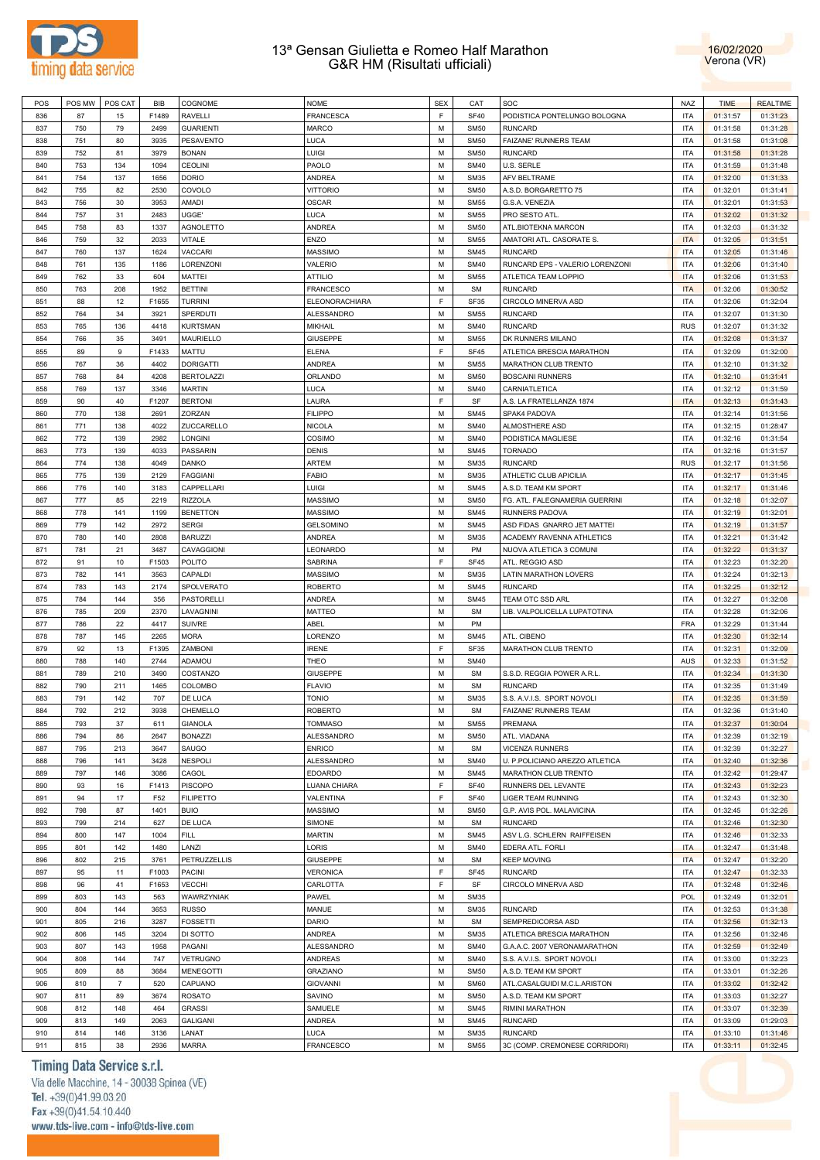



| POS | POS MW | POS CAT        | BIB   | COGNOME           | <b>NOME</b>      | <b>SEX</b> | CAT         | SOC                             | <b>NAZ</b> | <b>TIME</b> | <b>REALTIME</b> |
|-----|--------|----------------|-------|-------------------|------------------|------------|-------------|---------------------------------|------------|-------------|-----------------|
| 836 | 87     | 15             | F1489 | <b>RAVELLI</b>    | <b>FRANCESCA</b> | F          | <b>SF40</b> | PODISTICA PONTELUNGO BOLOGNA    | <b>ITA</b> | 01:31:57    | 01:31:23        |
| 837 | 750    | 79             | 2499  | <b>GUARIENTI</b>  | <b>MARCO</b>     | М          | <b>SM50</b> | <b>RUNCARD</b>                  | <b>ITA</b> | 01:31:58    | 01:31:28        |
|     |        |                |       |                   |                  | М          |             |                                 |            |             |                 |
| 838 | 751    | 80             | 3935  | PESAVENTO         | <b>LUCA</b>      |            | <b>SM50</b> | FAIZANE' RUNNERS TEAM           | <b>ITA</b> | 01:31:58    | 01:31:08        |
| 839 | 752    | 81             | 3979  | <b>BONAN</b>      | LUIGI            | М          | <b>SM50</b> | <b>RUNCARD</b>                  | <b>ITA</b> | 01:31:58    | 01:31:28        |
| 840 | 753    | 134            | 1094  | CEOLINI           | PAOLO            | М          | <b>SM40</b> | U.S. SERLE                      | <b>ITA</b> | 01:31:59    | 01:31:48        |
| 841 | 754    | 137            | 1656  | <b>DORIO</b>      | <b>ANDREA</b>    | М          | <b>SM35</b> | AFV BELTRAME                    | <b>ITA</b> | 01:32:00    | 01:31:33        |
| 842 | 755    | 82             | 2530  | COVOLO            | <b>VITTORIO</b>  | М          | <b>SM50</b> | A.S.D. BORGARETTO 75            | <b>ITA</b> | 01:32:01    | 01:31:41        |
| 843 | 756    | 30             | 3953  | AMADI             | <b>OSCAR</b>     | M          | <b>SM55</b> | G.S.A. VENEZIA                  | <b>ITA</b> | 01:32:01    | 01:31:53        |
| 844 | 757    | 31             | 2483  | UGGE'             | LUCA             | M          | <b>SM55</b> | PRO SESTO ATL                   | <b>ITA</b> | 01:32:02    | 01:31:32        |
| 845 | 758    | 83             | 1337  | <b>AGNOLETTO</b>  | <b>ANDREA</b>    | M          | <b>SM50</b> | ATL.BIOTEKNA MARCON             | <b>ITA</b> | 01:32:03    | 01:31:32        |
| 846 | 759    | 32             | 2033  | <b>VITALE</b>     | ENZO             | M          | <b>SM55</b> | AMATORI ATL. CASORATE S.        | <b>ITA</b> | 01:32:05    | 01:31:51        |
| 847 | 760    | 137            | 1624  | <b>VACCARI</b>    | <b>MASSIMO</b>   | M          | <b>SM45</b> | <b>RUNCARD</b>                  | <b>ITA</b> | 01:32:05    | 01:31:46        |
| 848 | 761    | 135            | 1186  | LORENZONI         | VALERIO          | M          | <b>SM40</b> | RUNCARD EPS - VALERIO LORENZONI | <b>ITA</b> | 01:32:06    | 01:31:40        |
| 849 | 762    | 33             | 604   | <b>MATTEI</b>     | <b>ATTILIO</b>   | М          | <b>SM55</b> |                                 | <b>ITA</b> | 01:32:06    |                 |
|     |        |                |       |                   |                  |            |             | ATLETICA TEAM LOPPIO            |            |             | 01:31:53        |
| 850 | 763    | 208            | 1952  | <b>BETTINI</b>    | <b>FRANCESCO</b> | М          | <b>SM</b>   | <b>RUNCARD</b>                  | <b>ITA</b> | 01:32:06    | 01:30:52        |
| 851 | 88     | 12             | F1655 | <b>TURRINI</b>    | ELEONORACHIARA   | F          | SF35        | CIRCOLO MINERVA ASD             | <b>ITA</b> | 01:32:06    | 01:32:04        |
| 852 | 764    | 34             | 3921  | SPERDUTI          | ALESSANDRO       | М          | <b>SM55</b> | <b>RUNCARD</b>                  | <b>ITA</b> | 01:32:07    | 01:31:30        |
| 853 | 765    | 136            | 4418  | <b>KURTSMAN</b>   | <b>MIKHAIL</b>   | М          | <b>SM40</b> | <b>RUNCARD</b>                  | <b>RUS</b> | 01:32:07    | 01:31:32        |
| 854 | 766    | 35             | 3491  | MAURIELLO         | <b>GIUSEPPE</b>  | М          | <b>SM55</b> | DK RUNNERS MILANO               | <b>ITA</b> | 01:32:08    | 01:31:37        |
| 855 | 89     | 9              | F1433 | MATTU             | <b>ELENA</b>     | F          | SF45        | ATLETICA BRESCIA MARATHON       | <b>ITA</b> | 01:32:09    | 01:32:00        |
| 856 | 767    | 36             | 4402  | <b>DORIGATTI</b>  | ANDREA           | M          | <b>SM55</b> | MARATHON CLUB TRENTO            | <b>ITA</b> | 01:32:10    | 01:31:32        |
| 857 | 768    | 84             | 4208  | <b>BERTOLAZZI</b> | ORLANDO          | M          | <b>SM50</b> | <b>BOSCAINI RUNNERS</b>         | <b>ITA</b> | 01:32:10    | 01:31:41        |
| 858 | 769    | 137            | 3346  | <b>MARTIN</b>     | LUCA             | M          | <b>SM40</b> | CARNIATLETICA                   | <b>ITA</b> | 01:32:12    | 01:31:59        |
| 859 | 90     | 40             | F1207 | <b>BERTONI</b>    | LAURA            | F          | SF          | A.S. LA FRATELLANZA 1874        | <b>ITA</b> | 01:32:13    | 01:31:43        |
| 860 | 770    | 138            | 2691  | ZORZAN            | <b>FILIPPO</b>   | M          | <b>SM45</b> | SPAK4 PADOVA                    | <b>ITA</b> | 01:32:14    | 01:31:56        |
| 861 | 771    | 138            | 4022  | ZUCCARELLO        | <b>NICOLA</b>    | М          | <b>SM40</b> | ALMOSTHERE ASD                  | <b>ITA</b> | 01:32:15    | 01:28:47        |
|     |        |                |       |                   |                  |            |             |                                 |            |             |                 |
| 862 | 772    | 139            | 2982  | <b>LONGINI</b>    | COSIMO           | М          | <b>SM40</b> | PODISTICA MAGLIESE              | <b>ITA</b> | 01:32:16    | 01:31:54        |
| 863 | 773    | 139            | 4033  | PASSARIN          | <b>DENIS</b>     | М          | <b>SM45</b> | <b>TORNADO</b>                  | <b>ITA</b> | 01:32:16    | 01:31:57        |
| 864 | 774    | 138            | 4049  | DANKO             | <b>ARTEM</b>     | М          | <b>SM35</b> | <b>RUNCARD</b>                  | <b>RUS</b> | 01:32:17    | 01:31:56        |
| 865 | 775    | 139            | 2129  | <b>FAGGIANI</b>   | <b>FABIO</b>     | М          | <b>SM35</b> | ATHLETIC CLUB APICILIA          | <b>ITA</b> | 01:32:17    | 01:31:45        |
| 866 | 776    | 140            | 3183  | CAPPELLARI        | <b>LUIGI</b>     | М          | <b>SM45</b> | A.S.D. TEAM KM SPORT            | <b>ITA</b> | 01:32:17    | 01:31:46        |
| 867 | 777    | 85             | 2219  | <b>RIZZOLA</b>    | <b>MASSIMO</b>   | M          | <b>SM50</b> | FG. ATL. FALEGNAMERIA GUERRINI  | <b>ITA</b> | 01:32:18    | 01:32:07        |
| 868 | 778    | 141            | 1199  | <b>BENETTON</b>   | <b>MASSIMO</b>   | M          | <b>SM45</b> | RUNNERS PADOVA                  | <b>ITA</b> | 01:32:19    | 01:32:01        |
| 869 | 779    | 142            | 2972  | <b>SERGI</b>      | <b>GELSOMINO</b> | M          | <b>SM45</b> | ASD FIDAS GNARRO JET MATTEI     | <b>ITA</b> | 01:32:19    | 01:31:57        |
| 870 | 780    | 140            | 2808  | <b>BARUZZI</b>    | <b>ANDREA</b>    | M          | <b>SM35</b> | ACADEMY RAVENNA ATHLETICS       | <b>ITA</b> | 01:32:21    | 01:31:42        |
| 871 | 781    | 21             | 3487  | CAVAGGIONI        | LEONARDO         | M          | PM          | NUOVA ATLETICA 3 COMUNI         | <b>ITA</b> | 01:32:22    | 01:31:37        |
| 872 | 91     | 10             | F1503 | <b>POLITO</b>     | SABRINA          | F          | SF45        | ATL. REGGIO ASD                 | <b>ITA</b> | 01:32:23    | 01:32:20        |
| 873 |        |                |       |                   | <b>MASSIMO</b>   | M          | <b>SM35</b> |                                 |            |             | 01:32:13        |
|     | 782    | 141            | 3563  | CAPALDI           |                  |            |             | LATIN MARATHON LOVERS           | <b>ITA</b> | 01:32:24    |                 |
| 874 | 783    | 143            | 2174  | SPOLVERATO        | <b>ROBERTO</b>   | М          | <b>SM45</b> | <b>RUNCARD</b>                  | <b>ITA</b> | 01:32:25    | 01:32:12        |
| 875 | 784    | 144            | 356   | PASTORELLI        | <b>ANDREA</b>    | М          | <b>SM45</b> | TEAM OTC SSD ARL                | <b>ITA</b> | 01:32:27    | 01:32:08        |
| 876 | 785    | 209            | 2370  | LAVAGNINI         | <b>MATTEO</b>    | М          | <b>SM</b>   | LIB. VALPOLICELLA LUPATOTINA    | <b>ITA</b> | 01:32:28    | 01:32:06        |
| 877 | 786    | 22             | 4417  | <b>SUIVRE</b>     | ABEL             | М          | PM          |                                 | <b>FRA</b> | 01:32:29    | 01:31:44        |
| 878 | 787    | 145            | 2265  | <b>MORA</b>       | LORENZO          | М          | <b>SM45</b> | ATL. CIBENO                     | <b>ITA</b> | 01:32:30    | 01:32:14        |
| 879 | 92     | 13             | F1395 | ZAMBONI           | <b>IRENE</b>     | F          | SF35        | MARATHON CLUB TRENTO            | <b>ITA</b> | 01:32:31    | 01:32:09        |
| 880 | 788    | 140            | 2744  | ADAMOU            | THEO             | М          | <b>SM40</b> |                                 | <b>AUS</b> | 01:32:33    | 01:31:52        |
| 881 | 789    | 210            | 3490  | COSTANZO          | <b>GIUSEPPE</b>  | М          | <b>SM</b>   | S.S.D. REGGIA POWER A.R.L       | <b>ITA</b> | 01:32:34    | 01:31:30        |
| 882 | 790    | 211            | 1465  | COLOMBO           | <b>FLAVIO</b>    | М          | SM          | <b>RUNCARD</b>                  | <b>ITA</b> | 01:32:35    | 01:31:49        |
| 883 | 791    | 142            | 707   | DE LUCA           | <b>TONIO</b>     | M          | <b>SM35</b> | S.S. A.V.I.S. SPORT NOVOLI      | <b>ITA</b> | 01:32:35    | 01:31:59        |
| 884 | 792    | 212            | 3938  | CHEMELLO          | <b>ROBERTO</b>   | M          | <b>SM</b>   | FAIZANE' RUNNERS TEAM           | <b>ITA</b> | 01:32:36    | 01:31:40        |
|     |        |                |       | <b>GIANOLA</b>    | <b>TOMMASO</b>   | M          |             | PREMANA                         | <b>ITA</b> |             | 01:30:04        |
| 885 | 793    | 37             | 611   |                   |                  |            | <b>SM55</b> |                                 |            | 01:32:37    |                 |
| 886 | 794    | 86             | 2647  | <b>BONAZZI</b>    | ALESSANDRO       | M          | <b>SM50</b> | ATL. VIADANA                    | <b>ITA</b> | 01:32:39    | 01:32:19        |
| 887 | 795    | 213            | 3647  | SAUGO             | <b>ENRICO</b>    | M          | <b>SM</b>   | <b>VICENZA RUNNERS</b>          | <b>ITA</b> | 01:32:39    | 01:32:27        |
| 888 | 796    | 141            | 3428  | <b>NESPOLI</b>    | ALESSANDRO       | М          | <b>SM40</b> | U. P.POLICIANO AREZZO ATLETICA  | <b>ITA</b> | 01:32:40    | 01:32:36        |
| 889 | 797    | 146            | 3086  | CAGOL             | <b>EDOARDO</b>   | М          | <b>SM45</b> | MARATHON CLUB TRENTO            | <b>ITA</b> | 01:32:42    | 01:29:47        |
| 890 | 93     | 16             | F1413 | <b>PISCOPO</b>    | LUANA CHIARA     | F          | <b>SF40</b> | RUNNERS DEL LEVANTE             | <b>ITA</b> | 01:32:43    | 01:32:23        |
| 891 | 94     | 17             | F52   | <b>FILIPETTO</b>  | VALENTINA        | F          | <b>SF40</b> | LIGER TEAM RUNNING              | <b>ITA</b> | 01:32:43    | 01:32:30        |
| 892 | 798    | 87             | 1401  | <b>BUIO</b>       | <b>MASSIMO</b>   | M          | <b>SM50</b> | G.P. AVIS POL. MALAVICINA       | <b>ITA</b> | 01:32:45    | 01:32:26        |
| 893 | 799    | 214            | 627   | DE LUCA           | SIMONE           | М          | <b>SM</b>   | <b>RUNCARD</b>                  | <b>ITA</b> | 01:32:46    | 01:32:30        |
| 894 | 800    | 147            | 1004  | <b>FILL</b>       | <b>MARTIN</b>    | M          | <b>SM45</b> | ASV L.G. SCHLERN RAIFFEISEN     | <b>ITA</b> | 01:32:46    | 01:32:33        |
| 895 | 801    | 142            | 1480  | LANZI             | LORIS            | M          | <b>SM40</b> | EDERA ATL. FORLI                | <b>ITA</b> | 01:32:47    | 01:31:48        |
| 896 | 802    | 215            | 3761  | PETRUZZELLIS      | <b>GIUSEPPE</b>  | M          | <b>SM</b>   | <b>KEEP MOVING</b>              | <b>ITA</b> | 01:32:47    | 01:32:20        |
| 897 | 95     | 11             | F1003 | <b>PACINI</b>     | <b>VERONICA</b>  | F          | <b>SF45</b> | <b>RUNCARD</b>                  | <b>ITA</b> | 01:32:47    | 01:32:33        |
| 898 | 96     | 41             | F1653 | <b>VECCHI</b>     | CARLOTTA         | F          | SF          | CIRCOLO MINERVA ASD             | <b>ITA</b> | 01:32:48    | 01:32:46        |
|     |        |                |       |                   |                  |            |             |                                 |            |             |                 |
| 899 | 803    | 143            | 563   | WAWRZYNIAK        | PAWEL            | M          | <b>SM35</b> |                                 | <b>POL</b> | 01:32:49    | 01:32:01        |
| 900 | 804    | 144            | 3653  | <b>RUSSO</b>      | MANUE            | M          | <b>SM35</b> | <b>RUNCARD</b>                  | <b>ITA</b> | 01:32:53    | 01:31:38        |
| 901 | 805    | 216            | 3287  | <b>FOSSETTI</b>   | <b>DARIO</b>     | M          | <b>SM</b>   | SEMPREDICORSA ASD               | <b>ITA</b> | 01:32:56    | 01:32:13        |
| 902 | 806    | 145            | 3204  | DI SOTTO          | <b>ANDREA</b>    | M          | <b>SM35</b> | ATLETICA BRESCIA MARATHON       | <b>ITA</b> | 01:32:56    | 01:32:46        |
| 903 | 807    | 143            | 1958  | PAGANI            | ALESSANDRO       | M          | <b>SM40</b> | G.A.A.C. 2007 VERONAMARATHON    | <b>ITA</b> | 01:32:59    | 01:32:49        |
| 904 | 808    | 144            | 747   | <b>VETRUGNO</b>   | ANDREAS          | M          | <b>SM40</b> | S.S. A.V.I.S. SPORT NOVOLI      | <b>ITA</b> | 01:33:00    | 01:32:23        |
| 905 | 809    | 88             | 3684  | <b>MENEGOTTI</b>  | <b>GRAZIANO</b>  | M          | <b>SM50</b> | A.S.D. TEAM KM SPORT            | <b>ITA</b> | 01:33:01    | 01:32:26        |
| 906 | 810    | $\overline{7}$ | 520   | CAPUANO           | <b>GIOVANNI</b>  | M          | <b>SM60</b> | ATL.CASALGUIDI M.C.L.ARISTON    | <b>ITA</b> | 01:33:02    | 01:32:42        |
| 907 | 811    | 89             | 3674  | <b>ROSATO</b>     | SAVINO           | M          | <b>SM50</b> | A.S.D. TEAM KM SPORT            | <b>ITA</b> | 01:33:03    | 01:32:27        |
| 908 | 812    | 148            | 464   | <b>GRASSI</b>     | SAMUELE          | M          | <b>SM45</b> | RIMINI MARATHON                 | <b>ITA</b> | 01:33:07    | 01:32:39        |
| 909 | 813    | 149            | 2063  | GALIGANI          | ANDREA           | M          | <b>SM45</b> | <b>RUNCARD</b>                  | <b>ITA</b> | 01:33:09    | 01:29:03        |
| 910 | 814    | 146            | 3136  | LANAT             | LUCA             | М          | <b>SM35</b> | <b>RUNCARD</b>                  | <b>ITA</b> | 01:33:10    | 01:31:46        |
|     |        |                |       |                   |                  |            |             |                                 |            |             |                 |
| 911 | 815    | 38             | 2936  | <b>MARRA</b>      | <b>FRANCESCO</b> | М          | <b>SM55</b> | 3C (COMP. CREMONESE CORRIDORI)  | <b>ITA</b> | 01:33:11    | 01:32:45        |

# Timing Data Service s.r.l.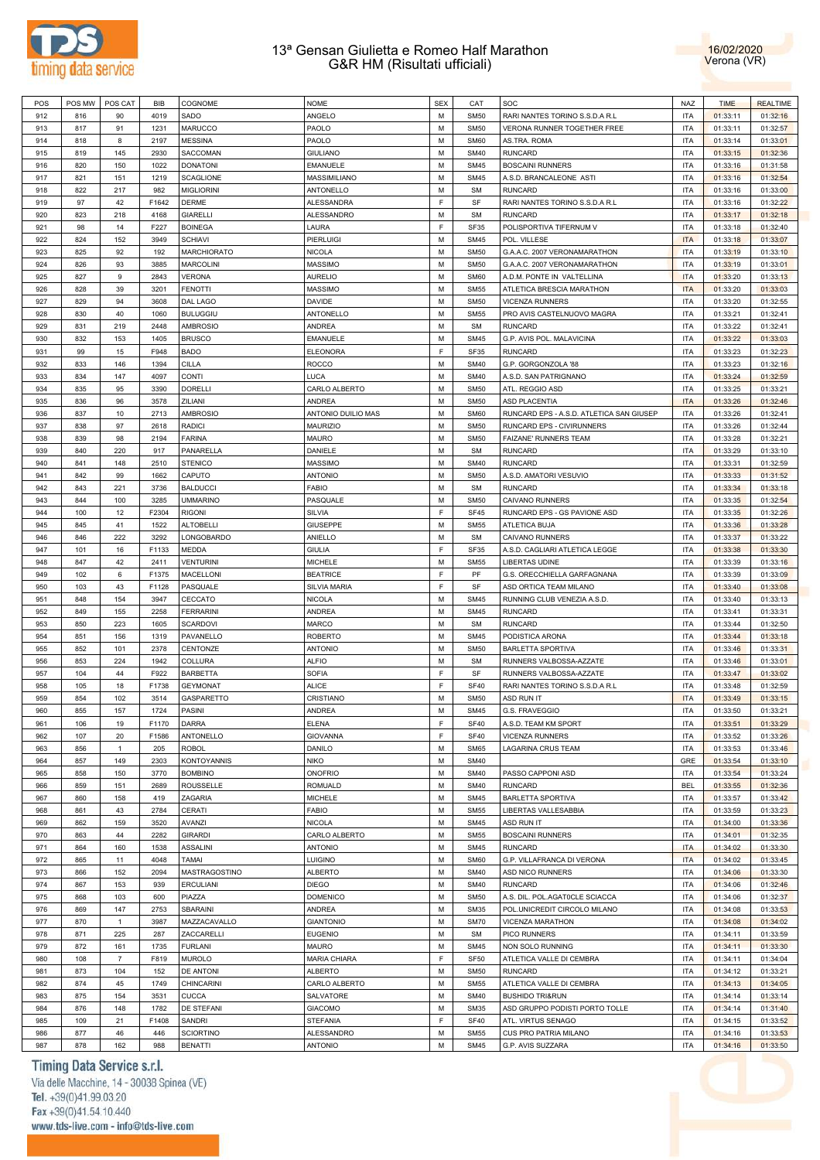



| POS | POS MW | POS CAT        | BIB   | COGNOME            | <b>NOME</b>         | <b>SEX</b> | CAT              | SOC                                      | NAZ        | <b>TIME</b> | <b>REALTIME</b> |
|-----|--------|----------------|-------|--------------------|---------------------|------------|------------------|------------------------------------------|------------|-------------|-----------------|
| 912 | 816    | 90             | 4019  | SADO               | ANGELO              | M          | <b>SM50</b>      | RARI NANTES TORINO S.S.D.A R.L           | <b>ITA</b> | 01:33:11    | 01:32:16        |
| 913 | 817    | 91             | 1231  | MARUCCO            | PAOLO               | M          | <b>SM50</b>      | VERONA RUNNER TOGETHER FREE              | <b>ITA</b> | 01:33:11    | 01:32:57        |
|     |        |                |       |                    |                     |            |                  |                                          |            |             |                 |
| 914 | 818    | 8              | 2197  | <b>MESSINA</b>     | PAOLO               | М          | <b>SM60</b>      | AS.TRA. ROMA                             | <b>ITA</b> | 01:33:14    | 01:33:01        |
| 915 | 819    | 145            | 2930  | SACCOMAN           | <b>GIULIANO</b>     | M          | <b>SM40</b>      | <b>RUNCARD</b>                           | <b>ITA</b> | 01:33:15    | 01:32:36        |
| 916 | 820    | 150            | 1022  | <b>DONATONI</b>    | <b>EMANUELE</b>     | M          | <b>SM45</b>      | <b>BOSCAINI RUNNERS</b>                  | <b>ITA</b> | 01:33:16    | 01:31:58        |
| 917 | 821    | 151            | 1219  | <b>SCAGLIONE</b>   | MASSIMILIANO        | M          | <b>SM45</b>      | A.S.D. BRANCALEONE ASTI                  | <b>ITA</b> | 01:33:16    | 01:32:54        |
| 918 | 822    | 217            | 982   | <b>MIGLIORINI</b>  | ANTONELLO           | M          | <b>SM</b>        | <b>RUNCARD</b>                           | <b>ITA</b> | 01:33:16    |                 |
|     |        |                |       |                    |                     |            |                  |                                          |            |             | 01:33:00        |
| 919 | 97     | 42             | F1642 | <b>DERME</b>       | ALESSANDRA          | F          | SF               | RARI NANTES TORINO S.S.D.A R.L           | <b>ITA</b> | 01:33:16    | 01:32:22        |
| 920 | 823    | 218            | 4168  | <b>GIARELLI</b>    | ALESSANDRO          | м          | <b>SM</b>        | <b>RUNCARD</b>                           | <b>ITA</b> | 01:33:17    | 01:32:18        |
| 921 | 98     | 14             | F227  | <b>BOINEGA</b>     | LAURA               | F          | <b>SF35</b>      | POLISPORTIVA TIFERNUM V                  | <b>ITA</b> | 01:33:18    | 01:32:40        |
| 922 | 824    | 152            | 3949  | <b>SCHIAVI</b>     | <b>PIERLUIGI</b>    | M          | <b>SM45</b>      | POL. VILLESE                             | <b>ITA</b> | 01:33:18    | 01:33:07        |
|     |        |                |       |                    |                     | M          |                  |                                          |            |             |                 |
| 923 | 825    | 92             | 192   | MARCHIORATO        | <b>NICOLA</b>       |            | <b>SM50</b>      | G.A.A.C. 2007 VERONAMARATHON             | <b>ITA</b> | 01:33:19    | 01:33:10        |
| 924 | 826    | 93             | 3885  | <b>MARCOLINI</b>   | <b>MASSIMO</b>      | M          | <b>SM50</b>      | G.A.A.C. 2007 VERONAMARATHON             | <b>ITA</b> | 01:33:19    | 01:33:01        |
| 925 | 827    | 9              | 2843  | <b>VERONA</b>      | <b>AURELIO</b>      | M          | <b>SM60</b>      | A.D.M. PONTE IN VALTELLINA               | <b>ITA</b> | 01:33:20    | 01:33:13        |
| 926 | 828    | 39             | 3201  | <b>FENOTTI</b>     | <b>MASSIMO</b>      | M          | <b>SM55</b>      | ATLETICA BRESCIA MARATHON                | <b>ITA</b> | 01:33:20    | 01:33:03        |
| 927 | 829    | 94             | 3608  | DAL LAGO           | <b>DAVIDE</b>       | M          | <b>SM50</b>      | <b>VICENZA RUNNERS</b>                   | <b>ITA</b> | 01:33:20    | 01:32:55        |
|     |        |                |       |                    |                     |            |                  |                                          |            |             |                 |
| 928 | 830    | 40             | 1060  | <b>BULUGGIU</b>    | ANTONELLO           | M          | <b>SM55</b>      | PRO AVIS CASTELNUOVO MAGRA               | <b>ITA</b> | 01:33:21    | 01:32:41        |
| 929 | 831    | 219            | 2448  | <b>AMBROSIO</b>    | <b>ANDREA</b>       | M          | <b>SM</b>        | <b>RUNCARD</b>                           | <b>ITA</b> | 01:33:22    | 01:32:41        |
| 930 | 832    | 153            | 1405  | <b>BRUSCO</b>      | <b>EMANUELE</b>     | M          | <b>SM45</b>      | G.P. AVIS POL. MALAVICINA                | <b>ITA</b> | 01:33:22    | 01:33:03        |
| 931 | 99     | 15             | F948  | <b>BADO</b>        | <b>ELEONORA</b>     | F          | <b>SF35</b>      | <b>RUNCARD</b>                           | <b>ITA</b> | 01:33:23    | 01:32:23        |
| 932 | 833    | 146            | 1394  | <b>CILLA</b>       | <b>ROCCO</b>        | М          | <b>SM40</b>      | G.P. GORGONZOLA '88                      | <b>ITA</b> | 01:33:23    | 01:32:16        |
|     |        |                |       |                    |                     |            |                  |                                          |            |             |                 |
| 933 | 834    | 147            | 4097  | <b>CONTI</b>       | <b>LUCA</b>         | M          | <b>SM40</b>      | A.S.D. SAN PATRIGNANO                    | <b>ITA</b> | 01:33:24    | 01:32:59        |
| 934 | 835    | 95             | 3390  | <b>DORELLI</b>     | CARLO ALBERTO       | М          | <b>SM50</b>      | ATL. REGGIO ASD                          | <b>ITA</b> | 01:33:25    | 01:33:21        |
| 935 | 836    | 96             | 3578  | ZILIANI            | <b>ANDREA</b>       | М          | <b>SM50</b>      | <b>ASD PLACENTIA</b>                     | <b>ITA</b> | 01:33:26    | 01:32:46        |
| 936 | 837    | 10             | 2713  | <b>AMBROSIO</b>    | ANTONIO DUILIO MAS  | M          | <b>SM60</b>      | RUNCARD EPS - A.S.D. ATLETICA SAN GIUSEP | <b>ITA</b> | 01:33:26    | 01:32:41        |
|     |        |                |       |                    |                     | M          |                  | RUNCARD EPS - CIVIRUNNERS                |            |             |                 |
| 937 | 838    | 97             | 2618  | <b>RADICI</b>      | MAURIZIO            |            | <b>SM50</b>      |                                          | <b>ITA</b> | 01:33:26    | 01:32:44        |
| 938 | 839    | 98             | 2194  | <b>FARINA</b>      | <b>MAURO</b>        | М          | <b>SM50</b>      | <b>FAIZANE' RUNNERS TEAM</b>             | <b>ITA</b> | 01:33:28    | 01:32:21        |
| 939 | 840    | 220            | 917   | PANARELLA          | DANIELE             | M          | <b>SM</b>        | <b>RUNCARD</b>                           | <b>ITA</b> | 01:33:29    | 01:33:10        |
| 940 | 841    | 148            | 2510  | <b>STENICO</b>     | <b>MASSIMO</b>      | M          | <b>SM40</b>      | <b>RUNCARD</b>                           | <b>ITA</b> | 01:33:31    | 01:32:59        |
| 941 | 842    | 99             | 1662  | CAPUTO             | <b>ANTONIO</b>      | M          | <b>SM50</b>      | A.S.D. AMATORI VESUVIO                   | <b>ITA</b> | 01:33:33    | 01:31:52        |
|     |        |                |       |                    |                     |            |                  |                                          |            |             |                 |
| 942 | 843    | 221            | 3736  | <b>BALDUCCI</b>    | <b>FABIO</b>        | M          | <b>SM</b>        | <b>RUNCARD</b>                           | <b>ITA</b> | 01:33:34    | 01:33:18        |
| 943 | 844    | 100            | 3285  | <b>UMMARINO</b>    | PASQUALE            | М          | <b>SM50</b>      | CAIVANO RUNNERS                          | <b>ITA</b> | 01:33:35    | 01:32:54        |
| 944 | 100    | 12             | F2304 | <b>RIGONI</b>      | SILVIA              | F          | <b>SF45</b>      | RUNCARD EPS - GS PAVIONE ASD             | <b>ITA</b> | 01:33:35    | 01:32:26        |
| 945 | 845    | 41             | 1522  | <b>ALTOBELLI</b>   | GIUSEPPE            | M          | <b>SM55</b>      | ATLETICA BUJA                            | <b>ITA</b> | 01:33:36    | 01:33:28        |
| 946 | 846    | 222            | 3292  | LONGOBARDO         | ANIELLO             | м          | <b>SM</b>        | CAIVANO RUNNERS                          | <b>ITA</b> | 01:33:37    | 01:33:22        |
|     |        |                |       |                    |                     |            |                  |                                          |            |             |                 |
| 947 | 101    | 16             | F1133 | MEDDA              | <b>GIULIA</b>       | F          | <b>SF35</b>      | A.S.D. CAGLIARI ATLETICA LEGGE           | <b>ITA</b> | 01:33:38    | 01:33:30        |
| 948 | 847    | 42             | 2411  | <b>VENTURINI</b>   | <b>MICHELE</b>      | м          | <b>SM55</b>      | LIBERTAS UDINE                           | <b>ITA</b> | 01:33:39    | 01:33:16        |
| 949 | 102    | 6              | F1375 | MACELLONI          | <b>BEATRICE</b>     | F          | PF               | G.S. ORECCHIELLA GARFAGNANA              | <b>ITA</b> | 01:33:39    | 01:33:09        |
| 950 | 103    | 43             | F1128 | PASQUALE           | <b>SILVIA MARIA</b> | F          | SF               | ASD ORTICA TEAM MILANO                   | <b>ITA</b> | 01:33:40    | 01:33:08        |
| 951 | 848    | 154            | 3947  | CECCATO            | <b>NICOLA</b>       | M          | <b>SM45</b>      | RUNNING CLUB VENEZIA A.S.D.              | <b>ITA</b> | 01:33:40    | 01:33:13        |
|     |        |                |       |                    |                     |            |                  |                                          |            |             |                 |
| 952 | 849    | 155            | 2258  | <b>FERRARINI</b>   | <b>ANDREA</b>       | M          | <b>SM45</b>      | <b>RUNCARD</b>                           | <b>ITA</b> | 01:33:41    | 01:33:31        |
| 953 | 850    | 223            | 1605  | <b>SCARDOVI</b>    | MARCO               | M          | <b>SM</b>        | <b>RUNCARD</b>                           | <b>ITA</b> | 01:33:44    | 01:32:50        |
| 954 | 851    | 156            | 1319  | PAVANELLO          | <b>ROBERTO</b>      | М          | <b>SM45</b>      | PODISTICA ARONA                          | <b>ITA</b> | 01:33:44    | 01:33:18        |
| 955 | 852    | 101            | 2378  | CENTONZE           | <b>ANTONIO</b>      | м          | <b>SM50</b>      | <b>BARLETTA SPORTIVA</b>                 | <b>ITA</b> | 01:33:46    | 01:33:31        |
| 956 | 853    | 224            | 1942  | COLLURA            | <b>ALFIO</b>        | м          | <b>SM</b>        | RUNNERS VALBOSSA-AZZATE                  | <b>ITA</b> | 01:33:46    | 01:33:01        |
|     |        |                |       |                    |                     |            |                  |                                          |            |             |                 |
| 957 | 104    | 44             | F922  | <b>BARBETTA</b>    | <b>SOFIA</b>        | F.         | SF               | RUNNERS VALBOSSA-AZZATE                  | <b>ITA</b> | 01:33:47    | 01:33:02        |
| 958 | 105    | 18             | F1738 | <b>GEYMONAT</b>    | <b>ALICE</b>        | F          | <b>SF40</b>      | RARI NANTES TORINO S.S.D.A R.L           | <b>ITA</b> | 01:33:48    | 01:32:59        |
| 959 | 854    | 102            | 3514  | GASPARETTO         | CRISTIANO           | М          | <b>SM50</b>      | ASD RUN IT                               | <b>ITA</b> | 01:33:49    | 01:33:15        |
| 960 | 855    | 157            | 1724  | <b>PASINI</b>      | ANDREA              | M          | <b>SM45</b>      | G.S. FRAVEGGIO                           | <b>ITA</b> | 01:33:50    | 01:33:21        |
| 961 | 106    | 19             | F1170 | <b>DARRA</b>       | <b>ELENA</b>        | F          | <b>SF40</b>      | A.S.D. TEAM KM SPORT                     | <b>ITA</b> | 01:33:51    | 01:33:29        |
|     |        |                |       |                    |                     |            |                  |                                          |            |             |                 |
| 962 | 107    | 20             | F1586 | <b>ANTONELLO</b>   | <b>GIOVANNA</b>     | E          | <b>SF40</b>      | <b>VICENZA RUNNERS</b>                   | <b>ITA</b> | 01:33:52    | 01:33:26        |
| 963 | 856    | $\mathbf{1}$   | 205   | <b>ROBOL</b>       | DANILO              | М          | <b>SM65</b>      | LAGARINA CRUS TEAM                       | <b>ITA</b> | 01:33:53    | 01:33:46        |
| 964 | 857    | 149            | 2303  | <b>KONTOYANNIS</b> | <b>NIKO</b>         | M          | <b>SM40</b>      |                                          | GRE        | 01:33:54    | 01:33:10        |
| 965 | 858    | 150            | 3770  | <b>BOMBINO</b>     | <b>ONOFRIO</b>      | M          | <b>SM40</b>      | PASSO CAPPONI ASD                        | <b>ITA</b> | 01:33:54    | 01:33:24        |
| 966 | 859    | 151            | 2689  | ROUSSELLE          | <b>ROMUALD</b>      | M          | <b>SM40</b>      | <b>RUNCARD</b>                           | <b>BEL</b> | 01:33:55    | 01:32:36        |
|     |        |                |       |                    |                     |            |                  |                                          |            |             |                 |
| 967 | 860    | 158            | 419   | ZAGARIA            | <b>MICHELE</b>      | M          | <b>SM45</b>      | <b>BARLETTA SPORTIVA</b>                 | <b>ITA</b> | 01:33:57    | 01:33:42        |
| 968 | 861    | 43             | 2784  | CERATI             | <b>FABIO</b>        | M          | <b>SM55</b>      | LIBERTAS VALLESABBIA                     | <b>ITA</b> | 01:33:59    | 01:33:23        |
| 969 | 862    | 159            | 3520  | AVANZI             | <b>NICOLA</b>       | М          | <b>SM45</b>      | ASD RUN IT                               | <b>ITA</b> | 01:34:00    | 01:33:36        |
| 970 | 863    | 44             | 2282  | <b>GIRARDI</b>     | CARLO ALBERTO       | м          | <b>SM55</b>      | <b>BOSCAINI RUNNERS</b>                  | <b>ITA</b> | 01:34:01    | 01:32:35        |
|     |        |                |       |                    |                     |            |                  |                                          |            |             |                 |
| 971 | 864    | 160            | 1538  | <b>ASSALINI</b>    | <b>ANTONIO</b>      | М          | <b>SM45</b>      | <b>RUNCARD</b>                           | <b>ITA</b> | 01:34:02    | 01:33:30        |
| 972 | 865    | 11             | 4048  | TAMAI              | <b>LUIGINO</b>      | м          | <b>SM60</b>      | G.P. VILLAFRANCA DI VERONA               | <b>ITA</b> | 01:34:02    | 01:33:45        |
| 973 | 866    | 152            | 2094  | MASTRAGOSTINO      | <b>ALBERTO</b>      | М          | <b>SM40</b>      | ASD NICO RUNNERS                         | <b>ITA</b> | 01:34:06    | 01:33:30        |
| 974 | 867    | 153            | 939   | <b>ERCULIANI</b>   | <b>DIEGO</b>        | M          | <b>SM40</b>      | <b>RUNCARD</b>                           | <b>ITA</b> | 01:34:06    | 01:32:46        |
|     |        |                |       |                    |                     |            |                  |                                          |            |             |                 |
| 975 | 868    | 103            | 600   | PIAZZA             | <b>DOMENICO</b>     | М          | <b>SM50</b>      | A.S. DIL. POL.AGATOCLE SCIACCA           | <b>ITA</b> | 01:34:06    | 01:32:37        |
| 976 | 869    | 147            | 2753  | SBARAINI           | <b>ANDREA</b>       | M          | <b>SM35</b>      | POL.UNICREDIT CIRCOLO MILANO             | <b>ITA</b> | 01:34:08    | 01:33:53        |
| 977 | 870    | $\overline{1}$ | 3987  | MAZZACAVALLO       | <b>GIANTONIO</b>    | M          | <b>SM70</b>      | VICENZA MARATHON                         | <b>ITA</b> | 01:34:08    | 01:34:02        |
| 978 | 871    | 225            | 287   | ZACCARELLI         | <b>EUGENIO</b>      | M          | <b>SM</b>        | PICO RUNNERS                             | <b>ITA</b> | 01:34:11    | 01:33:59        |
| 979 | 872    | 161            | 1735  | <b>FURLANI</b>     | MAURO               | M          | <b>SM45</b>      | NON SOLO RUNNING                         | <b>ITA</b> | 01:34:11    | 01:33:30        |
|     |        |                |       |                    |                     |            |                  |                                          |            |             |                 |
| 980 | 108    | $\overline{7}$ | F819  | <b>MUROLO</b>      | <b>MARIA CHIARA</b> | F          | SF <sub>50</sub> | ATLETICA VALLE DI CEMBRA                 | <b>ITA</b> | 01:34:11    | 01:34:04        |
| 981 | 873    | 104            | 152   | <b>DE ANTONI</b>   | <b>ALBERTO</b>      | М          | <b>SM50</b>      | <b>RUNCARD</b>                           | <b>ITA</b> | 01:34:12    | 01:33:21        |
| 982 | 874    | 45             | 1749  | CHINCARINI         | CARLO ALBERTO       | M          | <b>SM55</b>      | ATLETICA VALLE DI CEMBRA                 | <b>ITA</b> | 01:34:13    | 01:34:05        |
| 983 | 875    | 154            | 3531  | <b>CUCCA</b>       | SALVATORE           | M          | <b>SM40</b>      | <b>BUSHIDO TRI&amp;RUN</b>               | <b>ITA</b> | 01:34:14    | 01:33:14        |
|     |        |                |       |                    |                     |            |                  |                                          |            |             |                 |
| 984 | 876    | 148            | 1782  | DE STEFANI         | <b>GIACOMO</b>      | м          | <b>SM35</b>      | ASD GRUPPO PODISTI PORTO TOLLE           | <b>ITA</b> | 01:34:14    | 01:31:40        |
| 985 | 109    | 21             | F1408 | <b>SANDRI</b>      | <b>STEFANIA</b>     | F          | <b>SF40</b>      | ATL. VIRTUS SENAGO                       | <b>ITA</b> | 01:34:15    | 01:33:52        |
| 986 | 877    | 46             | 446   | <b>SCIORTINO</b>   | ALESSANDRO          | M          | <b>SM55</b>      | CUS PRO PATRIA MILANO                    | <b>ITA</b> | 01:34:16    | 01:33:53        |
| 987 | 878    | 162            | 988   | <b>BENATTI</b>     | <b>ANTONIO</b>      | М          | <b>SM45</b>      | G.P. AVIS SUZZARA                        | <b>ITA</b> | 01:34:16    | 01:33:50        |

# Timing Data Service s.r.l.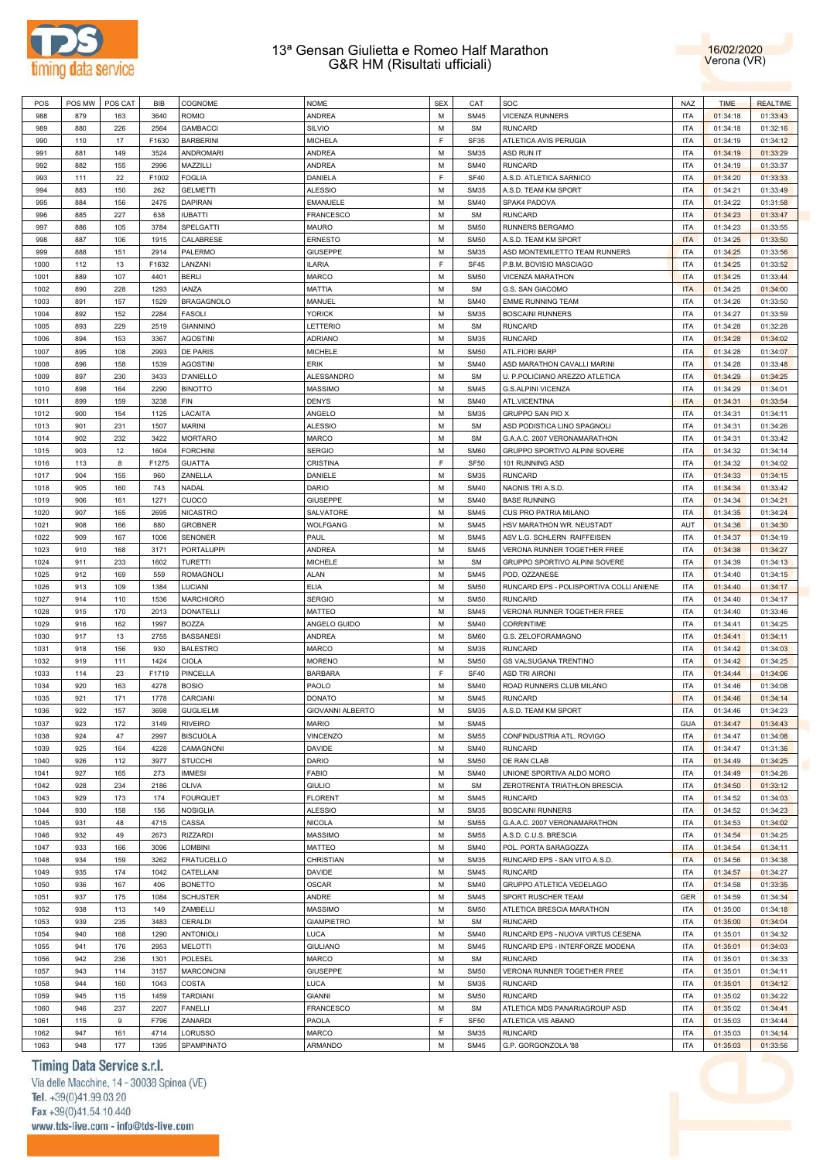



| POS  | POS MW | POS CAT          | BIB   | COGNOME           | <b>NOME</b>       | <b>SEX</b> | CAT              | SOC                                     | <b>NAZ</b> | <b>TIME</b> | <b>REALTIME</b> |
|------|--------|------------------|-------|-------------------|-------------------|------------|------------------|-----------------------------------------|------------|-------------|-----------------|
| 988  | 879    | 163              | 3640  | <b>ROMIO</b>      | <b>ANDREA</b>     | M          | <b>SM45</b>      | VICENZA RUNNERS                         | <b>ITA</b> | 01:34:18    | 01:33:43        |
| 989  | 880    | 226              | 2564  | <b>GAMBACCI</b>   | SILVIO            | M          | <b>SM</b>        | <b>RUNCARD</b>                          | <b>ITA</b> | 01:34:18    | 01:32:16        |
| 990  | 110    | 17               | F1630 | <b>BARBERINI</b>  | <b>MICHELA</b>    | F          | SF35             | ATLETICA AVIS PERUGIA                   | <b>ITA</b> | 01:34:19    | 01:34:12        |
|      |        |                  |       |                   |                   |            |                  | ASD RUN IT                              |            |             |                 |
| 991  | 881    | 149              | 3524  | <b>ANDROMARI</b>  | ANDREA            | M          | <b>SM35</b>      |                                         | <b>ITA</b> | 01:34:19    | 01:33:29        |
| 992  | 882    | 155              | 2996  | MAZZILLI          | ANDREA            | M          | <b>SM40</b>      | <b>RUNCARD</b>                          | <b>ITA</b> | 01:34:19    | 01:33:37        |
| 993  | 111    | 22               | F1002 | <b>FOGLIA</b>     | DANIELA           | F          | <b>SF40</b>      | A.S.D. ATLETICA SARNICO                 | <b>ITA</b> | 01:34:20    | 01:33:33        |
| 994  | 883    | 150              | 262   | <b>GELMETTI</b>   | <b>ALESSIO</b>    | M          | <b>SM35</b>      | A.S.D. TEAM KM SPORT                    | <b>ITA</b> | 01:34:21    | 01:33:49        |
| 995  | 884    | 156              | 2475  | DAPIRAN           | <b>EMANUELE</b>   | M          | <b>SM40</b>      | SPAK4 PADOVA                            | <b>ITA</b> | 01:34:22    | 01:31:58        |
| 996  | 885    | 227              | 638   | <b>IUBATTI</b>    | <b>FRANCESCO</b>  | M          | <b>SM</b>        | <b>RUNCARD</b>                          | <b>ITA</b> | 01:34:23    | 01:33:47        |
| 997  | 886    | 105              | 3784  | SPELGATTI         | MAURO             | M          | <b>SM50</b>      | RUNNERS BERGAMO                         | <b>ITA</b> | 01:34:23    | 01:33:55        |
| 998  | 887    | 106              | 1915  | CALABRESE         | ERNESTO           | M          | <b>SM50</b>      | A.S.D. TEAM KM SPORT                    | <b>ITA</b> | 01:34:25    | 01:33:50        |
| 999  | 888    | 151              | 2914  | PALERMO           | <b>GIUSEPPE</b>   | M          | <b>SM35</b>      | ASD MONTEMILETTO TEAM RUNNERS           | <b>ITA</b> | 01:34:25    | 01:33:56        |
|      |        |                  |       |                   |                   |            |                  |                                         |            |             |                 |
| 1000 | 112    | 13               | F1632 | LANZANI           | <b>ILARIA</b>     | F          | SF45             | P.B.M. BOVISIO MASCIAGO                 | <b>ITA</b> | 01:34:25    | 01:33:52        |
| 1001 | 889    | 107              | 4401  | <b>BERLI</b>      | <b>MARCO</b>      | M          | <b>SM50</b>      | VICENZA MARATHON                        | <b>ITA</b> | 01:34:25    | 01:33:44        |
| 1002 | 890    | 228              | 1293  | <b>IANZA</b>      | MATTIA            | M          | <b>SM</b>        | G.S. SAN GIACOMO                        | <b>ITA</b> | 01:34:25    | 01:34:00        |
| 1003 | 891    | 157              | 1529  | <b>BRAGAGNOLO</b> | MANUEL            | M          | <b>SM40</b>      | <b>EMME RUNNING TEAM</b>                | <b>ITA</b> | 01:34:26    | 01:33:50        |
| 1004 | 892    | 152              | 2284  | <b>FASOLI</b>     | <b>YORICK</b>     | M          | <b>SM35</b>      | <b>BOSCAINI RUNNERS</b>                 | <b>ITA</b> | 01:34:27    | 01:33:59        |
| 1005 | 893    | 229              | 2519  | <b>GIANNINO</b>   | LETTERIO          | M          | <b>SM</b>        | <b>RUNCARD</b>                          | <b>ITA</b> | 01:34:28    | 01:32:28        |
| 1006 | 894    | 153              | 3367  | <b>AGOSTINI</b>   | <b>ADRIANO</b>    | M          | <b>SM35</b>      | <b>RUNCARD</b>                          | <b>ITA</b> | 01:34:28    | 01:34:02        |
|      |        |                  |       |                   |                   |            |                  |                                         |            |             |                 |
| 1007 | 895    | 108              | 2993  | DE PARIS          | <b>MICHELE</b>    | M          | <b>SM50</b>      | ATL.FIORI BARP                          | <b>ITA</b> | 01:34:28    | 01:34:07        |
| 1008 | 896    | 158              | 1539  | <b>AGOSTINI</b>   | ERIK              | M          | <b>SM40</b>      | ASD MARATHON CAVALLI MARINI             | <b>ITA</b> | 01:34:28    | 01:33:48        |
| 1009 | 897    | 230              | 3433  | <b>D'ANIELLO</b>  | ALESSANDRO        | M          | <b>SM</b>        | U. P.POLICIANO AREZZO ATLETICA          | <b>ITA</b> | 01:34:29    | 01:34:25        |
| 1010 | 898    | 164              | 2290  | <b>BINOTTO</b>    | <b>MASSIMO</b>    | M          | <b>SM45</b>      | G.S.ALPINI VICENZA                      | <b>ITA</b> | 01:34:29    | 01:34:01        |
| 1011 | 899    | 159              | 3238  | FIN               | <b>DENYS</b>      | M          | <b>SM40</b>      | ATL.VICENTINA                           | <b>ITA</b> | 01:34:31    | 01:33:54        |
| 1012 | 900    | 154              | 1125  | LACAITA           | ANGELO            | M          | <b>SM35</b>      | GRUPPO SAN PIO X                        | <b>ITA</b> | 01:34:31    | 01:34:11        |
| 1013 | 901    | 231              | 1507  | <b>MARINI</b>     | <b>ALESSIO</b>    | M          | <b>SM</b>        | ASD PODISTICA LINO SPAGNOLI             | <b>ITA</b> | 01:34:31    | 01:34:26        |
| 1014 | 902    | 232              | 3422  | <b>MORTARO</b>    | MARCO             | M          | <b>SM</b>        | G.A.A.C. 2007 VERONAMARATHON            | <b>ITA</b> | 01:34:31    | 01:33:42        |
|      |        |                  |       |                   |                   |            |                  |                                         |            |             |                 |
| 1015 | 903    | 12               | 1604  | <b>FORCHINI</b>   | <b>SERGIO</b>     | M          | <b>SM60</b>      | GRUPPO SPORTIVO ALPINI SOVERE           | <b>ITA</b> | 01:34:32    | 01:34:14        |
| 1016 | 113    | 8                | F1275 | <b>GUATTA</b>     | CRISTINA          | F          | SF <sub>50</sub> | 101 RUNNING ASD                         | <b>ITA</b> | 01:34:32    | 01:34:02        |
| 1017 | 904    | 155              | 960   | ZANELLA           | DANIELE           | M          | <b>SM35</b>      | <b>RUNCARD</b>                          | <b>ITA</b> | 01:34:33    | 01:34:15        |
| 1018 | 905    | 160              | 743   | NADAL             | DARIO             | M          | <b>SM40</b>      | NAONIS TRI A.S.D.                       | <b>ITA</b> | 01:34:34    | 01:33:42        |
| 1019 | 906    | 161              | 1271  | CUOCO             | <b>GIUSEPPE</b>   | M          | <b>SM40</b>      | <b>BASE RUNNING</b>                     | <b>ITA</b> | 01:34:34    | 01:34:21        |
| 1020 | 907    | 165              | 2695  | <b>NICASTRO</b>   | SALVATORE         | M          | <b>SM45</b>      | CUS PRO PATRIA MILANO                   | <b>ITA</b> | 01:34:35    | 01:34:24        |
| 1021 | 908    | 166              | 880   | <b>GROBNER</b>    | WOLFGANG          | M          | <b>SM45</b>      | HSV MARATHON WR. NEUSTADT               | AUT        | 01:34:36    | 01:34:30        |
|      |        |                  |       |                   |                   |            |                  |                                         |            |             |                 |
| 1022 | 909    | 167              | 1006  | <b>SENONER</b>    | PAUL              | M          | <b>SM45</b>      | ASV L.G. SCHLERN RAIFFEISEN             | <b>ITA</b> | 01:34:37    | 01:34:19        |
| 1023 | 910    | 168              | 3171  | PORTALUPPI        | ANDREA            | M          | <b>SM45</b>      | VERONA RUNNER TOGETHER FREE             | <b>ITA</b> | 01:34:38    | 01:34:27        |
| 1024 | 911    | 233              | 1602  | <b>TURETTI</b>    | <b>MICHELE</b>    | М          | <b>SM</b>        | GRUPPO SPORTIVO ALPINI SOVERE           | <b>ITA</b> | 01:34:39    | 01:34:13        |
| 1025 | 912    | 169              | 559   | <b>ROMAGNOLI</b>  | ALAN              | M          | <b>SM45</b>      | POD. OZZANESE                           | <b>ITA</b> | 01:34:40    | 01:34:15        |
| 1026 | 913    | 109              | 1384  | LUCIANI           | <b>ELIA</b>       | M          | <b>SM50</b>      | RUNCARD EPS - POLISPORTIVA COLLI ANIENE | <b>ITA</b> | 01:34:40    | 01:34:17        |
| 1027 | 914    | 110              | 1536  | <b>MARCHIORO</b>  | <b>SERGIO</b>     | M          | <b>SM50</b>      | <b>RUNCARD</b>                          | <b>ITA</b> | 01:34:40    | 01:34:17        |
| 1028 | 915    | 170              | 2013  | <b>DONATELLI</b>  | MATTEO            | M          | <b>SM45</b>      | VERONA RUNNER TOGETHER FREE             | <b>ITA</b> | 01:34:40    | 01:33:46        |
| 1029 | 916    | 162              | 1997  | <b>BOZZA</b>      | ANGELO GUIDO      | M          | <b>SM40</b>      | <b>CORRINTIME</b>                       | <b>ITA</b> | 01:34:41    | 01:34:25        |
|      |        |                  |       |                   |                   |            |                  |                                         |            |             |                 |
| 1030 | 917    | 13               | 2755  | <b>BASSANESI</b>  | ANDREA            | M          | <b>SM60</b>      | G.S. ZELOFORAMAGNO                      | <b>ITA</b> | 01:34:41    | 01:34:11        |
| 1031 | 918    | 156              | 930   | <b>BALESTRO</b>   | MARCO             | M          | <b>SM35</b>      | <b>RUNCARD</b>                          | <b>ITA</b> | 01:34:42    | 01:34:03        |
| 1032 | 919    | 111              | 1424  | CIOLA             | <b>MORENO</b>     | M          | <b>SM50</b>      | GS VALSUGANA TRENTINO                   | <b>ITA</b> | 01:34:42    | 01:34:25        |
| 1033 | 114    | 23               | F1719 | <b>PINCELLA</b>   | <b>BARBARA</b>    | F          | <b>SF40</b>      | <b>ASD TRI AIRONI</b>                   | <b>ITA</b> | 01:34:44    | 01:34:06        |
| 1034 | 920    | 163              | 4278  | <b>BOSIO</b>      | PAOLO             | М          | <b>SM40</b>      | ROAD RUNNERS CLUB MILANO                | <b>ITA</b> | 01:34:46    | 01:34:08        |
| 1035 | 921    | 171              | 1778  | CARCIANI          | <b>DONATO</b>     | M          | <b>SM45</b>      | <b>RUNCARD</b>                          | <b>ITA</b> | 01:34:46    | 01:34:14        |
| 1036 | 922    | 157              | 3698  | <b>GUGLIELMI</b>  | GIOVANNI ALBERTO  | M          | <b>SM35</b>      | A.S.D. TEAM KM SPORT                    | <b>ITA</b> | 01:34:46    | 01:34:23        |
| 1037 | 923    | 172              | 3149  | <b>RIVEIRO</b>    | <b>MARIO</b>      | M          | <b>SM45</b>      |                                         | <b>GUA</b> | 01:34:47    | 01:34:43        |
|      |        |                  |       |                   |                   |            |                  |                                         |            |             |                 |
| 1038 | 924    | 47               | 2997  | <b>BISCUOLA</b>   | <b>VINCENZO</b>   | M          | <b>SM55</b>      | CONFINDUSTRIA ATL. ROVIGO               | <b>ITA</b> | 01:34:47    | 01:34:08        |
| 1039 | 925    | 164              | 4228  | CAMAGNONI         | DAVIDE            | M          | <b>SM40</b>      | <b>RUNCARD</b>                          | <b>ITA</b> | 01:34:47    | 01:31:36        |
| 1040 | 926    | 112              | 3977  | <b>STUCCHI</b>    | DARIO             | M          | <b>SM50</b>      | DE RAN CLAB                             | <b>ITA</b> | 01:34:49    | 01:34:25        |
| 1041 | 927    | 165              | 273   | <b>IMMESI</b>     | <b>FABIO</b>      | M          | <b>SM40</b>      | UNIONE SPORTIVA ALDO MORO               | <b>ITA</b> | 01:34:49    | 01:34:26        |
| 1042 | 928    | 234              | 2186  | OLIVA             | <b>GIULIO</b>     | M          | <b>SM</b>        | ZEROTRENTA TRIATHLON BRESCIA            | <b>ITA</b> | 01:34:50    | 01:33:12        |
| 1043 | 929    | 173              | 174   | <b>FOURQUET</b>   | <b>FLORENT</b>    | M          | <b>SM45</b>      | <b>RUNCARD</b>                          | <b>ITA</b> | 01:34:52    | 01:34:03        |
| 1044 | 930    | 158              | 156   | <b>NOSIGLIA</b>   | <b>ALESSIO</b>    | M          | <b>SM35</b>      | <b>BOSCAINI RUNNERS</b>                 | <b>ITA</b> | 01:34:52    | 01:34:23        |
| 1045 | 931    | 48               | 4715  | CASSA             | <b>NICOLA</b>     | M          | <b>SM55</b>      | G.A.A.C. 2007 VERONAMARATHON            | <b>ITA</b> | 01:34:53    | 01:34:02        |
|      |        |                  |       |                   |                   |            |                  |                                         |            |             |                 |
| 1046 | 932    | 49               | 2673  | <b>RIZZARDI</b>   | MASSIMO           | M          | <b>SM55</b>      | A.S.D. C.U.S. BRESCIA                   | <b>ITA</b> | 01:34:54    | 01:34:25        |
| 1047 | 933    | 166              | 3096  | LOMBINI           | MATTEO            | M          | <b>SM40</b>      | POL. PORTA SARAGOZZA                    | <b>ITA</b> | 01:34:54    | 01:34:11        |
| 1048 | 934    | 159              | 3262  | <b>FRATUCELLO</b> | CHRISTIAN         | M          | <b>SM35</b>      | RUNCARD EPS - SAN VITO A.S.D.           | <b>ITA</b> | 01:34:56    | 01:34:38        |
| 1049 | 935    | 174              | 1042  | CATELLANI         | DAVIDE            | M          | <b>SM45</b>      | <b>RUNCARD</b>                          | <b>ITA</b> | 01:34:57    | 01:34:27        |
| 1050 | 936    | 167              | 406   | <b>BONETTO</b>    | OSCAR             | M          | <b>SM40</b>      | GRUPPO ATLETICA VEDELAGO                | <b>ITA</b> | 01:34:58    | 01:33:35        |
| 1051 | 937    | 175              | 1084  | <b>SCHUSTER</b>   | ANDRE             | M          | <b>SM45</b>      | SPORT RUSCHER TEAM                      | GER        | 01:34:59    | 01:34:34        |
| 1052 | 938    | 113              | 149   | ZAMBELLI          | MASSIMO           | M          | <b>SM50</b>      | ATLETICA BRESCIA MARATHON               | <b>ITA</b> | 01:35:00    | 01:34:18        |
| 1053 | 939    | 235              | 3483  | CERALDI           | <b>GIAMPIETRO</b> | M          | <b>SM</b>        | <b>RUNCARD</b>                          | <b>ITA</b> | 01:35:00    | 01:34:04        |
|      |        |                  |       |                   |                   |            |                  |                                         |            |             |                 |
| 1054 | 940    | 168              | 1290  | <b>ANTONIOLI</b>  | LUCA              | M          | <b>SM40</b>      | RUNCARD EPS - NUOVA VIRTUS CESENA       | <b>ITA</b> | 01:35:01    | 01:34:32        |
| 1055 | 941    | 176              | 2953  | <b>MELOTTI</b>    | <b>GIULIANO</b>   | M          | <b>SM45</b>      | RUNCARD EPS - INTERFORZE MODENA         | <b>ITA</b> | 01:35:01    | 01:34:03        |
| 1056 | 942    | 236              | 1301  | POLESEL           | MARCO             | M          | <b>SM</b>        | <b>RUNCARD</b>                          | <b>ITA</b> | 01:35:01    | 01:34:33        |
| 1057 | 943    | 114              | 3157  | <b>MARCONCINI</b> | GIUSEPPE          | M          | <b>SM50</b>      | VERONA RUNNER TOGETHER FREE             | <b>ITA</b> | 01:35:01    | 01:34:11        |
| 1058 | 944    | 160              | 1043  | COSTA             | LUCA              | M          | <b>SM35</b>      | <b>RUNCARD</b>                          | <b>ITA</b> | 01:35:01    | 01:34:12        |
| 1059 | 945    | 115              | 1459  | <b>TARDIANI</b>   | <b>GIANNI</b>     | M          | <b>SM50</b>      | <b>RUNCARD</b>                          | <b>ITA</b> | 01:35:02    | 01:34:22        |
| 1060 | 946    | 237              | 2207  | <b>FANELLI</b>    | <b>FRANCESCO</b>  | M          | <b>SM</b>        | ATLETICA MDS PANARIAGROUP ASD           | <b>ITA</b> | 01:35:02    | 01:34:41        |
| 1061 | 115    | $\boldsymbol{9}$ | F796  | ZANARDI           | PAOLA             | F          | <b>SF50</b>      | ATLETICA VIS ABANO                      | <b>ITA</b> | 01:35:03    | 01:34:44        |
|      |        |                  |       |                   |                   |            |                  |                                         |            |             |                 |
| 1062 | 947    | 161              | 4714  | LORUSSO           | MARCO             | M          | <b>SM35</b>      | <b>RUNCARD</b>                          | <b>ITA</b> | 01:35:03    | 01:34:14        |
| 1063 | 948    | 177              | 1395  | SPAMPINATO        | ARMANDO           | М          | <b>SM45</b>      | G.P. GORGONZOLA '88                     | <b>ITA</b> | 01:35:03    | 01:33:56        |

# Timing Data Service s.r.l.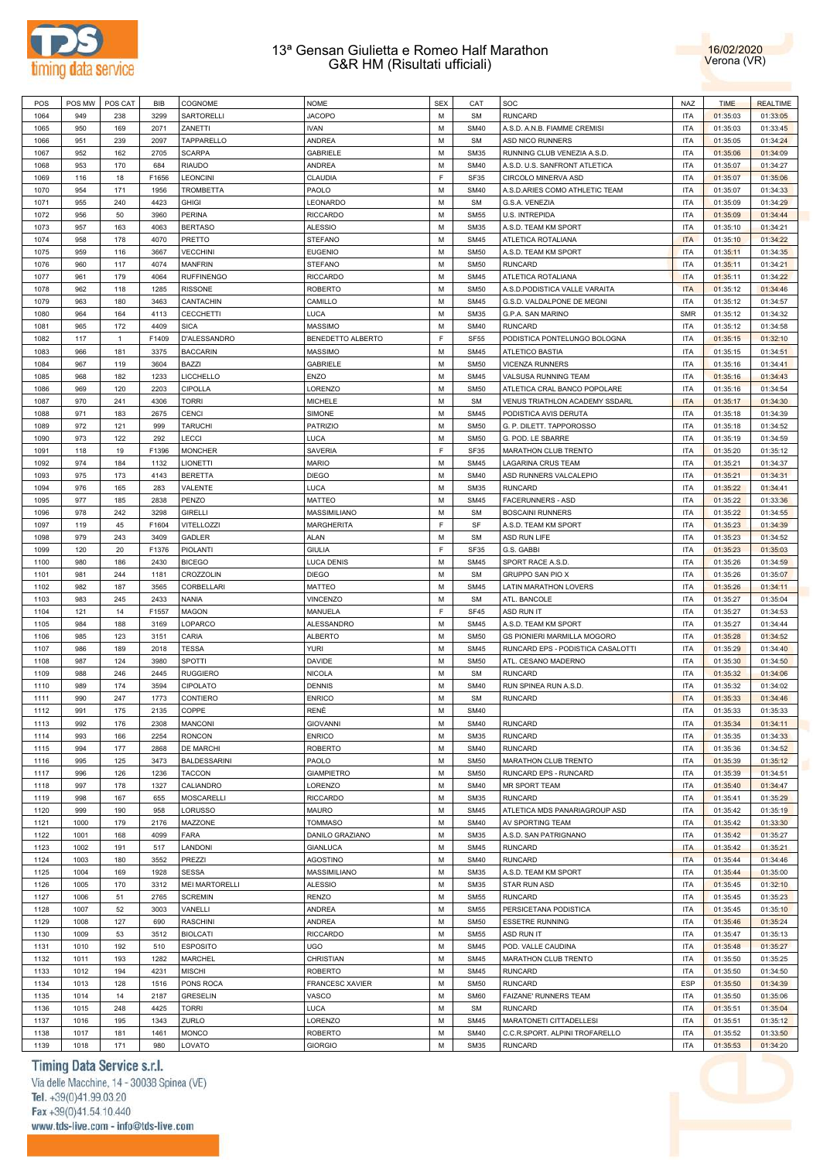



| POS  | POS MW | POS CAT      | <b>BIB</b> | COGNOME               | <b>NOME</b>            | <b>SEX</b> | CAT         | SOC                                   | NAZ        | <b>TIME</b> | <b>REALTIME</b> |
|------|--------|--------------|------------|-----------------------|------------------------|------------|-------------|---------------------------------------|------------|-------------|-----------------|
| 1064 | 949    | 238          | 3299       | SARTORELLI            | <b>JACOPO</b>          | M          | <b>SM</b>   | <b>RUNCARD</b>                        | <b>ITA</b> | 01:35:03    | 01:33:05        |
| 1065 | 950    | 169          | 2071       | ZANETTI               | <b>IVAN</b>            | M          | <b>SM40</b> | A.S.D. A.N.B. FIAMME CREMISI          | <b>ITA</b> | 01:35:03    | 01:33:45        |
| 1066 | 951    | 239          | 2097       | TAPPARELLO            | <b>ANDREA</b>          | М          | <b>SM</b>   | <b>ASD NICO RUNNERS</b>               | <b>ITA</b> | 01:35:05    | 01:34:24        |
|      |        |              |            |                       |                        |            |             |                                       |            |             |                 |
| 1067 | 952    | 162          | 2705       | <b>SCARPA</b>         | <b>GABRIELE</b>        | M          | <b>SM35</b> | RUNNING CLUB VENEZIA A.S.D.           | <b>ITA</b> | 01:35:06    | 01:34:09        |
| 1068 | 953    | 170          | 684        | <b>RIAUDO</b>         | <b>ANDREA</b>          | М          | <b>SM40</b> | A.S.D. U.S. SANFRONT ATLETICA         | <b>ITA</b> | 01:35:07    | 01:34:27        |
| 1069 | 116    | 18           | F1656      | <b>LEONCINI</b>       | CLAUDIA                | F          | <b>SF35</b> | CIRCOLO MINERVA ASD                   | <b>ITA</b> | 01:35:07    | 01:35:06        |
| 1070 | 954    | 171          | 1956       | <b>TROMBETTA</b>      | PAOLO                  | М          | <b>SM40</b> | A.S.D.ARIES COMO ATHLETIC TEAM        | <b>ITA</b> | 01:35:07    | 01:34:33        |
| 1071 | 955    | 240          | 4423       | <b>GHIGI</b>          | LEONARDO               | M          | <b>SM</b>   | G.S.A. VENEZIA                        | <b>ITA</b> | 01:35:09    | 01:34:29        |
| 1072 | 956    | 50           | 3960       | <b>PERINA</b>         | <b>RICCARDO</b>        | М          | <b>SM55</b> | U.S. INTREPIDA                        | <b>ITA</b> | 01:35:09    | 01:34:44        |
| 1073 | 957    | 163          | 4063       | <b>BERTASO</b>        | <b>ALESSIO</b>         | M          | <b>SM35</b> | A.S.D. TEAM KM SPORT                  | <b>ITA</b> | 01:35:10    | 01:34:21        |
|      |        |              |            | PRETTO                |                        |            |             | ATLETICA ROTALIANA                    |            |             |                 |
| 1074 | 958    | 178          | 4070       |                       | <b>STEFANO</b>         | M          | <b>SM45</b> |                                       | <b>ITA</b> | 01:35:10    | 01:34:22        |
| 1075 | 959    | 116          | 3667       | <b>VECCHINI</b>       | <b>EUGENIO</b>         | M          | <b>SM50</b> | A.S.D. TEAM KM SPORT                  | <b>ITA</b> | 01:35:11    | 01:34:35        |
| 1076 | 960    | 117          | 4074       | <b>MANFRIN</b>        | <b>STEFANO</b>         | М          | <b>SM50</b> | <b>RUNCARD</b>                        | <b>ITA</b> | 01:35:11    | 01:34:21        |
| 1077 | 961    | 179          | 4064       | <b>RUFFINENGO</b>     | <b>RICCARDO</b>        | M          | <b>SM45</b> | ATLETICA ROTALIANA                    | <b>ITA</b> | 01:35:11    | 01:34:22        |
| 1078 | 962    | 118          | 1285       | <b>RISSONE</b>        | <b>ROBERTO</b>         | М          | <b>SM50</b> | A.S.D.PODISTICA VALLE VARAITA         | <b>ITA</b> | 01:35:12    | 01:34:46        |
| 1079 | 963    | 180          | 3463       | CANTACHIN             | CAMILLO                | M          | <b>SM45</b> | G.S.D. VALDALPONE DE MEGNI            | <b>ITA</b> | 01:35:12    | 01:34:57        |
| 1080 | 964    | 164          | 4113       | <b>CECCHETTI</b>      | LUCA                   | М          | <b>SM35</b> | G.P.A. SAN MARINO                     | <b>SMR</b> | 01:35:12    | 01:34:32        |
|      |        |              |            |                       | <b>MASSIMO</b>         | M          |             |                                       | <b>ITA</b> |             |                 |
| 1081 | 965    | 172          | 4409       | <b>SICA</b>           |                        |            | <b>SM40</b> | <b>RUNCARD</b>                        |            | 01:35:12    | 01:34:58        |
| 1082 | 117    | $\mathbf{1}$ | F1409      | D'ALESSANDRO          | BENEDETTO ALBERTO      | F          | <b>SF55</b> | PODISTICA PONTELUNGO BOLOGNA          | <b>ITA</b> | 01:35:15    | 01:32:10        |
| 1083 | 966    | 181          | 3375       | <b>BACCARIN</b>       | <b>MASSIMO</b>         | M          | <b>SM45</b> | <b>ATLETICO BASTIA</b>                | <b>ITA</b> | 01:35:15    | 01:34:51        |
| 1084 | 967    | 119          | 3604       | <b>BAZZI</b>          | <b>GABRIELE</b>        | M          | <b>SM50</b> | <b>VICENZA RUNNERS</b>                | <b>ITA</b> | 01:35:16    | 01:34:41        |
| 1085 | 968    | 182          | 1233       | LICCHELLO             | ENZO                   | M          | <b>SM45</b> | VALSUSA RUNNING TEAM                  | <b>ITA</b> | 01:35:16    | 01:34:43        |
| 1086 | 969    | 120          | 2203       | CIPOLLA               | LORENZO                | М          | <b>SM50</b> | ATLETICA CRAL BANCO POPOLARE          | <b>ITA</b> | 01:35:16    | 01:34:54        |
| 1087 | 970    | 241          | 4306       | <b>TORRI</b>          | <b>MICHELE</b>         | M          | <b>SM</b>   | <b>VENUS TRIATHLON ACADEMY SSDARL</b> | <b>ITA</b> | 01:35:17    | 01:34:30        |
|      |        |              |            |                       |                        |            |             |                                       |            |             |                 |
| 1088 | 971    | 183          | 2675       | <b>CENCI</b>          | SIMONE                 | М          | <b>SM45</b> | PODISTICA AVIS DERUTA                 | <b>ITA</b> | 01:35:18    | 01:34:39        |
| 1089 | 972    | 121          | 999        | <b>TARUCHI</b>        | <b>PATRIZIO</b>        | M          | <b>SM50</b> | G. P. DILETT. TAPPOROSSO              | <b>ITA</b> | 01:35:18    | 01:34:52        |
| 1090 | 973    | 122          | 292        | LECCI                 | LUCA                   | М          | <b>SM50</b> | G. POD. LE SBARRE                     | <b>ITA</b> | 01:35:19    | 01:34:59        |
| 1091 | 118    | 19           | F1396      | <b>MONCHER</b>        | <b>SAVERIA</b>         | E          | <b>SF35</b> | MARATHON CLUB TRENTO                  | <b>ITA</b> | 01:35:20    | 01:35:12        |
| 1092 | 974    | 184          | 1132       | LIONETTI              | <b>MARIO</b>           | M          | <b>SM45</b> | <b>LAGARINA CRUS TEAM</b>             | <b>ITA</b> | 01:35:21    | 01:34:37        |
| 1093 | 975    | 173          | 4143       | <b>BERETTA</b>        | <b>DIEGO</b>           | M          | <b>SM40</b> | ASD RUNNERS VALCALEPIO                | <b>ITA</b> | 01:35:21    | 01:34:31        |
| 1094 | 976    | 165          | 283        | VALENTE               | LUCA                   | M          | <b>SM35</b> | <b>RUNCARD</b>                        | <b>ITA</b> | 01:35:22    | 01:34:41        |
|      |        |              |            |                       |                        |            |             |                                       |            |             |                 |
| 1095 | 977    | 185          | 2838       | PENZO                 | <b>MATTEO</b>          | M          | <b>SM45</b> | <b>FACERUNNERS - ASD</b>              | <b>ITA</b> | 01:35:22    | 01:33:36        |
| 1096 | 978    | 242          | 3298       | <b>GIRELLI</b>        | MASSIMILIANO           | М          | <b>SM</b>   | <b>BOSCAINI RUNNERS</b>               | <b>ITA</b> | 01:35:22    | 01:34:55        |
| 1097 | 119    | 45           | F1604      | VITELLOZZI            | <b>MARGHERITA</b>      | F          | SF          | A.S.D. TEAM KM SPORT                  | <b>ITA</b> | 01:35:23    | 01:34:39        |
| 1098 | 979    | 243          | 3409       | <b>GADLER</b>         | <b>ALAN</b>            | М          | <b>SM</b>   | ASD RUN LIFE                          | <b>ITA</b> | 01:35:23    | 01:34:52        |
| 1099 | 120    | 20           | F1376      | PIOLANTI              | <b>GIULIA</b>          | F          | <b>SF35</b> | G.S. GABBI                            | <b>ITA</b> | 01:35:23    | 01:35:03        |
| 1100 | 980    | 186          | 2430       | <b>BICEGO</b>         | <b>LUCA DENIS</b>      | М          | <b>SM45</b> | SPORT RACE A.S.D.                     | <b>ITA</b> | 01:35:26    | 01:34:59        |
|      |        | 244          | 1181       | CROZZOLIN             |                        | М          | <b>SM</b>   | GRUPPO SAN PIO X                      | <b>ITA</b> |             |                 |
| 1101 | 981    |              |            |                       | <b>DIEGO</b>           |            |             |                                       |            | 01:35:26    | 01:35:07        |
| 1102 | 982    | 187          | 3565       | <b>CORBELLARI</b>     | <b>MATTEO</b>          | М          | <b>SM45</b> | LATIN MARATHON LOVERS                 | <b>ITA</b> | 01:35:26    | 01:34:11        |
| 1103 | 983    | 245          | 2433       | <b>NANIA</b>          | VINCENZO               | M          | <b>SM</b>   | ATL. BANCOLE                          | <b>ITA</b> | 01:35:27    | 01:35:04        |
| 1104 | 121    | 14           | F1557      | <b>MAGON</b>          | MANUELA                | F          | <b>SF45</b> | <b>ASD RUN IT</b>                     | <b>ITA</b> | 01:35:27    | 01:34:53        |
| 1105 | 984    | 188          | 3169       | LOPARCO               | ALESSANDRO             | M          | <b>SM45</b> | A.S.D. TEAM KM SPORT                  | <b>ITA</b> | 01:35:27    | 01:34:44        |
| 1106 | 985    | 123          | 3151       | CARIA                 | <b>ALBERTO</b>         | М          | <b>SM50</b> | <b>GS PIONIERI MARMILLA MOGORO</b>    | <b>ITA</b> | 01:35:28    | 01:34:52        |
| 1107 | 986    | 189          | 2018       | <b>TESSA</b>          | <b>YURI</b>            | M          | <b>SM45</b> | RUNCARD EPS - PODISTICA CASALOTTI     | <b>ITA</b> | 01:35:29    | 01:34:40        |
| 1108 | 987    | 124          | 3980       | SPOTTI                | <b>DAVIDE</b>          | М          | <b>SM50</b> | ATL. CESANO MADERNO                   | <b>ITA</b> | 01:35:30    | 01:34:50        |
|      |        |              |            |                       |                        |            |             |                                       |            |             |                 |
| 1109 | 988    | 246          | 2445       | <b>RUGGIERO</b>       | <b>NICOLA</b>          | М          | <b>SM</b>   | <b>RUNCARD</b>                        | <b>ITA</b> | 01:35:32    | 01:34:06        |
| 1110 | 989    | 174          | 3594       | CIPOLATO              | <b>DENNIS</b>          | М          | <b>SM40</b> | RUN SPINEA RUN A.S.D.                 | <b>ITA</b> | 01:35:32    | 01:34:02        |
| 1111 | 990    | 247          | 1773       | CONTIERO              | <b>ENRICO</b>          | M          | <b>SM</b>   | <b>RUNCARD</b>                        | <b>ITA</b> | 01:35:33    | 01:34:46        |
| 1112 | 991    | 175          | 2135       | COPPE                 | RENÉ                   | M          | <b>SM40</b> |                                       | <b>ITA</b> | 01:35:33    | 01:35:33        |
| 1113 | 992    | 176          | 2308       | <b>MANCONI</b>        | <b>GIOVANNI</b>        | М          | <b>SM40</b> | <b>RUNCARD</b>                        | <b>ITA</b> | 01:35:34    | 01:34:11        |
| 1114 | 993    | 166          | 2254       | <b>RONCON</b>         | <b>ENRICO</b>          | M          | <b>SM35</b> | <b>RUNCARD</b>                        | <b>ITA</b> | 01:35:35    | 01:34:33        |
| 1115 | 994    | 177          | 2868       | DE MARCHI             | <b>ROBERTO</b>         | M          | <b>SM40</b> | <b>RUNCARD</b>                        | <b>ITA</b> | 01:35:36    | 01:34:52        |
| 1116 | 995    | 125          | 3473       | <b>BALDESSARINI</b>   | PAOLO                  | M          | <b>SM50</b> | MARATHON CLUB TRENTO                  | <b>ITA</b> | 01:35:39    | 01:35:12        |
|      |        |              |            |                       |                        |            |             |                                       |            |             |                 |
| 1117 | 996    | 126          | 1236       | <b>TACCON</b>         | <b>GIAMPIETRO</b>      | M          | <b>SM50</b> | RUNCARD EPS - RUNCARD                 | <b>ITA</b> | 01:35:39    | 01:34:51        |
| 1118 | 997    | 178          | 1327       | CALIANDRO             | LORENZO                | M          | <b>SM40</b> | MR SPORT TEAM                         | <b>ITA</b> | 01:35:40    | 01:34:47        |
| 1119 | 998    | 167          | 655        | <b>MOSCARELLI</b>     | <b>RICCARDO</b>        | M          | <b>SM35</b> | <b>RUNCARD</b>                        | <b>ITA</b> | 01:35:41    | 01:35:29        |
| 1120 | 999    | 190          | 958        | LORUSSO               | <b>MAURO</b>           | M          | <b>SM45</b> | ATLETICA MDS PANARIAGROUP ASD         | <b>ITA</b> | 01:35:42    | 01:35:19        |
| 1121 | 1000   | 179          | 2176       | MAZZONE               | <b>TOMMASO</b>         | M          | <b>SM40</b> | AV SPORTING TEAM                      | <b>ITA</b> | 01:35:42    | 01:33:30        |
| 1122 | 1001   | 168          | 4099       | FARA                  | DANILO GRAZIANO        | M          | <b>SM35</b> | A.S.D. SAN PATRIGNANO                 | <b>ITA</b> | 01:35:42    | 01:35:27        |
| 1123 | 1002   | 191          | 517        | LANDONI               | <b>GIANLUCA</b>        | M          | <b>SM45</b> | <b>RUNCARD</b>                        | <b>ITA</b> | 01:35:42    | 01:35:21        |
|      |        |              |            |                       |                        |            |             |                                       |            |             |                 |
| 1124 | 1003   | 180          | 3552       | PREZZI                | <b>AGOSTINO</b>        | M          | <b>SM40</b> | <b>RUNCARD</b>                        | <b>ITA</b> | 01:35:44    | 01:34:46        |
| 1125 | 1004   | 169          | 1928       | <b>SESSA</b>          | MASSIMILIANO           | M          | <b>SM35</b> | A.S.D. TEAM KM SPORT                  | <b>ITA</b> | 01:35:44    | 01:35:00        |
| 1126 | 1005   | 170          | 3312       | <b>MEI MARTORELLI</b> | <b>ALESSIO</b>         | M          | <b>SM35</b> | STAR RUN ASD                          | <b>ITA</b> | 01:35:45    | 01:32:10        |
| 1127 | 1006   | 51           | 2765       | <b>SCREMIN</b>        | <b>RENZO</b>           | M          | <b>SM55</b> | <b>RUNCARD</b>                        | <b>ITA</b> | 01:35:45    | 01:35:23        |
| 1128 | 1007   | 52           | 3003       | VANELLI               | ANDREA                 | M          | <b>SM55</b> | PERSICETANA PODISTICA                 | <b>ITA</b> | 01:35:45    | 01:35:10        |
| 1129 | 1008   | 127          | 690        | <b>RASCHINI</b>       | ANDREA                 | М          | <b>SM50</b> | <b>ESSETRE RUNNING</b>                | <b>ITA</b> | 01:35:46    | 01:35:24        |
|      |        |              | 3512       |                       |                        | M          | <b>SM55</b> |                                       | <b>ITA</b> |             |                 |
| 1130 | 1009   | 53           |            | <b>BIOLCATI</b>       | <b>RICCARDO</b>        |            |             | ASD RUN IT                            |            | 01:35:47    | 01:35:13        |
| 1131 | 1010   | 192          | 510        | <b>ESPOSITO</b>       | <b>UGO</b>             | M          | <b>SM45</b> | POD. VALLE CAUDINA                    | <b>ITA</b> | 01:35:48    | 01:35:27        |
| 1132 | 1011   | 193          | 1282       | MARCHEL               | CHRISTIAN              | M          | <b>SM45</b> | MARATHON CLUB TRENTO                  | <b>ITA</b> | 01:35:50    | 01:35:25        |
| 1133 | 1012   | 194          | 4231       | <b>MISCHI</b>         | <b>ROBERTO</b>         | M          | <b>SM45</b> | <b>RUNCARD</b>                        | <b>ITA</b> | 01:35:50    | 01:34:50        |
| 1134 | 1013   | 128          | 1516       | PONS ROCA             | <b>FRANCESC XAVIER</b> | M          | <b>SM50</b> | <b>RUNCARD</b>                        | ESP        | 01:35:50    | 01:34:39        |
| 1135 | 1014   | 14           | 2187       | <b>GRESELIN</b>       | VASCO                  | M          | <b>SM60</b> | FAIZANE' RUNNERS TEAM                 | <b>ITA</b> | 01:35:50    | 01:35:06        |
| 1136 | 1015   | 248          | 4425       | <b>TORRI</b>          | LUCA                   | M          | <b>SM</b>   | <b>RUNCARD</b>                        | <b>ITA</b> | 01:35:51    | 01:35:04        |
|      |        |              |            |                       |                        |            |             |                                       |            |             |                 |
| 1137 | 1016   | 195          | 1343       | ZURLO                 | LORENZO                | М          | <b>SM45</b> | MARATONETI CITTADELLESI               | <b>ITA</b> | 01:35:51    | 01:35:12        |
| 1138 | 1017   | 181          | 1461       | <b>MONCO</b>          | <b>ROBERTO</b>         | M          | <b>SM40</b> | C.C.R.SPORT. ALPINI TROFARELLO        | <b>ITA</b> | 01:35:52    | 01:33:50        |
| 1139 | 1018   | 171          | 980        | LOVATO                | <b>GIORGIO</b>         | М          | <b>SM35</b> | <b>RUNCARD</b>                        | <b>ITA</b> | 01:35:53    | 01:34:20        |

# Timing Data Service s.r.l.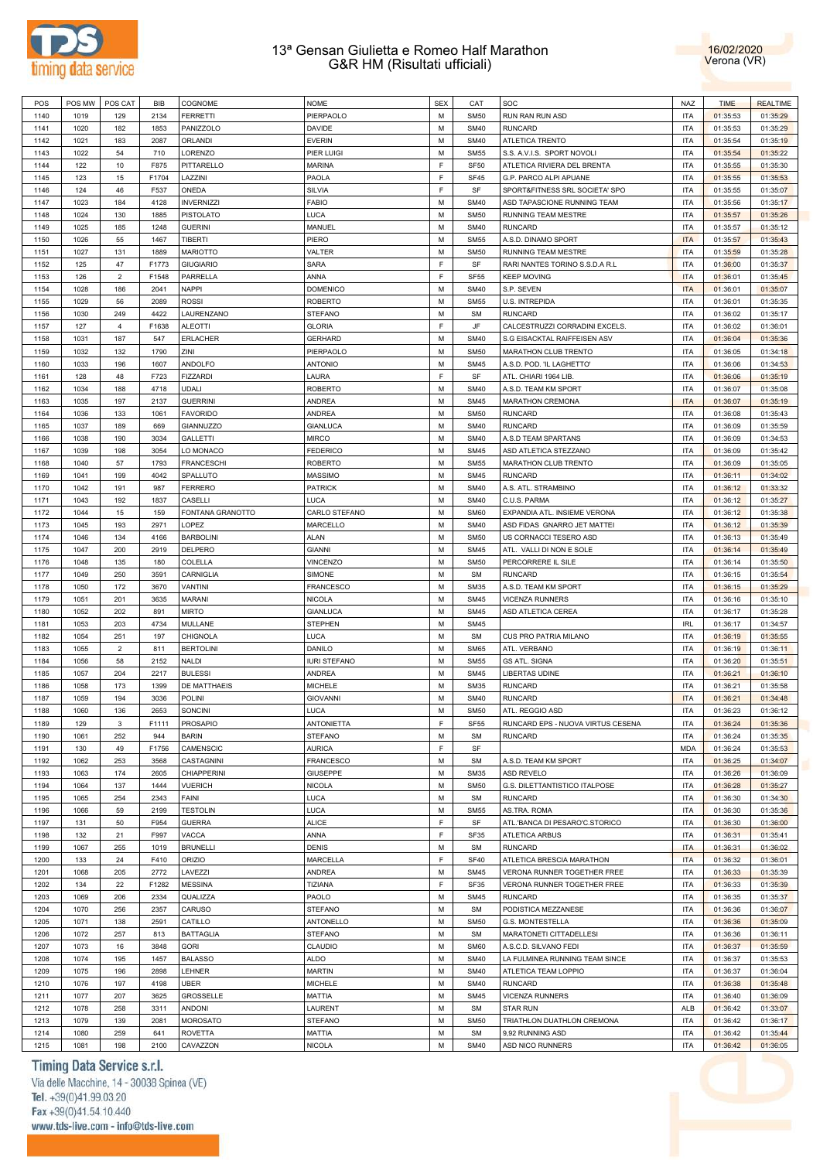



| POS  | POS MW | POS CAT        | <b>BIB</b> | COGNOME            | <b>NOME</b>         | <b>SEX</b>  | CAT              | SOC                               | NAZ        | <b>TIME</b> | <b>REALTIME</b> |
|------|--------|----------------|------------|--------------------|---------------------|-------------|------------------|-----------------------------------|------------|-------------|-----------------|
| 1140 | 1019   | 129            | 2134       | <b>FERRETTI</b>    | PIERPAOLO           | M           | <b>SM50</b>      | RUN RAN RUN ASD                   | <b>ITA</b> | 01:35:53    | 01:35:29        |
| 1141 | 1020   | 182            | 1853       | PANIZZOLO          | DAVIDE              | M           | <b>SM40</b>      | <b>RUNCARD</b>                    | <b>ITA</b> | 01:35:53    | 01:35:29        |
| 1142 | 1021   | 183            | 2087       | <b>ORLANDI</b>     | <b>EVERIN</b>       | M           | <b>SM40</b>      | ATLETICA TRENTO                   | <b>ITA</b> | 01:35:54    | 01:35:19        |
| 1143 | 1022   | 54             | 710        | LORENZO            | PIER LUIGI          | M           | <b>SM55</b>      | S.S. A.V.I.S. SPORT NOVOLI        | <b>ITA</b> | 01:35:54    | 01:35:22        |
|      |        |                |            |                    |                     | F           |                  |                                   |            |             |                 |
| 1144 | 122    | 10             | F875       | PITTARELLO         | <b>MARINA</b>       |             | SF <sub>50</sub> | ATLETICA RIVIERA DEL BRENTA       | <b>ITA</b> | 01:35:55    | 01:35:30        |
| 1145 | 123    | 15             | F1704      | LAZZINI            | PAOLA               | F           | <b>SF45</b>      | G.P. PARCO ALPI APUANE            | <b>ITA</b> | 01:35:55    | 01:35:53        |
| 1146 | 124    | 46             | F537       | ONEDA              | SILVIA              | F           | SF               | SPORT&FITNESS SRL SOCIETA' SPO    | <b>ITA</b> | 01:35:55    | 01:35:07        |
| 1147 | 1023   | 184            | 4128       | <b>INVERNIZZI</b>  | <b>FABIO</b>        | М           | <b>SM40</b>      | ASD TAPASCIONE RUNNING TEAM       | <b>ITA</b> | 01:35:56    | 01:35:17        |
| 1148 | 1024   | 130            | 1885       | <b>PISTOLATO</b>   | LUCA                | M           | <b>SM50</b>      | RUNNING TEAM MESTRE               | <b>ITA</b> | 01:35:57    | 01:35:26        |
| 1149 | 1025   | 185            | 1248       | <b>GUERINI</b>     | MANUEL              | М           | <b>SM40</b>      | <b>RUNCARD</b>                    | <b>ITA</b> | 01:35:57    | 01:35:12        |
| 1150 | 1026   | 55             | 1467       | <b>TIBERTI</b>     | PIERO               | M           | <b>SM55</b>      | A.S.D. DINAMO SPORT               | <b>ITA</b> | 01:35:57    | 01:35:43        |
| 1151 | 1027   | 131            | 1889       | <b>MARIOTTO</b>    | VALTER              | М           | <b>SM50</b>      | RUNNING TEAM MESTRE               | <b>ITA</b> | 01:35:59    | 01:35:28        |
| 1152 | 125    | 47             | F1773      | <b>GIUGIARIO</b>   | <b>SARA</b>         | F           | SF               | RARI NANTES TORINO S.S.D.A R.L    | <b>ITA</b> | 01:36:00    | 01:35:37        |
| 1153 | 126    | $\overline{2}$ | F1548      | PARRELLA           | ANNA                | F           | <b>SF55</b>      | <b>KEEP MOVING</b>                | <b>ITA</b> |             |                 |
|      |        |                |            |                    |                     |             |                  |                                   |            | 01:36:01    | 01:35:45        |
| 1154 | 1028   | 186            | 2041       | <b>NAPPI</b>       | <b>DOMENICO</b>     | M           | <b>SM40</b>      | S.P. SEVEN                        | <b>ITA</b> | 01:36:01    | 01:35:07        |
| 1155 | 1029   | 56             | 2089       | <b>ROSSI</b>       | <b>ROBERTO</b>      | М           | <b>SM55</b>      | U.S. INTREPIDA                    | <b>ITA</b> | 01:36:01    | 01:35:35        |
| 1156 | 1030   | 249            | 4422       | LAURENZANO         | <b>STEFANO</b>      | М           | <b>SM</b>        | <b>RUNCARD</b>                    | <b>ITA</b> | 01:36:02    | 01:35:17        |
| 1157 | 127    | $\overline{4}$ | F1638      | <b>ALEOTTI</b>     | <b>GLORIA</b>       | F           | JF               | CALCESTRUZZI CORRADINI EXCELS.    | ITA        | 01:36:02    | 01:36:01        |
| 1158 | 1031   | 187            | 547        | <b>ERLACHER</b>    | <b>GERHARD</b>      | M           | <b>SM40</b>      | S.G EISACKTAL RAIFFEISEN ASV      | ITA        | 01:36:04    | 01:35:36        |
| 1159 | 1032   | 132            | 1790       | ZINI               | PIERPAOLO           | М           | <b>SM50</b>      | MARATHON CLUB TRENTO              | ITA        | 01:36:05    | 01:34:18        |
| 1160 | 1033   | 196            | 1607       | ANDOLFO            | <b>ANTONIO</b>      | M           | <b>SM45</b>      | A.S.D. POD. 'IL LAGHETTO'         | ITA        | 01:36:06    | 01:34:53        |
| 1161 | 128    | 48             | F723       | <b>FIZZARDI</b>    | LAURA               | $\mathsf F$ | SF               | ATL. CHIARI 1964 LIB              | <b>ITA</b> | 01:36:06    | 01:35:19        |
| 1162 | 1034   | 188            | 4718       | <b>UDALI</b>       | <b>ROBERTO</b>      | M           | <b>SM40</b>      | A.S.D. TEAM KM SPORT              | <b>ITA</b> | 01:36:07    | 01:35:08        |
|      |        |                |            |                    |                     |             |                  |                                   |            |             |                 |
| 1163 | 1035   | 197            | 2137       | <b>GUERRINI</b>    | <b>ANDREA</b>       | M           | <b>SM45</b>      | MARATHON CREMONA                  | <b>ITA</b> | 01:36:07    | 01:35:19        |
| 1164 | 1036   | 133            | 1061       | <b>FAVORIDO</b>    | <b>ANDREA</b>       | М           | <b>SM50</b>      | <b>RUNCARD</b>                    | <b>ITA</b> | 01:36:08    | 01:35:43        |
| 1165 | 1037   | 189            | 669        | GIANNUZZO          | <b>GIANLUCA</b>     | М           | <b>SM40</b>      | <b>RUNCARD</b>                    | ITA        | 01:36:09    | 01:35:59        |
| 1166 | 1038   | 190            | 3034       | <b>GALLETTI</b>    | <b>MIRCO</b>        | М           | <b>SM40</b>      | A.S.D TEAM SPARTANS               | ITA        | 01:36:09    | 01:34:53        |
| 1167 | 1039   | 198            | 3054       | LO MONACO          | <b>FEDERICO</b>     | М           | <b>SM45</b>      | ASD ATLETICA STEZZANO             | ITA        | 01:36:09    | 01:35:42        |
| 1168 | 1040   | 57             | 1793       | <b>FRANCESCHI</b>  | <b>ROBERTO</b>      | M           | <b>SM55</b>      | MARATHON CLUB TRENTO              | ITA        | 01:36:09    | 01:35:05        |
| 1169 | 1041   | 199            | 4042       | SPALLUTO           | <b>MASSIMO</b>      | М           | <b>SM45</b>      | <b>RUNCARD</b>                    | ITA        | 01:36:11    | 01:34:02        |
| 1170 | 1042   | 191            | 987        | <b>FERRERO</b>     | <b>PATRICK</b>      | M           | <b>SM40</b>      | A.S. ATL. STRAMBINO               | ITA        | 01:36:12    | 01:33:32        |
| 1171 | 1043   | 192            | 1837       | CASELLI            | LUCA                | М           | <b>SM40</b>      | C.U.S. PARMA                      | <b>ITA</b> | 01:36:12    | 01:35:27        |
|      | 1044   |                | 159        |                    |                     | M           | <b>SM60</b>      |                                   | <b>ITA</b> |             |                 |
| 1172 |        | 15             |            | FONTANA GRANOTTO   | CARLO STEFANO       |             |                  | EXPANDIA ATL. INSIEME VERONA      |            | 01:36:12    | 01:35:38        |
| 1173 | 1045   | 193            | 2971       | LOPEZ              | MARCELLO            | M           | <b>SM40</b>      | ASD FIDAS GNARRO JET MATTEI       | ITA        | 01:36:12    | 01:35:39        |
| 1174 | 1046   | 134            | 4166       | <b>BARBOLINI</b>   | <b>ALAN</b>         | М           | <b>SM50</b>      | US CORNACCI TESERO ASD            | <b>ITA</b> | 01:36:13    | 01:35:49        |
| 1175 | 1047   | 200            | 2919       | DELPERO            | <b>GIANNI</b>       | М           | <b>SM45</b>      | ATL. VALLI DI NON E SOLE          | ITA        | 01:36:14    | 01:35:49        |
| 1176 | 1048   | 135            | 180        | COLELLA            | <b>VINCENZO</b>     | М           | <b>SM50</b>      | PERCORRERE IL SILE                | ITA        | 01:36:14    | 01:35:50        |
| 1177 | 1049   | 250            | 3591       | CARNIGLIA          | SIMONE              | М           | <b>SM</b>        | <b>RUNCARD</b>                    | ITA        | 01:36:15    | 01:35:54        |
| 1178 | 1050   | 172            | 3670       | <b>VANTINI</b>     | FRANCESCO           | М           | <b>SM35</b>      | A.S.D. TEAM KM SPORT              | ITA        | 01:36:15    | 01:35:29        |
| 1179 | 1051   | 201            | 3635       | MARANI             | <b>NICOLA</b>       | М           | <b>SM45</b>      | <b>VICENZA RUNNERS</b>            | ITA        | 01:36:16    | 01:35:10        |
| 1180 | 1052   | 202            | 891        | <b>MIRTO</b>       | <b>GIANLUCA</b>     | M           | <b>SM45</b>      | ASD ATLETICA CEREA                | ITA        | 01:36:17    | 01:35:28        |
| 1181 | 1053   | 203            | 4734       | <b>MULLANE</b>     | <b>STEPHEN</b>      | M           | <b>SM45</b>      |                                   | <b>IRL</b> | 01:36:17    | 01:34:57        |
|      |        |                |            |                    |                     |             |                  |                                   |            |             |                 |
| 1182 | 1054   | 251            | 197        | <b>CHIGNOLA</b>    | LUCA                | M           | <b>SM</b>        | CUS PRO PATRIA MILANO             | <b>ITA</b> | 01:36:19    | 01:35:55        |
| 1183 | 1055   | $\overline{2}$ | 811        | <b>BERTOLINI</b>   | DANILO              | M           | <b>SM65</b>      | ATL. VERBANO                      | <b>ITA</b> | 01:36:19    | 01:36:11        |
| 1184 | 1056   | 58             | 2152       | <b>NALDI</b>       | <b>IURI STEFANO</b> | М           | <b>SM55</b>      | <b>GS ATL. SIGNA</b>              | <b>ITA</b> | 01:36:20    | 01:35:51        |
| 1185 | 1057   | 204            | 2217       | <b>BULESSI</b>     | ANDREA              | М           | <b>SM45</b>      | <b>LIBERTAS UDINE</b>             | ITA        | 01:36:21    | 01:36:10        |
| 1186 | 1058   | 173            | 1399       | DE MATTHAEIS       | MICHELE             | М           | <b>SM35</b>      | <b>RUNCARD</b>                    | <b>ITA</b> | 01:36:21    | 01:35:58        |
| 1187 | 1059   | 194            | 3036       | POLINI             | <b>GIOVANNI</b>     | М           | <b>SM40</b>      | <b>RUNCARD</b>                    | <b>ITA</b> | 01:36:21    | 01:34:48        |
| 1188 | 1060   | 136            | 2653       | SONCINI            | LUCA                | M           | <b>SM50</b>      | ATL. REGGIO ASD                   | <b>ITA</b> | 01:36:23    | 01:36:12        |
| 1189 | 129    | 3              | F1111      | <b>PROSAPIO</b>    | <b>ANTONIETTA</b>   | F           | <b>SF55</b>      | RUNCARD EPS - NUOVA VIRTUS CESENA | <b>ITA</b> | 01:36:24    | 01:35:36        |
| 1190 | 1061   | 252            | 944        | <b>BARIN</b>       | <b>STEFANO</b>      | M           | <b>SM</b>        | <b>RUNCARD</b>                    | <b>ITA</b> | 01:36:24    | 01:35:35        |
|      |        |                |            |                    |                     | F           |                  |                                   |            |             |                 |
| 1191 | 130    | 49             | F1756      | CAMENSCIC          | <b>AURICA</b>       |             | SF               |                                   | <b>MDA</b> | 01:36:24    | 01:35:53        |
| 1192 | 1062   | 253            | 3568       | CASTAGNINI         | <b>FRANCESCO</b>    | M           | <b>SM</b>        | A.S.D. TEAM KM SPORT              | <b>ITA</b> | 01:36:25    | 01:34:07        |
| 1193 | 1063   | 174            | 2605       | <b>CHIAPPERINI</b> | <b>GIUSEPPE</b>     | M           | <b>SM35</b>      | ASD REVELO                        | ITA        | 01:36:26    | 01:36:09        |
| 1194 | 1064   | 137            | 1444       | <b>VUERICH</b>     | <b>NICOLA</b>       | M           | <b>SM50</b>      | G.S. DILETTANTISTICO ITALPOSE     | <b>ITA</b> | 01:36:28    | 01:35:27        |
| 1195 | 1065   | 254            | 2343       | FAINI              | LUCA                | M           | <b>SM</b>        | <b>RUNCARD</b>                    | ITA        | 01:36:30    | 01:34:30        |
| 1196 | 1066   | 59             | 2199       | <b>TESTOLIN</b>    | LUCA                | M           | <b>SM55</b>      | AS.TRA. ROMA                      | <b>ITA</b> | 01:36:30    | 01:35:36        |
| 1197 | 131    | 50             | F954       | <b>GUERRA</b>      | <b>ALICE</b>        | F           | SF               | ATL.'BANCA DI PESARO'C.STORICO    | ITA        | 01:36:30    | 01:36:00        |
| 1198 | 132    | 21             | F997       | VACCA              | ANNA                | F           | SF35             | <b>ATLETICA ARBUS</b>             | ITA        | 01:36:31    | 01:35:41        |
| 1199 | 1067   | 255            | 1019       | <b>BRUNELLI</b>    | <b>DENIS</b>        | М           | <b>SM</b>        | <b>RUNCARD</b>                    | <b>ITA</b> | 01:36:31    | 01:36:02        |
| 1200 | 133    | 24             | F410       | <b>ORIZIO</b>      | MARCELLA            | F           | <b>SF40</b>      | ATLETICA BRESCIA MARATHON         | <b>ITA</b> | 01:36:32    | 01:36:01        |
|      |        |                |            |                    |                     |             |                  |                                   |            |             |                 |
| 1201 | 1068   | 205            | 2772       | LAVEZZI            | <b>ANDREA</b>       | М           | <b>SM45</b>      | VERONA RUNNER TOGETHER FREE       | <b>ITA</b> | 01:36:33    | 01:35:39        |
| 1202 | 134    | 22             | F1282      | <b>MESSINA</b>     | TIZIANA             | F           | SF35             | VERONA RUNNER TOGETHER FREE       | <b>ITA</b> | 01:36:33    | 01:35:39        |
| 1203 | 1069   | 206            | 2334       | QUALIZZA           | PAOLO               | M           | <b>SM45</b>      | <b>RUNCARD</b>                    | <b>ITA</b> | 01:36:35    | 01:35:37        |
| 1204 | 1070   | 256            | 2357       | CARUSO             | <b>STEFANO</b>      | M           | <b>SM</b>        | PODISTICA MEZZANESE               | <b>ITA</b> | 01:36:36    | 01:36:07        |
| 1205 | 1071   | 138            | 2591       | CATILLO            | ANTONELLO           | М           | <b>SM50</b>      | G.S. MONTESTELLA                  | <b>ITA</b> | 01:36:36    | 01:35:09        |
| 1206 | 1072   | 257            | 813        | <b>BATTAGLIA</b>   | <b>STEFANO</b>      | M           | <b>SM</b>        | MARATONETI CITTADELLESI           | <b>ITA</b> | 01:36:36    | 01:36:11        |
| 1207 | 1073   | 16             | 3848       | <b>GORI</b>        | CLAUDIO             | M           | <b>SM60</b>      | A.S.C.D. SILVANO FEDI             | <b>ITA</b> | 01:36:37    | 01:35:59        |
| 1208 | 1074   | 195            | 1457       | <b>BALASSO</b>     | <b>ALDO</b>         | М           | <b>SM40</b>      | LA FULMINEA RUNNING TEAM SINCE    | <b>ITA</b> | 01:36:37    | 01:35:53        |
|      |        |                |            |                    |                     | M           |                  |                                   |            |             |                 |
| 1209 | 1075   | 196            | 2898       | LEHNER             | <b>MARTIN</b>       |             | <b>SM40</b>      | ATLETICA TEAM LOPPIO              | <b>ITA</b> | 01:36:37    | 01:36:04        |
| 1210 | 1076   | 197            | 4198       | <b>UBER</b>        | <b>MICHELE</b>      | M           | <b>SM40</b>      | <b>RUNCARD</b>                    | <b>ITA</b> | 01:36:38    | 01:35:48        |
| 1211 | 1077   | 207            | 3625       | GROSSELLE          | MATTIA              | M           | <b>SM45</b>      | <b>VICENZA RUNNERS</b>            | <b>ITA</b> | 01:36:40    | 01:36:09        |
| 1212 | 1078   | 258            | 3311       | <b>ANDONI</b>      | LAURENT             | M           | <b>SM</b>        | <b>STAR RUN</b>                   | ALB        | 01:36:42    | 01:33:07        |
| 1213 | 1079   | 139            | 2081       | <b>MOROSATO</b>    | <b>STEFANO</b>      | M           | <b>SM50</b>      | TRIATHLON DUATHLON CREMONA        | <b>ITA</b> | 01:36:42    | 01:36:17        |
| 1214 | 1080   | 259            | 641        | <b>ROVETTA</b>     | MATTIA              | M           | <b>SM</b>        | 9,92 RUNNING ASD                  | <b>ITA</b> | 01:36:42    | 01:35:44        |
| 1215 | 1081   | 198            | 2100       | CAVAZZON           | <b>NICOLA</b>       | М           | <b>SM40</b>      | ASD NICO RUNNERS                  | <b>ITA</b> | 01:36:42    | 01:36:05        |
|      |        |                |            |                    |                     |             |                  |                                   |            |             |                 |

# Timing Data Service s.r.l.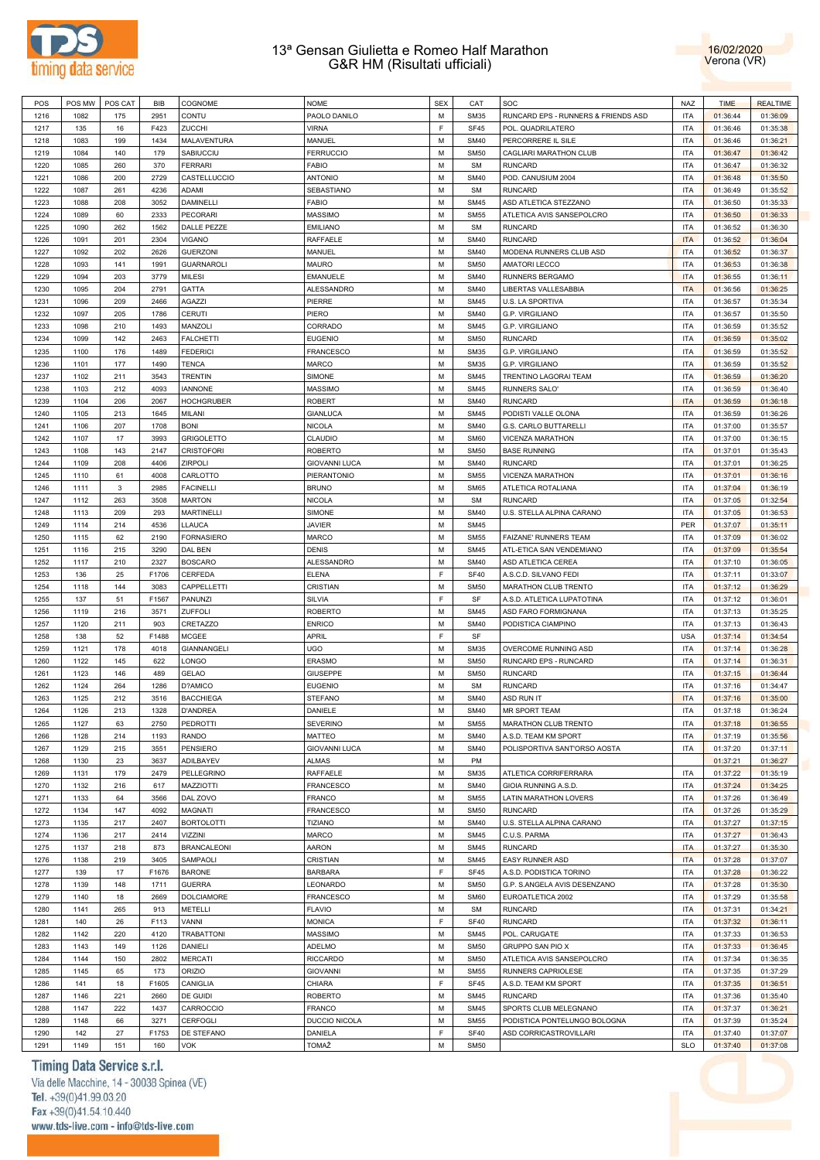



| POS  | POS MW | POS CAT | <b>BIB</b> | COGNOME            | <b>NOME</b>                        | <b>SEX</b>  | CAT         | SOC                                 | NAZ        | <b>TIME</b> | <b>REALTIME</b> |
|------|--------|---------|------------|--------------------|------------------------------------|-------------|-------------|-------------------------------------|------------|-------------|-----------------|
| 1216 | 1082   | 175     | 2951       | CONTU              | PAOLO DANILO                       | M           | <b>SM35</b> | RUNCARD EPS - RUNNERS & FRIENDS ASD | <b>ITA</b> | 01:36:44    | 01:36:09        |
| 1217 | 135    | 16      | F423       | <b>ZUCCHI</b>      | <b>VIRNA</b>                       | $\mathsf F$ | <b>SF45</b> | POL. QUADRILATERO                   | <b>ITA</b> | 01:36:46    | 01:35:38        |
| 1218 | 1083   | 199     | 1434       | MALAVENTURA        | MANUEL                             | M           | <b>SM40</b> | PERCORRERE IL SILE                  | <b>ITA</b> | 01:36:46    | 01:36:21        |
| 1219 | 1084   | 140     | 179        | SABIUCCIU          | <b>FERRUCCIO</b>                   | M           | <b>SM50</b> | CAGLIARI MARATHON CLUB              | <b>ITA</b> | 01:36:47    | 01:36:42        |
| 1220 | 1085   | 260     | 370        | <b>FERRARI</b>     | <b>FABIO</b>                       | M           | <b>SM</b>   | <b>RUNCARD</b>                      | <b>ITA</b> | 01:36:47    | 01:36:32        |
| 1221 | 1086   | 200     | 2729       | CASTELLUCCIO       | <b>ANTONIO</b>                     | M           | <b>SM40</b> | POD. CANUSIUM 2004                  | <b>ITA</b> | 01:36:48    | 01:35:50        |
| 1222 | 1087   | 261     | 4236       | ADAMI              | SEBASTIANO                         | M           | <b>SM</b>   | <b>RUNCARD</b>                      | <b>ITA</b> | 01:36:49    | 01:35:52        |
| 1223 | 1088   | 208     | 3052       | <b>DAMINELLI</b>   | <b>FABIO</b>                       | M           | <b>SM45</b> | ASD ATLETICA STEZZANO               | <b>ITA</b> | 01:36:50    | 01:35:33        |
| 1224 | 1089   | 60      | 2333       | <b>PECORARI</b>    | <b>MASSIMO</b>                     | M           | <b>SM55</b> | ATLETICA AVIS SANSEPOLCRO           | <b>ITA</b> | 01:36:50    | 01:36:33        |
| 1225 | 1090   | 262     | 1562       | DALLE PEZZE        | <b>EMILIANO</b>                    | M           | <b>SM</b>   | <b>RUNCARD</b>                      | <b>ITA</b> | 01:36:52    | 01:36:30        |
| 1226 | 1091   | 201     | 2304       | <b>VIGANO</b>      | RAFFAELE                           | M           | <b>SM40</b> | <b>RUNCARD</b>                      | <b>ITA</b> | 01:36:52    | 01:36:04        |
| 1227 | 1092   | 202     | 2626       | <b>GUERZONI</b>    | MANUEL                             | M           | <b>SM40</b> | MODENA RUNNERS CLUB ASD             | <b>ITA</b> | 01:36:52    | 01:36:37        |
| 1228 | 1093   | 141     | 1991       | <b>GUARNAROLI</b>  | <b>MAURO</b>                       | M           | <b>SM50</b> | <b>AMATORI LECCO</b>                | <b>ITA</b> | 01:36:53    | 01:36:38        |
| 1229 | 1094   | 203     | 3779       | <b>MILESI</b>      | <b>EMANUELE</b>                    | M           | <b>SM40</b> | RUNNERS BERGAMO                     | <b>ITA</b> | 01:36:55    | 01:36:11        |
| 1230 | 1095   | 204     | 2791       | GATTA              | ALESSANDRO                         | M           | <b>SM40</b> | LIBERTAS VALLESABBIA                | <b>ITA</b> | 01:36:56    | 01:36:25        |
| 1231 | 1096   | 209     | 2466       | AGAZZI             | PIERRE                             | M           | <b>SM45</b> | U.S. LA SPORTIVA                    | <b>ITA</b> | 01:36:57    | 01:35:34        |
| 1232 | 1097   | 205     | 1786       | CERUTI             | PIERO                              | M           | <b>SM40</b> | G.P. VIRGILIANO                     | <b>ITA</b> | 01:36:57    | 01:35:50        |
| 1233 | 1098   | 210     | 1493       | MANZOLI            | CORRADO                            | M           | <b>SM45</b> | G.P. VIRGILIANO                     | <b>ITA</b> | 01:36:59    | 01:35:52        |
| 1234 | 1099   | 142     | 2463       |                    |                                    | M           | <b>SM50</b> | <b>RUNCARD</b>                      | <b>ITA</b> |             |                 |
|      |        |         |            | <b>FALCHETTI</b>   | <b>EUGENIO</b><br><b>FRANCESCO</b> | M           |             |                                     | <b>ITA</b> | 01:36:59    | 01:35:02        |
| 1235 | 1100   | 176     | 1489       | <b>FEDERICI</b>    |                                    |             | <b>SM35</b> | G.P. VIRGILIANO                     |            | 01:36:59    | 01:35:52        |
| 1236 | 1101   | 177     | 1490       | <b>TENCA</b>       | <b>MARCO</b>                       | M           | <b>SM35</b> | G.P. VIRGILIANO                     | <b>ITA</b> | 01:36:59    | 01:35:52        |
| 1237 | 1102   | 211     | 3543       | <b>TRENTIN</b>     | SIMONE                             | M           | <b>SM45</b> | TRENTINO LAGORAI TEAM               | <b>ITA</b> | 01:36:59    | 01:36:20        |
| 1238 | 1103   | 212     | 4093       | <b>IANNONE</b>     | <b>MASSIMO</b>                     | M           | <b>SM45</b> | RUNNERS SALO'                       | <b>ITA</b> | 01:36:59    | 01:36:40        |
| 1239 | 1104   | 206     | 2067       | <b>HOCHGRUBER</b>  | <b>ROBERT</b>                      | M           | <b>SM40</b> | <b>RUNCARD</b>                      | <b>ITA</b> | 01:36:59    | 01:36:18        |
| 1240 | 1105   | 213     | 1645       | MILANI             | <b>GIANLUCA</b>                    | M           | <b>SM45</b> | PODISTI VALLE OLONA                 | <b>ITA</b> | 01:36:59    | 01:36:26        |
| 1241 | 1106   | 207     | 1708       | <b>BONI</b>        | <b>NICOLA</b>                      | M           | <b>SM40</b> | G.S. CARLO BUTTARELLI               | <b>ITA</b> | 01:37:00    | 01:35:57        |
| 1242 | 1107   | 17      | 3993       | <b>GRIGOLETTO</b>  | CLAUDIO                            | M           | <b>SM60</b> | VICENZA MARATHON                    | <b>ITA</b> | 01:37:00    | 01:36:15        |
| 1243 | 1108   | 143     | 2147       | <b>CRISTOFORI</b>  | <b>ROBERTO</b>                     | M           | <b>SM50</b> | <b>BASE RUNNING</b>                 | <b>ITA</b> | 01:37:01    | 01:35:43        |
| 1244 | 1109   | 208     | 4406       | <b>ZIRPOLI</b>     | <b>GIOVANNI LUCA</b>               | M           | <b>SM40</b> | <b>RUNCARD</b>                      | <b>ITA</b> | 01:37:01    | 01:36:25        |
| 1245 | 1110   | 61      | 4008       | CARLOTTO           | PIERANTONIO                        | M           | <b>SM55</b> | VICENZA MARATHON                    | <b>ITA</b> | 01:37:01    | 01:36:16        |
| 1246 | 1111   | 3       | 2985       | <b>FACINELLI</b>   | <b>BRUNO</b>                       | M           | <b>SM65</b> | ATLETICA ROTALIANA                  | <b>ITA</b> | 01:37:04    | 01:36:19        |
| 1247 | 1112   | 263     | 3508       | <b>MARTON</b>      | <b>NICOLA</b>                      | M           | <b>SM</b>   | <b>RUNCARD</b>                      | <b>ITA</b> | 01:37:05    | 01:32:54        |
| 1248 | 1113   | 209     | 293        | <b>MARTINELLI</b>  | SIMONE                             | M           | <b>SM40</b> | U.S. STELLA ALPINA CARANO           | <b>ITA</b> | 01:37:05    | 01:36:53        |
| 1249 | 1114   | 214     | 4536       | LLAUCA             | <b>JAVIER</b>                      | M           | <b>SM45</b> |                                     | PER        | 01:37:07    | 01:35:11        |
| 1250 | 1115   | 62      | 2190       | <b>FORNASIERO</b>  | <b>MARCO</b>                       | M           | <b>SM55</b> | FAIZANE' RUNNERS TEAM               | <b>ITA</b> | 01:37:09    | 01:36:02        |
| 1251 | 1116   | 215     | 3290       | DAL BEN            | <b>DENIS</b>                       | M           | <b>SM45</b> | ATL-ETICA SAN VENDEMIANO            | <b>ITA</b> | 01:37:09    | 01:35:54        |
| 1252 | 1117   | 210     | 2327       | <b>BOSCARO</b>     | <b>ALESSANDRO</b>                  | M           | <b>SM40</b> | ASD ATLETICA CEREA                  | <b>ITA</b> | 01:37:10    | 01:36:05        |
| 1253 | 136    | 25      | F1706      | CERFEDA            | <b>ELENA</b>                       | $\mathsf F$ | <b>SF40</b> | A.S.C.D. SILVANO FEDI               | <b>ITA</b> | 01:37:11    | 01:33:07        |
| 1254 | 1118   | 144     | 3083       | CAPPELLETTI        | CRISTIAN                           | M           | <b>SM50</b> | MARATHON CLUB TRENTO                | <b>ITA</b> | 01:37:12    | 01:36:29        |
| 1255 | 137    | 51      | F1567      | PANUNZI            | SILVIA                             | $\mathsf F$ | SF          | A.S.D. ATLETICA LUPATOTINA          | <b>ITA</b> | 01:37:12    | 01:36:01        |
| 1256 | 1119   | 216     | 3571       | ZUFFOLI            | <b>ROBERTO</b>                     | M           | <b>SM45</b> | ASD FARO FORMIGNANA                 | <b>ITA</b> | 01:37:13    | 01:35:25        |
| 1257 | 1120   | 211     | 903        | CRETAZZO           | <b>ENRICO</b>                      | M           | <b>SM40</b> | PODISTICA CIAMPINO                  | <b>ITA</b> | 01:37:13    | 01:36:43        |
| 1258 | 138    | 52      | F1488      | <b>MCGEE</b>       | <b>APRIL</b>                       | F           | SF          |                                     | <b>USA</b> | 01:37:14    | 01:34:54        |
| 1259 | 1121   | 178     | 4018       | GIANNANGELI        | UGO                                | M           | <b>SM35</b> | OVERCOME RUNNING ASD                | <b>ITA</b> | 01:37:14    | 01:36:28        |
| 1260 | 1122   | 145     | 622        | LONGO              | ERASMO                             | M           | <b>SM50</b> | RUNCARD EPS - RUNCARD               | <b>ITA</b> | 01:37:14    | 01:36:31        |
| 1261 | 1123   | 146     | 489        | GELAO              | <b>GIUSEPPE</b>                    | M           | <b>SM50</b> | RUNCARD                             | <b>ITA</b> | 01:37:15    | 01:36:44        |
| 1262 | 1124   | 264     | 1286       | D?AMICO            | <b>EUGENIO</b>                     | M           | <b>SM</b>   | <b>RUNCARD</b>                      | <b>ITA</b> | 01:37:16    | 01:34:47        |
| 1263 | 1125   | 212     | 3516       | <b>BACCHIEGA</b>   | <b>STEFANO</b>                     | M           | <b>SM40</b> | ASD RUN IT                          | <b>ITA</b> | 01:37:16    | 01:35:00        |
| 1264 | 1126   | 213     | 1328       | <b>D'ANDREA</b>    | DANIELE                            | M           | <b>SM40</b> | <b>MR SPORT TEAM</b>                | <b>ITA</b> | 01:37:18    | 01:36:24        |
| 1265 | 1127   | 63      | 2750       | PEDROTTI           | <b>SEVERINO</b>                    | М           | <b>SM55</b> | MARATHON CLUB TRENTO                | <b>ITA</b> | 01:37:18    | 01:36:55        |
| 1266 | 1128   | 214     | 1193       | RANDO              | MATTEO                             | M           | <b>SM40</b> | A.S.D. TEAM KM SPORT                | <b>ITA</b> | 01:37:19    | 01:35:56        |
| 1267 | 1129   | 215     | 3551       | <b>PENSIERO</b>    | <b>GIOVANNI LUCA</b>               | M           | <b>SM40</b> | POLISPORTIVA SANT'ORSO AOSTA        | <b>ITA</b> | 01:37:20    | 01:37:11        |
| 1268 | 1130   | 23      | 3637       | ADILBAYEV          | ALMAS                              | M           | PM          |                                     |            | 01:37:21    | 01:36:27        |
| 1269 | 1131   | 179     | 2479       | PELLEGRINO         | RAFFAELE                           | M           | <b>SM35</b> | ATLETICA CORRIFERRARA               | <b>ITA</b> | 01:37:22    | 01:35:19        |
| 1270 | 1132   | 216     | 617        | MAZZIOTTI          | <b>FRANCESCO</b>                   | M           | <b>SM40</b> | GIOIA RUNNING A.S.D.                | <b>ITA</b> | 01:37:24    | 01:34:25        |
| 1271 | 1133   | 64      | 3566       | DAL ZOVO           | FRANCO                             | M           | <b>SM55</b> | <b>LATIN MARATHON LOVERS</b>        | <b>ITA</b> | 01:37:26    | 01:36:49        |
| 1272 | 1134   | 147     | 4092       | MAGNATI            | <b>FRANCESCO</b>                   | M           | <b>SM50</b> | <b>RUNCARD</b>                      | <b>ITA</b> | 01:37:26    | 01:35:29        |
| 1273 | 1135   | 217     | 2407       | <b>BORTOLOTTI</b>  | <b>TIZIANO</b>                     | M           | <b>SM40</b> | U.S. STELLA ALPINA CARANO           | <b>ITA</b> | 01:37:27    | 01:37:15        |
| 1274 | 1136   | 217     |            |                    | MARCO                              | M           | <b>SM45</b> | C.U.S. PARMA                        | <b>ITA</b> | 01:37:27    | 01:36:43        |
|      |        |         | 2414       | VIZZINI            |                                    |             |             |                                     |            |             |                 |
| 1275 | 1137   | 218     | 873        | <b>BRANCALEONI</b> | AARON                              | M           | <b>SM45</b> | RUNCARD                             | <b>ITA</b> | 01:37:27    | 01:35:30        |
| 1276 | 1138   | 219     | 3405       | SAMPAOLI           | CRISTIAN                           | M           | <b>SM45</b> | EASY RUNNER ASD                     | <b>ITA</b> | 01:37:28    | 01:37:07        |
| 1277 | 139    | 17      | F1676      | <b>BARONE</b>      | <b>BARBARA</b>                     | $\mathsf F$ | <b>SF45</b> | A.S.D. PODISTICA TORINO             | <b>ITA</b> | 01:37:28    | 01:36:22        |
| 1278 | 1139   | 148     | 1711       | <b>GUERRA</b>      | LEONARDO                           | M           | <b>SM50</b> | G.P. S.ANGELA AVIS DESENZANO        | <b>ITA</b> | 01:37:28    | 01:35:30        |
| 1279 | 1140   | 18      | 2669       | <b>DOLCIAMORE</b>  | <b>FRANCESCO</b>                   | M           | <b>SM60</b> | EUROATLETICA 2002                   | <b>ITA</b> | 01:37:29    | 01:35:58        |
| 1280 | 1141   | 265     | 913        | METELLI            | <b>FLAVIO</b>                      | M           | <b>SM</b>   | <b>RUNCARD</b>                      | <b>ITA</b> | 01:37:31    | 01:34:21        |
| 1281 | 140    | 26      | F113       | VANNI              | <b>MONICA</b>                      | $\mathsf F$ | <b>SF40</b> | RUNCARD                             | <b>ITA</b> | 01:37:32    | 01:36:11        |
| 1282 | 1142   | 220     | 4120       | <b>TRABATTONI</b>  | MASSIMO                            | M           | <b>SM45</b> | POL. CARUGATE                       | <b>ITA</b> | 01:37:33    | 01:36:53        |
| 1283 | 1143   | 149     | 1126       | DANIELI            | ADELMO                             | M           | <b>SM50</b> | GRUPPO SAN PIO X                    | <b>ITA</b> | 01:37:33    | 01:36:45        |
| 1284 | 1144   | 150     | 2802       | <b>MERCATI</b>     | <b>RICCARDO</b>                    | M           | <b>SM50</b> | ATLETICA AVIS SANSEPOLCRO           | <b>ITA</b> | 01:37:34    | 01:36:35        |
| 1285 | 1145   | 65      | 173        | ORIZIO             | <b>GIOVANNI</b>                    | M           | <b>SM55</b> | RUNNERS CAPRIOLESE                  | <b>ITA</b> | 01:37:35    | 01:37:29        |
| 1286 | 141    | 18      | F1605      | CANIGLIA           | CHIARA                             | F           | SF45        | A.S.D. TEAM KM SPORT                | <b>ITA</b> | 01:37:35    | 01:36:51        |
| 1287 | 1146   | 221     | 2660       | DE GUIDI           | <b>ROBERTO</b>                     | M           | <b>SM45</b> | RUNCARD                             | <b>ITA</b> | 01:37:36    | 01:35:40        |
| 1288 | 1147   | 222     | 1437       | CARROCCIO          | FRANCO                             | M           | <b>SM45</b> | SPORTS CLUB MELEGNANO               | <b>ITA</b> | 01:37:37    | 01:36:21        |
| 1289 | 1148   | 66      | 3271       | CERFOGLI           | DUCCIO NICOLA                      | M           | <b>SM55</b> | PODISTICA PONTELUNGO BOLOGNA        | <b>ITA</b> | 01:37:39    | 01:35:24        |
| 1290 | 142    | 27      | F1753      | DE STEFANO         | DANIELA                            | F           | <b>SF40</b> | ASD CORRICASTROVILLARI              | <b>ITA</b> | 01:37:40    | 01:37:07        |
| 1291 | 1149   | 151     | 160        | <b>VOK</b>         | TOMAŽ                              | M           | <b>SM50</b> |                                     | <b>SLO</b> | 01:37:40    | 01:37:08        |

# Timing Data Service s.r.l.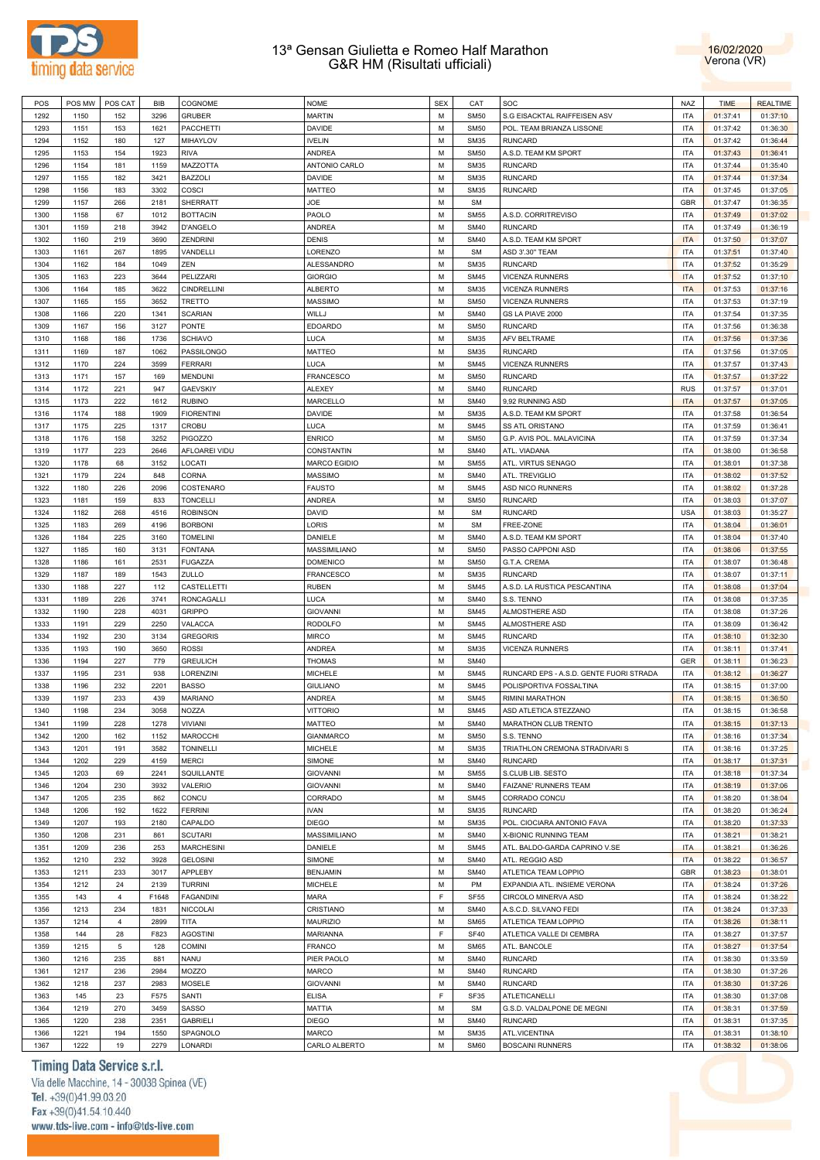



| POS          | POS MW       | POS CAT         | <b>BIB</b>   | COGNOME             | <b>NOME</b>                   | <b>SEX</b> | CAT              | SOC                                     | <b>NAZ</b>               | <b>TIME</b> | <b>REALTIME</b>      |
|--------------|--------------|-----------------|--------------|---------------------|-------------------------------|------------|------------------|-----------------------------------------|--------------------------|-------------|----------------------|
|              |              |                 |              |                     |                               | M          |                  |                                         |                          |             |                      |
| 1292         | 1150         | 152             | 3296         | <b>GRUBER</b>       | <b>MARTIN</b>                 |            | <b>SM50</b>      | S.G EISACKTAL RAIFFEISEN ASV            | <b>ITA</b>               | 01:37:41    | 01:37:10             |
| 1293         | 1151         | 153             | 1621         | PACCHETTI           | <b>DAVIDE</b>                 | M          | <b>SM50</b>      | POL. TEAM BRIANZA LISSONE               | ITA                      | 01:37:42    | 01:36:30             |
| 1294         | 1152         | 180             | 127          | MIHAYLOV            | <b>IVELIN</b>                 | M          | <b>SM35</b>      | <b>RUNCARD</b>                          | <b>ITA</b>               | 01:37:42    | 01:36:44             |
| 1295         | 1153         | 154             | 1923         | <b>RIVA</b>         | ANDREA                        | M          | <b>SM50</b>      | A.S.D. TEAM KM SPORT                    | ITA                      | 01:37:43    | 01:36:41             |
| 1296         | 1154         | 181             | 1159         | MAZZOTTA            | ANTONIO CARLO                 | M          | <b>SM35</b>      | <b>RUNCARD</b>                          | <b>ITA</b>               | 01:37:44    | 01:35:40             |
|              |              | 182             | 3421         | <b>BAZZOLI</b>      |                               | M          | <b>SM35</b>      | <b>RUNCARD</b>                          |                          |             | 01:37:34             |
| 1297         | 1155         |                 |              |                     | DAVIDE                        |            |                  |                                         | ITA                      | 01:37:44    |                      |
| 1298         | 1156         | 183             | 3302         | COSCI               | <b>MATTEO</b>                 | M          | <b>SM35</b>      | <b>RUNCARD</b>                          | <b>ITA</b>               | 01:37:45    | 01:37:05             |
| 1299         | 1157         | 266             | 2181         | SHERRATT            | JOE                           | M          | <b>SM</b>        |                                         | <b>GBR</b>               | 01:37:47    | 01:36:35             |
| 1300         | 1158         | 67              | 1012         | <b>BOTTACIN</b>     | PAOLO                         | M          | <b>SM55</b>      | A.S.D. CORRITREVISO                     | <b>ITA</b>               | 01:37:49    | 01:37:02             |
| 1301         | 1159         | 218             | 3942         | D'ANGELO            | <b>ANDREA</b>                 | M          | <b>SM40</b>      | <b>RUNCARD</b>                          | <b>ITA</b>               | 01:37:49    | 01:36:19             |
| 1302         | 1160         | 219             | 3690         | <b>ZENDRINI</b>     | <b>DENIS</b>                  | M          | <b>SM40</b>      | A.S.D. TEAM KM SPORT                    | <b>ITA</b>               | 01:37:50    | 01:37:07             |
| 1303         |              |                 |              | VANDELLI            |                               | M          | <b>SM</b>        |                                         | <b>ITA</b>               |             |                      |
|              | 1161         | 267             | 1895         |                     | LORENZO                       |            |                  | ASD 3'.30" TEAM                         |                          | 01:37:51    | 01:37:40             |
| 1304         | 1162         | 184             | 1049         | ZEN                 | ALESSANDRO                    | M          | <b>SM35</b>      | <b>RUNCARD</b>                          | <b>ITA</b>               | 01:37:52    | 01:35:29             |
| 1305         | 1163         | 223             | 3644         | PELIZZARI           | <b>GIORGIO</b>                | M          | <b>SM45</b>      | <b>VICENZA RUNNERS</b>                  | <b>ITA</b>               | 01:37:52    | 01:37:10             |
| 1306         | 1164         | 185             | 3622         | <b>CINDRELLINI</b>  | <b>ALBERTO</b>                | M          | <b>SM35</b>      | <b>VICENZA RUNNERS</b>                  | <b>ITA</b>               | 01:37:53    | 01:37:16             |
| 1307         | 1165         | 155             | 3652         | TRETTO              | <b>MASSIMO</b>                | M          | <b>SM50</b>      | <b>VICENZA RUNNERS</b>                  | <b>ITA</b>               | 01:37:53    | 01:37:19             |
| 1308         |              | 220             | 1341         | <b>SCARIAN</b>      | WILLJ                         | M          | <b>SM40</b>      |                                         | <b>ITA</b>               | 01:37:54    | 01:37:35             |
|              | 1166         |                 |              |                     |                               |            |                  | GS LA PIAVE 2000                        |                          |             |                      |
| 1309         | 1167         | 156             | 3127         | <b>PONTE</b>        | <b>EDOARDO</b>                | M          | <b>SM50</b>      | <b>RUNCARD</b>                          | ITA                      | 01:37:56    | 01:36:38             |
| 1310         | 1168         | 186             | 1736         | <b>SCHIAVO</b>      | LUCA                          | M          | <b>SM35</b>      | AFV BELTRAME                            | <b>ITA</b>               | 01:37:56    | 01:37:36             |
| 1311         | 1169         | 187             | 1062         | PASSILONGO          | MATTEO                        | M          | <b>SM35</b>      | <b>RUNCARD</b>                          | ITA                      | 01:37:56    | 01:37:05             |
| 1312         | 1170         | 224             | 3599         | <b>FERRARI</b>      | LUCA                          | M          | <b>SM45</b>      | <b>VICENZA RUNNERS</b>                  | <b>ITA</b>               | 01:37:57    | 01:37:43             |
|              |              | 157             |              |                     | <b>FRANCESCO</b>              | M          | <b>SM50</b>      |                                         | <b>ITA</b>               |             |                      |
| 1313         | 1171         |                 | 169          | <b>MENDUNI</b>      |                               |            |                  | <b>RUNCARD</b>                          |                          | 01:37:57    | 01:37:22             |
| 1314         | 1172         | 221             | 947          | <b>GAEVSKIY</b>     | <b>ALEXEY</b>                 | M          | <b>SM40</b>      | <b>RUNCARD</b>                          | <b>RUS</b>               | 01:37:57    | 01:37:01             |
| 1315         | 1173         | 222             | 1612         | <b>RUBINO</b>       | <b>MARCELLO</b>               | M          | <b>SM40</b>      | 9,92 RUNNING ASD                        | <b>ITA</b>               | 01:37:57    | 01:37:05             |
| 1316         | 1174         | 188             | 1909         | <b>FIORENTINI</b>   | <b>DAVIDE</b>                 | M          | <b>SM35</b>      | A.S.D. TEAM KM SPORT                    | <b>ITA</b>               | 01:37:58    | 01:36:54             |
| 1317         | 1175         | 225             | 1317         | <b>CROBU</b>        | LUCA                          | M          | <b>SM45</b>      | <b>SS ATL ORISTANO</b>                  | <b>ITA</b>               | 01:37:59    | 01:36:41             |
| 1318         | 1176         | 158             | 3252         | <b>PIGOZZO</b>      | <b>ENRICO</b>                 | M          | <b>SM50</b>      | G.P. AVIS POL. MALAVICINA               | <b>ITA</b>               | 01:37:59    | 01:37:34             |
|              |              |                 |              |                     |                               |            |                  |                                         |                          |             |                      |
| 1319         | 1177         | 223             | 2646         | AFLOAREI VIDU       | CONSTANTIN                    | M          | <b>SM40</b>      | ATL. VIADANA                            | <b>ITA</b>               | 01:38:00    | 01:36:58             |
| 1320         | 1178         | 68              | 3152         | LOCATI              | <b>MARCO EGIDIO</b>           | M          | <b>SM55</b>      | ATL. VIRTUS SENAGO                      | <b>ITA</b>               | 01:38:01    | 01:37:38             |
| 1321         | 1179         | 224             | 848          | <b>CORNA</b>        | <b>MASSIMO</b>                | M          | <b>SM40</b>      | ATL. TREVIGLIO                          | ITA                      | 01:38:02    | 01:37:52             |
| 1322         | 1180         | 226             | 2096         | COSTENARO           | <b>FAUSTO</b>                 | M          | <b>SM45</b>      | <b>ASD NICO RUNNERS</b>                 | <b>ITA</b>               | 01:38:02    | 01:37:28             |
| 1323         | 1181         | 159             | 833          | <b>TONCELLI</b>     | <b>ANDREA</b>                 | M          | <b>SM50</b>      | <b>RUNCARD</b>                          | ITA                      | 01:38:03    | 01:37:07             |
|              |              |                 |              |                     |                               |            |                  |                                         |                          |             |                      |
| 1324         | 1182         | 268             | 4516         | <b>ROBINSON</b>     | DAVID                         | M          | <b>SM</b>        | <b>RUNCARD</b>                          | <b>USA</b>               | 01:38:03    | 01:35:27             |
| 1325         | 1183         | 269             | 4196         | <b>BORBONI</b>      | LORIS                         | M          | SM               | FREE-ZONE                               | <b>ITA</b>               | 01:38:04    | 01:36:01             |
| 1326         | 1184         | 225             | 3160         | <b>TOMELINI</b>     | DANIELE                       | M          | <b>SM40</b>      | A.S.D. TEAM KM SPORT                    | <b>ITA</b>               | 01:38:04    | 01:37:40             |
| 1327         | 1185         | 160             | 3131         | <b>FONTANA</b>      | MASSIMILIANO                  | M          | <b>SM50</b>      | PASSO CAPPONI ASD                       | <b>ITA</b>               | 01:38:06    | 01:37:55             |
| 1328         | 1186         | 161             | 2531         | <b>FUGAZZA</b>      | <b>DOMENICO</b>               | M          | <b>SM50</b>      | G.T.A. CREMA                            | <b>ITA</b>               | 01:38:07    | 01:36:48             |
|              |              |                 |              |                     |                               |            |                  |                                         |                          |             |                      |
| 1329         | 1187         | 189             | 1543         | ZULLO               | <b>FRANCESCO</b>              | M          | <b>SM35</b>      | <b>RUNCARD</b>                          | <b>ITA</b>               | 01:38:07    | 01:37:11             |
| 1330         | 1188         | 227             | 112          | CASTELLETTI         | <b>RUBEN</b>                  | M          | <b>SM45</b>      | A.S.D. LA RUSTICA PESCANTINA            | <b>ITA</b>               | 01:38:08    | 01:37:04             |
| 1331         | 1189         | 226             | 3741         | RONCAGALLI          | LUCA                          | M          | <b>SM40</b>      | S.S. TENNO                              | <b>ITA</b>               | 01:38:08    | 01:37:35             |
| 1332         | 1190         | 228             | 4031         | <b>GRIPPO</b>       | <b>GIOVANNI</b>               | M          | <b>SM45</b>      | ALMOSTHERE ASD                          | <b>ITA</b>               | 01:38:08    | 01:37:26             |
| 1333         | 1191         | 229             | 2250         | VALACCA             | <b>RODOLFO</b>                | M          | <b>SM45</b>      | ALMOSTHERE ASD                          | <b>ITA</b>               | 01:38:09    | 01:36:42             |
|              |              | 230             | 3134         |                     |                               | M          | <b>SM45</b>      |                                         |                          |             |                      |
| 1334         | 1192         |                 |              | <b>GREGORIS</b>     | <b>MIRCO</b>                  |            |                  | <b>RUNCARD</b>                          | <b>ITA</b>               | 01:38:10    | 01:32:30             |
| 1335         | 1193         | 190             | 3650         | <b>ROSSI</b>        | <b>ANDREA</b>                 | M          | <b>SM35</b>      | <b>VICENZA RUNNERS</b>                  | ITA                      | 01:38:11    | 01:37:41             |
| 1336         | 1194         | 227             | 779          | <b>GREULICH</b>     | <b>THOMAS</b>                 | M          | <b>SM40</b>      |                                         | <b>GER</b>               | 01:38:11    | 01:36:23             |
| 1337         | 1195         | 231             | 938          | LORENZINI           | <b>MICHELE</b>                | M          | <b>SM45</b>      | RUNCARD EPS - A.S.D. GENTE FUORI STRADA | ITA                      | 01:38:12    | 01:36:27             |
| 1338         | 1196         | 232             | 2201         | <b>BASSO</b>        | <b>GIULIANO</b>               | M          | <b>SM45</b>      | POLISPORTIVA FOSSALTINA                 | <b>ITA</b>               | 01:38:15    | 01:37:00             |
| 1339         | 1197         | 233             | 439          | <b>MARIANO</b>      | <b>ANDREA</b>                 | M          | <b>SM45</b>      |                                         | <b>ITA</b>               |             |                      |
|              |              |                 |              |                     |                               |            |                  | RIMINI MARATHON                         |                          | 01:38:15    | 01:36:50             |
| 1340         | 1198         | 234             | 3058         | NOZZA               | <b>VITTORIO</b>               | M          | <b>SM45</b>      | ASD ATLETICA STEZZANO                   | <b>ITA</b>               | 01:38:15    | 01:36:58             |
| 1341         | 1199         | 228             | 1278         | <b>VIVIANI</b>      | MATTEO                        | M          | <b>SM40</b>      | MARATHON CLUB TRENTO                    | <b>ITA</b>               | 01:38:15    | 01:37:13             |
| 1342         | 1200         | 162             | 1152         | MAROCCHI            | <b>GIANMARCO</b>              | M          | <b>SM50</b>      | S.S. TENNO                              | <b>ITA</b>               | 01:38:16    | 01:37:34             |
| 1343         | 1201         | 191             | 3582         | <b>TONINELLI</b>    | <b>MICHELE</b>                | M          | <b>SM35</b>      | TRIATHLON CREMONA STRADIVARI S          | <b>ITA</b>               | 01:38:16    | 01:37:25             |
| 1344         | 1202         | 229             | 4159         | <b>MERCI</b>        | SIMONE                        | M          | <b>SM40</b>      |                                         |                          |             |                      |
|              |              |                 |              |                     |                               |            |                  |                                         |                          |             |                      |
| 1345         |              |                 |              |                     |                               |            |                  | <b>RUNCARD</b>                          | <b>ITA</b>               | 01:38:17    | 01:37:31             |
| 1346         | 1203         | 69              | 2241         | SQUILLANTE          | <b>GIOVANNI</b>               | М          | <b>SM55</b>      | S.CLUB LIB. SESTO                       | <b>ITA</b>               | 01:38:18    | 01:37:34             |
|              | 1204         | 230             | 3932         | VALERIO             | <b>GIOVANNI</b>               | M          | <b>SM40</b>      | FAIZANE' RUNNERS TEAM                   | <b>ITA</b>               | 01:38:19    | 01:37:06             |
| 1347         | 1205         | 235             | 862          | CONCU               | CORRADO                       | M          | <b>SM45</b>      | CORRADO CONCU                           | <b>ITA</b>               | 01:38:20    | 01:38:04             |
| 1348         | 1206         | 192             | 1622         | <b>FERRINI</b>      | <b>IVAN</b>                   | M          | <b>SM35</b>      | <b>RUNCARD</b>                          | <b>ITA</b>               | 01:38:20    | 01:36:24             |
|              | 1207         | 193             |              | CAPALDO             |                               | M          | <b>SM35</b>      |                                         |                          |             |                      |
| 1349         |              |                 | 2180         |                     | <b>DIEGO</b>                  |            |                  | POL. CIOCIARA ANTONIO FAVA              | <b>ITA</b>               | 01:38:20    | 01:37:33             |
| 1350         | 1208         | 231             | 861          | <b>SCUTARI</b>      | MASSIMILIANO                  | M          | <b>SM40</b>      | X-BIONIC RUNNING TEAM                   | <b>ITA</b>               | 01:38:21    | 01:38:21             |
| 1351         | 1209         | 236             | 253          | <b>MARCHESINI</b>   | DANIELE                       | M          | <b>SM45</b>      | ATL. BALDO-GARDA CAPRINO V.SE           | <b>ITA</b>               | 01:38:21    | 01:36:26             |
| 1352         | 1210         | 232             | 3928         | <b>GELOSINI</b>     | SIMONE                        | M          | <b>SM40</b>      | ATL. REGGIO ASD                         | <b>ITA</b>               | 01:38:22    | 01:36:57             |
| 1353         | 1211         | 233             | 3017         | APPLEBY             | <b>BENJAMIN</b>               | М          | <b>SM40</b>      | ATLETICA TEAM LOPPIO                    | GBR                      | 01:38:23    | 01:38:01             |
|              |              |                 |              |                     |                               |            |                  |                                         |                          |             |                      |
| 1354         | 1212         | 24              | 2139         | <b>TURRINI</b>      | <b>MICHELE</b>                | М          | PM               | EXPANDIA ATL. INSIEME VERONA            | <b>ITA</b>               | 01:38:24    | 01:37:26             |
| 1355         | 143          | $\overline{4}$  | F1648        | <b>FAGANDINI</b>    | MARA                          | F          | SF <sub>55</sub> | CIRCOLO MINERVA ASD                     | ITA                      | 01:38:24    | 01:38:22             |
| 1356         | 1213         | 234             | 1831         | NICCOLAI            | CRISTIANO                     | M          | <b>SM40</b>      | A.S.C.D. SILVANO FEDI                   | <b>ITA</b>               | 01:38:24    | 01:37:33             |
| 1357         | 1214         | $\overline{4}$  | 2899         | TITA                | <b>MAURIZIO</b>               | М          | <b>SM65</b>      | ATLETICA TEAM LOPPIO                    | ITA                      | 01:38:26    | 01:38:11             |
| 1358         | 144          | 28              | F823         | <b>AGOSTINI</b>     | MARIANNA                      | F          | <b>SF40</b>      | ATLETICA VALLE DI CEMBRA                | <b>ITA</b>               | 01:38:27    | 01:37:57             |
|              |              |                 |              |                     |                               |            |                  |                                         |                          |             |                      |
| 1359         | 1215         | $5\phantom{.0}$ | 128          | <b>COMINI</b>       | <b>FRANCO</b>                 | M          | <b>SM65</b>      | ATL. BANCOLE                            | ITA                      | 01:38:27    | 01:37:54             |
| 1360         | 1216         | 235             | 881          | NANU                | PIER PAOLO                    | M          | <b>SM40</b>      | <b>RUNCARD</b>                          | <b>ITA</b>               | 01:38:30    | 01:33:59             |
| 1361         | 1217         | 236             | 2984         | MOZZO               | <b>MARCO</b>                  | M          | <b>SM40</b>      | <b>RUNCARD</b>                          | <b>ITA</b>               | 01:38:30    | 01:37:26             |
| 1362         | 1218         | 237             | 2983         | <b>MOSELE</b>       | <b>GIOVANNI</b>               | M          | <b>SM40</b>      | <b>RUNCARD</b>                          | <b>ITA</b>               | 01:38:30    | 01:37:26             |
| 1363         | 145          | 23              | F575         | SANTI               | <b>ELISA</b>                  | F          | SF35             | ATLETICANELLI                           | <b>ITA</b>               | 01:38:30    | 01:37:08             |
|              |              |                 |              |                     |                               |            |                  |                                         |                          |             |                      |
| 1364         | 1219         | 270             | 3459         | <b>SASSO</b>        | MATTIA                        | M          | <b>SM</b>        | G.S.D. VALDALPONE DE MEGNI              | <b>ITA</b>               | 01:38:31    | 01:37:59             |
| 1365         | 1220         | 238             | 2351         | <b>GABRIELI</b>     | <b>DIEGO</b>                  | М          | <b>SM40</b>      | <b>RUNCARD</b>                          | <b>ITA</b>               | 01:38:31    | 01:37:35             |
| 1366<br>1367 | 1221<br>1222 | 194<br>19       | 1550<br>2279 | SPAGNOLO<br>LONARDI | <b>MARCO</b><br>CARLO ALBERTO | М<br>М     | <b>SM35</b>      | ATL.VICENTINA                           | <b>ITA</b><br><b>ITA</b> | 01:38:31    | 01:38:10<br>01:38:06 |

# Timing Data Service s.r.l.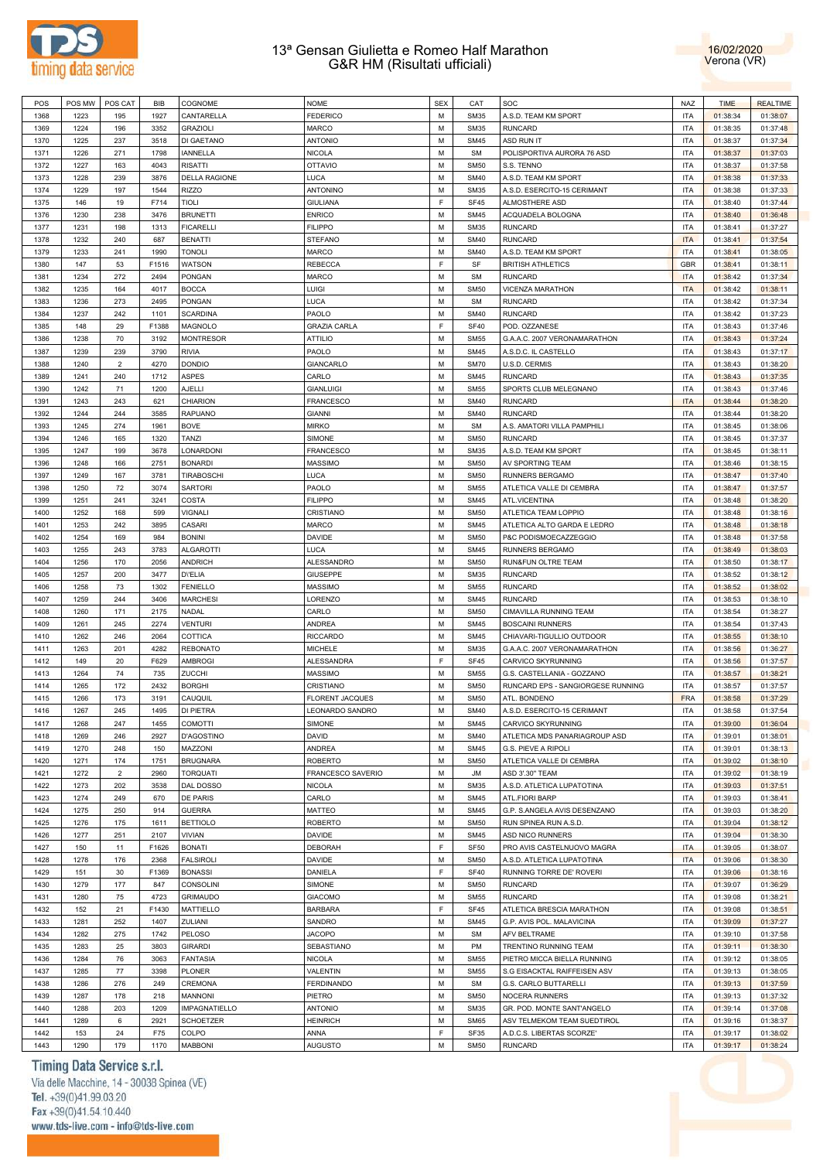



| POS  | POS MW | POS CAT        | <b>BIB</b> | COGNOME              | <b>NOME</b>            | <b>SEX</b> | CAT         | SOC                               | <b>NAZ</b> | <b>TIME</b> | <b>REALTIME</b> |
|------|--------|----------------|------------|----------------------|------------------------|------------|-------------|-----------------------------------|------------|-------------|-----------------|
| 1368 | 1223   | 195            | 1927       | CANTARELLA           | <b>FEDERICO</b>        | M          | <b>SM35</b> | A.S.D. TEAM KM SPORT              | <b>ITA</b> | 01:38:34    | 01:38:07        |
| 1369 | 1224   | 196            | 3352       | <b>GRAZIOLI</b>      | <b>MARCO</b>           | M          | <b>SM35</b> | <b>RUNCARD</b>                    | <b>ITA</b> | 01:38:35    | 01:37:48        |
| 1370 | 1225   | 237            | 3518       | DI GAETANO           | <b>ANTONIO</b>         | M          | <b>SM45</b> | <b>ASD RUN IT</b>                 | <b>ITA</b> | 01:38:37    | 01:37:34        |
| 1371 | 1226   | 271            | 1798       | <b>IANNELLA</b>      | <b>NICOLA</b>          | M          | <b>SM</b>   | POLISPORTIVA AURORA 76 ASD        | <b>ITA</b> | 01:38:37    | 01:37:03        |
|      |        |                |            |                      |                        |            |             |                                   |            |             |                 |
| 1372 | 1227   | 163            | 4043       | <b>RISATTI</b>       | <b>OTTAVIO</b>         | M          | <b>SM50</b> | S.S. TENNO                        | <b>ITA</b> | 01:38:37    | 01:37:58        |
| 1373 | 1228   | 239            | 3876       | <b>DELLA RAGIONE</b> | <b>LUCA</b>            | M          | <b>SM40</b> | A.S.D. TEAM KM SPORT              | <b>ITA</b> | 01:38:38    | 01:37:33        |
| 1374 | 1229   | 197            | 1544       | <b>RIZZO</b>         | ANTONINO               | M          | <b>SM35</b> | A.S.D. ESERCITO-15 CERIMANT       | <b>ITA</b> | 01:38:38    | 01:37:33        |
| 1375 | 146    | 19             | F714       | TIOLI                | <b>GIULIANA</b>        | F          | SF45        | ALMOSTHERE ASD                    | <b>ITA</b> | 01:38:40    | 01:37:44        |
| 1376 | 1230   | 238            | 3476       | <b>BRUNETTI</b>      | <b>ENRICO</b>          | M          | <b>SM45</b> | ACQUADELA BOLOGNA                 | <b>ITA</b> | 01:38:40    | 01:36:48        |
| 1377 | 1231   | 198            | 1313       | <b>FICARELLI</b>     | <b>FILIPPO</b>         | M          | <b>SM35</b> | <b>RUNCARD</b>                    | <b>ITA</b> | 01:38:41    | 01:37:27        |
| 1378 | 1232   | 240            | 687        | <b>BENATTI</b>       | <b>STEFANO</b>         | M          | <b>SM40</b> | <b>RUNCARD</b>                    | <b>ITA</b> | 01:38:41    | 01:37:54        |
| 1379 | 1233   | 241            | 1990       | <b>TONOLI</b>        | <b>MARCO</b>           | M          | <b>SM40</b> | A.S.D. TEAM KM SPORT              | <b>ITA</b> | 01:38:41    | 01:38:05        |
| 1380 | 147    | 53             | F1516      | WATSON               | <b>REBECCA</b>         | F          | SF          | <b>BRITISH ATHLETICS</b>          | GBR        | 01:38:41    | 01:38:11        |
|      |        |                |            |                      |                        |            |             |                                   |            |             |                 |
| 1381 | 1234   | 272            | 2494       | <b>PONGAN</b>        | <b>MARCO</b>           | M          | <b>SM</b>   | <b>RUNCARD</b>                    | <b>ITA</b> | 01:38:42    | 01:37:34        |
| 1382 | 1235   | 164            | 4017       | <b>BOCCA</b>         | <b>LUIGI</b>           | M          | <b>SM50</b> | VICENZA MARATHON                  | <b>ITA</b> | 01:38:42    | 01:38:11        |
| 1383 | 1236   | 273            | 2495       | <b>PONGAN</b>        | <b>LUCA</b>            | M          | <b>SM</b>   | <b>RUNCARD</b>                    | <b>ITA</b> | 01:38:42    | 01:37:34        |
| 1384 | 1237   | 242            | 1101       | <b>SCARDINA</b>      | PAOLO                  | M          | <b>SM40</b> | <b>RUNCARD</b>                    | <b>ITA</b> | 01:38:42    | 01:37:23        |
| 1385 | 148    | 29             | F1388      | <b>MAGNOLO</b>       | <b>GRAZIA CARLA</b>    | E          | <b>SF40</b> | POD. OZZANESE                     | <b>ITA</b> | 01:38:43    | 01:37:46        |
| 1386 | 1238   | 70             | 3192       | <b>MONTRESOR</b>     | <b>ATTILIO</b>         | M          | <b>SM55</b> | G.A.A.C. 2007 VERONAMARATHON      | <b>ITA</b> | 01:38:43    | 01:37:24        |
| 1387 | 1239   | 239            | 3790       | <b>RIVIA</b>         | PAOLO                  | M          | <b>SM45</b> | A.S.D.C. IL CASTELLO              | <b>ITA</b> | 01:38:43    | 01:37:17        |
| 1388 | 1240   | $\overline{2}$ | 4270       | <b>DONDIO</b>        | GIANCARLO              | M          | <b>SM70</b> | U.S.D. CERMIS                     | <b>ITA</b> | 01:38:43    | 01:38:20        |
|      | 1241   | 240            | 1712       | <b>ASPES</b>         | CARLO                  | M          | <b>SM45</b> | <b>RUNCARD</b>                    | <b>ITA</b> |             |                 |
| 1389 |        |                |            |                      |                        |            |             |                                   |            | 01:38:43    | 01:37:35        |
| 1390 | 1242   | 71             | 1200       | AJELLI               | <b>GIANLUIGI</b>       | M          | <b>SM55</b> | SPORTS CLUB MELEGNANO             | <b>ITA</b> | 01:38:43    | 01:37:46        |
| 1391 | 1243   | 243            | 621        | <b>CHIARION</b>      | <b>FRANCESCO</b>       | M          | <b>SM40</b> | <b>RUNCARD</b>                    | <b>ITA</b> | 01:38:44    | 01:38:20        |
| 1392 | 1244   | 244            | 3585       | <b>RAPUANO</b>       | <b>GIANNI</b>          | M          | <b>SM40</b> | <b>RUNCARD</b>                    | <b>ITA</b> | 01:38:44    | 01:38:20        |
| 1393 | 1245   | 274            | 1961       | <b>BOVE</b>          | <b>MIRKO</b>           | M          | <b>SM</b>   | A.S. AMATORI VILLA PAMPHILI       | <b>ITA</b> | 01:38:45    | 01:38:06        |
| 1394 | 1246   | 165            | 1320       | <b>TANZI</b>         | SIMONE                 | M          | <b>SM50</b> | <b>RUNCARD</b>                    | <b>ITA</b> | 01:38:45    | 01:37:37        |
| 1395 | 1247   | 199            | 3678       | LONARDONI            | <b>FRANCESCO</b>       | M          | <b>SM35</b> | A.S.D. TEAM KM SPORT              | <b>ITA</b> | 01:38:45    | 01:38:11        |
| 1396 | 1248   | 166            | 2751       | <b>BONARDI</b>       | <b>MASSIMO</b>         | M          | <b>SM50</b> | AV SPORTING TEAM                  | <b>ITA</b> | 01:38:46    | 01:38:15        |
| 1397 | 1249   | 167            | 3781       | <b>TIRABOSCHI</b>    | <b>LUCA</b>            | M          | <b>SM50</b> | RUNNERS BERGAMO                   | <b>ITA</b> | 01:38:47    | 01:37:40        |
| 1398 | 1250   | 72             | 3074       | <b>SARTORI</b>       | PAOLO                  | M          | <b>SM55</b> | ATLETICA VALLE DI CEMBRA          | <b>ITA</b> | 01:38:47    | 01:37:57        |
|      |        |                |            |                      |                        |            |             |                                   |            |             |                 |
| 1399 | 1251   | 241            | 3241       | COSTA                | <b>FILIPPO</b>         | M          | <b>SM45</b> | ATL.VICENTINA                     | <b>ITA</b> | 01:38:48    | 01:38:20        |
| 1400 | 1252   | 168            | 599        | <b>VIGNALI</b>       | CRISTIANO              | M          | <b>SM50</b> | ATLETICA TEAM LOPPIO              | <b>ITA</b> | 01:38:48    | 01:38:16        |
| 1401 | 1253   | 242            | 3895       | CASARI               | <b>MARCO</b>           | M          | <b>SM45</b> | ATLETICA ALTO GARDA E LEDRO       | <b>ITA</b> | 01:38:48    | 01:38:18        |
| 1402 | 1254   | 169            | 984        | <b>BONINI</b>        | <b>DAVIDE</b>          | M          | <b>SM50</b> | P&C PODISMOECAZZEGGIO             | <b>ITA</b> | 01:38:48    | 01:37:58        |
| 1403 | 1255   | 243            | 3783       | <b>ALGAROTTI</b>     | <b>LUCA</b>            | M          | <b>SM45</b> | <b>RUNNERS BERGAMO</b>            | <b>ITA</b> | 01:38:49    | 01:38:03        |
| 1404 | 1256   | 170            | 2056       | <b>ANDRICH</b>       | ALESSANDRO             | M          | <b>SM50</b> | RUN&FUN OLTRE TEAM                | <b>ITA</b> | 01:38:50    | 01:38:17        |
| 1405 | 1257   | 200            | 3477       | <b>DYELIA</b>        | <b>GIUSEPPE</b>        | M          | <b>SM35</b> | <b>RUNCARD</b>                    | <b>ITA</b> | 01:38:52    | 01:38:12        |
| 1406 | 1258   | 73             | 1302       | <b>FENIELLO</b>      | <b>MASSIMO</b>         | M          | <b>SM55</b> | <b>RUNCARD</b>                    | <b>ITA</b> | 01:38:52    | 01:38:02        |
| 1407 | 1259   | 244            | 3406       | <b>MARCHESI</b>      | LORENZO                | M          | <b>SM45</b> | <b>RUNCARD</b>                    | <b>ITA</b> | 01:38:53    | 01:38:10        |
| 1408 | 1260   | 171            | 2175       | <b>NADAL</b>         |                        | M          | <b>SM50</b> |                                   | <b>ITA</b> |             |                 |
|      |        |                |            |                      | CARLO                  |            |             | CIMAVILLA RUNNING TEAM            |            | 01:38:54    | 01:38:27        |
| 1409 | 1261   | 245            | 2274       | <b>VENTURI</b>       | ANDREA                 | M          | <b>SM45</b> | <b>BOSCAINI RUNNERS</b>           | <b>ITA</b> | 01:38:54    | 01:37:43        |
| 1410 | 1262   | 246            | 2064       | COTTICA              | <b>RICCARDO</b>        | M          | <b>SM45</b> | CHIAVARI-TIGULLIO OUTDOOR         | <b>ITA</b> | 01:38:55    | 01:38:10        |
| 1411 | 1263   | 201            | 4282       | <b>REBONATO</b>      | <b>MICHELE</b>         | M          | <b>SM35</b> | G.A.A.C. 2007 VERONAMARATHON      | <b>ITA</b> | 01:38:56    | 01:36:27        |
| 1412 | 149    | 20             | F629       | <b>AMBROGI</b>       | ALESSANDRA             | F          | SF45        | <b>CARVICO SKYRUNNING</b>         | <b>ITA</b> | 01:38:56    | 01:37:57        |
| 1413 | 1264   | 74             | 735        | ZUCCHI               | <b>MASSIMO</b>         | M          | <b>SM55</b> | G.S. CASTELLANIA - GOZZANO        | <b>ITA</b> | 01:38:57    | 01:38:21        |
| 1414 | 1265   | 172            | 2432       | <b>BORGHI</b>        | CRISTIANO              | M          | <b>SM50</b> | RUNCARD EPS - SANGIORGESE RUNNING | <b>ITA</b> | 01:38:57    | 01:37:57        |
| 1415 | 1266   | 173            | 3191       | CAUQUIL              | <b>FLORENT JACQUES</b> | M          | <b>SM50</b> | ATL. BONDENO                      | <b>FRA</b> | 01:38:58    | 01:37:29        |
| 1416 | 1267   | 245            | 1495       | DI PIETRA            | LEONARDO SANDRO        | M          | <b>SM40</b> | A.S.D. ESERCITO-15 CERIMANT       | <b>ITA</b> | 01:38:58    | 01:37:54        |
| 1417 |        |                |            | <b>COMOTTI</b>       | SIMONE                 | M          | <b>SM45</b> | CARVICO SKYRUNNING                | <b>ITA</b> | 01:39:00    | 01:36:04        |
|      | 1268   | 247            | 1455       |                      |                        |            |             |                                   |            |             |                 |
| 1418 | 1269   | 246            | 2927       | <b>D'AGOSTINO</b>    | <b>DAVID</b>           | M          | <b>SM40</b> | ATLETICA MDS PANARIAGROUP ASD     | <b>ITA</b> | 01:39:01    | 01:38:01        |
| 1419 | 1270   | 248            | 150        | MAZZONI              | ANDREA                 | M          | <b>SM45</b> | G.S. PIEVE A RIPOLI               | <b>ITA</b> | 01:39:01    | 01:38:13        |
| 1420 | 1271   | 174            | 1751       | <b>BRUGNARA</b>      | <b>ROBERTO</b>         | M          | <b>SM50</b> | ATLETICA VALLE DI CEMBRA          | <b>ITA</b> | 01:39:02    | 01:38:10        |
| 1421 | 1272   | $\overline{2}$ | 2960       | <b>TORQUATI</b>      | FRANCESCO SAVERIO      | M          | JM          | ASD 3'.30" TEAM                   | <b>ITA</b> | 01:39:02    | 01:38:19        |
| 1422 | 1273   | 202            | 3538       | DAL DOSSO            | <b>NICOLA</b>          | M          | <b>SM35</b> | A.S.D. ATLETICA LUPATOTINA        | <b>ITA</b> | 01:39:03    | 01:37:51        |
| 1423 | 1274   | 249            | 670        | DE PARIS             | CARLO                  | M          | <b>SM45</b> | ATL.FIORI BARP                    | <b>ITA</b> | 01:39:03    | 01:38:41        |
| 1424 | 1275   | 250            | 914        | <b>GUERRA</b>        | <b>MATTEO</b>          | M          | <b>SM45</b> | G.P. S.ANGELA AVIS DESENZANO      | <b>ITA</b> | 01:39:03    | 01:38:20        |
| 1425 | 1276   | 175            | 1611       | <b>BETTIOLO</b>      | <b>ROBERTO</b>         | M          | <b>SM50</b> | RUN SPINEA RUN A.S.D.             | <b>ITA</b> | 01:39:04    | 01:38:12        |
| 1426 | 1277   | 251            | 2107       | VIVIAN               | <b>DAVIDE</b>          | M          | <b>SM45</b> | ASD NICO RUNNERS                  | <b>ITA</b> | 01:39:04    | 01:38:30        |
|      |        |                |            |                      |                        |            |             |                                   |            |             |                 |
| 1427 | 150    | 11             | F1626      | <b>BONATI</b>        | DEBORAH                | F          | <b>SF50</b> | PRO AVIS CASTELNUOVO MAGRA        | <b>ITA</b> | 01:39:05    | 01:38:07        |
| 1428 | 1278   | 176            | 2368       | <b>FALSIROLI</b>     | DAVIDE                 | M          | <b>SM50</b> | A.S.D. ATLETICA LUPATOTINA        | <b>ITA</b> | 01:39:06    | 01:38:30        |
| 1429 | 151    | 30             | F1369      | <b>BONASSI</b>       | DANIELA                | F          | <b>SF40</b> | RUNNING TORRE DE' ROVERI          | <b>ITA</b> | 01:39:06    | 01:38:16        |
| 1430 | 1279   | 177            | 847        | CONSOLINI            | SIMONE                 | M          | <b>SM50</b> | <b>RUNCARD</b>                    | <b>ITA</b> | 01:39:07    | 01:36:29        |
| 1431 | 1280   | 75             | 4723       | <b>GRIMAUDO</b>      | <b>GIACOMO</b>         | M          | <b>SM55</b> | <b>RUNCARD</b>                    | <b>ITA</b> | 01:39:08    | 01:38:21        |
| 1432 | 152    | 21             | F1430      | MATTIELLO            | <b>BARBARA</b>         | F          | SF45        | ATLETICA BRESCIA MARATHON         | <b>ITA</b> | 01:39:08    | 01:38:51        |
| 1433 | 1281   | 252            | 1407       | ZULIANI              | SANDRO                 | M          | <b>SM45</b> | G.P. AVIS POL. MALAVICINA         | <b>ITA</b> | 01:39:09    | 01:37:27        |
| 1434 | 1282   | 275            | 1742       | PELOSO               | <b>JACOPO</b>          | M          | <b>SM</b>   | AFV BELTRAME                      | <b>ITA</b> | 01:39:10    | 01:37:58        |
|      | 1283   | 25             | 3803       | <b>GIRARDI</b>       | SEBASTIANO             | M          | PM          |                                   | <b>ITA</b> |             | 01:38:30        |
| 1435 |        |                |            |                      |                        |            |             | TRENTINO RUNNING TEAM             |            | 01:39:11    |                 |
| 1436 | 1284   | 76             | 3063       | <b>FANTASIA</b>      | <b>NICOLA</b>          | M          | <b>SM55</b> | PIETRO MICCA BIELLA RUNNING       | <b>ITA</b> | 01:39:12    | 01:38:05        |
| 1437 | 1285   | 77             | 3398       | <b>PLONER</b>        | VALENTIN               | M          | <b>SM55</b> | S.G EISACKTAL RAIFFEISEN ASV      | <b>ITA</b> | 01:39:13    | 01:38:05        |
| 1438 | 1286   | 276            | 249        | CREMONA              | <b>FERDINANDO</b>      | M          | <b>SM</b>   | G.S. CARLO BUTTARELLI             | <b>ITA</b> | 01:39:13    | 01:37:59        |
| 1439 | 1287   | 178            | 218        | <b>MANNONI</b>       | PIETRO                 | M          | <b>SM50</b> | NOCERA RUNNERS                    | <b>ITA</b> | 01:39:13    | 01:37:32        |
| 1440 | 1288   | 203            | 1209       | IMPAGNATIELLO        | <b>ANTONIO</b>         | M          | <b>SM35</b> | GR. POD. MONTE SANT'ANGELO        | <b>ITA</b> | 01:39:14    | 01:37:08        |
| 1441 | 1289   | 6              | 2921       | <b>SCHOETZER</b>     | <b>HEINRICH</b>        | M          | <b>SM65</b> | ASV TELMEKOM TEAM SUEDTIROL       | <b>ITA</b> | 01:39:16    | 01:38:37        |
| 1442 | 153    | 24             | F75        | COLPO                | ANNA                   | F          | SF35        | A.D.C.S. LIBERTAS SCORZE'         | <b>ITA</b> | 01:39:17    | 01:38:02        |
| 1443 | 1290   | 179            | 1170       | <b>MABBONI</b>       | <b>AUGUSTO</b>         | М          | <b>SM50</b> | <b>RUNCARD</b>                    | <b>ITA</b> | 01:39:17    | 01:38:24        |
|      |        |                |            |                      |                        |            |             |                                   |            |             |                 |

# Timing Data Service s.r.l.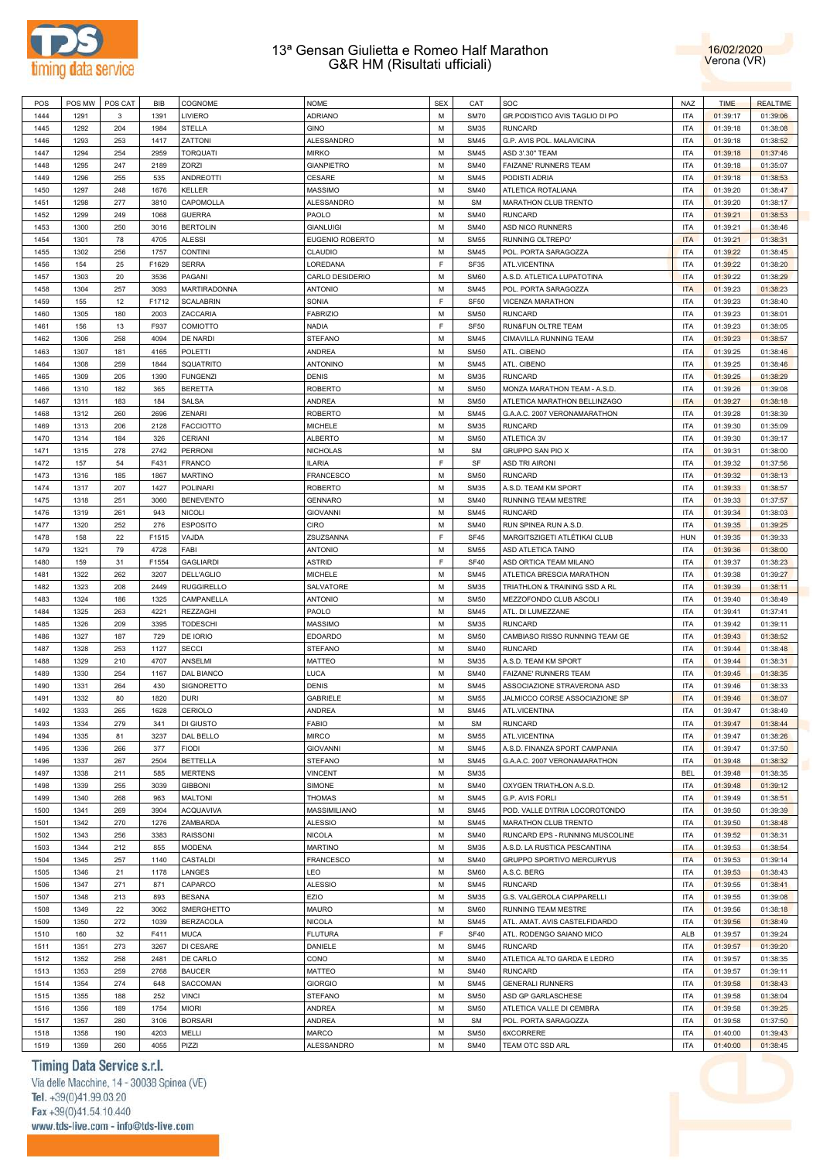



| POS          | POS MW       | POS CAT    | <b>BIB</b>   | COGNOME           | <b>NOME</b>                | <b>SEX</b>  | CAT                        | SOC                             | NAZ                      | <b>TIME</b>          | <b>REALTIME</b>      |
|--------------|--------------|------------|--------------|-------------------|----------------------------|-------------|----------------------------|---------------------------------|--------------------------|----------------------|----------------------|
| 1444         | 1291         | 3          | 1391         | LIVIERO           | ADRIANO                    | M           | <b>SM70</b>                | GR.PODISTICO AVIS TAGLIO DI PO  | <b>ITA</b>               | 01:39:17             | 01:39:06             |
| 1445         | 1292         | 204        | 1984         | <b>STELLA</b>     | <b>GINO</b>                | M           | <b>SM35</b>                | <b>RUNCARD</b>                  | <b>ITA</b>               | 01:39:18             | 01:38:08             |
| 1446         | 1293         | 253        | 1417         | ZATTONI           | ALESSANDRO                 | M           | <b>SM45</b>                | G.P. AVIS POL. MALAVICINA       | <b>ITA</b>               | 01:39:18             | 01:38:52             |
| 1447         | 1294         | 254        | 2959         | <b>TORQUATI</b>   | <b>MIRKO</b>               | M           | <b>SM45</b>                | ASD 3'.30" TEAM                 | <b>ITA</b>               | 01:39:18             | 01:37:46             |
| 1448         | 1295         | 247        | 2189         | ZORZI             | <b>GIANPIETRO</b>          | M           | <b>SM40</b>                | FAIZANE' RUNNERS TEAM           | <b>ITA</b>               | 01:39:18             | 01:35:07             |
|              |              |            |              |                   |                            | M           |                            |                                 | <b>ITA</b>               |                      |                      |
| 1449         | 1296         | 255        | 535          | <b>ANDREOTTI</b>  | CESARE                     |             | <b>SM45</b>                | PODISTI ADRIA                   |                          | 01:39:18             | 01:38:53             |
| 1450         | 1297         | 248        | 1676         | <b>KELLER</b>     | <b>MASSIMO</b>             | M           | <b>SM40</b>                | ATLETICA ROTALIANA              | <b>ITA</b>               | 01:39:20             | 01:38:47             |
| 1451         | 1298         | 277        | 3810         | CAPOMOLLA         | ALESSANDRO                 | M           | <b>SM</b>                  | MARATHON CLUB TRENTO            | <b>ITA</b>               | 01:39:20             | 01:38:17             |
| 1452         | 1299         | 249        | 1068         | <b>GUERRA</b>     | PAOLO                      | M           | <b>SM40</b>                | <b>RUNCARD</b>                  | <b>ITA</b>               | 01:39:21             | 01:38:53             |
| 1453         | 1300         | 250        | 3016         | <b>BERTOLIN</b>   | <b>GIANLUIGI</b>           | M           | <b>SM40</b>                | ASD NICO RUNNERS                | <b>ITA</b>               | 01:39:21             | 01:38:46             |
| 1454         | 1301         | 78         | 4705         | <b>ALESSI</b>     | <b>EUGENIO ROBERTO</b>     | M           | <b>SM55</b>                | RUNNING OLTREPO'                | <b>ITA</b>               | 01:39:21             | 01:38:31             |
| 1455         | 1302         | 256        | 1757         | <b>CONTINI</b>    | CLAUDIO                    | M           | <b>SM45</b>                | POL. PORTA SARAGOZZA            | <b>ITA</b>               | 01:39:22             | 01:38:45             |
| 1456         | 154          | 25         | F1629        | <b>SERRA</b>      | LOREDANA                   | E           | SF35                       | ATL.VICENTINA                   | <b>ITA</b>               | 01:39:22             | 01:38:20             |
| 1457         | 1303         | 20         | 3536         | PAGANI            | CARLO DESIDERIO            | M           | <b>SM60</b>                | A.S.D. ATLETICA LUPATOTINA      | <b>ITA</b>               | 01:39:22             | 01:38:29             |
| 1458         | 1304         | 257        | 3093         | MARTIRADONNA      | <b>ANTONIO</b>             | M           | <b>SM45</b>                | POL. PORTA SARAGOZZA            | <b>ITA</b>               | 01:39:23             | 01:38:23             |
| 1459         | 155          | 12         | F1712        | <b>SCALABRIN</b>  | SONIA                      | E           | SF <sub>50</sub>           | VICENZA MARATHON                | <b>ITA</b>               | 01:39:23             | 01:38:40             |
| 1460         | 1305         | 180        | 2003         | ZACCARIA          | <b>FABRIZIO</b>            | M           | <b>SM50</b>                | <b>RUNCARD</b>                  | <b>ITA</b>               | 01:39:23             | 01:38:01             |
|              |              |            |              |                   |                            | E           |                            |                                 | <b>ITA</b>               |                      |                      |
| 1461         | 156          | 13         | F937         | COMIOTTO          | <b>NADIA</b>               |             | SF <sub>50</sub>           | RUN&FUN OLTRE TEAM              |                          | 01:39:23             | 01:38:05             |
| 1462         | 1306         | 258        | 4094         | DE NARDI          | <b>STEFANO</b>             | M           | <b>SM45</b>                | CIMAVILLA RUNNING TEAM          | <b>ITA</b>               | 01:39:23             | 01:38:57             |
| 1463         | 1307         | 181        | 4165         | POLETTI           | <b>ANDREA</b>              | M           | <b>SM50</b>                | ATL. CIBENO                     | <b>ITA</b>               | 01:39:25             | 01:38:46             |
| 1464         | 1308         | 259        | 1844         | SQUATRITO         | <b>ANTONINO</b>            | M           | <b>SM45</b>                | ATL. CIBENO                     | <b>ITA</b>               | 01:39:25             | 01:38:46             |
| 1465         | 1309         | 205        | 1390         | <b>FUNGENZI</b>   | <b>DENIS</b>               | M           | <b>SM35</b>                | <b>RUNCARD</b>                  | <b>ITA</b>               | 01:39:25             | 01:38:29             |
| 1466         | 1310         | 182        | 365          | <b>BERETTA</b>    | <b>ROBERTO</b>             | M           | <b>SM50</b>                | MONZA MARATHON TEAM - A.S.D.    | <b>ITA</b>               | 01:39:26             | 01:39:08             |
| 1467         | 1311         | 183        | 184          | <b>SALSA</b>      | <b>ANDREA</b>              | M           | <b>SM50</b>                | ATLETICA MARATHON BELLINZAGO    | <b>ITA</b>               | 01:39:27             | 01:38:18             |
| 1468         | 1312         | 260        | 2696         | ZENARI            | <b>ROBERTO</b>             | M           | <b>SM45</b>                | G.A.A.C. 2007 VERONAMARATHON    | <b>ITA</b>               | 01:39:28             | 01:38:39             |
| 1469         | 1313         | 206        | 2128         | <b>FACCIOTTO</b>  | <b>MICHELE</b>             | M           | <b>SM35</b>                | <b>RUNCARD</b>                  | <b>ITA</b>               | 01:39:30             | 01:35:09             |
| 1470         | 1314         | 184        | 326          | <b>CERIANI</b>    | <b>ALBERTO</b>             | M           | <b>SM50</b>                | ATLETICA 3V                     | <b>ITA</b>               | 01:39:30             | 01:39:17             |
| 1471         | 1315         | 278        | 2742         | <b>PERRONI</b>    | <b>NICHOLAS</b>            | M           | <b>SM</b>                  | GRUPPO SAN PIO X                | <b>ITA</b>               | 01:39:31             | 01:38:00             |
|              |              |            |              | <b>FRANCO</b>     | <b>ILARIA</b>              | F           |                            | <b>ASD TRI AIRONI</b>           |                          |                      |                      |
| 1472         | 157          | 54         | F431         |                   |                            |             | SF                         |                                 | <b>ITA</b>               | 01:39:32             | 01:37:56             |
| 1473         | 1316         | 185        | 1867         | <b>MARTINO</b>    | <b>FRANCESCO</b>           | M           | <b>SM50</b>                | <b>RUNCARD</b>                  | <b>ITA</b>               | 01:39:32             | 01:38:13             |
| 1474         | 1317         | 207        | 1427         | <b>POLINARI</b>   | <b>ROBERTO</b>             | M           | <b>SM35</b>                | A.S.D. TEAM KM SPORT            | <b>ITA</b>               | 01:39:33             | 01:38:57             |
| 1475         | 1318         | 251        | 3060         | <b>BENEVENTO</b>  | <b>GENNARO</b>             | M           | <b>SM40</b>                | RUNNING TEAM MESTRE             | <b>ITA</b>               | 01:39:33             | 01:37:57             |
| 1476         | 1319         | 261        | 943          | <b>NICOLI</b>     | <b>GIOVANNI</b>            | M           | <b>SM45</b>                | <b>RUNCARD</b>                  | <b>ITA</b>               | 01:39:34             | 01:38:03             |
| 1477         | 1320         | 252        | 276          | <b>ESPOSITO</b>   | <b>CIRO</b>                | M           | <b>SM40</b>                | RUN SPINEA RUN A.S.D.           | <b>ITA</b>               | 01:39:35             | 01:39:25             |
| 1478         | 158          | 22         | F1515        | VAJDA             | ZSUZSANNA                  | E           | <b>SF45</b>                | MARGITSZIGETI ATLÉTIKAI CLUB    | HUN                      | 01:39:35             | 01:39:33             |
| 1479         | 1321         | 79         | 4728         | FABI              | <b>ANTONIO</b>             | M           | <b>SM55</b>                | ASD ATLETICA TAINO              | <b>ITA</b>               | 01:39:36             | 01:38:00             |
| 1480         | 159          | 31         | F1554        | <b>GAGLIARDI</b>  | <b>ASTRID</b>              | $\mathsf F$ | <b>SF40</b>                | ASD ORTICA TEAM MILANO          | <b>ITA</b>               | 01:39:37             | 01:38:23             |
| 1481         | 1322         | 262        | 3207         | DELL'AGLIO        | <b>MICHELE</b>             | M           | <b>SM45</b>                | ATLETICA BRESCIA MARATHON       | <b>ITA</b>               | 01:39:38             | 01:39:27             |
| 1482         | 1323         | 208        | 2449         | <b>RUGGIRELLO</b> | SALVATORE                  | M           | <b>SM35</b>                | TRIATHLON & TRAINING SSD A RL   | <b>ITA</b>               | 01:39:39             | 01:38:11             |
| 1483         | 1324         | 186        | 1325         | CAMPANELLA        | <b>ANTONIO</b>             | M           | <b>SM50</b>                | MEZZOFONDO CLUB ASCOLI          | <b>ITA</b>               | 01:39:40             | 01:38:49             |
|              |              |            |              |                   |                            | M           |                            |                                 |                          |                      |                      |
| 1484         | 1325         | 263        | 4221         | <b>REZZAGHI</b>   | PAOLO                      |             | <b>SM45</b>                | ATL. DI LUMEZZANE               | <b>ITA</b>               | 01:39:41             | 01:37:41             |
| 1485         | 1326         | 209        | 3395         | <b>TODESCHI</b>   | <b>MASSIMO</b>             | M           | <b>SM35</b>                | <b>RUNCARD</b>                  | <b>ITA</b>               | 01:39:42             | 01:39:11             |
| 1486         | 1327         | 187        | 729          | DE IORIO          | <b>EDOARDO</b>             | M           | <b>SM50</b>                | CAMBIASO RISSO RUNNING TEAM GE  | <b>ITA</b>               | 01:39:43             | 01:38:52             |
| 1487         | 1328         | 253        | 1127         | <b>SECCI</b>      | <b>STEFANO</b>             | M           |                            | <b>RUNCARD</b>                  |                          | 01:39:44             | 01:38:48             |
| 1488         |              |            |              |                   |                            |             | <b>SM40</b>                |                                 | <b>ITA</b>               |                      |                      |
| 1489         | 1329         | 210        | 4707         | ANSELMI           | MATTEO                     | M           | <b>SM35</b>                | A.S.D. TEAM KM SPORT            | <b>ITA</b>               | 01:39:44             | 01:38:31             |
|              | 1330         | 254        | 1167         | <b>DAL BIANCO</b> | LUCA                       | M           | <b>SM40</b>                | FAIZANE' RUNNERS TEAM           | <b>ITA</b>               | 01:39:45             | 01:38:35             |
| 1490         | 1331         | 264        | 430          | <b>SIGNORETTO</b> | <b>DENIS</b>               | M           | <b>SM45</b>                | ASSOCIAZIONE STRAVERONA ASD     | <b>ITA</b>               | 01:39:46             | 01:38:33             |
| 1491         | 1332         | 80         | 1820         | <b>DURI</b>       | <b>GABRIELE</b>            | M           | <b>SM55</b>                | JALMICCO CORSE ASSOCIAZIONE SP  | <b>ITA</b>               | 01:39:46             | 01:38:07             |
| 1492         | 1333         | 265        | 1628         | CERIOLO           | <b>ANDREA</b>              | M           | <b>SM45</b>                | ATL.VICENTINA                   | <b>ITA</b>               | 01:39:47             | 01:38:49             |
|              |              |            |              |                   |                            |             |                            |                                 |                          |                      |                      |
| 1493         | 1334         | 279        | 341          | DI GIUSTO         | <b>FABIO</b>               | М           | <b>SM</b>                  | <b>RUNCARD</b>                  | <b>ITA</b>               | 01:39:47             | 01:38:44             |
| 1494         | 1335         | 81         | 3237         | DAL BELLO         | <b>MIRCO</b>               | M           | <b>SM55</b>                | ATL.VICENTINA                   | <b>ITA</b>               | 01:39:47             | 01:38:26             |
| 1495         | 1336         | 266        | 377          | <b>FIODI</b>      | <b>GIOVANNI</b>            | M           | <b>SM45</b>                | A.S.D. FINANZA SPORT CAMPANIA   | <b>ITA</b>               | 01:39:47             | 01:37:50             |
| 1496         | 1337         | 267        | 2504         | <b>BETTELLA</b>   | <b>STEFANO</b>             | M           | <b>SM45</b>                | G.A.A.C. 2007 VERONAMARATHON    | <b>ITA</b>               | 01:39:48             | 01:38:32             |
| 1497         | 1338         | 211        | 585          | <b>MERTENS</b>    | <b>VINCENT</b>             | M           | <b>SM35</b>                |                                 | <b>BEL</b>               | 01:39:48             | 01:38:35             |
| 1498         | 1339         | 255        | 3039         | <b>GIBBONI</b>    | SIMONE                     | M           | <b>SM40</b>                | OXYGEN TRIATHLON A.S.D.         | <b>ITA</b>               | 01:39:48             | 01:39:12             |
| 1499         | 1340         | 268        | 963          | <b>MALTONI</b>    | <b>THOMAS</b>              | M           | <b>SM45</b>                | G.P. AVIS FORLI                 | <b>ITA</b>               | 01:39:49             | 01:38:51             |
| 1500         | 1341         | 269        | 3904         | <b>ACQUAVIVA</b>  | MASSIMILIANO               | M           | <b>SM45</b>                | POD. VALLE D'ITRIA LOCOROTONDO  | <b>ITA</b>               | 01:39:50             | 01:39:39             |
| 1501         | 1342         | 270        | 1276         | ZAMBARDA          | <b>ALESSIO</b>             | M           | <b>SM45</b>                | MARATHON CLUB TRENTO            | <b>ITA</b>               | 01:39:50             | 01:38:48             |
| 1502         | 1343         | 256        | 3383         | <b>RAISSONI</b>   | <b>NICOLA</b>              | M           | <b>SM40</b>                | RUNCARD EPS - RUNNING MUSCOLINE | <b>ITA</b>               | 01:39:52             | 01:38:31             |
| 1503         | 1344         | 212        | 855          | <b>MODENA</b>     | <b>MARTINO</b>             | M           | <b>SM35</b>                | A.S.D. LA RUSTICA PESCANTINA    | <b>ITA</b>               | 01:39:53             | 01:38:54             |
| 1504         | 1345         |            |              |                   |                            | M           | <b>SM40</b>                |                                 | <b>ITA</b>               |                      |                      |
|              |              | 257        | 1140         | CASTALDI          | <b>FRANCESCO</b>           |             |                            | GRUPPO SPORTIVO MERCURYUS       |                          | 01:39:53             | 01:39:14             |
| 1505         | 1346         | 21         | 1178         | LANGES            | LEO                        | M           | <b>SM60</b>                | A.S.C. BERG                     | <b>ITA</b>               | 01:39:53             | 01:38:43             |
| 1506         | 1347         | 271        | 871          | CAPARCO           | <b>ALESSIO</b>             | M           | <b>SM45</b>                | <b>RUNCARD</b>                  | <b>ITA</b>               | 01:39:55             | 01:38:41             |
| 1507         | 1348         | 213        | 893          | <b>BESANA</b>     | EZIO                       | M           | <b>SM35</b>                | G.S. VALGEROLA CIAPPARELLI      | <b>ITA</b>               | 01:39:55             | 01:39:08             |
| 1508         | 1349         | 22         | 3062         | SMERGHETTO        | MAURO                      | M           | <b>SM60</b>                | RUNNING TEAM MESTRE             | <b>ITA</b>               | 01:39:56             | 01:38:18             |
| 1509         | 1350         | 272        | 1039         | <b>BERZACOLA</b>  | <b>NICOLA</b>              | M           | <b>SM45</b>                | ATL. AMAT. AVIS CASTELFIDARDO   | <b>ITA</b>               | 01:39:56             | 01:38:49             |
| 1510         | 160          | 32         | F411         | <b>MUCA</b>       | <b>FLUTURA</b>             | F           | <b>SF40</b>                | ATL. RODENGO SAIANO MICO        | ALB                      | 01:39:57             | 01:39:24             |
| 1511         | 1351         | 273        | 3267         | DI CESARE         | <b>DANIELE</b>             | M           | <b>SM45</b>                | <b>RUNCARD</b>                  | <b>ITA</b>               | 01:39:57             | 01:39:20             |
| 1512         | 1352         | 258        | 2481         | DE CARLO          | CONO                       | M           | <b>SM40</b>                | ATLETICA ALTO GARDA E LEDRO     | <b>ITA</b>               | 01:39:57             | 01:38:35             |
| 1513         | 1353         | 259        | 2768         | <b>BAUCER</b>     | <b>MATTEO</b>              | M           | <b>SM40</b>                | <b>RUNCARD</b>                  | <b>ITA</b>               | 01:39:57             | 01:39:11             |
| 1514         | 1354         | 274        | 648          | SACCOMAN          | <b>GIORGIO</b>             | M           | <b>SM45</b>                | <b>GENERALI RUNNERS</b>         | <b>ITA</b>               | 01:39:58             | 01:38:43             |
|              |              |            |              |                   |                            |             |                            |                                 |                          |                      |                      |
| 1515         | 1355         | 188        | 252          | <b>VINCI</b>      | <b>STEFANO</b>             | M           | <b>SM50</b>                | ASD GP GARLASCHESE              | <b>ITA</b>               | 01:39:58             | 01:38:04             |
| 1516         | 1356         | 189        | 1754         | <b>MIORI</b>      | ANDREA                     | M           | <b>SM50</b>                | ATLETICA VALLE DI CEMBRA        | <b>ITA</b>               | 01:39:58             | 01:39:25             |
| 1517         | 1357         | 280        | 3106         | <b>BORSARI</b>    | <b>ANDREA</b>              | M           | <b>SM</b>                  | POL. PORTA SARAGOZZA            | <b>ITA</b>               | 01:39:58             | 01:37:50             |
| 1518<br>1519 | 1358<br>1359 | 190<br>260 | 4203<br>4055 | MELLI<br>PIZZI    | <b>MARCO</b><br>ALESSANDRO | M<br>M      | <b>SM50</b><br><b>SM40</b> | 6XCORRERE<br>TEAM OTC SSD ARL   | <b>ITA</b><br><b>ITA</b> | 01:40:00<br>01:40:00 | 01:39:43<br>01:38:45 |

# Timing Data Service s.r.l.

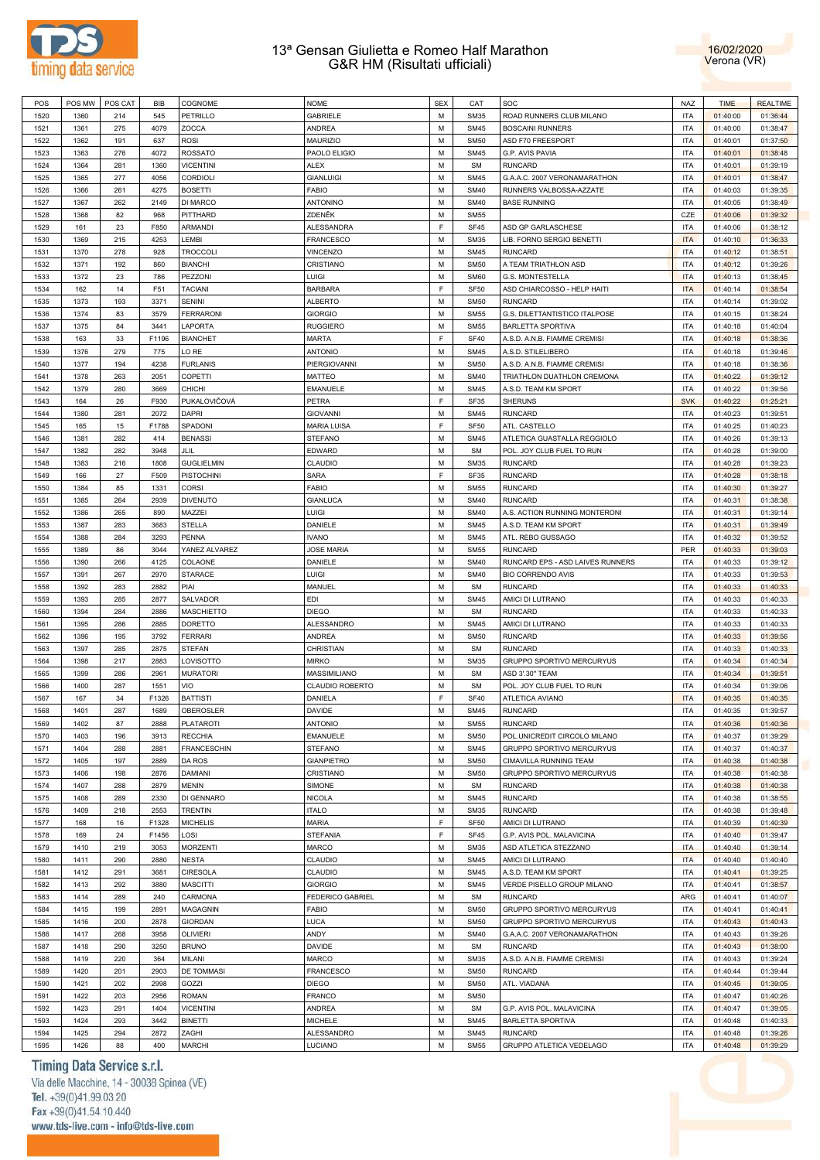



|      | POS MW | POS CAT | BIB   | COGNOME            | <b>NOME</b>             | <b>SEX</b> | CAT              | SOC                              | <b>NAZ</b> | <b>TIME</b> | <b>REALTIME</b> |
|------|--------|---------|-------|--------------------|-------------------------|------------|------------------|----------------------------------|------------|-------------|-----------------|
| 1520 | 1360   | 214     | 545   | PETRILLO           | <b>GABRIELE</b>         | M          | <b>SM35</b>      | ROAD RUNNERS CLUB MILANO         | <b>ITA</b> | 01:40:00    | 01:36:44        |
| 1521 | 1361   | 275     | 4079  | ZOCCA              | ANDREA                  | M          | <b>SM45</b>      | <b>BOSCAINI RUNNERS</b>          | <b>ITA</b> | 01:40:00    | 01:38:47        |
| 1522 | 1362   | 191     | 637   | <b>ROSI</b>        | <b>MAURIZIO</b>         | M          | <b>SM50</b>      | ASD F70 FREESPORT                | <b>ITA</b> | 01:40:01    | 01:37:50        |
|      |        |         |       |                    |                         | M          |                  |                                  | <b>ITA</b> |             |                 |
| 1523 | 1363   | 276     | 4072  | <b>ROSSATO</b>     | PAOLO ELIGIO            |            | <b>SM45</b>      | G.P. AVIS PAVIA                  |            | 01:40:01    | 01:38:48        |
| 1524 | 1364   | 281     | 1360  | <b>VICENTINI</b>   | <b>ALEX</b>             | M          | <b>SM</b>        | <b>RUNCARD</b>                   | <b>ITA</b> | 01:40:01    | 01:39:19        |
| 1525 | 1365   | 277     | 4056  | CORDIOLI           | <b>GIANLUIGI</b>        | M          | <b>SM45</b>      | G.A.A.C. 2007 VERONAMARATHON     | <b>ITA</b> | 01:40:01    | 01:38:47        |
| 1526 | 1366   | 261     | 4275  | <b>BOSETTI</b>     | <b>FABIO</b>            | M          | <b>SM40</b>      | RUNNERS VALBOSSA-AZZATE          | <b>ITA</b> | 01:40:03    | 01:39:35        |
| 1527 | 1367   | 262     | 2149  | DI MARCO           | <b>ANTONINO</b>         | M          | <b>SM40</b>      | <b>BASE RUNNING</b>              | <b>ITA</b> | 01:40:05    | 01:38:49        |
| 1528 | 1368   | 82      | 968   | PITTHARD           | ZDENĚK                  | M          | <b>SM55</b>      |                                  | CZE        | 01:40:06    | 01:39:32        |
| 1529 | 161    | 23      | F850  | <b>ARMANDI</b>     | ALESSANDRA              | E          | SF45             | ASD GP GARLASCHESE               | <b>ITA</b> | 01:40:06    | 01:38:12        |
| 1530 | 1369   | 215     | 4253  | LEMBI              | <b>FRANCESCO</b>        | M          | <b>SM35</b>      | LIB. FORNO SERGIO BENETTI        | <b>ITA</b> | 01:40:10    | 01:36:33        |
| 1531 | 1370   | 278     | 928   | <b>TROCCOLI</b>    | <b>VINCENZO</b>         | M          | <b>SM45</b>      | <b>RUNCARD</b>                   | <b>ITA</b> | 01:40:12    | 01:38:51        |
| 1532 | 1371   | 192     | 860   | <b>BIANCHI</b>     | CRISTIANO               | M          | <b>SM50</b>      | A TEAM TRIATHLON ASD             | <b>ITA</b> | 01:40:12    | 01:39:26        |
|      |        |         |       |                    |                         |            |                  |                                  |            |             |                 |
| 1533 | 1372   | 23      | 786   | PEZZONI            | Luigi                   | M          | <b>SM60</b>      | G.S. MONTESTELLA                 | <b>ITA</b> | 01:40:13    | 01:38:45        |
| 1534 | 162    | 14      | F51   | <b>TACIANI</b>     | <b>BARBARA</b>          | E          | SF <sub>50</sub> | ASD CHIARCOSSO - HELP HAITI      | <b>ITA</b> | 01:40:14    | 01:38:54        |
| 1535 | 1373   | 193     | 3371  | <b>SENINI</b>      | <b>ALBERTO</b>          | M          | <b>SM50</b>      | <b>RUNCARD</b>                   | <b>ITA</b> | 01:40:14    | 01:39:02        |
| 1536 | 1374   | 83      | 3579  | <b>FERRARONI</b>   | <b>GIORGIO</b>          | M          | <b>SM55</b>      | G.S. DILETTANTISTICO ITALPOSE    | <b>ITA</b> | 01:40:15    | 01:38:24        |
| 1537 | 1375   | 84      | 3441  | LAPORTA            | <b>RUGGIERO</b>         | M          | <b>SM55</b>      | BARLETTA SPORTIVA                | <b>ITA</b> | 01:40:18    | 01:40:04        |
| 1538 | 163    | 33      | F1196 | <b>BIANCHET</b>    | <b>MARTA</b>            | E          | <b>SF40</b>      | A.S.D. A.N.B. FIAMME CREMISI     | <b>ITA</b> | 01:40:18    | 01:38:36        |
| 1539 | 1376   | 279     | 775   | LO RE              | <b>ANTONIO</b>          | M          | <b>SM45</b>      | A.S.D. STILELIBERO               | <b>ITA</b> | 01:40:18    | 01:39:46        |
| 1540 | 1377   | 194     | 4238  | <b>FURLANIS</b>    | PIERGIOVANNI            | M          | <b>SM50</b>      | A.S.D. A.N.B. FIAMME CREMISI     | <b>ITA</b> | 01:40:18    | 01:38:36        |
| 1541 | 1378   |         |       |                    | <b>MATTEO</b>           | M          | <b>SM40</b>      | TRIATHLON DUATHLON CREMONA       | <b>ITA</b> |             |                 |
|      |        | 263     | 2051  | COPETTI            |                         |            |                  |                                  |            | 01:40:22    | 01:39:12        |
| 1542 | 1379   | 280     | 3669  | CHICHI             | <b>EMANUELE</b>         | M          | <b>SM45</b>      | A.S.D. TEAM KM SPORT             | <b>ITA</b> | 01:40:22    | 01:39:56        |
| 1543 | 164    | 26      | F930  | PUKALOVIČOVÁ       | PETRA                   | E          | SF35             | SHERUNS                          | <b>SVK</b> | 01:40:22    | 01:25:21        |
| 1544 | 1380   | 281     | 2072  | <b>DAPRI</b>       | <b>GIOVANNI</b>         | M          | <b>SM45</b>      | <b>RUNCARD</b>                   | <b>ITA</b> | 01:40:23    | 01:39:51        |
| 1545 | 165    | 15      | F1788 | SPADONI            | MARIA LUISA             | E          | SF <sub>50</sub> | ATL. CASTELLO                    | <b>ITA</b> | 01:40:25    | 01:40:23        |
| 1546 | 1381   | 282     | 414   | <b>BENASSI</b>     | <b>STEFANO</b>          | M          | <b>SM45</b>      | ATLETICA GUASTALLA REGGIOLO      | <b>ITA</b> | 01:40:26    | 01:39:13        |
| 1547 | 1382   | 282     | 3948  | JLIL               | EDWARD                  | M          | <b>SM</b>        | POL. JOY CLUB FUEL TO RUN        | <b>ITA</b> | 01:40:28    | 01:39:00        |
| 1548 | 1383   | 216     | 1808  | <b>GUGLIELMIN</b>  | CLAUDIO                 | M          | <b>SM35</b>      | <b>RUNCARD</b>                   | <b>ITA</b> | 01:40:28    | 01:39:23        |
| 1549 | 166    | 27      | F509  | <b>PISTOCHINI</b>  | SARA                    | E          | SF35             | <b>RUNCARD</b>                   | <b>ITA</b> | 01:40:28    | 01:38:18        |
| 1550 | 1384   | 85      | 1331  | <b>CORSI</b>       | <b>FABIO</b>            | M          | <b>SM55</b>      | <b>RUNCARD</b>                   | <b>ITA</b> | 01:40:30    | 01:39:27        |
|      |        |         |       |                    |                         |            |                  |                                  |            |             |                 |
| 1551 | 1385   | 264     | 2939  | <b>DIVENUTO</b>    | <b>GIANLUCA</b>         | M          | <b>SM40</b>      | <b>RUNCARD</b>                   | <b>ITA</b> | 01:40:31    | 01:38:38        |
| 1552 | 1386   | 265     | 890   | MAZZEI             | LUIGI                   | M          | <b>SM40</b>      | A.S. ACTION RUNNING MONTERONI    | <b>ITA</b> | 01:40:31    | 01:39:14        |
| 1553 | 1387   | 283     | 3683  | <b>STELLA</b>      | DANIELE                 | M          | <b>SM45</b>      | A.S.D. TEAM KM SPORT             | <b>ITA</b> | 01:40:31    | 01:39:49        |
| 1554 | 1388   | 284     | 3293  | <b>PENNA</b>       | <b>IVANO</b>            | M          | <b>SM45</b>      | ATL. REBO GUSSAGO                | <b>ITA</b> | 01:40:32    | 01:39:52        |
| 1555 | 1389   | 86      | 3044  | YANEZ ALVAREZ      | <b>JOSE MARIA</b>       | M          | <b>SM55</b>      | <b>RUNCARD</b>                   | PER        | 01:40:33    | 01:39:03        |
| 1556 | 1390   | 266     | 4125  | COLAONE            | DANIELE                 | M          | <b>SM40</b>      | RUNCARD EPS - ASD LAIVES RUNNERS | <b>ITA</b> | 01:40:33    | 01:39:12        |
| 1557 | 1391   | 267     | 2970  | <b>STARACE</b>     | Luigi                   | M          | <b>SM40</b>      | <b>BIO CORRENDO AVIS</b>         | <b>ITA</b> | 01:40:33    | 01:39:53        |
| 1558 | 1392   | 283     | 2882  | PIAI               | MANUEL                  | M          | <b>SM</b>        | <b>RUNCARD</b>                   | <b>ITA</b> | 01:40:33    | 01:40:33        |
| 1559 | 1393   | 285     | 2877  | SALVADOR           | <b>EDI</b>              | M          | <b>SM45</b>      | AMICI DI LUTRANO                 | <b>ITA</b> | 01:40:33    | 01:40:33        |
|      |        | 284     | 2886  | <b>MASCHIETTO</b>  | <b>DIEGO</b>            | M          | <b>SM</b>        | <b>RUNCARD</b>                   | <b>ITA</b> |             |                 |
| 1560 | 1394   |         |       |                    |                         |            |                  |                                  |            | 01:40:33    | 01:40:33        |
| 1561 | 1395   | 286     | 2885  | <b>DORETTO</b>     | ALESSANDRO              | M          | <b>SM45</b>      | AMICI DI LUTRANO                 | <b>ITA</b> | 01:40:33    | 01:40:33        |
| 1562 | 1396   | 195     | 3792  | <b>FERRARI</b>     | <b>ANDREA</b>           | M          | <b>SM50</b>      | <b>RUNCARD</b>                   | <b>ITA</b> | 01:40:33    | 01:39:56        |
| 1563 | 1397   | 285     |       | <b>STEFAN</b>      | CHRISTIAN               |            |                  |                                  |            |             |                 |
|      |        |         | 2875  |                    |                         | M          | <b>SM</b>        | <b>RUNCARD</b>                   | <b>ITA</b> | 01:40:33    | 01:40:33        |
| 1564 | 1398   | 217     | 2883  | LOVISOTTO          | <b>MIRKO</b>            | M          | <b>SM35</b>      | GRUPPO SPORTIVO MERCURYUS        | <b>ITA</b> | 01:40:34    | 01:40:34        |
| 1565 | 1399   | 286     | 2961  | <b>MURATORI</b>    | MASSIMILIANO            | M          | <b>SM</b>        | ASD 3'.30" TEAM                  | <b>ITA</b> | 01:40:34    | 01:39:51        |
| 1566 | 1400   | 287     | 1551  | VIO                | CLAUDIO ROBERTO         | M          | <b>SM</b>        | POL. JOY CLUB FUEL TO RUN        | <b>ITA</b> | 01:40:34    | 01:39:06        |
|      |        |         |       |                    |                         |            |                  |                                  |            |             |                 |
| 1567 | 167    | 34      | F1326 | <b>BATTISTI</b>    | DANIELA                 | E          | <b>SF40</b>      | ATLETICA AVIANO                  | <b>ITA</b> | 01:40:35    | 01:40:35        |
| 1568 | 1401   | 287     | 1689  | <b>OBEROSLER</b>   | <b>DAVIDE</b>           | M          | <b>SM45</b>      | <b>RUNCARD</b>                   | <b>ITA</b> | 01:40:35    | 01:39:57        |
| 1569 | 1402   | 87      | 2888  | <b>PLATAROTI</b>   | <b>ANTONIO</b>          | М          | <b>SM55</b>      | <b>RUNCARD</b>                   | <b>ITA</b> | 01:40:36    | 01:40:36        |
| 1570 | 1403   | 196     | 3913  | <b>RECCHIA</b>     | EMANUELE                | M          | <b>SM50</b>      | POL.UNICREDIT CIRCOLO MILANO     | <b>ITA</b> | 01:40:37    | 01:39:29        |
| 1571 | 1404   | 288     | 2881  | <b>FRANCESCHIN</b> | <b>STEFANO</b>          | M          | <b>SM45</b>      | GRUPPO SPORTIVO MERCURYUS        | <b>ITA</b> | 01:40:37    | 01:40:37        |
| 1572 | 1405   | 197     | 2889  | <b>DA ROS</b>      | <b>GIANPIETRO</b>       | M          | <b>SM50</b>      | <b>CIMAVILLA RUNNING TEAM</b>    | <b>ITA</b> | 01:40:38    | 01:40:38        |
| 1573 | 1406   | 198     | 2876  | <b>DAMIANI</b>     | CRISTIANO               | M          | <b>SM50</b>      | GRUPPO SPORTIVO MERCURYUS        | <b>ITA</b> | 01:40:38    | 01:40:38        |
| 1574 | 1407   | 288     | 2879  | <b>MENIN</b>       | SIMONE                  | M          | <b>SM</b>        | <b>RUNCARD</b>                   | <b>ITA</b> | 01:40:38    | 01:40:38        |
| 1575 | 1408   | 289     | 2330  | DI GENNARO         | <b>NICOLA</b>           | M          | <b>SM45</b>      | <b>RUNCARD</b>                   | <b>ITA</b> | 01:40:38    | 01:38:55        |
| 1576 | 1409   | 218     | 2553  | <b>TRENTIN</b>     | <b>ITALO</b>            | M          | <b>SM35</b>      | <b>RUNCARD</b>                   | <b>ITA</b> | 01:40:38    | 01:39:48        |
|      |        |         |       |                    |                         |            |                  |                                  |            |             |                 |
| 1577 | 168    | 16      | F1328 | <b>MICHELIS</b>    | <b>MARIA</b>            | F          | <b>SF50</b>      | AMICI DI LUTRANO                 | <b>ITA</b> | 01:40:39    | 01:40:39        |
| 1578 | 169    | 24      | F1456 | LOSI               | <b>STEFANIA</b>         | F          | <b>SF45</b>      | G.P. AVIS POL. MALAVICINA        | <b>ITA</b> | 01:40:40    | 01:39:47        |
| 1579 | 1410   | 219     | 3053  | <b>MORZENTI</b>    | <b>MARCO</b>            | M          | <b>SM35</b>      | ASD ATLETICA STEZZANO            | <b>ITA</b> | 01:40:40    | 01:39:14        |
| 1580 | 1411   | 290     | 2880  | <b>NESTA</b>       | CLAUDIO                 | M          | <b>SM45</b>      | AMICI DI LUTRANO                 | <b>ITA</b> | 01:40:40    | 01:40:40        |
| 1581 | 1412   | 291     | 3681  | <b>CIRESOLA</b>    | CLAUDIO                 | M          | <b>SM45</b>      | A.S.D. TEAM KM SPORT             | <b>ITA</b> | 01:40:41    | 01:39:25        |
| 1582 | 1413   | 292     | 3880  | <b>MASCITTI</b>    | <b>GIORGIO</b>          | M          | <b>SM45</b>      | VERDE PISELLO GROUP MILANO       | <b>ITA</b> | 01:40:41    | 01:38:57        |
| 1583 | 1414   | 289     | 240   | CARMONA            | <b>FEDERICO GABRIEL</b> | M          | <b>SM</b>        | <b>RUNCARD</b>                   | ARG        | 01:40:41    | 01:40:07        |
| 1584 | 1415   | 199     | 2891  | <b>MAGAGNIN</b>    | <b>FABIO</b>            | M          | <b>SM50</b>      | GRUPPO SPORTIVO MERCURYUS        | <b>ITA</b> | 01:40:41    | 01:40:41        |
| 1585 | 1416   |         |       | <b>GIORDAN</b>     | <b>LUCA</b>             | M          | <b>SM50</b>      | GRUPPO SPORTIVO MERCURYUS        | <b>ITA</b> | 01:40:43    | 01:40:43        |
|      |        | 200     | 2878  |                    |                         |            |                  |                                  |            |             |                 |
| 1586 | 1417   | 268     | 3958  | <b>OLIVIERI</b>    | ANDY                    | M          | <b>SM40</b>      | G.A.A.C. 2007 VERONAMARATHON     | <b>ITA</b> | 01:40:43    | 01:39:26        |
| 1587 | 1418   | 290     | 3250  | <b>BRUNO</b>       | <b>DAVIDE</b>           | M          | <b>SM</b>        | <b>RUNCARD</b>                   | <b>ITA</b> | 01:40:43    | 01:38:00        |
| 1588 | 1419   | 220     | 364   | MILANI             | <b>MARCO</b>            | M          | <b>SM35</b>      | A.S.D. A.N.B. FIAMME CREMISI     | <b>ITA</b> | 01:40:43    | 01:39:24        |
| 1589 | 1420   | 201     | 2903  | <b>DE TOMMASI</b>  | <b>FRANCESCO</b>        | M          | <b>SM50</b>      | <b>RUNCARD</b>                   | <b>ITA</b> | 01:40:44    | 01:39:44        |
| 1590 | 1421   | 202     | 2998  | GOZZI              | <b>DIEGO</b>            | M          | <b>SM50</b>      | ATL. VIADANA                     | <b>ITA</b> | 01:40:45    | 01:39:05        |
| 1591 | 1422   | 203     | 2956  | <b>ROMAN</b>       | <b>FRANCO</b>           | M          | <b>SM50</b>      |                                  | <b>ITA</b> | 01:40:47    | 01:40:26        |
| 1592 | 1423   | 291     | 1404  | <b>VICENTINI</b>   | <b>ANDREA</b>           | M          | <b>SM</b>        | G.P. AVIS POL. MALAVICINA        | <b>ITA</b> | 01:40:47    | 01:39:05        |
| 1593 | 1424   | 293     | 3442  | <b>BINETTI</b>     | <b>MICHELE</b>          | M          | <b>SM45</b>      | BARLETTA SPORTIVA                | <b>ITA</b> | 01:40:48    | 01:40:33        |
| 1594 | 1425   | 294     | 2872  | ZAGHI              | ALESSANDRO              | M          | <b>SM45</b>      | <b>RUNCARD</b>                   | <b>ITA</b> | 01:40:48    | 01:39:26        |

# Timing Data Service s.r.l.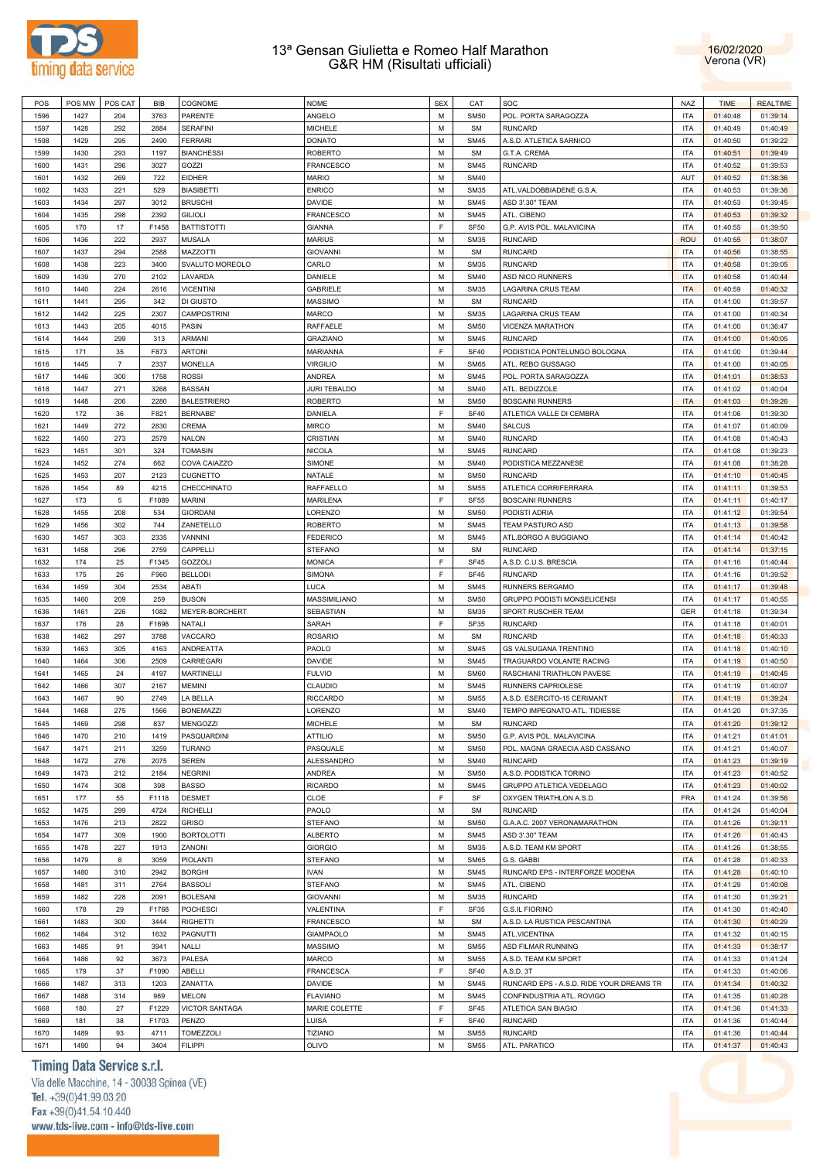



| POS  | POS MW | POS CAT        | <b>BIB</b> | COGNOME               | <b>NOME</b>         | <b>SEX</b> | CAT         | SOC                                      | NAZ        | <b>TIME</b> | <b>REALTIME</b> |
|------|--------|----------------|------------|-----------------------|---------------------|------------|-------------|------------------------------------------|------------|-------------|-----------------|
| 1596 | 1427   | 204            | 3763       | PARENTE               | ANGELO              | М          | <b>SM50</b> | POL. PORTA SARAGOZZA                     | ITA        | 01:40:48    | 01:39:14        |
| 1597 | 1428   | 292            | 2884       | <b>SERAFINI</b>       | <b>MICHELE</b>      | M          | <b>SM</b>   | <b>RUNCARD</b>                           | ITA        | 01:40:49    | 01:40:49        |
| 1598 | 1429   | 295            | 2490       | <b>FERRARI</b>        | <b>DONATO</b>       | М          | <b>SM45</b> | A.S.D. ATLETICA SARNICO                  | ITA        | 01:40:50    | 01:39:22        |
|      |        |                |            |                       |                     |            |             |                                          |            |             |                 |
| 1599 | 1430   | 293            | 1197       | <b>BIANCHESSI</b>     | <b>ROBERTO</b>      | M          | <b>SM</b>   | G.T.A. CREMA                             | ITA        | 01:40:51    | 01:39:49        |
| 1600 | 1431   | 296            | 3027       | GOZZI                 | <b>FRANCESCO</b>    | М          | <b>SM45</b> | <b>RUNCARD</b>                           | ITA        | 01:40:52    | 01:39:53        |
| 1601 | 1432   | 269            | 722        | <b>EIDHER</b>         | <b>MARIO</b>        | M          | <b>SM40</b> |                                          | AUT        | 01:40:52    | 01:38:36        |
| 1602 | 1433   | 221            | 529        | <b>BIASIBETTI</b>     | <b>ENRICO</b>       | М          | <b>SM35</b> | ATL.VALDOBBIADENE G.S.A                  | ITA        | 01:40:53    | 01:39:36        |
| 1603 | 1434   | 297            | 3012       | <b>BRUSCHI</b>        | DAVIDE              | M          | <b>SM45</b> | ASD 3'.30" TEAM                          | ITA        | 01:40:53    | 01:39:45        |
| 1604 | 1435   | 298            | 2392       | <b>GILIOLI</b>        | <b>FRANCESCO</b>    | М          | <b>SM45</b> | ATL. CIBENO                              | ITA        | 01:40:53    | 01:39:32        |
| 1605 | 170    | 17             | F1458      | <b>BATTISTOTTI</b>    | <b>GIANNA</b>       | E          | <b>SF50</b> | G.P. AVIS POL. MALAVICINA                | ITA        | 01:40:55    | 01:39:50        |
|      |        |                |            |                       |                     |            |             |                                          |            |             |                 |
| 1606 | 1436   | 222            | 2937       | <b>MUSALA</b>         | <b>MARIUS</b>       | М          | <b>SM35</b> | <b>RUNCARD</b>                           | <b>ROU</b> | 01:40:55    | 01:38:07        |
| 1607 | 1437   | 294            | 2588       | MAZZOTTI              | <b>GIOVANNI</b>     | M          | <b>SM</b>   | <b>RUNCARD</b>                           | <b>ITA</b> | 01:40:56    | 01:38:55        |
| 1608 | 1438   | 223            | 3400       | SVALUTO MOREOLO       | CARLO               | М          | <b>SM35</b> | <b>RUNCARD</b>                           | <b>ITA</b> | 01:40:58    | 01:39:05        |
| 1609 | 1439   | 270            | 2102       | LAVARDA               | DANIELE             | M          | <b>SM40</b> | ASD NICO RUNNERS                         | <b>ITA</b> | 01:40:58    | 01:40:44        |
| 1610 | 1440   | 224            | 2616       | <b>VICENTINI</b>      | <b>GABRIELE</b>     | М          | <b>SM35</b> | LAGARINA CRUS TEAM                       | <b>ITA</b> | 01:40:59    | 01:40:32        |
| 1611 | 1441   | 295            | 342        | DI GIUSTO             | <b>MASSIMO</b>      | M          | SM          | <b>RUNCARD</b>                           | ITA        | 01:41:00    | 01:39:57        |
| 1612 | 1442   | 225            | 2307       | <b>CAMPOSTRINI</b>    | <b>MARCO</b>        | М          | <b>SM35</b> | LAGARINA CRUS TEAM                       | ITA        | 01:41:00    | 01:40:34        |
| 1613 | 1443   | 205            | 4015       | PASIN                 | RAFFAELE            | M          | <b>SM50</b> | VICENZA MARATHON                         | ITA        | 01:41:00    |                 |
|      |        |                |            |                       |                     |            |             |                                          |            |             | 01:36:47        |
| 1614 | 1444   | 299            | 313        | ARMANI                | GRAZIANO            | М          | <b>SM45</b> | <b>RUNCARD</b>                           | ITA        | 01:41:00    | 01:40:05        |
| 1615 | 171    | 35             | F873       | <b>ARTONI</b>         | MARIANNA            | F          | <b>SF40</b> | PODISTICA PONTELUNGO BOLOGNA             | ITA        | 01:41:00    | 01:39:44        |
| 1616 | 1445   | $\overline{7}$ | 2337       | <b>MONELLA</b>        | <b>VIRGILIO</b>     | М          | <b>SM65</b> | ATL. REBO GUSSAGO                        | ITA        | 01:41:00    | 01:40:05        |
| 1617 | 1446   | 300            | 1758       | <b>ROSSI</b>          | <b>ANDREA</b>       | М          | <b>SM45</b> | POL. PORTA SARAGOZZA                     | ITA        | 01:41:01    | 01:38:53        |
| 1618 | 1447   | 271            | 3268       | <b>BASSAN</b>         | <b>JURI TEBALDO</b> | М          | <b>SM40</b> | ATL. BEDIZZOLE                           | ITA        | 01:41:02    | 01:40:04        |
| 1619 | 1448   | 206            | 2280       | <b>BALESTRIERO</b>    | <b>ROBERTO</b>      | M          | <b>SM50</b> | <b>BOSCAINI RUNNERS</b>                  | <b>ITA</b> | 01:41:03    | 01:39:26        |
| 1620 | 172    | 36             | F821       | <b>BERNABE'</b>       | DANIELA             | F          | <b>SF40</b> | ATLETICA VALLE DI CEMBRA                 | ITA        | 01:41:06    | 01:39:30        |
|      |        |                |            |                       |                     |            |             |                                          |            |             |                 |
| 1621 | 1449   | 272            | 2830       | CREMA                 | <b>MIRCO</b>        | M          | <b>SM40</b> | <b>SALCUS</b>                            | ITA        | 01:41:07    | 01:40:09        |
| 1622 | 1450   | 273            | 2579       | <b>NALON</b>          | CRISTIAN            | М          | <b>SM40</b> | <b>RUNCARD</b>                           | ITA        | 01:41:08    | 01:40:43        |
| 1623 | 1451   | 301            | 324        | <b>TOMASIN</b>        | <b>NICOLA</b>       | M          | <b>SM45</b> | <b>RUNCARD</b>                           | ITA        | 01:41:08    | 01:39:23        |
| 1624 | 1452   | 274            | 662        | COVA CAIAZZO          | SIMONE              | М          | <b>SM40</b> | PODISTICA MEZZANESE                      | ITA        | 01:41:08    | 01:38:28        |
| 1625 | 1453   | 207            | 2123       | <b>CUGNETTO</b>       | NATALE              | M          | <b>SM50</b> | <b>RUNCARD</b>                           | ITA        | 01:41:10    | 01:40:45        |
| 1626 | 1454   | 89             | 4215       | CHECCHINATO           | <b>RAFFAELLO</b>    | М          | <b>SM55</b> | ATLETICA CORRIFERRARA                    | ITA        | 01:41:11    | 01:39:53        |
| 1627 | 173    | $\overline{5}$ | F1089      | <b>MARINI</b>         | <b>MARILENA</b>     | E          | <b>SF55</b> | <b>BOSCAINI RUNNERS</b>                  | ITA        | 01:41:11    | 01:40:17        |
|      |        |                |            |                       |                     |            |             |                                          |            |             |                 |
| 1628 | 1455   | 208            | 534        | <b>GIORDANI</b>       | LORENZO             | М          | <b>SM50</b> | PODISTI ADRIA                            | ITA        | 01:41:12    | 01:39:54        |
| 1629 | 1456   | 302            | 744        | ZANETELLO             | <b>ROBERTO</b>      | M          | <b>SM45</b> | TEAM PASTURO ASD                         | <b>ITA</b> | 01:41:13    | 01:39:58        |
| 1630 | 1457   | 303            | 2335       | VANNINI               | <b>FEDERICO</b>     | М          | <b>SM45</b> | ATL.BORGO A BUGGIANO                     | ITA        | 01:41:14    | 01:40:42        |
| 1631 | 1458   | 296            | 2759       | CAPPELLI              | <b>STEFANO</b>      | M          | <b>SM</b>   | <b>RUNCARD</b>                           | <b>ITA</b> | 01:41:14    | 01:37:15        |
| 1632 | 174    | 25             | F1345      | <b>GOZZOLI</b>        | <b>MONICA</b>       | F          | <b>SF45</b> | A.S.D. C.U.S. BRESCIA                    | <b>ITA</b> | 01:41:16    | 01:40:44        |
| 1633 | 175    | 26             | F960       | <b>BELLODI</b>        | <b>SIMONA</b>       | F          | <b>SF45</b> | <b>RUNCARD</b>                           | <b>ITA</b> | 01:41:16    | 01:39:52        |
| 1634 | 1459   | 304            | 2534       | ABATI                 | <b>LUCA</b>         | М          | <b>SM45</b> | RUNNERS BERGAMO                          | <b>ITA</b> | 01:41:17    | 01:39:48        |
|      |        |                |            |                       |                     |            |             |                                          |            |             |                 |
| 1635 | 1460   | 209            | 259        | <b>BUSON</b>          | MASSIMILIANO        | М          | <b>SM50</b> | GRUPPO PODISTI MONSELICENSI              | <b>ITA</b> | 01:41:17    | 01:40:55        |
| 1636 | 1461   | 226            | 1082       | MEYER-BORCHERT        | SEBASTIAN           | М          | <b>SM35</b> | SPORT RUSCHER TEAM                       | GER        | 01:41:18    | 01:39:34        |
| 1637 | 176    | 28             | F1698      | NATALI                | SARAH               | F          | SF35        | <b>RUNCARD</b>                           | ITA        | 01:41:18    | 01:40:01        |
| 1638 | 1462   | 297            | 3788       | VACCARO               | <b>ROSARIO</b>      | М          | <b>SM</b>   | <b>RUNCARD</b>                           | ITA        | 01:41:18    | 01:40:33        |
| 1639 | 1463   | 305            | 4163       | ANDREATTA             | PAOLO               | М          | <b>SM45</b> | GS VALSUGANA TRENTINO                    | ITA        | 01:41:18    | 01:40:10        |
| 1640 | 1464   | 306            | 2509       | CARREGARI             | DAVIDE              | М          | <b>SM45</b> | TRAGUARDO VOLANTE RACING                 | ITA        | 01:41:19    | 01:40:50        |
| 1641 | 1465   | 24             | 4197       | <b>MARTINELLI</b>     | <b>FULVIO</b>       | М          | <b>SM60</b> | RASCHIANI TRIATHLON PAVESE               | ITA        | 01:41:19    | 01:40:45        |
| 1642 | 1466   | 307            | 2167       | <b>MEMINI</b>         | CLAUDIO             | М          | <b>SM45</b> | RUNNERS CAPRIOLESE                       | <b>ITA</b> | 01:41:19    | 01:40:07        |
|      |        |                |            |                       |                     |            |             |                                          |            |             |                 |
| 1643 | 1467   | 90             | 2749       | LA BELLA              | <b>RICCARDO</b>     | М          | <b>SM55</b> | A.S.D. ESERCITO-15 CERIMANT              | <b>ITA</b> | 01:41:19    | 01:39:24        |
| 1644 | 1468   | 275            | 1566       | <b>BONEMAZZI</b>      | LORENZO             | M          | <b>SM40</b> | TEMPO IMPEGNATO-ATL. TIDIESSE            | <b>ITA</b> | 01:41:20    | 01:37:35        |
| 1645 | 1469   | 298            | 837        | MENGOZZI              | <b>MICHELE</b>      | М          | <b>SM</b>   | <b>RUNCARD</b>                           |            |             | 01:39:12        |
| 1646 | 1470   | 210            | 1419       | PASQUARDINI           | <b>ATTILIO</b>      | M          |             |                                          | <b>ITA</b> | 01:41:20    |                 |
| 1647 | 1471   | 211            |            |                       |                     |            | <b>SM50</b> | G.P. AVIS POL. MALAVICINA                | <b>ITA</b> | 01:41:21    | 01:41:01        |
| 1648 |        |                | 3259       | <b>TURANO</b>         | PASQUALE            | М          | <b>SM50</b> | POL. MAGNA GRAECIA ASD CASSANO           | <b>ITA</b> | 01:41:21    | 01:40:07        |
|      | 1472   | 276            | 2075       | <b>SEREN</b>          | ALESSANDRO          | M          | <b>SM40</b> | <b>RUNCARD</b>                           | ITA        | 01:41:23    | 01:39:19        |
|      |        |                |            |                       |                     |            |             |                                          |            |             |                 |
| 1649 | 1473   | 212            | 2184       | <b>NEGRINI</b>        | <b>ANDREA</b>       | М          | <b>SM50</b> | A.S.D. PODISTICA TORINO                  | <b>ITA</b> | 01:41:23    | 01:40:52        |
| 1650 | 1474   | 308            | 398        | <b>BASSO</b>          | <b>RICARDO</b>      | M          | <b>SM45</b> | GRUPPO ATLETICA VEDELAGO                 | ITA        | 01:41:23    | 01:40:02        |
| 1651 | 177    | 55             | F1118      | <b>DESMET</b>         | CLOE                | F          | SF          | OXYGEN TRIATHLON A.S.D.                  | <b>FRA</b> | 01:41:24    | 01:39:56        |
| 1652 | 1475   | 299            | 4724       | <b>RICHELLI</b>       | PAOLO               | М          | <b>SM</b>   | <b>RUNCARD</b>                           | ITA        | 01:41:24    | 01:40:04        |
| 1653 | 1476   | 213            | 2822       | <b>GRISO</b>          | <b>STEFANO</b>      | М          | <b>SM50</b> | G.A.A.C. 2007 VERONAMARATHON             | <b>ITA</b> | 01:41:26    | 01:39:11        |
| 1654 | 1477   | 309            | 1900       | <b>BORTOLOTTI</b>     | <b>ALBERTO</b>      | M          | <b>SM45</b> | ASD 3'.30" TEAM                          | <b>ITA</b> | 01:41:26    | 01:40:43        |
| 1655 | 1478   | 227            | 1913       | ZANONI                | <b>GIORGIO</b>      | M          | <b>SM35</b> | A.S.D. TEAM KM SPORT                     | <b>ITA</b> | 01:41:26    | 01:38:55        |
|      |        |                |            |                       |                     |            |             |                                          |            |             |                 |
| 1656 | 1479   | 8              | 3059       | <b>PIOLANTI</b>       | <b>STEFANO</b>      | М          | <b>SM65</b> | G.S. GABBI                               | <b>ITA</b> | 01:41:28    | 01:40:33        |
| 1657 | 1480   | 310            | 2942       | <b>BORGHI</b>         | <b>IVAN</b>         | М          | <b>SM45</b> | RUNCARD EPS - INTERFORZE MODENA          | <b>ITA</b> | 01:41:28    | 01:40:10        |
| 1658 | 1481   | 311            | 2764       | <b>BASSOLI</b>        | <b>STEFANO</b>      | M          | <b>SM45</b> | ATL. CIBENO                              | ITA        | 01:41:29    | 01:40:08        |
| 1659 | 1482   | 228            | 2091       | <b>BOLESANI</b>       | <b>GIOVANNI</b>     | М          | <b>SM35</b> | <b>RUNCARD</b>                           | ITA        | 01:41:30    | 01:39:21        |
| 1660 | 178    | 29             | F1768      | <b>POCHESCI</b>       | VALENTINA           | F          | SF35        | <b>G.S.IL FIORINO</b>                    | ITA        | 01:41:30    | 01:40:40        |
| 1661 | 1483   | 300            | 3444       | <b>RIGHETTI</b>       | <b>FRANCESCO</b>    | М          | <b>SM</b>   | A.S.D. LA RUSTICA PESCANTINA             | <b>ITA</b> | 01:41:30    | 01:40:29        |
| 1662 | 1484   | 312            | 1632       | <b>PAGNUTTI</b>       | <b>GIAMPAOLO</b>    | M          | <b>SM45</b> | ATL.VICENTINA                            | ITA        | 01:41:32    | 01:40:15        |
|      | 1485   |                | 3941       | NALLI                 |                     |            | <b>SM55</b> |                                          |            |             |                 |
| 1663 |        | 91             |            |                       | <b>MASSIMO</b>      | М          |             | ASD FILMAR RUNNING                       | ITA        | 01:41:33    | 01:38:17        |
| 1664 | 1486   | 92             | 3673       | PALESA                | <b>MARCO</b>        | М          | <b>SM55</b> | A.S.D. TEAM KM SPORT                     | ITA        | 01:41:33    | 01:41:24        |
| 1665 | 179    | 37             | F1090      | ABELLI                | <b>FRANCESCA</b>    | F          | <b>SF40</b> | A.S.D. 3T                                | ITA        | 01:41:33    | 01:40:06        |
| 1666 | 1487   | 313            | 1203       | ZANATTA               | DAVIDE              | М          | <b>SM45</b> | RUNCARD EPS - A.S.D. RIDE YOUR DREAMS TR | ITA        | 01:41:34    | 01:40:32        |
| 1667 | 1488   | 314            | 989        | <b>MELON</b>          | <b>FLAVIANO</b>     | М          | <b>SM45</b> | CONFINDUSTRIA ATL. ROVIGO                | ITA        | 01:41:35    | 01:40:28        |
| 1668 | 180    | 27             | F1229      | <b>VICTOR SANTAGA</b> | MARIE COLETTE       | F          | <b>SF45</b> | ATLETICA SAN BIAGIO                      | ITA        | 01:41:36    | 01:41:33        |
| 1669 | 181    | 38             | F1703      | <b>PENZO</b>          | LUISA               | F          | <b>SF40</b> | <b>RUNCARD</b>                           | <b>ITA</b> | 01:41:36    | 01:40:44        |
| 1670 | 1489   | 93             | 4711       | TOMEZZOLI             | TIZIANO             | M          | <b>SM55</b> | <b>RUNCARD</b>                           | ITA        | 01:41:36    | 01:40:44        |

# Timing Data Service s.r.l.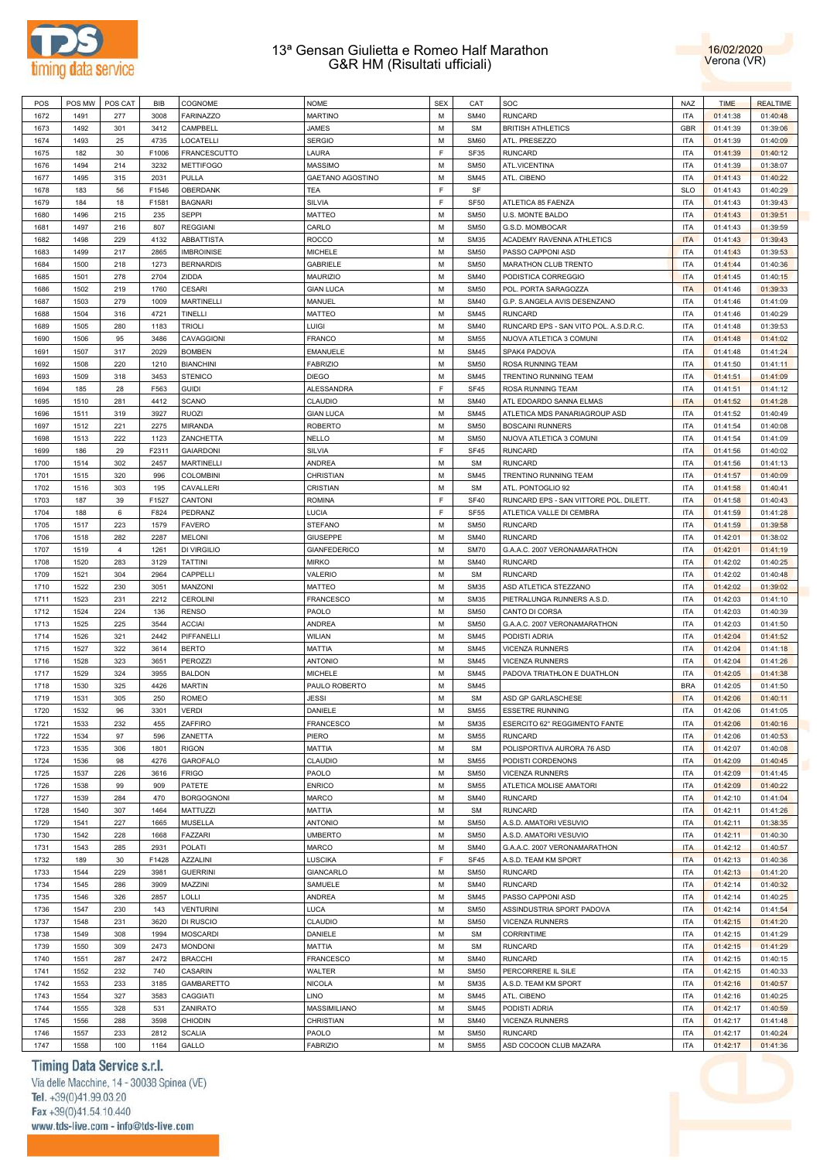



| POS  | POS MW | POS CAT        | BIB   | COGNOME             | <b>NOME</b>         | <b>SEX</b> | CAT         | SOC                                    | <b>NAZ</b> | <b>TIME</b> | <b>REALTIME</b> |
|------|--------|----------------|-------|---------------------|---------------------|------------|-------------|----------------------------------------|------------|-------------|-----------------|
| 1672 | 1491   | 277            | 3008  | <b>FARINAZZO</b>    | <b>MARTINO</b>      | M          | <b>SM40</b> | <b>RUNCARD</b>                         | <b>ITA</b> | 01:41:38    | 01:40:48        |
| 1673 | 1492   | 301            | 3412  | CAMPBELL            | JAMES               | M          | <b>SM</b>   | <b>BRITISH ATHLETICS</b>               | <b>GBR</b> | 01:41:39    | 01:39:06        |
| 1674 | 1493   | 25             | 4735  | LOCATELLI           | <b>SERGIO</b>       | М          | SM60        | ATL. PRESEZZO                          | ITA        | 01:41:39    | 01:40:09        |
|      |        |                |       |                     |                     | E          |             |                                        |            |             |                 |
| 1675 | 182    | 30             | F1006 | <b>FRANCESCUTTO</b> | LAURA               |            | SF35        | <b>RUNCARD</b>                         | <b>ITA</b> | 01:41:39    | 01:40:12        |
| 1676 | 1494   | 214            | 3232  | <b>METTIFOGO</b>    | <b>MASSIMO</b>      | М          | <b>SM50</b> | ATL.VICENTINA                          | <b>ITA</b> | 01:41:39    | 01:38:07        |
| 1677 | 1495   | 315            | 2031  | PULLA               | GAETANO AGOSTINO    | М          | <b>SM45</b> | ATL. CIBENO                            | <b>ITA</b> | 01:41:43    | 01:40:22        |
| 1678 | 183    | 56             | F1546 | OBERDANK            | TEA                 | E          | SF          |                                        | <b>SLO</b> | 01:41:43    | 01:40:29        |
| 1679 | 184    | 18             | F1581 | <b>BAGNARI</b>      | SILVIA              | E          | <b>SF50</b> | ATLETICA 85 FAENZA                     | <b>ITA</b> | 01:41:43    | 01:39:43        |
| 1680 | 1496   | 215            | 235   | <b>SEPPI</b>        | <b>MATTEO</b>       | М          | <b>SM50</b> | U.S. MONTE BALDO                       | ITA        | 01:41:43    | 01:39:51        |
| 1681 | 1497   | 216            | 807   | <b>REGGIANI</b>     | CARLO               | М          | <b>SM50</b> | G.S.D. MOMBOCAR                        | ITA        | 01:41:43    | 01:39:59        |
| 1682 | 1498   | 229            | 4132  | <b>ABBATTISTA</b>   | <b>ROCCO</b>        | М          | <b>SM35</b> | ACADEMY RAVENNA ATHLETICS              | <b>ITA</b> | 01:41:43    | 01:39:43        |
| 1683 | 1499   | 217            | 2865  | <b>IMBROINISE</b>   | <b>MICHELE</b>      | М          | <b>SM50</b> | PASSO CAPPONI ASD                      | <b>ITA</b> | 01:41:43    | 01:39:53        |
| 1684 | 1500   | 218            | 1273  | <b>BERNARDIS</b>    | <b>GABRIELE</b>     | М          | <b>SM50</b> | MARATHON CLUB TRENTO                   | <b>ITA</b> | 01:41:44    | 01:40:36        |
|      |        |                |       |                     |                     |            |             |                                        |            |             |                 |
| 1685 | 1501   | 278            | 2704  | ZIDDA               | <b>MAURIZIO</b>     | M          | <b>SM40</b> | PODISTICA CORREGGIO                    | <b>ITA</b> | 01:41:45    | 01:40:15        |
| 1686 | 1502   | 219            | 1760  | <b>CESARI</b>       | <b>GIAN LUCA</b>    | М          | <b>SM50</b> | POL. PORTA SARAGOZZA                   | <b>ITA</b> | 01:41:46    | 01:39:33        |
| 1687 | 1503   | 279            | 1009  | <b>MARTINELLI</b>   | MANUEL              | M          | <b>SM40</b> | G.P. S.ANGELA AVIS DESENZANO           | <b>ITA</b> | 01:41:46    | 01:41:09        |
| 1688 | 1504   | 316            | 4721  | TINELLI             | <b>MATTEO</b>       | М          | <b>SM45</b> | <b>RUNCARD</b>                         | ITA        | 01:41:46    | 01:40:29        |
| 1689 | 1505   | 280            | 1183  | <b>TRIOLI</b>       | LUIGI               | M          | <b>SM40</b> | RUNCARD EPS - SAN VITO POL. A.S.D.R.C. | ITA        | 01:41:48    | 01:39:53        |
| 1690 | 1506   | 95             | 3486  | CAVAGGIONI          | FRANCO              | М          | <b>SM55</b> | NUOVA ATLETICA 3 COMUNI                | ITA        | 01:41:48    | 01:41:02        |
| 1691 | 1507   | 317            | 2029  | <b>BOMBEN</b>       | <b>EMANUELE</b>     | М          | <b>SM45</b> | SPAK4 PADOVA                           | ITA        | 01:41:48    | 01:41:24        |
| 1692 | 1508   | 220            | 1210  | <b>BIANCHINI</b>    | <b>FABRIZIO</b>     | М          | <b>SM50</b> | ROSA RUNNING TEAM                      | ITA        | 01:41:50    | 01:41:11        |
| 1693 | 1509   | 318            | 3453  | <b>STENICO</b>      | <b>DIEGO</b>        | М          | <b>SM45</b> | TRENTINO RUNNING TEAM                  | ITA        | 01:41:51    | 01:41:09        |
|      |        |                |       |                     |                     | E          |             |                                        |            |             |                 |
| 1694 | 185    | 28             | F563  | <b>GUIDI</b>        | <b>ALESSANDRA</b>   |            | <b>SF45</b> | ROSA RUNNING TEAM                      | <b>ITA</b> | 01:41:51    | 01:41:12        |
| 1695 | 1510   | 281            | 4412  | <b>SCANO</b>        | CLAUDIO             | М          | <b>SM40</b> | ATL EDOARDO SANNA ELMAS                | <b>ITA</b> | 01:41:52    | 01:41:28        |
| 1696 | 1511   | 319            | 3927  | <b>RUOZI</b>        | <b>GIAN LUCA</b>    | М          | <b>SM45</b> | ATLETICA MDS PANARIAGROUP ASD          | <b>ITA</b> | 01:41:52    | 01:40:49        |
| 1697 | 1512   | 221            | 2275  | <b>MIRANDA</b>      | <b>ROBERTO</b>      | M          | <b>SM50</b> | <b>BOSCAINI RUNNERS</b>                | <b>ITA</b> | 01:41:54    | 01:40:08        |
| 1698 | 1513   | 222            | 1123  | ZANCHETTA           | <b>NELLO</b>        | М          | <b>SM50</b> | NUOVA ATLETICA 3 COMUNI                | ITA        | 01:41:54    | 01:41:09        |
| 1699 | 186    | 29             | F2311 | <b>GAIARDONI</b>    | <b>SILVIA</b>       | E          | <b>SF45</b> | <b>RUNCARD</b>                         | <b>ITA</b> | 01:41:56    | 01:40:02        |
| 1700 | 1514   | 302            | 2457  | <b>MARTINELLI</b>   | <b>ANDREA</b>       | М          | <b>SM</b>   | <b>RUNCARD</b>                         | ITA        | 01:41:56    | 01:41:13        |
| 1701 | 1515   | 320            | 996   | <b>COLOMBINI</b>    | CHRISTIAN           | M          | <b>SM45</b> | TRENTINO RUNNING TEAM                  | <b>ITA</b> | 01:41:57    | 01:40:09        |
| 1702 | 1516   | 303            | 195   | CAVALLERI           | <b>CRISTIAN</b>     | М          | <b>SM</b>   | ATL. PONTOGLIO 92                      | ITA        | 01:41:58    | 01:40:41        |
| 1703 | 187    | 39             | F1527 | CANTONI             | <b>ROMINA</b>       | E          | <b>SF40</b> | RUNCARD EPS - SAN VITTORE POL. DILETT. | ITA        | 01:41:58    | 01:40:43        |
|      |        |                |       |                     |                     | E          |             |                                        |            |             |                 |
| 1704 | 188    | 6              | F824  | PEDRANZ             | LUCIA               |            | <b>SF55</b> | ATLETICA VALLE DI CEMBRA               | ITA        | 01:41:59    | 01:41:28        |
| 1705 | 1517   | 223            | 1579  | <b>FAVERO</b>       | <b>STEFANO</b>      | М          | <b>SM50</b> | <b>RUNCARD</b>                         | ITA        | 01:41:59    | 01:39:58        |
| 1706 | 1518   | 282            | 2287  | <b>MELONI</b>       | <b>GIUSEPPE</b>     | М          | <b>SM40</b> | <b>RUNCARD</b>                         | ITA        | 01:42:01    | 01:38:02        |
| 1707 | 1519   | $\overline{4}$ | 1261  | DI VIRGILIO         | <b>GIANFEDERICO</b> | М          | <b>SM70</b> | G.A.A.C. 2007 VERONAMARATHON           | <b>ITA</b> | 01:42:01    | 01:41:19        |
| 1708 | 1520   | 283            | 3129  | <b>TATTINI</b>      | <b>MIRKO</b>        | М          | <b>SM40</b> | <b>RUNCARD</b>                         | ITA        | 01:42:02    | 01:40:25        |
| 1709 | 1521   | 304            | 2964  | CAPPELLI            | VALERIO             | M          | <b>SM</b>   | <b>RUNCARD</b>                         | <b>ITA</b> | 01:42:02    | 01:40:48        |
| 1710 | 1522   | 230            | 3051  | MANZONI             | <b>MATTEO</b>       | М          | <b>SM35</b> | ASD ATLETICA STEZZANO                  | <b>ITA</b> | 01:42:02    | 01:39:02        |
| 1711 | 1523   | 231            | 2212  | <b>CEROLINI</b>     | FRANCESCO           | M          | <b>SM35</b> | PIETRALUNGA RUNNERS A.S.D.             | <b>ITA</b> | 01:42:03    | 01:41:10        |
| 1712 | 1524   | 224            | 136   | <b>RENSO</b>        | PAOLO               | M          | <b>SM50</b> | CANTO DI CORSA                         | <b>ITA</b> | 01:42:03    | 01:40:39        |
| 1713 | 1525   | 225            | 3544  | <b>ACCIAI</b>       | <b>ANDREA</b>       | M          | <b>SM50</b> | G.A.A.C. 2007 VERONAMARATHON           | <b>ITA</b> | 01:42:03    | 01:41:50        |
|      |        |                |       |                     |                     |            |             |                                        |            |             |                 |
| 1714 | 1526   | 321            | 2442  | PIFFANELLI          | <b>WILIAN</b>       | М          | <b>SM45</b> | PODISTI ADRIA                          | ITA        | 01:42:04    | 01:41:52        |
| 1715 | 1527   | 322            | 3614  | <b>BERTO</b>        | MATTIA              | M          | <b>SM45</b> | <b>VICENZA RUNNERS</b>                 | ITA        | 01:42:04    | 01:41:18        |
| 1716 | 1528   | 323            | 3651  | PEROZZI             | <b>ANTONIO</b>      | М          | <b>SM45</b> | <b>VICENZA RUNNERS</b>                 | ITA        | 01:42:04    | 01:41:26        |
| 1717 | 1529   | 324            | 3955  | <b>BALDON</b>       | <b>MICHELE</b>      | М          | <b>SM45</b> | PADOVA TRIATHLON E DUATHLON            | ITA        | 01:42:05    | 01:41:38        |
| 1718 | 1530   | 325            | 4426  | <b>MARTIN</b>       | PAULO ROBERTO       | М          | <b>SM45</b> |                                        | <b>BRA</b> | 01:42:05    | 01:41:50        |
| 1719 | 1531   | 305            | 250   | <b>ROMEO</b>        | JESSI               | M          | <b>SM</b>   | ASD GP GARLASCHESE                     | <b>ITA</b> | 01:42:06    | 01:40:11        |
| 1720 | 1532   | 96             | 3301  | <b>VERDI</b>        | DANIELE             | M          | <b>SM55</b> | <b>ESSETRE RUNNING</b>                 | <b>ITA</b> | 01:42:06    | 01:41:05        |
| 1721 | 1533   | 232            | 455   | ZAFFIRO             | FRANCESCO           | M          | <b>SM35</b> | ESERCITO 62° REGGIMENTO FANTE          | ITA        | 01:42:06    | 01:40:16        |
| 1722 | 1534   | 97             | 596   | ZANETTA             | PIERO               | М          | <b>SM55</b> | <b>RUNCARD</b>                         | ITA        | 01:42:06    | 01:40:53        |
|      |        |                |       |                     |                     |            |             |                                        |            |             |                 |
| 1723 | 1535   | 306            | 1801  | <b>RIGON</b>        | MATTIA              | M          | <b>SM</b>   | POLISPORTIVA AURORA 76 ASD             | <b>ITA</b> | 01:42:07    | 01:40:08        |
| 1724 | 1536   | 98             | 4276  | GAROFALO            | CLAUDIO             | М          | <b>SM55</b> | PODISTI CORDENONS                      | ITA        | 01:42:09    | 01:40:45        |
| 1725 | 1537   | 226            | 3616  | <b>FRIGO</b>        | PAOLO               | M          | <b>SM50</b> | VICENZA RUNNERS                        | <b>ITA</b> | 01:42:09    | 01:41:45        |
| 1726 | 1538   | 99             | 909   | PATETE              | <b>ENRICO</b>       | М          | <b>SM55</b> | ATLETICA MOLISE AMATORI                | ITA        | 01:42:09    | 01:40:22        |
| 1727 | 1539   | 284            | 470   | <b>BORGOGNONI</b>   | <b>MARCO</b>        | M          | <b>SM40</b> | <b>RUNCARD</b>                         | ITA        | 01:42:10    | 01:41:04        |
| 1728 | 1540   | 307            | 1464  | MATTUZZI            | MATTIA              | М          | <b>SM</b>   | <b>RUNCARD</b>                         | ITA        | 01:42:11    | 01:41:26        |
| 1729 | 1541   | 227            | 1665  | <b>MUSELLA</b>      | <b>ANTONIO</b>      | M          | <b>SM50</b> | A.S.D. AMATORI VESUVIO                 | ITA        | 01:42:11    | 01:38:35        |
| 1730 | 1542   | 228            | 1668  | <b>FAZZARI</b>      | <b>UMBERTO</b>      | М          | <b>SM50</b> | A.S.D. AMATORI VESUVIO                 | ITA        | 01:42:11    | 01:40:30        |
| 1731 | 1543   | 285            | 2931  | POLATI              | MARCO               | M          | <b>SM40</b> | G.A.A.C. 2007 VERONAMARATHON           | <b>ITA</b> | 01:42:12    | 01:40:57        |
|      |        | 30             | F1428 | AZZALINI            |                     | F.         | <b>SF45</b> |                                        | <b>ITA</b> |             | 01:40:36        |
| 1732 | 189    |                |       |                     | LUSCIKA             |            |             | A.S.D. TEAM KM SPORT                   |            | 01:42:13    |                 |
| 1733 | 1544   | 229            | 3981  | <b>GUERRINI</b>     | <b>GIANCARLO</b>    | M          | <b>SM50</b> | <b>RUNCARD</b>                         | ITA        | 01:42:13    | 01:41:20        |
| 1734 | 1545   | 286            | 3909  | MAZZINI             | SAMUELE             | М          | <b>SM40</b> | <b>RUNCARD</b>                         | ITA        | 01:42:14    | 01:40:32        |
| 1735 | 1546   | 326            | 2857  | LOLLI               | ANDREA              | M          | <b>SM45</b> | PASSO CAPPONI ASD                      | <b>ITA</b> | 01:42:14    | 01:40:25        |
| 1736 | 1547   | 230            | 143   | <b>VENTURINI</b>    | LUCA                | M          | <b>SM50</b> | ASSINDUSTRIA SPORT PADOVA              | ITA        | 01:42:14    | 01:41:54        |
| 1737 | 1548   | 231            | 3620  | DI RUSCIO           | <b>CLAUDIO</b>      | M          | <b>SM50</b> | <b>VICENZA RUNNERS</b>                 | ITA        | 01:42:15    | 01:41:20        |
| 1738 | 1549   | 308            | 1994  | <b>MOSCARDI</b>     | DANIELE             | M          | <b>SM</b>   | <b>CORRINTIME</b>                      | ITA        | 01:42:15    | 01:41:29        |
| 1739 | 1550   | 309            | 2473  | <b>MONDONI</b>      | MATTIA              | M          | <b>SM</b>   | <b>RUNCARD</b>                         | ITA        | 01:42:15    | 01:41:29        |
| 1740 | 1551   | 287            | 2472  | <b>BRACCHI</b>      | FRANCESCO           | М          | <b>SM40</b> | <b>RUNCARD</b>                         | ITA        | 01:42:15    | 01:40:15        |
|      |        |                |       |                     |                     | M          |             |                                        |            |             |                 |
| 1741 | 1552   | 232            | 740   | CASARIN             | WALTER              |            | <b>SM50</b> | PERCORRERE IL SILE                     | ITA        | 01:42:15    | 01:40:33        |
| 1742 | 1553   | 233            | 3185  | GAMBARETTO          | <b>NICOLA</b>       | М          | <b>SM35</b> | A.S.D. TEAM KM SPORT                   | ITA        | 01:42:16    | 01:40:57        |
| 1743 | 1554   | 327            | 3583  | CAGGIATI            | LINO                | M          | <b>SM45</b> | ATL. CIBENO                            | ITA        | 01:42:16    | 01:40:25        |
| 1744 | 1555   | 328            | 531   | ZANIRATO            | MASSIMILIANO        | М          | <b>SM45</b> | PODISTI ADRIA                          | ITA        | 01:42:17    | 01:40:59        |
| 1745 | 1556   | 288            | 3598  | CHIODIN             | CHRISTIAN           | M          | <b>SM40</b> | <b>VICENZA RUNNERS</b>                 | ITA        | 01:42:17    | 01:41:48        |
| 1746 | 1557   | 233            | 2812  | <b>SCALIA</b>       | PAOLO               | М          | <b>SM50</b> | <b>RUNCARD</b>                         | ITA        | 01:42:17    | 01:40:24        |
| 1747 | 1558   | 100            | 1164  | GALLO               | <b>FABRIZIO</b>     | М          | <b>SM55</b> | ASD COCOON CLUB MAZARA                 | <b>ITA</b> | 01:42:17    | 01:41:36        |
|      |        |                |       |                     |                     |            |             |                                        |            |             |                 |

# Timing Data Service s.r.l.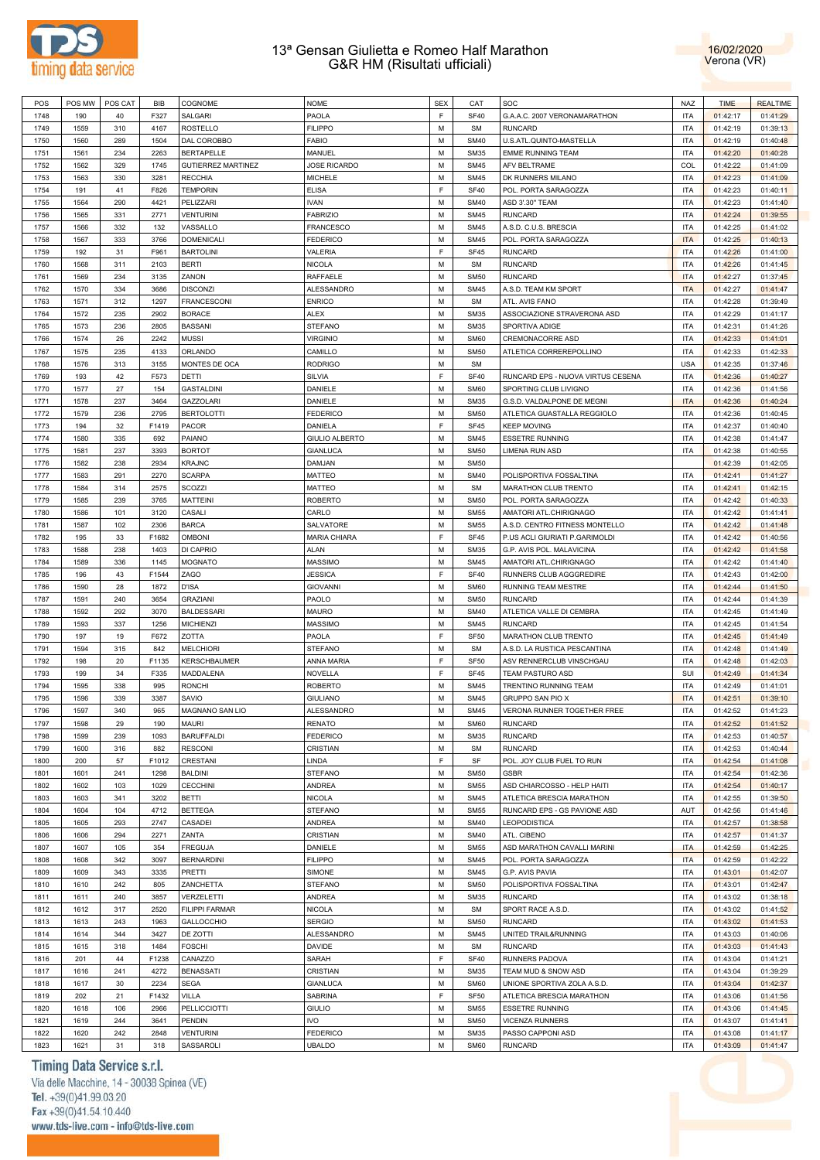



| POS  | POS MW | POS CAT | BIB   | COGNOME                   | <b>NOME</b>           | <b>SEX</b>  | CAT         | SOC                               | <b>NAZ</b> | <b>TIME</b> | <b>REALTIME</b> |
|------|--------|---------|-------|---------------------------|-----------------------|-------------|-------------|-----------------------------------|------------|-------------|-----------------|
| 1748 | 190    | 40      | F327  | SALGARI                   | PAOLA                 | $\mathsf F$ | <b>SF40</b> | G.A.A.C. 2007 VERONAMARATHON      | <b>ITA</b> | 01:42:17    | 01:41:29        |
| 1749 | 1559   | 310     | 4167  | <b>ROSTELLO</b>           | <b>FILIPPO</b>        | M           | <b>SM</b>   | <b>RUNCARD</b>                    | <b>ITA</b> | 01:42:19    | 01:39:13        |
| 1750 | 1560   | 289     | 1504  | DAL COROBBO               | FABIO                 | M           | <b>SM40</b> | U.S.ATL.QUINTO-MASTELLA           | <b>ITA</b> | 01:42:19    | 01:40:48        |
| 1751 | 1561   | 234     | 2263  | BERTAPELLE                | MANUEL                | M           | <b>SM35</b> | <b>EMME RUNNING TEAM</b>          | <b>ITA</b> | 01:42:20    | 01:40:28        |
|      | 1562   |         | 1745  |                           | <b>JOSE RICARDO</b>   | M           | <b>SM45</b> | AFV BELTRAME                      | COL        |             |                 |
| 1752 |        | 329     |       | <b>GUTIERREZ MARTINEZ</b> |                       |             |             |                                   |            | 01:42:22    | 01:41:09        |
| 1753 | 1563   | 330     | 3281  | <b>RECCHIA</b>            | <b>MICHELE</b>        | M           | <b>SM45</b> | DK RUNNERS MILANO                 | <b>ITA</b> | 01:42:23    | 01:41:09        |
| 1754 | 191    | 41      | F826  | <b>TEMPORIN</b>           | <b>ELISA</b>          | F           | <b>SF40</b> | POL. PORTA SARAGOZZA              | <b>ITA</b> | 01:42:23    | 01:40:11        |
| 1755 | 1564   | 290     | 4421  | PELIZZARI                 | <b>IVAN</b>           | M           | <b>SM40</b> | ASD 3'.30" TEAM                   | <b>ITA</b> | 01:42:23    | 01:41:40        |
| 1756 | 1565   | 331     | 2771  | <b>VENTURINI</b>          | <b>FABRIZIO</b>       | M           | <b>SM45</b> | <b>RUNCARD</b>                    | <b>ITA</b> | 01:42:24    | 01:39:55        |
| 1757 | 1566   | 332     | 132   | VASSALLO                  | <b>FRANCESCO</b>      | M           | <b>SM45</b> | A.S.D. C.U.S. BRESCIA             | <b>ITA</b> | 01:42:25    | 01:41:02        |
| 1758 | 1567   | 333     | 3766  | <b>DOMENICALI</b>         | <b>FEDERICO</b>       | M           | <b>SM45</b> | POL. PORTA SARAGOZZA              | <b>ITA</b> | 01:42:25    | 01:40:13        |
| 1759 | 192    | 31      | F961  | <b>BARTOLINI</b>          | VALERIA               | F           | <b>SF45</b> | <b>RUNCARD</b>                    | <b>ITA</b> | 01:42:26    | 01:41:00        |
| 1760 | 1568   | 311     | 2103  | <b>BERTI</b>              | <b>NICOLA</b>         | M           | <b>SM</b>   | <b>RUNCARD</b>                    | <b>ITA</b> | 01:42:26    | 01:41:45        |
| 1761 | 1569   | 234     | 3135  | ZANON                     | RAFFAELE              | M           | <b>SM50</b> | <b>RUNCARD</b>                    | <b>ITA</b> | 01:42:27    | 01:37:45        |
|      |        |         |       |                           |                       |             |             |                                   |            |             |                 |
| 1762 | 1570   | 334     | 3686  | <b>DISCONZI</b>           | ALESSANDRO            | M           | <b>SM45</b> | A.S.D. TEAM KM SPORT              | <b>ITA</b> | 01:42:27    | 01:41:47        |
| 1763 | 1571   | 312     | 1297  | <b>FRANCESCONI</b>        | <b>ENRICO</b>         | M           | <b>SM</b>   | ATL. AVIS FANO                    | <b>ITA</b> | 01:42:28    | 01:39:49        |
| 1764 | 1572   | 235     | 2902  | <b>BORACE</b>             | ALEX                  | M           | <b>SM35</b> | ASSOCIAZIONE STRAVERONA ASD       | <b>ITA</b> | 01:42:29    | 01:41:17        |
| 1765 | 1573   | 236     | 2805  | <b>BASSANI</b>            | <b>STEFANO</b>        | M           | <b>SM35</b> | SPORTIVA ADIGE                    | <b>ITA</b> | 01:42:31    | 01:41:26        |
| 1766 | 1574   | 26      | 2242  | MUSSI                     | <b>VIRGINIO</b>       | M           | <b>SM60</b> | CREMONACORRE ASD                  | <b>ITA</b> | 01:42:33    | 01:41:01        |
| 1767 | 1575   | 235     | 4133  | ORLANDO                   | CAMILLO               | M           | <b>SM50</b> | ATLETICA CORREREPOLLINO           | <b>ITA</b> | 01:42:33    | 01:42:33        |
| 1768 | 1576   | 313     | 3155  | MONTES DE OCA             | <b>RODRIGO</b>        | M           | <b>SM</b>   |                                   | <b>USA</b> | 01:42:35    | 01:37:46        |
| 1769 | 193    | 42      | F573  | DETTI                     | SILVIA                | F           | <b>SF40</b> | RUNCARD EPS - NUOVA VIRTUS CESENA | <b>ITA</b> | 01:42:36    | 01:40:27        |
| 1770 | 1577   | 27      | 154   | <b>GASTALDINI</b>         | DANIELE               | M           | <b>SM60</b> | SPORTING CLUB LIVIGNO             | <b>ITA</b> | 01:42:36    | 01:41:56        |
|      |        |         |       |                           |                       |             |             |                                   |            |             |                 |
| 1771 | 1578   | 237     | 3464  | <b>GAZZOLARI</b>          | DANIELE               | M           | <b>SM35</b> | G.S.D. VALDALPONE DE MEGNI        | <b>ITA</b> | 01:42:36    | 01:40:24        |
| 1772 | 1579   | 236     | 2795  | <b>BERTOLOTTI</b>         | <b>FEDERICO</b>       | M           | <b>SM50</b> | ATLETICA GUASTALLA REGGIOLO       | <b>ITA</b> | 01:42:36    | 01:40:45        |
| 1773 | 194    | 32      | F1419 | <b>PACOR</b>              | DANIELA               | F           | <b>SF45</b> | <b>KEEP MOVING</b>                | <b>ITA</b> | 01:42:37    | 01:40:40        |
| 1774 | 1580   | 335     | 692   | <b>PAIANO</b>             | <b>GIULIO ALBERTO</b> | M           | <b>SM45</b> | <b>ESSETRE RUNNING</b>            | <b>ITA</b> | 01:42:38    | 01:41:47        |
| 1775 | 1581   | 237     | 3393  | <b>BORTOT</b>             | <b>GIANLUCA</b>       | M           | <b>SM50</b> | <b>LIMENA RUN ASD</b>             | <b>ITA</b> | 01:42:38    | 01:40:55        |
| 1776 | 1582   | 238     | 2934  | <b>KRAJNC</b>             | DAMJAN                | M           | <b>SM50</b> |                                   |            | 01:42:39    | 01:42:05        |
| 1777 | 1583   | 291     | 2270  | <b>SCARPA</b>             | MATTEO                | M           | <b>SM40</b> | POLISPORTIVA FOSSALTINA           | <b>ITA</b> | 01:42:41    | 01:41:27        |
| 1778 | 1584   | 314     | 2575  | SCOZZI                    | MATTEO                | M           | <b>SM</b>   | MARATHON CLUB TRENTO              | <b>ITA</b> | 01:42:41    | 01:42:15        |
| 1779 | 1585   | 239     | 3765  | <b>MATTEINI</b>           | <b>ROBERTO</b>        | M           | <b>SM50</b> | POL. PORTA SARAGOZZA              | <b>ITA</b> | 01:42:42    | 01:40:33        |
|      |        |         |       |                           |                       | M           |             |                                   |            |             |                 |
| 1780 | 1586   | 101     | 3120  | CASALI                    | CARLO                 |             | <b>SM55</b> | AMATORI ATL.CHIRIGNAGO            | <b>ITA</b> | 01:42:42    | 01:41:41        |
| 1781 | 1587   | 102     | 2306  | <b>BARCA</b>              | SALVATORE             | M           | <b>SM55</b> | A.S.D. CENTRO FITNESS MONTELLO    | <b>ITA</b> | 01:42:42    | 01:41:48        |
| 1782 | 195    | 33      | F1682 | <b>OMBONI</b>             | MARIA CHIARA          | F           | SF45        | P.US ACLI GIURIATI P.GARIMOLDI    | <b>ITA</b> | 01:42:42    | 01:40:56        |
| 1783 | 1588   | 238     | 1403  | DI CAPRIO                 | ALAN                  | M           | <b>SM35</b> | G.P. AVIS POL. MALAVICINA         | <b>ITA</b> | 01:42:42    | 01:41:58        |
| 1784 | 1589   | 336     | 1145  | MOGNATO                   | MASSIMO               | M           | <b>SM45</b> | AMATORI ATL.CHIRIGNAGO            | <b>ITA</b> | 01:42:42    | 01:41:40        |
| 1785 | 196    | 43      | F1544 | ZAGO                      | <b>JESSICA</b>        | F           | <b>SF40</b> | RUNNERS CLUB AGGGREDIRE           | <b>ITA</b> | 01:42:43    | 01:42:00        |
| 1786 | 1590   | 28      | 1872  | <b>D'ISA</b>              | <b>GIOVANNI</b>       | M           | <b>SM60</b> | RUNNING TEAM MESTRE               | <b>ITA</b> | 01:42:44    | 01:41:50        |
| 1787 | 1591   | 240     | 3654  | <b>GRAZIANI</b>           | PAOLO                 | M           | <b>SM50</b> | <b>RUNCARD</b>                    | <b>ITA</b> | 01:42:44    | 01:41:39        |
| 1788 | 1592   | 292     | 3070  | <b>BALDESSARI</b>         | MAURO                 | M           | <b>SM40</b> | ATLETICA VALLE DI CEMBRA          | <b>ITA</b> | 01:42:45    | 01:41:49        |
| 1789 | 1593   | 337     | 1256  | <b>MICHIENZI</b>          | MASSIMO               | M           | <b>SM45</b> | <b>RUNCARD</b>                    | <b>ITA</b> | 01:42:45    | 01:41:54        |
|      |        |         |       |                           |                       |             |             |                                   |            |             |                 |
| 1790 | 197    | 19      | F672  | ZOTTA                     | PAOLA                 | F           | <b>SF50</b> | MARATHON CLUB TRENTO              | <b>ITA</b> | 01:42:45    | 01:41:49        |
| 1791 | 1594   | 315     | 842   | <b>MELCHIORI</b>          | <b>STEFANO</b>        | M           | <b>SM</b>   | A.S.D. LA RUSTICA PESCANTINA      | <b>ITA</b> | 01:42:48    | 01:41:49        |
| 1792 | 198    | 20      | F1135 | <b>KERSCHBAUMER</b>       | ANNA MARIA            | F           | <b>SF50</b> | ASV RENNERCLUB VINSCHGAU          | <b>ITA</b> | 01:42:48    | 01:42:03        |
| 1793 | 199    | 34      | F335  | MADDALENA                 | NOVELLA               | F           | <b>SF45</b> | TEAM PASTURO ASD                  | SUI        | 01:42:49    | 01:41:34        |
| 1794 | 1595   | 338     | 995   | <b>RONCHI</b>             | <b>ROBERTO</b>        | M           | <b>SM45</b> | TRENTINO RUNNING TEAM             | <b>ITA</b> | 01:42:49    | 01:41:01        |
| 1795 | 1596   | 339     | 3387  | SAVIO                     | <b>GIULIANO</b>       | M           | <b>SM45</b> | <b>GRUPPO SAN PIO X</b>           | <b>ITA</b> | 01:42:51    | 01:39:10        |
| 1796 | 1597   | 340     | 965   | MAGNANO SAN LIO           | <b>ALESSANDRO</b>     | M           | <b>SM45</b> | VERONA RUNNER TOGETHER FREE       | <b>ITA</b> | 01:42:52    | 01:41:23        |
| 1797 | 1598   | 29      | 190   | <b>MAURI</b>              | <b>RENATO</b>         | M           | <b>SM60</b> | <b>RUNCARD</b>                    | <b>ITA</b> | 01:42:52    | 01:41:52        |
| 1798 | 1599   | 239     | 1093  | <b>BARUFFALDI</b>         | <b>FEDERICO</b>       | M           | <b>SM35</b> | <b>RUNCARD</b>                    | <b>ITA</b> | 01:42:53    | 01:40:57        |
|      |        |         |       |                           |                       |             |             |                                   |            |             |                 |
| 1799 | 1600   | 316     | 882   | <b>RESCONI</b>            | <b>CRISTIAN</b>       | M           | <b>SM</b>   | <b>RUNCARD</b>                    | <b>ITA</b> | 01:42:53    | 01:40:44        |
| 1800 | 200    | 57      | F1012 | CRESTANI                  | LINDA                 | F           | SF          | POL. JOY CLUB FUEL TO RUN         | <b>ITA</b> | 01:42:54    | 01:41:08        |
| 1801 | 1601   | 241     | 1298  | <b>BALDINI</b>            | <b>STEFANO</b>        | М           | <b>SM50</b> | <b>GSBR</b>                       | <b>ITA</b> | 01:42:54    | 01:42:36        |
| 1802 | 1602   | 103     | 1029  | <b>CECCHINI</b>           | <b>ANDREA</b>         | M           | <b>SM55</b> | ASD CHIARCOSSO - HELP HAITI       | <b>ITA</b> | 01:42:54    | 01:40:17        |
| 1803 | 1603   | 341     | 3202  | <b>BETTI</b>              | <b>NICOLA</b>         | M           | <b>SM45</b> | ATLETICA BRESCIA MARATHON         | <b>ITA</b> | 01:42:55    | 01:39:50        |
| 1804 | 1604   | 104     | 4712  | <b>BETTEGA</b>            | <b>STEFANO</b>        | M           | <b>SM55</b> | RUNCARD EPS - GS PAVIONE ASD      | AUT        | 01:42:56    | 01:41:46        |
| 1805 | 1605   | 293     | 2747  | CASADEI                   | <b>ANDREA</b>         | M           | <b>SM40</b> | LEOPODISTICA                      | <b>ITA</b> | 01:42:57    | 01:38:58        |
| 1806 | 1606   | 294     | 2271  | ZANTA                     | <b>CRISTIAN</b>       | M           | <b>SM40</b> | ATL. CIBENO                       | <b>ITA</b> | 01:42:57    | 01:41:37        |
| 1807 | 1607   | 105     | 354   | <b>FREGUJA</b>            | DANIELE               | M           | <b>SM55</b> | ASD MARATHON CAVALLI MARINI       | <b>ITA</b> | 01:42:59    | 01:42:25        |
|      |        |         |       |                           |                       | M           |             |                                   |            |             |                 |
| 1808 | 1608   | 342     | 3097  | <b>BERNARDINI</b>         | <b>FILIPPO</b>        |             | <b>SM45</b> | POL. PORTA SARAGOZZA              | <b>ITA</b> | 01:42:59    | 01:42:22        |
| 1809 | 1609   | 343     | 3335  | <b>PRETTI</b>             | <b>SIMONE</b>         | M           | <b>SM45</b> | G.P. AVIS PAVIA                   | <b>ITA</b> | 01:43:01    | 01:42:07        |
| 1810 | 1610   | 242     | 805   | ZANCHETTA                 | <b>STEFANO</b>        | M           | <b>SM50</b> | POLISPORTIVA FOSSALTINA           | <b>ITA</b> | 01:43:01    | 01:42:47        |
| 1811 | 1611   | 240     | 3857  | VERZELETTI                | <b>ANDREA</b>         | M           | <b>SM35</b> | <b>RUNCARD</b>                    | <b>ITA</b> | 01:43:02    | 01:38:18        |
| 1812 | 1612   | 317     | 2520  | <b>FILIPPI FARMAR</b>     | <b>NICOLA</b>         | M           | <b>SM</b>   | SPORT RACE A.S.D.                 | <b>ITA</b> | 01:43:02    | 01:41:52        |
| 1813 | 1613   | 243     | 1963  | GALLOCCHIO                | <b>SERGIO</b>         | M           | <b>SM50</b> | <b>RUNCARD</b>                    | <b>ITA</b> | 01:43:02    | 01:41:53        |
| 1814 | 1614   | 344     | 3427  | DE ZOTTI                  | <b>ALESSANDRO</b>     | M           | <b>SM45</b> | UNITED TRAIL&RUNNING              | <b>ITA</b> | 01:43:03    | 01:40:06        |
| 1815 | 1615   | 318     | 1484  | <b>FOSCHI</b>             | <b>DAVIDE</b>         | M           | <b>SM</b>   | <b>RUNCARD</b>                    | <b>ITA</b> | 01:43:03    | 01:41:43        |
| 1816 | 201    | 44      | F1238 | CANAZZO                   | SARAH                 | F           | <b>SF40</b> | RUNNERS PADOVA                    | <b>ITA</b> | 01:43:04    | 01:41:21        |
|      |        |         |       |                           |                       |             |             |                                   |            |             |                 |
| 1817 | 1616   | 241     | 4272  | <b>BENASSATI</b>          | <b>CRISTIAN</b>       | M           | <b>SM35</b> | TEAM MUD & SNOW ASD               | <b>ITA</b> | 01:43:04    | 01:39:29        |
| 1818 | 1617   | 30      | 2234  | <b>SEGA</b>               | <b>GIANLUCA</b>       | M           | <b>SM60</b> | UNIONE SPORTIVA ZOLA A.S.D.       | <b>ITA</b> | 01:43:04    | 01:42:37        |
| 1819 | 202    | 21      | F1432 | VILLA                     | SABRINA               | F           | <b>SF50</b> | ATLETICA BRESCIA MARATHON         | <b>ITA</b> | 01:43:06    | 01:41:56        |
| 1820 | 1618   | 106     | 2966  | <b>PELLICCIOTTI</b>       | <b>GIULIO</b>         | M           | <b>SM55</b> | <b>ESSETRE RUNNING</b>            | <b>ITA</b> | 01:43:06    | 01:41:45        |
| 1821 | 1619   | 244     | 3641  | PENDIN                    | IVO                   | M           | <b>SM50</b> | <b>VICENZA RUNNERS</b>            | <b>ITA</b> | 01:43:07    | 01:41:41        |
| 1822 | 1620   | 242     | 2848  | <b>VENTURINI</b>          | <b>FEDERICO</b>       | M           | <b>SM35</b> | PASSO CAPPONI ASD                 | <b>ITA</b> | 01:43:08    | 01:41:17        |
| 1823 | 1621   | 31      | 318   | SASSAROLI                 | <b>UBALDO</b>         | M           | <b>SM60</b> | <b>RUNCARD</b>                    | <b>ITA</b> | 01:43:09    | 01:41:47        |

# Timing Data Service s.r.l.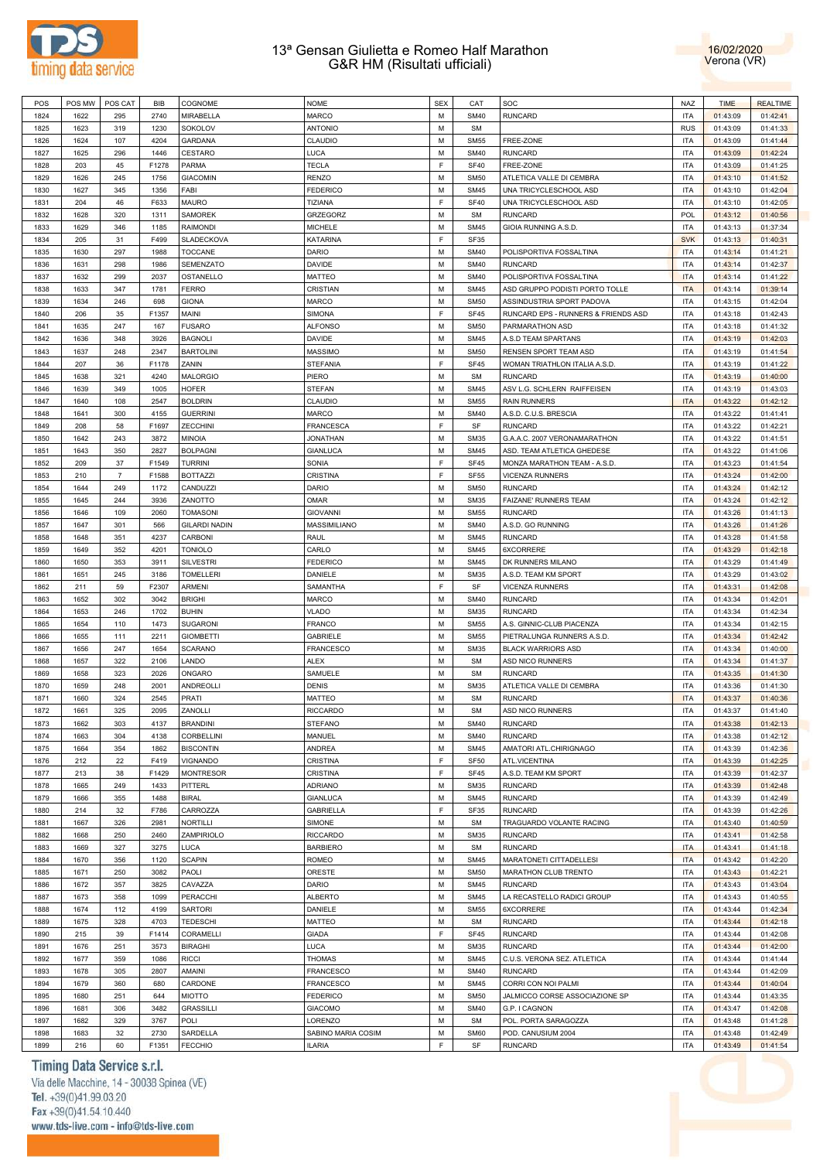



| POS  | POS MW | POS CAT        | BIB   | COGNOME              | <b>NOME</b>        | <b>SEX</b> | CAT         | SOC                                 | <b>NAZ</b> | <b>TIME</b> | <b>REALTIME</b> |
|------|--------|----------------|-------|----------------------|--------------------|------------|-------------|-------------------------------------|------------|-------------|-----------------|
| 1824 | 1622   | 295            | 2740  | MIRABELLA            | <b>MARCO</b>       | M          | <b>SM40</b> | <b>RUNCARD</b>                      | <b>ITA</b> | 01:43:09    | 01:42:41        |
| 1825 | 1623   | 319            | 1230  | SOKOLOV              | <b>ANTONIO</b>     | M          | <b>SM</b>   |                                     | <b>RUS</b> | 01:43:09    | 01:41:33        |
| 1826 | 1624   | 107            | 4204  | GARDANA              | CLAUDIO            | M          | <b>SM55</b> | FREE-ZONE                           | <b>ITA</b> | 01:43:09    | 01:41:44        |
| 1827 | 1625   | 296            | 1446  | CESTARO              | LUCA               | M          | <b>SM40</b> | <b>RUNCARD</b>                      | <b>ITA</b> | 01:43:09    | 01:42:24        |
| 1828 | 203    | 45             | F1278 | <b>PARMA</b>         | <b>TECLA</b>       | F          | <b>SF40</b> | FREE-ZONE                           | <b>ITA</b> | 01:43:09    | 01:41:25        |
|      | 1626   |                |       |                      | <b>RENZO</b>       | M          | <b>SM50</b> |                                     | <b>ITA</b> |             |                 |
| 1829 |        | 245            | 1756  | <b>GIACOMIN</b>      |                    |            |             | ATLETICA VALLE DI CEMBRA            |            | 01:43:10    | 01:41:52        |
| 1830 | 1627   | 345            | 1356  | FABI                 | <b>FEDERICO</b>    | M          | <b>SM45</b> | UNA TRICYCLESCHOOL ASD              | <b>ITA</b> | 01:43:10    | 01:42:04        |
| 1831 | 204    | 46             | F633  | MAURO                | TIZIANA            | F          | <b>SF40</b> | UNA TRICYCLESCHOOL ASD              | <b>ITA</b> | 01:43:10    | 01:42:05        |
| 1832 | 1628   | 320            | 1311  | <b>SAMOREK</b>       | GRZEGORZ           | M          | <b>SM</b>   | <b>RUNCARD</b>                      | <b>POL</b> | 01:43:12    | 01:40:56        |
| 1833 | 1629   | 346            | 1185  | <b>RAIMONDI</b>      | <b>MICHELE</b>     | M          | <b>SM45</b> | GIOIA RUNNING A.S.D.                | <b>ITA</b> | 01:43:13    | 01:37:34        |
| 1834 | 205    | 31             | F499  | SLADECKOVA           | KATARINA           | F          | <b>SF35</b> |                                     | <b>SVK</b> | 01:43:13    | 01:40:31        |
| 1835 | 1630   | 297            | 1988  | <b>TOCCANE</b>       | <b>DARIO</b>       | M          | <b>SM40</b> | POLISPORTIVA FOSSALTINA             | <b>ITA</b> | 01:43:14    | 01:41:21        |
| 1836 | 1631   | 298            | 1986  | SEMENZATO            | DAVIDE             | M          | <b>SM40</b> | <b>RUNCARD</b>                      | <b>ITA</b> | 01:43:14    | 01:42:37        |
| 1837 | 1632   | 299            | 2037  | OSTANELLO            | <b>MATTEO</b>      | M          | <b>SM40</b> | POLISPORTIVA FOSSALTINA             | <b>ITA</b> | 01:43:14    | 01:41:22        |
| 1838 | 1633   | 347            | 1781  | <b>FERRO</b>         | CRISTIAN           | M          | <b>SM45</b> | ASD GRUPPO PODISTI PORTO TOLLE      | <b>ITA</b> | 01:43:14    | 01:39:14        |
| 1839 | 1634   | 246            | 698   | <b>GIONA</b>         | <b>MARCO</b>       | M          | <b>SM50</b> | ASSINDUSTRIA SPORT PADOVA           | <b>ITA</b> | 01:43:15    | 01:42:04        |
| 1840 | 206    | 35             | F1357 | MAINI                | <b>SIMONA</b>      | F          | <b>SF45</b> | RUNCARD EPS - RUNNERS & FRIENDS ASD | <b>ITA</b> | 01:43:18    | 01:42:43        |
| 1841 | 1635   | 247            | 167   | <b>FUSARO</b>        | <b>ALFONSO</b>     | M          | <b>SM50</b> | PARMARATHON ASD                     | <b>ITA</b> | 01:43:18    | 01:41:32        |
| 1842 | 1636   | 348            | 3926  | <b>BAGNOLI</b>       | DAVIDE             | M          | <b>SM45</b> | A.S.D TEAM SPARTANS                 | <b>ITA</b> | 01:43:19    | 01:42:03        |
|      |        |                |       |                      |                    | M          | <b>SM50</b> |                                     | <b>ITA</b> |             |                 |
| 1843 | 1637   | 248            | 2347  | <b>BARTOLINI</b>     | <b>MASSIMO</b>     |            |             | RENSEN SPORT TEAM ASD               |            | 01:43:19    | 01:41:54        |
| 1844 | 207    | 36             | F1178 | ZANIN                | <b>STEFANIA</b>    | F          | <b>SF45</b> | WOMAN TRIATHLON ITALIA A.S.D.       | <b>ITA</b> | 01:43:19    | 01:41:22        |
| 1845 | 1638   | 321            | 4240  | <b>MALORGIO</b>      | PIERO              | M          | <b>SM</b>   | <b>RUNCARD</b>                      | <b>ITA</b> | 01:43:19    | 01:40:00        |
| 1846 | 1639   | 349            | 1005  | <b>HOFER</b>         | <b>STEFAN</b>      | M          | <b>SM45</b> | ASV L.G. SCHLERN RAIFFEISEN         | <b>ITA</b> | 01:43:19    | 01:43:03        |
| 1847 | 1640   | 108            | 2547  | <b>BOLDRIN</b>       | CLAUDIO            | M          | <b>SM55</b> | <b>RAIN RUNNERS</b>                 | <b>ITA</b> | 01:43:22    | 01:42:12        |
| 1848 | 1641   | 300            | 4155  | <b>GUERRINI</b>      | MARCO              | M          | <b>SM40</b> | A.S.D. C.U.S. BRESCIA               | <b>ITA</b> | 01:43:22    | 01:41:41        |
| 1849 | 208    | 58             | F1697 | ZECCHINI             | <b>FRANCESCA</b>   | F          | SF          | <b>RUNCARD</b>                      | <b>ITA</b> | 01:43:22    | 01:42:21        |
| 1850 | 1642   | 243            | 3872  | MINOIA               | <b>JONATHAN</b>    | M          | <b>SM35</b> | G.A.A.C. 2007 VERONAMARATHON        | <b>ITA</b> | 01:43:22    | 01:41:51        |
| 1851 | 1643   | 350            | 2827  | <b>BOLPAGNI</b>      | <b>GIANLUCA</b>    | M          | <b>SM45</b> | ASD. TEAM ATLETICA GHEDESE          | <b>ITA</b> | 01:43:22    | 01:41:06        |
| 1852 | 209    | 37             | F1549 | <b>TURRINI</b>       | SONIA              | F          | SF45        | MONZA MARATHON TEAM - A.S.D.        | <b>ITA</b> | 01:43:23    | 01:41:54        |
| 1853 | 210    | $\overline{7}$ | F1588 | <b>BOTTAZZI</b>      | <b>CRISTINA</b>    | F          | <b>SF55</b> | <b>VICENZA RUNNERS</b>              | <b>ITA</b> | 01:43:24    | 01:42:00        |
| 1854 | 1644   | 249            | 1172  | CANDUZZI             | <b>DARIO</b>       | M          | <b>SM50</b> | <b>RUNCARD</b>                      | <b>ITA</b> | 01:43:24    | 01:42:12        |
| 1855 | 1645   | 244            | 3936  | ZANOTTO              | <b>OMAR</b>        | M          | <b>SM35</b> | FAIZANE' RUNNERS TEAM               | <b>ITA</b> | 01:43:24    | 01:42:12        |
|      |        |                |       |                      |                    | M          |             | <b>RUNCARD</b>                      |            |             |                 |
| 1856 | 1646   | 109            | 2060  | <b>TOMASONI</b>      | <b>GIOVANNI</b>    |            | <b>SM55</b> |                                     | <b>ITA</b> | 01:43:26    | 01:41:13        |
| 1857 | 1647   | 301            | 566   | <b>GILARDI NADIN</b> | MASSIMILIANO       | M          | <b>SM40</b> | A.S.D. GO RUNNING                   | <b>ITA</b> | 01:43:26    | 01:41:26        |
| 1858 | 1648   | 351            | 4237  | CARBONI              | <b>RAUL</b>        | M          | <b>SM45</b> | <b>RUNCARD</b>                      | <b>ITA</b> | 01:43:28    | 01:41:58        |
| 1859 | 1649   | 352            | 4201  | <b>TONIOLO</b>       | CARLO              | M          | <b>SM45</b> | 6XCORRERE                           | <b>ITA</b> | 01:43:29    | 01:42:18        |
| 1860 | 1650   | 353            | 3911  | <b>SILVESTRI</b>     | <b>FEDERICO</b>    | M          | <b>SM45</b> | DK RUNNERS MILANO                   | <b>ITA</b> | 01:43:29    | 01:41:49        |
| 1861 | 1651   | 245            | 3186  | <b>TOMELLERI</b>     | DANIELE            | M          | <b>SM35</b> | A.S.D. TEAM KM SPORT                | <b>ITA</b> | 01:43:29    | 01:43:02        |
| 1862 | 211    | 59             | F2307 | ARMENI               | SAMANTHA           | F          | SF          | <b>VICENZA RUNNERS</b>              | <b>ITA</b> | 01:43:31    | 01:42:08        |
| 1863 | 1652   | 302            | 3042  | <b>BRIGHI</b>        | <b>MARCO</b>       | M          | <b>SM40</b> | <b>RUNCARD</b>                      | <b>ITA</b> | 01:43:34    | 01:42:01        |
| 1864 | 1653   | 246            | 1702  | <b>BUHIN</b>         | <b>VLADO</b>       | M          | <b>SM35</b> | <b>RUNCARD</b>                      | <b>ITA</b> | 01:43:34    | 01:42:34        |
| 1865 | 1654   | 110            | 1473  | SUGARONI             | <b>FRANCO</b>      | M          | <b>SM55</b> | A.S. GINNIC-CLUB PIACENZA           | <b>ITA</b> | 01:43:34    | 01:42:15        |
| 1866 | 1655   | 111            | 2211  | <b>GIOMBETTI</b>     | <b>GABRIELE</b>    | M          | <b>SM55</b> | PIETRALUNGA RUNNERS A.S.D.          | <b>ITA</b> | 01:43:34    | 01:42:42        |
| 1867 | 1656   | 247            | 1654  | SCARANO              | FRANCESCO          | M          | <b>SM35</b> | <b>BLACK WARRIORS ASD</b>           | <b>ITA</b> | 01:43:34    | 01:40:00        |
| 1868 | 1657   | 322            | 2106  | LANDO                | <b>ALEX</b>        | M          | <b>SM</b>   | ASD NICO RUNNERS                    | <b>ITA</b> | 01:43:34    | 01:41:37        |
| 1869 | 1658   | 323            | 2026  | ONGARO               | SAMUELE            | M          | <b>SM</b>   | <b>RUNCARD</b>                      | <b>ITA</b> | 01:43:35    | 01:41:30        |
| 1870 | 1659   | 248            | 2001  | ANDREOLLI            | <b>DENIS</b>       | M          | <b>SM35</b> | ATLETICA VALLE DI CEMBRA            | <b>ITA</b> | 01:43:36    | 01:41:30        |
|      |        |                |       |                      |                    |            |             |                                     |            |             |                 |
| 1871 | 1660   | 324            | 2545  | PRATI                | <b>MATTEO</b>      | M          | <b>SM</b>   | <b>RUNCARD</b>                      | <b>ITA</b> | 01:43:37    | 01:40:36        |
| 1872 | 1661   | 325            | 2095  | ZANOLLI              | <b>RICCARDO</b>    | M          | <b>SM</b>   | ASD NICO RUNNERS                    | <b>ITA</b> | 01:43:37    | 01:41:40        |
| 1873 | 1662   | 303            | 4137  | <b>BRANDINI</b>      | <b>STEFANO</b>     | M          | <b>SM40</b> | <b>RUNCARD</b>                      | <b>ITA</b> | 01:43:38    | 01:42:13        |
| 1874 | 1663   | 304            | 4138  | CORBELLINI           | MANUEL             | M          | <b>SM40</b> | <b>RUNCARD</b>                      | <b>ITA</b> | 01:43:38    | 01:42:12        |
| 1875 | 1664   | 354            | 1862  | <b>BISCONTIN</b>     | ANDREA             | M          | <b>SM45</b> | AMATORI ATL.CHIRIGNAGO              | <b>ITA</b> | 01:43:39    | 01:42:36        |
| 1876 | 212    | 22             | F419  | VIGNANDO             | CRISTINA           | F          | <b>SF50</b> | ATL.VICENTINA                       | <b>ITA</b> | 01:43:39    | 01:42:25        |
| 1877 | 213    | 38             | F1429 | <b>MONTRESOR</b>     | CRISTINA           | F          | SF45        | A.S.D. TEAM KM SPORT                | <b>ITA</b> | 01:43:39    | 01:42:37        |
| 1878 | 1665   | 249            | 1433  | PITTERL              | <b>ADRIANO</b>     | M          | <b>SM35</b> | <b>RUNCARD</b>                      | <b>ITA</b> | 01:43:39    | 01:42:48        |
| 1879 | 1666   | 355            | 1488  | <b>BIRAL</b>         | <b>GIANLUCA</b>    | M          | <b>SM45</b> | RUNCARD                             | <b>ITA</b> | 01:43:39    | 01:42:49        |
| 1880 | 214    | 32             | F786  | CARROZZA             | <b>GABRIELLA</b>   | F          | <b>SF35</b> | <b>RUNCARD</b>                      | <b>ITA</b> | 01:43:39    | 01:42:26        |
| 1881 | 1667   | 326            | 2981  | NORTILLI             | SIMONE             | M          | <b>SM</b>   | TRAGUARDO VOLANTE RACING            | <b>ITA</b> | 01:43:40    | 01:40:59        |
| 1882 | 1668   | 250            | 2460  | ZAMPIRIOLO           | <b>RICCARDO</b>    | M          | <b>SM35</b> | <b>RUNCARD</b>                      | <b>ITA</b> | 01:43:41    | 01:42:58        |
| 1883 | 1669   | 327            | 3275  | <b>LUCA</b>          | <b>BARBIERO</b>    | M          | <b>SM</b>   | <b>RUNCARD</b>                      | <b>ITA</b> | 01:43:41    | 01:41:18        |
| 1884 |        | 356            |       | <b>SCAPIN</b>        |                    | M          |             | MARATONETI CITTADELLESI             | <b>ITA</b> |             |                 |
|      | 1670   |                | 1120  |                      | ROMEO              |            | <b>SM45</b> |                                     |            | 01:43:42    | 01:42:20        |
| 1885 | 1671   | 250            | 3082  | PAOLI                | ORESTE             | M          | <b>SM50</b> | MARATHON CLUB TRENTO                | <b>ITA</b> | 01:43:43    | 01:42:21        |
| 1886 | 1672   | 357            | 3825  | CAVAZZA              | <b>DARIO</b>       | M          | <b>SM45</b> | <b>RUNCARD</b>                      | <b>ITA</b> | 01:43:43    | 01:43:04        |
| 1887 | 1673   | 358            | 1099  | PERACCHI             | <b>ALBERTO</b>     | M          | <b>SM45</b> | LA RECASTELLO RADICI GROUP          | <b>ITA</b> | 01:43:43    | 01:40:55        |
| 1888 | 1674   | 112            | 4199  | SARTORI              | DANIELE            | M          | <b>SM55</b> | 6XCORRERE                           | <b>ITA</b> | 01:43:44    | 01:42:34        |
| 1889 | 1675   | 328            | 4703  | <b>TEDESCHI</b>      | MATTEO             | M          | <b>SM</b>   | <b>RUNCARD</b>                      | <b>ITA</b> | 01:43:44    | 01:42:18        |
| 1890 | 215    | 39             | F1414 | CORAMELLI            | <b>GIADA</b>       | F          | SF45        | <b>RUNCARD</b>                      | <b>ITA</b> | 01:43:44    | 01:42:08        |
| 1891 | 1676   | 251            | 3573  | <b>BIRAGHI</b>       | <b>LUCA</b>        | M          | <b>SM35</b> | <b>RUNCARD</b>                      | <b>ITA</b> | 01:43:44    | 01:42:00        |
| 1892 | 1677   | 359            | 1086  | <b>RICCI</b>         | <b>THOMAS</b>      | M          | <b>SM45</b> | C.U.S. VERONA SEZ. ATLETICA         | <b>ITA</b> | 01:43:44    | 01:41:44        |
| 1893 | 1678   | 305            | 2807  | AMAINI               | <b>FRANCESCO</b>   | M          | <b>SM40</b> | <b>RUNCARD</b>                      | <b>ITA</b> | 01:43:44    | 01:42:09        |
| 1894 | 1679   | 360            | 680   | CARDONE              | <b>FRANCESCO</b>   | M          | <b>SM45</b> | CORRI CON NOI PALMI                 | <b>ITA</b> | 01:43:44    | 01:40:04        |
| 1895 | 1680   | 251            | 644   | MIOTTO               | <b>FEDERICO</b>    | M          | <b>SM50</b> | JALMICCO CORSE ASSOCIAZIONE SP      | <b>ITA</b> | 01:43:44    | 01:43:35        |
| 1896 | 1681   | 306            | 3482  | <b>GRASSILLI</b>     | <b>GIACOMO</b>     | M          | <b>SM40</b> | G.P. I CAGNON                       | <b>ITA</b> | 01:43:47    | 01:42:08        |
|      |        |                |       |                      |                    |            |             |                                     |            |             |                 |
| 1897 | 1682   | 329            | 3767  | POLI                 | LORENZO            | M          | <b>SM</b>   | POL. PORTA SARAGOZZA                | <b>ITA</b> | 01:43:48    | 01:41:28        |
| 1898 | 1683   | 32             | 2730  | SARDELLA             | SABINO MARIA COSIM | М          | <b>SM60</b> | POD. CANUSIUM 2004                  | <b>ITA</b> | 01:43:48    | 01:42:49        |
| 1899 | 216    | 60             | F1351 | <b>FECCHIO</b>       | <b>ILARIA</b>      | F          | SF          | <b>RUNCARD</b>                      | <b>ITA</b> | 01:43:49    | 01:41:54        |

# Timing Data Service s.r.l.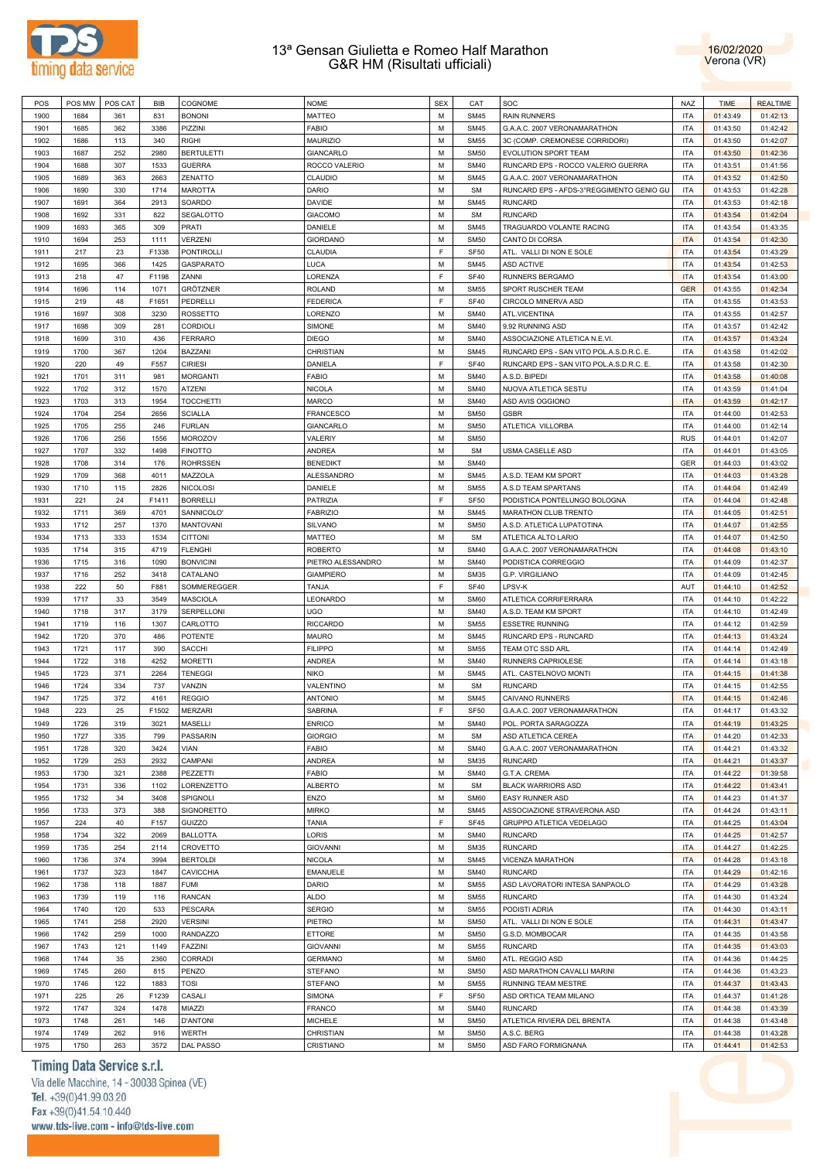



| POS  | POS MW | POS CAT | <b>BIB</b> | COGNOME           | <b>NOME</b>       | <b>SEX</b> | CAT              | SOC                                      | NAZ        | <b>TIME</b>          | <b>REALTIME</b>      |
|------|--------|---------|------------|-------------------|-------------------|------------|------------------|------------------------------------------|------------|----------------------|----------------------|
| 1900 | 1684   | 361     | 831        | <b>BONONI</b>     | MATTEO            | M          | <b>SM45</b>      | <b>RAIN RUNNERS</b>                      | <b>ITA</b> | 01:43:49             | 01:42:13             |
| 1901 | 1685   | 362     | 3386       | PIZZINI           | FABIO             | M          | <b>SM45</b>      | G.A.A.C. 2007 VERONAMARATHON             | <b>ITA</b> | 01:43:50             | 01:42:42             |
| 1902 | 1686   | 113     | 340        | <b>RIGHI</b>      | MAURIZIO          | M          | <b>SM55</b>      | 3C (COMP. CREMONESE CORRIDORI)           | <b>ITA</b> | 01:43:50             | 01:42:07             |
|      |        |         |            |                   |                   | M          |                  |                                          | <b>ITA</b> |                      |                      |
| 1903 | 1687   | 252     | 2980       | <b>BERTULETTI</b> | <b>GIANCARLO</b>  |            | <b>SM50</b>      | EVOLUTION SPORT TEAM                     |            | 01:43:50             | 01:42:36             |
| 1904 | 1688   | 307     | 1533       | <b>GUERRA</b>     | ROCCO VALERIO     | M          | <b>SM40</b>      | RUNCARD EPS - ROCCO VALERIO GUERRA       | <b>ITA</b> | 01:43:51             | 01:41:56             |
| 1905 | 1689   | 363     | 2663       | ZENATTO           | CLAUDIO           | M          | <b>SM45</b>      | G.A.A.C. 2007 VERONAMARATHON             | <b>ITA</b> | 01:43:52             | 01:42:50             |
| 1906 | 1690   | 330     | 1714       | <b>MAROTTA</b>    | <b>DARIO</b>      | M          | <b>SM</b>        | RUNCARD EPS - AFDS-3°REGGIMENTO GENIO GU | <b>ITA</b> | 01:43:53             | 01:42:28             |
| 1907 | 1691   | 364     | 2913       | SOARDO            | DAVIDE            | M          | <b>SM45</b>      | <b>RUNCARD</b>                           | <b>ITA</b> | 01:43:53             | 01:42:18             |
| 1908 | 1692   | 331     | 822        | SEGALOTTO         | <b>GIACOMO</b>    | M          | <b>SM</b>        | <b>RUNCARD</b>                           | <b>ITA</b> | 01:43:54             | 01:42:04             |
| 1909 | 1693   | 365     | 309        | PRATI             | DANIELE           | M          | <b>SM45</b>      | TRAGUARDO VOLANTE RACING                 | <b>ITA</b> | 01:43:54             | 01:43:35             |
| 1910 | 1694   | 253     | 1111       | <b>VERZENI</b>    | <b>GIORDANO</b>   | M          | <b>SM50</b>      | CANTO DI CORSA                           | <b>ITA</b> | 01:43:54             | 01:42:30             |
| 1911 | 217    | 23      | F1338      | <b>PONTIROLLI</b> | CLAUDIA           | E          | SF <sub>50</sub> | ATL. VALLI DI NON E SOLE                 | <b>ITA</b> | 01:43:54             | 01:43:29             |
| 1912 | 1695   | 366     | 1425       | GASPARATO         | LUCA              | M          | <b>SM45</b>      | <b>ASD ACTIVE</b>                        | <b>ITA</b> | 01:43:54             | 01:42:53             |
|      |        |         |            |                   |                   |            |                  |                                          |            |                      |                      |
| 1913 | 218    | 47      | F1198      | ZANNI             | LORENZA           | E          | <b>SF40</b>      | RUNNERS BERGAMO                          | <b>ITA</b> | 01:43:54             | 01:43:00             |
| 1914 | 1696   | 114     | 1071       | GRÖTZNER          | <b>ROLAND</b>     | M          | <b>SM55</b>      | SPORT RUSCHER TEAM                       | <b>GER</b> | 01:43:55             | 01:42:34             |
| 1915 | 219    | 48      | F1651      | PEDRELLI          | <b>FEDERICA</b>   | E          | <b>SF40</b>      | CIRCOLO MINERVA ASD                      | <b>ITA</b> | 01:43:55             | 01:43:53             |
| 1916 | 1697   | 308     | 3230       | ROSSETTO          | LORENZO           | M          | <b>SM40</b>      | ATL.VICENTINA                            | <b>ITA</b> | 01:43:55             | 01:42:57             |
| 1917 | 1698   | 309     | 281        | <b>CORDIOLI</b>   | SIMONE            | M          | <b>SM40</b>      | 9,92 RUNNING ASD                         | <b>ITA</b> | 01:43:57             | 01:42:42             |
| 1918 | 1699   | 310     | 436        | <b>FERRARO</b>    | <b>DIEGO</b>      | M          | <b>SM40</b>      | ASSOCIAZIONE ATLETICA N.E.VI.            | <b>ITA</b> | 01:43:57             | 01:43:24             |
| 1919 | 1700   | 367     | 1204       | BAZZANI           | CHRISTIAN         | M          | <b>SM45</b>      | RUNCARD EPS - SAN VITO POL.A.S.D.R.C. E. | <b>ITA</b> | 01:43:58             | 01:42:02             |
| 1920 | 220    | 49      | F557       | <b>CIRIESI</b>    | DANIELA           | F          | <b>SF40</b>      | RUNCARD EPS - SAN VITO POL.A.S.D.R.C. E. | <b>ITA</b> | 01:43:58             | 01:42:30             |
|      |        |         |            |                   |                   |            |                  |                                          |            |                      |                      |
| 1921 | 1701   | 311     | 981        | <b>MORGANTI</b>   | <b>FABIO</b>      | M          | <b>SM40</b>      | A.S.D. BIPEDI                            | <b>ITA</b> | 01:43:58             | 01:40:08             |
| 1922 | 1702   | 312     | 1570       | ATZENI            | <b>NICOLA</b>     | M          | <b>SM40</b>      | NUOVA ATLETICA SESTU                     | <b>ITA</b> | 01:43:59             | 01:41:04             |
| 1923 | 1703   | 313     | 1954       | <b>TOCCHETTI</b>  | <b>MARCO</b>      | M          | <b>SM40</b>      | ASD AVIS OGGIONO                         | <b>ITA</b> | 01:43:59             | 01:42:17             |
| 1924 | 1704   | 254     | 2656       | <b>SCIALLA</b>    | <b>FRANCESCO</b>  | M          | <b>SM50</b>      | <b>GSBR</b>                              | <b>ITA</b> | 01:44:00             | 01:42:53             |
| 1925 | 1705   | 255     | 246        | <b>FURLAN</b>     | <b>GIANCARLO</b>  | M          | <b>SM50</b>      | ATLETICA VILLORBA                        | <b>ITA</b> | 01:44:00             | 01:42:14             |
| 1926 | 1706   | 256     | 1556       | <b>MOROZOV</b>    | VALERIY           | M          | <b>SM50</b>      |                                          | <b>RUS</b> | 01:44:01             | 01:42:07             |
| 1927 | 1707   | 332     | 1498       | <b>FINOTTO</b>    | <b>ANDREA</b>     | M          | <b>SM</b>        | USMA CASELLE ASD                         | <b>ITA</b> | 01:44:01             | 01:43:05             |
| 1928 | 1708   | 314     | 176        | <b>ROHRSSEN</b>   | <b>BENEDIKT</b>   | M          | <b>SM40</b>      |                                          | GER        | 01:44:03             | 01:43:02             |
| 1929 | 1709   | 368     | 4011       | MAZZOLA           | <b>ALESSANDRO</b> | M          | <b>SM45</b>      | A.S.D. TEAM KM SPORT                     | <b>ITA</b> | 01:44:03             | 01:43:28             |
| 1930 | 1710   | 115     | 2826       | <b>NICOLOSI</b>   | DANIELE           | M          | <b>SM55</b>      | A.S.D TEAM SPARTANS                      | ITA        | 01:44:04             | 01:42:49             |
|      |        |         |            |                   |                   | E          |                  |                                          |            |                      |                      |
| 1931 | 221    | 24      | F1411      | <b>BORRELLI</b>   | PATRIZIA          |            | SF <sub>50</sub> | PODISTICA PONTELUNGO BOLOGNA             | <b>ITA</b> | 01:44:04             | 01:42:48             |
| 1932 | 1711   | 369     | 4701       | SANNICOLO'        | <b>FABRIZIO</b>   | M          | <b>SM45</b>      | MARATHON CLUB TRENTO                     | <b>ITA</b> | 01:44:05             | 01:42:51             |
| 1933 | 1712   | 257     | 1370       | <b>MANTOVANI</b>  | SILVANO           | M          | <b>SM50</b>      | A.S.D. ATLETICA LUPATOTINA               | <b>ITA</b> | 01:44:07             | 01:42:55             |
| 1934 | 1713   | 333     | 1534       | <b>CITTONI</b>    | MATTEO            | M          | <b>SM</b>        | ATLETICA ALTO LARIO                      | <b>ITA</b> | 01:44:07             | 01:42:50             |
| 1935 | 1714   | 315     | 4719       | <b>FLENGHI</b>    | <b>ROBERTO</b>    | M          | <b>SM40</b>      | G.A.A.C. 2007 VERONAMARATHON             | <b>ITA</b> | 01:44:08             | 01:43:10             |
| 1936 | 1715   | 316     | 1090       | <b>BONVICINI</b>  | PIETRO ALESSANDRO | M          | <b>SM40</b>      | PODISTICA CORREGGIO                      | <b>ITA</b> | 01:44:09             | 01:42:37             |
| 1937 | 1716   | 252     | 3418       | CATALANO          | <b>GIAMPIERO</b>  | M          | <b>SM35</b>      | G.P. VIRGILIANO                          | <b>ITA</b> | 01:44:09             | 01:42:45             |
| 1938 | 222    | 50      | F881       | SOMMEREGGER       | TANJA             | F          | <b>SF40</b>      | LPSV-K                                   | AUT        | 01:44:10             | 01:42:52             |
| 1939 | 1717   | 33      | 3549       | <b>MASCIOLA</b>   | LEONARDO          | M          | <b>SM60</b>      | ATLETICA CORRIFERRARA                    | <b>ITA</b> | 01:44:10             | 01:42:22             |
| 1940 |        | 317     |            |                   | UGO               | M          | <b>SM40</b>      |                                          | <b>ITA</b> |                      |                      |
|      | 1718   |         | 3179       | SERPELLONI        |                   |            |                  | A.S.D. TEAM KM SPORT                     |            | 01:44:10             | 01:42:49             |
| 1941 | 1719   | 116     | 1307       | CARLOTTO          | <b>RICCARDO</b>   | M          | <b>SM55</b>      | <b>ESSETRE RUNNING</b>                   | <b>ITA</b> | 01:44:12             | 01:42:59             |
| 1942 | 1720   | 370     | 486        | POTENTE           | <b>MAURO</b>      | M          | <b>SM45</b>      | RUNCARD EPS - RUNCARD                    | <b>ITA</b> | 01:44:13             | 01:43:24             |
| 1943 | 1721   | 117     | 390        | <b>SACCHI</b>     | <b>FILIPPO</b>    | M          | <b>SM55</b>      | TEAM OTC SSD ARL                         | <b>ITA</b> | 01:44:14             | 01:42:49             |
| 1944 | 1722   | 318     | 4252       | <b>MORETTI</b>    | <b>ANDREA</b>     | M          | <b>SM40</b>      | RUNNERS CAPRIOLESE                       | <b>ITA</b> | 01:44:14             | 01:43:18             |
| 1945 | 1723   | 371     | 2264       | <b>TENEGGI</b>    | <b>NIKO</b>       | M          | <b>SM45</b>      | ATL. CASTELNOVO MONTI                    | <b>ITA</b> | 01:44:15             | 01:41:38             |
| 1946 | 1724   | 334     | 737        | VANZIN            | VALENTINO         | M          | <b>SM</b>        | <b>RUNCARD</b>                           | <b>ITA</b> | 01:44:15             | 01:42:55             |
| 1947 | 1725   | 372     | 4161       | <b>REGGIO</b>     | <b>ANTONIO</b>    | M          | <b>SM45</b>      | CAIVANO RUNNERS                          | <b>ITA</b> | 01:44:15             | 01:42:46             |
| 1948 | 223    | 25      | F1502      | <b>MERZARI</b>    | <b>SABRINA</b>    | E          | <b>SF50</b>      | G.A.A.C. 2007 VERONAMARATHON             | <b>ITA</b> | 01:44:17             | 01:43:32             |
|      |        |         |            |                   |                   |            |                  | POL. PORTA SARAGOZZA                     |            |                      |                      |
| 1949 | 1726   | 319     | 3021       | <b>MASELLI</b>    | <b>ENRICO</b>     | М          | <b>SM40</b>      |                                          | <b>ITA</b> | 01:44:19             | 01:43:25             |
| 1950 | 1727   | 335     | 799        | PASSARIN          | <b>GIORGIO</b>    | M          | <b>SM</b>        | <b>ASD ATLETICA CEREA</b>                | <b>ITA</b> | 01:44:20             | 01:42:33             |
| 1951 | 1728   | 320     | 3424       | VIAN              | <b>FABIO</b>      | M          | <b>SM40</b>      | G.A.A.C. 2007 VERONAMARATHON             | <b>ITA</b> | 01:44:21             | 01:43:32             |
| 1952 | 1729   | 253     | 2932       | CAMPANI           | ANDREA            | M          | <b>SM35</b>      | <b>RUNCARD</b>                           | <b>ITA</b> | 01:44:21             | 01:43:37             |
| 1953 | 1730   | 321     | 2388       | PEZZETTI          | <b>FABIO</b>      | M          | <b>SM40</b>      | G.T.A. CREMA                             | <b>ITA</b> | 01:44:22             | 01:39:58             |
| 1954 | 1731   | 336     | 1102       | LORENZETTO        | <b>ALBERTO</b>    | M          | <b>SM</b>        | <b>BLACK WARRIORS ASD</b>                | <b>ITA</b> | 01:44:22             | 01:43:41             |
| 1955 | 1732   | 34      | 3408       | SPIGNOLI          | ENZO              | M          | <b>SM60</b>      | <b>EASY RUNNER ASD</b>                   | <b>ITA</b> | 01:44:23             | 01:41:37             |
| 1956 | 1733   | 373     | 388        | SIGNORETTO        | <b>MIRKO</b>      | M          | <b>SM45</b>      | ASSOCIAZIONE STRAVERONA ASD              | <b>ITA</b> | 01:44:24             | 01:43:11             |
| 1957 | 224    | 40      | F157       | GUIZZO            | <b>TANIA</b>      | F          | <b>SF45</b>      | GRUPPO ATLETICA VEDELAGO                 | <b>ITA</b> | 01:44:25             | 01:43:04             |
| 1958 |        |         |            | <b>BALLOTTA</b>   | LORIS             | M          | <b>SM40</b>      | <b>RUNCARD</b>                           | <b>ITA</b> | 01:44:25             | 01:42:57             |
|      |        |         |            |                   |                   |            |                  |                                          |            |                      |                      |
|      | 1734   | 322     | 2069       |                   |                   |            |                  |                                          |            |                      |                      |
| 1959 | 1735   | 254     | 2114       | CROVETTO          | <b>GIOVANNI</b>   | M          | <b>SM35</b>      | <b>RUNCARD</b>                           | <b>ITA</b> | 01:44:27             | 01:42:25             |
| 1960 | 1736   | 374     | 3994       | <b>BERTOLDI</b>   | <b>NICOLA</b>     | M          | <b>SM45</b>      | VICENZA MARATHON                         | <b>ITA</b> | 01:44:28             | 01:43:18             |
| 1961 | 1737   | 323     | 1847       | <b>CAVICCHIA</b>  | <b>EMANUELE</b>   | M          | <b>SM40</b>      | <b>RUNCARD</b>                           | <b>ITA</b> | 01:44:29             | 01:42:16             |
| 1962 | 1738   | 118     | 1887       | <b>FUMI</b>       | <b>DARIO</b>      | M          | <b>SM55</b>      | ASD LAVORATORI INTESA SANPAOLO           | <b>ITA</b> | 01:44:29             | 01:43:28             |
| 1963 | 1739   | 119     | 116        | RANCAN            | <b>ALDO</b>       | M          | <b>SM55</b>      | <b>RUNCARD</b>                           | <b>ITA</b> | 01:44:30             | 01:43:24             |
| 1964 | 1740   | 120     | 533        | <b>PESCARA</b>    | <b>SERGIO</b>     | M          | <b>SM55</b>      | PODISTI ADRIA                            | <b>ITA</b> | 01:44:30             | 01:43:11             |
| 1965 | 1741   | 258     | 2920       | <b>VERSINI</b>    | PIETRO            | M          | <b>SM50</b>      | ATL. VALLI DI NON E SOLE                 | <b>ITA</b> | 01:44:31             | 01:43:47             |
|      |        |         |            |                   |                   |            |                  |                                          |            |                      |                      |
| 1966 | 1742   | 259     | 1000       | <b>RANDAZZO</b>   | ETTORE            | M          | <b>SM50</b>      | G.S.D. MOMBOCAR                          | <b>ITA</b> | 01:44:35             | 01:43:58             |
| 1967 | 1743   | 121     | 1149       | FAZZINI           | <b>GIOVANNI</b>   | M          | <b>SM55</b>      | <b>RUNCARD</b>                           | <b>ITA</b> | 01:44:35             | 01:43:03             |
| 1968 | 1744   | 35      | 2360       | CORRADI           | <b>GERMANO</b>    | M          | <b>SM60</b>      | ATL. REGGIO ASD                          | <b>ITA</b> | 01:44:36             | 01:44:25             |
| 1969 | 1745   | 260     | 815        | PENZO             | <b>STEFANO</b>    | M          | <b>SM50</b>      | ASD MARATHON CAVALLI MARINI              | <b>ITA</b> | 01:44:36             | 01:43:23             |
| 1970 | 1746   | 122     | 1883       | <b>TOSI</b>       | <b>STEFANO</b>    | M          | <b>SM55</b>      | RUNNING TEAM MESTRE                      | <b>ITA</b> | 01:44:37             | 01:43:43             |
| 1971 | 225    | 26      | F1239      | CASALI            | <b>SIMONA</b>     | E          | <b>SF50</b>      | ASD ORTICA TEAM MILANO                   | <b>ITA</b> | 01:44:37             | 01:41:28             |
| 1972 | 1747   | 324     | 1478       | MIAZZI            | <b>FRANCO</b>     | M          | <b>SM40</b>      | <b>RUNCARD</b>                           | <b>ITA</b> | 01:44:38             | 01:43:39             |
| 1973 | 1748   | 261     | 146        | <b>D'ANTONI</b>   | <b>MICHELE</b>    | M          | <b>SM50</b>      | ATLETICA RIVIERA DEL BRENTA              | <b>ITA</b> | 01:44:38             | 01:43:48             |
| 1974 | 1749   | 262     | 916        | WERTH             | CHRISTIAN         | M          | <b>SM50</b>      | A.S.C. BERG                              | <b>ITA</b> |                      |                      |
| 1975 | 1750   | 263     | 3572       | DAL PASSO         | CRISTIANO         | М          | <b>SM50</b>      | ASD FARO FORMIGNANA                      | <b>ITA</b> | 01:44:38<br>01:44:41 | 01:43:28<br>01:42:53 |

# Timing Data Service s.r.l.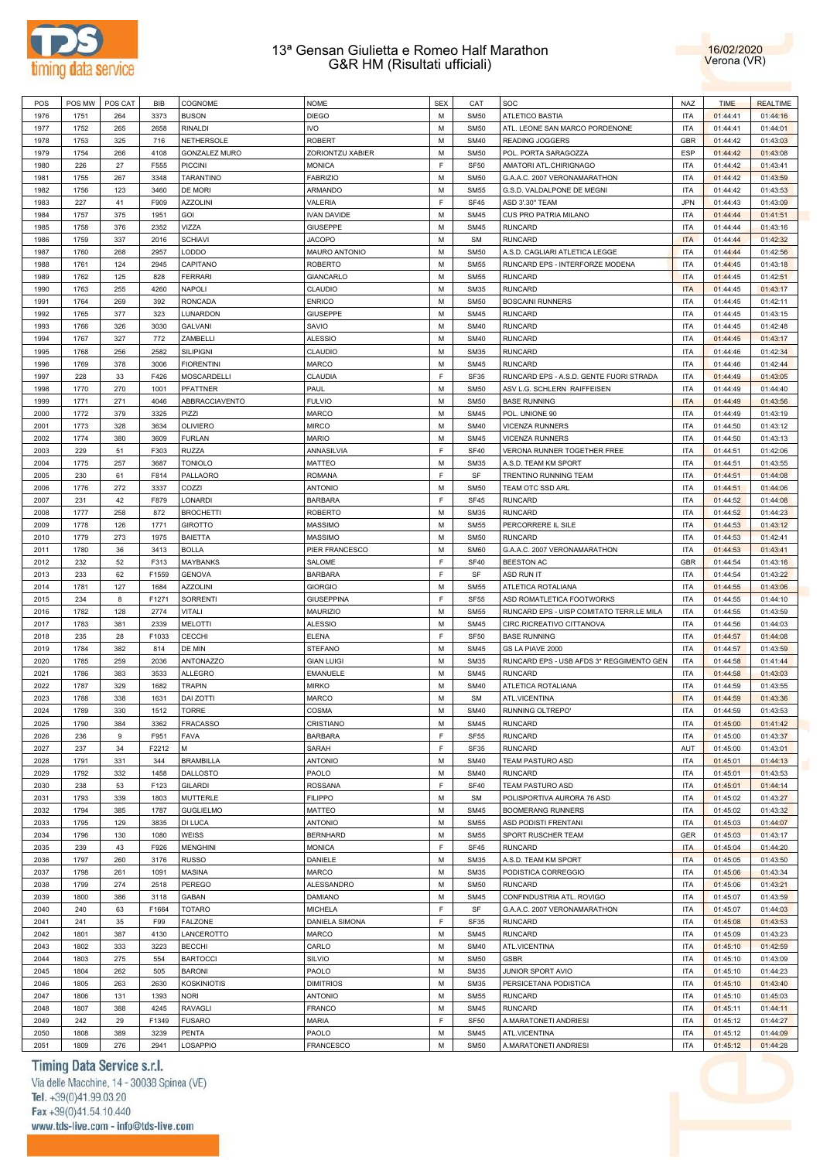



| POS  | POS MW | POS CAT | <b>BIB</b> | COGNOME              | <b>NOME</b>        | <b>SEX</b> | CAT         | SOC                                      | <b>NAZ</b> | <b>TIME</b> | <b>REALTIME</b> |
|------|--------|---------|------------|----------------------|--------------------|------------|-------------|------------------------------------------|------------|-------------|-----------------|
| 1976 | 1751   | 264     | 3373       | <b>BUSON</b>         | <b>DIEGO</b>       | M          | <b>SM50</b> | <b>ATLETICO BASTIA</b>                   | <b>ITA</b> | 01:44:41    | 01:44:16        |
| 1977 | 1752   | 265     | 2658       | <b>RINALDI</b>       | <b>IVO</b>         | M          | <b>SM50</b> | ATL. LEONE SAN MARCO PORDENONE           | <b>ITA</b> | 01:44:41    | 01:44:01        |
|      |        |         |            |                      |                    |            |             | <b>READING JOGGERS</b>                   |            |             |                 |
| 1978 | 1753   | 325     | 716        | <b>NETHERSOLE</b>    | <b>ROBERT</b>      | M          | <b>SM40</b> |                                          | <b>GBR</b> | 01:44:42    | 01:43:03        |
| 1979 | 1754   | 266     | 4108       | <b>GONZALEZ MURO</b> | ZORIONTZU XABIER   | M          | <b>SM50</b> | POL. PORTA SARAGOZZA                     | <b>ESP</b> | 01:44:42    | 01:43:08        |
| 1980 | 226    | 27      | F555       | <b>PICCINI</b>       | <b>MONICA</b>      | F          | <b>SF50</b> | AMATORI ATL.CHIRIGNAGO                   | <b>ITA</b> | 01:44:42    | 01:43:41        |
| 1981 | 1755   | 267     | 3348       | TARANTINO            | <b>FABRIZIO</b>    | M          | <b>SM50</b> | G.A.A.C. 2007 VERONAMARATHON             | <b>ITA</b> | 01:44:42    | 01:43:59        |
| 1982 | 1756   | 123     | 3460       | DE MORI              | ARMANDO            | M          | <b>SM55</b> | G.S.D. VALDALPONE DE MEGNI               | <b>ITA</b> | 01:44:42    | 01:43:53        |
| 1983 | 227    | 41      | F909       | <b>AZZOLINI</b>      | VALERIA            | F          | <b>SF45</b> | ASD 3'.30" TEAM                          | <b>JPN</b> | 01:44:43    | 01:43:09        |
|      |        |         |            |                      |                    |            |             |                                          |            |             |                 |
| 1984 | 1757   | 375     | 1951       | GOI                  | <b>IVAN DAVIDE</b> | M          | <b>SM45</b> | CUS PRO PATRIA MILANO                    | <b>ITA</b> | 01:44:44    | 01:41:51        |
| 1985 | 1758   | 376     | 2352       | VIZZA                | <b>GIUSEPPE</b>    | M          | <b>SM45</b> | <b>RUNCARD</b>                           | <b>ITA</b> | 01:44:44    | 01:43:16        |
| 1986 | 1759   | 337     | 2016       | <b>SCHIAVI</b>       | <b>JACOPO</b>      | M          | <b>SM</b>   | <b>RUNCARD</b>                           | <b>ITA</b> | 01:44:44    | 01:42:32        |
| 1987 | 1760   | 268     | 2957       | LODDO                | MAURO ANTONIO      | M          | <b>SM50</b> | A.S.D. CAGLIARI ATLETICA LEGGE           | <b>ITA</b> | 01:44:44    | 01:42:56        |
| 1988 | 1761   | 124     | 2945       | CAPITANO             | <b>ROBERTO</b>     | M          | <b>SM55</b> | RUNCARD EPS - INTERFORZE MODENA          | <b>ITA</b> | 01:44:45    | 01:43:18        |
| 1989 | 1762   | 125     | 828        | <b>FERRARI</b>       | GIANCARLO          | M          | <b>SM55</b> | <b>RUNCARD</b>                           | <b>ITA</b> | 01:44:45    | 01:42:51        |
|      |        |         |            |                      |                    |            |             |                                          |            |             |                 |
| 1990 | 1763   | 255     | 4260       | <b>NAPOLI</b>        | CLAUDIO            | M          | <b>SM35</b> | <b>RUNCARD</b>                           | <b>ITA</b> | 01:44:45    | 01:43:17        |
| 1991 | 1764   | 269     | 392        | <b>RONCADA</b>       | <b>ENRICO</b>      | M          | <b>SM50</b> | <b>BOSCAINI RUNNERS</b>                  | <b>ITA</b> | 01:44:45    | 01:42:11        |
| 1992 | 1765   | 377     | 323        | LUNARDON             | <b>GIUSEPPE</b>    | M          | <b>SM45</b> | <b>RUNCARD</b>                           | <b>ITA</b> | 01:44:45    | 01:43:15        |
| 1993 | 1766   | 326     | 3030       | <b>GALVANI</b>       | SAVIO              | M          | <b>SM40</b> | <b>RUNCARD</b>                           | <b>ITA</b> | 01:44:45    | 01:42:48        |
| 1994 | 1767   | 327     | 772        | ZAMBELLI             | <b>ALESSIO</b>     | M          | <b>SM40</b> | <b>RUNCARD</b>                           | <b>ITA</b> | 01:44:45    | 01:43:17        |
|      |        |         |            |                      |                    |            |             |                                          |            |             |                 |
| 1995 | 1768   | 256     | 2582       | <b>SILIPIGNI</b>     | CLAUDIO            | M          | <b>SM35</b> | <b>RUNCARD</b>                           | <b>ITA</b> | 01:44:46    | 01:42:34        |
| 1996 | 1769   | 378     | 3006       | <b>FIORENTINI</b>    | MARCO              | M          | <b>SM45</b> | <b>RUNCARD</b>                           | <b>ITA</b> | 01:44:46    | 01:42:44        |
| 1997 | 228    | 33      | F426       | <b>MOSCARDELLI</b>   | CLAUDIA            | F          | SF35        | RUNCARD EPS - A.S.D. GENTE FUORI STRADA  | <b>ITA</b> | 01:44:49    | 01:43:05        |
| 1998 | 1770   | 270     | 1001       | <b>PFATTNER</b>      | PAUL               | M          | <b>SM50</b> | ASV L.G. SCHLERN RAIFFEISEN              | <b>ITA</b> | 01:44:49    | 01:44:40        |
| 1999 | 1771   | 271     | 4046       | ABBRACCIAVENTO       | <b>FULVIO</b>      | M          | <b>SM50</b> | <b>BASE RUNNING</b>                      | <b>ITA</b> | 01:44:49    | 01:43:56        |
| 2000 |        | 379     | 3325       | PIZZI                | <b>MARCO</b>       | M          | <b>SM45</b> |                                          | <b>ITA</b> |             |                 |
|      | 1772   |         |            |                      |                    |            |             | POL. UNIONE 90                           |            | 01:44:49    | 01:43:19        |
| 2001 | 1773   | 328     | 3634       | <b>OLIVIERO</b>      | <b>MIRCO</b>       | M          | <b>SM40</b> | <b>VICENZA RUNNERS</b>                   | <b>ITA</b> | 01:44:50    | 01:43:12        |
| 2002 | 1774   | 380     | 3609       | <b>FURLAN</b>        | <b>MARIO</b>       | M          | <b>SM45</b> | <b>VICENZA RUNNERS</b>                   | <b>ITA</b> | 01:44:50    | 01:43:13        |
| 2003 | 229    | 51      | F303       | <b>RUZZA</b>         | ANNASILVIA         | F          | <b>SF40</b> | VERONA RUNNER TOGETHER FREE              | <b>ITA</b> | 01:44:51    | 01:42:06        |
| 2004 | 1775   | 257     | 3687       | <b>TONIOLO</b>       | MATTEO             | M          | <b>SM35</b> | A.S.D. TEAM KM SPORT                     | <b>ITA</b> | 01:44:51    | 01:43:55        |
| 2005 | 230    | 61      | F814       | PALLAORO             | <b>ROMANA</b>      | F          | SF          | TRENTINO RUNNING TEAM                    | <b>ITA</b> | 01:44:51    | 01:44:08        |
|      |        |         |            |                      |                    |            |             |                                          |            |             |                 |
| 2006 | 1776   | 272     | 3337       | COZZI                | <b>ANTONIO</b>     | M          | <b>SM50</b> | TEAM OTC SSD ARL                         | <b>ITA</b> | 01:44:51    | 01:44:06        |
| 2007 | 231    | 42      | F879       | LONARDI              | <b>BARBARA</b>     | F          | <b>SF45</b> | <b>RUNCARD</b>                           | <b>ITA</b> | 01:44:52    | 01:44:08        |
| 2008 | 1777   | 258     | 872        | <b>BROCHETTI</b>     | <b>ROBERTO</b>     | M          | <b>SM35</b> | <b>RUNCARD</b>                           | <b>ITA</b> | 01:44:52    | 01:44:23        |
| 2009 | 1778   | 126     | 1771       | <b>GIROTTO</b>       | <b>MASSIMO</b>     | M          | <b>SM55</b> | PERCORRERE IL SILE                       | <b>ITA</b> | 01:44:53    | 01:43:12        |
| 2010 | 1779   | 273     | 1975       | <b>BAIETTA</b>       | <b>MASSIMO</b>     | M          | <b>SM50</b> | <b>RUNCARD</b>                           | <b>ITA</b> |             |                 |
|      |        |         |            |                      |                    |            |             |                                          |            | 01:44:53    | 01:42:41        |
| 2011 | 1780   | 36      | 3413       | <b>BOLLA</b>         | PIER FRANCESCO     | M          | <b>SM60</b> | G.A.A.C. 2007 VERONAMARATHON             | <b>ITA</b> | 01:44:53    | 01:43:41        |
| 2012 | 232    | 52      | F313       | <b>MAYBANKS</b>      | SALOME             | F          | <b>SF40</b> | <b>BEESTON AC</b>                        | <b>GBR</b> | 01:44:54    | 01:43:16        |
| 2013 | 233    | 62      | F1559      | <b>GENOVA</b>        | <b>BARBARA</b>     | F          | SF          | ASD RUN IT                               | <b>ITA</b> | 01:44:54    | 01:43:22        |
| 2014 | 1781   | 127     | 1684       | <b>AZZOLINI</b>      | <b>GIORGIO</b>     | M          | <b>SM55</b> | ATLETICA ROTALIANA                       | <b>ITA</b> | 01:44:55    | 01:43:06        |
| 2015 | 234    | 8       | F1271      | SORRENTI             | <b>GIUSEPPINA</b>  | F          | <b>SF55</b> | ASD ROMATLETICA FOOTWORKS                | <b>ITA</b> | 01:44:55    | 01:44:10        |
|      |        |         |            |                      |                    |            |             |                                          |            |             |                 |
| 2016 | 1782   | 128     | 2774       | <b>VITALI</b>        | <b>MAURIZIO</b>    | M          | <b>SM55</b> | RUNCARD EPS - UISP COMITATO TERR.LE MILA | <b>ITA</b> | 01:44:55    | 01:43:59        |
| 2017 | 1783   | 381     | 2339       | <b>MELOTTI</b>       | <b>ALESSIO</b>     | M          | <b>SM45</b> | CIRC.RICREATIVO CITTANOVA                | <b>ITA</b> | 01:44:56    | 01:44:03        |
| 2018 | 235    | 28      | F1033      | <b>CECCHI</b>        | <b>ELENA</b>       | F          | <b>SF50</b> | <b>BASE RUNNING</b>                      | <b>ITA</b> | 01:44:57    | 01:44:08        |
| 2019 | 1784   | 382     | 814        | DE MIN               | STEFANO            | M          | <b>SM45</b> | GS LA PIAVE 2000                         | <b>ITA</b> | 01:44:57    | 01:43:59        |
| 2020 | 1785   | 259     | 2036       | <b>ANTONAZZO</b>     | <b>GIAN LUIGI</b>  | M          | <b>SM35</b> | RUNCARD EPS - USB AFDS 3* REGGIMENTO GEN | <b>ITA</b> | 01:44:58    | 01:41:44        |
|      |        |         |            |                      |                    |            |             |                                          |            |             |                 |
| 2021 | 1786   | 383     | 3533       | <b>ALLEGRO</b>       | EMANUELE           | M          | <b>SM45</b> | <b>RUNCARD</b>                           | <b>ITA</b> | 01:44:58    | 01:43:03        |
| 2022 | 1787   | 329     | 1682       | <b>TRAPIN</b>        | <b>MIRKO</b>       | M          | <b>SM40</b> | ATLETICA ROTALIANA                       | <b>ITA</b> | 01:44:59    | 01:43:55        |
| 2023 | 1788   | 338     | 1631       | <b>DAI ZOTTI</b>     | <b>MARCO</b>       | M          | <b>SM</b>   | ATL.VICENTINA                            | <b>ITA</b> | 01:44:59    | 01:43:36        |
| 2024 | 1789   | 330     | 1512       | <b>TORRE</b>         | COSMA              | M          | <b>SM40</b> | RUNNING OLTREPO'                         | <b>ITA</b> | 01:44:59    | 01:43:53        |
| 2025 | 1790   | 384     | 3362       | <b>FRACASSO</b>      | CRISTIANO          | M          | <b>SM45</b> | <b>RUNCARD</b>                           | <b>ITA</b> | 01:45:00    | 01:41:42        |
| 2026 | 236    | 9       | F951       | <b>FAVA</b>          | <b>BARBARA</b>     | F          | <b>SF55</b> | <b>RUNCARD</b>                           | <b>ITA</b> | 01:45:00    | 01:43:37        |
|      |        |         |            |                      |                    |            |             |                                          |            |             |                 |
| 2027 | 237    | 34      | F2212      | М                    | SARAH              | F          | SF35        | <b>RUNCARD</b>                           | AUT        | 01:45:00    | 01:43:01        |
| 2028 | 1791   | 331     | 344        | <b>BRAMBILLA</b>     | <b>ANTONIO</b>     | M          | <b>SM40</b> | TEAM PASTURO ASD                         | <b>ITA</b> | 01:45:01    | 01:44:13        |
| 2029 | 1792   | 332     | 1458       | <b>DALLOSTO</b>      | PAOLO              | M          | <b>SM40</b> | <b>RUNCARD</b>                           | <b>ITA</b> | 01:45:01    | 01:43:53        |
| 2030 | 238    | 53      | F123       | <b>GILARDI</b>       | <b>ROSSANA</b>     | F          | <b>SF40</b> | TEAM PASTURO ASD                         | <b>ITA</b> | 01:45:01    | 01:44:14        |
| 2031 | 1793   | 339     | 1803       | MUTTERLE             | <b>FILIPPO</b>     | M          | <b>SM</b>   | POLISPORTIVA AURORA 76 ASD               | <b>ITA</b> | 01:45:02    | 01:43:27        |
| 2032 |        |         |            |                      |                    | M          |             |                                          | <b>ITA</b> |             |                 |
|      | 1794   | 385     | 1787       | <b>GUGLIELMO</b>     | MATTEO             |            | <b>SM45</b> | <b>BOOMERANG RUNNERS</b>                 |            | 01:45:02    | 01:43:32        |
| 2033 | 1795   | 129     | 3835       | DI LUCA              | <b>ANTONIO</b>     | M          | <b>SM55</b> | ASD PODISTI FRENTANI                     | <b>ITA</b> | 01:45:03    | 01:44:07        |
| 2034 | 1796   | 130     | 1080       | <b>WEISS</b>         | <b>BERNHARD</b>    | M          | <b>SM55</b> | SPORT RUSCHER TEAM                       | <b>GER</b> | 01:45:03    | 01:43:17        |
| 2035 | 239    | 43      | F926       | <b>MENGHINI</b>      | <b>MONICA</b>      | F          | <b>SF45</b> | <b>RUNCARD</b>                           | <b>ITA</b> | 01:45:04    | 01:44:20        |
| 2036 | 1797   | 260     | 3176       | <b>RUSSO</b>         | DANIELE            | M          | <b>SM35</b> | A.S.D. TEAM KM SPORT                     | <b>ITA</b> | 01:45:05    | 01:43:50        |
| 2037 |        |         |            | <b>MASINA</b>        |                    | M          | <b>SM35</b> |                                          |            |             |                 |
|      | 1798   | 261     | 1091       |                      | MARCO              |            |             | PODISTICA CORREGGIO                      | <b>ITA</b> | 01:45:06    | 01:43:34        |
| 2038 | 1799   | 274     | 2518       | PEREGO               | ALESSANDRO         | M          | <b>SM50</b> | <b>RUNCARD</b>                           | <b>ITA</b> | 01:45:06    | 01:43:21        |
| 2039 | 1800   | 386     | 3118       | <b>GABAN</b>         | DAMIANO            | M          | <b>SM45</b> | CONFINDUSTRIA ATL. ROVIGO                | <b>ITA</b> | 01:45:07    | 01:43:59        |
| 2040 | 240    | 63      | F1664      | <b>TOTARO</b>        | <b>MICHELA</b>     | F          | SF          | G.A.A.C. 2007 VERONAMARATHON             | <b>ITA</b> | 01:45:07    | 01:44:03        |
| 2041 | 241    | 35      | F99        | <b>FALZONE</b>       | DANIELA SIMONA     | F          | SF35        | <b>RUNCARD</b>                           | <b>ITA</b> | 01:45:08    | 01:43:53        |
| 2042 | 1801   | 387     | 4130       | LANCEROTTO           | <b>MARCO</b>       | M          | <b>SM45</b> | <b>RUNCARD</b>                           | <b>ITA</b> | 01:45:09    | 01:43:23        |
|      |        |         |            |                      |                    |            |             |                                          |            |             |                 |
| 2043 | 1802   | 333     | 3223       | <b>BECCHI</b>        | CARLO              | M          | <b>SM40</b> | ATL.VICENTINA                            | <b>ITA</b> | 01:45:10    | 01:42:59        |
| 2044 | 1803   | 275     | 554        | <b>BARTOCCI</b>      | SILVIO             | M          | <b>SM50</b> | <b>GSBR</b>                              | <b>ITA</b> | 01:45:10    | 01:43:09        |
| 2045 | 1804   | 262     | 505        | <b>BARONI</b>        | PAOLO              | M          | <b>SM35</b> | JUNIOR SPORT AVIO                        | <b>ITA</b> | 01:45:10    | 01:44:23        |
| 2046 | 1805   | 263     | 2630       | <b>KOSKINIOTIS</b>   | <b>DIMITRIOS</b>   | M          | <b>SM35</b> | PERSICETANA PODISTICA                    | <b>ITA</b> | 01:45:10    | 01:43:40        |
| 2047 | 1806   | 131     | 1393       | <b>NORI</b>          | <b>ANTONIO</b>     | M          | <b>SM55</b> | RUNCARD                                  | <b>ITA</b> | 01:45:10    | 01:45:03        |
|      |        |         |            |                      |                    |            |             |                                          |            |             |                 |
| 2048 | 1807   | 388     | 4245       | <b>RAVAGLI</b>       | FRANCO             | M          | <b>SM45</b> | <b>RUNCARD</b>                           | <b>ITA</b> | 01:45:11    | 01:44:11        |
| 2049 | 242    | 29      | F1349      | <b>FUSARO</b>        | <b>MARIA</b>       | F          | <b>SF50</b> | A.MARATONETI ANDRIESI                    | <b>ITA</b> | 01:45:12    | 01:44:27        |
| 2050 | 1808   | 389     | 3239       | <b>PENTA</b>         | PAOLO              | М          | <b>SM45</b> | ATL.VICENTINA                            | <b>ITA</b> | 01:45:12    | 01:44:09        |
| 2051 | 1809   | 276     | 2941       | LOSAPPIO             | <b>FRANCESCO</b>   | М          | <b>SM50</b> | A.MARATONETI ANDRIESI                    | <b>ITA</b> | 01:45:12    | 01:44:28        |
|      |        |         |            |                      |                    |            |             |                                          |            |             |                 |

# Timing Data Service s.r.l.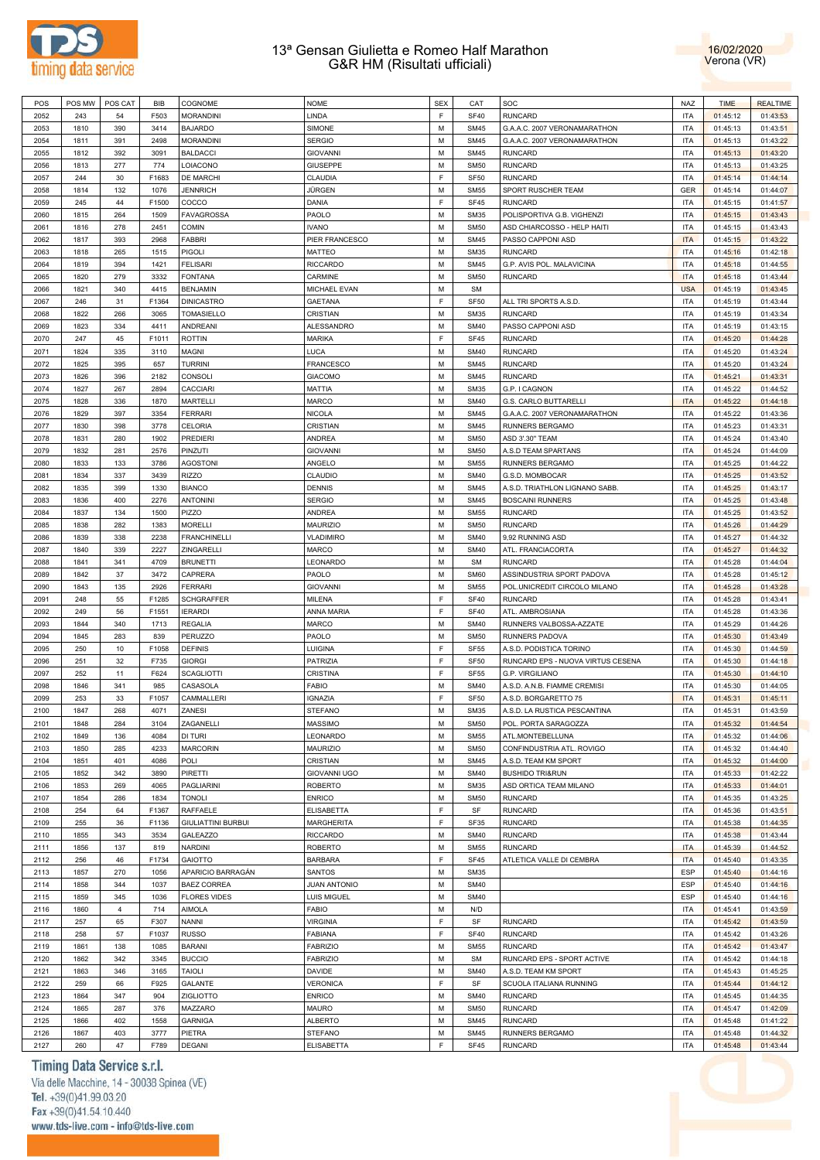



| POS          | POS MW      | POS CAT        | BIB          | COGNOME                   | <b>NOME</b>                         | <b>SEX</b> | CAT                        | SOC                               | <b>NAZ</b>               | <b>TIME</b> | <b>REALTIME</b>      |
|--------------|-------------|----------------|--------------|---------------------------|-------------------------------------|------------|----------------------------|-----------------------------------|--------------------------|-------------|----------------------|
| 2052         | 243         | 54             | F503         | <b>MORANDINI</b>          | LINDA                               | F          | <b>SF40</b>                | <b>RUNCARD</b>                    | <b>ITA</b>               | 01:45:12    | 01:43:53             |
| 2053         | 1810        | 390            | 3414         | <b>BAJARDO</b>            | SIMONE                              | M          | <b>SM45</b>                | G.A.A.C. 2007 VERONAMARATHON      | <b>ITA</b>               | 01:45:13    | 01:43:51             |
| 2054         | 1811        | 391            | 2498         | <b>MORANDINI</b>          | <b>SERGIO</b>                       | M          | <b>SM45</b>                | G.A.A.C. 2007 VERONAMARATHON      | <b>ITA</b>               | 01:45:13    | 01:43:22             |
|              |             |                |              |                           |                                     |            |                            |                                   |                          |             |                      |
| 2055         | 1812        | 392            | 3091         | <b>BALDACCI</b>           | <b>GIOVANNI</b>                     | M          | <b>SM45</b>                | <b>RUNCARD</b>                    | <b>ITA</b>               | 01:45:13    | 01:43:20             |
| 2056         | 1813        | 277            | 774          | LOIACONO                  | <b>GIUSEPPE</b>                     | M          | <b>SM50</b>                | <b>RUNCARD</b>                    | <b>ITA</b>               | 01:45:13    | 01:43:25             |
| 2057         | 244         | 30             | F1683        | DE MARCHI                 | CLAUDIA                             | F          | SF50                       | <b>RUNCARD</b>                    | <b>ITA</b>               | 01:45:14    | 01:44:14             |
| 2058         | 1814        | 132            | 1076         | <b>JENNRICH</b>           | JÜRGEN                              | М          | <b>SM55</b>                | SPORT RUSCHER TEAM                | GER                      | 01:45:14    | 01:44:07             |
| 2059         | 245         | 44             | F1500        | COCCO                     | DANIA                               | F          | SF45                       | <b>RUNCARD</b>                    | <b>ITA</b>               | 01:45:15    | 01:41:57             |
| 2060         | 1815        | 264            | 1509         | <b>FAVAGROSSA</b>         | PAOLO                               | M          | <b>SM35</b>                | POLISPORTIVA G.B. VIGHENZI        | <b>ITA</b>               | 01:45:15    | 01:43:43             |
|              |             |                |              |                           |                                     | M          |                            |                                   | <b>ITA</b>               |             |                      |
| 2061         | 1816        | 278            | 2451         | <b>COMIN</b>              | <b>IVANO</b>                        |            | <b>SM50</b>                | ASD CHIARCOSSO - HELP HAITI       |                          | 01:45:15    | 01:43:43             |
| 2062         | 1817        | 393            | 2968         | FABBRI                    | PIER FRANCESCO                      | M          | <b>SM45</b>                | PASSO CAPPONI ASD                 | <b>ITA</b>               | 01:45:15    | 01:43:22             |
| 2063         | 1818        | 265            | 1515         | <b>PIGOLI</b>             | MATTEO                              | M          | <b>SM35</b>                | <b>RUNCARD</b>                    | <b>ITA</b>               | 01:45:16    | 01:42:18             |
| 2064         | 1819        | 394            | 1421         | <b>FELISARI</b>           | <b>RICCARDO</b>                     | M          | <b>SM45</b>                | G.P. AVIS POL. MALAVICINA         | <b>ITA</b>               | 01:45:18    | 01:44:55             |
| 2065         | 1820        | 279            | 3332         | <b>FONTANA</b>            | CARMINE                             | M          | <b>SM50</b>                | <b>RUNCARD</b>                    | <b>ITA</b>               | 01:45:18    | 01:43:44             |
| 2066         | 1821        | 340            | 4415         | <b>BENJAMIN</b>           | MICHAEL EVAN                        | M          | <b>SM</b>                  |                                   | <b>USA</b>               | 01:45:19    | 01:43:45             |
| 2067         | 246         | 31             | F1364        | <b>DINICASTRO</b>         | <b>GAETANA</b>                      | E          | SF <sub>50</sub>           | ALL TRI SPORTS A.S.D.             | <b>ITA</b>               | 01:45:19    | 01:43:44             |
|              |             |                |              |                           |                                     |            |                            |                                   |                          |             |                      |
| 2068         | 1822        | 266            | 3065         | <b>TOMASIELLO</b>         | CRISTIAN                            | M          | <b>SM35</b>                | <b>RUNCARD</b>                    | <b>ITA</b>               | 01:45:19    | 01:43:34             |
| 2069         | 1823        | 334            | 4411         | ANDREANI                  | ALESSANDRO                          | M          | <b>SM40</b>                | PASSO CAPPONI ASD                 | <b>ITA</b>               | 01:45:19    | 01:43:15             |
| 2070         | 247         | 45             | F1011        | <b>ROTTIN</b>             | <b>MARIKA</b>                       | F          | SF45                       | <b>RUNCARD</b>                    | <b>ITA</b>               | 01:45:20    | 01:44:28             |
| 2071         | 1824        | 335            | 3110         | MAGNI                     | LUCA                                | M          | <b>SM40</b>                | <b>RUNCARD</b>                    | <b>ITA</b>               | 01:45:20    | 01:43:24             |
| 2072         | 1825        | 395            | 657          | <b>TURRINI</b>            | <b>FRANCESCO</b>                    | M          | <b>SM45</b>                | <b>RUNCARD</b>                    | <b>ITA</b>               | 01:45:20    | 01:43:24             |
| 2073         | 1826        | 396            | 2182         | CONSOLI                   | <b>GIACOMO</b>                      | M          | <b>SM45</b>                | <b>RUNCARD</b>                    | <b>ITA</b>               | 01:45:21    | 01:43:31             |
| 2074         | 1827        | 267            | 2894         | CACCIARI                  | MATTIA                              | M          | <b>SM35</b>                | G.P. I CAGNON                     | <b>ITA</b>               | 01:45:22    | 01:44:52             |
|              |             |                |              |                           |                                     |            |                            |                                   |                          |             |                      |
| 2075         | 1828        | 336            | 1870         | MARTELLI                  | <b>MARCO</b>                        | M          | <b>SM40</b>                | G.S. CARLO BUTTARELLI             | <b>ITA</b>               | 01:45:22    | 01:44:18             |
| 2076         | 1829        | 397            | 3354         | <b>FERRARI</b>            | <b>NICOLA</b>                       | M          | <b>SM45</b>                | G.A.A.C. 2007 VERONAMARATHON      | <b>ITA</b>               | 01:45:22    | 01:43:36             |
| 2077         | 1830        | 398            | 3778         | CELORIA                   | CRISTIAN                            | M          | <b>SM45</b>                | RUNNERS BERGAMO                   | <b>ITA</b>               | 01:45:23    | 01:43:31             |
| 2078         | 1831        | 280            | 1902         | <b>PREDIERI</b>           | ANDREA                              | M          | <b>SM50</b>                | ASD 3'.30" TEAM                   | <b>ITA</b>               | 01:45:24    | 01:43:40             |
| 2079         | 1832        | 281            | 2576         | PINZUTI                   | <b>GIOVANNI</b>                     | M          | <b>SM50</b>                | A.S.D TEAM SPARTANS               | <b>ITA</b>               | 01:45:24    | 01:44:09             |
| 2080         | 1833        | 133            | 3786         | <b>AGOSTONI</b>           | ANGELO                              | M          | <b>SM55</b>                | RUNNERS BERGAMO                   | <b>ITA</b>               | 01:45:25    | 01:44:22             |
|              |             |                |              |                           |                                     |            |                            | G.S.D. MOMBOCAR                   |                          |             |                      |
| 2081         | 1834        | 337            | 3439         | <b>RIZZO</b>              | CLAUDIO                             | M          | <b>SM40</b>                |                                   | <b>ITA</b>               | 01:45:25    | 01:43:52             |
| 2082         | 1835        | 399            | 1330         | <b>BIANCO</b>             | <b>DENNIS</b>                       | М          | <b>SM45</b>                | A.S.D. TRIATHLON LIGNANO SABB.    | <b>ITA</b>               | 01:45:25    | 01:43:17             |
| 2083         | 1836        | 400            | 2276         | <b>ANTONINI</b>           | <b>SERGIO</b>                       | M          | <b>SM45</b>                | <b>BOSCAINI RUNNERS</b>           | <b>ITA</b>               | 01:45:25    | 01:43:48             |
| 2084         | 1837        | 134            | 1500         | PIZZO                     | ANDREA                              | М          | <b>SM55</b>                | <b>RUNCARD</b>                    | <b>ITA</b>               | 01:45:25    | 01:43:52             |
| 2085         | 1838        | 282            | 1383         | <b>MORELLI</b>            | <b>MAURIZIO</b>                     | М          | <b>SM50</b>                | <b>RUNCARD</b>                    | <b>ITA</b>               | 01:45:26    | 01:44:29             |
| 2086         | 1839        | 338            | 2238         | <b>FRANCHINELLI</b>       | <b>VLADIMIRO</b>                    | М          | <b>SM40</b>                | 9,92 RUNNING ASD                  | <b>ITA</b>               | 01:45:27    | 01:44:32             |
| 2087         | 1840        | 339            | 2227         | ZINGARELLI                | MARCO                               | М          | <b>SM40</b>                | ATL. FRANCIACORTA                 | <b>ITA</b>               | 01:45:27    | 01:44:32             |
|              |             |                |              |                           |                                     |            |                            |                                   |                          |             |                      |
| 2088         | 1841        | 341            | 4709         | <b>BRUNETTI</b>           | LEONARDO                            | М          | <b>SM</b>                  | <b>RUNCARD</b>                    | <b>ITA</b>               | 01:45:28    | 01:44:04             |
| 2089         | 1842        |                |              |                           |                                     |            |                            |                                   |                          |             |                      |
|              |             | 37             | 3472         | CAPRERA                   | PAOLO                               | M          | <b>SM60</b>                | ASSINDUSTRIA SPORT PADOVA         | <b>ITA</b>               | 01:45:28    | 01:45:12             |
| 2090         | 1843        | 135            | 2926         | <b>FERRARI</b>            | <b>GIOVANNI</b>                     | M          | <b>SM55</b>                | POL.UNICREDIT CIRCOLO MILANO      | <b>ITA</b>               | 01:45:28    | 01:43:28             |
| 2091         | 248         | 55             | F1285        | <b>SCHGRAFFER</b>         | MILENA                              | F          | <b>SF40</b>                | <b>RUNCARD</b>                    | <b>ITA</b>               | 01:45:28    | 01:43:41             |
| 2092         | 249         | 56             | F1551        | <b>IERARDI</b>            | ANNA MARIA                          | F          | <b>SF40</b>                | ATL. AMBROSIANA                   | <b>ITA</b>               | 01:45:28    | 01:43:36             |
|              |             |                |              |                           |                                     |            |                            |                                   |                          |             |                      |
| 2093         | 1844        | 340            | 1713         | <b>REGALIA</b>            | <b>MARCO</b>                        | M          | <b>SM40</b>                | RUNNERS VALBOSSA-AZZATE           | <b>ITA</b>               | 01:45:29    | 01:44:26             |
| 2094         | 1845        | 283            | 839          | <b>PERUZZO</b>            | PAOLO                               | M          | <b>SM50</b>                | RUNNERS PADOVA                    | <b>ITA</b>               | 01:45:30    | 01:43:49             |
| 2095         | 250         | 10             | F1058        | <b>DEFINIS</b>            | Luigina                             | E          | SF <sub>55</sub>           | A.S.D. PODISTICA TORINO           | <b>ITA</b>               | 01:45:30    | 01:44:59             |
| 2096         | 251         | 32             | F735         | <b>GIORGI</b>             | PATRIZIA                            | F          | SF <sub>50</sub>           | RUNCARD EPS - NUOVA VIRTUS CESENA | <b>ITA</b>               | 01:45:30    | 01:44:18             |
| 2097         | 252         | 11             | F624         | <b>SCAGLIOTTI</b>         | CRISTINA                            | F          | SF <sub>55</sub>           | G.P. VIRGILIANO                   | <b>ITA</b>               | 01:45:30    | 01:44:10             |
| 2098         | 1846        | 341            | 985          | CASASOLA                  | <b>FABIO</b>                        | M          | <b>SM40</b>                | A.S.D. A.N.B. FIAMME CREMISI      | <b>ITA</b>               | 01:45:30    | 01:44:05             |
| 2099         | 253         | 33             | F1057        | CAMMALLERI                | <b>IGNAZIA</b>                      | E          | SF50                       | A.S.D. BORGARETTO 75              | <b>ITA</b>               | 01:45:31    | 01:45:11             |
| 2100         | 1847        | 268            | 4071         |                           |                                     | M          | <b>SM35</b>                |                                   | <b>ITA</b>               |             |                      |
|              |             |                |              | ZANESI                    | <b>STEFANO</b>                      |            |                            | A.S.D. LA RUSTICA PESCANTINA      |                          | 01:45:31    | 01:43:59             |
| 2101         | 1848        | 284            | 3104         | ZAGANELLI                 | <b>MASSIMO</b>                      | M          | <b>SM50</b>                | POL. PORTA SARAGOZZA              | <b>ITA</b>               | 01:45:32    | 01:44:54             |
| 2102         | 1849        | 136            | 4084         | DI TURI                   | LEONARDO                            | M          | <b>SM55</b>                | ATL.MONTEBELLUNA                  | <b>ITA</b>               | 01:45:32    | 01:44:06             |
| 2103         | 1850        | 285            | 4233         | <b>MARCORIN</b>           | <b>MAURIZIO</b>                     | M          | <b>SM50</b>                | CONFINDUSTRIA ATL. ROVIGO         | <b>ITA</b>               | 01:45:32    | 01:44:40             |
| 2104         | 1851        | 401            | 4086         | POLI                      | CRISTIAN                            | M          | <b>SM45</b>                | A.S.D. TEAM KM SPORT              | <b>ITA</b>               | 01:45:32    | 01:44:00             |
| 2105         | 1852        | 342            | 3890         | <b>PIRETTI</b>            | <b>GIOVANNI UGO</b>                 | M          | <b>SM40</b>                | <b>BUSHIDO TRI&amp;RUN</b>        | <b>ITA</b>               | 01:45:33    | 01:42:22             |
| 2106         | 1853        | 269            | 4065         | PAGLIARINI                | <b>ROBERTO</b>                      | M          | <b>SM35</b>                | ASD ORTICA TEAM MILANO            | <b>ITA</b>               | 01:45:33    | 01:44:01             |
| 2107         | 1854        | 286            | 1834         | <b>TONOLI</b>             | <b>ENRICO</b>                       | M          | <b>SM50</b>                | <b>RUNCARD</b>                    | <b>ITA</b>               | 01:45:35    | 01:43:25             |
|              |             |                |              |                           |                                     |            |                            |                                   |                          |             |                      |
| 2108         | 254         | 64             | F1367        | RAFFAELE                  | <b>ELISABETTA</b>                   | F          | SF                         | <b>RUNCARD</b>                    | <b>ITA</b>               | 01:45:36    | 01:43:51             |
| 2109         | 255         | 36             | F1136        | <b>GIULIATTINI BURBUI</b> | <b>MARGHERITA</b>                   | F          | SF35                       | <b>RUNCARD</b>                    | <b>ITA</b>               | 01:45:38    | 01:44:35             |
| 2110         | 1855        | 343            | 3534         | <b>GALEAZZO</b>           | <b>RICCARDO</b>                     | M          | <b>SM40</b>                | <b>RUNCARD</b>                    | <b>ITA</b>               | 01:45:38    | 01:43:44             |
| 2111         | 1856        | 137            | 819          | <b>NARDINI</b>            | <b>ROBERTO</b>                      | M          | <b>SM55</b>                | <b>RUNCARD</b>                    | <b>ITA</b>               | 01:45:39    | 01:44:52             |
| 2112         | 256         | 46             | F1734        | GAIOTTO                   | <b>BARBARA</b>                      | F          | SF45                       | ATLETICA VALLE DI CEMBRA          | <b>ITA</b>               | 01:45:40    | 01:43:35             |
| 2113         | 1857        | 270            | 1056         | APARICIO BARRAGÁN         | SANTOS                              | M          | <b>SM35</b>                |                                   | ESP                      | 01:45:40    | 01:44:16             |
| 2114         | 1858        | 344            | 1037         | <b>BAEZ CORREA</b>        | <b>JUAN ANTONIO</b>                 | M          | <b>SM40</b>                |                                   | <b>ESP</b>               | 01:45:40    | 01:44:16             |
|              |             |                |              |                           |                                     |            |                            |                                   |                          |             |                      |
| 2115         | 1859        | 345            | 1036         | <b>FLORES VIDES</b>       | LUIS MIGUEL                         | M          | <b>SM40</b>                |                                   | ESP                      | 01:45:40    | 01:44:16             |
| 2116         | 1860        | $\overline{4}$ | 714          | AIMOLA                    | FABIO                               | M          | N/D                        |                                   | <b>ITA</b>               | 01:45:41    | 01:43:59             |
| 2117         | 257         | 65             | F307         | <b>NANNI</b>              | <b>VIRGINIA</b>                     | F          | SF                         | <b>RUNCARD</b>                    | <b>ITA</b>               | 01:45:42    | 01:43:59             |
| 2118         | 258         | 57             | F1037        | <b>RUSSO</b>              | <b>FABIANA</b>                      | F          | <b>SF40</b>                | <b>RUNCARD</b>                    | <b>ITA</b>               | 01:45:42    | 01:43:26             |
| 2119         | 1861        | 138            | 1085         | <b>BARANI</b>             | <b>FABRIZIO</b>                     | M          | <b>SM55</b>                | <b>RUNCARD</b>                    | <b>ITA</b>               | 01:45:42    | 01:43:47             |
| 2120         | 1862        | 342            | 3345         | <b>BUCCIO</b>             | <b>FABRIZIO</b>                     | M          | <b>SM</b>                  | RUNCARD EPS - SPORT ACTIVE        | <b>ITA</b>               | 01:45:42    | 01:44:18             |
| 2121         | 1863        | 346            | 3165         | <b>TAIOLI</b>             | DAVIDE                              | M          | <b>SM40</b>                | A.S.D. TEAM KM SPORT              | <b>ITA</b>               | 01:45:43    | 01:45:25             |
|              |             |                |              |                           |                                     | F          | SF                         |                                   |                          |             |                      |
| 2122         | 259         | 66             | F925         | GALANTE                   | <b>VERONICA</b>                     |            |                            | SCUOLA ITALIANA RUNNING           | <b>ITA</b>               | 01:45:44    | 01:44:12             |
| 2123         | 1864        | 347            | 904          | ZIGLIOTTO                 | <b>ENRICO</b>                       | M          | <b>SM40</b>                | <b>RUNCARD</b>                    | <b>ITA</b>               | 01:45:45    | 01:44:35             |
| 2124         | 1865        | 287            | 376          | MAZZARO                   | MAURO                               | M          | <b>SM50</b>                | <b>RUNCARD</b>                    | <b>ITA</b>               | 01:45:47    | 01:42:09             |
| 2125         | 1866        | 402            | 1558         | <b>GARNIGA</b>            | <b>ALBERTO</b>                      | M          | <b>SM45</b>                | <b>RUNCARD</b>                    | <b>ITA</b>               | 01:45:48    | 01:41:22             |
| 2126<br>2127 | 1867<br>260 | 403<br>47      | 3777<br>F789 | PIETRA<br><b>DEGANI</b>   | <b>STEFANO</b><br><b>ELISABETTA</b> | М<br>F     | <b>SM45</b><br><b>SF45</b> | RUNNERS BERGAMO<br><b>RUNCARD</b> | <b>ITA</b><br><b>ITA</b> | 01:45:48    | 01:44:32<br>01:43:44 |

# Timing Data Service s.r.l.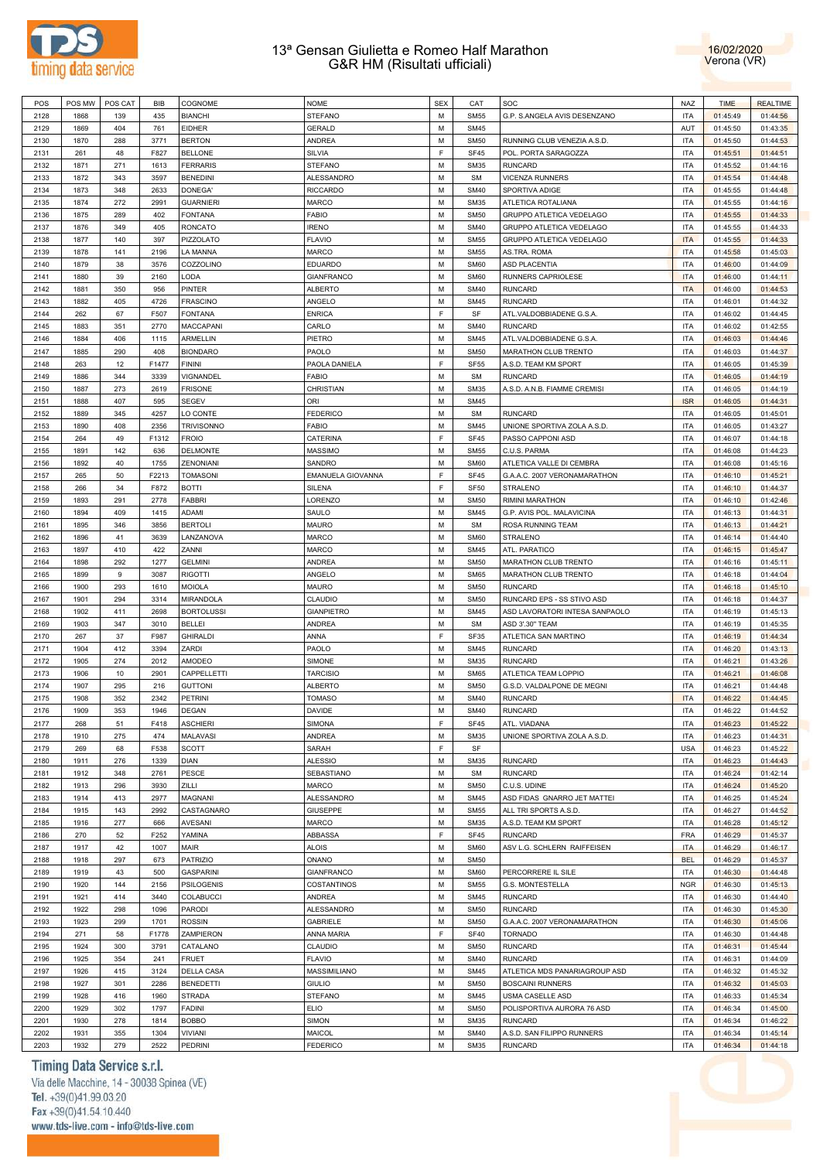



| POS  | POS MW | POS CAT | BIB   | COGNOME           | <b>NOME</b>       | <b>SEX</b> | CAT         | SOC                            | <b>NAZ</b> | <b>TIME</b> | <b>REALTIME</b> |
|------|--------|---------|-------|-------------------|-------------------|------------|-------------|--------------------------------|------------|-------------|-----------------|
| 2128 | 1868   | 139     | 435   | <b>BIANCHI</b>    | <b>STEFANO</b>    | M          | <b>SM55</b> | G.P. S.ANGELA AVIS DESENZANO   | <b>ITA</b> | 01:45:49    | 01:44:56        |
| 2129 | 1869   | 404     | 761   | <b>EIDHER</b>     | <b>GERALD</b>     | M          | <b>SM45</b> |                                | AUT        | 01:45:50    | 01:43:35        |
| 2130 | 1870   | 288     | 3771  | <b>BERTON</b>     | <b>ANDREA</b>     | M          | <b>SM50</b> | RUNNING CLUB VENEZIA A.S.D.    | <b>ITA</b> | 01:45:50    | 01:44:53        |
|      | 261    |         |       | <b>BELLONE</b>    | SILVIA            | F          | SF45        | POL. PORTA SARAGOZZA           | <b>ITA</b> |             |                 |
| 2131 |        | 48      | F827  |                   |                   |            |             |                                |            | 01:45:51    | 01:44:51        |
| 2132 | 1871   | 271     | 1613  | <b>FERRARIS</b>   | <b>STEFANO</b>    | M          | <b>SM35</b> | <b>RUNCARD</b>                 | <b>ITA</b> | 01:45:52    | 01:44:16        |
| 2133 | 1872   | 343     | 3597  | <b>BENEDINI</b>   | <b>ALESSANDRO</b> | M          | <b>SM</b>   | <b>VICENZA RUNNERS</b>         | <b>ITA</b> | 01:45:54    | 01:44:48        |
| 2134 | 1873   | 348     | 2633  | DONEGA'           | <b>RICCARDO</b>   | M          | <b>SM40</b> | SPORTIVA ADIGE                 | <b>ITA</b> | 01:45:55    | 01:44:48        |
| 2135 | 1874   | 272     | 2991  | <b>GUARNIERI</b>  | <b>MARCO</b>      | M          | <b>SM35</b> | ATLETICA ROTALIANA             | <b>ITA</b> | 01:45:55    | 01:44:16        |
| 2136 | 1875   | 289     | 402   | <b>FONTANA</b>    | <b>FABIO</b>      | M          | <b>SM50</b> | GRUPPO ATLETICA VEDELAGO       | <b>ITA</b> | 01:45:55    | 01:44:33        |
| 2137 | 1876   | 349     | 405   | <b>RONCATO</b>    | <b>IRENO</b>      | M          | <b>SM40</b> | GRUPPO ATLETICA VEDELAGO       | <b>ITA</b> | 01:45:55    | 01:44:33        |
| 2138 | 1877   | 140     | 397   | PIZZOLATO         | <b>FLAVIO</b>     | M          | <b>SM55</b> | GRUPPO ATLETICA VEDELAGO       | <b>ITA</b> | 01:45:55    | 01:44:33        |
| 2139 | 1878   | 141     | 2196  | <b>LA MANNA</b>   | <b>MARCO</b>      | M          | <b>SM55</b> | AS.TRA. ROMA                   | <b>ITA</b> | 01:45:58    | 01:45:03        |
| 2140 | 1879   | 38      | 3576  | COZZOLINO         | <b>EDUARDO</b>    | M          | <b>SM60</b> | <b>ASD PLACENTIA</b>           | <b>ITA</b> | 01:46:00    | 01:44:09        |
|      |        |         |       |                   |                   |            |             |                                |            |             |                 |
| 2141 | 1880   | 39      | 2160  | LODA              | <b>GIANFRANCO</b> | M          | <b>SM60</b> | RUNNERS CAPRIOLESE             | <b>ITA</b> | 01:46:00    | 01:44:11        |
| 2142 | 1881   | 350     | 956   | PINTER            | <b>ALBERTO</b>    | M          | <b>SM40</b> | <b>RUNCARD</b>                 | <b>ITA</b> | 01:46:00    | 01:44:53        |
| 2143 | 1882   | 405     | 4726  | <b>FRASCINO</b>   | ANGELO            | M          | <b>SM45</b> | <b>RUNCARD</b>                 | <b>ITA</b> | 01:46:01    | 01:44:32        |
| 2144 | 262    | 67      | F507  | <b>FONTANA</b>    | <b>ENRICA</b>     | F          | SF          | ATL.VALDOBBIADENE G.S.A.       | <b>ITA</b> | 01:46:02    | 01:44:45        |
| 2145 | 1883   | 351     | 2770  | MACCAPANI         | CARLO             | M          | <b>SM40</b> | <b>RUNCARD</b>                 | <b>ITA</b> | 01:46:02    | 01:42:55        |
| 2146 | 1884   | 406     | 1115  | ARMELLIN          | PIETRO            | M          | <b>SM45</b> | ATL.VALDOBBIADENE G.S.A.       | <b>ITA</b> | 01:46:03    | 01:44:46        |
| 2147 | 1885   | 290     | 408   | <b>BIONDARO</b>   | PAOLO             | M          | <b>SM50</b> | MARATHON CLUB TRENTO           | <b>ITA</b> | 01:46:03    | 01:44:37        |
| 2148 | 263    | 12      | F1477 | <b>FININI</b>     | PAOLA DANIELA     | F          | <b>SF55</b> | A.S.D. TEAM KM SPORT           | <b>ITA</b> | 01:46:05    | 01:45:39        |
| 2149 | 1886   | 344     | 3339  | VIGNANDEL         | <b>FABIO</b>      | M          | <b>SM</b>   | <b>RUNCARD</b>                 | <b>ITA</b> | 01:46:05    | 01:44:19        |
|      |        |         |       |                   |                   |            |             |                                |            |             |                 |
| 2150 | 1887   | 273     | 2619  | <b>FRISONE</b>    | CHRISTIAN         | M          | <b>SM35</b> | A.S.D. A.N.B. FIAMME CREMISI   | <b>ITA</b> | 01:46:05    | 01:44:19        |
| 2151 | 1888   | 407     | 595   | <b>SEGEV</b>      | ORI               | M          | <b>SM45</b> |                                | <b>ISR</b> | 01:46:05    | 01:44:31        |
| 2152 | 1889   | 345     | 4257  | LO CONTE          | <b>FEDERICO</b>   | M          | <b>SM</b>   | <b>RUNCARD</b>                 | <b>ITA</b> | 01:46:05    | 01:45:01        |
| 2153 | 1890   | 408     | 2356  | <b>TRIVISONNO</b> | <b>FABIO</b>      | M          | <b>SM45</b> | UNIONE SPORTIVA ZOLA A.S.D.    | <b>ITA</b> | 01:46:05    | 01:43:27        |
| 2154 | 264    | 49      | F1312 | <b>FROIO</b>      | CATERINA          | F          | <b>SF45</b> | PASSO CAPPONI ASD              | <b>ITA</b> | 01:46:07    | 01:44:18        |
| 2155 | 1891   | 142     | 636   | DELMONTE          | <b>MASSIMO</b>    | M          | <b>SM55</b> | C.U.S. PARMA                   | <b>ITA</b> | 01:46:08    | 01:44:23        |
| 2156 | 1892   | 40      | 1755  | <b>ZENONIANI</b>  | SANDRO            | M          | <b>SM60</b> | ATLETICA VALLE DI CEMBRA       | <b>ITA</b> | 01:46:08    | 01:45:16        |
| 2157 | 265    | 50      | F2213 | <b>TOMASONI</b>   | EMANUELA GIOVANNA | F          | <b>SF45</b> | G.A.A.C. 2007 VERONAMARATHON   | <b>ITA</b> | 01:46:10    | 01:45:21        |
| 2158 | 266    | 34      | F872  | <b>BOTTI</b>      | <b>SILENA</b>     | F          | <b>SF50</b> | STRALENO                       | <b>ITA</b> | 01:46:10    | 01:44:37        |
|      |        |         |       |                   |                   |            |             |                                |            |             |                 |
| 2159 | 1893   | 291     | 2778  | <b>FABBRI</b>     | LORENZO           | M          | <b>SM50</b> | RIMINI MARATHON                | <b>ITA</b> | 01:46:10    | 01:42:46        |
| 2160 | 1894   | 409     | 1415  | ADAMI             | SAULO             | M          | <b>SM45</b> | G.P. AVIS POL. MALAVICINA      | <b>ITA</b> | 01:46:13    | 01:44:31        |
| 2161 | 1895   | 346     | 3856  | <b>BERTOLI</b>    | MAURO             | M          | <b>SM</b>   | ROSA RUNNING TEAM              | <b>ITA</b> | 01:46:13    | 01:44:21        |
| 2162 | 1896   | 41      | 3639  | LANZANOVA         | <b>MARCO</b>      | M          | <b>SM60</b> | STRALENO                       | <b>ITA</b> | 01:46:14    | 01:44:40        |
| 2163 | 1897   | 410     | 422   | ZANNI             | <b>MARCO</b>      | M          | <b>SM45</b> | ATL. PARATICO                  | <b>ITA</b> | 01:46:15    | 01:45:47        |
| 2164 | 1898   | 292     | 1277  | <b>GELMINI</b>    | <b>ANDREA</b>     | M          | <b>SM50</b> | MARATHON CLUB TRENTO           | <b>ITA</b> | 01:46:16    | 01:45:11        |
| 2165 | 1899   | $9$     | 3087  | <b>RIGOTTI</b>    | ANGELO            | M          | <b>SM65</b> | MARATHON CLUB TRENTO           | <b>ITA</b> | 01:46:18    | 01:44:04        |
| 2166 | 1900   | 293     | 1610  | <b>MOIOLA</b>     | <b>MAURO</b>      | M          | <b>SM50</b> | <b>RUNCARD</b>                 | <b>ITA</b> | 01:46:18    | 01:45:10        |
| 2167 | 1901   | 294     | 3314  | MIRANDOLA         | CLAUDIO           | M          | <b>SM50</b> | RUNCARD EPS - SS STIVO ASD     | <b>ITA</b> | 01:46:18    | 01:44:37        |
|      |        |         |       |                   |                   | M          |             |                                |            |             |                 |
| 2168 | 1902   | 411     | 2698  | <b>BORTOLUSSI</b> | <b>GIANPIETRO</b> |            | <b>SM45</b> | ASD LAVORATORI INTESA SANPAOLO | <b>ITA</b> | 01:46:19    | 01:45:13        |
| 2169 | 1903   | 347     | 3010  | <b>BELLEI</b>     | ANDREA            | M          | <b>SM</b>   | ASD 3'.30" TEAM                | <b>ITA</b> | 01:46:19    | 01:45:35        |
| 2170 | 267    | 37      | F987  | <b>GHIRALDI</b>   | ANNA              | F          | <b>SF35</b> | ATLETICA SAN MARTINO           | <b>ITA</b> | 01:46:19    | 01:44:34        |
| 2171 | 1904   | 412     | 3394  | ZARDI             | PAOLO             | M          | <b>SM45</b> | <b>RUNCARD</b>                 | <b>ITA</b> | 01:46:20    | 01:43:13        |
| 2172 | 1905   | 274     | 2012  | AMODEO            | <b>SIMONE</b>     | M          | <b>SM35</b> | <b>RUNCARD</b>                 | <b>ITA</b> | 01:46:21    | 01:43:26        |
| 2173 | 1906   | 10      | 2901  | CAPPELLETTI       | <b>TARCISIO</b>   | M          | <b>SM65</b> | ATLETICA TEAM LOPPIO           | <b>ITA</b> | 01:46:21    | 01:46:08        |
| 2174 | 1907   | 295     | 216   | <b>GUTTONI</b>    | <b>ALBERTO</b>    | M          | <b>SM50</b> | G.S.D. VALDALPONE DE MEGNI     | <b>ITA</b> | 01:46:21    | 01:44:48        |
| 2175 | 1908   | 352     | 2342  | <b>PETRINI</b>    | <b>TOMASO</b>     | M          | <b>SM40</b> | <b>RUNCARD</b>                 | <b>ITA</b> | 01:46:22    | 01:44:45        |
| 2176 | 1909   | 353     | 1946  | <b>DEGAN</b>      | <b>DAVIDE</b>     | M          | <b>SM40</b> | <b>RUNCARD</b>                 | <b>ITA</b> | 01:46:22    | 01:44:52        |
|      | 268    |         |       |                   | <b>SIMONA</b>     | F          |             | ATL. VIADANA                   | <b>ITA</b> |             |                 |
| 2177 |        | 51      | F418  | <b>ASCHIERI</b>   |                   |            | <b>SF45</b> |                                |            | 01:46:23    | 01:45:22        |
| 2178 | 1910   | 275     | 474   | MALAVASI          | ANDREA            | M          | <b>SM35</b> | UNIONE SPORTIVA ZOLA A.S.D.    | <b>ITA</b> | 01:46:23    | 01:44:31        |
| 2179 | 269    | 68      | F538  | <b>SCOTT</b>      | SARAH             | F          | SF          |                                | <b>USA</b> | 01:46:23    | 01:45:22        |
| 2180 | 1911   | 276     | 1339  | <b>DIAN</b>       | <b>ALESSIO</b>    | M          | <b>SM35</b> | <b>RUNCARD</b>                 | <b>ITA</b> | 01:46:23    | 01:44:43        |
| 2181 | 1912   | 348     | 2761  | PESCE             | SEBASTIANO        | M          | <b>SM</b>   | <b>RUNCARD</b>                 | <b>ITA</b> | 01:46:24    | 01:42:14        |
| 2182 | 1913   | 296     | 3930  | ZILLI             | MARCO             | M          | <b>SM50</b> | C.U.S. UDINE                   | <b>ITA</b> | 01:46:24    | 01:45:20        |
| 2183 | 1914   | 413     | 2977  | <b>MAGNANI</b>    | ALESSANDRO        | M          | <b>SM45</b> | ASD FIDAS GNARRO JET MATTEI    | <b>ITA</b> | 01:46:25    | 01:45:24        |
| 2184 | 1915   | 143     | 2992  | CASTAGNARO        | <b>GIUSEPPE</b>   | M          | <b>SM55</b> | ALL TRI SPORTS A.S.D.          | <b>ITA</b> | 01:46:27    | 01:44:52        |
| 2185 | 1916   | 277     | 666   | AVESANI           | MARCO             | M          | <b>SM35</b> | A.S.D. TEAM KM SPORT           | <b>ITA</b> | 01:46:28    | 01:45:12        |
| 2186 | 270    | 52      | F252  | YAMINA            | ABBASSA           | F          | SF45        | <b>RUNCARD</b>                 | <b>FRA</b> | 01:46:29    | 01:45:37        |
|      | 1917   |         |       | MAIR              |                   | M          | <b>SM60</b> |                                |            |             |                 |
| 2187 |        | 42      | 1007  |                   | <b>ALOIS</b>      |            |             | ASV L.G. SCHLERN RAIFFEISEN    | <b>ITA</b> | 01:46:29    | 01:46:17        |
| 2188 | 1918   | 297     | 673   | PATRIZIO          | ONANO             | M          | <b>SM50</b> |                                | <b>BEL</b> | 01:46:29    | 01:45:37        |
| 2189 | 1919   | 43      | 500   | <b>GASPARINI</b>  | GIANFRANCO        | M          | <b>SM60</b> | PERCORRERE IL SILE             | <b>ITA</b> | 01:46:30    | 01:44:48        |
| 2190 | 1920   | 144     | 2156  | <b>PSILOGENIS</b> | COSTANTINOS       | M          | <b>SM55</b> | G.S. MONTESTELLA               | <b>NGR</b> | 01:46:30    | 01:45:13        |
| 2191 | 1921   | 414     | 3440  | COLABUCCI         | ANDREA            | M          | <b>SM45</b> | <b>RUNCARD</b>                 | <b>ITA</b> | 01:46:30    | 01:44:40        |
| 2192 | 1922   | 298     | 1096  | <b>PARODI</b>     | ALESSANDRO        | M          | <b>SM50</b> | <b>RUNCARD</b>                 | <b>ITA</b> | 01:46:30    | 01:45:30        |
| 2193 | 1923   | 299     | 1701  | <b>ROSSIN</b>     | GABRIELE          | M          | <b>SM50</b> | G.A.A.C. 2007 VERONAMARATHON   | <b>ITA</b> | 01:46:30    | 01:45:06        |
| 2194 | 271    | 58      | F1778 | ZAMPIERON         | ANNA MARIA        | F          | <b>SF40</b> | <b>TORNADO</b>                 | <b>ITA</b> | 01:46:30    | 01:44:48        |
| 2195 | 1924   | 300     | 3791  | CATALANO          | CLAUDIO           | M          | <b>SM50</b> | <b>RUNCARD</b>                 | <b>ITA</b> | 01:46:31    | 01:45:44        |
|      |        |         |       |                   |                   |            |             |                                |            |             |                 |
| 2196 | 1925   | 354     | 241   | <b>FRUET</b>      | FLAVIO            | M          | <b>SM40</b> | <b>RUNCARD</b>                 | <b>ITA</b> | 01:46:31    | 01:44:09        |
| 2197 | 1926   | 415     | 3124  | <b>DELLA CASA</b> | MASSIMILIANO      | M          | <b>SM45</b> | ATLETICA MDS PANARIAGROUP ASD  | <b>ITA</b> | 01:46:32    | 01:45:32        |
| 2198 | 1927   | 301     | 2286  | <b>BENEDETTI</b>  | GIULIO            | M          | <b>SM50</b> | <b>BOSCAINI RUNNERS</b>        | <b>ITA</b> | 01:46:32    | 01:45:03        |
| 2199 | 1928   | 416     | 1960  | <b>STRADA</b>     | <b>STEFANO</b>    | M          | <b>SM45</b> | USMA CASELLE ASD               | <b>ITA</b> | 01:46:33    | 01:45:34        |
| 2200 | 1929   | 302     | 1797  | <b>FADINI</b>     | <b>ELIO</b>       | M          | <b>SM50</b> | POLISPORTIVA AURORA 76 ASD     | <b>ITA</b> | 01:46:34    | 01:45:00        |
| 2201 | 1930   | 278     | 1814  | <b>BOBBO</b>      | SIMON             | M          | <b>SM35</b> | <b>RUNCARD</b>                 | ITA        | 01:46:34    | 01:46:22        |
| 2202 | 1931   | 355     | 1304  | <b>VIVIANI</b>    | MAICOL            | M          | <b>SM40</b> | A.S.D. SAN FILIPPO RUNNERS     | <b>ITA</b> | 01:46:34    | 01:45:14        |
| 2203 | 1932   | 279     | 2522  | PEDRINI           | <b>FEDERICO</b>   | M          | <b>SM35</b> | RUNCARD                        | <b>ITA</b> | 01:46:34    | 01:44:18        |

# Timing Data Service s.r.l.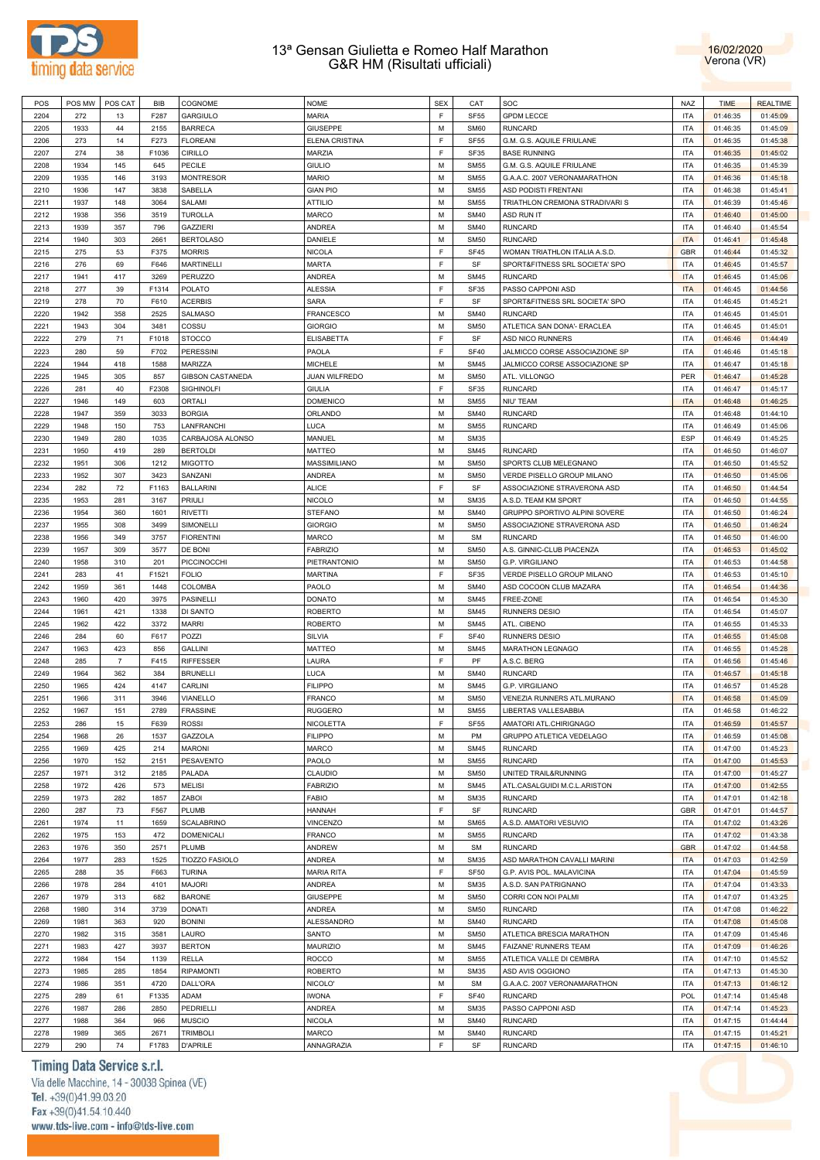



| POS  | POS MW | POS CAT        | BIB   | COGNOME                 | <b>NOME</b>          | <b>SEX</b> | CAT              | SOC                            | <b>NAZ</b> | <b>TIME</b> | <b>REALTIME</b> |
|------|--------|----------------|-------|-------------------------|----------------------|------------|------------------|--------------------------------|------------|-------------|-----------------|
| 2204 | 272    | 13             | F287  | <b>GARGIULO</b>         | <b>MARIA</b>         | E          | <b>SF55</b>      | <b>GPDM LECCE</b>              | <b>ITA</b> | 01:46:35    | 01:45:09        |
| 2205 | 1933   | 44             | 2155  | <b>BARRECA</b>          | GIUSEPPE             | M          | <b>SM60</b>      | <b>RUNCARD</b>                 | <b>ITA</b> | 01:46:35    | 01:45:09        |
| 2206 | 273    | 14             | F273  | <b>FLOREANI</b>         | ELENA CRISTINA       | E          | <b>SF55</b>      | G.M. G.S. AQUILE FRIULANE      | <b>ITA</b> | 01:46:35    | 01:45:38        |
| 2207 | 274    | 38             | F1036 | <b>CIRILLO</b>          | <b>MARZIA</b>        | E          | SF35             | <b>BASE RUNNING</b>            | <b>ITA</b> | 01:46:35    | 01:45:02        |
| 2208 | 1934   | 145            | 645   | PECILE                  | <b>GIULIO</b>        | M          | <b>SM55</b>      | G.M. G.S. AQUILE FRIULANE      | <b>ITA</b> | 01:46:35    | 01:45:39        |
| 2209 | 1935   | 146            | 3193  | <b>MONTRESOR</b>        | <b>MARIO</b>         | M          | <b>SM55</b>      | G.A.A.C. 2007 VERONAMARATHON   | <b>ITA</b> | 01:46:36    | 01:45:18        |
| 2210 | 1936   | 147            | 3838  | SABELLA                 | <b>GIAN PIO</b>      | M          | <b>SM55</b>      | <b>ASD PODISTI FRENTANI</b>    | <b>ITA</b> | 01:46:38    | 01:45:41        |
| 2211 | 1937   | 148            | 3064  | SALAMI                  | <b>ATTILIO</b>       | M          | <b>SM55</b>      | TRIATHLON CREMONA STRADIVARI S | <b>ITA</b> | 01:46:39    | 01:45:46        |
| 2212 | 1938   | 356            | 3519  | <b>TUROLLA</b>          | <b>MARCO</b>         | M          | <b>SM40</b>      | <b>ASD RUN IT</b>              | <b>ITA</b> | 01:46:40    | 01:45:00        |
| 2213 | 1939   | 357            | 796   | <b>GAZZIERI</b>         | <b>ANDREA</b>        | M          | <b>SM40</b>      | <b>RUNCARD</b>                 | <b>ITA</b> | 01:46:40    | 01:45:54        |
| 2214 | 1940   | 303            | 2661  | <b>BERTOLASO</b>        | DANIELE              | M          | <b>SM50</b>      | <b>RUNCARD</b>                 | <b>ITA</b> | 01:46:41    | 01:45:48        |
| 2215 | 275    | 53             | F375  | <b>MORRIS</b>           | <b>NICOLA</b>        | F          | <b>SF45</b>      | WOMAN TRIATHLON ITALIA A.S.D.  | <b>GBR</b> | 01:46:44    | 01:45:32        |
| 2216 | 276    | 69             | F646  | <b>MARTINELLI</b>       | MARTA                | F          | SF               | SPORT&FITNESS SRL SOCIETA' SPO | <b>ITA</b> | 01:46:45    | 01:45:57        |
| 2217 | 1941   | 417            | 3269  | <b>PERUZZO</b>          | ANDREA               | M          | <b>SM45</b>      | <b>RUNCARD</b>                 | <b>ITA</b> | 01:46:45    | 01:45:06        |
| 2218 | 277    | 39             | F1314 | <b>POLATO</b>           | ALESSIA              | E          | <b>SF35</b>      | PASSO CAPPONI ASD              | <b>ITA</b> | 01:46:45    | 01:44:56        |
| 2219 | 278    | 70             | F610  | <b>ACERBIS</b>          | SARA                 | E          | SF               | SPORT&FITNESS SRL SOCIETA' SPO | <b>ITA</b> | 01:46:45    | 01:45:21        |
| 2220 | 1942   | 358            | 2525  | <b>SALMASO</b>          | <b>FRANCESCO</b>     | M          | <b>SM40</b>      | <b>RUNCARD</b>                 | <b>ITA</b> | 01:46:45    | 01:45:01        |
| 2221 | 1943   | 304            | 3481  | COSSU                   | <b>GIORGIO</b>       | M          | <b>SM50</b>      |                                | <b>ITA</b> | 01:46:45    | 01:45:01        |
| 2222 |        |                |       |                         |                      | E          |                  | ATLETICA SAN DONA'- ERACLEA    |            |             |                 |
|      | 279    | 71             | F1018 | <b>STOCCO</b>           | <b>ELISABETTA</b>    | E          | SF               | ASD NICO RUNNERS               | <b>ITA</b> | 01:46:46    | 01:44:49        |
| 2223 | 280    | 59             | F702  | <b>PERESSINI</b>        | PAOLA                |            | <b>SF40</b>      | JALMICCO CORSE ASSOCIAZIONE SP | <b>ITA</b> | 01:46:46    | 01:45:18        |
| 2224 | 1944   | 418            | 1588  | MARIZZA                 | <b>MICHELE</b>       | M          | <b>SM45</b>      | JALMICCO CORSE ASSOCIAZIONE SP | <b>ITA</b> | 01:46:47    | 01:45:18        |
| 2225 | 1945   | 305            | 857   | <b>GIBSON CASTANEDA</b> | <b>JUAN WILFREDO</b> | M          | <b>SM50</b>      | ATL. VILLONGO                  | PER        | 01:46:47    | 01:45:28        |
| 2226 | 281    | 40             | F2308 | <b>SIGHINOLFI</b>       | <b>GIULIA</b>        | F          | SF35             | <b>RUNCARD</b>                 | <b>ITA</b> | 01:46:47    | 01:45:17        |
| 2227 | 1946   | 149            | 603   | ORTALI                  | <b>DOMENICO</b>      | M          | <b>SM55</b>      | NIU' TEAM                      | <b>ITA</b> | 01:46:48    | 01:46:25        |
| 2228 | 1947   | 359            | 3033  | <b>BORGIA</b>           | ORLANDO              | M          | <b>SM40</b>      | <b>RUNCARD</b>                 | <b>ITA</b> | 01:46:48    | 01:44:10        |
| 2229 | 1948   | 150            | 753   | LANFRANCHI              | LUCA                 | M          | <b>SM55</b>      | <b>RUNCARD</b>                 | <b>ITA</b> | 01:46:49    | 01:45:06        |
| 2230 | 1949   | 280            | 1035  | CARBAJOSA ALONSO        | MANUEL               | M          | <b>SM35</b>      |                                | <b>ESP</b> | 01:46:49    | 01:45:25        |
| 2231 | 1950   | 419            | 289   | <b>BERTOLDI</b>         | MATTEO               | M          | <b>SM45</b>      | <b>RUNCARD</b>                 | <b>ITA</b> | 01:46:50    | 01:46:07        |
| 2232 | 1951   | 306            | 1212  | <b>MIGOTTO</b>          | MASSIMILIANO         | M          | <b>SM50</b>      | SPORTS CLUB MELEGNANO          | <b>ITA</b> | 01:46:50    | 01:45:52        |
| 2233 | 1952   | 307            | 3423  | SANZANI                 | ANDREA               | M          | <b>SM50</b>      | VERDE PISELLO GROUP MILANO     | <b>ITA</b> | 01:46:50    | 01:45:06        |
| 2234 | 282    | 72             | F1163 | <b>BALLARINI</b>        | <b>ALICE</b>         | E          | SF               | ASSOCIAZIONE STRAVERONA ASD    | <b>ITA</b> | 01:46:50    | 01:44:54        |
| 2235 | 1953   | 281            | 3167  | PRIULI                  | <b>NICOLO</b>        | M          | <b>SM35</b>      | A.S.D. TEAM KM SPORT           | <b>ITA</b> | 01:46:50    | 01:44:55        |
| 2236 | 1954   | 360            | 1601  | <b>RIVETTI</b>          | <b>STEFANO</b>       | M          | <b>SM40</b>      | GRUPPO SPORTIVO ALPINI SOVERE  | <b>ITA</b> | 01:46:50    | 01:46:24        |
| 2237 | 1955   | 308            | 3499  | SIMONELLI               | <b>GIORGIO</b>       | M          | <b>SM50</b>      | ASSOCIAZIONE STRAVERONA ASD    | <b>ITA</b> | 01:46:50    | 01:46:24        |
| 2238 | 1956   | 349            | 3757  | <b>FIORENTINI</b>       | <b>MARCO</b>         | M          | <b>SM</b>        | <b>RUNCARD</b>                 | <b>ITA</b> | 01:46:50    | 01:46:00        |
| 2239 | 1957   | 309            | 3577  | DE BONI                 | <b>FABRIZIO</b>      | M          | <b>SM50</b>      | A.S. GINNIC-CLUB PIACENZA      | <b>ITA</b> | 01:46:53    | 01:45:02        |
| 2240 | 1958   | 310            | 201   | PICCINOCCHI             | PIETRANTONIO         | M          | <b>SM50</b>      | G.P. VIRGILIANO                | <b>ITA</b> | 01:46:53    | 01:44:58        |
| 2241 | 283    | 41             | F1521 | <b>FOLIO</b>            | <b>MARTINA</b>       | E          | SF35             | VERDE PISELLO GROUP MILANO     | <b>ITA</b> | 01:46:53    | 01:45:10        |
| 2242 | 1959   | 361            | 1448  | COLOMBA                 | PAOLO                | M          | <b>SM40</b>      | ASD COCOON CLUB MAZARA         | <b>ITA</b> | 01:46:54    | 01:44:36        |
| 2243 | 1960   | 420            | 3975  | <b>PASINELLI</b>        | <b>DONATO</b>        | M          | <b>SM45</b>      | FREE-ZONE                      | <b>ITA</b> | 01:46:54    | 01:45:30        |
| 2244 | 1961   | 421            | 1338  | DI SANTO                | <b>ROBERTO</b>       | M          | <b>SM45</b>      | <b>RUNNERS DESIO</b>           | <b>ITA</b> | 01:46:54    | 01:45:07        |
| 2245 | 1962   | 422            | 3372  | <b>MARRI</b>            | <b>ROBERTO</b>       | M          | <b>SM45</b>      | ATL. CIBENO                    | <b>ITA</b> | 01:46:55    | 01:45:33        |
| 2246 | 284    | 60             | F617  | POZZI                   | SILVIA               | E          | <b>SF40</b>      | <b>RUNNERS DESIO</b>           | <b>ITA</b> | 01:46:55    | 01:45:08        |
| 2247 | 1963   | 423            | 856   | <b>GALLINI</b>          | <b>MATTEO</b>        | M          | <b>SM45</b>      | MARATHON LEGNAGO               | <b>ITA</b> | 01:46:55    | 01:45:28        |
| 2248 | 285    | $\overline{7}$ | F415  | <b>RIFFESSER</b>        | LAURA                | E          | PF               | A.S.C. BERG                    | <b>ITA</b> | 01:46:56    | 01:45:46        |
| 2249 | 1964   | 362            | 384   | <b>BRUNELLI</b>         | LUCA                 | M          | <b>SM40</b>      | <b>RUNCARD</b>                 | <b>ITA</b> | 01:46:57    | 01:45:18        |
| 2250 | 1965   | 424            | 4147  | CARLINI                 | <b>FILIPPO</b>       | M          | <b>SM45</b>      | <b>G.P. VIRGILIANO</b>         | <b>ITA</b> | 01:46:57    | 01:45:28        |
| 2251 | 1966   | 311            | 3946  | VIANELLO                | <b>FRANCO</b>        | M          | <b>SM50</b>      | VENEZIA RUNNERS ATL.MURANO     | <b>ITA</b> | 01:46:58    | 01:45:09        |
| 2252 | 1967   | 151            | 2789  | <b>FRASSINE</b>         | <b>RUGGERO</b>       | M          | <b>SM55</b>      | LIBERTAS VALLESABBIA           | <b>ITA</b> | 01:46:58    | 01:46:22        |
| 2253 | 286    | 15             | F639  | <b>ROSSI</b>            | NICOLETTA            | F          | <b>SF55</b>      | AMATORI ATL.CHIRIGNAGO         | <b>ITA</b> | 01:46:59    | 01:45:57        |
| 2254 | 1968   | 26             | 1537  | GAZZOLA                 | <b>FILIPPO</b>       | M          | PM               | GRUPPO ATLETICA VEDELAGO       | <b>ITA</b> | 01:46:59    | 01:45:08        |
| 2255 | 1969   | 425            | 214   | <b>MARONI</b>           | MARCO                | M          | <b>SM45</b>      | <b>RUNCARD</b>                 | <b>ITA</b> | 01:47:00    | 01:45:23        |
| 2256 | 1970   | 152            | 2151  | PESAVENTO               | PAOLO                | M          | <b>SM55</b>      | <b>RUNCARD</b>                 | <b>ITA</b> | 01:47:00    | 01:45:53        |
| 2257 | 1971   | 312            | 2185  | PALADA                  | CLAUDIO              | M          | <b>SM50</b>      | UNITED TRAIL&RUNNING           | <b>ITA</b> | 01:47:00    | 01:45:27        |
| 2258 | 1972   | 426            | 573   | <b>MELISI</b>           | <b>FABRIZIO</b>      | M          | <b>SM45</b>      | ATL.CASALGUIDI M.C.L.ARISTON   | <b>ITA</b> | 01:47:00    | 01:42:55        |
| 2259 | 1973   | 282            | 1857  | <b>ZABOI</b>            | <b>FABIO</b>         | M          | <b>SM35</b>      | <b>RUNCARD</b>                 | <b>ITA</b> | 01:47:01    | 01:42:18        |
| 2260 | 287    | 73             | F567  | PLUMB                   | <b>HANNAH</b>        | E          | SF               | <b>RUNCARD</b>                 | <b>GBR</b> | 01:47:01    | 01:44:57        |
| 2261 | 1974   | 11             | 1659  | <b>SCALABRINO</b>       | <b>VINCENZO</b>      | M          | <b>SM65</b>      | A.S.D. AMATORI VESUVIO         | <b>ITA</b> | 01:47:02    | 01:43:26        |
| 2262 | 1975   | 153            | 472   | <b>DOMENICALI</b>       | <b>FRANCO</b>        | M          | <b>SM55</b>      | <b>RUNCARD</b>                 | <b>ITA</b> | 01:47:02    | 01:43:38        |
|      |        |                |       |                         | <b>ANDREW</b>        |            |                  | <b>RUNCARD</b>                 |            |             |                 |
| 2263 | 1976   | 350            | 2571  | PLUMB                   |                      | M          | <b>SM</b>        |                                | <b>GBR</b> | 01:47:02    | 01:44:58        |
| 2264 | 1977   | 283            | 1525  | TIOZZO FASIOLO          | <b>ANDREA</b>        | M          | <b>SM35</b>      | ASD MARATHON CAVALLI MARINI    | <b>ITA</b> | 01:47:03    | 01:42:59        |
| 2265 | 288    | 35             | F663  | <b>TURINA</b>           | <b>MARIA RITA</b>    | E          | SF <sub>50</sub> | G.P. AVIS POL. MALAVICINA      | <b>ITA</b> | 01:47:04    | 01:45:59        |
| 2266 | 1978   | 284            | 4101  | <b>MAJORI</b>           | <b>ANDREA</b>        | M          | <b>SM35</b>      | A.S.D. SAN PATRIGNANO          | <b>ITA</b> | 01:47:04    | 01:43:33        |
| 2267 | 1979   | 313            | 682   | <b>BARONE</b>           | <b>GIUSEPPE</b>      | M          | <b>SM50</b>      | CORRI CON NOI PALMI            | <b>ITA</b> | 01:47:07    | 01:43:25        |
| 2268 | 1980   | 314            | 3739  | <b>DONATI</b>           | <b>ANDREA</b>        | M          | <b>SM50</b>      | <b>RUNCARD</b>                 | <b>ITA</b> | 01:47:08    | 01:46:22        |
| 2269 | 1981   | 363            | 920   | <b>BONINI</b>           | <b>ALESSANDRO</b>    | M          | <b>SM40</b>      | <b>RUNCARD</b>                 | <b>ITA</b> | 01:47:08    | 01:45:08        |
| 2270 | 1982   | 315            | 3581  | LAURO                   | SANTO                | M          | <b>SM50</b>      | ATLETICA BRESCIA MARATHON      | <b>ITA</b> | 01:47:09    | 01:45:46        |
| 2271 | 1983   | 427            | 3937  | <b>BERTON</b>           | <b>MAURIZIO</b>      | M          | <b>SM45</b>      | FAIZANE' RUNNERS TEAM          | <b>ITA</b> | 01:47:09    | 01:46:26        |
| 2272 | 1984   | 154            | 1139  | RELLA                   | <b>ROCCO</b>         | M          | <b>SM55</b>      | ATLETICA VALLE DI CEMBRA       | <b>ITA</b> | 01:47:10    | 01:45:52        |
| 2273 | 1985   | 285            | 1854  | <b>RIPAMONTI</b>        | <b>ROBERTO</b>       | M          | <b>SM35</b>      | ASD AVIS OGGIONO               | <b>ITA</b> | 01:47:13    | 01:45:30        |
| 2274 | 1986   | 351            | 4720  | <b>DALL'ORA</b>         | NICOLO'              | M          | <b>SM</b>        | G.A.A.C. 2007 VERONAMARATHON   | <b>ITA</b> | 01:47:13    | 01:46:12        |
| 2275 | 289    | 61             | F1335 | ADAM                    | <b>IWONA</b>         | E          | <b>SF40</b>      | <b>RUNCARD</b>                 | <b>POL</b> | 01:47:14    | 01:45:48        |
| 2276 | 1987   | 286            | 2850  | PEDRIELLI               | <b>ANDREA</b>        | M          | <b>SM35</b>      | PASSO CAPPONI ASD              | <b>ITA</b> | 01:47:14    | 01:45:23        |
| 2277 | 1988   | 364            | 966   | <b>MUSCIO</b>           | <b>NICOLA</b>        | M          | <b>SM40</b>      | <b>RUNCARD</b>                 | <b>ITA</b> | 01:47:15    | 01:44:44        |
| 2278 | 1989   | 365            | 2671  | <b>TRIMBOLI</b>         | <b>MARCO</b>         | M          | <b>SM40</b>      | <b>RUNCARD</b>                 | <b>ITA</b> | 01:47:15    | 01:45:21        |
| 2279 | 290    | 74             | F1783 | <b>D'APRILE</b>         | ANNAGRAZIA           | F          | SF               | <b>RUNCARD</b>                 | <b>ITA</b> | 01:47:15    | 01:46:10        |

# Timing Data Service s.r.l.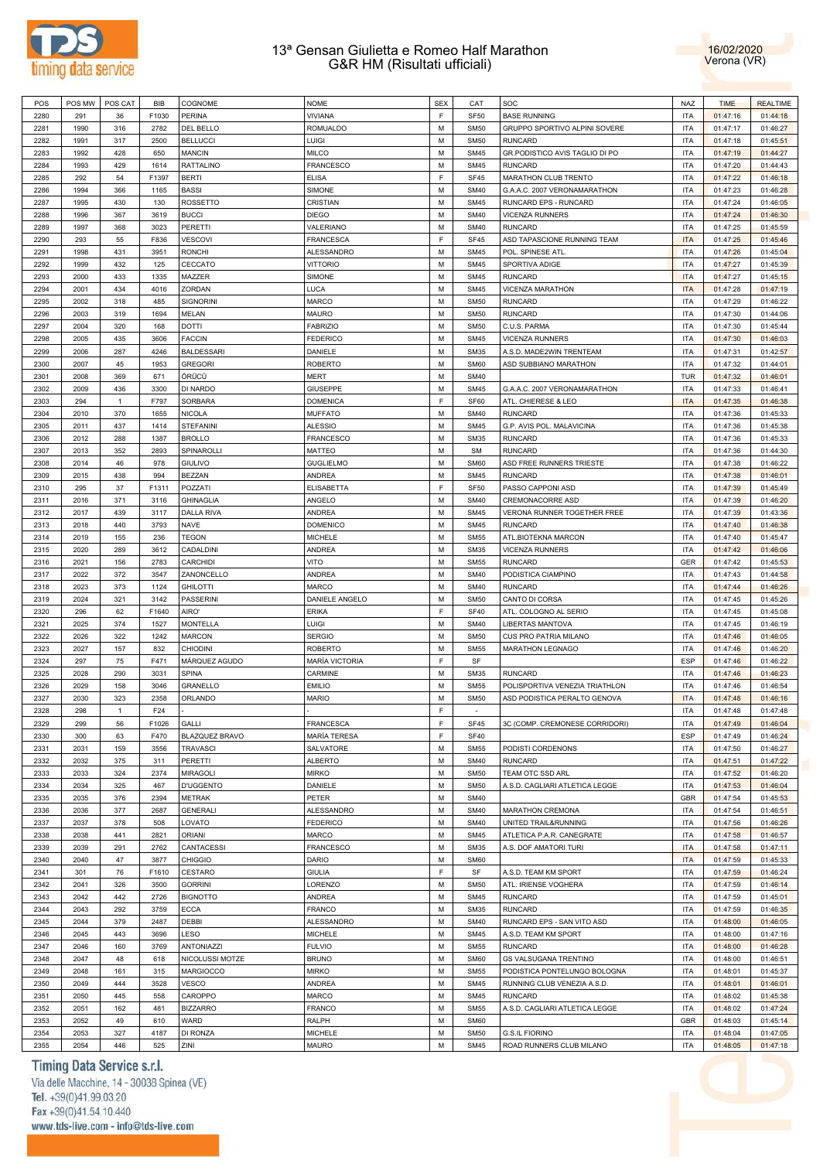



| POS  | POS MW | POS CAT      | BIB   | COGNOME           | <b>NOME</b>           | <b>SEX</b>  | CAT              | SOC                            | NAZ        | <b>TIME</b> | <b>REALTIME</b> |
|------|--------|--------------|-------|-------------------|-----------------------|-------------|------------------|--------------------------------|------------|-------------|-----------------|
| 2280 | 291    | 36           | F1030 | <b>PERINA</b>     | <b>VIVIANA</b>        | $\mathsf F$ | <b>SF50</b>      | <b>BASE RUNNING</b>            | <b>ITA</b> | 01:47:16    | 01:44:18        |
| 2281 | 1990   | 316          | 2782  | DEL BELLO         | ROMUALDO              | M           | <b>SM50</b>      | GRUPPO SPORTIVO ALPINI SOVERE  | <b>ITA</b> | 01:47:17    | 01:46:27        |
| 2282 | 1991   | 317          | 2500  | <b>BELLUCCI</b>   | LUIGI                 | M           | <b>SM50</b>      | <b>RUNCARD</b>                 | <b>ITA</b> | 01:47:18    | 01:45:51        |
| 2283 | 1992   | 428          | 650   | <b>MANCIN</b>     | <b>MILCO</b>          | M           | <b>SM45</b>      | GR.PODISTICO AVIS TAGLIO DI PO | <b>ITA</b> | 01:47:19    | 01:44:27        |
| 2284 | 1993   | 429          | 1614  | <b>RATTALINO</b>  | FRANCESCO             | M           | <b>SM45</b>      | <b>RUNCARD</b>                 | <b>ITA</b> | 01:47:20    | 01:44:43        |
| 2285 | 292    | 54           | F1397 | <b>BERTI</b>      | <b>ELISA</b>          | F           | <b>SF45</b>      | MARATHON CLUB TRENTO           | <b>ITA</b> | 01:47:22    | 01:46:18        |
| 2286 | 1994   | 366          | 1165  | <b>BASSI</b>      | SIMONE                | M           | <b>SM40</b>      | G.A.A.C. 2007 VERONAMARATHON   | <b>ITA</b> | 01:47:23    | 01:46:28        |
| 2287 | 1995   | 430          | 130   | ROSSETTO          | CRISTIAN              | M           | <b>SM45</b>      | RUNCARD EPS - RUNCARD          | <b>ITA</b> | 01:47:24    | 01:46:05        |
| 2288 | 1996   | 367          | 3619  | <b>BUCCI</b>      | <b>DIEGO</b>          | M           | <b>SM40</b>      | <b>VICENZA RUNNERS</b>         | <b>ITA</b> | 01:47:24    | 01:46:30        |
| 2289 | 1997   | 368          | 3023  | PERETTI           | VALERIANO             | M           | <b>SM40</b>      | <b>RUNCARD</b>                 | <b>ITA</b> | 01:47:25    | 01:45:59        |
| 2290 | 293    | 55           | F836  | <b>VESCOVI</b>    | FRANCESCA             | F           | SF45             | ASD TAPASCIONE RUNNING TEAM    | <b>ITA</b> | 01:47:25    | 01:45:46        |
| 2291 | 1998   | 431          | 3951  | <b>RONCHI</b>     | ALESSANDRO            | M           | <b>SM45</b>      | POL. SPINESE ATL               | <b>ITA</b> | 01:47:26    | 01:45:04        |
| 2292 | 1999   | 432          | 125   | CECCATO           | <b>VITTORIO</b>       | M           | <b>SM45</b>      | SPORTIVA ADIGE                 | <b>ITA</b> | 01:47:27    | 01:45:39        |
| 2293 | 2000   | 433          | 1335  | MAZZER            | SIMONE                | M           | <b>SM45</b>      | <b>RUNCARD</b>                 | <b>ITA</b> | 01:47:27    | 01:45:15        |
| 2294 | 2001   | 434          | 4016  | ZORDAN            | LUCA                  | M           | <b>SM45</b>      | VICENZA MARATHON               | <b>ITA</b> | 01:47:28    | 01:47:19        |
| 2295 | 2002   | 318          | 485   | SIGNORINI         | MARCO                 | M           | <b>SM50</b>      | <b>RUNCARD</b>                 | <b>ITA</b> | 01:47:29    | 01:46:22        |
| 2296 | 2003   | 319          | 1694  | MELAN             | MAURO                 | M           | <b>SM50</b>      | <b>RUNCARD</b>                 | <b>ITA</b> | 01:47:30    | 01:44:06        |
| 2297 | 2004   | 320          | 168   | DOTTI             | <b>FABRIZIO</b>       | M           | <b>SM50</b>      | C.U.S. PARMA                   | <b>ITA</b> | 01:47:30    | 01:45:44        |
| 2298 | 2005   | 435          | 3606  | <b>FACCIN</b>     | <b>FEDERICO</b>       | M           | <b>SM45</b>      |                                | <b>ITA</b> |             |                 |
|      |        |              |       |                   |                       | M           |                  | <b>VICENZA RUNNERS</b>         |            | 01:47:30    | 01:46:03        |
| 2299 | 2006   | 287          | 4246  | <b>BALDESSARI</b> | DANIELE               |             | <b>SM35</b>      | A.S.D. MADE2WIN TRENTEAM       | <b>ITA</b> | 01:47:31    | 01:42:57        |
| 2300 | 2007   | 45           | 1953  | <b>GREGORI</b>    | <b>ROBERTO</b>        | M           | <b>SM60</b>      | ASD SUBBIANO MARATHON          | <b>ITA</b> | 01:47:32    | 01:44:01        |
| 2301 | 2008   | 369          | 671   | ÖRÜCÜ             | <b>MERT</b>           | M           | <b>SM40</b>      |                                | <b>TUR</b> | 01:47:32    | 01:46:01        |
| 2302 | 2009   | 436          | 3300  | DI NARDO          | <b>GIUSEPPE</b>       | M           | <b>SM45</b>      | G.A.A.C. 2007 VERONAMARATHON   | <b>ITA</b> | 01:47:33    | 01:46:41        |
| 2303 | 294    | $\mathbf{1}$ | F797  | SORBARA           | <b>DOMENICA</b>       | F           | SF60             | ATL. CHIERESE & LEO            | <b>ITA</b> | 01:47:35    | 01:46:38        |
| 2304 | 2010   | 370          | 1655  | <b>NICOLA</b>     | <b>MUFFATO</b>        | M           | <b>SM40</b>      | <b>RUNCARD</b>                 | <b>ITA</b> | 01:47:36    | 01:45:33        |
| 2305 | 2011   | 437          | 1414  | <b>STEFANINI</b>  | <b>ALESSIO</b>        | M           | <b>SM45</b>      | G.P. AVIS POL. MALAVICINA      | <b>ITA</b> | 01:47:36    | 01:45:38        |
| 2306 | 2012   | 288          | 1387  | <b>BROLLO</b>     | <b>FRANCESCO</b>      | M           | <b>SM35</b>      | <b>RUNCARD</b>                 | <b>ITA</b> | 01:47:36    | 01:45:33        |
| 2307 | 2013   | 352          | 2893  | SPINAROLLI        | MATTEO                | M           | <b>SM</b>        | <b>RUNCARD</b>                 | <b>ITA</b> | 01:47:36    | 01:44:30        |
| 2308 | 2014   | 46           | 978   | <b>GIULIVO</b>    | <b>GUGLIELMO</b>      | M           | <b>SM60</b>      | ASD FREE RUNNERS TRIESTE       | <b>ITA</b> | 01:47:38    | 01:46:22        |
| 2309 | 2015   | 438          | 994   | <b>BEZZAN</b>     | ANDREA                | M           | <b>SM45</b>      | <b>RUNCARD</b>                 | <b>ITA</b> | 01:47:38    | 01:46:01        |
| 2310 | 295    | 37           | F1311 | POZZATI           | ELISABETTA            | F           | SF <sub>50</sub> | PASSO CAPPONI ASD              | <b>ITA</b> | 01:47:39    | 01:45:49        |
| 2311 | 2016   | 371          | 3116  | <b>GHINAGLIA</b>  | ANGELO                | M           | <b>SM40</b>      | CREMONACORRE ASD               | <b>ITA</b> | 01:47:39    | 01:46:20        |
| 2312 | 2017   | 439          | 3117  | <b>DALLA RIVA</b> | ANDREA                | M           | <b>SM45</b>      | VERONA RUNNER TOGETHER FREE    | <b>ITA</b> | 01:47:39    | 01:43:36        |
| 2313 | 2018   | 440          | 3793  | <b>NAVE</b>       | <b>DOMENICO</b>       | M           | <b>SM45</b>      | <b>RUNCARD</b>                 | <b>ITA</b> | 01:47:40    | 01:46:38        |
| 2314 | 2019   | 155          | 236   | <b>TEGON</b>      | <b>MICHELE</b>        | M           | <b>SM55</b>      | ATL.BIOTEKNA MARCON            | <b>ITA</b> | 01:47:40    | 01:45:47        |
| 2315 | 2020   | 289          | 3612  | CADALDINI         | ANDREA                | M           | <b>SM35</b>      | <b>VICENZA RUNNERS</b>         | <b>ITA</b> | 01:47:42    | 01:46:06        |
| 2316 | 2021   | 156          | 2783  | <b>CARCHIDI</b>   | VITO                  | M           | <b>SM55</b>      | <b>RUNCARD</b>                 | <b>GER</b> | 01:47:42    | 01:45:53        |
| 2317 | 2022   | 372          | 3547  | ZANONCELLO        | ANDREA                | M           | <b>SM40</b>      | PODISTICA CIAMPINO             | <b>ITA</b> | 01:47:43    | 01:44:58        |
| 2318 | 2023   | 373          | 1124  | <b>GHILOTTI</b>   | <b>MARCO</b>          | M           | <b>SM40</b>      | <b>RUNCARD</b>                 | <b>ITA</b> | 01:47:44    | 01:46:26        |
| 2319 | 2024   | 321          | 3142  | PASSERINI         | DANIELE ANGELO        | M           | <b>SM50</b>      | CANTO DI CORSA                 | <b>ITA</b> | 01:47:45    | 01:45:26        |
| 2320 | 296    | 62           | F1640 | AIRO'             | ERIKA                 | F           | <b>SF40</b>      | ATL. COLOGNO AL SERIO          | <b>ITA</b> | 01:47:45    | 01:45:08        |
| 2321 | 2025   | 374          | 1527  | <b>MONTELLA</b>   | LUIGI                 | M           | <b>SM40</b>      | <b>LIBERTAS MANTOVA</b>        | <b>ITA</b> | 01:47:45    | 01:46:19        |
| 2322 | 2026   | 322          | 1242  | <b>MARCON</b>     | <b>SERGIO</b>         | M           | <b>SM50</b>      | CUS PRO PATRIA MILANO          | <b>ITA</b> | 01:47:46    | 01:46:05        |
| 2323 | 2027   | 157          | 832   | <b>CHIODINI</b>   | <b>ROBERTO</b>        | M           | <b>SM55</b>      | MARATHON LEGNAGO               | <b>ITA</b> | 01:47:46    | 01:46:20        |
| 2324 | 297    | 75           | F471  | MÁRQUEZ AGUDO     | <b>MARÍA VICTORIA</b> | F           | SF               |                                | ESP        | 01:47:46    | 01:46:22        |
| 2325 | 2028   | 290          | 3031  | <b>SPINA</b>      | CARMINE               | M           | <b>SM35</b>      | <b>RUNCARD</b>                 | <b>ITA</b> | 01:47:46    | 01:46:23        |
| 2326 | 2029   | 158          | 3046  | GRANELLO          | <b>EMILIO</b>         | M           | <b>SM55</b>      | POLISPORTIVA VENEZIA TRIATHLON | <b>ITA</b> | 01:47:46    | 01:46:54        |
| 2327 | 2030   | 323          | 2358  | ORLANDO           | <b>MARIO</b>          | M           | <b>SM50</b>      | ASD PODISTICA PERALTO GENOVA   | <b>ITA</b> | 01:47:48    | 01:46:16        |
| 2328 | 298    | $\mathbf{1}$ | F24   |                   |                       | E           | $\sim$           |                                | <b>ITA</b> | 01:47:48    | 01:47:48        |
| 2329 | 299    | 56           | F1026 | GALLI             | <b>FRANCESCA</b>      | F           | <b>SF45</b>      | 3C (COMP. CREMONESE CORRIDORI) | <b>ITA</b> | 01:47:49    | 01:46:04        |
| 2330 | 300    | 63           | F470  | BLAZQUEZ BRAVO    | MARÍA TERESA          | F           | <b>SF40</b>      |                                | ESP        | 01:47:49    | 01:46:24        |
| 2331 | 2031   | 159          | 3556  | <b>TRAVASCI</b>   | SALVATORE             | M           | <b>SM55</b>      | PODISTI CORDENONS              | <b>ITA</b> | 01:47:50    | 01:46:27        |
| 2332 | 2032   | 375          | 311   | PERETTI           | <b>ALBERTO</b>        | M           | <b>SM40</b>      | <b>RUNCARD</b>                 | <b>ITA</b> | 01:47:51    | 01:47:22        |
| 2333 | 2033   | 324          | 2374  | MIRAGOLI          | <b>MIRKO</b>          | M           | <b>SM50</b>      | TEAM OTC SSD ARL               | <b>ITA</b> | 01:47:52    | 01:46:20        |
| 2334 | 2034   | 325          | 467   | <b>D'UGGENTO</b>  | DANIELE               | M           | <b>SM50</b>      | A.S.D. CAGLIARI ATLETICA LEGGE | <b>ITA</b> | 01:47:53    | 01:46:04        |
| 2335 | 2035   | 376          | 2394  | <b>METRAK</b>     | PETER                 | M           | <b>SM40</b>      |                                | <b>GBR</b> | 01:47:54    | 01:45:53        |
| 2336 | 2036   | 377          | 2687  | <b>GENERALI</b>   | ALESSANDRO            | M           | <b>SM40</b>      | MARATHON CREMONA               | <b>ITA</b> | 01:47:54    | 01:46:51        |
| 2337 | 2037   | 378          | 508   | LOVATO            | <b>FEDERICO</b>       | M           | <b>SM40</b>      | UNITED TRAIL&RUNNING           | <b>ITA</b> | 01:47:56    | 01:46:26        |
| 2338 | 2038   |              |       | <b>ORIANI</b>     | MARCO                 | M           | <b>SM45</b>      | ATLETICA P.A.R. CANEGRATE      | <b>ITA</b> |             |                 |
|      |        | 441          | 2821  |                   |                       |             |                  |                                |            | 01:47:58    | 01:46:57        |
| 2339 | 2039   | 291          | 2762  | CANTACESSI        | FRANCESCO             | M           | <b>SM35</b>      | A.S. DOF AMATORI TURI          | <b>ITA</b> | 01:47:58    | 01:47:11        |
| 2340 | 2040   | 47           | 3877  | <b>CHIGGIO</b>    | DARIO                 | M           | <b>SM60</b>      |                                | <b>ITA</b> | 01:47:59    | 01:45:33        |
| 2341 | 301    | 76           | F1610 | CESTARO           | <b>GIULIA</b>         | F           | SF               | A.S.D. TEAM KM SPORT           | <b>ITA</b> | 01:47:59    | 01:46:24        |
| 2342 | 2041   | 326          | 3500  | <b>GORRINI</b>    | LORENZO               | M           | <b>SM50</b>      | ATL. IRIENSE VOGHERA           | <b>ITA</b> | 01:47:59    | 01:46:14        |
| 2343 | 2042   | 442          | 2726  | <b>BIGNOTTO</b>   | ANDREA                | M           | <b>SM45</b>      | <b>RUNCARD</b>                 | <b>ITA</b> | 01:47:59    | 01:45:01        |
| 2344 | 2043   | 292          | 3759  | <b>ECCA</b>       | <b>FRANCO</b>         | M           | <b>SM35</b>      | <b>RUNCARD</b>                 | <b>ITA</b> | 01:47:59    | 01:46:35        |
| 2345 | 2044   | 379          | 2487  | <b>DEBBI</b>      | ALESSANDRO            | M           | <b>SM40</b>      | RUNCARD EPS - SAN VITO ASD     | <b>ITA</b> | 01:48:00    | 01:46:05        |
| 2346 | 2045   | 443          | 3696  | LESO              | <b>MICHELE</b>        | M           | <b>SM45</b>      | A.S.D. TEAM KM SPORT           | <b>ITA</b> | 01:48:00    | 01:47:16        |
| 2347 | 2046   | 160          | 3769  | <b>ANTONIAZZI</b> | <b>FULVIO</b>         | M           | <b>SM55</b>      | <b>RUNCARD</b>                 | <b>ITA</b> | 01:48:00    | 01:46:28        |
| 2348 | 2047   | 48           | 618   | NICOLUSSI MOTZE   | <b>BRUNO</b>          | M           | <b>SM60</b>      | <b>GS VALSUGANA TRENTINO</b>   | <b>ITA</b> | 01:48:00    | 01:46:51        |
| 2349 | 2048   | 161          | 315   | MARGIOCCO         | <b>MIRKO</b>          | M           | <b>SM55</b>      | PODISTICA PONTELUNGO BOLOGNA   | <b>ITA</b> | 01:48:01    | 01:45:37        |
| 2350 | 2049   | 444          | 3528  | VESCO             | ANDREA                | M           | <b>SM45</b>      | RUNNING CLUB VENEZIA A.S.D.    | <b>ITA</b> | 01:48:01    | 01:46:01        |
| 2351 | 2050   | 445          | 558   | CAROPPO           | MARCO                 | M           | <b>SM45</b>      | <b>RUNCARD</b>                 | <b>ITA</b> | 01:48:02    | 01:45:38        |
| 2352 | 2051   | 162          | 481   | <b>BIZZARRO</b>   | FRANCO                | M           | <b>SM55</b>      | A.S.D. CAGLIARI ATLETICA LEGGE | <b>ITA</b> | 01:48:02    | 01:47:24        |
| 2353 | 2052   | 49           | 610   | WARD              | RALPH                 | M           | <b>SM60</b>      |                                | <b>GBR</b> | 01:48:03    | 01:45:14        |
| 2354 | 2053   | 327          | 4187  | DI RONZA          | MICHELE               | М           | <b>SM50</b>      | <b>G.S.IL FIORINO</b>          | <b>ITA</b> | 01:48:04    | 01:47:05        |
| 2355 | 2054   | 446          | 525   | ZINI              | <b>MAURO</b>          | М           | <b>SM45</b>      | ROAD RUNNERS CLUB MILANO       | <b>ITA</b> | 01:48:05    | 01:47:18        |

# Timing Data Service s.r.l.

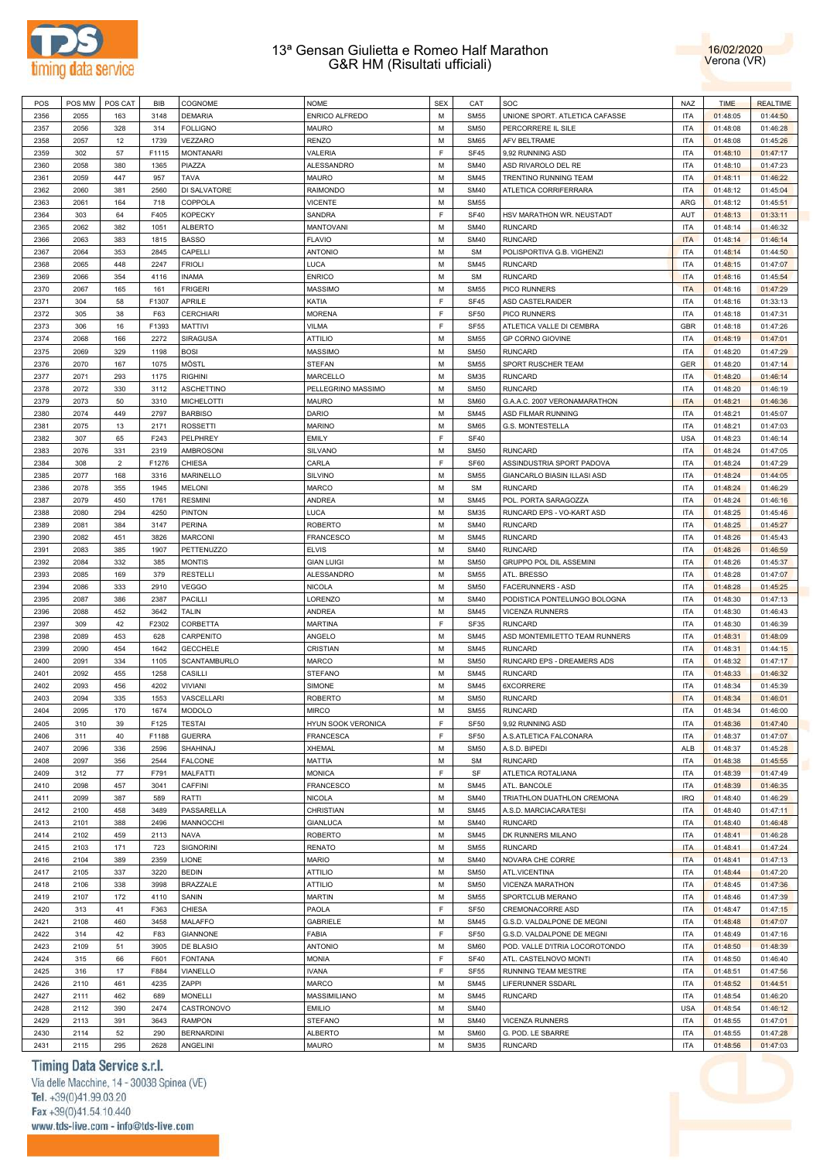



| POS  | POS MW | POS CAT        | <b>BIB</b> | COGNOME           | <b>NOME</b>        | <b>SEX</b>  | CAT              | SOC                                | <b>NAZ</b> | <b>TIME</b> | <b>REALTIME</b> |
|------|--------|----------------|------------|-------------------|--------------------|-------------|------------------|------------------------------------|------------|-------------|-----------------|
| 2356 | 2055   | 163            | 3148       | <b>DEMARIA</b>    | ENRICO ALFREDO     | M           | <b>SM55</b>      | UNIONE SPORT. ATLETICA CAFASSE     | <b>ITA</b> | 01:48:05    | 01:44:50        |
| 2357 | 2056   | 328            | 314        | <b>FOLLIGNO</b>   | <b>MAURO</b>       | M           | <b>SM50</b>      | PERCORRERE IL SILE                 | <b>ITA</b> | 01:48:08    | 01:46:28        |
| 2358 | 2057   | 12             | 1739       | VEZZARO           | <b>RENZO</b>       | M           | <b>SM65</b>      | AFV BELTRAME                       | <b>ITA</b> | 01:48:08    | 01:45:26        |
| 2359 | 302    | 57             | F1115      | <b>MONTANARI</b>  | VALERIA            | F           | <b>SF45</b>      | 9,92 RUNNING ASD                   | <b>ITA</b> | 01:48:10    | 01:47:17        |
|      |        |                |            |                   |                    |             |                  |                                    |            |             |                 |
| 2360 | 2058   | 380            | 1365       | PIAZZA            | <b>ALESSANDRO</b>  | M           | <b>SM40</b>      | ASD RIVAROLO DEL RE                | <b>ITA</b> | 01:48:10    | 01:47:23        |
| 2361 | 2059   | 447            | 957        | <b>TAVA</b>       | <b>MAURO</b>       | M           | <b>SM45</b>      | TRENTINO RUNNING TEAM              | <b>ITA</b> | 01:48:11    | 01:46:22        |
| 2362 | 2060   | 381            | 2560       | DI SALVATORE      | <b>RAIMONDO</b>    | M           | <b>SM40</b>      | ATLETICA CORRIFERRARA              | <b>ITA</b> | 01:48:12    | 01:45:04        |
| 2363 | 2061   | 164            | 718        | COPPOLA           | <b>VICENTE</b>     | M           | <b>SM55</b>      |                                    | ARG        | 01:48:12    | 01:45:51        |
| 2364 | 303    | 64             | F405       | <b>KOPECKY</b>    | SANDRA             | F           | <b>SF40</b>      | HSV MARATHON WR. NEUSTADT          | AUT        | 01:48:13    | 01:33:11        |
| 2365 | 2062   | 382            | 1051       | <b>ALBERTO</b>    | <b>MANTOVANI</b>   | M           | <b>SM40</b>      | <b>RUNCARD</b>                     | <b>ITA</b> | 01:48:14    | 01:46:32        |
| 2366 | 2063   | 383            | 1815       | <b>BASSO</b>      | <b>FLAVIO</b>      | M           | <b>SM40</b>      | <b>RUNCARD</b>                     | <b>ITA</b> | 01:48:14    | 01:46:14        |
| 2367 | 2064   | 353            | 2845       | CAPELLI           | <b>ANTONIO</b>     | M           | <b>SM</b>        | POLISPORTIVA G.B. VIGHENZI         | <b>ITA</b> | 01:48:14    | 01:44:50        |
| 2368 | 2065   | 448            | 2247       | <b>FRIOLI</b>     | LUCA               | M           | <b>SM45</b>      | <b>RUNCARD</b>                     | <b>ITA</b> | 01:48:15    | 01:47:07        |
|      |        | 354            |            |                   |                    | M           | <b>SM</b>        | <b>RUNCARD</b>                     | <b>ITA</b> |             |                 |
| 2369 | 2066   |                | 4116       | <b>INAMA</b>      | <b>ENRICO</b>      |             |                  |                                    |            | 01:48:16    | 01:45:54        |
| 2370 | 2067   | 165            | 161        | <b>FRIGERI</b>    | <b>MASSIMO</b>     | M           | <b>SM55</b>      | PICO RUNNERS                       | <b>ITA</b> | 01:48:16    | 01:47:29        |
| 2371 | 304    | 58             | F1307      | APRILE            | KATIA              | F           | <b>SF45</b>      | ASD CASTELRAIDER                   | <b>ITA</b> | 01:48:16    | 01:33:13        |
| 2372 | 305    | 38             | F63        | <b>CERCHIARI</b>  | <b>MORENA</b>      | F           | <b>SF50</b>      | PICO RUNNERS                       | <b>ITA</b> | 01:48:18    | 01:47:31        |
| 2373 | 306    | 16             | F1393      | MATTIVI           | <b>VILMA</b>       | $\mathsf F$ | <b>SF55</b>      | ATLETICA VALLE DI CEMBRA           | GBR        | 01:48:18    | 01:47:26        |
| 2374 | 2068   | 166            | 2272       | <b>SIRAGUSA</b>   | <b>ATTILIO</b>     | M           | <b>SM55</b>      | GP CORNO GIOVINE                   | <b>ITA</b> | 01:48:19    | 01:47:01        |
| 2375 | 2069   | 329            | 1198       | <b>BOSI</b>       | <b>MASSIMO</b>     | M           | <b>SM50</b>      | <b>RUNCARD</b>                     | <b>ITA</b> | 01:48:20    | 01:47:29        |
| 2376 | 2070   | 167            | 1075       | MÖSTL             | <b>STEFAN</b>      | M           | <b>SM55</b>      | SPORT RUSCHER TEAM                 | GER        | 01:48:20    | 01:47:14        |
| 2377 | 2071   | 293            | 1175       | <b>RIGHINI</b>    | MARCELLO           | M           | <b>SM35</b>      | <b>RUNCARD</b>                     | <b>ITA</b> | 01:48:20    | 01:46:14        |
| 2378 | 2072   | 330            | 3112       |                   | PELLEGRINO MASSIMO | M           | <b>SM50</b>      | <b>RUNCARD</b>                     | <b>ITA</b> |             |                 |
|      |        |                |            | <b>ASCHETTINO</b> |                    |             |                  |                                    |            | 01:48:20    | 01:46:19        |
| 2379 | 2073   | 50             | 3310       | <b>MICHELOTTI</b> | <b>MAURO</b>       | M           | <b>SM60</b>      | G.A.A.C. 2007 VERONAMARATHON       | <b>ITA</b> | 01:48:21    | 01:46:36        |
| 2380 | 2074   | 449            | 2797       | <b>BARBISO</b>    | DARIO              | M           | <b>SM45</b>      | ASD FILMAR RUNNING                 | <b>ITA</b> | 01:48:21    | 01:45:07        |
| 2381 | 2075   | 13             | 2171       | <b>ROSSETTI</b>   | <b>MARINO</b>      | M           | <b>SM65</b>      | <b>G.S. MONTESTELLA</b>            | <b>ITA</b> | 01:48:21    | 01:47:03        |
| 2382 | 307    | 65             | F243       | PELPHREY          | <b>EMILY</b>       | $\mathsf F$ | <b>SF40</b>      |                                    | <b>USA</b> | 01:48:23    | 01:46:14        |
| 2383 | 2076   | 331            | 2319       | AMBROSONI         | SILVANO            | M           | <b>SM50</b>      | <b>RUNCARD</b>                     | <b>ITA</b> | 01:48:24    | 01:47:05        |
| 2384 | 308    | $\overline{2}$ | F1276      | <b>CHIESA</b>     | CARLA              | F           | SF60             | ASSINDUSTRIA SPORT PADOVA          | <b>ITA</b> | 01:48:24    | 01:47:29        |
| 2385 | 2077   | 168            | 3316       | MARINELLO         | <b>SILVINO</b>     | M           | <b>SM55</b>      | <b>GIANCARLO BIASIN ILLASI ASD</b> | <b>ITA</b> | 01:48:24    | 01:44:05        |
| 2386 | 2078   | 355            | 1945       | <b>MELONI</b>     | <b>MARCO</b>       | M           | <b>SM</b>        | <b>RUNCARD</b>                     | <b>ITA</b> | 01:48:24    | 01:46:29        |
| 2387 | 2079   | 450            | 1761       | <b>RESMINI</b>    | <b>ANDREA</b>      | M           | <b>SM45</b>      | POL. PORTA SARAGOZZA               | <b>ITA</b> | 01:48:24    | 01:46:16        |
|      |        |                |            |                   |                    |             |                  |                                    |            |             |                 |
| 2388 | 2080   | 294            | 4250       | <b>PINTON</b>     | <b>LUCA</b>        | M           | <b>SM35</b>      | RUNCARD EPS - VO-KART ASD          | <b>ITA</b> | 01:48:25    | 01:45:46        |
| 2389 | 2081   | 384            | 3147       | PERINA            | <b>ROBERTO</b>     | M           | <b>SM40</b>      | <b>RUNCARD</b>                     | <b>ITA</b> | 01:48:25    | 01:45:27        |
| 2390 | 2082   | 451            | 3826       | <b>MARCONI</b>    | FRANCESCO          | M           | <b>SM45</b>      | <b>RUNCARD</b>                     | <b>ITA</b> | 01:48:26    | 01:45:43        |
| 2391 | 2083   | 385            | 1907       | <b>PETTENUZZO</b> | <b>ELVIS</b>       | M           | <b>SM40</b>      | <b>RUNCARD</b>                     | <b>ITA</b> | 01:48:26    | 01:46:59        |
| 2392 | 2084   | 332            | 385        | <b>MONTIS</b>     | <b>GIAN LUIGI</b>  | M           | <b>SM50</b>      | GRUPPO POL DIL ASSEMINI            | <b>ITA</b> | 01:48:26    | 01:45:37        |
| 2393 | 2085   | 169            | 379        | <b>RESTELLI</b>   | ALESSANDRO         | M           | <b>SM55</b>      | ATL. BRESSO                        | <b>ITA</b> | 01:48:28    | 01:47:07        |
| 2394 | 2086   | 333            | 2910       | <b>VEGGO</b>      | <b>NICOLA</b>      | M           | <b>SM50</b>      | <b>FACERUNNERS - ASD</b>           | <b>ITA</b> | 01:48:28    | 01:45:25        |
| 2395 | 2087   | 386            | 2387       | PACILLI           | LORENZO            | M           | <b>SM40</b>      | PODISTICA PONTELUNGO BOLOGNA       | <b>ITA</b> | 01:48:30    | 01:47:13        |
| 2396 | 2088   | 452            | 3642       | TALIN             | <b>ANDREA</b>      | M           | <b>SM45</b>      | <b>VICENZA RUNNERS</b>             | <b>ITA</b> | 01:48:30    | 01:46:43        |
|      | 309    | 42             | F2302      | CORBETTA          |                    | $\mathsf F$ | SF35             | <b>RUNCARD</b>                     | <b>ITA</b> |             |                 |
| 2397 |        |                |            |                   | <b>MARTINA</b>     |             |                  |                                    |            | 01:48:30    | 01:46:39        |
| 2398 | 2089   | 453            | 628        | CARPENITO         | ANGELO             | M           | <b>SM45</b>      | ASD MONTEMILETTO TEAM RUNNERS      | <b>ITA</b> | 01:48:31    | 01:48:09        |
| 2399 | 2090   | 454            | 1642       | <b>GECCHELE</b>   | CRISTIAN           | M           | <b>SM45</b>      | <b>RUNCARD</b>                     | <b>ITA</b> | 01:48:31    | 01:44:15        |
| 2400 | 2091   | 334            | 1105       | SCANTAMBURLO      | MARCO              | M           | <b>SM50</b>      | RUNCARD EPS - DREAMERS ADS         | <b>ITA</b> | 01:48:32    | 01:47:17        |
| 2401 | 2092   | 455            | 1258       | CASILLI           | <b>STEFANO</b>     | M           | <b>SM45</b>      | <b>RUNCARD</b>                     | <b>ITA</b> | 01:48:33    | 01:46:32        |
| 2402 | 2093   | 456            | 4202       | <b>VIVIANI</b>    | SIMONE             | M           | <b>SM45</b>      | 6XCORRERE                          | <b>ITA</b> | 01:48:34    | 01:45:39        |
| 2403 | 2094   | 335            | 1553       | VASCELLARI        | <b>ROBERTO</b>     | M           | <b>SM50</b>      | <b>RUNCARD</b>                     | <b>ITA</b> | 01:48:34    | 01:46:01        |
| 2404 | 2095   | 170            | 1674       | <b>MODOLO</b>     | <b>MIRCO</b>       | M           | <b>SM55</b>      | <b>RUNCARD</b>                     | <b>ITA</b> | 01:48:34    | 01:46:00        |
| 2405 | 310    | 39             | F125       | <b>TESTAI</b>     | HYUN SOOK VERONICA | F           | <b>SF50</b>      | 9,92 RUNNING ASD                   | <b>ITA</b> | 01:48:36    | 01:47:40        |
| 2406 |        | 40             |            |                   | FRANCESCA          | F           | <b>SF50</b>      | A.S.ATLETICA FALCONARA             | <b>ITA</b> |             |                 |
|      | 311    |                | F1188      | <b>GUERRA</b>     |                    |             |                  |                                    |            | 01:48:37    | 01:47:07        |
| 2407 | 2096   | 336            | 2596       | SHAHINAJ          | <b>XHEMAL</b>      | M           | <b>SM50</b>      | A.S.D. BIPEDI                      | <b>ALB</b> | 01:48:37    | 01:45:28        |
| 2408 | 2097   | 356            | 2544       | <b>FALCONE</b>    | MATTIA             | M           | <b>SM</b>        | <b>RUNCARD</b>                     | <b>ITA</b> | 01:48:38    | 01:45:55        |
| 2409 | 312    | $77 \,$        | F791       | MALFATTI          | <b>MONICA</b>      | F           | SF               | ATLETICA ROTALIANA                 | <b>ITA</b> | 01:48:39    | 01:47:49        |
| 2410 | 2098   | 457            | 3041       | CAFFINI           | FRANCESCO          | M           | <b>SM45</b>      | ATL. BANCOLE                       | <b>ITA</b> | 01:48:39    | 01:46:35        |
| 2411 | 2099   | 387            | 589        | RATTI             | <b>NICOLA</b>      | M           | <b>SM40</b>      | TRIATHLON DUATHLON CREMONA         | <b>IRQ</b> | 01:48:40    | 01:46:29        |
| 2412 | 2100   | 458            | 3489       | PASSARELLA        | CHRISTIAN          | M           | <b>SM45</b>      | A.S.D. MARCIACARATESI              | <b>ITA</b> | 01:48:40    | 01:47:11        |
| 2413 | 2101   | 388            | 2496       | MANNOCCHI         | <b>GIANLUCA</b>    | M           | <b>SM40</b>      | <b>RUNCARD</b>                     | <b>ITA</b> | 01:48:40    | 01:46:48        |
| 2414 | 2102   | 459            | 2113       | <b>NAVA</b>       | <b>ROBERTO</b>     | M           | <b>SM45</b>      | DK RUNNERS MILANO                  | <b>ITA</b> | 01:48:41    | 01:46:28        |
| 2415 | 2103   | 171            | 723        | SIGNORINI         | <b>RENATO</b>      | M           | <b>SM55</b>      | <b>RUNCARD</b>                     | <b>ITA</b> | 01:48:41    | 01:47:24        |
|      |        |                |            |                   |                    | M           |                  |                                    |            |             |                 |
| 2416 | 2104   | 389            | 2359       | <b>LIONE</b>      | <b>MARIO</b>       |             | <b>SM40</b>      | NOVARA CHE CORRE                   | <b>ITA</b> | 01:48:41    | 01:47:13        |
| 2417 | 2105   | 337            | 3220       | <b>BEDIN</b>      | <b>ATTILIO</b>     | M           | <b>SM50</b>      | ATL.VICENTINA                      | <b>ITA</b> | 01:48:44    | 01:47:20        |
| 2418 | 2106   | 338            | 3998       | <b>BRAZZALE</b>   | <b>ATTILIO</b>     | M           | <b>SM50</b>      | VICENZA MARATHON                   | <b>ITA</b> | 01:48:45    | 01:47:36        |
| 2419 | 2107   | 172            | 4110       | SANIN             | <b>MARTIN</b>      | M           | <b>SM55</b>      | SPORTCLUB MERANO                   | <b>ITA</b> | 01:48:46    | 01:47:39        |
| 2420 | 313    | 41             | F363       | CHIESA            | PAOLA              | F           | SF <sub>50</sub> | CREMONACORRE ASD                   | <b>ITA</b> | 01:48:47    | 01:47:15        |
| 2421 | 2108   | 460            | 3458       | MALAFFO           | <b>GABRIELE</b>    | M           | <b>SM45</b>      | G.S.D. VALDALPONE DE MEGNI         | <b>ITA</b> | 01:48:48    | 01:47:07        |
| 2422 | 314    | 42             | F83        | <b>GIANNONE</b>   | FABIA              | F           | SF <sub>50</sub> | G.S.D. VALDALPONE DE MEGNI         | <b>ITA</b> | 01:48:49    | 01:47:16        |
| 2423 | 2109   | 51             | 3905       | DE BLASIO         | <b>ANTONIO</b>     | M           | <b>SM60</b>      | POD. VALLE D'ITRIA LOCOROTONDO     | <b>ITA</b> | 01:48:50    | 01:48:39        |
| 2424 | 315    | 66             | F601       | <b>FONTANA</b>    | <b>MONIA</b>       | F           | <b>SF40</b>      | ATL. CASTELNOVO MONTI              | <b>ITA</b> | 01:48:50    | 01:46:40        |
|      |        |                |            |                   |                    | $\mathsf F$ |                  |                                    |            |             |                 |
| 2425 | 316    | 17             | F884       | VIANELLO          | <b>IVANA</b>       |             | <b>SF55</b>      | RUNNING TEAM MESTRE                | <b>ITA</b> | 01:48:51    | 01:47:56        |
| 2426 | 2110   | 461            | 4235       | ZAPPI             | MARCO              | M           | <b>SM45</b>      | LIFERUNNER SSDARL                  | <b>ITA</b> | 01:48:52    | 01:44:51        |
| 2427 | 2111   | 462            | 689        | <b>MONELLI</b>    | MASSIMILIANO       | M           | <b>SM45</b>      | <b>RUNCARD</b>                     | <b>ITA</b> | 01:48:54    | 01:46:20        |
|      |        |                |            |                   |                    |             |                  |                                    | <b>USA</b> |             |                 |
| 2428 | 2112   | 390            | 2474       | CASTRONOVO        | <b>EMILIO</b>      | M           | <b>SM40</b>      |                                    |            | 01:48:54    | 01:46:12        |
| 2429 | 2113   | 391            | 3643       | <b>RAMPON</b>     | <b>STEFANO</b>     | M           | <b>SM40</b>      | <b>VICENZA RUNNERS</b>             | <b>ITA</b> | 01:48:55    | 01:47:01        |
| 2430 | 2114   | 52             | 290        | <b>BERNARDINI</b> | <b>ALBERTO</b>     | М           | <b>SM60</b>      | G. POD. LE SBARRE                  | <b>ITA</b> | 01:48:55    | 01:47:28        |
| 2431 | 2115   | 295            | 2628       | ANGELINI          | <b>MAURO</b>       | М           | <b>SM35</b>      | <b>RUNCARD</b>                     | <b>ITA</b> | 01:48:56    | 01:47:03        |

# Timing Data Service s.r.l.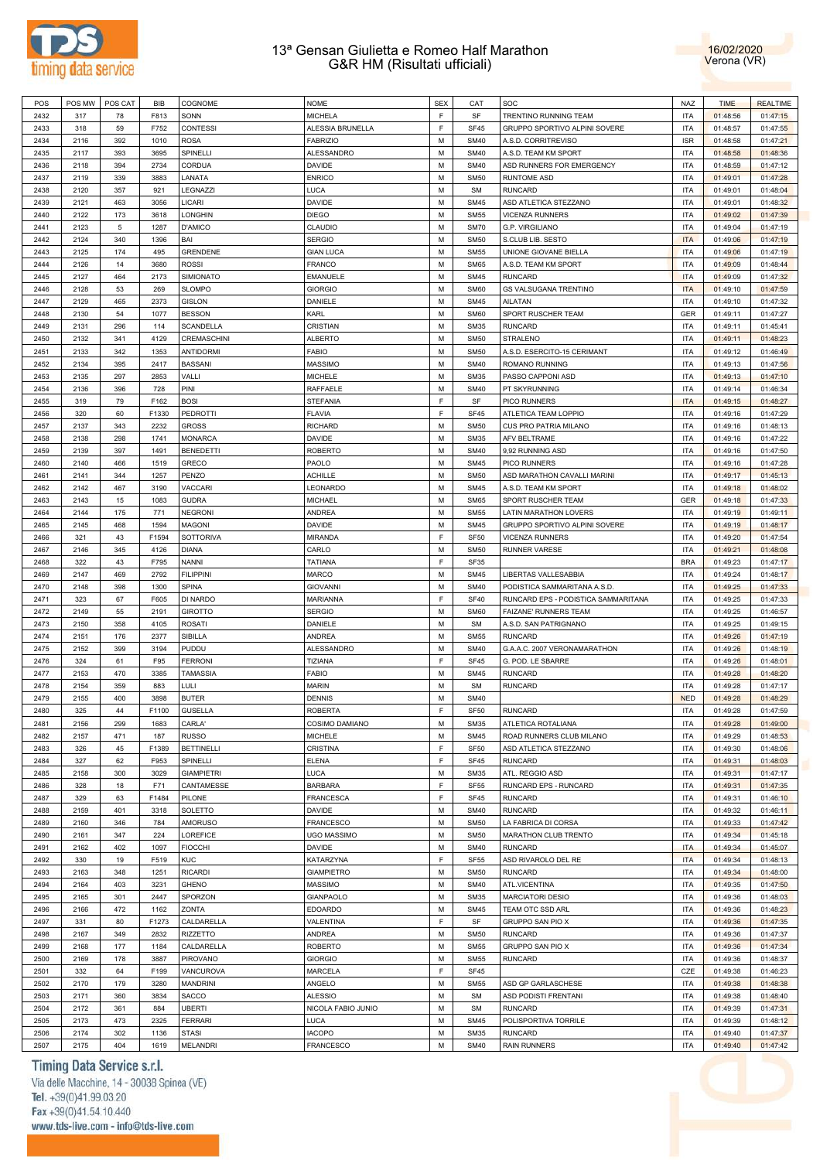



| POS  | POS MW | POS CAT | BIB   | COGNOME           | <b>NOME</b>                    | <b>SEX</b>  | CAT              | SOC                                 | <b>NAZ</b> | <b>TIME</b> | <b>REALTIME</b> |
|------|--------|---------|-------|-------------------|--------------------------------|-------------|------------------|-------------------------------------|------------|-------------|-----------------|
| 2432 | 317    | 78      | F813  | SONN              | <b>MICHELA</b>                 | $\mathsf F$ | SF               | TRENTINO RUNNING TEAM               | <b>ITA</b> | 01:48:56    | 01:47:15        |
| 2433 | 318    | 59      | F752  | <b>CONTESSI</b>   | ALESSIA BRUNELLA               | F           | <b>SF45</b>      | GRUPPO SPORTIVO ALPINI SOVERE       | <b>ITA</b> | 01:48:57    | 01:47:55        |
| 2434 | 2116   | 392     | 1010  | <b>ROSA</b>       | <b>FABRIZIO</b>                | M           | <b>SM40</b>      | A.S.D. CORRITREVISO                 | <b>ISR</b> | 01:48:58    | 01:47:21        |
| 2435 | 2117   | 393     | 3695  | SPINELLI          | ALESSANDRO                     | M           | <b>SM40</b>      | A.S.D. TEAM KM SPORT                | <b>ITA</b> | 01:48:58    | 01:48:36        |
| 2436 | 2118   | 394     | 2734  | CORDUA            | DAVIDE                         | M           | <b>SM40</b>      | ASD RUNNERS FOR EMERGENCY           | <b>ITA</b> | 01:48:59    | 01:47:12        |
| 2437 | 2119   | 339     | 3883  | LANATA            | <b>ENRICO</b>                  | M           | <b>SM50</b>      | <b>RUNTOME ASD</b>                  | <b>ITA</b> | 01:49:01    | 01:47:28        |
| 2438 | 2120   | 357     | 921   | LEGNAZZI          | LUCA                           | M           | <b>SM</b>        | <b>RUNCARD</b>                      | <b>ITA</b> | 01:49:01    | 01:48:04        |
| 2439 | 2121   | 463     | 3056  | LICARI            | DAVIDE                         | M           | <b>SM45</b>      | ASD ATLETICA STEZZANO               | <b>ITA</b> | 01:49:01    | 01:48:32        |
| 2440 | 2122   | 173     | 3618  | LONGHIN           | <b>DIEGO</b>                   | M           | <b>SM55</b>      | <b>VICENZA RUNNERS</b>              | <b>ITA</b> | 01:49:02    | 01:47:39        |
| 2441 | 2123   | 5       | 1287  | D'AMICO           | CLAUDIO                        | M           | <b>SM70</b>      | G.P. VIRGILIANO                     | <b>ITA</b> | 01:49:04    | 01:47:19        |
| 2442 | 2124   | 340     | 1396  | BAI               | <b>SERGIO</b>                  | M           | <b>SM50</b>      | S.CLUB LIB. SESTO                   | <b>ITA</b> | 01:49:06    | 01:47:19        |
| 2443 | 2125   | 174     | 495   | GRENDENE          | <b>GIAN LUCA</b>               | M           | <b>SM55</b>      | UNIONE GIOVANE BIELLA               | <b>ITA</b> | 01:49:06    | 01:47:19        |
| 2444 | 2126   | 14      | 3680  | <b>ROSSI</b>      | <b>FRANCO</b>                  | M           | <b>SM65</b>      | A.S.D. TEAM KM SPORT                | <b>ITA</b> | 01:49:09    | 01:48:44        |
| 2445 | 2127   | 464     | 2173  | SIMIONATO         | EMANUELE                       | M           | <b>SM45</b>      | <b>RUNCARD</b>                      | <b>ITA</b> | 01:49:09    | 01:47:32        |
| 2446 | 2128   | 53      | 269   | <b>SLOMPO</b>     | <b>GIORGIO</b>                 | M           | <b>SM60</b>      | <b>GS VALSUGANA TRENTINO</b>        | <b>ITA</b> | 01:49:10    | 01:47:59        |
| 2447 | 2129   | 465     | 2373  | <b>GISLON</b>     | DANIELE                        | M           | <b>SM45</b>      | AILATAN                             | <b>ITA</b> | 01:49:10    | 01:47:32        |
| 2448 | 2130   | 54      | 1077  | <b>BESSON</b>     | KARL                           | M           | <b>SM60</b>      | SPORT RUSCHER TEAM                  | <b>GER</b> | 01:49:11    | 01:47:27        |
| 2449 | 2131   | 296     | 114   | <b>SCANDELLA</b>  | CRISTIAN                       | M           | <b>SM35</b>      | <b>RUNCARD</b>                      | <b>ITA</b> | 01:49:11    | 01:45:41        |
| 2450 | 2132   | 341     | 4129  | CREMASCHINI       |                                | M           | <b>SM50</b>      | STRALENO                            | <b>ITA</b> |             |                 |
|      | 2133   | 342     | 1353  |                   | <b>ALBERTO</b><br><b>FABIO</b> | M           | <b>SM50</b>      |                                     | <b>ITA</b> | 01:49:11    | 01:48:23        |
| 2451 |        |         |       | ANTIDORMI         |                                |             |                  | A.S.D. ESERCITO-15 CERIMANT         |            | 01:49:12    | 01:46:49        |
| 2452 | 2134   | 395     | 2417  | <b>BASSANI</b>    | <b>MASSIMO</b>                 | M           | <b>SM40</b>      | ROMANO RUNNING                      | <b>ITA</b> | 01:49:13    | 01:47:56        |
| 2453 | 2135   | 297     | 2853  | VALLI             | MICHELE                        | M           | <b>SM35</b>      | PASSO CAPPONI ASD                   | <b>ITA</b> | 01:49:13    | 01:47:10        |
| 2454 | 2136   | 396     | 728   | PINI              | RAFFAELE                       | M           | <b>SM40</b>      | PT SKYRUNNING                       | <b>ITA</b> | 01:49:14    | 01:46:34        |
| 2455 | 319    | 79      | F162  | <b>BOSI</b>       | STEFANIA                       | F           | SF               | PICO RUNNERS                        | <b>ITA</b> | 01:49:15    | 01:48:27        |
| 2456 | 320    | 60      | F1330 | <b>PEDROTTI</b>   | <b>FLAVIA</b>                  | F           | <b>SF45</b>      | ATLETICA TEAM LOPPIO                | <b>ITA</b> | 01:49:16    | 01:47:29        |
| 2457 | 2137   | 343     | 2232  | <b>GROSS</b>      | <b>RICHARD</b>                 | M           | <b>SM50</b>      | CUS PRO PATRIA MILANO               | <b>ITA</b> | 01:49:16    | 01:48:13        |
| 2458 | 2138   | 298     | 1741  | <b>MONARCA</b>    | DAVIDE                         | M           | <b>SM35</b>      | AFV BELTRAME                        | <b>ITA</b> | 01:49:16    | 01:47:22        |
| 2459 | 2139   | 397     | 1491  | <b>BENEDETTI</b>  | <b>ROBERTO</b>                 | M           | <b>SM40</b>      | 9,92 RUNNING ASD                    | <b>ITA</b> | 01:49:16    | 01:47:50        |
| 2460 | 2140   | 466     | 1519  | <b>GRECO</b>      | PAOLO                          | M           | <b>SM45</b>      | PICO RUNNERS                        | <b>ITA</b> | 01:49:16    | 01:47:28        |
| 2461 | 2141   | 344     | 1257  | PENZO             | <b>ACHILLE</b>                 | M           | <b>SM50</b>      | ASD MARATHON CAVALLI MARINI         | <b>ITA</b> | 01:49:17    | 01:45:13        |
| 2462 | 2142   | 467     | 3190  | VACCARI           | LEONARDO                       | M           | <b>SM45</b>      | A.S.D. TEAM KM SPORT                | <b>ITA</b> | 01:49:18    | 01:48:02        |
| 2463 | 2143   | 15      | 1083  | <b>GUDRA</b>      | MICHAEL                        | M           | <b>SM65</b>      | SPORT RUSCHER TEAM                  | GER        | 01:49:18    | 01:47:33        |
| 2464 | 2144   | 175     | 771   | <b>NEGRONI</b>    | ANDREA                         | M           | <b>SM55</b>      | LATIN MARATHON LOVERS               | <b>ITA</b> | 01:49:19    | 01:49:11        |
| 2465 | 2145   | 468     | 1594  | <b>MAGONI</b>     | DAVIDE                         | M           | <b>SM45</b>      | GRUPPO SPORTIVO ALPINI SOVERE       | <b>ITA</b> | 01:49:19    | 01:48:17        |
| 2466 | 321    | 43      | F1594 | <b>SOTTORIVA</b>  | <b>MIRANDA</b>                 | F           | SF <sub>50</sub> | <b>VICENZA RUNNERS</b>              | <b>ITA</b> | 01:49:20    | 01:47:54        |
| 2467 | 2146   | 345     | 4126  | <b>DIANA</b>      | CARLO                          | M           | <b>SM50</b>      | <b>RUNNER VARESE</b>                | <b>ITA</b> | 01:49:21    | 01:48:08        |
| 2468 | 322    | 43      | F795  | <b>NANNI</b>      | <b>TATIANA</b>                 | F           | SF35             |                                     | <b>BRA</b> | 01:49:23    | 01:47:17        |
| 2469 | 2147   | 469     | 2792  | <b>FILIPPINI</b>  | MARCO                          | M           | <b>SM45</b>      | LIBERTAS VALLESABBIA                | <b>ITA</b> | 01:49:24    | 01:48:17        |
| 2470 | 2148   | 398     | 1300  | <b>SPINA</b>      | <b>GIOVANNI</b>                | M           | <b>SM40</b>      | PODISTICA SAMMARITANA A.S.D.        | <b>ITA</b> | 01:49:25    | 01:47:33        |
| 2471 | 323    | 67      | F605  | DI NARDO          | MARIANNA                       | F           | <b>SF40</b>      | RUNCARD EPS - PODISTICA SAMMARITANA | <b>ITA</b> | 01:49:25    | 01:47:33        |
| 2472 | 2149   | 55      | 2191  | <b>GIROTTO</b>    | <b>SERGIO</b>                  | M           | <b>SM60</b>      | FAIZANE' RUNNERS TEAM               | <b>ITA</b> | 01:49:25    | 01:46:57        |
| 2473 | 2150   | 358     | 4105  | <b>ROSATI</b>     | DANIELE                        | M           | <b>SM</b>        | A.S.D. SAN PATRIGNANO               | <b>ITA</b> | 01:49:25    | 01:49:15        |
| 2474 | 2151   | 176     | 2377  | SIBILLA           | ANDREA                         | M           | <b>SM55</b>      | <b>RUNCARD</b>                      | <b>ITA</b> | 01:49:26    | 01:47:19        |
| 2475 | 2152   | 399     | 3194  | PUDDU             | ALESSANDRO                     | M           | <b>SM40</b>      | G.A.A.C. 2007 VERONAMARATHON        | <b>ITA</b> | 01:49:26    | 01:48:19        |
| 2476 | 324    | 61      | F95   | <b>FERRONI</b>    | TIZIANA                        | F           | <b>SF45</b>      | G. POD. LE SBARRE                   | <b>ITA</b> | 01:49:26    | 01:48:01        |
| 2477 | 2153   | 470     | 3385  | <b>TAMASSIA</b>   | <b>FABIO</b>                   | M           | <b>SM45</b>      | <b>RUNCARD</b>                      | <b>ITA</b> | 01:49:28    | 01:48:20        |
| 2478 | 2154   | 359     | 883   | LULI              | <b>MARIN</b>                   | M           | <b>SM</b>        | <b>RUNCARD</b>                      | <b>ITA</b> | 01:49:28    | 01:47:17        |
| 2479 | 2155   | 400     | 3898  | <b>BUTER</b>      | <b>DENNIS</b>                  | M           | <b>SM40</b>      |                                     | <b>NED</b> | 01:49:28    | 01:48:29        |
| 2480 | 325    | 44      | F1100 | <b>GUSELLA</b>    | <b>ROBERTA</b>                 | F           | <b>SF50</b>      | <b>RUNCARD</b>                      | <b>ITA</b> | 01:49:28    | 01:47:59        |
| 2481 | 2156   | 299     | 1683  | CARLA'            | COSIMO DAMIANO                 | M           | <b>SM35</b>      | ATLETICA ROTALIANA                  | <b>ITA</b> | 01:49:28    | 01:49:00        |
| 2482 | 2157   | 471     | 187   | <b>RUSSO</b>      | MICHELE                        | M           | <b>SM45</b>      | ROAD RUNNERS CLUB MILANO            | <b>ITA</b> | 01:49:29    | 01:48:53        |
| 2483 | 326    | 45      | F1389 | <b>BETTINELLI</b> | CRISTINA                       | F           | <b>SF50</b>      | ASD ATLETICA STEZZANO               | <b>ITA</b> | 01:49:30    | 01:48:06        |
| 2484 | 327    | 62      | F953  | SPINELLI          | <b>ELENA</b>                   | F           | SF45             | <b>RUNCARD</b>                      | <b>ITA</b> | 01:49:31    | 01:48:03        |
| 2485 | 2158   | 300     | 3029  | <b>GIAMPIETRI</b> | LUCA                           | M           | <b>SM35</b>      | ATL. REGGIO ASD                     | <b>ITA</b> | 01:49:31    | 01:47:17        |
| 2486 | 328    | 18      | F71   | CANTAMESSE        | <b>BARBARA</b>                 | F           | <b>SF55</b>      | RUNCARD EPS - RUNCARD               | <b>ITA</b> | 01:49:31    | 01:47:35        |
| 2487 | 329    | 63      | F1484 | PILONE            | <b>FRANCESCA</b>               | F           | <b>SF45</b>      | <b>RUNCARD</b>                      | <b>ITA</b> | 01:49:31    | 01:46:10        |
| 2488 | 2159   | 401     | 3318  | SOLETTO           | DAVIDE                         | M           | <b>SM40</b>      | <b>RUNCARD</b>                      | <b>ITA</b> | 01:49:32    | 01:46:11        |
| 2489 | 2160   | 346     | 784   | <b>AMORUSO</b>    | FRANCESCO                      | M           | <b>SM50</b>      | LA FABRICA DI CORSA                 | <b>ITA</b> | 01:49:33    | 01:47:42        |
|      |        | 347     | 224   | LOREFICE          | <b>UGO MASSIMO</b>             | M           | <b>SM50</b>      | MARATHON CLUB TRENTO                | <b>ITA</b> | 01:49:34    |                 |
| 2490 | 2161   |         |       |                   |                                |             |                  |                                     |            |             | 01:45:18        |
| 2491 | 2162   | 402     | 1097  | <b>FIOCCHI</b>    | DAVIDE                         | M           | <b>SM40</b>      | <b>RUNCARD</b>                      | <b>ITA</b> | 01:49:34    | 01:45:07        |
| 2492 | 330    | 19      | F519  | <b>KUC</b>        | KATARZYNA                      | F           | SF <sub>55</sub> | ASD RIVAROLO DEL RE                 | <b>ITA</b> | 01:49:34    | 01:48:13        |
| 2493 | 2163   | 348     | 1251  | <b>RICARDI</b>    | <b>GIAMPIETRO</b>              | M           | <b>SM50</b>      | <b>RUNCARD</b>                      | <b>ITA</b> | 01:49:34    | 01:48:00        |
| 2494 | 2164   | 403     | 3231  | <b>GHENO</b>      | MASSIMO                        | M           | <b>SM40</b>      | ATL.VICENTINA                       | <b>ITA</b> | 01:49:35    | 01:47:50        |
| 2495 | 2165   | 301     | 2447  | SPORZON           | GIANPAOLO                      | M           | <b>SM35</b>      | <b>MARCIATORI DESIO</b>             | <b>ITA</b> | 01:49:36    | 01:48:03        |
| 2496 | 2166   | 472     | 1162  | ZONTA             | EDOARDO                        | M           | <b>SM45</b>      | TEAM OTC SSD ARL                    | <b>ITA</b> | 01:49:36    | 01:48:23        |
| 2497 | 331    | 80      | F1273 | CALDARELLA        | VALENTINA                      | F           | SF               | GRUPPO SAN PIO X                    | <b>ITA</b> | 01:49:36    | 01:47:35        |
| 2498 | 2167   | 349     | 2832  | RIZZETTO          | ANDREA                         | M           | <b>SM50</b>      | <b>RUNCARD</b>                      | <b>ITA</b> | 01:49:36    | 01:47:37        |
| 2499 | 2168   | 177     | 1184  | CALDARELLA        | <b>ROBERTO</b>                 | M           | <b>SM55</b>      | GRUPPO SAN PIO X                    | <b>ITA</b> | 01:49:36    | 01:47:34        |
| 2500 | 2169   | 178     | 3887  | PIROVANO          | <b>GIORGIO</b>                 | M           | <b>SM55</b>      | <b>RUNCARD</b>                      | <b>ITA</b> | 01:49:36    | 01:48:37        |
| 2501 | 332    | 64      | F199  | VANCUROVA         | MARCELA                        | F           | <b>SF45</b>      |                                     | CZE        | 01:49:38    | 01:46:23        |
| 2502 | 2170   | 179     | 3280  | <b>MANDRINI</b>   | ANGELO                         | M           | <b>SM55</b>      | ASD GP GARLASCHESE                  | <b>ITA</b> | 01:49:38    | 01:48:38        |
| 2503 | 2171   | 360     | 3834  | SACCO             | <b>ALESSIO</b>                 | M           | <b>SM</b>        | ASD PODISTI FRENTANI                | <b>ITA</b> | 01:49:38    | 01:48:40        |
| 2504 | 2172   | 361     | 884   | <b>UBERTI</b>     | NICOLA FABIO JUNIO             | M           | <b>SM</b>        | <b>RUNCARD</b>                      | <b>ITA</b> | 01:49:39    | 01:47:31        |
| 2505 | 2173   | 473     | 2325  | <b>FERRARI</b>    | LUCA                           | M           | <b>SM45</b>      | POLISPORTIVA TORRILE                | <b>ITA</b> | 01:49:39    | 01:48:12        |
| 2506 | 2174   | 302     | 1136  | <b>STASI</b>      | <b>IACOPO</b>                  | ${\sf M}$   | <b>SM35</b>      | <b>RUNCARD</b>                      | <b>ITA</b> | 01:49:40    | 01:47:37        |
| 2507 | 2175   | 404     | 1619  | MELANDRI          | FRANCESCO                      | ${\sf M}$   | <b>SM40</b>      | <b>RAIN RUNNERS</b>                 | <b>ITA</b> | 01:49:40    | 01:47:42        |

# Timing Data Service s.r.l.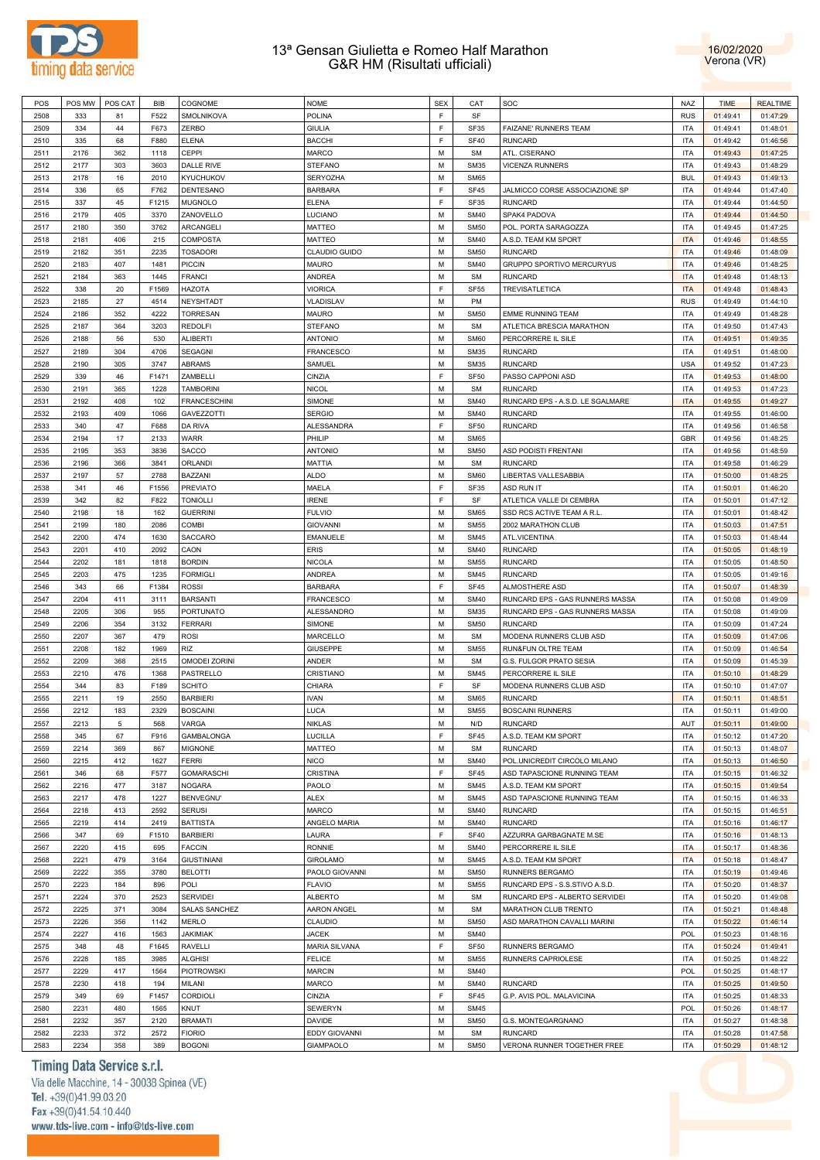



| POS  | POS MW | POS CAT | BIB   | COGNOME              | <b>NOME</b>        | <b>SEX</b> | CAT         | SOC                              | <b>NAZ</b> | <b>TIME</b> | <b>REALTIME</b> |
|------|--------|---------|-------|----------------------|--------------------|------------|-------------|----------------------------------|------------|-------------|-----------------|
| 2508 | 333    | 81      | F522  | SMOLNIKOVA           | POLINA             | E          | SF          |                                  | <b>RUS</b> | 01:49:41    | 01:47:29        |
|      |        |         |       |                      |                    |            |             |                                  |            |             |                 |
| 2509 | 334    | 44      | F673  | <b>ZERBO</b>         | <b>GIULIA</b>      | E          | <b>SF35</b> | FAIZANE' RUNNERS TEAM            | <b>ITA</b> | 01:49:41    | 01:48:01        |
| 2510 | 335    | 68      | F880  | <b>ELENA</b>         | <b>BACCHI</b>      | F          | <b>SF40</b> | <b>RUNCARD</b>                   | <b>ITA</b> | 01:49:42    | 01:46:56        |
| 2511 | 2176   | 362     | 1118  | CEPPI                | <b>MARCO</b>       | M          | <b>SM</b>   | ATL. CISERANO                    | <b>ITA</b> | 01:49:43    | 01:47:25        |
| 2512 | 2177   | 303     | 3603  | <b>DALLE RIVE</b>    | <b>STEFANO</b>     | M          | <b>SM35</b> | <b>VICENZA RUNNERS</b>           | <b>ITA</b> | 01:49:43    | 01:48:29        |
| 2513 | 2178   | 16      | 2010  | <b>KYUCHUKOV</b>     | SERYOZHA           | M          | <b>SM65</b> |                                  | <b>BUL</b> | 01:49:43    | 01:49:13        |
|      |        |         |       |                      |                    |            |             |                                  |            |             |                 |
| 2514 | 336    | 65      | F762  | DENTESANO            | <b>BARBARA</b>     | F          | <b>SF45</b> | JALMICCO CORSE ASSOCIAZIONE SP   | <b>ITA</b> | 01:49:44    | 01:47:40        |
| 2515 | 337    | 45      | F1215 | <b>MUGNOLO</b>       | <b>ELENA</b>       | F          | SF35        | <b>RUNCARD</b>                   | <b>ITA</b> | 01:49:44    | 01:44:50        |
| 2516 | 2179   | 405     | 3370  | ZANOVELLO            | LUCIANO            | M          | <b>SM40</b> | SPAK4 PADOVA                     | <b>ITA</b> | 01:49:44    | 01:44:50        |
| 2517 | 2180   | 350     | 3762  | ARCANGELI            | <b>MATTEO</b>      | M          | <b>SM50</b> | POL. PORTA SARAGOZZA             | <b>ITA</b> | 01:49:45    | 01:47:25        |
|      |        |         |       | COMPOSTA             |                    | M          |             |                                  |            |             |                 |
| 2518 | 2181   | 406     | 215   |                      | <b>MATTEO</b>      |            | <b>SM40</b> | A.S.D. TEAM KM SPORT             | <b>ITA</b> | 01:49:46    | 01:48:55        |
| 2519 | 2182   | 351     | 2235  | <b>TOSADORI</b>      | CLAUDIO GUIDO      | M          | <b>SM50</b> | <b>RUNCARD</b>                   | <b>ITA</b> | 01:49:46    | 01:48:09        |
| 2520 | 2183   | 407     | 1481  | <b>PICCIN</b>        | <b>MAURO</b>       | M          | <b>SM40</b> | <b>GRUPPO SPORTIVO MERCURYUS</b> | <b>ITA</b> | 01:49:46    | 01:48:25        |
| 2521 | 2184   | 363     | 1445  | <b>FRANCI</b>        | <b>ANDREA</b>      | M          | <b>SM</b>   | <b>RUNCARD</b>                   | <b>ITA</b> | 01:49:48    | 01:48:13        |
| 2522 | 338    | 20      | F1569 | <b>HAZOTA</b>        | <b>VIORICA</b>     | F          | <b>SF55</b> | <b>TREVISATLETICA</b>            | <b>ITA</b> | 01:49:48    | 01:48:43        |
| 2523 | 2185   | 27      | 4514  | NEYSHTADT            | VLADISLAV          | M          | PM          |                                  | <b>RUS</b> | 01:49:49    | 01:44:10        |
|      |        |         |       |                      |                    |            |             |                                  |            |             |                 |
| 2524 | 2186   | 352     | 4222  | <b>TORRESAN</b>      | <b>MAURO</b>       | M          | <b>SM50</b> | <b>EMME RUNNING TEAM</b>         | <b>ITA</b> | 01:49:49    | 01:48:28        |
| 2525 | 2187   | 364     | 3203  | <b>REDOLFI</b>       | <b>STEFANO</b>     | M          | <b>SM</b>   | ATLETICA BRESCIA MARATHON        | <b>ITA</b> | 01:49:50    | 01:47:43        |
| 2526 | 2188   | 56      | 530   | <b>ALIBERTI</b>      | <b>ANTONIO</b>     | M          | <b>SM60</b> | PERCORRERE IL SILE               | <b>ITA</b> | 01:49:51    | 01:49:35        |
| 2527 | 2189   | 304     | 4706  | <b>SEGAGNI</b>       | <b>FRANCESCO</b>   | M          | <b>SM35</b> | <b>RUNCARD</b>                   | <b>ITA</b> | 01:49:51    | 01:48:00        |
|      |        |         | 3747  |                      |                    | M          |             |                                  |            |             |                 |
| 2528 | 2190   | 305     |       | ABRAMS               | SAMUEL             |            | <b>SM35</b> | <b>RUNCARD</b>                   | <b>USA</b> | 01:49:52    | 01:47:23        |
| 2529 | 339    | 46      | F1471 | ZAMBELLI             | CINZIA             | F          | <b>SF50</b> | PASSO CAPPONI ASD                | <b>ITA</b> | 01:49:53    | 01:48:00        |
| 2530 | 2191   | 365     | 1228  | <b>TAMBORINI</b>     | <b>NICOL</b>       | M          | <b>SM</b>   | <b>RUNCARD</b>                   | <b>ITA</b> | 01:49:53    | 01:47:23        |
| 2531 | 2192   | 408     | 102   | <b>FRANCESCHINI</b>  | SIMONE             | M          | <b>SM40</b> | RUNCARD EPS - A.S.D. LE SGALMARE | <b>ITA</b> | 01:49:55    | 01:49:27        |
| 2532 | 2193   | 409     | 1066  | <b>GAVEZZOTTI</b>    | <b>SERGIO</b>      | M          | <b>SM40</b> | <b>RUNCARD</b>                   | <b>ITA</b> | 01:49:55    | 01:46:00        |
|      |        |         |       |                      |                    | E          |             | <b>RUNCARD</b>                   |            |             |                 |
| 2533 | 340    | 47      | F688  | DA RIVA              | <b>ALESSANDRA</b>  |            | <b>SF50</b> |                                  | <b>ITA</b> | 01:49:56    | 01:46:58        |
| 2534 | 2194   | 17      | 2133  | <b>WARR</b>          | PHILIP             | M          | <b>SM65</b> |                                  | <b>GBR</b> | 01:49:56    | 01:48:25        |
| 2535 | 2195   | 353     | 3836  | SACCO                | <b>ANTONIO</b>     | M          | <b>SM50</b> | ASD PODISTI FRENTANI             | <b>ITA</b> | 01:49:56    | 01:48:59        |
| 2536 | 2196   | 366     | 3841  | <b>ORLANDI</b>       | MATTIA             | M          | <b>SM</b>   | <b>RUNCARD</b>                   | <b>ITA</b> | 01:49:58    | 01:46:29        |
| 2537 | 2197   | 57      | 2788  | BAZZANI              | <b>ALDO</b>        | M          | <b>SM60</b> | LIBERTAS VALLESABBIA             | <b>ITA</b> | 01:50:00    | 01:48:25        |
|      |        |         |       |                      |                    |            |             |                                  |            |             |                 |
| 2538 | 341    | 46      | F1556 | <b>PREVIATO</b>      | <b>MAELA</b>       | F          | <b>SF35</b> | ASD RUN IT                       | <b>ITA</b> | 01:50:01    | 01:46:20        |
| 2539 | 342    | 82      | F822  | <b>TONIOLLI</b>      | <b>IRENE</b>       | F          | SF          | ATLETICA VALLE DI CEMBRA         | <b>ITA</b> | 01:50:01    | 01:47:12        |
| 2540 | 2198   | 18      | 162   | <b>GUERRINI</b>      | <b>FULVIO</b>      | M          | <b>SM65</b> | SSD RCS ACTIVE TEAM A R.L.       | <b>ITA</b> | 01:50:01    | 01:48:42        |
| 2541 | 2199   | 180     | 2086  | <b>COMBI</b>         | <b>GIOVANNI</b>    | M          | <b>SM55</b> | 2002 MARATHON CLUB               | <b>ITA</b> | 01:50:03    | 01:47:51        |
| 2542 | 2200   | 474     | 1630  | <b>SACCARO</b>       | <b>EMANUELE</b>    | M          | <b>SM45</b> | ATL.VICENTINA                    | <b>ITA</b> | 01:50:03    | 01:48:44        |
|      |        |         |       |                      |                    |            |             |                                  |            |             |                 |
| 2543 | 2201   | 410     | 2092  | CAON                 | <b>ERIS</b>        | M          | <b>SM40</b> | <b>RUNCARD</b>                   | <b>ITA</b> | 01:50:05    | 01:48:19        |
| 2544 | 2202   | 181     | 1818  | <b>BORDIN</b>        | <b>NICOLA</b>      | M          | <b>SM55</b> | <b>RUNCARD</b>                   | <b>ITA</b> | 01:50:05    | 01:48:50        |
| 2545 | 2203   | 475     | 1235  | <b>FORMIGLI</b>      | <b>ANDREA</b>      | M          | <b>SM45</b> | <b>RUNCARD</b>                   | <b>ITA</b> | 01:50:05    | 01:49:16        |
| 2546 | 343    | 66      | F1384 | <b>ROSSI</b>         | <b>BARBARA</b>     | F          | <b>SF45</b> | ALMOSTHERE ASD                   | <b>ITA</b> | 01:50:07    | 01:48:39        |
| 2547 | 2204   | 411     | 3111  | <b>BARSANTI</b>      | <b>FRANCESCO</b>   | M          | <b>SM40</b> | RUNCARD EPS - GAS RUNNERS MASSA  | <b>ITA</b> | 01:50:08    | 01:49:09        |
|      |        |         |       |                      |                    | M          |             |                                  | <b>ITA</b> |             |                 |
| 2548 | 2205   | 306     | 955   | PORTUNATO            | <b>ALESSANDRO</b>  |            | <b>SM35</b> | RUNCARD EPS - GAS RUNNERS MASSA  |            | 01:50:08    | 01:49:09        |
| 2549 | 2206   | 354     | 3132  | <b>FERRARI</b>       | SIMONE             | M          | <b>SM50</b> | <b>RUNCARD</b>                   | <b>ITA</b> | 01:50:09    | 01:47:24        |
| 2550 | 2207   | 367     | 479   | <b>ROSI</b>          | MARCELLO           | M          | <b>SM</b>   | MODENA RUNNERS CLUB ASD          | <b>ITA</b> | 01:50:09    | 01:47:06        |
| 2551 | 2208   | 182     | 1969  | <b>RIZ</b>           | <b>GIUSEPPE</b>    | M          | <b>SM55</b> | RUN&FUN OLTRE TEAM               | <b>ITA</b> | 01:50:09    | 01:46:54        |
| 2552 | 2209   | 368     | 2515  | <b>OMODEI ZORINI</b> | ANDER              | M          | <b>SM</b>   | G.S. FULGOR PRATO SESIA          | <b>ITA</b> | 01:50:09    | 01:45:39        |
|      | 2210   | 476     | 1368  | PASTRELLO            | CRISTIANO          | M          | <b>SM45</b> |                                  | <b>ITA</b> |             | 01:48:29        |
| 2553 |        |         |       |                      |                    |            |             | PERCORRERE IL SILE               |            | 01:50:10    |                 |
| 2554 | 344    | 83      | F189  | <b>SCHITO</b>        | CHIARA             | F          | SF          | MODENA RUNNERS CLUB ASD          | <b>ITA</b> | 01:50:10    | 01:47:07        |
| 2555 | 2211   | 19      | 2550  | <b>BARBIERI</b>      | <b>IVAN</b>        | M          | <b>SM65</b> | <b>RUNCARD</b>                   | <b>ITA</b> | 01:50:11    | 01:48:51        |
| 2556 | 2212   | 183     | 2329  | <b>BOSCAINI</b>      | LUCA               | M          | <b>SM55</b> | <b>BOSCAINI RUNNERS</b>          | <b>ITA</b> | 01:50:11    | 01:49:00        |
| 2557 | 2213   | 5       | 568   | VARGA                | <b>NIKLAS</b>      | M          | N/D         | <b>RUNCARD</b>                   | AUT        | 01:50:11    | 01:49:00        |
|      |        |         |       |                      |                    | F          |             | A.S.D. TEAM KM SPORT             |            |             |                 |
| 2558 | 345    | 67      | F916  | <b>GAMBALONGA</b>    | LUCILLA            |            | <b>SF45</b> |                                  | <b>ITA</b> | 01:50:12    | 01:47:20        |
| 2559 | 2214   | 369     | 867   | <b>MIGNONE</b>       | MATTEO             | M          | <b>SM</b>   | <b>RUNCARD</b>                   | <b>ITA</b> | 01:50:13    | 01:48:07        |
| 2560 | 2215   | 412     | 1627  | <b>FERRI</b>         | <b>NICO</b>        | M          | <b>SM40</b> | POL.UNICREDIT CIRCOLO MILANO     | <b>ITA</b> | 01:50:13    | 01:46:50        |
| 2561 | 346    | 68      | F577  | <b>GOMARASCHI</b>    | <b>CRISTINA</b>    | F          | <b>SF45</b> | ASD TAPASCIONE RUNNING TEAM      | <b>ITA</b> | 01:50:15    | 01:46:32        |
| 2562 | 2216   | 477     | 3187  | <b>NOGARA</b>        | PAOLO              | M          | <b>SM45</b> | A.S.D. TEAM KM SPORT             | <b>ITA</b> | 01:50:15    | 01:49:54        |
|      |        |         |       |                      |                    |            |             |                                  |            |             |                 |
| 2563 | 2217   | 478     | 1227  | BENVEGNU'            | ALEX               | M          | <b>SM45</b> | ASD TAPASCIONE RUNNING TEAM      | <b>ITA</b> | 01:50:15    | 01:46:33        |
| 2564 | 2218   | 413     | 2592  | <b>SERUSI</b>        | <b>MARCO</b>       | M          | <b>SM40</b> | <b>RUNCARD</b>                   | <b>ITA</b> | 01:50:15    | 01:46:51        |
| 2565 | 2219   | 414     | 2419  | <b>BATTISTA</b>      | ANGELO MARIA       | M          | <b>SM40</b> | <b>RUNCARD</b>                   | <b>ITA</b> | 01:50:16    | 01:46:17        |
| 2566 | 347    | 69      | F1510 | <b>BARBIERI</b>      | LAURA              | F          | <b>SF40</b> | AZZURRA GARBAGNATE M.SE          | <b>ITA</b> | 01:50:16    | 01:48:13        |
| 2567 | 2220   | 415     | 695   | <b>FACCIN</b>        | RONNIE             | M          | <b>SM40</b> | PERCORRERE IL SILE               | <b>ITA</b> | 01:50:17    | 01:48:36        |
|      |        |         |       |                      |                    |            |             |                                  |            |             |                 |
| 2568 | 2221   | 479     | 3164  | <b>GIUSTINIANI</b>   | <b>GIROLAMO</b>    | M          | <b>SM45</b> | A.S.D. TEAM KM SPORT             | <b>ITA</b> | 01:50:18    | 01:48:47        |
| 2569 | 2222   | 355     | 3780  | <b>BELOTTI</b>       | PAOLO GIOVANNI     | M          | <b>SM50</b> | RUNNERS BERGAMO                  | <b>ITA</b> | 01:50:19    | 01:49:46        |
| 2570 | 2223   | 184     | 896   | POLI                 | <b>FLAVIO</b>      | M          | <b>SM55</b> | RUNCARD EPS - S.S.STIVO A.S.D.   | <b>ITA</b> | 01:50:20    | 01:48:37        |
| 2571 | 2224   | 370     | 2523  | <b>SERVIDEI</b>      | ALBERTO            | M          | <b>SM</b>   | RUNCARD EPS - ALBERTO SERVIDEI   | <b>ITA</b> | 01:50:20    | 01:49:08        |
| 2572 | 2225   | 371     | 3084  | <b>SALAS SANCHEZ</b> | <b>AARON ANGEL</b> | M          | <b>SM</b>   | MARATHON CLUB TRENTO             | <b>ITA</b> | 01:50:21    | 01:48:48        |
|      |        |         |       |                      |                    |            |             |                                  |            |             |                 |
| 2573 | 2226   | 356     | 1142  | MERLO                | <b>CLAUDIO</b>     | M          | <b>SM50</b> | ASD MARATHON CAVALLI MARINI      | <b>ITA</b> | 01:50:22    | 01:46:14        |
| 2574 | 2227   | 416     | 1563  | <b>JAKIMIAK</b>      | <b>JACEK</b>       | M          | <b>SM40</b> |                                  | POL        | 01:50:23    | 01:48:16        |
| 2575 | 348    | 48      | F1645 | <b>RAVELLI</b>       | MARIA SILVANA      | F          | <b>SF50</b> | RUNNERS BERGAMO                  | <b>ITA</b> | 01:50:24    | 01:49:41        |
| 2576 | 2228   | 185     | 3985  | <b>ALGHISI</b>       | <b>FELICE</b>      | M          | <b>SM55</b> | RUNNERS CAPRIOLESE               | <b>ITA</b> | 01:50:25    | 01:48:22        |
|      |        |         |       |                      |                    | M          |             |                                  |            |             |                 |
| 2577 | 2229   | 417     | 1564  | <b>PIOTROWSKI</b>    | <b>MARCIN</b>      |            | <b>SM40</b> |                                  | POL        | 01:50:25    | 01:48:17        |
| 2578 | 2230   | 418     | 194   | MILANI               | <b>MARCO</b>       | M          | <b>SM40</b> | <b>RUNCARD</b>                   | <b>ITA</b> | 01:50:25    | 01:49:50        |
| 2579 | 349    | 69      | F1457 | CORDIOLI             | CINZIA             | F          | <b>SF45</b> | G.P. AVIS POL. MALAVICINA        | <b>ITA</b> | 01:50:25    | 01:48:33        |
| 2580 | 2231   | 480     | 1565  | KNUT                 | <b>SEWERYN</b>     | M          | <b>SM45</b> |                                  | <b>POL</b> | 01:50:26    | 01:48:17        |
| 2581 | 2232   | 357     | 2120  | <b>BRAMATI</b>       | <b>DAVIDE</b>      | M          | <b>SM50</b> | G.S. MONTEGARGNANO               | <b>ITA</b> | 01:50:27    | 01:48:38        |
|      |        |         |       |                      |                    |            |             |                                  |            |             |                 |
| 2582 | 2233   | 372     | 2572  | <b>FIORIO</b>        | EDDY GIOVANNI      | M          | <b>SM</b>   | <b>RUNCARD</b>                   | <b>ITA</b> | 01:50:28    | 01:47:58        |
| 2583 | 2234   | 358     | 389   | <b>BOGONI</b>        | GIAMPAOLO          | М          | <b>SM50</b> | VERONA RUNNER TOGETHER FREE      | <b>ITA</b> | 01:50:29    | 01:48:12        |

# Timing Data Service s.r.l.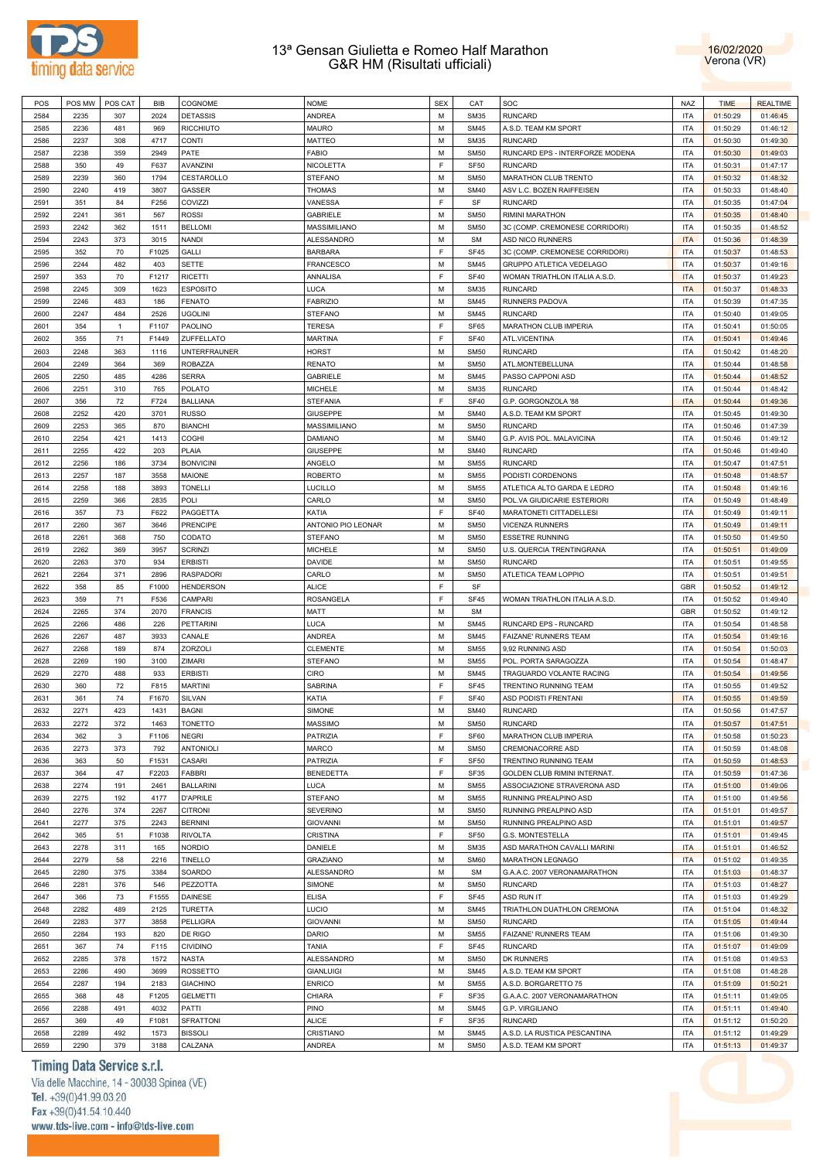



| POS  | POS MW | POS CAT        | <b>BIB</b> | COGNOME             | <b>NOME</b>        | <b>SEX</b>  | CAT              | SOC                                 | <b>NAZ</b> | <b>TIME</b> | <b>REALTIME</b> |
|------|--------|----------------|------------|---------------------|--------------------|-------------|------------------|-------------------------------------|------------|-------------|-----------------|
| 2584 | 2235   | 307            | 2024       | <b>DETASSIS</b>     | ANDREA             | M           | <b>SM35</b>      | <b>RUNCARD</b>                      | <b>ITA</b> | 01:50:29    | 01:46:45        |
| 2585 | 2236   | 481            | 969        | <b>RICCHIUTO</b>    | MAURO              | M           | <b>SM45</b>      | A.S.D. TEAM KM SPORT                | <b>ITA</b> | 01:50:29    | 01:46:12        |
| 2586 | 2237   | 308            | 4717       | <b>CONTI</b>        | MATTEO             | M           | <b>SM35</b>      | <b>RUNCARD</b>                      | <b>ITA</b> | 01:50:30    | 01:49:30        |
| 2587 | 2238   | 359            | 2949       | PATE                | FABIO              | M           | <b>SM50</b>      | RUNCARD EPS - INTERFORZE MODENA     | <b>ITA</b> | 01:50:30    | 01:49:03        |
| 2588 | 350    | 49             |            | AVANZINI            | <b>NICOLETTA</b>   | E           |                  | <b>RUNCARD</b>                      | <b>ITA</b> |             |                 |
|      |        |                | F637       |                     |                    |             | SF <sub>50</sub> |                                     |            | 01:50:31    | 01:47:17        |
| 2589 | 2239   | 360            | 1794       | CESTAROLLO          | <b>STEFANO</b>     | M           | <b>SM50</b>      | MARATHON CLUB TRENTO                | <b>ITA</b> | 01:50:32    | 01:48:32        |
| 2590 | 2240   | 419            | 3807       | <b>GASSER</b>       | <b>THOMAS</b>      | M           | <b>SM40</b>      | ASV L.C. BOZEN RAIFFEISEN           | <b>ITA</b> | 01:50:33    | 01:48:40        |
| 2591 | 351    | 84             | F256       | COVIZZI             | VANESSA            | E           | SF               | <b>RUNCARD</b>                      | <b>ITA</b> | 01:50:35    | 01:47:04        |
| 2592 | 2241   | 361            | 567        | <b>ROSSI</b>        | <b>GABRIELE</b>    | M           | <b>SM50</b>      | RIMINI MARATHON                     | <b>ITA</b> | 01:50:35    | 01:48:40        |
| 2593 | 2242   | 362            | 1511       | <b>BELLOMI</b>      | MASSIMILIANO       | M           | <b>SM50</b>      | 3C (COMP. CREMONESE CORRIDORI)      | <b>ITA</b> | 01:50:35    | 01:48:52        |
| 2594 | 2243   | 373            | 3015       | <b>NANDI</b>        | <b>ALESSANDRO</b>  | M           | <b>SM</b>        | ASD NICO RUNNERS                    | <b>ITA</b> | 01:50:36    | 01:48:39        |
| 2595 | 352    | 70             | F1025      | GALLI               | <b>BARBARA</b>     | $\mathsf F$ | SF45             | 3C (COMP. CREMONESE CORRIDORI)      | <b>ITA</b> | 01:50:37    | 01:48:53        |
| 2596 | 2244   | 482            | 403        | <b>SETTE</b>        | <b>FRANCESCO</b>   | M           | <b>SM45</b>      | GRUPPO ATLETICA VEDELAGO            | <b>ITA</b> | 01:50:37    | 01:49:16        |
| 2597 | 353    | 70             | F1217      | <b>RICETTI</b>      | ANNALISA           | E           | <b>SF40</b>      | WOMAN TRIATHLON ITALIA A.S.D.       | <b>ITA</b> | 01:50:37    | 01:49:23        |
|      |        |                |            |                     |                    |             |                  |                                     |            |             |                 |
| 2598 | 2245   | 309            | 1623       | <b>ESPOSITO</b>     | LUCA               | M           | <b>SM35</b>      | <b>RUNCARD</b>                      | <b>ITA</b> | 01:50:37    | 01:48:33        |
| 2599 | 2246   | 483            | 186        | <b>FENATO</b>       | <b>FABRIZIO</b>    | M           | <b>SM45</b>      | RUNNERS PADOVA                      | <b>ITA</b> | 01:50:39    | 01:47:35        |
| 2600 | 2247   | 484            | 2526       | <b>UGOLINI</b>      | <b>STEFANO</b>     | M           | <b>SM45</b>      | <b>RUNCARD</b>                      | <b>ITA</b> | 01:50:40    | 01:49:05        |
| 2601 | 354    | $\overline{1}$ | F1107      | <b>PAOLINO</b>      | <b>TERESA</b>      | E           | SF65             | MARATHON CLUB IMPERIA               | <b>ITA</b> | 01:50:41    | 01:50:05        |
| 2602 | 355    | 71             | F1449      | ZUFFELLATO          | <b>MARTINA</b>     | E           | <b>SF40</b>      | ATL.VICENTINA                       | <b>ITA</b> | 01:50:41    | 01:49:46        |
| 2603 | 2248   | 363            | 1116       | <b>UNTERFRAUNER</b> | HORST              | M           | <b>SM50</b>      | <b>RUNCARD</b>                      | <b>ITA</b> | 01:50:42    | 01:48:20        |
| 2604 | 2249   | 364            | 369        | <b>ROBAZZA</b>      | <b>RENATO</b>      | M           | <b>SM50</b>      | ATL.MONTEBELLUNA                    | <b>ITA</b> | 01:50:44    | 01:48:58        |
| 2605 | 2250   | 485            | 4286       | <b>SERRA</b>        | <b>GABRIELE</b>    | M           | <b>SM45</b>      | PASSO CAPPONI ASD                   | <b>ITA</b> | 01:50:44    | 01:48:52        |
| 2606 | 2251   | 310            | 765        | <b>POLATO</b>       | <b>MICHELE</b>     | M           | <b>SM35</b>      | <b>RUNCARD</b>                      | <b>ITA</b> | 01:50:44    | 01:48:42        |
|      | 356    |                |            | <b>BALLIANA</b>     | <b>STEFANIA</b>    | $\mathsf F$ |                  |                                     | <b>ITA</b> |             |                 |
| 2607 |        | 72             | F724       |                     |                    |             | <b>SF40</b>      | G.P. GORGONZOLA '88                 |            | 01:50:44    | 01:49:36        |
| 2608 | 2252   | 420            | 3701       | <b>RUSSO</b>        | <b>GIUSEPPE</b>    | M           | <b>SM40</b>      | A.S.D. TEAM KM SPORT                | <b>ITA</b> | 01:50:45    | 01:49:30        |
| 2609 | 2253   | 365            | 870        | <b>BIANCHI</b>      | MASSIMILIANO       | M           | <b>SM50</b>      | <b>RUNCARD</b>                      | <b>ITA</b> | 01:50:46    | 01:47:39        |
| 2610 | 2254   | 421            | 1413       | COGHI               | <b>DAMIANO</b>     | M           | <b>SM40</b>      | G.P. AVIS POL. MALAVICINA           | <b>ITA</b> | 01:50:46    | 01:49:12        |
| 2611 | 2255   | 422            | 203        | PLAIA               | <b>GIUSEPPE</b>    | M           | <b>SM40</b>      | <b>RUNCARD</b>                      | <b>ITA</b> | 01:50:46    | 01:49:40        |
| 2612 | 2256   | 186            | 3734       | <b>BONVICINI</b>    | ANGELO             | M           | <b>SM55</b>      | <b>RUNCARD</b>                      | <b>ITA</b> | 01:50:47    | 01:47:51        |
| 2613 | 2257   | 187            | 3558       | MAIONE              | <b>ROBERTO</b>     | M           | <b>SM55</b>      | PODISTI CORDENONS                   | <b>ITA</b> | 01:50:48    | 01:48:57        |
| 2614 | 2258   | 188            | 3893       | <b>TONELLI</b>      | <b>LUCILLO</b>     | M           | <b>SM55</b>      | ATLETICA ALTO GARDA E LEDRO         | <b>ITA</b> | 01:50:48    | 01:49:16        |
| 2615 | 2259   | 366            | 2835       | POLI                | CARLO              | M           | <b>SM50</b>      | POL.VA GIUDICARIE ESTERIORI         | <b>ITA</b> | 01:50:49    | 01:48:49        |
| 2616 | 357    | 73             | F622       | PAGGETTA            | KATIA              | $\mathsf F$ | <b>SF40</b>      | MARATONETI CITTADELLESI             | <b>ITA</b> | 01:50:49    | 01:49:11        |
|      |        |                |            |                     |                    |             |                  |                                     |            |             |                 |
| 2617 | 2260   | 367            | 3646       | <b>PRENCIPE</b>     | ANTONIO PIO LEONAR | M           | <b>SM50</b>      | <b>VICENZA RUNNERS</b>              | <b>ITA</b> | 01:50:49    | 01:49:11        |
| 2618 | 2261   | 368            | 750        | CODATO              | <b>STEFANO</b>     | M           | <b>SM50</b>      | <b>ESSETRE RUNNING</b>              | <b>ITA</b> | 01:50:50    | 01:49:50        |
| 2619 | 2262   | 369            | 3957       | <b>SCRINZI</b>      | <b>MICHELE</b>     | M           | <b>SM50</b>      | U.S. QUERCIA TRENTINGRANA           | <b>ITA</b> | 01:50:51    | 01:49:09        |
| 2620 | 2263   | 370            | 934        | <b>ERBISTI</b>      | DAVIDE             | M           | <b>SM50</b>      | <b>RUNCARD</b>                      | <b>ITA</b> | 01:50:51    | 01:49:55        |
| 2621 | 2264   | 371            | 2896       | <b>RASPADORI</b>    | CARLO              | M           | <b>SM50</b>      | ATLETICA TEAM LOPPIO                | <b>ITA</b> | 01:50:51    | 01:49:51        |
| 2622 | 358    | 85             | F1000      | <b>HENDERSON</b>    | <b>ALICE</b>       | F           | SF               |                                     | <b>GBR</b> | 01:50:52    | 01:49:12        |
| 2623 | 359    | 71             | F536       | CAMPARI             | ROSANGELA          | E           | <b>SF45</b>      | WOMAN TRIATHLON ITALIA A.S.D        | <b>ITA</b> | 01:50:52    | 01:49:40        |
| 2624 | 2265   | 374            | 2070       | <b>FRANCIS</b>      | <b>MATT</b>        | M           | <b>SM</b>        |                                     | GBR        | 01:50:52    | 01:49:12        |
| 2625 | 2266   | 486            | 226        | <b>PETTARINI</b>    | LUCA               | M           | <b>SM45</b>      | RUNCARD EPS - RUNCARD               | <b>ITA</b> | 01:50:54    | 01:48:58        |
| 2626 | 2267   | 487            | 3933       | CANALE              | <b>ANDREA</b>      | M           | <b>SM45</b>      | FAIZANE' RUNNERS TEAM               | <b>ITA</b> | 01:50:54    | 01:49:16        |
| 2627 | 2268   | 189            | 874        | ZORZOLI             | <b>CLEMENTE</b>    | M           | <b>SM55</b>      | 9,92 RUNNING ASD                    | <b>ITA</b> | 01:50:54    | 01:50:03        |
|      |        |                |            |                     |                    |             |                  |                                     |            |             |                 |
| 2628 | 2269   | 190            | 3100       | ZIMARI              | <b>STEFANO</b>     | M           | <b>SM55</b>      | POL. PORTA SARAGOZZA                | <b>ITA</b> | 01:50:54    | 01:48:47        |
| 2629 | 2270   | 488            | 933        | <b>ERBISTI</b>      | <b>CIRO</b>        | M           | <b>SM45</b>      | TRAGUARDO VOLANTE RACING            | <b>ITA</b> | 01:50:54    | 01:49:56        |
| 2630 | 360    | 72             | F815       | <b>MARTINI</b>      | <b>SABRINA</b>     | F           | <b>SF45</b>      | TRENTINO RUNNING TEAM               | <b>ITA</b> | 01:50:55    | 01:49:52        |
| 2631 | 361    | 74             | F1670      | SILVAN              | KATIA              | E           | <b>SF40</b>      | <b>ASD PODISTI FRENTANI</b>         | <b>ITA</b> | 01:50:55    | 01:49:59        |
| 2632 | 2271   | 423            | 1431       | <b>BAGNI</b>        | <b>SIMONE</b>      | M           | <b>SM40</b>      | <b>RUNCARD</b>                      | <b>ITA</b> | 01:50:56    | 01:47:57        |
| 2633 | 2272   | 372            | 1463       | <b>TONETTO</b>      | <b>MASSIMO</b>     | М           | <b>SM50</b>      | <b>RUNCARD</b>                      | <b>ITA</b> | 01:50:57    | 01:47:51        |
| 2634 | 362    | $\mathbf 3$    | F1106      | <b>NEGRI</b>        | PATRIZIA           | F           | SF60             | MARATHON CLUB IMPERIA               | <b>ITA</b> | 01:50:58    | 01:50:23        |
| 2635 | 2273   | 373            | 792        | <b>ANTONIOLI</b>    | MARCO              | M           | <b>SM50</b>      | CREMONACORRE ASD                    | <b>ITA</b> | 01:50:59    | 01:48:08        |
| 2636 | 363    | 50             | F1531      | <b>CASARI</b>       | <b>PATRIZIA</b>    | F           | SF <sub>50</sub> | TRENTINO RUNNING TEAM               | <b>ITA</b> | 01:50:59    | 01:48:53        |
|      |        |                |            | <b>FABBRI</b>       |                    | E           |                  | <b>GOLDEN CLUB RIMINI INTERNAT.</b> | <b>ITA</b> |             |                 |
| 2637 | 364    | 47             | F2203      |                     | <b>BENEDETTA</b>   |             | SF35             |                                     |            | 01:50:59    | 01:47:36        |
| 2638 | 2274   | 191            | 2461       | <b>BALLARINI</b>    | <b>LUCA</b>        | M           | <b>SM55</b>      | ASSOCIAZIONE STRAVERONA ASD         | <b>ITA</b> | 01:51:00    | 01:49:06        |
| 2639 | 2275   | 192            | 4177       | <b>D'APRILE</b>     | <b>STEFANO</b>     | M           | <b>SM55</b>      | RUNNING PREALPINO ASD               | <b>ITA</b> | 01:51:00    | 01:49:56        |
| 2640 | 2276   | 374            | 2267       | <b>CITRONI</b>      | <b>SEVERINO</b>    | M           | <b>SM50</b>      | RUNNING PREALPINO ASD               | <b>ITA</b> | 01:51:01    | 01:49:57        |
| 2641 | 2277   | 375            | 2243       | <b>BERNINI</b>      | <b>GIOVANNI</b>    | M           | <b>SM50</b>      | RUNNING PREALPINO ASD               | <b>ITA</b> | 01:51:01    | 01:49:57        |
| 2642 | 365    | 51             | F1038      | <b>RIVOLTA</b>      | CRISTINA           | F           | SF <sub>50</sub> | G.S. MONTESTELLA                    | <b>ITA</b> | 01:51:01    | 01:49:45        |
| 2643 | 2278   | 311            | 165        | <b>NORDIO</b>       | DANIELE            | M           | <b>SM35</b>      | ASD MARATHON CAVALLI MARINI         | <b>ITA</b> | 01:51:01    | 01:46:52        |
| 2644 | 2279   | 58             | 2216       | <b>TINELLO</b>      | <b>GRAZIANO</b>    | M           | <b>SM60</b>      | <b>MARATHON LEGNAGO</b>             | <b>ITA</b> | 01:51:02    | 01:49:35        |
| 2645 | 2280   | 375            | 3384       | SOARDO              | ALESSANDRO         | M           | <b>SM</b>        | G.A.A.C. 2007 VERONAMARATHON        | <b>ITA</b> | 01:51:03    | 01:48:37        |
| 2646 | 2281   |                | 546        |                     |                    | M           |                  | <b>RUNCARD</b>                      | <b>ITA</b> |             |                 |
|      |        | 376            |            | PEZZOTTA            | SIMONE             |             | <b>SM50</b>      |                                     |            | 01:51:03    | 01:48:27        |
| 2647 | 366    | 73             | F1555      | DAINESE             | <b>ELISA</b>       | E           | <b>SF45</b>      | ASD RUN IT                          | <b>ITA</b> | 01:51:03    | 01:49:29        |
| 2648 | 2282   | 489            | 2125       | TURETTA             | LUCIO              | M           | <b>SM45</b>      | TRIATHLON DUATHLON CREMONA          | <b>ITA</b> | 01:51:04    | 01:48:32        |
| 2649 | 2283   | 377            | 3858       | PELLIGRA            | <b>GIOVANNI</b>    | M           | <b>SM50</b>      | <b>RUNCARD</b>                      | <b>ITA</b> | 01:51:05    | 01:49:44        |
| 2650 | 2284   | 193            | 820        | DE RIGO             | <b>DARIO</b>       | M           | <b>SM55</b>      | FAIZANE' RUNNERS TEAM               | <b>ITA</b> | 01:51:06    | 01:49:30        |
| 2651 | 367    | 74             | F115       | CIVIDINO            | <b>TANIA</b>       | E           | <b>SF45</b>      | <b>RUNCARD</b>                      | <b>ITA</b> | 01:51:07    | 01:49:09        |
| 2652 | 2285   | 378            | 1572       | <b>NASTA</b>        | ALESSANDRO         | M           | <b>SM50</b>      | DK RUNNERS                          | <b>ITA</b> | 01:51:08    | 01:49:53        |
| 2653 | 2286   | 490            | 3699       | <b>ROSSETTO</b>     | <b>GIANLUIGI</b>   | M           | <b>SM45</b>      | A.S.D. TEAM KM SPORT                | <b>ITA</b> | 01:51:08    | 01:48:28        |
| 2654 | 2287   | 194            | 2183       | <b>GIACHINO</b>     | <b>ENRICO</b>      | M           | <b>SM55</b>      | A.S.D. BORGARETTO 75                | <b>ITA</b> | 01:51:09    | 01:50:21        |
| 2655 | 368    | 48             | F1205      | <b>GELMETTI</b>     | CHIARA             | E           | SF35             | G.A.A.C. 2007 VERONAMARATHON        | <b>ITA</b> | 01:51:11    | 01:49:05        |
|      |        |                |            |                     |                    | M           |                  |                                     |            |             |                 |
| 2656 | 2288   | 491            | 4032       | PATTI               | <b>PINO</b>        |             | <b>SM45</b>      | G.P. VIRGILIANO                     | <b>ITA</b> | 01:51:11    | 01:49:40        |
| 2657 | 369    | 49             | F1081      | <b>SFRATTONI</b>    | <b>ALICE</b>       | E           | SF35             | <b>RUNCARD</b>                      | <b>ITA</b> | 01:51:12    | 01:50:20        |
| 2658 | 2289   | 492            | 1573       | <b>BISSOLI</b>      | CRISTIANO          | M           | <b>SM45</b>      | A.S.D. LA RUSTICA PESCANTINA        | <b>ITA</b> | 01:51:12    | 01:49:29        |
| 2659 | 2290   | 379            | 3188       | CALZANA             | <b>ANDREA</b>      | M           | <b>SM50</b>      | A.S.D. TEAM KM SPORT                | <b>ITA</b> | 01:51:13    | 01:49:37        |

# Timing Data Service s.r.l.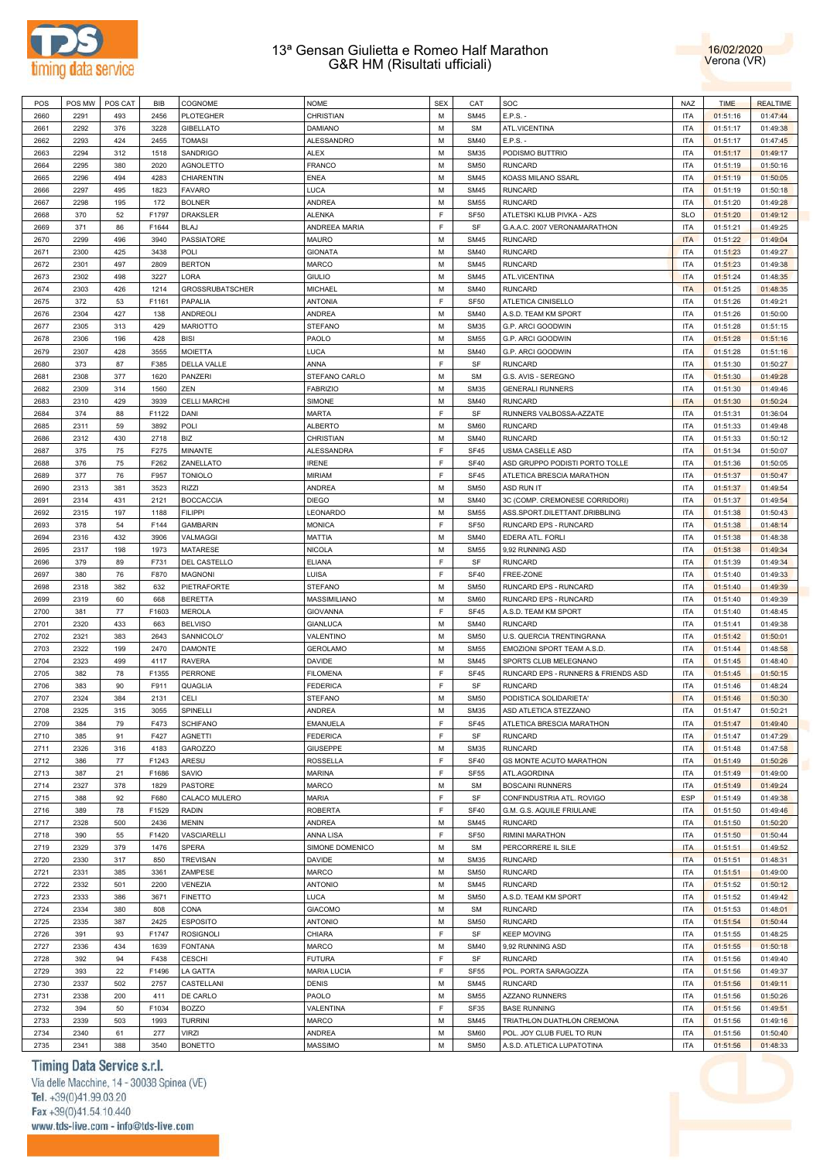



| POS  | POS MW | POS CAT | BIB   | COGNOME                | <b>NOME</b>        | <b>SEX</b> | CAT              | SOC                                 | <b>NAZ</b> | <b>TIME</b> | <b>REALTIME</b> |
|------|--------|---------|-------|------------------------|--------------------|------------|------------------|-------------------------------------|------------|-------------|-----------------|
| 2660 | 2291   | 493     | 2456  | <b>PLOTEGHER</b>       | CHRISTIAN          | M          | <b>SM45</b>      | $E.P.S. -$                          | <b>ITA</b> | 01:51:16    | 01:47:44        |
| 2661 | 2292   | 376     | 3228  | <b>GIBELLATO</b>       | DAMIANO            | M          | <b>SM</b>        | ATL.VICENTINA                       | <b>ITA</b> | 01:51:17    | 01:49:38        |
|      |        |         |       | <b>TOMASI</b>          | ALESSANDRO         | M          |                  | E.P.S. -                            |            |             | 01:47:45        |
| 2662 | 2293   | 424     | 2455  |                        |                    |            | <b>SM40</b>      |                                     | <b>ITA</b> | 01:51:17    |                 |
| 2663 | 2294   | 312     | 1518  | SANDRIGO               | ALEX               | M          | <b>SM35</b>      | PODISMO BUTTRIO                     | <b>ITA</b> | 01:51:17    | 01:49:17        |
| 2664 | 2295   | 380     | 2020  | <b>AGNOLETTO</b>       | <b>FRANCO</b>      | M          | <b>SM50</b>      | <b>RUNCARD</b>                      | <b>ITA</b> | 01:51:19    | 01:50:16        |
| 2665 | 2296   | 494     | 4283  | CHIARENTIN             | ENEA               | M          | <b>SM45</b>      | KOASS MILANO SSARL                  | <b>ITA</b> | 01:51:19    | 01:50:05        |
| 2666 | 2297   | 495     | 1823  | <b>FAVARO</b>          | LUCA               | M          | <b>SM45</b>      | <b>RUNCARD</b>                      | <b>ITA</b> | 01:51:19    | 01:50:18        |
| 2667 | 2298   | 195     | 172   | <b>BOLNER</b>          | ANDREA             | M          | <b>SM55</b>      | <b>RUNCARD</b>                      | <b>ITA</b> | 01:51:20    | 01:49:28        |
| 2668 | 370    | 52      | F1797 | DRAKSLER               | <b>ALENKA</b>      | F          | SF <sub>50</sub> | ATLETSKI KLUB PIVKA - AZS           | <b>SLO</b> | 01:51:20    | 01:49:12        |
| 2669 | 371    | 86      | F1644 | BLAJ                   | ANDREEA MARIA      | F          | SF               | G.A.A.C. 2007 VERONAMARATHON        | <b>ITA</b> | 01:51:21    | 01:49:25        |
| 2670 | 2299   | 496     | 3940  | PASSIATORE             | MAURO              | M          | <b>SM45</b>      | <b>RUNCARD</b>                      | <b>ITA</b> | 01:51:22    | 01:49:04        |
| 2671 | 2300   | 425     | 3438  | POLI                   | <b>GIONATA</b>     | M          | <b>SM40</b>      | <b>RUNCARD</b>                      | <b>ITA</b> | 01:51:23    | 01:49:27        |
|      |        |         |       |                        |                    | M          |                  |                                     |            |             |                 |
| 2672 | 2301   | 497     | 2809  | <b>BERTON</b>          | MARCO              |            | <b>SM45</b>      | <b>RUNCARD</b>                      | <b>ITA</b> | 01:51:23    | 01:49:38        |
| 2673 | 2302   | 498     | 3227  | LORA                   | <b>GIULIO</b>      | M          | <b>SM45</b>      | ATL.VICENTINA                       | <b>ITA</b> | 01:51:24    | 01:48:35        |
| 2674 | 2303   | 426     | 1214  | <b>GROSSRUBATSCHER</b> | <b>MICHAEL</b>     | M          | <b>SM40</b>      | <b>RUNCARD</b>                      | <b>ITA</b> | 01:51:25    | 01:48:35        |
| 2675 | 372    | 53      | F1161 | PAPALIA                | <b>ANTONIA</b>     | F          | SF <sub>50</sub> | ATLETICA CINISELLO                  | <b>ITA</b> | 01:51:26    | 01:49:21        |
| 2676 | 2304   | 427     | 138   | <b>ANDREOLI</b>        | ANDREA             | M          | <b>SM40</b>      | A.S.D. TEAM KM SPORT                | <b>ITA</b> | 01:51:26    | 01:50:00        |
| 2677 | 2305   | 313     | 429   | <b>MARIOTTO</b>        | <b>STEFANO</b>     | M          | <b>SM35</b>      | G.P. ARCI GOODWIN                   | <b>ITA</b> | 01:51:28    | 01:51:15        |
| 2678 | 2306   | 196     | 428   | <b>BISI</b>            | PAOLO              | М          | <b>SM55</b>      | G.P. ARCI GOODWIN                   | <b>ITA</b> | 01:51:28    | 01:51:16        |
| 2679 | 2307   | 428     | 3555  | <b>MOIETTA</b>         | LUCA               | M          | <b>SM40</b>      | G.P. ARCI GOODWIN                   | <b>ITA</b> | 01:51:28    | 01:51:16        |
| 2680 | 373    | 87      | F385  | DELLA VALLE            | ANNA               | F          | SF               | <b>RUNCARD</b>                      | <b>ITA</b> | 01:51:30    | 01:50:27        |
|      |        |         |       |                        |                    |            |                  |                                     |            |             |                 |
| 2681 | 2308   | 377     | 1620  | PANZERI                | STEFANO CARLO      | M          | SM               | G.S. AVIS - SEREGNO                 | <b>ITA</b> | 01:51:30    | 01:49:28        |
| 2682 | 2309   | 314     | 1560  | ZEN                    | <b>FABRIZIO</b>    | M          | <b>SM35</b>      | <b>GENERALI RUNNERS</b>             | <b>ITA</b> | 01:51:30    | 01:49:46        |
| 2683 | 2310   | 429     | 3939  | <b>CELLI MARCHI</b>    | SIMONE             | M          | <b>SM40</b>      | <b>RUNCARD</b>                      | <b>ITA</b> | 01:51:30    | 01:50:24        |
| 2684 | 374    | 88      | F1122 | DANI                   | <b>MARTA</b>       | F          | SF               | RUNNERS VALBOSSA-AZZATE             | <b>ITA</b> | 01:51:31    | 01:36:04        |
| 2685 | 2311   | 59      | 3892  | POLI                   | <b>ALBERTO</b>     | M          | <b>SM60</b>      | <b>RUNCARD</b>                      | ITA        | 01:51:33    | 01:49:48        |
| 2686 | 2312   | 430     | 2718  | BIZ                    | CHRISTIAN          | M          | <b>SM40</b>      | <b>RUNCARD</b>                      | <b>ITA</b> | 01:51:33    | 01:50:12        |
| 2687 | 375    | 75      | F275  | MINANTE                | ALESSANDRA         | F          | SF45             | USMA CASELLE ASD                    | <b>ITA</b> | 01:51:34    | 01:50:07        |
| 2688 | 376    | 75      | F262  | ZANELLATO              | <b>IRENE</b>       | F          | <b>SF40</b>      | ASD GRUPPO PODISTI PORTO TOLLE      | <b>ITA</b> | 01:51:36    | 01:50:05        |
| 2689 | 377    | 76      | F957  | <b>TONIOLO</b>         | <b>MIRIAM</b>      | F          | SF45             | ATLETICA BRESCIA MARATHON           | <b>ITA</b> | 01:51:37    | 01:50:47        |
| 2690 | 2313   | 381     | 3523  | RIZZI                  | ANDREA             | M          | <b>SM50</b>      | ASD RUN IT                          | <b>ITA</b> | 01:51:37    | 01:49:54        |
|      |        |         |       |                        |                    |            |                  |                                     |            |             |                 |
| 2691 | 2314   | 431     | 2121  | <b>BOCCACCIA</b>       | <b>DIEGO</b>       | M          | <b>SM40</b>      | 3C (COMP. CREMONESE CORRIDORI)      | <b>ITA</b> | 01:51:37    | 01:49:54        |
| 2692 | 2315   | 197     | 1188  | <b>FILIPPI</b>         | LEONARDO           | M          | <b>SM55</b>      | ASS.SPORT.DILETTANT.DRIBBLING       | <b>ITA</b> | 01:51:38    | 01:50:43        |
| 2693 | 378    | 54      | F144  | <b>GAMBARIN</b>        | <b>MONICA</b>      | F          | SF <sub>50</sub> | RUNCARD EPS - RUNCARD               | <b>ITA</b> | 01:51:38    | 01:48:14        |
| 2694 | 2316   | 432     | 3906  | VALMAGGI               | <b>MATTIA</b>      | M          | <b>SM40</b>      | EDERA ATL. FORLI                    | <b>ITA</b> | 01:51:38    | 01:48:38        |
| 2695 | 2317   | 198     | 1973  | MATARESE               | <b>NICOLA</b>      | M          | <b>SM55</b>      | 9,92 RUNNING ASD                    | <b>ITA</b> | 01:51:38    | 01:49:34        |
| 2696 | 379    | 89      | F731  | DEL CASTELLO           | ELIANA             | F          | SF               | <b>RUNCARD</b>                      | <b>ITA</b> | 01:51:39    | 01:49:34        |
| 2697 | 380    | 76      | F870  | <b>MAGNONI</b>         | LUISA              | F          | <b>SF40</b>      | FREE-ZONE                           | <b>ITA</b> | 01:51:40    | 01:49:33        |
| 2698 | 2318   | 382     | 632   | PIETRAFORTE            | STEFANO            | M          | <b>SM50</b>      | RUNCARD EPS - RUNCARD               | <b>ITA</b> | 01:51:40    | 01:49:39        |
| 2699 | 2319   | 60      | 668   | <b>BERETTA</b>         | MASSIMILIANO       | M          | <b>SM60</b>      | RUNCARD EPS - RUNCARD               | <b>ITA</b> | 01:51:40    | 01:49:39        |
| 2700 | 381    | 77      | F1603 | <b>MEROLA</b>          | <b>GIOVANNA</b>    | F          | SF45             | A.S.D. TEAM KM SPORT                | <b>ITA</b> | 01:51:40    | 01:48:45        |
|      |        |         |       |                        |                    |            |                  |                                     |            |             |                 |
| 2701 | 2320   | 433     | 663   | <b>BELVISO</b>         | <b>GIANLUCA</b>    | M          | <b>SM40</b>      | <b>RUNCARD</b>                      | <b>ITA</b> | 01:51:41    | 01:49:38        |
| 2702 | 2321   | 383     | 2643  | SANNICOLO'             | VALENTINO          | M          | <b>SM50</b>      | U.S. QUERCIA TRENTINGRANA           | <b>ITA</b> | 01:51:42    | 01:50:01        |
| 2703 | 2322   | 199     | 2470  | <b>DAMONTE</b>         | <b>GEROLAMO</b>    | M          | <b>SM55</b>      | EMOZIONI SPORT TEAM A.S.D.          | <b>ITA</b> | 01:51:44    | 01:48:58        |
| 2704 | 2323   | 499     | 4117  | <b>RAVERA</b>          | DAVIDE             | М          | <b>SM45</b>      | SPORTS CLUB MELEGNANO               | <b>ITA</b> | 01:51:45    | 01:48:40        |
| 2705 | 382    | 78      | F1355 | PERRONE                | <b>FILOMENA</b>    | F          | SF45             | RUNCARD EPS - RUNNERS & FRIENDS ASD | ITA        | 01:51:45    | 01:50:15        |
| 2706 | 383    | 90      | F911  | QUAGLIA                | <b>FEDERICA</b>    | F          | SF               | <b>RUNCARD</b>                      | <b>ITA</b> | 01:51:46    | 01:48:24        |
| 2707 | 2324   | 384     | 2131  | CELI                   | STEFANO            | М          | <b>SM50</b>      | PODISTICA SOLIDARIETA'              | <b>ITA</b> | 01:51:46    | 01:50:30        |
| 2708 | 2325   | 315     | 3055  | SPINELLI               | <b>ANDREA</b>      | M          | <b>SM35</b>      | ASD ATLETICA STEZZANO               | <b>ITA</b> | 01:51:47    | 01:50:21        |
| 2709 | 384    | 79      | F473  | <b>SCHIFANO</b>        | <b>EMANUELA</b>    | F          | SF45             | ATLETICA BRESCIA MARATHON           | <b>ITA</b> | 01:51:47    | 01:49:40        |
|      |        |         |       |                        |                    | F          |                  |                                     |            |             |                 |
| 2710 | 385    | 91      | F427  | <b>AGNETTI</b>         | <b>FEDERICA</b>    |            | SF               | <b>RUNCARD</b>                      | <b>ITA</b> | 01:51:47    | 01:47:29        |
| 2711 | 2326   | 316     | 4183  | GAROZZO                | <b>GIUSEPPE</b>    | M          | <b>SM35</b>      | <b>RUNCARD</b>                      | <b>ITA</b> | 01:51:48    | 01:47:58        |
| 2712 | 386    | 77      | F1243 | ARESU                  | ROSSELLA           | F          | <b>SF40</b>      | GS MONTE ACUTO MARATHON             | <b>ITA</b> | 01:51:49    | 01:50:26        |
| 2713 | 387    | 21      | F1686 | SAVIO                  | <b>MARINA</b>      | F          | <b>SF55</b>      | ATL.AGORDINA                        | <b>ITA</b> | 01:51:49    | 01:49:00        |
| 2714 | 2327   | 378     | 1829  | PASTORE                | MARCO              | М          | <b>SM</b>        | <b>BOSCAINI RUNNERS</b>             | <b>ITA</b> | 01:51:49    | 01:49:24        |
| 2715 | 388    | 92      | F680  | CALACO MULERO          | MARIA              | F          | SF               | CONFINDUSTRIA ATL. ROVIGO           | ESP        | 01:51:49    | 01:49:38        |
| 2716 | 389    | 78      | F1529 | <b>RADIN</b>           | <b>ROBERTA</b>     | F          | <b>SF40</b>      | G.M. G.S. AQUILE FRIULANE           | <b>ITA</b> | 01:51:50    | 01:49:46        |
| 2717 | 2328   | 500     | 2436  | <b>MENIN</b>           | ANDREA             | M          | <b>SM45</b>      | <b>RUNCARD</b>                      | <b>ITA</b> | 01:51:50    | 01:50:20        |
| 2718 | 390    | 55      | F1420 | VASCIARELLI            | ANNA LISA          | F          | SF <sub>50</sub> | RIMINI MARATHON                     | <b>ITA</b> | 01:51:50    | 01:50:44        |
|      |        |         |       | SPERA                  |                    |            |                  |                                     |            |             |                 |
| 2719 | 2329   | 379     | 1476  |                        | SIMONE DOMENICO    | M          | <b>SM</b>        | PERCORRERE IL SILE                  | <b>ITA</b> | 01:51:51    | 01:49:52        |
| 2720 | 2330   | 317     | 850   | <b>TREVISAN</b>        | DAVIDE             | M          | <b>SM35</b>      | <b>RUNCARD</b>                      | <b>ITA</b> | 01:51:51    | 01:48:31        |
| 2721 | 2331   | 385     | 3361  | ZAMPESE                | MARCO              | M          | <b>SM50</b>      | <b>RUNCARD</b>                      | <b>ITA</b> | 01:51:51    | 01:49:00        |
| 2722 | 2332   | 501     | 2200  | VENEZIA                | <b>ANTONIO</b>     | M          | <b>SM45</b>      | <b>RUNCARD</b>                      | <b>ITA</b> | 01:51:52    | 01:50:12        |
| 2723 | 2333   | 386     | 3671  | <b>FINETTO</b>         | LUCA               | M          | <b>SM50</b>      | A.S.D. TEAM KM SPORT                | <b>ITA</b> | 01:51:52    | 01:49:42        |
| 2724 | 2334   | 380     | 808   | CONA                   | <b>GIACOMO</b>     | M          | <b>SM</b>        | <b>RUNCARD</b>                      | <b>ITA</b> | 01:51:53    | 01:48:01        |
| 2725 | 2335   | 387     | 2425  | <b>ESPOSITO</b>        | <b>ANTONIO</b>     | M          | <b>SM50</b>      | <b>RUNCARD</b>                      | <b>ITA</b> | 01:51:54    | 01:50:44        |
| 2726 | 391    | 93      | F1747 | <b>ROSIGNOLI</b>       | CHIARA             | F          | SF               | <b>KEEP MOVING</b>                  | <b>ITA</b> | 01:51:55    | 01:48:25        |
| 2727 | 2336   | 434     | 1639  | <b>FONTANA</b>         | MARCO              | M          | <b>SM40</b>      | 9,92 RUNNING ASD                    | <b>ITA</b> | 01:51:55    | 01:50:18        |
| 2728 | 392    | 94      | F438  | <b>CESCHI</b>          | <b>FUTURA</b>      | F          | SF               | <b>RUNCARD</b>                      | <b>ITA</b> | 01:51:56    | 01:49:40        |
|      |        |         |       |                        |                    |            |                  |                                     |            |             |                 |
| 2729 | 393    | 22      | F1496 | LA GATTA               | <b>MARIA LUCIA</b> | F          | <b>SF55</b>      | POL. PORTA SARAGOZZA                | <b>ITA</b> | 01:51:56    | 01:49:37        |
| 2730 | 2337   | 502     | 2757  | CASTELLANI             | <b>DENIS</b>       | M          | <b>SM45</b>      | <b>RUNCARD</b>                      | <b>ITA</b> | 01:51:56    | 01:49:11        |
| 2731 | 2338   | 200     | 411   | DE CARLO               | PAOLO              | М          | <b>SM55</b>      | <b>AZZANO RUNNERS</b>               | <b>ITA</b> | 01:51:56    | 01:50:26        |
| 2732 | 394    | 50      | F1034 | <b>BOZZO</b>           | VALENTINA          | F          | SF35             | <b>BASE RUNNING</b>                 | <b>ITA</b> | 01:51:56    | 01:49:51        |
| 2733 | 2339   | 503     | 1993  | <b>TURRINI</b>         | MARCO              | M          | <b>SM45</b>      | TRIATHLON DUATHLON CREMONA          | <b>ITA</b> | 01:51:56    | 01:49:16        |
| 2734 | 2340   | 61      | 277   | <b>VIRZI</b>           | ANDREA             | M          | <b>SM60</b>      | POL. JOY CLUB FUEL TO RUN           | <b>ITA</b> | 01:51:56    | 01:50:40        |
| 2735 | 2341   | 388     | 3540  | <b>BONETTO</b>         | MASSIMO            | М          | <b>SM50</b>      | A.S.D. ATLETICA LUPATOTINA          | <b>ITA</b> | 01:51:56    | 01:48:33        |

# Timing Data Service s.r.l.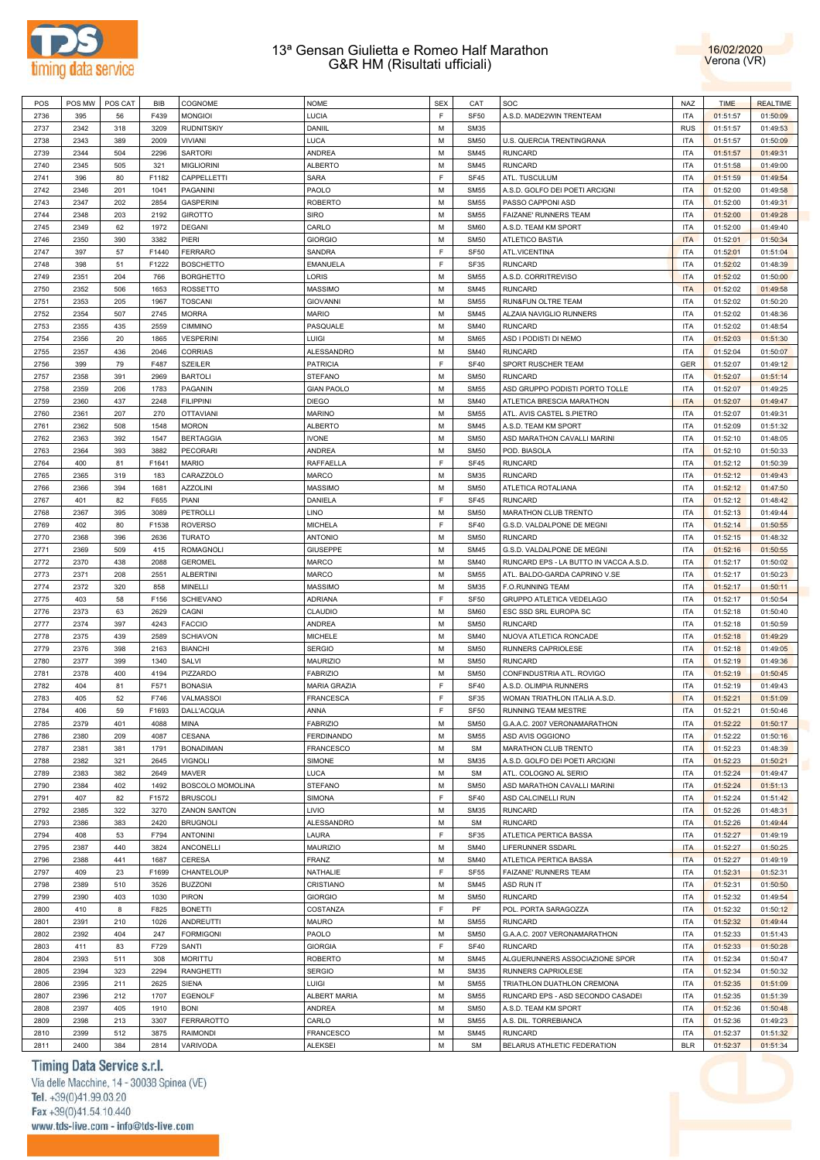



| POS  |      | POS MW   POS CAT | BIB   | COGNOME             | <b>NOME</b>         | <b>SEX</b> | CAT         | SOC                                    | <b>NAZ</b> | <b>TIME</b> | <b>REALTIME</b> |
|------|------|------------------|-------|---------------------|---------------------|------------|-------------|----------------------------------------|------------|-------------|-----------------|
| 2736 | 395  | 56               | F439  | <b>MONGIOI</b>      | LUCIA               | E          | <b>SF50</b> | A.S.D. MADE2WIN TRENTEAM               | <b>ITA</b> | 01:51:57    | 01:50:09        |
| 2737 | 2342 | 318              | 3209  | <b>RUDNITSKIY</b>   | DANIIL              | M          | <b>SM35</b> |                                        | <b>RUS</b> | 01:51:57    | 01:49:53        |
|      |      |                  |       |                     |                     | M          |             |                                        |            |             |                 |
| 2738 | 2343 | 389              | 2009  | VIVIANI             | LUCA                |            | <b>SM50</b> | U.S. QUERCIA TRENTINGRANA              | <b>ITA</b> | 01:51:57    | 01:50:09        |
| 2739 | 2344 | 504              | 2296  | <b>SARTORI</b>      | <b>ANDREA</b>       | M          | <b>SM45</b> | <b>RUNCARD</b>                         | <b>ITA</b> | 01:51:57    | 01:49:31        |
| 2740 | 2345 | 505              | 321   | <b>MIGLIORINI</b>   | <b>ALBERTO</b>      | M          | <b>SM45</b> | <b>RUNCARD</b>                         | <b>ITA</b> | 01:51:58    | 01:49:00        |
| 2741 | 396  | 80               | F1182 | CAPPELLETTI         | SARA                | F          | <b>SF45</b> | ATL. TUSCULUM                          | <b>ITA</b> | 01:51:59    | 01:49:54        |
| 2742 | 2346 | 201              | 1041  | PAGANINI            | PAOLO               | M          | <b>SM55</b> | A.S.D. GOLFO DEI POETI ARCIGNI         | <b>ITA</b> | 01:52:00    | 01:49:58        |
| 2743 | 2347 | 202              | 2854  | <b>GASPERINI</b>    | <b>ROBERTO</b>      | M          | <b>SM55</b> | PASSO CAPPONI ASD                      | <b>ITA</b> | 01:52:00    | 01:49:31        |
| 2744 | 2348 | 203              | 2192  | <b>GIROTTO</b>      | <b>SIRO</b>         | M          | <b>SM55</b> | FAIZANE' RUNNERS TEAM                  | <b>ITA</b> | 01:52:00    | 01:49:28        |
| 2745 | 2349 | 62               | 1972  | <b>DEGANI</b>       | CARLO               | M          | <b>SM60</b> | A.S.D. TEAM KM SPORT                   | <b>ITA</b> | 01:52:00    | 01:49:40        |
| 2746 | 2350 |                  | 3382  | PIERI               |                     | M          | <b>SM50</b> | <b>ATLETICO BASTIA</b>                 | <b>ITA</b> |             |                 |
|      |      | 390              |       |                     | <b>GIORGIO</b>      |            |             |                                        |            | 01:52:01    | 01:50:34        |
| 2747 | 397  | 57               | F1440 | <b>FERRARO</b>      | SANDRA              | E          | <b>SF50</b> | ATL.VICENTINA                          | <b>ITA</b> | 01:52:01    | 01:51:04        |
| 2748 | 398  | 51               | F1222 | <b>BOSCHETTO</b>    | <b>EMANUELA</b>     | E          | SF35        | <b>RUNCARD</b>                         | <b>ITA</b> | 01:52:02    | 01:48:39        |
| 2749 | 2351 | 204              | 766   | <b>BORGHETTO</b>    | LORIS               | M          | <b>SM55</b> | A.S.D. CORRITREVISO                    | <b>ITA</b> | 01:52:02    | 01:50:00        |
| 2750 | 2352 | 506              | 1653  | <b>ROSSETTO</b>     | <b>MASSIMO</b>      | M          | <b>SM45</b> | <b>RUNCARD</b>                         | <b>ITA</b> | 01:52:02    | 01:49:58        |
| 2751 | 2353 | 205              | 1967  | <b>TOSCANI</b>      | <b>GIOVANNI</b>     | M          | <b>SM55</b> | RUN&FUN OLTRE TEAM                     | <b>ITA</b> | 01:52:02    | 01:50:20        |
| 2752 | 2354 | 507              | 2745  | <b>MORRA</b>        | <b>MARIO</b>        | M          | <b>SM45</b> | ALZAIA NAVIGLIO RUNNERS                | <b>ITA</b> | 01:52:02    | 01:48:36        |
| 2753 | 2355 | 435              | 2559  | <b>CIMMINO</b>      | PASQUALE            | M          | <b>SM40</b> | <b>RUNCARD</b>                         | <b>ITA</b> | 01:52:02    | 01:48:54        |
| 2754 | 2356 | 20               | 1865  | <b>VESPERINI</b>    | LUIGI               | M          | <b>SM65</b> | ASD I PODISTI DI NEMO                  | <b>ITA</b> | 01:52:03    | 01:51:30        |
| 2755 | 2357 | 436              | 2046  | <b>CORRIAS</b>      | <b>ALESSANDRO</b>   | M          | <b>SM40</b> | <b>RUNCARD</b>                         | <b>ITA</b> | 01:52:04    | 01:50:07        |
| 2756 | 399  | 79               | F487  | <b>SZEILER</b>      | <b>PATRICIA</b>     | E          | <b>SF40</b> | SPORT RUSCHER TEAM                     | <b>GER</b> | 01:52:07    | 01:49:12        |
|      |      |                  |       |                     |                     | M          |             |                                        |            |             |                 |
| 2757 | 2358 | 391              | 2969  | <b>BARTOLI</b>      | <b>STEFANO</b>      |            | <b>SM50</b> | <b>RUNCARD</b>                         | <b>ITA</b> | 01:52:07    | 01:51:14        |
| 2758 | 2359 | 206              | 1783  | PAGANIN             | <b>GIAN PAOLO</b>   | M          | <b>SM55</b> | ASD GRUPPO PODISTI PORTO TOLLE         | <b>ITA</b> | 01:52:07    | 01:49:25        |
| 2759 | 2360 | 437              | 2248  | <b>FILIPPINI</b>    | <b>DIEGO</b>        | M          | <b>SM40</b> | ATLETICA BRESCIA MARATHON              | <b>ITA</b> | 01:52:07    | 01:49:47        |
| 2760 | 2361 | 207              | 270   | <b>OTTAVIANI</b>    | <b>MARINO</b>       | M          | <b>SM55</b> | ATL. AVIS CASTEL S.PIETRO              | <b>ITA</b> | 01:52:07    | 01:49:31        |
| 2761 | 2362 | 508              | 1548  | <b>MORON</b>        | <b>ALBERTO</b>      | M          | <b>SM45</b> | A.S.D. TEAM KM SPORT                   | <b>ITA</b> | 01:52:09    | 01:51:32        |
| 2762 | 2363 | 392              | 1547  | <b>BERTAGGIA</b>    | <b>IVONE</b>        | M          | <b>SM50</b> | ASD MARATHON CAVALLI MARINI            | <b>ITA</b> | 01:52:10    | 01:48:05        |
| 2763 | 2364 | 393              | 3882  | <b>PECORARI</b>     | <b>ANDREA</b>       | M          | <b>SM50</b> | POD. BIASOLA                           | <b>ITA</b> | 01:52:10    | 01:50:33        |
| 2764 | 400  | 81               | F1641 | <b>MARIO</b>        | RAFFAELLA           | E          | <b>SF45</b> | <b>RUNCARD</b>                         | <b>ITA</b> | 01:52:12    | 01:50:39        |
| 2765 | 2365 | 319              | 183   | CARAZZOLO           | <b>MARCO</b>        | M          | <b>SM35</b> | <b>RUNCARD</b>                         | <b>ITA</b> | 01:52:12    | 01:49:43        |
|      | 2366 |                  | 1681  | <b>AZZOLINI</b>     | <b>MASSIMO</b>      | M          | <b>SM50</b> | ATLETICA ROTALIANA                     | <b>ITA</b> |             |                 |
| 2766 |      | 394              |       |                     |                     |            |             |                                        |            | 01:52:12    | 01:47:50        |
| 2767 | 401  | 82               | F655  | PIANI               | DANIELA             | E          | <b>SF45</b> | <b>RUNCARD</b>                         | <b>ITA</b> | 01:52:12    | 01:48:42        |
| 2768 | 2367 | 395              | 3089  | <b>PETROLLI</b>     | <b>LINO</b>         | M          | <b>SM50</b> | MARATHON CLUB TRENTO                   | <b>ITA</b> | 01:52:13    | 01:49:44        |
| 2769 | 402  | 80               | F1538 | <b>ROVERSO</b>      | <b>MICHELA</b>      | F          | <b>SF40</b> | G.S.D. VALDALPONE DE MEGNI             | <b>ITA</b> | 01:52:14    | 01:50:55        |
| 2770 | 2368 | 396              | 2636  | <b>TURATO</b>       | <b>ANTONIO</b>      | M          | <b>SM50</b> | <b>RUNCARD</b>                         | <b>ITA</b> | 01:52:15    | 01:48:32        |
| 2771 | 2369 | 509              | 415   | <b>ROMAGNOLI</b>    | <b>GIUSEPPE</b>     | M          | <b>SM45</b> | G.S.D. VALDALPONE DE MEGNI             | <b>ITA</b> | 01:52:16    | 01:50:55        |
| 2772 | 2370 | 438              | 2088  | <b>GEROMEL</b>      | <b>MARCO</b>        | M          | <b>SM40</b> | RUNCARD EPS - LA BUTTO IN VACCA A.S.D. | <b>ITA</b> | 01:52:17    | 01:50:02        |
| 2773 | 2371 | 208              | 2551  | <b>ALBERTINI</b>    | <b>MARCO</b>        | M          | <b>SM55</b> | ATL. BALDO-GARDA CAPRINO V.SE          | <b>ITA</b> | 01:52:17    | 01:50:23        |
| 2774 | 2372 | 320              | 858   | MINELLI             | <b>MASSIMO</b>      | M          | <b>SM35</b> | <b>F.O.RUNNING TEAM</b>                | <b>ITA</b> | 01:52:17    | 01:50:11        |
| 2775 | 403  | 58               | F156  | <b>SCHIEVANO</b>    | <b>ADRIANA</b>      | E          | <b>SF50</b> | GRUPPO ATLETICA VEDELAGO               | <b>ITA</b> | 01:52:17    | 01:50:54        |
| 2776 | 2373 | 63               | 2629  | CAGNI               | CLAUDIO             | M          | <b>SM60</b> | ESC SSD SRL EUROPA SC                  | <b>ITA</b> | 01:52:18    | 01:50:40        |
|      |      |                  |       |                     |                     |            |             |                                        |            |             |                 |
| 2777 | 2374 | 397              | 4243  | <b>FACCIO</b>       | <b>ANDREA</b>       | M          | <b>SM50</b> | <b>RUNCARD</b>                         | <b>ITA</b> | 01:52:18    | 01:50:59        |
| 2778 | 2375 | 439              | 2589  | <b>SCHIAVON</b>     | <b>MICHELE</b>      | M          | <b>SM40</b> | NUOVA ATLETICA RONCADE                 | <b>ITA</b> | 01:52:18    | 01:49:29        |
| 2779 | 2376 | 398              | 2163  | <b>BIANCHI</b>      | <b>SERGIO</b>       | M          | <b>SM50</b> | RUNNERS CAPRIOLESE                     | <b>ITA</b> | 01:52:18    | 01:49:05        |
| 2780 | 2377 | 399              | 1340  | SALVI               | <b>MAURIZIO</b>     | M          | <b>SM50</b> | <b>RUNCARD</b>                         | <b>ITA</b> | 01:52:19    | 01:49:36        |
| 2781 | 2378 | 400              | 4194  | PIZZARDO            | <b>FABRIZIO</b>     | M          | <b>SM50</b> | CONFINDUSTRIA ATL. ROVIGO              | <b>ITA</b> | 01:52:19    | 01:50:45        |
| 2782 | 404  | 81               | F571  | <b>BONASIA</b>      | <b>MARIA GRAZIA</b> | F          | <b>SF40</b> | A.S.D. OLIMPIA RUNNERS                 | <b>ITA</b> | 01:52:19    | 01:49:43        |
| 2783 | 405  | 52               | F746  | VALMASSOI           | <b>FRANCESCA</b>    | E          | SF35        | WOMAN TRIATHLON ITALIA A.S.D.          | <b>ITA</b> | 01:52:21    | 01:51:09        |
| 2784 | 406  | 59               | F1693 | DALL'ACQUA          | ANNA                | F          | <b>SF50</b> | RUNNING TEAM MESTRE                    | <b>ITA</b> | 01:52:21    | 01:50:46        |
| 2785 | 2379 | 401              | 4088  | MINA                | <b>FABRIZIO</b>     | M          | <b>SM50</b> | G.A.A.C. 2007 VERONAMARATHON           | <b>ITA</b> | 01:52:22    | 01:50:17        |
|      |      |                  |       |                     |                     | M          |             |                                        |            |             |                 |
| 2786 | 2380 | 209              | 4087  | <b>CESANA</b>       | <b>FERDINANDO</b>   |            | <b>SM55</b> | ASD AVIS OGGIONO                       | <b>ITA</b> | 01:52:22    | 01:50:16        |
| 2787 | 2381 | 381              | 1791  | <b>BONADIMAN</b>    | FRANCESCO           | M          | <b>SM</b>   | MARATHON CLUB TRENTO                   | <b>ITA</b> | 01:52:23    | 01:48:39        |
| 2788 | 2382 | 321              | 2645  | <b>VIGNOLI</b>      | SIMONE              | M          | <b>SM35</b> | A.S.D. GOLFO DEI POETI ARCIGNI         | <b>ITA</b> | 01:52:23    | 01:50:21        |
| 2789 | 2383 | 382              | 2649  | MAVER               | <b>LUCA</b>         | M          | <b>SM</b>   | ATL. COLOGNO AL SERIO                  | <b>ITA</b> | 01:52:24    | 01:49:47        |
| 2790 | 2384 | 402              | 1492  | BOSCOLO MOMOLINA    | <b>STEFANO</b>      | M          | <b>SM50</b> | ASD MARATHON CAVALLI MARINI            | <b>ITA</b> | 01:52:24    | 01:51:13        |
| 2791 | 407  | 82               | F1572 | <b>BRUSCOLI</b>     | <b>SIMONA</b>       | E          | <b>SF40</b> | ASD CALCINELLI RUN                     | <b>ITA</b> | 01:52:24    | 01:51:42        |
| 2792 | 2385 | 322              | 3270  | <b>ZANON SANTON</b> | LIVIO               | M          | <b>SM35</b> | <b>RUNCARD</b>                         | <b>ITA</b> | 01:52:26    | 01:48:31        |
| 2793 | 2386 | 383              | 2420  | <b>BRUGNOLI</b>     | ALESSANDRO          | M          | <b>SM</b>   | <b>RUNCARD</b>                         | <b>ITA</b> | 01:52:26    | 01:49:44        |
| 2794 | 408  | 53               | F794  | <b>ANTONINI</b>     | LAURA               | E          | SF35        | ATLETICA PERTICA BASSA                 | <b>ITA</b> | 01:52:27    | 01:49:19        |
| 2795 | 2387 | 440              | 3824  | ANCONELLI           | <b>MAURIZIO</b>     | M          | <b>SM40</b> | LIFERUNNER SSDARL                      | <b>ITA</b> | 01:52:27    | 01:50:25        |
| 2796 | 2388 | 441              | 1687  | <b>CERESA</b>       | <b>FRANZ</b>        | M          | <b>SM40</b> | ATLETICA PERTICA BASSA                 | <b>ITA</b> | 01:52:27    | 01:49:19        |
|      |      |                  |       |                     |                     |            |             |                                        |            |             |                 |
| 2797 | 409  | 23               | F1699 | CHANTELOUP          | NATHALIE            | E          | <b>SF55</b> | FAIZANE' RUNNERS TEAM                  | <b>ITA</b> | 01:52:31    | 01:52:31        |
| 2798 | 2389 | 510              | 3526  | <b>BUZZONI</b>      | CRISTIANO           | M          | <b>SM45</b> | ASD RUN IT                             | <b>ITA</b> | 01:52:31    | 01:50:50        |
| 2799 | 2390 | 403              | 1030  | PIRON               | <b>GIORGIO</b>      | M          | <b>SM50</b> | <b>RUNCARD</b>                         | <b>ITA</b> | 01:52:32    | 01:49:54        |
| 2800 | 410  | 8                | F825  | <b>BONETTI</b>      | COSTANZA            | E          | PF          | POL. PORTA SARAGOZZA                   | <b>ITA</b> | 01:52:32    | 01:50:12        |
| 2801 | 2391 | 210              | 1026  | ANDREUTTI           | <b>MAURO</b>        | M          | <b>SM55</b> | <b>RUNCARD</b>                         | <b>ITA</b> | 01:52:32    | 01:49:44        |
| 2802 | 2392 | 404              | 247   | <b>FORMIGONI</b>    | PAOLO               | M          | <b>SM50</b> | G.A.A.C. 2007 VERONAMARATHON           | <b>ITA</b> | 01:52:33    | 01:51:43        |
| 2803 | 411  | 83               | F729  | SANTI               | <b>GIORGIA</b>      | E          | <b>SF40</b> | <b>RUNCARD</b>                         | <b>ITA</b> | 01:52:33    | 01:50:28        |
| 2804 | 2393 | 511              | 308   | <b>MORITTU</b>      | <b>ROBERTO</b>      | M          | <b>SM45</b> | ALGUERUNNERS ASSOCIAZIONE SPOR         | <b>ITA</b> | 01:52:34    | 01:50:47        |
| 2805 | 2394 | 323              | 2294  | <b>RANGHETTI</b>    | <b>SERGIO</b>       | M          | <b>SM35</b> | RUNNERS CAPRIOLESE                     | <b>ITA</b> | 01:52:34    | 01:50:32        |
|      |      |                  |       |                     |                     | M          |             |                                        |            |             |                 |
| 2806 | 2395 | 211              | 2625  | <b>SIENA</b>        | LUIGI               |            | <b>SM55</b> | TRIATHLON DUATHLON CREMONA             | <b>ITA</b> | 01:52:35    | 01:51:09        |
| 2807 | 2396 | 212              | 1707  | EGENOLF             | ALBERT MARIA        | M          | <b>SM55</b> | RUNCARD EPS - ASD SECONDO CASADEI      | <b>ITA</b> | 01:52:35    | 01:51:39        |
| 2808 | 2397 | 405              | 1910  | <b>BONI</b>         | ANDREA              | M          | <b>SM50</b> | A.S.D. TEAM KM SPORT                   | <b>ITA</b> | 01:52:36    | 01:50:48        |
| 2809 | 2398 | 213              | 3307  | <b>FERRAROTTO</b>   | CARLO               | M          | <b>SM55</b> | A.S. DIL. TORREBIANCA                  | <b>ITA</b> | 01:52:36    | 01:49:23        |
| 2810 | 2399 | 512              | 3875  | <b>RAIMONDI</b>     | <b>FRANCESCO</b>    | M          | <b>SM45</b> | <b>RUNCARD</b>                         | <b>ITA</b> | 01:52:37    | 01:51:32        |
| 2811 | 2400 | 384              | 2814  | VARIVODA            | <b>ALEKSEI</b>      | M          | <b>SM</b>   | BELARUS ATHLETIC FEDERATION            | <b>BLR</b> | 01:52:37    | 01:51:34        |

# Timing Data Service s.r.l.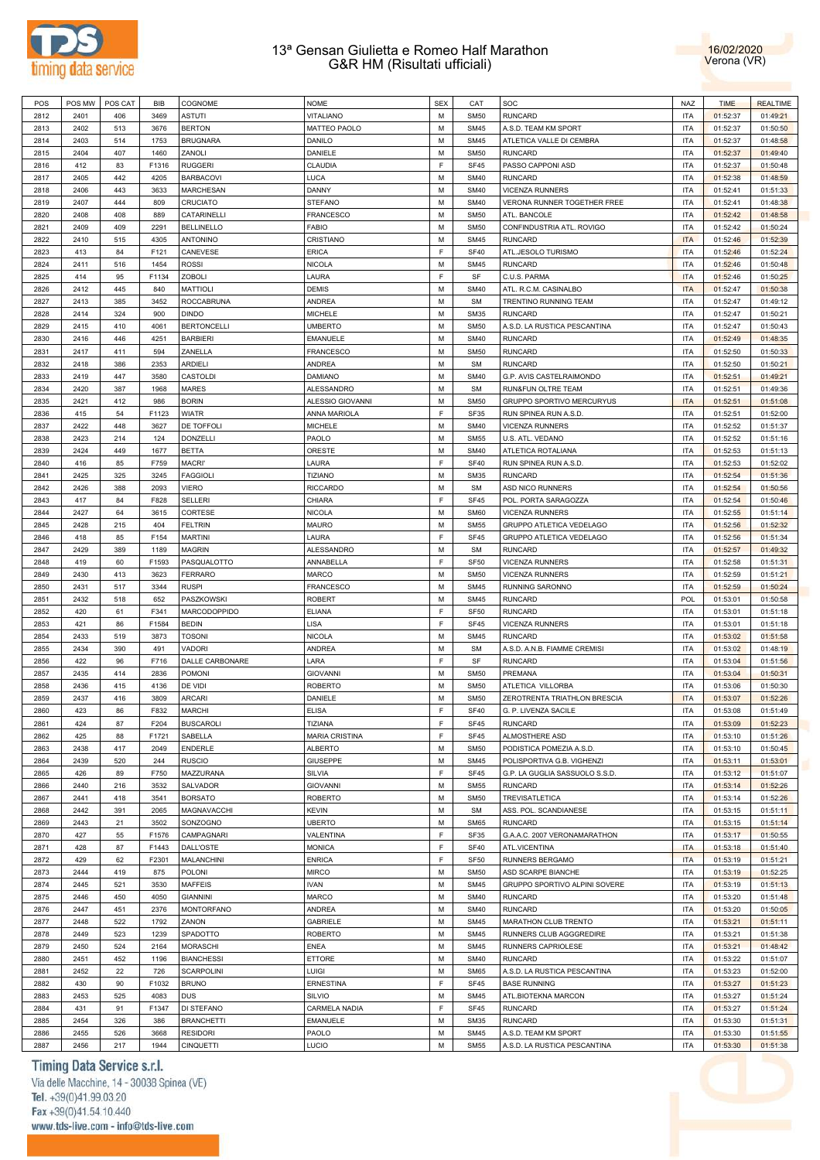



| POS  | POS MW | POS CAT | <b>BIB</b> | COGNOME                | <b>NOME</b>           | <b>SEX</b> | CAT              | SOC                            | <b>NAZ</b> | <b>TIME</b> | <b>REALTIME</b> |
|------|--------|---------|------------|------------------------|-----------------------|------------|------------------|--------------------------------|------------|-------------|-----------------|
| 2812 | 2401   | 406     | 3469       | <b>ASTUTI</b>          | <b>VITALIANO</b>      | M          | <b>SM50</b>      | <b>RUNCARD</b>                 | <b>ITA</b> | 01:52:37    | 01:49:21        |
| 2813 | 2402   | 513     | 3676       | <b>BERTON</b>          | MATTEO PAOLO          | M          | <b>SM45</b>      | A.S.D. TEAM KM SPORT           | <b>ITA</b> | 01:52:37    | 01:50:50        |
| 2814 | 2403   | 514     | 1753       | <b>BRUGNARA</b>        | DANILO                | M          | <b>SM45</b>      | ATLETICA VALLE DI CEMBRA       | <b>ITA</b> | 01:52:37    | 01:48:58        |
| 2815 | 2404   | 407     | 1460       | ZANOLI                 | DANIELE               | M          | <b>SM50</b>      | <b>RUNCARD</b>                 | <b>ITA</b> | 01:52:37    | 01:49:40        |
|      |        |         |            |                        |                       | F          |                  |                                |            |             |                 |
| 2816 | 412    | 83      | F1316      | <b>RUGGERI</b>         | CLAUDIA               |            | SF45             | PASSO CAPPONI ASD              | <b>ITA</b> | 01:52:37    | 01:50:48        |
| 2817 | 2405   | 442     | 4205       | <b>BARBACOVI</b>       | LUCA                  | M          | <b>SM40</b>      | <b>RUNCARD</b>                 | <b>ITA</b> | 01:52:38    | 01:48:59        |
| 2818 | 2406   | 443     | 3633       | <b>MARCHESAN</b>       | DANNY                 | M          | <b>SM40</b>      | <b>VICENZA RUNNERS</b>         | <b>ITA</b> | 01:52:41    | 01:51:33        |
| 2819 | 2407   | 444     | 809        | CRUCIATO               | <b>STEFANO</b>        | M          | <b>SM40</b>      | VERONA RUNNER TOGETHER FREE    | <b>ITA</b> | 01:52:41    | 01:48:38        |
| 2820 | 2408   | 408     | 889        | CATARINELLI            | FRANCESCO             | M          | <b>SM50</b>      | ATL. BANCOLE                   | <b>ITA</b> | 01:52:42    | 01:48:58        |
| 2821 | 2409   | 409     | 2291       | <b>BELLINELLO</b>      | <b>FABIO</b>          | M          | <b>SM50</b>      | CONFINDUSTRIA ATL. ROVIGO      | <b>ITA</b> | 01:52:42    | 01:50:24        |
| 2822 | 2410   | 515     | 4305       | <b>ANTONINO</b>        | CRISTIANO             | M          | <b>SM45</b>      | <b>RUNCARD</b>                 | <b>ITA</b> | 01:52:46    | 01:52:39        |
| 2823 | 413    | 84      | F121       | CANEVESE               | <b>ERICA</b>          | F          | <b>SF40</b>      | ATL.JESOLO TURISMO             | <b>ITA</b> | 01:52:46    | 01:52:24        |
| 2824 | 2411   | 516     | 1454       | <b>ROSSI</b>           | <b>NICOLA</b>         | M          | <b>SM45</b>      | <b>RUNCARD</b>                 | <b>ITA</b> | 01:52:46    | 01:50:48        |
| 2825 | 414    | 95      |            | <b>ZOBOLI</b>          |                       | F          | SF               | C.U.S. PARMA                   | <b>ITA</b> |             | 01:50:25        |
|      |        |         | F1134      |                        | LAURA                 |            |                  |                                |            | 01:52:46    |                 |
| 2826 | 2412   | 445     | 840        | <b>MATTIOLI</b>        | <b>DEMIS</b>          | M          | <b>SM40</b>      | ATL. R.C.M. CASINALBO          | <b>ITA</b> | 01:52:47    | 01:50:38        |
| 2827 | 2413   | 385     | 3452       | <b>ROCCABRUNA</b>      | <b>ANDREA</b>         | M          | <b>SM</b>        | TRENTINO RUNNING TEAM          | <b>ITA</b> | 01:52:47    | 01:49:12        |
| 2828 | 2414   | 324     | 900        | <b>DINDO</b>           | <b>MICHELE</b>        | M          | <b>SM35</b>      | <b>RUNCARD</b>                 | <b>ITA</b> | 01:52:47    | 01:50:21        |
| 2829 | 2415   | 410     | 4061       | <b>BERTONCELLI</b>     | <b>UMBERTO</b>        | M          | <b>SM50</b>      | A.S.D. LA RUSTICA PESCANTINA   | <b>ITA</b> | 01:52:47    | 01:50:43        |
| 2830 | 2416   | 446     | 4251       | <b>BARBIERI</b>        | EMANUELE              | M          | <b>SM40</b>      | <b>RUNCARD</b>                 | <b>ITA</b> | 01:52:49    | 01:48:35        |
| 2831 | 2417   | 411     | 594        | ZANELLA                | <b>FRANCESCO</b>      | M          | <b>SM50</b>      | <b>RUNCARD</b>                 | <b>ITA</b> | 01:52:50    | 01:50:33        |
| 2832 | 2418   | 386     | 2353       | <b>ARDIELI</b>         | ANDREA                | M          | <b>SM</b>        | <b>RUNCARD</b>                 | <b>ITA</b> | 01:52:50    | 01:50:21        |
| 2833 | 2419   | 447     | 3580       | CASTOLDI               | DAMIANO               | M          | <b>SM40</b>      | G.P. AVIS CASTELRAIMONDO       | <b>ITA</b> | 01:52:51    | 01:49:21        |
| 2834 | 2420   | 387     | 1968       | <b>MARES</b>           | <b>ALESSANDRO</b>     | M          | <b>SM</b>        | RUN&FUN OLTRE TEAM             | <b>ITA</b> | 01:52:51    | 01:49:36        |
|      |        |         |            |                        |                       |            |                  |                                |            |             |                 |
| 2835 | 2421   | 412     | 986        | <b>BORIN</b>           | ALESSIO GIOVANNI      | M          | <b>SM50</b>      | GRUPPO SPORTIVO MERCURYUS      | <b>ITA</b> | 01:52:51    | 01:51:08        |
| 2836 | 415    | 54      | F1123      | <b>WIATR</b>           | ANNA MARIOLA          | F          | <b>SF35</b>      | RUN SPINEA RUN A.S.D.          | <b>ITA</b> | 01:52:51    | 01:52:00        |
| 2837 | 2422   | 448     | 3627       | DE TOFFOLI             | MICHELE               | M          | <b>SM40</b>      | <b>VICENZA RUNNERS</b>         | <b>ITA</b> | 01:52:52    | 01:51:37        |
| 2838 | 2423   | 214     | 124        | <b>DONZELLI</b>        | PAOLO                 | M          | <b>SM55</b>      | U.S. ATL. VEDANO               | <b>ITA</b> | 01:52:52    | 01:51:16        |
| 2839 | 2424   | 449     | 1677       | <b>BETTA</b>           | ORESTE                | M          | <b>SM40</b>      | ATLETICA ROTALIANA             | <b>ITA</b> | 01:52:53    | 01:51:13        |
| 2840 | 416    | 85      | F759       | MACRI'                 | LAURA                 | F          | <b>SF40</b>      | RUN SPINEA RUN A.S.D.          | <b>ITA</b> | 01:52:53    | 01:52:02        |
| 2841 | 2425   | 325     | 3245       | <b>FAGGIOLI</b>        | <b>TIZIANO</b>        | M          | <b>SM35</b>      | <b>RUNCARD</b>                 | <b>ITA</b> | 01:52:54    | 01:51:36        |
| 2842 | 2426   | 388     | 2093       | <b>VIERO</b>           | <b>RICCARDO</b>       | M          | <b>SM</b>        | ASD NICO RUNNERS               | <b>ITA</b> | 01:52:54    | 01:50:56        |
| 2843 | 417    | 84      | F828       | <b>SELLERI</b>         | CHIARA                | F          | <b>SF45</b>      | POL. PORTA SARAGOZZA           | <b>ITA</b> | 01:52:54    | 01:50:46        |
| 2844 | 2427   | 64      | 3615       | CORTESE                | <b>NICOLA</b>         | M          | <b>SM60</b>      | <b>VICENZA RUNNERS</b>         | <b>ITA</b> | 01:52:55    | 01:51:14        |
|      |        |         |            |                        |                       |            |                  |                                |            |             |                 |
| 2845 | 2428   | 215     | 404        | <b>FELTRIN</b>         | <b>MAURO</b>          | M          | <b>SM55</b>      | GRUPPO ATLETICA VEDELAGO       | <b>ITA</b> | 01:52:56    | 01:52:32        |
| 2846 | 418    | 85      | F154       | <b>MARTINI</b>         | LAURA                 | F          | <b>SF45</b>      | GRUPPO ATLETICA VEDELAGO       | <b>ITA</b> | 01:52:56    | 01:51:34        |
| 2847 | 2429   | 389     | 1189       | <b>MAGRIN</b>          | ALESSANDRO            | M          | <b>SM</b>        | <b>RUNCARD</b>                 | <b>ITA</b> | 01:52:57    | 01:49:32        |
| 2848 | 419    | 60      | F1593      | PASQUALOTTO            | ANNABELLA             | F          | <b>SF50</b>      | <b>VICENZA RUNNERS</b>         | <b>ITA</b> | 01:52:58    | 01:51:31        |
| 2849 | 2430   | 413     | 3623       | <b>FERRARO</b>         | MARCO                 | M          | <b>SM50</b>      | <b>VICENZA RUNNERS</b>         | <b>ITA</b> | 01:52:59    | 01:51:21        |
| 2850 | 2431   | 517     | 3344       | <b>RUSPI</b>           | <b>FRANCESCO</b>      | M          | <b>SM45</b>      | RUNNING SARONNO                | <b>ITA</b> | 01:52:59    | 01:50:24        |
| 2851 | 2432   | 518     | 652        | PASZKOWSKI             | <b>ROBERT</b>         | M          | <b>SM45</b>      | <b>RUNCARD</b>                 | <b>POL</b> | 01:53:01    | 01:50:58        |
| 2852 | 420    | 61      | F341       | MARCODOPPIDO           | <b>ELIANA</b>         | F          | SF <sub>50</sub> | <b>RUNCARD</b>                 | <b>ITA</b> | 01:53:01    | 01:51:18        |
| 2853 | 421    | 86      | F1584      | <b>BEDIN</b>           | LISA                  | F          | <b>SF45</b>      | <b>VICENZA RUNNERS</b>         | <b>ITA</b> | 01:53:01    | 01:51:18        |
| 2854 | 2433   | 519     |            | <b>TOSONI</b>          |                       | M          | <b>SM45</b>      | <b>RUNCARD</b>                 | <b>ITA</b> |             |                 |
|      |        |         | 3873       |                        | <b>NICOLA</b>         |            |                  |                                |            | 01:53:02    | 01:51:58        |
| 2855 | 2434   | 390     | 491        | <b>VADORI</b>          | ANDREA                | M          | <b>SM</b>        | A.S.D. A.N.B. FIAMME CREMISI   | <b>ITA</b> | 01:53:02    | 01:48:19        |
| 2856 | 422    | 96      | F716       | <b>DALLE CARBONARE</b> | LARA                  | F          | SF               | <b>RUNCARD</b>                 | <b>ITA</b> | 01:53:04    | 01:51:56        |
| 2857 | 2435   | 414     | 2836       | <b>POMONI</b>          | <b>GIOVANNI</b>       | M          | <b>SM50</b>      | PREMANA                        | <b>ITA</b> | 01:53:04    | 01:50:31        |
| 2858 | 2436   | 415     | 4136       | DE VIDI                | <b>ROBERTO</b>        | M          | <b>SM50</b>      | ATLETICA VILLORBA              | <b>ITA</b> | 01:53:06    | 01:50:30        |
| 2859 | 2437   | 416     | 3809       | <b>ARCARI</b>          | DANIELE               | M          | <b>SM50</b>      | ZEROTRENTA TRIATHLON BRESCIA   | <b>ITA</b> | 01:53:07    | 01:52:26        |
| 2860 | 423    | 86      | F832       | <b>MARCHI</b>          | <b>ELISA</b>          | F          | <b>SF40</b>      | G. P. LIVENZA SACILE           | <b>ITA</b> | 01:53:08    | 01:51:49        |
| 2861 | 424    | 87      | F204       | <b>BUSCAROLI</b>       | TIZIANA               | F          | SF45             | <b>RUNCARD</b>                 | <b>ITA</b> | 01:53:09    | 01:52:23        |
| 2862 | 425    | 88      | F1721      | SABELLA                | <b>MARIA CRISTINA</b> | F          | <b>SF45</b>      | ALMOSTHERE ASD                 | <b>ITA</b> | 01:53:10    | 01:51:26        |
| 2863 | 2438   | 417     | 2049       | <b>ENDERLE</b>         | <b>ALBERTO</b>        | M          | <b>SM50</b>      | PODISTICA POMEZIA A.S.D.       | <b>ITA</b> | 01:53:10    | 01:50:45        |
|      |        |         |            |                        |                       |            |                  |                                |            |             |                 |
| 2864 | 2439   | 520     | 244        | <b>RUSCIO</b>          | <b>GIUSEPPE</b>       | M          | <b>SM45</b>      | POLISPORTIVA G.B. VIGHENZI     | <b>ITA</b> | 01:53:11    | 01:53:01        |
| 2865 | 426    | 89      | F750       | MAZZURANA              | SILVIA                | F          | <b>SF45</b>      | G.P. LA GUGLIA SASSUOLO S.S.D. | <b>ITA</b> | 01:53:12    | 01:51:07        |
| 2866 | 2440   | 216     | 3532       | SALVADOR               | <b>GIOVANNI</b>       | M          | <b>SM55</b>      | <b>RUNCARD</b>                 | <b>ITA</b> | 01:53:14    | 01:52:26        |
| 2867 | 2441   | 418     | 3541       | <b>BORSATO</b>         | <b>ROBERTO</b>        | M          | <b>SM50</b>      | <b>TREVISATLETICA</b>          | <b>ITA</b> | 01:53:14    | 01:52:26        |
| 2868 | 2442   | 391     | 2065       | MAGNAVACCHI            | <b>KEVIN</b>          | M          | <b>SM</b>        | ASS. POL. SCANDIANESE          | <b>ITA</b> | 01:53:15    | 01:51:11        |
| 2869 | 2443   | 21      | 3502       | SONZOGNO               | <b>UBERTO</b>         | M          | <b>SM65</b>      | <b>RUNCARD</b>                 | <b>ITA</b> | 01:53:15    | 01:51:14        |
| 2870 | 427    | 55      | F1576      | CAMPAGNARI             | VALENTINA             | F          | SF35             | G.A.A.C. 2007 VERONAMARATHON   | <b>ITA</b> | 01:53:17    | 01:50:55        |
| 2871 | 428    | 87      | F1443      | DALL'OSTE              | <b>MONICA</b>         | F          | <b>SF40</b>      | ATL.VICENTINA                  | <b>ITA</b> | 01:53:18    | 01:51:40        |
| 2872 | 429    | 62      | F2301      | <b>MALANCHINI</b>      | <b>ENRICA</b>         | F          | <b>SF50</b>      | RUNNERS BERGAMO                | <b>ITA</b> | 01:53:19    | 01:51:21        |
| 2873 | 2444   | 419     |            |                        | <b>MIRCO</b>          | M          | <b>SM50</b>      | ASD SCARPE BIANCHE             | <b>ITA</b> |             | 01:52:25        |
|      |        |         | 875        | POLONI                 |                       |            |                  |                                |            | 01:53:19    |                 |
| 2874 | 2445   | 521     | 3530       | <b>MAFFEIS</b>         | <b>IVAN</b>           | M          | <b>SM45</b>      | GRUPPO SPORTIVO ALPINI SOVERE  | <b>ITA</b> | 01:53:19    | 01:51:13        |
| 2875 | 2446   | 450     | 4050       | <b>GIANNINI</b>        | MARCO                 | M          | <b>SM40</b>      | <b>RUNCARD</b>                 | <b>ITA</b> | 01:53:20    | 01:51:48        |
| 2876 | 2447   | 451     | 2376       | <b>MONTORFANO</b>      | ANDREA                | M          | <b>SM40</b>      | <b>RUNCARD</b>                 | <b>ITA</b> | 01:53:20    | 01:50:05        |
| 2877 | 2448   | 522     | 1792       | ZANON                  | GABRIELE              | M          | <b>SM45</b>      | MARATHON CLUB TRENTO           | <b>ITA</b> | 01:53:21    | 01:51:11        |
| 2878 | 2449   | 523     | 1239       | SPADOTTO               | <b>ROBERTO</b>        | M          | <b>SM45</b>      | RUNNERS CLUB AGGGREDIRE        | <b>ITA</b> | 01:53:21    | 01:51:38        |
| 2879 | 2450   | 524     | 2164       | <b>MORASCHI</b>        | ENEA                  | M          | <b>SM45</b>      | RUNNERS CAPRIOLESE             | <b>ITA</b> | 01:53:21    | 01:48:42        |
| 2880 | 2451   | 452     | 1196       | <b>BIANCHESSI</b>      | ETTORE                | M          | <b>SM40</b>      | <b>RUNCARD</b>                 | <b>ITA</b> | 01:53:22    | 01:51:07        |
| 2881 | 2452   | 22      | 726        | <b>SCARPOLINI</b>      | LUIGI                 | M          | <b>SM65</b>      | A.S.D. LA RUSTICA PESCANTINA   | <b>ITA</b> | 01:53:23    | 01:52:00        |
| 2882 | 430    | 90      |            |                        |                       | F          |                  | <b>BASE RUNNING</b>            | <b>ITA</b> |             |                 |
|      |        |         | F1032      | <b>BRUNO</b>           | ERNESTINA             |            | SF45             |                                |            | 01:53:27    | 01:51:23        |
| 2883 | 2453   | 525     | 4083       | <b>DUS</b>             | SILVIO                | M          | <b>SM45</b>      | ATL.BIOTEKNA MARCON            | <b>ITA</b> | 01:53:27    | 01:51:24        |
| 2884 | 431    | 91      | F1347      | DI STEFANO             | CARMELA NADIA         | F          | SF45             | <b>RUNCARD</b>                 | <b>ITA</b> | 01:53:27    | 01:51:24        |
| 2885 | 2454   | 326     | 386        | <b>BRANCHETTI</b>      | EMANUELE              | M          | <b>SM35</b>      | <b>RUNCARD</b>                 | <b>ITA</b> | 01:53:30    | 01:51:31        |
| 2886 | 2455   | 526     | 3668       | <b>RESIDORI</b>        | PAOLO                 | М          | <b>SM45</b>      | A.S.D. TEAM KM SPORT           | <b>ITA</b> | 01:53:30    | 01:51:55        |
| 2887 | 2456   | 217     | 1944       | <b>CINQUETTI</b>       | LUCIO                 | М          | <b>SM55</b>      | A.S.D. LA RUSTICA PESCANTINA   | <b>ITA</b> | 01:53:30    | 01:51:38        |

# Timing Data Service s.r.l.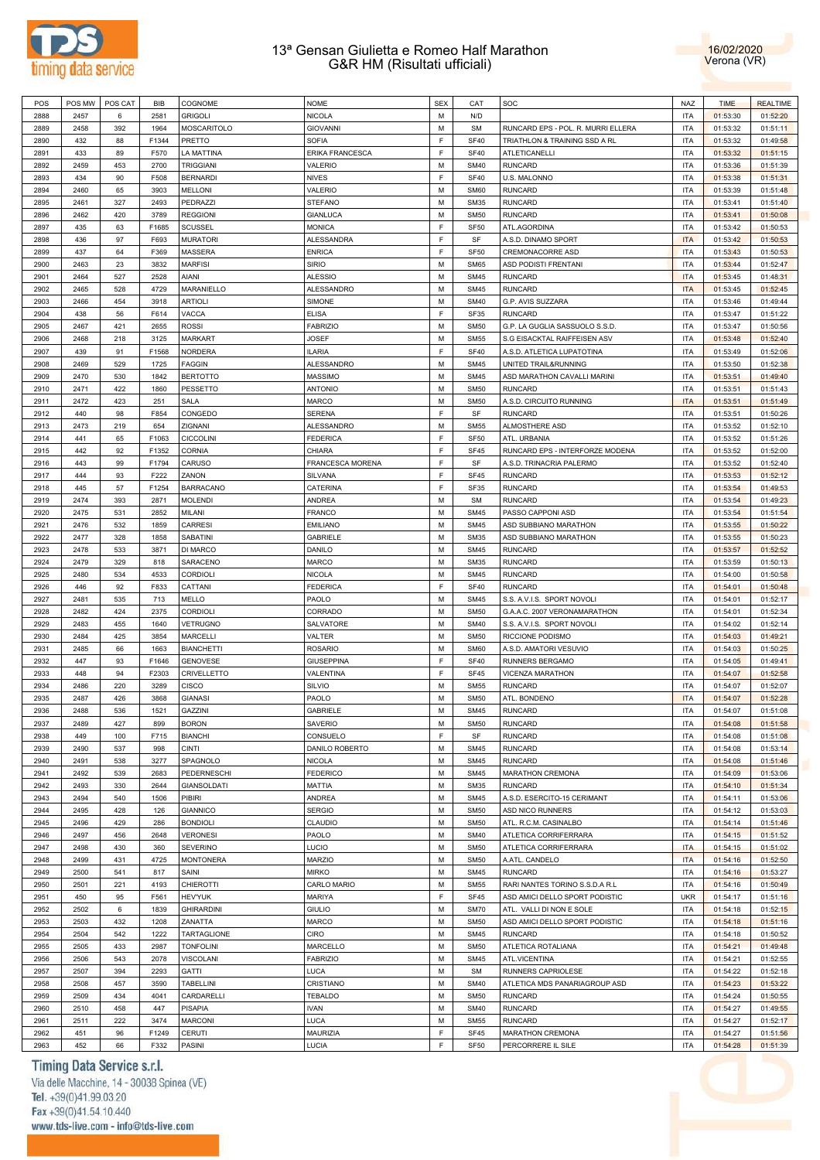



| POS  | POS MW | POS CAT | <b>BIB</b> | COGNOME            | <b>NOME</b>             | <b>SEX</b> | CAT              | SOC                                | <b>NAZ</b> | <b>TIME</b> | <b>REALTIME</b> |
|------|--------|---------|------------|--------------------|-------------------------|------------|------------------|------------------------------------|------------|-------------|-----------------|
| 2888 | 2457   | 6       | 2581       | <b>GRIGOLI</b>     | NICOLA                  | M          | N/D              |                                    | <b>ITA</b> | 01:53:30    | 01:52:20        |
| 2889 | 2458   | 392     | 1964       | MOSCARITOLO        | <b>GIOVANNI</b>         | M          | <b>SM</b>        | RUNCARD EPS - POL. R. MURRI ELLERA | <b>ITA</b> | 01:53:32    | 01:51:11        |
| 2890 | 432    | 88      | F1344      | PRETTO             | <b>SOFIA</b>            | F          | <b>SF40</b>      | TRIATHLON & TRAINING SSD A RL      | <b>ITA</b> | 01:53:32    | 01:49:58        |
| 2891 | 433    | 89      | F570       | LA MATTINA         | ERIKA FRANCESCA         | F          | <b>SF40</b>      | ATLETICANELLI                      | <b>ITA</b> | 01:53:32    | 01:51:15        |
| 2892 | 2459   |         | 2700       | <b>TRIGGIANI</b>   | VALERIO                 | M          | <b>SM40</b>      | <b>RUNCARD</b>                     | <b>ITA</b> |             |                 |
|      |        | 453     |            |                    |                         |            |                  |                                    |            | 01:53:36    | 01:51:39        |
| 2893 | 434    | 90      | F508       | <b>BERNARDI</b>    | <b>NIVES</b>            | E          | <b>SF40</b>      | U.S. MALONNO                       | <b>ITA</b> | 01:53:38    | 01:51:31        |
| 2894 | 2460   | 65      | 3903       | <b>MELLONI</b>     | VALERIO                 | M          | <b>SM60</b>      | <b>RUNCARD</b>                     | <b>ITA</b> | 01:53:39    | 01:51:48        |
| 2895 | 2461   | 327     | 2493       | PEDRAZZI           | <b>STEFANO</b>          | M          | <b>SM35</b>      | <b>RUNCARD</b>                     | <b>ITA</b> | 01:53:41    | 01:51:40        |
| 2896 | 2462   | 420     | 3789       | <b>REGGIONI</b>    | GIANLUCA                | M          | <b>SM50</b>      | <b>RUNCARD</b>                     | <b>ITA</b> | 01:53:41    | 01:50:08        |
| 2897 | 435    | 63      | F1685      | SCUSSEL            | <b>MONICA</b>           | F          | <b>SF50</b>      | ATL.AGORDINA                       | <b>ITA</b> | 01:53:42    | 01:50:53        |
| 2898 | 436    | 97      | F693       | <b>MURATORI</b>    | ALESSANDRA              | F          | SF               | A.S.D. DINAMO SPORT                | <b>ITA</b> | 01:53:42    | 01:50:53        |
| 2899 | 437    | 64      | F369       | MASSERA            | <b>ENRICA</b>           | F          | <b>SF50</b>      | CREMONACORRE ASD                   | <b>ITA</b> | 01:53:43    | 01:50:53        |
| 2900 | 2463   | 23      | 3832       | <b>MARFISI</b>     | <b>SIRIO</b>            | M          | <b>SM65</b>      | <b>ASD PODISTI FRENTANI</b>        | <b>ITA</b> | 01:53:44    | 01:52:47        |
| 2901 | 2464   | 527     | 2528       | <b>AIANI</b>       | ALESSIO                 | M          | <b>SM45</b>      | <b>RUNCARD</b>                     | <b>ITA</b> | 01:53:45    | 01:48:31        |
|      |        |         |            |                    |                         |            |                  |                                    |            |             |                 |
| 2902 | 2465   | 528     | 4729       | MARANIELLO         | ALESSANDRO              | M          | <b>SM45</b>      | <b>RUNCARD</b>                     | <b>ITA</b> | 01:53:45    | 01:52:45        |
| 2903 | 2466   | 454     | 3918       | <b>ARTIOLI</b>     | <b>SIMONE</b>           | M          | <b>SM40</b>      | G.P. AVIS SUZZARA                  | <b>ITA</b> | 01:53:46    | 01:49:44        |
| 2904 | 438    | 56      | F614       | VACCA              | <b>ELISA</b>            | E          | SF35             | <b>RUNCARD</b>                     | <b>ITA</b> | 01:53:47    | 01:51:22        |
| 2905 | 2467   | 421     | 2655       | <b>ROSSI</b>       | <b>FABRIZIO</b>         | M          | <b>SM50</b>      | G.P. LA GUGLIA SASSUOLO S.S.D.     | <b>ITA</b> | 01:53:47    | 01:50:56        |
| 2906 | 2468   | 218     | 3125       | <b>MARKART</b>     | <b>JOSEF</b>            | M          | <b>SM55</b>      | S.G EISACKTAL RAIFFEISEN ASV       | <b>ITA</b> | 01:53:48    | 01:52:40        |
| 2907 | 439    | 91      | F1568      | <b>NORDERA</b>     | <b>ILARIA</b>           | E          | <b>SF40</b>      | A.S.D. ATLETICA LUPATOTINA         | <b>ITA</b> | 01:53:49    | 01:52:06        |
| 2908 | 2469   | 529     | 1725       | <b>FAGGIN</b>      | ALESSANDRO              | M          | <b>SM45</b>      | UNITED TRAIL&RUNNING               | <b>ITA</b> | 01:53:50    | 01:52:38        |
| 2909 | 2470   | 530     | 1842       | <b>BERTOTTO</b>    | <b>MASSIMO</b>          | M          | <b>SM45</b>      | ASD MARATHON CAVALLI MARINI        | <b>ITA</b> | 01:53:51    | 01:49:40        |
| 2910 | 2471   | 422     | 1860       | PESSETTO           | <b>ANTONIO</b>          | M          | <b>SM50</b>      | <b>RUNCARD</b>                     | <b>ITA</b> | 01:53:51    | 01:51:43        |
|      |        |         |            |                    |                         |            |                  |                                    |            |             |                 |
| 2911 | 2472   | 423     | 251        | <b>SALA</b>        | MARCO                   | M          | <b>SM50</b>      | A.S.D. CIRCUITO RUNNING            | <b>ITA</b> | 01:53:51    | 01:51:49        |
| 2912 | 440    | 98      | F854       | CONGEDO            | SERENA                  | F          | SF               | <b>RUNCARD</b>                     | <b>ITA</b> | 01:53:51    | 01:50:26        |
| 2913 | 2473   | 219     | 654        | ZIGNANI            | ALESSANDRO              | M          | <b>SM55</b>      | ALMOSTHERE ASD                     | <b>ITA</b> | 01:53:52    | 01:52:10        |
| 2914 | 441    | 65      | F1063      | <b>CICCOLINI</b>   | <b>FEDERICA</b>         | F          | SF <sub>50</sub> | ATL. URBANIA                       | <b>ITA</b> | 01:53:52    | 01:51:26        |
| 2915 | 442    | 92      | F1352      | <b>CORNIA</b>      | CHIARA                  | F          | SF45             | RUNCARD EPS - INTERFORZE MODENA    | <b>ITA</b> | 01:53:52    | 01:52:00        |
| 2916 | 443    | 99      | F1794      | CARUSO             | <b>FRANCESCA MORENA</b> | F          | SF               | A.S.D. TRINACRIA PALERMO           | <b>ITA</b> | 01:53:52    | 01:52:40        |
| 2917 | 444    | 93      | F222       | ZANON              | SILVANA                 | E          | <b>SF45</b>      | <b>RUNCARD</b>                     | <b>ITA</b> | 01:53:53    | 01:52:12        |
| 2918 | 445    | 57      | F1254      | <b>BARRACANO</b>   | CATERINA                | E          | SF35             | <b>RUNCARD</b>                     | <b>ITA</b> | 01:53:54    | 01:49:53        |
| 2919 | 2474   | 393     | 2871       | <b>MOLENDI</b>     | <b>ANDREA</b>           | M          | <b>SM</b>        | <b>RUNCARD</b>                     | <b>ITA</b> | 01:53:54    | 01:49:23        |
| 2920 | 2475   | 531     | 2852       | MILANI             |                         | M          | <b>SM45</b>      | PASSO CAPPONI ASD                  | <b>ITA</b> |             |                 |
|      |        |         |            |                    | <b>FRANCO</b>           |            |                  |                                    |            | 01:53:54    | 01:51:54        |
| 2921 | 2476   | 532     | 1859       | <b>CARRESI</b>     | <b>EMILIANO</b>         | M          | <b>SM45</b>      | ASD SUBBIANO MARATHON              | <b>ITA</b> | 01:53:55    | 01:50:22        |
| 2922 | 2477   | 328     | 1858       | SABATINI           | <b>GABRIELE</b>         | M          | <b>SM35</b>      | ASD SUBBIANO MARATHON              | <b>ITA</b> | 01:53:55    | 01:50:23        |
| 2923 | 2478   | 533     | 3871       | DI MARCO           | DANILO                  | M          | <b>SM45</b>      | <b>RUNCARD</b>                     | <b>ITA</b> | 01:53:57    | 01:52:52        |
| 2924 | 2479   | 329     | 818        | SARACENO           | <b>MARCO</b>            | M          | <b>SM35</b>      | <b>RUNCARD</b>                     | <b>ITA</b> | 01:53:59    | 01:50:13        |
| 2925 | 2480   | 534     | 4533       | CORDIOLI           | NICOLA                  | M          | <b>SM45</b>      | <b>RUNCARD</b>                     | <b>ITA</b> | 01:54:00    | 01:50:58        |
| 2926 | 446    | 92      | F833       | CATTANI            | <b>FEDERICA</b>         | F          | <b>SF40</b>      | <b>RUNCARD</b>                     | <b>ITA</b> | 01:54:01    | 01:50:48        |
| 2927 | 2481   | 535     | 713        | MELLO              | PAOLO                   | M          | <b>SM45</b>      | S.S. A.V.I.S. SPORT NOVOLI         | <b>ITA</b> | 01:54:01    | 01:52:17        |
| 2928 | 2482   | 424     | 2375       | <b>CORDIOLI</b>    | CORRADO                 | M          | <b>SM50</b>      | G.A.A.C. 2007 VERONAMARATHON       | <b>ITA</b> | 01:54:01    | 01:52:34        |
| 2929 | 2483   | 455     | 1640       | <b>VETRUGNO</b>    | SALVATORE               | M          | <b>SM40</b>      | S.S. A.V.I.S. SPORT NOVOLI         | <b>ITA</b> | 01:54:02    | 01:52:14        |
|      |        |         |            | <b>MARCELLI</b>    |                         | M          |                  | RICCIONE PODISMO                   |            |             |                 |
| 2930 | 2484   | 425     | 3854       |                    | VALTER                  |            | <b>SM50</b>      |                                    | <b>ITA</b> | 01:54:03    | 01:49:21        |
| 2931 | 2485   | 66      | 1663       | <b>BIANCHETTI</b>  | <b>ROSARIO</b>          | M          | <b>SM60</b>      | A.S.D. AMATORI VESUVIO             | <b>ITA</b> | 01:54:03    | 01:50:25        |
| 2932 | 447    | 93      | F1646      | <b>GENOVESE</b>    | <b>GIUSEPPINA</b>       | F          | <b>SF40</b>      | RUNNERS BERGAMO                    | <b>ITA</b> | 01:54:05    | 01:49:41        |
| 2933 | 448    | 94      | F2303      | CRIVELLETTO        | VALENTINA               | F          | <b>SF45</b>      | VICENZA MARATHON                   | <b>ITA</b> | 01:54:07    | 01:52:58        |
| 2934 | 2486   | 220     | 3289       | <b>CISCO</b>       | SILVIO                  | M          | <b>SM55</b>      | <b>RUNCARD</b>                     | <b>ITA</b> | 01:54:07    | 01:52:07        |
| 2935 | 2487   | 426     | 3868       | <b>GIANASI</b>     | PAOLO                   | M          | <b>SM50</b>      | ATL. BONDENO                       | <b>ITA</b> | 01:54:07    | 01:52:28        |
| 2936 | 2488   | 536     | 1521       | GAZZINI            | <b>GABRIELE</b>         | M          | <b>SM45</b>      | <b>RUNCARD</b>                     | <b>ITA</b> | 01:54:07    | 01:51:08        |
| 2937 | 2489   | 427     | 899        | <b>BORON</b>       | SAVERIO                 | M          | <b>SM50</b>      | <b>RUNCARD</b>                     | <b>ITA</b> | 01:54:08    | 01:51:58        |
| 2938 | 449    | 100     | F715       | <b>BIANCHI</b>     | CONSUELO                | F          | SF               | <b>RUNCARD</b>                     | <b>ITA</b> | 01:54:08    | 01:51:08        |
| 2939 | 2490   |         | 998        | <b>CINTI</b>       | DANILO ROBERTO          | M          | <b>SM45</b>      | <b>RUNCARD</b>                     | <b>ITA</b> |             |                 |
|      |        | 537     |            |                    |                         |            |                  |                                    |            | 01:54:08    | 01:53:14        |
| 2940 | 2491   | 538     | 3277       | SPAGNOLO           | <b>NICOLA</b>           | M          | <b>SM45</b>      | <b>RUNCARD</b>                     | <b>ITA</b> | 01:54:08    | 01:51:46        |
| 2941 | 2492   | 539     | 2683       | PEDERNESCHI        | <b>FEDERICO</b>         | M          | <b>SM45</b>      | MARATHON CREMONA                   | <b>ITA</b> | 01:54:09    | 01:53:06        |
| 2942 | 2493   | 330     | 2644       | <b>GIANSOLDATI</b> | MATTIA                  | M          | <b>SM35</b>      | <b>RUNCARD</b>                     | <b>ITA</b> | 01:54:10    | 01:51:34        |
| 2943 | 2494   | 540     | 1506       | PIBIRI             | <b>ANDREA</b>           | M          | <b>SM45</b>      | A.S.D. ESERCITO-15 CERIMANT        | <b>ITA</b> | 01:54:11    | 01:53:06        |
| 2944 | 2495   | 428     | 126        | <b>GIANNICO</b>    | <b>SERGIO</b>           | M          | <b>SM50</b>      | ASD NICO RUNNERS                   | <b>ITA</b> | 01:54:12    | 01:53:03        |
| 2945 | 2496   | 429     | 286        | <b>BONDIOLI</b>    | CLAUDIO                 | M          | <b>SM50</b>      | ATL. R.C.M. CASINALBO              | <b>ITA</b> | 01:54:14    | 01:51:46        |
| 2946 | 2497   | 456     | 2648       | <b>VERONESI</b>    | PAOLO                   | M          | <b>SM40</b>      | ATLETICA CORRIFERRARA              | <b>ITA</b> | 01:54:15    | 01:51:52        |
| 2947 | 2498   | 430     | 360        | <b>SEVERINO</b>    | LUCIO                   | M          | <b>SM50</b>      | ATLETICA CORRIFERRARA              | <b>ITA</b> | 01:54:15    | 01:51:02        |
| 2948 | 2499   | 431     | 4725       | <b>MONTONERA</b>   | <b>MARZIO</b>           | M          | <b>SM50</b>      | A.ATL. CANDELO                     | <b>ITA</b> | 01:54:16    | 01:52:50        |
|      |        |         |            |                    |                         |            |                  |                                    |            |             |                 |
| 2949 | 2500   | 541     | 817        | SAINI              | <b>MIRKO</b>            | M          | <b>SM45</b>      | <b>RUNCARD</b>                     | <b>ITA</b> | 01:54:16    | 01:53:27        |
| 2950 | 2501   | 221     | 4193       | <b>CHIEROTTI</b>   | CARLO MARIO             | M          | <b>SM55</b>      | RARI NANTES TORINO S.S.D.A R.L     | <b>ITA</b> | 01:54:16    | 01:50:49        |
| 2951 | 450    | 95      | F561       | <b>HEV'YUK</b>     | <b>MARIYA</b>           | F          | <b>SF45</b>      | ASD AMICI DELLO SPORT PODISTIC     | <b>UKR</b> | 01:54:17    | 01:51:16        |
| 2952 | 2502   | 6       | 1839       | <b>GHIRARDINI</b>  | <b>GIULIO</b>           | M          | <b>SM70</b>      | ATL. VALLI DI NON E SOLE           | <b>ITA</b> | 01:54:18    | 01:52:15        |
| 2953 | 2503   | 432     | 1208       | ZANATTA            | <b>MARCO</b>            | M          | <b>SM50</b>      | ASD AMICI DELLO SPORT PODISTIC     | <b>ITA</b> | 01:54:18    | 01:51:16        |
| 2954 | 2504   | 542     | 1222       | TARTAGLIONE        | <b>CIRO</b>             | M          | <b>SM45</b>      | <b>RUNCARD</b>                     | <b>ITA</b> | 01:54:18    | 01:50:52        |
| 2955 | 2505   | 433     | 2987       | <b>TONFOLINI</b>   | MARCELLO                | M          | <b>SM50</b>      | ATLETICA ROTALIANA                 | <b>ITA</b> | 01:54:21    | 01:49:48        |
| 2956 | 2506   | 543     | 2078       | <b>VISCOLANI</b>   | <b>FABRIZIO</b>         | M          | <b>SM45</b>      | ATL.VICENTINA                      | <b>ITA</b> | 01:54:21    | 01:52:55        |
| 2957 | 2507   | 394     | 2293       | GATTI              | LUCA                    | M          | <b>SM</b>        | RUNNERS CAPRIOLESE                 | <b>ITA</b> | 01:54:22    | 01:52:18        |
|      |        |         |            |                    |                         | M          |                  | ATLETICA MDS PANARIAGROUP ASD      |            |             |                 |
| 2958 | 2508   | 457     | 3590       | TABELLINI          | CRISTIANO               |            | <b>SM40</b>      |                                    | <b>ITA</b> | 01:54:23    | 01:53:22        |
| 2959 | 2509   | 434     | 4041       | CARDARELLI         | <b>TEBALDO</b>          | M          | <b>SM50</b>      | <b>RUNCARD</b>                     | <b>ITA</b> | 01:54:24    | 01:50:55        |
| 2960 | 2510   | 458     | 447        | <b>PISAPIA</b>     | <b>IVAN</b>             | M          | <b>SM40</b>      | <b>RUNCARD</b>                     | <b>ITA</b> | 01:54:27    | 01:49:55        |
| 2961 | 2511   | 222     | 3474       | <b>MARCONI</b>     | LUCA                    | M          | <b>SM55</b>      | <b>RUNCARD</b>                     | <b>ITA</b> | 01:54:27    | 01:52:17        |
| 2962 | 451    | 96      | F1249      | <b>CERUTI</b>      | <b>MAURIZIA</b>         | F          | SF45             | <b>MARATHON CREMONA</b>            | <b>ITA</b> | 01:54:27    | 01:51:56        |
| 2963 | 452    | 66      | F332       | PASINI             | LUCIA                   | F          | <b>SF50</b>      | PERCORRERE IL SILE                 | <b>ITA</b> | 01:54:28    | 01:51:39        |

# Timing Data Service s.r.l.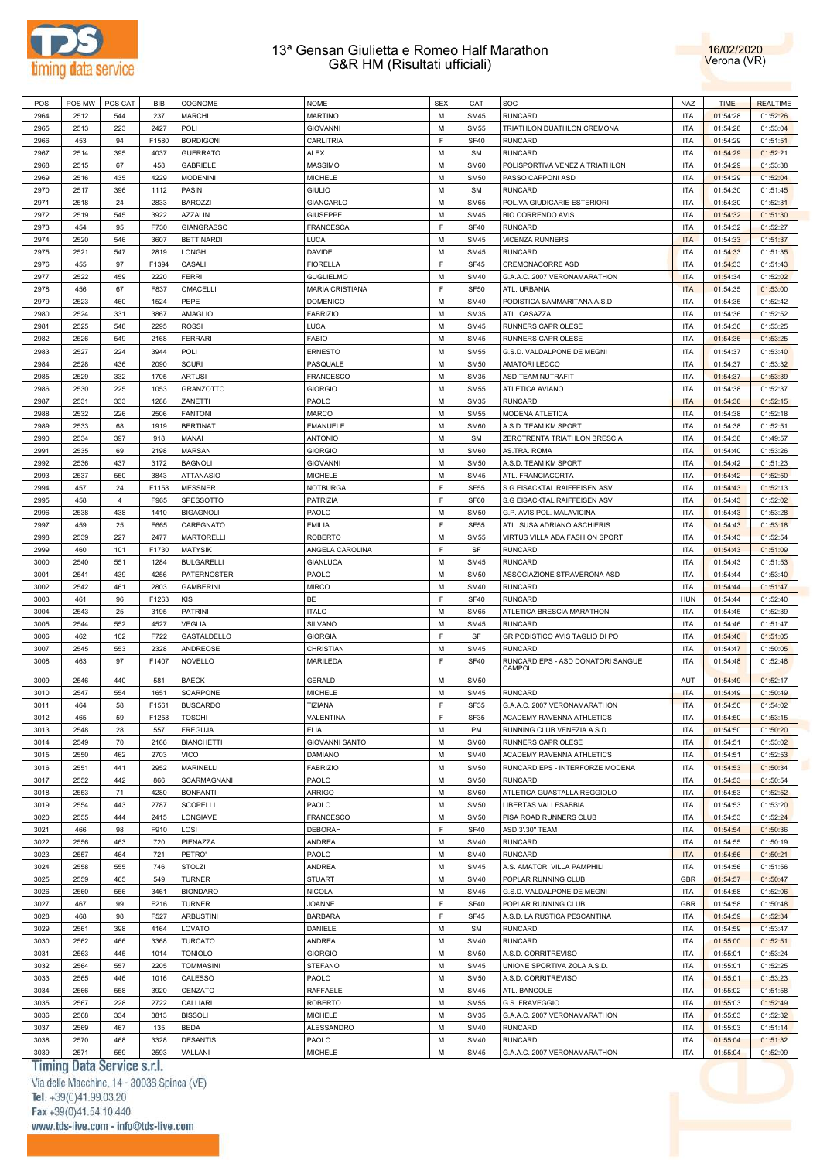



| POS  | POS MW | POS CAT        | <b>BIB</b> | COGNOME           | <b>NOME</b>            | <b>SEX</b>  | CAT         | SOC                                         | <b>NAZ</b> | <b>TIME</b> | <b>REALTIME</b> |
|------|--------|----------------|------------|-------------------|------------------------|-------------|-------------|---------------------------------------------|------------|-------------|-----------------|
|      | 2512   | 544            |            | <b>MARCHI</b>     | <b>MARTINO</b>         | M           | <b>SM45</b> | <b>RUNCARD</b>                              | <b>ITA</b> |             |                 |
| 2964 |        |                | 237        |                   |                        |             |             |                                             |            | 01:54:28    | 01:52:26        |
| 2965 | 2513   | 223            | 2427       | POLI              | <b>GIOVANNI</b>        | M           | <b>SM55</b> | TRIATHLON DUATHLON CREMONA                  | <b>ITA</b> | 01:54:28    | 01:53:04        |
| 2966 | 453    | 94             | F1580      | <b>BORDIGONI</b>  | <b>CARLITRIA</b>       | E           | <b>SF40</b> | <b>RUNCARD</b>                              | <b>ITA</b> | 01:54:29    | 01:51:51        |
| 2967 | 2514   | 395            | 4037       | <b>GUERRATO</b>   | <b>ALEX</b>            | M           | <b>SM</b>   | <b>RUNCARD</b>                              | <b>ITA</b> | 01:54:29    | 01:52:21        |
| 2968 | 2515   | 67             | 458        | <b>GABRIELE</b>   | <b>MASSIMO</b>         | M           | <b>SM60</b> | POLISPORTIVA VENEZIA TRIATHLON              | <b>ITA</b> | 01:54:29    | 01:53:38        |
| 2969 | 2516   | 435            | 4229       | <b>MODENINI</b>   | <b>MICHELE</b>         | M           | <b>SM50</b> | PASSO CAPPONI ASD                           | <b>ITA</b> | 01:54:29    | 01:52:04        |
|      |        |                |            |                   |                        |             |             | <b>RUNCARD</b>                              |            |             |                 |
| 2970 | 2517   | 396            | 1112       | PASINI            | <b>GIULIO</b>          | M           | <b>SM</b>   |                                             | <b>ITA</b> | 01:54:30    | 01:51:45        |
| 2971 | 2518   | 24             | 2833       | <b>BAROZZI</b>    | <b>GIANCARLO</b>       | M           | <b>SM65</b> | POL.VA GIUDICARIE ESTERIORI                 | <b>ITA</b> | 01:54:30    | 01:52:31        |
| 2972 | 2519   | 545            | 3922       | <b>AZZALIN</b>    | <b>GIUSEPPE</b>        | M           | <b>SM45</b> | <b>BIO CORRENDO AVIS</b>                    | <b>ITA</b> | 01:54:32    | 01:51:30        |
| 2973 | 454    | 95             | F730       | <b>GIANGRASSO</b> | <b>FRANCESCA</b>       | F           | <b>SF40</b> | <b>RUNCARD</b>                              | <b>ITA</b> | 01:54:32    | 01:52:27        |
| 2974 | 2520   | 546            | 3607       | <b>BETTINARDI</b> | LUCA                   | M           | <b>SM45</b> | <b>VICENZA RUNNERS</b>                      | <b>ITA</b> | 01:54:33    | 01:51:37        |
| 2975 | 2521   | 547            | 2819       | LONGHI            | <b>DAVIDE</b>          | M           | <b>SM45</b> | <b>RUNCARD</b>                              | <b>ITA</b> | 01:54:33    | 01:51:35        |
|      |        |                |            |                   |                        |             |             |                                             |            |             |                 |
| 2976 | 455    | 97             | F1394      | CASALI            | <b>FIORELLA</b>        | F           | <b>SF45</b> | <b>CREMONACORRE ASD</b>                     | <b>ITA</b> | 01:54:33    | 01:51:43        |
| 2977 | 2522   | 459            | 2220       | <b>FERRI</b>      | <b>GUGLIELMO</b>       | M           | <b>SM40</b> | G.A.A.C. 2007 VERONAMARATHON                | <b>ITA</b> | 01:54:34    | 01:52:02        |
| 2978 | 456    | 67             | F837       | OMACELLI          | <b>MARIA CRISTIANA</b> | E           | <b>SF50</b> | ATL. URBANIA                                | <b>ITA</b> | 01:54:35    | 01:53:00        |
| 2979 | 2523   | 460            | 1524       | PEPE              | <b>DOMENICO</b>        | M           | <b>SM40</b> | PODISTICA SAMMARITANA A.S.D.                | <b>ITA</b> | 01:54:35    | 01:52:42        |
| 2980 | 2524   | 331            | 3867       | <b>AMAGLIO</b>    | <b>FABRIZIO</b>        | M           | <b>SM35</b> | ATL. CASAZZA                                | <b>ITA</b> | 01:54:36    | 01:52:52        |
| 2981 | 2525   | 548            | 2295       | <b>ROSSI</b>      | LUCA                   | M           | <b>SM45</b> |                                             | <b>ITA</b> | 01:54:36    | 01:53:25        |
|      |        |                |            |                   |                        |             |             | RUNNERS CAPRIOLESE                          |            |             |                 |
| 2982 | 2526   | 549            | 2168       | <b>FERRARI</b>    | <b>FABIO</b>           | M           | <b>SM45</b> | RUNNERS CAPRIOLESE                          | <b>ITA</b> | 01:54:36    | 01:53:25        |
| 2983 | 2527   | 224            | 3944       | POLI              | <b>ERNESTO</b>         | M           | <b>SM55</b> | G.S.D. VALDALPONE DE MEGNI                  | <b>ITA</b> | 01:54:37    | 01:53:40        |
| 2984 | 2528   | 436            | 2090       | <b>SCURI</b>      | PASQUALE               | M           | <b>SM50</b> | <b>AMATORI LECCO</b>                        | <b>ITA</b> | 01:54:37    | 01:53:32        |
| 2985 | 2529   | 332            | 1705       | <b>ARTUSI</b>     | <b>FRANCESCO</b>       | M           | <b>SM35</b> | ASD TEAM NUTRAFIT                           | <b>ITA</b> | 01:54:37    | 01:53:39        |
| 2986 | 2530   | 225            | 1053       | <b>GRANZOTTO</b>  | <b>GIORGIO</b>         | M           | <b>SM55</b> | <b>ATLETICA AVIANO</b>                      | <b>ITA</b> | 01:54:38    | 01:52:37        |
|      |        |                |            |                   |                        |             |             |                                             |            |             |                 |
| 2987 | 2531   | 333            | 1288       | ZANETTI           | PAOLO                  | M           | <b>SM35</b> | <b>RUNCARD</b>                              | <b>ITA</b> | 01:54:38    | 01:52:15        |
| 2988 | 2532   | 226            | 2506       | <b>FANTONI</b>    | <b>MARCO</b>           | M           | <b>SM55</b> | <b>MODENA ATLETICA</b>                      | <b>ITA</b> | 01:54:38    | 01:52:18        |
| 2989 | 2533   | 68             | 1919       | <b>BERTINAT</b>   | <b>EMANUELE</b>        | M           | <b>SM60</b> | A.S.D. TEAM KM SPORT                        | <b>ITA</b> | 01:54:38    | 01:52:51        |
| 2990 | 2534   | 397            | 918        | <b>MANAI</b>      | <b>ANTONIO</b>         | M           | <b>SM</b>   | ZEROTRENTA TRIATHLON BRESCIA                | <b>ITA</b> | 01:54:38    | 01:49:57        |
| 2991 | 2535   | 69             | 2198       | <b>MARSAN</b>     | <b>GIORGIO</b>         | M           | <b>SM60</b> | AS.TRA. ROMA                                | <b>ITA</b> | 01:54:40    | 01:53:26        |
|      |        |                |            |                   |                        |             |             |                                             |            |             |                 |
| 2992 | 2536   | 437            | 3172       | <b>BAGNOLI</b>    | <b>GIOVANNI</b>        | M           | <b>SM50</b> | A.S.D. TEAM KM SPORT                        | <b>ITA</b> | 01:54:42    | 01:51:23        |
| 2993 | 2537   | 550            | 3843       | <b>ATTANASIO</b>  | <b>MICHELE</b>         | M           | <b>SM45</b> | ATL. FRANCIACORTA                           | <b>ITA</b> | 01:54:42    | 01:52:50        |
| 2994 | 457    | 24             | F1158      | <b>MESSNER</b>    | <b>NOTBURGA</b>        | E           | <b>SF55</b> | S.G EISACKTAL RAIFFEISEN ASV                | <b>ITA</b> | 01:54:43    | 01:52:13        |
| 2995 | 458    | $\overline{4}$ | F965       | SPESSOTTO         | <b>PATRIZIA</b>        | E           | SF60        | S.G EISACKTAL RAIFFEISEN ASV                | <b>ITA</b> | 01:54:43    | 01:52:02        |
| 2996 | 2538   | 438            | 1410       | <b>BIGAGNOLI</b>  | PAOLO                  | M           | <b>SM50</b> | G.P. AVIS POL. MALAVICINA                   | <b>ITA</b> | 01:54:43    | 01:53:28        |
|      |        |                |            |                   |                        |             |             |                                             |            |             |                 |
| 2997 | 459    | 25             | F665       | CAREGNATO         | <b>EMILIA</b>          | E           | <b>SF55</b> | ATL. SUSA ADRIANO ASCHIERIS                 | <b>ITA</b> | 01:54:43    | 01:53:18        |
| 2998 | 2539   | 227            | 2477       | <b>MARTORELLI</b> | <b>ROBERTO</b>         | M           | <b>SM55</b> | VIRTUS VILLA ADA FASHION SPORT              | <b>ITA</b> | 01:54:43    | 01:52:54        |
| 2999 | 460    | 101            | F1730      | <b>MATYSIK</b>    | ANGELA CAROLINA        | E           | SF          | <b>RUNCARD</b>                              | <b>ITA</b> | 01:54:43    | 01:51:09        |
| 3000 | 2540   | 551            | 1284       | <b>BULGARELLI</b> | <b>GIANLUCA</b>        | M           | <b>SM45</b> | <b>RUNCARD</b>                              | <b>ITA</b> | 01:54:43    | 01:51:53        |
| 3001 | 2541   | 439            | 4256       | PATERNOSTER       | PAOLO                  | M           | <b>SM50</b> | ASSOCIAZIONE STRAVERONA ASD                 | <b>ITA</b> | 01:54:44    | 01:53:40        |
| 3002 | 2542   | 461            | 2803       | <b>GAMBERINI</b>  | <b>MIRCO</b>           | M           | <b>SM40</b> | <b>RUNCARD</b>                              | <b>ITA</b> | 01:54:44    | 01:51:47        |
|      |        |                |            |                   |                        |             |             |                                             |            |             |                 |
| 3003 | 461    | 96             | F1263      | <b>KIS</b>        | <b>BE</b>              | E           | <b>SF40</b> | <b>RUNCARD</b>                              | <b>HUN</b> | 01:54:44    | 01:52:40        |
| 3004 | 2543   | 25             | 3195       | <b>PATRINI</b>    | <b>ITALO</b>           | M           | <b>SM65</b> | ATLETICA BRESCIA MARATHON                   | <b>ITA</b> | 01:54:45    | 01:52:39        |
| 3005 | 2544   | 552            | 4527       | <b>VEGLIA</b>     | <b>SILVANO</b>         | M           | <b>SM45</b> | <b>RUNCARD</b>                              | <b>ITA</b> | 01:54:46    | 01:51:47        |
| 3006 | 462    | 102            | F722       | GASTALDELLO       | <b>GIORGIA</b>         | E           | SF          | GR.PODISTICO AVIS TAGLIO DI PO              | <b>ITA</b> | 01:54:46    | 01:51:05        |
| 3007 | 2545   | 553            | 2328       | ANDREOSE          | CHRISTIAN              | M           | <b>SM45</b> | <b>RUNCARD</b>                              | <b>ITA</b> | 01:54:47    | 01:50:05        |
|      |        |                |            |                   |                        |             |             |                                             |            |             |                 |
| 3008 | 463    | 97             | F1407      | <b>NOVELLO</b>    | MARILEDA               | F           | <b>SF40</b> | RUNCARD EPS - ASD DONATORI SANGUE<br>CAMPOL | <b>ITA</b> | 01:54:48    | 01:52:48        |
| 3009 | 2546   | 440            | 581        | <b>BAECK</b>      | <b>GERALD</b>          | M           | <b>SM50</b> |                                             | AUT        | 01:54:49    | 01:52:17        |
|      |        |                |            |                   |                        |             |             |                                             |            |             |                 |
| 3010 | 2547   | 554            | 1651       | <b>SCARPONE</b>   | <b>MICHELE</b>         | M           | <b>SM45</b> | <b>RUNCARD</b>                              | <b>ITA</b> | 01:54:49    | 01:50:49        |
| 3011 | 464    | 58             | F1561      | <b>BUSCARDO</b>   | TIZIANA                | E           | <b>SF35</b> | G.A.A.C. 2007 VERONAMARATHON                | <b>ITA</b> | 01:54:50    | 01:54:02        |
| 3012 | 465    | 59             | F1258      | <b>TOSCHI</b>     | VALENTINA              | F           | SF35        | ACADEMY RAVENNA ATHLETICS                   | <b>ITA</b> | 01:54:50    | 01:53:15        |
| 3013 | 2548   | 28             | 557        | <b>FREGUJA</b>    | <b>ELIA</b>            | M           | PM          | RUNNING CLUB VENEZIA A.S.D.                 | <b>ITA</b> | 01:54:50    | 01:50:20        |
| 3014 | 2549   | 70             | 2166       | <b>BIANCHETTI</b> | <b>GIOVANNI SANTO</b>  | M           | SM60        | RUNNERS CAPRIOLESE                          | <b>ITA</b> | 01:54:51    | 01:53:02        |
|      |        |                |            |                   |                        |             |             |                                             |            |             |                 |
| 3015 | 2550   | 462            | 2703       | VICO              | DAMIANO                | M           | <b>SM40</b> | ACADEMY RAVENNA ATHLETICS                   | <b>ITA</b> | 01:54:51    | 01:52:53        |
| 3016 | 2551   | 441            | 2952       | MARINELLI         | <b>FABRIZIO</b>        | M           | <b>SM50</b> | RUNCARD EPS - INTERFORZE MODENA             | <b>ITA</b> | 01:54:53    | 01:50:34        |
| 3017 | 2552   | 442            | 866        | SCARMAGNANI       | PAOLO                  | M           | <b>SM50</b> | <b>RUNCARD</b>                              | <b>ITA</b> | 01:54:53    | 01:50:54        |
| 3018 | 2553   | 71             | 4280       | <b>BONFANTI</b>   | <b>ARRIGO</b>          | M           | SM60        | ATLETICA GUASTALLA REGGIOLO                 | <b>ITA</b> | 01:54:53    | 01:52:52        |
| 3019 | 2554   | 443            | 2787       | SCOPELLI          | PAOLO                  | M           | <b>SM50</b> | LIBERTAS VALLESABBIA                        | <b>ITA</b> | 01:54:53    | 01:53:20        |
| 3020 | 2555   |                |            | LONGIAVE          | <b>FRANCESCO</b>       | M           | <b>SM50</b> | PISA ROAD RUNNERS CLUB                      | <b>ITA</b> |             | 01:52:24        |
|      |        | 444            | 2415       |                   |                        |             |             |                                             |            | 01:54:53    |                 |
| 3021 | 466    | 98             | F910       | LOSI              | DEBORAH                | $\mathsf F$ | <b>SF40</b> | ASD 3'.30" TEAM                             | <b>ITA</b> | 01:54:54    | 01:50:36        |
| 3022 | 2556   | 463            | 720        | PIENAZZA          | <b>ANDREA</b>          | M           | <b>SM40</b> | <b>RUNCARD</b>                              | <b>ITA</b> | 01:54:55    | 01:50:19        |
| 3023 | 2557   | 464            | 721        | PETRO'            | PAOLO                  | M           | <b>SM40</b> | <b>RUNCARD</b>                              | <b>ITA</b> | 01:54:56    | 01:50:21        |
| 3024 | 2558   | 555            | 746        | <b>STOLZI</b>     | ANDREA                 | M           | <b>SM45</b> | A.S. AMATORI VILLA PAMPHILI                 | <b>ITA</b> | 01:54:56    | 01:51:56        |
| 3025 | 2559   | 465            | 549        | <b>TURNER</b>     | <b>STUART</b>          | M           | <b>SM40</b> | POPLAR RUNNING CLUB                         | GBR        | 01:54:57    | 01:50:47        |
|      |        |                |            |                   |                        |             |             |                                             |            |             |                 |
| 3026 | 2560   | 556            | 3461       | <b>BIONDARO</b>   | <b>NICOLA</b>          | M           | <b>SM45</b> | G.S.D. VALDALPONE DE MEGNI                  | <b>ITA</b> | 01:54:58    | 01:52:06        |
| 3027 | 467    | 99             | F216       | <b>TURNER</b>     | <b>JOANNE</b>          | $\mathsf F$ | <b>SF40</b> | POPLAR RUNNING CLUB                         | GBR        | 01:54:58    | 01:50:48        |
| 3028 | 468    | 98             | F527       | <b>ARBUSTINI</b>  | <b>BARBARA</b>         | E           | <b>SF45</b> | A.S.D. LA RUSTICA PESCANTINA                | <b>ITA</b> | 01:54:59    | 01:52:34        |
| 3029 | 2561   | 398            | 4164       | LOVATO            | DANIELE                | M           | <b>SM</b>   | <b>RUNCARD</b>                              | <b>ITA</b> | 01:54:59    | 01:53:47        |
| 3030 | 2562   | 466            | 3368       | <b>TURCATO</b>    | ANDREA                 | M           | <b>SM40</b> | <b>RUNCARD</b>                              | <b>ITA</b> | 01:55:00    | 01:52:51        |
|      |        |                |            |                   |                        |             |             |                                             |            |             |                 |
| 3031 | 2563   | 445            | 1014       | <b>TONIOLO</b>    | <b>GIORGIO</b>         | M           | <b>SM50</b> | A.S.D. CORRITREVISO                         | <b>ITA</b> | 01:55:01    | 01:53:24        |
| 3032 | 2564   | 557            | 2205       | <b>TOMMASINI</b>  | <b>STEFANO</b>         | M           | <b>SM45</b> | UNIONE SPORTIVA ZOLA A.S.D.                 | <b>ITA</b> | 01:55:01    | 01:52:25        |
| 3033 | 2565   | 446            | 1016       | CALESSO           | PAOLO                  | M           | <b>SM50</b> | A.S.D. CORRITREVISO                         | <b>ITA</b> | 01:55:01    | 01:53:23        |
| 3034 | 2566   | 558            | 3920       | CENZATO           | RAFFAELE               | M           | <b>SM45</b> | ATL. BANCOLE                                | <b>ITA</b> | 01:55:02    | 01:51:58        |
| 3035 | 2567   | 228            | 2722       | CALLIARI          | <b>ROBERTO</b>         | M           | <b>SM55</b> | G.S. FRAVEGGIO                              | <b>ITA</b> | 01:55:03    | 01:52:49        |
|      |        |                |            |                   |                        |             |             |                                             |            |             |                 |
| 3036 | 2568   | 334            | 3813       | <b>BISSOLI</b>    | <b>MICHELE</b>         | M           | <b>SM35</b> | G.A.A.C. 2007 VERONAMARATHON                | <b>ITA</b> | 01:55:03    | 01:52:32        |
| 3037 | 2569   | 467            | 135        | <b>BEDA</b>       | ALESSANDRO             | M           | <b>SM40</b> | RUNCARD                                     | <b>ITA</b> | 01:55:03    | 01:51:14        |
| 3038 | 2570   | 468            | 3328       | <b>DESANTIS</b>   | PAOLO                  | M           | <b>SM40</b> | <b>RUNCARD</b>                              | <b>ITA</b> | 01:55:04    | 01:51:32        |
| 3039 | 2571   | 559            | 2593       | VALLANI           | <b>MICHELE</b>         | M           | <b>SM45</b> | G.A.A.C. 2007 VERONAMARATHON                | <b>ITA</b> | 01:55:04    | 01:52:09        |
|      |        |                |            |                   |                        |             |             |                                             |            |             |                 |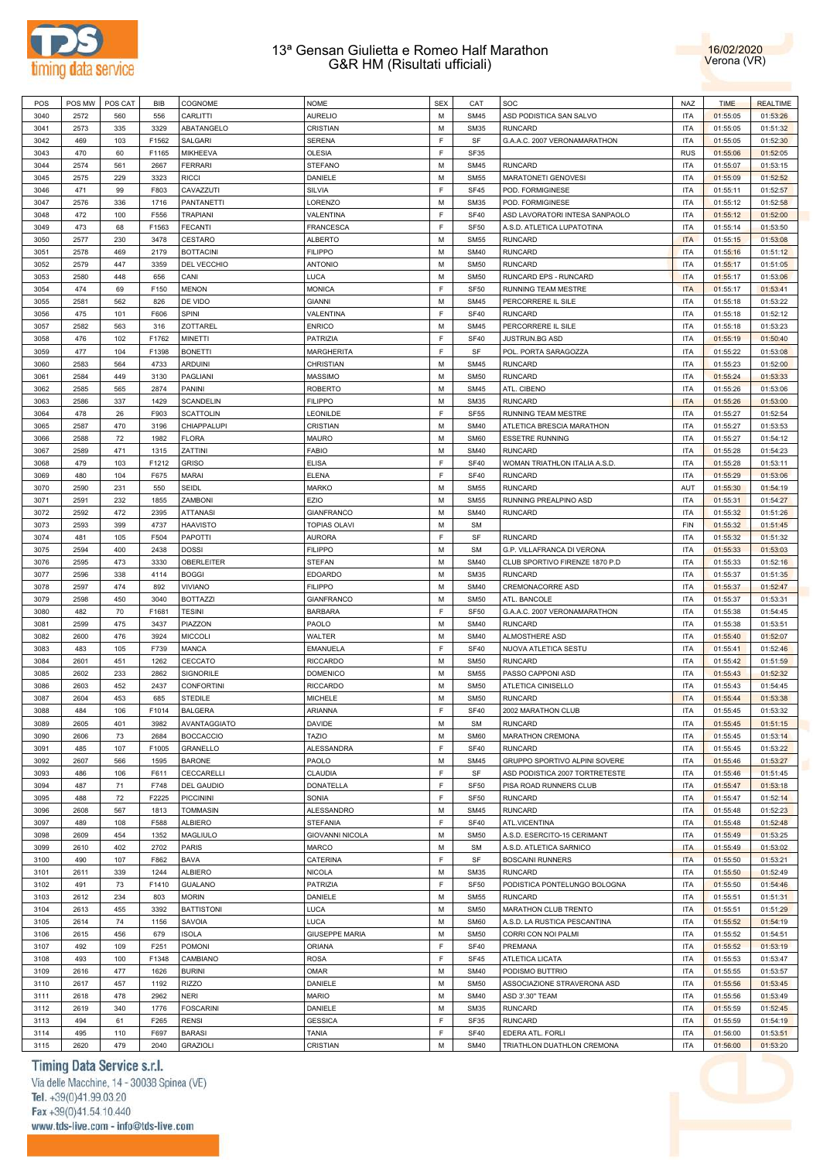



| POS  | POS MW | POS CAT | BIB   | COGNOME           | <b>NOME</b>            | <b>SEX</b> | CAT         | SOC                            | <b>NAZ</b> | <b>TIME</b> | <b>REALTIME</b> |
|------|--------|---------|-------|-------------------|------------------------|------------|-------------|--------------------------------|------------|-------------|-----------------|
| 3040 | 2572   | 560     | 556   | CARLITTI          | <b>AURELIO</b>         | M          | <b>SM45</b> | ASD PODISTICA SAN SALVO        | ITA        | 01:55:05    | 01:53:26        |
|      |        |         |       |                   |                        |            |             |                                |            |             |                 |
| 3041 | 2573   | 335     | 3329  | ABATANGELO        | CRISTIAN               | M          | <b>SM35</b> | <b>RUNCARD</b>                 | <b>ITA</b> | 01:55:05    | 01:51:32        |
| 3042 | 469    | 103     | F1562 | SALGARI           | <b>SERENA</b>          | E          | SF          | G.A.A.C. 2007 VERONAMARATHON   | <b>ITA</b> | 01:55:05    | 01:52:30        |
| 3043 | 470    | 60      | F1165 | MIKHEEVA          | <b>OLESIA</b>          | E          | <b>SF35</b> |                                | <b>RUS</b> | 01:55:06    | 01:52:05        |
| 3044 | 2574   | 561     | 2667  | <b>FERRARI</b>    | <b>STEFANO</b>         | M          | <b>SM45</b> | <b>RUNCARD</b>                 | <b>ITA</b> | 01:55:07    | 01:53:15        |
| 3045 | 2575   | 229     | 3323  | <b>RICCI</b>      | DANIELE                | M          | <b>SM55</b> | MARATONETI GENOVESI            | <b>ITA</b> | 01:55:09    | 01:52:52        |
|      |        |         |       |                   |                        |            |             |                                |            |             |                 |
| 3046 | 471    | 99      | F803  | CAVAZZUTI         | <b>SILVIA</b>          | F          | <b>SF45</b> | POD. FORMIGINESE               | <b>ITA</b> | 01:55:11    | 01:52:57        |
| 3047 | 2576   | 336     | 1716  | <b>PANTANETTI</b> | LORENZO                | M          | <b>SM35</b> | POD. FORMIGINESE               | <b>ITA</b> | 01:55:12    | 01:52:58        |
| 3048 | 472    | 100     | F556  | <b>TRAPIANI</b>   | VALENTINA              | E          | <b>SF40</b> | ASD LAVORATORI INTESA SANPAOLO | <b>ITA</b> | 01:55:12    | 01:52:00        |
| 3049 | 473    | 68      | F1563 | <b>FECANTI</b>    | <b>FRANCESCA</b>       | E          | <b>SF50</b> | A.S.D. ATLETICA LUPATOTINA     | <b>ITA</b> | 01:55:14    | 01:53:50        |
|      |        |         |       | CESTARO           |                        | M          | <b>SM55</b> | <b>RUNCARD</b>                 | <b>ITA</b> |             |                 |
| 3050 | 2577   | 230     | 3478  |                   | <b>ALBERTO</b>         |            |             |                                |            | 01:55:15    | 01:53:08        |
| 3051 | 2578   | 469     | 2179  | <b>BOTTACINI</b>  | <b>FILIPPO</b>         | M          | <b>SM40</b> | <b>RUNCARD</b>                 | <b>ITA</b> | 01:55:16    | 01:51:12        |
| 3052 | 2579   | 447     | 3359  | DEL VECCHIO       | <b>ANTONIO</b>         | M          | <b>SM50</b> | <b>RUNCARD</b>                 | <b>ITA</b> | 01:55:17    | 01:51:05        |
| 3053 | 2580   | 448     | 656   | CANI              | <b>LUCA</b>            | M          | <b>SM50</b> | RUNCARD EPS - RUNCARD          | <b>ITA</b> | 01:55:17    | 01:53:06        |
| 3054 | 474    | 69      | F150  | <b>MENON</b>      | <b>MONICA</b>          | E          | <b>SF50</b> | <b>RUNNING TEAM MESTRE</b>     | <b>ITA</b> | 01:55:17    | 01:53:41        |
| 3055 | 2581   | 562     | 826   | DE VIDO           | <b>GIANNI</b>          | M          | <b>SM45</b> | PERCORRERE IL SILE             | <b>ITA</b> | 01:55:18    | 01:53:22        |
|      |        |         |       |                   |                        |            |             |                                |            |             |                 |
| 3056 | 475    | 101     | F606  | <b>SPINI</b>      | VALENTINA              | E          | <b>SF40</b> | <b>RUNCARD</b>                 | <b>ITA</b> | 01:55:18    | 01:52:12        |
| 3057 | 2582   | 563     | 316   | ZOTTAREL          | <b>ENRICO</b>          | M          | <b>SM45</b> | PERCORRERE IL SILE             | <b>ITA</b> | 01:55:18    | 01:53:23        |
| 3058 | 476    | 102     | F1762 | <b>MINETTI</b>    | PATRIZIA               | F          | <b>SF40</b> | JUSTRUN.BG ASD                 | <b>ITA</b> | 01:55:19    | 01:50:40        |
| 3059 | 477    | 104     | F1398 | <b>BONETTI</b>    | <b>MARGHERITA</b>      | E          | SF          | POL. PORTA SARAGOZZA           | <b>ITA</b> | 01:55:22    | 01:53:08        |
|      | 2583   | 564     | 4733  | <b>ARDUINI</b>    | <b>CHRISTIAN</b>       | M          | <b>SM45</b> | <b>RUNCARD</b>                 | <b>ITA</b> |             |                 |
| 3060 |        |         |       |                   |                        |            |             |                                |            | 01:55:23    | 01:52:00        |
| 3061 | 2584   | 449     | 3130  | <b>PAGLIANI</b>   | <b>MASSIMO</b>         | M          | <b>SM50</b> | <b>RUNCARD</b>                 | <b>ITA</b> | 01:55:24    | 01:53:33        |
| 3062 | 2585   | 565     | 2874  | PANINI            | <b>ROBERTO</b>         | M          | <b>SM45</b> | ATL. CIBENO                    | <b>ITA</b> | 01:55:26    | 01:53:06        |
| 3063 | 2586   | 337     | 1429  | <b>SCANDELIN</b>  | <b>FILIPPO</b>         | M          | <b>SM35</b> | <b>RUNCARD</b>                 | <b>ITA</b> | 01:55:26    | 01:53:00        |
| 3064 | 478    | 26      | F903  | <b>SCATTOLIN</b>  | LEONILDE               | F          | <b>SF55</b> | RUNNING TEAM MESTRE            | <b>ITA</b> | 01:55:27    | 01:52:54        |
|      |        |         |       |                   |                        |            |             |                                |            |             |                 |
| 3065 | 2587   | 470     | 3196  | CHIAPPALUPI       | CRISTIAN               | M          | <b>SM40</b> | ATLETICA BRESCIA MARATHON      | <b>ITA</b> | 01:55:27    | 01:53:53        |
| 3066 | 2588   | 72      | 1982  | <b>FLORA</b>      | <b>MAURO</b>           | M          | <b>SM60</b> | <b>ESSETRE RUNNING</b>         | <b>ITA</b> | 01:55:27    | 01:54:12        |
| 3067 | 2589   | 471     | 1315  | ZATTINI           | <b>FABIO</b>           | M          | <b>SM40</b> | <b>RUNCARD</b>                 | <b>ITA</b> | 01:55:28    | 01:54:23        |
| 3068 | 479    | 103     | F1212 | <b>GRISO</b>      | <b>ELISA</b>           | E          | <b>SF40</b> | WOMAN TRIATHLON ITALIA A.S.D.  | <b>ITA</b> | 01:55:28    | 01:53:11        |
| 3069 | 480    | 104     | F675  | <b>MARAI</b>      | <b>ELENA</b>           | E          | <b>SF40</b> | <b>RUNCARD</b>                 | <b>ITA</b> | 01:55:29    | 01:53:06        |
|      |        |         |       |                   |                        |            |             |                                |            |             |                 |
| 3070 | 2590   | 231     | 550   | SEIDL             | <b>MARKO</b>           | M          | <b>SM55</b> | <b>RUNCARD</b>                 | AUT        | 01:55:30    | 01:54:19        |
| 3071 | 2591   | 232     | 1855  | <b>ZAMBONI</b>    | EZIO                   | M          | <b>SM55</b> | RUNNING PREALPINO ASD          | <b>ITA</b> | 01:55:31    | 01:54:27        |
| 3072 | 2592   | 472     | 2395  | <b>ATTANASI</b>   | <b>GIANFRANCO</b>      | M          | <b>SM40</b> | <b>RUNCARD</b>                 | <b>ITA</b> | 01:55:32    | 01:51:26        |
| 3073 | 2593   | 399     | 4737  | <b>HAAVISTO</b>   | <b>TOPIAS OLAVI</b>    | М          | <b>SM</b>   |                                | FIN        | 01:55:32    | 01:51:45        |
| 3074 | 481    | 105     | F504  | <b>PAPOTTI</b>    | <b>AURORA</b>          | F          | SF          | <b>RUNCARD</b>                 | <b>ITA</b> | 01:55:32    | 01:51:32        |
|      |        |         |       |                   |                        |            |             |                                |            |             |                 |
| 3075 | 2594   | 400     | 2438  | <b>DOSSI</b>      | <b>FILIPPO</b>         | M          | <b>SM</b>   | G.P. VILLAFRANCA DI VERONA     | <b>ITA</b> | 01:55:33    | 01:53:03        |
| 3076 | 2595   | 473     | 3330  | <b>OBERLEITER</b> | <b>STEFAN</b>          | M          | <b>SM40</b> | CLUB SPORTIVO FIRENZE 1870 P.D | <b>ITA</b> | 01:55:33    | 01:52:16        |
| 3077 | 2596   | 338     | 4114  | <b>BOGGI</b>      | <b>EDOARDO</b>         | M          | <b>SM35</b> | <b>RUNCARD</b>                 | <b>ITA</b> | 01:55:37    | 01:51:35        |
| 3078 | 2597   | 474     | 892   | <b>VIVIANO</b>    | <b>FILIPPO</b>         | M          | <b>SM40</b> | CREMONACORRE ASD               | <b>ITA</b> | 01:55:37    | 01:52:47        |
| 3079 | 2598   | 450     | 3040  | <b>BOTTAZZI</b>   | <b>GIANFRANCO</b>      | M          | <b>SM50</b> | ATL. BANCOLE                   | <b>ITA</b> | 01:55:37    | 01:53:31        |
|      |        |         |       |                   |                        | E          |             | G.A.A.C. 2007 VERONAMARATHON   | <b>ITA</b> |             |                 |
| 3080 | 482    | 70      | F1681 | <b>TESINI</b>     | <b>BARBARA</b>         |            | <b>SF50</b> |                                |            | 01:55:38    | 01:54:45        |
| 3081 | 2599   | 475     | 3437  | PIAZZON           | PAOLO                  | M          | <b>SM40</b> | <b>RUNCARD</b>                 | <b>ITA</b> | 01:55:38    | 01:53:51        |
| 3082 | 2600   | 476     | 3924  | <b>MICCOLI</b>    | <b>WALTER</b>          | M          | <b>SM40</b> | ALMOSTHERE ASD                 | <b>ITA</b> | 01:55:40    | 01:52:07        |
| 3083 | 483    | 105     | F739  | <b>MANCA</b>      | <b>EMANUELA</b>        | E          | <b>SF40</b> | NUOVA ATLETICA SESTU           | <b>ITA</b> | 01:55:41    | 01:52:46        |
| 3084 | 2601   | 451     | 1262  | CECCATO           | <b>RICCARDO</b>        | M          | <b>SM50</b> | <b>RUNCARD</b>                 | ITA        | 01:55:42    | 01:51:59        |
| 3085 | 2602   |         | 2862  | SIGNORILE         | <b>DOMENICO</b>        | м          | <b>SM55</b> |                                | <b>ITA</b> |             |                 |
|      |        | 233     |       |                   |                        |            |             | PASSO CAPPONI ASD              |            | 01:55:43    | 01:52:32        |
| 3086 | 2603   | 452     | 2437  | <b>CONFORTINI</b> | <b>RICCARDO</b>        | M          | <b>SM50</b> | ATLETICA CINISELLO             | <b>ITA</b> | 01:55:43    | 01:54:45        |
| 3087 | 2604   | 453     | 685   | <b>STEDILE</b>    | <b>MICHELE</b>         | M          | <b>SM50</b> | <b>RUNCARD</b>                 | <b>ITA</b> | 01:55:44    | 01:53:38        |
| 3088 | 484    | 106     | F1014 | <b>BALGERA</b>    | ARIANNA                | F          | <b>SF40</b> | 2002 MARATHON CLUB             | <b>ITA</b> | 01:55:45    | 01:53:32        |
| 3089 | 2605   | 401     | 3982  | AVANTAGGIATO      | <b>DAVIDE</b>          | м          | <b>SM</b>   | <b>RUNCARD</b>                 | ITA        | 01:55:45    | 01:51:15        |
|      |        |         |       |                   | <b>TAZIO</b>           | M          |             |                                |            |             |                 |
| 3090 | 2606   | 73      | 2684  | <b>BOCCACCIO</b>  |                        |            | <b>SM60</b> | MARATHON CREMONA               | ITA        | 01:55:45    | 01:53:14        |
| 3091 | 485    | 107     | F1005 | GRANELLO          | ALESSANDRA             | E          | <b>SF40</b> | <b>RUNCARD</b>                 | <b>ITA</b> | 01:55:45    | 01:53:22        |
| 3092 | 2607   | 566     | 1595  | <b>BARONE</b>     | PAOLO                  | M          | <b>SM45</b> | GRUPPO SPORTIVO ALPINI SOVERE  | <b>ITA</b> | 01:55:46    | 01:53:27        |
| 3093 | 486    | 106     | F611  | CECCARELLI        | <b>CLAUDIA</b>         | F          | SF          | ASD PODISTICA 2007 TORTRETESTE | <b>ITA</b> | 01:55:46    | 01:51:45        |
| 3094 | 487    | 71      | F748  | <b>DEL GAUDIO</b> | <b>DONATELLA</b>       | E          | <b>SF50</b> | PISA ROAD RUNNERS CLUB         | ITA        | 01:55:47    | 01:53:18        |
|      |        |         |       |                   |                        | E          |             |                                |            |             |                 |
| 3095 | 488    | 72      | F2225 | <b>PICCININI</b>  | SONIA                  |            | <b>SF50</b> | <b>RUNCARD</b>                 | ITA        | 01:55:47    | 01:52:14        |
| 3096 | 2608   | 567     | 1813  | <b>TOMMASIN</b>   | ALESSANDRO             | M          | <b>SM45</b> | <b>RUNCARD</b>                 | ITA        | 01:55:48    | 01:52:23        |
| 3097 | 489    | 108     | F588  | <b>ALBIERO</b>    | <b>STEFANIA</b>        | E          | <b>SF40</b> | ATL.VICENTINA                  | ITA        | 01:55:48    | 01:52:48        |
| 3098 | 2609   | 454     | 1352  | MAGLIULO          | <b>GIOVANNI NICOLA</b> | M          | <b>SM50</b> | A.S.D. ESERCITO-15 CERIMANT    | ITA        | 01:55:49    | 01:53:25        |
| 3099 | 2610   | 402     | 2702  | <b>PARIS</b>      | <b>MARCO</b>           | M          | <b>SM</b>   | A.S.D. ATLETICA SARNICO        | <b>ITA</b> | 01:55:49    | 01:53:02        |
|      |        |         |       |                   |                        |            |             |                                |            |             |                 |
| 3100 | 490    | 107     | F862  | BAVA              | CATERINA               | E          | SF          | <b>BOSCAINI RUNNERS</b>        | <b>ITA</b> | 01:55:50    | 01:53:21        |
| 3101 | 2611   | 339     | 1244  | <b>ALBIERO</b>    | <b>NICOLA</b>          | M          | <b>SM35</b> | <b>RUNCARD</b>                 | ITA        | 01:55:50    | 01:52:49        |
| 3102 | 491    | 73      | F1410 | <b>GUALANO</b>    | PATRIZIA               | F          | <b>SF50</b> | PODISTICA PONTELUNGO BOLOGNA   | ITA        | 01:55:50    | 01:54:46        |
| 3103 | 2612   | 234     | 803   | <b>MORIN</b>      | DANIELE                | M          | <b>SM55</b> | <b>RUNCARD</b>                 | <b>ITA</b> | 01:55:51    | 01:51:31        |
| 3104 | 2613   | 455     | 3392  | <b>BATTISTONI</b> | <b>LUCA</b>            | M          | <b>SM50</b> | MARATHON CLUB TRENTO           | ITA        | 01:55:51    | 01:51:29        |
|      |        |         |       |                   |                        |            |             |                                |            |             |                 |
| 3105 | 2614   | 74      | 1156  | SAVOIA            | <b>LUCA</b>            | M          | <b>SM60</b> | A.S.D. LA RUSTICA PESCANTINA   | <b>ITA</b> | 01:55:52    | 01:54:19        |
| 3106 | 2615   | 456     | 679   | <b>ISOLA</b>      | <b>GIUSEPPE MARIA</b>  | M          | <b>SM50</b> | CORRI CON NOI PALMI            | ITA        | 01:55:52    | 01:54:51        |
| 3107 | 492    | 109     | F251  | <b>POMONI</b>     | <b>ORIANA</b>          | E          | <b>SF40</b> | PREMANA                        | ITA        | 01:55:52    | 01:53:19        |
| 3108 | 493    | 100     | F1348 | CAMBIANO          | <b>ROSA</b>            | E          | <b>SF45</b> | ATLETICA LICATA                | ITA        | 01:55:53    | 01:53:47        |
|      |        |         |       |                   |                        |            |             |                                |            |             |                 |
| 3109 | 2616   | 477     | 1626  | <b>BURINI</b>     | <b>OMAR</b>            | M          | <b>SM40</b> | PODISMO BUTTRIO                | ITA        | 01:55:55    | 01:53:57        |
| 3110 | 2617   | 457     | 1192  | <b>RIZZO</b>      | DANIELE                | M          | <b>SM50</b> | ASSOCIAZIONE STRAVERONA ASD    | ITA        | 01:55:56    | 01:53:45        |
| 3111 | 2618   | 478     | 2962  | NERI              | <b>MARIO</b>           | M          | <b>SM40</b> | ASD 3'.30" TEAM                | ITA        | 01:55:56    | 01:53:49        |
| 3112 | 2619   | 340     | 1776  | <b>FOSCARINI</b>  | DANIELE                | M          | <b>SM35</b> | <b>RUNCARD</b>                 | ITA        | 01:55:59    | 01:52:45        |
| 3113 | 494    | 61      | F265  | <b>RENSI</b>      | <b>GESSICA</b>         | E          | SF35        | <b>RUNCARD</b>                 | ITA        | 01:55:59    | 01:54:19        |
|      |        |         |       |                   |                        |            |             |                                |            |             |                 |
| 3114 | 495    | 110     | F697  | <b>BARASI</b>     | <b>TANIA</b>           | F          | <b>SF40</b> | EDERA ATL. FORLI               | ITA        | 01:56:00    | 01:53:51        |
| 3115 | 2620   | 479     | 2040  | <b>GRAZIOLI</b>   | CRISTIAN               | М          | <b>SM40</b> | TRIATHLON DUATHLON CREMONA     | <b>ITA</b> | 01:56:00    | 01:53:20        |

# Timing Data Service s.r.l.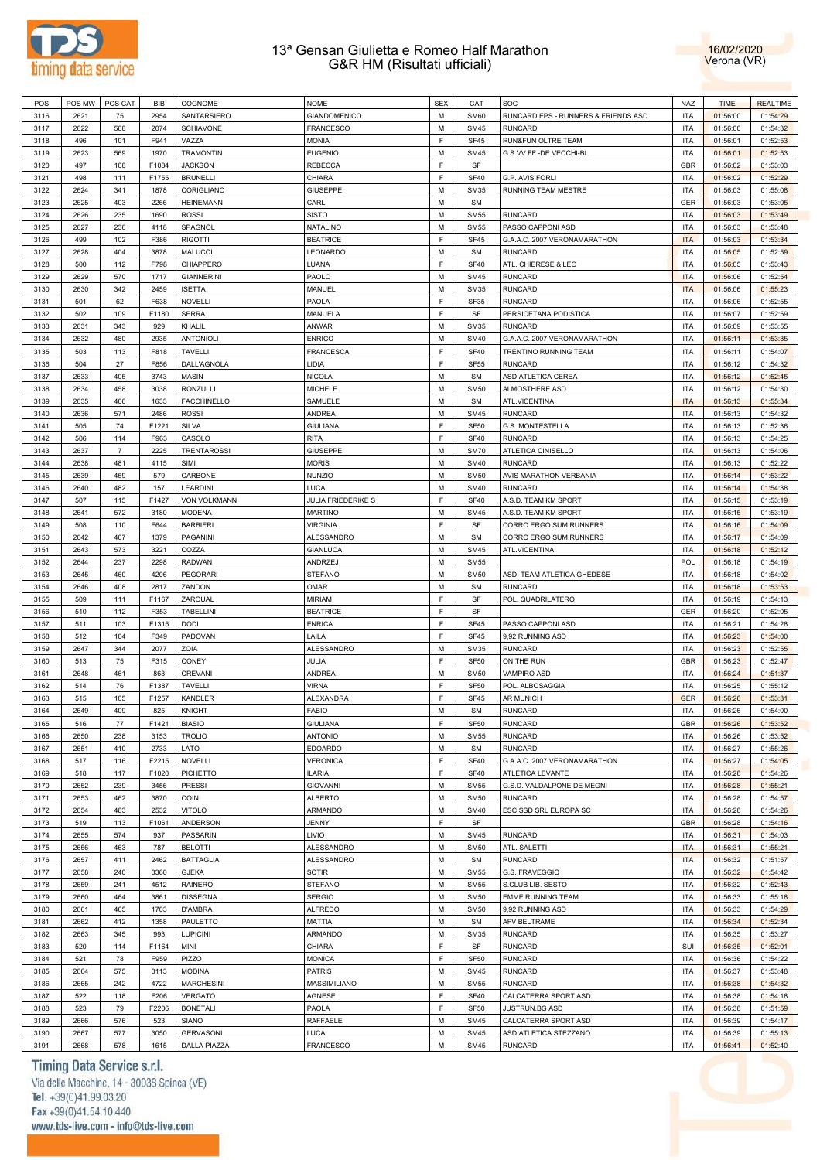



| POS  | POS MW | POS CAT        | <b>BIB</b> | COGNOME             | <b>NOME</b>         | <b>SEX</b> | CAT         | SOC                                 | <b>NAZ</b> | <b>TIME</b> | <b>REALTIME</b> |
|------|--------|----------------|------------|---------------------|---------------------|------------|-------------|-------------------------------------|------------|-------------|-----------------|
| 3116 | 2621   | 75             | 2954       | SANTARSIERO         | <b>GIANDOMENICO</b> | M          | <b>SM60</b> | RUNCARD EPS - RUNNERS & FRIENDS ASD | <b>ITA</b> | 01:56:00    | 01:54:29        |
|      |        |                |            |                     |                     |            |             |                                     |            |             |                 |
| 3117 | 2622   | 568            | 2074       | <b>SCHIAVONE</b>    | <b>FRANCESCO</b>    | M          | <b>SM45</b> | <b>RUNCARD</b>                      | <b>ITA</b> | 01:56:00    | 01:54:32        |
| 3118 | 496    | 101            | F941       | VAZZA               | <b>MONIA</b>        | E          | <b>SF45</b> | RUN&FUN OLTRE TEAM                  | <b>ITA</b> | 01:56:01    | 01:52:53        |
| 3119 | 2623   | 569            | 1970       | <b>TRAMONTIN</b>    | <b>EUGENIO</b>      | M          | <b>SM45</b> | G.S.VV.FF.-DE VECCHI-BL             | <b>ITA</b> | 01:56:01    | 01:52:53        |
| 3120 | 497    | 108            | F1084      | <b>JACKSON</b>      | <b>REBECCA</b>      | E          | SF          |                                     | GBR        | 01:56:02    | 01:53:03        |
| 3121 | 498    | 111            | F1755      | <b>BRUNELLI</b>     | CHIARA              | E          | <b>SF40</b> | G.P. AVIS FORLI                     | <b>ITA</b> | 01:56:02    | 01:52:29        |
|      |        |                |            |                     | <b>GIUSEPPE</b>     |            |             |                                     |            |             |                 |
| 3122 | 2624   | 341            | 1878       | CORIGLIANO          |                     | M          | <b>SM35</b> | <b>RUNNING TEAM MESTRE</b>          | <b>ITA</b> | 01:56:03    | 01:55:08        |
| 3123 | 2625   | 403            | 2266       | <b>HEINEMANN</b>    | CARL                | M          | <b>SM</b>   |                                     | <b>GER</b> | 01:56:03    | 01:53:05        |
| 3124 | 2626   | 235            | 1690       | <b>ROSSI</b>        | <b>SISTO</b>        | M          | <b>SM55</b> | <b>RUNCARD</b>                      | <b>ITA</b> | 01:56:03    | 01:53:49        |
| 3125 | 2627   | 236            | 4118       | SPAGNOL             | NATALINO            | M          | <b>SM55</b> | PASSO CAPPONI ASD                   | ITA        | 01:56:03    | 01:53:48        |
| 3126 | 499    | 102            | F386       | <b>RIGOTTI</b>      | <b>BEATRICE</b>     | F          | <b>SF45</b> | G.A.A.C. 2007 VERONAMARATHON        | <b>ITA</b> | 01:56:03    | 01:53:34        |
|      |        |                | 3878       | <b>MALUCCI</b>      | LEONARDO            | M          | <b>SM</b>   | <b>RUNCARD</b>                      | <b>ITA</b> |             |                 |
| 3127 | 2628   | 404            |            |                     |                     |            |             |                                     |            | 01:56:05    | 01:52:59        |
| 3128 | 500    | 112            | F798       | CHIAPPERO           | LUANA               | E          | <b>SF40</b> | ATL. CHIERESE & LEO                 | <b>ITA</b> | 01:56:05    | 01:53:43        |
| 3129 | 2629   | 570            | 1717       | <b>GIANNERINI</b>   | PAOLO               | M          | <b>SM45</b> | <b>RUNCARD</b>                      | <b>ITA</b> | 01:56:06    | 01:52:54        |
| 3130 | 2630   | 342            | 2459       | <b>ISETTA</b>       | MANUEL              | M          | <b>SM35</b> | <b>RUNCARD</b>                      | <b>ITA</b> | 01:56:06    | 01:55:23        |
| 3131 | 501    | 62             | F638       | NOVELLI             | PAOLA               | E          | SF35        | <b>RUNCARD</b>                      | <b>ITA</b> | 01:56:06    | 01:52:55        |
| 3132 | 502    | 109            | F1180      | <b>SERRA</b>        | <b>MANUELA</b>      | E          | SF          | PERSICETANA PODISTICA               | <b>ITA</b> | 01:56:07    | 01:52:59        |
|      |        |                |            |                     |                     | M          |             |                                     |            |             |                 |
| 3133 | 2631   | 343            | 929        | KHALIL              | ANWAR               |            | <b>SM35</b> | <b>RUNCARD</b>                      | <b>ITA</b> | 01:56:09    | 01:53:55        |
| 3134 | 2632   | 480            | 2935       | ANTONIOLI           | <b>ENRICO</b>       | M          | <b>SM40</b> | G.A.A.C. 2007 VERONAMARATHON        | <b>ITA</b> | 01:56:11    | 01:53:35        |
| 3135 | 503    | 113            | F818       | <b>TAVELLI</b>      | <b>FRANCESCA</b>    | E          | <b>SF40</b> | TRENTINO RUNNING TEAM               | <b>ITA</b> | 01:56:11    | 01:54:07        |
| 3136 | 504    | 27             | F856       | DALL'AGNOLA         | LIDIA               | E          | <b>SF55</b> | <b>RUNCARD</b>                      | <b>ITA</b> | 01:56:12    | 01:54:32        |
| 3137 | 2633   | 405            | 3743       | <b>MASIN</b>        | <b>NICOLA</b>       | M          | <b>SM</b>   | ASD ATLETICA CEREA                  | <b>ITA</b> | 01:56:12    | 01:52:45        |
| 3138 | 2634   | 458            | 3038       | <b>RONZULLI</b>     | <b>MICHELE</b>      | M          | <b>SM50</b> | ALMOSTHERE ASD                      | <b>ITA</b> | 01:56:12    | 01:54:30        |
|      |        |                |            |                     |                     |            |             |                                     |            |             |                 |
| 3139 | 2635   | 406            | 1633       | <b>FACCHINELLO</b>  | SAMUELE             | M          | <b>SM</b>   | ATL.VICENTINA                       | <b>ITA</b> | 01:56:13    | 01:55:34        |
| 3140 | 2636   | 571            | 2486       | <b>ROSSI</b>        | <b>ANDREA</b>       | M          | <b>SM45</b> | <b>RUNCARD</b>                      | <b>ITA</b> | 01:56:13    | 01:54:32        |
| 3141 | 505    | 74             | F1221      | <b>SILVA</b>        | <b>GIULIANA</b>     | F          | <b>SF50</b> | G.S. MONTESTELLA                    | <b>ITA</b> | 01:56:13    | 01:52:36        |
| 3142 | 506    | 114            | F963       | CASOLO              | <b>RITA</b>         | F          | <b>SF40</b> | <b>RUNCARD</b>                      | <b>ITA</b> | 01:56:13    | 01:54:25        |
| 3143 | 2637   | $\overline{7}$ | 2225       | TRENTAROSSI         | <b>GIUSEPPE</b>     | M          | <b>SM70</b> | ATLETICA CINISELLO                  | <b>ITA</b> | 01:56:13    | 01:54:06        |
|      |        |                |            |                     |                     |            |             |                                     |            |             |                 |
| 3144 | 2638   | 481            | 4115       | <b>SIMI</b>         | <b>MORIS</b>        | M          | <b>SM40</b> | <b>RUNCARD</b>                      | <b>ITA</b> | 01:56:13    | 01:52:22        |
| 3145 | 2639   | 459            | 579        | CARBONE             | <b>NUNZIO</b>       | M          | <b>SM50</b> | AVIS MARATHON VERBANIA              | <b>ITA</b> | 01:56:14    | 01:53:22        |
| 3146 | 2640   | 482            | 157        | LEARDINI            | LUCA                | M          | <b>SM40</b> | <b>RUNCARD</b>                      | <b>ITA</b> | 01:56:14    | 01:54:38        |
| 3147 | 507    | 115            | F1427      | <b>VON VOLKMANN</b> | JULIA FRIEDERIKE S  | E          | <b>SF40</b> | A.S.D. TEAM KM SPORT                | <b>ITA</b> | 01:56:15    | 01:53:19        |
| 3148 | 2641   | 572            | 3180       | <b>MODENA</b>       | <b>MARTINO</b>      | M          | <b>SM45</b> | A.S.D. TEAM KM SPORT                | <b>ITA</b> | 01:56:15    | 01:53:19        |
|      |        |                |            |                     |                     | E          |             |                                     |            |             |                 |
| 3149 | 508    | 110            | F644       | <b>BARBIERI</b>     | <b>VIRGINIA</b>     |            | SF          | CORRO ERGO SUM RUNNERS              | <b>ITA</b> | 01:56:16    | 01:54:09        |
| 3150 | 2642   | 407            | 1379       | PAGANINI            | ALESSANDRO          | M          | <b>SM</b>   | CORRO ERGO SUM RUNNERS              | <b>ITA</b> | 01:56:17    | 01:54:09        |
| 3151 | 2643   | 573            | 3221       | COZZA               | <b>GIANLUCA</b>     | M          | <b>SM45</b> | ATL.VICENTINA                       | <b>ITA</b> | 01:56:18    | 01:52:12        |
| 3152 | 2644   | 237            | 2298       | <b>RADWAN</b>       | ANDRZEJ             | M          | <b>SM55</b> |                                     | <b>POL</b> | 01:56:18    | 01:54:19        |
| 3153 | 2645   | 460            | 4206       | <b>PEGORARI</b>     | <b>STEFANO</b>      | M          | <b>SM50</b> | ASD. TEAM ATLETICA GHEDESE          | <b>ITA</b> | 01:56:18    | 01:54:02        |
|      |        |                |            |                     |                     | M          |             |                                     |            |             |                 |
| 3154 | 2646   | 408            | 2817       | ZANDON              | OMAR                |            | <b>SM</b>   | <b>RUNCARD</b>                      | <b>ITA</b> | 01:56:18    | 01:53:53        |
| 3155 | 509    | 111            | F1167      | ZAROUAL             | <b>MIRIAM</b>       | E          | SF          | POL. QUADRILATERO                   | <b>ITA</b> | 01:56:19    | 01:54:13        |
| 3156 | 510    | 112            | F353       | TABELLINI           | <b>BEATRICE</b>     | F          | SF          |                                     | GER        | 01:56:20    | 01:52:05        |
| 3157 | 511    | 103            | F1315      | DODI                | <b>ENRICA</b>       | F          | SF45        | PASSO CAPPONI ASD                   | <b>ITA</b> | 01:56:21    | 01:54:28        |
| 3158 | 512    | 104            | F349       | PADOVAN             | LAILA               | F          | SF45        | 9,92 RUNNING ASD                    | <b>ITA</b> | 01:56:23    | 01:54:00        |
| 3159 | 2647   | 344            | 2077       | ZOIA                | <b>ALESSANDRO</b>   | M          | <b>SM35</b> | <b>RUNCARD</b>                      | <b>ITA</b> | 01:56:23    | 01:52:55        |
|      |        |                |            |                     |                     | F          |             |                                     |            |             |                 |
| 3160 | 513    | 75             | F315       | CONEY               | JULIA               |            | <b>SF50</b> | ON THE RUN                          | <b>GBR</b> | 01:56:23    | 01:52:47        |
| 3161 | 2648   | 461            | 863        | CREVANI             | ANDREA              | M          | <b>SM50</b> | <b>VAMPIRO ASD</b>                  | <b>ITA</b> | 01:56:24    | 01:51:37        |
| 3162 | 514    | 76             | F1387      | TAVELLI             | <b>VIRNA</b>        | F          | <b>SF50</b> | POL. ALBOSAGGIA                     | <b>ITA</b> | 01:56:25    | 01:55:12        |
| 3163 | 515    | 105            | F1257      | <b>KANDLER</b>      | <b>ALEXANDRA</b>    | E          | <b>SF45</b> | <b>AR MUNICH</b>                    | <b>GER</b> | 01:56:26    | 01:53:31        |
| 3164 | 2649   | 409            | 825        | KNIGHT              | <b>FABIO</b>        | M          | <b>SM</b>   | <b>RUNCARD</b>                      | <b>ITA</b> | 01:56:26    | 01:54:00        |
| 3165 | 516    | 77             | F1421      | <b>BIASIO</b>       | <b>GIULIANA</b>     | E          | <b>SF50</b> | <b>RUNCARD</b>                      | <b>GBR</b> | 01:56:26    | 01:53:52        |
|      |        |                |            |                     |                     |            |             |                                     |            |             |                 |
| 3166 | 2650   | 238            | 3153       | TROLIO              | <b>ANTONIO</b>      | М          | <b>SM55</b> | <b>RUNCARD</b>                      | ITA        | 01:56:26    | 01:53:52        |
| 3167 | 2651   | 410            | 2733       | LATO                | <b>EDOARDO</b>      | M          | <b>SM</b>   | <b>RUNCARD</b>                      | <b>ITA</b> | 01:56:27    | 01:55:26        |
| 3168 | 517    | 116            | F2215      | <b>NOVELLI</b>      | <b>VERONICA</b>     | E          | <b>SF40</b> | G.A.A.C. 2007 VERONAMARATHON        | <b>ITA</b> | 01:56:27    | 01:54:05        |
| 3169 | 518    | 117            | F1020      | PICHETTO            | <b>ILARIA</b>       | E          | <b>SF40</b> | ATLETICA LEVANTE                    | <b>ITA</b> | 01:56:28    | 01:54:26        |
| 3170 | 2652   | 239            | 3456       | <b>PRESSI</b>       | <b>GIOVANNI</b>     | M          | <b>SM55</b> | G.S.D. VALDALPONE DE MEGNI          | <b>ITA</b> | 01:56:28    | 01:55:21        |
| 3171 | 2653   | 462            | 3870       | COIN                | <b>ALBERTO</b>      | M          | <b>SM50</b> | <b>RUNCARD</b>                      | <b>ITA</b> | 01:56:28    | 01:54:57        |
|      |        |                |            |                     |                     |            |             |                                     |            |             |                 |
| 3172 | 2654   | 483            | 2532       | <b>VITOLO</b>       | ARMANDO             | M          | <b>SM40</b> | ESC SSD SRL EUROPA SC               | ITA        | 01:56:28    | 01:54:26        |
| 3173 | 519    | 113            | F1061      | ANDERSON            | JENNY               | E          | SF          |                                     | GBR        | 01:56:28    | 01:54:16        |
| 3174 | 2655   | 574            | 937        | PASSARIN            | LIVIO               | M          | <b>SM45</b> | <b>RUNCARD</b>                      | ITA        | 01:56:31    | 01:54:03        |
| 3175 | 2656   | 463            | 787        | <b>BELOTTI</b>      | <b>ALESSANDRO</b>   | M          | <b>SM50</b> | ATL. SALETTI                        | <b>ITA</b> | 01:56:31    | 01:55:21        |
| 3176 | 2657   | 411            | 2462       | <b>BATTAGLIA</b>    | ALESSANDRO          | M          | <b>SM</b>   | <b>RUNCARD</b>                      | <b>ITA</b> | 01:56:32    | 01:51:57        |
|      |        |                |            |                     |                     |            |             |                                     |            |             |                 |
| 3177 | 2658   | 240            | 3360       | <b>GJEKA</b>        | SOTIR               | M          | <b>SM55</b> | G.S. FRAVEGGIO                      | <b>ITA</b> | 01:56:32    | 01:54:42        |
| 3178 | 2659   | 241            | 4512       | <b>RAINERO</b>      | <b>STEFANO</b>      | M          | <b>SM55</b> | S.CLUB LIB. SESTO                   | ITA        | 01:56:32    | 01:52:43        |
| 3179 | 2660   | 464            | 3861       | <b>DISSEGNA</b>     | <b>SERGIO</b>       | M          | <b>SM50</b> | <b>EMME RUNNING TEAM</b>            | ITA        | 01:56:33    | 01:55:18        |
| 3180 | 2661   | 465            | 1703       | D'AMBRA             | <b>ALFREDO</b>      | M          | <b>SM50</b> | 9,92 RUNNING ASD                    | ITA        | 01:56:33    | 01:54:29        |
| 3181 | 2662   | 412            | 1358       | PAULETTO            | MATTIA              | M          | <b>SM</b>   | AFV BELTRAME                        | <b>ITA</b> | 01:56:34    | 01:52:34        |
| 3182 | 2663   | 345            | 993        | <b>LUPICINI</b>     | ARMANDO             | M          | <b>SM35</b> | <b>RUNCARD</b>                      | <b>ITA</b> | 01:56:35    | 01:53:27        |
|      |        |                |            |                     |                     |            |             |                                     |            |             |                 |
| 3183 | 520    | 114            | F1164      | MINI                | CHIARA              | E          | SF          | <b>RUNCARD</b>                      | SUI        | 01:56:35    | 01:52:01        |
| 3184 | 521    | 78             | F959       | PIZZO               | <b>MONICA</b>       | E          | <b>SF50</b> | <b>RUNCARD</b>                      | ITA        | 01:56:36    | 01:54:22        |
| 3185 | 2664   | 575            | 3113       | <b>MODINA</b>       | <b>PATRIS</b>       | M          | <b>SM45</b> | <b>RUNCARD</b>                      | <b>ITA</b> | 01:56:37    | 01:53:48        |
| 3186 | 2665   | 242            | 4722       | <b>MARCHESINI</b>   | MASSIMILIANO        | M          | <b>SM55</b> | <b>RUNCARD</b>                      | ITA        | 01:56:38    | 01:54:32        |
| 3187 | 522    | 118            | F206       | VERGATO             | AGNESE              | E          | <b>SF40</b> | CALCATERRA SPORT ASD                | <b>ITA</b> | 01:56:38    | 01:54:18        |
|      |        |                |            |                     | PAOLA               | E          |             |                                     |            |             | 01:51:59        |
| 3188 | 523    | 79             | F2206      | <b>BONETALI</b>     |                     |            | <b>SF50</b> | JUSTRUN.BG ASD                      | <b>ITA</b> | 01:56:38    |                 |
| 3189 | 2666   | 576            | 523        | SIANO               | RAFFAELE            | M          | <b>SM45</b> | CALCATERRA SPORT ASD                | <b>ITA</b> | 01:56:39    | 01:54:17        |
| 3190 | 2667   | 577            | 3050       | <b>GERVASONI</b>    | LUCA                | M          | <b>SM45</b> | ASD ATLETICA STEZZANO               | ITA        | 01:56:39    | 01:55:13        |
| 3191 | 2668   | 578            | 1615       | DALLA PIAZZA        | FRANCESCO           | M          | <b>SM45</b> | RUNCARD                             | ITA        | 01:56:41    | 01:52:40        |

# Timing Data Service s.r.l.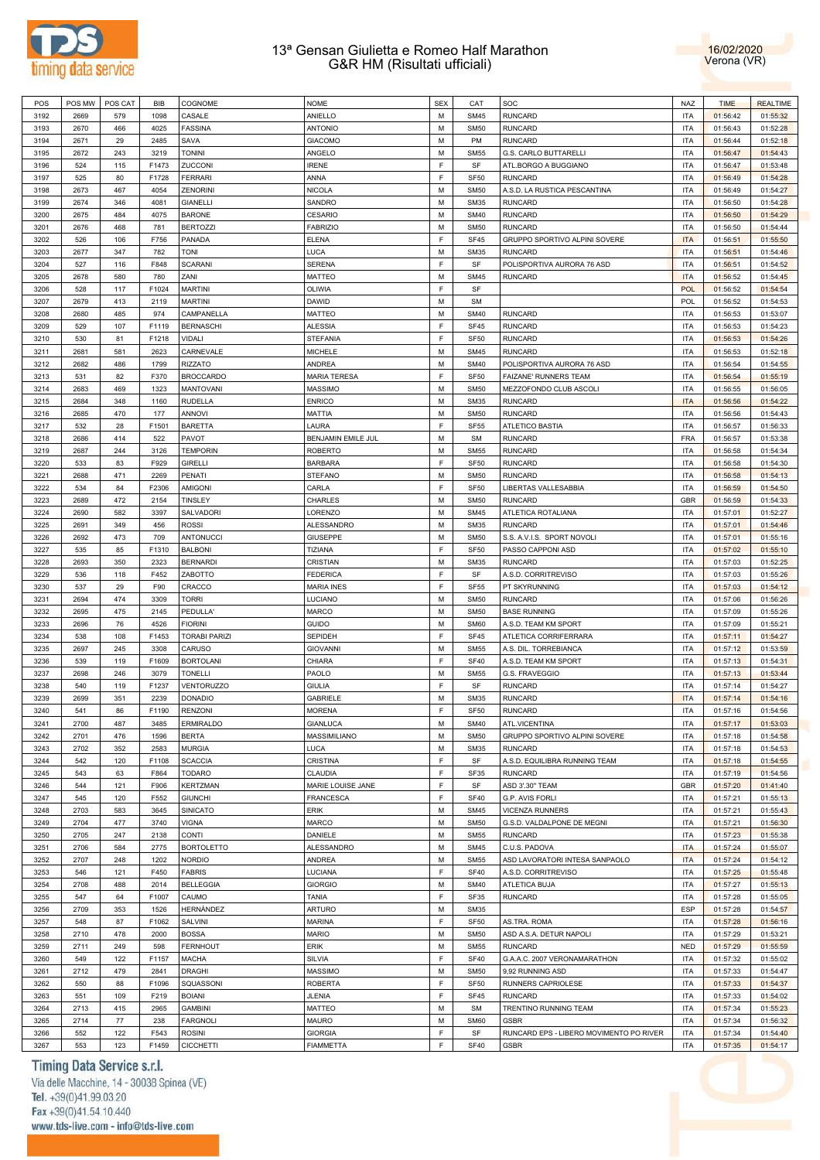



| POS  | POS MW | POS CAT | <b>BIB</b> | COGNOME              | <b>NOME</b>         | <b>SEX</b> | CAT              | SOC                                     | <b>NAZ</b> | <b>TIME</b> | <b>REALTIME</b> |
|------|--------|---------|------------|----------------------|---------------------|------------|------------------|-----------------------------------------|------------|-------------|-----------------|
| 3192 | 2669   | 579     | 1098       | CASALE               | ANIELLO             | M          | <b>SM45</b>      | <b>RUNCARD</b>                          | <b>ITA</b> | 01:56:42    | 01:55:32        |
| 3193 | 2670   | 466     | 4025       | <b>FASSINA</b>       | <b>ANTONIO</b>      | M          | <b>SM50</b>      | <b>RUNCARD</b>                          | <b>ITA</b> | 01:56:43    | 01:52:28        |
| 3194 | 2671   | 29      | 2485       | SAVA                 | <b>GIACOMO</b>      | M          | PM               | <b>RUNCARD</b>                          | <b>ITA</b> | 01:56:44    | 01:52:18        |
| 3195 | 2672   | 243     | 3219       | <b>TONINI</b>        | ANGELO              | M          | <b>SM55</b>      | G.S. CARLO BUTTARELLI                   | <b>ITA</b> | 01:56:47    | 01:54:43        |
|      |        |         |            |                      |                     | F          |                  |                                         |            |             |                 |
| 3196 | 524    | 115     | F1473      | ZUCCONI              | <b>IRENE</b>        |            | SF               | ATL.BORGO A BUGGIANO                    | <b>ITA</b> | 01:56:47    | 01:53:48        |
| 3197 | 525    | 80      | F1728      | <b>FERRARI</b>       | ANNA                | F          | <b>SF50</b>      | <b>RUNCARD</b>                          | <b>ITA</b> | 01:56:49    | 01:54:28        |
| 3198 | 2673   | 467     | 4054       | <b>ZENORINI</b>      | <b>NICOLA</b>       | M          | <b>SM50</b>      | A.S.D. LA RUSTICA PESCANTINA            | <b>ITA</b> | 01:56:49    | 01:54:27        |
| 3199 | 2674   | 346     | 4081       | <b>GIANELLI</b>      | SANDRO              | M          | <b>SM35</b>      | <b>RUNCARD</b>                          | <b>ITA</b> | 01:56:50    | 01:54:28        |
| 3200 | 2675   | 484     | 4075       | <b>BARONE</b>        | CESARIO             | M          | <b>SM40</b>      | <b>RUNCARD</b>                          | <b>ITA</b> | 01:56:50    | 01:54:29        |
| 3201 | 2676   | 468     | 781        | <b>BERTOZZI</b>      | <b>FABRIZIO</b>     | M          | <b>SM50</b>      | <b>RUNCARD</b>                          | <b>ITA</b> | 01:56:50    | 01:54:44        |
| 3202 | 526    | 106     | F756       | PANADA               | ELENA               | F          | SF45             | GRUPPO SPORTIVO ALPINI SOVERE           | <b>ITA</b> | 01:56:51    | 01:55:50        |
| 3203 | 2677   | 347     | 782        | <b>TONI</b>          | LUCA                | M          | <b>SM35</b>      | <b>RUNCARD</b>                          | <b>ITA</b> | 01:56:51    | 01:54:46        |
| 3204 | 527    | 116     | F848       | <b>SCARANI</b>       | SERENA              | F          | SF               | POLISPORTIVA AURORA 76 ASD              | <b>ITA</b> | 01:56:51    | 01:54:52        |
|      | 2678   | 580     | 780        | ZANI                 |                     | M          | <b>SM45</b>      | <b>RUNCARD</b>                          | <b>ITA</b> |             |                 |
| 3205 |        |         |            |                      | MATTEO              |            |                  |                                         |            | 01:56:52    | 01:54:45        |
| 3206 | 528    | 117     | F1024      | <b>MARTINI</b>       | OLIWIA              | F          | SF               |                                         | <b>POL</b> | 01:56:52    | 01:54:54        |
| 3207 | 2679   | 413     | 2119       | <b>MARTINI</b>       | DAWID               | M          | <b>SM</b>        |                                         | <b>POL</b> | 01:56:52    | 01:54:53        |
| 3208 | 2680   | 485     | 974        | CAMPANELLA           | MATTEO              | M          | <b>SM40</b>      | <b>RUNCARD</b>                          | <b>ITA</b> | 01:56:53    | 01:53:07        |
| 3209 | 529    | 107     | F1119      | <b>BERNASCHI</b>     | <b>ALESSIA</b>      | F          | SF45             | <b>RUNCARD</b>                          | <b>ITA</b> | 01:56:53    | 01:54:23        |
| 3210 | 530    | 81      | F1218      | <b>VIDALI</b>        | STEFANIA            | F          | SF <sub>50</sub> | <b>RUNCARD</b>                          | <b>ITA</b> | 01:56:53    | 01:54:26        |
| 3211 | 2681   | 581     | 2623       | CARNEVALE            | <b>MICHELE</b>      | M          | <b>SM45</b>      | <b>RUNCARD</b>                          | <b>ITA</b> | 01:56:53    | 01:52:18        |
| 3212 | 2682   | 486     | 1799       | <b>RIZZATO</b>       | ANDREA              | M          | <b>SM40</b>      | POLISPORTIVA AURORA 76 ASD              | <b>ITA</b> | 01:56:54    | 01:54:55        |
| 3213 | 531    | 82      | F370       | <b>BROCCARDO</b>     | <b>MARIA TERESA</b> | F          | <b>SF50</b>      | FAIZANE' RUNNERS TEAM                   | <b>ITA</b> | 01:56:54    | 01:55:19        |
| 3214 | 2683   | 469     | 1323       | <b>MANTOVANI</b>     | <b>MASSIMO</b>      | M          | <b>SM50</b>      | MEZZOFONDO CLUB ASCOLI                  | <b>ITA</b> | 01:56:55    | 01:56:05        |
|      |        |         |            |                      |                     |            |                  |                                         |            |             |                 |
| 3215 | 2684   | 348     | 1160       | <b>RUDELLA</b>       | <b>ENRICO</b>       | M          | <b>SM35</b>      | <b>RUNCARD</b>                          | <b>ITA</b> | 01:56:56    | 01:54:22        |
| 3216 | 2685   | 470     | 177        | <b>ANNOVI</b>        | MATTIA              | M          | <b>SM50</b>      | <b>RUNCARD</b>                          | <b>ITA</b> | 01:56:56    | 01:54:43        |
| 3217 | 532    | 28      | F1501      | <b>BARETTA</b>       | LAURA               | F          | <b>SF55</b>      | ATLETICO BASTIA                         | <b>ITA</b> | 01:56:57    | 01:56:33        |
| 3218 | 2686   | 414     | 522        | <b>PAVOT</b>         | BENJAMIN EMILE JUL  | M          | <b>SM</b>        | <b>RUNCARD</b>                          | <b>FRA</b> | 01:56:57    | 01:53:38        |
| 3219 | 2687   | 244     | 3126       | <b>TEMPORIN</b>      | <b>ROBERTO</b>      | M          | <b>SM55</b>      | <b>RUNCARD</b>                          | <b>ITA</b> | 01:56:58    | 01:54:34        |
| 3220 | 533    | 83      | F929       | <b>GIRELLI</b>       | <b>BARBARA</b>      | F          | SF <sub>50</sub> | <b>RUNCARD</b>                          | <b>ITA</b> | 01:56:58    | 01:54:30        |
| 3221 | 2688   | 471     | 2269       | PENATI               | <b>STEFANO</b>      | M          | <b>SM50</b>      | <b>RUNCARD</b>                          | <b>ITA</b> | 01:56:58    | 01:54:13        |
| 3222 | 534    | 84      | F2306      | <b>AMIGONI</b>       | CARLA               | F          | SF <sub>50</sub> | LIBERTAS VALLESABBIA                    | <b>ITA</b> | 01:56:59    | 01:54:50        |
| 3223 | 2689   | 472     | 2154       | TINSLEY              | CHARLES             | M          | <b>SM50</b>      | <b>RUNCARD</b>                          | <b>GBR</b> | 01:56:59    | 01:54:33        |
|      |        |         |            |                      |                     | M          |                  |                                         | <b>ITA</b> |             |                 |
| 3224 | 2690   | 582     | 3397       | SALVADORI            | LORENZO             |            | <b>SM45</b>      | ATLETICA ROTALIANA                      |            | 01:57:01    | 01:52:27        |
| 3225 | 2691   | 349     | 456        | <b>ROSSI</b>         | ALESSANDRO          | M          | <b>SM35</b>      | <b>RUNCARD</b>                          | <b>ITA</b> | 01:57:01    | 01:54:46        |
| 3226 | 2692   | 473     | 709        | <b>ANTONUCCI</b>     | <b>GIUSEPPE</b>     | M          | <b>SM50</b>      | S.S. A.V.I.S. SPORT NOVOLI              | <b>ITA</b> | 01:57:01    | 01:55:16        |
| 3227 | 535    | 85      | F1310      | <b>BALBONI</b>       | TIZIANA             | F          | <b>SF50</b>      | PASSO CAPPONI ASD                       | <b>ITA</b> | 01:57:02    | 01:55:10        |
| 3228 | 2693   | 350     | 2323       | <b>BERNARDI</b>      | CRISTIAN            | M          | <b>SM35</b>      | <b>RUNCARD</b>                          | <b>ITA</b> | 01:57:03    | 01:52:25        |
| 3229 | 536    | 118     | F452       | ZABOTTO              | <b>FEDERICA</b>     | F          | SF               | A.S.D. CORRITREVISO                     | <b>ITA</b> | 01:57:03    | 01:55:26        |
| 3230 | 537    | 29      | F90        | CRACCO               | <b>MARIA INES</b>   | F          | SF <sub>55</sub> | PT SKYRUNNING                           | <b>ITA</b> | 01:57:03    | 01:54:12        |
| 3231 | 2694   | 474     | 3309       | <b>TORRI</b>         | LUCIANO             | M          | <b>SM50</b>      | <b>RUNCARD</b>                          | <b>ITA</b> | 01:57:06    | 01:56:26        |
| 3232 | 2695   | 475     | 2145       | PEDULLA'             | MARCO               | M          | <b>SM50</b>      | <b>BASE RUNNING</b>                     | <b>ITA</b> | 01:57:09    | 01:55:26        |
| 3233 | 2696   | 76      | 4526       | <b>FIORINI</b>       | <b>GUIDO</b>        | M          | <b>SM60</b>      | A.S.D. TEAM KM SPORT                    | <b>ITA</b> | 01:57:09    | 01:55:21        |
|      |        |         |            |                      |                     | F          |                  |                                         |            |             |                 |
| 3234 | 538    | 108     | F1453      | <b>TORABI PARIZI</b> | SEPIDEH             |            | SF45             | ATLETICA CORRIFERRARA                   | <b>ITA</b> | 01:57:11    | 01:54:27        |
| 3235 | 2697   | 245     | 3308       | CARUSO               | <b>GIOVANNI</b>     | M          | <b>SM55</b>      | A.S. DIL. TORREBIANCA                   | <b>ITA</b> | 01:57:12    | 01:53:59        |
| 3236 | 539    | 119     | F1609      | <b>BORTOLANI</b>     | CHIARA              | F          | <b>SF40</b>      | A.S.D. TEAM KM SPORT                    | <b>ITA</b> | 01:57:13    | 01:54:31        |
| 3237 | 2698   | 246     | 3079       | <b>TONELLI</b>       | PAOLO               | M          | <b>SM55</b>      | G.S. FRAVEGGIO                          | <b>ITA</b> | 01:57:13    | 01:53:44        |
| 3238 | 540    | 119     | F1237      | VENTORUZZO           | <b>GIULIA</b>       | F          | SF               | <b>RUNCARD</b>                          | <b>ITA</b> | 01:57:14    | 01:54:27        |
| 3239 | 2699   | 351     | 2239       | <b>DONADIO</b>       | GABRIELE            | M          | <b>SM35</b>      | <b>RUNCARD</b>                          | <b>ITA</b> | 01:57:14    | 01:54:16        |
| 3240 | 541    | 86      | F1190      | <b>RENZONI</b>       | <b>MORENA</b>       | F          | <b>SF50</b>      | <b>RUNCARD</b>                          | <b>ITA</b> | 01:57:16    | 01:54:56        |
| 3241 | 2700   | 487     | 3485       | <b>ERMIRALDO</b>     | <b>GIANLUCA</b>     | M          | <b>SM40</b>      | ATL.VICENTINA                           | <b>ITA</b> | 01:57:17    | 01:53:03        |
| 3242 | 2701   | 476     | 1596       | <b>BERTA</b>         | MASSIMILIANO        | M          | <b>SM50</b>      | GRUPPO SPORTIVO ALPINI SOVERE           | <b>ITA</b> | 01:57:18    | 01:54:58        |
|      |        |         |            |                      | LUCA                | M          | <b>SM35</b>      | <b>RUNCARD</b>                          |            |             |                 |
| 3243 | 2702   | 352     | 2583       | <b>MURGIA</b>        |                     |            |                  |                                         | <b>ITA</b> | 01:57:18    | 01:54:53        |
| 3244 | 542    | 120     | F1108      | <b>SCACCIA</b>       | CRISTINA            | F          | SF               | A.S.D. EQUILIBRA RUNNING TEAM           | <b>ITA</b> | 01:57:18    | 01:54:55        |
| 3245 | 543    | 63      | F864       | <b>TODARO</b>        | CLAUDIA             | F          | SF35             | <b>RUNCARD</b>                          | <b>ITA</b> | 01:57:19    | 01:54:56        |
| 3246 | 544    | 121     | F906       | <b>KERTZMAN</b>      | MARIE LOUISE JANE   | F          | SF               | ASD 3'.30" TEAM                         | <b>GBR</b> | 01:57:20    | 01:41:40        |
| 3247 | 545    | 120     | F552       | <b>GIUNCHI</b>       | <b>FRANCESCA</b>    | F          | <b>SF40</b>      | G.P. AVIS FORLI                         | <b>ITA</b> | 01:57:21    | 01:55:13        |
| 3248 | 2703   | 583     | 3645       | <b>SINICATO</b>      | ERIK                | M          | <b>SM45</b>      | <b>VICENZA RUNNERS</b>                  | <b>ITA</b> | 01:57:21    | 01:55:43        |
| 3249 | 2704   | 477     | 3740       | <b>VIGNA</b>         | MARCO               | M          | <b>SM50</b>      | G.S.D. VALDALPONE DE MEGNI              | <b>ITA</b> | 01:57:21    | 01:56:30        |
| 3250 | 2705   | 247     | 2138       | <b>CONTI</b>         | DANIELE             | M          | <b>SM55</b>      | <b>RUNCARD</b>                          | <b>ITA</b> | 01:57:23    | 01:55:38        |
| 3251 | 2706   | 584     | 2775       | <b>BORTOLETTO</b>    | ALESSANDRO          | M          | <b>SM45</b>      | C.U.S. PADOVA                           | <b>ITA</b> | 01:57:24    | 01:55:07        |
| 3252 | 2707   | 248     | 1202       | <b>NORDIO</b>        | ANDREA              | M          | <b>SM55</b>      | ASD LAVORATORI INTESA SANPAOLO          | <b>ITA</b> | 01:57:24    | 01:54:12        |
|      |        |         |            |                      |                     |            |                  |                                         |            |             |                 |
| 3253 | 546    | 121     | F450       | <b>FABRIS</b>        | LUCIANA             | F          | <b>SF40</b>      | A.S.D. CORRITREVISO                     | <b>ITA</b> | 01:57:25    | 01:55:48        |
| 3254 | 2708   | 488     | 2014       | <b>BELLEGGIA</b>     | <b>GIORGIO</b>      | M          | <b>SM40</b>      | ATLETICA BUJA                           | <b>ITA</b> | 01:57:27    | 01:55:13        |
| 3255 | 547    | 64      | F1007      | CAUMO                | TANIA               | F          | SF35             | <b>RUNCARD</b>                          | <b>ITA</b> | 01:57:28    | 01:55:05        |
| 3256 | 2709   | 353     | 1526       | HERNÁNDEZ            | <b>ARTURO</b>       | M          | <b>SM35</b>      |                                         | <b>ESP</b> | 01:57:28    | 01:54:57        |
| 3257 | 548    | 87      | F1062      | SALVINI              | <b>MARINA</b>       | F          | <b>SF50</b>      | AS.TRA. ROMA                            | <b>ITA</b> | 01:57:28    | 01:56:16        |
| 3258 | 2710   | 478     | 2000       | <b>BOSSA</b>         | <b>MARIO</b>        | M          | <b>SM50</b>      | ASD A.S.A. DETUR NAPOLI                 | <b>ITA</b> | 01:57:29    | 01:53:21        |
| 3259 | 2711   | 249     | 598        | <b>FERNHOUT</b>      | ERIK                | M          | <b>SM55</b>      | <b>RUNCARD</b>                          | <b>NED</b> | 01:57:29    | 01:55:59        |
| 3260 | 549    | 122     | F1157      | <b>MACHA</b>         | <b>SILVIA</b>       | F          | <b>SF40</b>      | G.A.A.C. 2007 VERONAMARATHON            | <b>ITA</b> | 01:57:32    | 01:55:02        |
| 3261 | 2712   | 479     | 2841       | <b>DRAGHI</b>        | MASSIMO             | M          | <b>SM50</b>      | 9,92 RUNNING ASD                        | <b>ITA</b> | 01:57:33    |                 |
|      |        |         |            |                      |                     |            |                  |                                         |            |             | 01:54:47        |
| 3262 | 550    | 88      | F1096      | SQUASSONI            | <b>ROBERTA</b>      | F          | <b>SF50</b>      | RUNNERS CAPRIOLESE                      | <b>ITA</b> | 01:57:33    | 01:54:37        |
| 3263 | 551    | 109     | F219       | <b>BOIANI</b>        | JLENIA              | F          | <b>SF45</b>      | <b>RUNCARD</b>                          | <b>ITA</b> | 01:57:33    | 01:54:02        |
| 3264 | 2713   | 415     | 2965       | <b>GAMBINI</b>       | MATTEO              | M          | <b>SM</b>        | TRENTINO RUNNING TEAM                   | <b>ITA</b> | 01:57:34    | 01:55:23        |
| 3265 | 2714   | $77 \,$ | 238        | <b>FARGNOLI</b>      | MAURO               | М          | <b>SM60</b>      | <b>GSBR</b>                             | <b>ITA</b> | 01:57:34    | 01:56:32        |
| 3266 | 552    | 122     | F543       | <b>ROSINI</b>        | <b>GIORGIA</b>      | F          | SF               | RUNCARD EPS - LIBERO MOVIMENTO PO RIVER | <b>ITA</b> | 01:57:34    | 01:54:40        |
| 3267 | 553    | 123     | F1459      | <b>CICCHETTI</b>     | <b>FIAMMETTA</b>    | F          | <b>SF40</b>      | GSBR                                    | <b>ITA</b> | 01:57:35    | 01:54:17        |
|      |        |         |            |                      |                     |            |                  |                                         |            |             |                 |

# Timing Data Service s.r.l.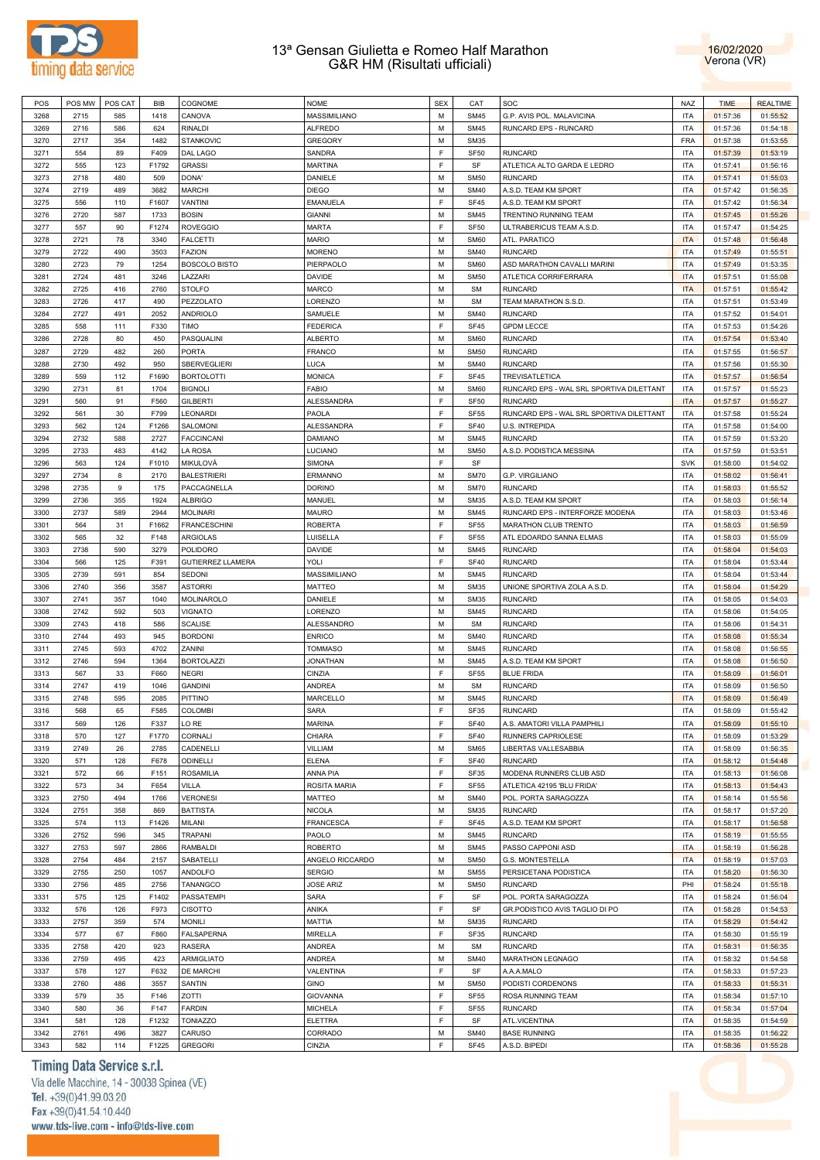



| POS  | POS MW | POS CAT | <b>BIB</b> | COGNOME                  | <b>NOME</b>      | <b>SEX</b> | CAT              | SOC                                      | <b>NAZ</b> | <b>TIME</b> | <b>REALTIME</b> |
|------|--------|---------|------------|--------------------------|------------------|------------|------------------|------------------------------------------|------------|-------------|-----------------|
| 3268 | 2715   | 585     | 1418       | CANOVA                   | MASSIMILIANO     | M          | <b>SM45</b>      | G.P. AVIS POL. MALAVICINA                | <b>ITA</b> | 01:57:36    | 01:55:52        |
| 3269 | 2716   | 586     | 624        | <b>RINALDI</b>           | <b>ALFREDO</b>   | M          | <b>SM45</b>      | RUNCARD EPS - RUNCARD                    | <b>ITA</b> | 01:57:36    | 01:54:18        |
| 3270 | 2717   | 354     | 1482       | <b>STANKOVIC</b>         | <b>GREGORY</b>   | M          | <b>SM35</b>      |                                          | <b>FRA</b> | 01:57:38    | 01:53:55        |
| 3271 | 554    | 89      | F409       | DAL LAGO                 | SANDRA           | F          | SF <sub>50</sub> | <b>RUNCARD</b>                           | <b>ITA</b> | 01:57:39    | 01:53:19        |
| 3272 | 555    | 123     | F1792      | <b>GRASSI</b>            | <b>MARTINA</b>   | E          | SF               | ATLETICA ALTO GARDA E LEDRO              | <b>ITA</b> | 01:57:41    | 01:56:16        |
|      |        |         |            |                          |                  | M          |                  | <b>RUNCARD</b>                           | <b>ITA</b> |             |                 |
| 3273 | 2718   | 480     | 509        | DONA'                    | DANIELE          |            | <b>SM50</b>      |                                          |            | 01:57:41    | 01:55:03        |
| 3274 | 2719   | 489     | 3682       | <b>MARCHI</b>            | <b>DIEGO</b>     | M          | <b>SM40</b>      | A.S.D. TEAM KM SPORT                     | <b>ITA</b> | 01:57:42    | 01:56:35        |
| 3275 | 556    | 110     | F1607      | VANTINI                  | <b>EMANUELA</b>  | F          | <b>SF45</b>      | A.S.D. TEAM KM SPORT                     | <b>ITA</b> | 01:57:42    | 01:56:34        |
| 3276 | 2720   | 587     | 1733       | <b>BOSIN</b>             | <b>GIANNI</b>    | M          | <b>SM45</b>      | TRENTINO RUNNING TEAM                    | <b>ITA</b> | 01:57:45    | 01:55:26        |
| 3277 | 557    | 90      | F1274      | <b>ROVEGGIO</b>          | <b>MARTA</b>     | F          | SF <sub>50</sub> | ULTRABERICUS TEAM A.S.D.                 | <b>ITA</b> | 01:57:47    | 01:54:25        |
| 3278 | 2721   | 78      | 3340       | <b>FALCETTI</b>          | <b>MARIO</b>     | M          | <b>SM60</b>      | ATL. PARATICO                            | <b>ITA</b> | 01:57:48    | 01:56:48        |
| 3279 | 2722   | 490     | 3503       | <b>FAZION</b>            | <b>MORENO</b>    | M          | <b>SM40</b>      | <b>RUNCARD</b>                           | <b>ITA</b> | 01:57:49    | 01:55:51        |
| 3280 | 2723   | 79      | 1254       | <b>BOSCOLO BISTO</b>     | PIERPAOLO        | M          | <b>SM60</b>      | ASD MARATHON CAVALLI MARINI              | <b>ITA</b> | 01:57:49    | 01:53:35        |
| 3281 | 2724   | 481     | 3246       | LAZZARI                  | DAVIDE           | M          | <b>SM50</b>      | ATLETICA CORRIFERRARA                    | <b>ITA</b> | 01:57:51    | 01:55:08        |
| 3282 | 2725   | 416     | 2760       | <b>STOLFO</b>            | MARCO            | M          | <b>SM</b>        | <b>RUNCARD</b>                           | <b>ITA</b> | 01:57:51    | 01:55:42        |
| 3283 | 2726   | 417     | 490        | PEZZOLATO                | LORENZO          | M          | <b>SM</b>        | TEAM MARATHON S.S.D.                     | <b>ITA</b> | 01:57:51    | 01:53:49        |
| 3284 | 2727   | 491     | 2052       | <b>ANDRIOLO</b>          | SAMUELE          | M          | <b>SM40</b>      | <b>RUNCARD</b>                           | <b>ITA</b> | 01:57:52    | 01:54:01        |
| 3285 | 558    | 111     | F330       | <b>TIMO</b>              | <b>FEDERICA</b>  | F          | <b>SF45</b>      | <b>GPDM LECCE</b>                        | <b>ITA</b> | 01:57:53    | 01:54:26        |
| 3286 | 2728   | 80      | 450        | PASQUALINI               | <b>ALBERTO</b>   | M          | <b>SM60</b>      | <b>RUNCARD</b>                           | <b>ITA</b> | 01:57:54    | 01:53:40        |
| 3287 | 2729   | 482     | 260        | <b>PORTA</b>             | <b>FRANCO</b>    | M          | <b>SM50</b>      | <b>RUNCARD</b>                           | <b>ITA</b> | 01:57:55    | 01:56:57        |
|      |        |         |            |                          |                  |            |                  |                                          |            |             |                 |
| 3288 | 2730   | 492     | 950        | SBERVEGLIERI             | LUCA             | M          | <b>SM40</b>      | <b>RUNCARD</b>                           | <b>ITA</b> | 01:57:56    | 01:55:30        |
| 3289 | 559    | 112     | F1690      | <b>BORTOLOTTI</b>        | <b>MONICA</b>    | F          | SF45             | <b>TREVISATLETICA</b>                    | <b>ITA</b> | 01:57:57    | 01:56:54        |
| 3290 | 2731   | 81      | 1704       | <b>BIGNOLI</b>           | FABIO            | M          | <b>SM60</b>      | RUNCARD EPS - WAL SRL SPORTIVA DILETTANT | ITA        | 01:57:57    | 01:55:23        |
| 3291 | 560    | 91      | F560       | <b>GILBERTI</b>          | ALESSANDRA       | F          | SF <sub>50</sub> | <b>RUNCARD</b>                           | <b>ITA</b> | 01:57:57    | 01:55:27        |
| 3292 | 561    | 30      | F799       | LEONARDI                 | PAOLA            | F          | <b>SF55</b>      | RUNCARD EPS - WAL SRL SPORTIVA DILETTANT | <b>ITA</b> | 01:57:58    | 01:55:24        |
| 3293 | 562    | 124     | F1266      | SALOMONI                 | ALESSANDRA       | F          | <b>SF40</b>      | U.S. INTREPIDA                           | <b>ITA</b> | 01:57:58    | 01:54:00        |
| 3294 | 2732   | 588     | 2727       | <b>FACCINCANI</b>        | DAMIANO          | M          | <b>SM45</b>      | <b>RUNCARD</b>                           | <b>ITA</b> | 01:57:59    | 01:53:20        |
| 3295 | 2733   | 483     | 4142       | LA ROSA                  | LUCIANO          | M          | <b>SM50</b>      | A.S.D. PODISTICA MESSINA                 | <b>ITA</b> | 01:57:59    | 01:53:51        |
| 3296 | 563    | 124     | F1010      | MIKULOVÁ                 | SIMONA           | E          | SF               |                                          | <b>SVK</b> | 01:58:00    | 01:54:02        |
| 3297 | 2734   | 8       | 2170       | <b>BALESTRIERI</b>       | <b>ERMANNO</b>   | M          | <b>SM70</b>      | G.P. VIRGILIANO                          | <b>ITA</b> | 01:58:02    | 01:56:41        |
| 3298 | 2735   | 9       | 175        | PACCAGNELLA              | <b>DORINO</b>    | M          | <b>SM70</b>      | <b>RUNCARD</b>                           | <b>ITA</b> | 01:58:03    | 01:55:52        |
| 3299 | 2736   | 355     | 1924       | <b>ALBRIGO</b>           | MANUEL           | M          | <b>SM35</b>      | A.S.D. TEAM KM SPORT                     | <b>ITA</b> | 01:58:03    | 01:56:14        |
| 3300 | 2737   | 589     | 2944       | <b>MOLINARI</b>          | <b>MAURO</b>     | M          | <b>SM45</b>      | RUNCARD EPS - INTERFORZE MODENA          | <b>ITA</b> | 01:58:03    | 01:53:46        |
|      |        |         |            |                          |                  |            |                  |                                          |            |             |                 |
| 3301 | 564    | 31      | F1662      | <b>FRANCESCHINI</b>      | <b>ROBERTA</b>   | F          | <b>SF55</b>      | MARATHON CLUB TRENTO                     | <b>ITA</b> | 01:58:03    | 01:56:59        |
| 3302 | 565    | 32      | F148       | ARGIOLAS                 | LUISELLA         | F          | <b>SF55</b>      | ATL EDOARDO SANNA ELMAS                  | <b>ITA</b> | 01:58:03    | 01:55:09        |
| 3303 | 2738   | 590     | 3279       | <b>POLIDORO</b>          | <b>DAVIDE</b>    | M          | <b>SM45</b>      | <b>RUNCARD</b>                           | <b>ITA</b> | 01:58:04    | 01:54:03        |
| 3304 | 566    | 125     | F391       | <b>GUTIERREZ LLAMERA</b> | YOLI             | F          | <b>SF40</b>      | <b>RUNCARD</b>                           | <b>ITA</b> | 01:58:04    | 01:53:44        |
| 3305 | 2739   | 591     | 854        | SEDONI                   | MASSIMILIANO     | M          | <b>SM45</b>      | <b>RUNCARD</b>                           | <b>ITA</b> | 01:58:04    | 01:53:44        |
| 3306 | 2740   | 356     | 3587       | <b>ASTORRI</b>           | MATTEO           | M          | <b>SM35</b>      | UNIONE SPORTIVA ZOLA A.S.D               | <b>ITA</b> | 01:58:04    | 01:54:29        |
| 3307 | 2741   | 357     | 1040       | MOLINAROLO               | DANIELE          | M          | <b>SM35</b>      | <b>RUNCARD</b>                           | <b>ITA</b> | 01:58:05    | 01:54:03        |
| 3308 | 2742   | 592     | 503        | <b>VIGNATO</b>           | LORENZO          | M          | <b>SM45</b>      | <b>RUNCARD</b>                           | <b>ITA</b> | 01:58:06    | 01:54:05        |
| 3309 | 2743   | 418     | 586        | <b>SCALISE</b>           | ALESSANDRO       | M          | <b>SM</b>        | <b>RUNCARD</b>                           | <b>ITA</b> | 01:58:06    | 01:54:31        |
| 3310 | 2744   | 493     | 945        | <b>BORDONI</b>           | <b>ENRICO</b>    | M          | <b>SM40</b>      | <b>RUNCARD</b>                           | <b>ITA</b> | 01:58:08    | 01:55:34        |
| 3311 | 2745   | 593     | 4702       | ZANINI                   | <b>TOMMASO</b>   | M          | <b>SM45</b>      | <b>RUNCARD</b>                           | <b>ITA</b> | 01:58:08    | 01:56:55        |
| 3312 | 2746   | 594     | 1364       | <b>BORTOLAZZI</b>        | <b>JONATHAN</b>  | M          | <b>SM45</b>      | A.S.D. TEAM KM SPORT                     | <b>ITA</b> | 01:58:08    | 01:56:50        |
| 3313 | 567    | 33      | F660       | <b>NEGRI</b>             | CINZIA           | F          | <b>SF55</b>      | <b>BLUE FRIDA</b>                        | <b>ITA</b> | 01:58:09    | 01:56:01        |
| 3314 | 2747   | 419     | 1046       | <b>GANDINI</b>           | ANDREA           | M          | <b>SM</b>        | <b>RUNCARD</b>                           | <b>ITA</b> | 01:58:09    | 01:56:50        |
|      |        |         |            |                          | MARCELLO         | M          |                  |                                          | <b>ITA</b> |             |                 |
| 3315 | 2748   | 595     | 2085       | PITTINO                  |                  |            | <b>SM45</b>      | <b>RUNCARD</b>                           |            | 01:58:09    | 01:56:49        |
| 3316 | 568    | 65      | F585       | COLOMBI                  | <b>SARA</b>      | F          | <b>SF35</b>      | <b>RUNCARD</b>                           | <b>ITA</b> | 01:58:09    | 01:55:42        |
| 3317 | 569    | 126     | F337       | LO RE                    | <b>MARINA</b>    | F          | <b>SF40</b>      | A.S. AMATORI VILLA PAMPHILI              | <b>ITA</b> | 01:58:09    | 01:55:10        |
| 3318 | 570    | 127     | F1770      | CORNALI                  | CHIARA           | F          | <b>SF40</b>      | RUNNERS CAPRIOLESE                       | <b>ITA</b> | 01:58:09    | 01:53:29        |
| 3319 | 2749   | 26      | 2785       | CADENELLI                | VILLIAM          | M          | <b>SM65</b>      | LIBERTAS VALLESABBIA                     | <b>ITA</b> | 01:58:09    | 01:56:35        |
| 3320 | 571    | 128     | F678       | ODINELLI                 | <b>ELENA</b>     | F          | <b>SF40</b>      | <b>RUNCARD</b>                           | <b>ITA</b> | 01:58:12    | 01:54:48        |
| 3321 | 572    | 66      | F151       | <b>ROSAMILIA</b>         | ANNA PIA         | F          | SF35             | MODENA RUNNERS CLUB ASD                  | <b>ITA</b> | 01:58:13    | 01:56:08        |
| 3322 | 573    | 34      | F654       | <b>VILLA</b>             | ROSITA MARIA     | F          | <b>SF55</b>      | ATLETICA 42195 'BLU FRIDA'               | <b>ITA</b> | 01:58:13    | 01:54:43        |
| 3323 | 2750   | 494     | 1766       | <b>VERONESI</b>          | <b>MATTEO</b>    | M          | <b>SM40</b>      | POL. PORTA SARAGOZZA                     | <b>ITA</b> | 01:58:14    | 01:55:56        |
| 3324 | 2751   | 358     | 869        | <b>BATTISTA</b>          | <b>NICOLA</b>    | M          | <b>SM35</b>      | <b>RUNCARD</b>                           | <b>ITA</b> | 01:58:17    | 01:57:20        |
| 3325 | 574    | 113     | F1426      | MILANI                   | <b>FRANCESCA</b> | F          | <b>SF45</b>      | A.S.D. TEAM KM SPORT                     | <b>ITA</b> | 01:58:17    | 01:56:58        |
| 3326 | 2752   | 596     | 345        | TRAPANI                  | PAOLO            | M          | <b>SM45</b>      | <b>RUNCARD</b>                           | <b>ITA</b> | 01:58:19    | 01:55:55        |
| 3327 | 2753   | 597     | 2866       | <b>RAMBALDI</b>          | <b>ROBERTO</b>   | M          | <b>SM45</b>      | PASSO CAPPONI ASD                        | <b>ITA</b> | 01:58:19    | 01:56:28        |
| 3328 | 2754   | 484     | 2157       | SABATELLI                | ANGELO RICCARDO  | M          | <b>SM50</b>      | G.S. MONTESTELLA                         | <b>ITA</b> | 01:58:19    | 01:57:03        |
|      |        |         |            | ANDOLFO                  |                  | M          |                  | PERSICETANA PODISTICA                    | <b>ITA</b> |             |                 |
| 3329 | 2755   | 250     | 1057       |                          | <b>SERGIO</b>    |            | <b>SM55</b>      |                                          |            | 01:58:20    | 01:56:30        |
| 3330 | 2756   | 485     | 2756       | TANANGCO                 | <b>JOSE ARIZ</b> | M          | <b>SM50</b>      | <b>RUNCARD</b>                           | PHI        | 01:58:24    | 01:55:18        |
| 3331 | 575    | 125     | F1402      | PASSATEMPI               | <b>SARA</b>      | F          | SF               | POL. PORTA SARAGOZZA                     | <b>ITA</b> | 01:58:24    | 01:56:04        |
| 3332 | 576    | 126     | F973       | <b>CISOTTO</b>           | ANIKA            | F          | SF               | GR.PODISTICO AVIS TAGLIO DI PO           | <b>ITA</b> | 01:58:28    | 01:54:53        |
| 3333 | 2757   | 359     | 574        | <b>MONILI</b>            | MATTIA           | M          | <b>SM35</b>      | <b>RUNCARD</b>                           | <b>ITA</b> | 01:58:29    | 01:54:42        |
| 3334 | 577    | 67      | F860       | <b>FALSAPERNA</b>        | <b>MIRELLA</b>   | F          | SF35             | <b>RUNCARD</b>                           | <b>ITA</b> | 01:58:30    | 01:55:19        |
| 3335 | 2758   | 420     | 923        | <b>RASERA</b>            | <b>ANDREA</b>    | M          | <b>SM</b>        | <b>RUNCARD</b>                           | <b>ITA</b> | 01:58:31    | 01:56:35        |
| 3336 | 2759   | 495     | 423        | <b>ARMIGLIATO</b>        | <b>ANDREA</b>    | M          | <b>SM40</b>      | MARATHON LEGNAGO                         | <b>ITA</b> | 01:58:32    | 01:54:58        |
| 3337 | 578    | 127     | F632       | DE MARCHI                | VALENTINA        | F          | SF               | A.A.A.MALO                               | <b>ITA</b> | 01:58:33    | 01:57:23        |
| 3338 | 2760   | 486     | 3557       | SANTIN                   | <b>GINO</b>      | M          | <b>SM50</b>      | PODISTI CORDENONS                        | <b>ITA</b> | 01:58:33    | 01:55:31        |
| 3339 | 579    | 35      | F146       | ZOTTI                    | <b>GIOVANNA</b>  | F          | <b>SF55</b>      | ROSA RUNNING TEAM                        | <b>ITA</b> | 01:58:34    | 01:57:10        |
| 3340 | 580    | 36      | F147       | <b>FARDIN</b>            | <b>MICHELA</b>   | F          | <b>SF55</b>      | <b>RUNCARD</b>                           | <b>ITA</b> | 01:58:34    | 01:57:04        |
| 3341 | 581    |         |            | <b>TONIAZZO</b>          | <b>ELETTRA</b>   | F          |                  | ATL.VICENTINA                            | <b>ITA</b> |             |                 |
|      |        | 128     | F1232      |                          |                  |            | SF               |                                          |            | 01:58:35    | 01:54:59        |
| 3342 | 2761   | 496     | 3827       | CARUSO                   | CORRADO          | M          | <b>SM40</b>      | <b>BASE RUNNING</b>                      | <b>ITA</b> | 01:58:35    | 01:56:22        |
| 3343 | 582    | 114     | F1225      | <b>GREGORI</b>           | CINZIA           | F          | SF45             | A.S.D. BIPEDI                            | <b>ITA</b> | 01:58:36    | 01:55:28        |

# Timing Data Service s.r.l.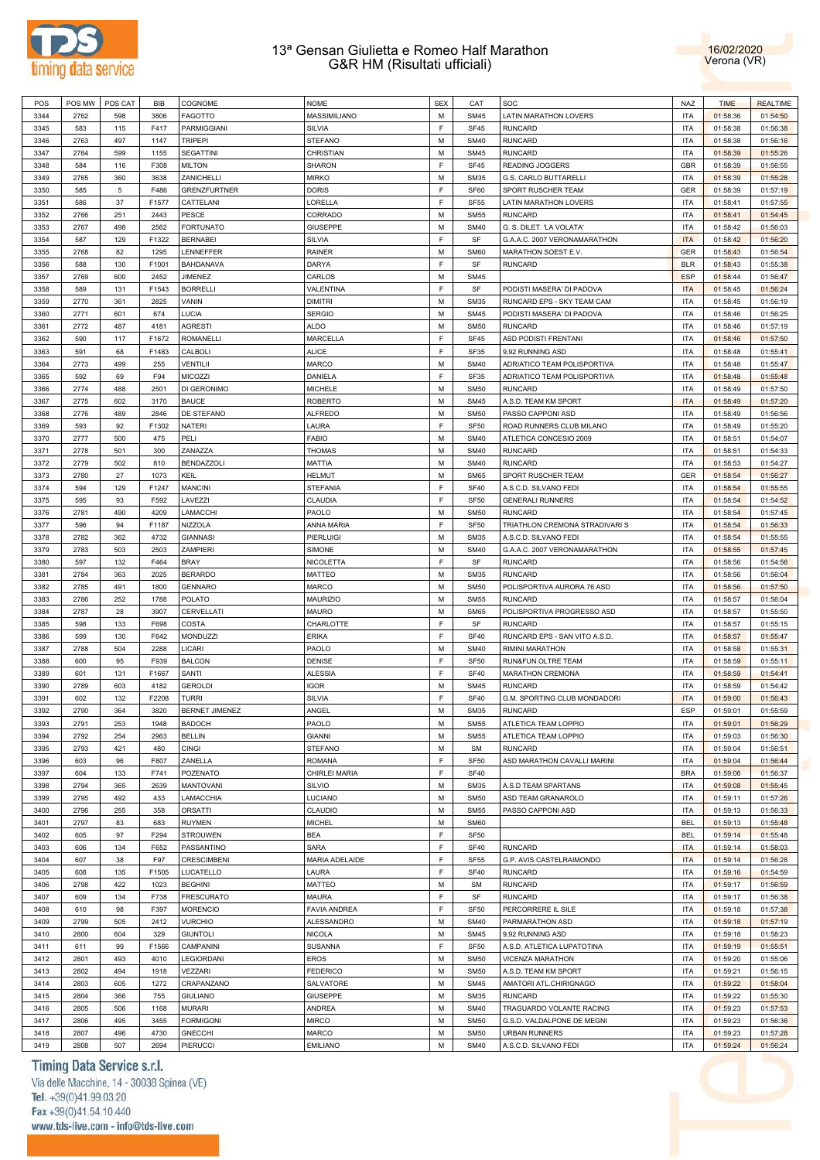



| POS  | POS MW | POS CAT | BIB   | COGNOME             | <b>NOME</b>         | <b>SEX</b> | CAT              | SOC                            | <b>NAZ</b> | <b>TIME</b> | <b>REALTIME</b> |
|------|--------|---------|-------|---------------------|---------------------|------------|------------------|--------------------------------|------------|-------------|-----------------|
| 3344 | 2762   | 598     | 3806  | <b>FAGOTTO</b>      | MASSIMILIANO        | M          | <b>SM45</b>      | <b>LATIN MARATHON LOVERS</b>   | ITA        | 01:58:36    | 01:54:50        |
|      |        |         |       |                     |                     |            |                  |                                |            |             |                 |
| 3345 | 583    | 115     | F417  | PARMIGGIANI         | SILVIA              | E          | <b>SF45</b>      | <b>RUNCARD</b>                 | <b>ITA</b> | 01:58:38    | 01:56:38        |
| 3346 | 2763   | 497     | 1147  | <b>TRIPEPI</b>      | <b>STEFANO</b>      | M          | <b>SM40</b>      | <b>RUNCARD</b>                 | <b>ITA</b> | 01:58:38    | 01:56:16        |
| 3347 | 2764   | 599     | 1155  | <b>SEGATTINI</b>    | <b>CHRISTIAN</b>    | M          | <b>SM45</b>      | <b>RUNCARD</b>                 | <b>ITA</b> | 01:58:39    | 01:55:26        |
| 3348 | 584    | 116     | F308  | <b>MILTON</b>       | <b>SHARON</b>       | E          | <b>SF45</b>      | <b>READING JOGGERS</b>         | GBR        | 01:58:39    | 01:56:55        |
| 3349 | 2765   | 360     | 3638  | ZANICHELLI          | <b>MIRKO</b>        | M          | <b>SM35</b>      | G.S. CARLO BUTTARELLI          | <b>ITA</b> | 01:58:39    | 01:55:28        |
|      |        |         |       |                     |                     |            |                  |                                |            |             |                 |
| 3350 | 585    | 5       | F486  | <b>GRENZFURTNER</b> | <b>DORIS</b>        | F          | SF60             | SPORT RUSCHER TEAM             | <b>GER</b> | 01:58:39    | 01:57:19        |
| 3351 | 586    | 37      | F1577 | CATTELANI           | LORELLA             | E          | <b>SF55</b>      | LATIN MARATHON LOVERS          | <b>ITA</b> | 01:58:41    | 01:57:55        |
| 3352 | 2766   | 251     | 2443  | PESCE               | CORRADO             | M          | <b>SM55</b>      | <b>RUNCARD</b>                 | ITA        | 01:58:41    | 01:54:45        |
| 3353 | 2767   | 498     | 2562  | <b>FORTUNATO</b>    | <b>GIUSEPPE</b>     | М          | <b>SM40</b>      | G. S. DILET. 'LA VOLATA'       | <b>ITA</b> | 01:58:42    | 01:56:03        |
|      | 587    |         |       | <b>BERNABEI</b>     |                     | E          | SF               | G.A.A.C. 2007 VERONAMARATHON   | <b>ITA</b> | 01:58:42    |                 |
| 3354 |        | 129     | F1322 |                     | SILVIA              |            |                  |                                |            |             | 01:56:20        |
| 3355 | 2768   | 82      | 1295  | LENNEFFER           | RAINER              | M          | <b>SM60</b>      | MARATHON SOEST E.V.            | <b>GER</b> | 01:58:43    | 01:56:54        |
| 3356 | 588    | 130     | F1001 | BAHDANAVA           | <b>DARYA</b>        | E          | SF               | <b>RUNCARD</b>                 | <b>BLR</b> | 01:58:43    | 01:55:38        |
| 3357 | 2769   | 600     | 2452  | <b>JIMENEZ</b>      | CARLOS              | M          | <b>SM45</b>      |                                | <b>ESP</b> | 01:58:44    | 01:56:47        |
| 3358 | 589    | 131     | F1543 | <b>BORRELLI</b>     | VALENTINA           | E          | SF               | PODISTI MASERA' DI PADOVA      | <b>ITA</b> | 01:58:45    | 01:56:24        |
| 3359 | 2770   | 361     | 2825  | VANIN               | <b>DIMITRI</b>      | M          | <b>SM35</b>      | RUNCARD EPS - SKY TEAM CAM     | <b>ITA</b> | 01:58:45    | 01:56:19        |
|      |        |         |       |                     |                     |            |                  |                                |            |             |                 |
| 3360 | 2771   | 601     | 674   | LUCIA               | <b>SERGIO</b>       | M          | <b>SM45</b>      | PODISTI MASERA' DI PADOVA      | <b>ITA</b> | 01:58:46    | 01:56:25        |
| 3361 | 2772   | 487     | 4181  | <b>AGRESTI</b>      | <b>ALDO</b>         | M          | <b>SM50</b>      | <b>RUNCARD</b>                 | <b>ITA</b> | 01:58:46    | 01:57:19        |
| 3362 | 590    | 117     | F1672 | <b>ROMANELLI</b>    | <b>MARCELLA</b>     | F          | <b>SF45</b>      | ASD PODISTI FRENTANI           | <b>ITA</b> | 01:58:46    | 01:57:50        |
| 3363 | 591    | 68      | F1483 | CALBOLI             | <b>ALICE</b>        | F          | <b>SF35</b>      | 9,92 RUNNING ASD               | ITA        | 01:58:48    | 01:55:41        |
|      |        |         |       |                     |                     | M          |                  |                                |            |             |                 |
| 3364 | 2773   | 499     | 255   | VENTILII            | <b>MARCO</b>        |            | <b>SM40</b>      | ADRIATICO TEAM POLISPORTIVA    | <b>ITA</b> | 01:58:48    | 01:55:47        |
| 3365 | 592    | 69      | F94   | <b>MICOZZI</b>      | DANIELA             | F          | <b>SF35</b>      | ADRIATICO TEAM POLISPORTIVA    | <b>ITA</b> | 01:58:48    | 01:55:48        |
| 3366 | 2774   | 488     | 2501  | DI GERONIMO         | <b>MICHELE</b>      | M          | <b>SM50</b>      | <b>RUNCARD</b>                 | <b>ITA</b> | 01:58:49    | 01:57:50        |
| 3367 | 2775   | 602     | 3170  | <b>BAUCE</b>        | <b>ROBERTO</b>      | M          | <b>SM45</b>      | A.S.D. TEAM KM SPORT           | <b>ITA</b> | 01:58:49    | 01:57:20        |
| 3368 | 2776   | 489     | 2846  | DE STEFANO          | <b>ALFREDO</b>      | M          | <b>SM50</b>      | PASSO CAPPONI ASD              | <b>ITA</b> | 01:58:49    | 01:56:56        |
|      |        |         |       |                     |                     | E          |                  |                                |            |             |                 |
| 3369 | 593    | 92      | F1302 | <b>NATERI</b>       | LAURA               |            | <b>SF50</b>      | ROAD RUNNERS CLUB MILANO       | <b>ITA</b> | 01:58:49    | 01:55:20        |
| 3370 | 2777   | 500     | 475   | PELI                | <b>FABIO</b>        | M          | <b>SM40</b>      | ATLETICA CONCESIO 2009         | <b>ITA</b> | 01:58:51    | 01:54:07        |
| 3371 | 2778   | 501     | 300   | ZANAZZA             | <b>THOMAS</b>       | M          | <b>SM40</b>      | <b>RUNCARD</b>                 | <b>ITA</b> | 01:58:51    | 01:54:33        |
| 3372 | 2779   | 502     | 810   | <b>BENDAZZOLI</b>   | MATTIA              | M          | <b>SM40</b>      | <b>RUNCARD</b>                 | <b>ITA</b> | 01:58:53    | 01:54:27        |
| 3373 | 2780   | 27      | 1073  | KEIL                | <b>HELMUT</b>       | M          | <b>SM65</b>      | SPORT RUSCHER TEAM             | GER        | 01:58:54    | 01:56:27        |
|      |        |         |       |                     |                     |            |                  |                                |            |             |                 |
| 3374 | 594    | 129     | F1247 | <b>MANCINI</b>      | <b>STEFANIA</b>     | E          | <b>SF40</b>      | A.S.C.D. SILVANO FEDI          | <b>ITA</b> | 01:58:54    | 01:55:55        |
| 3375 | 595    | 93      | F592  | LAVEZZI             | <b>CLAUDIA</b>      | E          | <b>SF50</b>      | <b>GENERALI RUNNERS</b>        | <b>ITA</b> | 01:58:54    | 01:54:52        |
| 3376 | 2781   | 490     | 4209  | LAMACCHI            | PAOLO               | M          | <b>SM50</b>      | <b>RUNCARD</b>                 | ITA        | 01:58:54    | 01:57:45        |
| 3377 | 596    | 94      | F1187 | <b>NIZZOLA</b>      | ANNA MARIA          | F          | <b>SF50</b>      | TRIATHLON CREMONA STRADIVARI S | <b>ITA</b> | 01:58:54    | 01:56:33        |
| 3378 | 2782   | 362     | 4732  | <b>GIANNASI</b>     | PIERLUIGI           | M          | <b>SM35</b>      | A.S.C.D. SILVANO FEDI          | <b>ITA</b> | 01:58:54    | 01:55:55        |
|      |        |         |       |                     |                     |            |                  |                                |            |             |                 |
| 3379 | 2783   | 503     | 2503  | <b>ZAMPIERI</b>     | SIMONE              | M          | <b>SM40</b>      | G.A.A.C. 2007 VERONAMARATHON   | <b>ITA</b> | 01:58:55    | 01:57:45        |
| 3380 | 597    | 132     | F464  | <b>BRAY</b>         | <b>NICOLETTA</b>    | E          | SF               | <b>RUNCARD</b>                 | ITA        | 01:58:56    | 01:54:56        |
| 3381 | 2784   | 363     | 2025  | <b>BERARDO</b>      | <b>MATTEO</b>       | M          | <b>SM35</b>      | <b>RUNCARD</b>                 | <b>ITA</b> | 01:58:56    | 01:56:04        |
| 3382 | 2785   | 491     | 1800  | <b>GENNARO</b>      | <b>MARCO</b>        | M          | <b>SM50</b>      | POLISPORTIVA AURORA 76 ASD     | <b>ITA</b> | 01:58:56    | 01:57:50        |
| 3383 | 2786   | 252     | 1788  | <b>POLATO</b>       | <b>MAURIZIO</b>     | M          | <b>SM55</b>      | <b>RUNCARD</b>                 | <b>ITA</b> | 01:58:57    | 01:56:04        |
|      |        |         |       |                     |                     | M          |                  | POLISPORTIVA PROGRESSO ASD     | <b>ITA</b> |             |                 |
| 3384 | 2787   | 28      | 3907  | CERVELLATI          | <b>MAURO</b>        |            | <b>SM65</b>      |                                |            | 01:58:57    | 01:55:50        |
| 3385 | 598    | 133     | F698  | COSTA               | CHARLOTTE           | E          | SF               | <b>RUNCARD</b>                 | <b>ITA</b> | 01:58:57    | 01:55:15        |
| 3386 | 599    | 130     | F642  | <b>MONDUZZI</b>     | <b>ERIKA</b>        | E          | <b>SF40</b>      | RUNCARD EPS - SAN VITO A.S.D.  | <b>ITA</b> | 01:58:57    | 01:55:47        |
| 3387 | 2788   | 504     | 2288  | LICARI              | PAOLO               | M          | <b>SM40</b>      | RIMINI MARATHON                | ITA        | 01:58:58    | 01:55:31        |
| 3388 | 600    | 95      | F939  | <b>BALCON</b>       | <b>DENISE</b>       | F          | <b>SF50</b>      | RUN&FUN OLTRE TEAM             | ITA        | 01:58:59    | 01:55:11        |
| 3389 | 601    |         | F1667 | SANTI               |                     | F          | <b>SF40</b>      |                                | ITA        |             | 01:54:41        |
|      |        | 131     |       |                     | <b>ALESSIA</b>      |            |                  | MARATHON CREMONA               |            | 01:58:59    |                 |
| 3390 | 2789   | 603     | 4182  | <b>GEROLDI</b>      | <b>IGOR</b>         | M          | <b>SM45</b>      | <b>RUNCARD</b>                 | <b>ITA</b> | 01:58:59    | 01:54:42        |
| 3391 | 602    | 132     | F2208 | <b>TURRI</b>        | SILVIA              | E          | <b>SF40</b>      | G.M. SPORTING CLUB MONDADORI   | <b>ITA</b> | 01:59:00    | 01:56:43        |
| 3392 | 2790   | 364     | 3820  | BERNET JIMENEZ      | ANGEL               | M          | <b>SM35</b>      | <b>RUNCARD</b>                 | <b>ESP</b> | 01:59:01    | 01:55:59        |
| 3393 | 2791   | 253     | 1948  | <b>BADOCH</b>       | PAOLO               | M          | <b>SM55</b>      | ATLETICA TEAM LOPPIO           | ITA        | 01:59:01    | 01:56:29        |
|      |        |         |       |                     |                     | M          |                  | ATLETICA TEAM LOPPIO           |            |             |                 |
| 3394 | 2792   | 254     | 2963  | <b>BELLIN</b>       | GIANNI              |            | <b>SM55</b>      |                                | ITA        | 01:59:03    | 01:56:30        |
| 3395 | 2793   | 421     | 480   | <b>CINGI</b>        | <b>STEFANO</b>      | M          | <b>SM</b>        | <b>RUNCARD</b>                 | <b>ITA</b> | 01:59:04    | 01:56:51        |
| 3396 | 603    | 96      | F807  | ZANELLA             | <b>ROMANA</b>       | E          | <b>SF50</b>      | ASD MARATHON CAVALLI MARINI    | ITA        | 01:59:04    | 01:56:44        |
| 3397 | 604    | 133     | F741  | POZENATO            | CHIRLEI MARIA       | E          | <b>SF40</b>      |                                | <b>BRA</b> | 01:59:06    | 01:56:37        |
| 3398 | 2794   | 365     | 2639  | <b>MANTOVANI</b>    | SILVIO              | M          | <b>SM35</b>      | A.S.D TEAM SPARTANS            | ITA        | 01:59:08    | 01:55:45        |
| 3399 | 2795   |         |       |                     | <b>LUCIANO</b>      | M          | <b>SM50</b>      |                                | ITA        |             | 01:57:26        |
|      |        | 492     | 433   | LAMACCHIA           |                     |            |                  | ASD TEAM GRANAROLO             |            | 01:59:11    |                 |
| 3400 | 2796   | 255     | 358   | <b>ORSATTI</b>      | CLAUDIO             | M          | <b>SM55</b>      | PASSO CAPPONI ASD              | ITA        | 01:59:13    | 01:56:33        |
| 3401 | 2797   | 83      | 683   | <b>RUYMEN</b>       | <b>MICHEL</b>       | M          | <b>SM60</b>      |                                | <b>BEL</b> | 01:59:13    | 01:55:48        |
| 3402 | 605    | 97      | F294  | <b>STROUWEN</b>     | <b>BEA</b>          | F          | SF <sub>50</sub> |                                | <b>BEL</b> | 01:59:14    | 01:55:48        |
| 3403 | 606    | 134     | F652  | PASSANTINO          | SARA                | E          | <b>SF40</b>      | <b>RUNCARD</b>                 | <b>ITA</b> | 01:59:14    | 01:58:03        |
|      |        |         |       |                     |                     | F          |                  |                                |            |             |                 |
| 3404 | 607    | 38      | F97   | <b>CRESCIMBENI</b>  | MARIA ADELAIDE      |            | <b>SF55</b>      | G.P. AVIS CASTELRAIMONDO       | <b>ITA</b> | 01:59:14    | 01:56:28        |
| 3405 | 608    | 135     | F1505 | LUCATELLO           | LAURA               | E          | <b>SF40</b>      | <b>RUNCARD</b>                 | ITA        | 01:59:16    | 01:54:59        |
| 3406 | 2798   | 422     | 1023  | <b>BEGHINI</b>      | MATTEO              | M          | <b>SM</b>        | <b>RUNCARD</b>                 | ITA        | 01:59:17    | 01:56:59        |
| 3407 | 609    | 134     | F738  | <b>FRESCURATO</b>   | <b>MAURA</b>        | F          | SF               | <b>RUNCARD</b>                 | <b>ITA</b> | 01:59:17    | 01:56:38        |
| 3408 | 610    | 98      | F397  | <b>MORENCIO</b>     | <b>FAVIA ANDREA</b> | F          | <b>SF50</b>      | PERCORRERE IL SILE             | ITA        | 01:59:18    | 01:57:38        |
|      |        |         |       |                     |                     |            |                  |                                |            |             |                 |
| 3409 | 2799   | 505     | 2412  | <b>VURCHIO</b>      | ALESSANDRO          | M          | <b>SM40</b>      | PARMARATHON ASD                | <b>ITA</b> | 01:59:18    | 01:57:19        |
| 3410 | 2800   | 604     | 329   | <b>GIUNTOLI</b>     | <b>NICOLA</b>       | M          | <b>SM45</b>      | 9,92 RUNNING ASD               | ITA        | 01:59:18    | 01:58:23        |
| 3411 | 611    | 99      | F1566 | CAMPANINI           | SUSANNA             | E          | <b>SF50</b>      | A.S.D. ATLETICA LUPATOTINA     | ITA        | 01:59:19    | 01:55:51        |
| 3412 | 2801   | 493     | 4010  | LEGIORDANI          | <b>EROS</b>         | M          | <b>SM50</b>      | VICENZA MARATHON               | ITA        | 01:59:20    | 01:55:06        |
| 3413 | 2802   | 494     | 1918  | VEZZARI             | <b>FEDERICO</b>     | M          | <b>SM50</b>      | A.S.D. TEAM KM SPORT           | ITA        | 01:59:21    | 01:56:15        |
|      |        |         |       |                     |                     |            |                  |                                |            |             |                 |
| 3414 | 2803   | 605     | 1272  | CRAPANZANO          | SALVATORE           | M          | <b>SM45</b>      | AMATORI ATL.CHIRIGNAGO         | ITA        | 01:59:22    | 01:58:04        |
| 3415 | 2804   | 366     | 755   | <b>GIULIANO</b>     | <b>GIUSEPPE</b>     | M          | <b>SM35</b>      | <b>RUNCARD</b>                 | ITA        | 01:59:22    | 01:55:30        |
| 3416 | 2805   | 506     | 1168  | <b>MURARI</b>       | <b>ANDREA</b>       | M          | <b>SM40</b>      | TRAGUARDO VOLANTE RACING       | ITA        | 01:59:23    | 01:57:53        |
| 3417 | 2806   | 495     | 3455  | <b>FORMIGONI</b>    | <b>MIRCO</b>        | M          | <b>SM50</b>      | G.S.D. VALDALPONE DE MEGNI     | ITA        | 01:59:23    | 01:56:36        |
| 3418 | 2807   | 496     | 4730  | <b>GNECCHI</b>      | <b>MARCO</b>        | M          | <b>SM50</b>      | <b>URBAN RUNNERS</b>           | <b>ITA</b> | 01:59:23    | 01:57:28        |
|      |        |         |       |                     |                     |            |                  |                                |            |             |                 |
| 3419 | 2808   | 507     | 2694  | PIERUCCI            | <b>EMILIANO</b>     | М          | <b>SM40</b>      | A.S.C.D. SILVANO FEDI          | <b>ITA</b> | 01:59:24    | 01:56:24        |

# Timing Data Service s.r.l.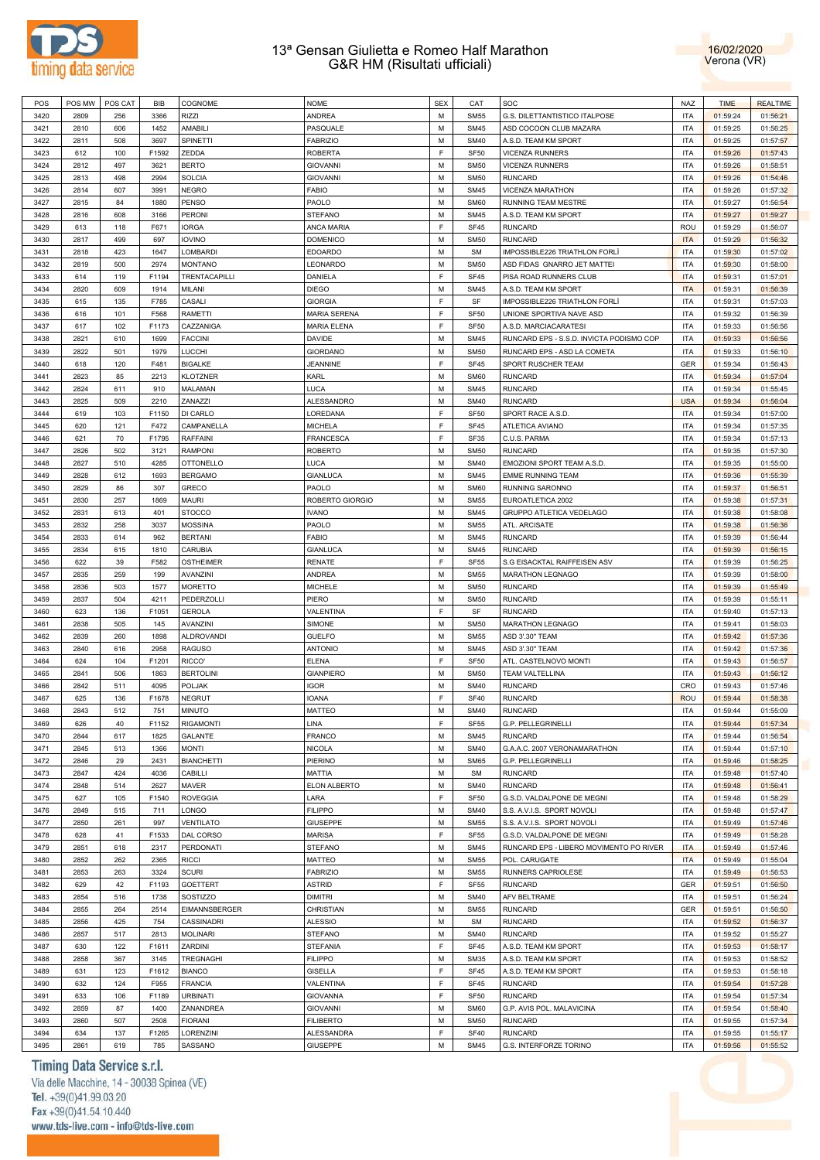



| POS  | POS MW | POS CAT | BIB   | COGNOME           | <b>NOME</b>         | <b>SEX</b>  | CAT              | SOC                                      | <b>NAZ</b> | <b>TIME</b> | <b>REALTIME</b> |
|------|--------|---------|-------|-------------------|---------------------|-------------|------------------|------------------------------------------|------------|-------------|-----------------|
| 3420 | 2809   | 256     | 3366  | <b>RIZZI</b>      | ANDREA              | M           | <b>SM55</b>      | G.S. DILETTANTISTICO ITALPOSE            | <b>ITA</b> | 01:59:24    | 01:56:21        |
| 3421 | 2810   | 606     | 1452  | AMABILI           | PASQUALE            | M           | <b>SM45</b>      | ASD COCOON CLUB MAZARA                   | <b>ITA</b> | 01:59:25    | 01:56:25        |
| 3422 | 2811   | 508     | 3697  | SPINETTI          | <b>FABRIZIO</b>     | M           | <b>SM40</b>      | A.S.D. TEAM KM SPORT                     | <b>ITA</b> | 01:59:25    | 01:57:57        |
| 3423 | 612    | 100     | F1592 | ZEDDA             | <b>ROBERTA</b>      | $\mathsf F$ | <b>SF50</b>      | <b>VICENZA RUNNERS</b>                   | <b>ITA</b> | 01:59:26    | 01:57:43        |
|      |        |         |       |                   |                     |             |                  |                                          |            |             |                 |
| 3424 | 2812   | 497     | 3621  | <b>BERTO</b>      | <b>GIOVANNI</b>     | M           | <b>SM50</b>      | <b>VICENZA RUNNERS</b>                   | <b>ITA</b> | 01:59:26    | 01:58:51        |
| 3425 | 2813   | 498     | 2994  | <b>SOLCIA</b>     | <b>GIOVANNI</b>     | M           | <b>SM50</b>      | RUNCARD                                  | <b>ITA</b> | 01:59:26    | 01:54:46        |
| 3426 | 2814   | 607     | 3991  | <b>NEGRO</b>      | <b>FABIO</b>        | M           | <b>SM45</b>      | VICENZA MARATHON                         | <b>ITA</b> | 01:59:26    | 01:57:32        |
| 3427 | 2815   | 84      | 1880  | PENSO             | PAOLO               | M           | <b>SM60</b>      | RUNNING TEAM MESTRE                      | <b>ITA</b> | 01:59:27    | 01:56:54        |
| 3428 | 2816   | 608     | 3166  | <b>PERONI</b>     | <b>STEFANO</b>      | M           | <b>SM45</b>      | A.S.D. TEAM KM SPORT                     | <b>ITA</b> | 01:59:27    | 01:59:27        |
| 3429 | 613    | 118     | F671  | <b>IORGA</b>      | ANCA MARIA          | F           | <b>SF45</b>      | <b>RUNCARD</b>                           | ROU        | 01:59:29    | 01:56:07        |
| 3430 | 2817   | 499     | 697   | <b>IOVINO</b>     | <b>DOMENICO</b>     | M           | <b>SM50</b>      | <b>RUNCARD</b>                           | <b>ITA</b> | 01:59:29    | 01:56:32        |
| 3431 | 2818   | 423     | 1647  | <b>LOMBARDI</b>   | <b>EDOARDO</b>      | M           | <b>SM</b>        | IMPOSSIBLE226 TRIATHLON FORLI            | <b>ITA</b> | 01:59:30    | 01:57:02        |
| 3432 | 2819   | 500     | 2974  | <b>MONTANO</b>    | LEONARDO            | M           | <b>SM50</b>      | ASD FIDAS GNARRO JET MATTEI              | <b>ITA</b> | 01:59:30    | 01:58:00        |
|      |        |         | F1194 |                   |                     | F           | <b>SF45</b>      | PISA ROAD RUNNERS CLUB                   |            |             |                 |
| 3433 | 614    | 119     |       | TRENTACAPILLI     | DANIELA             |             |                  |                                          | <b>ITA</b> | 01:59:31    | 01:57:01        |
| 3434 | 2820   | 609     | 1914  | MILANI            | <b>DIEGO</b>        | M           | <b>SM45</b>      | A.S.D. TEAM KM SPORT                     | <b>ITA</b> | 01:59:31    | 01:56:39        |
| 3435 | 615    | 135     | F785  | CASALI            | <b>GIORGIA</b>      | F           | SF               | IMPOSSIBLE226 TRIATHLON FORLI            | <b>ITA</b> | 01:59:31    | 01:57:03        |
| 3436 | 616    | 101     | F568  | RAMETTI           | <b>MARIA SERENA</b> | F           | <b>SF50</b>      | UNIONE SPORTIVA NAVE ASD                 | <b>ITA</b> | 01:59:32    | 01:56:39        |
| 3437 | 617    | 102     | F1173 | CAZZANIGA         | <b>MARIA ELENA</b>  | F           | <b>SF50</b>      | A.S.D. MARCIACARATESI                    | <b>ITA</b> | 01:59:33    | 01:56:56        |
| 3438 | 2821   | 610     | 1699  | <b>FACCINI</b>    | DAVIDE              | M           | <b>SM45</b>      | RUNCARD EPS - S.S.D. INVICTA PODISMO COP | <b>ITA</b> | 01:59:33    | 01:56:56        |
| 3439 | 2822   | 501     | 1979  | LUCCHI            | <b>GIORDANO</b>     | M           | <b>SM50</b>      | RUNCARD EPS - ASD LA COMETA              | <b>ITA</b> | 01:59:33    | 01:56:10        |
| 3440 | 618    | 120     | F481  | <b>BIGALKE</b>    | <b>JEANNINE</b>     | F           | SF45             | SPORT RUSCHER TEAM                       | GER        | 01:59:34    | 01:56:43        |
| 3441 | 2823   | 85      | 2213  | <b>KLOTZNER</b>   | KARL                | M           | <b>SM60</b>      | <b>RUNCARD</b>                           | <b>ITA</b> | 01:59:34    | 01:57:04        |
|      |        |         | 910   |                   | LUCA                | M           | <b>SM45</b>      |                                          | <b>ITA</b> |             |                 |
| 3442 | 2824   | 611     |       | MALAMAN           |                     |             |                  | <b>RUNCARD</b>                           |            | 01:59:34    | 01:55:45        |
| 3443 | 2825   | 509     | 2210  | ZANAZZI           | ALESSANDRO          | M           | <b>SM40</b>      | <b>RUNCARD</b>                           | <b>USA</b> | 01:59:34    | 01:56:04        |
| 3444 | 619    | 103     | F1150 | DI CARLO          | LOREDANA            | F           | SF <sub>50</sub> | SPORT RACE A.S.D.                        | <b>ITA</b> | 01:59:34    | 01:57:00        |
| 3445 | 620    | 121     | F472  | CAMPANELLA        | <b>MICHELA</b>      | F           | <b>SF45</b>      | ATLETICA AVIANO                          | <b>ITA</b> | 01:59:34    | 01:57:35        |
| 3446 | 621    | 70      | F1795 | <b>RAFFAINI</b>   | <b>FRANCESCA</b>    | F           | SF35             | C.U.S. PARMA                             | <b>ITA</b> | 01:59:34    | 01:57:13        |
| 3447 | 2826   | 502     | 3121  | <b>RAMPONI</b>    | <b>ROBERTO</b>      | M           | <b>SM50</b>      | <b>RUNCARD</b>                           | <b>ITA</b> | 01:59:35    | 01:57:30        |
| 3448 | 2827   | 510     | 4285  | <b>OTTONELLO</b>  | LUCA                | M           | <b>SM40</b>      | EMOZIONI SPORT TEAM A.S.D.               | <b>ITA</b> | 01:59:35    | 01:55:00        |
| 3449 | 2828   | 612     | 1693  | <b>BERGAMO</b>    | <b>GIANLUCA</b>     | M           | <b>SM45</b>      | <b>EMME RUNNING TEAM</b>                 | <b>ITA</b> | 01:59:36    | 01:55:39        |
| 3450 | 2829   | 86      | 307   | GRECO             | PAOLO               | M           | <b>SM60</b>      | RUNNING SARONNO                          | <b>ITA</b> | 01:59:37    | 01:56:51        |
| 3451 | 2830   | 257     | 1869  | <b>MAURI</b>      | ROBERTO GIORGIO     | M           | <b>SM55</b>      | EUROATLETICA 2002                        | <b>ITA</b> | 01:59:38    | 01:57:31        |
|      |        |         |       |                   |                     |             |                  |                                          |            |             |                 |
| 3452 | 2831   | 613     | 401   | <b>STOCCO</b>     | <b>IVANO</b>        | M           | <b>SM45</b>      | GRUPPO ATLETICA VEDELAGO                 | <b>ITA</b> | 01:59:38    | 01:58:08        |
| 3453 | 2832   | 258     | 3037  | <b>MOSSINA</b>    | PAOLO               | M           | <b>SM55</b>      | ATL. ARCISATE                            | <b>ITA</b> | 01:59:38    | 01:56:36        |
| 3454 | 2833   | 614     | 962   | <b>BERTANI</b>    | <b>FABIO</b>        | M           | <b>SM45</b>      | <b>RUNCARD</b>                           | <b>ITA</b> | 01:59:39    | 01:56:44        |
| 3455 | 2834   | 615     | 1810  | <b>CARUBIA</b>    | GIANLUCA            | M           | <b>SM45</b>      | <b>RUNCARD</b>                           | <b>ITA</b> | 01:59:39    | 01:56:15        |
| 3456 | 622    | 39      | F582  | <b>OSTHEIMER</b>  | <b>RENATE</b>       | $\mathsf F$ | <b>SF55</b>      | S.G EISACKTAL RAIFFEISEN ASV             | <b>ITA</b> | 01:59:39    | 01:56:25        |
| 3457 | 2835   | 259     | 199   | AVANZINI          | ANDREA              | M           | <b>SM55</b>      | MARATHON LEGNAGO                         | <b>ITA</b> | 01:59:39    | 01:58:00        |
| 3458 | 2836   | 503     | 1577  | <b>MORETTO</b>    | MICHELE             | M           | <b>SM50</b>      | <b>RUNCARD</b>                           | <b>ITA</b> | 01:59:39    | 01:55:49        |
| 3459 | 2837   | 504     | 4211  | PEDERZOLLI        | PIERO               | M           | <b>SM50</b>      | <b>RUNCARD</b>                           | <b>ITA</b> | 01:59:39    | 01:55:11        |
| 3460 | 623    | 136     | F1051 | <b>GEROLA</b>     | VALENTINA           | F           | SF               | <b>RUNCARD</b>                           | <b>ITA</b> | 01:59:40    | 01:57:13        |
|      | 2838   | 505     |       | AVANZINI          |                     | M           | <b>SM50</b>      |                                          | <b>ITA</b> |             |                 |
| 3461 |        |         | 145   |                   | SIMONE              |             |                  | MARATHON LEGNAGO                         |            | 01:59:41    | 01:58:03        |
| 3462 | 2839   | 260     | 1898  | <b>ALDROVANDI</b> | <b>GUELFO</b>       | M           | <b>SM55</b>      | ASD 3'.30" TEAM                          | <b>ITA</b> | 01:59:42    | 01:57:36        |
| 3463 | 2840   | 616     | 2958  | <b>RAGUSO</b>     | <b>ANTONIO</b>      | M           | <b>SM45</b>      | ASD 3'.30" TEAM                          | <b>ITA</b> | 01:59:42    | 01:57:36        |
| 3464 | 624    | 104     | F1201 | RICCO'            | <b>ELENA</b>        | F           | <b>SF50</b>      | ATL. CASTELNOVO MONTI                    | <b>ITA</b> | 01:59:43    | 01:56:57        |
| 3465 | 2841   | 506     | 1863  | <b>BERTOLINI</b>  | <b>GIANPIERO</b>    | M           | <b>SM50</b>      | <b>TEAM VALTELLINA</b>                   | <b>ITA</b> | 01:59:43    | 01:56:12        |
| 3466 | 2842   | 511     | 4095  | POLJAK            | <b>IGOR</b>         | M           | <b>SM40</b>      | RUNCARD                                  | CRO        | 01:59:43    | 01:57:46        |
| 3467 | 625    | 136     | F1678 | <b>NEGRUT</b>     | <b>IOANA</b>        | F           | <b>SF40</b>      | <b>RUNCARD</b>                           | <b>ROU</b> | 01:59:44    | 01:58:38        |
| 3468 | 2843   | 512     | 751   | <b>MINUTO</b>     | <b>MATTEO</b>       | M           | <b>SM40</b>      | <b>RUNCARD</b>                           | <b>ITA</b> | 01:59:44    | 01:55:09        |
| 3469 | 626    | 40      | F1152 | <b>RIGAMONTI</b>  | LINA                | F           | <b>SF55</b>      | G.P. PELLEGRINELLI                       | <b>ITA</b> | 01:59:44    | 01:57:34        |
| 3470 | 2844   | 617     | 1825  |                   | <b>FRANCO</b>       | M           | <b>SM45</b>      | <b>RUNCARD</b>                           | <b>ITA</b> |             |                 |
|      |        |         |       | GALANTE           |                     |             |                  |                                          |            | 01:59:44    | 01:56:54        |
| 3471 | 2845   | 513     | 1366  | <b>MONTI</b>      | <b>NICOLA</b>       | M           | <b>SM40</b>      | G.A.A.C. 2007 VERONAMARATHON             | <b>ITA</b> | 01:59:44    | 01:57:10        |
| 3472 | 2846   | 29      | 2431  | <b>BIANCHETTI</b> | PIERINO             | M           | <b>SM65</b>      | G.P. PELLEGRINELLI                       | <b>ITA</b> | 01:59:46    | 01:58:25        |
| 3473 | 2847   | 424     | 4036  | CABILLI           | MATTIA              | M           | <b>SM</b>        | <b>RUNCARD</b>                           | <b>ITA</b> | 01:59:48    | 01:57:40        |
| 3474 | 2848   | 514     | 2627  | MAVER             | ELON ALBERTO        | M           | <b>SM40</b>      | <b>RUNCARD</b>                           | <b>ITA</b> | 01:59:48    | 01:56:41        |
| 3475 | 627    | 105     | F1540 | <b>ROVEGGIA</b>   | LARA                | F           | <b>SF50</b>      | G.S.D. VALDALPONE DE MEGNI               | <b>ITA</b> | 01:59:48    | 01:58:29        |
| 3476 | 2849   | 515     | 711   | LONGO             | <b>FILIPPO</b>      | M           | <b>SM40</b>      | S.S. A.V.I.S. SPORT NOVOLI               | <b>ITA</b> | 01:59:48    | 01:57:47        |
| 3477 | 2850   | 261     | 997   | VENTILATO         | <b>GIUSEPPE</b>     | M           | <b>SM55</b>      | S.S. A.V.I.S. SPORT NOVOLI               | <b>ITA</b> | 01:59:49    | 01:57:46        |
| 3478 | 628    | 41      | F1533 | DAL CORSO         | <b>MARISA</b>       | F           | <b>SF55</b>      | G.S.D. VALDALPONE DE MEGNI               | <b>ITA</b> | 01:59:49    | 01:58:28        |
| 3479 | 2851   | 618     | 2317  | PERDONATI         | <b>STEFANO</b>      | M           | <b>SM45</b>      | RUNCARD EPS - LIBERO MOVIMENTO PO RIVER  | <b>ITA</b> | 01:59:49    | 01:57:46        |
|      |        |         |       |                   |                     | M           |                  |                                          |            |             |                 |
| 3480 | 2852   | 262     | 2365  | <b>RICCI</b>      | MATTEO              |             | <b>SM55</b>      | POL. CARUGATE                            | <b>ITA</b> | 01:59:49    | 01:55:04        |
| 3481 | 2853   | 263     | 3324  | <b>SCURI</b>      | <b>FABRIZIO</b>     | M           | <b>SM55</b>      | RUNNERS CAPRIOLESE                       | <b>ITA</b> | 01:59:49    | 01:56:53        |
| 3482 | 629    | 42      | F1193 | <b>GOETTERT</b>   | ASTRID              | F           | <b>SF55</b>      | <b>RUNCARD</b>                           | <b>GER</b> | 01:59:51    | 01:56:50        |
| 3483 | 2854   | 516     | 1738  | SOSTIZZO          | <b>DIMITRI</b>      | M           | <b>SM40</b>      | AFV BELTRAME                             | <b>ITA</b> | 01:59:51    | 01:56:24        |
| 3484 | 2855   | 264     | 2514  | EIMANNSBERGER     | CHRISTIAN           | M           | <b>SM55</b>      | <b>RUNCARD</b>                           | GER        | 01:59:51    | 01:56:50        |
| 3485 | 2856   | 425     | 754   | CASSINADRI        | <b>ALESSIO</b>      | M           | <b>SM</b>        | <b>RUNCARD</b>                           | <b>ITA</b> | 01:59:52    | 01:56:37        |
| 3486 | 2857   | 517     | 2813  | <b>MOLINARI</b>   | <b>STEFANO</b>      | M           | <b>SM40</b>      | <b>RUNCARD</b>                           | <b>ITA</b> | 01:59:52    | 01:55:27        |
| 3487 | 630    | 122     | F1611 | ZARDINI           | <b>STEFANIA</b>     | $\mathsf F$ | <b>SF45</b>      | A.S.D. TEAM KM SPORT                     | <b>ITA</b> | 01:59:53    | 01:58:17        |
|      |        |         |       |                   |                     |             |                  |                                          |            |             |                 |
| 3488 | 2858   | 367     | 3145  | <b>TREGNAGHI</b>  | <b>FILIPPO</b>      | М           | <b>SM35</b>      | A.S.D. TEAM KM SPORT                     | <b>ITA</b> | 01:59:53    | 01:58:52        |
| 3489 | 631    | 123     | F1612 | <b>BIANCO</b>     | <b>GISELLA</b>      | F           | <b>SF45</b>      | A.S.D. TEAM KM SPORT                     | <b>ITA</b> | 01:59:53    | 01:58:18        |
| 3490 | 632    | 124     | F955  | <b>FRANCIA</b>    | VALENTINA           | F           | SF45             | <b>RUNCARD</b>                           | <b>ITA</b> | 01:59:54    | 01:57:28        |
| 3491 | 633    | 106     | F1189 | <b>URBINATI</b>   | <b>GIOVANNA</b>     | $\mathsf F$ | <b>SF50</b>      | <b>RUNCARD</b>                           | <b>ITA</b> | 01:59:54    | 01:57:34        |
| 3492 | 2859   | 87      | 1400  | ZANANDREA         | <b>GIOVANNI</b>     | M           | <b>SM60</b>      | G.P. AVIS POL. MALAVICINA                | <b>ITA</b> | 01:59:54    | 01:58:40        |
| 3493 | 2860   | 507     | 2508  | <b>FIORANI</b>    | <b>FILIBERTO</b>    | М           | <b>SM50</b>      | <b>RUNCARD</b>                           | <b>ITA</b> | 01:59:55    | 01:57:34        |
| 3494 | 634    | 137     | F1265 | LORENZINI         | ALESSANDRA          | $\mathsf F$ | <b>SF40</b>      | <b>RUNCARD</b>                           | <b>ITA</b> | 01:59:55    | 01:55:17        |
| 3495 | 2861   | 619     | 785   | SASSANO           | <b>GIUSEPPE</b>     | ${\sf M}$   | <b>SM45</b>      | G.S. INTERFORZE TORINO                   | <b>ITA</b> | 01:59:56    | 01:55:52        |
|      |        |         |       |                   |                     |             |                  |                                          |            |             |                 |

# Timing Data Service s.r.l.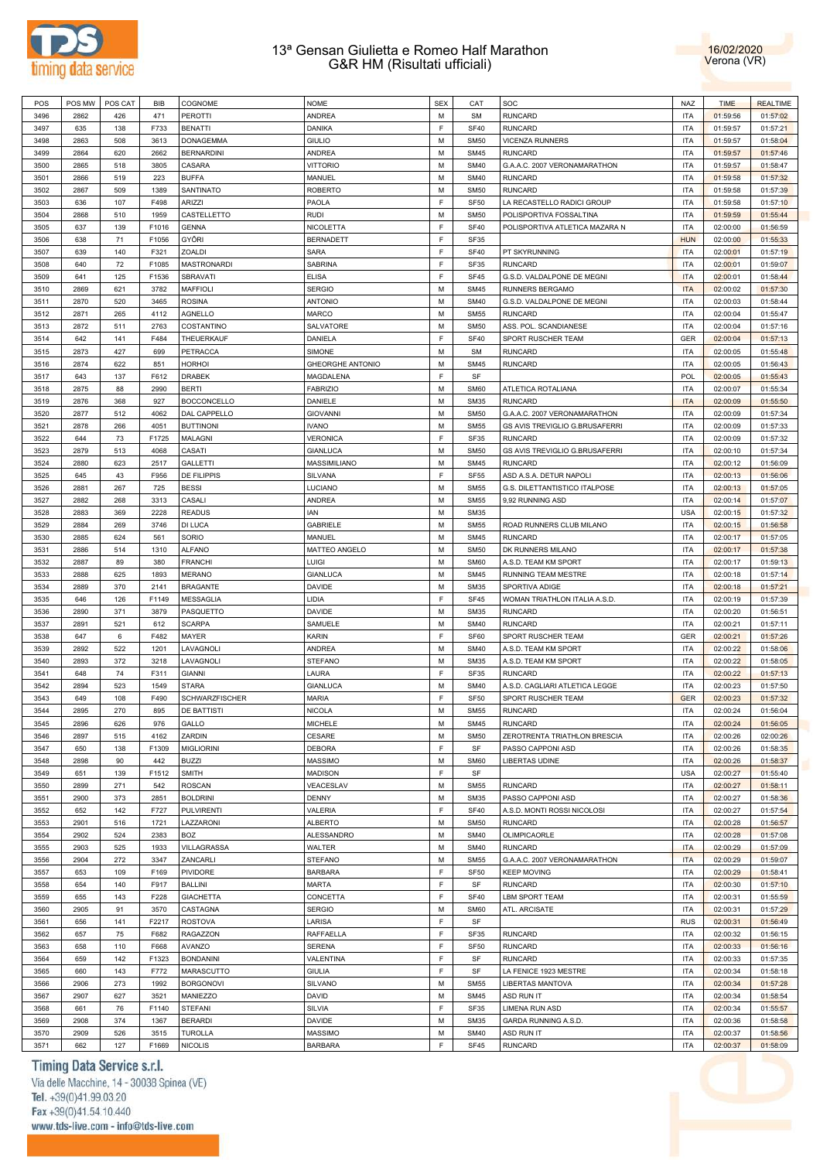



| POS  | POS MW | POS CAT | BIB   | COGNOME            | <b>NOME</b>             | <b>SEX</b> | CAT              | SOC                            | <b>NAZ</b> | <b>TIME</b> | <b>REALTIME</b> |
|------|--------|---------|-------|--------------------|-------------------------|------------|------------------|--------------------------------|------------|-------------|-----------------|
| 3496 | 2862   | 426     | 471   | <b>PEROTTI</b>     | ANDREA                  | M          | <b>SM</b>        | <b>RUNCARD</b>                 | <b>ITA</b> | 01:59:56    | 01:57:02        |
| 3497 | 635    | 138     | F733  | <b>BENATTI</b>     | DANIKA                  | F          | <b>SF40</b>      | <b>RUNCARD</b>                 | <b>ITA</b> | 01:59:57    | 01:57:21        |
|      |        |         |       |                    |                         | M          |                  |                                |            |             |                 |
| 3498 | 2863   | 508     | 3613  | <b>DONAGEMMA</b>   | <b>GIULIO</b>           |            | <b>SM50</b>      | <b>VICENZA RUNNERS</b>         | <b>ITA</b> | 01:59:57    | 01:58:04        |
| 3499 | 2864   | 620     | 2662  | <b>BERNARDINI</b>  | ANDREA                  | M          | <b>SM45</b>      | <b>RUNCARD</b>                 | <b>ITA</b> | 01:59:57    | 01:57:46        |
| 3500 | 2865   | 518     | 3805  | CASARA             | <b>VITTORIO</b>         | M          | <b>SM40</b>      | G.A.A.C. 2007 VERONAMARATHON   | <b>ITA</b> | 01:59:57    | 01:58:47        |
| 3501 | 2866   | 519     | 223   | <b>BUFFA</b>       | MANUEL                  | M          | <b>SM40</b>      | <b>RUNCARD</b>                 | <b>ITA</b> | 01:59:58    | 01:57:32        |
| 3502 | 2867   | 509     | 1389  | SANTINATO          | <b>ROBERTO</b>          | М          | <b>SM50</b>      | <b>RUNCARD</b>                 | <b>ITA</b> | 01:59:58    | 01:57:39        |
| 3503 | 636    | 107     | F498  | ARIZZI             | PAOLA                   | F          | SF <sub>50</sub> | LA RECASTELLO RADICI GROUP     | <b>ITA</b> | 01:59:58    | 01:57:10        |
| 3504 | 2868   | 510     | 1959  | CASTELLETTO        | <b>RUDI</b>             | М          | <b>SM50</b>      | POLISPORTIVA FOSSALTINA        | <b>ITA</b> | 01:59:59    | 01:55:44        |
| 3505 | 637    | 139     | F1016 | <b>GENNA</b>       | NICOLETTA               | F          | <b>SF40</b>      | POLISPORTIVA ATLETICA MAZARA N | <b>ITA</b> | 02:00:00    | 01:56:59        |
| 3506 | 638    | 71      | F1056 | GYŐRI              | <b>BERNADETT</b>        | F          | SF35             |                                | <b>HUN</b> | 02:00:00    | 01:55:33        |
| 3507 | 639    | 140     | F321  | ZOALDI             | SARA                    | F          | <b>SF40</b>      | PT SKYRUNNING                  | <b>ITA</b> | 02:00:01    | 01:57:19        |
|      |        |         |       |                    |                         | F          |                  |                                |            |             |                 |
| 3508 | 640    | 72      | F1085 | <b>MASTRONARDI</b> | SABRINA                 |            | SF35             | <b>RUNCARD</b>                 | <b>ITA</b> | 02:00:01    | 01:59:07        |
| 3509 | 641    | 125     | F1536 | SBRAVATI           | <b>ELISA</b>            | F          | SF45             | G.S.D. VALDALPONE DE MEGNI     | <b>ITA</b> | 02:00:01    | 01:58:44        |
| 3510 | 2869   | 621     | 3782  | <b>MAFFIOLI</b>    | <b>SERGIO</b>           | M          | <b>SM45</b>      | RUNNERS BERGAMO                | <b>ITA</b> | 02:00:02    | 01:57:30        |
| 3511 | 2870   | 520     | 3465  | <b>ROSINA</b>      | <b>ANTONIO</b>          | M          | <b>SM40</b>      | G.S.D. VALDALPONE DE MEGNI     | <b>ITA</b> | 02:00:03    | 01:58:44        |
| 3512 | 2871   | 265     | 4112  | <b>AGNELLO</b>     | MARCO                   | M          | <b>SM55</b>      | <b>RUNCARD</b>                 | <b>ITA</b> | 02:00:04    | 01:55:47        |
| 3513 | 2872   | 511     | 2763  | COSTANTINO         | SALVATORE               | M          | <b>SM50</b>      | ASS. POL. SCANDIANESE          | <b>ITA</b> | 02:00:04    | 01:57:16        |
| 3514 | 642    | 141     | F484  | THEUERKAUF         | DANIELA                 | F          | <b>SF40</b>      | SPORT RUSCHER TEAM             | GER        | 02:00:04    | 01:57:13        |
| 3515 | 2873   | 427     | 699   | PETRACCA           | SIMONE                  | M          | SM               | <b>RUNCARD</b>                 | <b>ITA</b> | 02:00:05    | 01:55:48        |
| 3516 | 2874   | 622     | 851   | <b>HORHOI</b>      | <b>GHEORGHE ANTONIO</b> | M          | <b>SM45</b>      | <b>RUNCARD</b>                 | <b>ITA</b> | 02:00:05    | 01:56:43        |
|      |        |         |       |                    |                         | F          |                  |                                |            |             |                 |
| 3517 | 643    | 137     | F612  | <b>DRABEK</b>      | MAGDALENA               |            | SF               |                                | POL        | 02:00:05    | 01:55:43        |
| 3518 | 2875   | 88      | 2990  | <b>BERTI</b>       | <b>FABRIZIO</b>         | M          | <b>SM60</b>      | ATLETICA ROTALIANA             | <b>ITA</b> | 02:00:07    | 01:55:34        |
| 3519 | 2876   | 368     | 927   | <b>BOCCONCELLO</b> | DANIELE                 | M          | <b>SM35</b>      | <b>RUNCARD</b>                 | <b>ITA</b> | 02:00:09    | 01:55:50        |
| 3520 | 2877   | 512     | 4062  | DAL CAPPELLO       | <b>GIOVANNI</b>         | M          | <b>SM50</b>      | G.A.A.C. 2007 VERONAMARATHON   | <b>ITA</b> | 02:00:09    | 01:57:34        |
| 3521 | 2878   | 266     | 4051  | <b>BUTTINONI</b>   | <b>IVANO</b>            | M          | <b>SM55</b>      | GS AVIS TREVIGLIO G.BRUSAFERRI | <b>ITA</b> | 02:00:09    | 01:57:33        |
| 3522 | 644    | 73      | F1725 | MALAGNI            | <b>VERONICA</b>         | F          | SF35             | <b>RUNCARD</b>                 | <b>ITA</b> | 02:00:09    | 01:57:32        |
| 3523 | 2879   | 513     | 4068  | CASATI             | <b>GIANLUCA</b>         | M          | <b>SM50</b>      | GS AVIS TREVIGLIO G.BRUSAFERRI | <b>ITA</b> | 02:00:10    | 01:57:34        |
| 3524 | 2880   | 623     | 2517  | <b>GALLETTI</b>    | MASSIMILIANO            | М          | <b>SM45</b>      | <b>RUNCARD</b>                 | <b>ITA</b> | 02:00:12    | 01:56:09        |
| 3525 | 645    | 43      | F956  | DE FILIPPIS        | SILVANA                 | F          | <b>SF55</b>      | ASD A.S.A. DETUR NAPOLI        | <b>ITA</b> | 02:00:13    | 01:56:06        |
|      |        |         |       |                    |                         |            |                  |                                |            |             |                 |
| 3526 | 2881   | 267     | 725   | <b>BESSI</b>       | LUCIANO                 | M          | <b>SM55</b>      | G.S. DILETTANTISTICO ITALPOSE  | <b>ITA</b> | 02:00:13    | 01:57:05        |
| 3527 | 2882   | 268     | 3313  | CASALI             | ANDREA                  | M          | <b>SM55</b>      | 9,92 RUNNING ASD               | ITA        | 02:00:14    | 01:57:07        |
| 3528 | 2883   | 369     | 2228  | <b>READUS</b>      | IAN                     | М          | <b>SM35</b>      |                                | <b>USA</b> | 02:00:15    | 01:57:32        |
| 3529 | 2884   | 269     | 3746  | DI LUCA            | GABRIELE                | M          | <b>SM55</b>      | ROAD RUNNERS CLUB MILANO       | <b>ITA</b> | 02:00:15    | 01:56:58        |
| 3530 | 2885   | 624     | 561   | SORIO              | MANUEL                  | M          | <b>SM45</b>      | <b>RUNCARD</b>                 | <b>ITA</b> | 02:00:17    | 01:57:05        |
| 3531 | 2886   | 514     | 1310  | <b>ALFANO</b>      | MATTEO ANGELO           | M          | <b>SM50</b>      | DK RUNNERS MILANO              | <b>ITA</b> | 02:00:17    | 01:57:38        |
| 3532 | 2887   | 89      | 380   | <b>FRANCHI</b>     | Luigi                   | M          | <b>SM60</b>      | A.S.D. TEAM KM SPORT           | <b>ITA</b> | 02:00:17    | 01:59:13        |
| 3533 | 2888   | 625     | 1893  | <b>MERANO</b>      | <b>GIANLUCA</b>         | M          | <b>SM45</b>      | RUNNING TEAM MESTRE            | <b>ITA</b> | 02:00:18    | 01:57:14        |
| 3534 | 2889   | 370     | 2141  | <b>BRAGANTE</b>    | DAVIDE                  | M          | <b>SM35</b>      | SPORTIVA ADIGE                 | <b>ITA</b> | 02:00:18    | 01:57:21        |
| 3535 | 646    | 126     | F1149 | MESSAGLIA          | LIDIA                   | F          | SF45             | WOMAN TRIATHLON ITALIA A.S.D.  | <b>ITA</b> | 02:00:19    | 01:57:39        |
|      |        |         |       |                    |                         |            |                  |                                |            |             |                 |
| 3536 | 2890   | 371     | 3879  | PASQUETTO          | DAVIDE                  | М          | <b>SM35</b>      | <b>RUNCARD</b>                 | <b>ITA</b> | 02:00:20    | 01:56:51        |
| 3537 | 2891   | 521     | 612   | <b>SCARPA</b>      | SAMUELE                 | M          | <b>SM40</b>      | <b>RUNCARD</b>                 | <b>ITA</b> | 02:00:21    | 01:57:11        |
| 3538 | 647    | 6       | F482  | MAYER              | <b>KARIN</b>            | F          | SF60             | SPORT RUSCHER TEAM             | GER        | 02:00:21    | 01:57:26        |
| 3539 | 2892   | 522     | 1201  | LAVAGNOLI          | ANDREA                  | M          | <b>SM40</b>      | A.S.D. TEAM KM SPORT           | <b>ITA</b> | 02:00:22    | 01:58:06        |
| 3540 | 2893   | 372     | 3218  | LAVAGNOLI          | <b>STEFANO</b>          | М          | <b>SM35</b>      | A.S.D. TEAM KM SPORT           | <b>ITA</b> | 02:00:22    | 01:58:05        |
| 3541 | 648    | 74      | F311  | <b>GIANNI</b>      | LAURA                   | F          | SF35             | <b>RUNCARD</b>                 | ITA        | 02:00:22    | 01:57:13        |
| 3542 | 2894   | 523     | 1549  | <b>STARA</b>       | <b>GIANLUCA</b>         | М          | <b>SM40</b>      | A.S.D. CAGLIARI ATLETICA LEGGE | <b>ITA</b> | 02:00:23    | 01:57:50        |
| 3543 | 649    | 108     | F490  | SCHWARZFISCHER     | <b>MARIA</b>            | F          | SF <sub>50</sub> | SPORT RUSCHER TEAM             | <b>GER</b> | 02:00:23    | 01:57:32        |
| 3544 | 2895   | 270     | 895   | DE BATTISTI        | <b>NICOLA</b>           | М          | <b>SM55</b>      | <b>RUNCARD</b>                 | <b>ITA</b> | 02:00:24    | 01:56:04        |
|      |        |         |       |                    |                         | M          |                  | <b>RUNCARD</b>                 |            |             |                 |
| 3545 | 2896   | 626     | 976   | GALLO              | MICHELE                 |            | <b>SM45</b>      |                                | <b>ITA</b> | 02:00:24    | 01:56:05        |
| 3546 | 2897   | 515     | 4162  | ZARDIN             | CESARE                  | M          | <b>SM50</b>      | ZEROTRENTA TRIATHLON BRESCIA   | <b>ITA</b> | 02:00:26    | 02:00:26        |
| 3547 | 650    | 138     | F1309 | <b>MIGLIORINI</b>  | DEBORA                  | F          | SF               | PASSO CAPPONI ASD              | <b>ITA</b> | 02:00:26    | 01:58:35        |
| 3548 | 2898   | 90      | 442   | <b>BUZZI</b>       | MASSIMO                 | М          | <b>SM60</b>      | <b>LIBERTAS UDINE</b>          | <b>ITA</b> | 02:00:26    | 01:58:37        |
| 3549 | 651    | 139     | F1512 | <b>SMITH</b>       | <b>MADISON</b>          | F          | SF               |                                | <b>USA</b> | 02:00:27    | 01:55:40        |
| 3550 | 2899   | 271     | 542   | <b>ROSCAN</b>      | VEACESLAV               | М          | <b>SM55</b>      | <b>RUNCARD</b>                 | <b>ITA</b> | 02:00:27    | 01:58:11        |
| 3551 | 2900   | 373     | 2851  | <b>BOLDRINI</b>    | DENNY                   | M          | <b>SM35</b>      | PASSO CAPPONI ASD              | <b>ITA</b> | 02:00:27    | 01:58:36        |
| 3552 | 652    | 142     | F727  | <b>PULVIRENTI</b>  | VALERIA                 | F          | <b>SF40</b>      | A.S.D. MONTI ROSSI NICOLOSI    | <b>ITA</b> | 02:00:27    | 01:57:54        |
| 3553 | 2901   | 516     | 1721  | LAZZARONI          | <b>ALBERTO</b>          | M          | <b>SM50</b>      | <b>RUNCARD</b>                 | <b>ITA</b> | 02:00:28    | 01:56:57        |
| 3554 | 2902   | 524     | 2383  | <b>BOZ</b>         | ALESSANDRO              | М          | <b>SM40</b>      | OLIMPICAORLE                   | <b>ITA</b> | 02:00:28    | 01:57:08        |
|      |        |         |       |                    |                         |            |                  |                                |            |             |                 |
| 3555 | 2903   | 525     | 1933  | VILLAGRASSA        | WALTER                  | M          | <b>SM40</b>      | <b>RUNCARD</b>                 | <b>ITA</b> | 02:00:29    | 01:57:09        |
| 3556 | 2904   | 272     | 3347  | ZANCARLI           | <b>STEFANO</b>          | М          | <b>SM55</b>      | G.A.A.C. 2007 VERONAMARATHON   | <b>ITA</b> | 02:00:29    | 01:59:07        |
| 3557 | 653    | 109     | F169  | PIVIDORE           | <b>BARBARA</b>          | F          | SF <sub>50</sub> | <b>KEEP MOVING</b>             | <b>ITA</b> | 02:00:29    | 01:58:41        |
| 3558 | 654    | 140     | F917  | <b>BALLINI</b>     | <b>MARTA</b>            | F          | SF               | <b>RUNCARD</b>                 | <b>ITA</b> | 02:00:30    | 01:57:10        |
| 3559 | 655    | 143     | F228  | <b>GIACHETTA</b>   | CONCETTA                | F          | <b>SF40</b>      | LBM SPORT TEAM                 | <b>ITA</b> | 02:00:31    | 01:55:59        |
| 3560 | 2905   | 91      | 3570  | CASTAGNA           | <b>SERGIO</b>           | М          | <b>SM60</b>      | ATL. ARCISATE                  | <b>ITA</b> | 02:00:31    | 01:57:29        |
| 3561 | 656    | 141     | F2217 | <b>ROSTOVA</b>     | LARISA                  | F          | SF               |                                | <b>RUS</b> | 02:00:31    | 01:56:49        |
| 3562 | 657    | 75      | F682  | RAGAZZON           | RAFFAELLA               | F          | SF35             | <b>RUNCARD</b>                 | <b>ITA</b> | 02:00:32    | 01:56:15        |
|      |        |         |       |                    |                         | F          |                  |                                |            |             |                 |
| 3563 | 658    | 110     | F668  | AVANZO             | SERENA                  |            | SF <sub>50</sub> | <b>RUNCARD</b>                 | <b>ITA</b> | 02:00:33    | 01:56:16        |
| 3564 | 659    | 142     | F1323 | <b>BONDANINI</b>   | VALENTINA               | F          | SF               | <b>RUNCARD</b>                 | <b>ITA</b> | 02:00:33    | 01:57:35        |
| 3565 | 660    | 143     | F772  | MARASCUTTO         | <b>GIULIA</b>           | F          | SF               | LA FENICE 1923 MESTRE          | <b>ITA</b> | 02:00:34    | 01:58:18        |
| 3566 | 2906   | 273     | 1992  | <b>BORGONOVI</b>   | SILVANO                 | M          | <b>SM55</b>      | LIBERTAS MANTOVA               | <b>ITA</b> | 02:00:34    | 01:57:28        |
| 3567 | 2907   | 627     | 3521  | MANIEZZO           | DAVID                   | M          | <b>SM45</b>      | ASD RUN IT                     | <b>ITA</b> | 02:00:34    | 01:58:54        |
| 3568 | 661    | 76      | F1140 | <b>STEFANI</b>     | SILVIA                  | F          | SF35             | <b>LIMENA RUN ASD</b>          | <b>ITA</b> | 02:00:34    | 01:55:57        |
| 3569 | 2908   | 374     | 1367  | <b>BERARDI</b>     | DAVIDE                  | M          | <b>SM35</b>      | GARDA RUNNING A.S.D.           | <b>ITA</b> | 02:00:36    | 01:58:58        |
| 3570 | 2909   | 526     | 3515  | <b>TUROLLA</b>     | <b>MASSIMO</b>          | М          | <b>SM40</b>      | ASD RUN IT                     | <b>ITA</b> | 02:00:37    | 01:58:56        |
|      |        |         |       | <b>NICOLIS</b>     |                         | F          |                  | <b>RUNCARD</b>                 |            |             |                 |
| 3571 | 662    | 127     | F1669 |                    | <b>BARBARA</b>          |            | SF45             |                                | <b>ITA</b> | 02:00:37    | 01:58:09        |

# Timing Data Service s.r.l.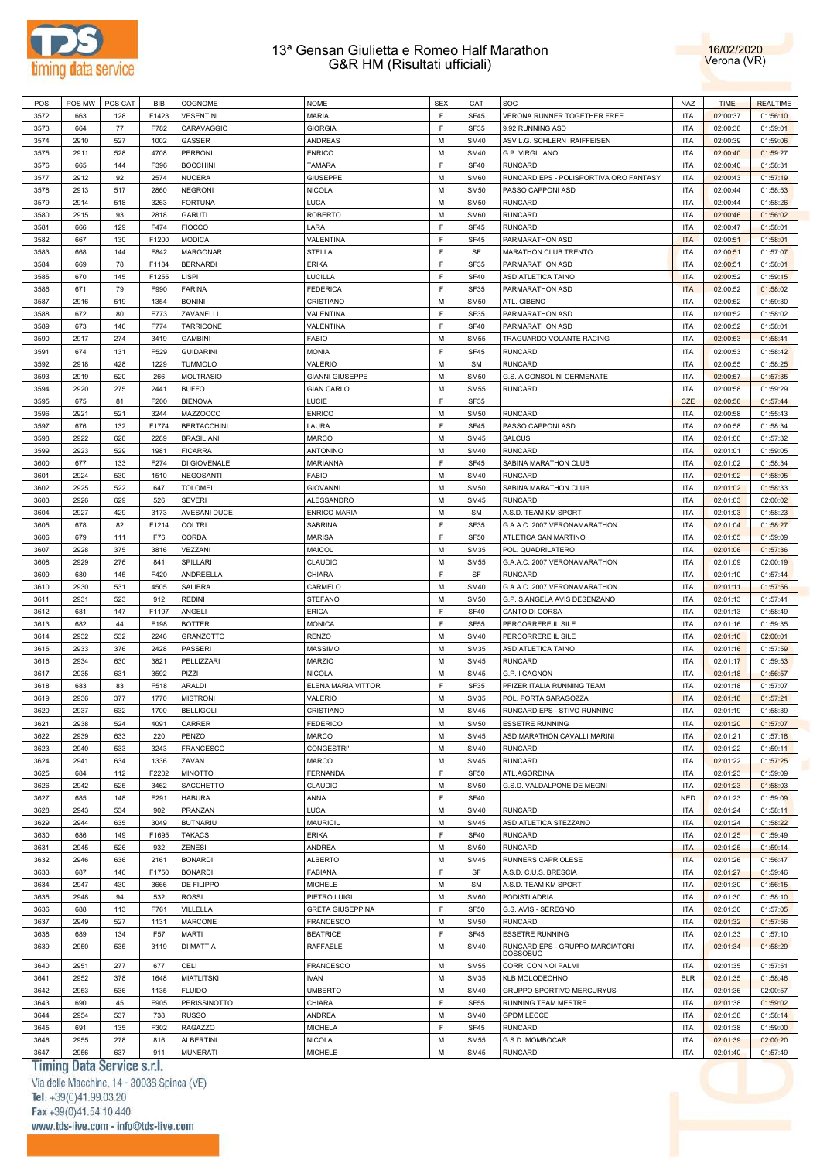



| POS  |      | POS MW   POS CAT | BIB   | COGNOME            | <b>NOME</b>             | <b>SEX</b> | CAT         | SOC                                                | <b>NAZ</b> | <b>TIME</b> | <b>REALTIME</b> |
|------|------|------------------|-------|--------------------|-------------------------|------------|-------------|----------------------------------------------------|------------|-------------|-----------------|
| 3572 | 663  | 128              | F1423 | <b>VESENTINI</b>   | <b>MARIA</b>            | E          | <b>SF45</b> | VERONA RUNNER TOGETHER FREE                        | <b>ITA</b> | 02:00:37    | 01:56:10        |
| 3573 | 664  | 77               | F782  | CARAVAGGIO         | <b>GIORGIA</b>          | E          | <b>SF35</b> | 9,92 RUNNING ASD                                   | <b>ITA</b> | 02:00:38    | 01:59:01        |
| 3574 | 2910 | 527              | 1002  | <b>GASSER</b>      | <b>ANDREAS</b>          | M          | <b>SM40</b> | ASV L.G. SCHLERN RAIFFEISEN                        | <b>ITA</b> | 02:00:39    | 01:59:06        |
|      |      |                  |       |                    |                         |            |             |                                                    |            |             |                 |
| 3575 | 2911 | 528              | 4708  | <b>PERBONI</b>     | <b>ENRICO</b>           | M          | <b>SM40</b> | G.P. VIRGILIANO                                    | <b>ITA</b> | 02:00:40    | 01:59:27        |
| 3576 | 665  | 144              | F396  | <b>BOCCHINI</b>    | <b>TAMARA</b>           | E          | <b>SF40</b> | <b>RUNCARD</b>                                     | <b>ITA</b> | 02:00:40    | 01:58:31        |
| 3577 | 2912 | 92               | 2574  | <b>NUCERA</b>      | <b>GIUSEPPE</b>         | M          | <b>SM60</b> | RUNCARD EPS - POLISPORTIVA ORO FANTASY             | <b>ITA</b> | 02:00:43    | 01:57:19        |
| 3578 | 2913 | 517              | 2860  | <b>NEGRONI</b>     | <b>NICOLA</b>           | M          | <b>SM50</b> | PASSO CAPPONI ASD                                  | <b>ITA</b> | 02:00:44    | 01:58:53        |
| 3579 | 2914 | 518              | 3263  | <b>FORTUNA</b>     | LUCA                    | M          | <b>SM50</b> | <b>RUNCARD</b>                                     | <b>ITA</b> | 02:00:44    | 01:58:26        |
| 3580 | 2915 | 93               | 2818  | <b>GARUTI</b>      | <b>ROBERTO</b>          | M          | <b>SM60</b> | <b>RUNCARD</b>                                     | <b>ITA</b> | 02:00:46    | 01:56:02        |
| 3581 | 666  | 129              | F474  | <b>FIOCCO</b>      | LARA                    | E          | <b>SF45</b> | RUNCARD                                            | <b>ITA</b> | 02:00:47    | 01:58:01        |
| 3582 | 667  | 130              | F1200 | <b>MODICA</b>      | VALENTINA               | F          | <b>SF45</b> | PARMARATHON ASD                                    | <b>ITA</b> | 02:00:51    | 01:58:01        |
| 3583 | 668  | 144              | F842  | <b>MARGONAR</b>    | <b>STELLA</b>           | E          | SF          | MARATHON CLUB TRENTO                               | <b>ITA</b> | 02:00:51    | 01:57:07        |
|      |      |                  |       | <b>BERNARDI</b>    |                         | E          |             |                                                    |            |             |                 |
| 3584 | 669  | 78               | F1184 |                    | <b>ERIKA</b>            |            | SF35        | PARMARATHON ASD                                    | <b>ITA</b> | 02:00:51    | 01:58:01        |
| 3585 | 670  | 145              | F1255 | LISPI              | LUCILLA                 | E          | <b>SF40</b> | ASD ATLETICA TAINO                                 | <b>ITA</b> | 02:00:52    | 01:59:15        |
| 3586 | 671  | 79               | F990  | <b>FARINA</b>      | <b>FEDERICA</b>         | E          | SF35        | PARMARATHON ASD                                    | <b>ITA</b> | 02:00:52    | 01:58:02        |
| 3587 | 2916 | 519              | 1354  | <b>BONINI</b>      | CRISTIANO               | M          | <b>SM50</b> | ATL. CIBENO                                        | <b>ITA</b> | 02:00:52    | 01:59:30        |
| 3588 | 672  | 80               | F773  | ZAVANELLI          | VALENTINA               | E          | SF35        | PARMARATHON ASD                                    | <b>ITA</b> | 02:00:52    | 01:58:02        |
| 3589 | 673  | 146              | F774  | <b>TARRICONE</b>   | VALENTINA               | E          | <b>SF40</b> | PARMARATHON ASD                                    | <b>ITA</b> | 02:00:52    | 01:58:01        |
| 3590 | 2917 | 274              | 3419  | <b>GAMBINI</b>     | <b>FABIO</b>            | M          | <b>SM55</b> | TRAGUARDO VOLANTE RACING                           | <b>ITA</b> | 02:00:53    | 01:58:41        |
| 3591 | 674  | 131              | F529  | <b>GUIDARINI</b>   | <b>MONIA</b>            | E          | <b>SF45</b> | <b>RUNCARD</b>                                     | <b>ITA</b> | 02:00:53    | 01:58:42        |
| 3592 | 2918 | 428              | 1229  | <b>TUMMOLO</b>     | VALERIO                 | M          | <b>SM</b>   | <b>RUNCARD</b>                                     | <b>ITA</b> | 02:00:55    | 01:58:25        |
|      |      |                  |       |                    |                         |            |             |                                                    |            |             |                 |
| 3593 | 2919 | 520              | 266   | <b>MOLTRASIO</b>   | <b>GIANNI GIUSEPPE</b>  | M          | <b>SM50</b> | G.S. A.CONSOLINI CERMENATE                         | <b>ITA</b> | 02:00:57    | 01:57:35        |
| 3594 | 2920 | 275              | 2441  | <b>BUFFO</b>       | <b>GIAN CARLO</b>       | M          | <b>SM55</b> | <b>RUNCARD</b>                                     | <b>ITA</b> | 02:00:58    | 01:59:29        |
| 3595 | 675  | 81               | F200  | <b>BIENOVA</b>     | LUCIE                   | E          | SF35        |                                                    | CZE        | 02:00:58    | 01:57:44        |
| 3596 | 2921 | 521              | 3244  | MAZZOCCO           | <b>ENRICO</b>           | M          | <b>SM50</b> | <b>RUNCARD</b>                                     | <b>ITA</b> | 02:00:58    | 01:55:43        |
| 3597 | 676  | 132              | F1774 | <b>BERTACCHINI</b> | LAURA                   | E          | <b>SF45</b> | PASSO CAPPONI ASD                                  | <b>ITA</b> | 02:00:58    | 01:58:34        |
| 3598 | 2922 | 628              | 2289  | <b>BRASILIANI</b>  | <b>MARCO</b>            | M          | <b>SM45</b> | <b>SALCUS</b>                                      | <b>ITA</b> | 02:01:00    | 01:57:32        |
| 3599 | 2923 | 529              | 1981  | <b>FICARRA</b>     | <b>ANTONINO</b>         | М          | <b>SM40</b> | RUNCARD                                            | <b>ITA</b> | 02:01:01    | 01:59:05        |
| 3600 | 677  | 133              | F274  | DI GIOVENALE       | <b>MARIANNA</b>         | E          | <b>SF45</b> | SABINA MARATHON CLUB                               | <b>ITA</b> | 02:01:02    | 01:58:34        |
| 3601 | 2924 | 530              | 1510  | <b>NEGOSANTI</b>   | <b>FABIO</b>            | M          | <b>SM40</b> | RUNCARD                                            | <b>ITA</b> | 02:01:02    | 01:58:05        |
|      |      |                  |       |                    |                         |            |             |                                                    |            |             |                 |
| 3602 | 2925 | 522              | 647   | <b>TOLOMEI</b>     | <b>GIOVANNI</b>         | M          | <b>SM50</b> | SABINA MARATHON CLUB                               | <b>ITA</b> | 02:01:02    | 01:58:33        |
| 3603 | 2926 | 629              | 526   | <b>SEVERI</b>      | <b>ALESSANDRO</b>       | M          | <b>SM45</b> | <b>RUNCARD</b>                                     | <b>ITA</b> | 02:01:03    | 02:00:02        |
| 3604 | 2927 | 429              | 3173  | AVESANI DUCE       | <b>ENRICO MARIA</b>     | M          | <b>SM</b>   | A.S.D. TEAM KM SPORT                               | <b>ITA</b> | 02:01:03    | 01:58:23        |
| 3605 | 678  | 82               | F1214 | <b>COLTRI</b>      | SABRINA                 | E          | <b>SF35</b> | G.A.A.C. 2007 VERONAMARATHON                       | <b>ITA</b> | 02:01:04    | 01:58:27        |
| 3606 | 679  | 111              | F76   | CORDA              | <b>MARISA</b>           | E          | <b>SF50</b> | ATLETICA SAN MARTINO                               | <b>ITA</b> | 02:01:05    | 01:59:09        |
| 3607 | 2928 | 375              | 3816  | VEZZANI            | MAICOL                  | M          | <b>SM35</b> | POL. QUADRILATERO                                  | <b>ITA</b> | 02:01:06    | 01:57:36        |
| 3608 | 2929 | 276              | 841   | SPILLARI           | CLAUDIO                 | M          | <b>SM55</b> | G.A.A.C. 2007 VERONAMARATHON                       | <b>ITA</b> | 02:01:09    | 02:00:19        |
| 3609 | 680  | 145              | F420  | ANDREELLA          | CHIARA                  | E          | SF          | <b>RUNCARD</b>                                     | <b>ITA</b> | 02:01:10    | 01:57:44        |
|      |      |                  |       |                    |                         | M          |             |                                                    |            |             |                 |
| 3610 | 2930 | 531              | 4505  | <b>SALIBRA</b>     | CARMELO                 |            | <b>SM40</b> | G.A.A.C. 2007 VERONAMARATHON                       | <b>ITA</b> | 02:01:11    | 01:57:56        |
| 3611 | 2931 | 523              | 912   | <b>REDINI</b>      | <b>STEFANO</b>          | M          | <b>SM50</b> | G.P. S.ANGELA AVIS DESENZANO                       | <b>ITA</b> | 02:01:13    | 01:57:41        |
| 3612 | 681  | 147              | F1197 | ANGELI             | <b>ERICA</b>            | E          | <b>SF40</b> | CANTO DI CORSA                                     | <b>ITA</b> | 02:01:13    | 01:58:49        |
| 3613 | 682  | 44               | F198  | <b>BOTTER</b>      | <b>MONICA</b>           | E          | <b>SF55</b> | PERCORRERE IL SILE                                 | <b>ITA</b> | 02:01:16    | 01:59:35        |
| 3614 | 2932 | 532              | 2246  | <b>GRANZOTTO</b>   | <b>RENZO</b>            | M          | <b>SM40</b> | PERCORRERE IL SILE                                 | <b>ITA</b> | 02:01:16    | 02:00:01        |
| 3615 | 2933 | 376              | 2428  | <b>PASSERI</b>     | <b>MASSIMO</b>          | M          | <b>SM35</b> | ASD ATLETICA TAINO                                 | <b>ITA</b> | 02:01:16    | 01:57:59        |
| 3616 | 2934 | 630              | 3821  | PELLIZZARI         | <b>MARZIO</b>           | M          | <b>SM45</b> | <b>RUNCARD</b>                                     | <b>ITA</b> | 02:01:17    | 01:59:53        |
| 3617 | 2935 | 631              | 3592  | PIZZI              | <b>NICOLA</b>           | M          | <b>SM45</b> | G.P. I CAGNON                                      | <b>ITA</b> | 02:01:18    | 01:56:57        |
| 3618 | 683  | 83               | F518  | ARALDI             | ELENA MARIA VITTOR      | F          | SF35        | PFIZER ITALIA RUNNING TEAM                         | <b>ITA</b> | 02:01:18    | 01:57:07        |
| 3619 | 2936 | 377              | 1770  | <b>MISTRONI</b>    | VALERIO                 | M          | <b>SM35</b> | POL. PORTA SARAGOZZA                               | <b>ITA</b> | 02:01:18    | 01:57:21        |
|      |      |                  |       |                    |                         | M          |             |                                                    |            |             |                 |
| 3620 | 2937 | 632              | 1700  | <b>BELLIGOLI</b>   | CRISTIANO               |            | <b>SM45</b> | RUNCARD EPS - STIVO RUNNING                        | <b>ITA</b> | 02:01:19    | 01:58:39        |
| 3621 | 2938 | 524              | 4091  | CARRER             | <b>FEDERICO</b>         | M          | <b>SM50</b> | <b>ESSETRE RUNNING</b>                             | <b>ITA</b> | 02:01:20    | 01:57:07        |
| 3622 | 2939 | 633              | 220   | <b>PENZO</b>       | <b>MARCO</b>            | M          | <b>SM45</b> | ASD MARATHON CAVALLI MARINI                        | <b>ITA</b> | 02:01:21    | 01:57:18        |
| 3623 | 2940 | 533              | 3243  | <b>FRANCESCO</b>   | <b>CONGESTRI'</b>       | M          | <b>SM40</b> | <b>RUNCARD</b>                                     | <b>ITA</b> | 02:01:22    | 01:59:11        |
| 3624 | 2941 | 634              | 1336  | ZAVAN              | <b>MARCO</b>            | M          | <b>SM45</b> | <b>RUNCARD</b>                                     | <b>ITA</b> | 02:01:22    | 01:57:25        |
| 3625 | 684  | 112              | F2202 | <b>MINOTTO</b>     | <b>FERNANDA</b>         | E          | <b>SF50</b> | ATL.AGORDINA                                       | <b>ITA</b> | 02:01:23    | 01:59:09        |
| 3626 | 2942 | 525              | 3462  | SACCHETTO          | CLAUDIO                 | M          | <b>SM50</b> | G.S.D. VALDALPONE DE MEGNI                         | <b>ITA</b> | 02:01:23    | 01:58:03        |
| 3627 | 685  | 148              | F291  | <b>HABURA</b>      | ANNA                    | E          | <b>SF40</b> |                                                    | <b>NED</b> | 02:01:23    | 01:59:09        |
| 3628 | 2943 | 534              | 902   | PRANZAN            | LUCA                    | M          | <b>SM40</b> | <b>RUNCARD</b>                                     | <b>ITA</b> | 02:01:24    | 01:58:11        |
| 3629 | 2944 | 635              | 3049  | <b>BUTNARIU</b>    | <b>MAURICIU</b>         | M          | <b>SM45</b> | ASD ATLETICA STEZZANO                              | <b>ITA</b> | 02:01:24    | 01:58:22        |
|      |      |                  |       |                    |                         | E          |             |                                                    |            |             |                 |
| 3630 | 686  | 149              | F1695 | <b>TAKACS</b>      | <b>ERIKA</b>            |            | <b>SF40</b> | <b>RUNCARD</b>                                     | <b>ITA</b> | 02:01:25    | 01:59:49        |
| 3631 | 2945 | 526              | 932   | <b>ZENESI</b>      | <b>ANDREA</b>           | M          | <b>SM50</b> | <b>RUNCARD</b>                                     | <b>ITA</b> | 02:01:25    | 01:59:14        |
| 3632 | 2946 | 636              | 2161  | <b>BONARDI</b>     | <b>ALBERTO</b>          | M          | <b>SM45</b> | <b>RUNNERS CAPRIOLESE</b>                          | <b>ITA</b> | 02:01:26    | 01:56:47        |
| 3633 | 687  | 146              | F1750 | <b>BONARDI</b>     | <b>FABIANA</b>          | E          | SF          | A.S.D. C.U.S. BRESCIA                              | <b>ITA</b> | 02:01:27    | 01:59:46        |
| 3634 | 2947 | 430              | 3666  | DE FILIPPO         | <b>MICHELE</b>          | M          | <b>SM</b>   | A.S.D. TEAM KM SPORT                               | <b>ITA</b> | 02:01:30    | 01:56:15        |
| 3635 | 2948 | 94               | 532   | <b>ROSSI</b>       | PIETRO LUIGI            | M          | <b>SM60</b> | PODISTI ADRIA                                      | <b>ITA</b> | 02:01:30    | 01:58:10        |
| 3636 | 688  | 113              | F761  | VILLELLA           | <b>GRETA GIUSEPPINA</b> | E          | <b>SF50</b> | G.S. AVIS - SEREGNO                                | <b>ITA</b> | 02:01:30    | 01:57:05        |
| 3637 | 2949 | 527              | 1131  | <b>MARCONE</b>     | <b>FRANCESCO</b>        | M          | <b>SM50</b> | <b>RUNCARD</b>                                     | <b>ITA</b> | 02:01:32    | 01:57:56        |
| 3638 | 689  | 134              | F57   | <b>MARTI</b>       | <b>BEATRICE</b>         | E          | SF45        | ESSETRE RUNNING                                    | <b>ITA</b> | 02:01:33    | 01:57:10        |
|      |      |                  |       |                    |                         | M          |             |                                                    | <b>ITA</b> |             |                 |
| 3639 | 2950 | 535              | 3119  | DI MATTIA          | RAFFAELE                |            | <b>SM40</b> | RUNCARD EPS - GRUPPO MARCIATORI<br><b>DOSSOBUO</b> |            | 02:01:34    | 01:58:29        |
| 3640 | 2951 | 277              | 677   | CELI               | <b>FRANCESCO</b>        | M          | <b>SM55</b> | CORRI CON NOI PALMI                                | <b>ITA</b> | 02:01:35    | 01:57:51        |
| 3641 | 2952 | 378              | 1648  | <b>MIATLITSKI</b>  | <b>IVAN</b>             | M          | <b>SM35</b> | KLB MOLODECHNO                                     | <b>BLR</b> | 02:01:35    | 01:58:46        |
|      | 2953 |                  |       |                    |                         | M          |             |                                                    | <b>ITA</b> |             |                 |
| 3642 |      | 536              | 1135  | <b>FLUIDO</b>      | <b>UMBERTO</b>          |            | <b>SM40</b> | GRUPPO SPORTIVO MERCURYUS                          |            | 02:01:36    | 02:00:57        |
| 3643 | 690  | 45               | F905  | PERISSINOTTO       | CHIARA                  | F          | <b>SF55</b> | RUNNING TEAM MESTRE                                | <b>ITA</b> | 02:01:38    | 01:59:02        |
| 3644 | 2954 | 537              | 738   | <b>RUSSO</b>       | ANDREA                  | M          | <b>SM40</b> | <b>GPDM LECCE</b>                                  | <b>ITA</b> | 02:01:38    | 01:58:14        |
| 3645 | 691  | 135              | F302  | RAGAZZO            | <b>MICHELA</b>          | F          | <b>SF45</b> | RUNCARD                                            | <b>ITA</b> | 02:01:38    | 01:59:00        |
| 3646 | 2955 | 278              | 816   | ALBERTINI          | <b>NICOLA</b>           | М          | <b>SM55</b> | G.S.D. MOMBOCAR                                    | <b>ITA</b> | 02:01:39    | 02:00:20        |
| 3647 | 2956 | 637              | 911   | <b>MUNERATI</b>    | <b>MICHELE</b>          | М          | <b>SM45</b> | <b>RUNCARD</b>                                     | <b>ITA</b> | 02:01:40    | 01:57:49        |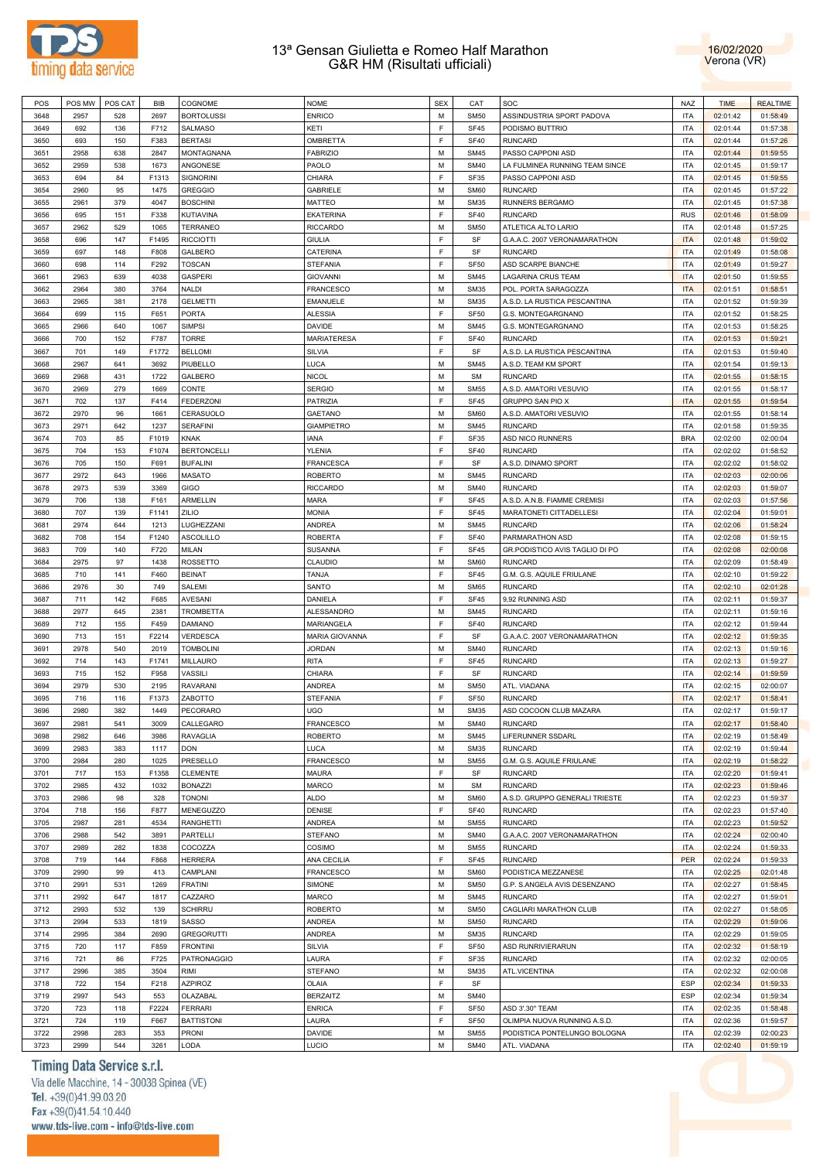



| POS  | POS MW | POS CAT | <b>BIB</b> | COGNOME            | <b>NOME</b>           | <b>SEX</b> | CAT              | SOC                            | <b>NAZ</b> | <b>TIME</b> | <b>REALTIME</b> |
|------|--------|---------|------------|--------------------|-----------------------|------------|------------------|--------------------------------|------------|-------------|-----------------|
| 3648 | 2957   | 528     | 2697       | <b>BORTOLUSSI</b>  | <b>ENRICO</b>         | M          | <b>SM50</b>      | ASSINDUSTRIA SPORT PADOVA      | <b>ITA</b> | 02:01:42    | 01:58:49        |
|      |        |         |            |                    |                       |            |                  |                                |            |             |                 |
| 3649 | 692    | 136     | F712       | <b>SALMASO</b>     | KETI                  | E          | <b>SF45</b>      | PODISMO BUTTRIO                | <b>ITA</b> | 02:01:44    | 01:57:38        |
| 3650 | 693    | 150     | F383       | <b>BERTASI</b>     | OMBRETTA              | F          | <b>SF40</b>      | <b>RUNCARD</b>                 | <b>ITA</b> | 02:01:44    | 01:57:26        |
| 3651 | 2958   | 638     | 2847       | MONTAGNANA         | <b>FABRIZIO</b>       | M          | <b>SM45</b>      | PASSO CAPPONI ASD              | <b>ITA</b> | 02:01:44    | 01:59:55        |
| 3652 | 2959   | 538     | 1673       | ANGONESE           | PAOLO                 | M          | <b>SM40</b>      | LA FULMINEA RUNNING TEAM SINCE | <b>ITA</b> | 02:01:45    | 01:59:17        |
| 3653 | 694    | 84      | F1313      | <b>SIGNORINI</b>   | CHIARA                | F          | <b>SF35</b>      | PASSO CAPPONI ASD              | <b>ITA</b> | 02:01:45    | 01:59:55        |
|      |        |         |            |                    |                       |            |                  |                                |            |             |                 |
| 3654 | 2960   | 95      | 1475       | <b>GREGGIO</b>     | GABRIELE              | M          | <b>SM60</b>      | <b>RUNCARD</b>                 | <b>ITA</b> | 02:01:45    | 01:57:22        |
| 3655 | 2961   | 379     | 4047       | <b>BOSCHINI</b>    | <b>MATTEO</b>         | M          | <b>SM35</b>      | RUNNERS BERGAMO                | <b>ITA</b> | 02:01:45    | 01:57:38        |
| 3656 | 695    | 151     | F338       | <b>KUTIAVINA</b>   | <b>EKATERINA</b>      | F          | <b>SF40</b>      | <b>RUNCARD</b>                 | <b>RUS</b> | 02:01:46    | 01:58:09        |
| 3657 | 2962   | 529     | 1065       | <b>TERRANEO</b>    | <b>RICCARDO</b>       | M          | <b>SM50</b>      | ATLETICA ALTO LARIO            | <b>ITA</b> | 02:01:48    | 01:57:25        |
|      |        |         |            |                    |                       | F          |                  | G.A.A.C. 2007 VERONAMARATHON   |            |             |                 |
| 3658 | 696    | 147     | F1495      | <b>RICCIOTTI</b>   | <b>GIULIA</b>         |            | SF               |                                | <b>ITA</b> | 02:01:48    | 01:59:02        |
| 3659 | 697    | 148     | F808       | GALBERO            | CATERINA              | E          | SF               | <b>RUNCARD</b>                 | <b>ITA</b> | 02:01:49    | 01:58:08        |
| 3660 | 698    | 114     | F292       | <b>TOSCAN</b>      | <b>STEFANIA</b>       | F          | <b>SF50</b>      | ASD SCARPE BIANCHE             | <b>ITA</b> | 02:01:49    | 01:59:27        |
| 3661 | 2963   | 639     | 4038       | <b>GASPERI</b>     | <b>GIOVANNI</b>       | M          | <b>SM45</b>      | LAGARINA CRUS TEAM             | <b>ITA</b> | 02:01:50    | 01:59:55        |
| 3662 | 2964   | 380     | 3764       | <b>NALDI</b>       | <b>FRANCESCO</b>      | M          | <b>SM35</b>      | POL. PORTA SARAGOZZA           | <b>ITA</b> | 02:01:51    | 01:58:51        |
|      |        |         |            |                    |                       |            |                  |                                |            |             |                 |
| 3663 | 2965   | 381     | 2178       | <b>GELMETTI</b>    | <b>EMANUELE</b>       | M          | <b>SM35</b>      | A.S.D. LA RUSTICA PESCANTINA   | <b>ITA</b> | 02:01:52    | 01:59:39        |
| 3664 | 699    | 115     | F651       | <b>PORTA</b>       | <b>ALESSIA</b>        | F          | <b>SF50</b>      | G.S. MONTEGARGNANO             | <b>ITA</b> | 02:01:52    | 01:58:25        |
| 3665 | 2966   | 640     | 1067       | <b>SIMPSI</b>      | <b>DAVIDE</b>         | M          | <b>SM45</b>      | G.S. MONTEGARGNANO             | <b>ITA</b> | 02:01:53    | 01:58:25        |
| 3666 | 700    | 152     | F787       | <b>TORRE</b>       | <b>MARIATERESA</b>    | F          | <b>SF40</b>      | <b>RUNCARD</b>                 | <b>ITA</b> | 02:01:53    | 01:59:21        |
| 3667 | 701    | 149     | F1772      | <b>BELLOMI</b>     | SILVIA                | F          | SF               | A.S.D. LA RUSTICA PESCANTINA   | <b>ITA</b> | 02:01:53    | 01:59:40        |
|      |        |         |            |                    |                       |            |                  |                                |            |             |                 |
| 3668 | 2967   | 641     | 3692       | PIUBELLO           | LUCA                  | M          | <b>SM45</b>      | A.S.D. TEAM KM SPORT           | <b>ITA</b> | 02:01:54    | 01:59:13        |
| 3669 | 2968   | 431     | 1722       | GALBERO            | <b>NICOL</b>          | M          | <b>SM</b>        | <b>RUNCARD</b>                 | <b>ITA</b> | 02:01:55    | 01:58:15        |
| 3670 | 2969   | 279     | 1669       | CONTE              | <b>SERGIO</b>         | M          | <b>SM55</b>      | A.S.D. AMATORI VESUVIO         | <b>ITA</b> | 02:01:55    | 01:58:17        |
| 3671 | 702    | 137     | F414       | <b>FEDERZONI</b>   | <b>PATRIZIA</b>       | F          | <b>SF45</b>      | <b>GRUPPO SAN PIO X</b>        | <b>ITA</b> | 02:01:55    | 01:59:54        |
| 3672 | 2970   | 96      | 1661       | CERASUOLO          | <b>GAETANO</b>        | M          | <b>SM60</b>      | A.S.D. AMATORI VESUVIO         | <b>ITA</b> | 02:01:55    | 01:58:14        |
|      |        |         |            |                    |                       |            |                  |                                |            |             |                 |
| 3673 | 2971   | 642     | 1237       | <b>SERAFINI</b>    | <b>GIAMPIETRO</b>     | M          | <b>SM45</b>      | <b>RUNCARD</b>                 | <b>ITA</b> | 02:01:58    | 01:59:35        |
| 3674 | 703    | 85      | F1019      | <b>KNAK</b>        | <b>IANA</b>           | F          | <b>SF35</b>      | <b>ASD NICO RUNNERS</b>        | <b>BRA</b> | 02:02:00    | 02:00:04        |
| 3675 | 704    | 153     | F1074      | <b>BERTONCELLI</b> | <b>YLENIA</b>         | F          | <b>SF40</b>      | <b>RUNCARD</b>                 | <b>ITA</b> | 02:02:02    | 01:58:52        |
| 3676 | 705    | 150     | F691       | <b>BUFALINI</b>    | <b>FRANCESCA</b>      | F          | SF               | A.S.D. DINAMO SPORT            | <b>ITA</b> | 02:02:02    | 01:58:02        |
|      |        |         |            |                    |                       | M          |                  | <b>RUNCARD</b>                 | <b>ITA</b> |             | 02:00:06        |
| 3677 | 2972   | 643     | 1966       | <b>MASATO</b>      | <b>ROBERTO</b>        |            | <b>SM45</b>      |                                |            | 02:02:03    |                 |
| 3678 | 2973   | 539     | 3369       | GIGO               | <b>RICCARDO</b>       | M          | <b>SM40</b>      | <b>RUNCARD</b>                 | <b>ITA</b> | 02:02:03    | 01:59:07        |
| 3679 | 706    | 138     | F161       | ARMELLIN           | MARA                  | F          | <b>SF45</b>      | A.S.D. A.N.B. FIAMME CREMISI   | <b>ITA</b> | 02:02:03    | 01:57:56        |
| 3680 | 707    | 139     | F1141      | ZILIO              | <b>MONIA</b>          | F          | <b>SF45</b>      | MARATONETI CITTADELLESI        | <b>ITA</b> | 02:02:04    | 01:59:01        |
| 3681 | 2974   | 644     | 1213       | LUGHEZZANI         | <b>ANDREA</b>         | M          | <b>SM45</b>      | <b>RUNCARD</b>                 | <b>ITA</b> | 02:02:06    | 01:58:24        |
|      |        |         |            |                    |                       |            |                  |                                |            |             |                 |
| 3682 | 708    | 154     | F1240      | <b>ASCOLILLO</b>   | <b>ROBERTA</b>        | F          | <b>SF40</b>      | PARMARATHON ASD                | <b>ITA</b> | 02:02:08    | 01:59:15        |
| 3683 | 709    | 140     | F720       | <b>MILAN</b>       | <b>SUSANNA</b>        | F          | <b>SF45</b>      | GR.PODISTICO AVIS TAGLIO DI PO | <b>ITA</b> | 02:02:08    | 02:00:08        |
| 3684 | 2975   | 97      | 1438       | <b>ROSSETTO</b>    | <b>CLAUDIO</b>        | M          | <b>SM60</b>      | <b>RUNCARD</b>                 | <b>ITA</b> | 02:02:09    | 01:58:49        |
| 3685 | 710    | 141     | F460       | <b>BEINAT</b>      | TANJA                 | F          | <b>SF45</b>      | G.M. G.S. AQUILE FRIULANE      | <b>ITA</b> | 02:02:10    | 01:59:22        |
| 3686 | 2976   | 30      | 749        | SALEMI             | SANTO                 | M          | <b>SM65</b>      | <b>RUNCARD</b>                 | <b>ITA</b> | 02:02:10    | 02:01:28        |
|      |        |         |            |                    |                       | F          |                  |                                | <b>ITA</b> |             |                 |
| 3687 | 711    | 142     | F685       | <b>AVESANI</b>     | DANIELA               |            | <b>SF45</b>      | 9,92 RUNNING ASD               |            | 02:02:11    | 01:59:37        |
| 3688 | 2977   | 645     | 2381       | <b>TROMBETTA</b>   | ALESSANDRO            | M          | <b>SM45</b>      | <b>RUNCARD</b>                 | <b>ITA</b> | 02:02:11    | 01:59:16        |
| 3689 | 712    | 155     | F459       | <b>DAMIANO</b>     | <b>MARIANGELA</b>     | F          | <b>SF40</b>      | <b>RUNCARD</b>                 | <b>ITA</b> | 02:02:12    | 01:59:44        |
| 3690 | 713    | 151     | F2214      | <b>VERDESCA</b>    | <b>MARIA GIOVANNA</b> | F          | SF               | G.A.A.C. 2007 VERONAMARATHON   | <b>ITA</b> | 02:02:12    | 01:59:35        |
| 3691 | 2978   | 540     | 2019       | <b>TOMBOLINI</b>   | <b>JORDAN</b>         | M          | <b>SM40</b>      | <b>RUNCARD</b>                 | <b>ITA</b> | 02:02:13    | 01:59:16        |
|      |        |         | F1741      |                    | <b>RITA</b>           | F          |                  | <b>RUNCARD</b>                 |            |             |                 |
| 3692 | 714    | 143     |            | MILLAURO           |                       |            | <b>SF45</b>      |                                | <b>ITA</b> | 02:02:13    | 01:59:27        |
| 3693 | 715    | 152     | F958       | VASSILI            | CHIARA                | F          | SF               | <b>RUNCARD</b>                 | <b>ITA</b> | 02:02:14    | 01:59:59        |
| 3694 | 2979   | 530     | 2195       | <b>RAVARANI</b>    | <b>ANDREA</b>         | M          | <b>SM50</b>      | ATL. VIADANA                   | <b>ITA</b> | 02:02:15    | 02:00:07        |
| 3695 | 716    | 116     | F1373      | ZABOTTO            | <b>STEFANIA</b>       | F          | <b>SF50</b>      | <b>RUNCARD</b>                 | <b>ITA</b> | 02:02:17    | 01:58:41        |
| 3696 | 2980   | 382     | 1449       | <b>PECORARO</b>    | <b>UGO</b>            | M          | <b>SM35</b>      | ASD COCOON CLUB MAZARA         | <b>ITA</b> | 02:02:17    | 01:59:17        |
|      |        |         |            |                    |                       |            |                  |                                |            |             |                 |
| 3697 | 2981   | 541     | 3009       | CALLEGARO          | <b>FRANCESCO</b>      | M          | <b>SM40</b>      | <b>RUNCARD</b>                 | <b>ITA</b> | 02:02:17    | 01:58:40        |
| 3698 | 2982   | 646     | 3986       | <b>RAVAGLIA</b>    | <b>ROBERTO</b>        | M          | <b>SM45</b>      | LIFERUNNER SSDARL              | <b>ITA</b> | 02:02:19    | 01:58:49        |
| 3699 | 2983   | 383     | 1117       | <b>DON</b>         | LUCA                  | M          | <b>SM35</b>      | <b>RUNCARD</b>                 | <b>ITA</b> | 02:02:19    | 01:59:44        |
| 3700 | 2984   | 280     | 1025       | PRESELLO           | <b>FRANCESCO</b>      | M          | <b>SM55</b>      | G.M. G.S. AQUILE FRIULANE      | <b>ITA</b> | 02:02:19    | 01:58:22        |
| 3701 | 717    | 153     | F1358      | <b>CLEMENTE</b>    | <b>MAURA</b>          | F          | SF               | <b>RUNCARD</b>                 | <b>ITA</b> | 02:02:20    | 01:59:41        |
|      |        |         |            |                    |                       |            |                  |                                |            |             |                 |
| 3702 | 2985   | 432     | 1032       | <b>BONAZZI</b>     | <b>MARCO</b>          | M          | <b>SM</b>        | <b>RUNCARD</b>                 | <b>ITA</b> | 02:02:23    | 01:59:46        |
| 3703 | 2986   | 98      | 328        | <b>TONONI</b>      | <b>ALDO</b>           | M          | <b>SM60</b>      | A.S.D. GRUPPO GENERALI TRIESTE | <b>ITA</b> | 02:02:23    | 01:59:37        |
| 3704 | 718    | 156     | F877       | <b>MENEGUZZO</b>   | DENISE                | F          | <b>SF40</b>      | <b>RUNCARD</b>                 | <b>ITA</b> | 02:02:23    | 01:57:40        |
| 3705 | 2987   | 281     | 4534       | <b>RANGHETTI</b>   | <b>ANDREA</b>         | M          | <b>SM55</b>      | <b>RUNCARD</b>                 | <b>ITA</b> | 02:02:23    | 01:59:52        |
| 3706 | 2988   | 542     | 3891       | PARTELLI           | <b>STEFANO</b>        | M          | <b>SM40</b>      | G.A.A.C. 2007 VERONAMARATHON   | <b>ITA</b> | 02:02:24    | 02:00:40        |
|      |        |         |            |                    |                       |            |                  |                                |            |             |                 |
| 3707 | 2989   | 282     | 1838       | COCOZZA            | COSIMO                | M          | <b>SM55</b>      | <b>RUNCARD</b>                 | <b>ITA</b> | 02:02:24    | 01:59:33        |
| 3708 | 719    | 144     | F868       | <b>HERRERA</b>     | ANA CECILIA           | F          | <b>SF45</b>      | <b>RUNCARD</b>                 | <b>PER</b> | 02:02:24    | 01:59:33        |
| 3709 | 2990   | 99      | 413        | CAMPLANI           | FRANCESCO             | M          | <b>SM60</b>      | PODISTICA MEZZANESE            | <b>ITA</b> | 02:02:25    | 02:01:48        |
| 3710 | 2991   | 531     | 1269       | <b>FRATINI</b>     | SIMONE                | M          | <b>SM50</b>      | G.P. S.ANGELA AVIS DESENZANO   | <b>ITA</b> | 02:02:27    | 01:58:45        |
| 3711 | 2992   | 647     | 1817       | CAZZARO            | <b>MARCO</b>          | M          | <b>SM45</b>      | <b>RUNCARD</b>                 | <b>ITA</b> | 02:02:27    | 01:59:01        |
|      |        |         |            |                    |                       |            |                  |                                |            |             |                 |
| 3712 | 2993   | 532     | 139        | <b>SCHIRRU</b>     | <b>ROBERTO</b>        | M          | <b>SM50</b>      | CAGLIARI MARATHON CLUB         | <b>ITA</b> | 02:02:27    | 01:58:05        |
| 3713 | 2994   | 533     | 1819       | SASSO              | <b>ANDREA</b>         | M          | <b>SM50</b>      | <b>RUNCARD</b>                 | <b>ITA</b> | 02:02:29    | 01:59:06        |
| 3714 | 2995   | 384     | 2690       | <b>GREGORUTTI</b>  | <b>ANDREA</b>         | M          | <b>SM35</b>      | <b>RUNCARD</b>                 | <b>ITA</b> | 02:02:29    | 01:59:05        |
| 3715 | 720    | 117     | F859       | <b>FRONTINI</b>    | SILVIA                | F          | <b>SF50</b>      | ASD RUNRIVIERARUN              | <b>ITA</b> | 02:02:32    | 01:58:19        |
| 3716 | 721    | 86      | F725       | PATRONAGGIO        | LAURA                 | F          | SF35             | <b>RUNCARD</b>                 | <b>ITA</b> | 02:02:32    | 02:00:05        |
|      |        |         |            |                    |                       |            |                  |                                |            |             |                 |
| 3717 | 2996   | 385     | 3504       | RIMI               | <b>STEFANO</b>        | M          | <b>SM35</b>      | ATL.VICENTINA                  | <b>ITA</b> | 02:02:32    | 02:00:08        |
| 3718 | 722    | 154     | F218       | <b>AZPIROZ</b>     | OLAIA                 | F          | SF               |                                | <b>ESP</b> | 02:02:34    | 01:59:33        |
| 3719 | 2997   | 543     | 553        | OLAZABAL           | <b>BERZAITZ</b>       | M          | <b>SM40</b>      |                                | <b>ESP</b> | 02:02:34    | 01:59:34        |
| 3720 | 723    | 118     | F2224      | FERRARI            | <b>ENRICA</b>         | F          | SF <sub>50</sub> | ASD 3'.30" TEAM                | <b>ITA</b> | 02:02:35    | 01:58:48        |
|      |        |         |            |                    |                       | F          |                  |                                |            |             |                 |
| 3721 | 724    | 119     | F667       | <b>BATTISTONI</b>  | LAURA                 |            | <b>SF50</b>      | OLIMPIA NUOVA RUNNING A.S.D.   | <b>ITA</b> | 02:02:36    | 01:59:57        |
| 3722 | 2998   | 283     | 353        | PRONI              | <b>DAVIDE</b>         | M          | <b>SM55</b>      | PODISTICA PONTELUNGO BOLOGNA   | <b>ITA</b> | 02:02:39    | 02:00:23        |
| 3723 | 2999   | 544     | 3261       | LODA               | LUCIO                 | М          | <b>SM40</b>      | ATL. VIADANA                   | <b>ITA</b> | 02:02:40    | 01:59:19        |

# Timing Data Service s.r.l.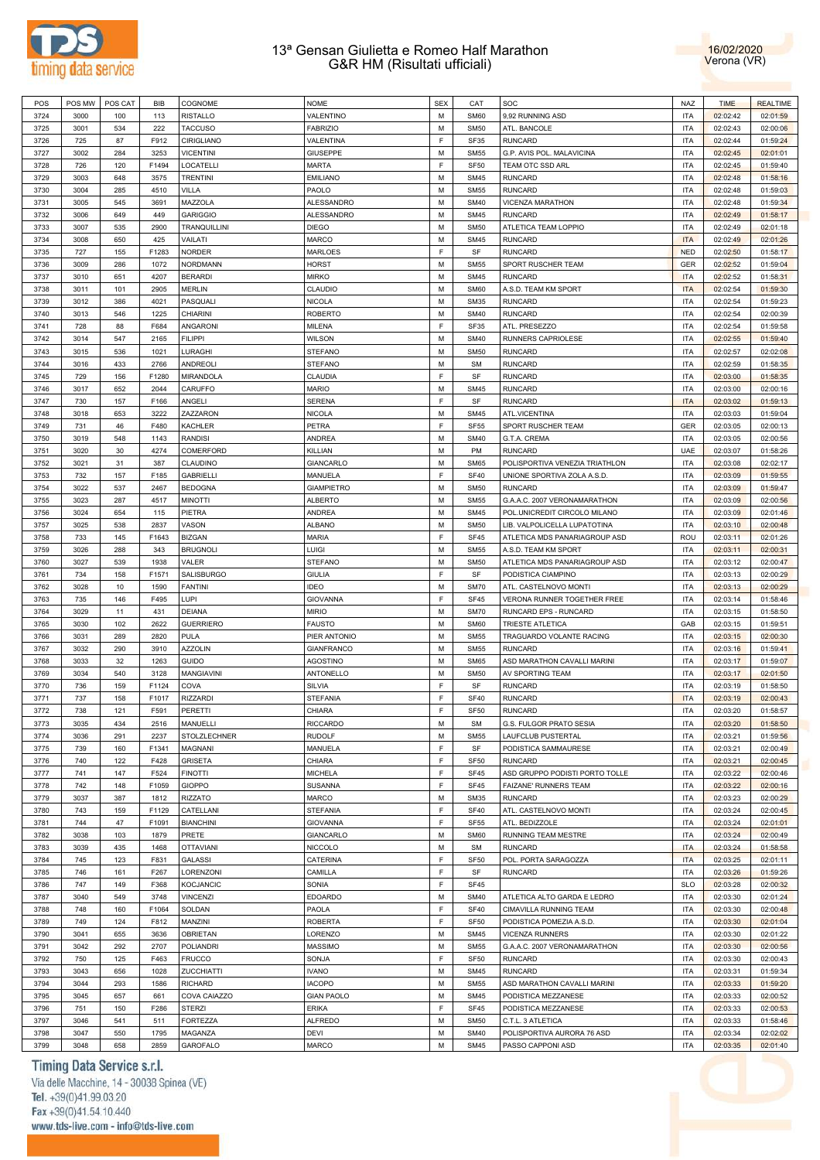



| M<br>3724<br>9,92 RUNNING ASD<br><b>ITA</b><br>02:02:42<br>3000<br>100<br>113<br><b>RISTALLO</b><br>VALENTINO<br><b>SM60</b><br>02:01:59<br>M<br>222<br><b>TACCUSO</b><br><b>SM50</b><br>ATL. BANCOLE<br><b>ITA</b><br>3725<br>3001<br>534<br><b>FABRIZIO</b><br>02:02:43<br>02:00:06<br>F<br>3726<br>87<br>F912<br><b>RUNCARD</b><br><b>ITA</b><br>725<br>CIRIGLIANO<br>VALENTINA<br>SF35<br>02:02:44<br>01:59:24<br>M<br>3002<br>284<br>3253<br><b>ITA</b><br>02:01:01<br>3727<br><b>VICENTINI</b><br><b>GIUSEPPE</b><br><b>SM55</b><br>G.P. AVIS POL. MALAVICINA<br>02:02:45<br>F<br>3728<br>F1494<br>TEAM OTC SSD ARL<br><b>ITA</b><br>726<br>120<br>LOCATELLI<br><b>MARTA</b><br><b>SF50</b><br>02:02:45<br>01:59:40<br>M<br><b>RUNCARD</b><br>3003<br><b>ITA</b><br>01:58:16<br>3729<br>648<br>3575<br><b>TRENTINI</b><br><b>EMILIANO</b><br><b>SM45</b><br>02:02:48<br>M<br>3730<br>285<br>PAOLO<br><b>RUNCARD</b><br><b>ITA</b><br>3004<br>4510<br>VILLA<br><b>SM55</b><br>02:02:48<br>01:59:03<br>M<br><b>ITA</b><br>01:59:34<br>3731<br>3005<br>545<br>3691<br>MAZZOLA<br>ALESSANDRO<br><b>SM40</b><br>VICENZA MARATHON<br>02:02:48<br>M<br>3732<br><b>RUNCARD</b><br><b>ITA</b><br>3006<br>649<br>449<br><b>GARIGGIO</b><br>ALESSANDRO<br><b>SM45</b><br>02:02:49<br>01:58:17<br>M<br>535<br>2900<br><b>ITA</b><br>3733<br>3007<br><b>TRANQUILLINI</b><br><b>DIEGO</b><br><b>SM50</b><br>ATLETICA TEAM LOPPIO<br>02:02:49<br>02:01:18<br>M<br>3734<br>425<br><b>RUNCARD</b><br><b>ITA</b><br>3008<br>650<br>VAILATI<br>MARCO<br><b>SM45</b><br>02:02:49<br>02:01:26<br>F<br>727<br>SF<br><b>RUNCARD</b><br><b>NED</b><br>01:58:17<br>3735<br>155<br>F1283<br><b>NORDER</b><br><b>MARLOES</b><br>02:02:50<br>M<br>3736<br>286<br>1072<br>SPORT RUSCHER TEAM<br>GER<br>3009<br><b>NORDMANN</b><br><b>HORST</b><br><b>SM55</b><br>02:02:52<br>01:59:04<br>M<br><b>RUNCARD</b><br><b>ITA</b><br>3737<br>3010<br>651<br>4207<br><b>BERARDI</b><br><b>MIRKO</b><br><b>SM45</b><br>02:02:52<br>01:58:31<br>M<br>3738<br>2905<br>A.S.D. TEAM KM SPORT<br><b>ITA</b><br>3011<br>101<br><b>MERLIN</b><br>CLAUDIO<br><b>SM60</b><br>02:02:54<br>01:59:30<br>М<br>RUNCARD<br><b>ITA</b><br>01:59:23<br>3739<br>3012<br>386<br>4021<br>PASQUALI<br><b>NICOLA</b><br><b>SM35</b><br>02:02:54<br>M<br>1225<br><b>RUNCARD</b><br><b>ITA</b><br>3740<br>3013<br>546<br>CHIARINI<br><b>ROBERTO</b><br><b>SM40</b><br>02:02:54<br>02:00:39<br>F<br>88<br>F684<br><b>SF35</b><br>ATL. PRESEZZO<br><b>ITA</b><br>3741<br>728<br>ANGARONI<br>MILENA<br>02:02:54<br>01:59:58<br>M<br>3742<br>RUNNERS CAPRIOLESE<br><b>ITA</b><br>3014<br>547<br>2165<br><b>FILIPPI</b><br><b>WILSON</b><br><b>SM40</b><br>02:02:55<br>01:59:40<br>М<br><b>RUNCARD</b><br><b>ITA</b><br>02:02:08<br>3743<br>3015<br>536<br>1021<br>LURAGHI<br><b>STEFANO</b><br><b>SM50</b><br>02:02:57<br>М<br>3744<br>433<br>2766<br>RUNCARD<br><b>ITA</b><br>3016<br>ANDREOLI<br><b>STEFANO</b><br><b>SM</b><br>02:02:59<br>01:58:35<br>F<br>CLAUDIA<br>SF<br><b>RUNCARD</b><br><b>ITA</b><br>01:58:35<br>3745<br>729<br>156<br>F1280<br>MIRANDOLA<br>02:03:00<br>M<br>RUNCARD<br><b>ITA</b><br>3746<br>3017<br>652<br>2044<br>CARUFFO<br><b>MARIO</b><br><b>SM45</b><br>02:03:00<br>02:00:16<br>F<br><b>SERENA</b><br>SF<br><b>RUNCARD</b><br><b>ITA</b><br>3747<br>730<br>157<br>F166<br>ANGELI<br>02:03:02<br>01:59:13<br>M<br>653<br>3222<br><b>ITA</b><br>3748<br>3018<br>ZAZZARON<br><b>NICOLA</b><br><b>SM45</b><br>ATL.VICENTINA<br>02:03:03<br>01:59:04<br>F<br>46<br>PETRA<br><b>SF55</b><br>SPORT RUSCHER TEAM<br>GER<br>3749<br>731<br>F480<br><b>KACHLER</b><br>02:03:05<br>02:00:13<br>M<br>3750<br><b>ITA</b><br>3019<br>548<br>1143<br><b>RANDISI</b><br>ANDREA<br><b>SM40</b><br>G.T.A. CREMA<br>02:03:05<br>02:00:56<br>М<br>RUNCARD<br>30<br>KILLIAN<br>PM<br>UAE<br>3751<br>3020<br>4274<br>COMERFORD<br>02:03:07<br>01:58:26<br>M<br>3752<br>31<br>387<br>POLISPORTIVA VENEZIA TRIATHLON<br><b>ITA</b><br>3021<br>CLAUDINO<br>GIANCARLO<br><b>SM65</b><br>02:03:08<br>02:02:17<br>F<br>732<br>157<br>F185<br>MANUELA<br><b>SF40</b><br>UNIONE SPORTIVA ZOLA A.S.D.<br><b>ITA</b><br>01:59:55<br>3753<br><b>GABRIELLI</b><br>02:03:09<br>M<br>3754<br>537<br><b>GIAMPIETRO</b><br><b>RUNCARD</b><br><b>ITA</b><br>3022<br>2467<br><b>BEDOGNA</b><br><b>SM50</b><br>02:03:09<br>01:59:47<br>M<br><b>ITA</b><br>287<br><b>ALBERTO</b><br>02:00:56<br>3755<br>3023<br>4517<br><b>MINOTTI</b><br><b>SM55</b><br>G.A.A.C. 2007 VERONAMARATHON<br>02:03:09<br>M<br>3756<br>POL.UNICREDIT CIRCOLO MILANO<br><b>ITA</b><br>3024<br>654<br>115<br>PIETRA<br>ANDREA<br><b>SM45</b><br>02:03:09<br>02:01:46<br>M<br>3025<br>538<br>2837<br><b>ALBANO</b><br><b>SM50</b><br><b>ITA</b><br>02:00:48<br>3757<br>VASON<br>LIB. VALPOLICELLA LUPATOTINA<br>02:03:10<br>F<br>3758<br>F1643<br><b>MARIA</b><br>ATLETICA MDS PANARIAGROUP ASD<br>ROU<br>733<br>145<br><b>BIZGAN</b><br><b>SF45</b><br>02:03:11<br>02:01:26<br>M<br>288<br><b>BRUGNOLI</b><br>LUIGI<br><b>SM55</b><br><b>ITA</b><br>02:00:31<br>3759<br>3026<br>343<br>A.S.D. TEAM KM SPORT<br>02:03:11<br>M<br>3760<br>539<br>1938<br><b>STEFANO</b><br><b>SM50</b><br>ATLETICA MDS PANARIAGROUP ASD<br><b>ITA</b><br>02:00:47<br>3027<br>VALER<br>02:03:12<br>F<br>PODISTICA CIAMPINO<br>734<br>158<br>F1571<br><b>GIULIA</b><br>SF<br><b>ITA</b><br>02:00:29<br>3761<br>SALISBURGO<br>02:03:13<br>M<br>3762<br>3028<br>10<br>1590<br><b>IDEO</b><br><b>SM70</b><br><b>ITA</b><br><b>FANTINI</b><br>ATL. CASTELNOVO MONTI<br>02:03:13<br>02:00:29<br>F<br>3763<br>735<br>146<br>F495<br>LUPI<br><b>SF45</b><br>VERONA RUNNER TOGETHER FREE<br><b>ITA</b><br>01:58:46<br><b>GIOVANNA</b><br>02:03:14<br>M<br>3764<br>3029<br>11<br>431<br><b>MIRIO</b><br><b>SM70</b><br>RUNCARD EPS - RUNCARD<br><b>ITA</b><br>02:03:15<br><b>DEIANA</b><br>01:58:50<br>M<br>3030<br>102<br>2622<br><b>GUERRIERO</b><br><b>SM60</b><br>TRIESTE ATLETICA<br>GAB<br>01:59:51<br>3765<br><b>FAUSTO</b><br>02:03:15<br>M<br>3766<br>289<br>2820<br>PULA<br>TRAGUARDO VOLANTE RACING<br><b>ITA</b><br>3031<br>PIER ANTONIO<br><b>SM55</b><br>02:03:15<br>02:00:30<br>M<br><b>RUNCARD</b><br>290<br>3910<br><b>GIANFRANCO</b><br><b>SM55</b><br><b>ITA</b><br>01:59:41<br>3767<br>3032<br><b>AZZOLIN</b><br>02:03:16<br>M<br>3768<br>32<br>1263<br>ASD MARATHON CAVALLI MARINI<br><b>ITA</b><br>3033<br><b>GUIDO</b><br><b>AGOSTINO</b><br><b>SM65</b><br>02:03:17<br>01:59:07<br>540<br>3128<br>ANTONELLO<br>М<br><b>SM50</b><br>AV SPORTING TEAM<br><b>ITA</b><br>3769<br>3034<br>MANGIAVINI<br>02:03:17<br>02:01:50<br>F<br>3770<br>F1124<br><b>RUNCARD</b><br><b>ITA</b><br>736<br>159<br>COVA<br><b>SILVIA</b><br>SF<br>02:03:19<br>01:58:50<br>F<br><b>ITA</b><br>3771<br>737<br>158<br><b>RIZZARDI</b><br><b>SF40</b><br><b>RUNCARD</b><br>02:00:43<br>F1017<br><b>STEFANIA</b><br>02:03:19<br>F<br>3772<br>121<br>F591<br><b>SF50</b><br><b>RUNCARD</b><br><b>ITA</b><br>738<br><b>PERETTI</b><br>CHIARA<br>02:03:20<br>01:58:57<br>3773<br><b>RICCARDO</b><br>M<br>3035<br>2516<br>MANUELLI<br><b>SM</b><br>G.S. FULGOR PRATO SESIA<br>ITA<br>02:03:20<br>01:58:50<br>434<br>M<br>3774<br>291<br>2237<br><b>RUDOLF</b><br><b>SM55</b><br>LAUFCLUB PUSTERTAL<br><b>ITA</b><br>3036<br>STOLZLECHNER<br>02:03:21<br>01:59:56<br>F<br>160<br>MAGNANI<br>MANUELA<br>SF<br>PODISTICA SAMMAURESE<br><b>ITA</b><br>02:00:49<br>3775<br>739<br>F1341<br>02:03:21<br>F<br>3776<br>F428<br>CHIARA<br><b>SF50</b><br><b>RUNCARD</b><br><b>ITA</b><br>740<br>122<br><b>GRISETA</b><br>02:03:21<br>02:00:45<br>F<br><b>MICHELA</b><br><b>SF45</b><br>ASD GRUPPO PODISTI PORTO TOLLE<br><b>ITA</b><br>02:00:46<br>3777<br>741<br>147<br>F524<br><b>FINOTTI</b><br>02:03:22<br>F<br>3778<br><b>FAIZANE' RUNNERS TEAM</b><br>02:03:22<br>742<br>148<br>F1059<br><b>GIOPPO</b><br>SUSANNA<br><b>SF45</b><br><b>ITA</b><br>02:00:16<br>RUNCARD<br>387<br>М<br><b>ITA</b><br>02:00:29<br>3779<br>3037<br>1812<br>RIZZATO<br>MARCO<br><b>SM35</b><br>02:03:23<br>F<br>3780<br>ATL. CASTELNOVO MONTI<br>02:03:24<br>743<br>159<br>F1129<br>CATELLANI<br><b>STEFANIA</b><br><b>SF40</b><br><b>ITA</b><br>02:00:45<br>F<br>744<br><b>GIOVANNA</b><br><b>SF55</b><br>ATL. BEDIZZOLE<br><b>ITA</b><br>3781<br>47<br>F1091<br><b>BIANCHINI</b><br>02:03:24<br>02:01:01<br>М<br>3782<br>103<br>1879<br>RUNNING TEAM MESTRE<br><b>ITA</b><br>02:03:24<br>3038<br>PRETE<br>GIANCARLO<br><b>SM60</b><br>02:00:49<br>RUNCARD<br>435<br>М<br><b>ITA</b><br>01:58:58<br>3783<br>3039<br>1468<br><b>OTTAVIANI</b><br><b>NICCOLO</b><br><b>SM</b><br>02:03:24<br>F<br>3784<br>F831<br><b>GALASSI</b><br><b>SF50</b><br>POL. PORTA SARAGOZZA<br><b>ITA</b><br>02:03:25<br>745<br>123<br>CATERINA<br>02:01:11<br>F<br><b>RUNCARD</b><br>LORENZONI<br>SF<br><b>ITA</b><br>01:59:26<br>3785<br>746<br>161<br>F267<br>CAMILLA<br>02:03:26<br>F<br>3786<br>747<br>F368<br>SF45<br><b>SLO</b><br>02:03:28<br>149<br><b>KOCJANCIC</b><br>SONIA<br>02:00:32<br>549<br>3748<br>М<br><b>SM40</b><br><b>ITA</b><br>3787<br>3040<br><b>VINCENZI</b><br><b>EDOARDO</b><br>ATLETICA ALTO GARDA E LEDRO<br>02:03:30<br>02:01:24<br>F<br>3788<br>CIMAVILLA RUNNING TEAM<br><b>ITA</b><br>02:03:30<br>748<br>160<br>F1064<br>SOLDAN<br>PAOLA<br><b>SF40</b><br>02:00:48<br>F<br>124<br>MANZINI<br><b>SF50</b><br>PODISTICA POMEZIA A.S.D.<br><b>ITA</b><br>02:01:04<br>3789<br>749<br>F812<br><b>ROBERTA</b><br>02:03:30<br>М<br>3790<br>3636<br><b>VICENZA RUNNERS</b><br><b>ITA</b><br>02:03:30<br>3041<br>655<br>OBRIETAN<br>LORENZO<br><b>SM45</b><br>02:01:22<br>292<br>2707<br>POLIANDRI<br>М<br>G.A.A.C. 2007 VERONAMARATHON<br><b>ITA</b><br>02:00:56<br>3791<br>3042<br><b>MASSIMO</b><br><b>SM55</b><br>02:03:30<br>F<br><b>RUNCARD</b><br>3792<br>F463<br><b>ITA</b><br>02:03:30<br>750<br>125<br><b>FRUCCO</b><br>SONJA<br><b>SF50</b><br>02:00:43<br><b>RUNCARD</b><br><b>IVANO</b><br>M<br><b>ITA</b><br>01:59:34<br>3793<br>3043<br>656<br>1028<br>ZUCCHIATTI<br><b>SM45</b><br>02:03:31<br>М<br>3794<br>293<br>1586<br><b>RICHARD</b><br><b>IACOPO</b><br>ASD MARATHON CAVALLI MARINI<br><b>ITA</b><br>02:03:33<br>3044<br><b>SM55</b><br>01:59:20<br><b>GIAN PAOLO</b><br>М<br>PODISTICA MEZZANESE<br><b>ITA</b><br>02:00:52<br>3795<br>3045<br>657<br>661<br>COVA CAIAZZO<br><b>SM45</b><br>02:03:33<br>F<br>F286<br><b>ERIKA</b><br>PODISTICA MEZZANESE<br><b>ITA</b><br>02:03:33<br>3796<br>751<br>150<br><b>STERZI</b><br><b>SF45</b><br>02:00:53<br><b>ALFREDO</b><br>М<br>C.T.L. 3 ATLETICA<br><b>ITA</b><br>01:58:46<br>3797<br>3046<br>541<br>511<br><b>FORTEZZA</b><br><b>SM50</b><br>02:03:33<br>М<br>3798<br>1795<br>MAGANZA<br>DEVI<br>POLISPORTIVA AURORA 76 ASD<br><b>ITA</b><br>02:03:34<br>3047<br>550<br><b>SM40</b><br>02:02:02<br>М<br>3799<br>2859<br>GAROFALO<br>MARCO<br><b>SM45</b><br>PASSO CAPPONI ASD<br><b>ITA</b><br>3048<br>658<br>02:03:35<br>02:01:40 | POS | POS MW | POS CAT | BIB | COGNOME | <b>NOME</b> | <b>SEX</b> | CAT | SOC | NAZ | <b>TIME</b> | <b>REALTIME</b> |
|------------------------------------------------------------------------------------------------------------------------------------------------------------------------------------------------------------------------------------------------------------------------------------------------------------------------------------------------------------------------------------------------------------------------------------------------------------------------------------------------------------------------------------------------------------------------------------------------------------------------------------------------------------------------------------------------------------------------------------------------------------------------------------------------------------------------------------------------------------------------------------------------------------------------------------------------------------------------------------------------------------------------------------------------------------------------------------------------------------------------------------------------------------------------------------------------------------------------------------------------------------------------------------------------------------------------------------------------------------------------------------------------------------------------------------------------------------------------------------------------------------------------------------------------------------------------------------------------------------------------------------------------------------------------------------------------------------------------------------------------------------------------------------------------------------------------------------------------------------------------------------------------------------------------------------------------------------------------------------------------------------------------------------------------------------------------------------------------------------------------------------------------------------------------------------------------------------------------------------------------------------------------------------------------------------------------------------------------------------------------------------------------------------------------------------------------------------------------------------------------------------------------------------------------------------------------------------------------------------------------------------------------------------------------------------------------------------------------------------------------------------------------------------------------------------------------------------------------------------------------------------------------------------------------------------------------------------------------------------------------------------------------------------------------------------------------------------------------------------------------------------------------------------------------------------------------------------------------------------------------------------------------------------------------------------------------------------------------------------------------------------------------------------------------------------------------------------------------------------------------------------------------------------------------------------------------------------------------------------------------------------------------------------------------------------------------------------------------------------------------------------------------------------------------------------------------------------------------------------------------------------------------------------------------------------------------------------------------------------------------------------------------------------------------------------------------------------------------------------------------------------------------------------------------------------------------------------------------------------------------------------------------------------------------------------------------------------------------------------------------------------------------------------------------------------------------------------------------------------------------------------------------------------------------------------------------------------------------------------------------------------------------------------------------------------------------------------------------------------------------------------------------------------------------------------------------------------------------------------------------------------------------------------------------------------------------------------------------------------------------------------------------------------------------------------------------------------------------------------------------------------------------------------------------------------------------------------------------------------------------------------------------------------------------------------------------------------------------------------------------------------------------------------------------------------------------------------------------------------------------------------------------------------------------------------------------------------------------------------------------------------------------------------------------------------------------------------------------------------------------------------------------------------------------------------------------------------------------------------------------------------------------------------------------------------------------------------------------------------------------------------------------------------------------------------------------------------------------------------------------------------------------------------------------------------------------------------------------------------------------------------------------------------------------------------------------------------------------------------------------------------------------------------------------------------------------------------------------------------------------------------------------------------------------------------------------------------------------------------------------------------------------------------------------------------------------------------------------------------------------------------------------------------------------------------------------------------------------------------------------------------------------------------------------------------------------------------------------------------------------------------------------------------------------------------------------------------------------------------------------------------------------------------------------------------------------------------------------------------------------------------------------------------------------------------------------------------------------------------------------------------------------------------------------------------------------------------------------------------------------------------------------------------------------------------------------------------------------------------------------------------------------------------------------------------------------------------------------------------------------------------------------------------------------------------------------------------------------------------------------------------------------------------------------------------------------------------------------------------------------------------------------------------------------------------------------------------------------------------------------------------------------------------------------------------------------------------------------------------------------------------------------------------------------------------------------------------------------------------------------------------------------------------------------------------------------------------------------------------------------------------------------------------------------------------------------------------------------------------------------------------------------------------------------------------------------------------------------------------------------------------------------------------------------------------------------------------------------------------------------------------------------------------------------------------------------------------------------------------------------------------------------------------------------------------------------------------------------------------------------------------------------------------------------------------------------------------------------------------------------------------------------------------------------------------------------------------------------------------------------------------------------------------------------------------------------------------------------------------------------------------------------------------------------------------------------------------------------------------------------------------------------------------------------------------------------------------------------------------------------------------------------------------------------------------------------------------------------------------------------------------------------------------------------------------------------------------------------------------------------------------------------------------------------------------------------------------------------------------------------------------------------------------------------------------------------------------------------------------------------------------------------------------------------------------------------------------------------------------------------------------------------------------------------------------------------------------------------------------------------------------------------------------------------------------------------------------------------------------------------------------------------------------------------------------------------------------------------------------------------------------------------------------------------------------------------------------------------------------------------------------------------------------------------------------------------------------|-----|--------|---------|-----|---------|-------------|------------|-----|-----|-----|-------------|-----------------|
|                                                                                                                                                                                                                                                                                                                                                                                                                                                                                                                                                                                                                                                                                                                                                                                                                                                                                                                                                                                                                                                                                                                                                                                                                                                                                                                                                                                                                                                                                                                                                                                                                                                                                                                                                                                                                                                                                                                                                                                                                                                                                                                                                                                                                                                                                                                                                                                                                                                                                                                                                                                                                                                                                                                                                                                                                                                                                                                                                                                                                                                                                                                                                                                                                                                                                                                                                                                                                                                                                                                                                                                                                                                                                                                                                                                                                                                                                                                                                                                                                                                                                                                                                                                                                                                                                                                                                                                                                                                                                                                                                                                                                                                                                                                                                                                                                                                                                                                                                                                                                                                                                                                                                                                                                                                                                                                                                                                                                                                                                                                                                                                                                                                                                                                                                                                                                                                                                                                                                                                                                                                                                                                                                                                                                                                                                                                                                                                                                                                                                                                                                                                                                                                                                                                                                                                                                                                                                                                                                                                                                                                                                                                                                                                                                                                                                                                                                                                                                                                                                                                                                                                                                                                                                                                                                                                                                                                                                                                                                                                                                                                                                                                                                                                                                                                                                                                                                                                                                                                                                                                                                                                                                                                                                                                                                                                                                                                                                                                                                                                                                                                                                                                                                                                                                                                                                                                                                                                                                                                                                                                                                                                                                                                                                                                                                                                                                                                                                                                                                                                                                                                                                                                                                                                                                                                                                                                                                                                                                                                                                                                                                                                                                                                                                                                                                                                                                                                                                                                                                            |     |        |         |     |         |             |            |     |     |     |             |                 |
|                                                                                                                                                                                                                                                                                                                                                                                                                                                                                                                                                                                                                                                                                                                                                                                                                                                                                                                                                                                                                                                                                                                                                                                                                                                                                                                                                                                                                                                                                                                                                                                                                                                                                                                                                                                                                                                                                                                                                                                                                                                                                                                                                                                                                                                                                                                                                                                                                                                                                                                                                                                                                                                                                                                                                                                                                                                                                                                                                                                                                                                                                                                                                                                                                                                                                                                                                                                                                                                                                                                                                                                                                                                                                                                                                                                                                                                                                                                                                                                                                                                                                                                                                                                                                                                                                                                                                                                                                                                                                                                                                                                                                                                                                                                                                                                                                                                                                                                                                                                                                                                                                                                                                                                                                                                                                                                                                                                                                                                                                                                                                                                                                                                                                                                                                                                                                                                                                                                                                                                                                                                                                                                                                                                                                                                                                                                                                                                                                                                                                                                                                                                                                                                                                                                                                                                                                                                                                                                                                                                                                                                                                                                                                                                                                                                                                                                                                                                                                                                                                                                                                                                                                                                                                                                                                                                                                                                                                                                                                                                                                                                                                                                                                                                                                                                                                                                                                                                                                                                                                                                                                                                                                                                                                                                                                                                                                                                                                                                                                                                                                                                                                                                                                                                                                                                                                                                                                                                                                                                                                                                                                                                                                                                                                                                                                                                                                                                                                                                                                                                                                                                                                                                                                                                                                                                                                                                                                                                                                                                                                                                                                                                                                                                                                                                                                                                                                                                                                                                                                            |     |        |         |     |         |             |            |     |     |     |             |                 |
|                                                                                                                                                                                                                                                                                                                                                                                                                                                                                                                                                                                                                                                                                                                                                                                                                                                                                                                                                                                                                                                                                                                                                                                                                                                                                                                                                                                                                                                                                                                                                                                                                                                                                                                                                                                                                                                                                                                                                                                                                                                                                                                                                                                                                                                                                                                                                                                                                                                                                                                                                                                                                                                                                                                                                                                                                                                                                                                                                                                                                                                                                                                                                                                                                                                                                                                                                                                                                                                                                                                                                                                                                                                                                                                                                                                                                                                                                                                                                                                                                                                                                                                                                                                                                                                                                                                                                                                                                                                                                                                                                                                                                                                                                                                                                                                                                                                                                                                                                                                                                                                                                                                                                                                                                                                                                                                                                                                                                                                                                                                                                                                                                                                                                                                                                                                                                                                                                                                                                                                                                                                                                                                                                                                                                                                                                                                                                                                                                                                                                                                                                                                                                                                                                                                                                                                                                                                                                                                                                                                                                                                                                                                                                                                                                                                                                                                                                                                                                                                                                                                                                                                                                                                                                                                                                                                                                                                                                                                                                                                                                                                                                                                                                                                                                                                                                                                                                                                                                                                                                                                                                                                                                                                                                                                                                                                                                                                                                                                                                                                                                                                                                                                                                                                                                                                                                                                                                                                                                                                                                                                                                                                                                                                                                                                                                                                                                                                                                                                                                                                                                                                                                                                                                                                                                                                                                                                                                                                                                                                                                                                                                                                                                                                                                                                                                                                                                                                                                                                                                            |     |        |         |     |         |             |            |     |     |     |             |                 |
|                                                                                                                                                                                                                                                                                                                                                                                                                                                                                                                                                                                                                                                                                                                                                                                                                                                                                                                                                                                                                                                                                                                                                                                                                                                                                                                                                                                                                                                                                                                                                                                                                                                                                                                                                                                                                                                                                                                                                                                                                                                                                                                                                                                                                                                                                                                                                                                                                                                                                                                                                                                                                                                                                                                                                                                                                                                                                                                                                                                                                                                                                                                                                                                                                                                                                                                                                                                                                                                                                                                                                                                                                                                                                                                                                                                                                                                                                                                                                                                                                                                                                                                                                                                                                                                                                                                                                                                                                                                                                                                                                                                                                                                                                                                                                                                                                                                                                                                                                                                                                                                                                                                                                                                                                                                                                                                                                                                                                                                                                                                                                                                                                                                                                                                                                                                                                                                                                                                                                                                                                                                                                                                                                                                                                                                                                                                                                                                                                                                                                                                                                                                                                                                                                                                                                                                                                                                                                                                                                                                                                                                                                                                                                                                                                                                                                                                                                                                                                                                                                                                                                                                                                                                                                                                                                                                                                                                                                                                                                                                                                                                                                                                                                                                                                                                                                                                                                                                                                                                                                                                                                                                                                                                                                                                                                                                                                                                                                                                                                                                                                                                                                                                                                                                                                                                                                                                                                                                                                                                                                                                                                                                                                                                                                                                                                                                                                                                                                                                                                                                                                                                                                                                                                                                                                                                                                                                                                                                                                                                                                                                                                                                                                                                                                                                                                                                                                                                                                                                                                            |     |        |         |     |         |             |            |     |     |     |             |                 |
|                                                                                                                                                                                                                                                                                                                                                                                                                                                                                                                                                                                                                                                                                                                                                                                                                                                                                                                                                                                                                                                                                                                                                                                                                                                                                                                                                                                                                                                                                                                                                                                                                                                                                                                                                                                                                                                                                                                                                                                                                                                                                                                                                                                                                                                                                                                                                                                                                                                                                                                                                                                                                                                                                                                                                                                                                                                                                                                                                                                                                                                                                                                                                                                                                                                                                                                                                                                                                                                                                                                                                                                                                                                                                                                                                                                                                                                                                                                                                                                                                                                                                                                                                                                                                                                                                                                                                                                                                                                                                                                                                                                                                                                                                                                                                                                                                                                                                                                                                                                                                                                                                                                                                                                                                                                                                                                                                                                                                                                                                                                                                                                                                                                                                                                                                                                                                                                                                                                                                                                                                                                                                                                                                                                                                                                                                                                                                                                                                                                                                                                                                                                                                                                                                                                                                                                                                                                                                                                                                                                                                                                                                                                                                                                                                                                                                                                                                                                                                                                                                                                                                                                                                                                                                                                                                                                                                                                                                                                                                                                                                                                                                                                                                                                                                                                                                                                                                                                                                                                                                                                                                                                                                                                                                                                                                                                                                                                                                                                                                                                                                                                                                                                                                                                                                                                                                                                                                                                                                                                                                                                                                                                                                                                                                                                                                                                                                                                                                                                                                                                                                                                                                                                                                                                                                                                                                                                                                                                                                                                                                                                                                                                                                                                                                                                                                                                                                                                                                                                                                            |     |        |         |     |         |             |            |     |     |     |             |                 |
|                                                                                                                                                                                                                                                                                                                                                                                                                                                                                                                                                                                                                                                                                                                                                                                                                                                                                                                                                                                                                                                                                                                                                                                                                                                                                                                                                                                                                                                                                                                                                                                                                                                                                                                                                                                                                                                                                                                                                                                                                                                                                                                                                                                                                                                                                                                                                                                                                                                                                                                                                                                                                                                                                                                                                                                                                                                                                                                                                                                                                                                                                                                                                                                                                                                                                                                                                                                                                                                                                                                                                                                                                                                                                                                                                                                                                                                                                                                                                                                                                                                                                                                                                                                                                                                                                                                                                                                                                                                                                                                                                                                                                                                                                                                                                                                                                                                                                                                                                                                                                                                                                                                                                                                                                                                                                                                                                                                                                                                                                                                                                                                                                                                                                                                                                                                                                                                                                                                                                                                                                                                                                                                                                                                                                                                                                                                                                                                                                                                                                                                                                                                                                                                                                                                                                                                                                                                                                                                                                                                                                                                                                                                                                                                                                                                                                                                                                                                                                                                                                                                                                                                                                                                                                                                                                                                                                                                                                                                                                                                                                                                                                                                                                                                                                                                                                                                                                                                                                                                                                                                                                                                                                                                                                                                                                                                                                                                                                                                                                                                                                                                                                                                                                                                                                                                                                                                                                                                                                                                                                                                                                                                                                                                                                                                                                                                                                                                                                                                                                                                                                                                                                                                                                                                                                                                                                                                                                                                                                                                                                                                                                                                                                                                                                                                                                                                                                                                                                                                                                            |     |        |         |     |         |             |            |     |     |     |             |                 |
|                                                                                                                                                                                                                                                                                                                                                                                                                                                                                                                                                                                                                                                                                                                                                                                                                                                                                                                                                                                                                                                                                                                                                                                                                                                                                                                                                                                                                                                                                                                                                                                                                                                                                                                                                                                                                                                                                                                                                                                                                                                                                                                                                                                                                                                                                                                                                                                                                                                                                                                                                                                                                                                                                                                                                                                                                                                                                                                                                                                                                                                                                                                                                                                                                                                                                                                                                                                                                                                                                                                                                                                                                                                                                                                                                                                                                                                                                                                                                                                                                                                                                                                                                                                                                                                                                                                                                                                                                                                                                                                                                                                                                                                                                                                                                                                                                                                                                                                                                                                                                                                                                                                                                                                                                                                                                                                                                                                                                                                                                                                                                                                                                                                                                                                                                                                                                                                                                                                                                                                                                                                                                                                                                                                                                                                                                                                                                                                                                                                                                                                                                                                                                                                                                                                                                                                                                                                                                                                                                                                                                                                                                                                                                                                                                                                                                                                                                                                                                                                                                                                                                                                                                                                                                                                                                                                                                                                                                                                                                                                                                                                                                                                                                                                                                                                                                                                                                                                                                                                                                                                                                                                                                                                                                                                                                                                                                                                                                                                                                                                                                                                                                                                                                                                                                                                                                                                                                                                                                                                                                                                                                                                                                                                                                                                                                                                                                                                                                                                                                                                                                                                                                                                                                                                                                                                                                                                                                                                                                                                                                                                                                                                                                                                                                                                                                                                                                                                                                                                                                            |     |        |         |     |         |             |            |     |     |     |             |                 |
|                                                                                                                                                                                                                                                                                                                                                                                                                                                                                                                                                                                                                                                                                                                                                                                                                                                                                                                                                                                                                                                                                                                                                                                                                                                                                                                                                                                                                                                                                                                                                                                                                                                                                                                                                                                                                                                                                                                                                                                                                                                                                                                                                                                                                                                                                                                                                                                                                                                                                                                                                                                                                                                                                                                                                                                                                                                                                                                                                                                                                                                                                                                                                                                                                                                                                                                                                                                                                                                                                                                                                                                                                                                                                                                                                                                                                                                                                                                                                                                                                                                                                                                                                                                                                                                                                                                                                                                                                                                                                                                                                                                                                                                                                                                                                                                                                                                                                                                                                                                                                                                                                                                                                                                                                                                                                                                                                                                                                                                                                                                                                                                                                                                                                                                                                                                                                                                                                                                                                                                                                                                                                                                                                                                                                                                                                                                                                                                                                                                                                                                                                                                                                                                                                                                                                                                                                                                                                                                                                                                                                                                                                                                                                                                                                                                                                                                                                                                                                                                                                                                                                                                                                                                                                                                                                                                                                                                                                                                                                                                                                                                                                                                                                                                                                                                                                                                                                                                                                                                                                                                                                                                                                                                                                                                                                                                                                                                                                                                                                                                                                                                                                                                                                                                                                                                                                                                                                                                                                                                                                                                                                                                                                                                                                                                                                                                                                                                                                                                                                                                                                                                                                                                                                                                                                                                                                                                                                                                                                                                                                                                                                                                                                                                                                                                                                                                                                                                                                                                                                            |     |        |         |     |         |             |            |     |     |     |             |                 |
|                                                                                                                                                                                                                                                                                                                                                                                                                                                                                                                                                                                                                                                                                                                                                                                                                                                                                                                                                                                                                                                                                                                                                                                                                                                                                                                                                                                                                                                                                                                                                                                                                                                                                                                                                                                                                                                                                                                                                                                                                                                                                                                                                                                                                                                                                                                                                                                                                                                                                                                                                                                                                                                                                                                                                                                                                                                                                                                                                                                                                                                                                                                                                                                                                                                                                                                                                                                                                                                                                                                                                                                                                                                                                                                                                                                                                                                                                                                                                                                                                                                                                                                                                                                                                                                                                                                                                                                                                                                                                                                                                                                                                                                                                                                                                                                                                                                                                                                                                                                                                                                                                                                                                                                                                                                                                                                                                                                                                                                                                                                                                                                                                                                                                                                                                                                                                                                                                                                                                                                                                                                                                                                                                                                                                                                                                                                                                                                                                                                                                                                                                                                                                                                                                                                                                                                                                                                                                                                                                                                                                                                                                                                                                                                                                                                                                                                                                                                                                                                                                                                                                                                                                                                                                                                                                                                                                                                                                                                                                                                                                                                                                                                                                                                                                                                                                                                                                                                                                                                                                                                                                                                                                                                                                                                                                                                                                                                                                                                                                                                                                                                                                                                                                                                                                                                                                                                                                                                                                                                                                                                                                                                                                                                                                                                                                                                                                                                                                                                                                                                                                                                                                                                                                                                                                                                                                                                                                                                                                                                                                                                                                                                                                                                                                                                                                                                                                                                                                                                                                            |     |        |         |     |         |             |            |     |     |     |             |                 |
|                                                                                                                                                                                                                                                                                                                                                                                                                                                                                                                                                                                                                                                                                                                                                                                                                                                                                                                                                                                                                                                                                                                                                                                                                                                                                                                                                                                                                                                                                                                                                                                                                                                                                                                                                                                                                                                                                                                                                                                                                                                                                                                                                                                                                                                                                                                                                                                                                                                                                                                                                                                                                                                                                                                                                                                                                                                                                                                                                                                                                                                                                                                                                                                                                                                                                                                                                                                                                                                                                                                                                                                                                                                                                                                                                                                                                                                                                                                                                                                                                                                                                                                                                                                                                                                                                                                                                                                                                                                                                                                                                                                                                                                                                                                                                                                                                                                                                                                                                                                                                                                                                                                                                                                                                                                                                                                                                                                                                                                                                                                                                                                                                                                                                                                                                                                                                                                                                                                                                                                                                                                                                                                                                                                                                                                                                                                                                                                                                                                                                                                                                                                                                                                                                                                                                                                                                                                                                                                                                                                                                                                                                                                                                                                                                                                                                                                                                                                                                                                                                                                                                                                                                                                                                                                                                                                                                                                                                                                                                                                                                                                                                                                                                                                                                                                                                                                                                                                                                                                                                                                                                                                                                                                                                                                                                                                                                                                                                                                                                                                                                                                                                                                                                                                                                                                                                                                                                                                                                                                                                                                                                                                                                                                                                                                                                                                                                                                                                                                                                                                                                                                                                                                                                                                                                                                                                                                                                                                                                                                                                                                                                                                                                                                                                                                                                                                                                                                                                                                                                            |     |        |         |     |         |             |            |     |     |     |             |                 |
|                                                                                                                                                                                                                                                                                                                                                                                                                                                                                                                                                                                                                                                                                                                                                                                                                                                                                                                                                                                                                                                                                                                                                                                                                                                                                                                                                                                                                                                                                                                                                                                                                                                                                                                                                                                                                                                                                                                                                                                                                                                                                                                                                                                                                                                                                                                                                                                                                                                                                                                                                                                                                                                                                                                                                                                                                                                                                                                                                                                                                                                                                                                                                                                                                                                                                                                                                                                                                                                                                                                                                                                                                                                                                                                                                                                                                                                                                                                                                                                                                                                                                                                                                                                                                                                                                                                                                                                                                                                                                                                                                                                                                                                                                                                                                                                                                                                                                                                                                                                                                                                                                                                                                                                                                                                                                                                                                                                                                                                                                                                                                                                                                                                                                                                                                                                                                                                                                                                                                                                                                                                                                                                                                                                                                                                                                                                                                                                                                                                                                                                                                                                                                                                                                                                                                                                                                                                                                                                                                                                                                                                                                                                                                                                                                                                                                                                                                                                                                                                                                                                                                                                                                                                                                                                                                                                                                                                                                                                                                                                                                                                                                                                                                                                                                                                                                                                                                                                                                                                                                                                                                                                                                                                                                                                                                                                                                                                                                                                                                                                                                                                                                                                                                                                                                                                                                                                                                                                                                                                                                                                                                                                                                                                                                                                                                                                                                                                                                                                                                                                                                                                                                                                                                                                                                                                                                                                                                                                                                                                                                                                                                                                                                                                                                                                                                                                                                                                                                                                                                            |     |        |         |     |         |             |            |     |     |     |             |                 |
|                                                                                                                                                                                                                                                                                                                                                                                                                                                                                                                                                                                                                                                                                                                                                                                                                                                                                                                                                                                                                                                                                                                                                                                                                                                                                                                                                                                                                                                                                                                                                                                                                                                                                                                                                                                                                                                                                                                                                                                                                                                                                                                                                                                                                                                                                                                                                                                                                                                                                                                                                                                                                                                                                                                                                                                                                                                                                                                                                                                                                                                                                                                                                                                                                                                                                                                                                                                                                                                                                                                                                                                                                                                                                                                                                                                                                                                                                                                                                                                                                                                                                                                                                                                                                                                                                                                                                                                                                                                                                                                                                                                                                                                                                                                                                                                                                                                                                                                                                                                                                                                                                                                                                                                                                                                                                                                                                                                                                                                                                                                                                                                                                                                                                                                                                                                                                                                                                                                                                                                                                                                                                                                                                                                                                                                                                                                                                                                                                                                                                                                                                                                                                                                                                                                                                                                                                                                                                                                                                                                                                                                                                                                                                                                                                                                                                                                                                                                                                                                                                                                                                                                                                                                                                                                                                                                                                                                                                                                                                                                                                                                                                                                                                                                                                                                                                                                                                                                                                                                                                                                                                                                                                                                                                                                                                                                                                                                                                                                                                                                                                                                                                                                                                                                                                                                                                                                                                                                                                                                                                                                                                                                                                                                                                                                                                                                                                                                                                                                                                                                                                                                                                                                                                                                                                                                                                                                                                                                                                                                                                                                                                                                                                                                                                                                                                                                                                                                                                                                                                            |     |        |         |     |         |             |            |     |     |     |             |                 |
|                                                                                                                                                                                                                                                                                                                                                                                                                                                                                                                                                                                                                                                                                                                                                                                                                                                                                                                                                                                                                                                                                                                                                                                                                                                                                                                                                                                                                                                                                                                                                                                                                                                                                                                                                                                                                                                                                                                                                                                                                                                                                                                                                                                                                                                                                                                                                                                                                                                                                                                                                                                                                                                                                                                                                                                                                                                                                                                                                                                                                                                                                                                                                                                                                                                                                                                                                                                                                                                                                                                                                                                                                                                                                                                                                                                                                                                                                                                                                                                                                                                                                                                                                                                                                                                                                                                                                                                                                                                                                                                                                                                                                                                                                                                                                                                                                                                                                                                                                                                                                                                                                                                                                                                                                                                                                                                                                                                                                                                                                                                                                                                                                                                                                                                                                                                                                                                                                                                                                                                                                                                                                                                                                                                                                                                                                                                                                                                                                                                                                                                                                                                                                                                                                                                                                                                                                                                                                                                                                                                                                                                                                                                                                                                                                                                                                                                                                                                                                                                                                                                                                                                                                                                                                                                                                                                                                                                                                                                                                                                                                                                                                                                                                                                                                                                                                                                                                                                                                                                                                                                                                                                                                                                                                                                                                                                                                                                                                                                                                                                                                                                                                                                                                                                                                                                                                                                                                                                                                                                                                                                                                                                                                                                                                                                                                                                                                                                                                                                                                                                                                                                                                                                                                                                                                                                                                                                                                                                                                                                                                                                                                                                                                                                                                                                                                                                                                                                                                                                                                            |     |        |         |     |         |             |            |     |     |     |             |                 |
|                                                                                                                                                                                                                                                                                                                                                                                                                                                                                                                                                                                                                                                                                                                                                                                                                                                                                                                                                                                                                                                                                                                                                                                                                                                                                                                                                                                                                                                                                                                                                                                                                                                                                                                                                                                                                                                                                                                                                                                                                                                                                                                                                                                                                                                                                                                                                                                                                                                                                                                                                                                                                                                                                                                                                                                                                                                                                                                                                                                                                                                                                                                                                                                                                                                                                                                                                                                                                                                                                                                                                                                                                                                                                                                                                                                                                                                                                                                                                                                                                                                                                                                                                                                                                                                                                                                                                                                                                                                                                                                                                                                                                                                                                                                                                                                                                                                                                                                                                                                                                                                                                                                                                                                                                                                                                                                                                                                                                                                                                                                                                                                                                                                                                                                                                                                                                                                                                                                                                                                                                                                                                                                                                                                                                                                                                                                                                                                                                                                                                                                                                                                                                                                                                                                                                                                                                                                                                                                                                                                                                                                                                                                                                                                                                                                                                                                                                                                                                                                                                                                                                                                                                                                                                                                                                                                                                                                                                                                                                                                                                                                                                                                                                                                                                                                                                                                                                                                                                                                                                                                                                                                                                                                                                                                                                                                                                                                                                                                                                                                                                                                                                                                                                                                                                                                                                                                                                                                                                                                                                                                                                                                                                                                                                                                                                                                                                                                                                                                                                                                                                                                                                                                                                                                                                                                                                                                                                                                                                                                                                                                                                                                                                                                                                                                                                                                                                                                                                                                                                            |     |        |         |     |         |             |            |     |     |     |             |                 |
|                                                                                                                                                                                                                                                                                                                                                                                                                                                                                                                                                                                                                                                                                                                                                                                                                                                                                                                                                                                                                                                                                                                                                                                                                                                                                                                                                                                                                                                                                                                                                                                                                                                                                                                                                                                                                                                                                                                                                                                                                                                                                                                                                                                                                                                                                                                                                                                                                                                                                                                                                                                                                                                                                                                                                                                                                                                                                                                                                                                                                                                                                                                                                                                                                                                                                                                                                                                                                                                                                                                                                                                                                                                                                                                                                                                                                                                                                                                                                                                                                                                                                                                                                                                                                                                                                                                                                                                                                                                                                                                                                                                                                                                                                                                                                                                                                                                                                                                                                                                                                                                                                                                                                                                                                                                                                                                                                                                                                                                                                                                                                                                                                                                                                                                                                                                                                                                                                                                                                                                                                                                                                                                                                                                                                                                                                                                                                                                                                                                                                                                                                                                                                                                                                                                                                                                                                                                                                                                                                                                                                                                                                                                                                                                                                                                                                                                                                                                                                                                                                                                                                                                                                                                                                                                                                                                                                                                                                                                                                                                                                                                                                                                                                                                                                                                                                                                                                                                                                                                                                                                                                                                                                                                                                                                                                                                                                                                                                                                                                                                                                                                                                                                                                                                                                                                                                                                                                                                                                                                                                                                                                                                                                                                                                                                                                                                                                                                                                                                                                                                                                                                                                                                                                                                                                                                                                                                                                                                                                                                                                                                                                                                                                                                                                                                                                                                                                                                                                                                                                            |     |        |         |     |         |             |            |     |     |     |             |                 |
|                                                                                                                                                                                                                                                                                                                                                                                                                                                                                                                                                                                                                                                                                                                                                                                                                                                                                                                                                                                                                                                                                                                                                                                                                                                                                                                                                                                                                                                                                                                                                                                                                                                                                                                                                                                                                                                                                                                                                                                                                                                                                                                                                                                                                                                                                                                                                                                                                                                                                                                                                                                                                                                                                                                                                                                                                                                                                                                                                                                                                                                                                                                                                                                                                                                                                                                                                                                                                                                                                                                                                                                                                                                                                                                                                                                                                                                                                                                                                                                                                                                                                                                                                                                                                                                                                                                                                                                                                                                                                                                                                                                                                                                                                                                                                                                                                                                                                                                                                                                                                                                                                                                                                                                                                                                                                                                                                                                                                                                                                                                                                                                                                                                                                                                                                                                                                                                                                                                                                                                                                                                                                                                                                                                                                                                                                                                                                                                                                                                                                                                                                                                                                                                                                                                                                                                                                                                                                                                                                                                                                                                                                                                                                                                                                                                                                                                                                                                                                                                                                                                                                                                                                                                                                                                                                                                                                                                                                                                                                                                                                                                                                                                                                                                                                                                                                                                                                                                                                                                                                                                                                                                                                                                                                                                                                                                                                                                                                                                                                                                                                                                                                                                                                                                                                                                                                                                                                                                                                                                                                                                                                                                                                                                                                                                                                                                                                                                                                                                                                                                                                                                                                                                                                                                                                                                                                                                                                                                                                                                                                                                                                                                                                                                                                                                                                                                                                                                                                                                                                            |     |        |         |     |         |             |            |     |     |     |             |                 |
|                                                                                                                                                                                                                                                                                                                                                                                                                                                                                                                                                                                                                                                                                                                                                                                                                                                                                                                                                                                                                                                                                                                                                                                                                                                                                                                                                                                                                                                                                                                                                                                                                                                                                                                                                                                                                                                                                                                                                                                                                                                                                                                                                                                                                                                                                                                                                                                                                                                                                                                                                                                                                                                                                                                                                                                                                                                                                                                                                                                                                                                                                                                                                                                                                                                                                                                                                                                                                                                                                                                                                                                                                                                                                                                                                                                                                                                                                                                                                                                                                                                                                                                                                                                                                                                                                                                                                                                                                                                                                                                                                                                                                                                                                                                                                                                                                                                                                                                                                                                                                                                                                                                                                                                                                                                                                                                                                                                                                                                                                                                                                                                                                                                                                                                                                                                                                                                                                                                                                                                                                                                                                                                                                                                                                                                                                                                                                                                                                                                                                                                                                                                                                                                                                                                                                                                                                                                                                                                                                                                                                                                                                                                                                                                                                                                                                                                                                                                                                                                                                                                                                                                                                                                                                                                                                                                                                                                                                                                                                                                                                                                                                                                                                                                                                                                                                                                                                                                                                                                                                                                                                                                                                                                                                                                                                                                                                                                                                                                                                                                                                                                                                                                                                                                                                                                                                                                                                                                                                                                                                                                                                                                                                                                                                                                                                                                                                                                                                                                                                                                                                                                                                                                                                                                                                                                                                                                                                                                                                                                                                                                                                                                                                                                                                                                                                                                                                                                                                                                                                            |     |        |         |     |         |             |            |     |     |     |             |                 |
|                                                                                                                                                                                                                                                                                                                                                                                                                                                                                                                                                                                                                                                                                                                                                                                                                                                                                                                                                                                                                                                                                                                                                                                                                                                                                                                                                                                                                                                                                                                                                                                                                                                                                                                                                                                                                                                                                                                                                                                                                                                                                                                                                                                                                                                                                                                                                                                                                                                                                                                                                                                                                                                                                                                                                                                                                                                                                                                                                                                                                                                                                                                                                                                                                                                                                                                                                                                                                                                                                                                                                                                                                                                                                                                                                                                                                                                                                                                                                                                                                                                                                                                                                                                                                                                                                                                                                                                                                                                                                                                                                                                                                                                                                                                                                                                                                                                                                                                                                                                                                                                                                                                                                                                                                                                                                                                                                                                                                                                                                                                                                                                                                                                                                                                                                                                                                                                                                                                                                                                                                                                                                                                                                                                                                                                                                                                                                                                                                                                                                                                                                                                                                                                                                                                                                                                                                                                                                                                                                                                                                                                                                                                                                                                                                                                                                                                                                                                                                                                                                                                                                                                                                                                                                                                                                                                                                                                                                                                                                                                                                                                                                                                                                                                                                                                                                                                                                                                                                                                                                                                                                                                                                                                                                                                                                                                                                                                                                                                                                                                                                                                                                                                                                                                                                                                                                                                                                                                                                                                                                                                                                                                                                                                                                                                                                                                                                                                                                                                                                                                                                                                                                                                                                                                                                                                                                                                                                                                                                                                                                                                                                                                                                                                                                                                                                                                                                                                                                                                                                            |     |        |         |     |         |             |            |     |     |     |             |                 |
|                                                                                                                                                                                                                                                                                                                                                                                                                                                                                                                                                                                                                                                                                                                                                                                                                                                                                                                                                                                                                                                                                                                                                                                                                                                                                                                                                                                                                                                                                                                                                                                                                                                                                                                                                                                                                                                                                                                                                                                                                                                                                                                                                                                                                                                                                                                                                                                                                                                                                                                                                                                                                                                                                                                                                                                                                                                                                                                                                                                                                                                                                                                                                                                                                                                                                                                                                                                                                                                                                                                                                                                                                                                                                                                                                                                                                                                                                                                                                                                                                                                                                                                                                                                                                                                                                                                                                                                                                                                                                                                                                                                                                                                                                                                                                                                                                                                                                                                                                                                                                                                                                                                                                                                                                                                                                                                                                                                                                                                                                                                                                                                                                                                                                                                                                                                                                                                                                                                                                                                                                                                                                                                                                                                                                                                                                                                                                                                                                                                                                                                                                                                                                                                                                                                                                                                                                                                                                                                                                                                                                                                                                                                                                                                                                                                                                                                                                                                                                                                                                                                                                                                                                                                                                                                                                                                                                                                                                                                                                                                                                                                                                                                                                                                                                                                                                                                                                                                                                                                                                                                                                                                                                                                                                                                                                                                                                                                                                                                                                                                                                                                                                                                                                                                                                                                                                                                                                                                                                                                                                                                                                                                                                                                                                                                                                                                                                                                                                                                                                                                                                                                                                                                                                                                                                                                                                                                                                                                                                                                                                                                                                                                                                                                                                                                                                                                                                                                                                                                                                            |     |        |         |     |         |             |            |     |     |     |             |                 |
|                                                                                                                                                                                                                                                                                                                                                                                                                                                                                                                                                                                                                                                                                                                                                                                                                                                                                                                                                                                                                                                                                                                                                                                                                                                                                                                                                                                                                                                                                                                                                                                                                                                                                                                                                                                                                                                                                                                                                                                                                                                                                                                                                                                                                                                                                                                                                                                                                                                                                                                                                                                                                                                                                                                                                                                                                                                                                                                                                                                                                                                                                                                                                                                                                                                                                                                                                                                                                                                                                                                                                                                                                                                                                                                                                                                                                                                                                                                                                                                                                                                                                                                                                                                                                                                                                                                                                                                                                                                                                                                                                                                                                                                                                                                                                                                                                                                                                                                                                                                                                                                                                                                                                                                                                                                                                                                                                                                                                                                                                                                                                                                                                                                                                                                                                                                                                                                                                                                                                                                                                                                                                                                                                                                                                                                                                                                                                                                                                                                                                                                                                                                                                                                                                                                                                                                                                                                                                                                                                                                                                                                                                                                                                                                                                                                                                                                                                                                                                                                                                                                                                                                                                                                                                                                                                                                                                                                                                                                                                                                                                                                                                                                                                                                                                                                                                                                                                                                                                                                                                                                                                                                                                                                                                                                                                                                                                                                                                                                                                                                                                                                                                                                                                                                                                                                                                                                                                                                                                                                                                                                                                                                                                                                                                                                                                                                                                                                                                                                                                                                                                                                                                                                                                                                                                                                                                                                                                                                                                                                                                                                                                                                                                                                                                                                                                                                                                                                                                                                                                            |     |        |         |     |         |             |            |     |     |     |             |                 |
|                                                                                                                                                                                                                                                                                                                                                                                                                                                                                                                                                                                                                                                                                                                                                                                                                                                                                                                                                                                                                                                                                                                                                                                                                                                                                                                                                                                                                                                                                                                                                                                                                                                                                                                                                                                                                                                                                                                                                                                                                                                                                                                                                                                                                                                                                                                                                                                                                                                                                                                                                                                                                                                                                                                                                                                                                                                                                                                                                                                                                                                                                                                                                                                                                                                                                                                                                                                                                                                                                                                                                                                                                                                                                                                                                                                                                                                                                                                                                                                                                                                                                                                                                                                                                                                                                                                                                                                                                                                                                                                                                                                                                                                                                                                                                                                                                                                                                                                                                                                                                                                                                                                                                                                                                                                                                                                                                                                                                                                                                                                                                                                                                                                                                                                                                                                                                                                                                                                                                                                                                                                                                                                                                                                                                                                                                                                                                                                                                                                                                                                                                                                                                                                                                                                                                                                                                                                                                                                                                                                                                                                                                                                                                                                                                                                                                                                                                                                                                                                                                                                                                                                                                                                                                                                                                                                                                                                                                                                                                                                                                                                                                                                                                                                                                                                                                                                                                                                                                                                                                                                                                                                                                                                                                                                                                                                                                                                                                                                                                                                                                                                                                                                                                                                                                                                                                                                                                                                                                                                                                                                                                                                                                                                                                                                                                                                                                                                                                                                                                                                                                                                                                                                                                                                                                                                                                                                                                                                                                                                                                                                                                                                                                                                                                                                                                                                                                                                                                                                                                            |     |        |         |     |         |             |            |     |     |     |             |                 |
|                                                                                                                                                                                                                                                                                                                                                                                                                                                                                                                                                                                                                                                                                                                                                                                                                                                                                                                                                                                                                                                                                                                                                                                                                                                                                                                                                                                                                                                                                                                                                                                                                                                                                                                                                                                                                                                                                                                                                                                                                                                                                                                                                                                                                                                                                                                                                                                                                                                                                                                                                                                                                                                                                                                                                                                                                                                                                                                                                                                                                                                                                                                                                                                                                                                                                                                                                                                                                                                                                                                                                                                                                                                                                                                                                                                                                                                                                                                                                                                                                                                                                                                                                                                                                                                                                                                                                                                                                                                                                                                                                                                                                                                                                                                                                                                                                                                                                                                                                                                                                                                                                                                                                                                                                                                                                                                                                                                                                                                                                                                                                                                                                                                                                                                                                                                                                                                                                                                                                                                                                                                                                                                                                                                                                                                                                                                                                                                                                                                                                                                                                                                                                                                                                                                                                                                                                                                                                                                                                                                                                                                                                                                                                                                                                                                                                                                                                                                                                                                                                                                                                                                                                                                                                                                                                                                                                                                                                                                                                                                                                                                                                                                                                                                                                                                                                                                                                                                                                                                                                                                                                                                                                                                                                                                                                                                                                                                                                                                                                                                                                                                                                                                                                                                                                                                                                                                                                                                                                                                                                                                                                                                                                                                                                                                                                                                                                                                                                                                                                                                                                                                                                                                                                                                                                                                                                                                                                                                                                                                                                                                                                                                                                                                                                                                                                                                                                                                                                                                                                            |     |        |         |     |         |             |            |     |     |     |             |                 |
|                                                                                                                                                                                                                                                                                                                                                                                                                                                                                                                                                                                                                                                                                                                                                                                                                                                                                                                                                                                                                                                                                                                                                                                                                                                                                                                                                                                                                                                                                                                                                                                                                                                                                                                                                                                                                                                                                                                                                                                                                                                                                                                                                                                                                                                                                                                                                                                                                                                                                                                                                                                                                                                                                                                                                                                                                                                                                                                                                                                                                                                                                                                                                                                                                                                                                                                                                                                                                                                                                                                                                                                                                                                                                                                                                                                                                                                                                                                                                                                                                                                                                                                                                                                                                                                                                                                                                                                                                                                                                                                                                                                                                                                                                                                                                                                                                                                                                                                                                                                                                                                                                                                                                                                                                                                                                                                                                                                                                                                                                                                                                                                                                                                                                                                                                                                                                                                                                                                                                                                                                                                                                                                                                                                                                                                                                                                                                                                                                                                                                                                                                                                                                                                                                                                                                                                                                                                                                                                                                                                                                                                                                                                                                                                                                                                                                                                                                                                                                                                                                                                                                                                                                                                                                                                                                                                                                                                                                                                                                                                                                                                                                                                                                                                                                                                                                                                                                                                                                                                                                                                                                                                                                                                                                                                                                                                                                                                                                                                                                                                                                                                                                                                                                                                                                                                                                                                                                                                                                                                                                                                                                                                                                                                                                                                                                                                                                                                                                                                                                                                                                                                                                                                                                                                                                                                                                                                                                                                                                                                                                                                                                                                                                                                                                                                                                                                                                                                                                                                                                            |     |        |         |     |         |             |            |     |     |     |             |                 |
|                                                                                                                                                                                                                                                                                                                                                                                                                                                                                                                                                                                                                                                                                                                                                                                                                                                                                                                                                                                                                                                                                                                                                                                                                                                                                                                                                                                                                                                                                                                                                                                                                                                                                                                                                                                                                                                                                                                                                                                                                                                                                                                                                                                                                                                                                                                                                                                                                                                                                                                                                                                                                                                                                                                                                                                                                                                                                                                                                                                                                                                                                                                                                                                                                                                                                                                                                                                                                                                                                                                                                                                                                                                                                                                                                                                                                                                                                                                                                                                                                                                                                                                                                                                                                                                                                                                                                                                                                                                                                                                                                                                                                                                                                                                                                                                                                                                                                                                                                                                                                                                                                                                                                                                                                                                                                                                                                                                                                                                                                                                                                                                                                                                                                                                                                                                                                                                                                                                                                                                                                                                                                                                                                                                                                                                                                                                                                                                                                                                                                                                                                                                                                                                                                                                                                                                                                                                                                                                                                                                                                                                                                                                                                                                                                                                                                                                                                                                                                                                                                                                                                                                                                                                                                                                                                                                                                                                                                                                                                                                                                                                                                                                                                                                                                                                                                                                                                                                                                                                                                                                                                                                                                                                                                                                                                                                                                                                                                                                                                                                                                                                                                                                                                                                                                                                                                                                                                                                                                                                                                                                                                                                                                                                                                                                                                                                                                                                                                                                                                                                                                                                                                                                                                                                                                                                                                                                                                                                                                                                                                                                                                                                                                                                                                                                                                                                                                                                                                                                                                            |     |        |         |     |         |             |            |     |     |     |             |                 |
|                                                                                                                                                                                                                                                                                                                                                                                                                                                                                                                                                                                                                                                                                                                                                                                                                                                                                                                                                                                                                                                                                                                                                                                                                                                                                                                                                                                                                                                                                                                                                                                                                                                                                                                                                                                                                                                                                                                                                                                                                                                                                                                                                                                                                                                                                                                                                                                                                                                                                                                                                                                                                                                                                                                                                                                                                                                                                                                                                                                                                                                                                                                                                                                                                                                                                                                                                                                                                                                                                                                                                                                                                                                                                                                                                                                                                                                                                                                                                                                                                                                                                                                                                                                                                                                                                                                                                                                                                                                                                                                                                                                                                                                                                                                                                                                                                                                                                                                                                                                                                                                                                                                                                                                                                                                                                                                                                                                                                                                                                                                                                                                                                                                                                                                                                                                                                                                                                                                                                                                                                                                                                                                                                                                                                                                                                                                                                                                                                                                                                                                                                                                                                                                                                                                                                                                                                                                                                                                                                                                                                                                                                                                                                                                                                                                                                                                                                                                                                                                                                                                                                                                                                                                                                                                                                                                                                                                                                                                                                                                                                                                                                                                                                                                                                                                                                                                                                                                                                                                                                                                                                                                                                                                                                                                                                                                                                                                                                                                                                                                                                                                                                                                                                                                                                                                                                                                                                                                                                                                                                                                                                                                                                                                                                                                                                                                                                                                                                                                                                                                                                                                                                                                                                                                                                                                                                                                                                                                                                                                                                                                                                                                                                                                                                                                                                                                                                                                                                                                                                            |     |        |         |     |         |             |            |     |     |     |             |                 |
|                                                                                                                                                                                                                                                                                                                                                                                                                                                                                                                                                                                                                                                                                                                                                                                                                                                                                                                                                                                                                                                                                                                                                                                                                                                                                                                                                                                                                                                                                                                                                                                                                                                                                                                                                                                                                                                                                                                                                                                                                                                                                                                                                                                                                                                                                                                                                                                                                                                                                                                                                                                                                                                                                                                                                                                                                                                                                                                                                                                                                                                                                                                                                                                                                                                                                                                                                                                                                                                                                                                                                                                                                                                                                                                                                                                                                                                                                                                                                                                                                                                                                                                                                                                                                                                                                                                                                                                                                                                                                                                                                                                                                                                                                                                                                                                                                                                                                                                                                                                                                                                                                                                                                                                                                                                                                                                                                                                                                                                                                                                                                                                                                                                                                                                                                                                                                                                                                                                                                                                                                                                                                                                                                                                                                                                                                                                                                                                                                                                                                                                                                                                                                                                                                                                                                                                                                                                                                                                                                                                                                                                                                                                                                                                                                                                                                                                                                                                                                                                                                                                                                                                                                                                                                                                                                                                                                                                                                                                                                                                                                                                                                                                                                                                                                                                                                                                                                                                                                                                                                                                                                                                                                                                                                                                                                                                                                                                                                                                                                                                                                                                                                                                                                                                                                                                                                                                                                                                                                                                                                                                                                                                                                                                                                                                                                                                                                                                                                                                                                                                                                                                                                                                                                                                                                                                                                                                                                                                                                                                                                                                                                                                                                                                                                                                                                                                                                                                                                                                                                            |     |        |         |     |         |             |            |     |     |     |             |                 |
|                                                                                                                                                                                                                                                                                                                                                                                                                                                                                                                                                                                                                                                                                                                                                                                                                                                                                                                                                                                                                                                                                                                                                                                                                                                                                                                                                                                                                                                                                                                                                                                                                                                                                                                                                                                                                                                                                                                                                                                                                                                                                                                                                                                                                                                                                                                                                                                                                                                                                                                                                                                                                                                                                                                                                                                                                                                                                                                                                                                                                                                                                                                                                                                                                                                                                                                                                                                                                                                                                                                                                                                                                                                                                                                                                                                                                                                                                                                                                                                                                                                                                                                                                                                                                                                                                                                                                                                                                                                                                                                                                                                                                                                                                                                                                                                                                                                                                                                                                                                                                                                                                                                                                                                                                                                                                                                                                                                                                                                                                                                                                                                                                                                                                                                                                                                                                                                                                                                                                                                                                                                                                                                                                                                                                                                                                                                                                                                                                                                                                                                                                                                                                                                                                                                                                                                                                                                                                                                                                                                                                                                                                                                                                                                                                                                                                                                                                                                                                                                                                                                                                                                                                                                                                                                                                                                                                                                                                                                                                                                                                                                                                                                                                                                                                                                                                                                                                                                                                                                                                                                                                                                                                                                                                                                                                                                                                                                                                                                                                                                                                                                                                                                                                                                                                                                                                                                                                                                                                                                                                                                                                                                                                                                                                                                                                                                                                                                                                                                                                                                                                                                                                                                                                                                                                                                                                                                                                                                                                                                                                                                                                                                                                                                                                                                                                                                                                                                                                                                                                            |     |        |         |     |         |             |            |     |     |     |             |                 |
|                                                                                                                                                                                                                                                                                                                                                                                                                                                                                                                                                                                                                                                                                                                                                                                                                                                                                                                                                                                                                                                                                                                                                                                                                                                                                                                                                                                                                                                                                                                                                                                                                                                                                                                                                                                                                                                                                                                                                                                                                                                                                                                                                                                                                                                                                                                                                                                                                                                                                                                                                                                                                                                                                                                                                                                                                                                                                                                                                                                                                                                                                                                                                                                                                                                                                                                                                                                                                                                                                                                                                                                                                                                                                                                                                                                                                                                                                                                                                                                                                                                                                                                                                                                                                                                                                                                                                                                                                                                                                                                                                                                                                                                                                                                                                                                                                                                                                                                                                                                                                                                                                                                                                                                                                                                                                                                                                                                                                                                                                                                                                                                                                                                                                                                                                                                                                                                                                                                                                                                                                                                                                                                                                                                                                                                                                                                                                                                                                                                                                                                                                                                                                                                                                                                                                                                                                                                                                                                                                                                                                                                                                                                                                                                                                                                                                                                                                                                                                                                                                                                                                                                                                                                                                                                                                                                                                                                                                                                                                                                                                                                                                                                                                                                                                                                                                                                                                                                                                                                                                                                                                                                                                                                                                                                                                                                                                                                                                                                                                                                                                                                                                                                                                                                                                                                                                                                                                                                                                                                                                                                                                                                                                                                                                                                                                                                                                                                                                                                                                                                                                                                                                                                                                                                                                                                                                                                                                                                                                                                                                                                                                                                                                                                                                                                                                                                                                                                                                                                                                            |     |        |         |     |         |             |            |     |     |     |             |                 |
|                                                                                                                                                                                                                                                                                                                                                                                                                                                                                                                                                                                                                                                                                                                                                                                                                                                                                                                                                                                                                                                                                                                                                                                                                                                                                                                                                                                                                                                                                                                                                                                                                                                                                                                                                                                                                                                                                                                                                                                                                                                                                                                                                                                                                                                                                                                                                                                                                                                                                                                                                                                                                                                                                                                                                                                                                                                                                                                                                                                                                                                                                                                                                                                                                                                                                                                                                                                                                                                                                                                                                                                                                                                                                                                                                                                                                                                                                                                                                                                                                                                                                                                                                                                                                                                                                                                                                                                                                                                                                                                                                                                                                                                                                                                                                                                                                                                                                                                                                                                                                                                                                                                                                                                                                                                                                                                                                                                                                                                                                                                                                                                                                                                                                                                                                                                                                                                                                                                                                                                                                                                                                                                                                                                                                                                                                                                                                                                                                                                                                                                                                                                                                                                                                                                                                                                                                                                                                                                                                                                                                                                                                                                                                                                                                                                                                                                                                                                                                                                                                                                                                                                                                                                                                                                                                                                                                                                                                                                                                                                                                                                                                                                                                                                                                                                                                                                                                                                                                                                                                                                                                                                                                                                                                                                                                                                                                                                                                                                                                                                                                                                                                                                                                                                                                                                                                                                                                                                                                                                                                                                                                                                                                                                                                                                                                                                                                                                                                                                                                                                                                                                                                                                                                                                                                                                                                                                                                                                                                                                                                                                                                                                                                                                                                                                                                                                                                                                                                                                                                            |     |        |         |     |         |             |            |     |     |     |             |                 |
|                                                                                                                                                                                                                                                                                                                                                                                                                                                                                                                                                                                                                                                                                                                                                                                                                                                                                                                                                                                                                                                                                                                                                                                                                                                                                                                                                                                                                                                                                                                                                                                                                                                                                                                                                                                                                                                                                                                                                                                                                                                                                                                                                                                                                                                                                                                                                                                                                                                                                                                                                                                                                                                                                                                                                                                                                                                                                                                                                                                                                                                                                                                                                                                                                                                                                                                                                                                                                                                                                                                                                                                                                                                                                                                                                                                                                                                                                                                                                                                                                                                                                                                                                                                                                                                                                                                                                                                                                                                                                                                                                                                                                                                                                                                                                                                                                                                                                                                                                                                                                                                                                                                                                                                                                                                                                                                                                                                                                                                                                                                                                                                                                                                                                                                                                                                                                                                                                                                                                                                                                                                                                                                                                                                                                                                                                                                                                                                                                                                                                                                                                                                                                                                                                                                                                                                                                                                                                                                                                                                                                                                                                                                                                                                                                                                                                                                                                                                                                                                                                                                                                                                                                                                                                                                                                                                                                                                                                                                                                                                                                                                                                                                                                                                                                                                                                                                                                                                                                                                                                                                                                                                                                                                                                                                                                                                                                                                                                                                                                                                                                                                                                                                                                                                                                                                                                                                                                                                                                                                                                                                                                                                                                                                                                                                                                                                                                                                                                                                                                                                                                                                                                                                                                                                                                                                                                                                                                                                                                                                                                                                                                                                                                                                                                                                                                                                                                                                                                                                                                            |     |        |         |     |         |             |            |     |     |     |             |                 |
|                                                                                                                                                                                                                                                                                                                                                                                                                                                                                                                                                                                                                                                                                                                                                                                                                                                                                                                                                                                                                                                                                                                                                                                                                                                                                                                                                                                                                                                                                                                                                                                                                                                                                                                                                                                                                                                                                                                                                                                                                                                                                                                                                                                                                                                                                                                                                                                                                                                                                                                                                                                                                                                                                                                                                                                                                                                                                                                                                                                                                                                                                                                                                                                                                                                                                                                                                                                                                                                                                                                                                                                                                                                                                                                                                                                                                                                                                                                                                                                                                                                                                                                                                                                                                                                                                                                                                                                                                                                                                                                                                                                                                                                                                                                                                                                                                                                                                                                                                                                                                                                                                                                                                                                                                                                                                                                                                                                                                                                                                                                                                                                                                                                                                                                                                                                                                                                                                                                                                                                                                                                                                                                                                                                                                                                                                                                                                                                                                                                                                                                                                                                                                                                                                                                                                                                                                                                                                                                                                                                                                                                                                                                                                                                                                                                                                                                                                                                                                                                                                                                                                                                                                                                                                                                                                                                                                                                                                                                                                                                                                                                                                                                                                                                                                                                                                                                                                                                                                                                                                                                                                                                                                                                                                                                                                                                                                                                                                                                                                                                                                                                                                                                                                                                                                                                                                                                                                                                                                                                                                                                                                                                                                                                                                                                                                                                                                                                                                                                                                                                                                                                                                                                                                                                                                                                                                                                                                                                                                                                                                                                                                                                                                                                                                                                                                                                                                                                                                                                                                            |     |        |         |     |         |             |            |     |     |     |             |                 |
|                                                                                                                                                                                                                                                                                                                                                                                                                                                                                                                                                                                                                                                                                                                                                                                                                                                                                                                                                                                                                                                                                                                                                                                                                                                                                                                                                                                                                                                                                                                                                                                                                                                                                                                                                                                                                                                                                                                                                                                                                                                                                                                                                                                                                                                                                                                                                                                                                                                                                                                                                                                                                                                                                                                                                                                                                                                                                                                                                                                                                                                                                                                                                                                                                                                                                                                                                                                                                                                                                                                                                                                                                                                                                                                                                                                                                                                                                                                                                                                                                                                                                                                                                                                                                                                                                                                                                                                                                                                                                                                                                                                                                                                                                                                                                                                                                                                                                                                                                                                                                                                                                                                                                                                                                                                                                                                                                                                                                                                                                                                                                                                                                                                                                                                                                                                                                                                                                                                                                                                                                                                                                                                                                                                                                                                                                                                                                                                                                                                                                                                                                                                                                                                                                                                                                                                                                                                                                                                                                                                                                                                                                                                                                                                                                                                                                                                                                                                                                                                                                                                                                                                                                                                                                                                                                                                                                                                                                                                                                                                                                                                                                                                                                                                                                                                                                                                                                                                                                                                                                                                                                                                                                                                                                                                                                                                                                                                                                                                                                                                                                                                                                                                                                                                                                                                                                                                                                                                                                                                                                                                                                                                                                                                                                                                                                                                                                                                                                                                                                                                                                                                                                                                                                                                                                                                                                                                                                                                                                                                                                                                                                                                                                                                                                                                                                                                                                                                                                                                                                            |     |        |         |     |         |             |            |     |     |     |             |                 |
|                                                                                                                                                                                                                                                                                                                                                                                                                                                                                                                                                                                                                                                                                                                                                                                                                                                                                                                                                                                                                                                                                                                                                                                                                                                                                                                                                                                                                                                                                                                                                                                                                                                                                                                                                                                                                                                                                                                                                                                                                                                                                                                                                                                                                                                                                                                                                                                                                                                                                                                                                                                                                                                                                                                                                                                                                                                                                                                                                                                                                                                                                                                                                                                                                                                                                                                                                                                                                                                                                                                                                                                                                                                                                                                                                                                                                                                                                                                                                                                                                                                                                                                                                                                                                                                                                                                                                                                                                                                                                                                                                                                                                                                                                                                                                                                                                                                                                                                                                                                                                                                                                                                                                                                                                                                                                                                                                                                                                                                                                                                                                                                                                                                                                                                                                                                                                                                                                                                                                                                                                                                                                                                                                                                                                                                                                                                                                                                                                                                                                                                                                                                                                                                                                                                                                                                                                                                                                                                                                                                                                                                                                                                                                                                                                                                                                                                                                                                                                                                                                                                                                                                                                                                                                                                                                                                                                                                                                                                                                                                                                                                                                                                                                                                                                                                                                                                                                                                                                                                                                                                                                                                                                                                                                                                                                                                                                                                                                                                                                                                                                                                                                                                                                                                                                                                                                                                                                                                                                                                                                                                                                                                                                                                                                                                                                                                                                                                                                                                                                                                                                                                                                                                                                                                                                                                                                                                                                                                                                                                                                                                                                                                                                                                                                                                                                                                                                                                                                                                                                            |     |        |         |     |         |             |            |     |     |     |             |                 |
|                                                                                                                                                                                                                                                                                                                                                                                                                                                                                                                                                                                                                                                                                                                                                                                                                                                                                                                                                                                                                                                                                                                                                                                                                                                                                                                                                                                                                                                                                                                                                                                                                                                                                                                                                                                                                                                                                                                                                                                                                                                                                                                                                                                                                                                                                                                                                                                                                                                                                                                                                                                                                                                                                                                                                                                                                                                                                                                                                                                                                                                                                                                                                                                                                                                                                                                                                                                                                                                                                                                                                                                                                                                                                                                                                                                                                                                                                                                                                                                                                                                                                                                                                                                                                                                                                                                                                                                                                                                                                                                                                                                                                                                                                                                                                                                                                                                                                                                                                                                                                                                                                                                                                                                                                                                                                                                                                                                                                                                                                                                                                                                                                                                                                                                                                                                                                                                                                                                                                                                                                                                                                                                                                                                                                                                                                                                                                                                                                                                                                                                                                                                                                                                                                                                                                                                                                                                                                                                                                                                                                                                                                                                                                                                                                                                                                                                                                                                                                                                                                                                                                                                                                                                                                                                                                                                                                                                                                                                                                                                                                                                                                                                                                                                                                                                                                                                                                                                                                                                                                                                                                                                                                                                                                                                                                                                                                                                                                                                                                                                                                                                                                                                                                                                                                                                                                                                                                                                                                                                                                                                                                                                                                                                                                                                                                                                                                                                                                                                                                                                                                                                                                                                                                                                                                                                                                                                                                                                                                                                                                                                                                                                                                                                                                                                                                                                                                                                                                                                                                            |     |        |         |     |         |             |            |     |     |     |             |                 |
|                                                                                                                                                                                                                                                                                                                                                                                                                                                                                                                                                                                                                                                                                                                                                                                                                                                                                                                                                                                                                                                                                                                                                                                                                                                                                                                                                                                                                                                                                                                                                                                                                                                                                                                                                                                                                                                                                                                                                                                                                                                                                                                                                                                                                                                                                                                                                                                                                                                                                                                                                                                                                                                                                                                                                                                                                                                                                                                                                                                                                                                                                                                                                                                                                                                                                                                                                                                                                                                                                                                                                                                                                                                                                                                                                                                                                                                                                                                                                                                                                                                                                                                                                                                                                                                                                                                                                                                                                                                                                                                                                                                                                                                                                                                                                                                                                                                                                                                                                                                                                                                                                                                                                                                                                                                                                                                                                                                                                                                                                                                                                                                                                                                                                                                                                                                                                                                                                                                                                                                                                                                                                                                                                                                                                                                                                                                                                                                                                                                                                                                                                                                                                                                                                                                                                                                                                                                                                                                                                                                                                                                                                                                                                                                                                                                                                                                                                                                                                                                                                                                                                                                                                                                                                                                                                                                                                                                                                                                                                                                                                                                                                                                                                                                                                                                                                                                                                                                                                                                                                                                                                                                                                                                                                                                                                                                                                                                                                                                                                                                                                                                                                                                                                                                                                                                                                                                                                                                                                                                                                                                                                                                                                                                                                                                                                                                                                                                                                                                                                                                                                                                                                                                                                                                                                                                                                                                                                                                                                                                                                                                                                                                                                                                                                                                                                                                                                                                                                                                                                            |     |        |         |     |         |             |            |     |     |     |             |                 |
|                                                                                                                                                                                                                                                                                                                                                                                                                                                                                                                                                                                                                                                                                                                                                                                                                                                                                                                                                                                                                                                                                                                                                                                                                                                                                                                                                                                                                                                                                                                                                                                                                                                                                                                                                                                                                                                                                                                                                                                                                                                                                                                                                                                                                                                                                                                                                                                                                                                                                                                                                                                                                                                                                                                                                                                                                                                                                                                                                                                                                                                                                                                                                                                                                                                                                                                                                                                                                                                                                                                                                                                                                                                                                                                                                                                                                                                                                                                                                                                                                                                                                                                                                                                                                                                                                                                                                                                                                                                                                                                                                                                                                                                                                                                                                                                                                                                                                                                                                                                                                                                                                                                                                                                                                                                                                                                                                                                                                                                                                                                                                                                                                                                                                                                                                                                                                                                                                                                                                                                                                                                                                                                                                                                                                                                                                                                                                                                                                                                                                                                                                                                                                                                                                                                                                                                                                                                                                                                                                                                                                                                                                                                                                                                                                                                                                                                                                                                                                                                                                                                                                                                                                                                                                                                                                                                                                                                                                                                                                                                                                                                                                                                                                                                                                                                                                                                                                                                                                                                                                                                                                                                                                                                                                                                                                                                                                                                                                                                                                                                                                                                                                                                                                                                                                                                                                                                                                                                                                                                                                                                                                                                                                                                                                                                                                                                                                                                                                                                                                                                                                                                                                                                                                                                                                                                                                                                                                                                                                                                                                                                                                                                                                                                                                                                                                                                                                                                                                                                                                            |     |        |         |     |         |             |            |     |     |     |             |                 |
|                                                                                                                                                                                                                                                                                                                                                                                                                                                                                                                                                                                                                                                                                                                                                                                                                                                                                                                                                                                                                                                                                                                                                                                                                                                                                                                                                                                                                                                                                                                                                                                                                                                                                                                                                                                                                                                                                                                                                                                                                                                                                                                                                                                                                                                                                                                                                                                                                                                                                                                                                                                                                                                                                                                                                                                                                                                                                                                                                                                                                                                                                                                                                                                                                                                                                                                                                                                                                                                                                                                                                                                                                                                                                                                                                                                                                                                                                                                                                                                                                                                                                                                                                                                                                                                                                                                                                                                                                                                                                                                                                                                                                                                                                                                                                                                                                                                                                                                                                                                                                                                                                                                                                                                                                                                                                                                                                                                                                                                                                                                                                                                                                                                                                                                                                                                                                                                                                                                                                                                                                                                                                                                                                                                                                                                                                                                                                                                                                                                                                                                                                                                                                                                                                                                                                                                                                                                                                                                                                                                                                                                                                                                                                                                                                                                                                                                                                                                                                                                                                                                                                                                                                                                                                                                                                                                                                                                                                                                                                                                                                                                                                                                                                                                                                                                                                                                                                                                                                                                                                                                                                                                                                                                                                                                                                                                                                                                                                                                                                                                                                                                                                                                                                                                                                                                                                                                                                                                                                                                                                                                                                                                                                                                                                                                                                                                                                                                                                                                                                                                                                                                                                                                                                                                                                                                                                                                                                                                                                                                                                                                                                                                                                                                                                                                                                                                                                                                                                                                                                            |     |        |         |     |         |             |            |     |     |     |             |                 |
|                                                                                                                                                                                                                                                                                                                                                                                                                                                                                                                                                                                                                                                                                                                                                                                                                                                                                                                                                                                                                                                                                                                                                                                                                                                                                                                                                                                                                                                                                                                                                                                                                                                                                                                                                                                                                                                                                                                                                                                                                                                                                                                                                                                                                                                                                                                                                                                                                                                                                                                                                                                                                                                                                                                                                                                                                                                                                                                                                                                                                                                                                                                                                                                                                                                                                                                                                                                                                                                                                                                                                                                                                                                                                                                                                                                                                                                                                                                                                                                                                                                                                                                                                                                                                                                                                                                                                                                                                                                                                                                                                                                                                                                                                                                                                                                                                                                                                                                                                                                                                                                                                                                                                                                                                                                                                                                                                                                                                                                                                                                                                                                                                                                                                                                                                                                                                                                                                                                                                                                                                                                                                                                                                                                                                                                                                                                                                                                                                                                                                                                                                                                                                                                                                                                                                                                                                                                                                                                                                                                                                                                                                                                                                                                                                                                                                                                                                                                                                                                                                                                                                                                                                                                                                                                                                                                                                                                                                                                                                                                                                                                                                                                                                                                                                                                                                                                                                                                                                                                                                                                                                                                                                                                                                                                                                                                                                                                                                                                                                                                                                                                                                                                                                                                                                                                                                                                                                                                                                                                                                                                                                                                                                                                                                                                                                                                                                                                                                                                                                                                                                                                                                                                                                                                                                                                                                                                                                                                                                                                                                                                                                                                                                                                                                                                                                                                                                                                                                                                                                            |     |        |         |     |         |             |            |     |     |     |             |                 |
|                                                                                                                                                                                                                                                                                                                                                                                                                                                                                                                                                                                                                                                                                                                                                                                                                                                                                                                                                                                                                                                                                                                                                                                                                                                                                                                                                                                                                                                                                                                                                                                                                                                                                                                                                                                                                                                                                                                                                                                                                                                                                                                                                                                                                                                                                                                                                                                                                                                                                                                                                                                                                                                                                                                                                                                                                                                                                                                                                                                                                                                                                                                                                                                                                                                                                                                                                                                                                                                                                                                                                                                                                                                                                                                                                                                                                                                                                                                                                                                                                                                                                                                                                                                                                                                                                                                                                                                                                                                                                                                                                                                                                                                                                                                                                                                                                                                                                                                                                                                                                                                                                                                                                                                                                                                                                                                                                                                                                                                                                                                                                                                                                                                                                                                                                                                                                                                                                                                                                                                                                                                                                                                                                                                                                                                                                                                                                                                                                                                                                                                                                                                                                                                                                                                                                                                                                                                                                                                                                                                                                                                                                                                                                                                                                                                                                                                                                                                                                                                                                                                                                                                                                                                                                                                                                                                                                                                                                                                                                                                                                                                                                                                                                                                                                                                                                                                                                                                                                                                                                                                                                                                                                                                                                                                                                                                                                                                                                                                                                                                                                                                                                                                                                                                                                                                                                                                                                                                                                                                                                                                                                                                                                                                                                                                                                                                                                                                                                                                                                                                                                                                                                                                                                                                                                                                                                                                                                                                                                                                                                                                                                                                                                                                                                                                                                                                                                                                                                                                                                            |     |        |         |     |         |             |            |     |     |     |             |                 |
|                                                                                                                                                                                                                                                                                                                                                                                                                                                                                                                                                                                                                                                                                                                                                                                                                                                                                                                                                                                                                                                                                                                                                                                                                                                                                                                                                                                                                                                                                                                                                                                                                                                                                                                                                                                                                                                                                                                                                                                                                                                                                                                                                                                                                                                                                                                                                                                                                                                                                                                                                                                                                                                                                                                                                                                                                                                                                                                                                                                                                                                                                                                                                                                                                                                                                                                                                                                                                                                                                                                                                                                                                                                                                                                                                                                                                                                                                                                                                                                                                                                                                                                                                                                                                                                                                                                                                                                                                                                                                                                                                                                                                                                                                                                                                                                                                                                                                                                                                                                                                                                                                                                                                                                                                                                                                                                                                                                                                                                                                                                                                                                                                                                                                                                                                                                                                                                                                                                                                                                                                                                                                                                                                                                                                                                                                                                                                                                                                                                                                                                                                                                                                                                                                                                                                                                                                                                                                                                                                                                                                                                                                                                                                                                                                                                                                                                                                                                                                                                                                                                                                                                                                                                                                                                                                                                                                                                                                                                                                                                                                                                                                                                                                                                                                                                                                                                                                                                                                                                                                                                                                                                                                                                                                                                                                                                                                                                                                                                                                                                                                                                                                                                                                                                                                                                                                                                                                                                                                                                                                                                                                                                                                                                                                                                                                                                                                                                                                                                                                                                                                                                                                                                                                                                                                                                                                                                                                                                                                                                                                                                                                                                                                                                                                                                                                                                                                                                                                                                                                            |     |        |         |     |         |             |            |     |     |     |             |                 |
|                                                                                                                                                                                                                                                                                                                                                                                                                                                                                                                                                                                                                                                                                                                                                                                                                                                                                                                                                                                                                                                                                                                                                                                                                                                                                                                                                                                                                                                                                                                                                                                                                                                                                                                                                                                                                                                                                                                                                                                                                                                                                                                                                                                                                                                                                                                                                                                                                                                                                                                                                                                                                                                                                                                                                                                                                                                                                                                                                                                                                                                                                                                                                                                                                                                                                                                                                                                                                                                                                                                                                                                                                                                                                                                                                                                                                                                                                                                                                                                                                                                                                                                                                                                                                                                                                                                                                                                                                                                                                                                                                                                                                                                                                                                                                                                                                                                                                                                                                                                                                                                                                                                                                                                                                                                                                                                                                                                                                                                                                                                                                                                                                                                                                                                                                                                                                                                                                                                                                                                                                                                                                                                                                                                                                                                                                                                                                                                                                                                                                                                                                                                                                                                                                                                                                                                                                                                                                                                                                                                                                                                                                                                                                                                                                                                                                                                                                                                                                                                                                                                                                                                                                                                                                                                                                                                                                                                                                                                                                                                                                                                                                                                                                                                                                                                                                                                                                                                                                                                                                                                                                                                                                                                                                                                                                                                                                                                                                                                                                                                                                                                                                                                                                                                                                                                                                                                                                                                                                                                                                                                                                                                                                                                                                                                                                                                                                                                                                                                                                                                                                                                                                                                                                                                                                                                                                                                                                                                                                                                                                                                                                                                                                                                                                                                                                                                                                                                                                                                                                            |     |        |         |     |         |             |            |     |     |     |             |                 |
|                                                                                                                                                                                                                                                                                                                                                                                                                                                                                                                                                                                                                                                                                                                                                                                                                                                                                                                                                                                                                                                                                                                                                                                                                                                                                                                                                                                                                                                                                                                                                                                                                                                                                                                                                                                                                                                                                                                                                                                                                                                                                                                                                                                                                                                                                                                                                                                                                                                                                                                                                                                                                                                                                                                                                                                                                                                                                                                                                                                                                                                                                                                                                                                                                                                                                                                                                                                                                                                                                                                                                                                                                                                                                                                                                                                                                                                                                                                                                                                                                                                                                                                                                                                                                                                                                                                                                                                                                                                                                                                                                                                                                                                                                                                                                                                                                                                                                                                                                                                                                                                                                                                                                                                                                                                                                                                                                                                                                                                                                                                                                                                                                                                                                                                                                                                                                                                                                                                                                                                                                                                                                                                                                                                                                                                                                                                                                                                                                                                                                                                                                                                                                                                                                                                                                                                                                                                                                                                                                                                                                                                                                                                                                                                                                                                                                                                                                                                                                                                                                                                                                                                                                                                                                                                                                                                                                                                                                                                                                                                                                                                                                                                                                                                                                                                                                                                                                                                                                                                                                                                                                                                                                                                                                                                                                                                                                                                                                                                                                                                                                                                                                                                                                                                                                                                                                                                                                                                                                                                                                                                                                                                                                                                                                                                                                                                                                                                                                                                                                                                                                                                                                                                                                                                                                                                                                                                                                                                                                                                                                                                                                                                                                                                                                                                                                                                                                                                                                                                                                            |     |        |         |     |         |             |            |     |     |     |             |                 |
|                                                                                                                                                                                                                                                                                                                                                                                                                                                                                                                                                                                                                                                                                                                                                                                                                                                                                                                                                                                                                                                                                                                                                                                                                                                                                                                                                                                                                                                                                                                                                                                                                                                                                                                                                                                                                                                                                                                                                                                                                                                                                                                                                                                                                                                                                                                                                                                                                                                                                                                                                                                                                                                                                                                                                                                                                                                                                                                                                                                                                                                                                                                                                                                                                                                                                                                                                                                                                                                                                                                                                                                                                                                                                                                                                                                                                                                                                                                                                                                                                                                                                                                                                                                                                                                                                                                                                                                                                                                                                                                                                                                                                                                                                                                                                                                                                                                                                                                                                                                                                                                                                                                                                                                                                                                                                                                                                                                                                                                                                                                                                                                                                                                                                                                                                                                                                                                                                                                                                                                                                                                                                                                                                                                                                                                                                                                                                                                                                                                                                                                                                                                                                                                                                                                                                                                                                                                                                                                                                                                                                                                                                                                                                                                                                                                                                                                                                                                                                                                                                                                                                                                                                                                                                                                                                                                                                                                                                                                                                                                                                                                                                                                                                                                                                                                                                                                                                                                                                                                                                                                                                                                                                                                                                                                                                                                                                                                                                                                                                                                                                                                                                                                                                                                                                                                                                                                                                                                                                                                                                                                                                                                                                                                                                                                                                                                                                                                                                                                                                                                                                                                                                                                                                                                                                                                                                                                                                                                                                                                                                                                                                                                                                                                                                                                                                                                                                                                                                                                                                            |     |        |         |     |         |             |            |     |     |     |             |                 |
|                                                                                                                                                                                                                                                                                                                                                                                                                                                                                                                                                                                                                                                                                                                                                                                                                                                                                                                                                                                                                                                                                                                                                                                                                                                                                                                                                                                                                                                                                                                                                                                                                                                                                                                                                                                                                                                                                                                                                                                                                                                                                                                                                                                                                                                                                                                                                                                                                                                                                                                                                                                                                                                                                                                                                                                                                                                                                                                                                                                                                                                                                                                                                                                                                                                                                                                                                                                                                                                                                                                                                                                                                                                                                                                                                                                                                                                                                                                                                                                                                                                                                                                                                                                                                                                                                                                                                                                                                                                                                                                                                                                                                                                                                                                                                                                                                                                                                                                                                                                                                                                                                                                                                                                                                                                                                                                                                                                                                                                                                                                                                                                                                                                                                                                                                                                                                                                                                                                                                                                                                                                                                                                                                                                                                                                                                                                                                                                                                                                                                                                                                                                                                                                                                                                                                                                                                                                                                                                                                                                                                                                                                                                                                                                                                                                                                                                                                                                                                                                                                                                                                                                                                                                                                                                                                                                                                                                                                                                                                                                                                                                                                                                                                                                                                                                                                                                                                                                                                                                                                                                                                                                                                                                                                                                                                                                                                                                                                                                                                                                                                                                                                                                                                                                                                                                                                                                                                                                                                                                                                                                                                                                                                                                                                                                                                                                                                                                                                                                                                                                                                                                                                                                                                                                                                                                                                                                                                                                                                                                                                                                                                                                                                                                                                                                                                                                                                                                                                                                                                            |     |        |         |     |         |             |            |     |     |     |             |                 |
|                                                                                                                                                                                                                                                                                                                                                                                                                                                                                                                                                                                                                                                                                                                                                                                                                                                                                                                                                                                                                                                                                                                                                                                                                                                                                                                                                                                                                                                                                                                                                                                                                                                                                                                                                                                                                                                                                                                                                                                                                                                                                                                                                                                                                                                                                                                                                                                                                                                                                                                                                                                                                                                                                                                                                                                                                                                                                                                                                                                                                                                                                                                                                                                                                                                                                                                                                                                                                                                                                                                                                                                                                                                                                                                                                                                                                                                                                                                                                                                                                                                                                                                                                                                                                                                                                                                                                                                                                                                                                                                                                                                                                                                                                                                                                                                                                                                                                                                                                                                                                                                                                                                                                                                                                                                                                                                                                                                                                                                                                                                                                                                                                                                                                                                                                                                                                                                                                                                                                                                                                                                                                                                                                                                                                                                                                                                                                                                                                                                                                                                                                                                                                                                                                                                                                                                                                                                                                                                                                                                                                                                                                                                                                                                                                                                                                                                                                                                                                                                                                                                                                                                                                                                                                                                                                                                                                                                                                                                                                                                                                                                                                                                                                                                                                                                                                                                                                                                                                                                                                                                                                                                                                                                                                                                                                                                                                                                                                                                                                                                                                                                                                                                                                                                                                                                                                                                                                                                                                                                                                                                                                                                                                                                                                                                                                                                                                                                                                                                                                                                                                                                                                                                                                                                                                                                                                                                                                                                                                                                                                                                                                                                                                                                                                                                                                                                                                                                                                                                                                            |     |        |         |     |         |             |            |     |     |     |             |                 |
|                                                                                                                                                                                                                                                                                                                                                                                                                                                                                                                                                                                                                                                                                                                                                                                                                                                                                                                                                                                                                                                                                                                                                                                                                                                                                                                                                                                                                                                                                                                                                                                                                                                                                                                                                                                                                                                                                                                                                                                                                                                                                                                                                                                                                                                                                                                                                                                                                                                                                                                                                                                                                                                                                                                                                                                                                                                                                                                                                                                                                                                                                                                                                                                                                                                                                                                                                                                                                                                                                                                                                                                                                                                                                                                                                                                                                                                                                                                                                                                                                                                                                                                                                                                                                                                                                                                                                                                                                                                                                                                                                                                                                                                                                                                                                                                                                                                                                                                                                                                                                                                                                                                                                                                                                                                                                                                                                                                                                                                                                                                                                                                                                                                                                                                                                                                                                                                                                                                                                                                                                                                                                                                                                                                                                                                                                                                                                                                                                                                                                                                                                                                                                                                                                                                                                                                                                                                                                                                                                                                                                                                                                                                                                                                                                                                                                                                                                                                                                                                                                                                                                                                                                                                                                                                                                                                                                                                                                                                                                                                                                                                                                                                                                                                                                                                                                                                                                                                                                                                                                                                                                                                                                                                                                                                                                                                                                                                                                                                                                                                                                                                                                                                                                                                                                                                                                                                                                                                                                                                                                                                                                                                                                                                                                                                                                                                                                                                                                                                                                                                                                                                                                                                                                                                                                                                                                                                                                                                                                                                                                                                                                                                                                                                                                                                                                                                                                                                                                                                                                            |     |        |         |     |         |             |            |     |     |     |             |                 |
|                                                                                                                                                                                                                                                                                                                                                                                                                                                                                                                                                                                                                                                                                                                                                                                                                                                                                                                                                                                                                                                                                                                                                                                                                                                                                                                                                                                                                                                                                                                                                                                                                                                                                                                                                                                                                                                                                                                                                                                                                                                                                                                                                                                                                                                                                                                                                                                                                                                                                                                                                                                                                                                                                                                                                                                                                                                                                                                                                                                                                                                                                                                                                                                                                                                                                                                                                                                                                                                                                                                                                                                                                                                                                                                                                                                                                                                                                                                                                                                                                                                                                                                                                                                                                                                                                                                                                                                                                                                                                                                                                                                                                                                                                                                                                                                                                                                                                                                                                                                                                                                                                                                                                                                                                                                                                                                                                                                                                                                                                                                                                                                                                                                                                                                                                                                                                                                                                                                                                                                                                                                                                                                                                                                                                                                                                                                                                                                                                                                                                                                                                                                                                                                                                                                                                                                                                                                                                                                                                                                                                                                                                                                                                                                                                                                                                                                                                                                                                                                                                                                                                                                                                                                                                                                                                                                                                                                                                                                                                                                                                                                                                                                                                                                                                                                                                                                                                                                                                                                                                                                                                                                                                                                                                                                                                                                                                                                                                                                                                                                                                                                                                                                                                                                                                                                                                                                                                                                                                                                                                                                                                                                                                                                                                                                                                                                                                                                                                                                                                                                                                                                                                                                                                                                                                                                                                                                                                                                                                                                                                                                                                                                                                                                                                                                                                                                                                                                                                                                                                            |     |        |         |     |         |             |            |     |     |     |             |                 |
|                                                                                                                                                                                                                                                                                                                                                                                                                                                                                                                                                                                                                                                                                                                                                                                                                                                                                                                                                                                                                                                                                                                                                                                                                                                                                                                                                                                                                                                                                                                                                                                                                                                                                                                                                                                                                                                                                                                                                                                                                                                                                                                                                                                                                                                                                                                                                                                                                                                                                                                                                                                                                                                                                                                                                                                                                                                                                                                                                                                                                                                                                                                                                                                                                                                                                                                                                                                                                                                                                                                                                                                                                                                                                                                                                                                                                                                                                                                                                                                                                                                                                                                                                                                                                                                                                                                                                                                                                                                                                                                                                                                                                                                                                                                                                                                                                                                                                                                                                                                                                                                                                                                                                                                                                                                                                                                                                                                                                                                                                                                                                                                                                                                                                                                                                                                                                                                                                                                                                                                                                                                                                                                                                                                                                                                                                                                                                                                                                                                                                                                                                                                                                                                                                                                                                                                                                                                                                                                                                                                                                                                                                                                                                                                                                                                                                                                                                                                                                                                                                                                                                                                                                                                                                                                                                                                                                                                                                                                                                                                                                                                                                                                                                                                                                                                                                                                                                                                                                                                                                                                                                                                                                                                                                                                                                                                                                                                                                                                                                                                                                                                                                                                                                                                                                                                                                                                                                                                                                                                                                                                                                                                                                                                                                                                                                                                                                                                                                                                                                                                                                                                                                                                                                                                                                                                                                                                                                                                                                                                                                                                                                                                                                                                                                                                                                                                                                                                                                                                                                            |     |        |         |     |         |             |            |     |     |     |             |                 |
|                                                                                                                                                                                                                                                                                                                                                                                                                                                                                                                                                                                                                                                                                                                                                                                                                                                                                                                                                                                                                                                                                                                                                                                                                                                                                                                                                                                                                                                                                                                                                                                                                                                                                                                                                                                                                                                                                                                                                                                                                                                                                                                                                                                                                                                                                                                                                                                                                                                                                                                                                                                                                                                                                                                                                                                                                                                                                                                                                                                                                                                                                                                                                                                                                                                                                                                                                                                                                                                                                                                                                                                                                                                                                                                                                                                                                                                                                                                                                                                                                                                                                                                                                                                                                                                                                                                                                                                                                                                                                                                                                                                                                                                                                                                                                                                                                                                                                                                                                                                                                                                                                                                                                                                                                                                                                                                                                                                                                                                                                                                                                                                                                                                                                                                                                                                                                                                                                                                                                                                                                                                                                                                                                                                                                                                                                                                                                                                                                                                                                                                                                                                                                                                                                                                                                                                                                                                                                                                                                                                                                                                                                                                                                                                                                                                                                                                                                                                                                                                                                                                                                                                                                                                                                                                                                                                                                                                                                                                                                                                                                                                                                                                                                                                                                                                                                                                                                                                                                                                                                                                                                                                                                                                                                                                                                                                                                                                                                                                                                                                                                                                                                                                                                                                                                                                                                                                                                                                                                                                                                                                                                                                                                                                                                                                                                                                                                                                                                                                                                                                                                                                                                                                                                                                                                                                                                                                                                                                                                                                                                                                                                                                                                                                                                                                                                                                                                                                                                                                                                            |     |        |         |     |         |             |            |     |     |     |             |                 |
|                                                                                                                                                                                                                                                                                                                                                                                                                                                                                                                                                                                                                                                                                                                                                                                                                                                                                                                                                                                                                                                                                                                                                                                                                                                                                                                                                                                                                                                                                                                                                                                                                                                                                                                                                                                                                                                                                                                                                                                                                                                                                                                                                                                                                                                                                                                                                                                                                                                                                                                                                                                                                                                                                                                                                                                                                                                                                                                                                                                                                                                                                                                                                                                                                                                                                                                                                                                                                                                                                                                                                                                                                                                                                                                                                                                                                                                                                                                                                                                                                                                                                                                                                                                                                                                                                                                                                                                                                                                                                                                                                                                                                                                                                                                                                                                                                                                                                                                                                                                                                                                                                                                                                                                                                                                                                                                                                                                                                                                                                                                                                                                                                                                                                                                                                                                                                                                                                                                                                                                                                                                                                                                                                                                                                                                                                                                                                                                                                                                                                                                                                                                                                                                                                                                                                                                                                                                                                                                                                                                                                                                                                                                                                                                                                                                                                                                                                                                                                                                                                                                                                                                                                                                                                                                                                                                                                                                                                                                                                                                                                                                                                                                                                                                                                                                                                                                                                                                                                                                                                                                                                                                                                                                                                                                                                                                                                                                                                                                                                                                                                                                                                                                                                                                                                                                                                                                                                                                                                                                                                                                                                                                                                                                                                                                                                                                                                                                                                                                                                                                                                                                                                                                                                                                                                                                                                                                                                                                                                                                                                                                                                                                                                                                                                                                                                                                                                                                                                                                                                            |     |        |         |     |         |             |            |     |     |     |             |                 |
|                                                                                                                                                                                                                                                                                                                                                                                                                                                                                                                                                                                                                                                                                                                                                                                                                                                                                                                                                                                                                                                                                                                                                                                                                                                                                                                                                                                                                                                                                                                                                                                                                                                                                                                                                                                                                                                                                                                                                                                                                                                                                                                                                                                                                                                                                                                                                                                                                                                                                                                                                                                                                                                                                                                                                                                                                                                                                                                                                                                                                                                                                                                                                                                                                                                                                                                                                                                                                                                                                                                                                                                                                                                                                                                                                                                                                                                                                                                                                                                                                                                                                                                                                                                                                                                                                                                                                                                                                                                                                                                                                                                                                                                                                                                                                                                                                                                                                                                                                                                                                                                                                                                                                                                                                                                                                                                                                                                                                                                                                                                                                                                                                                                                                                                                                                                                                                                                                                                                                                                                                                                                                                                                                                                                                                                                                                                                                                                                                                                                                                                                                                                                                                                                                                                                                                                                                                                                                                                                                                                                                                                                                                                                                                                                                                                                                                                                                                                                                                                                                                                                                                                                                                                                                                                                                                                                                                                                                                                                                                                                                                                                                                                                                                                                                                                                                                                                                                                                                                                                                                                                                                                                                                                                                                                                                                                                                                                                                                                                                                                                                                                                                                                                                                                                                                                                                                                                                                                                                                                                                                                                                                                                                                                                                                                                                                                                                                                                                                                                                                                                                                                                                                                                                                                                                                                                                                                                                                                                                                                                                                                                                                                                                                                                                                                                                                                                                                                                                                                                                            |     |        |         |     |         |             |            |     |     |     |             |                 |
|                                                                                                                                                                                                                                                                                                                                                                                                                                                                                                                                                                                                                                                                                                                                                                                                                                                                                                                                                                                                                                                                                                                                                                                                                                                                                                                                                                                                                                                                                                                                                                                                                                                                                                                                                                                                                                                                                                                                                                                                                                                                                                                                                                                                                                                                                                                                                                                                                                                                                                                                                                                                                                                                                                                                                                                                                                                                                                                                                                                                                                                                                                                                                                                                                                                                                                                                                                                                                                                                                                                                                                                                                                                                                                                                                                                                                                                                                                                                                                                                                                                                                                                                                                                                                                                                                                                                                                                                                                                                                                                                                                                                                                                                                                                                                                                                                                                                                                                                                                                                                                                                                                                                                                                                                                                                                                                                                                                                                                                                                                                                                                                                                                                                                                                                                                                                                                                                                                                                                                                                                                                                                                                                                                                                                                                                                                                                                                                                                                                                                                                                                                                                                                                                                                                                                                                                                                                                                                                                                                                                                                                                                                                                                                                                                                                                                                                                                                                                                                                                                                                                                                                                                                                                                                                                                                                                                                                                                                                                                                                                                                                                                                                                                                                                                                                                                                                                                                                                                                                                                                                                                                                                                                                                                                                                                                                                                                                                                                                                                                                                                                                                                                                                                                                                                                                                                                                                                                                                                                                                                                                                                                                                                                                                                                                                                                                                                                                                                                                                                                                                                                                                                                                                                                                                                                                                                                                                                                                                                                                                                                                                                                                                                                                                                                                                                                                                                                                                                                                                                            |     |        |         |     |         |             |            |     |     |     |             |                 |
|                                                                                                                                                                                                                                                                                                                                                                                                                                                                                                                                                                                                                                                                                                                                                                                                                                                                                                                                                                                                                                                                                                                                                                                                                                                                                                                                                                                                                                                                                                                                                                                                                                                                                                                                                                                                                                                                                                                                                                                                                                                                                                                                                                                                                                                                                                                                                                                                                                                                                                                                                                                                                                                                                                                                                                                                                                                                                                                                                                                                                                                                                                                                                                                                                                                                                                                                                                                                                                                                                                                                                                                                                                                                                                                                                                                                                                                                                                                                                                                                                                                                                                                                                                                                                                                                                                                                                                                                                                                                                                                                                                                                                                                                                                                                                                                                                                                                                                                                                                                                                                                                                                                                                                                                                                                                                                                                                                                                                                                                                                                                                                                                                                                                                                                                                                                                                                                                                                                                                                                                                                                                                                                                                                                                                                                                                                                                                                                                                                                                                                                                                                                                                                                                                                                                                                                                                                                                                                                                                                                                                                                                                                                                                                                                                                                                                                                                                                                                                                                                                                                                                                                                                                                                                                                                                                                                                                                                                                                                                                                                                                                                                                                                                                                                                                                                                                                                                                                                                                                                                                                                                                                                                                                                                                                                                                                                                                                                                                                                                                                                                                                                                                                                                                                                                                                                                                                                                                                                                                                                                                                                                                                                                                                                                                                                                                                                                                                                                                                                                                                                                                                                                                                                                                                                                                                                                                                                                                                                                                                                                                                                                                                                                                                                                                                                                                                                                                                                                                                                                            |     |        |         |     |         |             |            |     |     |     |             |                 |
|                                                                                                                                                                                                                                                                                                                                                                                                                                                                                                                                                                                                                                                                                                                                                                                                                                                                                                                                                                                                                                                                                                                                                                                                                                                                                                                                                                                                                                                                                                                                                                                                                                                                                                                                                                                                                                                                                                                                                                                                                                                                                                                                                                                                                                                                                                                                                                                                                                                                                                                                                                                                                                                                                                                                                                                                                                                                                                                                                                                                                                                                                                                                                                                                                                                                                                                                                                                                                                                                                                                                                                                                                                                                                                                                                                                                                                                                                                                                                                                                                                                                                                                                                                                                                                                                                                                                                                                                                                                                                                                                                                                                                                                                                                                                                                                                                                                                                                                                                                                                                                                                                                                                                                                                                                                                                                                                                                                                                                                                                                                                                                                                                                                                                                                                                                                                                                                                                                                                                                                                                                                                                                                                                                                                                                                                                                                                                                                                                                                                                                                                                                                                                                                                                                                                                                                                                                                                                                                                                                                                                                                                                                                                                                                                                                                                                                                                                                                                                                                                                                                                                                                                                                                                                                                                                                                                                                                                                                                                                                                                                                                                                                                                                                                                                                                                                                                                                                                                                                                                                                                                                                                                                                                                                                                                                                                                                                                                                                                                                                                                                                                                                                                                                                                                                                                                                                                                                                                                                                                                                                                                                                                                                                                                                                                                                                                                                                                                                                                                                                                                                                                                                                                                                                                                                                                                                                                                                                                                                                                                                                                                                                                                                                                                                                                                                                                                                                                                                                                                                            |     |        |         |     |         |             |            |     |     |     |             |                 |
|                                                                                                                                                                                                                                                                                                                                                                                                                                                                                                                                                                                                                                                                                                                                                                                                                                                                                                                                                                                                                                                                                                                                                                                                                                                                                                                                                                                                                                                                                                                                                                                                                                                                                                                                                                                                                                                                                                                                                                                                                                                                                                                                                                                                                                                                                                                                                                                                                                                                                                                                                                                                                                                                                                                                                                                                                                                                                                                                                                                                                                                                                                                                                                                                                                                                                                                                                                                                                                                                                                                                                                                                                                                                                                                                                                                                                                                                                                                                                                                                                                                                                                                                                                                                                                                                                                                                                                                                                                                                                                                                                                                                                                                                                                                                                                                                                                                                                                                                                                                                                                                                                                                                                                                                                                                                                                                                                                                                                                                                                                                                                                                                                                                                                                                                                                                                                                                                                                                                                                                                                                                                                                                                                                                                                                                                                                                                                                                                                                                                                                                                                                                                                                                                                                                                                                                                                                                                                                                                                                                                                                                                                                                                                                                                                                                                                                                                                                                                                                                                                                                                                                                                                                                                                                                                                                                                                                                                                                                                                                                                                                                                                                                                                                                                                                                                                                                                                                                                                                                                                                                                                                                                                                                                                                                                                                                                                                                                                                                                                                                                                                                                                                                                                                                                                                                                                                                                                                                                                                                                                                                                                                                                                                                                                                                                                                                                                                                                                                                                                                                                                                                                                                                                                                                                                                                                                                                                                                                                                                                                                                                                                                                                                                                                                                                                                                                                                                                                                                                                                            |     |        |         |     |         |             |            |     |     |     |             |                 |
|                                                                                                                                                                                                                                                                                                                                                                                                                                                                                                                                                                                                                                                                                                                                                                                                                                                                                                                                                                                                                                                                                                                                                                                                                                                                                                                                                                                                                                                                                                                                                                                                                                                                                                                                                                                                                                                                                                                                                                                                                                                                                                                                                                                                                                                                                                                                                                                                                                                                                                                                                                                                                                                                                                                                                                                                                                                                                                                                                                                                                                                                                                                                                                                                                                                                                                                                                                                                                                                                                                                                                                                                                                                                                                                                                                                                                                                                                                                                                                                                                                                                                                                                                                                                                                                                                                                                                                                                                                                                                                                                                                                                                                                                                                                                                                                                                                                                                                                                                                                                                                                                                                                                                                                                                                                                                                                                                                                                                                                                                                                                                                                                                                                                                                                                                                                                                                                                                                                                                                                                                                                                                                                                                                                                                                                                                                                                                                                                                                                                                                                                                                                                                                                                                                                                                                                                                                                                                                                                                                                                                                                                                                                                                                                                                                                                                                                                                                                                                                                                                                                                                                                                                                                                                                                                                                                                                                                                                                                                                                                                                                                                                                                                                                                                                                                                                                                                                                                                                                                                                                                                                                                                                                                                                                                                                                                                                                                                                                                                                                                                                                                                                                                                                                                                                                                                                                                                                                                                                                                                                                                                                                                                                                                                                                                                                                                                                                                                                                                                                                                                                                                                                                                                                                                                                                                                                                                                                                                                                                                                                                                                                                                                                                                                                                                                                                                                                                                                                                                                                            |     |        |         |     |         |             |            |     |     |     |             |                 |
|                                                                                                                                                                                                                                                                                                                                                                                                                                                                                                                                                                                                                                                                                                                                                                                                                                                                                                                                                                                                                                                                                                                                                                                                                                                                                                                                                                                                                                                                                                                                                                                                                                                                                                                                                                                                                                                                                                                                                                                                                                                                                                                                                                                                                                                                                                                                                                                                                                                                                                                                                                                                                                                                                                                                                                                                                                                                                                                                                                                                                                                                                                                                                                                                                                                                                                                                                                                                                                                                                                                                                                                                                                                                                                                                                                                                                                                                                                                                                                                                                                                                                                                                                                                                                                                                                                                                                                                                                                                                                                                                                                                                                                                                                                                                                                                                                                                                                                                                                                                                                                                                                                                                                                                                                                                                                                                                                                                                                                                                                                                                                                                                                                                                                                                                                                                                                                                                                                                                                                                                                                                                                                                                                                                                                                                                                                                                                                                                                                                                                                                                                                                                                                                                                                                                                                                                                                                                                                                                                                                                                                                                                                                                                                                                                                                                                                                                                                                                                                                                                                                                                                                                                                                                                                                                                                                                                                                                                                                                                                                                                                                                                                                                                                                                                                                                                                                                                                                                                                                                                                                                                                                                                                                                                                                                                                                                                                                                                                                                                                                                                                                                                                                                                                                                                                                                                                                                                                                                                                                                                                                                                                                                                                                                                                                                                                                                                                                                                                                                                                                                                                                                                                                                                                                                                                                                                                                                                                                                                                                                                                                                                                                                                                                                                                                                                                                                                                                                                                                                                            |     |        |         |     |         |             |            |     |     |     |             |                 |
|                                                                                                                                                                                                                                                                                                                                                                                                                                                                                                                                                                                                                                                                                                                                                                                                                                                                                                                                                                                                                                                                                                                                                                                                                                                                                                                                                                                                                                                                                                                                                                                                                                                                                                                                                                                                                                                                                                                                                                                                                                                                                                                                                                                                                                                                                                                                                                                                                                                                                                                                                                                                                                                                                                                                                                                                                                                                                                                                                                                                                                                                                                                                                                                                                                                                                                                                                                                                                                                                                                                                                                                                                                                                                                                                                                                                                                                                                                                                                                                                                                                                                                                                                                                                                                                                                                                                                                                                                                                                                                                                                                                                                                                                                                                                                                                                                                                                                                                                                                                                                                                                                                                                                                                                                                                                                                                                                                                                                                                                                                                                                                                                                                                                                                                                                                                                                                                                                                                                                                                                                                                                                                                                                                                                                                                                                                                                                                                                                                                                                                                                                                                                                                                                                                                                                                                                                                                                                                                                                                                                                                                                                                                                                                                                                                                                                                                                                                                                                                                                                                                                                                                                                                                                                                                                                                                                                                                                                                                                                                                                                                                                                                                                                                                                                                                                                                                                                                                                                                                                                                                                                                                                                                                                                                                                                                                                                                                                                                                                                                                                                                                                                                                                                                                                                                                                                                                                                                                                                                                                                                                                                                                                                                                                                                                                                                                                                                                                                                                                                                                                                                                                                                                                                                                                                                                                                                                                                                                                                                                                                                                                                                                                                                                                                                                                                                                                                                                                                                                                                            |     |        |         |     |         |             |            |     |     |     |             |                 |
|                                                                                                                                                                                                                                                                                                                                                                                                                                                                                                                                                                                                                                                                                                                                                                                                                                                                                                                                                                                                                                                                                                                                                                                                                                                                                                                                                                                                                                                                                                                                                                                                                                                                                                                                                                                                                                                                                                                                                                                                                                                                                                                                                                                                                                                                                                                                                                                                                                                                                                                                                                                                                                                                                                                                                                                                                                                                                                                                                                                                                                                                                                                                                                                                                                                                                                                                                                                                                                                                                                                                                                                                                                                                                                                                                                                                                                                                                                                                                                                                                                                                                                                                                                                                                                                                                                                                                                                                                                                                                                                                                                                                                                                                                                                                                                                                                                                                                                                                                                                                                                                                                                                                                                                                                                                                                                                                                                                                                                                                                                                                                                                                                                                                                                                                                                                                                                                                                                                                                                                                                                                                                                                                                                                                                                                                                                                                                                                                                                                                                                                                                                                                                                                                                                                                                                                                                                                                                                                                                                                                                                                                                                                                                                                                                                                                                                                                                                                                                                                                                                                                                                                                                                                                                                                                                                                                                                                                                                                                                                                                                                                                                                                                                                                                                                                                                                                                                                                                                                                                                                                                                                                                                                                                                                                                                                                                                                                                                                                                                                                                                                                                                                                                                                                                                                                                                                                                                                                                                                                                                                                                                                                                                                                                                                                                                                                                                                                                                                                                                                                                                                                                                                                                                                                                                                                                                                                                                                                                                                                                                                                                                                                                                                                                                                                                                                                                                                                                                                                                                            |     |        |         |     |         |             |            |     |     |     |             |                 |
|                                                                                                                                                                                                                                                                                                                                                                                                                                                                                                                                                                                                                                                                                                                                                                                                                                                                                                                                                                                                                                                                                                                                                                                                                                                                                                                                                                                                                                                                                                                                                                                                                                                                                                                                                                                                                                                                                                                                                                                                                                                                                                                                                                                                                                                                                                                                                                                                                                                                                                                                                                                                                                                                                                                                                                                                                                                                                                                                                                                                                                                                                                                                                                                                                                                                                                                                                                                                                                                                                                                                                                                                                                                                                                                                                                                                                                                                                                                                                                                                                                                                                                                                                                                                                                                                                                                                                                                                                                                                                                                                                                                                                                                                                                                                                                                                                                                                                                                                                                                                                                                                                                                                                                                                                                                                                                                                                                                                                                                                                                                                                                                                                                                                                                                                                                                                                                                                                                                                                                                                                                                                                                                                                                                                                                                                                                                                                                                                                                                                                                                                                                                                                                                                                                                                                                                                                                                                                                                                                                                                                                                                                                                                                                                                                                                                                                                                                                                                                                                                                                                                                                                                                                                                                                                                                                                                                                                                                                                                                                                                                                                                                                                                                                                                                                                                                                                                                                                                                                                                                                                                                                                                                                                                                                                                                                                                                                                                                                                                                                                                                                                                                                                                                                                                                                                                                                                                                                                                                                                                                                                                                                                                                                                                                                                                                                                                                                                                                                                                                                                                                                                                                                                                                                                                                                                                                                                                                                                                                                                                                                                                                                                                                                                                                                                                                                                                                                                                                                                                                            |     |        |         |     |         |             |            |     |     |     |             |                 |
|                                                                                                                                                                                                                                                                                                                                                                                                                                                                                                                                                                                                                                                                                                                                                                                                                                                                                                                                                                                                                                                                                                                                                                                                                                                                                                                                                                                                                                                                                                                                                                                                                                                                                                                                                                                                                                                                                                                                                                                                                                                                                                                                                                                                                                                                                                                                                                                                                                                                                                                                                                                                                                                                                                                                                                                                                                                                                                                                                                                                                                                                                                                                                                                                                                                                                                                                                                                                                                                                                                                                                                                                                                                                                                                                                                                                                                                                                                                                                                                                                                                                                                                                                                                                                                                                                                                                                                                                                                                                                                                                                                                                                                                                                                                                                                                                                                                                                                                                                                                                                                                                                                                                                                                                                                                                                                                                                                                                                                                                                                                                                                                                                                                                                                                                                                                                                                                                                                                                                                                                                                                                                                                                                                                                                                                                                                                                                                                                                                                                                                                                                                                                                                                                                                                                                                                                                                                                                                                                                                                                                                                                                                                                                                                                                                                                                                                                                                                                                                                                                                                                                                                                                                                                                                                                                                                                                                                                                                                                                                                                                                                                                                                                                                                                                                                                                                                                                                                                                                                                                                                                                                                                                                                                                                                                                                                                                                                                                                                                                                                                                                                                                                                                                                                                                                                                                                                                                                                                                                                                                                                                                                                                                                                                                                                                                                                                                                                                                                                                                                                                                                                                                                                                                                                                                                                                                                                                                                                                                                                                                                                                                                                                                                                                                                                                                                                                                                                                                                                                                            |     |        |         |     |         |             |            |     |     |     |             |                 |
|                                                                                                                                                                                                                                                                                                                                                                                                                                                                                                                                                                                                                                                                                                                                                                                                                                                                                                                                                                                                                                                                                                                                                                                                                                                                                                                                                                                                                                                                                                                                                                                                                                                                                                                                                                                                                                                                                                                                                                                                                                                                                                                                                                                                                                                                                                                                                                                                                                                                                                                                                                                                                                                                                                                                                                                                                                                                                                                                                                                                                                                                                                                                                                                                                                                                                                                                                                                                                                                                                                                                                                                                                                                                                                                                                                                                                                                                                                                                                                                                                                                                                                                                                                                                                                                                                                                                                                                                                                                                                                                                                                                                                                                                                                                                                                                                                                                                                                                                                                                                                                                                                                                                                                                                                                                                                                                                                                                                                                                                                                                                                                                                                                                                                                                                                                                                                                                                                                                                                                                                                                                                                                                                                                                                                                                                                                                                                                                                                                                                                                                                                                                                                                                                                                                                                                                                                                                                                                                                                                                                                                                                                                                                                                                                                                                                                                                                                                                                                                                                                                                                                                                                                                                                                                                                                                                                                                                                                                                                                                                                                                                                                                                                                                                                                                                                                                                                                                                                                                                                                                                                                                                                                                                                                                                                                                                                                                                                                                                                                                                                                                                                                                                                                                                                                                                                                                                                                                                                                                                                                                                                                                                                                                                                                                                                                                                                                                                                                                                                                                                                                                                                                                                                                                                                                                                                                                                                                                                                                                                                                                                                                                                                                                                                                                                                                                                                                                                                                                                                                            |     |        |         |     |         |             |            |     |     |     |             |                 |
|                                                                                                                                                                                                                                                                                                                                                                                                                                                                                                                                                                                                                                                                                                                                                                                                                                                                                                                                                                                                                                                                                                                                                                                                                                                                                                                                                                                                                                                                                                                                                                                                                                                                                                                                                                                                                                                                                                                                                                                                                                                                                                                                                                                                                                                                                                                                                                                                                                                                                                                                                                                                                                                                                                                                                                                                                                                                                                                                                                                                                                                                                                                                                                                                                                                                                                                                                                                                                                                                                                                                                                                                                                                                                                                                                                                                                                                                                                                                                                                                                                                                                                                                                                                                                                                                                                                                                                                                                                                                                                                                                                                                                                                                                                                                                                                                                                                                                                                                                                                                                                                                                                                                                                                                                                                                                                                                                                                                                                                                                                                                                                                                                                                                                                                                                                                                                                                                                                                                                                                                                                                                                                                                                                                                                                                                                                                                                                                                                                                                                                                                                                                                                                                                                                                                                                                                                                                                                                                                                                                                                                                                                                                                                                                                                                                                                                                                                                                                                                                                                                                                                                                                                                                                                                                                                                                                                                                                                                                                                                                                                                                                                                                                                                                                                                                                                                                                                                                                                                                                                                                                                                                                                                                                                                                                                                                                                                                                                                                                                                                                                                                                                                                                                                                                                                                                                                                                                                                                                                                                                                                                                                                                                                                                                                                                                                                                                                                                                                                                                                                                                                                                                                                                                                                                                                                                                                                                                                                                                                                                                                                                                                                                                                                                                                                                                                                                                                                                                                                                                            |     |        |         |     |         |             |            |     |     |     |             |                 |
|                                                                                                                                                                                                                                                                                                                                                                                                                                                                                                                                                                                                                                                                                                                                                                                                                                                                                                                                                                                                                                                                                                                                                                                                                                                                                                                                                                                                                                                                                                                                                                                                                                                                                                                                                                                                                                                                                                                                                                                                                                                                                                                                                                                                                                                                                                                                                                                                                                                                                                                                                                                                                                                                                                                                                                                                                                                                                                                                                                                                                                                                                                                                                                                                                                                                                                                                                                                                                                                                                                                                                                                                                                                                                                                                                                                                                                                                                                                                                                                                                                                                                                                                                                                                                                                                                                                                                                                                                                                                                                                                                                                                                                                                                                                                                                                                                                                                                                                                                                                                                                                                                                                                                                                                                                                                                                                                                                                                                                                                                                                                                                                                                                                                                                                                                                                                                                                                                                                                                                                                                                                                                                                                                                                                                                                                                                                                                                                                                                                                                                                                                                                                                                                                                                                                                                                                                                                                                                                                                                                                                                                                                                                                                                                                                                                                                                                                                                                                                                                                                                                                                                                                                                                                                                                                                                                                                                                                                                                                                                                                                                                                                                                                                                                                                                                                                                                                                                                                                                                                                                                                                                                                                                                                                                                                                                                                                                                                                                                                                                                                                                                                                                                                                                                                                                                                                                                                                                                                                                                                                                                                                                                                                                                                                                                                                                                                                                                                                                                                                                                                                                                                                                                                                                                                                                                                                                                                                                                                                                                                                                                                                                                                                                                                                                                                                                                                                                                                                                                                                            |     |        |         |     |         |             |            |     |     |     |             |                 |
|                                                                                                                                                                                                                                                                                                                                                                                                                                                                                                                                                                                                                                                                                                                                                                                                                                                                                                                                                                                                                                                                                                                                                                                                                                                                                                                                                                                                                                                                                                                                                                                                                                                                                                                                                                                                                                                                                                                                                                                                                                                                                                                                                                                                                                                                                                                                                                                                                                                                                                                                                                                                                                                                                                                                                                                                                                                                                                                                                                                                                                                                                                                                                                                                                                                                                                                                                                                                                                                                                                                                                                                                                                                                                                                                                                                                                                                                                                                                                                                                                                                                                                                                                                                                                                                                                                                                                                                                                                                                                                                                                                                                                                                                                                                                                                                                                                                                                                                                                                                                                                                                                                                                                                                                                                                                                                                                                                                                                                                                                                                                                                                                                                                                                                                                                                                                                                                                                                                                                                                                                                                                                                                                                                                                                                                                                                                                                                                                                                                                                                                                                                                                                                                                                                                                                                                                                                                                                                                                                                                                                                                                                                                                                                                                                                                                                                                                                                                                                                                                                                                                                                                                                                                                                                                                                                                                                                                                                                                                                                                                                                                                                                                                                                                                                                                                                                                                                                                                                                                                                                                                                                                                                                                                                                                                                                                                                                                                                                                                                                                                                                                                                                                                                                                                                                                                                                                                                                                                                                                                                                                                                                                                                                                                                                                                                                                                                                                                                                                                                                                                                                                                                                                                                                                                                                                                                                                                                                                                                                                                                                                                                                                                                                                                                                                                                                                                                                                                                                                                                            |     |        |         |     |         |             |            |     |     |     |             |                 |
|                                                                                                                                                                                                                                                                                                                                                                                                                                                                                                                                                                                                                                                                                                                                                                                                                                                                                                                                                                                                                                                                                                                                                                                                                                                                                                                                                                                                                                                                                                                                                                                                                                                                                                                                                                                                                                                                                                                                                                                                                                                                                                                                                                                                                                                                                                                                                                                                                                                                                                                                                                                                                                                                                                                                                                                                                                                                                                                                                                                                                                                                                                                                                                                                                                                                                                                                                                                                                                                                                                                                                                                                                                                                                                                                                                                                                                                                                                                                                                                                                                                                                                                                                                                                                                                                                                                                                                                                                                                                                                                                                                                                                                                                                                                                                                                                                                                                                                                                                                                                                                                                                                                                                                                                                                                                                                                                                                                                                                                                                                                                                                                                                                                                                                                                                                                                                                                                                                                                                                                                                                                                                                                                                                                                                                                                                                                                                                                                                                                                                                                                                                                                                                                                                                                                                                                                                                                                                                                                                                                                                                                                                                                                                                                                                                                                                                                                                                                                                                                                                                                                                                                                                                                                                                                                                                                                                                                                                                                                                                                                                                                                                                                                                                                                                                                                                                                                                                                                                                                                                                                                                                                                                                                                                                                                                                                                                                                                                                                                                                                                                                                                                                                                                                                                                                                                                                                                                                                                                                                                                                                                                                                                                                                                                                                                                                                                                                                                                                                                                                                                                                                                                                                                                                                                                                                                                                                                                                                                                                                                                                                                                                                                                                                                                                                                                                                                                                                                                                                                                            |     |        |         |     |         |             |            |     |     |     |             |                 |
|                                                                                                                                                                                                                                                                                                                                                                                                                                                                                                                                                                                                                                                                                                                                                                                                                                                                                                                                                                                                                                                                                                                                                                                                                                                                                                                                                                                                                                                                                                                                                                                                                                                                                                                                                                                                                                                                                                                                                                                                                                                                                                                                                                                                                                                                                                                                                                                                                                                                                                                                                                                                                                                                                                                                                                                                                                                                                                                                                                                                                                                                                                                                                                                                                                                                                                                                                                                                                                                                                                                                                                                                                                                                                                                                                                                                                                                                                                                                                                                                                                                                                                                                                                                                                                                                                                                                                                                                                                                                                                                                                                                                                                                                                                                                                                                                                                                                                                                                                                                                                                                                                                                                                                                                                                                                                                                                                                                                                                                                                                                                                                                                                                                                                                                                                                                                                                                                                                                                                                                                                                                                                                                                                                                                                                                                                                                                                                                                                                                                                                                                                                                                                                                                                                                                                                                                                                                                                                                                                                                                                                                                                                                                                                                                                                                                                                                                                                                                                                                                                                                                                                                                                                                                                                                                                                                                                                                                                                                                                                                                                                                                                                                                                                                                                                                                                                                                                                                                                                                                                                                                                                                                                                                                                                                                                                                                                                                                                                                                                                                                                                                                                                                                                                                                                                                                                                                                                                                                                                                                                                                                                                                                                                                                                                                                                                                                                                                                                                                                                                                                                                                                                                                                                                                                                                                                                                                                                                                                                                                                                                                                                                                                                                                                                                                                                                                                                                                                                                                                                            |     |        |         |     |         |             |            |     |     |     |             |                 |
|                                                                                                                                                                                                                                                                                                                                                                                                                                                                                                                                                                                                                                                                                                                                                                                                                                                                                                                                                                                                                                                                                                                                                                                                                                                                                                                                                                                                                                                                                                                                                                                                                                                                                                                                                                                                                                                                                                                                                                                                                                                                                                                                                                                                                                                                                                                                                                                                                                                                                                                                                                                                                                                                                                                                                                                                                                                                                                                                                                                                                                                                                                                                                                                                                                                                                                                                                                                                                                                                                                                                                                                                                                                                                                                                                                                                                                                                                                                                                                                                                                                                                                                                                                                                                                                                                                                                                                                                                                                                                                                                                                                                                                                                                                                                                                                                                                                                                                                                                                                                                                                                                                                                                                                                                                                                                                                                                                                                                                                                                                                                                                                                                                                                                                                                                                                                                                                                                                                                                                                                                                                                                                                                                                                                                                                                                                                                                                                                                                                                                                                                                                                                                                                                                                                                                                                                                                                                                                                                                                                                                                                                                                                                                                                                                                                                                                                                                                                                                                                                                                                                                                                                                                                                                                                                                                                                                                                                                                                                                                                                                                                                                                                                                                                                                                                                                                                                                                                                                                                                                                                                                                                                                                                                                                                                                                                                                                                                                                                                                                                                                                                                                                                                                                                                                                                                                                                                                                                                                                                                                                                                                                                                                                                                                                                                                                                                                                                                                                                                                                                                                                                                                                                                                                                                                                                                                                                                                                                                                                                                                                                                                                                                                                                                                                                                                                                                                                                                                                                                                            |     |        |         |     |         |             |            |     |     |     |             |                 |
|                                                                                                                                                                                                                                                                                                                                                                                                                                                                                                                                                                                                                                                                                                                                                                                                                                                                                                                                                                                                                                                                                                                                                                                                                                                                                                                                                                                                                                                                                                                                                                                                                                                                                                                                                                                                                                                                                                                                                                                                                                                                                                                                                                                                                                                                                                                                                                                                                                                                                                                                                                                                                                                                                                                                                                                                                                                                                                                                                                                                                                                                                                                                                                                                                                                                                                                                                                                                                                                                                                                                                                                                                                                                                                                                                                                                                                                                                                                                                                                                                                                                                                                                                                                                                                                                                                                                                                                                                                                                                                                                                                                                                                                                                                                                                                                                                                                                                                                                                                                                                                                                                                                                                                                                                                                                                                                                                                                                                                                                                                                                                                                                                                                                                                                                                                                                                                                                                                                                                                                                                                                                                                                                                                                                                                                                                                                                                                                                                                                                                                                                                                                                                                                                                                                                                                                                                                                                                                                                                                                                                                                                                                                                                                                                                                                                                                                                                                                                                                                                                                                                                                                                                                                                                                                                                                                                                                                                                                                                                                                                                                                                                                                                                                                                                                                                                                                                                                                                                                                                                                                                                                                                                                                                                                                                                                                                                                                                                                                                                                                                                                                                                                                                                                                                                                                                                                                                                                                                                                                                                                                                                                                                                                                                                                                                                                                                                                                                                                                                                                                                                                                                                                                                                                                                                                                                                                                                                                                                                                                                                                                                                                                                                                                                                                                                                                                                                                                                                                                                                            |     |        |         |     |         |             |            |     |     |     |             |                 |
|                                                                                                                                                                                                                                                                                                                                                                                                                                                                                                                                                                                                                                                                                                                                                                                                                                                                                                                                                                                                                                                                                                                                                                                                                                                                                                                                                                                                                                                                                                                                                                                                                                                                                                                                                                                                                                                                                                                                                                                                                                                                                                                                                                                                                                                                                                                                                                                                                                                                                                                                                                                                                                                                                                                                                                                                                                                                                                                                                                                                                                                                                                                                                                                                                                                                                                                                                                                                                                                                                                                                                                                                                                                                                                                                                                                                                                                                                                                                                                                                                                                                                                                                                                                                                                                                                                                                                                                                                                                                                                                                                                                                                                                                                                                                                                                                                                                                                                                                                                                                                                                                                                                                                                                                                                                                                                                                                                                                                                                                                                                                                                                                                                                                                                                                                                                                                                                                                                                                                                                                                                                                                                                                                                                                                                                                                                                                                                                                                                                                                                                                                                                                                                                                                                                                                                                                                                                                                                                                                                                                                                                                                                                                                                                                                                                                                                                                                                                                                                                                                                                                                                                                                                                                                                                                                                                                                                                                                                                                                                                                                                                                                                                                                                                                                                                                                                                                                                                                                                                                                                                                                                                                                                                                                                                                                                                                                                                                                                                                                                                                                                                                                                                                                                                                                                                                                                                                                                                                                                                                                                                                                                                                                                                                                                                                                                                                                                                                                                                                                                                                                                                                                                                                                                                                                                                                                                                                                                                                                                                                                                                                                                                                                                                                                                                                                                                                                                                                                                                                                            |     |        |         |     |         |             |            |     |     |     |             |                 |
|                                                                                                                                                                                                                                                                                                                                                                                                                                                                                                                                                                                                                                                                                                                                                                                                                                                                                                                                                                                                                                                                                                                                                                                                                                                                                                                                                                                                                                                                                                                                                                                                                                                                                                                                                                                                                                                                                                                                                                                                                                                                                                                                                                                                                                                                                                                                                                                                                                                                                                                                                                                                                                                                                                                                                                                                                                                                                                                                                                                                                                                                                                                                                                                                                                                                                                                                                                                                                                                                                                                                                                                                                                                                                                                                                                                                                                                                                                                                                                                                                                                                                                                                                                                                                                                                                                                                                                                                                                                                                                                                                                                                                                                                                                                                                                                                                                                                                                                                                                                                                                                                                                                                                                                                                                                                                                                                                                                                                                                                                                                                                                                                                                                                                                                                                                                                                                                                                                                                                                                                                                                                                                                                                                                                                                                                                                                                                                                                                                                                                                                                                                                                                                                                                                                                                                                                                                                                                                                                                                                                                                                                                                                                                                                                                                                                                                                                                                                                                                                                                                                                                                                                                                                                                                                                                                                                                                                                                                                                                                                                                                                                                                                                                                                                                                                                                                                                                                                                                                                                                                                                                                                                                                                                                                                                                                                                                                                                                                                                                                                                                                                                                                                                                                                                                                                                                                                                                                                                                                                                                                                                                                                                                                                                                                                                                                                                                                                                                                                                                                                                                                                                                                                                                                                                                                                                                                                                                                                                                                                                                                                                                                                                                                                                                                                                                                                                                                                                                                                                                            |     |        |         |     |         |             |            |     |     |     |             |                 |
|                                                                                                                                                                                                                                                                                                                                                                                                                                                                                                                                                                                                                                                                                                                                                                                                                                                                                                                                                                                                                                                                                                                                                                                                                                                                                                                                                                                                                                                                                                                                                                                                                                                                                                                                                                                                                                                                                                                                                                                                                                                                                                                                                                                                                                                                                                                                                                                                                                                                                                                                                                                                                                                                                                                                                                                                                                                                                                                                                                                                                                                                                                                                                                                                                                                                                                                                                                                                                                                                                                                                                                                                                                                                                                                                                                                                                                                                                                                                                                                                                                                                                                                                                                                                                                                                                                                                                                                                                                                                                                                                                                                                                                                                                                                                                                                                                                                                                                                                                                                                                                                                                                                                                                                                                                                                                                                                                                                                                                                                                                                                                                                                                                                                                                                                                                                                                                                                                                                                                                                                                                                                                                                                                                                                                                                                                                                                                                                                                                                                                                                                                                                                                                                                                                                                                                                                                                                                                                                                                                                                                                                                                                                                                                                                                                                                                                                                                                                                                                                                                                                                                                                                                                                                                                                                                                                                                                                                                                                                                                                                                                                                                                                                                                                                                                                                                                                                                                                                                                                                                                                                                                                                                                                                                                                                                                                                                                                                                                                                                                                                                                                                                                                                                                                                                                                                                                                                                                                                                                                                                                                                                                                                                                                                                                                                                                                                                                                                                                                                                                                                                                                                                                                                                                                                                                                                                                                                                                                                                                                                                                                                                                                                                                                                                                                                                                                                                                                                                                                                                            |     |        |         |     |         |             |            |     |     |     |             |                 |
|                                                                                                                                                                                                                                                                                                                                                                                                                                                                                                                                                                                                                                                                                                                                                                                                                                                                                                                                                                                                                                                                                                                                                                                                                                                                                                                                                                                                                                                                                                                                                                                                                                                                                                                                                                                                                                                                                                                                                                                                                                                                                                                                                                                                                                                                                                                                                                                                                                                                                                                                                                                                                                                                                                                                                                                                                                                                                                                                                                                                                                                                                                                                                                                                                                                                                                                                                                                                                                                                                                                                                                                                                                                                                                                                                                                                                                                                                                                                                                                                                                                                                                                                                                                                                                                                                                                                                                                                                                                                                                                                                                                                                                                                                                                                                                                                                                                                                                                                                                                                                                                                                                                                                                                                                                                                                                                                                                                                                                                                                                                                                                                                                                                                                                                                                                                                                                                                                                                                                                                                                                                                                                                                                                                                                                                                                                                                                                                                                                                                                                                                                                                                                                                                                                                                                                                                                                                                                                                                                                                                                                                                                                                                                                                                                                                                                                                                                                                                                                                                                                                                                                                                                                                                                                                                                                                                                                                                                                                                                                                                                                                                                                                                                                                                                                                                                                                                                                                                                                                                                                                                                                                                                                                                                                                                                                                                                                                                                                                                                                                                                                                                                                                                                                                                                                                                                                                                                                                                                                                                                                                                                                                                                                                                                                                                                                                                                                                                                                                                                                                                                                                                                                                                                                                                                                                                                                                                                                                                                                                                                                                                                                                                                                                                                                                                                                                                                                                                                                                                                            |     |        |         |     |         |             |            |     |     |     |             |                 |
|                                                                                                                                                                                                                                                                                                                                                                                                                                                                                                                                                                                                                                                                                                                                                                                                                                                                                                                                                                                                                                                                                                                                                                                                                                                                                                                                                                                                                                                                                                                                                                                                                                                                                                                                                                                                                                                                                                                                                                                                                                                                                                                                                                                                                                                                                                                                                                                                                                                                                                                                                                                                                                                                                                                                                                                                                                                                                                                                                                                                                                                                                                                                                                                                                                                                                                                                                                                                                                                                                                                                                                                                                                                                                                                                                                                                                                                                                                                                                                                                                                                                                                                                                                                                                                                                                                                                                                                                                                                                                                                                                                                                                                                                                                                                                                                                                                                                                                                                                                                                                                                                                                                                                                                                                                                                                                                                                                                                                                                                                                                                                                                                                                                                                                                                                                                                                                                                                                                                                                                                                                                                                                                                                                                                                                                                                                                                                                                                                                                                                                                                                                                                                                                                                                                                                                                                                                                                                                                                                                                                                                                                                                                                                                                                                                                                                                                                                                                                                                                                                                                                                                                                                                                                                                                                                                                                                                                                                                                                                                                                                                                                                                                                                                                                                                                                                                                                                                                                                                                                                                                                                                                                                                                                                                                                                                                                                                                                                                                                                                                                                                                                                                                                                                                                                                                                                                                                                                                                                                                                                                                                                                                                                                                                                                                                                                                                                                                                                                                                                                                                                                                                                                                                                                                                                                                                                                                                                                                                                                                                                                                                                                                                                                                                                                                                                                                                                                                                                                                                                            |     |        |         |     |         |             |            |     |     |     |             |                 |
|                                                                                                                                                                                                                                                                                                                                                                                                                                                                                                                                                                                                                                                                                                                                                                                                                                                                                                                                                                                                                                                                                                                                                                                                                                                                                                                                                                                                                                                                                                                                                                                                                                                                                                                                                                                                                                                                                                                                                                                                                                                                                                                                                                                                                                                                                                                                                                                                                                                                                                                                                                                                                                                                                                                                                                                                                                                                                                                                                                                                                                                                                                                                                                                                                                                                                                                                                                                                                                                                                                                                                                                                                                                                                                                                                                                                                                                                                                                                                                                                                                                                                                                                                                                                                                                                                                                                                                                                                                                                                                                                                                                                                                                                                                                                                                                                                                                                                                                                                                                                                                                                                                                                                                                                                                                                                                                                                                                                                                                                                                                                                                                                                                                                                                                                                                                                                                                                                                                                                                                                                                                                                                                                                                                                                                                                                                                                                                                                                                                                                                                                                                                                                                                                                                                                                                                                                                                                                                                                                                                                                                                                                                                                                                                                                                                                                                                                                                                                                                                                                                                                                                                                                                                                                                                                                                                                                                                                                                                                                                                                                                                                                                                                                                                                                                                                                                                                                                                                                                                                                                                                                                                                                                                                                                                                                                                                                                                                                                                                                                                                                                                                                                                                                                                                                                                                                                                                                                                                                                                                                                                                                                                                                                                                                                                                                                                                                                                                                                                                                                                                                                                                                                                                                                                                                                                                                                                                                                                                                                                                                                                                                                                                                                                                                                                                                                                                                                                                                                                                                            |     |        |         |     |         |             |            |     |     |     |             |                 |
|                                                                                                                                                                                                                                                                                                                                                                                                                                                                                                                                                                                                                                                                                                                                                                                                                                                                                                                                                                                                                                                                                                                                                                                                                                                                                                                                                                                                                                                                                                                                                                                                                                                                                                                                                                                                                                                                                                                                                                                                                                                                                                                                                                                                                                                                                                                                                                                                                                                                                                                                                                                                                                                                                                                                                                                                                                                                                                                                                                                                                                                                                                                                                                                                                                                                                                                                                                                                                                                                                                                                                                                                                                                                                                                                                                                                                                                                                                                                                                                                                                                                                                                                                                                                                                                                                                                                                                                                                                                                                                                                                                                                                                                                                                                                                                                                                                                                                                                                                                                                                                                                                                                                                                                                                                                                                                                                                                                                                                                                                                                                                                                                                                                                                                                                                                                                                                                                                                                                                                                                                                                                                                                                                                                                                                                                                                                                                                                                                                                                                                                                                                                                                                                                                                                                                                                                                                                                                                                                                                                                                                                                                                                                                                                                                                                                                                                                                                                                                                                                                                                                                                                                                                                                                                                                                                                                                                                                                                                                                                                                                                                                                                                                                                                                                                                                                                                                                                                                                                                                                                                                                                                                                                                                                                                                                                                                                                                                                                                                                                                                                                                                                                                                                                                                                                                                                                                                                                                                                                                                                                                                                                                                                                                                                                                                                                                                                                                                                                                                                                                                                                                                                                                                                                                                                                                                                                                                                                                                                                                                                                                                                                                                                                                                                                                                                                                                                                                                                                                                                            |     |        |         |     |         |             |            |     |     |     |             |                 |
|                                                                                                                                                                                                                                                                                                                                                                                                                                                                                                                                                                                                                                                                                                                                                                                                                                                                                                                                                                                                                                                                                                                                                                                                                                                                                                                                                                                                                                                                                                                                                                                                                                                                                                                                                                                                                                                                                                                                                                                                                                                                                                                                                                                                                                                                                                                                                                                                                                                                                                                                                                                                                                                                                                                                                                                                                                                                                                                                                                                                                                                                                                                                                                                                                                                                                                                                                                                                                                                                                                                                                                                                                                                                                                                                                                                                                                                                                                                                                                                                                                                                                                                                                                                                                                                                                                                                                                                                                                                                                                                                                                                                                                                                                                                                                                                                                                                                                                                                                                                                                                                                                                                                                                                                                                                                                                                                                                                                                                                                                                                                                                                                                                                                                                                                                                                                                                                                                                                                                                                                                                                                                                                                                                                                                                                                                                                                                                                                                                                                                                                                                                                                                                                                                                                                                                                                                                                                                                                                                                                                                                                                                                                                                                                                                                                                                                                                                                                                                                                                                                                                                                                                                                                                                                                                                                                                                                                                                                                                                                                                                                                                                                                                                                                                                                                                                                                                                                                                                                                                                                                                                                                                                                                                                                                                                                                                                                                                                                                                                                                                                                                                                                                                                                                                                                                                                                                                                                                                                                                                                                                                                                                                                                                                                                                                                                                                                                                                                                                                                                                                                                                                                                                                                                                                                                                                                                                                                                                                                                                                                                                                                                                                                                                                                                                                                                                                                                                                                                                                                            |     |        |         |     |         |             |            |     |     |     |             |                 |
|                                                                                                                                                                                                                                                                                                                                                                                                                                                                                                                                                                                                                                                                                                                                                                                                                                                                                                                                                                                                                                                                                                                                                                                                                                                                                                                                                                                                                                                                                                                                                                                                                                                                                                                                                                                                                                                                                                                                                                                                                                                                                                                                                                                                                                                                                                                                                                                                                                                                                                                                                                                                                                                                                                                                                                                                                                                                                                                                                                                                                                                                                                                                                                                                                                                                                                                                                                                                                                                                                                                                                                                                                                                                                                                                                                                                                                                                                                                                                                                                                                                                                                                                                                                                                                                                                                                                                                                                                                                                                                                                                                                                                                                                                                                                                                                                                                                                                                                                                                                                                                                                                                                                                                                                                                                                                                                                                                                                                                                                                                                                                                                                                                                                                                                                                                                                                                                                                                                                                                                                                                                                                                                                                                                                                                                                                                                                                                                                                                                                                                                                                                                                                                                                                                                                                                                                                                                                                                                                                                                                                                                                                                                                                                                                                                                                                                                                                                                                                                                                                                                                                                                                                                                                                                                                                                                                                                                                                                                                                                                                                                                                                                                                                                                                                                                                                                                                                                                                                                                                                                                                                                                                                                                                                                                                                                                                                                                                                                                                                                                                                                                                                                                                                                                                                                                                                                                                                                                                                                                                                                                                                                                                                                                                                                                                                                                                                                                                                                                                                                                                                                                                                                                                                                                                                                                                                                                                                                                                                                                                                                                                                                                                                                                                                                                                                                                                                                                                                                                                                            |     |        |         |     |         |             |            |     |     |     |             |                 |
|                                                                                                                                                                                                                                                                                                                                                                                                                                                                                                                                                                                                                                                                                                                                                                                                                                                                                                                                                                                                                                                                                                                                                                                                                                                                                                                                                                                                                                                                                                                                                                                                                                                                                                                                                                                                                                                                                                                                                                                                                                                                                                                                                                                                                                                                                                                                                                                                                                                                                                                                                                                                                                                                                                                                                                                                                                                                                                                                                                                                                                                                                                                                                                                                                                                                                                                                                                                                                                                                                                                                                                                                                                                                                                                                                                                                                                                                                                                                                                                                                                                                                                                                                                                                                                                                                                                                                                                                                                                                                                                                                                                                                                                                                                                                                                                                                                                                                                                                                                                                                                                                                                                                                                                                                                                                                                                                                                                                                                                                                                                                                                                                                                                                                                                                                                                                                                                                                                                                                                                                                                                                                                                                                                                                                                                                                                                                                                                                                                                                                                                                                                                                                                                                                                                                                                                                                                                                                                                                                                                                                                                                                                                                                                                                                                                                                                                                                                                                                                                                                                                                                                                                                                                                                                                                                                                                                                                                                                                                                                                                                                                                                                                                                                                                                                                                                                                                                                                                                                                                                                                                                                                                                                                                                                                                                                                                                                                                                                                                                                                                                                                                                                                                                                                                                                                                                                                                                                                                                                                                                                                                                                                                                                                                                                                                                                                                                                                                                                                                                                                                                                                                                                                                                                                                                                                                                                                                                                                                                                                                                                                                                                                                                                                                                                                                                                                                                                                                                                                                                            |     |        |         |     |         |             |            |     |     |     |             |                 |
|                                                                                                                                                                                                                                                                                                                                                                                                                                                                                                                                                                                                                                                                                                                                                                                                                                                                                                                                                                                                                                                                                                                                                                                                                                                                                                                                                                                                                                                                                                                                                                                                                                                                                                                                                                                                                                                                                                                                                                                                                                                                                                                                                                                                                                                                                                                                                                                                                                                                                                                                                                                                                                                                                                                                                                                                                                                                                                                                                                                                                                                                                                                                                                                                                                                                                                                                                                                                                                                                                                                                                                                                                                                                                                                                                                                                                                                                                                                                                                                                                                                                                                                                                                                                                                                                                                                                                                                                                                                                                                                                                                                                                                                                                                                                                                                                                                                                                                                                                                                                                                                                                                                                                                                                                                                                                                                                                                                                                                                                                                                                                                                                                                                                                                                                                                                                                                                                                                                                                                                                                                                                                                                                                                                                                                                                                                                                                                                                                                                                                                                                                                                                                                                                                                                                                                                                                                                                                                                                                                                                                                                                                                                                                                                                                                                                                                                                                                                                                                                                                                                                                                                                                                                                                                                                                                                                                                                                                                                                                                                                                                                                                                                                                                                                                                                                                                                                                                                                                                                                                                                                                                                                                                                                                                                                                                                                                                                                                                                                                                                                                                                                                                                                                                                                                                                                                                                                                                                                                                                                                                                                                                                                                                                                                                                                                                                                                                                                                                                                                                                                                                                                                                                                                                                                                                                                                                                                                                                                                                                                                                                                                                                                                                                                                                                                                                                                                                                                                                                                                            |     |        |         |     |         |             |            |     |     |     |             |                 |
|                                                                                                                                                                                                                                                                                                                                                                                                                                                                                                                                                                                                                                                                                                                                                                                                                                                                                                                                                                                                                                                                                                                                                                                                                                                                                                                                                                                                                                                                                                                                                                                                                                                                                                                                                                                                                                                                                                                                                                                                                                                                                                                                                                                                                                                                                                                                                                                                                                                                                                                                                                                                                                                                                                                                                                                                                                                                                                                                                                                                                                                                                                                                                                                                                                                                                                                                                                                                                                                                                                                                                                                                                                                                                                                                                                                                                                                                                                                                                                                                                                                                                                                                                                                                                                                                                                                                                                                                                                                                                                                                                                                                                                                                                                                                                                                                                                                                                                                                                                                                                                                                                                                                                                                                                                                                                                                                                                                                                                                                                                                                                                                                                                                                                                                                                                                                                                                                                                                                                                                                                                                                                                                                                                                                                                                                                                                                                                                                                                                                                                                                                                                                                                                                                                                                                                                                                                                                                                                                                                                                                                                                                                                                                                                                                                                                                                                                                                                                                                                                                                                                                                                                                                                                                                                                                                                                                                                                                                                                                                                                                                                                                                                                                                                                                                                                                                                                                                                                                                                                                                                                                                                                                                                                                                                                                                                                                                                                                                                                                                                                                                                                                                                                                                                                                                                                                                                                                                                                                                                                                                                                                                                                                                                                                                                                                                                                                                                                                                                                                                                                                                                                                                                                                                                                                                                                                                                                                                                                                                                                                                                                                                                                                                                                                                                                                                                                                                                                                                                                                            |     |        |         |     |         |             |            |     |     |     |             |                 |
|                                                                                                                                                                                                                                                                                                                                                                                                                                                                                                                                                                                                                                                                                                                                                                                                                                                                                                                                                                                                                                                                                                                                                                                                                                                                                                                                                                                                                                                                                                                                                                                                                                                                                                                                                                                                                                                                                                                                                                                                                                                                                                                                                                                                                                                                                                                                                                                                                                                                                                                                                                                                                                                                                                                                                                                                                                                                                                                                                                                                                                                                                                                                                                                                                                                                                                                                                                                                                                                                                                                                                                                                                                                                                                                                                                                                                                                                                                                                                                                                                                                                                                                                                                                                                                                                                                                                                                                                                                                                                                                                                                                                                                                                                                                                                                                                                                                                                                                                                                                                                                                                                                                                                                                                                                                                                                                                                                                                                                                                                                                                                                                                                                                                                                                                                                                                                                                                                                                                                                                                                                                                                                                                                                                                                                                                                                                                                                                                                                                                                                                                                                                                                                                                                                                                                                                                                                                                                                                                                                                                                                                                                                                                                                                                                                                                                                                                                                                                                                                                                                                                                                                                                                                                                                                                                                                                                                                                                                                                                                                                                                                                                                                                                                                                                                                                                                                                                                                                                                                                                                                                                                                                                                                                                                                                                                                                                                                                                                                                                                                                                                                                                                                                                                                                                                                                                                                                                                                                                                                                                                                                                                                                                                                                                                                                                                                                                                                                                                                                                                                                                                                                                                                                                                                                                                                                                                                                                                                                                                                                                                                                                                                                                                                                                                                                                                                                                                                                                                                                                            |     |        |         |     |         |             |            |     |     |     |             |                 |
|                                                                                                                                                                                                                                                                                                                                                                                                                                                                                                                                                                                                                                                                                                                                                                                                                                                                                                                                                                                                                                                                                                                                                                                                                                                                                                                                                                                                                                                                                                                                                                                                                                                                                                                                                                                                                                                                                                                                                                                                                                                                                                                                                                                                                                                                                                                                                                                                                                                                                                                                                                                                                                                                                                                                                                                                                                                                                                                                                                                                                                                                                                                                                                                                                                                                                                                                                                                                                                                                                                                                                                                                                                                                                                                                                                                                                                                                                                                                                                                                                                                                                                                                                                                                                                                                                                                                                                                                                                                                                                                                                                                                                                                                                                                                                                                                                                                                                                                                                                                                                                                                                                                                                                                                                                                                                                                                                                                                                                                                                                                                                                                                                                                                                                                                                                                                                                                                                                                                                                                                                                                                                                                                                                                                                                                                                                                                                                                                                                                                                                                                                                                                                                                                                                                                                                                                                                                                                                                                                                                                                                                                                                                                                                                                                                                                                                                                                                                                                                                                                                                                                                                                                                                                                                                                                                                                                                                                                                                                                                                                                                                                                                                                                                                                                                                                                                                                                                                                                                                                                                                                                                                                                                                                                                                                                                                                                                                                                                                                                                                                                                                                                                                                                                                                                                                                                                                                                                                                                                                                                                                                                                                                                                                                                                                                                                                                                                                                                                                                                                                                                                                                                                                                                                                                                                                                                                                                                                                                                                                                                                                                                                                                                                                                                                                                                                                                                                                                                                                                                            |     |        |         |     |         |             |            |     |     |     |             |                 |
|                                                                                                                                                                                                                                                                                                                                                                                                                                                                                                                                                                                                                                                                                                                                                                                                                                                                                                                                                                                                                                                                                                                                                                                                                                                                                                                                                                                                                                                                                                                                                                                                                                                                                                                                                                                                                                                                                                                                                                                                                                                                                                                                                                                                                                                                                                                                                                                                                                                                                                                                                                                                                                                                                                                                                                                                                                                                                                                                                                                                                                                                                                                                                                                                                                                                                                                                                                                                                                                                                                                                                                                                                                                                                                                                                                                                                                                                                                                                                                                                                                                                                                                                                                                                                                                                                                                                                                                                                                                                                                                                                                                                                                                                                                                                                                                                                                                                                                                                                                                                                                                                                                                                                                                                                                                                                                                                                                                                                                                                                                                                                                                                                                                                                                                                                                                                                                                                                                                                                                                                                                                                                                                                                                                                                                                                                                                                                                                                                                                                                                                                                                                                                                                                                                                                                                                                                                                                                                                                                                                                                                                                                                                                                                                                                                                                                                                                                                                                                                                                                                                                                                                                                                                                                                                                                                                                                                                                                                                                                                                                                                                                                                                                                                                                                                                                                                                                                                                                                                                                                                                                                                                                                                                                                                                                                                                                                                                                                                                                                                                                                                                                                                                                                                                                                                                                                                                                                                                                                                                                                                                                                                                                                                                                                                                                                                                                                                                                                                                                                                                                                                                                                                                                                                                                                                                                                                                                                                                                                                                                                                                                                                                                                                                                                                                                                                                                                                                                                                                                                            |     |        |         |     |         |             |            |     |     |     |             |                 |

# Timing Data Service s.r.l.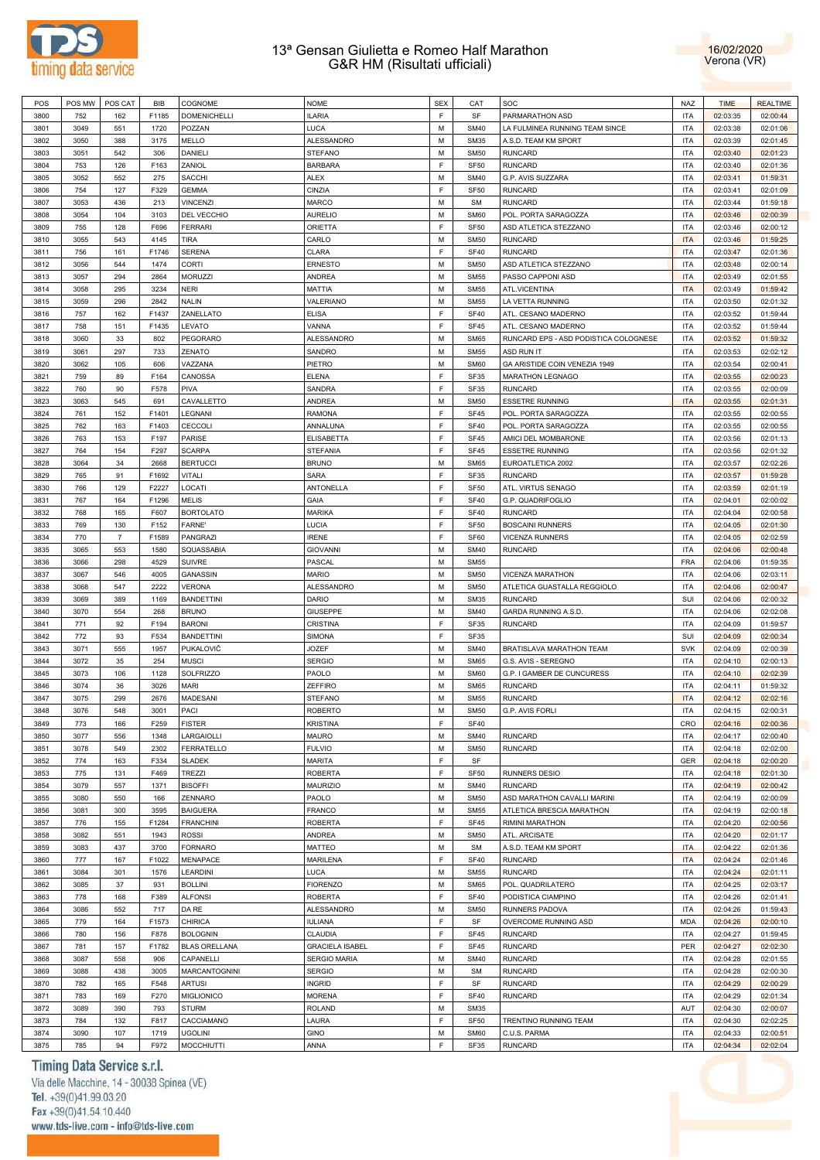



| POS  | POS MW | POS CAT        | <b>BIB</b> | COGNOME              | <b>NOME</b>            | <b>SEX</b>  | CAT         | SOC                                   | NAZ        | <b>TIME</b> | <b>REALTIME</b> |
|------|--------|----------------|------------|----------------------|------------------------|-------------|-------------|---------------------------------------|------------|-------------|-----------------|
| 3800 | 752    | 162            | F1185      | <b>DOMENICHELLI</b>  | <b>ILARIA</b>          | E           | SF          | PARMARATHON ASD                       | <b>ITA</b> | 02:03:35    | 02:00:44        |
| 3801 | 3049   | 551            | 1720       | POZZAN               | LUCA                   | M           | <b>SM40</b> | LA FULMINEA RUNNING TEAM SINCE        | <b>ITA</b> | 02:03:38    | 02:01:06        |
| 3802 | 3050   | 388            | 3175       | MELLO                | ALESSANDRO             | M           | <b>SM35</b> | A.S.D. TEAM KM SPORT                  | <b>ITA</b> | 02:03:39    | 02:01:45        |
|      |        |                |            |                      |                        |             |             |                                       |            |             |                 |
| 3803 | 3051   | 542            | 306        | DANIELI              | <b>STEFANO</b>         | M           | <b>SM50</b> | <b>RUNCARD</b>                        | <b>ITA</b> | 02:03:40    | 02:01:23        |
| 3804 | 753    | 126            | F163       | ZANIOL               | <b>BARBARA</b>         | F           | <b>SF50</b> | <b>RUNCARD</b>                        | <b>ITA</b> | 02:03:40    | 02:01:36        |
| 3805 | 3052   | 552            | 275        | SACCHI               | <b>ALEX</b>            | M           | <b>SM40</b> | G.P. AVIS SUZZARA                     | <b>ITA</b> | 02:03:41    | 01:59:31        |
| 3806 | 754    | 127            | F329       | <b>GEMMA</b>         | CINZIA                 | F           | <b>SF50</b> | <b>RUNCARD</b>                        | <b>ITA</b> | 02:03:41    | 02:01:09        |
| 3807 | 3053   | 436            | 213        | <b>VINCENZI</b>      | <b>MARCO</b>           | M           | <b>SM</b>   | <b>RUNCARD</b>                        | <b>ITA</b> | 02:03:44    | 01:59:18        |
| 3808 | 3054   | 104            | 3103       | DEL VECCHIO          | <b>AURELIO</b>         | M           | <b>SM60</b> | POL. PORTA SARAGOZZA                  | <b>ITA</b> | 02:03:46    | 02:00:39        |
| 3809 | 755    | 128            | F696       | <b>FERRARI</b>       | ORIETTA                | F           | <b>SF50</b> | ASD ATLETICA STEZZANO                 | <b>ITA</b> | 02:03:46    | 02:00:12        |
|      |        |                |            |                      |                        |             |             |                                       |            |             |                 |
| 3810 | 3055   | 543            | 4145       | <b>TIRA</b>          | CARLO                  | M           | <b>SM50</b> | <b>RUNCARD</b>                        | <b>ITA</b> | 02:03:46    | 01:59:25        |
| 3811 | 756    | 161            | F1746      | <b>SERENA</b>        | CLARA                  | F           | <b>SF40</b> | <b>RUNCARD</b>                        | <b>ITA</b> | 02:03:47    | 02:01:36        |
| 3812 | 3056   | 544            | 1474       | CORTI                | <b>ERNESTO</b>         | M           | <b>SM50</b> | ASD ATLETICA STEZZANO                 | <b>ITA</b> | 02:03:48    | 02:00:14        |
| 3813 | 3057   | 294            | 2864       | <b>MORUZZI</b>       | <b>ANDREA</b>          | M           | <b>SM55</b> | PASSO CAPPONI ASD                     | <b>ITA</b> | 02:03:49    | 02:01:55        |
| 3814 | 3058   | 295            | 3234       | <b>NERI</b>          | <b>MATTIA</b>          | M           | <b>SM55</b> | ATL.VICENTINA                         | <b>ITA</b> | 02:03:49    | 01:59:42        |
| 3815 | 3059   | 296            | 2842       | <b>NALIN</b>         | VALERIANO              | M           | <b>SM55</b> | LA VETTA RUNNING                      | <b>ITA</b> | 02:03:50    | 02:01:32        |
| 3816 | 757    | 162            | F1437      | ZANELLATO            | <b>ELISA</b>           | F           | <b>SF40</b> | ATL. CESANO MADERNO                   | <b>ITA</b> | 02:03:52    | 01:59:44        |
|      | 758    |                | F1435      | LEVATO               | VANNA                  | E           | <b>SF45</b> | ATL. CESANO MADERNO                   | <b>ITA</b> |             |                 |
| 3817 |        | 151            |            |                      |                        |             |             |                                       |            | 02:03:52    | 01:59:44        |
| 3818 | 3060   | 33             | 802        | PEGORARO             | ALESSANDRO             | M           | <b>SM65</b> | RUNCARD EPS - ASD PODISTICA COLOGNESE | <b>ITA</b> | 02:03:52    | 01:59:32        |
| 3819 | 3061   | 297            | 733        | ZENATO               | SANDRO                 | M           | <b>SM55</b> | <b>ASD RUN IT</b>                     | <b>ITA</b> | 02:03:53    | 02:02:12        |
| 3820 | 3062   | 105            | 606        | VAZZANA              | PIETRO                 | M           | <b>SM60</b> | GA ARISTIDE COIN VENEZIA 1949         | <b>ITA</b> | 02:03:54    | 02:00:41        |
| 3821 | 759    | 89             | F164       | CANOSSA              | <b>ELENA</b>           | E           | SF35        | <b>MARATHON LEGNAGO</b>               | <b>ITA</b> | 02:03:55    | 02:00:23        |
| 3822 | 760    | 90             | F578       | PIVA                 | SANDRA                 | E           | <b>SF35</b> | <b>RUNCARD</b>                        | <b>ITA</b> | 02:03:55    | 02:00:09        |
| 3823 | 3063   | 545            | 691        | CAVALLETTO           | <b>ANDREA</b>          | M           | <b>SM50</b> | <b>ESSETRE RUNNING</b>                | <b>ITA</b> | 02:03:55    | 02:01:31        |
| 3824 | 761    | 152            | F1401      | LEGNANI              | <b>RAMONA</b>          | E           | <b>SF45</b> | POL. PORTA SARAGOZZA                  | <b>ITA</b> | 02:03:55    | 02:00:55        |
|      |        |                |            |                      |                        |             |             |                                       |            |             |                 |
| 3825 | 762    | 163            | F1403      | CECCOLI              | ANNALUNA               | E           | <b>SF40</b> | POL. PORTA SARAGOZZA                  | <b>ITA</b> | 02:03:55    | 02:00:55        |
| 3826 | 763    | 153            | F197       | <b>PARISE</b>        | <b>ELISABETTA</b>      | E           | <b>SF45</b> | AMICI DEL MOMBARONE                   | <b>ITA</b> | 02:03:56    | 02:01:13        |
| 3827 | 764    | 154            | F297       | <b>SCARPA</b>        | <b>STEFANIA</b>        | E           | <b>SF45</b> | <b>ESSETRE RUNNING</b>                | <b>ITA</b> | 02:03:56    | 02:01:32        |
| 3828 | 3064   | 34             | 2668       | <b>BERTUCCI</b>      | <b>BRUNO</b>           | M           | <b>SM65</b> | EUROATLETICA 2002                     | <b>ITA</b> | 02:03:57    | 02:02:26        |
| 3829 | 765    | 91             | F1692      | <b>VITALI</b>        | <b>SARA</b>            | E           | SF35        | <b>RUNCARD</b>                        | <b>ITA</b> | 02:03:57    | 01:59:28        |
| 3830 | 766    | 129            | F2227      | LOCATI               | ANTONELLA              | F           | <b>SF50</b> | ATL. VIRTUS SENAGO                    | <b>ITA</b> | 02:03:59    | 02:01:19        |
| 3831 | 767    | 164            | F1296      | <b>MELIS</b>         | GAIA                   | E           | <b>SF40</b> | G.P. QUADRIFOGLIO                     | <b>ITA</b> | 02:04:01    | 02:00:02        |
|      |        |                |            |                      |                        |             |             |                                       |            |             |                 |
| 3832 | 768    | 165            | F607       | <b>BORTOLATO</b>     | <b>MARIKA</b>          | F           | <b>SF40</b> | <b>RUNCARD</b>                        | <b>ITA</b> | 02:04:04    | 02:00:58        |
| 3833 | 769    | 130            | F152       | <b>FARNE</b>         | LUCIA                  | F           | <b>SF50</b> | <b>BOSCAINI RUNNERS</b>               | <b>ITA</b> | 02:04:05    | 02:01:30        |
| 3834 | 770    | $\overline{7}$ | F1589      | PANGRAZI             | <b>IRENE</b>           | F           | SF60        | <b>VICENZA RUNNERS</b>                | <b>ITA</b> | 02:04:05    | 02:02:59        |
| 3835 | 3065   | 553            | 1580       | SQUASSABIA           | <b>GIOVANNI</b>        | M           | <b>SM40</b> | <b>RUNCARD</b>                        | <b>ITA</b> | 02:04:06    | 02:00:48        |
| 3836 | 3066   | 298            | 4529       | <b>SUIVRE</b>        | PASCAL                 | M           | <b>SM55</b> |                                       | <b>FRA</b> | 02:04:06    | 01:59:35        |
| 3837 | 3067   | 546            | 4005       | <b>GANASSIN</b>      | <b>MARIO</b>           | M           | <b>SM50</b> | VICENZA MARATHON                      | <b>ITA</b> | 02:04:06    | 02:03:11        |
| 3838 | 3068   | 547            | 2222       | <b>VERONA</b>        | ALESSANDRO             | M           | <b>SM50</b> | ATLETICA GUASTALLA REGGIOLO           | <b>ITA</b> | 02:04:06    | 02:00:47        |
|      |        |                |            |                      |                        |             |             |                                       |            |             |                 |
| 3839 | 3069   | 389            | 1169       | <b>BANDETTINI</b>    | DARIO                  | M           | <b>SM35</b> | <b>RUNCARD</b>                        | SUI        | 02:04:06    | 02:00:32        |
| 3840 | 3070   | 554            | 268        | <b>BRUNO</b>         | <b>GIUSEPPE</b>        | M           | <b>SM40</b> | GARDA RUNNING A.S.D.                  | <b>ITA</b> | 02:04:06    | 02:02:08        |
| 3841 | 771    | 92             | F194       | <b>BARONI</b>        | CRISTINA               | E           | SF35        | <b>RUNCARD</b>                        | <b>ITA</b> | 02:04:09    | 01:59:57        |
| 3842 | 772    | 93             | F534       | <b>BANDETTINI</b>    | <b>SIMONA</b>          | F           | <b>SF35</b> |                                       | SUI        | 02:04:09    | 02:00:34        |
| 3843 | 3071   | 555            | 1957       | PUKALOVIČ            | <b>JOZEF</b>           | M           | <b>SM40</b> | BRATISLAVA MARATHON TEAM              | <b>SVK</b> | 02:04:09    | 02:00:39        |
| 3844 | 3072   | 35             | 254        | <b>MUSCI</b>         | <b>SERGIO</b>          | M           | <b>SM65</b> | G.S. AVIS - SEREGNO                   | <b>ITA</b> | 02:04:10    | 02:00:13        |
| 3845 | 3073   | 106            | 1128       | <b>SOLFRIZZO</b>     | PAOLO                  | M           | <b>SM60</b> | G.P. I GAMBER DE CUNCURESS            | <b>ITA</b> | 02:04:10    | 02:02:39        |
| 3846 | 3074   | 36             | 3026       | <b>MARI</b>          | <b>ZEFFIRO</b>         | M           | <b>SM65</b> | <b>RUNCARD</b>                        | <b>ITA</b> | 02:04:11    | 01:59:32        |
|      |        |                |            |                      |                        |             |             |                                       |            |             |                 |
| 3847 | 3075   | 299            | 2676       | MADESANI             | <b>STEFANO</b>         | M           | <b>SM55</b> | <b>RUNCARD</b>                        | <b>ITA</b> | 02:04:12    | 02:02:16        |
| 3848 | 3076   | 548            | 3001       | PACI                 | <b>ROBERTO</b>         | M           | <b>SM50</b> | G.P. AVIS FORLI                       | <b>ITA</b> | 02:04:15    | 02:00:31        |
| 3849 | 773    | 166            | F259       | <b>FISTER</b>        | <b>KRISTINA</b>        | F           | <b>SF40</b> |                                       | CRO        | 02:04:16    | 02:00:36        |
| 3850 | 3077   | 556            | 1348       | LARGAIOLLI           | <b>MAURO</b>           | M           | <b>SM40</b> | <b>RUNCARD</b>                        | <b>ITA</b> | 02:04:17    | 02:00:40        |
| 3851 | 3078   | 549            | 2302       | FERRATELLO           | <b>FULVIO</b>          | M           | <b>SM50</b> | <b>RUNCARD</b>                        | <b>ITA</b> | 02:04:18    | 02:02:00        |
| 3852 | 774    | 163            | F334       | <b>SLADEK</b>        | <b>MARITA</b>          | E           | SF          |                                       | <b>GER</b> | 02:04:18    | 02:00:20        |
| 3853 | 775    | 131            | F469       | <b>TREZZI</b>        | <b>ROBERTA</b>         | E           | SF50        | RUNNERS DESIO                         | <b>ITA</b> | 02:04:18    | 02:01:30        |
|      |        |                |            |                      |                        | M           |             |                                       | <b>ITA</b> |             |                 |
| 3854 | 3079   | 557            | 1371       | <b>BISOFFI</b>       | <b>MAURIZIO</b>        |             | <b>SM40</b> | <b>RUNCARD</b>                        |            | 02:04:19    | 02:00:42        |
| 3855 | 3080   | 550            | 166        | ZENNARO              | PAOLO                  | M           | <b>SM50</b> | ASD MARATHON CAVALLI MARINI           | <b>ITA</b> | 02:04:19    | 02:00:09        |
| 3856 | 3081   | 300            | 3595       | <b>BAIGUERA</b>      | <b>FRANCO</b>          | M           | <b>SM55</b> | ATLETICA BRESCIA MARATHON             | <b>ITA</b> | 02:04:19    | 02:00:18        |
| 3857 | 776    | 155            | F1284      | <b>FRANCHINI</b>     | <b>ROBERTA</b>         | E           | <b>SF45</b> | RIMINI MARATHON                       | <b>ITA</b> | 02:04:20    | 02:00:56        |
| 3858 | 3082   | 551            | 1943       | <b>ROSSI</b>         | ANDREA                 | M           | <b>SM50</b> | ATL. ARCISATE                         | <b>ITA</b> | 02:04:20    | 02:01:17        |
| 3859 | 3083   | 437            | 3700       | <b>FORNARO</b>       | MATTEO                 | M           | <b>SM</b>   | A.S.D. TEAM KM SPORT                  | <b>ITA</b> | 02:04:22    | 02:01:36        |
| 3860 | 777    | 167            | F1022      | MENAPACE             | <b>MARILENA</b>        | F           | <b>SF40</b> | <b>RUNCARD</b>                        | <b>ITA</b> | 02:04:24    | 02:01:46        |
| 3861 | 3084   | 301            | 1576       | LEARDINI             | LUCA                   | M           | <b>SM55</b> | <b>RUNCARD</b>                        | <b>ITA</b> | 02:04:24    | 02:01:11        |
|      |        |                |            |                      |                        |             |             |                                       |            |             |                 |
| 3862 | 3085   | 37             | 931        | <b>BOLLINI</b>       | <b>FIORENZO</b>        | M           | <b>SM65</b> | POL. QUADRILATERO                     | <b>ITA</b> | 02:04:25    | 02:03:17        |
| 3863 | 778    | 168            | F389       | <b>ALFONSI</b>       | ROBERTA                | F           | <b>SF40</b> | PODISTICA CIAMPINO                    | <b>ITA</b> | 02:04:26    | 02:01:41        |
| 3864 | 3086   | 552            | 717        | DA RE                | ALESSANDRO             | M           | <b>SM50</b> | RUNNERS PADOVA                        | <b>ITA</b> | 02:04:26    | 01:59:43        |
| 3865 | 779    | 164            | F1573      | <b>CHIRICA</b>       | IULIANA                | E           | SF          | OVERCOME RUNNING ASD                  | <b>MDA</b> | 02:04:26    | 02:00:10        |
| 3866 | 780    | 156            | F878       | <b>BOLOGNIN</b>      | CLAUDIA                | F           | SF45        | <b>RUNCARD</b>                        | <b>ITA</b> | 02:04:27    | 01:59:45        |
| 3867 | 781    | 157            | F1782      | <b>BLAS ORELLANA</b> | <b>GRACIELA ISABEL</b> | F           | <b>SF45</b> | <b>RUNCARD</b>                        | PER        | 02:04:27    | 02:02:30        |
| 3868 | 3087   | 558            | 906        | CAPANELLI            | <b>SERGIO MARIA</b>    | M           | <b>SM40</b> | <b>RUNCARD</b>                        | <b>ITA</b> | 02:04:28    | 02:01:55        |
| 3869 | 3088   | 438            |            |                      |                        | M           | <b>SM</b>   | <b>RUNCARD</b>                        | <b>ITA</b> | 02:04:28    | 02:00:30        |
|      |        |                | 3005       | MARCANTOGNINI        | <b>SERGIO</b>          |             |             |                                       |            |             |                 |
| 3870 | 782    | 165            | F548       | <b>ARTUSI</b>        | <b>INGRID</b>          | F           | SF          | <b>RUNCARD</b>                        | <b>ITA</b> | 02:04:29    | 02:00:29        |
| 3871 | 783    | 169            | F270       | <b>MIGLIONICO</b>    | <b>MORENA</b>          | E           | <b>SF40</b> | <b>RUNCARD</b>                        | <b>ITA</b> | 02:04:29    | 02:01:34        |
| 3872 | 3089   | 390            | 793        | <b>STURM</b>         | <b>ROLAND</b>          | M           | <b>SM35</b> |                                       | AUT        | 02:04:30    | 02:00:07        |
| 3873 | 784    | 132            | F817       | CACCIAMANO           | LAURA                  | E           | <b>SF50</b> | TRENTINO RUNNING TEAM                 | <b>ITA</b> | 02:04:30    | 02:02:25        |
| 3874 | 3090   | 107            | 1719       | <b>UGOLINI</b>       | <b>GINO</b>            | M           | <b>SM60</b> | C.U.S. PARMA                          | <b>ITA</b> | 02:04:33    | 02:00:51        |
| 3875 | 785    | 94             | F972       | <b>MOCCHIUTTI</b>    | ANNA                   | $\mathsf F$ | SF35        | <b>RUNCARD</b>                        | <b>ITA</b> | 02:04:34    | 02:02:04        |

# Timing Data Service s.r.l.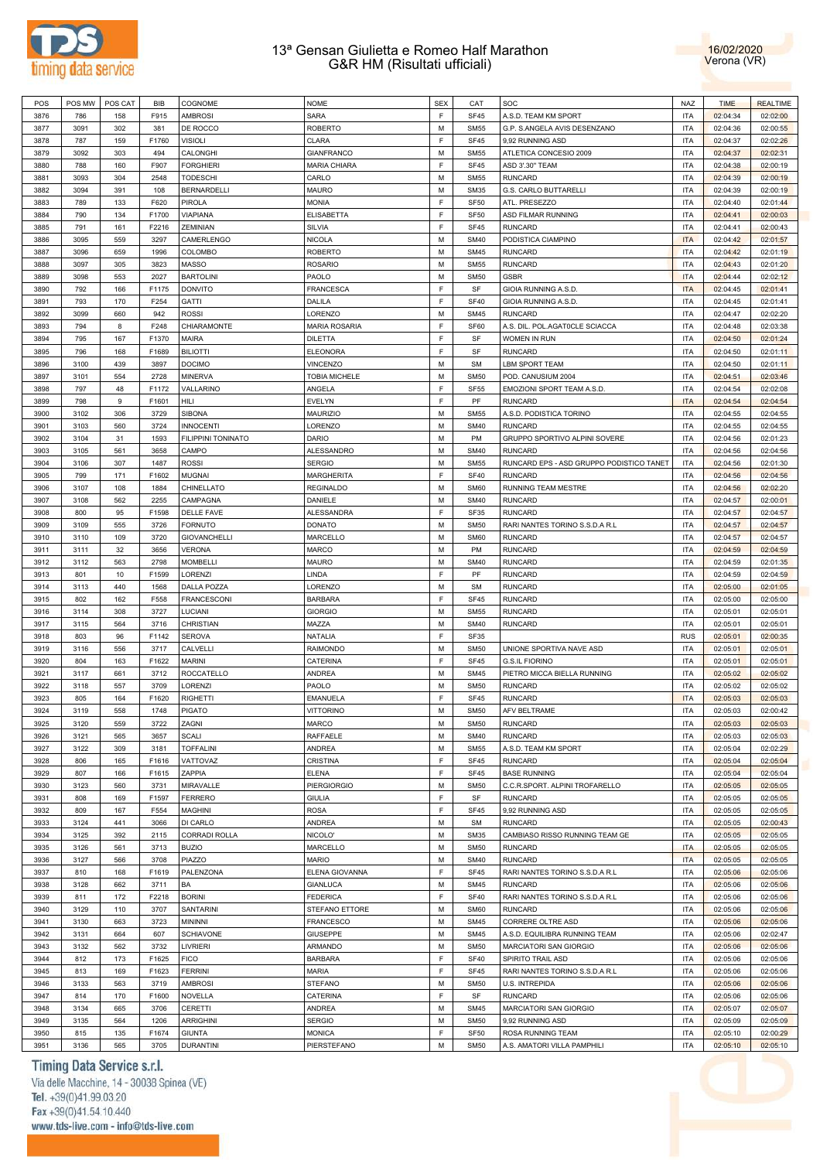



| POS  | POS MW | POS CAT | <b>BIB</b> | COGNOME              | <b>NOME</b>          | <b>SEX</b> | CAT         | SOC                                      | <b>NAZ</b> | <b>TIME</b> | <b>REALTIME</b> |
|------|--------|---------|------------|----------------------|----------------------|------------|-------------|------------------------------------------|------------|-------------|-----------------|
| 3876 | 786    | 158     | F915       | <b>AMBROSI</b>       | SARA                 | E          | <b>SF45</b> | A.S.D. TEAM KM SPORT                     | <b>ITA</b> | 02:04:34    | 02:02:00        |
| 3877 | 3091   | 302     | 381        | DE ROCCO             | ROBERTO              | M          | <b>SM55</b> | G.P. S.ANGELA AVIS DESENZANO             | <b>ITA</b> | 02:04:36    | 02:00:55        |
|      |        |         |            |                      |                      |            |             |                                          |            |             |                 |
| 3878 | 787    | 159     | F1760      | VISIOLI              | CLARA                | E          | <b>SF45</b> | 9,92 RUNNING ASD                         | <b>ITA</b> | 02:04:37    | 02:02:26        |
| 3879 | 3092   | 303     | 494        | CALONGHI             | <b>GIANFRANCO</b>    | M          | <b>SM55</b> | ATLETICA CONCESIO 2009                   | <b>ITA</b> | 02:04:37    | 02:02:31        |
| 3880 | 788    | 160     | F907       | <b>FORGHIERI</b>     | <b>MARIA CHIARA</b>  | E          | <b>SF45</b> | ASD 3'.30" TEAM                          | <b>ITA</b> | 02:04:38    | 02:00:19        |
| 3881 | 3093   | 304     | 2548       | TODESCHI             | CARLO                | M          | <b>SM55</b> | <b>RUNCARD</b>                           | <b>ITA</b> | 02:04:39    | 02:00:19        |
| 3882 | 3094   | 391     | 108        | <b>BERNARDELLI</b>   | <b>MAURO</b>         | M          | <b>SM35</b> | <b>G.S. CARLO BUTTARELLI</b>             | <b>ITA</b> | 02:04:39    | 02:00:19        |
| 3883 | 789    | 133     | F620       | <b>PIROLA</b>        | <b>MONIA</b>         | E          | <b>SF50</b> | ATL. PRESEZZO                            | <b>ITA</b> | 02:04:40    | 02:01:44        |
| 3884 | 790    | 134     | F1700      | <b>VIAPIANA</b>      | <b>ELISABETTA</b>    | E          | <b>SF50</b> | ASD FILMAR RUNNING                       | <b>ITA</b> | 02:04:41    | 02:00:03        |
| 3885 | 791    | 161     | F2216      | ZEMINIAN             | <b>SILVIA</b>        | E          | SF45        | <b>RUNCARD</b>                           | <b>ITA</b> | 02:04:41    | 02:00:43        |
| 3886 | 3095   | 559     | 3297       | CAMERLENGO           | <b>NICOLA</b>        | M          | <b>SM40</b> | PODISTICA CIAMPINO                       | <b>ITA</b> | 02:04:42    | 02:01:57        |
|      |        |         |            |                      |                      |            |             |                                          |            |             |                 |
| 3887 | 3096   | 659     | 1996       | COLOMBO              | <b>ROBERTO</b>       | M          | <b>SM45</b> | <b>RUNCARD</b>                           | <b>ITA</b> | 02:04:42    | 02:01:19        |
| 3888 | 3097   | 305     | 3823       | <b>MASSO</b>         | <b>ROSARIO</b>       | M          | <b>SM55</b> | <b>RUNCARD</b>                           | <b>ITA</b> | 02:04:43    | 02:01:20        |
| 3889 | 3098   | 553     | 2027       | <b>BARTOLINI</b>     | PAOLO                | M          | <b>SM50</b> | GSBR                                     | <b>ITA</b> | 02:04:44    | 02:02:12        |
| 3890 | 792    | 166     | F1175      | <b>DONVITO</b>       | <b>FRANCESCA</b>     | E          | SF          | GIOIA RUNNING A.S.D.                     | <b>ITA</b> | 02:04:45    | 02:01:41        |
| 3891 | 793    | 170     | F254       | <b>GATTI</b>         | DALILA               | E          | <b>SF40</b> | GIOIA RUNNING A.S.D.                     | <b>ITA</b> | 02:04:45    | 02:01:41        |
| 3892 | 3099   | 660     | 942        | <b>ROSSI</b>         | LORENZO              | M          | <b>SM45</b> | <b>RUNCARD</b>                           | <b>ITA</b> | 02:04:47    | 02:02:20        |
| 3893 | 794    | 8       | F248       | CHIARAMONTE          | <b>MARIA ROSARIA</b> | E          | SF60        | A.S. DIL. POL.AGAT0CLE SCIACCA           | <b>ITA</b> | 02:04:48    | 02:03:38        |
| 3894 | 795    | 167     | F1370      | <b>MAIRA</b>         | <b>DILETTA</b>       | E          | SF          | WOMEN IN RUN                             | <b>ITA</b> | 02:04:50    | 02:01:24        |
| 3895 | 796    | 168     | F1689      | <b>BILIOTTI</b>      | <b>ELEONORA</b>      | E          | SF          | <b>RUNCARD</b>                           | <b>ITA</b> | 02:04:50    | 02:01:11        |
| 3896 | 3100   | 439     | 3897       | <b>DOCIMO</b>        | <b>VINCENZO</b>      | M          | <b>SM</b>   | LBM SPORT TEAM                           | <b>ITA</b> | 02:04:50    | 02:01:11        |
| 3897 | 3101   | 554     | 2728       | <b>MINERVA</b>       | TOBIA MICHELE        | M          | <b>SM50</b> | POD. CANUSIUM 2004                       | <b>ITA</b> | 02:04:51    | 02:03:46        |
| 3898 | 797    | 48      | F1172      | VALLARINO            | ANGELA               | E          | <b>SF55</b> | EMOZIONI SPORT TEAM A.S.D.               | <b>ITA</b> | 02:04:54    | 02:02:08        |
| 3899 | 798    | 9       | F1601      | HILI                 | EVELYN               | E          | PF          | <b>RUNCARD</b>                           | <b>ITA</b> | 02:04:54    | 02:04:54        |
|      |        |         |            |                      |                      |            |             |                                          |            |             |                 |
| 3900 | 3102   | 306     | 3729       | <b>SIBONA</b>        | <b>MAURIZIO</b>      | M          | <b>SM55</b> | A.S.D. PODISTICA TORINO                  | <b>ITA</b> | 02:04:55    | 02:04:55        |
| 3901 | 3103   | 560     | 3724       | <b>INNOCENTI</b>     | LORENZO              | M          | <b>SM40</b> | <b>RUNCARD</b>                           | <b>ITA</b> | 02:04:55    | 02:04:55        |
| 3902 | 3104   | 31      | 1593       | FILIPPINI TONINATO   | <b>DARIO</b>         | M          | PM          | GRUPPO SPORTIVO ALPINI SOVERE            | <b>ITA</b> | 02:04:56    | 02:01:23        |
| 3903 | 3105   | 561     | 3658       | CAMPO                | <b>ALESSANDRO</b>    | M          | <b>SM40</b> | <b>RUNCARD</b>                           | <b>ITA</b> | 02:04:56    | 02:04:56        |
| 3904 | 3106   | 307     | 1487       | <b>ROSSI</b>         | <b>SERGIO</b>        | M          | <b>SM55</b> | RUNCARD EPS - ASD GRUPPO PODISTICO TANET | <b>ITA</b> | 02:04:56    | 02:01:30        |
| 3905 | 799    | 171     | F1602      | <b>MUGNAI</b>        | <b>MARGHERITA</b>    | E          | <b>SF40</b> | <b>RUNCARD</b>                           | <b>ITA</b> | 02:04:56    | 02:04:56        |
| 3906 | 3107   | 108     | 1884       | CHINELLATO           | <b>REGINALDO</b>     | M          | <b>SM60</b> | RUNNING TEAM MESTRE                      | <b>ITA</b> | 02:04:56    | 02:02:20        |
| 3907 | 3108   | 562     | 2255       | CAMPAGNA             | DANIELE              | M          | <b>SM40</b> | <b>RUNCARD</b>                           | <b>ITA</b> | 02:04:57    | 02:00:01        |
| 3908 | 800    | 95      | F1598      | <b>DELLE FAVE</b>    | ALESSANDRA           | E          | SF35        | <b>RUNCARD</b>                           | <b>ITA</b> | 02:04:57    | 02:04:57        |
| 3909 | 3109   | 555     | 3726       | <b>FORNUTO</b>       | <b>DONATO</b>        | M          | <b>SM50</b> | RARI NANTES TORINO S.S.D.A R.L           | <b>ITA</b> | 02:04:57    | 02:04:57        |
| 3910 | 3110   | 109     | 3720       | <b>GIOVANCHELLI</b>  | MARCELLO             | M          | <b>SM60</b> | <b>RUNCARD</b>                           | <b>ITA</b> | 02:04:57    | 02:04:57        |
| 3911 | 3111   |         |            | VERONA               |                      | M          | PM          | <b>RUNCARD</b>                           | <b>ITA</b> |             |                 |
|      |        | 32      | 3656       |                      | MARCO                |            |             |                                          |            | 02:04:59    | 02:04:59        |
| 3912 | 3112   | 563     | 2798       | <b>MOMBELLI</b>      | MAURO                | M          | <b>SM40</b> | <b>RUNCARD</b>                           | <b>ITA</b> | 02:04:59    | 02:01:35        |
| 3913 | 801    | 10      | F1599      | <b>LORENZI</b>       | LINDA                | E          | PF          | <b>RUNCARD</b>                           | <b>ITA</b> | 02:04:59    | 02:04:59        |
| 3914 | 3113   | 440     | 1568       | DALLA POZZA          | LORENZO              | M          | <b>SM</b>   | <b>RUNCARD</b>                           | <b>ITA</b> | 02:05:00    | 02:01:05        |
| 3915 | 802    | 162     | F558       | <b>FRANCESCONI</b>   | <b>BARBARA</b>       | E          | SF45        | <b>RUNCARD</b>                           | <b>ITA</b> | 02:05:00    | 02:05:00        |
| 3916 | 3114   | 308     | 3727       | LUCIANI              | <b>GIORGIO</b>       | M          | <b>SM55</b> | <b>RUNCARD</b>                           | <b>ITA</b> | 02:05:01    | 02:05:01        |
| 3917 | 3115   | 564     | 3716       | CHRISTIAN            | MAZZA                | M          | <b>SM40</b> | <b>RUNCARD</b>                           | <b>ITA</b> | 02:05:01    | 02:05:01        |
| 3918 | 803    | 96      | F1142      | <b>SEROVA</b>        | NATALIA              | E          | SF35        |                                          | <b>RUS</b> | 02:05:01    | 02:00:35        |
| 3919 | 3116   | 556     | 3717       | CALVELLI             | <b>RAIMONDO</b>      | M          | <b>SM50</b> | UNIONE SPORTIVA NAVE ASD                 | <b>ITA</b> | 02:05:01    | 02:05:01        |
| 3920 | 804    | 163     | F1622      | <b>MARINI</b>        | CATERINA             | E          | <b>SF45</b> | <b>G.S.IL FIORINO</b>                    | <b>ITA</b> | 02:05:01    | 02:05:01        |
| 3921 | 3117   | 661     | 3712       | ROCCATELLO           | ANDREA               | M          | <b>SM45</b> | PIETRO MICCA BIELLA RUNNING              | <b>ITA</b> | 02:05:02    | 02:05:02        |
| 3922 | 3118   | 557     | 3709       | LORENZI              | PAOLO                | M          | <b>SM50</b> | <b>RUNCARD</b>                           | <b>ITA</b> | 02:05:02    | 02:05:02        |
| 3923 | 805    | 164     | F1620      | <b>RIGHETTI</b>      | <b>EMANUELA</b>      | E          | SF45        | <b>RUNCARD</b>                           | <b>ITA</b> | 02:05:03    | 02:05:03        |
| 3924 | 3119   | 558     | 1748       | <b>PIGATO</b>        | <b>VITTORINO</b>     | M          | <b>SM50</b> | AFV BELTRAME                             | <b>ITA</b> | 02:05:03    | 02:00:42        |
| 3925 |        |         |            | ZAGNI                | <b>MARCO</b>         | M          | <b>SM50</b> | <b>RUNCARD</b>                           | <b>ITA</b> |             |                 |
|      | 3120   | 559     | 3722       |                      |                      |            |             |                                          |            | 02:05:03    | 02:05:03        |
| 3926 | 3121   | 565     | 3657       | <b>SCALI</b>         | <b>RAFFAELE</b>      | M          | <b>SM40</b> | <b>RUNCARD</b>                           | <b>ITA</b> | 02:05:03    | 02:05:03        |
| 3927 | 3122   | 309     | 3181       | <b>TOFFALINI</b>     | ANDREA               | M          | <b>SM55</b> | A.S.D. TEAM KM SPORT                     | <b>ITA</b> | 02:05:04    | 02:02:29        |
| 3928 | 806    | 165     | F1616      | VATTOVAZ             | CRISTINA             | E          | <b>SF45</b> | <b>RUNCARD</b>                           | <b>ITA</b> | 02:05:04    | 02:05:04        |
| 3929 | 807    | 166     | F1615      | ZAPPIA               | <b>ELENA</b>         | E          | <b>SF45</b> | <b>BASE RUNNING</b>                      | <b>ITA</b> | 02:05:04    | 02:05:04        |
| 3930 | 3123   | 560     | 3731       | MIRAVALLE            | <b>PIERGIORGIO</b>   | M          | <b>SM50</b> | C.C.R.SPORT. ALPINI TROFARELLO           | <b>ITA</b> | 02:05:05    | 02:05:05        |
| 3931 | 808    | 169     | F1597      | <b>FERRERO</b>       | <b>GIULIA</b>        | E          | SF          | <b>RUNCARD</b>                           | <b>ITA</b> | 02:05:05    | 02:05:05        |
| 3932 | 809    | 167     | F554       | <b>MAGHINI</b>       | <b>ROSA</b>          | E          | SF45        | 9,92 RUNNING ASD                         | <b>ITA</b> | 02:05:05    | 02:05:05        |
| 3933 | 3124   | 441     | 3066       | DI CARLO             | <b>ANDREA</b>        | M          | <b>SM</b>   | <b>RUNCARD</b>                           | <b>ITA</b> | 02:05:05    | 02:00:43        |
| 3934 | 3125   | 392     | 2115       | <b>CORRADI ROLLA</b> | NICOLO'              | M          | <b>SM35</b> | CAMBIASO RISSO RUNNING TEAM GE           | <b>ITA</b> | 02:05:05    | 02:05:05        |
| 3935 | 3126   | 561     | 3713       | <b>BUZIO</b>         | MARCELLO             | M          | <b>SM50</b> | <b>RUNCARD</b>                           | <b>ITA</b> | 02:05:05    | 02:05:05        |
| 3936 | 3127   | 566     | 3708       | <b>PIAZZO</b>        | <b>MARIO</b>         | M          | <b>SM40</b> | <b>RUNCARD</b>                           | <b>ITA</b> | 02:05:05    | 02:05:05        |
| 3937 | 810    | 168     | F1619      | PALENZONA            | ELENA GIOVANNA       | E          | SF45        | RARI NANTES TORINO S.S.D.A R.L           | <b>ITA</b> | 02:05:06    | 02:05:06        |
|      |        |         |            |                      |                      | M          |             | <b>RUNCARD</b>                           |            |             |                 |
| 3938 | 3128   | 662     | 3711       | BA                   | <b>GIANLUCA</b>      |            | <b>SM45</b> |                                          | <b>ITA</b> | 02:05:06    | 02:05:06        |
| 3939 | 811    | 172     | F2218      | <b>BORINI</b>        | <b>FEDERICA</b>      | E          | <b>SF40</b> | RARI NANTES TORINO S.S.D.A R.L           | <b>ITA</b> | 02:05:06    | 02:05:06        |
| 3940 | 3129   | 110     | 3707       | SANTARINI            | STEFANO ETTORE       | M          | <b>SM60</b> | <b>RUNCARD</b>                           | <b>ITA</b> | 02:05:06    | 02:05:06        |
| 3941 | 3130   | 663     | 3723       | <b>MININNI</b>       | <b>FRANCESCO</b>     | M          | <b>SM45</b> | CORRERE OLTRE ASD                        | <b>ITA</b> | 02:05:06    | 02:05:06        |
| 3942 | 3131   | 664     | 607        | <b>SCHIAVONE</b>     | <b>GIUSEPPE</b>      | M          | <b>SM45</b> | A.S.D. EQUILIBRA RUNNING TEAM            | <b>ITA</b> | 02:05:06    | 02:02:47        |
| 3943 | 3132   | 562     | 3732       | LIVRIERI             | ARMANDO              | M          | <b>SM50</b> | MARCIATORI SAN GIORGIO                   | <b>ITA</b> | 02:05:06    | 02:05:06        |
| 3944 | 812    | 173     | F1625      | <b>FICO</b>          | <b>BARBARA</b>       | E          | <b>SF40</b> | SPIRITO TRAIL ASD                        | <b>ITA</b> | 02:05:06    | 02:05:06        |
| 3945 | 813    | 169     | F1623      | <b>FERRINI</b>       | <b>MARIA</b>         | E          | SF45        | RARI NANTES TORINO S.S.D.A R.L           | <b>ITA</b> | 02:05:06    | 02:05:06        |
| 3946 | 3133   | 563     | 3719       | <b>AMBROSI</b>       | <b>STEFANO</b>       | M          | <b>SM50</b> | <b>U.S. INTREPIDA</b>                    | <b>ITA</b> | 02:05:06    | 02:05:06        |
| 3947 | 814    | 170     | F1600      | <b>NOVELLA</b>       | CATERINA             | E          | SF          | <b>RUNCARD</b>                           | <b>ITA</b> | 02:05:06    | 02:05:06        |
| 3948 | 3134   | 665     | 3706       | <b>CERETTI</b>       | <b>ANDREA</b>        | M          | <b>SM45</b> | MARCIATORI SAN GIORGIO                   | <b>ITA</b> | 02:05:07    | 02:05:07        |
| 3949 | 3135   | 564     | 1206       | <b>ARRIGHINI</b>     | <b>SERGIO</b>        | M          | <b>SM50</b> | 9,92 RUNNING ASD                         | <b>ITA</b> | 02:05:09    | 02:05:09        |
| 3950 | 815    | 135     | F1674      | <b>GIUNTA</b>        | <b>MONICA</b>        | F          | <b>SF50</b> | ROSA RUNNING TEAM                        | <b>ITA</b> | 02:05:10    | 02:00:29        |
|      |        |         | 3705       |                      |                      | M          |             | A.S. AMATORI VILLA PAMPHILI              | <b>ITA</b> |             |                 |
| 3951 | 3136   | 565     |            | <b>DURANTINI</b>     | PIERSTEFANO          |            | <b>SM50</b> |                                          |            | 02:05:10    | 02:05:10        |

# Timing Data Service s.r.l.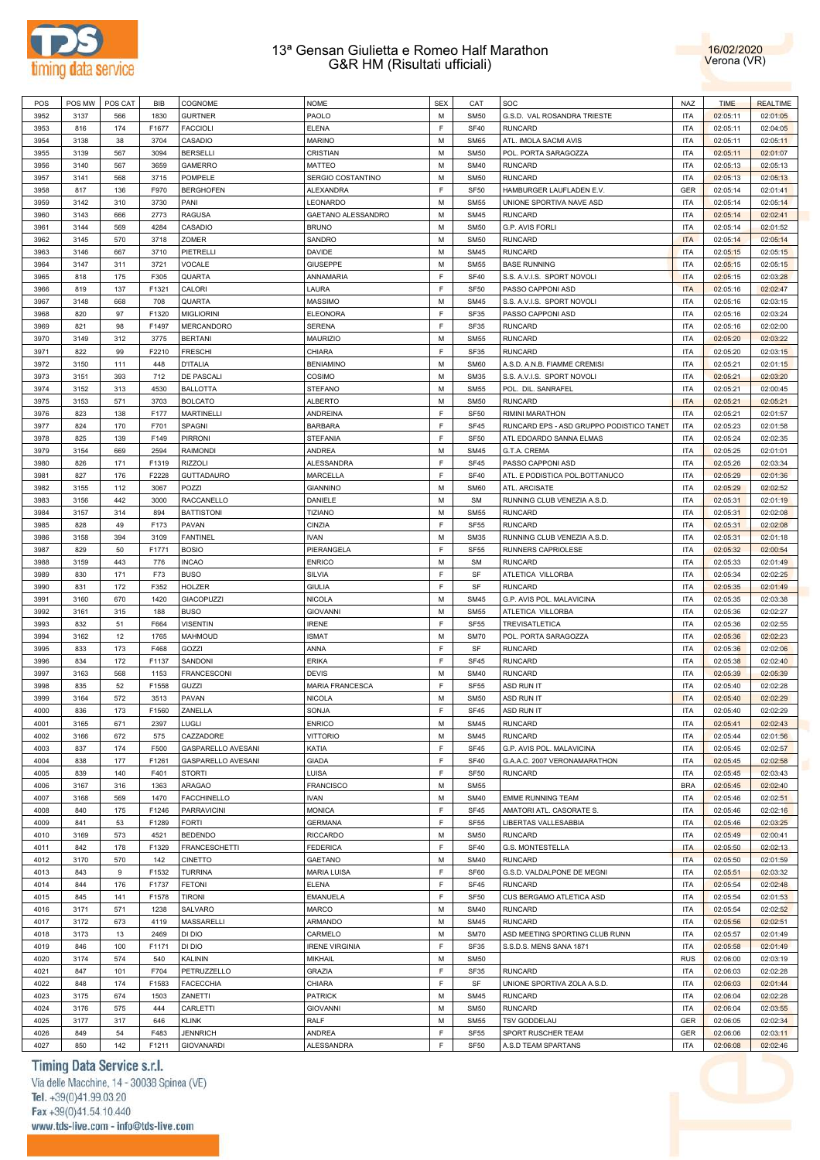



| POS  | POS MW | POS CAT | <b>BIB</b> | COGNOME                   | <b>NOME</b>           | <b>SEX</b> | CAT              | SOC                                      | <b>NAZ</b> | <b>TIME</b> | <b>REALTIME</b> |
|------|--------|---------|------------|---------------------------|-----------------------|------------|------------------|------------------------------------------|------------|-------------|-----------------|
| 3952 | 3137   | 566     | 1830       | <b>GURTNER</b>            | PAOLO                 | M          | <b>SM50</b>      | G.S.D. VAL ROSANDRA TRIESTE              | <b>ITA</b> | 02:05:11    | 02:01:05        |
| 3953 | 816    | 174     | F1677      | <b>FACCIOLI</b>           | <b>ELENA</b>          | F          | <b>SF40</b>      | <b>RUNCARD</b>                           | <b>ITA</b> | 02:05:11    | 02:04:05        |
| 3954 | 3138   | 38      | 3704       | CASADIO                   | <b>MARINO</b>         | M          | <b>SM65</b>      | ATL. IMOLA SACMI AVIS                    | <b>ITA</b> | 02:05:11    | 02:05:11        |
| 3955 | 3139   | 567     | 3094       | <b>BERSELLI</b>           | CRISTIAN              | M          | <b>SM50</b>      | POL. PORTA SARAGOZZA                     | <b>ITA</b> | 02:05:11    | 02:01:07        |
| 3956 | 3140   | 567     | 3659       | <b>GAMERRO</b>            | <b>MATTEO</b>         | M          | <b>SM40</b>      | <b>RUNCARD</b>                           | <b>ITA</b> | 02:05:13    | 02:05:13        |
| 3957 | 3141   | 568     | 3715       | <b>POMPELE</b>            | SERGIO COSTANTINO     | M          | <b>SM50</b>      | <b>RUNCARD</b>                           | <b>ITA</b> | 02:05:13    | 02:05:13        |
| 3958 | 817    | 136     | F970       | <b>BERGHOFEN</b>          | <b>ALEXANDRA</b>      | E          | <b>SF50</b>      | HAMBURGER LAUFLADEN E.V.                 | <b>GER</b> | 02:05:14    | 02:01:41        |
| 3959 | 3142   | 310     | 3730       | PANI                      | LEONARDO              | M          | <b>SM55</b>      | UNIONE SPORTIVA NAVE ASD                 | <b>ITA</b> | 02:05:14    | 02:05:14        |
| 3960 | 3143   | 666     | 2773       | <b>RAGUSA</b>             | GAETANO ALESSANDRO    | M          | <b>SM45</b>      | <b>RUNCARD</b>                           | <b>ITA</b> | 02:05:14    | 02:02:41        |
| 3961 | 3144   | 569     | 4284       | CASADIO                   | <b>BRUNO</b>          | M          | <b>SM50</b>      | G.P. AVIS FORLI                          | <b>ITA</b> | 02:05:14    | 02:01:52        |
| 3962 | 3145   | 570     | 3718       | <b>ZOMER</b>              | SANDRO                | M          | <b>SM50</b>      | <b>RUNCARD</b>                           | <b>ITA</b> | 02:05:14    | 02:05:14        |
| 3963 | 3146   | 667     | 3710       | PIETRELLI                 | <b>DAVIDE</b>         | M          | <b>SM45</b>      | <b>RUNCARD</b>                           | <b>ITA</b> | 02:05:15    | 02:05:15        |
| 3964 | 3147   | 311     | 3721       | VOCALE                    | GIUSEPPE              | M          | <b>SM55</b>      | <b>BASE RUNNING</b>                      | <b>ITA</b> | 02:05:15    | 02:05:15        |
| 3965 | 818    | 175     | F305       | QUARTA                    | ANNAMARIA             | F          | <b>SF40</b>      | S.S. A.V.I.S. SPORT NOVOLI               | <b>ITA</b> | 02:05:15    | 02:03:28        |
| 3966 | 819    | 137     | F1321      | CALORI                    | LAURA                 | E          | SF <sub>50</sub> | PASSO CAPPONI ASD                        | <b>ITA</b> | 02:05:16    | 02:02:47        |
| 3967 | 3148   | 668     | 708        | QUARTA                    | MASSIMO               | M          | <b>SM45</b>      | S.S. A.V.I.S. SPORT NOVOLI               | <b>ITA</b> | 02:05:16    | 02:03:15        |
| 3968 | 820    | 97      | F1320      | <b>MIGLIORINI</b>         | <b>ELEONORA</b>       | F          | SF35             | PASSO CAPPONI ASD                        | <b>ITA</b> | 02:05:16    | 02:03:24        |
| 3969 | 821    | 98      | F1497      | <b>MERCANDORO</b>         | SERENA                | E          | SF35             | <b>RUNCARD</b>                           | <b>ITA</b> | 02:05:16    | 02:02:00        |
| 3970 | 3149   | 312     | 3775       | <b>BERTANI</b>            |                       | M          |                  | <b>RUNCARD</b>                           | <b>ITA</b> |             |                 |
|      |        |         |            |                           | <b>MAURIZIO</b>       | E          | <b>SM55</b>      | <b>RUNCARD</b>                           | <b>ITA</b> | 02:05:20    | 02:03:22        |
| 3971 | 822    | 99      | F2210      | <b>FRESCHI</b>            | CHIARA                |            | SF35             |                                          |            | 02:05:20    | 02:03:15        |
| 3972 | 3150   | 111     | 448        | <b>D'ITALIA</b>           | <b>BENIAMINO</b>      | M          | <b>SM60</b>      | A.S.D. A.N.B. FIAMME CREMISI             | <b>ITA</b> | 02:05:21    | 02:01:15        |
| 3973 | 3151   | 393     | 712        | <b>DE PASCALI</b>         | COSIMO                | M          | <b>SM35</b>      | S.S. A.V.I.S. SPORT NOVOLI               | <b>ITA</b> | 02:05:21    | 02:03:20        |
| 3974 | 3152   | 313     | 4530       | <b>BALLOTTA</b>           | <b>STEFANO</b>        | M          | <b>SM55</b>      | POL. DIL. SANRAFEL                       | ITA        | 02:05:21    | 02:00:45        |
| 3975 | 3153   | 571     | 3703       | <b>BOLCATO</b>            | <b>ALBERTO</b>        | M          | <b>SM50</b>      | <b>RUNCARD</b>                           | <b>ITA</b> | 02:05:21    | 02:05:21        |
| 3976 | 823    | 138     | F177       | <b>MARTINELLI</b>         | ANDREINA              | F          | SF <sub>50</sub> | RIMINI MARATHON                          | <b>ITA</b> | 02:05:21    | 02:01:57        |
| 3977 | 824    | 170     | F701       | SPAGNI                    | <b>BARBARA</b>        | F          | SF45             | RUNCARD EPS - ASD GRUPPO PODISTICO TANET | <b>ITA</b> | 02:05:23    | 02:01:58        |
| 3978 | 825    | 139     | F149       | <b>PIRRONI</b>            | STEFANIA              | F          | SF <sub>50</sub> | ATL EDOARDO SANNA ELMAS                  | <b>ITA</b> | 02:05:24    | 02:02:35        |
| 3979 | 3154   | 669     | 2594       | <b>RAIMONDI</b>           | ANDREA                | M          | <b>SM45</b>      | G.T.A. CREMA                             | <b>ITA</b> | 02:05:25    | 02:01:01        |
| 3980 | 826    | 171     | F1319      | <b>RIZZOLI</b>            | <b>ALESSANDRA</b>     | F          | SF45             | PASSO CAPPONI ASD                        | <b>ITA</b> | 02:05:26    | 02:03:34        |
| 3981 | 827    | 176     | F2228      | <b>GUTTADAURO</b>         | MARCELLA              | E          | <b>SF40</b>      | ATL. E PODISTICA POL.BOTTANUCO           | <b>ITA</b> | 02:05:29    | 02:01:36        |
| 3982 | 3155   | 112     | 3067       | POZZI                     | <b>GIANNINO</b>       | M          | <b>SM60</b>      | ATL. ARCISATE                            | <b>ITA</b> | 02:05:29    | 02:02:52        |
| 3983 | 3156   | 442     | 3000       | <b>RACCANELLO</b>         | DANIELE               | M          | <b>SM</b>        | RUNNING CLUB VENEZIA A.S.D.              | <b>ITA</b> | 02:05:31    | 02:01:19        |
| 3984 | 3157   | 314     | 894        | <b>BATTISTONI</b>         | <b>TIZIANO</b>        | M          | <b>SM55</b>      | <b>RUNCARD</b>                           | <b>ITA</b> | 02:05:31    | 02:02:08        |
| 3985 | 828    | 49      | F173       | PAVAN                     | CINZIA                | F          | <b>SF55</b>      | <b>RUNCARD</b>                           | <b>ITA</b> | 02:05:31    | 02:02:08        |
| 3986 | 3158   | 394     | 3109       | <b>FANTINEL</b>           | <b>IVAN</b>           | M          | <b>SM35</b>      | RUNNING CLUB VENEZIA A.S.D.              | <b>ITA</b> | 02:05:31    | 02:01:18        |
| 3987 | 829    | 50      | F1771      | <b>BOSIO</b>              | PIERANGELA            | F          | <b>SF55</b>      | RUNNERS CAPRIOLESE                       | <b>ITA</b> | 02:05:32    | 02:00:54        |
| 3988 | 3159   | 443     | 776        | <b>INCAO</b>              | <b>ENRICO</b>         | M          | SM               | <b>RUNCARD</b>                           | <b>ITA</b> | 02:05:33    | 02:01:49        |
| 3989 | 830    | 171     | F73        | <b>BUSO</b>               | <b>SILVIA</b>         | F          | SF               | ATLETICA VILLORBA                        | <b>ITA</b> | 02:05:34    | 02:02:25        |
| 3990 | 831    | 172     | F352       | <b>HOLZER</b>             | <b>GIULIA</b>         | F          | SF               | <b>RUNCARD</b>                           | <b>ITA</b> | 02:05:35    | 02:01:49        |
| 3991 | 3160   | 670     | 1420       | GIACOPUZZI                | NICOLA                | M          | <b>SM45</b>      | G.P. AVIS POL. MALAVICINA                | <b>ITA</b> | 02:05:35    | 02:03:38        |
| 3992 | 3161   | 315     | 188        | <b>BUSO</b>               | <b>GIOVANNI</b>       | M          | <b>SM55</b>      | ATLETICA VILLORBA                        | <b>ITA</b> | 02:05:36    | 02:02:27        |
| 3993 | 832    | 51      | F664       | <b>VISENTIN</b>           | <b>IRENE</b>          | E          | <b>SF55</b>      | <b>TREVISATLETICA</b>                    | <b>ITA</b> | 02:05:36    | 02:02:55        |
| 3994 | 3162   | 12      | 1765       | MAHMOUD                   | <b>ISMAT</b>          | M          | <b>SM70</b>      | POL. PORTA SARAGOZZA                     | <b>ITA</b> | 02:05:36    | 02:02:23        |
| 3995 | 833    | 173     | F468       | GOZZI                     | ANNA                  | E          | SF               | <b>RUNCARD</b>                           | <b>ITA</b> | 02:05:36    | 02:02:06        |
| 3996 | 834    | 172     | F1137      | SANDONI                   | <b>ERIKA</b>          | F          | <b>SF45</b>      | <b>RUNCARD</b>                           | <b>ITA</b> | 02:05:38    | 02:02:40        |
| 3997 | 3163   | 568     | 1153       | <b>FRANCESCONI</b>        | <b>DEVIS</b>          | M          | <b>SM40</b>      | <b>RUNCARD</b>                           | <b>ITA</b> | 02:05:39    | 02:05:39        |
| 3998 | 835    | 52      | F1558      | GUZZI                     | MARIA FRANCESCA       | F          | <b>SF55</b>      | ASD RUN IT                               | <b>ITA</b> | 02:05:40    | 02:02:28        |
| 3999 | 3164   | 572     | 3513       | PAVAN                     | <b>NICOLA</b>         | M          | <b>SM50</b>      | <b>ASD RUN IT</b>                        | <b>ITA</b> | 02:05:40    | 02:02:29        |
| 4000 | 836    | 173     | F1560      | ZANELLA                   | SONJA                 | F          | <b>SF45</b>      | <b>ASD RUN IT</b>                        | <b>ITA</b> | 02:05:40    | 02:02:29        |
| 4001 | 3165   | 671     | 2397       | LUGLI                     | <b>ENRICO</b>         | M          | <b>SM45</b>      | <b>RUNCARD</b>                           | <b>ITA</b> | 02:05:41    | 02:02:43        |
| 4002 | 3166   | 672     | 575        | CAZZADORE                 | <b>VITTORIO</b>       | M          | <b>SM45</b>      | <b>RUNCARD</b>                           | <b>ITA</b> | 02:05:44    | 02:01:56        |
| 4003 | 837    | 174     | F500       | GASPARELLO AVESANI        | KATIA                 | F          | <b>SF45</b>      | G.P. AVIS POL. MALAVICINA                | <b>ITA</b> | 02:05:45    | 02:02:57        |
| 4004 | 838    | 177     | F1261      | <b>GASPARELLO AVESANI</b> | <b>GIADA</b>          | F          | <b>SF40</b>      | G.A.A.C. 2007 VERONAMARATHON             | <b>ITA</b> | 02:05:45    | 02:02:58        |
| 4005 | 839    | 140     | F401       | <b>STORTI</b>             | LUISA                 | F          | <b>SF50</b>      | <b>RUNCARD</b>                           | <b>ITA</b> | 02:05:45    | 02:03:43        |
| 4006 | 3167   | 316     | 1363       | <b>ARAGAO</b>             | <b>FRANCISCO</b>      | M          | <b>SM55</b>      |                                          | <b>BRA</b> | 02:05:45    | 02:02:40        |
| 4007 | 3168   | 569     | 1470       | <b>FACCHINELLO</b>        | <b>IVAN</b>           | M          | <b>SM40</b>      | <b>EMME RUNNING TEAM</b>                 | <b>ITA</b> | 02:05:46    | 02:02:51        |
| 4008 | 840    | 175     | F1246      | <b>PARRAVICINI</b>        | <b>MONICA</b>         | F          | <b>SF45</b>      | AMATORI ATL. CASORATE S.                 | <b>ITA</b> | 02:05:46    | 02:02:16        |
| 4009 | 841    | 53      | F1289      | <b>FORTI</b>              | <b>GERMANA</b>        | F          | <b>SF55</b>      | LIBERTAS VALLESABBIA                     | <b>ITA</b> | 02:05:46    | 02:03:25        |
| 4010 | 3169   | 573     | 4521       | <b>BEDENDO</b>            | <b>RICCARDO</b>       | M          | <b>SM50</b>      | <b>RUNCARD</b>                           | <b>ITA</b> | 02:05:49    | 02:00:41        |
|      |        |         |            |                           |                       | F          |                  |                                          |            |             |                 |
| 4011 | 842    | 178     | F1329      | <b>FRANCESCHETTI</b>      | <b>FEDERICA</b>       |            | <b>SF40</b>      | G.S. MONTESTELLA                         | <b>ITA</b> | 02:05:50    | 02:02:13        |
| 4012 | 3170   | 570     | 142        | <b>CINETTO</b>            | GAETANO               | M          | <b>SM40</b>      | <b>RUNCARD</b>                           | <b>ITA</b> | 02:05:50    | 02:01:59        |
| 4013 | 843    | 9       | F1532      | <b>TURRINA</b>            | <b>MARIA LUISA</b>    | F          | SF60             | G.S.D. VALDALPONE DE MEGNI               | <b>ITA</b> | 02:05:51    | 02:03:32        |
| 4014 | 844    | 176     | F1737      | <b>FETONI</b>             | <b>ELENA</b>          | F          | SF45             | <b>RUNCARD</b>                           | <b>ITA</b> | 02:05:54    | 02:02:48        |
| 4015 | 845    | 141     | F1578      | <b>TIRONI</b>             | EMANUELA              | F          | <b>SF50</b>      | CUS BERGAMO ATLETICA ASD                 | <b>ITA</b> | 02:05:54    | 02:01:53        |
| 4016 | 3171   | 571     | 1238       | <b>SALVARO</b>            | <b>MARCO</b>          | M          | <b>SM40</b>      | <b>RUNCARD</b>                           | <b>ITA</b> | 02:05:54    | 02:02:52        |
| 4017 | 3172   | 673     | 4119       | MASSARELLI                | ARMANDO               | M          | <b>SM45</b>      | <b>RUNCARD</b>                           | <b>ITA</b> | 02:05:56    | 02:02:51        |
| 4018 | 3173   | 13      | 2469       | DI DIO                    | CARMELO               | M          | <b>SM70</b>      | ASD MEETING SPORTING CLUB RUNN           | <b>ITA</b> | 02:05:57    | 02:01:49        |
| 4019 | 846    | 100     | F1171      | DI DIO                    | <b>IRENE VIRGINIA</b> | F          | <b>SF35</b>      | S.S.D.S. MENS SANA 1871                  | <b>ITA</b> | 02:05:58    | 02:01:49        |
| 4020 | 3174   | 574     | 540        | KALININ                   | MIKHAIL               | M          | <b>SM50</b>      |                                          | <b>RUS</b> | 02:06:00    | 02:03:19        |
| 4021 | 847    | 101     | F704       | PETRUZZELLO               | <b>GRAZIA</b>         | F          | <b>SF35</b>      | <b>RUNCARD</b>                           | <b>ITA</b> | 02:06:03    | 02:02:28        |
| 4022 | 848    | 174     | F1583      | <b>FACECCHIA</b>          | CHIARA                | F          | SF               | UNIONE SPORTIVA ZOLA A.S.D               | <b>ITA</b> | 02:06:03    | 02:01:44        |
| 4023 | 3175   | 674     | 1503       | ZANETTI                   | <b>PATRICK</b>        | M          | <b>SM45</b>      | <b>RUNCARD</b>                           | <b>ITA</b> | 02:06:04    | 02:02:28        |
| 4024 | 3176   | 575     | 444        | CARLETTI                  | <b>GIOVANNI</b>       | M          | <b>SM50</b>      | <b>RUNCARD</b>                           | <b>ITA</b> | 02:06:04    | 02:03:55        |
| 4025 | 3177   | 317     | 646        | <b>KLINK</b>              | RALF                  | M          | <b>SM55</b>      | <b>TSV GODDELAU</b>                      | <b>GER</b> | 02:06:05    | 02:02:34        |
| 4026 | 849    | 54      | F483       | <b>JENNRICH</b>           | ANDREA                | F          | <b>SF55</b>      | SPORT RUSCHER TEAM                       | <b>GER</b> | 02:06:06    | 02:03:11        |
| 4027 | 850    | 142     | F1211      | <b>GIOVANARDI</b>         | ALESSANDRA            | F          | <b>SF50</b>      | A.S.D TEAM SPARTANS                      | <b>ITA</b> | 02:06:08    | 02:02:46        |

# Timing Data Service s.r.l.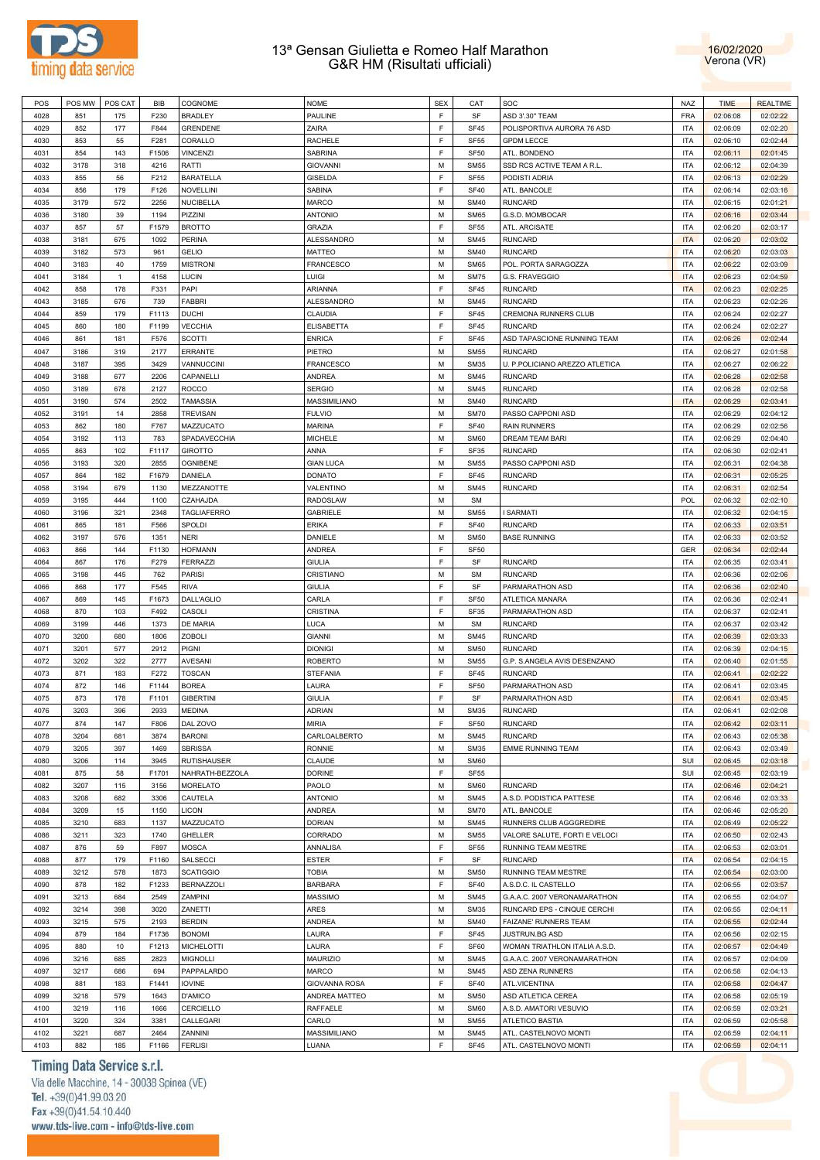



| POS  | POS MW | POS CAT      | BIB   | COGNOME            | <b>NOME</b>          | <b>SEX</b> | CAT         | SOC                            | <b>NAZ</b> | <b>TIME</b> | <b>REALTIME</b> |
|------|--------|--------------|-------|--------------------|----------------------|------------|-------------|--------------------------------|------------|-------------|-----------------|
| 4028 | 851    | 175          | F230  | <b>BRADLEY</b>     | PAULINE              | E          | SF          | ASD 3'.30" TEAM                | <b>FRA</b> | 02:06:08    | 02:02:22        |
|      |        |              |       |                    |                      |            |             |                                |            |             |                 |
| 4029 | 852    | 177          | F844  | <b>GRENDENE</b>    | ZAIRA                | E          | SF45        | POLISPORTIVA AURORA 76 ASD     | <b>ITA</b> | 02:06:09    | 02:02:20        |
| 4030 | 853    | 55           | F281  | CORALLO            | <b>RACHELE</b>       | E          | <b>SF55</b> | <b>GPDM LECCE</b>              | <b>ITA</b> | 02:06:10    | 02:02:44        |
| 4031 | 854    | 143          | F1506 | <b>VINCENZI</b>    | SABRINA              | E          | <b>SF50</b> | ATL. BONDENO                   | <b>ITA</b> | 02:06:11    | 02:01:45        |
| 4032 | 3178   | 318          | 4216  | RATTI              | <b>GIOVANNI</b>      | M          | <b>SM55</b> | SSD RCS ACTIVE TEAM A R.L.     | <b>ITA</b> | 02:06:12    | 02:04:39        |
| 4033 | 855    | 56           | F212  | <b>BARATELLA</b>   | <b>GISELDA</b>       | E          | <b>SF55</b> | PODISTI ADRIA                  | <b>ITA</b> | 02:06:13    | 02:02:29        |
|      |        |              |       |                    |                      |            |             |                                |            |             |                 |
| 4034 | 856    | 179          | F126  | <b>NOVELLINI</b>   | SABINA               | E          | <b>SF40</b> | ATL. BANCOLE                   | <b>ITA</b> | 02:06:14    | 02:03:16        |
| 4035 | 3179   | 572          | 2256  | <b>NUCIBELLA</b>   | <b>MARCO</b>         | M          | <b>SM40</b> | <b>RUNCARD</b>                 | <b>ITA</b> | 02:06:15    | 02:01:21        |
| 4036 | 3180   | 39           | 1194  | PIZZINI            | <b>ANTONIO</b>       | M          | <b>SM65</b> | G.S.D. MOMBOCAR                | <b>ITA</b> | 02:06:16    | 02:03:44        |
| 4037 | 857    | 57           | F1579 | <b>BROTTO</b>      | <b>GRAZIA</b>        | E          | <b>SF55</b> | ATL. ARCISATE                  | <b>ITA</b> | 02:06:20    | 02:03:17        |
|      |        |              | 1092  | <b>PERINA</b>      |                      | M          | <b>SM45</b> | <b>RUNCARD</b>                 | <b>ITA</b> |             |                 |
| 4038 | 3181   | 675          |       |                    | ALESSANDRO           |            |             |                                |            | 02:06:20    | 02:03:02        |
| 4039 | 3182   | 573          | 961   | <b>GELIO</b>       | MATTEO               | M          | <b>SM40</b> | <b>RUNCARD</b>                 | <b>ITA</b> | 02:06:20    | 02:03:03        |
| 4040 | 3183   | 40           | 1759  | <b>MISTRONI</b>    | <b>FRANCESCO</b>     | M          | <b>SM65</b> | POL. PORTA SARAGOZZA           | <b>ITA</b> | 02:06:22    | 02:03:09        |
| 4041 | 3184   | $\mathbf{1}$ | 4158  | LUCIN              | LUIGI                | M          | <b>SM75</b> | G.S. FRAVEGGIO                 | <b>ITA</b> | 02:06:23    | 02:04:59        |
| 4042 | 858    | 178          | F331  | PAPI               | ARIANNA              | E          | <b>SF45</b> | <b>RUNCARD</b>                 | <b>ITA</b> | 02:06:23    | 02:02:25        |
| 4043 | 3185   | 676          | 739   | <b>FABBRI</b>      | ALESSANDRO           | M          | <b>SM45</b> | RUNCARD                        | <b>ITA</b> | 02:06:23    | 02:02:26        |
|      |        |              |       |                    |                      |            |             |                                |            |             |                 |
| 4044 | 859    | 179          | F1113 | <b>DUCHI</b>       | <b>CLAUDIA</b>       | E          | <b>SF45</b> | CREMONA RUNNERS CLUB           | <b>ITA</b> | 02:06:24    | 02:02:27        |
| 4045 | 860    | 180          | F1199 | <b>VECCHIA</b>     | <b>ELISABETTA</b>    | E          | SF45        | <b>RUNCARD</b>                 | <b>ITA</b> | 02:06:24    | 02:02:27        |
| 4046 | 861    | 181          | F576  | <b>SCOTTI</b>      | <b>ENRICA</b>        | E          | <b>SF45</b> | ASD TAPASCIONE RUNNING TEAM    | <b>ITA</b> | 02:06:26    | 02:02:44        |
| 4047 | 3186   | 319          | 2177  | <b>ERRANTE</b>     | PIETRO               | M          | <b>SM55</b> | <b>RUNCARD</b>                 | <b>ITA</b> | 02:06:27    | 02:01:58        |
| 4048 | 3187   |              |       | VANNUCCINI         | <b>FRANCESCO</b>     | M          |             |                                | <b>ITA</b> |             |                 |
|      |        | 395          | 3429  |                    |                      |            | <b>SM35</b> | U. P.POLICIANO AREZZO ATLETICA |            | 02:06:27    | 02:06:22        |
| 4049 | 3188   | 677          | 2206  | CAPANELLI          | <b>ANDREA</b>        | M          | <b>SM45</b> | <b>RUNCARD</b>                 | <b>ITA</b> | 02:06:28    | 02:02:58        |
| 4050 | 3189   | 678          | 2127  | <b>ROCCO</b>       | <b>SERGIO</b>        | M          | <b>SM45</b> | <b>RUNCARD</b>                 | <b>ITA</b> | 02:06:28    | 02:02:58        |
| 4051 | 3190   | 574          | 2502  | <b>TAMASSIA</b>    | MASSIMILIANO         | M          | <b>SM40</b> | <b>RUNCARD</b>                 | <b>ITA</b> | 02:06:29    | 02:03:41        |
| 4052 | 3191   | 14           | 2858  | <b>TREVISAN</b>    | <b>FULVIO</b>        | M          | <b>SM70</b> | PASSO CAPPONI ASD              | <b>ITA</b> | 02:06:29    | 02:04:12        |
|      |        |              |       |                    |                      | E          |             |                                |            |             |                 |
| 4053 | 862    | 180          | F767  | MAZZUCATO          | <b>MARINA</b>        |            | <b>SF40</b> | <b>RAIN RUNNERS</b>            | <b>ITA</b> | 02:06:29    | 02:02:56        |
| 4054 | 3192   | 113          | 783   | SPADAVECCHIA       | <b>MICHELE</b>       | M          | <b>SM60</b> | <b>DREAM TEAM BARI</b>         | <b>ITA</b> | 02:06:29    | 02:04:40        |
| 4055 | 863    | 102          | F1117 | <b>GIROTTO</b>     | ANNA                 | E          | SF35        | RUNCARD                        | <b>ITA</b> | 02:06:30    | 02:02:41        |
| 4056 | 3193   | 320          | 2855  | <b>OGNIBENE</b>    | <b>GIAN LUCA</b>     | M          | <b>SM55</b> | PASSO CAPPONI ASD              | <b>ITA</b> | 02:06:31    | 02:04:38        |
| 4057 | 864    | 182          | F1679 | DANIELA            | <b>DONATO</b>        | E          | <b>SF45</b> | <b>RUNCARD</b>                 | <b>ITA</b> | 02:06:31    | 02:05:25        |
|      |        |              |       |                    |                      |            |             |                                |            |             |                 |
| 4058 | 3194   | 679          | 1130  | MEZZANOTTE         | VALENTINO            | M          | <b>SM45</b> | <b>RUNCARD</b>                 | <b>ITA</b> | 02:06:31    | 02:02:54        |
| 4059 | 3195   | 444          | 1100  | CZAHAJDA           | <b>RADOSLAW</b>      | M          | <b>SM</b>   |                                | <b>POL</b> | 02:06:32    | 02:02:10        |
| 4060 | 3196   | 321          | 2348  | <b>TAGLIAFERRO</b> | <b>GABRIELE</b>      | M          | <b>SM55</b> | <b>I SARMATI</b>               | <b>ITA</b> | 02:06:32    | 02:04:15        |
| 4061 | 865    | 181          | F566  | SPOLDI             | <b>ERIKA</b>         | E          | <b>SF40</b> | <b>RUNCARD</b>                 | <b>ITA</b> | 02:06:33    | 02:03:51        |
| 4062 | 3197   | 576          | 1351  | <b>NERI</b>        | DANIELE              | M          | <b>SM50</b> | <b>BASE RUNNING</b>            | <b>ITA</b> | 02:06:33    | 02:03:52        |
|      |        |              |       |                    |                      |            |             |                                |            |             |                 |
| 4063 | 866    | 144          | F1130 | <b>HOFMANN</b>     | <b>ANDREA</b>        | E          | <b>SF50</b> |                                | <b>GER</b> | 02:06:34    | 02:02:44        |
| 4064 | 867    | 176          | F279  | <b>FERRAZZI</b>    | <b>GIULIA</b>        | E          | SF          | RUNCARD                        | <b>ITA</b> | 02:06:35    | 02:03:41        |
| 4065 | 3198   | 445          | 762   | <b>PARISI</b>      | CRISTIANO            | M          | <b>SM</b>   | <b>RUNCARD</b>                 | <b>ITA</b> | 02:06:36    | 02:02:06        |
| 4066 | 868    | 177          | F545  | <b>RIVA</b>        | <b>GIULIA</b>        | E          | SF          | PARMARATHON ASD                | <b>ITA</b> | 02:06:36    | 02:02:40        |
| 4067 | 869    | 145          | F1673 | DALL'AGLIO         | CARLA                | E          | <b>SF50</b> | ATLETICA MANARA                | <b>ITA</b> | 02:06:36    | 02:02:41        |
|      |        | 103          |       |                    |                      | E          |             |                                | <b>ITA</b> |             |                 |
| 4068 | 870    |              | F492  | CASOLI             | <b>CRISTINA</b>      |            | SF35        | PARMARATHON ASD                |            | 02:06:37    | 02:02:41        |
| 4069 | 3199   | 446          | 1373  | DE MARIA           | LUCA                 | M          | <b>SM</b>   | RUNCARD                        | <b>ITA</b> | 02:06:37    | 02:03:42        |
| 4070 | 3200   | 680          | 1806  | <b>ZOBOLI</b>      | <b>GIANNI</b>        | M          | <b>SM45</b> | <b>RUNCARD</b>                 | <b>ITA</b> | 02:06:39    | 02:03:33        |
| 4071 | 3201   | 577          | 2912  | PIGNI              | <b>DIONIGI</b>       | M          | <b>SM50</b> | <b>RUNCARD</b>                 | <b>ITA</b> | 02:06:39    | 02:04:15        |
| 4072 | 3202   | 322          | 2777  | <b>AVESANI</b>     | <b>ROBERTO</b>       | M          | <b>SM55</b> | G.P. S.ANGELA AVIS DESENZANO   | <b>ITA</b> | 02:06:40    | 02:01:55        |
| 4073 | 871    | 183          | F272  | <b>TOSCAN</b>      | <b>STEFANIA</b>      | F          | <b>SF45</b> | <b>RUNCARD</b>                 | <b>ITA</b> | 02:06:41    | 02:02:22        |
|      |        |              |       |                    |                      |            |             |                                |            |             |                 |
| 4074 | 872    | 146          | F1144 | <b>BOREA</b>       | LAURA                | E          | <b>SF50</b> | PARMARATHON ASD                | <b>ITA</b> | 02:06:41    | 02:03:45        |
| 4075 | 873    | 178          | F1101 | <b>GIBERTINI</b>   | <b>GIULIA</b>        | E          | SF          | PARMARATHON ASD                | <b>ITA</b> | 02:06:41    | 02:03:45        |
| 4076 | 3203   | 396          | 2933  | <b>MEDINA</b>      | <b>ADRIAN</b>        | M          | <b>SM35</b> | <b>RUNCARD</b>                 | <b>ITA</b> | 02:06:41    | 02:02:08        |
| 4077 | 874    | 147          | F806  | DAL ZOVO           | <b>MIRIA</b>         | E          | <b>SF50</b> | <b>RUNCARD</b>                 | <b>ITA</b> | 02:06:42    | 02:03:11        |
| 4078 | 3204   | 681          | 3874  | <b>BARONI</b>      | CARLOALBERTO         | M          | <b>SM45</b> | RUNCARD                        | <b>ITA</b> | 02:06:43    | 02:05:38        |
|      |        |              |       |                    |                      |            |             |                                |            |             |                 |
| 4079 | 3205   | 397          | 1469  | <b>SBRISSA</b>     | <b>RONNIE</b>        | M          | <b>SM35</b> | <b>EMME RUNNING TEAM</b>       | <b>ITA</b> | 02:06:43    | 02:03:49        |
| 4080 | 3206   | 114          | 3945  | <b>RUTISHAUSER</b> | CLAUDE               | M          | <b>SM60</b> |                                | SUI        | 02:06:45    | 02:03:18        |
| 4081 | 875    | 58           | F1701 | NAHRATH-BEZZOLA    | <b>DORINE</b>        | E          | <b>SF55</b> |                                | SUI        | 02:06:45    | 02:03:19        |
| 4082 | 3207   | 115          | 3156  | <b>MORELATO</b>    | PAOLO                | M          | <b>SM60</b> | <b>RUNCARD</b>                 | <b>ITA</b> | 02:06:46    | 02:04:21        |
| 4083 | 3208   | 682          | 3306  | CAUTELA            | <b>ANTONIO</b>       | M          | <b>SM45</b> | A.S.D. PODISTICA PATTESE       | <b>ITA</b> | 02:06:46    | 02:03:33        |
|      |        |              |       |                    |                      |            |             |                                |            |             |                 |
| 4084 | 3209   | 15           | 1150  | <b>LICON</b>       | ANDREA               | M          | <b>SM70</b> | ATL. BANCOLE                   | <b>ITA</b> | 02:06:46    | 02:05:20        |
| 4085 | 3210   | 683          | 1137  | MAZZUCATO          | <b>DORIAN</b>        | M          | <b>SM45</b> | RUNNERS CLUB AGGGREDIRE        | <b>ITA</b> | 02:06:49    | 02:05:22        |
| 4086 | 3211   | 323          | 1740  | <b>GHELLER</b>     | CORRADO              | M          | <b>SM55</b> | VALORE SALUTE, FORTI E VELOCI  | <b>ITA</b> | 02:06:50    | 02:02:43        |
| 4087 | 876    | 59           | F897  | <b>MOSCA</b>       | ANNALISA             | E          | <b>SF55</b> | RUNNING TEAM MESTRE            | <b>ITA</b> | 02:06:53    | 02:03:01        |
| 4088 | 877    | 179          | F1160 | SALSECCI           | <b>ESTER</b>         | E          | SF          | <b>RUNCARD</b>                 | <b>ITA</b> | 02:06:54    | 02:04:15        |
|      |        |              |       |                    |                      |            |             |                                |            |             |                 |
| 4089 | 3212   | 578          | 1873  | <b>SCATIGGIO</b>   | TOBIA                | M          | <b>SM50</b> | RUNNING TEAM MESTRE            | <b>ITA</b> | 02:06:54    | 02:03:00        |
| 4090 | 878    | 182          | F1233 | <b>BERNAZZOLI</b>  | <b>BARBARA</b>       | E          | <b>SF40</b> | A.S.D.C. IL CASTELLO           | <b>ITA</b> | 02:06:55    | 02:03:57        |
| 4091 | 3213   | 684          | 2549  | ZAMPINI            | <b>MASSIMO</b>       | M          | <b>SM45</b> | G.A.A.C. 2007 VERONAMARATHON   | <b>ITA</b> | 02:06:55    | 02:04:07        |
| 4092 | 3214   | 398          | 3020  | ZANETTI            | <b>ARES</b>          | M          | <b>SM35</b> | RUNCARD EPS - CINQUE CERCHI    | <b>ITA</b> | 02:06:55    | 02:04:11        |
| 4093 | 3215   | 575          | 2193  | <b>BERDIN</b>      | <b>ANDREA</b>        | M          | <b>SM40</b> | FAIZANE' RUNNERS TEAM          | <b>ITA</b> | 02:06:55    | 02:02:44        |
|      |        |              |       |                    |                      |            |             |                                |            |             |                 |
| 4094 | 879    | 184          | F1736 | <b>BONOMI</b>      | LAURA                | E          | <b>SF45</b> | JUSTRUN.BG ASD                 | <b>ITA</b> | 02:06:56    | 02:02:15        |
| 4095 | 880    | 10           | F1213 | <b>MICHELOTTI</b>  | LAURA                | E          | SF60        | WOMAN TRIATHLON ITALIA A.S.D.  | <b>ITA</b> | 02:06:57    | 02:04:49        |
| 4096 | 3216   | 685          | 2823  | <b>MIGNOLLI</b>    | <b>MAURIZIO</b>      | M          | <b>SM45</b> | G.A.A.C. 2007 VERONAMARATHON   | <b>ITA</b> | 02:06:57    | 02:04:09        |
| 4097 | 3217   | 686          | 694   | PAPPALARDO         | <b>MARCO</b>         | M          | <b>SM45</b> | ASD ZENA RUNNERS               | <b>ITA</b> | 02:06:58    | 02:04:13        |
|      |        |              |       |                    |                      | E          |             |                                |            |             |                 |
| 4098 | 881    | 183          | F1441 | <b>IOVINE</b>      | <b>GIOVANNA ROSA</b> |            | <b>SF40</b> | ATL.VICENTINA                  | <b>ITA</b> | 02:06:58    | 02:04:47        |
| 4099 | 3218   | 579          | 1643  | D'AMICO            | ANDREA MATTEO        | M          | <b>SM50</b> | ASD ATLETICA CEREA             | <b>ITA</b> | 02:06:58    | 02:05:19        |
| 4100 | 3219   | 116          | 1666  | CERCIELLO          | RAFFAELE             | M          | <b>SM60</b> | A.S.D. AMATORI VESUVIO         | <b>ITA</b> | 02:06:59    | 02:03:21        |
| 4101 | 3220   | 324          | 3381  | CALLEGARI          | CARLO                | M          | <b>SM55</b> | ATLETICO BASTIA                | <b>ITA</b> | 02:06:59    | 02:05:58        |
| 4102 | 3221   | 687          | 2464  | ZANNINI            | MASSIMILIANO         | М          | <b>SM45</b> | ATL. CASTELNOVO MONTI          | <b>ITA</b> | 02:06:59    | 02:04:11        |
|      |        |              |       |                    |                      |            |             |                                |            |             |                 |
| 4103 | 882    | 185          | F1166 | <b>FERLISI</b>     | LUANA                | F          | SF45        | ATL. CASTELNOVO MONTI          | <b>ITA</b> | 02:06:59    | 02:04:11        |

# Timing Data Service s.r.l.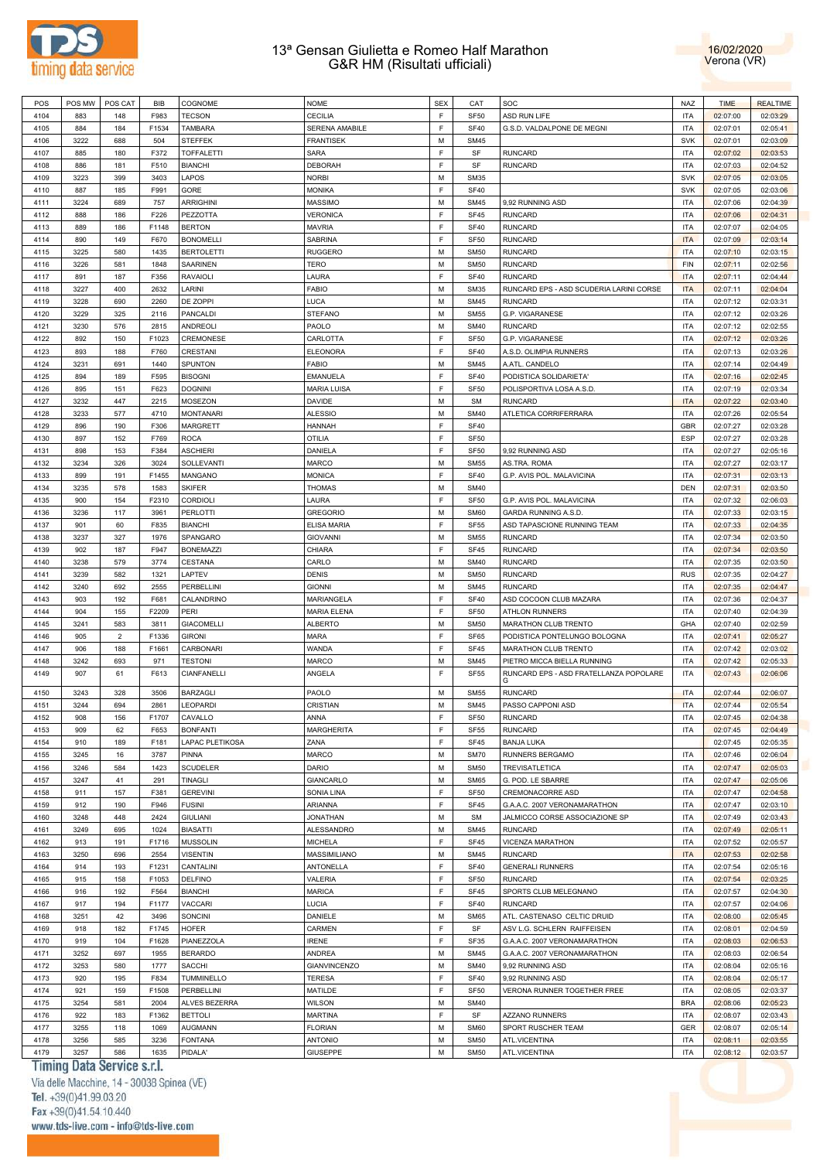



| POS  | POS MW | POS CAT        | <b>BIB</b> | COGNOME           | <b>NOME</b>         | <b>SEX</b> | CAT              | SOC                                     | <b>NAZ</b> | <b>TIME</b> | <b>REALTIME</b> |
|------|--------|----------------|------------|-------------------|---------------------|------------|------------------|-----------------------------------------|------------|-------------|-----------------|
|      |        |                |            |                   |                     |            |                  |                                         |            |             |                 |
| 4104 | 883    | 148            | F983       | <b>TECSON</b>     | <b>CECILIA</b>      | F          | <b>SF50</b>      | ASD RUN LIFE                            | <b>ITA</b> | 02:07:00    | 02:03:29        |
| 4105 | 884    | 184            | F1534      | <b>TAMBARA</b>    | SERENA AMABILE      | F          | <b>SF40</b>      | G.S.D. VALDALPONE DE MEGNI              | <b>ITA</b> | 02:07:01    | 02:05:41        |
| 4106 | 3222   | 688            | 504        | <b>STEFFEK</b>    | <b>FRANTISEK</b>    | M          | <b>SM45</b>      |                                         | SVK        | 02:07:01    | 02:03:09        |
| 4107 | 885    | 180            | F372       | <b>TOFFALETTI</b> | <b>SARA</b>         | F          | SF               | <b>RUNCARD</b>                          | <b>ITA</b> | 02:07:02    | 02:03:53        |
| 4108 | 886    | 181            | F510       | <b>BIANCHI</b>    | <b>DEBORAH</b>      | F          | SF               | <b>RUNCARD</b>                          | <b>ITA</b> | 02:07:03    | 02:04:52        |
|      |        |                |            |                   |                     |            |                  |                                         |            |             |                 |
| 4109 | 3223   | 399            | 3403       | LAPOS             | <b>NORBI</b>        | M          | <b>SM35</b>      |                                         | <b>SVK</b> | 02:07:05    | 02:03:05        |
| 4110 | 887    | 185            | F991       | GORE              | <b>MONIKA</b>       | F          | <b>SF40</b>      |                                         | <b>SVK</b> | 02:07:05    | 02:03:06        |
| 4111 | 3224   | 689            | 757        | <b>ARRIGHINI</b>  | <b>MASSIMO</b>      | M          | <b>SM45</b>      | 9,92 RUNNING ASD                        | <b>ITA</b> | 02:07:06    | 02:04:39        |
| 4112 | 888    | 186            | F226       | PEZZOTTA          | <b>VERONICA</b>     | F          | <b>SF45</b>      | <b>RUNCARD</b>                          | <b>ITA</b> | 02:07:06    | 02:04:31        |
| 4113 | 889    | 186            | F1148      | <b>BERTON</b>     | <b>MAVRIA</b>       | F          | <b>SF40</b>      | <b>RUNCARD</b>                          | <b>ITA</b> | 02:07:07    | 02:04:05        |
|      |        |                |            |                   |                     |            |                  |                                         |            |             |                 |
| 4114 | 890    | 149            | F670       | <b>BONOMELLI</b>  | SABRINA             | F          | <b>SF50</b>      | <b>RUNCARD</b>                          | <b>ITA</b> | 02:07:09    | 02:03:14        |
| 4115 | 3225   | 580            | 1435       | <b>BERTOLETTI</b> | <b>RUGGERO</b>      | M          | <b>SM50</b>      | <b>RUNCARD</b>                          | <b>ITA</b> | 02:07:10    | 02:03:15        |
| 4116 | 3226   | 581            | 1848       | SAARINEN          | TERO                | M          | <b>SM50</b>      | <b>RUNCARD</b>                          | <b>FIN</b> | 02:07:11    | 02:02:56        |
| 4117 | 891    | 187            | F356       | <b>RAVAIOLI</b>   | LAURA               | F          | <b>SF40</b>      | <b>RUNCARD</b>                          | <b>ITA</b> | 02:07:11    | 02:04:44        |
| 4118 | 3227   | 400            | 2632       | LARINI            | <b>FABIO</b>        | M          | <b>SM35</b>      | RUNCARD EPS - ASD SCUDERIA LARINI CORSE | <b>ITA</b> | 02:07:11    | 02:04:04        |
| 4119 | 3228   | 690            | 2260       |                   |                     | M          | <b>SM45</b>      | <b>RUNCARD</b>                          | <b>ITA</b> |             |                 |
|      |        |                |            | DE ZOPPI          | LUCA                |            |                  |                                         |            | 02:07:12    | 02:03:31        |
| 4120 | 3229   | 325            | 2116       | PANCALDI          | <b>STEFANO</b>      | M          | <b>SM55</b>      | G.P. VIGARANESE                         | <b>ITA</b> | 02:07:12    | 02:03:26        |
| 4121 | 3230   | 576            | 2815       | <b>ANDREOLI</b>   | PAOLO               | M          | <b>SM40</b>      | <b>RUNCARD</b>                          | <b>ITA</b> | 02:07:12    | 02:02:55        |
| 4122 | 892    | 150            | F1023      | CREMONESE         | CARLOTTA            | F          | <b>SF50</b>      | G.P. VIGARANESE                         | <b>ITA</b> | 02:07:12    | 02:03:26        |
| 4123 | 893    | 188            | F760       | <b>CRESTANI</b>   | <b>ELEONORA</b>     | F          | <b>SF40</b>      | A.S.D. OLIMPIA RUNNERS                  | <b>ITA</b> | 02:07:13    | 02:03:26        |
| 4124 | 3231   |                | 1440       | SPUNTON           | <b>FABIO</b>        | M          | <b>SM45</b>      | A.ATL. CANDELO                          | <b>ITA</b> |             |                 |
|      |        | 691            |            |                   |                     |            |                  |                                         |            | 02:07:14    | 02:04:49        |
| 4125 | 894    | 189            | F595       | <b>BISOGNI</b>    | <b>EMANUELA</b>     | F          | <b>SF40</b>      | PODISTICA SOLIDARIETA'                  | <b>ITA</b> | 02:07:16    | 02:02:45        |
| 4126 | 895    | 151            | F623       | <b>DOGNINI</b>    | <b>MARIA LUISA</b>  | F          | <b>SF50</b>      | POLISPORTIVA LOSA A.S.D.                | <b>ITA</b> | 02:07:19    | 02:03:34        |
| 4127 | 3232   | 447            | 2215       | <b>MOSEZON</b>    | DAVIDE              | M          | <b>SM</b>        | <b>RUNCARD</b>                          | <b>ITA</b> | 02:07:22    | 02:03:40        |
| 4128 | 3233   | 577            | 4710       | <b>MONTANARI</b>  | <b>ALESSIO</b>      | M          | <b>SM40</b>      | ATLETICA CORRIFERRARA                   | <b>ITA</b> | 02:07:26    | 02:05:54        |
| 4129 | 896    | 190            | F306       | <b>MARGRETT</b>   | HANNAH              | F          | <b>SF40</b>      |                                         | GBR        | 02:07:27    | 02:03:28        |
|      |        |                |            |                   |                     |            |                  |                                         |            |             |                 |
| 4130 | 897    | 152            | F769       | <b>ROCA</b>       | <b>OTILIA</b>       | F          | <b>SF50</b>      |                                         | ESP        | 02:07:27    | 02:03:28        |
| 4131 | 898    | 153            | F384       | <b>ASCHIERI</b>   | DANIELA             | F          | <b>SF50</b>      | 9.92 RUNNING ASD                        | <b>ITA</b> | 02:07:27    | 02:05:16        |
| 4132 | 3234   | 326            | 3024       | SOLLEVANTI        | <b>MARCO</b>        | M          | <b>SM55</b>      | AS.TRA. ROMA                            | <b>ITA</b> | 02:07:27    | 02:03:17        |
| 4133 | 899    | 191            | F1455      | <b>MANGANO</b>    | <b>MONICA</b>       | F          | <b>SF40</b>      | G.P. AVIS POL. MALAVICINA               | <b>ITA</b> | 02:07:31    | 02:03:13        |
| 4134 | 3235   | 578            | 1583       | <b>SKIFER</b>     | <b>THOMAS</b>       | M          | <b>SM40</b>      |                                         | <b>DEN</b> | 02:07:31    | 02:03:50        |
|      |        |                |            |                   |                     |            |                  |                                         |            |             |                 |
| 4135 | 900    | 154            | F2310      | CORDIOLI          | LAURA               | F          | <b>SF50</b>      | G.P. AVIS POL. MALAVICINA               | <b>ITA</b> | 02:07:32    | 02:06:03        |
| 4136 | 3236   | 117            | 3961       | PERLOTTI          | <b>GREGORIO</b>     | M          | <b>SM60</b>      | GARDA RUNNING A.S.D.                    | <b>ITA</b> | 02:07:33    | 02:03:15        |
| 4137 | 901    | 60             | F835       | <b>BIANCHI</b>    | ELISA MARIA         | F          | <b>SF55</b>      | ASD TAPASCIONE RUNNING TEAM             | <b>ITA</b> | 02:07:33    | 02:04:35        |
| 4138 | 3237   | 327            | 1976       | SPANGARO          | <b>GIOVANNI</b>     | M          | <b>SM55</b>      | <b>RUNCARD</b>                          | <b>ITA</b> | 02:07:34    | 02:03:50        |
| 4139 | 902    | 187            | F947       | <b>BONEMAZZI</b>  | CHIARA              | F          | SF45             | <b>RUNCARD</b>                          | <b>ITA</b> | 02:07:34    | 02:03:50        |
|      |        |                |            |                   |                     |            |                  |                                         |            |             |                 |
| 4140 | 3238   | 579            | 3774       | CESTANA           | CARLO               | M          | <b>SM40</b>      | <b>RUNCARD</b>                          | <b>ITA</b> | 02:07:35    | 02:03:50        |
| 4141 | 3239   | 582            | 1321       | LAPTEV            | <b>DENIS</b>        | M          | <b>SM50</b>      | <b>RUNCARD</b>                          | <b>RUS</b> | 02:07:35    | 02:04:27        |
| 4142 | 3240   | 692            | 2555       | PERBELLINI        | <b>GIONNI</b>       | M          | <b>SM45</b>      | <b>RUNCARD</b>                          | <b>ITA</b> | 02:07:35    | 02:04:47        |
| 4143 | 903    | 192            | F681       | CALANDRINO        | MARIANGELA          | F          | <b>SF40</b>      | ASD COCOON CLUB MAZARA                  | <b>ITA</b> | 02:07:36    | 02:04:37        |
| 4144 | 904    | 155            | F2209      | PERI              | <b>MARIA ELENA</b>  | E          | <b>SF50</b>      | <b>ATHLON RUNNERS</b>                   | <b>ITA</b> | 02:07:40    | 02:04:39        |
| 4145 | 3241   | 583            | 3811       | <b>GIACOMELLI</b> | <b>ALBERTO</b>      | M          | <b>SM50</b>      | MARATHON CLUB TRENTO                    | GHA        | 02:07:40    | 02:02:59        |
|      |        |                |            |                   |                     |            |                  |                                         |            |             |                 |
| 4146 | 905    | $\overline{2}$ | F1336      | <b>GIRONI</b>     | <b>MARA</b>         | F          | SF65             | PODISTICA PONTELUNGO BOLOGNA            | <b>ITA</b> | 02:07:41    | 02:05:27        |
| 4147 | 906    | 188            | F1661      | CARBONARI         | WANDA               | F          | SF45             | MARATHON CLUB TRENTO                    | <b>ITA</b> | 02:07:42    | 02:03:02        |
| 4148 | 3242   | 693            | 971        | <b>TESTONI</b>    | <b>MARCO</b>        | M          | <b>SM45</b>      | PIETRO MICCA BIELLA RUNNING             | <b>ITA</b> | 02:07:42    | 02:05:33        |
| 4149 | 907    | 61             | F613       | CIANFANELLI       | ANGELA              | F          | <b>SF55</b>      | RUNCARD EPS - ASD FRATELLANZA POPOLARE  | <b>ITA</b> | 02:07:43    | 02:06:06        |
|      |        |                |            |                   |                     |            |                  |                                         |            |             |                 |
| 4150 | 3243   | 328            | 3506       | <b>BARZAGLI</b>   | PAOLO               | M          | <b>SM55</b>      | <b>RUNCARD</b>                          | <b>ITA</b> | 02:07:44    | 02:06:07        |
| 4151 | 3244   | 694            | 2861       | LEOPARDI          | CRISTIAN            | M          | <b>SM45</b>      | PASSO CAPPONI ASD                       | <b>ITA</b> | 02:07:44    | 02:05:54        |
| 4152 | 908    | 156            | F1707      | CAVALLO           | ANNA                | F          | SF <sub>50</sub> | <b>RUNCARD</b>                          | ITA        | 02:07:45    | 02:04:38        |
|      |        |                |            |                   |                     |            |                  |                                         |            |             |                 |
| 4153 | 909    | 62             | F653       | <b>BONFANTI</b>   | <b>MARGHERITA</b>   | F          | <b>SF55</b>      | <b>RUNCARD</b>                          | <b>ITA</b> | 02:07:45    | 02:04:49        |
| 4154 | 910    | 189            | F181       | LAPAC PLETIKOSA   | ZANA                | F          | <b>SF45</b>      | <b>BANJA LUKA</b>                       |            | 02:07:45    | 02:05:35        |
| 4155 | 3245   | 16             | 3787       | PINNA             | MARCO               | M          | <b>SM70</b>      | RUNNERS BERGAMO                         | <b>ITA</b> | 02:07:46    | 02:06:04        |
| 4156 | 3246   | 584            | 1423       | <b>SCUDELER</b>   | DARIO               | M          | <b>SM50</b>      | TREVISATLETICA                          | <b>ITA</b> | 02:07:47    | 02:05:03        |
| 4157 | 3247   | 41             | 291        | TINAGLI           | GIANCARLO           | M          | <b>SM65</b>      | G. POD. LE SBARRE                       | <b>ITA</b> | 02:07:47    | 02:05:06        |
|      |        |                |            |                   |                     |            |                  |                                         |            |             |                 |
| 4158 | 911    | 157            | F381       | <b>GEREVINI</b>   | SONIA LINA          | F          | <b>SF50</b>      | CREMONACORRE ASD                        | <b>ITA</b> | 02:07:47    | 02:04:58        |
| 4159 | 912    | 190            | F946       | <b>FUSINI</b>     | ARIANNA             | F          | <b>SF45</b>      | G.A.A.C. 2007 VERONAMARATHON            | <b>ITA</b> | 02:07:47    | 02:03:10        |
| 4160 | 3248   | 448            | 2424       | <b>GIULIANI</b>   | <b>JONATHAN</b>     | M          | <b>SM</b>        | JALMICCO CORSE ASSOCIAZIONE SP          | <b>ITA</b> | 02:07:49    | 02:03:43        |
| 4161 | 3249   | 695            | 1024       | <b>BIASATTI</b>   | ALESSANDRO          | M          | <b>SM45</b>      | <b>RUNCARD</b>                          | <b>ITA</b> | 02:07:49    | 02:05:11        |
| 4162 | 913    | 191            | F1716      | <b>MUSSOLIN</b>   | <b>MICHELA</b>      | F          | SF45             | VICENZA MARATHON                        | <b>ITA</b> | 02:07:52    | 02:05:57        |
|      |        |                |            |                   |                     |            |                  |                                         |            |             |                 |
| 4163 | 3250   | 696            | 2554       | <b>VISENTIN</b>   | MASSIMILIANO        | M          | <b>SM45</b>      | <b>RUNCARD</b>                          | <b>ITA</b> | 02:07:53    | 02:02:58        |
| 4164 | 914    | 193            | F1231      | CANTALINI         | ANTONELLA           | F          | <b>SF40</b>      | <b>GENERALI RUNNERS</b>                 | <b>ITA</b> | 02:07:54    | 02:05:16        |
| 4165 | 915    | 158            | F1053      | <b>DELFINO</b>    | VALERIA             | F          | <b>SF50</b>      | <b>RUNCARD</b>                          | <b>ITA</b> | 02:07:54    | 02:03:25        |
| 4166 | 916    | 192            | F564       | <b>BIANCHI</b>    | <b>MARICA</b>       | F          | SF45             | SPORTS CLUB MELEGNANO                   | <b>ITA</b> | 02:07:57    | 02:04:30        |
| 4167 | 917    | 194            | F1177      | VACCARI           | LUCIA               | F          | <b>SF40</b>      | <b>RUNCARD</b>                          | <b>ITA</b> | 02:07:57    | 02:04:06        |
|      |        |                |            |                   |                     |            |                  |                                         |            |             |                 |
| 4168 | 3251   | 42             | 3496       | SONCINI           | DANIELE             | M          | <b>SM65</b>      | ATL. CASTENASO CELTIC DRUID             | <b>ITA</b> | 02:08:00    | 02:05:45        |
| 4169 | 918    | 182            | F1745      | <b>HOFER</b>      | CARMEN              | F          | SF               | ASV L.G. SCHLERN RAIFFEISEN             | <b>ITA</b> | 02:08:01    | 02:04:59        |
| 4170 | 919    | 104            | F1628      | PIANEZZOLA        | <b>IRENE</b>        | F          | SF35             | G.A.A.C. 2007 VERONAMARATHON            | <b>ITA</b> | 02:08:03    | 02:06:53        |
| 4171 | 3252   | 697            | 1955       | <b>BERARDO</b>    | ANDREA              | M          | <b>SM45</b>      | G.A.A.C. 2007 VERONAMARATHON            | <b>ITA</b> | 02:08:03    | 02:06:54        |
| 4172 | 3253   | 580            | 1777       | SACCHI            | <b>GIANVINCENZO</b> | M          | <b>SM40</b>      | 9,92 RUNNING ASD                        | <b>ITA</b> | 02:08:04    | 02:05:16        |
|      |        |                |            |                   |                     |            |                  |                                         |            |             |                 |
| 4173 | 920    | 195            | F834       | TUMMINELLO        | <b>TERESA</b>       | F          | <b>SF40</b>      | 9,92 RUNNING ASD                        | <b>ITA</b> | 02:08:04    | 02:05:17        |
| 4174 | 921    | 159            | F1508      | PERBELLINI        | MATILDE             | F          | <b>SF50</b>      | VERONA RUNNER TOGETHER FREE             | <b>ITA</b> | 02:08:05    | 02:03:37        |
| 4175 | 3254   | 581            | 2004       | ALVES BEZERRA     | <b>WILSON</b>       | M          | <b>SM40</b>      |                                         | <b>BRA</b> | 02:08:06    | 02:05:23        |
| 4176 | 922    | 183            | F1362      | <b>BETTOLI</b>    | <b>MARTINA</b>      | F          | SF               | <b>AZZANO RUNNERS</b>                   | <b>ITA</b> | 02:08:07    | 02:03:43        |
| 4177 | 3255   |                |            | <b>AUGMANN</b>    | <b>FLORIAN</b>      | M          |                  |                                         | <b>GER</b> |             |                 |
|      |        | 118            | 1069       |                   |                     |            | <b>SM60</b>      | SPORT RUSCHER TEAM                      |            | 02:08:07    | 02:05:14        |
| 4178 | 3256   | 585            | 3236       | <b>FONTANA</b>    | <b>ANTONIO</b>      | M          | <b>SM50</b>      | ATL.VICENTINA                           | <b>ITA</b> | 02:08:11    | 02:03:55        |
| 4179 | 3257   | 586            | 1635       | PIDALA'           | <b>GIUSEPPE</b>     | M          | <b>SM50</b>      | ATL.VICENTINA                           | <b>ITA</b> | 02:08:12    | 02:03:57        |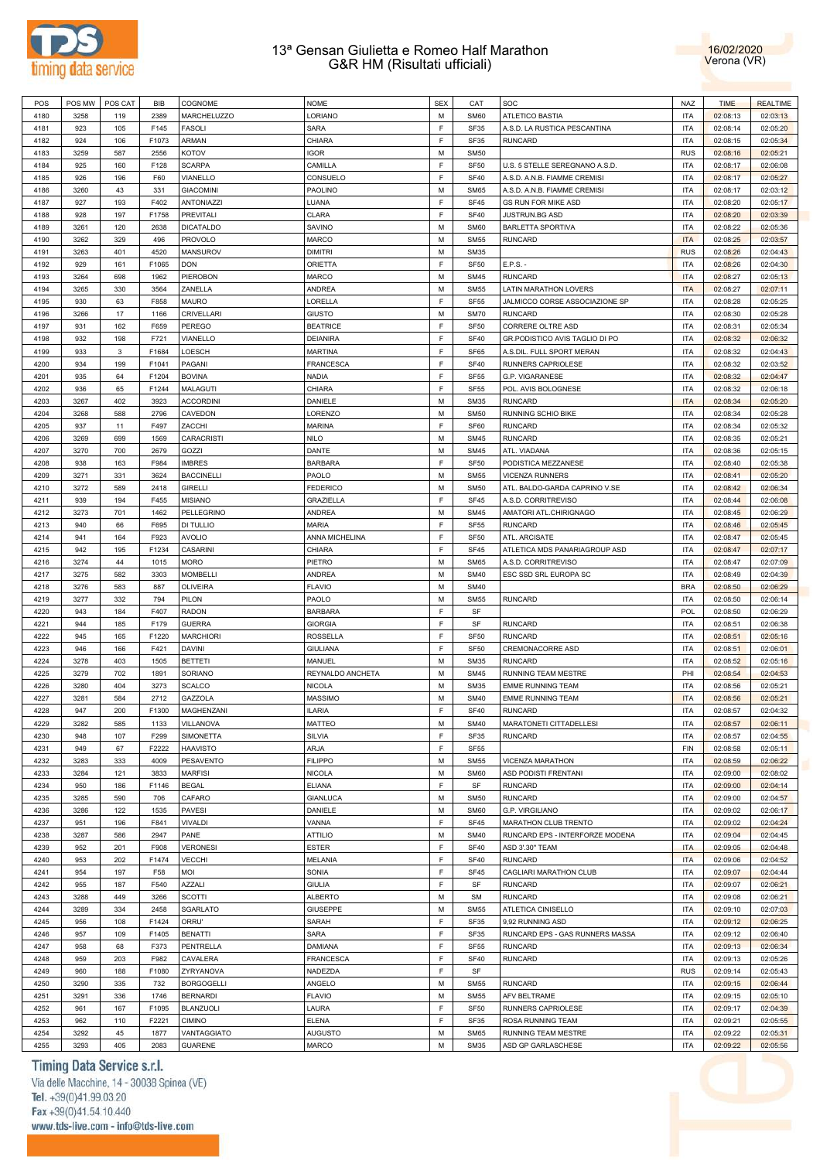



| POS  | POS MW | POS CAT     | <b>BIB</b> | COGNOME           | <b>NOME</b>      | <b>SEX</b>  | CAT         | SOC                                       | <b>NAZ</b> | <b>TIME</b> | <b>REALTIME</b> |
|------|--------|-------------|------------|-------------------|------------------|-------------|-------------|-------------------------------------------|------------|-------------|-----------------|
| 4180 | 3258   | 119         | 2389       | MARCHELUZZO       | LORIANO          | M           | <b>SM60</b> | <b>ATLETICO BASTIA</b>                    | <b>ITA</b> | 02:08:13    | 02:03:13        |
| 4181 | 923    | 105         | F145       | <b>FASOLI</b>     | <b>SARA</b>      | E           | <b>SF35</b> | A.S.D. LA RUSTICA PESCANTINA              | <b>ITA</b> | 02:08:14    | 02:05:20        |
| 4182 | 924    | 106         | F1073      | ARMAN             | CHIARA           | F           | SF35        | <b>RUNCARD</b>                            | <b>ITA</b> | 02:08:15    | 02:05:34        |
|      |        |             |            |                   |                  |             |             |                                           |            |             |                 |
| 4183 | 3259   | 587         | 2556       | KOTOV             | <b>IGOR</b>      | M           | <b>SM50</b> |                                           | <b>RUS</b> | 02:08:16    | 02:05:21        |
| 4184 | 925    | 160         | F128       | <b>SCARPA</b>     | CAMILLA          | F           | <b>SF50</b> | U.S. 5 STELLE SEREGNANO A.S.D.            | <b>ITA</b> | 02:08:17    | 02:06:08        |
| 4185 | 926    | 196         | F60        | VIANELLO          | CONSUELO         | F           | <b>SF40</b> | A.S.D. A.N.B. FIAMME CREMISI              | <b>ITA</b> | 02:08:17    | 02:05:27        |
| 4186 | 3260   | 43          | 331        | <b>GIACOMINI</b>  | PAOLINO          | M           | <b>SM65</b> | A.S.D. A.N.B. FIAMME CREMISI              | <b>ITA</b> | 02:08:17    | 02:03:12        |
| 4187 | 927    | 193         | F402       | <b>ANTONIAZZI</b> | LUANA            | F           | SF45        | <b>GS RUN FOR MIKE ASD</b>                | <b>ITA</b> | 02:08:20    | 02:05:17        |
| 4188 | 928    | 197         | F1758      | <b>PREVITALI</b>  | <b>CLARA</b>     | F           | <b>SF40</b> | JUSTRUN.BG ASD                            | <b>ITA</b> | 02:08:20    | 02:03:39        |
| 4189 | 3261   | 120         | 2638       | <b>DICATALDO</b>  | SAVINO           | M           | <b>SM60</b> | <b>BARLETTA SPORTIVA</b>                  | <b>ITA</b> | 02:08:22    | 02:05:36        |
| 4190 | 3262   | 329         | 496        | <b>PROVOLO</b>    | <b>MARCO</b>     | M           | <b>SM55</b> | <b>RUNCARD</b>                            | <b>ITA</b> | 02:08:25    | 02:03:57        |
| 4191 | 3263   | 401         | 4520       | <b>MANSUROV</b>   | <b>DIMITRI</b>   | M           | <b>SM35</b> |                                           | <b>RUS</b> | 02:08:26    | 02:04:43        |
| 4192 | 929    | 161         | F1065      | <b>DON</b>        | <b>ORIETTA</b>   | F           | <b>SF50</b> | E.P.S.                                    | <b>ITA</b> | 02:08:26    | 02:04:30        |
| 4193 | 3264   | 698         | 1962       |                   |                  | M           | <b>SM45</b> | <b>RUNCARD</b>                            | <b>ITA</b> |             |                 |
|      |        |             |            | PIEROBON          | <b>MARCO</b>     |             |             |                                           |            | 02:08:27    | 02:05:13        |
| 4194 | 3265   | 330         | 3564       | ZANELLA           | <b>ANDREA</b>    | M           | <b>SM55</b> | <b>LATIN MARATHON LOVERS</b>              | <b>ITA</b> | 02:08:27    | 02:07:11        |
| 4195 | 930    | 63          | F858       | <b>MAURO</b>      | LORELLA          | F           | <b>SF55</b> | JALMICCO CORSE ASSOCIAZIONE SP            | <b>ITA</b> | 02:08:28    | 02:05:25        |
| 4196 | 3266   | 17          | 1166       | CRIVELLARI        | <b>GIUSTO</b>    | M           | <b>SM70</b> | <b>RUNCARD</b>                            | <b>ITA</b> | 02:08:30    | 02:05:28        |
| 4197 | 931    | 162         | F659       | <b>PEREGO</b>     | <b>BEATRICE</b>  | F           | <b>SF50</b> | CORRERE OLTRE ASD                         | <b>ITA</b> | 02:08:31    | 02:05:34        |
| 4198 | 932    | 198         | F721       | VIANELLO          | <b>DEIANIRA</b>  | F           | <b>SF40</b> | GR.PODISTICO AVIS TAGLIO DI PO            | <b>ITA</b> | 02:08:32    | 02:06:32        |
| 4199 | 933    | $\mathbf 3$ | F1684      | LOESCH            | <b>MARTINA</b>   | $\mathsf F$ | SF65        | A.S.DIL. FULL SPORT MERAN                 | <b>ITA</b> | 02:08:32    | 02:04:43        |
| 4200 | 934    | 199         | F1041      | PAGANI            | <b>FRANCESCA</b> | F           | <b>SF40</b> | RUNNERS CAPRIOLESE                        | <b>ITA</b> | 02:08:32    | 02:03:52        |
| 4201 | 935    | 64          | F1204      | <b>BOVINA</b>     | <b>NADIA</b>     | $\mathsf F$ | <b>SF55</b> | G.P. VIGARANESE                           | <b>ITA</b> | 02:08:32    | 02:04:47        |
| 4202 | 936    | 65          | F1244      | <b>MALAGUTI</b>   | CHIARA           | F           | <b>SF55</b> | POL. AVIS BOLOGNESE                       | <b>ITA</b> | 02:08:32    | 02:06:18        |
| 4203 | 3267   | 402         | 3923       | <b>ACCORDINI</b>  | DANIELE          | M           | <b>SM35</b> | <b>RUNCARD</b>                            | <b>ITA</b> | 02:08:34    | 02:05:20        |
| 4204 | 3268   | 588         | 2796       | CAVEDON           | LORENZO          | M           | <b>SM50</b> | RUNNING SCHIO BIKE                        | <b>ITA</b> | 02:08:34    | 02:05:28        |
| 4205 | 937    | 11          | F497       | ZACCHI            | <b>MARINA</b>    | F           | SF60        | <b>RUNCARD</b>                            | <b>ITA</b> | 02:08:34    | 02:05:32        |
| 4206 | 3269   | 699         | 1569       |                   | <b>NILO</b>      | M           | <b>SM45</b> | <b>RUNCARD</b>                            | <b>ITA</b> |             |                 |
|      |        |             |            | CARACRISTI        |                  |             |             |                                           |            | 02:08:35    | 02:05:21        |
| 4207 | 3270   | 700         | 2679       | GOZZI             | DANTE            | M           | <b>SM45</b> | ATL. VIADANA                              | <b>ITA</b> | 02:08:36    | 02:05:15        |
| 4208 | 938    | 163         | F984       | <b>IMBRES</b>     | <b>BARBARA</b>   | F           | <b>SF50</b> | PODISTICA MEZZANESE                       | <b>ITA</b> | 02:08:40    | 02:05:38        |
| 4209 | 3271   | 331         | 3624       | <b>BACCINELLI</b> | PAOLO            | M           | <b>SM55</b> | <b>VICENZA RUNNERS</b>                    | <b>ITA</b> | 02:08:41    | 02:05:20        |
| 4210 | 3272   | 589         | 2418       | <b>GIRELLI</b>    | <b>FEDERICO</b>  | M           | <b>SM50</b> | ATL. BALDO-GARDA CAPRINO V.SE             | <b>ITA</b> | 02:08:42    | 02:06:34        |
| 4211 | 939    | 194         | F455       | <b>MISIANO</b>    | <b>GRAZIELLA</b> | F           | SF45        | A.S.D. CORRITREVISO                       | <b>ITA</b> | 02:08:44    | 02:06:08        |
| 4212 | 3273   | 701         | 1462       | PELLEGRINO        | <b>ANDREA</b>    | M           | <b>SM45</b> | AMATORI ATL.CHIRIGNAGO                    | <b>ITA</b> | 02:08:45    | 02:06:29        |
| 4213 | 940    | 66          | F695       | <b>DI TULLIO</b>  | <b>MARIA</b>     | F           | <b>SF55</b> | <b>RUNCARD</b>                            | <b>ITA</b> | 02:08:46    | 02:05:45        |
| 4214 | 941    | 164         | F923       | <b>AVOLIO</b>     | ANNA MICHELINA   | F           | <b>SF50</b> | ATL. ARCISATE                             | <b>ITA</b> | 02:08:47    | 02:05:45        |
| 4215 | 942    | 195         | F1234      | <b>CASARINI</b>   | CHIARA           | F           | SF45        | ATLETICA MDS PANARIAGROUP ASD             | <b>ITA</b> | 02:08:47    | 02:07:17        |
| 4216 | 3274   | 44          | 1015       | <b>MORO</b>       | PIETRO           | M           | <b>SM65</b> | A.S.D. CORRITREVISO                       | <b>ITA</b> | 02:08:47    | 02:07:09        |
| 4217 | 3275   | 582         | 3303       | <b>MOMBELLI</b>   | <b>ANDREA</b>    | M           | <b>SM40</b> | ESC SSD SRL EUROPA SC                     | <b>ITA</b> | 02:08:49    | 02:04:39        |
|      |        |             |            |                   |                  |             |             |                                           |            |             |                 |
| 4218 | 3276   | 583         | 887        | <b>OLIVEIRA</b>   | <b>FLAVIO</b>    | M           | <b>SM40</b> |                                           | <b>BRA</b> | 02:08:50    | 02:06:29        |
| 4219 | 3277   | 332         | 794        | PILON             | PAOLO            | M           | <b>SM55</b> | <b>RUNCARD</b>                            | <b>ITA</b> | 02:08:50    | 02:06:14        |
| 4220 | 943    | 184         | F407       | <b>RADON</b>      | <b>BARBARA</b>   | F           | SF          |                                           | <b>POL</b> | 02:08:50    | 02:06:29        |
| 4221 | 944    | 185         | F179       | <b>GUERRA</b>     | <b>GIORGIA</b>   | F           | SF          | <b>RUNCARD</b>                            | <b>ITA</b> | 02:08:51    | 02:06:38        |
| 4222 | 945    | 165         | F1220      | <b>MARCHIORI</b>  | <b>ROSSELLA</b>  | F           | <b>SF50</b> | <b>RUNCARD</b>                            | <b>ITA</b> | 02:08:51    | 02:05:16        |
| 4223 | 946    | 166         | F421       | <b>DAVINI</b>     | <b>GIULIANA</b>  | F           | <b>SF50</b> | CREMONACORRE ASD                          | <b>ITA</b> | 02:08:51    | 02:06:01        |
| 4224 | 3278   | 403         | 1505       | <b>BETTETI</b>    | MANUEL           | M           | <b>SM35</b> | <b>RUNCARD</b>                            | <b>ITA</b> | 02:08:52    | 02:05:16        |
| 4225 | 3279   | 702         | 1891       | SORIANO           | REYNALDO ANCHETA | M           | <b>SM45</b> | RUNNING TEAM MESTRE                       | PHI        | 02:08:54    | 02:04:53        |
| 4226 | 3280   | 404         | 3273       | <b>SCALCO</b>     | <b>NICOLA</b>    | M           | <b>SM35</b> | <b>EMME RUNNING TEAM</b>                  | <b>ITA</b> | 02:08:56    | 02:05:21        |
| 4227 | 3281   | 584         | 2712       | GAZZOLA           | <b>MASSIMO</b>   | M           | <b>SM40</b> | <b>EMME RUNNING TEAM</b>                  | <b>ITA</b> | 02:08:56    | 02:05:21        |
| 4228 | 947    | 200         | F1300      | MAGHENZANI        | <b>ILARIA</b>    | F           | <b>SF40</b> | <b>RUNCARD</b>                            | <b>ITA</b> | 02:08:57    | 02:04:32        |
| 4229 | 3282   | 585         | 1133       | VILLANOVA         | MATTEO           | M           | <b>SM40</b> |                                           | <b>ITA</b> | 02:08:57    | 02:06:11        |
|      |        |             |            |                   | <b>SILVIA</b>    | E           |             | MARATONETI CITTADELLESI<br><b>RUNCARD</b> | <b>ITA</b> |             |                 |
| 4230 | 948    | 107         | F299       | SIMONETTA         |                  |             | SF35        |                                           |            | 02:08:57    | 02:04:55        |
| 4231 | 949    | 67          | F2222      | <b>HAAVISTO</b>   | ARJA             | F           | <b>SF55</b> |                                           | FIN        | 02:08:58    | 02:05:11        |
| 4232 | 3283   | 333         | 4009       | PESAVENTO         | <b>FILIPPO</b>   | M           | <b>SM55</b> | VICENZA MARATHON                          | <b>ITA</b> | 02:08:59    | 02:06:22        |
| 4233 | 3284   | 121         | 3833       | <b>MARFISI</b>    | <b>NICOLA</b>    | M           | <b>SM60</b> | ASD PODISTI FRENTANI                      | <b>ITA</b> | 02:09:00    | 02:08:02        |
| 4234 | 950    | 186         | F1146      | <b>BEGAL</b>      | <b>ELIANA</b>    | F           | SF          | <b>RUNCARD</b>                            | <b>ITA</b> | 02:09:00    | 02:04:14        |
| 4235 | 3285   | 590         | 706        | CAFARO            | <b>GIANLUCA</b>  | M           | <b>SM50</b> | <b>RUNCARD</b>                            | <b>ITA</b> | 02:09:00    | 02:04:57        |
| 4236 | 3286   | 122         | 1535       | <b>PAVESI</b>     | DANIELE          | M           | <b>SM60</b> | G.P. VIRGILIANO                           | <b>ITA</b> | 02:09:02    | 02:06:17        |
| 4237 | 951    | 196         | F841       | <b>VIVALDI</b>    | VANNA            | F           | SF45        | MARATHON CLUB TRENTO                      | <b>ITA</b> | 02:09:02    | 02:04:24        |
| 4238 | 3287   | 586         | 2947       | PANE              | <b>ATTILIO</b>   | M           | <b>SM40</b> | RUNCARD EPS - INTERFORZE MODENA           | <b>ITA</b> | 02:09:04    | 02:04:45        |
| 4239 | 952    | 201         | F908       | <b>VERONESI</b>   | <b>ESTER</b>     | F           | <b>SF40</b> | ASD 3'.30" TEAM                           | <b>ITA</b> | 02:09:05    | 02:04:48        |
| 4240 | 953    | 202         | F1474      | <b>VECCHI</b>     | MELANIA          | F           | <b>SF40</b> | <b>RUNCARD</b>                            | <b>ITA</b> | 02:09:06    | 02:04:52        |
| 4241 | 954    | 197         | F58        | <b>MOI</b>        | SONIA            | F           | <b>SF45</b> | CAGLIARI MARATHON CLUB                    | <b>ITA</b> | 02:09:07    | 02:04:44        |
| 4242 | 955    | 187         | F540       | AZZALI            | <b>GIULIA</b>    | F           | SF          | <b>RUNCARD</b>                            | <b>ITA</b> | 02:09:07    | 02:06:21        |
| 4243 | 3288   | 449         | 3266       | <b>SCOTTI</b>     | <b>ALBERTO</b>   | M           | <b>SM</b>   | <b>RUNCARD</b>                            | <b>ITA</b> | 02:09:08    | 02:06:21        |
|      |        |             |            |                   |                  |             |             |                                           |            |             |                 |
| 4244 | 3289   | 334         | 2458       | SGARLATO          | <b>GIUSEPPE</b>  | М           | <b>SM55</b> | ATLETICA CINISELLO                        | <b>ITA</b> | 02:09:10    | 02:07:03        |
| 4245 | 956    | 108         | F1424      | ORRU'             | SARAH            | F           | SF35        | 9,92 RUNNING ASD                          | <b>ITA</b> | 02:09:12    | 02:06:25        |
| 4246 | 957    | 109         | F1405      | <b>BENATTI</b>    | SARA             | E           | SF35        | RUNCARD EPS - GAS RUNNERS MASSA           | <b>ITA</b> | 02:09:12    | 02:06:40        |
| 4247 | 958    | 68          | F373       | PENTRELLA         | <b>DAMIANA</b>   | F           | <b>SF55</b> | <b>RUNCARD</b>                            | <b>ITA</b> | 02:09:13    | 02:06:34        |
| 4248 | 959    | 203         | F982       | CAVALERA          | <b>FRANCESCA</b> | F           | <b>SF40</b> | <b>RUNCARD</b>                            | <b>ITA</b> | 02:09:13    | 02:05:26        |
| 4249 | 960    | 188         | F1080      | ZYRYANOVA         | NADEZDA          | F           | SF          |                                           | <b>RUS</b> | 02:09:14    | 02:05:43        |
| 4250 | 3290   | 335         | 732        | <b>BORGOGELLI</b> | ANGELO           | M           | <b>SM55</b> | <b>RUNCARD</b>                            | <b>ITA</b> | 02:09:15    | 02:06:44        |
| 4251 | 3291   | 336         | 1746       | <b>BERNARDI</b>   | <b>FLAVIO</b>    | M           | <b>SM55</b> | AFV BELTRAME                              | <b>ITA</b> | 02:09:15    | 02:05:10        |
| 4252 | 961    | 167         | F1095      | BLANZUOLI         | LAURA            | F           | <b>SF50</b> | RUNNERS CAPRIOLESE                        | <b>ITA</b> | 02:09:17    | 02:04:39        |
| 4253 | 962    | 110         | F2221      | <b>CIMINO</b>     | <b>ELENA</b>     | F           | <b>SF35</b> | ROSA RUNNING TEAM                         | <b>ITA</b> | 02:09:21    | 02:05:55        |
| 4254 | 3292   | 45          | 1877       | VANTAGGIATO       | AUGUSTO          | M           | <b>SM65</b> | RUNNING TEAM MESTRE                       | <b>ITA</b> | 02:09:22    | 02:05:31        |
| 4255 | 3293   | 405         | 2083       | <b>GUARENE</b>    | MARCO            | М           | <b>SM35</b> | ASD GP GARLASCHESE                        | <b>ITA</b> | 02:09:22    | 02:05:56        |
|      |        |             |            |                   |                  |             |             |                                           |            |             |                 |

# Timing Data Service s.r.l.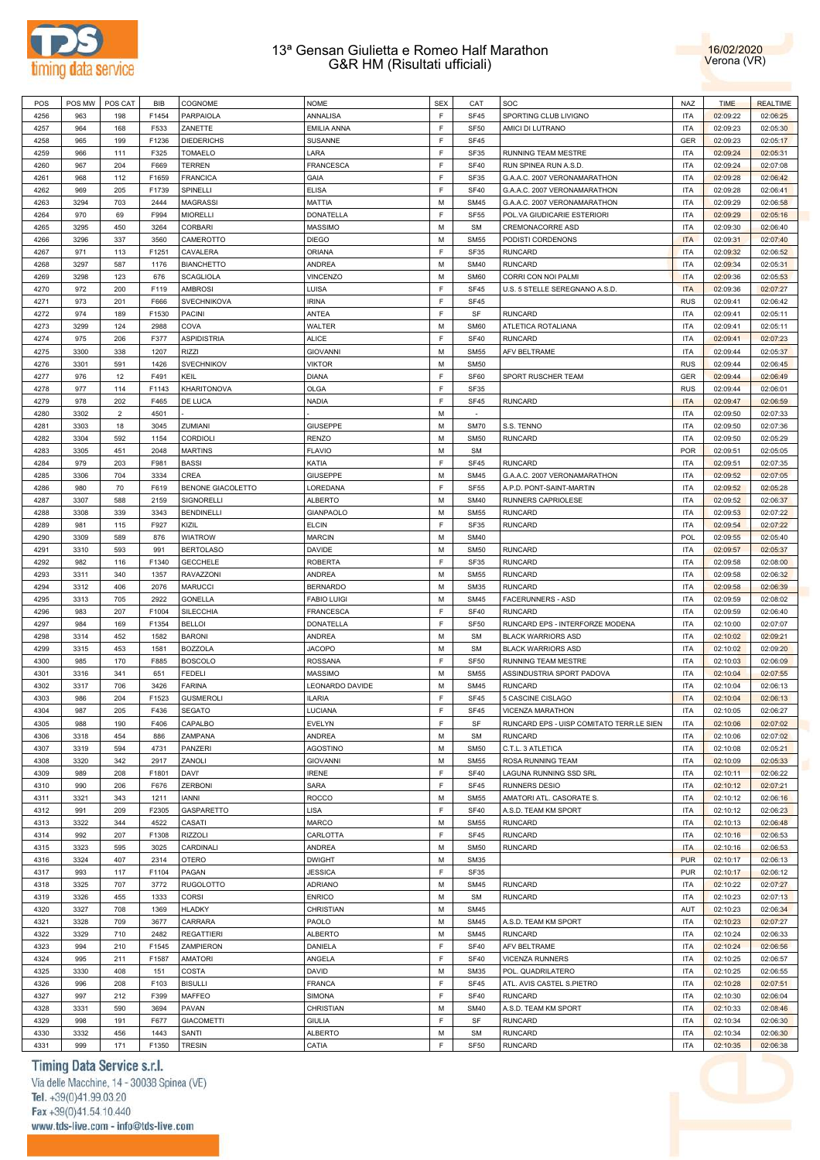



| POS  |      | POS MW   POS CAT | BIB   | COGNOME            | <b>NOME</b>        | <b>SEX</b> | CAT         | SOC                                      | <b>NAZ</b> | <b>TIME</b> | <b>REALTIME</b> |
|------|------|------------------|-------|--------------------|--------------------|------------|-------------|------------------------------------------|------------|-------------|-----------------|
| 4256 | 963  | 198              | F1454 | PARPAIOLA          | ANNALISA           | E          | <b>SF45</b> | SPORTING CLUB LIVIGNO                    | <b>ITA</b> | 02:09:22    | 02:06:25        |
| 4257 | 964  | 168              | F533  | ZANETTE            | <b>EMILIA ANNA</b> | E          | <b>SF50</b> | AMICI DI LUTRANO                         | <b>ITA</b> | 02:09:23    | 02:05:30        |
| 4258 | 965  | 199              | F1236 | <b>DIEDERICHS</b>  | <b>SUSANNE</b>     | E          | <b>SF45</b> |                                          | <b>GER</b> | 02:09:23    | 02:05:17        |
| 4259 | 966  | 111              | F325  | <b>TOMAELO</b>     | LARA               | E          | SF35        | RUNNING TEAM MESTRE                      | <b>ITA</b> | 02:09:24    | 02:05:31        |
| 4260 | 967  | 204              | F669  | <b>TERREN</b>      | <b>FRANCESCA</b>   | E          | <b>SF40</b> | RUN SPINEA RUN A.S.D.                    | <b>ITA</b> | 02:09:24    | 02:07:08        |
| 4261 | 968  | 112              | F1659 | <b>FRANCICA</b>    | GAIA               | E          | SF35        | G.A.A.C. 2007 VERONAMARATHON             | <b>ITA</b> | 02:09:28    | 02:06:42        |
| 4262 | 969  | 205              | F1739 | SPINELLI           | <b>ELISA</b>       | E          | <b>SF40</b> | G.A.A.C. 2007 VERONAMARATHON             | <b>ITA</b> | 02:09:28    | 02:06:41        |
| 4263 | 3294 | 703              | 2444  | <b>MAGRASSI</b>    | <b>MATTIA</b>      | M          | <b>SM45</b> | G.A.A.C. 2007 VERONAMARATHON             | <b>ITA</b> | 02:09:29    | 02:06:58        |
| 4264 | 970  | 69               | F994  | <b>MIORELLI</b>    | DONATELLA          | E          | <b>SF55</b> | POL.VA GIUDICARIE ESTERIORI              | <b>ITA</b> | 02:09:29    | 02:05:16        |
| 4265 | 3295 | 450              | 3264  | <b>CORBARI</b>     | <b>MASSIMO</b>     | M          | <b>SM</b>   | CREMONACORRE ASD                         | <b>ITA</b> | 02:09:30    | 02:06:40        |
| 4266 | 3296 | 337              | 3560  | CAMEROTTO          | <b>DIEGO</b>       | M          | <b>SM55</b> | PODISTI CORDENONS                        | <b>ITA</b> | 02:09:31    | 02:07:40        |
| 4267 | 971  | 113              | F1251 | CAVALERA           | <b>ORIANA</b>      | E          | SF35        | <b>RUNCARD</b>                           | <b>ITA</b> | 02:09:32    | 02:06:52        |
| 4268 | 3297 | 587              | 1176  | <b>BIANCHETTO</b>  | ANDREA             | M          | <b>SM40</b> | <b>RUNCARD</b>                           | <b>ITA</b> | 02:09:34    | 02:05:31        |
| 4269 | 3298 | 123              | 676   | <b>SCAGLIOLA</b>   | VINCENZO           | M          | <b>SM60</b> | CORRI CON NOI PALMI                      | <b>ITA</b> | 02:09:36    | 02:05:53        |
| 4270 | 972  | 200              | F119  | <b>AMBROSI</b>     | LUISA              | E          | <b>SF45</b> | U.S. 5 STELLE SEREGNANO A.S.D.           | <b>ITA</b> | 02:09:36    | 02:07:27        |
| 4271 | 973  | 201              | F666  | SVECHNIKOVA        | <b>IRINA</b>       | E          | <b>SF45</b> |                                          | <b>RUS</b> | 02:09:41    | 02:06:42        |
| 4272 | 974  | 189              | F1530 | <b>PACINI</b>      | ANTEA              | E          | SF          | RUNCARD                                  | <b>ITA</b> | 02:09:41    | 02:05:11        |
| 4273 | 3299 | 124              | 2988  | COVA               | WALTER             | M          | <b>SM60</b> |                                          | <b>ITA</b> |             |                 |
|      |      |                  |       |                    | <b>ALICE</b>       | E          |             | ATLETICA ROTALIANA                       |            | 02:09:41    | 02:05:11        |
| 4274 | 975  | 206              | F377  | <b>ASPIDISTRIA</b> |                    |            | <b>SF40</b> | <b>RUNCARD</b>                           | <b>ITA</b> | 02:09:41    | 02:07:23        |
| 4275 | 3300 | 338              | 1207  | <b>RIZZI</b>       | <b>GIOVANNI</b>    | M          | <b>SM55</b> | <b>AFV BELTRAME</b>                      | <b>ITA</b> | 02:09:44    | 02:05:37        |
| 4276 | 3301 | 591              | 1426  | <b>SVECHNIKOV</b>  | <b>VIKTOR</b>      | M          | <b>SM50</b> |                                          | <b>RUS</b> | 02:09:44    | 02:06:45        |
| 4277 | 976  | 12               | F491  | KEIL               | <b>DIANA</b>       | E          | SF60        | SPORT RUSCHER TEAM                       | GER        | 02:09:44    | 02:06:49        |
| 4278 | 977  | 114              | F1143 | KHARITONOVA        | OLGA               | E          | SF35        |                                          | <b>RUS</b> | 02:09:44    | 02:06:01        |
| 4279 | 978  | 202              | F465  | DE LUCA            | <b>NADIA</b>       | E          | <b>SF45</b> | <b>RUNCARD</b>                           | <b>ITA</b> | 02:09:47    | 02:06:59        |
| 4280 | 3302 | $\overline{2}$   | 4501  |                    |                    | M          | $\sim$      |                                          | <b>ITA</b> | 02:09:50    | 02:07:33        |
| 4281 | 3303 | 18               | 3045  | ZUMIANI            | <b>GIUSEPPE</b>    | M          | <b>SM70</b> | S.S. TENNO                               | <b>ITA</b> | 02:09:50    | 02:07:36        |
| 4282 | 3304 | 592              | 1154  | CORDIOLI           | <b>RENZO</b>       | M          | <b>SM50</b> | <b>RUNCARD</b>                           | <b>ITA</b> | 02:09:50    | 02:05:29        |
| 4283 | 3305 | 451              | 2048  | <b>MARTINS</b>     | <b>FLAVIO</b>      | M          | <b>SM</b>   |                                          | <b>POR</b> | 02:09:51    | 02:05:05        |
| 4284 | 979  | 203              | F981  | <b>BASSI</b>       | KATIA              | E          | <b>SF45</b> | RUNCARD                                  | <b>ITA</b> | 02:09:51    | 02:07:35        |
| 4285 | 3306 | 704              | 3334  | CREA               | <b>GIUSEPPE</b>    | M          | <b>SM45</b> | G.A.A.C. 2007 VERONAMARATHON             | <b>ITA</b> | 02:09:52    | 02:07:05        |
| 4286 | 980  | 70               | F619  | BENONE GIACOLETTO  | LOREDANA           | E          | <b>SF55</b> | A.P.D. PONT-SAINT-MARTIN                 | <b>ITA</b> | 02:09:52    | 02:05:28        |
| 4287 | 3307 | 588              | 2159  | SIGNORELLI         | <b>ALBERTO</b>     | M          | <b>SM40</b> | RUNNERS CAPRIOLESE                       | <b>ITA</b> | 02:09:52    | 02:06:37        |
| 4288 | 3308 | 339              | 3343  | <b>BENDINELLI</b>  | <b>GIANPAOLO</b>   | M          | <b>SM55</b> | <b>RUNCARD</b>                           | <b>ITA</b> | 02:09:53    | 02:07:22        |
| 4289 | 981  | 115              | F927  | KIZIL              | <b>ELCIN</b>       | E          | SF35        | <b>RUNCARD</b>                           | <b>ITA</b> | 02:09:54    | 02:07:22        |
| 4290 | 3309 | 589              | 876   | <b>WIATROW</b>     | <b>MARCIN</b>      | M          | <b>SM40</b> |                                          | <b>POL</b> | 02:09:55    | 02:05:40        |
| 4291 | 3310 | 593              | 991   | <b>BERTOLASO</b>   | <b>DAVIDE</b>      | M          | <b>SM50</b> | RUNCARD                                  | <b>ITA</b> | 02:09:57    | 02:05:37        |
| 4292 | 982  | 116              | F1340 | <b>GECCHELE</b>    | <b>ROBERTA</b>     | E          | SF35        | <b>RUNCARD</b>                           | <b>ITA</b> | 02:09:58    | 02:08:00        |
| 4293 | 3311 | 340              | 1357  | RAVAZZONI          | <b>ANDREA</b>      | M          | <b>SM55</b> | RUNCARD                                  | <b>ITA</b> | 02:09:58    | 02:06:32        |
| 4294 | 3312 | 406              | 2076  | <b>MARUCCI</b>     | <b>BERNARDO</b>    | M          | <b>SM35</b> | RUNCARD                                  | <b>ITA</b> | 02:09:58    | 02:06:39        |
| 4295 | 3313 | 705              | 2922  | <b>GONELLA</b>     | <b>FABIO LUIGI</b> | M          | <b>SM45</b> | <b>FACERUNNERS - ASD</b>                 | <b>ITA</b> | 02:09:59    | 02:08:02        |
| 4296 | 983  | 207              | F1004 | <b>SILECCHIA</b>   | <b>FRANCESCA</b>   | E          | <b>SF40</b> | <b>RUNCARD</b>                           | <b>ITA</b> | 02:09:59    | 02:06:40        |
| 4297 | 984  | 169              | F1354 | <b>BELLOI</b>      | <b>DONATELLA</b>   | E          | <b>SF50</b> | RUNCARD EPS - INTERFORZE MODENA          | <b>ITA</b> | 02:10:00    | 02:07:07        |
| 4298 | 3314 | 452              | 1582  | <b>BARONI</b>      | ANDREA             | M          | <b>SM</b>   | <b>BLACK WARRIORS ASD</b>                | <b>ITA</b> | 02:10:02    | 02:09:21        |
| 4299 | 3315 | 453              | 1581  | <b>BOZZOLA</b>     | <b>JACOPO</b>      | M          | <b>SM</b>   | <b>BLACK WARRIORS ASD</b>                | <b>ITA</b> | 02:10:02    | 02:09:20        |
| 4300 | 985  | 170              | F885  | <b>BOSCOLO</b>     | <b>ROSSANA</b>     | E          | <b>SF50</b> | <b>RUNNING TEAM MESTRE</b>               | <b>ITA</b> | 02:10:03    | 02:06:09        |
| 4301 | 3316 | 341              | 651   | <b>FEDELI</b>      | <b>MASSIMO</b>     | M          | <b>SM55</b> | ASSINDUSTRIA SPORT PADOVA                | <b>ITA</b> | 02:10:04    | 02:07:55        |
| 4302 | 3317 | 706              | 3426  | <b>FARINA</b>      | LEONARDO DAVIDE    | M          | <b>SM45</b> | <b>RUNCARD</b>                           | <b>ITA</b> | 02:10:04    | 02:06:13        |
| 4303 | 986  | 204              | F1523 | <b>GUSMEROLI</b>   | <b>ILARIA</b>      | E          | <b>SF45</b> | 5 CASCINE CISLAGO                        | <b>ITA</b> | 02:10:04    | 02:06:13        |
| 4304 | 987  | 205              | F436  | <b>SEGATO</b>      | LUCIANA            | E          | <b>SF45</b> | <b>VICENZA MARATHON</b>                  | <b>ITA</b> | 02:10:05    | 02:06:27        |
| 4305 | 988  | 190              | F406  | CAPALBO            | <b>EVELYN</b>      | F          | SF          | RUNCARD EPS - UISP COMITATO TERR.LE SIEN | <b>ITA</b> | 02:10:06    | 02:07:02        |
| 4306 | 3318 | 454              | 886   | ZAMPANA            | ANDREA             | M          | <b>SM</b>   | <b>RUNCARD</b>                           | <b>ITA</b> | 02:10:06    | 02:07:02        |
| 4307 | 3319 | 594              | 4731  | <b>PANZERI</b>     | <b>AGOSTINO</b>    | M          | <b>SM50</b> | C.T.L. 3 ATLETICA                        | <b>ITA</b> | 02:10:08    | 02:05:21        |
| 4308 | 3320 | 342              | 2917  | ZANOLI             | <b>GIOVANNI</b>    | M          | <b>SM55</b> | ROSA RUNNING TEAM                        | <b>ITA</b> | 02:10:09    | 02:05:33        |
| 4309 | 989  | 208              | F1801 | <b>DAVI'</b>       | <b>IRENE</b>       | F          | <b>SF40</b> | LAGUNA RUNNING SSD SRL                   | <b>ITA</b> | 02:10:11    | 02:06:22        |
| 4310 | 990  | 206              | F676  | <b>ZERBONI</b>     | <b>SARA</b>        | E          | SF45        | <b>RUNNERS DESIO</b>                     | <b>ITA</b> | 02:10:12    | 02:07:21        |
| 4311 | 3321 | 343              | 1211  | <b>IANNI</b>       | <b>ROCCO</b>       | M          | <b>SM55</b> | AMATORI ATL. CASORATE S.                 | <b>ITA</b> | 02:10:12    | 02:06:16        |
| 4312 | 991  | 209              | F2305 | GASPARETTO         | <b>LISA</b>        | E          | <b>SF40</b> | A.S.D. TEAM KM SPORT                     | <b>ITA</b> | 02:10:12    | 02:06:23        |
| 4313 | 3322 | 344              | 4522  | CASATI             | <b>MARCO</b>       | M          | <b>SM55</b> | <b>RUNCARD</b>                           | <b>ITA</b> | 02:10:13    | 02:06:48        |
| 4314 | 992  |                  |       |                    | CARLOTTA           | F          |             | <b>RUNCARD</b>                           |            |             |                 |
|      |      | 207              | F1308 | <b>RIZZOLI</b>     |                    |            | <b>SF45</b> |                                          | <b>ITA</b> | 02:10:16    | 02:06:53        |
| 4315 | 3323 | 595              | 3025  | CARDINALI          | <b>ANDREA</b>      | M          | <b>SM50</b> | <b>RUNCARD</b>                           | <b>ITA</b> | 02:10:16    | 02:06:53        |
| 4316 | 3324 | 407              | 2314  | <b>OTERO</b>       | <b>DWIGHT</b>      | M          | <b>SM35</b> |                                          | <b>PUR</b> | 02:10:17    | 02:06:13        |
| 4317 | 993  | 117              | F1104 | PAGAN              | <b>JESSICA</b>     | E          | SF35        |                                          | <b>PUR</b> | 02:10:17    | 02:06:12        |
| 4318 | 3325 | 707              | 3772  | <b>RUGOLOTTO</b>   | <b>ADRIANO</b>     | M          | <b>SM45</b> | <b>RUNCARD</b>                           | <b>ITA</b> | 02:10:22    | 02:07:27        |
| 4319 | 3326 | 455              | 1333  | <b>CORSI</b>       | <b>ENRICO</b>      | M          | <b>SM</b>   | <b>RUNCARD</b>                           | <b>ITA</b> | 02:10:23    | 02:07:13        |
| 4320 | 3327 | 708              | 1369  | <b>HLADKY</b>      | CHRISTIAN          | M          | <b>SM45</b> |                                          | AUT        | 02:10:23    | 02:06:34        |
| 4321 | 3328 | 709              | 3677  | CARRARA            | PAOLO              | M          | <b>SM45</b> | A.S.D. TEAM KM SPORT                     | <b>ITA</b> | 02:10:23    | 02:07:27        |
| 4322 | 3329 | 710              | 2482  | <b>REGATTIERI</b>  | <b>ALBERTO</b>     | M          | <b>SM45</b> | <b>RUNCARD</b>                           | <b>ITA</b> | 02:10:24    | 02:06:33        |
| 4323 | 994  | 210              | F1545 | ZAMPIERON          | DANIELA            | E          | <b>SF40</b> | AFV BELTRAME                             | <b>ITA</b> | 02:10:24    | 02:06:56        |
| 4324 | 995  | 211              | F1587 | <b>AMATORI</b>     | ANGELA             | E          | <b>SF40</b> | <b>VICENZA RUNNERS</b>                   | <b>ITA</b> | 02:10:25    | 02:06:57        |
| 4325 | 3330 | 408              | 151   | COSTA              | <b>DAVID</b>       | M          | <b>SM35</b> | POL. QUADRILATERO                        | <b>ITA</b> | 02:10:25    | 02:06:55        |
| 4326 | 996  | 208              | F103  | <b>BISULLI</b>     | <b>FRANCA</b>      | F          | <b>SF45</b> | ATL. AVIS CASTEL S.PIETRO                | <b>ITA</b> | 02:10:28    | 02:07:51        |
| 4327 | 997  | 212              | F399  | <b>MAFFEO</b>      | SIMONA             | E          | <b>SF40</b> | <b>RUNCARD</b>                           | <b>ITA</b> | 02:10:30    | 02:06:04        |
| 4328 | 3331 | 590              | 3694  | PAVAN              | CHRISTIAN          | M          | <b>SM40</b> | A.S.D. TEAM KM SPORT                     | <b>ITA</b> | 02:10:33    | 02:08:46        |
| 4329 | 998  | 191              | F677  | <b>GIACOMETTI</b>  | <b>GIULIA</b>      | E          | SF          | <b>RUNCARD</b>                           | <b>ITA</b> | 02:10:34    | 02:06:30        |
| 4330 | 3332 | 456              | 1443  | SANTI              | <b>ALBERTO</b>     | M          | <b>SM</b>   | <b>RUNCARD</b>                           | <b>ITA</b> | 02:10:34    | 02:06:30        |
| 4331 | 999  | 171              | F1350 | <b>TRESIN</b>      | CATIA              | E          | <b>SF50</b> | <b>RUNCARD</b>                           | <b>ITA</b> | 02:10:35    | 02:06:38        |

# Timing Data Service s.r.l.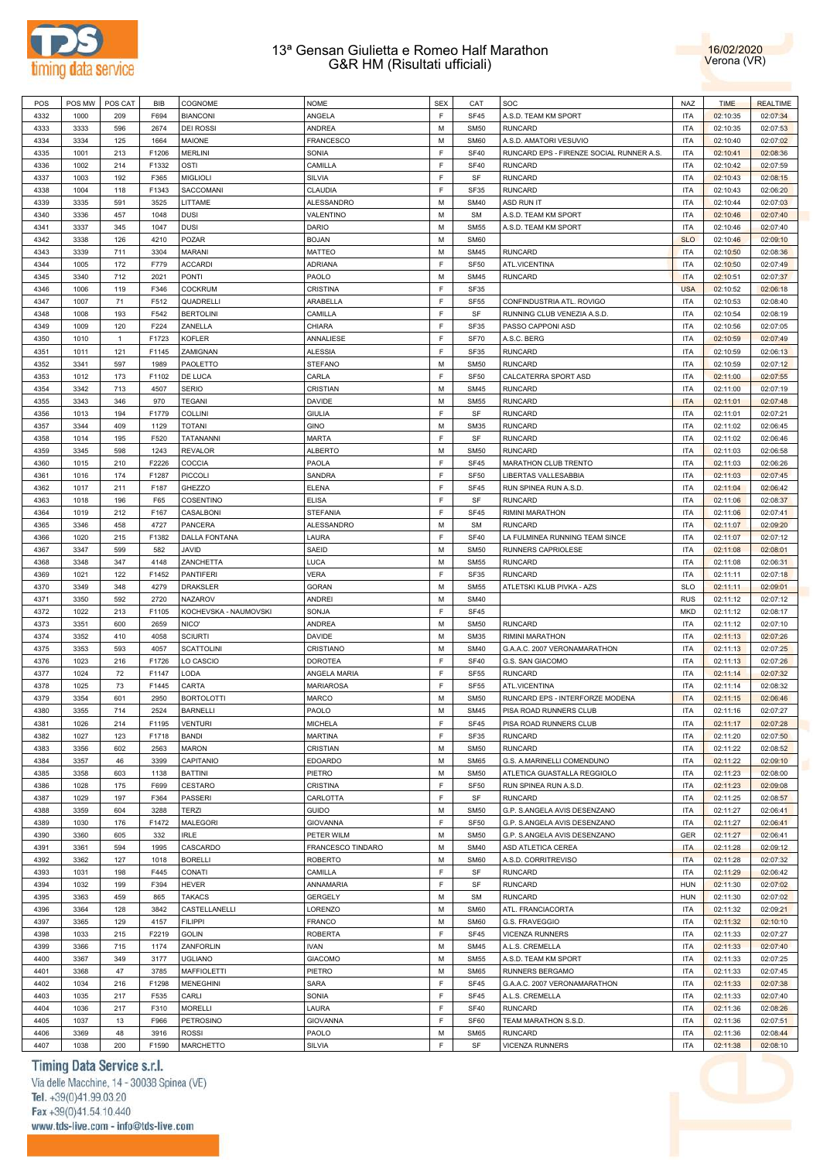



| POS  | POS MW | POS CAT      | <b>BIB</b> | COGNOME               | <b>NOME</b>       | <b>SEX</b> | CAT         | SOC                                      | <b>NAZ</b> | <b>TIME</b> | <b>REALTIME</b> |
|------|--------|--------------|------------|-----------------------|-------------------|------------|-------------|------------------------------------------|------------|-------------|-----------------|
| 4332 | 1000   | 209          | F694       | <b>BIANCONI</b>       | ANGELA            | F          | <b>SF45</b> | A.S.D. TEAM KM SPORT                     | <b>ITA</b> | 02:10:35    | 02:07:34        |
| 4333 | 3333   | 596          | 2674       | <b>DEI ROSSI</b>      | ANDREA            | M          | <b>SM50</b> | <b>RUNCARD</b>                           | <b>ITA</b> | 02:10:35    | 02:07:53        |
| 4334 | 3334   | 125          | 1664       | MAIONE                | FRANCESCO         | M          | <b>SM60</b> | A.S.D. AMATORI VESUVIO                   | <b>ITA</b> | 02:10:40    | 02:07:02        |
| 4335 | 1001   | 213          | F1206      | <b>MERLINI</b>        | SONIA             | F          | <b>SF40</b> | RUNCARD EPS - FIRENZE SOCIAL RUNNER A.S. | <b>ITA</b> | 02:10:41    | 02:08:36        |
|      |        |              |            |                       |                   |            |             |                                          |            |             |                 |
| 4336 | 1002   | 214          | F1332      | OSTI                  | CAMILLA           | F          | <b>SF40</b> | <b>RUNCARD</b>                           | <b>ITA</b> | 02:10:42    | 02:07:59        |
| 4337 | 1003   | 192          | F365       | <b>MIGLIOLI</b>       | SILVIA            | F          | SF          | <b>RUNCARD</b>                           | <b>ITA</b> | 02:10:43    | 02:08:15        |
| 4338 | 1004   | 118          | F1343      | SACCOMANI             | CLAUDIA           | F          | <b>SF35</b> | <b>RUNCARD</b>                           | <b>ITA</b> | 02:10:43    | 02:06:20        |
| 4339 | 3335   | 591          | 3525       | LITTAME               | ALESSANDRO        | M          | <b>SM40</b> | ASD RUN IT                               | <b>ITA</b> | 02:10:44    | 02:07:03        |
| 4340 | 3336   | 457          | 1048       | <b>DUSI</b>           | VALENTINO         | M          | <b>SM</b>   | A.S.D. TEAM KM SPORT                     | <b>ITA</b> | 02:10:46    | 02:07:40        |
| 4341 | 3337   | 345          | 1047       | <b>DUSI</b>           | <b>DARIO</b>      | M          | <b>SM55</b> | A.S.D. TEAM KM SPORT                     | <b>ITA</b> | 02:10:46    | 02:07:40        |
| 4342 | 3338   | 126          | 4210       | POZAR                 | <b>BOJAN</b>      | M          | <b>SM60</b> |                                          | <b>SLO</b> | 02:10:46    | 02:09:10        |
| 4343 | 3339   | 711          | 3304       | <b>MARANI</b>         | <b>MATTEO</b>     | M          | <b>SM45</b> | <b>RUNCARD</b>                           | <b>ITA</b> | 02:10:50    | 02:08:36        |
| 4344 | 1005   | 172          | F779       | <b>ACCARDI</b>        | <b>ADRIANA</b>    | F          | <b>SF50</b> | ATL.VICENTINA                            | <b>ITA</b> | 02:10:50    | 02:07:49        |
|      |        |              |            |                       |                   |            |             |                                          |            |             |                 |
| 4345 | 3340   | 712          | 2021       | <b>PONTI</b>          | PAOLO             | M          | <b>SM45</b> | <b>RUNCARD</b>                           | <b>ITA</b> | 02:10:51    | 02:07:37        |
| 4346 | 1006   | 119          | F346       | <b>COCKRUM</b>        | <b>CRISTINA</b>   | F          | <b>SF35</b> |                                          | <b>USA</b> | 02:10:52    | 02:06:18        |
| 4347 | 1007   | 71           | F512       | QUADRELLI             | ARABELLA          | F          | <b>SF55</b> | CONFINDUSTRIA ATL. ROVIGO                | <b>ITA</b> | 02:10:53    | 02:08:40        |
| 4348 | 1008   | 193          | F542       | <b>BERTOLINI</b>      | CAMILLA           | F          | SF          | RUNNING CLUB VENEZIA A.S.D.              | <b>ITA</b> | 02:10:54    | 02:08:19        |
| 4349 | 1009   | 120          | F224       | ZANELLA               | CHIARA            | F          | <b>SF35</b> | PASSO CAPPONI ASD                        | <b>ITA</b> | 02:10:56    | 02:07:05        |
| 4350 | 1010   | $\mathbf{1}$ | F1723      | <b>KOFLER</b>         | ANNALIESE         | F          | <b>SF70</b> | A.S.C. BERG                              | <b>ITA</b> | 02:10:59    | 02:07:49        |
| 4351 | 1011   | 121          | F1145      | ZAMIGNAN              | <b>ALESSIA</b>    | F          | <b>SF35</b> | <b>RUNCARD</b>                           | <b>ITA</b> | 02:10:59    | 02:06:13        |
| 4352 | 3341   | 597          | 1989       | PAOLETTO              | <b>STEFANO</b>    | M          | <b>SM50</b> | <b>RUNCARD</b>                           | <b>ITA</b> | 02:10:59    | 02:07:12        |
| 4353 | 1012   | 173          | F1102      | DE LUCA               | CARLA             | F          | <b>SF50</b> | CALCATERRA SPORT ASD                     | <b>ITA</b> | 02:11:00    | 02:07:55        |
|      |        |              |            |                       |                   |            |             |                                          |            |             |                 |
| 4354 | 3342   | 713          | 4507       | <b>SERIO</b>          | CRISTIAN          | M          | <b>SM45</b> | <b>RUNCARD</b>                           | <b>ITA</b> | 02:11:00    | 02:07:19        |
| 4355 | 3343   | 346          | 970        | <b>TEGANI</b>         | <b>DAVIDE</b>     | M          | <b>SM55</b> | <b>RUNCARD</b>                           | <b>ITA</b> | 02:11:01    | 02:07:48        |
| 4356 | 1013   | 194          | F1779      | <b>COLLINI</b>        | <b>GIULIA</b>     | F          | SF          | <b>RUNCARD</b>                           | <b>ITA</b> | 02:11:01    | 02:07:21        |
| 4357 | 3344   | 409          | 1129       | TOTANI                | <b>GINO</b>       | M          | <b>SM35</b> | <b>RUNCARD</b>                           | <b>ITA</b> | 02:11:02    | 02:06:45        |
| 4358 | 1014   | 195          | F520       | TATANANNI             | <b>MARTA</b>      | F          | SF          | <b>RUNCARD</b>                           | <b>ITA</b> | 02:11:02    | 02:06:46        |
| 4359 | 3345   | 598          | 1243       | <b>REVALOR</b>        | <b>ALBERTO</b>    | M          | <b>SM50</b> | <b>RUNCARD</b>                           | <b>ITA</b> | 02:11:03    | 02:06:58        |
| 4360 | 1015   | 210          | F2226      | COCCIA                | PAOLA             | F          | SF45        | <b>MARATHON CLUB TRENTO</b>              | <b>ITA</b> | 02:11:03    | 02:06:26        |
| 4361 | 1016   | 174          | F1287      | PICCOLI               | SANDRA            | F          | <b>SF50</b> | LIBERTAS VALLESABBIA                     | <b>ITA</b> | 02:11:03    | 02:07:45        |
| 4362 | 1017   | 211          | F187       | GHEZZO                | <b>ELENA</b>      | F          | <b>SF45</b> | RUN SPINEA RUN A.S.D.                    | <b>ITA</b> | 02:11:04    | 02:06:42        |
|      |        |              |            |                       |                   | F          |             |                                          |            |             |                 |
| 4363 | 1018   | 196          | F65        | COSENTINO             | <b>ELISA</b>      |            | SF          | <b>RUNCARD</b>                           | <b>ITA</b> | 02:11:06    | 02:08:37        |
| 4364 | 1019   | 212          | F167       | CASALBONI             | <b>STEFANIA</b>   | F          | SF45        | RIMINI MARATHON                          | <b>ITA</b> | 02:11:06    | 02:07:41        |
| 4365 | 3346   | 458          | 4727       | <b>PANCERA</b>        | ALESSANDRO        | M          | <b>SM</b>   | <b>RUNCARD</b>                           | <b>ITA</b> | 02:11:07    | 02:09:20        |
| 4366 | 1020   | 215          | F1382      | <b>DALLA FONTANA</b>  | LAURA             | F          | <b>SF40</b> | LA FULMINEA RUNNING TEAM SINCE           | <b>ITA</b> | 02:11:07    | 02:07:12        |
| 4367 | 3347   | 599          | 582        | <b>JAVID</b>          | SAEID             | M          | <b>SM50</b> | RUNNERS CAPRIOLESE                       | <b>ITA</b> | 02:11:08    | 02:08:01        |
| 4368 | 3348   | 347          | 4148       | ZANCHETTA             | LUCA              | M          | <b>SM55</b> | <b>RUNCARD</b>                           | <b>ITA</b> | 02:11:08    | 02:06:31        |
| 4369 | 1021   | 122          | F1452      | <b>PANTIFERI</b>      | <b>VERA</b>       | F          | SF35        | <b>RUNCARD</b>                           | <b>ITA</b> | 02:11:11    | 02:07:18        |
| 4370 | 3349   | 348          | 4279       | DRAKSLER              | <b>GORAN</b>      | M          | <b>SM55</b> | ATLETSKI KLUB PIVKA - AZS                | <b>SLO</b> | 02:11:11    | 02:09:01        |
| 4371 | 3350   | 592          | 2720       | <b>NAZAROV</b>        | ANDREI            | M          | <b>SM40</b> |                                          | <b>RUS</b> | 02:11:12    | 02:07:12        |
| 4372 | 1022   | 213          | F1105      |                       |                   | F          | SF45        |                                          | <b>MKD</b> |             |                 |
|      |        |              |            | KOCHEVSKA - NAUMOVSKI | SONJA             |            |             |                                          |            | 02:11:12    | 02:08:17        |
| 4373 | 3351   | 600          | 2659       | NICO'                 | ANDREA            | M          | <b>SM50</b> | <b>RUNCARD</b>                           | <b>ITA</b> | 02:11:12    | 02:07:10        |
| 4374 | 3352   | 410          | 4058       | <b>SCIURTI</b>        | <b>DAVIDE</b>     | M          | <b>SM35</b> | <b>RIMINI MARATHON</b>                   | <b>ITA</b> | 02:11:13    | 02:07:26        |
| 4375 | 3353   | 593          | 4057       | <b>SCATTOLINI</b>     | CRISTIANO         | M          | <b>SM40</b> | G.A.A.C. 2007 VERONAMARATHON             | <b>ITA</b> | 02:11:13    | 02:07:25        |
| 4376 | 1023   | 216          | F1726      | LO CASCIO             | <b>DOROTEA</b>    | F          | <b>SF40</b> | G.S. SAN GIACOMO                         | <b>ITA</b> | 02:11:13    | 02:07:26        |
| 4377 | 1024   | 72           | F1147      | LODA                  | ANGELA MARIA      | F          | <b>SF55</b> | <b>RUNCARD</b>                           | <b>ITA</b> | 02:11:14    | 02:07:32        |
| 4378 | 1025   | 73           | F1445      | CARTA                 | <b>MARIAROSA</b>  | F          | <b>SF55</b> | <b>ATL.VICENTINA</b>                     | <b>ITA</b> | 02:11:14    | 02:08:32        |
| 4379 | 3354   | 601          | 2950       | <b>BORTOLOTTI</b>     | <b>MARCO</b>      | M          | <b>SM50</b> | RUNCARD EPS - INTERFORZE MODENA          | <b>ITA</b> | 02:11:15    | 02:06:46        |
| 4380 | 3355   | 714          | 2524       | <b>BARNELLI</b>       | PAOLO             | M          | <b>SM45</b> | PISA ROAD RUNNERS CLUB                   | <b>ITA</b> | 02:11:16    | 02:07:27        |
| 4381 | 1026   | 214          |            | <b>VENTURI</b>        | <b>MICHELA</b>    | F          | <b>SF45</b> | PISA ROAD RUNNERS CLUB                   | <b>ITA</b> | 02:11:17    | 02:07:28        |
|      |        |              | F1195      |                       |                   |            |             |                                          |            |             |                 |
| 4382 | 1027   | 123          | F1718      | <b>BANDI</b>          | <b>MARTINA</b>    | F          | SF35        | <b>RUNCARD</b>                           | <b>ITA</b> | 02:11:20    | 02:07:50        |
| 4383 | 3356   | 602          | 2563       | <b>MARON</b>          | CRISTIAN          | M          | <b>SM50</b> | <b>RUNCARD</b>                           | <b>ITA</b> | 02:11:22    | 02:08:52        |
| 4384 | 3357   | 46           | 3399       | CAPITANIO             | <b>EDOARDO</b>    | M          | <b>SM65</b> | G.S. A.MARINELLI COMENDUNO               | <b>ITA</b> | 02:11:22    | 02:09:10        |
| 4385 | 3358   | 603          | 1138       | BATTINI               | PIETRO            | M          | <b>SM50</b> | ATLETICA GUASTALLA REGGIOLO              | <b>ITA</b> | 02:11:23    | 02:08:00        |
| 4386 | 1028   | 175          | F699       | CESTARO               | <b>CRISTINA</b>   | F          | <b>SF50</b> | RUN SPINEA RUN A.S.D.                    | <b>ITA</b> | 02:11:23    | 02:09:08        |
| 4387 | 1029   | 197          | F364       | PASSERI               | CARLOTTA          | F          | SF          | RUNCARD                                  | <b>ITA</b> | 02:11:25    | 02:08:57        |
| 4388 | 3359   | 604          | 3288       | <b>TERZI</b>          | GUIDO             | M          | <b>SM50</b> | G.P. S.ANGELA AVIS DESENZANO             | <b>ITA</b> | 02:11:27    | 02:06:41        |
| 4389 | 1030   | 176          | F1472      | MALEGORI              | <b>GIOVANNA</b>   | F          | <b>SF50</b> | G.P. S.ANGELA AVIS DESENZANO             | <b>ITA</b> | 02:11:27    | 02:06:41        |
| 4390 | 3360   | 605          | 332        | <b>IRLE</b>           | PETER WILM        | M          | <b>SM50</b> | G.P. S.ANGELA AVIS DESENZANO             | GER        | 02:11:27    | 02:06:41        |
|      |        |              |            |                       |                   |            |             |                                          |            |             |                 |
| 4391 | 3361   | 594          | 1995       | CASCARDO              | FRANCESCO TINDARO | M          | <b>SM40</b> | ASD ATLETICA CEREA                       | <b>ITA</b> | 02:11:28    | 02:09:12        |
| 4392 | 3362   | 127          | 1018       | <b>BORELLI</b>        | <b>ROBERTO</b>    | M          | <b>SM60</b> | A.S.D. CORRITREVISO                      | <b>ITA</b> | 02:11:28    | 02:07:32        |
| 4393 | 1031   | 198          | F445       | CONATI                | CAMILLA           | F          | SF          | <b>RUNCARD</b>                           | <b>ITA</b> | 02:11:29    | 02:06:42        |
| 4394 | 1032   | 199          | F394       | <b>HEVER</b>          | ANNAMARIA         | F          | SF          | <b>RUNCARD</b>                           | <b>HUN</b> | 02:11:30    | 02:07:02        |
| 4395 | 3363   | 459          | 865        | <b>TAKACS</b>         | <b>GERGELY</b>    | M          | <b>SM</b>   | <b>RUNCARD</b>                           | <b>HUN</b> | 02:11:30    | 02:07:02        |
| 4396 | 3364   | 128          | 3842       | CASTELLANELLI         | LORENZO           | M          | <b>SM60</b> | ATL. FRANCIACORTA                        | <b>ITA</b> | 02:11:32    | 02:09:21        |
| 4397 | 3365   | 129          | 4157       | <b>FILIPPI</b>        | <b>FRANCO</b>     | M          | <b>SM60</b> | G.S. FRAVEGGIO                           | <b>ITA</b> | 02:11:32    | 02:10:10        |
| 4398 | 1033   | 215          | F2219      | <b>GOLIN</b>          | <b>ROBERTA</b>    | F          | <b>SF45</b> | <b>VICENZA RUNNERS</b>                   | <b>ITA</b> | 02:11:33    | 02:07:27        |
| 4399 | 3366   | 715          | 1174       | ZANFORLIN             | <b>IVAN</b>       | M          | <b>SM45</b> | A.L.S. CREMELLA                          | <b>ITA</b> | 02:11:33    | 02:07:40        |
|      |        |              |            |                       |                   |            |             |                                          |            |             |                 |
| 4400 | 3367   | 349          | 3177       | <b>UGLIANO</b>        | <b>GIACOMO</b>    | M          | <b>SM55</b> | A.S.D. TEAM KM SPORT                     | <b>ITA</b> | 02:11:33    | 02:07:25        |
| 4401 | 3368   | 47           | 3785       | <b>MAFFIOLETTI</b>    | PIETRO            | M          | <b>SM65</b> | RUNNERS BERGAMO                          | <b>ITA</b> | 02:11:33    | 02:07:45        |
| 4402 | 1034   | 216          | F1298      | <b>MENEGHINI</b>      | SARA              | F          | <b>SF45</b> | G.A.A.C. 2007 VERONAMARATHON             | <b>ITA</b> | 02:11:33    | 02:07:38        |
| 4403 | 1035   | 217          | F535       | CARLI                 | SONIA             | F          | SF45        | A.L.S. CREMELLA                          | <b>ITA</b> | 02:11:33    | 02:07:40        |
| 4404 | 1036   | 217          | F310       | <b>MORELLI</b>        | LAURA             | F          | <b>SF40</b> | <b>RUNCARD</b>                           | <b>ITA</b> | 02:11:36    | 02:08:26        |
| 4405 | 1037   | 13           | F966       | PETROSINO             | GIOVANNA          | F          | SF60        | TEAM MARATHON S.S.D.                     | <b>ITA</b> | 02:11:36    | 02:07:51        |
| 4406 | 3369   | 48           | 3916       | <b>ROSSI</b>          | PAOLO             | M          | <b>SM65</b> | <b>RUNCARD</b>                           | <b>ITA</b> | 02:11:36    | 02:08:44        |
|      |        | 200          | F1590      | MARCHETTO             | SILVIA            | F          | SF          | <b>VICENZA RUNNERS</b>                   | <b>ITA</b> | 02:11:38    | 02:08:10        |

# Timing Data Service s.r.l.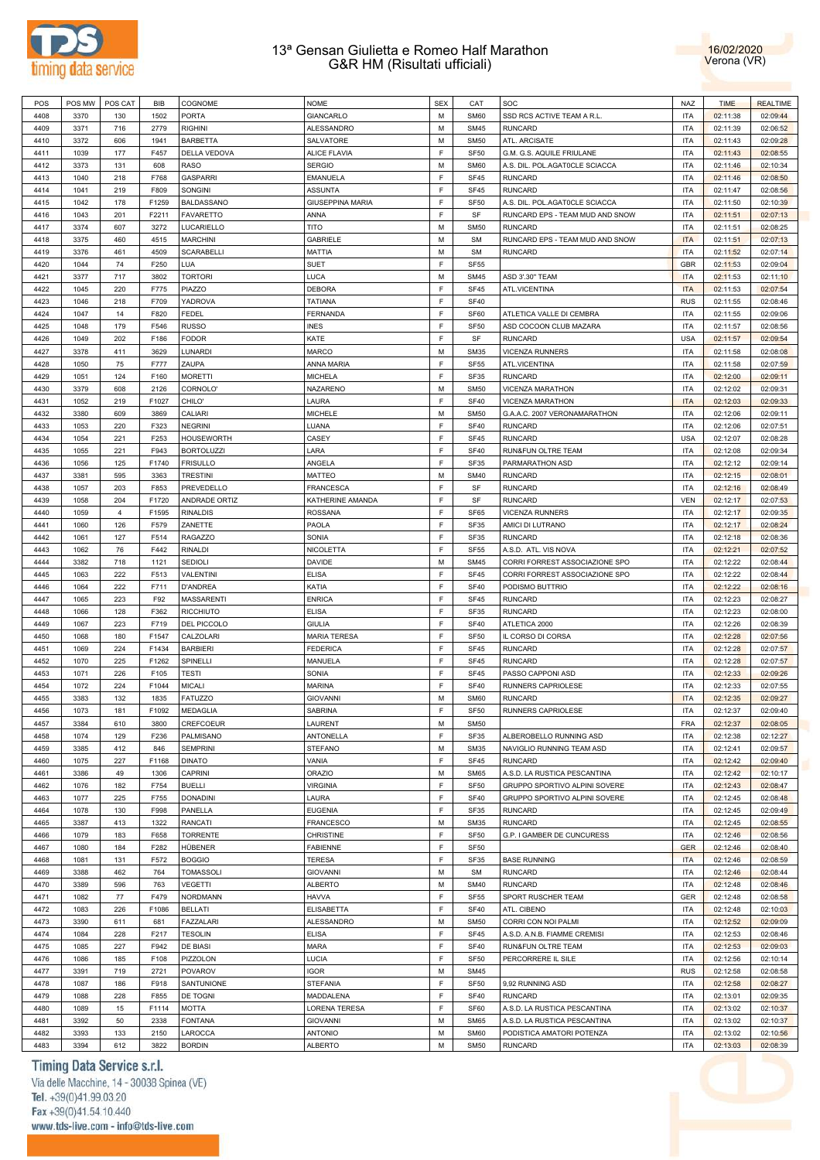



| POS  | POS MW | POS CAT        | BIB   | COGNOME           | <b>NOME</b>             | <b>SEX</b>  | CAT              | SOC                             | <b>NAZ</b> | <b>TIME</b> | <b>REALTIME</b> |
|------|--------|----------------|-------|-------------------|-------------------------|-------------|------------------|---------------------------------|------------|-------------|-----------------|
| 4408 | 3370   | 130            | 1502  | <b>PORTA</b>      | GIANCARLO               | M           | <b>SM60</b>      | SSD RCS ACTIVE TEAM A R.L       | <b>ITA</b> | 02:11:38    | 02:09:44        |
| 4409 | 3371   | 716            | 2779  | <b>RIGHINI</b>    | ALESSANDRO              | M           | <b>SM45</b>      | <b>RUNCARD</b>                  | <b>ITA</b> | 02:11:39    | 02:06:52        |
|      |        |                |       |                   | SALVATORE               | M           |                  |                                 |            |             |                 |
| 4410 | 3372   | 606            | 1941  | <b>BARBETTA</b>   |                         |             | <b>SM50</b>      | ATL. ARCISATE                   | <b>ITA</b> | 02:11:43    | 02:09:28        |
| 4411 | 1039   | 177            | F457  | DELLA VEDOVA      | <b>ALICE FLAVIA</b>     | F           | SF50             | G.M. G.S. AQUILE FRIULANE       | <b>ITA</b> | 02:11:43    | 02:08:55        |
| 4412 | 3373   | 131            | 608   | <b>RASO</b>       | <b>SERGIO</b>           | M           | <b>SM60</b>      | A.S. DIL. POL.AGAT0CLE SCIACCA  | <b>ITA</b> | 02:11:46    | 02:10:34        |
| 4413 | 1040   | 218            | F768  | <b>GASPARRI</b>   | EMANUELA                | F           | SF45             | <b>RUNCARD</b>                  | <b>ITA</b> | 02:11:46    | 02:08:50        |
| 4414 | 1041   | 219            | F809  | SONGINI           | <b>ASSUNTA</b>          | F           | SF45             | <b>RUNCARD</b>                  | <b>ITA</b> | 02:11:47    | 02:08:56        |
| 4415 | 1042   | 178            | F1259 | BALDASSANO        | <b>GIUSEPPINA MARIA</b> | F           | SF <sub>50</sub> | A.S. DIL. POL.AGAT0CLE SCIACCA  | <b>ITA</b> | 02:11:50    | 02:10:39        |
| 4416 | 1043   | 201            | F2211 | <b>FAVARETTO</b>  | ANNA                    | F           | SF               | RUNCARD EPS - TEAM MUD AND SNOW | <b>ITA</b> | 02:11:51    | 02:07:13        |
| 4417 | 3374   | 607            | 3272  | LUCARIELLO        | TITO                    | M           | <b>SM50</b>      | <b>RUNCARD</b>                  | <b>ITA</b> | 02:11:51    | 02:08:25        |
| 4418 | 3375   | 460            | 4515  | <b>MARCHINI</b>   | <b>GABRIELE</b>         | M           | <b>SM</b>        | RUNCARD EPS - TEAM MUD AND SNOW | <b>ITA</b> | 02:11:51    | 02:07:13        |
| 4419 | 3376   | 461            | 4509  | <b>SCARABELLI</b> | MATTIA                  | M           | <b>SM</b>        | <b>RUNCARD</b>                  | <b>ITA</b> | 02:11:52    | 02:07:14        |
| 4420 | 1044   | 74             | F250  | LUA               | <b>SUET</b>             | F           | <b>SF55</b>      |                                 | <b>GBR</b> | 02:11:53    | 02:09:04        |
|      | 3377   | 717            | 3802  |                   | LUCA                    | M           | <b>SM45</b>      |                                 | <b>ITA</b> |             |                 |
| 4421 |        |                |       | <b>TORTORI</b>    |                         |             |                  | ASD 3'.30" TEAM                 |            | 02:11:53    | 02:11:10        |
| 4422 | 1045   | 220            | F775  | <b>PIAZZO</b>     | DEBORA                  | F           | SF45             | ATL.VICENTINA                   | <b>ITA</b> | 02:11:53    | 02:07:54        |
| 4423 | 1046   | 218            | F709  | YADROVA           | <b>TATIANA</b>          | F           | <b>SF40</b>      |                                 | <b>RUS</b> | 02:11:55    | 02:08:46        |
| 4424 | 1047   | 14             | F820  | <b>FEDEL</b>      | FERNANDA                | F           | SF60             | ATLETICA VALLE DI CEMBRA        | <b>ITA</b> | 02:11:55    | 02:09:06        |
| 4425 | 1048   | 179            | F546  | <b>RUSSO</b>      | <b>INES</b>             | F           | SF <sub>50</sub> | ASD COCOON CLUB MAZARA          | <b>ITA</b> | 02:11:57    | 02:08:56        |
| 4426 | 1049   | 202            | F186  | <b>FODOR</b>      | KATE                    | F           | SF               | <b>RUNCARD</b>                  | <b>USA</b> | 02:11:57    | 02:09:54        |
| 4427 | 3378   | 411            | 3629  | LUNARDI           | MARCO                   | M           | <b>SM35</b>      | VICENZA RUNNERS                 | <b>ITA</b> | 02:11:58    | 02:08:08        |
| 4428 | 1050   | 75             | F777  | ZAUPA             | ANNA MARIA              | F           | <b>SF55</b>      | ATL.VICENTINA                   | <b>ITA</b> | 02:11:58    | 02:07:59        |
| 4429 | 1051   | 124            | F160  | <b>MORETTI</b>    | <b>MICHELA</b>          | F           | SF35             | <b>RUNCARD</b>                  | <b>ITA</b> | 02:12:00    | 02:09:11        |
| 4430 | 3379   | 608            | 2126  | CORNOLO'          | NAZARENO                | M           | <b>SM50</b>      | VICENZA MARATHON                | <b>ITA</b> | 02:12:02    | 02:09:31        |
| 4431 | 1052   | 219            | F1027 | CHILO'            | LAURA                   | F           | <b>SF40</b>      | VICENZA MARATHON                | <b>ITA</b> | 02:12:03    | 02:09:33        |
| 4432 | 3380   | 609            | 3869  | CALIARI           | MICHELE                 | М           | <b>SM50</b>      | G.A.A.C. 2007 VERONAMARATHON    | <b>ITA</b> | 02:12:06    | 02:09:11        |
| 4433 | 1053   | 220            | F323  | <b>NEGRINI</b>    | LUANA                   | F           | <b>SF40</b>      | <b>RUNCARD</b>                  | <b>ITA</b> | 02:12:06    | 02:07:51        |
| 4434 | 1054   | 221            | F253  | <b>HOUSEWORTH</b> | CASEY                   | F           | SF45             | <b>RUNCARD</b>                  | <b>USA</b> | 02:12:07    | 02:08:28        |
| 4435 | 1055   | 221            | F943  | <b>BORTOLUZZI</b> | LARA                    | F           | <b>SF40</b>      | RUN&FUN OLTRE TEAM              | <b>ITA</b> | 02:12:08    | 02:09:34        |
|      |        |                | F1740 |                   |                         | F           |                  |                                 |            |             |                 |
| 4436 | 1056   | 125            |       | <b>FRISULLO</b>   | ANGELA                  |             | SF35             | PARMARATHON ASD                 | <b>ITA</b> | 02:12:12    | 02:09:14        |
| 4437 | 3381   | 595            | 3363  | <b>TRESTINI</b>   | MATTEO                  | M           | <b>SM40</b>      | <b>RUNCARD</b>                  | <b>ITA</b> | 02:12:15    | 02:08:01        |
| 4438 | 1057   | 203            | F853  | PREVEDELLO        | <b>FRANCESCA</b>        | F           | SF               | <b>RUNCARD</b>                  | <b>ITA</b> | 02:12:16    | 02:08:49        |
| 4439 | 1058   | 204            | F1720 | ANDRADE ORTIZ     | KATHERINE AMANDA        | F           | SF               | <b>RUNCARD</b>                  | <b>VEN</b> | 02:12:17    | 02:07:53        |
| 4440 | 1059   | $\overline{4}$ | F1595 | <b>RINALDIS</b>   | <b>ROSSANA</b>          | F           | SF65             | <b>VICENZA RUNNERS</b>          | <b>ITA</b> | 02:12:17    | 02:09:35        |
| 4441 | 1060   | 126            | F579  | ZANETTE           | PAOLA                   | F           | SF35             | AMICI DI LUTRANO                | <b>ITA</b> | 02:12:17    | 02:08:24        |
| 4442 | 1061   | 127            | F514  | <b>RAGAZZO</b>    | SONIA                   | F           | SF35             | <b>RUNCARD</b>                  | <b>ITA</b> | 02:12:18    | 02:08:36        |
| 4443 | 1062   | 76             | F442  | <b>RINALDI</b>    | NICOLETTA               | F           | SF <sub>55</sub> | A.S.D. ATL. VIS NOVA            | <b>ITA</b> | 02:12:21    | 02:07:52        |
| 4444 | 3382   | 718            | 1121  | SEDIOLI           | DAVIDE                  | M           | <b>SM45</b>      | CORRI FORREST ASSOCIAZIONE SPO  | <b>ITA</b> | 02:12:22    | 02:08:44        |
| 4445 | 1063   | 222            | F513  | VALENTINI         | <b>ELISA</b>            | F           | SF45             | CORRI FORREST ASSOCIAZIONE SPO  | <b>ITA</b> | 02:12:22    | 02:08:44        |
| 4446 | 1064   | 222            | F711  | <b>D'ANDREA</b>   | KATIA                   | F           | <b>SF40</b>      | PODISMO BUTTRIO                 | <b>ITA</b> | 02:12:22    | 02:08:16        |
| 4447 | 1065   | 223            | F92   | <b>MASSARENTI</b> | <b>ENRICA</b>           | F           | SF45             | <b>RUNCARD</b>                  | <b>ITA</b> | 02:12:23    | 02:08:27        |
| 4448 | 1066   | 128            | F362  | <b>RICCHIUTO</b>  | <b>ELISA</b>            | F           | SF35             | <b>RUNCARD</b>                  | <b>ITA</b> | 02:12:23    | 02:08:00        |
| 4449 | 1067   | 223            | F719  | DEL PICCOLO       | <b>GIULIA</b>           | F           | <b>SF40</b>      | ATLETICA 2000                   | <b>ITA</b> | 02:12:26    | 02:08:39        |
|      |        |                |       |                   |                         | F           |                  |                                 |            |             |                 |
| 4450 | 1068   | 180            | F1547 | CALZOLARI         | <b>MARIA TERESA</b>     |             | SF <sub>50</sub> | IL CORSO DI CORSA               | <b>ITA</b> | 02:12:28    | 02:07:56        |
| 4451 | 1069   | 224            | F1434 | <b>BARBIERI</b>   | <b>FEDERICA</b>         | F           | SF45             | <b>RUNCARD</b>                  | <b>ITA</b> | 02:12:28    | 02:07:57        |
| 4452 | 1070   | 225            | F1262 | SPINELLI          | MANUELA                 | F           | SF45             | <b>RUNCARD</b>                  | <b>ITA</b> | 02:12:28    | 02:07:57        |
| 4453 | 1071   | 226            | F105  | <b>TESTI</b>      | SONIA                   | F           | SF45             | PASSO CAPPONI ASD               | <b>ITA</b> | 02:12:33    | 02:09:26        |
| 4454 | 1072   | 224            | F1044 | <b>MICALI</b>     | <b>MARINA</b>           | F           | <b>SF40</b>      | RUNNERS CAPRIOLESE              | <b>ITA</b> | 02:12:33    | 02:07:55        |
| 4455 | 3383   | 132            | 1835  | <b>FATUZZO</b>    | <b>GIOVANNI</b>         | M           | <b>SM60</b>      | <b>RUNCARD</b>                  | <b>ITA</b> | 02:12:35    | 02:09:27        |
| 4456 | 1073   | 181            | F1092 | <b>MEDAGLIA</b>   | SABRINA                 | E           | <b>SF50</b>      | RUNNERS CAPRIOLESE              | <b>ITA</b> | 02:12:37    | 02:09:40        |
| 4457 | 3384   | 610            | 3800  | CREFCOEUR         | LAURENT                 | M           | <b>SM50</b>      |                                 | <b>FRA</b> | 02:12:37    | 02:08:05        |
| 4458 | 1074   | 129            | F236  | PALMISANO         | ANTONELLA               | $\mathsf F$ | <b>SF35</b>      | ALBEROBELLO RUNNING ASD         | <b>ITA</b> | 02:12:38    | 02:12:27        |
| 4459 | 3385   | 412            | 846   | <b>SEMPRINI</b>   | <b>STEFANO</b>          | M           | <b>SM35</b>      | NAVIGLIO RUNNING TEAM ASD       | <b>ITA</b> | 02:12:41    | 02:09:57        |
| 4460 | 1075   | 227            | F1168 | <b>DINATO</b>     | VANIA                   | F           | SF45             | <b>RUNCARD</b>                  | <b>ITA</b> | 02:12:42    | 02:09:40        |
| 4461 | 3386   | 49             | 1306  | CAPRINI           | <b>ORAZIO</b>           | M           | <b>SM65</b>      | A.S.D. LA RUSTICA PESCANTINA    | <b>ITA</b> | 02:12:42    | 02:10:17        |
| 4462 | 1076   | 182            | F754  | <b>BUELLI</b>     | <b>VIRGINIA</b>         | F           | SF <sub>50</sub> | GRUPPO SPORTIVO ALPINI SOVERE   | <b>ITA</b> | 02:12:43    | 02:08:47        |
| 4463 | 1077   | 225            | F755  | <b>DONADINI</b>   | LAURA                   | F           | <b>SF40</b>      | GRUPPO SPORTIVO ALPINI SOVERE   | <b>ITA</b> | 02:12:45    | 02:08:48        |
| 4464 | 1078   | 130            | F998  | PANELLA           | <b>EUGENIA</b>          | F           | SF35             | <b>RUNCARD</b>                  | <b>ITA</b> | 02:12:45    | 02:09:49        |
| 4465 | 3387   | 413            | 1322  |                   | <b>FRANCESCO</b>        | M           | <b>SM35</b>      | <b>RUNCARD</b>                  | <b>ITA</b> |             | 02:08:55        |
|      |        |                |       | RANCATI           |                         |             |                  |                                 |            | 02:12:45    |                 |
| 4466 | 1079   | 183            | F658  | <b>TORRENTE</b>   | CHRISTINE               | F           | SF <sub>50</sub> | G.P. I GAMBER DE CUNCURESS      | <b>ITA</b> | 02:12:46    | 02:08:56        |
| 4467 | 1080   | 184            | F282  | HÜBENER           | <b>FABIENNE</b>         | F           | SF50             |                                 | <b>GER</b> | 02:12:46    | 02:08:40        |
| 4468 | 1081   | 131            | F572  | <b>BOGGIO</b>     | <b>TERESA</b>           | F           | SF35             | <b>BASE RUNNING</b>             | <b>ITA</b> | 02:12:46    | 02:08:59        |
| 4469 | 3388   | 462            | 764   | <b>TOMASSOLI</b>  | <b>GIOVANNI</b>         | М           | <b>SM</b>        | <b>RUNCARD</b>                  | <b>ITA</b> | 02:12:46    | 02:08:44        |
| 4470 | 3389   | 596            | 763   | <b>VEGETTI</b>    | <b>ALBERTO</b>          | М           | <b>SM40</b>      | RUNCARD                         | <b>ITA</b> | 02:12:48    | 02:08:46        |
| 4471 | 1082   | 77             | F479  | <b>NORDMANN</b>   | <b>HAVVA</b>            | F           | SF <sub>55</sub> | SPORT RUSCHER TEAM              | GER        | 02:12:48    | 02:08:58        |
| 4472 | 1083   | 226            | F1086 | <b>BELLATI</b>    | ELISABETTA              | F           | <b>SF40</b>      | ATL. CIBENO                     | <b>ITA</b> | 02:12:48    | 02:10:03        |
| 4473 | 3390   | 611            | 681   | FAZZALARI         | ALESSANDRO              | M           | <b>SM50</b>      | CORRI CON NOI PALMI             | <b>ITA</b> | 02:12:52    | 02:09:09        |
| 4474 | 1084   | 228            | F217  | <b>TESOLIN</b>    | <b>ELISA</b>            | F           | SF45             | A.S.D. A.N.B. FIAMME CREMISI    | <b>ITA</b> | 02:12:53    | 02:08:46        |
| 4475 | 1085   | 227            | F942  | DE BIASI          | <b>MARA</b>             | F           | <b>SF40</b>      | RUN&FUN OLTRE TEAM              | <b>ITA</b> | 02:12:53    | 02:09:03        |
| 4476 | 1086   | 185            | F108  | PIZZOLON          | <b>LUCIA</b>            | F           | SF <sub>50</sub> | PERCORRERE IL SILE              | <b>ITA</b> | 02:12:56    | 02:10:14        |
| 4477 | 3391   | 719            | 2721  | POVAROV           | <b>IGOR</b>             | M           | <b>SM45</b>      |                                 | <b>RUS</b> | 02:12:58    | 02:08:58        |
| 4478 | 1087   | 186            | F918  | SANTUNIONE        | <b>STEFANIA</b>         | F           | SF <sub>50</sub> | 9,92 RUNNING ASD                | <b>ITA</b> | 02:12:58    | 02:08:27        |
| 4479 | 1088   | 228            | F855  | DE TOGNI          | MADDALENA               | F           | <b>SF40</b>      | <b>RUNCARD</b>                  | <b>ITA</b> | 02:13:01    | 02:09:35        |
|      |        |                |       |                   |                         |             |                  |                                 |            |             |                 |
| 4480 | 1089   | 15             | F1114 | <b>MOTTA</b>      | LORENA TERESA           | F           | SF60             | A.S.D. LA RUSTICA PESCANTINA    | <b>ITA</b> | 02:13:02    | 02:10:37        |
| 4481 | 3392   | 50             | 2338  | <b>FONTANA</b>    | <b>GIOVANNI</b>         | M           | <b>SM65</b>      | A.S.D. LA RUSTICA PESCANTINA    | <b>ITA</b> | 02:13:02    | 02:10:37        |
| 4482 | 3393   | 133            | 2150  | LAROCCA           | <b>ANTONIO</b>          | M           | <b>SM60</b>      | PODISTICA AMATORI POTENZA       | <b>ITA</b> | 02:13:02    | 02:10:56        |
| 4483 | 3394   | 612            | 3822  | <b>BORDIN</b>     | <b>ALBERTO</b>          | М           | <b>SM50</b>      | <b>RUNCARD</b>                  | <b>ITA</b> | 02:13:03    | 02:08:39        |

# Timing Data Service s.r.l.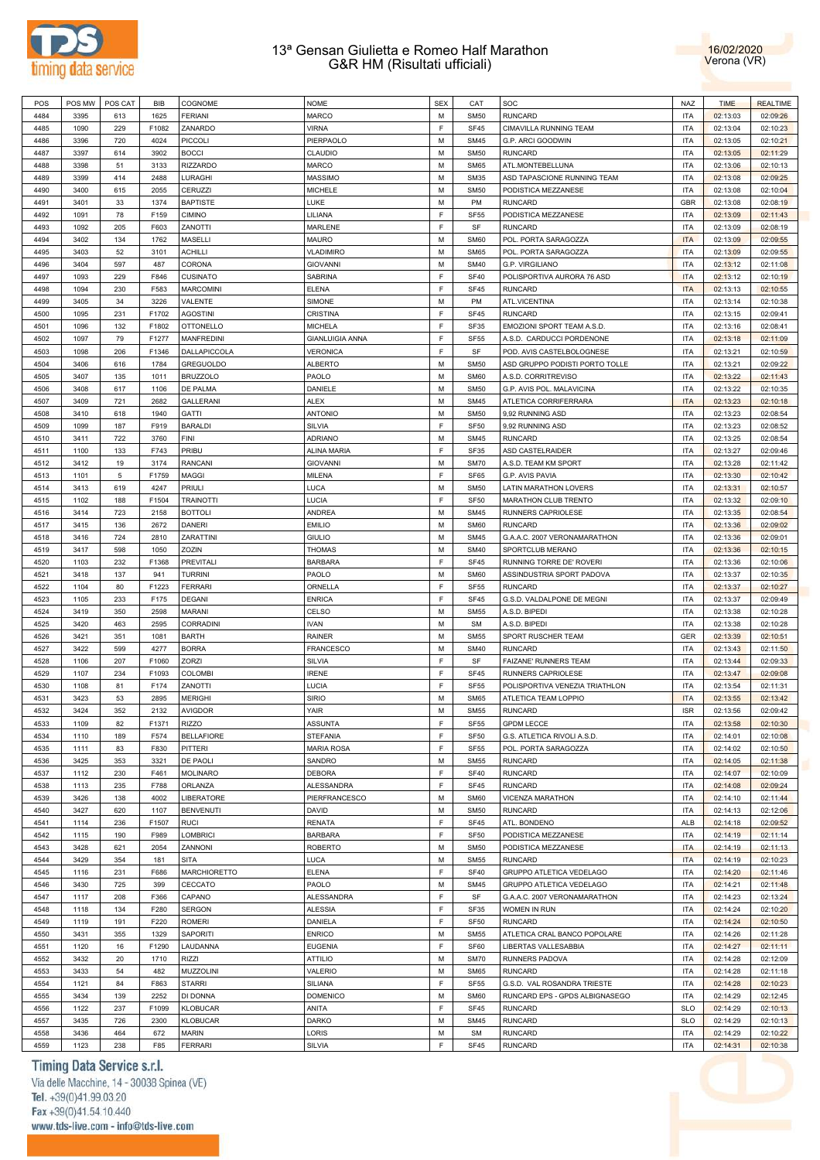



| POS  | POS MW | POS CAT | BIB   | COGNOME           | <b>NOME</b>            | <b>SEX</b> | CAT         | SOC                            | <b>NAZ</b> | <b>TIME</b> | <b>REALTIME</b> |
|------|--------|---------|-------|-------------------|------------------------|------------|-------------|--------------------------------|------------|-------------|-----------------|
| 4484 | 3395   | 613     | 1625  | <b>FERIANI</b>    | <b>MARCO</b>           | M          | <b>SM50</b> | <b>RUNCARD</b>                 | <b>ITA</b> | 02:13:03    | 02:09:26        |
| 4485 | 1090   | 229     | F1082 | ZANARDO           | VIRNA                  | F          | SF45        | CIMAVILLA RUNNING TEAM         | <b>ITA</b> | 02:13:04    | 02:10:23        |
| 4486 | 3396   | 720     | 4024  | <b>PICCOLI</b>    | PIERPAOLO              | M          | <b>SM45</b> | G.P. ARCI GOODWIN              | <b>ITA</b> | 02:13:05    | 02:10:21        |
| 4487 | 3397   | 614     | 3902  | <b>BOCCI</b>      | CLAUDIO                | M          | <b>SM50</b> | <b>RUNCARD</b>                 | <b>ITA</b> | 02:13:05    | 02:11:29        |
| 4488 | 3398   | 51      | 3133  | <b>RIZZARDO</b>   | <b>MARCO</b>           | M          | <b>SM65</b> | ATL.MONTEBELLUNA               | <b>ITA</b> | 02:13:06    | 02:10:13        |
| 4489 | 3399   | 414     | 2488  | LURAGHI           | <b>MASSIMO</b>         | M          | <b>SM35</b> | ASD TAPASCIONE RUNNING TEAM    | <b>ITA</b> | 02:13:08    | 02:09:25        |
|      |        |         |       |                   |                        |            |             |                                |            |             |                 |
| 4490 | 3400   | 615     | 2055  | CERUZZI           | <b>MICHELE</b>         | M          | <b>SM50</b> | PODISTICA MEZZANESE            | <b>ITA</b> | 02:13:08    | 02:10:04        |
| 4491 | 3401   | 33      | 1374  | <b>BAPTISTE</b>   | LUKE                   | M          | PM          | <b>RUNCARD</b>                 | <b>GBR</b> | 02:13:08    | 02:08:19        |
| 4492 | 1091   | 78      | F159  | <b>CIMINO</b>     | LILIANA                | F          | <b>SF55</b> | PODISTICA MEZZANESE            | <b>ITA</b> | 02:13:09    | 02:11:43        |
| 4493 | 1092   | 205     | F603  | ZANOTTI           | MARLENE                | F          | SF          | <b>RUNCARD</b>                 | <b>ITA</b> | 02:13:09    | 02:08:19        |
| 4494 | 3402   | 134     | 1762  | <b>MASELLI</b>    | <b>MAURO</b>           | M          | <b>SM60</b> | POL. PORTA SARAGOZZA           | <b>ITA</b> | 02:13:09    | 02:09:55        |
| 4495 | 3403   | 52      | 3101  | <b>ACHILLI</b>    | <b>VLADIMIRO</b>       | M          | <b>SM65</b> | POL. PORTA SARAGOZZA           | <b>ITA</b> | 02:13:09    | 02:09:55        |
| 4496 | 3404   | 597     | 487   | CORONA            | <b>GIOVANNI</b>        | M          | <b>SM40</b> | <b>G.P. VIRGILIANO</b>         | <b>ITA</b> | 02:13:12    | 02:11:08        |
| 4497 | 1093   | 229     | F846  | <b>CUSINATO</b>   | SABRINA                | F          | <b>SF40</b> | POLISPORTIVA AURORA 76 ASD     | <b>ITA</b> | 02:13:12    | 02:10:19        |
| 4498 | 1094   | 230     | F583  | <b>MARCOMINI</b>  | <b>ELENA</b>           | F          | <b>SF45</b> | <b>RUNCARD</b>                 | <b>ITA</b> | 02:13:13    | 02:10:55        |
| 4499 | 3405   | 34      | 3226  | VALENTE           | SIMONE                 | M          | PM          | ATL.VICENTINA                  | <b>ITA</b> | 02:13:14    | 02:10:38        |
| 4500 | 1095   | 231     | F1702 | <b>AGOSTINI</b>   | CRISTINA               | F          | <b>SF45</b> | <b>RUNCARD</b>                 | <b>ITA</b> | 02:13:15    | 02:09:41        |
| 4501 | 1096   | 132     | F1802 | <b>OTTONELLO</b>  | <b>MICHELA</b>         | F          | SF35        | EMOZIONI SPORT TEAM A.S.D.     | <b>ITA</b> | 02:13:16    | 02:08:41        |
|      |        |         | F1277 |                   |                        | F          |             |                                |            |             |                 |
| 4502 | 1097   | 79      |       | <b>MANFREDINI</b> | <b>GIANLUIGIA ANNA</b> |            | <b>SF55</b> | A.S.D. CARDUCCI PORDENONE      | <b>ITA</b> | 02:13:18    | 02:11:09        |
| 4503 | 1098   | 206     | F1346 | DALLAPICCOLA      | <b>VERONICA</b>        | F          | SF          | POD. AVIS CASTELBOLOGNESE      | <b>ITA</b> | 02:13:21    | 02:10:59        |
| 4504 | 3406   | 616     | 1784  | <b>GREGUOLDO</b>  | <b>ALBERTO</b>         | M          | <b>SM50</b> | ASD GRUPPO PODISTI PORTO TOLLE | <b>ITA</b> | 02:13:21    | 02:09:22        |
| 4505 | 3407   | 135     | 1011  | <b>BRUZZOLO</b>   | PAOLO                  | M          | SM60        | A.S.D. CORRITREVISO            | <b>ITA</b> | 02:13:22    | 02:11:43        |
| 4506 | 3408   | 617     | 1106  | DE PALMA          | DANIELE                | M          | <b>SM50</b> | G.P. AVIS POL. MALAVICINA      | <b>ITA</b> | 02:13:22    | 02:10:35        |
| 4507 | 3409   | 721     | 2682  | <b>GALLERANI</b>  | ALEX                   | M          | <b>SM45</b> | ATLETICA CORRIFERRARA          | <b>ITA</b> | 02:13:23    | 02:10:18        |
| 4508 | 3410   | 618     | 1940  | <b>GATTI</b>      | <b>ANTONIO</b>         | M          | <b>SM50</b> | 9,92 RUNNING ASD               | <b>ITA</b> | 02:13:23    | 02:08:54        |
| 4509 | 1099   | 187     | F919  | <b>BARALDI</b>    | <b>SILVIA</b>          | F          | <b>SF50</b> | 9,92 RUNNING ASD               | <b>ITA</b> | 02:13:23    | 02:08:52        |
| 4510 | 3411   | 722     | 3760  | FINI              | <b>ADRIANO</b>         | M          | <b>SM45</b> | <b>RUNCARD</b>                 | <b>ITA</b> | 02:13:25    | 02:08:54        |
| 4511 | 1100   | 133     | F743  | PRIBU             | ALINA MARIA            | E          | SF35        | ASD CASTELRAIDER               | <b>ITA</b> | 02:13:27    | 02:09:46        |
| 4512 | 3412   | 19      | 3174  | RANCANI           | <b>GIOVANNI</b>        | M          | <b>SM70</b> | A.S.D. TEAM KM SPORT           | <b>ITA</b> | 02:13:28    | 02:11:42        |
|      |        |         |       |                   |                        | F          |             |                                |            |             |                 |
| 4513 | 1101   | 5       | F1759 | MAGGI             | MILENA                 |            | SF65        | G.P. AVIS PAVIA                | <b>ITA</b> | 02:13:30    | 02:10:42        |
| 4514 | 3413   | 619     | 4247  | <b>PRIULI</b>     | LUCA                   | M          | <b>SM50</b> | <b>LATIN MARATHON LOVERS</b>   | <b>ITA</b> | 02:13:31    | 02:10:57        |
| 4515 | 1102   | 188     | F1504 | <b>TRAINOTTI</b>  | LUCIA                  | F          | <b>SF50</b> | MARATHON CLUB TRENTO           | <b>ITA</b> | 02:13:32    | 02:09:10        |
| 4516 | 3414   | 723     | 2158  | <b>BOTTOLI</b>    | <b>ANDREA</b>          | M          | <b>SM45</b> | RUNNERS CAPRIOLESE             | <b>ITA</b> | 02:13:35    | 02:08:54        |
| 4517 | 3415   | 136     | 2672  | DANERI            | <b>EMILIO</b>          | M          | <b>SM60</b> | <b>RUNCARD</b>                 | <b>ITA</b> | 02:13:36    | 02:09:02        |
| 4518 | 3416   | 724     | 2810  | ZARATTINI         | <b>GIULIO</b>          | M          | <b>SM45</b> | G.A.A.C. 2007 VERONAMARATHON   | <b>ITA</b> | 02:13:36    | 02:09:01        |
| 4519 | 3417   | 598     | 1050  | ZOZIN             | <b>THOMAS</b>          | M          | <b>SM40</b> | SPORTCLUB MERANO               | <b>ITA</b> | 02:13:36    | 02:10:15        |
| 4520 | 1103   | 232     | F1368 | <b>PREVITALI</b>  | <b>BARBARA</b>         | F          | <b>SF45</b> | RUNNING TORRE DE' ROVERI       | <b>ITA</b> | 02:13:36    | 02:10:06        |
| 4521 | 3418   | 137     | 941   | <b>TURRINI</b>    | PAOLO                  | M          | <b>SM60</b> | ASSINDUSTRIA SPORT PADOVA      | <b>ITA</b> | 02:13:37    | 02:10:35        |
| 4522 |        | 80      | F1223 | <b>FERRARI</b>    | ORNELLA                | F          | <b>SF55</b> | <b>RUNCARD</b>                 | <b>ITA</b> |             | 02:10:27        |
|      | 1104   |         |       |                   |                        |            |             |                                |            | 02:13:37    |                 |
| 4523 | 1105   | 233     | F175  | <b>DEGANI</b>     | <b>ENRICA</b>          | F          | <b>SF45</b> | G.S.D. VALDALPONE DE MEGNI     | <b>ITA</b> | 02:13:37    | 02:09:49        |
| 4524 | 3419   | 350     | 2598  | MARANI            | CELSO                  | M          | <b>SM55</b> | A.S.D. BIPEDI                  | <b>ITA</b> | 02:13:38    | 02:10:28        |
| 4525 | 3420   | 463     | 2595  | CORRADINI         | <b>IVAN</b>            | M          | <b>SM</b>   | A.S.D. BIPEDI                  | <b>ITA</b> | 02:13:38    | 02:10:28        |
| 4526 | 3421   | 351     | 1081  | <b>BARTH</b>      | <b>RAINER</b>          | M          | <b>SM55</b> | SPORT RUSCHER TEAM             | GER        | 02:13:39    | 02:10:51        |
| 4527 | 3422   | 599     | 4277  | <b>BORRA</b>      | <b>FRANCESCO</b>       | M          | <b>SM40</b> | <b>RUNCARD</b>                 | <b>ITA</b> | 02:13:43    | 02:11:50        |
| 4528 | 1106   | 207     | F1060 | ZORZI             | <b>SILVIA</b>          | F          | SF          | <b>FAIZANE' RUNNERS TEAM</b>   | <b>ITA</b> | 02:13:44    | 02:09:33        |
| 4529 | 1107   | 234     | F1093 | <b>COLOMBI</b>    | <b>IRENE</b>           | F          | SF45        | RUNNERS CAPRIOLESE             | <b>ITA</b> | 02:13:47    | 02:09:08        |
| 4530 | 1108   | 81      | F174  | ZANOTTI           | LUCIA                  | F          | <b>SF55</b> | POLISPORTIVA VENEZIA TRIATHLON | <b>ITA</b> | 02:13:54    | 02:11:31        |
| 4531 | 3423   | 53      | 2895  | <b>MERIGHI</b>    | <b>SIRIO</b>           | M          | <b>SM65</b> | ATLETICA TEAM LOPPIO           | <b>ITA</b> | 02:13:55    | 02:13:42        |
|      |        |         |       |                   |                        | M          |             |                                |            |             |                 |
| 4532 | 3424   | 352     | 2132  | <b>AVIGDOR</b>    | YAIR                   |            | <b>SM55</b> | <b>RUNCARD</b>                 | <b>ISR</b> | 02:13:56    | 02:09:42        |
| 4533 | 1109   | 82      | F1371 | <b>RIZZO</b>      | <b>ASSUNTA</b>         | F          | <b>SF55</b> | <b>GPDM LECCE</b>              | <b>ITA</b> | 02:13:58    | 02:10:30        |
| 4534 | 1110   | 189     | F574  | <b>BELLAFIORE</b> | <b>STEFANIA</b>        | F          | <b>SF50</b> | G.S. ATLETICA RIVOLI A.S.D.    | <b>ITA</b> | 02:14:01    | 02:10:08        |
| 4535 | 1111   | 83      | F830  | PITTERI           | <b>MARIA ROSA</b>      | F          | <b>SF55</b> | POL. PORTA SARAGOZZA           | <b>ITA</b> | 02:14:02    | 02:10:50        |
| 4536 | 3425   | 353     | 3321  | DE PAOLI          | SANDRO                 | M          | <b>SM55</b> | <b>RUNCARD</b>                 | <b>ITA</b> | 02:14:05    | 02:11:38        |
| 4537 | 1112   | 230     | F461  | <b>MOLINARO</b>   | <b>DEBORA</b>          | F          | <b>SF40</b> | <b>RUNCARD</b>                 | <b>ITA</b> | 02:14:07    | 02:10:09        |
| 4538 | 1113   | 235     | F788  | ORLANZA           | ALESSANDRA             | F          | <b>SF45</b> | <b>RUNCARD</b>                 | <b>ITA</b> | 02:14:08    | 02:09:24        |
| 4539 | 3426   | 138     | 4002  | LIBERATORE        | PIERFRANCESCO          | M          | <b>SM60</b> | <b>VICENZA MARATHON</b>        | <b>ITA</b> | 02:14:10    | 02:11:44        |
| 4540 | 3427   | 620     | 1107  | <b>BENVENUTI</b>  | DAVID                  | M          | <b>SM50</b> | <b>RUNCARD</b>                 | <b>ITA</b> | 02:14:13    | 02:12:06        |
| 4541 | 1114   | 236     | F1507 | <b>RUCI</b>       | <b>RENATA</b>          | F          | SF45        | ATL. BONDENO                   | <b>ALB</b> | 02:14:18    | 02:09:52        |
| 4542 | 1115   | 190     | F989  | LOMBRICI          | <b>BARBARA</b>         | F          | <b>SF50</b> | PODISTICA MEZZANESE            | <b>ITA</b> | 02:14:19    | 02:11:14        |
|      |        |         |       |                   |                        |            |             |                                |            |             |                 |
| 4543 | 3428   | 621     | 2054  | ZANNONI           | <b>ROBERTO</b>         | M          | <b>SM50</b> | PODISTICA MEZZANESE            | <b>ITA</b> | 02:14:19    | 02:11:13        |
| 4544 | 3429   | 354     | 181   | <b>SITA</b>       | LUCA                   | M          | <b>SM55</b> | <b>RUNCARD</b>                 | <b>ITA</b> | 02:14:19    | 02:10:23        |
| 4545 | 1116   | 231     | F686  | MARCHIORETTO      | <b>ELENA</b>           | F          | <b>SF40</b> | GRUPPO ATLETICA VEDELAGO       | <b>ITA</b> | 02:14:20    | 02:11:46        |
| 4546 | 3430   | 725     | 399   | CECCATO           | PAOLO                  | M          | <b>SM45</b> | GRUPPO ATLETICA VEDELAGO       | <b>ITA</b> | 02:14:21    | 02:11:48        |
| 4547 | 1117   | 208     | F366  | CAPANO            | <b>ALESSANDRA</b>      | F          | SF          | G.A.A.C. 2007 VERONAMARATHON   | <b>ITA</b> | 02:14:23    | 02:13:24        |
| 4548 | 1118   | 134     | F280  | <b>SERGON</b>     | <b>ALESSIA</b>         | F          | SF35        | WOMEN IN RUN                   | <b>ITA</b> | 02:14:24    | 02:10:20        |
| 4549 | 1119   | 191     | F220  | <b>ROMERI</b>     | DANIELA                | F          | <b>SF50</b> | <b>RUNCARD</b>                 | <b>ITA</b> | 02:14:24    | 02:10:50        |
| 4550 | 3431   | 355     | 1329  | SAPORITI          | <b>ENRICO</b>          | M          | <b>SM55</b> | ATLETICA CRAL BANCO POPOLARE   | <b>ITA</b> | 02:14:26    | 02:11:28        |
| 4551 | 1120   | 16      | F1290 | LAUDANNA          | <b>EUGENIA</b>         | F          | SF60        | LIBERTAS VALLESABBIA           | <b>ITA</b> | 02:14:27    | 02:11:11        |
| 4552 | 3432   | 20      | 1710  | <b>RIZZI</b>      | <b>ATTILIO</b>         | M          | <b>SM70</b> | RUNNERS PADOVA                 | <b>ITA</b> | 02:14:28    | 02:12:09        |
|      |        |         |       |                   |                        |            |             |                                |            |             |                 |
| 4553 | 3433   | 54      | 482   | MUZZOLINI         | VALERIO                | M          | <b>SM65</b> | <b>RUNCARD</b>                 | <b>ITA</b> | 02:14:28    | 02:11:18        |
| 4554 | 1121   | 84      | F863  | <b>STARRI</b>     | SILIANA                | F          | <b>SF55</b> | G.S.D. VAL ROSANDRA TRIESTE    | <b>ITA</b> | 02:14:28    | 02:10:23        |
| 4555 | 3434   | 139     | 2252  | DI DONNA          | <b>DOMENICO</b>        | M          | <b>SM60</b> | RUNCARD EPS - GPDS ALBIGNASEGO | <b>ITA</b> | 02:14:29    | 02:12:45        |
| 4556 | 1122   | 237     | F1099 | <b>KLOBUCAR</b>   | ANITA                  | F          | <b>SF45</b> | <b>RUNCARD</b>                 | <b>SLO</b> | 02:14:29    | 02:10:13        |
| 4557 | 3435   | 726     | 2300  | <b>KLOBUCAR</b>   | <b>DARKO</b>           | M          | <b>SM45</b> | <b>RUNCARD</b>                 | <b>SLO</b> | 02:14:29    | 02:10:13        |
| 4558 | 3436   | 464     | 672   | <b>MARIN</b>      | LORIS                  | M          | <b>SM</b>   | <b>RUNCARD</b>                 | <b>ITA</b> | 02:14:29    | 02:10:22        |
| 4559 | 1123   | 238     | F85   | <b>FERRARI</b>    | SILVIA                 | F          | <b>SF45</b> | <b>RUNCARD</b>                 | <b>ITA</b> | 02:14:31    | 02:10:38        |
|      |        |         |       |                   |                        |            |             |                                |            |             |                 |

# Timing Data Service s.r.l.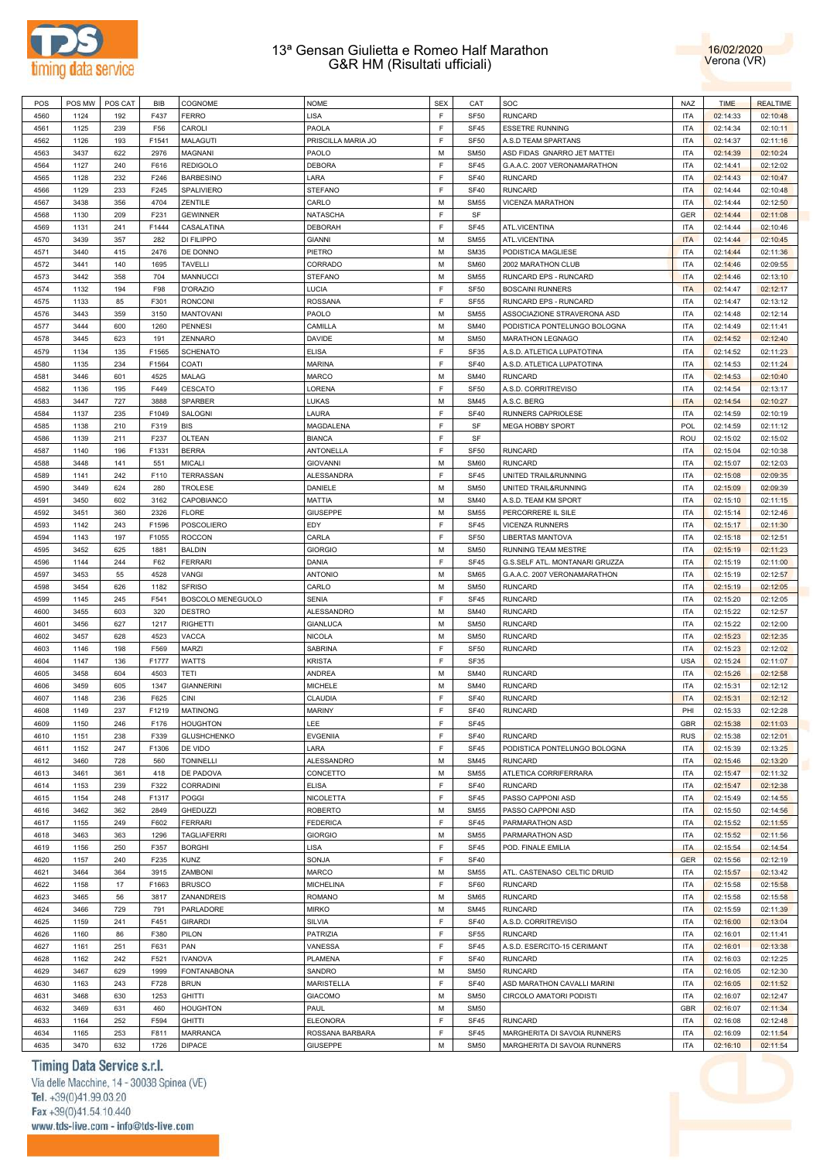



| POS  | POS MW | POS CAT | BIB   | COGNOME            | <b>NOME</b>        | <b>SEX</b> | CAT         | SOC                                     | <b>NAZ</b> | <b>TIME</b> | <b>REALTIME</b> |
|------|--------|---------|-------|--------------------|--------------------|------------|-------------|-----------------------------------------|------------|-------------|-----------------|
| 4560 | 1124   | 192     | F437  | <b>FERRO</b>       | LISA               | F          | <b>SF50</b> | <b>RUNCARD</b>                          | <b>ITA</b> | 02:14:33    | 02:10:48        |
| 4561 | 1125   | 239     | F56   | CAROLI             | PAOLA              | F          | <b>SF45</b> | <b>ESSETRE RUNNING</b>                  | <b>ITA</b> | 02:14:34    | 02:10:11        |
| 4562 | 1126   | 193     | F1541 | MALAGUTI           | PRISCILLA MARIA JO | E          | <b>SF50</b> | A.S.D TEAM SPARTANS                     | <b>ITA</b> | 02:14:37    | 02:11:16        |
| 4563 | 3437   | 622     | 2976  | <b>MAGNANI</b>     | PAOLO              | M          | <b>SM50</b> | ASD FIDAS GNARRO JET MATTEI             | <b>ITA</b> | 02:14:39    | 02:10:24        |
| 4564 | 1127   | 240     | F616  | <b>REDIGOLO</b>    | <b>DEBORA</b>      | E          | <b>SF45</b> | G.A.A.C. 2007 VERONAMARATHON            | <b>ITA</b> | 02:14:41    | 02:12:02        |
|      |        |         |       |                    |                    | E          | <b>SF40</b> | <b>RUNCARD</b>                          |            |             |                 |
| 4565 | 1128   | 232     | F246  | <b>BARBESINO</b>   | LARA               |            |             |                                         | <b>ITA</b> | 02:14:43    | 02:10:47        |
| 4566 | 1129   | 233     | F245  | SPALIVIERO         | <b>STEFANO</b>     | E          | <b>SF40</b> | <b>RUNCARD</b>                          | <b>ITA</b> | 02:14:44    | 02:10:48        |
| 4567 | 3438   | 356     | 4704  | ZENTILE            | CARLO              | M          | <b>SM55</b> | VICENZA MARATHON                        | <b>ITA</b> | 02:14:44    | 02:12:50        |
| 4568 | 1130   | 209     | F231  | <b>GEWINNER</b>    | <b>NATASCHA</b>    | E          | SF          |                                         | GER        | 02:14:44    | 02:11:08        |
| 4569 | 1131   | 241     | F1444 | CASALATINA         | <b>DEBORAH</b>     | E          | <b>SF45</b> | ATL.VICENTINA                           | <b>ITA</b> | 02:14:44    | 02:10:46        |
| 4570 | 3439   | 357     | 282   | DI FILIPPO         | <b>GIANNI</b>      | M          | <b>SM55</b> | ATL.VICENTINA                           | <b>ITA</b> | 02:14:44    | 02:10:45        |
| 4571 | 3440   | 415     | 2476  | DE DONNO           | PIETRO             | M          | <b>SM35</b> | PODISTICA MAGLIESE                      | <b>ITA</b> | 02:14:44    | 02:11:36        |
| 4572 | 3441   | 140     | 1695  | <b>TAVELLI</b>     | CORRADO            | M          | <b>SM60</b> | 2002 MARATHON CLUB                      | <b>ITA</b> | 02:14:46    | 02:09:55        |
| 4573 | 3442   | 358     | 704   | MANNUCCI           | <b>STEFANO</b>     | M          | <b>SM55</b> | RUNCARD EPS - RUNCARD                   | <b>ITA</b> | 02:14:46    | 02:13:10        |
| 4574 | 1132   | 194     | F98   | D'ORAZIO           | LUCIA              | F          | <b>SF50</b> | <b>BOSCAINI RUNNERS</b>                 | <b>ITA</b> | 02:14:47    | 02:12:17        |
| 4575 | 1133   | 85      | F301  | <b>RONCONI</b>     | <b>ROSSANA</b>     | F          | <b>SF55</b> | RUNCARD EPS - RUNCARD                   | <b>ITA</b> | 02:14:47    | 02:13:12        |
| 4576 | 3443   | 359     | 3150  | <b>MANTOVANI</b>   | PAOLO              | M          | <b>SM55</b> | ASSOCIAZIONE STRAVERONA ASD             | <b>ITA</b> | 02:14:48    | 02:12:14        |
| 4577 | 3444   | 600     | 1260  | <b>PENNESI</b>     | CAMILLA            | M          | <b>SM40</b> | PODISTICA PONTELUNGO BOLOGNA            | <b>ITA</b> | 02:14:49    | 02:11:41        |
| 4578 | 3445   | 623     | 191   | ZENNARO            | DAVIDE             | M          | <b>SM50</b> | <b>MARATHON LEGNAGO</b>                 | <b>ITA</b> | 02:14:52    | 02:12:40        |
| 4579 | 1134   | 135     | F1565 | <b>SCHENATO</b>    | <b>ELISA</b>       | E          | SF35        | A.S.D. ATLETICA LUPATOTINA              | <b>ITA</b> | 02:14:52    | 02:11:23        |
| 4580 | 1135   | 234     | F1564 | COATI              | <b>MARINA</b>      | E          | <b>SF40</b> | A.S.D. ATLETICA LUPATOTINA              | <b>ITA</b> | 02:14:53    | 02:11:24        |
|      |        |         |       |                    |                    |            |             | <b>RUNCARD</b>                          |            |             |                 |
| 4581 | 3446   | 601     | 4525  | MALAG              | MARCO              | M          | <b>SM40</b> |                                         | <b>ITA</b> | 02:14:53    | 02:10:40        |
| 4582 | 1136   | 195     | F449  | CESCATO            | LORENA             | E          | <b>SF50</b> | A.S.D. CORRITREVISO                     | <b>ITA</b> | 02:14:54    | 02:13:17        |
| 4583 | 3447   | 727     | 3888  | <b>SPARBER</b>     | LUKAS              | M          | <b>SM45</b> | A.S.C. BERG                             | <b>ITA</b> | 02:14:54    | 02:10:27        |
| 4584 | 1137   | 235     | F1049 | SALOGNI            | LAURA              | E          | <b>SF40</b> | RUNNERS CAPRIOLESE                      | <b>ITA</b> | 02:14:59    | 02:10:19        |
| 4585 | 1138   | 210     | F319  | <b>BIS</b>         | <b>MAGDALENA</b>   | E          | SF          | <b>MEGA HOBBY SPORT</b>                 | <b>POL</b> | 02:14:59    | 02:11:12        |
| 4586 | 1139   | 211     | F237  | <b>OLTEAN</b>      | <b>BIANCA</b>      | E          | SF          |                                         | ROU        | 02:15:02    | 02:15:02        |
| 4587 | 1140   | 196     | F1331 | <b>BERRA</b>       | ANTONELLA          | E          | <b>SF50</b> | <b>RUNCARD</b>                          | <b>ITA</b> | 02:15:04    | 02:10:38        |
| 4588 | 3448   | 141     | 551   | MICALI             | <b>GIOVANNI</b>    | M          | <b>SM60</b> | <b>RUNCARD</b>                          | <b>ITA</b> | 02:15:07    | 02:12:03        |
| 4589 | 1141   | 242     | F110  | TERRASSAN          | ALESSANDRA         | E          | <b>SF45</b> | UNITED TRAIL&RUNNING                    | <b>ITA</b> | 02:15:08    | 02:09:35        |
| 4590 | 3449   | 624     | 280   | TROLESE            | DANIELE            | M          | <b>SM50</b> | UNITED TRAIL&RUNNING                    | <b>ITA</b> | 02:15:09    | 02:09:39        |
| 4591 | 3450   | 602     | 3162  | CAPOBIANCO         | <b>MATTIA</b>      | M          | <b>SM40</b> | A.S.D. TEAM KM SPORT                    | <b>ITA</b> | 02:15:10    | 02:11:15        |
| 4592 | 3451   | 360     | 2326  | <b>FLORE</b>       | <b>GIUSEPPE</b>    | M          | <b>SM55</b> | PERCORRERE IL SILE                      | <b>ITA</b> | 02:15:14    | 02:12:46        |
| 4593 | 1142   | 243     | F1596 | POSCOLIERO         | EDY                | E          | <b>SF45</b> | VICENZA RUNNERS                         | <b>ITA</b> | 02:15:17    | 02:11:30        |
| 4594 | 1143   | 197     | F1055 | <b>ROCCON</b>      | CARLA              | F          | <b>SF50</b> | LIBERTAS MANTOVA                        | <b>ITA</b> | 02:15:18    | 02:12:51        |
| 4595 | 3452   | 625     | 1881  | <b>BALDIN</b>      | <b>GIORGIO</b>     | M          | <b>SM50</b> | RUNNING TEAM MESTRE                     | <b>ITA</b> | 02:15:19    | 02:11:23        |
|      |        |         |       |                    |                    | E          |             |                                         |            |             |                 |
| 4596 | 1144   | 244     | F62   | <b>FERRARI</b>     | DANIA              |            | <b>SF45</b> | G.S.SELF ATL. MONTANARI GRUZZA          | <b>ITA</b> | 02:15:19    | 02:11:00        |
| 4597 | 3453   | 55      | 4528  | VANGI              | <b>ANTONIO</b>     | M          | <b>SM65</b> | G.A.A.C. 2007 VERONAMARATHON            | <b>ITA</b> | 02:15:19    | 02:12:57        |
| 4598 | 3454   | 626     | 1182  | <b>SFRISO</b>      | CARLO              | M          | <b>SM50</b> | <b>RUNCARD</b>                          | <b>ITA</b> | 02:15:19    | 02:12:05        |
| 4599 | 1145   | 245     | F541  | BOSCOLO MENEGUOLO  | <b>SENIA</b>       | E          | <b>SF45</b> | <b>RUNCARD</b>                          | <b>ITA</b> | 02:15:20    | 02:12:05        |
| 4600 | 3455   | 603     | 320   | <b>DESTRO</b>      | <b>ALESSANDRO</b>  | M          | <b>SM40</b> | <b>RUNCARD</b>                          | <b>ITA</b> | 02:15:22    | 02:12:57        |
| 4601 | 3456   | 627     | 1217  | <b>RIGHETTI</b>    | <b>GIANLUCA</b>    | M          | <b>SM50</b> | <b>RUNCARD</b>                          | <b>ITA</b> | 02:15:22    | 02:12:00        |
| 4602 | 3457   | 628     | 4523  | VACCA              | <b>NICOLA</b>      | M          | <b>SM50</b> | <b>RUNCARD</b>                          | <b>ITA</b> | 02:15:23    | 02:12:35        |
| 4603 | 1146   | 198     | F569  | MARZI              | <b>SABRINA</b>     | F          | <b>SF50</b> | <b>RUNCARD</b>                          | <b>ITA</b> | 02:15:23    | 02:12:02        |
| 4604 | 1147   | 136     | F1777 | WATTS              | <b>KRISTA</b>      | F          | SF35        |                                         | <b>USA</b> | 02:15:24    | 02:11:07        |
| 4605 | 3458   | 604     | 4503  | TETI               | <b>ANDREA</b>      | M          | <b>SM40</b> | <b>RUNCARD</b>                          | <b>ITA</b> | 02:15:26    | 02:12:58        |
| 4606 | 3459   | 605     | 1347  | <b>GIANNERINI</b>  | <b>MICHELE</b>     | M          | <b>SM40</b> | <b>RUNCARD</b>                          | <b>ITA</b> | 02:15:31    | 02:12:12        |
| 4607 | 1148   | 236     | F625  | CINI               | <b>CLAUDIA</b>     | F          | <b>SF40</b> | <b>RUNCARD</b>                          | <b>ITA</b> | 02:15:31    | 02:12:12        |
| 4608 | 1149   | 237     | F1219 | <b>MATINONG</b>    | <b>MARINY</b>      | E          | <b>SF40</b> | <b>RUNCARD</b>                          | PHI        | 02:15:33    | 02:12:28        |
| 4609 | 1150   | 246     | F176  | <b>HOUGHTON</b>    | LEE                | F          | <b>SF45</b> |                                         | <b>GBR</b> | 02:15:38    | 02:11:03        |
| 4610 | 1151   | 238     | F339  | <b>GLUSHCHENKO</b> | <b>EVGENIIA</b>    | F          | <b>SF40</b> | <b>RUNCARD</b>                          | <b>RUS</b> | 02:15:38    | 02:12:01        |
| 4611 | 1152   | 247     | F1306 | DE VIDO            | LARA               | E          | SF45        | PODISTICA PONTELUNGO BOLOGNA            | <b>ITA</b> | 02:15:39    | 02:13:25        |
| 4612 | 3460   | 728     | 560   | <b>TONINELLI</b>   | ALESSANDRO         | M          | <b>SM45</b> | <b>RUNCARD</b>                          | <b>ITA</b> | 02:15:46    | 02:13:20        |
| 4613 | 3461   |         | 418   | DE PADOVA          | CONCETTO           | M          | <b>SM55</b> |                                         | <b>ITA</b> |             |                 |
|      |        | 361     |       |                    |                    | E          |             | ATLETICA CORRIFERRARA<br><b>RUNCARD</b> |            | 02:15:47    | 02:11:32        |
| 4614 | 1153   | 239     | F322  | <b>CORRADINI</b>   | <b>ELISA</b>       |            | <b>SF40</b> |                                         | <b>ITA</b> | 02:15:47    | 02:12:38        |
| 4615 | 1154   | 248     | F1317 | POGGI              | <b>NICOLETTA</b>   | E          | SF45        | PASSO CAPPONI ASD                       | <b>ITA</b> | 02:15:49    | 02:14:55        |
| 4616 | 3462   | 362     | 2849  | <b>GHEDUZZI</b>    | <b>ROBERTO</b>     | M          | <b>SM55</b> | PASSO CAPPONI ASD                       | <b>ITA</b> | 02:15:50    | 02:14:56        |
| 4617 |        | 249     | F602  | <b>FERRARI</b>     | <b>FEDERICA</b>    | E          | SF45        | PARMARATHON ASD                         | <b>ITA</b> | 02:15:52    | 02:11:55        |
| 4618 | 1155   |         |       |                    |                    |            |             |                                         |            |             |                 |
|      | 3463   | 363     | 1296  | <b>TAGLIAFERRI</b> | <b>GIORGIO</b>     | M          | <b>SM55</b> | PARMARATHON ASD                         | <b>ITA</b> | 02:15:52    | 02:11:56        |
| 4619 | 1156   | 250     | F357  | <b>BORGHI</b>      | LISA               | E          | SF45        | POD. FINALE EMILIA                      | <b>ITA</b> | 02:15:54    | 02:14:54        |
| 4620 | 1157   | 240     | F235  | <b>KUNZ</b>        | SONJA              | F          | <b>SF40</b> |                                         | <b>GER</b> | 02:15:56    | 02:12:19        |
| 4621 | 3464   | 364     | 3915  | ZAMBONI            | <b>MARCO</b>       | M          | <b>SM55</b> | ATL. CASTENASO CELTIC DRUID             | <b>ITA</b> | 02:15:57    | 02:13:42        |
| 4622 | 1158   | 17      | F1663 | <b>BRUSCO</b>      | <b>MICHELINA</b>   | E          | SF60        | <b>RUNCARD</b>                          | <b>ITA</b> | 02:15:58    | 02:15:58        |
| 4623 | 3465   | 56      | 3817  | ZANANDREIS         | <b>ROMANO</b>      | M          | <b>SM65</b> | <b>RUNCARD</b>                          | <b>ITA</b> | 02:15:58    | 02:15:58        |
| 4624 | 3466   | 729     | 791   | PARLADORE          | <b>MIRKO</b>       | M          | <b>SM45</b> | <b>RUNCARD</b>                          | <b>ITA</b> | 02:15:59    | 02:11:39        |
| 4625 | 1159   | 241     | F451  | <b>GIRARDI</b>     | SILVIA             | F          | <b>SF40</b> | A.S.D. CORRITREVISO                     | <b>ITA</b> | 02:16:00    | 02:13:04        |
| 4626 | 1160   |         | F380  | PILON              |                    | F          |             | <b>RUNCARD</b>                          | <b>ITA</b> |             |                 |
|      |        | 86      |       |                    | PATRIZIA           |            | <b>SF55</b> |                                         |            | 02:16:01    | 02:11:41        |
| 4627 | 1161   | 251     | F631  | PAN                | VANESSA            | F          | SF45        | A.S.D. ESERCITO-15 CERIMANT             | <b>ITA</b> | 02:16:01    | 02:13:38        |
| 4628 | 1162   | 242     | F521  | <b>IVANOVA</b>     | PLAMENA            | F          | <b>SF40</b> | <b>RUNCARD</b>                          | <b>ITA</b> | 02:16:03    | 02:12:25        |
| 4629 | 3467   | 629     | 1999  | <b>FONTANABONA</b> | SANDRO             | M          | <b>SM50</b> | <b>RUNCARD</b>                          | <b>ITA</b> | 02:16:05    | 02:12:30        |
| 4630 | 1163   | 243     | F728  | <b>BRUN</b>        | <b>MARISTELLA</b>  | E          | <b>SF40</b> | ASD MARATHON CAVALLI MARINI             | <b>ITA</b> | 02:16:05    | 02:11:52        |
| 4631 | 3468   | 630     | 1253  | <b>GHITTI</b>      | <b>GIACOMO</b>     | M          | <b>SM50</b> | CIRCOLO AMATORI PODISTI                 | <b>ITA</b> | 02:16:07    | 02:12:47        |
| 4632 | 3469   | 631     | 460   | <b>HOUGHTON</b>    | PAUL               | M          | <b>SM50</b> |                                         | <b>GBR</b> | 02:16:07    | 02:11:34        |
| 4633 | 1164   | 252     | F594  | <b>GHITTI</b>      | <b>ELEONORA</b>    | E          | <b>SF45</b> | <b>RUNCARD</b>                          | <b>ITA</b> | 02:16:08    | 02:12:48        |
| 4634 | 1165   | 253     | F811  | <b>MARRANCA</b>    | ROSSANA BARBARA    | F<br>M     | <b>SF45</b> | MARGHERITA DI SAVOIA RUNNERS            | <b>ITA</b> | 02:16:09    | 02:11:54        |

# Timing Data Service s.r.l.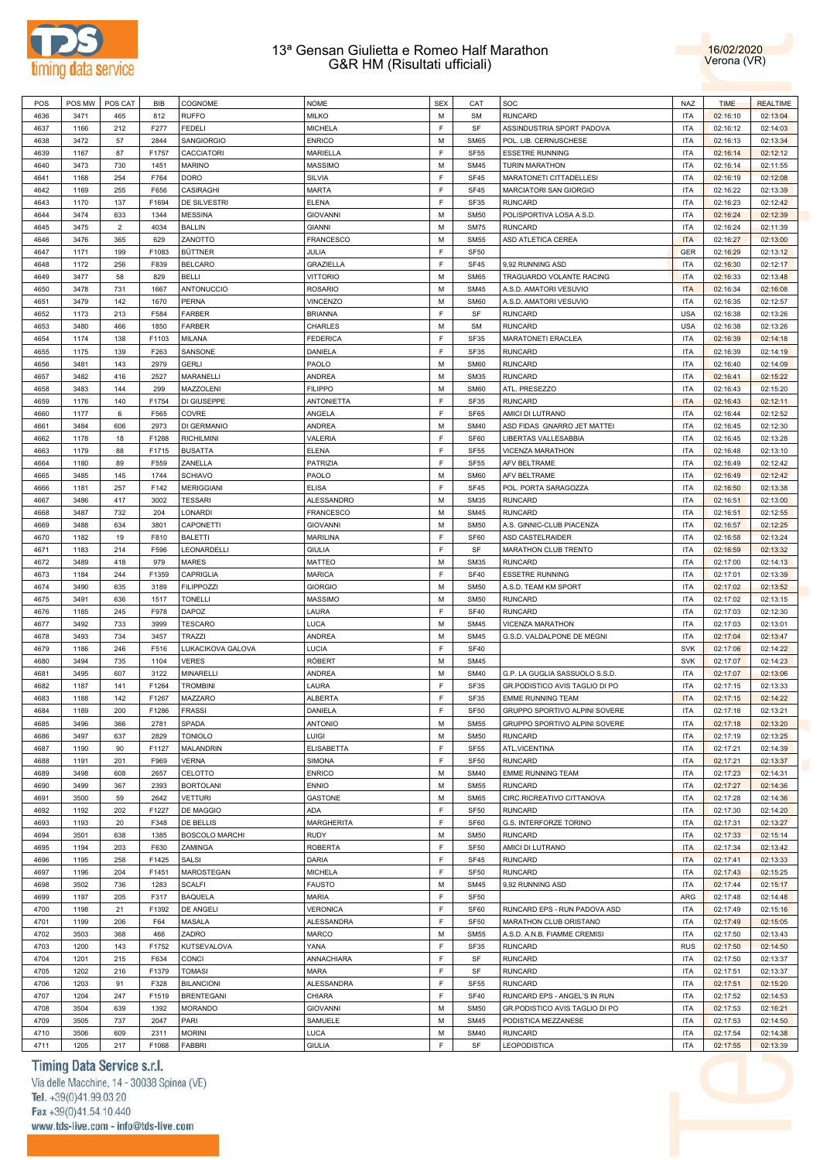



| POS  | POS MW | POS CAT        | BIB   | COGNOME               | <b>NOME</b>       | <b>SEX</b> | CAT              | SOC                            | <b>NAZ</b> | <b>TIME</b> | <b>REALTIME</b> |
|------|--------|----------------|-------|-----------------------|-------------------|------------|------------------|--------------------------------|------------|-------------|-----------------|
| 4636 | 3471   | 465            | 812   | <b>RUFFO</b>          | <b>MILKO</b>      | M          | <b>SM</b>        | <b>RUNCARD</b>                 | <b>ITA</b> | 02:16:10    | 02:13:04        |
|      |        |                |       |                       |                   |            |                  |                                |            |             |                 |
| 4637 | 1166   | 212            | F277  | FEDELI                | <b>MICHELA</b>    | E          | SF               | ASSINDUSTRIA SPORT PADOVA      | <b>ITA</b> | 02:16:12    | 02:14:03        |
| 4638 | 3472   | 57             | 2844  | SANGIORGIO            | <b>ENRICO</b>     | M          | <b>SM65</b>      | POL. LIB. CERNUSCHESE          | <b>ITA</b> | 02:16:13    | 02:13:34        |
| 4639 | 1167   | 87             | F1757 | <b>CACCIATORI</b>     | <b>MARIELLA</b>   | E          | <b>SF55</b>      | <b>ESSETRE RUNNING</b>         | <b>ITA</b> | 02:16:14    | 02:12:12        |
| 4640 | 3473   | 730            | 1451  | <b>MARINO</b>         | <b>MASSIMO</b>    | M          | <b>SM45</b>      | TURIN MARATHON                 | <b>ITA</b> | 02:16:14    | 02:11:55        |
| 4641 | 1168   | 254            | F764  | <b>DORO</b>           | SILVIA            | F          | <b>SF45</b>      | MARATONETI CITTADELLESI        | <b>ITA</b> | 02:16:19    | 02:12:08        |
|      |        |                |       |                       |                   |            |                  |                                |            |             |                 |
| 4642 | 1169   | 255            | F656  | CASIRAGHI             | <b>MARTA</b>      | F          | <b>SF45</b>      | <b>MARCIATORI SAN GIORGIO</b>  | <b>ITA</b> | 02:16:22    | 02:13:39        |
| 4643 | 1170   | 137            | F1694 | DE SILVESTRI          | <b>ELENA</b>      | F          | <b>SF35</b>      | <b>RUNCARD</b>                 | ITA        | 02:16:23    | 02:12:42        |
| 4644 | 3474   | 633            | 1344  | <b>MESSINA</b>        | <b>GIOVANNI</b>   | M          | <b>SM50</b>      | POLISPORTIVA LOSA A.S.D.       | ITA        | 02:16:24    | 02:12:39        |
| 4645 | 3475   | $\overline{2}$ | 4034  | <b>BALLIN</b>         | <b>GIANNI</b>     | м          | <b>SM75</b>      | <b>RUNCARD</b>                 | <b>ITA</b> | 02:16:24    | 02:11:39        |
|      |        |                |       |                       | <b>FRANCESCO</b>  | M          |                  |                                |            |             | 02:13:00        |
| 4646 | 3476   | 365            | 629   | ZANOTTO               |                   |            | <b>SM55</b>      | ASD ATLETICA CEREA             | <b>ITA</b> | 02:16:27    |                 |
| 4647 | 1171   | 199            | F1083 | <b>BÜTTNER</b>        | JULIA             | E          | <b>SF50</b>      |                                | <b>GER</b> | 02:16:29    | 02:13:12        |
| 4648 | 1172   | 256            | F839  | <b>BELCARO</b>        | <b>GRAZIELLA</b>  | E          | <b>SF45</b>      | 9,92 RUNNING ASD               | <b>ITA</b> | 02:16:30    | 02:12:17        |
| 4649 | 3477   | 58             | 829   | BELLI                 | <b>VITTORIO</b>   | м          | <b>SM65</b>      | TRAGUARDO VOLANTE RACING       | <b>ITA</b> | 02:16:33    | 02:13:48        |
| 4650 | 3478   | 731            | 1667  | ANTONUCCIO            | <b>ROSARIO</b>    | M          | <b>SM45</b>      | A.S.D. AMATORI VESUVIO         | <b>ITA</b> | 02:16:34    | 02:16:08        |
| 4651 | 3479   | 142            | 1670  | <b>PERNA</b>          | <b>VINCENZO</b>   | M          | <b>SM60</b>      | A.S.D. AMATORI VESUVIO         | <b>ITA</b> | 02:16:35    | 02:12:57        |
|      |        |                |       |                       |                   |            |                  |                                |            |             |                 |
| 4652 | 1173   | 213            | F584  | FARBER                | <b>BRIANNA</b>    | E          | SF               | <b>RUNCARD</b>                 | <b>USA</b> | 02:16:38    | 02:13:26        |
| 4653 | 3480   | 466            | 1850  | <b>FARBER</b>         | <b>CHARLES</b>    | м          | <b>SM</b>        | <b>RUNCARD</b>                 | <b>USA</b> | 02:16:38    | 02:13:26        |
| 4654 | 1174   | 138            | F1103 | <b>MILANA</b>         | <b>FEDERICA</b>   | F          | <b>SF35</b>      | MARATONETI ERACLEA             | <b>ITA</b> | 02:16:39    | 02:14:18        |
| 4655 | 1175   | 139            | F263  | SANSONE               | DANIELA           | F          | <b>SF35</b>      | <b>RUNCARD</b>                 | ITA        | 02:16:39    | 02:14:19        |
|      |        |                |       |                       |                   |            |                  |                                |            |             |                 |
| 4656 | 3481   | 143            | 2979  | <b>GERLI</b>          | PAOLO             | M          | <b>SM60</b>      | <b>RUNCARD</b>                 | ITA        | 02:16:40    | 02:14:09        |
| 4657 | 3482   | 416            | 2527  | MARANELLI             | <b>ANDREA</b>     | м          | <b>SM35</b>      | <b>RUNCARD</b>                 | <b>ITA</b> | 02:16:41    | 02:15:22        |
| 4658 | 3483   | 144            | 299   | MAZZOLENI             | <b>FILIPPO</b>    | М          | <b>SM60</b>      | ATL. PRESEZZO                  | <b>ITA</b> | 02:16:43    | 02:15:20        |
| 4659 | 1176   | 140            | F1754 | DI GIUSEPPE           | <b>ANTONIETTA</b> | E          | <b>SF35</b>      | <b>RUNCARD</b>                 | <b>ITA</b> | 02:16:43    | 02:12:11        |
| 4660 | 1177   | 6              | F565  | COVRE                 | ANGELA            | E          | SF65             | AMICI DI LUTRANO               | <b>ITA</b> | 02:16:44    | 02:12:52        |
|      |        |                |       |                       |                   |            |                  |                                |            |             |                 |
| 4661 | 3484   | 606            | 2973  | DI GERMANIO           | <b>ANDREA</b>     | м          | <b>SM40</b>      | ASD FIDAS GNARRO JET MATTEI    | <b>ITA</b> | 02:16:45    | 02:12:30        |
| 4662 | 1178   | 18             | F1288 | <b>RICHILMINI</b>     | VALERIA           | E          | SF60             | LIBERTAS VALLESABBIA           | <b>ITA</b> | 02:16:45    | 02:13:28        |
| 4663 | 1179   | 88             | F1715 | <b>BUSATTA</b>        | <b>ELENA</b>      | E          | <b>SF55</b>      | VICENZA MARATHON               | <b>ITA</b> | 02:16:48    | 02:13:10        |
| 4664 | 1180   | 89             | F559  | ZANELLA               | PATRIZIA          | E          | <b>SF55</b>      | AFV BELTRAME                   | <b>ITA</b> | 02:16:49    | 02:12:42        |
| 4665 | 3485   | 145            | 1744  | <b>SCHIAVO</b>        | PAOLO             | м          | <b>SM60</b>      | AFV BELTRAME                   | <b>ITA</b> | 02:16:49    | 02:12:42        |
|      |        |                |       |                       |                   |            |                  |                                |            |             |                 |
| 4666 | 1181   | 257            | F142  | <b>MERIGGIANI</b>     | <b>ELISA</b>      | F          | <b>SF45</b>      | POL. PORTA SARAGOZZA           | <b>ITA</b> | 02:16:50    | 02:13:38        |
| 4667 | 3486   | 417            | 3002  | <b>TESSARI</b>        | <b>ALESSANDRO</b> | м          | <b>SM35</b>      | <b>RUNCARD</b>                 | ITA        | 02:16:51    | 02:13:00        |
| 4668 | 3487   | 732            | 204   | LONARDI               | <b>FRANCESCO</b>  | M          | <b>SM45</b>      | <b>RUNCARD</b>                 | ITA        | 02:16:51    | 02:12:55        |
| 4669 | 3488   | 634            | 3801  | CAPONETTI             | <b>GIOVANNI</b>   | М          | <b>SM50</b>      | A.S. GINNIC-CLUB PIACENZA      | <b>ITA</b> | 02:16:57    | 02:12:25        |
| 4670 | 1182   | 19             | F810  | <b>BALETTI</b>        | MARILINA          | F          | SF60             | ASD CASTELRAIDER               | <b>ITA</b> | 02:16:58    | 02:13:24        |
|      |        |                |       |                       |                   |            |                  |                                |            |             |                 |
| 4671 | 1183   | 214            | F596  | LEONARDELLI           | <b>GIULIA</b>     | E          | SF               | MARATHON CLUB TRENTO           | <b>ITA</b> | 02:16:59    | 02:13:32        |
| 4672 | 3489   | 418            | 979   | MARES                 | <b>MATTEO</b>     | M          | <b>SM35</b>      | <b>RUNCARD</b>                 | ITA        | 02:17:00    | 02:14:13        |
| 4673 | 1184   | 244            | F1359 | CAPRIGLIA             | <b>MARICA</b>     | E          | <b>SF40</b>      | <b>ESSETRE RUNNING</b>         | <b>ITA</b> | 02:17:01    | 02:13:39        |
| 4674 | 3490   | 635            | 3189  | <b>FILIPPOZZI</b>     | <b>GIORGIO</b>    | M          | <b>SM50</b>      | A.S.D. TEAM KM SPORT           | <b>ITA</b> | 02:17:02    | 02:13:52        |
| 4675 | 3491   | 636            | 1517  | <b>TONELLI</b>        | <b>MASSIMO</b>    | M          | <b>SM50</b>      | <b>RUNCARD</b>                 | <b>ITA</b> | 02:17:02    | 02:13:15        |
|      |        |                |       |                       |                   |            |                  |                                |            |             |                 |
| 4676 | 1185   | 245            | F978  | DAPOZ                 | LAURA             | E          | <b>SF40</b>      | <b>RUNCARD</b>                 | <b>ITA</b> | 02:17:03    | 02:12:30        |
| 4677 | 3492   | 733            | 3999  | <b>TESCARO</b>        | <b>LUCA</b>       | м          | <b>SM45</b>      | VICENZA MARATHON               | <b>ITA</b> | 02:17:03    | 02:13:01        |
| 4678 | 3493   | 734            | 3457  | <b>TRAZZI</b>         | <b>ANDREA</b>     | M          | <b>SM45</b>      | G.S.D. VALDALPONE DE MEGNI     | <b>ITA</b> | 02:17:04    | 02:13:47        |
| 4679 | 1186   | 246            | F516  | LUKACIKOVA GALOVA     | <b>LUCIA</b>      | F          | <b>SF40</b>      |                                | <b>SVK</b> | 02:17:06    | 02:14:22        |
| 4680 | 3494   | 735            | 1104  | <b>VERES</b>          | <b>RÓBERT</b>     | M          | <b>SM45</b>      |                                | <b>SVK</b> | 02:17:07    | 02:14:23        |
|      |        |                |       |                       |                   |            |                  |                                |            |             |                 |
| 4681 | 3495   | 607            | 3122  | MINARELLI             | <b>ANDREA</b>     | М          | <b>SM40</b>      | G.P. LA GUGLIA SASSUOLO S.S.D. | ITA        | 02:17:07    | 02:13:06        |
| 4682 | 1187   | 141            | F1264 | <b>TROMBINI</b>       | LAURA             | F          | SF35             | GR.PODISTICO AVIS TAGLIO DI PO | <b>ITA</b> | 02:17:15    | 02:13:33        |
| 4683 | 1188   | 142            | F1267 | MAZZARO               | <b>ALBERTA</b>    | E          | <b>SF35</b>      | <b>EMME RUNNING TEAM</b>       | <b>ITA</b> | 02:17:15    | 02:14:22        |
| 4684 | 1189   | 200            | F1286 | <b>FRASSI</b>         | DANIELA           | F          | <b>SF50</b>      | GRUPPO SPORTIVO ALPINI SOVERE  | <b>ITA</b> | 02:17:18    | 02:13:21        |
| 4685 | 3496   | 366            | 2781  | SPADA                 | <b>ANTONIO</b>    | М          | <b>SM55</b>      | GRUPPO SPORTIVO ALPINI SOVERE  | ITA        | 02:17:18    | 02:13:20        |
|      |        |                |       |                       |                   |            |                  |                                |            |             |                 |
| 4686 | 3497   | 637            | 2829  | <b>TONIOLO</b>        | LUIGI             | M          | <b>SM50</b>      | <b>RUNCARD</b>                 | ITA        | 02:17:19    | 02:13:25        |
| 4687 | 1190   | 90             | F1127 | <b>MALANDRIN</b>      | <b>ELISABETTA</b> | F          | <b>SF55</b>      | ATL.VICENTINA                  | <b>ITA</b> | 02:17:21    | 02:14:39        |
| 4688 | 1191   | 201            | F969  | <b>VERNA</b>          | SIMONA            | F          | <b>SF50</b>      | <b>RUNCARD</b>                 | ITA        | 02:17:21    | 02:13:37        |
| 4689 | 3498   | 608            | 2657  | CELOTTO               | <b>ENRICO</b>     | M          | <b>SM40</b>      | <b>EMME RUNNING TEAM</b>       | <b>ITA</b> | 02:17:23    | 02:14:31        |
| 4690 | 3499   | 367            | 2393  | <b>BORTOLANI</b>      | <b>ENNIO</b>      | M          | <b>SM55</b>      | <b>RUNCARD</b>                 | ITA        | 02:17:27    | 02:14:36        |
|      |        |                |       |                       |                   |            |                  |                                |            |             |                 |
| 4691 | 3500   | 59             | 2642  | <b>VETTURI</b>        | <b>GASTONE</b>    | M          | <b>SM65</b>      | CIRC.RICREATIVO CITTANOVA      | ITA        | 02:17:28    | 02:14:36        |
| 4692 | 1192   | 202            | F1227 | DE MAGGIO             | ADA               | E          | SF <sub>50</sub> | <b>RUNCARD</b>                 | ITA        | 02:17:30    | 02:14:20        |
| 4693 | 1193   | 20             | F348  | DE BELLIS             | <b>MARGHERITA</b> | E          | SF60             | G.S. INTERFORZE TORINO         | <b>ITA</b> | 02:17:31    | 02:13:27        |
| 4694 | 3501   | 638            | 1385  | <b>BOSCOLO MARCHI</b> | <b>RUDY</b>       | M          | <b>SM50</b>      | <b>RUNCARD</b>                 | ITA        | 02:17:33    | 02:15:14        |
| 4695 | 1194   |                | F630  | ZAMINGA               |                   | E          | <b>SF50</b>      |                                | <b>ITA</b> |             | 02:13:42        |
|      |        | 203            |       |                       | <b>ROBERTA</b>    |            |                  | AMICI DI LUTRANO               |            | 02:17:34    |                 |
| 4696 | 1195   | 258            | F1425 | SALSI                 | DARIA             | F          | <b>SF45</b>      | <b>RUNCARD</b>                 | <b>ITA</b> | 02:17:41    | 02:13:33        |
| 4697 | 1196   | 204            | F1451 | MAROSTEGAN            | <b>MICHELA</b>    | E          | <b>SF50</b>      | <b>RUNCARD</b>                 | ITA        | 02:17:43    | 02:15:25        |
| 4698 | 3502   | 736            | 1283  | <b>SCALFI</b>         | <b>FAUSTO</b>     | M          | <b>SM45</b>      | 9,92 RUNNING ASD               | ITA        | 02:17:44    | 02:15:17        |
| 4699 | 1197   | 205            | F317  | <b>BAQUELA</b>        | <b>MARIA</b>      | F          | <b>SF50</b>      |                                | ARG        | 02:17:48    | 02:14:48        |
|      |        |                |       |                       |                   | F          |                  |                                |            |             |                 |
| 4700 | 1198   | 21             | F1392 | DE ANGELI             | <b>VERONICA</b>   |            | SF60             | RUNCARD EPS - RUN PADOVA ASD   | ITA        | 02:17:49    | 02:15:16        |
| 4701 | 1199   | 206            | F64   | MASALA                | ALESSANDRA        | F          | <b>SF50</b>      | MARATHON CLUB ORISTANO         | ITA        | 02:17:49    | 02:15:05        |
| 4702 | 3503   | 368            | 466   | ZADRO                 | <b>MARCO</b>      | M          | <b>SM55</b>      | A.S.D. A.N.B. FIAMME CREMISI   | ITA        | 02:17:50    | 02:13:43        |
| 4703 | 1200   | 143            | F1752 | KUTSEVALOVA           | YANA              | E          | SF35             | <b>RUNCARD</b>                 | <b>RUS</b> | 02:17:50    | 02:14:50        |
| 4704 | 1201   | 215            | F634  | <b>CONCI</b>          | ANNACHIARA        | F          | SF               | <b>RUNCARD</b>                 | ITA        | 02:17:50    | 02:13:37        |
|      |        |                |       |                       |                   |            |                  |                                |            |             |                 |
| 4705 | 1202   | 216            | F1379 | <b>TOMASI</b>         | MARA              | E          | SF               | <b>RUNCARD</b>                 | <b>ITA</b> | 02:17:51    | 02:13:37        |
| 4706 | 1203   | 91             | F328  | <b>BILANCIONI</b>     | ALESSANDRA        | F          | <b>SF55</b>      | <b>RUNCARD</b>                 | ITA        | 02:17:51    | 02:15:20        |
| 4707 | 1204   | 247            | F1519 | <b>BRENTEGANI</b>     | CHIARA            | E          | <b>SF40</b>      | RUNCARD EPS - ANGEL'S IN RUN   | ITA        | 02:17:52    | 02:14:53        |
| 4708 | 3504   | 639            | 1392  | <b>MORANDO</b>        | <b>GIOVANNI</b>   | M          | <b>SM50</b>      | GR.PODISTICO AVIS TAGLIO DI PO | ITA        | 02:17:53    | 02:16:21        |
|      |        |                |       | PARI                  |                   | M          |                  |                                |            |             |                 |
| 4709 | 3505   | 737            | 2047  |                       | SAMUELE           |            | <b>SM45</b>      | PODISTICA MEZZANESE            | ITA        | 02:17:53    | 02:14:50        |
| 4710 | 3506   | 609            | 2311  | <b>MORINI</b>         | LUCA              | M          | <b>SM40</b>      | <b>RUNCARD</b>                 | ITA        | 02:17:54    | 02:14:38        |
| 4711 | 1205   | 217            | F1068 | FABBRI                | <b>GIULIA</b>     | F          | SF               | LEOPODISTICA                   | <b>ITA</b> | 02:17:55    | 02:13:39        |

# Timing Data Service s.r.l.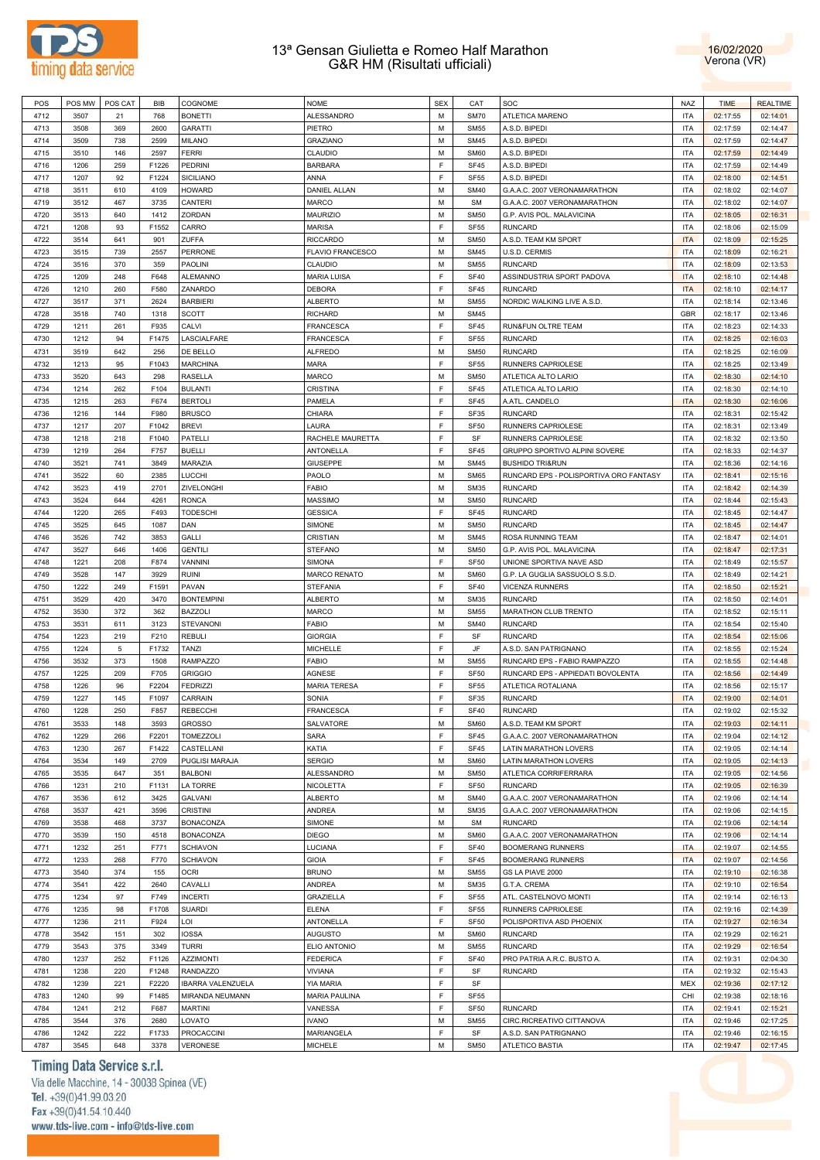



| POS  | POS MW | POS CAT | BIB   | COGNOME                  | <b>NOME</b>             | <b>SEX</b> | CAT         | SOC                                    | <b>NAZ</b> | <b>TIME</b> | <b>REALTIME</b> |
|------|--------|---------|-------|--------------------------|-------------------------|------------|-------------|----------------------------------------|------------|-------------|-----------------|
| 4712 | 3507   | 21      | 768   | <b>BONETTI</b>           | <b>ALESSANDRO</b>       | M          | <b>SM70</b> | ATLETICA MARENO                        | <b>ITA</b> | 02:17:55    | 02:14:01        |
| 4713 | 3508   | 369     | 2600  | <b>GARATTI</b>           | PIETRO                  | M          | <b>SM55</b> | A.S.D. BIPEDI                          | <b>ITA</b> | 02:17:59    | 02:14:47        |
| 4714 | 3509   | 738     | 2599  | <b>MILANO</b>            | GRAZIANO                | M          | <b>SM45</b> | A.S.D. BIPEDI                          | <b>ITA</b> | 02:17:59    | 02:14:47        |
| 4715 | 3510   | 146     | 2597  | <b>FERRI</b>             | CLAUDIO                 | M          | <b>SM60</b> | A.S.D. BIPEDI                          | <b>ITA</b> | 02:17:59    | 02:14:49        |
| 4716 | 1206   | 259     | F1226 | <b>PEDRINI</b>           | <b>BARBARA</b>          | F          | <b>SF45</b> | A.S.D. BIPEDI                          | <b>ITA</b> | 02:17:59    | 02:14:49        |
| 4717 | 1207   | 92      | F1224 | <b>SICILIANO</b>         | ANNA                    | F          | <b>SF55</b> | A.S.D. BIPEDI                          | <b>ITA</b> | 02:18:00    | 02:14:51        |
| 4718 | 3511   | 610     | 4109  | <b>HOWARD</b>            | <b>DANIEL ALLAN</b>     | M          | <b>SM40</b> | G.A.A.C. 2007 VERONAMARATHON           | <b>ITA</b> | 02:18:02    | 02:14:07        |
| 4719 | 3512   | 467     | 3735  | CANTERI                  | <b>MARCO</b>            | M          | <b>SM</b>   | G.A.A.C. 2007 VERONAMARATHON           | <b>ITA</b> | 02:18:02    | 02:14:07        |
| 4720 | 3513   | 640     | 1412  | ZORDAN                   | <b>MAURIZIO</b>         | M          | <b>SM50</b> | G.P. AVIS POL. MALAVICINA              | <b>ITA</b> | 02:18:05    | 02:16:31        |
| 4721 | 1208   | 93      | F1552 | CARRO                    | <b>MARISA</b>           | F          | <b>SF55</b> | <b>RUNCARD</b>                         | <b>ITA</b> | 02:18:06    | 02:15:09        |
| 4722 | 3514   | 641     | 901   | ZUFFA                    | <b>RICCARDO</b>         | M          | <b>SM50</b> | A.S.D. TEAM KM SPORT                   | <b>ITA</b> | 02:18:09    | 02:15:25        |
| 4723 | 3515   | 739     | 2557  | <b>PERRONE</b>           | <b>FLAVIO FRANCESCO</b> | M          | <b>SM45</b> | U.S.D. CERMIS                          | <b>ITA</b> | 02:18:09    | 02:16:21        |
| 4724 | 3516   | 370     | 359   | <b>PAOLINI</b>           | CLAUDIO                 | M          | <b>SM55</b> | <b>RUNCARD</b>                         | <b>ITA</b> | 02:18:09    | 02:13:53        |
| 4725 | 1209   | 248     | F648  | <b>ALEMANNO</b>          | <b>MARIA LUISA</b>      | F          | <b>SF40</b> | ASSINDUSTRIA SPORT PADOVA              | <b>ITA</b> | 02:18:10    | 02:14:48        |
| 4726 | 1210   | 260     | F580  | ZANARDO                  | <b>DEBORA</b>           | F          | <b>SF45</b> | <b>RUNCARD</b>                         | <b>ITA</b> | 02:18:10    | 02:14:17        |
| 4727 | 3517   | 371     | 2624  | <b>BARBIERI</b>          | <b>ALBERTO</b>          | M          | <b>SM55</b> | NORDIC WALKING LIVE A.S.D.             | <b>ITA</b> | 02:18:14    | 02:13:46        |
| 4728 | 3518   | 740     | 1318  | <b>SCOTT</b>             | <b>RICHARD</b>          | M          | <b>SM45</b> |                                        | <b>GBR</b> | 02:18:17    | 02:13:46        |
| 4729 | 1211   | 261     | F935  | CALVI                    | <b>FRANCESCA</b>        | F          | SF45        | RUN&FUN OLTRE TEAM                     | <b>ITA</b> | 02:18:23    | 02:14:33        |
| 4730 |        | 94      | F1475 | LASCIALFARE              | FRANCESCA               | F          | <b>SF55</b> | <b>RUNCARD</b>                         | <b>ITA</b> |             |                 |
|      | 1212   |         |       |                          |                         | M          |             |                                        | <b>ITA</b> | 02:18:25    | 02:16:03        |
| 4731 | 3519   | 642     | 256   | DE BELLO                 | <b>ALFREDO</b>          |            | <b>SM50</b> | <b>RUNCARD</b>                         |            | 02:18:25    | 02:16:09        |
| 4732 | 1213   | 95      | F1043 | <b>MARCHINA</b>          | <b>MARA</b>             | F          | <b>SF55</b> | RUNNERS CAPRIOLESE                     | <b>ITA</b> | 02:18:25    | 02:13:49        |
| 4733 | 3520   | 643     | 298   | <b>RASELLA</b>           | MARCO                   | M          | <b>SM50</b> | ATLETICA ALTO LARIO                    | <b>ITA</b> | 02:18:30    | 02:14:10        |
| 4734 | 1214   | 262     | F104  | <b>BULANTI</b>           | CRISTINA                | F          | <b>SF45</b> | ATLETICA ALTO LARIO                    | <b>ITA</b> | 02:18:30    | 02:14:10        |
| 4735 | 1215   | 263     | F674  | <b>BERTOLI</b>           | <b>PAMELA</b>           | F          | SF45        | A.ATL. CANDELO                         | <b>ITA</b> | 02:18:30    | 02:16:06        |
| 4736 | 1216   | 144     | F980  | <b>BRUSCO</b>            | CHIARA                  | F          | SF35        | <b>RUNCARD</b>                         | <b>ITA</b> | 02:18:31    | 02:15:42        |
| 4737 | 1217   | 207     | F1042 | <b>BREVI</b>             | LAURA                   | F          | <b>SF50</b> | RUNNERS CAPRIOLESE                     | <b>ITA</b> | 02:18:31    | 02:13:49        |
| 4738 | 1218   | 218     | F1040 | <b>PATELLI</b>           | RACHELE MAURETTA        | F          | SF          | RUNNERS CAPRIOLESE                     | <b>ITA</b> | 02:18:32    | 02:13:50        |
| 4739 | 1219   | 264     | F757  | <b>BUELLI</b>            | ANTONELLA               | F          | <b>SF45</b> | GRUPPO SPORTIVO ALPINI SOVERE          | <b>ITA</b> | 02:18:33    | 02:14:37        |
| 4740 | 3521   | 741     | 3849  | MARAZIA                  | <b>GIUSEPPE</b>         | M          | <b>SM45</b> | <b>BUSHIDO TRI&amp;RUN</b>             | <b>ITA</b> | 02:18:36    | 02:14:16        |
| 4741 | 3522   | 60      | 2385  | <b>LUCCHI</b>            | PAOLO                   | M          | <b>SM65</b> | RUNCARD EPS - POLISPORTIVA ORO FANTASY | <b>ITA</b> | 02:18:41    | 02:15:16        |
| 4742 | 3523   | 419     | 2701  | ZIVELONGHI               | <b>FABIO</b>            | M          | <b>SM35</b> | <b>RUNCARD</b>                         | <b>ITA</b> | 02:18:42    | 02:14:39        |
| 4743 | 3524   | 644     | 4261  | <b>RONCA</b>             | <b>MASSIMO</b>          | M          | <b>SM50</b> | <b>RUNCARD</b>                         | <b>ITA</b> | 02:18:44    | 02:15:43        |
| 4744 | 1220   | 265     | F493  | <b>TODESCHI</b>          | <b>GESSICA</b>          | F          | <b>SF45</b> | <b>RUNCARD</b>                         | <b>ITA</b> | 02:18:45    | 02:14:47        |
| 4745 | 3525   | 645     | 1087  | DAN                      | SIMONE                  | M          | <b>SM50</b> | <b>RUNCARD</b>                         | <b>ITA</b> | 02:18:45    | 02:14:47        |
| 4746 | 3526   | 742     | 3853  | GALLI                    | CRISTIAN                | M          | <b>SM45</b> | ROSA RUNNING TEAM                      | <b>ITA</b> | 02:18:47    | 02:14:01        |
| 4747 | 3527   | 646     | 1406  | <b>GENTILI</b>           | <b>STEFANO</b>          | M          | <b>SM50</b> | G.P. AVIS POL. MALAVICINA              | <b>ITA</b> | 02:18:47    | 02:17:31        |
| 4748 | 1221   | 208     | F874  | VANNINI                  | <b>SIMONA</b>           | F          | <b>SF50</b> | UNIONE SPORTIVA NAVE ASD               | <b>ITA</b> | 02:18:49    | 02:15:57        |
| 4749 | 3528   | 147     | 3929  | <b>RUINI</b>             | <b>MARCO RENATO</b>     | M          | <b>SM60</b> | G.P. LA GUGLIA SASSUOLO S.S.D.         | <b>ITA</b> | 02:18:49    | 02:14:21        |
| 4750 | 1222   | 249     | F1591 | PAVAN                    | <b>STEFANIA</b>         | F          | <b>SF40</b> | <b>VICENZA RUNNERS</b>                 | <b>ITA</b> | 02:18:50    | 02:15:21        |
| 4751 | 3529   | 420     | 3470  | <b>BONTEMPINI</b>        | <b>ALBERTO</b>          | M          | <b>SM35</b> | <b>RUNCARD</b>                         | <b>ITA</b> | 02:18:50    | 02:14:01        |
| 4752 | 3530   | 372     | 362   | <b>BAZZOLI</b>           | <b>MARCO</b>            | M          | <b>SM55</b> | MARATHON CLUB TRENTO                   | <b>ITA</b> | 02:18:52    | 02:15:11        |
| 4753 | 3531   | 611     | 3123  | <b>STEVANONI</b>         | <b>FABIO</b>            | M          | <b>SM40</b> | <b>RUNCARD</b>                         | <b>ITA</b> | 02:18:54    | 02:15:40        |
| 4754 | 1223   | 219     | F210  | <b>REBULI</b>            | <b>GIORGIA</b>          | F          | SF          | <b>RUNCARD</b>                         | <b>ITA</b> | 02:18:54    | 02:15:06        |
| 4755 | 1224   | 5       | F1732 | TANZI                    | <b>MICHELLE</b>         | F          | JF          | A.S.D. SAN PATRIGNANO                  | <b>ITA</b> | 02:18:55    | 02:15:24        |
| 4756 | 3532   | 373     | 1508  | <b>RAMPAZZO</b>          | <b>FABIO</b>            | M          | <b>SM55</b> | RUNCARD EPS - FABIO RAMPAZZO           | <b>ITA</b> | 02:18:55    | 02:14:48        |
| 4757 | 1225   | 209     | F705  | <b>GRIGGIO</b>           | AGNESE                  | F          | <b>SF50</b> | RUNCARD EPS - APPIEDATI BOVOLENTA      | <b>ITA</b> | 02:18:56    | 02:14:49        |
| 4758 | 1226   | 96      | F2204 | <b>FEDRIZZI</b>          | <b>MARIA TERESA</b>     | F          | <b>SF55</b> | ATLETICA ROTALIANA                     | <b>ITA</b> | 02:18:56    | 02:15:17        |
| 4759 | 1227   | 145     | F1097 | CARRAIN                  | SONIA                   | F          | <b>SF35</b> | <b>RUNCARD</b>                         | <b>ITA</b> | 02:19:00    | 02:14:01        |
| 4760 | 1228   | 250     | F857  | <b>REBECCHI</b>          | <b>FRANCESCA</b>        | E          | <b>SF40</b> | <b>RUNCARD</b>                         | <b>ITA</b> | 02:19:02    | 02:15:32        |
| 4761 | 3533   | 148     | 3593  | <b>GROSSO</b>            | SALVATORE               | M          | <b>SM60</b> | A.S.D. TEAM KM SPORT                   | <b>ITA</b> | 02:19:03    | 02:14:11        |
| 4762 | 1229   | 266     | F2201 | TOMEZZOLI                | SARA                    | F          | <b>SF45</b> | G.A.A.C. 2007 VERONAMARATHON           | <b>ITA</b> | 02:19:04    | 02:14:12        |
| 4763 | 1230   | 267     | F1422 | CASTELLANI               | KATIA                   | F          | SF45        | LATIN MARATHON LOVERS                  | <b>ITA</b> | 02:19:05    | 02:14:14        |
| 4764 | 3534   | 149     | 2709  | PUGLISI MARAJA           | <b>SERGIO</b>           | M          | <b>SM60</b> | LATIN MARATHON LOVERS                  | <b>ITA</b> | 02:19:05    | 02:14:13        |
| 4765 | 3535   | 647     | 351   | <b>BALBONI</b>           | ALESSANDRO              | M          | <b>SM50</b> | ATLETICA CORRIFERRARA                  | <b>ITA</b> | 02:19:05    | 02:14:56        |
| 4766 | 1231   | 210     | F1131 | <b>LA TORRE</b>          | NICOLETTA               | F          | <b>SF50</b> | <b>RUNCARD</b>                         | <b>ITA</b> | 02:19:05    | 02:16:39        |
| 4767 | 3536   | 612     | 3425  | GALVANI                  | <b>ALBERTO</b>          | M          | <b>SM40</b> | G.A.A.C. 2007 VERONAMARATHON           | <b>ITA</b> | 02:19:06    | 02:14:14        |
| 4768 | 3537   | 421     | 3596  | <b>CRISTINI</b>          | ANDREA                  | М          | <b>SM35</b> | G.A.A.C. 2007 VERONAMARATHON           | <b>ITA</b> | 02:19:06    | 02:14:15        |
| 4769 | 3538   | 468     | 3737  | <b>BONACONZA</b>         | SIMONE                  | M          | <b>SM</b>   | <b>RUNCARD</b>                         | <b>ITA</b> | 02:19:06    | 02:14:14        |
| 4770 |        |         | 4518  |                          | <b>DIEGO</b>            | М          | <b>SM60</b> | G.A.A.C. 2007 VERONAMARATHON           | <b>ITA</b> | 02:19:06    |                 |
|      | 3539   | 150     |       | <b>BONACONZA</b>         |                         |            |             |                                        |            |             | 02:14:14        |
| 4771 | 1232   | 251     | F771  | <b>SCHIAVON</b>          | LUCIANA                 | F          | <b>SF40</b> | <b>BOOMERANG RUNNERS</b>               | <b>ITA</b> | 02:19:07    | 02:14:55        |
| 4772 | 1233   | 268     | F770  | <b>SCHIAVON</b>          | <b>GIOIA</b>            | F          | <b>SF45</b> | <b>BOOMERANG RUNNERS</b>               | <b>ITA</b> | 02:19:07    | 02:14:56        |
| 4773 | 3540   | 374     | 155   | <b>OCRI</b>              | <b>BRUNO</b>            | M          | <b>SM55</b> | GS LA PIAVE 2000                       | <b>ITA</b> | 02:19:10    | 02:16:38        |
| 4774 | 3541   | 422     | 2640  | CAVALLI                  | ANDREA                  | M          | <b>SM35</b> | G.T.A. CREMA                           | <b>ITA</b> | 02:19:10    | 02:16:54        |
| 4775 | 1234   | 97      | F749  | <b>INCERTI</b>           | GRAZIELLA               | F          | <b>SF55</b> | ATL. CASTELNOVO MONTI                  | <b>ITA</b> | 02:19:14    | 02:16:13        |
| 4776 | 1235   | 98      | F1708 | <b>SUARDI</b>            | <b>ELENA</b>            | F          | <b>SF55</b> | RUNNERS CAPRIOLESE                     | <b>ITA</b> | 02:19:16    | 02:14:39        |
| 4777 | 1236   | 211     | F924  | LOI                      | ANTONELLA               | F          | <b>SF50</b> | POLISPORTIVA ASD PHOENIX               | <b>ITA</b> | 02:19:27    | 02:16:34        |
| 4778 | 3542   | 151     | 302   | <b>IOSSA</b>             | <b>AUGUSTO</b>          | M          | <b>SM60</b> | <b>RUNCARD</b>                         | <b>ITA</b> | 02:19:29    | 02:16:21        |
| 4779 | 3543   | 375     | 3349  | <b>TURRI</b>             | ELIO ANTONIO            | M          | <b>SM55</b> | <b>RUNCARD</b>                         | <b>ITA</b> | 02:19:29    | 02:16:54        |
| 4780 | 1237   | 252     | F1126 | <b>AZZIMONTI</b>         | <b>FEDERICA</b>         | F          | <b>SF40</b> | PRO PATRIA A.R.C. BUSTO A.             | <b>ITA</b> | 02:19:31    | 02:04:30        |
| 4781 | 1238   | 220     | F1248 | <b>RANDAZZO</b>          | <b>VIVIANA</b>          | F          | SF          | <b>RUNCARD</b>                         | <b>ITA</b> | 02:19:32    | 02:15:43        |
| 4782 | 1239   | 221     | F2220 | <b>IBARRA VALENZUELA</b> | YIA MARIA               | F          | SF          |                                        | <b>MEX</b> | 02:19:36    | 02:17:12        |
| 4783 | 1240   | 99      | F1485 | MIRANDA NEUMANN          | <b>MARIA PAULINA</b>    | F          | <b>SF55</b> |                                        | CHI        | 02:19:38    | 02:18:16        |
| 4784 | 1241   | 212     | F687  | <b>MARTINI</b>           | VANESSA                 | F          | <b>SF50</b> | <b>RUNCARD</b>                         | <b>ITA</b> | 02:19:41    | 02:15:21        |
| 4785 | 3544   | 376     | 2680  | LOVATO                   | <b>IVANO</b>            | M          | <b>SM55</b> | CIRC.RICREATIVO CITTANOVA              | <b>ITA</b> | 02:19:46    | 02:17:25        |
| 4786 | 1242   | 222     | F1733 | <b>PROCACCINI</b>        | MARIANGELA              | F          | SF          | A.S.D. SAN PATRIGNANO                  | <b>ITA</b> | 02:19:46    | 02:16:15        |
| 4787 | 3545   | 648     | 3378  | VERONESE                 | <b>MICHELE</b>          | M          | <b>SM50</b> | ATLETICO BASTIA                        | <b>ITA</b> | 02:19:47    | 02:17:45        |

# Timing Data Service s.r.l.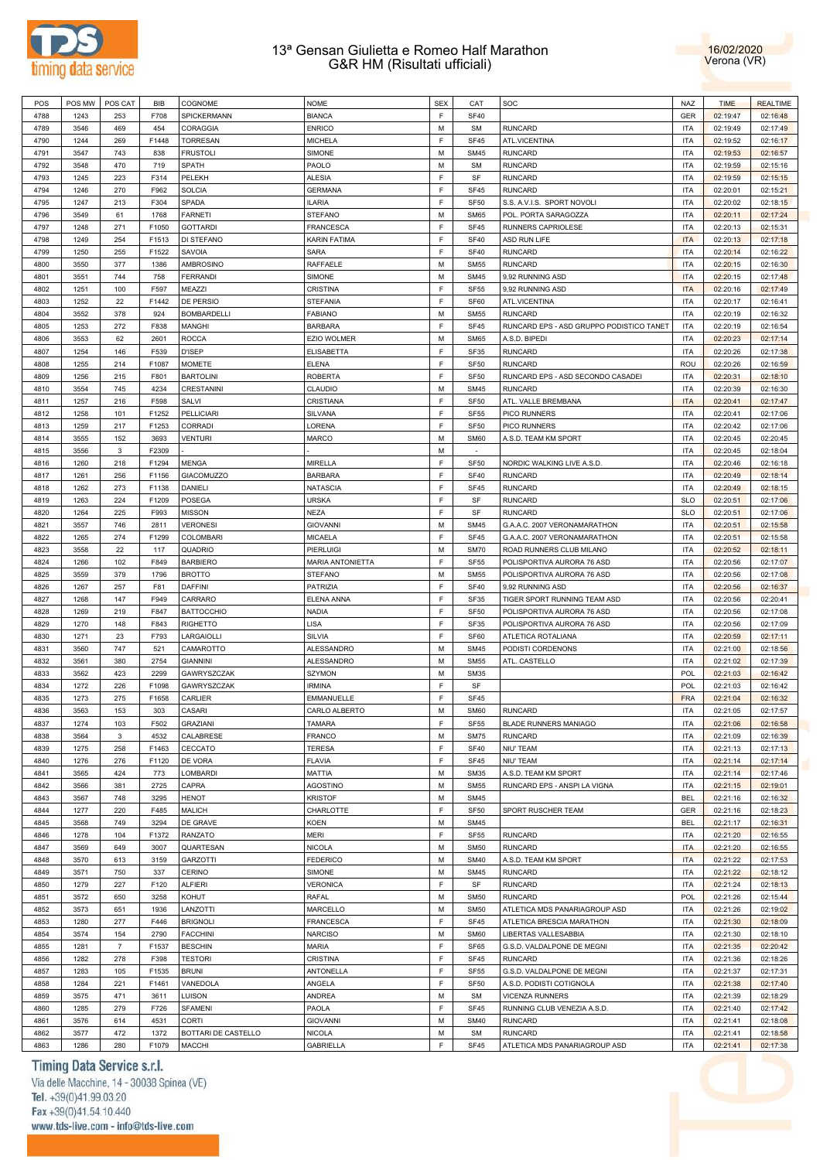



| POS  | POS MW | POS CAT                   | <b>BIB</b> | COGNOME             | <b>NOME</b>             | <b>SEX</b>  | CAT         | SOC                                      | <b>NAZ</b> | <b>TIME</b> | <b>REALTIME</b> |
|------|--------|---------------------------|------------|---------------------|-------------------------|-------------|-------------|------------------------------------------|------------|-------------|-----------------|
| 4788 | 1243   | 253                       | F708       | SPICKERMANN         | <b>BIANCA</b>           | F           | <b>SF40</b> |                                          | <b>GER</b> | 02:19:47    | 02:16:48        |
| 4789 | 3546   | 469                       | 454        | CORAGGIA            | <b>ENRICO</b>           | M           | <b>SM</b>   | <b>RUNCARD</b>                           | <b>ITA</b> | 02:19:49    | 02:17:49        |
| 4790 | 1244   | 269                       | F1448      | <b>TORRESAN</b>     | <b>MICHELA</b>          | F           | <b>SF45</b> | ATL.VICENTINA                            | <b>ITA</b> | 02:19:52    | 02:16:17        |
| 4791 | 3547   | 743                       | 838        | <b>FRUSTOLI</b>     | <b>SIMONE</b>           | M           | <b>SM45</b> | <b>RUNCARD</b>                           | <b>ITA</b> | 02:19:53    | 02:16:57        |
|      |        |                           |            |                     |                         |             |             |                                          |            |             |                 |
| 4792 | 3548   | 470                       | 719        | SPATH               | PAOLO                   | M           | <b>SM</b>   | <b>RUNCARD</b>                           | <b>ITA</b> | 02:19:59    | 02:15:16        |
| 4793 | 1245   | 223                       | F314       | PELEKH              | <b>ALESIA</b>           | F           | SF          | RUNCARD                                  | <b>ITA</b> | 02:19:59    | 02:15:15        |
| 4794 | 1246   | 270                       | F962       | <b>SOLCIA</b>       | <b>GERMANA</b>          | F           | <b>SF45</b> | <b>RUNCARD</b>                           | <b>ITA</b> | 02:20:01    | 02:15:21        |
| 4795 | 1247   | 213                       | F304       | SPADA               | <b>ILARIA</b>           | $\mathsf F$ | <b>SF50</b> | S.S. A.V.I.S. SPORT NOVOLI               | <b>ITA</b> | 02:20:02    | 02:18:15        |
| 4796 | 3549   | 61                        | 1768       | <b>FARNETI</b>      | <b>STEFANO</b>          | M           | <b>SM65</b> | POL. PORTA SARAGOZZA                     | <b>ITA</b> | 02:20:11    | 02:17:24        |
| 4797 | 1248   | 271                       | F1050      | <b>GOTTARDI</b>     | FRANCESCA               | F           | <b>SF45</b> | RUNNERS CAPRIOLESE                       | <b>ITA</b> | 02:20:13    | 02:15:31        |
| 4798 | 1249   | 254                       | F1513      | DI STEFANO          | KARIN FATIMA            | F           | <b>SF40</b> | ASD RUN LIFE                             | <b>ITA</b> | 02:20:13    | 02:17:18        |
| 4799 | 1250   | 255                       | F1522      | SAVOIA              | SARA                    | F           | <b>SF40</b> | <b>RUNCARD</b>                           | <b>ITA</b> | 02:20:14    | 02:16:22        |
| 4800 | 3550   | 377                       | 1386       | AMBROSINO           | RAFFAELE                | M           | <b>SM55</b> | <b>RUNCARD</b>                           | <b>ITA</b> | 02:20:15    | 02:16:30        |
|      |        |                           |            |                     |                         |             |             |                                          |            |             |                 |
| 4801 | 3551   | 744                       | 758        | <b>FERRANDI</b>     | SIMONE                  | M           | <b>SM45</b> | 9,92 RUNNING ASD                         | <b>ITA</b> | 02:20:15    | 02:17:48        |
| 4802 | 1251   | 100                       | F597       | MEAZZI              | CRISTINA                | F           | <b>SF55</b> | 9,92 RUNNING ASD                         | <b>ITA</b> | 02:20:16    | 02:17:49        |
| 4803 | 1252   | 22                        | F1442      | DE PERSIO           | STEFANIA                | $\mathsf F$ | SF60        | ATL.VICENTINA                            | <b>ITA</b> | 02:20:17    | 02:16:41        |
| 4804 | 3552   | 378                       | 924        | <b>BOMBARDELLI</b>  | <b>FABIANO</b>          | M           | <b>SM55</b> | <b>RUNCARD</b>                           | <b>ITA</b> | 02:20:19    | 02:16:32        |
| 4805 | 1253   | 272                       | F838       | <b>MANGHI</b>       | <b>BARBARA</b>          | $\mathsf F$ | <b>SF45</b> | RUNCARD EPS - ASD GRUPPO PODISTICO TANET | <b>ITA</b> | 02:20:19    | 02:16:54        |
| 4806 | 3553   | 62                        | 2601       | <b>ROCCA</b>        | EZIO WOLMER             | M           | <b>SM65</b> | A.S.D. BIPEDI                            | <b>ITA</b> | 02:20:23    | 02:17:14        |
| 4807 | 1254   | 146                       | F539       | <b>D'ISEP</b>       | <b>ELISABETTA</b>       | $\mathsf F$ | SF35        | <b>RUNCARD</b>                           | <b>ITA</b> | 02:20:26    | 02:17:38        |
| 4808 | 1255   | 214                       | F1087      | <b>MOMETE</b>       | ELENA                   | F           | <b>SF50</b> | <b>RUNCARD</b>                           | ROU        | 02:20:26    | 02:16:59        |
| 4809 | 1256   | 215                       | F801       | <b>BARTOLINI</b>    | <b>ROBERTA</b>          | F           | <b>SF50</b> | RUNCARD EPS - ASD SECONDO CASADEI        | <b>ITA</b> | 02:20:31    | 02:18:10        |
|      |        |                           |            |                     |                         |             |             |                                          |            |             |                 |
| 4810 | 3554   | 745                       | 4234       | CRESTANINI          | CLAUDIO                 | M           | <b>SM45</b> | <b>RUNCARD</b>                           | <b>ITA</b> | 02:20:39    | 02:16:30        |
| 4811 | 1257   | 216                       | F598       | SALVI               | CRISTIANA               | F           | <b>SF50</b> | ATL. VALLE BREMBANA                      | <b>ITA</b> | 02:20:41    | 02:17:47        |
| 4812 | 1258   | 101                       | F1252      | <b>PELLICIARI</b>   | SILVANA                 | F           | <b>SF55</b> | PICO RUNNERS                             | <b>ITA</b> | 02:20:41    | 02:17:06        |
| 4813 | 1259   | 217                       | F1253      | CORRADI             | LORENA                  | $\mathsf F$ | <b>SF50</b> | PICO RUNNERS                             | <b>ITA</b> | 02:20:42    | 02:17:06        |
| 4814 | 3555   | 152                       | 3693       | <b>VENTURI</b>      | MARCO                   | M           | <b>SM60</b> | A.S.D. TEAM KM SPORT                     | <b>ITA</b> | 02:20:45    | 02:20:45        |
| 4815 | 3556   | $\mathbf 3$               | F2309      |                     |                         | M           |             |                                          | <b>ITA</b> | 02:20:45    | 02:18:04        |
| 4816 | 1260   | 218                       | F1294      | <b>MENGA</b>        | <b>MIRELLA</b>          | F           | <b>SF50</b> | NORDIC WALKING LIVE A.S.D.               | <b>ITA</b> | 02:20:46    | 02:16:18        |
| 4817 | 1261   | 256                       | F1156      | GIACOMUZZO          | <b>BARBARA</b>          | F           | <b>SF40</b> | <b>RUNCARD</b>                           | <b>ITA</b> | 02:20:49    | 02:18:14        |
| 4818 | 1262   | 273                       | F1138      | <b>DANIELI</b>      | <b>NATASCIA</b>         | F           | <b>SF45</b> | <b>RUNCARD</b>                           | <b>ITA</b> | 02:20:49    | 02:18:15        |
|      |        |                           |            |                     |                         |             |             |                                          |            |             |                 |
| 4819 | 1263   | 224                       | F1209      | POSEGA              | URSKA                   | F           | SF          | <b>RUNCARD</b>                           | <b>SLO</b> | 02:20:51    | 02:17:06        |
| 4820 | 1264   | 225                       | F993       | <b>MISSON</b>       | <b>NEZA</b>             | F           | SF          | <b>RUNCARD</b>                           | <b>SLO</b> | 02:20:51    | 02:17:06        |
| 4821 | 3557   | 746                       | 2811       | <b>VERONESI</b>     | <b>GIOVANNI</b>         | M           | <b>SM45</b> | G.A.A.C. 2007 VERONAMARATHON             | <b>ITA</b> | 02:20:51    | 02:15:58        |
| 4822 | 1265   | 274                       | F1299      | <b>COLOMBARI</b>    | <b>MICAELA</b>          | $\mathsf F$ | <b>SF45</b> | G.A.A.C. 2007 VERONAMARATHON             | <b>ITA</b> | 02:20:51    | 02:15:58        |
| 4823 | 3558   | 22                        | 117        | QUADRIO             | PIERLUIGI               | M           | <b>SM70</b> | ROAD RUNNERS CLUB MILANO                 | <b>ITA</b> | 02:20:52    | 02:18:11        |
| 4824 | 1266   | 102                       | F849       | <b>BARBIERO</b>     | <b>MARIA ANTONIETTA</b> | F           | <b>SF55</b> | POLISPORTIVA AURORA 76 ASD               | <b>ITA</b> | 02:20:56    | 02:17:07        |
| 4825 | 3559   | 379                       | 1796       | <b>BROTTO</b>       | <b>STEFANO</b>          | M           | <b>SM55</b> | POLISPORTIVA AURORA 76 ASD               | <b>ITA</b> | 02:20:56    | 02:17:08        |
| 4826 | 1267   | 257                       | F81        | <b>DAFFINI</b>      | PATRIZIA                | F           | <b>SF40</b> | 9,92 RUNNING ASD                         | <b>ITA</b> | 02:20:56    | 02:16:37        |
| 4827 | 1268   | 147                       | F949       | CARRARO             | ELENA ANNA              | $\mathsf F$ | SF35        | TIGER SPORT RUNNING TEAM ASD             | <b>ITA</b> | 02:20:56    | 02:20:41        |
|      |        |                           | F847       |                     |                         | F           |             |                                          | <b>ITA</b> |             |                 |
| 4828 | 1269   | 219                       |            | <b>BATTOCCHIO</b>   | NADIA                   |             | <b>SF50</b> | POLISPORTIVA AURORA 76 ASD               |            | 02:20:56    | 02:17:08        |
| 4829 | 1270   | 148                       | F843       | <b>RIGHETTO</b>     | LISA                    | $\mathsf F$ | <b>SF35</b> | POLISPORTIVA AURORA 76 ASD               | <b>ITA</b> | 02:20:56    | 02:17:09        |
| 4830 | 1271   | 23                        | F793       | LARGAIOLLI          | SILVIA                  | F           | SF60        | ATLETICA ROTALIANA                       | <b>ITA</b> | 02:20:59    | 02:17:11        |
| 4831 | 3560   | 747                       | 521        | CAMAROTTO           | ALESSANDRO              | M           | <b>SM45</b> | PODISTI CORDENONS                        | <b>ITA</b> | 02:21:00    | 02:18:56        |
| 4832 | 3561   | 380                       | 2754       | <b>GIANNINI</b>     | ALESSANDRO              | M           | <b>SM55</b> | ATL. CASTELLO                            | <b>ITA</b> | 02:21:02    | 02:17:39        |
| 4833 | 3562   | 423                       | 2299       | GAWRYSZCZAK         | <b>SZYMON</b>           | M           | <b>SM35</b> |                                          | <b>POL</b> | 02:21:03    | 02:16:42        |
| 4834 | 1272   | 226                       | F1098      | GAWRYSZCZAK         | <b>IRMINA</b>           | F           | SF          |                                          | <b>POL</b> | 02:21:03    | 02:16:42        |
| 4835 | 1273   | 275                       | F1658      | CARLIER             | EMMANUELLE              | F           | <b>SF45</b> |                                          | FRA        | 02:21:04    | 02:16:32        |
| 4836 | 3563   | 153                       | 303        | CASARI              | CARLO ALBERTO           | M           | <b>SM60</b> | <b>RUNCARD</b>                           | <b>ITA</b> | 02:21:05    | 02:17:57        |
|      |        |                           |            |                     |                         | F           |             |                                          |            |             |                 |
| 4837 | 1274   | 103                       | F502       | <b>GRAZIANI</b>     | TAMARA                  |             | <b>SF55</b> | BLADE RUNNERS MANIAGO                    | ITA        | 02:21:06    | 02:16:58        |
| 4838 | 3564   | 3                         | 4532       | CALABRESE           | FRANCO                  | M           | <b>SM75</b> | <b>RUNCARD</b>                           | <b>ITA</b> | 02:21:09    | 02:16:39        |
| 4839 | 1275   | 258                       | F1463      | CECCATO             | <b>TERESA</b>           | F           | <b>SF40</b> | NIU' TEAM                                | <b>ITA</b> | 02:21:13    | 02:17:13        |
| 4840 | 1276   | 276                       | F1120      | DE VORA             | <b>FLAVIA</b>           | F           | <b>SF45</b> | NIU' TEAM                                | <b>ITA</b> | 02:21:14    | 02:17:14        |
| 4841 | 3565   | 424                       | 773        | LOMBARDI            | MATTIA                  | M           | <b>SM35</b> | A.S.D. TEAM KM SPORT                     | <b>ITA</b> | 02:21:14    | 02:17:46        |
| 4842 | 3566   | 381                       | 2725       | CAPRA               | AGOSTINO                | M           | <b>SM55</b> | RUNCARD EPS - ANSPI LA VIGNA             | <b>ITA</b> | 02:21:15    | 02:19:01        |
| 4843 | 3567   | 748                       | 3295       | <b>HENOT</b>        | <b>KRISTOF</b>          | M           | <b>SM45</b> |                                          | <b>BEL</b> | 02:21:16    | 02:16:32        |
| 4844 | 1277   | 220                       | F485       | <b>MALICH</b>       | CHARLOTTE               | F           | <b>SF50</b> | SPORT RUSCHER TEAM                       | <b>GER</b> | 02:21:16    | 02:18:23        |
| 4845 | 3568   | 749                       | 3294       | DE GRAVE            | KOEN                    | M           | <b>SM45</b> |                                          | <b>BEL</b> | 02:21:17    | 02:16:31        |
| 4846 |        |                           |            |                     |                         | F           |             |                                          |            |             |                 |
|      | 1278   | 104                       | F1372      | RANZATO             | MERI                    |             | <b>SF55</b> | <b>RUNCARD</b>                           | <b>ITA</b> | 02:21:20    | 02:16:55        |
| 4847 | 3569   | 649                       | 3007       | QUARTESAN           | NICOLA                  | M           | <b>SM50</b> | <b>RUNCARD</b>                           | <b>ITA</b> | 02:21:20    | 02:16:55        |
| 4848 | 3570   | 613                       | 3159       | <b>GARZOTTI</b>     | <b>FEDERICO</b>         | M           | <b>SM40</b> | A.S.D. TEAM KM SPORT                     | <b>ITA</b> | 02:21:22    | 02:17:53        |
| 4849 | 3571   | 750                       | 337        | CERINO              | SIMONE                  | M           | <b>SM45</b> | <b>RUNCARD</b>                           | <b>ITA</b> | 02:21:22    | 02:18:12        |
| 4850 | 1279   | 227                       | F120       | <b>ALFIERI</b>      | <b>VERONICA</b>         | F           | SF          | <b>RUNCARD</b>                           | <b>ITA</b> | 02:21:24    | 02:18:13        |
| 4851 | 3572   | 650                       | 3258       | KOHUT               | RAFAL                   | M           | <b>SM50</b> | <b>RUNCARD</b>                           | <b>POL</b> | 02:21:26    | 02:15:44        |
| 4852 | 3573   | 651                       | 1936       | LANZOTTI            | MARCELLO                | M           | <b>SM50</b> | ATLETICA MDS PANARIAGROUP ASD            | <b>ITA</b> | 02:21:26    | 02:19:02        |
| 4853 | 1280   | 277                       | F446       | <b>BRIGNOLI</b>     | <b>FRANCESCA</b>        | F           | <b>SF45</b> | ATLETICA BRESCIA MARATHON                | <b>ITA</b> | 02:21:30    | 02:18:09        |
| 4854 | 3574   | 154                       | 2790       | <b>FACCHINI</b>     | <b>NARCISO</b>          | M           | <b>SM60</b> | LIBERTAS VALLESABBIA                     | <b>ITA</b> | 02:21:30    | 02:18:10        |
|      |        |                           |            |                     |                         | F           |             |                                          |            |             |                 |
| 4855 | 1281   | $\overline{\mathfrak{z}}$ | F1537      | <b>BESCHIN</b>      | MARIA                   |             | SF65        | G.S.D. VALDALPONE DE MEGNI               | <b>ITA</b> | 02:21:35    | 02:20:42        |
| 4856 | 1282   | 278                       | F398       | <b>TESTORI</b>      | CRISTINA                | F           | <b>SF45</b> | <b>RUNCARD</b>                           | <b>ITA</b> | 02:21:36    | 02:18:26        |
| 4857 | 1283   | 105                       | F1535      | <b>BRUNI</b>        | ANTONELLA               | F           | <b>SF55</b> | G.S.D. VALDALPONE DE MEGNI               | <b>ITA</b> | 02:21:37    | 02:17:31        |
| 4858 | 1284   | 221                       | F1461      | VANEDOLA            | ANGELA                  | F           | <b>SF50</b> | A.S.D. PODISTI COTIGNOLA                 | <b>ITA</b> | 02:21:38    | 02:17:40        |
| 4859 | 3575   | 471                       | 3611       | LUISON              | ANDREA                  | M           | <b>SM</b>   | <b>VICENZA RUNNERS</b>                   | <b>ITA</b> | 02:21:39    | 02:18:29        |
| 4860 | 1285   | 279                       | F726       | <b>SFAMENI</b>      | PAOLA                   | F           | SF45        | RUNNING CLUB VENEZIA A.S.D.              | <b>ITA</b> | 02:21:40    | 02:17:42        |
| 4861 | 3576   | 614                       | 4531       | CORTI               | <b>GIOVANNI</b>         | M           | <b>SM40</b> | <b>RUNCARD</b>                           | <b>ITA</b> | 02:21:41    | 02:18:08        |
| 4862 | 3577   | 472                       | 1372       | BOTTARI DE CASTELLO | NICOLA                  | M           | <b>SM</b>   | <b>RUNCARD</b>                           | <b>ITA</b> | 02:21:41    | 02:18:58        |
| 4863 | 1286   | 280                       | F1079      | <b>MACCHI</b>       | <b>GABRIELLA</b>        | F           | <b>SF45</b> | ATLETICA MDS PANARIAGROUP ASD            | <b>ITA</b> | 02:21:41    | 02:17:38        |
|      |        |                           |            |                     |                         |             |             |                                          |            |             |                 |

# Timing Data Service s.r.l.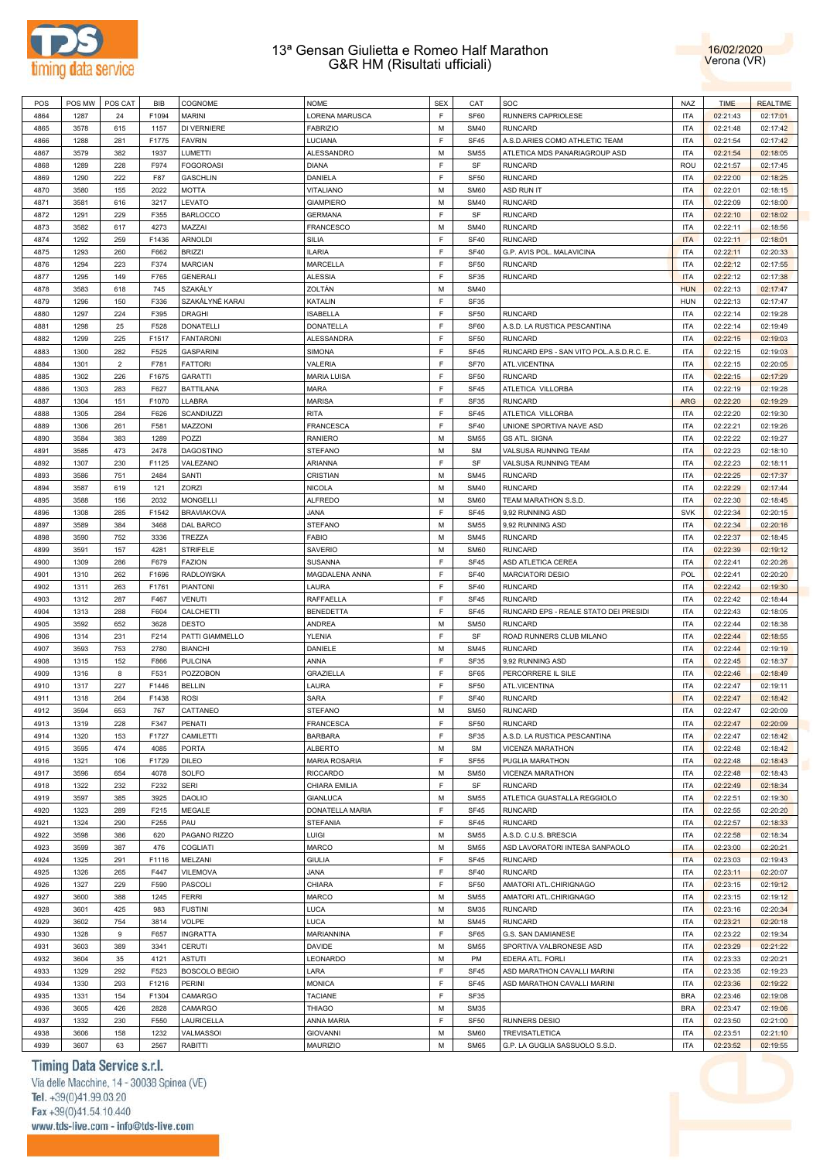



| POS  | POS MW | POS CAT        | BIB   | COGNOME              | <b>NOME</b>          | <b>SEX</b> | CAT              | SOC                                      | <b>NAZ</b> | <b>TIME</b> | <b>REALTIME</b> |
|------|--------|----------------|-------|----------------------|----------------------|------------|------------------|------------------------------------------|------------|-------------|-----------------|
| 4864 | 1287   | 24             | F1094 | <b>MARINI</b>        | LORENA MARUSCA       | E          | SF60             | RUNNERS CAPRIOLESE                       | <b>ITA</b> | 02:21:43    | 02:17:01        |
| 4865 | 3578   | 615            | 1157  | DI VERNIERE          | <b>FABRIZIO</b>      | M          | <b>SM40</b>      | <b>RUNCARD</b>                           | <b>ITA</b> | 02:21:48    | 02:17:42        |
|      |        |                |       |                      |                      |            |                  |                                          |            |             |                 |
| 4866 | 1288   | 281            | F1775 | <b>FAVRIN</b>        | LUCIANA              | F          | <b>SF45</b>      | A.S.D.ARIES COMO ATHLETIC TEAM           | <b>ITA</b> | 02:21:54    | 02:17:42        |
| 4867 | 3579   | 382            | 1937  | LUMETTI              | <b>ALESSANDRO</b>    | M          | <b>SM55</b>      | ATLETICA MDS PANARIAGROUP ASD            | <b>ITA</b> | 02:21:54    | 02:18:05        |
| 4868 | 1289   | 228            | F974  | <b>FOGOROASI</b>     | <b>DIANA</b>         | E          | SF               | <b>RUNCARD</b>                           | ROU        | 02:21:57    | 02:17:45        |
| 4869 | 1290   | 222            | F87   | <b>GASCHLIN</b>      | DANIELA              | E          | <b>SF50</b>      | <b>RUNCARD</b>                           | <b>ITA</b> | 02:22:00    | 02:18:25        |
| 4870 | 3580   | 155            | 2022  | <b>MOTTA</b>         | <b>VITALIANO</b>     | M          | <b>SM60</b>      | ASD RUN IT                               | ITA        | 02:22:01    | 02:18:15        |
| 4871 | 3581   | 616            | 3217  | LEVATO               | <b>GIAMPIERO</b>     | M          | <b>SM40</b>      | <b>RUNCARD</b>                           | <b>ITA</b> | 02:22:09    | 02:18:00        |
|      |        |                |       |                      |                      | E          |                  |                                          |            |             |                 |
| 4872 | 1291   | 229            | F355  | <b>BARLOCCO</b>      | <b>GERMANA</b>       |            | SF               | <b>RUNCARD</b>                           | ITA        | 02:22:10    | 02:18:02        |
| 4873 | 3582   | 617            | 4273  | MAZZAI               | <b>FRANCESCO</b>     | M          | <b>SM40</b>      | <b>RUNCARD</b>                           | <b>ITA</b> | 02:22:11    | 02:18:56        |
| 4874 | 1292   | 259            | F1436 | <b>ARNOLDI</b>       | SILIA                | E          | <b>SF40</b>      | <b>RUNCARD</b>                           | <b>ITA</b> | 02:22:11    | 02:18:01        |
| 4875 | 1293   | 260            | F662  | <b>BRIZZI</b>        | <b>ILARIA</b>        | F          | <b>SF40</b>      | G.P. AVIS POL. MALAVICINA                | <b>ITA</b> | 02:22:11    | 02:20:33        |
| 4876 | 1294   | 223            | F374  | <b>MARCIAN</b>       | <b>MARCELLA</b>      | F          | <b>SF50</b>      | <b>RUNCARD</b>                           | <b>ITA</b> | 02:22:12    | 02:17:55        |
| 4877 | 1295   | 149            | F765  | <b>GENERALI</b>      | <b>ALESSIA</b>       | E          | SF35             | <b>RUNCARD</b>                           | <b>ITA</b> | 02:22:12    | 02:17:38        |
| 4878 | 3583   | 618            | 745   | SZAKÁLY              | ZOLTÁN               | M          | <b>SM40</b>      |                                          | <b>HUN</b> | 02:22:13    | 02:17:47        |
|      |        |                |       | SZAKÁLYNÉ KARAI      |                      | F          |                  |                                          | <b>HUN</b> |             | 02:17:47        |
| 4879 | 1296   | 150            | F336  |                      | KATALIN              |            | <b>SF35</b>      |                                          |            | 02:22:13    |                 |
| 4880 | 1297   | 224            | F395  | <b>DRAGHI</b>        | <b>ISABELLA</b>      | E          | <b>SF50</b>      | <b>RUNCARD</b>                           | <b>ITA</b> | 02:22:14    | 02:19:28        |
| 4881 | 1298   | 25             | F528  | <b>DONATELLI</b>     | <b>DONATELLA</b>     | E          | SF60             | A.S.D. LA RUSTICA PESCANTINA             | <b>ITA</b> | 02:22:14    | 02:19:49        |
| 4882 | 1299   | 225            | F1517 | <b>FANTARONI</b>     | <b>ALESSANDRA</b>    | F          | <b>SF50</b>      | <b>RUNCARD</b>                           | <b>ITA</b> | 02:22:15    | 02:19:03        |
| 4883 | 1300   | 282            | F525  | <b>GASPARINI</b>     | SIMONA               | E          | <b>SF45</b>      | RUNCARD EPS - SAN VITO POL.A.S.D.R.C. E. | ITA        | 02:22:15    | 02:19:03        |
| 4884 | 1301   | $\overline{2}$ | F781  | <b>FATTORI</b>       | VALERIA              | F          | SF70             | ATL.VICENTINA                            | ITA        | 02:22:15    | 02:20:05        |
| 4885 | 1302   | 226            | F1675 | <b>GARATTI</b>       | <b>MARIA LUISA</b>   | E          | <b>SF50</b>      | <b>RUNCARD</b>                           | ITA        | 02:22:15    | 02:17:29        |
|      |        |                |       |                      |                      | E          |                  |                                          |            |             |                 |
| 4886 | 1303   | 283            | F627  | <b>BATTILANA</b>     | <b>MARA</b>          |            | <b>SF45</b>      | ATLETICA VILLORBA                        | <b>ITA</b> | 02:22:19    | 02:19:28        |
| 4887 | 1304   | 151            | F1070 | LLABRA               | <b>MARISA</b>        | F          | SF35             | <b>RUNCARD</b>                           | <b>ARG</b> | 02:22:20    | 02:19:29        |
| 4888 | 1305   | 284            | F626  | SCANDIUZZI           | <b>RITA</b>          | F          | <b>SF45</b>      | ATLETICA VILLORBA                        | <b>ITA</b> | 02:22:20    | 02:19:30        |
| 4889 | 1306   | 261            | F581  | MAZZONI              | <b>FRANCESCA</b>     | E          | <b>SF40</b>      | UNIONE SPORTIVA NAVE ASD                 | <b>ITA</b> | 02:22:21    | 02:19:26        |
| 4890 | 3584   | 383            | 1289  | POZZI                | <b>RANIERO</b>       | M          | <b>SM55</b>      | <b>GS ATL. SIGNA</b>                     | <b>ITA</b> | 02:22:22    | 02:19:27        |
| 4891 | 3585   | 473            | 2478  | <b>DAGOSTINO</b>     | <b>STEFANO</b>       | M          | <b>SM</b>        | VALSUSA RUNNING TEAM                     | <b>ITA</b> | 02:22:23    | 02:18:10        |
| 4892 | 1307   | 230            | F1125 | VALEZANO             | ARIANNA              | E          | SF               | VALSUSA RUNNING TEAM                     | <b>ITA</b> | 02:22:23    | 02:18:11        |
|      |        |                |       |                      |                      |            |                  |                                          |            |             |                 |
| 4893 | 3586   | 751            | 2484  | SANTI                | CRISTIAN             | M          | <b>SM45</b>      | <b>RUNCARD</b>                           | <b>ITA</b> | 02:22:25    | 02:17:37        |
| 4894 | 3587   | 619            | 121   | ZORZI                | <b>NICOLA</b>        | M          | <b>SM40</b>      | <b>RUNCARD</b>                           | <b>ITA</b> | 02:22:29    | 02:17:44        |
| 4895 | 3588   | 156            | 2032  | MONGELLI             | <b>ALFREDO</b>       | M          | <b>SM60</b>      | TEAM MARATHON S.S.D.                     | ITA        | 02:22:30    | 02:18:45        |
| 4896 | 1308   | 285            | F1542 | <b>BRAVIAKOVA</b>    | <b>JANA</b>          | E          | <b>SF45</b>      | 9,92 RUNNING ASD                         | <b>SVK</b> | 02:22:34    | 02:20:15        |
| 4897 | 3589   | 384            | 3468  | DAL BARCO            | <b>STEFANO</b>       | M          | <b>SM55</b>      | 9,92 RUNNING ASD                         | <b>ITA</b> | 02:22:34    | 02:20:16        |
| 4898 | 3590   | 752            | 3336  | TREZZA               | <b>FABIO</b>         | M          | <b>SM45</b>      | <b>RUNCARD</b>                           | <b>ITA</b> | 02:22:37    | 02:18:45        |
| 4899 | 3591   |                |       | <b>STRIFELE</b>      | SAVERIO              | M          | <b>SM60</b>      | <b>RUNCARD</b>                           | <b>ITA</b> |             |                 |
|      |        | 157            | 4281  |                      |                      |            |                  |                                          |            | 02:22:39    | 02:19:12        |
| 4900 | 1309   | 286            | F679  | <b>FAZION</b>        | <b>SUSANNA</b>       | F          | <b>SF45</b>      | ASD ATLETICA CEREA                       | ITA        | 02:22:41    | 02:20:26        |
| 4901 | 1310   | 262            | F1696 | <b>RADLOWSKA</b>     | MAGDALENA ANNA       | F          | <b>SF40</b>      | <b>MARCIATORI DESIO</b>                  | <b>POL</b> | 02:22:41    | 02:20:20        |
| 4902 | 1311   | 263            | F1761 | <b>PIANTONI</b>      | LAURA                | F          | <b>SF40</b>      | <b>RUNCARD</b>                           | <b>ITA</b> | 02:22:42    | 02:19:30        |
| 4903 | 1312   | 287            | F467  | <b>VENUTI</b>        | <b>RAFFAELLA</b>     | F          | <b>SF45</b>      | <b>RUNCARD</b>                           | <b>ITA</b> | 02:22:42    | 02:18:44        |
| 4904 | 1313   | 288            | F604  | CALCHETTI            | <b>BENEDETTA</b>     | F          | <b>SF45</b>      | RUNCARD EPS - REALE STATO DEI PRESIDI    | <b>ITA</b> | 02:22:43    | 02:18:05        |
| 4905 | 3592   | 652            | 3628  | DESTO                | <b>ANDREA</b>        | M          | <b>SM50</b>      | <b>RUNCARD</b>                           | <b>ITA</b> | 02:22:44    | 02:18:38        |
| 4906 |        |                | F214  | PATTI GIAMMELLO      | <b>YLENIA</b>        | E          | SF               | ROAD RUNNERS CLUB MILANO                 | <b>ITA</b> | 02:22:44    |                 |
|      | 1314   | 231            |       |                      |                      |            |                  |                                          |            |             | 02:18:55        |
| 4907 | 3593   | 753            | 2780  | <b>BIANCHI</b>       | DANIELE              | M          | <b>SM45</b>      | <b>RUNCARD</b>                           | ITA        | 02:22:44    | 02:19:19        |
| 4908 | 1315   | 152            | F866  | <b>PULCINA</b>       | ANNA                 | E          | SF35             | 9,92 RUNNING ASD                         | ITA        | 02:22:45    | 02:18:37        |
| 4909 | 1316   | 8              | F531  | <b>POZZOBON</b>      | <b>GRAZIELLA</b>     | F          | SF65             | PERCORRERE IL SILE                       | ITA        | 02:22:46    | 02:18:49        |
| 4910 | 1317   | 227            | F1446 | <b>BELLIN</b>        | LAURA                | E          | <b>SF50</b>      | ATL.VICENTINA                            | <b>ITA</b> | 02:22:47    | 02:19:11        |
| 4911 | 1318   | 264            | F1438 | ROSI                 | SARA                 | F          | <b>SF40</b>      | <b>RUNCARD</b>                           | <b>ITA</b> | 02:22:47    | 02:18:42        |
| 4912 | 3594   | 653            | 767   | CATTANEO             | <b>STEFANO</b>       | M          | <b>SM50</b>      | <b>RUNCARD</b>                           | <b>ITA</b> | 02:22:47    | 02:20:09        |
| 4913 | 1319   | 228            | F347  | PENATI               | <b>FRANCESCA</b>     | F          | SF <sub>50</sub> | <b>RUNCARD</b>                           | ITA        | 02:22:47    | 02:20:09        |
|      |        |                |       |                      |                      |            |                  |                                          |            |             |                 |
| 4914 | 1320   | 153            | F1727 | CAMILETTI            | <b>BARBARA</b>       | F          | SF35             | A.S.D. LA RUSTICA PESCANTINA             | ITA        | 02:22:47    | 02:18:42        |
| 4915 | 3595   | 474            | 4085  | <b>PORTA</b>         | <b>ALBERTO</b>       | M          | <b>SM</b>        | VICENZA MARATHON                         | <b>ITA</b> | 02:22:48    | 02:18:42        |
| 4916 | 1321   | 106            | F1729 | <b>DILEO</b>         | <b>MARIA ROSARIA</b> | F          | <b>SF55</b>      | PUGLIA MARATHON                          | <b>ITA</b> | 02:22:48    | 02:18:43        |
| 4917 | 3596   | 654            | 4078  | SOLFO                | <b>RICCARDO</b>      | M          | <b>SM50</b>      | VICENZA MARATHON                         | <b>ITA</b> | 02:22:48    | 02:18:43        |
| 4918 | 1322   | 232            | F232  | <b>SERI</b>          | CHIARA EMILIA        | E          | SF               | <b>RUNCARD</b>                           | ITA        | 02:22:49    | 02:18:34        |
| 4919 | 3597   | 385            | 3925  | <b>DAOLIO</b>        | <b>GIANLUCA</b>      | M          | <b>SM55</b>      | ATLETICA GUASTALLA REGGIOLO              | ITA        | 02:22:51    | 02:19:30        |
| 4920 | 1323   | 289            | F215  | MEGALE               | DONATELLA MARIA      | E          | <b>SF45</b>      | <b>RUNCARD</b>                           | ITA        | 02:22:55    | 02:20:20        |
|      |        |                |       |                      |                      |            |                  |                                          |            |             |                 |
| 4921 | 1324   | 290            | F255  | PAU                  | <b>STEFANIA</b>      | E          | <b>SF45</b>      | <b>RUNCARD</b>                           | <b>ITA</b> | 02:22:57    | 02:18:33        |
| 4922 | 3598   | 386            | 620   | PAGANO RIZZO         | LUIGI                | M          | <b>SM55</b>      | A.S.D. C.U.S. BRESCIA                    | ITA        | 02:22:58    | 02:18:34        |
| 4923 | 3599   | 387            | 476   | <b>COGLIATI</b>      | <b>MARCO</b>         | M          | <b>SM55</b>      | ASD LAVORATORI INTESA SANPAOLO           | <b>ITA</b> | 02:23:00    | 02:20:21        |
| 4924 | 1325   | 291            | F1116 | MELZANI              | <b>GIULIA</b>        | E          | SF45             | <b>RUNCARD</b>                           | <b>ITA</b> | 02:23:03    | 02:19:43        |
| 4925 | 1326   | 265            | F447  | <b>VILEMOVA</b>      | <b>JANA</b>          | E          | <b>SF40</b>      | <b>RUNCARD</b>                           | <b>ITA</b> | 02:23:11    | 02:20:07        |
| 4926 | 1327   | 229            | F590  | PASCOLI              | CHIARA               | F          | <b>SF50</b>      | AMATORI ATL.CHIRIGNAGO                   | ITA        | 02:23:15    | 02:19:12        |
|      |        |                |       |                      |                      | M          |                  |                                          | <b>ITA</b> |             |                 |
| 4927 | 3600   | 388            | 1245  | <b>FERRI</b>         | <b>MARCO</b>         |            | <b>SM55</b>      | AMATORI ATL.CHIRIGNAGO                   |            | 02:23:15    | 02:19:12        |
| 4928 | 3601   | 425            | 983   | <b>FUSTINI</b>       | <b>LUCA</b>          | M          | <b>SM35</b>      | <b>RUNCARD</b>                           | ITA        | 02:23:16    | 02:20:34        |
| 4929 | 3602   | 754            | 3814  | <b>VOLPE</b>         | <b>LUCA</b>          | M          | <b>SM45</b>      | <b>RUNCARD</b>                           | <b>ITA</b> | 02:23:21    | 02:20:18        |
| 4930 | 1328   | 9              | F657  | <b>INGRATTA</b>      | MARIANNINA           | E          | SF65             | G.S. SAN DAMIANESE                       | ITA        | 02:23:22    | 02:19:34        |
| 4931 | 3603   | 389            | 3341  | <b>CERUTI</b>        | <b>DAVIDE</b>        | M          | <b>SM55</b>      | SPORTIVA VALBRONESE ASD                  | ITA        | 02:23:29    | 02:21:22        |
| 4932 | 3604   | 35             | 4121  | <b>ASTUTI</b>        | LEONARDO             | M          | PM               | EDERA ATL. FORLI                         | ITA        | 02:23:33    | 02:20:21        |
| 4933 | 1329   | 292            | F523  | <b>BOSCOLO BEGIO</b> | LARA                 | E          | <b>SF45</b>      | ASD MARATHON CAVALLI MARINI              | <b>ITA</b> | 02:23:35    | 02:19:23        |
|      |        |                |       |                      |                      | F          |                  |                                          |            |             |                 |
| 4934 | 1330   | 293            | F1216 | PERINI               | <b>MONICA</b>        |            | <b>SF45</b>      | ASD MARATHON CAVALLI MARINI              | ITA        | 02:23:36    | 02:19:22        |
| 4935 | 1331   | 154            | F1304 | CAMARGO              | <b>TACIANE</b>       | E          | SF35             |                                          | <b>BRA</b> | 02:23:46    | 02:19:08        |
| 4936 | 3605   | 426            | 2828  | CAMARGO              | <b>THIAGO</b>        | M          | <b>SM35</b>      |                                          | <b>BRA</b> | 02:23:47    | 02:19:06        |
| 4937 | 1332   | 230            | F550  | LAURICELLA           | ANNA MARIA           | E          | <b>SF50</b>      | RUNNERS DESIO                            | ITA        | 02:23:50    | 02:21:00        |
| 4938 | 3606   | 158            | 1232  | VALMASSOI            | <b>GIOVANNI</b>      | M          | <b>SM60</b>      | TREVISATLETICA                           | ITA        | 02:23:51    | 02:21:10        |
| 4939 | 3607   | 63             | 2567  | RABITTI              | <b>MAURIZIO</b>      | M          | <b>SM65</b>      | G.P. LA GUGLIA SASSUOLO S.S.D.           | <b>ITA</b> | 02:23:52    | 02:19:55        |
|      |        |                |       |                      |                      |            |                  |                                          |            |             |                 |

# Timing Data Service s.r.l.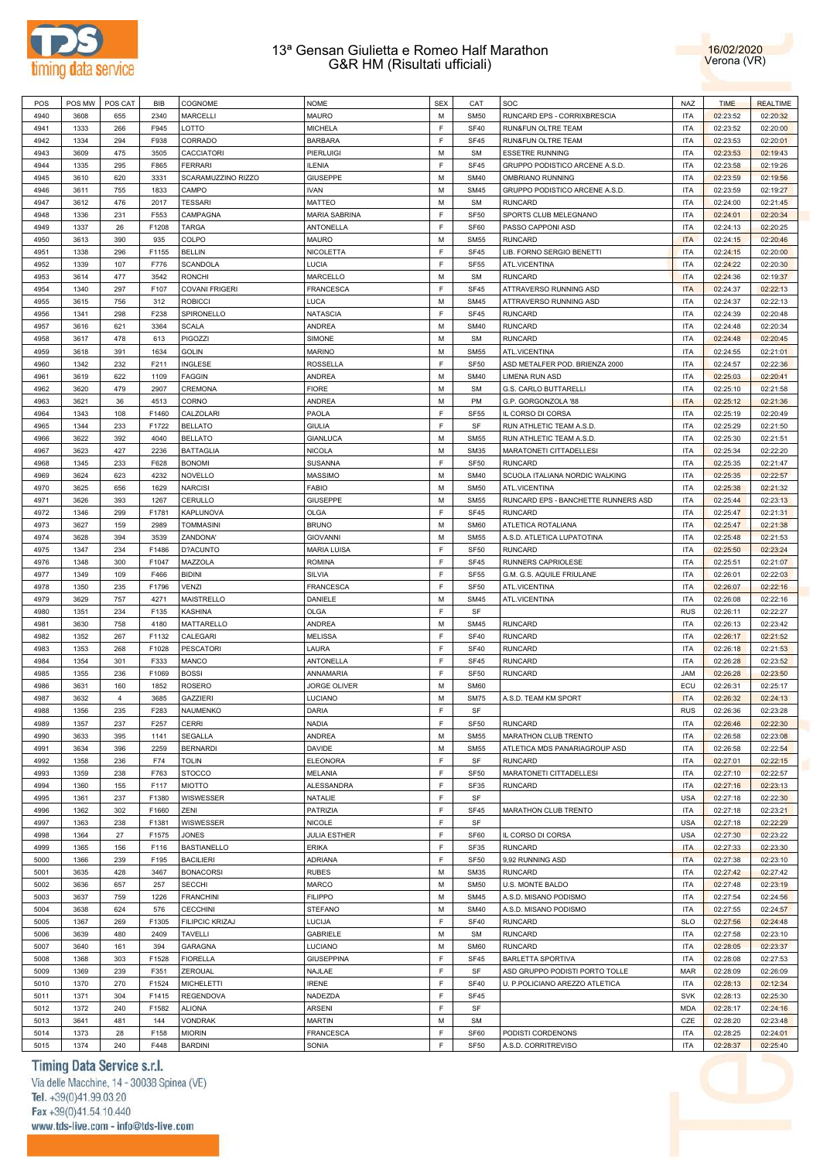



| POS  | POS MW | POS CAT        | BIB   | COGNOME               | <b>NOME</b>          | <b>SEX</b> | CAT              | SOC                                 | <b>NAZ</b> | <b>TIME</b> | <b>REALTIME</b> |
|------|--------|----------------|-------|-----------------------|----------------------|------------|------------------|-------------------------------------|------------|-------------|-----------------|
| 4940 | 3608   | 655            | 2340  | <b>MARCELLI</b>       | MAURO                | M          | <b>SM50</b>      | RUNCARD EPS - CORRIXBRESCIA         | <b>ITA</b> | 02:23:52    | 02:20:32        |
| 4941 | 1333   | 266            | F945  | LOTTO                 | <b>MICHELA</b>       | F          | <b>SF40</b>      | RUN&FUN OLTRE TEAM                  | <b>ITA</b> | 02:23:52    | 02:20:00        |
| 4942 | 1334   | 294            | F938  | CORRADO               | <b>BARBARA</b>       | E          | SF45             | RUN&FUN OLTRE TEAM                  | <b>ITA</b> | 02:23:53    | 02:20:01        |
|      |        |                |       |                       |                      | M          |                  |                                     | <b>ITA</b> |             |                 |
| 4943 | 3609   | 475            | 3505  | <b>CACCIATORI</b>     | <b>PIERLUIGI</b>     |            | <b>SM</b>        | <b>ESSETRE RUNNING</b>              |            | 02:23:53    | 02:19:43        |
| 4944 | 1335   | 295            | F865  | <b>FERRARI</b>        | <b>ILENIA</b>        | E          | <b>SF45</b>      | GRUPPO PODISTICO ARCENE A.S.D.      | <b>ITA</b> | 02:23:58    | 02:19:26        |
| 4945 | 3610   | 620            | 3331  | SCARAMUZZINO RIZZO    | <b>GIUSEPPE</b>      | M          | <b>SM40</b>      | OMBRIANO RUNNING                    | <b>ITA</b> | 02:23:59    | 02:19:56        |
| 4946 | 3611   | 755            | 1833  | CAMPO                 | <b>IVAN</b>          | M          | <b>SM45</b>      | GRUPPO PODISTICO ARCENE A.S.D.      | <b>ITA</b> | 02:23:59    | 02:19:27        |
| 4947 | 3612   | 476            | 2017  | <b>TESSARI</b>        | <b>MATTEO</b>        | M          | <b>SM</b>        | <b>RUNCARD</b>                      | <b>ITA</b> | 02:24:00    | 02:21:45        |
| 4948 | 1336   | 231            | F553  | CAMPAGNA              | <b>MARIA SABRINA</b> | F          | SF <sub>50</sub> | SPORTS CLUB MELEGNANO               | <b>ITA</b> | 02:24:01    | 02:20:34        |
| 4949 | 1337   | 26             | F1208 | <b>TARGA</b>          | ANTONELLA            | F          | SF60             | PASSO CAPPONI ASD                   | <b>ITA</b> | 02:24:13    | 02:20:25        |
| 4950 | 3613   | 390            | 935   | COLPO                 | <b>MAURO</b>         | M          | <b>SM55</b>      | <b>RUNCARD</b>                      | <b>ITA</b> | 02:24:15    | 02:20:46        |
| 4951 | 1338   | 296            | F1155 | <b>BELLIN</b>         | NICOLETTA            | F          | SF45             | LIB. FORNO SERGIO BENETTI           | <b>ITA</b> | 02:24:15    | 02:20:00        |
| 4952 | 1339   | 107            | F776  | <b>SCANDOLA</b>       | LUCIA                | F          | <b>SF55</b>      | ATL.VICENTINA                       | <b>ITA</b> | 02:24:22    | 02:20:30        |
|      |        |                |       |                       |                      |            |                  |                                     |            |             |                 |
| 4953 | 3614   | 477            | 3542  | <b>RONCHI</b>         | MARCELLO             | M          | <b>SM</b>        | <b>RUNCARD</b>                      | <b>ITA</b> | 02:24:36    | 02:19:37        |
| 4954 | 1340   | 297            | F107  | <b>COVANI FRIGERI</b> | <b>FRANCESCA</b>     | E          | SF45             | ATTRAVERSO RUNNING ASD              | <b>ITA</b> | 02:24:37    | 02:22:13        |
| 4955 | 3615   | 756            | 312   | <b>ROBICCI</b>        | LUCA                 | M          | <b>SM45</b>      | ATTRAVERSO RUNNING ASD              | <b>ITA</b> | 02:24:37    | 02:22:13        |
| 4956 | 1341   | 298            | F238  | SPIRONELLO            | NATASCIA             | E          | <b>SF45</b>      | <b>RUNCARD</b>                      | <b>ITA</b> | 02:24:39    | 02:20:48        |
| 4957 | 3616   | 621            | 3364  | <b>SCALA</b>          | ANDREA               | M          | <b>SM40</b>      | <b>RUNCARD</b>                      | <b>ITA</b> | 02:24:48    | 02:20:34        |
| 4958 | 3617   | 478            | 613   | PIGOZZI               | SIMONE               | M          | <b>SM</b>        | <b>RUNCARD</b>                      | <b>ITA</b> | 02:24:48    | 02:20:45        |
| 4959 | 3618   | 391            | 1634  | <b>GOLIN</b>          | <b>MARINO</b>        | M          | <b>SM55</b>      | ATL.VICENTINA                       | <b>ITA</b> | 02:24:55    | 02:21:01        |
| 4960 | 1342   | 232            | F211  | <b>INGLESE</b>        | <b>ROSSELLA</b>      | F          | <b>SF50</b>      | ASD METALFER POD. BRIENZA 2000      | <b>ITA</b> | 02:24:57    | 02:22:36        |
| 4961 | 3619   | 622            | 1109  | <b>FAGGIN</b>         | <b>ANDREA</b>        | M          | <b>SM40</b>      | LIMENA RUN ASD                      | <b>ITA</b> | 02:25:03    | 02:20:41        |
|      |        |                |       |                       |                      |            |                  |                                     |            |             |                 |
| 4962 | 3620   | 479            | 2907  | CREMONA               | <b>FIORE</b>         | M          | <b>SM</b>        | G.S. CARLO BUTTARELLI               | <b>ITA</b> | 02:25:10    | 02:21:58        |
| 4963 | 3621   | 36             | 4513  | <b>CORNO</b>          | <b>ANDREA</b>        | M          | PM               | G.P. GORGONZOLA '88                 | <b>ITA</b> | 02:25:12    | 02:21:36        |
| 4964 | 1343   | 108            | F1460 | CALZOLARI             | PAOLA                | F          | <b>SF55</b>      | IL CORSO DI CORSA                   | <b>ITA</b> | 02:25:19    | 02:20:49        |
| 4965 | 1344   | 233            | F1722 | <b>BELLATO</b>        | <b>GIULIA</b>        | E          | SF               | RUN ATHLETIC TEAM A.S.D.            | <b>ITA</b> | 02:25:29    | 02:21:50        |
| 4966 | 3622   | 392            | 4040  | <b>BELLATO</b>        | GIANLUCA             | M          | <b>SM55</b>      | RUN ATHLETIC TEAM A.S.D.            | <b>ITA</b> | 02:25:30    | 02:21:51        |
| 4967 | 3623   | 427            | 2236  | <b>BATTAGLIA</b>      | NICOLA               | M          | <b>SM35</b>      | MARATONETI CITTADELLESI             | <b>ITA</b> | 02:25:34    | 02:22:20        |
| 4968 | 1345   | 233            | F628  | <b>BONOMI</b>         | <b>SUSANNA</b>       | E          | SF <sub>50</sub> | <b>RUNCARD</b>                      | <b>ITA</b> | 02:25:35    | 02:21:47        |
| 4969 | 3624   | 623            | 4232  | <b>NOVELLO</b>        | <b>MASSIMO</b>       | M          | <b>SM40</b>      | SCUOLA ITALIANA NORDIC WALKING      | <b>ITA</b> | 02:25:35    | 02:22:57        |
| 4970 | 3625   | 656            | 1629  | <b>NARCISI</b>        | <b>FABIO</b>         | M          | <b>SM50</b>      | ATL.VICENTINA                       | <b>ITA</b> | 02:25:38    | 02:21:32        |
|      |        |                |       |                       |                      |            |                  |                                     |            |             |                 |
| 4971 | 3626   | 393            | 1267  | CERULLO               | <b>GIUSEPPE</b>      | M          | <b>SM55</b>      | RUNCARD EPS - BANCHETTE RUNNERS ASD | <b>ITA</b> | 02:25:44    | 02:23:13        |
| 4972 | 1346   | 299            | F1781 | <b>KAPLUNOVA</b>      | <b>OLGA</b>          | E          | <b>SF45</b>      | <b>RUNCARD</b>                      | <b>ITA</b> | 02:25:47    | 02:21:31        |
| 4973 | 3627   | 159            | 2989  | <b>TOMMASINI</b>      | <b>BRUNO</b>         | M          | <b>SM60</b>      | ATLETICA ROTALIANA                  | <b>ITA</b> | 02:25:47    | 02:21:38        |
| 4974 | 3628   | 394            | 3539  | ZANDONA'              | <b>GIOVANNI</b>      | M          | <b>SM55</b>      | A.S.D. ATLETICA LUPATOTINA          | <b>ITA</b> | 02:25:48    | 02:21:53        |
| 4975 | 1347   | 234            | F1486 | D?ACUNTO              | <b>MARIA LUISA</b>   | F          | SF <sub>50</sub> | <b>RUNCARD</b>                      | <b>ITA</b> | 02:25:50    | 02:23:24        |
| 4976 | 1348   | 300            | F1047 | MAZZOLA               | <b>ROMINA</b>        | F          | SF45             | RUNNERS CAPRIOLESE                  | <b>ITA</b> | 02:25:51    | 02:21:07        |
| 4977 | 1349   | 109            | F466  | <b>BIDINI</b>         | SILVIA               | F          | <b>SF55</b>      | G.M. G.S. AQUILE FRIULANE           | <b>ITA</b> | 02:26:01    | 02:22:03        |
| 4978 | 1350   | 235            | F1796 | <b>VENZI</b>          | FRANCESCA            | F          | SF <sub>50</sub> | ATL.VICENTINA                       | <b>ITA</b> | 02:26:07    | 02:22:16        |
| 4979 | 3629   | 757            | 4271  | <b>MAISTRELLO</b>     | DANIELE              | M          | <b>SM45</b>      | ATL.VICENTINA                       | <b>ITA</b> | 02:26:08    | 02:22:16        |
| 4980 |        | 234            | F135  | <b>KASHINA</b>        |                      | F          | SF               |                                     | <b>RUS</b> |             |                 |
|      | 1351   |                |       |                       | <b>OLGA</b>          |            |                  |                                     |            | 02:26:11    | 02:22:27        |
| 4981 | 3630   | 758            | 4180  | MATTARELLO            | ANDREA               | M          | <b>SM45</b>      | <b>RUNCARD</b>                      | <b>ITA</b> | 02:26:13    | 02:23:42        |
| 4982 | 1352   | 267            | F1132 | CALEGARI              | <b>MELISSA</b>       | E          | <b>SF40</b>      | <b>RUNCARD</b>                      | <b>ITA</b> | 02:26:17    | 02:21:52        |
| 4983 | 1353   | 268            | F1028 | <b>PESCATORI</b>      | LAURA                | F          | <b>SF40</b>      | <b>RUNCARD</b>                      | <b>ITA</b> | 02:26:18    | 02:21:53        |
| 4984 | 1354   | 301            | F333  | MANCO                 | <b>ANTONELLA</b>     | F          | SF45             | <b>RUNCARD</b>                      | <b>ITA</b> | 02:26:28    | 02:23:52        |
| 4985 | 1355   | 236            | F1069 | <b>BOSSI</b>          | ANNAMARIA            | F          | SF <sub>50</sub> | <b>RUNCARD</b>                      | <b>JAM</b> | 02:26:28    | 02:23:50        |
| 4986 | 3631   | 160            | 1852  | <b>ROSERO</b>         | <b>JORGE OLIVER</b>  | M          | <b>SM60</b>      |                                     | ECU        | 02:26:31    | 02:25:17        |
| 4987 | 3632   | $\overline{4}$ | 3685  | <b>GAZZIERI</b>       | LUCIANO              | M          | <b>SM75</b>      | A.S.D. TEAM KM SPORT                | <b>ITA</b> | 02:26:32    | 02:24:13        |
| 4988 | 1356   | 235            | F283  | <b>NAUMENKO</b>       | <b>DARIA</b>         | F          | SF               |                                     | <b>RUS</b> | 02:26:36    | 02:23:28        |
|      |        |                |       |                       |                      | F          |                  |                                     |            |             |                 |
| 4989 | 1357   | 237            | F257  | <b>CERRI</b>          | <b>NADIA</b>         |            | SF <sub>50</sub> | <b>RUNCARD</b>                      | <b>ITA</b> | 02:26:46    | 02:22:30        |
| 4990 | 3633   | 395            | 1141  | <b>SEGALLA</b>        | ANDREA               | M          | <b>SM55</b>      | <b>MARATHON CLUB TRENTO</b>         | <b>ITA</b> | 02:26:58    | 02:23:08        |
| 4991 | 3634   | 396            | 2259  | <b>BERNARDI</b>       | <b>DAVIDE</b>        | M          | <b>SM55</b>      | ATLETICA MDS PANARIAGROUP ASD       | <b>ITA</b> | 02:26:58    | 02:22:54        |
| 4992 | 1358   | 236            | F74   | <b>TOLIN</b>          | <b>ELEONORA</b>      | F          | SF               | <b>RUNCARD</b>                      | <b>ITA</b> | 02:27:01    | 02:22:15        |
| 4993 | 1359   | 238            | F763  | <b>STOCCO</b>         | <b>MELANIA</b>       | F          | <b>SF50</b>      | MARATONETI CITTADELLESI             | <b>ITA</b> | 02:27:10    | 02:22:57        |
| 4994 | 1360   | 155            | F117  | <b>MIOTTO</b>         | <b>ALESSANDRA</b>    | F          | <b>SF35</b>      | <b>RUNCARD</b>                      | <b>ITA</b> | 02:27:16    | 02:23:13        |
| 4995 | 1361   | 237            | F1380 | WISWESSER             | NATALIE              | F          | SF               |                                     | <b>USA</b> | 02:27:18    | 02:22:30        |
| 4996 | 1362   | 302            | F1660 | ZENI                  | PATRIZIA             | F          | <b>SF45</b>      | MARATHON CLUB TRENTO                | <b>ITA</b> | 02:27:18    | 02:23:21        |
| 4997 | 1363   | 238            | F1381 | <b>WISWESSER</b>      | <b>NICOLE</b>        | F          | SF               |                                     | <b>USA</b> | 02:27:18    | 02:22:29        |
| 4998 | 1364   | 27             | F1575 | <b>JONES</b>          | <b>JULIA ESTHER</b>  | F          | SF60             | IL CORSO DI CORSA                   | <b>USA</b> | 02:27:30    | 02:23:22        |
|      |        |                |       |                       |                      |            |                  |                                     |            |             |                 |
| 4999 | 1365   | 156            | F116  | <b>BASTIANELLO</b>    | <b>ERIKA</b>         | F          | <b>SF35</b>      | <b>RUNCARD</b>                      | <b>ITA</b> | 02:27:33    | 02:23:30        |
| 5000 | 1366   | 239            | F195  | <b>BACILIERI</b>      | <b>ADRIANA</b>       | F          | SF <sub>50</sub> | 9,92 RUNNING ASD                    | <b>ITA</b> | 02:27:38    | 02:23:10        |
| 5001 | 3635   | 428            | 3467  | <b>BONACORSI</b>      | <b>RUBES</b>         | M          | <b>SM35</b>      | <b>RUNCARD</b>                      | <b>ITA</b> | 02:27:42    | 02:27:42        |
| 5002 | 3636   | 657            | 257   | <b>SECCHI</b>         | <b>MARCO</b>         | M          | <b>SM50</b>      | U.S. MONTE BALDO                    | <b>ITA</b> | 02:27:48    | 02:23:19        |
| 5003 | 3637   | 759            | 1226  | <b>FRANCHINI</b>      | <b>FILIPPO</b>       | M          | <b>SM45</b>      | A.S.D. MISANO PODISMO               | <b>ITA</b> | 02:27:54    | 02:24:56        |
| 5004 | 3638   | 624            | 576   | <b>CECCHINI</b>       | <b>STEFANO</b>       | M          | <b>SM40</b>      | A.S.D. MISANO PODISMO               | <b>ITA</b> | 02:27:55    | 02:24:57        |
| 5005 | 1367   | 269            | F1305 | FILIPCIC KRIZAJ       | LUCIJA               | F          | <b>SF40</b>      | <b>RUNCARD</b>                      | <b>SLO</b> | 02:27:56    | 02:24:48        |
| 5006 | 3639   | 480            | 2409  | <b>TAVELLI</b>        | <b>GABRIELE</b>      | M          | <b>SM</b>        | <b>RUNCARD</b>                      | <b>ITA</b> | 02:27:58    | 02:23:10        |
| 5007 | 3640   | 161            | 394   | <b>GARAGNA</b>        | LUCIANO              | M          | <b>SM60</b>      | <b>RUNCARD</b>                      | <b>ITA</b> | 02:28:05    | 02:23:37        |
|      |        |                |       |                       |                      |            |                  |                                     |            |             |                 |
| 5008 | 1368   | 303            | F1528 | <b>FIORELLA</b>       | <b>GIUSEPPINA</b>    | F          | <b>SF45</b>      | <b>BARLETTA SPORTIVA</b>            | <b>ITA</b> | 02:28:08    | 02:27:53        |
| 5009 | 1369   | 239            | F351  | ZEROUAL               | NAJLAE               | F          | SF               | ASD GRUPPO PODISTI PORTO TOLLE      | <b>MAR</b> | 02:28:09    | 02:26:09        |
| 5010 | 1370   | 270            | F1524 | <b>MICHELETTI</b>     | <b>IRENE</b>         | F          | <b>SF40</b>      | U. P.POLICIANO AREZZO ATLETICA      | <b>ITA</b> | 02:28:13    | 02:12:34        |
| 5011 | 1371   | 304            | F1415 | <b>REGENDOVA</b>      | NADEZDA              | F          | <b>SF45</b>      |                                     | <b>SVK</b> | 02:28:13    | 02:25:30        |
| 5012 | 1372   | 240            | F1582 | <b>ALIONA</b>         | ARSENI               | F          | SF               |                                     | <b>MDA</b> | 02:28:17    | 02:24:16        |
| 5013 | 3641   | 481            | 144   | VONDRAK               | <b>MARTIN</b>        | M          | <b>SM</b>        |                                     | CZE        | 02:28:20    | 02:23:48        |
| 5014 | 1373   | 28             | F158  | <b>MIORIN</b>         | FRANCESCA            | F          | SF60             | PODISTI CORDENONS                   | <b>ITA</b> | 02:28:25    | 02:24:01        |
| 5015 | 1374   | 240            | F448  | <b>BARDINI</b>        | SONIA                | F          | SF <sub>50</sub> | A.S.D. CORRITREVISO                 | <b>ITA</b> | 02:28:37    | 02:25:40        |
|      |        |                |       |                       |                      |            |                  |                                     |            |             |                 |

# Timing Data Service s.r.l.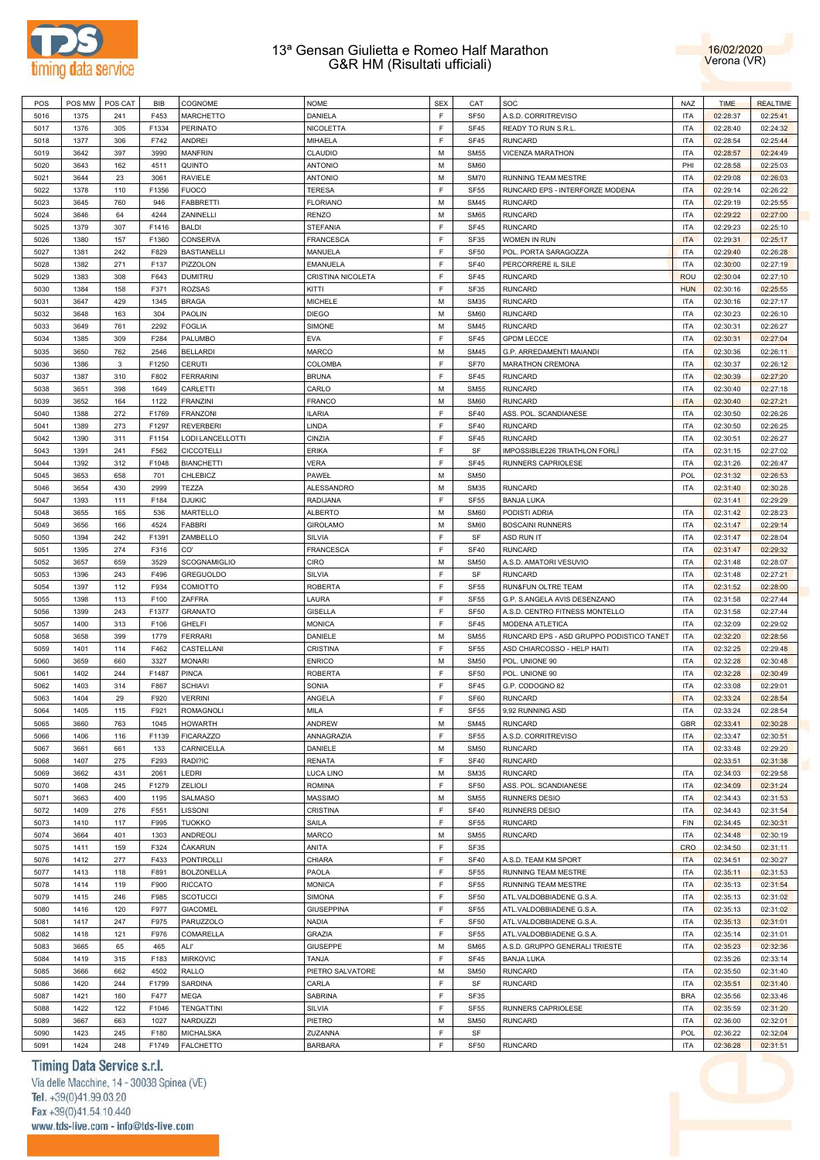



| POS  | POS MW | POS CAT      | BIB   | COGNOME             | <b>NOME</b>       | <b>SEX</b> | CAT         | SOC                                      | <b>NAZ</b> | <b>TIME</b> | <b>REALTIME</b> |
|------|--------|--------------|-------|---------------------|-------------------|------------|-------------|------------------------------------------|------------|-------------|-----------------|
| 5016 | 1375   | 241          | F453  | <b>MARCHETTO</b>    | DANIELA           | E          | <b>SF50</b> | A.S.D. CORRITREVISO                      | <b>ITA</b> | 02:28:37    | 02:25:41        |
|      |        |              |       |                     |                   |            |             |                                          |            |             |                 |
| 5017 | 1376   | 305          | F1334 | <b>PERINATO</b>     | NICOLETTA         | E          | <b>SF45</b> | READY TO RUN S.R.L                       | <b>ITA</b> | 02:28:40    | 02:24:32        |
| 5018 | 1377   | 306          | F742  | <b>ANDREI</b>       | MIHAELA           | E          | <b>SF45</b> | <b>RUNCARD</b>                           | <b>ITA</b> | 02:28:54    | 02:25:44        |
| 5019 | 3642   | 397          | 3990  | <b>MANFRIN</b>      | CLAUDIO           | M          | <b>SM55</b> | VICENZA MARATHON                         | <b>ITA</b> | 02:28:57    | 02:24:49        |
| 5020 | 3643   | 162          | 4511  | QUINTO              | <b>ANTONIO</b>    | M          | <b>SM60</b> |                                          | PHI        | 02:28:58    | 02:25:03        |
| 5021 | 3644   | 23           | 3061  | <b>RAVIELE</b>      | <b>ANTONIO</b>    | M          | <b>SM70</b> | <b>RUNNING TEAM MESTRE</b>               | <b>ITA</b> | 02:29:08    | 02:26:03        |
|      |        |              |       |                     |                   |            |             |                                          |            |             |                 |
| 5022 | 1378   | 110          | F1356 | <b>FUOCO</b>        | <b>TERESA</b>     | F          | <b>SF55</b> | RUNCARD EPS - INTERFORZE MODENA          | <b>ITA</b> | 02:29:14    | 02:26:22        |
| 5023 | 3645   | 760          | 946   | <b>FABBRETTI</b>    | <b>FLORIANO</b>   | M          | <b>SM45</b> | <b>RUNCARD</b>                           | <b>ITA</b> | 02:29:19    | 02:25:55        |
| 5024 | 3646   | 64           | 4244  | ZANINELLI           | <b>RENZO</b>      | M          | <b>SM65</b> | <b>RUNCARD</b>                           | <b>ITA</b> | 02:29:22    | 02:27:00        |
| 5025 | 1379   | 307          | F1416 | <b>BALDI</b>        | <b>STEFANIA</b>   | E          | <b>SF45</b> | <b>RUNCARD</b>                           | <b>ITA</b> | 02:29:23    | 02:25:10        |
|      |        |              | F1360 |                     | <b>FRANCESCA</b>  | E          |             | WOMEN IN RUN                             | <b>ITA</b> |             |                 |
| 5026 | 1380   | 157          |       | CONSERVA            |                   |            | SF35        |                                          |            | 02:29:31    | 02:25:17        |
| 5027 | 1381   | 242          | F829  | <b>BASTIANELLI</b>  | MANUELA           | E          | <b>SF50</b> | POL. PORTA SARAGOZZA                     | <b>ITA</b> | 02:29:40    | 02:26:28        |
| 5028 | 1382   | 271          | F137  | PIZZOLON            | <b>EMANUELA</b>   | E          | <b>SF40</b> | PERCORRERE IL SILE                       | <b>ITA</b> | 02:30:00    | 02:27:19        |
| 5029 | 1383   | 308          | F643  | <b>DUMITRU</b>      | CRISTINA NICOLETA | E          | <b>SF45</b> | <b>RUNCARD</b>                           | <b>ROU</b> | 02:30:04    | 02:27:10        |
| 5030 | 1384   | 158          | F371  | <b>ROZSAS</b>       | KITTI             | E          | SF35        | <b>RUNCARD</b>                           | <b>HUN</b> | 02:30:16    | 02:25:55        |
| 5031 | 3647   | 429          | 1345  | <b>BRAGA</b>        | <b>MICHELE</b>    | M          | <b>SM35</b> | <b>RUNCARD</b>                           | <b>ITA</b> | 02:30:16    | 02:27:17        |
|      |        |              |       |                     |                   |            |             |                                          |            |             |                 |
| 5032 | 3648   | 163          | 304   | <b>PAOLIN</b>       | <b>DIEGO</b>      | M          | <b>SM60</b> | <b>RUNCARD</b>                           | <b>ITA</b> | 02:30:23    | 02:26:10        |
| 5033 | 3649   | 761          | 2292  | <b>FOGLIA</b>       | SIMONE            | M          | <b>SM45</b> | <b>RUNCARD</b>                           | <b>ITA</b> | 02:30:31    | 02:26:27        |
| 5034 | 1385   | 309          | F284  | PALUMBO             | <b>EVA</b>        | F          | <b>SF45</b> | <b>GPDM LECCE</b>                        | <b>ITA</b> | 02:30:31    | 02:27:04        |
| 5035 | 3650   | 762          | 2546  | <b>BELLARDI</b>     | <b>MARCO</b>      | M          | <b>SM45</b> | G.P. ARREDAMENTI MAIANDI                 | <b>ITA</b> | 02:30:36    | 02:26:11        |
| 5036 | 1386   | $\mathbf{3}$ | F1250 | <b>CERUTI</b>       | COLOMBA           | E          | <b>SF70</b> | <b>MARATHON CREMONA</b>                  | <b>ITA</b> | 02:30:37    | 02:26:12        |
|      |        |              |       |                     |                   |            |             |                                          |            |             |                 |
| 5037 | 1387   | 310          | F802  | <b>FERRARINI</b>    | <b>BRUNA</b>      | E          | <b>SF45</b> | <b>RUNCARD</b>                           | <b>ITA</b> | 02:30:39    | 02:27:20        |
| 5038 | 3651   | 398          | 1649  | CARLETTI            | CARLO             | M          | <b>SM55</b> | <b>RUNCARD</b>                           | <b>ITA</b> | 02:30:40    | 02:27:18        |
| 5039 | 3652   | 164          | 1122  | <b>FRANZINI</b>     | <b>FRANCO</b>     | M          | <b>SM60</b> | <b>RUNCARD</b>                           | <b>ITA</b> | 02:30:40    | 02:27:21        |
| 5040 | 1388   | 272          | F1769 | <b>FRANZONI</b>     | <b>ILARIA</b>     | E          | <b>SF40</b> | ASS. POL. SCANDIANESE                    | <b>ITA</b> | 02:30:50    | 02:26:26        |
| 5041 | 1389   |              | F1297 | <b>REVERBERI</b>    | LINDA             | E          | <b>SF40</b> | <b>RUNCARD</b>                           | <b>ITA</b> |             | 02:26:25        |
|      |        | 273          |       |                     |                   |            |             |                                          |            | 02:30:50    |                 |
| 5042 | 1390   | 311          | F1154 | LODI LANCELLOTTI    | CINZIA            | E          | <b>SF45</b> | <b>RUNCARD</b>                           | <b>ITA</b> | 02:30:51    | 02:26:27        |
| 5043 | 1391   | 241          | F562  | <b>CICCOTELLI</b>   | <b>ERIKA</b>      | E          | SF          | IMPOSSIBLE226 TRIATHLON FORLI            | <b>ITA</b> | 02:31:15    | 02:27:02        |
| 5044 | 1392   | 312          | F1048 | <b>BIANCHETTI</b>   | <b>VERA</b>       | E          | <b>SF45</b> | RUNNERS CAPRIOLESE                       | <b>ITA</b> | 02:31:26    | 02:26:47        |
| 5045 | 3653   | 658          | 701   | CHLEBICZ            | PAWEŁ             | M          | <b>SM50</b> |                                          | <b>POL</b> | 02:31:32    | 02:26:53        |
|      |        |              |       |                     |                   | M          |             | <b>RUNCARD</b>                           |            |             |                 |
| 5046 | 3654   | 430          | 2999  | TEZZA               | <b>ALESSANDRO</b> |            | <b>SM35</b> |                                          | <b>ITA</b> | 02:31:40    | 02:30:28        |
| 5047 | 1393   | 111          | F184  | <b>DJUKIC</b>       | RADIJANA          | E          | <b>SF55</b> | <b>BANJA LUKA</b>                        |            | 02:31:41    | 02:29:29        |
| 5048 | 3655   | 165          | 536   | MARTELLO            | <b>ALBERTO</b>    | M          | <b>SM60</b> | PODISTI ADRIA                            | <b>ITA</b> | 02:31:42    | 02:28:23        |
| 5049 | 3656   | 166          | 4524  | <b>FABBRI</b>       | <b>GIROLAMO</b>   | M          | <b>SM60</b> | <b>BOSCAINI RUNNERS</b>                  | <b>ITA</b> | 02:31:47    | 02:29:14        |
| 5050 | 1394   | 242          | F1391 | ZAMBELLO            | SILVIA            | E          | SF          | ASD RUN IT                               | <b>ITA</b> | 02:31:47    | 02:28:04        |
|      |        |              |       | CO'                 |                   | E          |             |                                          | <b>ITA</b> |             |                 |
| 5051 | 1395   | 274          | F316  |                     | FRANCESCA         |            | <b>SF40</b> | <b>RUNCARD</b>                           |            | 02:31:47    | 02:29:32        |
| 5052 | 3657   | 659          | 3529  | <b>SCOGNAMIGLIO</b> | CIRO              | M          | <b>SM50</b> | A.S.D. AMATORI VESUVIO                   | <b>ITA</b> | 02:31:48    | 02:28:07        |
| 5053 | 1396   | 243          | F496  | <b>GREGUOLDO</b>    | SILVIA            | E          | SF          | <b>RUNCARD</b>                           | <b>ITA</b> | 02:31:48    | 02:27:21        |
| 5054 | 1397   | 112          | F934  | COMIOTTO            | <b>ROBERTA</b>    | E          | <b>SF55</b> | RUN&FUN OLTRE TEAM                       | <b>ITA</b> | 02:31:52    | 02:28:00        |
| 5055 | 1398   | 113          | F100  | ZAFFRA              | LAURA             | E          | <b>SF55</b> | G.P. S.ANGELA AVIS DESENZANO             | <b>ITA</b> | 02:31:58    | 02:27:44        |
| 5056 | 1399   | 243          | F1377 | <b>GRANATO</b>      | <b>GISELLA</b>    | E          | <b>SF50</b> | A.S.D. CENTRO FITNESS MONTELLO           | <b>ITA</b> | 02:31:58    | 02:27:44        |
|      |        |              |       |                     |                   |            |             |                                          |            |             |                 |
| 5057 | 1400   | 313          | F106  | <b>GHELFI</b>       | <b>MONICA</b>     | E          | SF45        | MODENA ATLETICA                          | <b>ITA</b> | 02:32:09    | 02:29:02        |
| 5058 | 3658   | 399          | 1779  | <b>FERRARI</b>      | DANIELE           | M          | <b>SM55</b> | RUNCARD EPS - ASD GRUPPO PODISTICO TANET | <b>ITA</b> | 02:32:20    | 02:28:56        |
| 5059 | 1401   | 114          | F462  | CASTELLANI          | <b>CRISTINA</b>   | E          | <b>SF55</b> | ASD CHIARCOSSO - HELP HAITI              | <b>ITA</b> | 02:32:25    | 02:29:48        |
| 5060 | 3659   | 660          | 3327  | <b>MONARI</b>       | <b>ENRICO</b>     | M          | <b>SM50</b> | POL. UNIONE 90                           | <b>ITA</b> | 02:32:28    | 02:30:48        |
| 5061 | 1402   | 244          | F1487 | <b>PINCA</b>        | <b>ROBERTA</b>    | F          | <b>SF50</b> | POL. UNIONE 90                           | <b>ITA</b> | 02:32:28    | 02:30:49        |
|      |        |              |       |                     |                   |            |             |                                          |            |             |                 |
| 5062 | 1403   | 314          | F867  | <b>SCHIAVI</b>      | SONIA             | E          | <b>SF45</b> | G.P. CODOGNO 82                          | <b>ITA</b> | 02:33:08    | 02:29:01        |
| 5063 | 1404   | 29           | F920  | <b>VERRINI</b>      | ANGELA            | E          | SF60        | <b>RUNCARD</b>                           | <b>ITA</b> | 02:33:24    | 02:28:54        |
| 5064 | 1405   | 115          | F921  | ROMAGNOLI           | <b>MILA</b>       | F          | SF55        | 9,92 RUNNING ASD                         | <b>ITA</b> | 02:33:24    | 02:28:54        |
| 5065 | 3660   | 763          | 1045  | <b>HOWARTH</b>      | ANDREW            | M          | <b>SM45</b> | <b>RUNCARD</b>                           | <b>GBR</b> | 02:33:41    | 02:30:28        |
| 5066 | 1406   | 116          | F1139 | <b>FICARAZZO</b>    | ANNAGRAZIA        | E          | <b>SF55</b> | A.S.D. CORRITREVISO                      | <b>ITA</b> | 02:33:47    | 02:30:51        |
|      |        |              |       | CARNICELLA          |                   | M          |             | <b>RUNCARD</b>                           |            |             |                 |
| 5067 | 3661   | 661          | 133   |                     | DANIELE           |            | <b>SM50</b> |                                          | <b>ITA</b> | 02:33:48    | 02:29:20        |
| 5068 | 1407   | 275          | F293  | RADI?IC             | <b>RENATA</b>     | E          | <b>SF40</b> | <b>RUNCARD</b>                           |            | 02:33:51    | 02:31:38        |
| 5069 | 3662   | 431          | 2061  | LEDRI               | LUCA LINO         | M          | <b>SM35</b> | RUNCARD                                  | <b>ITA</b> | 02:34:03    | 02:29:58        |
| 5070 | 1408   | 245          | F1279 | <b>ZELIOLI</b>      | <b>ROMINA</b>     | E          | <b>SF50</b> | ASS. POL. SCANDIANESE                    | <b>ITA</b> | 02:34:09    | 02:31:24        |
| 5071 | 3663   | 400          | 1195  | SALMASO             | <b>MASSIMO</b>    | M          | <b>SM55</b> | <b>RUNNERS DESIO</b>                     | <b>ITA</b> | 02:34:43    | 02:31:53        |
| 5072 | 1409   |              |       | LISSONI             |                   | E          |             |                                          | <b>ITA</b> |             |                 |
|      |        | 276          | F551  |                     | CRISTINA          |            | <b>SF40</b> | <b>RUNNERS DESIO</b>                     |            | 02:34:43    | 02:31:54        |
| 5073 | 1410   | 117          | F995  | <b>TUOKKO</b>       | SAILA             | E          | <b>SF55</b> | <b>RUNCARD</b>                           | <b>FIN</b> | 02:34:45    | 02:30:31        |
| 5074 | 3664   | 401          | 1303  | ANDREOLI            | <b>MARCO</b>      | M          | <b>SM55</b> | <b>RUNCARD</b>                           | <b>ITA</b> | 02:34:48    | 02:30:19        |
| 5075 | 1411   | 159          | F324  | ČAKARUN             | ANITA             | E          | SF35        |                                          | <b>CRO</b> | 02:34:50    | 02:31:11        |
| 5076 | 1412   | 277          | F433  | <b>PONTIROLLI</b>   | CHIARA            | E          | <b>SF40</b> | A.S.D. TEAM KM SPORT                     | <b>ITA</b> | 02:34:51    | 02:30:27        |
|      |        |              |       |                     |                   | E          |             |                                          |            |             |                 |
| 5077 | 1413   | 118          | F891  | <b>BOLZONELLA</b>   | PAOLA             |            | <b>SF55</b> | RUNNING TEAM MESTRE                      | <b>ITA</b> | 02:35:11    | 02:31:53        |
| 5078 | 1414   | 119          | F900  | <b>RICCATO</b>      | <b>MONICA</b>     | E          | <b>SF55</b> | RUNNING TEAM MESTRE                      | <b>ITA</b> | 02:35:13    | 02:31:54        |
| 5079 | 1415   | 246          | F985  | <b>SCOTUCCI</b>     | SIMONA            | E          | <b>SF50</b> | ATL.VALDOBBIADENE G.S.A.                 | <b>ITA</b> | 02:35:13    | 02:31:02        |
| 5080 | 1416   | 120          | F977  | <b>GIACOMEL</b>     | <b>GIUSEPPINA</b> | E          | <b>SF55</b> | ATL.VALDOBBIADENE G.S.A.                 | <b>ITA</b> | 02:35:13    | 02:31:02        |
| 5081 | 1417   | 247          | F975  | <b>PARUZZOLO</b>    | <b>NADIA</b>      | E          | <b>SF50</b> | ATL.VALDOBBIADENE G.S.A.                 | <b>ITA</b> | 02:35:13    | 02:31:01        |
|      |        |              |       |                     |                   | E          |             |                                          |            |             |                 |
| 5082 | 1418   | 121          | F976  | COMARELLA           | <b>GRAZIA</b>     |            | <b>SF55</b> | ATL.VALDOBBIADENE G.S.A.                 | <b>ITA</b> | 02:35:14    | 02:31:01        |
| 5083 | 3665   | 65           | 465   | AL l'               | <b>GIUSEPPE</b>   | M          | <b>SM65</b> | A.S.D. GRUPPO GENERALI TRIESTE           | <b>ITA</b> | 02:35:23    | 02:32:36        |
| 5084 | 1419   | 315          | F183  | <b>MIRKOVIC</b>     | TANJA             | E          | <b>SF45</b> | <b>BANJA LUKA</b>                        |            | 02:35:26    | 02:33:14        |
| 5085 | 3666   | 662          | 4502  | RALLO               | PIETRO SALVATORE  | M          | <b>SM50</b> | <b>RUNCARD</b>                           | <b>ITA</b> | 02:35:50    | 02:31:40        |
| 5086 | 1420   | 244          | F1799 | <b>SARDINA</b>      | CARLA             | F          | SF          | <b>RUNCARD</b>                           | <b>ITA</b> | 02:35:51    | 02:31:40        |
|      |        |              |       |                     |                   | E          |             |                                          |            |             |                 |
| 5087 | 1421   | 160          | F477  | MEGA                | SABRINA           |            | SF35        |                                          | <b>BRA</b> | 02:35:56    | 02:33:46        |
| 5088 | 1422   | 122          | F1046 | <b>TENGATTINI</b>   | SILVIA            | E          | <b>SF55</b> | RUNNERS CAPRIOLESE                       | <b>ITA</b> | 02:35:59    | 02:31:20        |
| 5089 | 3667   | 663          | 1027  | NARDUZZI            | PIETRO            | M          | <b>SM50</b> | <b>RUNCARD</b>                           | <b>ITA</b> | 02:36:00    | 02:32:01        |
| 5090 | 1423   | 245          | F180  | <b>MICHALSKA</b>    | ZUZANNA           | E          | SF          |                                          | POL        | 02:36:22    | 02:32:04        |
| 5091 | 1424   | 248          | F1749 | <b>FALCHETTO</b>    | <b>BARBARA</b>    | E          | <b>SF50</b> | RUNCARD                                  | <b>ITA</b> | 02:36:28    | 02:31:51        |
|      |        |              |       |                     |                   |            |             |                                          |            |             |                 |

# Timing Data Service s.r.l.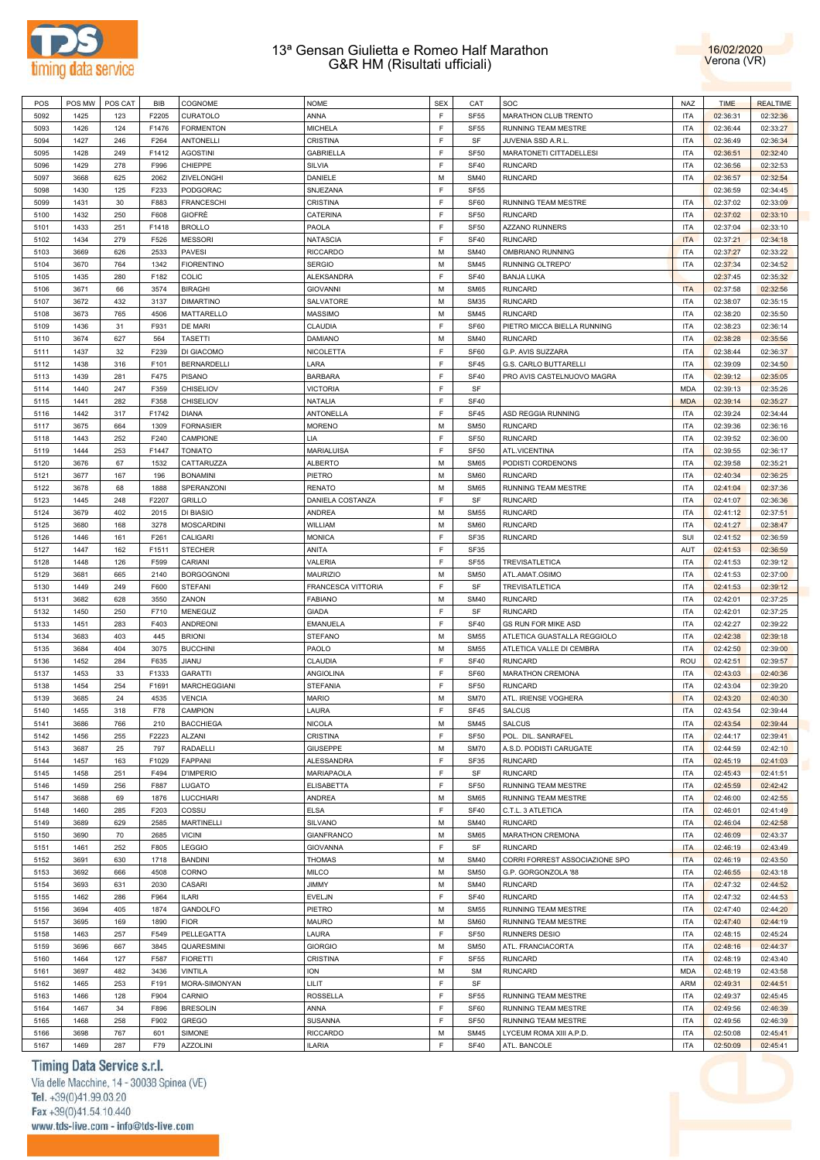



| POS  | POS MW | POS CAT | <b>BIB</b> | COGNOME             | <b>NOME</b>        | <b>SEX</b> | CAT              | SOC                            | <b>NAZ</b> | <b>TIME</b> | <b>REALTIME</b> |
|------|--------|---------|------------|---------------------|--------------------|------------|------------------|--------------------------------|------------|-------------|-----------------|
| 5092 | 1425   | 123     | F2205      | CURATOLO            | ANNA               | F          | <b>SF55</b>      | MARATHON CLUB TRENTO           | <b>ITA</b> | 02:36:31    | 02:32:36        |
| 5093 | 1426   | 124     | F1476      | <b>FORMENTON</b>    | <b>MICHELA</b>     | E          | <b>SF55</b>      | RUNNING TEAM MESTRE            | <b>ITA</b> | 02:36:44    | 02:33:27        |
|      |        |         | F264       | <b>ANTONELLI</b>    | CRISTINA           | F          | SF               |                                | <b>ITA</b> |             | 02:36:34        |
| 5094 | 1427   | 246     |            |                     |                    |            |                  | JUVENIA SSD A.R.L              |            | 02:36:49    |                 |
| 5095 | 1428   | 249     | F1412      | <b>AGOSTINI</b>     | <b>GABRIELLA</b>   | E          | SF <sub>50</sub> | MARATONETI CITTADELLESI        | <b>ITA</b> | 02:36:51    | 02:32:40        |
| 5096 | 1429   | 278     | F996       | CHIEPPE             | SILVIA             | F          | <b>SF40</b>      | <b>RUNCARD</b>                 | <b>ITA</b> | 02:36:56    | 02:32:53        |
| 5097 | 3668   | 625     | 2062       | ZIVELONGHI          | DANIELE            | M          | <b>SM40</b>      | <b>RUNCARD</b>                 | <b>ITA</b> | 02:36:57    | 02:32:54        |
| 5098 | 1430   | 125     | F233       | PODGORAC            | SNJEZANA           | F          | <b>SF55</b>      |                                |            | 02:36:59    | 02:34:45        |
| 5099 | 1431   | 30      | F883       | <b>FRANCESCHI</b>   | CRISTINA           | F          | SF60             | RUNNING TEAM MESTRE            | <b>ITA</b> | 02:37:02    | 02:33:09        |
| 5100 | 1432   | 250     | F608       | GIOFRÈ              | CATERINA           | F          | SF <sub>50</sub> | <b>RUNCARD</b>                 | <b>ITA</b> | 02:37:02    | 02:33:10        |
| 5101 | 1433   | 251     | F1418      | <b>BROLLO</b>       | PAOLA              | F          | SF <sub>50</sub> | <b>AZZANO RUNNERS</b>          | <b>ITA</b> | 02:37:04    | 02:33:10        |
| 5102 | 1434   | 279     | F526       | <b>MESSORI</b>      | NATASCIA           | F          | <b>SF40</b>      | <b>RUNCARD</b>                 | <b>ITA</b> | 02:37:21    | 02:34:18        |
|      | 3669   |         | 2533       | <b>PAVESI</b>       | <b>RICCARDO</b>    | M          | <b>SM40</b>      | OMBRIANO RUNNING               | <b>ITA</b> | 02:37:27    | 02:33:22        |
| 5103 |        | 626     |            |                     |                    |            |                  |                                |            |             |                 |
| 5104 | 3670   | 764     | 1342       | <b>FIORENTINO</b>   | <b>SERGIO</b>      | М          | <b>SM45</b>      | RUNNING OLTREPO'               | <b>ITA</b> | 02:37:34    | 02:34:52        |
| 5105 | 1435   | 280     | F182       | <b>COLIC</b>        | <b>ALEKSANDRA</b>  | F          | <b>SF40</b>      | <b>BANJA LUKA</b>              |            | 02:37:45    | 02:35:32        |
| 5106 | 3671   | 66      | 3574       | <b>BIRAGHI</b>      | <b>GIOVANNI</b>    | М          | <b>SM65</b>      | <b>RUNCARD</b>                 | <b>ITA</b> | 02:37:58    | 02:32:56        |
| 5107 | 3672   | 432     | 3137       | <b>DIMARTINO</b>    | SALVATORE          | M          | <b>SM35</b>      | <b>RUNCARD</b>                 | <b>ITA</b> | 02:38:07    | 02:35:15        |
| 5108 | 3673   | 765     | 4506       | MATTARELLO          | MASSIMO            | М          | <b>SM45</b>      | <b>RUNCARD</b>                 | <b>ITA</b> | 02:38:20    | 02:35:50        |
| 5109 | 1436   | 31      | F931       | DE MARI             | CLAUDIA            | F          | SF60             | PIETRO MICCA BIELLA RUNNING    | <b>ITA</b> | 02:38:23    | 02:36:14        |
| 5110 | 3674   | 627     | 564        | <b>TASETTI</b>      | DAMIANO            | М          | <b>SM40</b>      | <b>RUNCARD</b>                 | <b>ITA</b> | 02:38:28    | 02:35:56        |
| 5111 | 1437   | 32      | F239       | DI GIACOMO          | NICOLETTA          | F          | SF60             | G.P. AVIS SUZZARA              | <b>ITA</b> | 02:38:44    | 02:36:37        |
| 5112 | 1438   | 316     | F101       | BERNARDELLI         | LARA               | E          | SF45             | G.S. CARLO BUTTARELLI          | <b>ITA</b> | 02:39:09    | 02:34:50        |
|      |        |         |            |                     |                    |            |                  |                                |            |             |                 |
| 5113 | 1439   | 281     | F475       | <b>PISANO</b>       | <b>BARBARA</b>     | E          | <b>SF40</b>      | PRO AVIS CASTELNUOVO MAGRA     | <b>ITA</b> | 02:39:12    | 02:35:05        |
| 5114 | 1440   | 247     | F359       | CHISELIOV           | <b>VICTORIA</b>    | F          | SF               |                                | <b>MDA</b> | 02:39:13    | 02:35:26        |
| 5115 | 1441   | 282     | F358       | CHISELIOV           | NATALIA            | E          | <b>SF40</b>      |                                | <b>MDA</b> | 02:39:14    | 02:35:27        |
| 5116 | 1442   | 317     | F1742      | <b>DIANA</b>        | ANTONELLA          | E          | SF45             | ASD REGGIA RUNNING             | <b>ITA</b> | 02:39:24    | 02:34:44        |
| 5117 | 3675   | 664     | 1309       | <b>FORNASIER</b>    | <b>MORENO</b>      | M          | <b>SM50</b>      | <b>RUNCARD</b>                 | <b>ITA</b> | 02:39:36    | 02:36:16        |
| 5118 | 1443   | 252     | F240       | CAMPIONE            | LIA                | E          | SF50             | <b>RUNCARD</b>                 | <b>ITA</b> | 02:39:52    | 02:36:00        |
| 5119 | 1444   | 253     | F1447      | <b>TONIATO</b>      | <b>MARIALUISA</b>  | E          | SF <sub>50</sub> | ATL.VICENTINA                  | <b>ITA</b> | 02:39:55    | 02:36:17        |
| 5120 | 3676   | 67      | 1532       | CATTARUZZA          | <b>ALBERTO</b>     | M          | <b>SM65</b>      | PODISTI CORDENONS              | <b>ITA</b> | 02:39:58    | 02:35:21        |
| 5121 | 3677   | 167     | 196        | <b>BONAMINI</b>     | PIETRO             | M          | <b>SM60</b>      | <b>RUNCARD</b>                 | <b>ITA</b> | 02:40:34    | 02:36:25        |
|      |        |         |            |                     |                    |            |                  | RUNNING TEAM MESTRE            |            |             |                 |
| 5122 | 3678   | 68      | 1888       | SPERANZONI          | <b>RENATO</b>      | M          | <b>SM65</b>      |                                | <b>ITA</b> | 02:41:04    | 02:37:36        |
| 5123 | 1445   | 248     | F2207      | GRILLO              | DANIELA COSTANZA   | F          | SF               | <b>RUNCARD</b>                 | <b>ITA</b> | 02:41:07    | 02:36:36        |
| 5124 | 3679   | 402     | 2015       | DI BIASIO           | ANDREA             | М          | <b>SM55</b>      | <b>RUNCARD</b>                 | <b>ITA</b> | 02:41:12    | 02:37:51        |
| 5125 | 3680   | 168     | 3278       | <b>MOSCARDINI</b>   | WILLIAM            | M          | <b>SM60</b>      | <b>RUNCARD</b>                 | <b>ITA</b> | 02:41:27    | 02:38:47        |
| 5126 | 1446   | 161     | F261       | CALIGARI            | <b>MONICA</b>      | F          | SF35             | <b>RUNCARD</b>                 | SUI        | 02:41:52    | 02:36:59        |
| 5127 | 1447   | 162     | F1511      | <b>STECHER</b>      | ANITA              | F          | SF35             |                                | AUT        | 02:41:53    | 02:36:59        |
| 5128 | 1448   | 126     | F599       | CARIANI             | VALERIA            | F          | <b>SF55</b>      | TREVISATLETICA                 | <b>ITA</b> | 02:41:53    | 02:39:12        |
| 5129 |        |         |            |                     |                    |            |                  |                                |            |             |                 |
|      |        |         |            |                     |                    |            |                  |                                |            |             |                 |
|      | 3681   | 665     | 2140       | <b>BORGOGNONI</b>   | MAURIZIO           | М          | <b>SM50</b>      | ATL.AMAT.OSIMO                 | <b>ITA</b> | 02:41:53    | 02:37:00        |
| 5130 | 1449   | 249     | F600       | <b>STEFANI</b>      | FRANCESCA VITTORIA | F          | SF               | TREVISATLETICA                 | <b>ITA</b> | 02:41:53    | 02:39:12        |
| 5131 | 3682   | 628     | 3550       | ZANON               | <b>FABIANO</b>     | М          | <b>SM40</b>      | <b>RUNCARD</b>                 | <b>ITA</b> | 02:42:01    | 02:37:25        |
| 5132 | 1450   | 250     | F710       | MENEGUZ             | <b>GIADA</b>       | F          | SF               | <b>RUNCARD</b>                 | <b>ITA</b> | 02:42:01    | 02:37:25        |
| 5133 | 1451   | 283     | F403       | ANDREONI            | EMANUELA           | F          | <b>SF40</b>      | <b>GS RUN FOR MIKE ASD</b>     | <b>ITA</b> | 02:42:27    | 02:39:22        |
| 5134 | 3683   | 403     | 445        | <b>BRIONI</b>       | <b>STEFANO</b>     | М          | <b>SM55</b>      | ATLETICA GUASTALLA REGGIOLO    | <b>ITA</b> | 02:42:38    | 02:39:18        |
| 5135 | 3684   | 404     | 3075       | <b>BUCCHINI</b>     | PAOLO              | М          | <b>SM55</b>      | ATLETICA VALLE DI CEMBRA       | <b>ITA</b> | 02:42:50    | 02:39:00        |
| 5136 | 1452   | 284     | F635       | JIANU               | CLAUDIA            | F          | <b>SF40</b>      | <b>RUNCARD</b>                 | ROU        | 02:42:51    | 02:39:57        |
| 5137 | 1453   | 33      | F1333      | <b>GARATTI</b>      | ANGIOLINA          | F          | SF60             | MARATHON CREMONA               | <b>ITA</b> | 02:43:03    | 02:40:36        |
| 5138 | 1454   | 254     | F1691      | <b>MARCHEGGIANI</b> | STEFANIA           | F          | SF <sub>50</sub> | <b>RUNCARD</b>                 | <b>ITA</b> | 02:43:04    | 02:39:20        |
|      | 3685   | 24      |            |                     |                    | M          |                  | ATL. IRIENSE VOGHERA           |            |             |                 |
| 5139 |        |         | 4535       | <b>VENCIA</b>       | <b>MARIO</b>       | E          | <b>SM70</b>      |                                | <b>ITA</b> | 02:43:20    | 02:40:30        |
| 5140 | 1455   | 318     | F78        | CAMPION             | LAURA              |            | <b>SF45</b>      | <b>SALCUS</b>                  | <b>ITA</b> | 02:43:54    | 02:39:44        |
| 5141 | 3686   | 766     | 210        | <b>BACCHIEGA</b>    | <b>NICOLA</b>      | M          | <b>SM45</b>      | <b>SALCUS</b>                  | <b>ITA</b> | 02:43:54    | 02:39:44        |
| 5142 | 1456   | 255     | F2223      | ALZANI              | CRISTINA           | E          | <b>SF50</b>      | POL. DIL. SANRAFEL             | <b>ITA</b> | 02:44:17    | 02:39:41        |
| 5143 | 3687   | 25      | 797        | RADAELLI            | <b>GIUSEPPE</b>    | M          | <b>SM70</b>      | A.S.D. PODISTI CARUGATE        | <b>ITA</b> | 02:44:59    | 02:42:10        |
| 5144 | 1457   | 163     | F1029      | FAPPANI             | ALESSANDRA         | F          | SF35             | <b>RUNCARD</b>                 | <b>ITA</b> | 02:45:19    | 02:41:03        |
| 5145 | 1458   | 251     | F494       | <b>D'IMPERIO</b>    | MARIAPAOLA         | F          | SF               | <b>RUNCARD</b>                 | <b>ITA</b> | 02:45:43    | 02:41:51        |
| 5146 | 1459   | 256     | F887       | LUGATO              | <b>ELISABETTA</b>  | F          | <b>SF50</b>      | RUNNING TEAM MESTRE            | <b>ITA</b> | 02:45:59    | 02:42:42        |
| 5147 | 3688   | 69      | 1876       | LUCCHIARI           | ANDREA             | М          | <b>SM65</b>      | RUNNING TEAM MESTRE            | <b>ITA</b> | 02:46:00    | 02:42:55        |
| 5148 | 1460   | 285     | F203       | COSSU               | <b>ELSA</b>        | F          | <b>SF40</b>      | C.T.L. 3 ATLETICA              | <b>ITA</b> | 02:46:01    | 02:41:49        |
| 5149 | 3689   | 629     | 2585       | <b>MARTINELLI</b>   | SILVANO            | М          | <b>SM40</b>      | <b>RUNCARD</b>                 | <b>ITA</b> | 02:46:04    | 02:42:58        |
|      | 3690   |         |            |                     |                    |            |                  |                                |            |             |                 |
| 5150 |        | 70      | 2685       | <b>VICINI</b>       | <b>GIANFRANCO</b>  | М          | <b>SM65</b>      | MARATHON CREMONA               | <b>ITA</b> | 02:46:09    | 02:43:37        |
| 5151 | 1461   | 252     | F805       | <b>LEGGIO</b>       | <b>GIOVANNA</b>    | F          | SF               | <b>RUNCARD</b>                 | <b>ITA</b> | 02:46:19    | 02:43:49        |
| 5152 | 3691   | 630     | 1718       | <b>BANDINI</b>      | <b>THOMAS</b>      | М          | <b>SM40</b>      | CORRI FORREST ASSOCIAZIONE SPO | <b>ITA</b> | 02:46:19    | 02:43:50        |
| 5153 | 3692   | 666     | 4508       | CORNO               | <b>MILCO</b>       | М          | <b>SM50</b>      | G.P. GORGONZOLA '88            | <b>ITA</b> | 02:46:55    | 02:43:18        |
| 5154 | 3693   | 631     | 2030       | CASARI              | <b>JIMMY</b>       | М          | <b>SM40</b>      | <b>RUNCARD</b>                 | <b>ITA</b> | 02:47:32    | 02:44:52        |
| 5155 | 1462   | 286     | F964       | ILARI               | EVELJN             | F          | <b>SF40</b>      | <b>RUNCARD</b>                 | <b>ITA</b> | 02:47:32    | 02:44:53        |
| 5156 | 3694   | 405     | 1874       | GANDOLFO            | PIETRO             | М          | <b>SM55</b>      | RUNNING TEAM MESTRE            | <b>ITA</b> | 02:47:40    | 02:44:20        |
| 5157 | 3695   | 169     | 1890       | <b>FIOR</b>         | MAURO              | М          | SM60             | RUNNING TEAM MESTRE            | <b>ITA</b> | 02:47:40    | 02:44:19        |
| 5158 | 1463   | 257     | F549       | PELLEGATTA          | LAURA              | F          | SF <sub>50</sub> | RUNNERS DESIO                  | <b>ITA</b> | 02:48:15    | 02:45:24        |
| 5159 | 3696   | 667     | 3845       | QUARESMINI          | <b>GIORGIO</b>     | М          | <b>SM50</b>      | ATL. FRANCIACORTA              | <b>ITA</b> | 02:48:16    | 02:44:37        |
|      |        |         |            |                     |                    |            |                  |                                |            |             |                 |
| 5160 | 1464   | 127     | F587       | <b>FIORETTI</b>     | CRISTINA           | F          | <b>SF55</b>      | <b>RUNCARD</b>                 | <b>ITA</b> | 02:48:19    | 02:43:40        |
| 5161 | 3697   | 482     | 3436       | VINTILA             | <b>ION</b>         | М          | <b>SM</b>        | <b>RUNCARD</b>                 | <b>MDA</b> | 02:48:19    | 02:43:58        |
| 5162 | 1465   | 253     | F191       | MORA-SIMONYAN       | LILIT              | F          | SF               |                                | ARM        | 02:49:31    | 02:44:51        |
| 5163 | 1466   | 128     | F904       | CARNIO              | ROSSELLA           | F          | <b>SF55</b>      | RUNNING TEAM MESTRE            | <b>ITA</b> | 02:49:37    | 02:45:45        |
| 5164 | 1467   | 34      | F896       | <b>BRESOLIN</b>     | ANNA               | F          | SF60             | RUNNING TEAM MESTRE            | <b>ITA</b> | 02:49:56    | 02:46:39        |
| 5165 | 1468   | 258     | F902       | GREGO               | SUSANNA            | F          | SF <sub>50</sub> | RUNNING TEAM MESTRE            | <b>ITA</b> | 02:49:56    | 02:46:39        |
| 5166 | 3698   | 767     | 601        | SIMONE              | <b>RICCARDO</b>    | М          | <b>SM45</b>      | LYCEUM ROMA XIII A.P.D.        | <b>ITA</b> | 02:50:08    | 02:45:41        |

# Timing Data Service s.r.l.